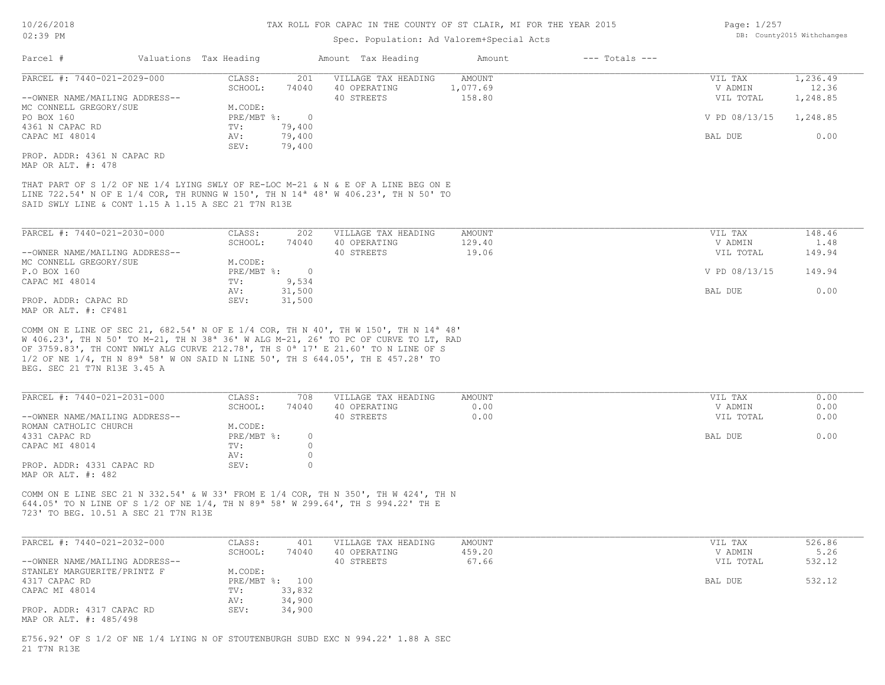### Spec. Population: Ad Valorem+Special Acts

| Page: 1/257 |                            |
|-------------|----------------------------|
|             | DB: County2015 Withchanges |

| Parcel #                                            | Valuations Tax Heading |                | Amount Tax Heading                                                                            | Amount   | $---$ Totals $---$ |               |          |
|-----------------------------------------------------|------------------------|----------------|-----------------------------------------------------------------------------------------------|----------|--------------------|---------------|----------|
| PARCEL #: 7440-021-2029-000                         | CLASS:                 | 201            | VILLAGE TAX HEADING                                                                           | AMOUNT   |                    | VIL TAX       | 1,236.49 |
|                                                     | SCHOOL:                | 74040          | 40 OPERATING                                                                                  | 1,077.69 |                    | V ADMIN       | 12.36    |
| --OWNER NAME/MAILING ADDRESS--                      |                        |                | 40 STREETS                                                                                    | 158.80   |                    | VIL TOTAL     | 1,248.85 |
| MC CONNELL GREGORY/SUE                              | M.CODE:                |                |                                                                                               |          |                    |               |          |
| PO BOX 160                                          | $PRE/MBT$ %:           | $\overline{0}$ |                                                                                               |          |                    | V PD 08/13/15 | 1,248.85 |
| 4361 N CAPAC RD                                     | TV:                    | 79,400         |                                                                                               |          |                    |               |          |
| CAPAC MI 48014                                      | AV:                    | 79,400         |                                                                                               |          |                    | BAL DUE       | 0.00     |
|                                                     | SEV:                   | 79,400         |                                                                                               |          |                    |               |          |
| PROP. ADDR: 4361 N CAPAC RD                         |                        |                |                                                                                               |          |                    |               |          |
| MAP OR ALT. #: 478                                  |                        |                |                                                                                               |          |                    |               |          |
|                                                     |                        |                |                                                                                               |          |                    |               |          |
|                                                     |                        |                | THAT PART OF S 1/2 OF NE 1/4 LYING SWLY OF RE-LOC M-21 & N & E OF A LINE BEG ON E             |          |                    |               |          |
|                                                     |                        |                | LINE 722.54' N OF E 1/4 COR, TH RUNNG W 150', TH N 14 <sup>a</sup> 48' W 406.23', TH N 50' TO |          |                    |               |          |
| SAID SWLY LINE & CONT 1.15 A 1.15 A SEC 21 T7N R13E |                        |                |                                                                                               |          |                    |               |          |
|                                                     |                        |                |                                                                                               |          |                    |               |          |
|                                                     |                        |                |                                                                                               |          |                    |               |          |
| PARCEL #: 7440-021-2030-000                         | CLASS:                 | 202            | VILLAGE TAX HEADING                                                                           | AMOUNT   |                    | VIL TAX       | 148.46   |
|                                                     | SCHOOL:                | 74040          | 40 OPERATING                                                                                  | 129.40   |                    | V ADMIN       | 1.48     |
| --OWNER NAME/MAILING ADDRESS--                      |                        |                | 40 STREETS                                                                                    | 19.06    |                    | VIL TOTAL     | 149.94   |
| MC CONNELL GREGORY/SUE                              | M.CODE:                |                |                                                                                               |          |                    |               |          |

| MC CONNETT GKRGOKI/SAR | M.CODE:      |        |  |               |        |
|------------------------|--------------|--------|--|---------------|--------|
| P.O BOX 160            | PRE/MBT %: 0 |        |  | V PD 08/13/15 | 149.94 |
| CAPAC MI 48014         | TV:          | 9,534  |  |               |        |
|                        | AV:          | 31,500 |  | BAL DUE       |        |
| PROP. ADDR: CAPAC RD   | SEV:         | 31,500 |  |               |        |
|                        |              |        |  |               |        |

MAP OR ALT. #: CF481

BEG. SEC 21 T7N R13E 3.45 A 1/2 OF NE 1/4, TH N 89ª 58' W ON SAID N LINE 50', TH S 644.05', TH E 457.28' TO OF 3759.83', TH CONT NWLY ALG CURVE 212.78', TH S 0ª 17' E 21.60' TO N LINE OF S W 406.23', TH N 50' TO M-21, TH N 38ª 36' W ALG M-21, 26' TO PC OF CURVE TO LT, RAD COMM ON E LINE OF SEC 21, 682.54' N OF E 1/4 COR, TH N 40', TH W 150', TH N 14ª 48'

| PARCEL #: 7440-021-2031-000    | CLASS:     | 708   | VILLAGE TAX HEADING | AMOUNT | VIL TAX   | 0.00 |
|--------------------------------|------------|-------|---------------------|--------|-----------|------|
|                                | SCHOOL:    | 74040 | 40 OPERATING        | 0.00   | V ADMIN   | 0.00 |
| --OWNER NAME/MAILING ADDRESS-- |            |       | 40 STREETS          | 0.00   | VIL TOTAL | 0.00 |
| ROMAN CATHOLIC CHURCH          | M.CODE:    |       |                     |        |           |      |
| 4331 CAPAC RD                  | PRE/MBT %: |       |                     |        | BAL DUE   | 0.00 |
| CAPAC MI 48014                 | TV:        |       |                     |        |           |      |
|                                | AV:        |       |                     |        |           |      |
| PROP. ADDR: 4331 CAPAC RD      | SEV:       |       |                     |        |           |      |
| MAP OR ALT. #: 482             |            |       |                     |        |           |      |

723' TO BEG. 10.51 A SEC 21 T7N R13E 644.05' TO N LINE OF S 1/2 OF NE 1/4, TH N 89ª 58' W 299.64', TH S 994.22' TH E COMM ON E LINE SEC 21 N 332.54' & W 33' FROM E 1/4 COR, TH N 350', TH W 424', TH N

| PARCEL #: 7440-021-2032-000    | CLASS:  | 401            | VILLAGE TAX HEADING | AMOUNT | VIL TAX   | 526.86 |
|--------------------------------|---------|----------------|---------------------|--------|-----------|--------|
|                                | SCHOOL: | 74040          | 40 OPERATING        | 459.20 | V ADMIN   | 5.26   |
| --OWNER NAME/MAILING ADDRESS-- |         |                | 40 STREETS          | 67.66  | VIL TOTAL | 532.12 |
| STANLEY MARGUERITE/PRINTZ F    | M.CODE: |                |                     |        |           |        |
| 4317 CAPAC RD                  |         | PRE/MBT %: 100 |                     |        | BAL DUE   | 532.12 |
| CAPAC MI 48014                 | TV:     | 33,832         |                     |        |           |        |
|                                | AV:     | 34,900         |                     |        |           |        |
| PROP. ADDR: 4317 CAPAC RD      | SEV:    | 34,900         |                     |        |           |        |
| MAP OR ALT. #: 485/498         |         |                |                     |        |           |        |

21 T7N R13E E756.92' OF S 1/2 OF NE 1/4 LYING N OF STOUTENBURGH SUBD EXC N 994.22' 1.88 A SEC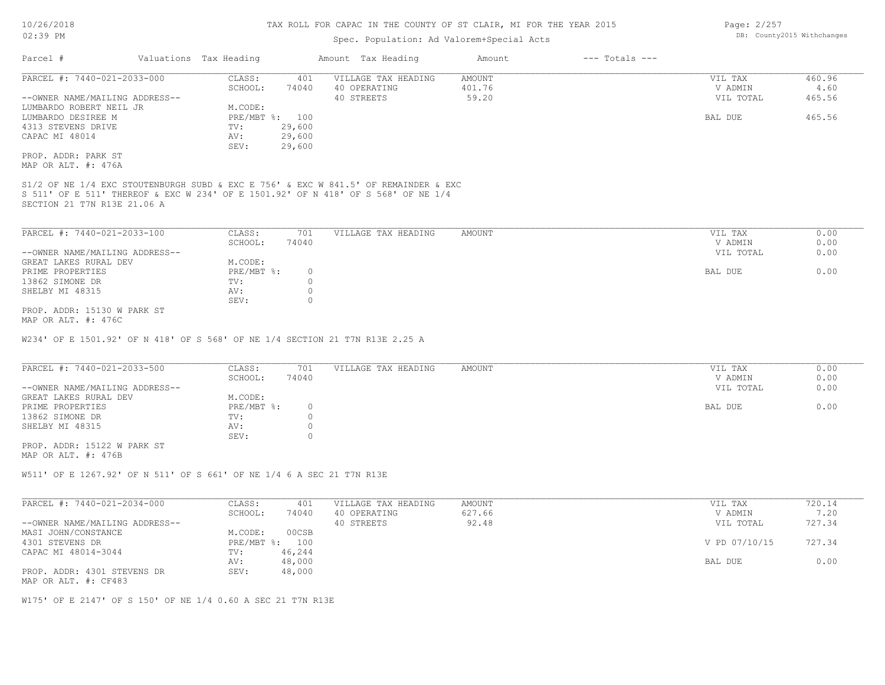## Spec. Population: Ad Valorem+Special Acts

| Page: 2/257 |                            |
|-------------|----------------------------|
|             | DB: County2015 Withchanges |

| Parcel #                                                                                                         | Valuations Tax Heading |         | Amount Tax Heading  | Amount | $---$ Totals $---$ |           |        |
|------------------------------------------------------------------------------------------------------------------|------------------------|---------|---------------------|--------|--------------------|-----------|--------|
| PARCEL #: 7440-021-2033-000                                                                                      | CLASS:                 | 401     | VILLAGE TAX HEADING | AMOUNT |                    | VIL TAX   | 460.96 |
|                                                                                                                  | SCHOOL:                | 74040   | 40 OPERATING        | 401.76 |                    | V ADMIN   | 4.60   |
| --OWNER NAME/MAILING ADDRESS--                                                                                   |                        |         | 40 STREETS          | 59.20  |                    | VIL TOTAL | 465.56 |
| LUMBARDO ROBERT NEIL JR                                                                                          | M.CODE:                |         |                     |        |                    |           |        |
| LUMBARDO DESIREE M                                                                                               | PRE/MBT %:             | 100     |                     |        |                    | BAL DUE   | 465.56 |
| 4313 STEVENS DRIVE                                                                                               | TV:                    | 29,600  |                     |        |                    |           |        |
| CAPAC MI 48014                                                                                                   | AV:                    | 29,600  |                     |        |                    |           |        |
|                                                                                                                  | SEV:                   | 29,600  |                     |        |                    |           |        |
| PROP. ADDR: PARK ST                                                                                              |                        |         |                     |        |                    |           |        |
| MAP OR ALT. #: 476A                                                                                              |                        |         |                     |        |                    |           |        |
| S 511' OF E 511' THEREOF & EXC W 234' OF E 1501.92' OF N 418' OF S 568' OF NE 1/4<br>SECTION 21 T7N R13E 21.06 A |                        |         |                     |        |                    |           |        |
| PARCEL #: 7440-021-2033-100                                                                                      | CLASS:                 | 701     | VILLAGE TAX HEADING | AMOUNT |                    | VIL TAX   | 0.00   |
|                                                                                                                  | SCHOOL:                | 74040   |                     |        |                    | V ADMIN   | 0.00   |
| --OWNER NAME/MAILING ADDRESS--                                                                                   |                        |         |                     |        |                    | VIL TOTAL | 0.00   |
| GREAT LAKES RURAL DEV                                                                                            | M.CODE:                |         |                     |        |                    |           |        |
| PRIME PROPERTIES                                                                                                 | PRE/MBT %:             | $\circ$ |                     |        |                    | BAL DUE   | 0.00   |
| 13862 SIMONE DR                                                                                                  | TV:                    |         |                     |        |                    |           |        |
| SHELBY MI 48315                                                                                                  | AV:                    |         |                     |        |                    |           |        |
|                                                                                                                  | SEV:                   |         |                     |        |                    |           |        |
|                                                                                                                  |                        |         |                     |        |                    |           |        |

MAP OR ALT. #: 476C PROP. ADDR: 15130 W PARK ST

W234' OF E 1501.92' OF N 418' OF S 568' OF NE 1/4 SECTION 21 T7N R13E 2.25 A

| PARCEL #: 7440-021-2033-500    | CLASS:     | 701   | VILLAGE TAX HEADING | AMOUNT | VIL TAX   | 0.00 |
|--------------------------------|------------|-------|---------------------|--------|-----------|------|
|                                | SCHOOL:    | 74040 |                     |        | V ADMIN   | 0.00 |
| --OWNER NAME/MAILING ADDRESS-- |            |       |                     |        | VIL TOTAL | 0.00 |
| GREAT LAKES RURAL DEV          | M.CODE:    |       |                     |        |           |      |
| PRIME PROPERTIES               | PRE/MBT %: |       |                     |        | BAL DUE   | 0.00 |
| 13862 SIMONE DR                | TV:        |       |                     |        |           |      |
| SHELBY MI 48315                | AV:        |       |                     |        |           |      |
|                                | SEV:       |       |                     |        |           |      |

MAP OR ALT. #: 476B PROP. ADDR: 15122 W PARK ST

W511' OF E 1267.92' OF N 511' OF S 661' OF NE 1/4 6 A SEC 21 T7N R13E

| PARCEL #: 7440-021-2034-000    | CLASS:  | 401            | VILLAGE TAX HEADING | AMOUNT | VIL TAX       | 720.14 |
|--------------------------------|---------|----------------|---------------------|--------|---------------|--------|
|                                | SCHOOL: | 74040          | 40 OPERATING        | 627.66 | V ADMIN       | 7.20   |
| --OWNER NAME/MAILING ADDRESS-- |         |                | 40 STREETS          | 92.48  | VIL TOTAL     | 727.34 |
| MASI JOHN/CONSTANCE            | M.CODE: | 00CSB          |                     |        |               |        |
| 4301 STEVENS DR                |         | PRE/MBT %: 100 |                     |        | V PD 07/10/15 | 727.34 |
| CAPAC MI 48014-3044            | TV:     | 46,244         |                     |        |               |        |
|                                | AV:     | 48,000         |                     |        | BAL DUE       | 0.00   |
| PROP. ADDR: 4301 STEVENS DR    | SEV:    | 48,000         |                     |        |               |        |
| MAP OR ALT. #: CF483           |         |                |                     |        |               |        |

W175' OF E 2147' OF S 150' OF NE 1/4 0.60 A SEC 21 T7N R13E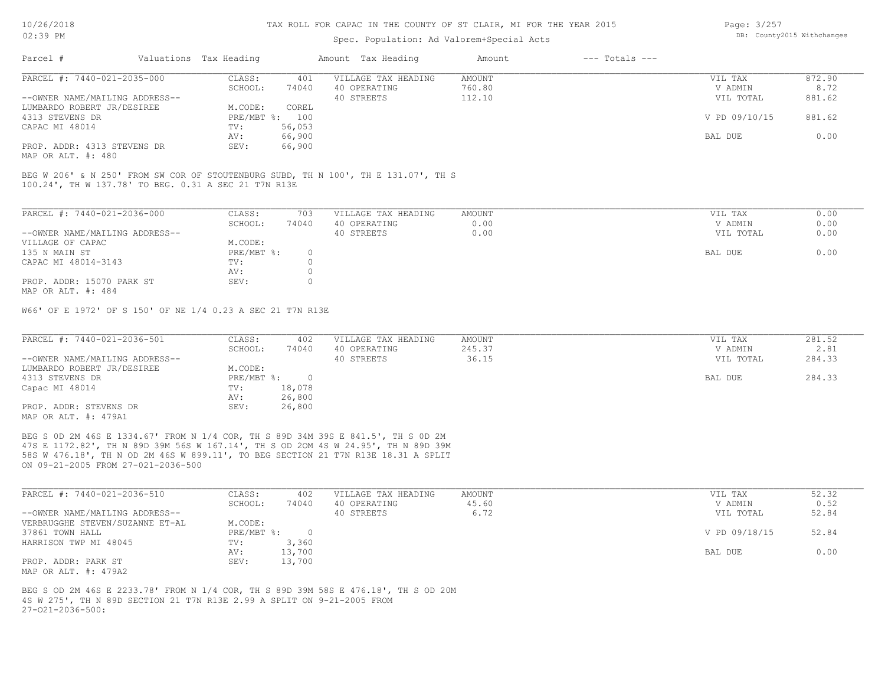#### Spec. Population: Ad Valorem+Special Acts

| Page: 3/257 |                            |
|-------------|----------------------------|
|             | DB: County2015 Withchanges |

| Parcel #                       | Valuations Tax Heading |                | Amount Tax Heading  | Amount | $---$ Totals $---$ |               |        |
|--------------------------------|------------------------|----------------|---------------------|--------|--------------------|---------------|--------|
| PARCEL #: 7440-021-2035-000    | CLASS:                 | 401            | VILLAGE TAX HEADING | AMOUNT |                    | VIL TAX       | 872.90 |
|                                | SCHOOL:                | 74040          | 40 OPERATING        | 760.80 |                    | V ADMIN       | 8.72   |
| --OWNER NAME/MAILING ADDRESS-- |                        |                | 40 STREETS          | 112.10 |                    | VIL TOTAL     | 881.62 |
| LUMBARDO ROBERT JR/DESIREE     | M.CODE:                | COREL          |                     |        |                    |               |        |
| 4313 STEVENS DR                |                        | PRE/MBT %: 100 |                     |        |                    | V PD 09/10/15 | 881.62 |
| CAPAC MI 48014                 | TV:                    | 56,053         |                     |        |                    |               |        |
|                                | AV:                    | 66,900         |                     |        |                    | BAL DUE       | 0.00   |
| PROP. ADDR: 4313 STEVENS DR    | SEV:                   | 66,900         |                     |        |                    |               |        |
| $\frac{1}{2}$                  |                        |                |                     |        |                    |               |        |

MAP OR ALT. #: 480

100.24', TH W 137.78' TO BEG. 0.31 A SEC 21 T7N R13E BEG W 206' & N 250' FROM SW COR OF STOUTENBURG SUBD, TH N 100', TH E 131.07', TH S

| PARCEL #: 7440-021-2036-000    | CLASS:     | 703   | VILLAGE TAX HEADING | AMOUNT | VIL TAX   | 0.00 |
|--------------------------------|------------|-------|---------------------|--------|-----------|------|
|                                | SCHOOL:    | 74040 | 40 OPERATING        | 0.00   | V ADMIN   | 0.00 |
| --OWNER NAME/MAILING ADDRESS-- |            |       | 40 STREETS          | 0.00   | VIL TOTAL | 0.00 |
| VILLAGE OF CAPAC               | M.CODE:    |       |                     |        |           |      |
| 135 N MAIN ST                  | PRE/MBT %: | 0.    |                     |        | BAL DUE   | 0.00 |
| CAPAC MI 48014-3143            | TV:        |       |                     |        |           |      |
|                                | AV:        |       |                     |        |           |      |
| PROP. ADDR: 15070 PARK ST      | SEV:       |       |                     |        |           |      |
| MAP OR ALT. #: 484             |            |       |                     |        |           |      |

W66' OF E 1972' OF S 150' OF NE 1/4 0.23 A SEC 21 T7N R13E

| PARCEL #: 7440-021-2036-501    | CLASS:     | 402    | VILLAGE TAX HEADING | AMOUNT | VIL TAX   | 281.52 |
|--------------------------------|------------|--------|---------------------|--------|-----------|--------|
|                                | SCHOOL:    | 74040  | 40 OPERATING        | 245.37 | V ADMIN   | 2.81   |
| --OWNER NAME/MAILING ADDRESS-- |            |        | 40 STREETS          | 36.15  | VIL TOTAL | 284.33 |
| LUMBARDO ROBERT JR/DESIREE     | M.CODE:    |        |                     |        |           |        |
| 4313 STEVENS DR                | PRE/MBT %: |        |                     |        | BAL DUE   | 284.33 |
| Capac MI 48014                 | TV:        | 18,078 |                     |        |           |        |
|                                | AV:        | 26,800 |                     |        |           |        |
| PROP. ADDR: STEVENS DR         | SEV:       | 26,800 |                     |        |           |        |
| MAP OR ALT. #: 479A1           |            |        |                     |        |           |        |

ON 09-21-2005 FROM 27-021-2036-500 58S W 476.18', TH N OD 2M 46S W 899.11', TO BEG SECTION 21 T7N R13E 18.31 A SPLIT 47S E 1172.82', TH N 89D 39M 56S W 167.14', TH S OD 2OM 4S W 24.95', TH N 89D 39M BEG S 0D 2M 46S E 1334.67' FROM N 1/4 COR, TH S 89D 34M 39S E 841.5', TH S 0D 2M

| PARCEL #: 7440-021-2036-510     | CLASS:       | 402    | VILLAGE TAX HEADING | AMOUNT | VIL TAX       | 52.32 |
|---------------------------------|--------------|--------|---------------------|--------|---------------|-------|
|                                 | SCHOOL:      | 74040  | 40 OPERATING        | 45.60  | V ADMIN       | 0.52  |
| --OWNER NAME/MAILING ADDRESS--  |              |        | 40 STREETS          | 6.72   | VIL TOTAL     | 52.84 |
| VERBRUGGHE STEVEN/SUZANNE ET-AL | M.CODE:      |        |                     |        |               |       |
| 37861 TOWN HALL                 | $PRE/MBT$ %: |        |                     |        | V PD 09/18/15 | 52.84 |
| HARRISON TWP MI 48045           | TV:          | 3,360  |                     |        |               |       |
|                                 | AV:          | 13,700 |                     |        | BAL DUE       | 0.00  |
| PROP. ADDR: PARK ST             | SEV:         | 13,700 |                     |        |               |       |
| MAP OR ALT. #: 479A2            |              |        |                     |        |               |       |

 $27-021-2036-500$ : 4S W 275', TH N 89D SECTION 21 T7N R13E 2.99 A SPLIT ON 9-21-2005 FROM BEG S OD 2M 46S E 2233.78' FROM N 1/4 COR, TH S 89D 39M 58S E 476.18', TH S OD 20M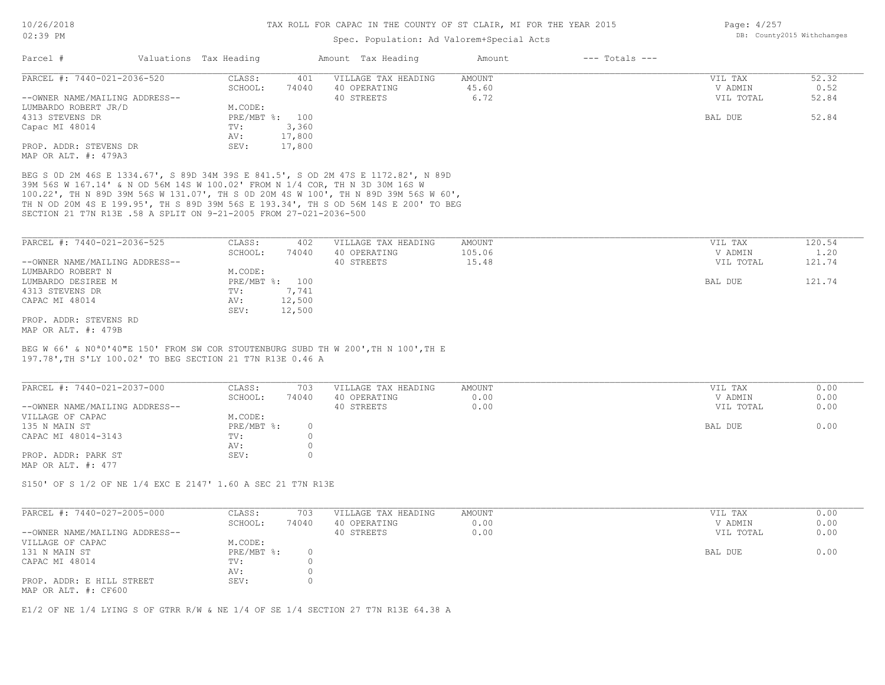### Spec. Population: Ad Valorem+Special Acts

| Page: 4/257 |                            |
|-------------|----------------------------|
|             | DB: County2015 Withchanges |

| Parcel #                                       | Valuations Tax Heading |        | Amount Tax Heading  | Amount | $---$ Totals $---$ |           |       |
|------------------------------------------------|------------------------|--------|---------------------|--------|--------------------|-----------|-------|
| PARCEL #: 7440-021-2036-520                    | CLASS:                 | 401    | VILLAGE TAX HEADING | AMOUNT |                    | VIL TAX   | 52.32 |
|                                                | SCHOOL:                | 74040  | 40 OPERATING        | 45.60  |                    | V ADMIN   | 0.52  |
| --OWNER NAME/MAILING ADDRESS--                 |                        |        | 40 STREETS          | 6.72   |                    | VIL TOTAL | 52.84 |
| LUMBARDO ROBERT JR/D                           | M.CODE:                |        |                     |        |                    |           |       |
| 4313 STEVENS DR                                | PRE/MBT %: 100         |        |                     |        |                    | BAL DUE   | 52.84 |
| Capac MI 48014                                 | TV:                    | 3,360  |                     |        |                    |           |       |
|                                                | AV:                    | 17,800 |                     |        |                    |           |       |
| PROP. ADDR: STEVENS DR<br>MAP OR ALT. #: 479A3 | SEV:                   | 17,800 |                     |        |                    |           |       |

SECTION 21 T7N R13E .58 A SPLIT ON 9-21-2005 FROM 27-021-2036-500 TH N OD 20M 4S E 199.95', TH S 89D 39M 56S E 193.34', TH S OD 56M 14S E 200' TO BEG 100.22', TH N 89D 39M 56S W 131.07', TH S 0D 20M 4S W 100', TH N 89D 39M 56S W 60', 39M 56S W 167.14' & N OD 56M 14S W 100.02' FROM N 1/4 COR, TH N 3D 30M 16S W BEG S 0D 2M 46S E 1334.67', S 89D 34M 39S E 841.5', S OD 2M 47S E 1172.82', N 89D

| PARCEL #: 7440-021-2036-525    | CLASS:  | 402            | VILLAGE TAX HEADING | AMOUNT | VIL TAX   | 120.54 |
|--------------------------------|---------|----------------|---------------------|--------|-----------|--------|
|                                | SCHOOL: | 74040          | 40 OPERATING        | 105.06 | V ADMIN   | 1.20   |
| --OWNER NAME/MAILING ADDRESS-- |         |                | 40 STREETS          | 15.48  | VIL TOTAL | 121.74 |
| LUMBARDO ROBERT N              | M.CODE: |                |                     |        |           |        |
| LUMBARDO DESIREE M             |         | PRE/MBT %: 100 |                     |        | BAL DUE   | 121.74 |
| 4313 STEVENS DR                | TV:     | 7,741          |                     |        |           |        |
| CAPAC MI 48014                 | AV:     | 12,500         |                     |        |           |        |
|                                | SEV:    | 12,500         |                     |        |           |        |
| PROP. ADDR: STEVENS RD         |         |                |                     |        |           |        |
| MAP OR ALT. #: 479B            |         |                |                     |        |           |        |

197.78',TH S'LY 100.02' TO BEG SECTION 21 T7N R13E 0.46 A BEG W 66' & N0ª0'40"E 150' FROM SW COR STOUTENBURG SUBD TH W 200',TH N 100',TH E

| PARCEL #: 7440-021-2037-000    | CLASS:     | 703   | VILLAGE TAX HEADING | AMOUNT | VIL TAX   | 0.00 |
|--------------------------------|------------|-------|---------------------|--------|-----------|------|
|                                | SCHOOL:    | 74040 | 40 OPERATING        | 0.00   | V ADMIN   | 0.00 |
| --OWNER NAME/MAILING ADDRESS-- |            |       | 40 STREETS          | 0.00   | VIL TOTAL | 0.00 |
| VILLAGE OF CAPAC               | M.CODE:    |       |                     |        |           |      |
| 135 N MAIN ST                  | PRE/MBT %: |       |                     |        | BAL DUE   | 0.00 |
| CAPAC MI 48014-3143            | TV:        |       |                     |        |           |      |
|                                | AV:        |       |                     |        |           |      |
| PROP. ADDR: PARK ST            | SEV:       |       |                     |        |           |      |
| MAP OR ALT. #: 477             |            |       |                     |        |           |      |

S150' OF S 1/2 OF NE 1/4 EXC E 2147' 1.60 A SEC 21 T7N R13E

| PARCEL #: 7440-027-2005-000                       | CLASS:     | 703   | VILLAGE TAX HEADING | AMOUNT | VIL TAX   | 0.00 |
|---------------------------------------------------|------------|-------|---------------------|--------|-----------|------|
|                                                   | SCHOOL:    | 74040 | 40 OPERATING        | 0.00   | V ADMIN   | 0.00 |
| --OWNER NAME/MAILING ADDRESS--                    |            |       | 40 STREETS          | 0.00   | VIL TOTAL | 0.00 |
| VILLAGE OF CAPAC                                  | M.CODE:    |       |                     |        |           |      |
| 131 N MAIN ST                                     | PRE/MBT %: |       |                     |        | BAL DUE   | 0.00 |
| CAPAC MI 48014                                    | TV:        |       |                     |        |           |      |
|                                                   | AV:        |       |                     |        |           |      |
| PROP. ADDR: E HILL STREET<br>MAP OR ALT. #: CF600 | SEV:       |       |                     |        |           |      |

 $\mathcal{L}_\mathcal{L} = \mathcal{L}_\mathcal{L} = \mathcal{L}_\mathcal{L} = \mathcal{L}_\mathcal{L} = \mathcal{L}_\mathcal{L} = \mathcal{L}_\mathcal{L} = \mathcal{L}_\mathcal{L} = \mathcal{L}_\mathcal{L} = \mathcal{L}_\mathcal{L} = \mathcal{L}_\mathcal{L} = \mathcal{L}_\mathcal{L} = \mathcal{L}_\mathcal{L} = \mathcal{L}_\mathcal{L} = \mathcal{L}_\mathcal{L} = \mathcal{L}_\mathcal{L} = \mathcal{L}_\mathcal{L} = \mathcal{L}_\mathcal{L}$ 

E1/2 OF NE 1/4 LYING S OF GTRR R/W & NE 1/4 OF SE 1/4 SECTION 27 T7N R13E 64.38 A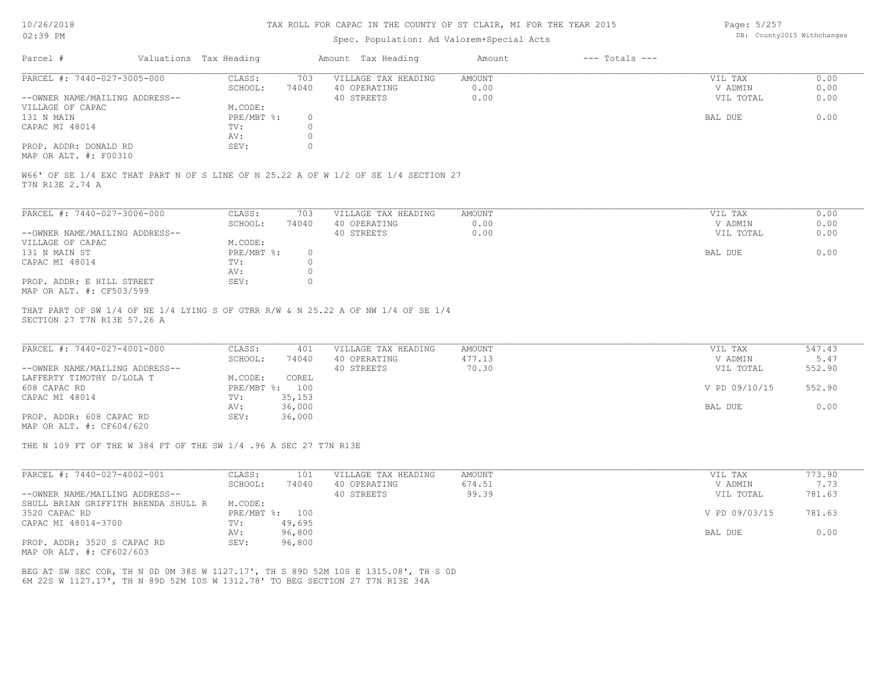## Spec. Population: Ad Valorem+Special Acts

Page: 5/257 DB: County2015 Withchanges

| Parcel #                                              | Valuations Tax Heading |       | Amount Tax Heading  | Amount | $---$ Totals $---$ |           |      |
|-------------------------------------------------------|------------------------|-------|---------------------|--------|--------------------|-----------|------|
| PARCEL #: 7440-027-3005-000                           | CLASS:                 | 703   | VILLAGE TAX HEADING | AMOUNT |                    | VIL TAX   | 0.00 |
|                                                       | SCHOOL:                | 74040 | 40 OPERATING        | 0.00   |                    | V ADMIN   | 0.00 |
| --OWNER NAME/MAILING ADDRESS--                        |                        |       | 40 STREETS          | 0.00   |                    | VIL TOTAL | 0.00 |
| VILLAGE OF CAPAC                                      | M.CODE:                |       |                     |        |                    |           |      |
| 131 N MAIN                                            | PRE/MBT %:             |       |                     |        |                    | BAL DUE   | 0.00 |
| CAPAC MI 48014                                        | TV:                    |       |                     |        |                    |           |      |
|                                                       | AV:                    |       |                     |        |                    |           |      |
| PROP. ADDR: DONALD RD                                 | SEV:                   |       |                     |        |                    |           |      |
| $\cdots$ $\cdots$ $\cdots$ $\cdots$ $\cdots$ $\cdots$ |                        |       |                     |        |                    |           |      |

MAP OR ALT. #: F00310

T7N R13E 2.74 A W66' OF SE 1/4 EXC THAT PART N OF S LINE OF N 25.22 A OF W 1/2 OF SE 1/4 SECTION 27

| PARCEL #: 7440-027-3006-000    | CLASS:     | 703   | VILLAGE TAX HEADING | AMOUNT | VIL TAX   | 0.00 |
|--------------------------------|------------|-------|---------------------|--------|-----------|------|
|                                | SCHOOL:    | 74040 | 40 OPERATING        | 0.00   | V ADMIN   | 0.00 |
| --OWNER NAME/MAILING ADDRESS-- |            |       | 40 STREETS          | 0.00   | VIL TOTAL | 0.00 |
| VILLAGE OF CAPAC               | M.CODE:    |       |                     |        |           |      |
| 131 N MAIN ST                  | PRE/MBT %: | 0.    |                     |        | BAL DUE   | 0.00 |
| CAPAC MI 48014                 | TV:        |       |                     |        |           |      |
|                                | AV:        |       |                     |        |           |      |
| PROP. ADDR: E HILL STREET      | SEV:       |       |                     |        |           |      |
| MAP OR ALT. #: CF503/599       |            |       |                     |        |           |      |

SECTION 27 T7N R13E 57.26 A THAT PART OF SW 1/4 OF NE 1/4 LYING S OF GTRR R/W & N 25.22 A OF NW 1/4 OF SE 1/4

| PARCEL #: 7440-027-4001-000    | CLASS:  | 401            | VILLAGE TAX HEADING | AMOUNT | VIL TAX       | 547.43 |
|--------------------------------|---------|----------------|---------------------|--------|---------------|--------|
|                                | SCHOOL: | 74040          | 40 OPERATING        | 477.13 | V ADMIN       | 5.47   |
| --OWNER NAME/MAILING ADDRESS-- |         |                | 40 STREETS          | 70.30  | VIL TOTAL     | 552.90 |
| LAFFERTY TIMOTHY D/LOLA T      | M.CODE: | COREL          |                     |        |               |        |
| 608 CAPAC RD                   |         | PRE/MBT %: 100 |                     |        | V PD 09/10/15 | 552.90 |
| CAPAC MI 48014                 | TV:     | 35,153         |                     |        |               |        |
|                                | AV:     | 36,000         |                     |        | BAL DUE       | 0.00   |
| PROP. ADDR: 608 CAPAC RD       | SEV:    | 36,000         |                     |        |               |        |
|                                |         |                |                     |        |               |        |

MAP OR ALT. #: CF604/620

THE N 109 FT OF THE W 384 FT OF THE SW 1/4 .96 A SEC 27 T7N R13E

| PARCEL #: 7440-027-4002-001         | CLASS:       | 101    | VILLAGE TAX HEADING | AMOUNT | VIL TAX       | 773.90 |
|-------------------------------------|--------------|--------|---------------------|--------|---------------|--------|
|                                     | SCHOOL:      | 74040  | 40 OPERATING        | 674.51 | V ADMIN       | 7.73   |
| --OWNER NAME/MAILING ADDRESS--      |              |        | 40 STREETS          | 99.39  | VIL TOTAL     | 781.63 |
| SHULL BRIAN GRIFFITH BRENDA SHULL R | M.CODE:      |        |                     |        |               |        |
| 3520 CAPAC RD                       | $PRE/MBT$ %: | 100    |                     |        | V PD 09/03/15 | 781.63 |
| CAPAC MI 48014-3700                 | TV:          | 49,695 |                     |        |               |        |
|                                     | AV:          | 96,800 |                     |        | BAL DUE       | 0.00   |
| PROP. ADDR: 3520 S CAPAC RD         | SEV:         | 96,800 |                     |        |               |        |

MAP OR ALT. #: CF602/603

6M 22S W 1127.17', TH N 89D 52M 10S W 1312.78' TO BEG SECTION 27 T7N R13E 34A BEG AT SW SEC COR, TH N 0D 0M 38S W 1127.17', TH S 89D 52M 10S E 1315.08', TH S 0D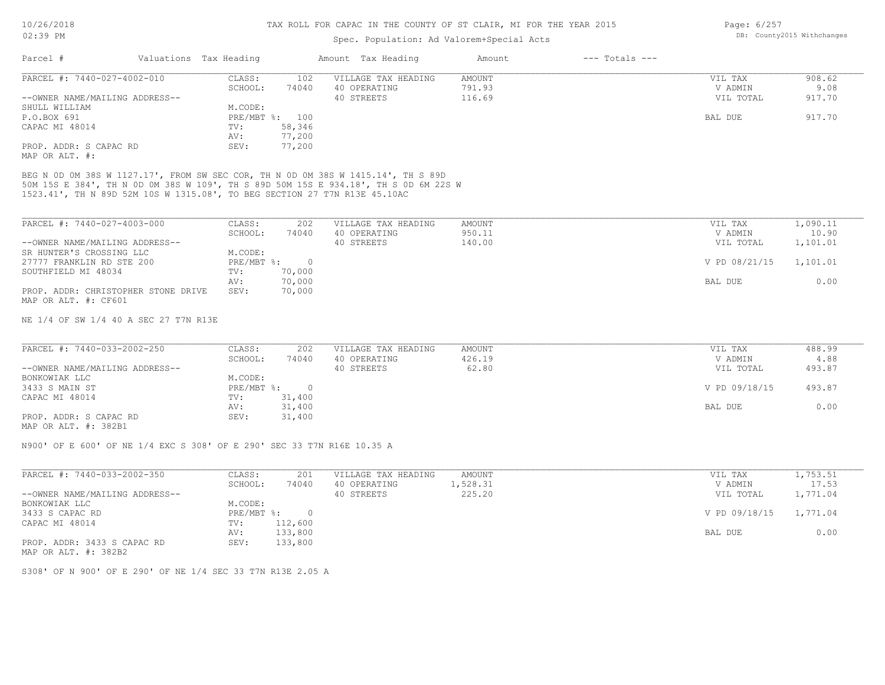### Spec. Population: Ad Valorem+Special Acts

| Page: 6/257 |                            |
|-------------|----------------------------|
|             | DB: County2015 Withchanges |

| Parcel #                                                                  | Valuations Tax Heading |                | Amount Tax Heading                                                                  | Amount | $---$ Totals $---$ |           |        |
|---------------------------------------------------------------------------|------------------------|----------------|-------------------------------------------------------------------------------------|--------|--------------------|-----------|--------|
| PARCEL #: 7440-027-4002-010                                               | CLASS:                 | 102            | VILLAGE TAX HEADING                                                                 | AMOUNT |                    | VIL TAX   | 908.62 |
|                                                                           | SCHOOL:                | 74040          | 40 OPERATING                                                                        | 791.93 |                    | V ADMIN   | 9.08   |
| --OWNER NAME/MAILING ADDRESS--                                            |                        |                | 40 STREETS                                                                          | 116.69 |                    | VIL TOTAL | 917.70 |
| SHULL WILLIAM                                                             | M.CODE:                |                |                                                                                     |        |                    |           |        |
| P.O.BOX 691                                                               |                        | PRE/MBT %: 100 |                                                                                     |        |                    | BAL DUE   | 917.70 |
| CAPAC MI 48014                                                            | TV:                    | 58,346         |                                                                                     |        |                    |           |        |
|                                                                           | AV:                    | 77,200         |                                                                                     |        |                    |           |        |
| PROP. ADDR: S CAPAC RD                                                    | SEV:                   | 77,200         |                                                                                     |        |                    |           |        |
| MAP OR ALT. #:                                                            |                        |                |                                                                                     |        |                    |           |        |
|                                                                           |                        |                | BEG N 0D 0M 38S W 1127.17', FROM SW SEC COR, TH N 0D 0M 38S W 1415.14', TH S 89D    |        |                    |           |        |
|                                                                           |                        |                | 50M 15S E 384', TH N OD OM 38S W 109', TH S 89D 50M 15S E 934.18', TH S OD 6M 22S W |        |                    |           |        |
| 1523.41', TH N 89D 52M 10S W 1315.08', TO BEG SECTION 27 T7N R13E 45.10AC |                        |                |                                                                                     |        |                    |           |        |

| PARCEL #: 7440-027-4003-000         | CLASS:     | 202    | VILLAGE TAX HEADING | AMOUNT | VIL TAX       | 1,090.11 |
|-------------------------------------|------------|--------|---------------------|--------|---------------|----------|
|                                     | SCHOOL:    | 74040  | 40 OPERATING        | 950.11 | V ADMIN       | 10.90    |
| --OWNER NAME/MAILING ADDRESS--      |            |        | 40 STREETS          | 140.00 | VIL TOTAL     | 1,101.01 |
| SR HUNTER'S CROSSING LLC            | M.CODE:    |        |                     |        |               |          |
| 27777 FRANKLIN RD STE 200           | PRE/MBT %: |        |                     |        | V PD 08/21/15 | 1,101.01 |
| SOUTHFIELD MI 48034                 | TV:        | 70,000 |                     |        |               |          |
|                                     | AV:        | 70,000 |                     |        | BAL DUE       | 0.00     |
| PROP. ADDR: CHRISTOPHER STONE DRIVE | SEV:       | 70,000 |                     |        |               |          |
| MAP OR ALT. #: CF601                |            |        |                     |        |               |          |

NE 1/4 OF SW 1/4 40 A SEC 27 T7N R13E

| PARCEL #: 7440-033-2002-250                           | CLASS:     | 202    | VILLAGE TAX HEADING | AMOUNT | VIL TAX       | 488.99 |
|-------------------------------------------------------|------------|--------|---------------------|--------|---------------|--------|
|                                                       | SCHOOL:    | 74040  | 40 OPERATING        | 426.19 | V ADMIN       | 4.88   |
| --OWNER NAME/MAILING ADDRESS--                        |            |        | 40 STREETS          | 62.80  | VIL TOTAL     | 493.87 |
| BONKOWIAK LLC                                         | M.CODE:    |        |                     |        |               |        |
| 3433 S MAIN ST                                        | PRE/MBT %: |        |                     |        | V PD 09/18/15 | 493.87 |
| CAPAC MI 48014                                        | TV:        | 31,400 |                     |        |               |        |
|                                                       | AV:        | 31,400 |                     |        | BAL DUE       | 0.00   |
| PROP. ADDR: S CAPAC RD                                | SEV:       | 31,400 |                     |        |               |        |
| $\cdots$ $\cdots$ $\cdots$ $\cdots$ $\cdots$ $\cdots$ |            |        |                     |        |               |        |

MAP OR ALT. #: 382B1

N900' OF E 600' OF NE 1/4 EXC S 308' OF E 290' SEC 33 T7N R16E 10.35 A

| PARCEL #: 7440-033-2002-350    | CLASS:     | 201     | VILLAGE TAX HEADING | AMOUNT   | VIL TAX                | 1,753.51 |
|--------------------------------|------------|---------|---------------------|----------|------------------------|----------|
|                                | SCHOOL:    | 74040   | 40 OPERATING        | 1,528.31 | V ADMIN                | 17.53    |
| --OWNER NAME/MAILING ADDRESS-- |            |         | 40 STREETS          | 225.20   | VIL TOTAL              | 1,771.04 |
| BONKOWIAK LLC                  | M.CODE:    |         |                     |          |                        |          |
| 3433 S CAPAC RD                | PRE/MBT %: |         |                     |          | V PD 09/18/15 1,771.04 |          |
| CAPAC MI 48014                 | TV:        | 112,600 |                     |          |                        |          |
|                                | AV:        | 133,800 |                     |          | BAL DUE                | 0.00     |
| PROP. ADDR: 3433 S CAPAC RD    | SEV:       | 133,800 |                     |          |                        |          |

MAP OR ALT. #: 382B2

S308' OF N 900' OF E 290' OF NE 1/4 SEC 33 T7N R13E 2.05 A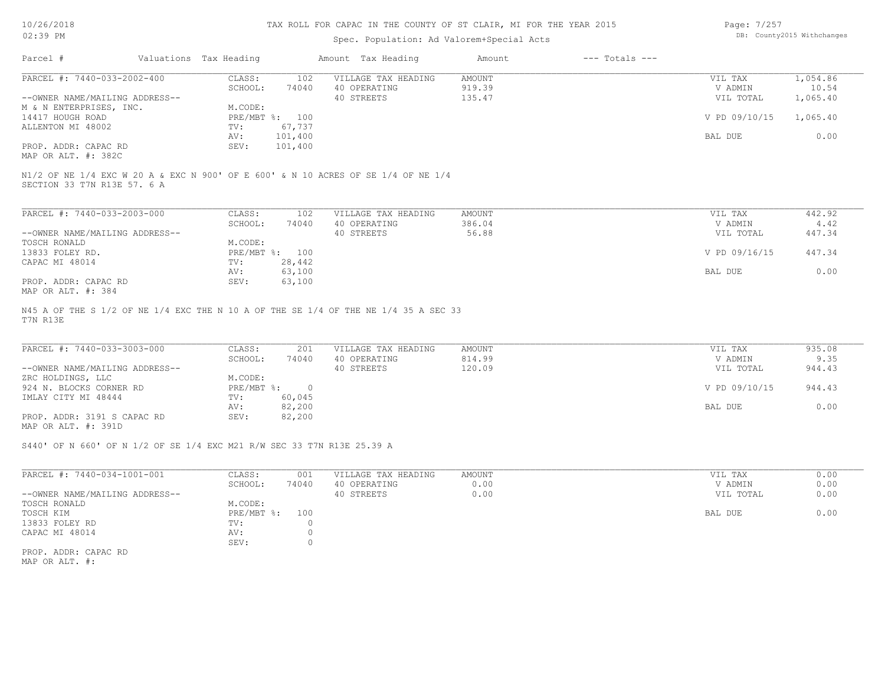## Spec. Population: Ad Valorem+Special Acts

| Page: 7/257 |                            |
|-------------|----------------------------|
|             | DB: County2015 Withchanges |

| Parcel #                       | Valuations Tax Heading |                | Amount Tax Heading                                                                | Amount        | $---$ Totals $---$ |               |                                    |
|--------------------------------|------------------------|----------------|-----------------------------------------------------------------------------------|---------------|--------------------|---------------|------------------------------------|
| PARCEL #: 7440-033-2002-400    | CLASS:                 | 102            | VILLAGE TAX HEADING                                                               | <b>AMOUNT</b> |                    | VIL TAX       | 1,054.86                           |
|                                | SCHOOL:                | 74040          | 40 OPERATING                                                                      | 919.39        |                    | V ADMIN       | 10.54                              |
| --OWNER NAME/MAILING ADDRESS-- |                        |                | 40 STREETS                                                                        | 135.47        |                    | VIL TOTAL     | 1,065.40                           |
| M & N ENTERPRISES, INC.        | M.CODE:                |                |                                                                                   |               |                    |               |                                    |
| 14417 HOUGH ROAD               |                        | PRE/MBT %: 100 |                                                                                   |               |                    | V PD 09/10/15 | 1,065.40                           |
| ALLENTON MI 48002              | TV:                    | 67,737         |                                                                                   |               |                    |               |                                    |
|                                | AV:                    | 101,400        |                                                                                   |               |                    | BAL DUE       | 0.00                               |
| PROP. ADDR: CAPAC RD           | SEV:                   | 101,400        |                                                                                   |               |                    |               |                                    |
| MAP OR ALT. #: 382C            |                        |                |                                                                                   |               |                    |               |                                    |
|                                |                        |                | N1/2 OF NE 1/4 EXC W 20 A & EXC N 900' OF E 600' & N 10 ACRES OF SE 1/4 OF NE 1/4 |               |                    |               |                                    |
| SECTION 33 T7N R13E 57. 6 A    |                        |                |                                                                                   |               |                    |               |                                    |
|                                |                        |                |                                                                                   |               |                    |               |                                    |
| PARCEL #: 7440-033-2003-000    | CLASS:<br>--------     | 102            | VILLAGE TAX HEADING<br>.                                                          | AMOUNT<br>.   |                    | VIL TAX       | 442.92<br>$\overline{\phantom{a}}$ |

| FARCBB #. 7550-033-4003-000    | . conuv                   | ⊥∪∠    | ATTANG TAV URANIMA | <b>AI'IUUIN L</b> | VII IAA       | せせん・ジム |  |
|--------------------------------|---------------------------|--------|--------------------|-------------------|---------------|--------|--|
|                                | SCHOOL:                   | 74040  | 40 OPERATING       | 386.04            | V ADMIN       | 4.42   |  |
| --OWNER NAME/MAILING ADDRESS-- |                           |        | 40 STREETS         | 56.88             | VIL TOTAL     | 447.34 |  |
| TOSCH RONALD                   | M.CODE:                   |        |                    |                   |               |        |  |
| 13833 FOLEY RD.                | $PRE/MBT$ $\frac{1}{6}$ : | 100    |                    |                   | V PD 09/16/15 | 447.34 |  |
| CAPAC MI 48014                 | TV:                       | 28,442 |                    |                   |               |        |  |
|                                | AV:                       | 63,100 |                    |                   | BAL DUE       | 0.00   |  |
| PROP. ADDR: CAPAC RD           | SEV:                      | 63,100 |                    |                   |               |        |  |
| 14.304 את החזה מחהוא           |                           |        |                    |                   |               |        |  |

MAP OR ALT. #: 384

T7N R13E N45 A OF THE S 1/2 OF NE 1/4 EXC THE N 10 A OF THE SE 1/4 OF THE NE 1/4 35 A SEC 33

| PARCEL #: 7440-033-3003-000    | CLASS:       | 201    | VILLAGE TAX HEADING | AMOUNT | VIL TAX       | 935.08 |
|--------------------------------|--------------|--------|---------------------|--------|---------------|--------|
|                                | SCHOOL:      | 74040  | 40 OPERATING        | 814.99 | V ADMIN       | 9.35   |
| --OWNER NAME/MAILING ADDRESS-- |              |        | 40 STREETS          | 120.09 | VIL TOTAL     | 944.43 |
| ZRC HOLDINGS, LLC              | M.CODE:      |        |                     |        |               |        |
| 924 N. BLOCKS CORNER RD        | $PRE/MBT$ %: |        |                     |        | V PD 09/10/15 | 944.43 |
| IMLAY CITY MI 48444            | TV:          | 60,045 |                     |        |               |        |
|                                | AV:          | 82,200 |                     |        | BAL DUE       | 0.00   |
| PROP. ADDR: 3191 S CAPAC RD    | SEV:         | 82,200 |                     |        |               |        |
|                                |              |        |                     |        |               |        |

MAP OR ALT. #: 391D

S440' OF N 660' OF N 1/2 OF SE 1/4 EXC M21 R/W SEC 33 T7N R13E 25.39 A

| PARCEL #: 7440-034-1001-001    | CLASS:     | 001   | VILLAGE TAX HEADING | AMOUNT | VIL TAX   | 0.00 |
|--------------------------------|------------|-------|---------------------|--------|-----------|------|
|                                | SCHOOL:    | 74040 | 40 OPERATING        | 0.00   | V ADMIN   | 0.00 |
| --OWNER NAME/MAILING ADDRESS-- |            |       | 40 STREETS          | 0.00   | VIL TOTAL | 0.00 |
| TOSCH RONALD                   | M.CODE:    |       |                     |        |           |      |
| TOSCH KIM                      | PRE/MBT %: | 100   |                     |        | BAL DUE   | 0.00 |
| 13833 FOLEY RD                 | TV:        |       |                     |        |           |      |
| CAPAC MI 48014                 | AV:        |       |                     |        |           |      |
|                                | SEV:       |       |                     |        |           |      |
| PROP. ADDR: CAPAC RD           |            |       |                     |        |           |      |

MAP OR ALT. #: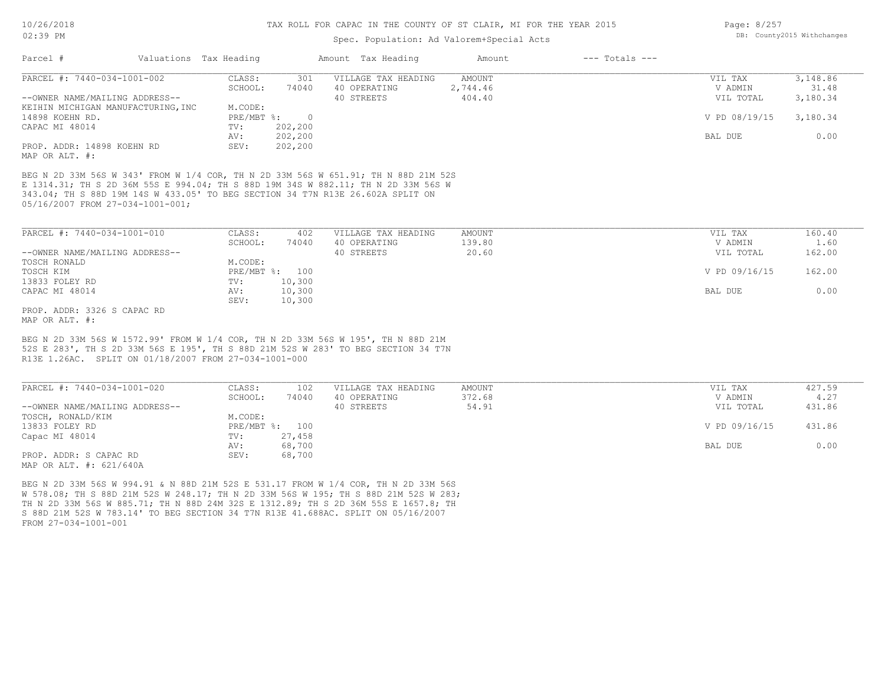FROM 27-034-1001-001

MAP OR ALT. #: 621/640A

S 88D 21M 52S W 783.14' TO BEG SECTION 34 T7N R13E 41.688AC. SPLIT ON 05/16/2007 TH N 2D 33M 56S W 885.71; TH N 88D 24M 32S E 1312.89; TH S 2D 36M 55S E 1657.8; TH W 578.08; TH S 88D 21M 52S W 248.17; TH N 2D 33M 56S W 195; TH S 88D 21M 52S W 283; BEG N 2D 33M 56S W 994.91 & N 88D 21M 52S E 531.17 FROM W 1/4 COR, TH N 2D 33M 56S

PROP. ADDR: S CAPAC RD SEV: 68,700

Capac MI 48014 TV: 27,458<br>
AV: 68,700

#### TAX ROLL FOR CAPAC IN THE COUNTY OF ST CLAIR, MI FOR THE YEAR 2015

### Spec. Population: Ad Valorem+Special Acts

| Page: 8/257 |                            |
|-------------|----------------------------|
|             | DB: County2015 Withchanges |

| 301<br>VILLAGE TAX HEADING<br>AMOUNT<br>VIL TAX<br>CLASS:<br>V ADMIN<br>SCHOOL:<br>74040<br>40 OPERATING<br>2,744.46<br>40 STREETS<br>404.40<br>VIL TOTAL<br>KEIHIN MICHIGAN MANUFACTURING, INC<br>M.CODE:<br>$PRE/MBT$ %:<br>V PD 08/19/15<br>$\overline{0}$<br>202,200<br>TV:<br>202,200<br>BAL DUE<br>AV:<br>202,200<br>SEV:<br>BEG N 2D 33M 56S W 343' FROM W 1/4 COR, TH N 2D 33M 56S W 651.91; TH N 88D 21M 52S<br>E 1314.31; TH S 2D 36M 55S E 994.04; TH S 88D 19M 34S W 882.11; TH N 2D 33M 56S W<br>343.04; TH S 88D 19M 14S W 433.05' TO BEG SECTION 34 T7N R13E 26.602A SPLIT ON<br>PARCEL #: 7440-034-1001-010<br>CLASS:<br>VILLAGE TAX HEADING<br>AMOUNT<br>VIL TAX<br>402<br>40 OPERATING<br>SCHOOL:<br>74040<br>139.80<br>V ADMIN<br>--OWNER NAME/MAILING ADDRESS--<br>40 STREETS<br>20.60<br>VIL TOTAL<br>TOSCH RONALD<br>M.CODE:<br>PRE/MBT %: 100<br>V PD 09/16/15<br>TOSCH KIM<br>13833 FOLEY RD<br>10,300<br>TV:<br>10,300<br>CAPAC MI 48014<br>AV:<br>BAL DUE<br>SEV:<br>10,300<br>PROP. ADDR: 3326 S CAPAC RD<br>BEG N 2D 33M 56S W 1572.99' FROM W 1/4 COR, TH N 2D 33M 56S W 195', TH N 88D 21M<br>52S E 283', TH S 2D 33M 56S E 195', TH S 88D 21M 52S W 283' TO BEG SECTION 34 T7N<br>R13E 1.26AC. SPLIT ON 01/18/2007 FROM 27-034-1001-000<br>CLASS:<br>VILLAGE TAX HEADING<br>102<br>AMOUNT<br>VIL TAX<br>SCHOOL:<br>74040<br>40 OPERATING<br>372.68<br>V ADMIN<br>40 STREETS<br>54.91<br>VIL TOTAL | Parcel #                                     | Valuations Tax Heading | Amount Tax Heading | Amount | $---$ Totals $---$ |          |
|----------------------------------------------------------------------------------------------------------------------------------------------------------------------------------------------------------------------------------------------------------------------------------------------------------------------------------------------------------------------------------------------------------------------------------------------------------------------------------------------------------------------------------------------------------------------------------------------------------------------------------------------------------------------------------------------------------------------------------------------------------------------------------------------------------------------------------------------------------------------------------------------------------------------------------------------------------------------------------------------------------------------------------------------------------------------------------------------------------------------------------------------------------------------------------------------------------------------------------------------------------------------------------------------------------------------------------------------------------------------------------------------------------------------------------|----------------------------------------------|------------------------|--------------------|--------|--------------------|----------|
|                                                                                                                                                                                                                                                                                                                                                                                                                                                                                                                                                                                                                                                                                                                                                                                                                                                                                                                                                                                                                                                                                                                                                                                                                                                                                                                                                                                                                                  | PARCEL #: 7440-034-1001-002                  |                        |                    |        |                    | 3,148.86 |
|                                                                                                                                                                                                                                                                                                                                                                                                                                                                                                                                                                                                                                                                                                                                                                                                                                                                                                                                                                                                                                                                                                                                                                                                                                                                                                                                                                                                                                  |                                              |                        |                    |        |                    | 31.48    |
|                                                                                                                                                                                                                                                                                                                                                                                                                                                                                                                                                                                                                                                                                                                                                                                                                                                                                                                                                                                                                                                                                                                                                                                                                                                                                                                                                                                                                                  | --OWNER NAME/MAILING ADDRESS--               |                        |                    |        |                    | 3,180.34 |
|                                                                                                                                                                                                                                                                                                                                                                                                                                                                                                                                                                                                                                                                                                                                                                                                                                                                                                                                                                                                                                                                                                                                                                                                                                                                                                                                                                                                                                  |                                              |                        |                    |        |                    |          |
|                                                                                                                                                                                                                                                                                                                                                                                                                                                                                                                                                                                                                                                                                                                                                                                                                                                                                                                                                                                                                                                                                                                                                                                                                                                                                                                                                                                                                                  | 14898 KOEHN RD.                              |                        |                    |        |                    | 3,180.34 |
|                                                                                                                                                                                                                                                                                                                                                                                                                                                                                                                                                                                                                                                                                                                                                                                                                                                                                                                                                                                                                                                                                                                                                                                                                                                                                                                                                                                                                                  | CAPAC MI 48014                               |                        |                    |        |                    |          |
|                                                                                                                                                                                                                                                                                                                                                                                                                                                                                                                                                                                                                                                                                                                                                                                                                                                                                                                                                                                                                                                                                                                                                                                                                                                                                                                                                                                                                                  |                                              |                        |                    |        |                    | 0.00     |
|                                                                                                                                                                                                                                                                                                                                                                                                                                                                                                                                                                                                                                                                                                                                                                                                                                                                                                                                                                                                                                                                                                                                                                                                                                                                                                                                                                                                                                  | PROP. ADDR: 14898 KOEHN RD<br>MAP OR ALT. #: |                        |                    |        |                    |          |
|                                                                                                                                                                                                                                                                                                                                                                                                                                                                                                                                                                                                                                                                                                                                                                                                                                                                                                                                                                                                                                                                                                                                                                                                                                                                                                                                                                                                                                  | 05/16/2007 FROM 27-034-1001-001;             |                        |                    |        |                    |          |
|                                                                                                                                                                                                                                                                                                                                                                                                                                                                                                                                                                                                                                                                                                                                                                                                                                                                                                                                                                                                                                                                                                                                                                                                                                                                                                                                                                                                                                  |                                              |                        |                    |        |                    | 160.40   |
|                                                                                                                                                                                                                                                                                                                                                                                                                                                                                                                                                                                                                                                                                                                                                                                                                                                                                                                                                                                                                                                                                                                                                                                                                                                                                                                                                                                                                                  |                                              |                        |                    |        |                    | 1.60     |
|                                                                                                                                                                                                                                                                                                                                                                                                                                                                                                                                                                                                                                                                                                                                                                                                                                                                                                                                                                                                                                                                                                                                                                                                                                                                                                                                                                                                                                  |                                              |                        |                    |        |                    | 162.00   |
|                                                                                                                                                                                                                                                                                                                                                                                                                                                                                                                                                                                                                                                                                                                                                                                                                                                                                                                                                                                                                                                                                                                                                                                                                                                                                                                                                                                                                                  |                                              |                        |                    |        |                    |          |
|                                                                                                                                                                                                                                                                                                                                                                                                                                                                                                                                                                                                                                                                                                                                                                                                                                                                                                                                                                                                                                                                                                                                                                                                                                                                                                                                                                                                                                  |                                              |                        |                    |        |                    | 162.00   |
|                                                                                                                                                                                                                                                                                                                                                                                                                                                                                                                                                                                                                                                                                                                                                                                                                                                                                                                                                                                                                                                                                                                                                                                                                                                                                                                                                                                                                                  |                                              |                        |                    |        |                    |          |
|                                                                                                                                                                                                                                                                                                                                                                                                                                                                                                                                                                                                                                                                                                                                                                                                                                                                                                                                                                                                                                                                                                                                                                                                                                                                                                                                                                                                                                  |                                              |                        |                    |        |                    | 0.00     |
|                                                                                                                                                                                                                                                                                                                                                                                                                                                                                                                                                                                                                                                                                                                                                                                                                                                                                                                                                                                                                                                                                                                                                                                                                                                                                                                                                                                                                                  |                                              |                        |                    |        |                    |          |
|                                                                                                                                                                                                                                                                                                                                                                                                                                                                                                                                                                                                                                                                                                                                                                                                                                                                                                                                                                                                                                                                                                                                                                                                                                                                                                                                                                                                                                  | MAP OR ALT. #:                               |                        |                    |        |                    |          |
|                                                                                                                                                                                                                                                                                                                                                                                                                                                                                                                                                                                                                                                                                                                                                                                                                                                                                                                                                                                                                                                                                                                                                                                                                                                                                                                                                                                                                                  |                                              |                        |                    |        |                    |          |
|                                                                                                                                                                                                                                                                                                                                                                                                                                                                                                                                                                                                                                                                                                                                                                                                                                                                                                                                                                                                                                                                                                                                                                                                                                                                                                                                                                                                                                  | PARCEL #: 7440-034-1001-020                  |                        |                    |        |                    | 427.59   |
|                                                                                                                                                                                                                                                                                                                                                                                                                                                                                                                                                                                                                                                                                                                                                                                                                                                                                                                                                                                                                                                                                                                                                                                                                                                                                                                                                                                                                                  |                                              |                        |                    |        |                    | 4.27     |
|                                                                                                                                                                                                                                                                                                                                                                                                                                                                                                                                                                                                                                                                                                                                                                                                                                                                                                                                                                                                                                                                                                                                                                                                                                                                                                                                                                                                                                  | --OWNER NAME/MAILING ADDRESS--               |                        |                    |        |                    | 431.86   |
|                                                                                                                                                                                                                                                                                                                                                                                                                                                                                                                                                                                                                                                                                                                                                                                                                                                                                                                                                                                                                                                                                                                                                                                                                                                                                                                                                                                                                                  | TOSCH, RONALD/KIM                            | M.CODE:                |                    |        |                    |          |

AV: 68,700 BAL DUE 0.00

13833 FOLEY RD PRE/MBT %: 100 V PD 09/16/15 431.86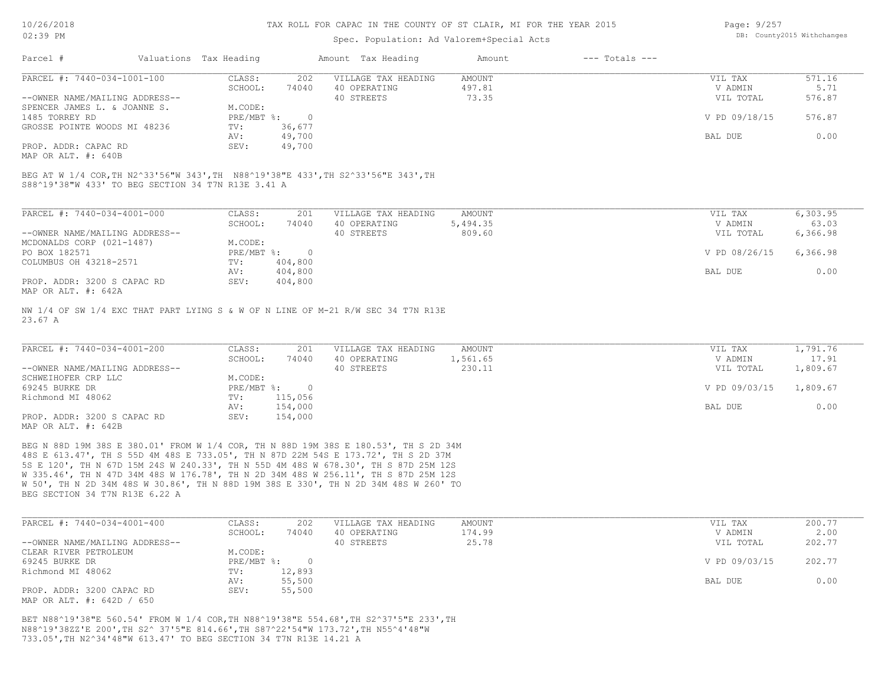#### Spec. Population: Ad Valorem+Special Acts

| Page: 9/257 |                            |
|-------------|----------------------------|
|             | DB: County2015 Withchanges |

| Parcel #                       | Valuations Tax Heading |        | Amount Tax Heading  | Amount | $---$ Totals $---$ |               |        |
|--------------------------------|------------------------|--------|---------------------|--------|--------------------|---------------|--------|
| PARCEL #: 7440-034-1001-100    | CLASS:                 | 202    | VILLAGE TAX HEADING | AMOUNT |                    | VIL TAX       | 571.16 |
|                                | SCHOOL:                | 74040  | 40 OPERATING        | 497.81 |                    | V ADMIN       | 5.71   |
| --OWNER NAME/MAILING ADDRESS-- |                        |        | 40 STREETS          | 73.35  |                    | VIL TOTAL     | 576.87 |
| SPENCER JAMES L. & JOANNE S.   | M.CODE:                |        |                     |        |                    |               |        |
| 1485 TORREY RD                 | PRE/MBT %:             |        |                     |        |                    | V PD 09/18/15 | 576.87 |
| GROSSE POINTE WOODS MI 48236   | TV:                    | 36,677 |                     |        |                    |               |        |
|                                | AV:                    | 49,700 |                     |        |                    | BAL DUE       | 0.00   |
| PROP. ADDR: CAPAC RD           | SEV:                   | 49,700 |                     |        |                    |               |        |
|                                |                        |        |                     |        |                    |               |        |

MAP OR ALT. #: 640B

S88^19'38"W 433' TO BEG SECTION 34 T7N R13E 3.41 A BEG AT W 1/4 COR,TH N2^33'56"W 343',TH N88^19'38"E 433',TH S2^33'56"E 343',TH

| PARCEL #: 7440-034-4001-000    | CLASS:     | 201     | VILLAGE TAX HEADING | AMOUNT   | 6,303.95<br>VIL TAX       |
|--------------------------------|------------|---------|---------------------|----------|---------------------------|
|                                | SCHOOL:    | 74040   | 40 OPERATING        | 5,494.35 | 63.03<br>V ADMIN          |
| --OWNER NAME/MAILING ADDRESS-- |            |         | 40 STREETS          | 809.60   | 6,366.98<br>VIL TOTAL     |
| MCDONALDS CORP (021-1487)      | M.CODE:    |         |                     |          |                           |
| PO BOX 182571                  | PRE/MBT %: | $\cap$  |                     |          | V PD 08/26/15<br>6,366.98 |
| COLUMBUS OH 43218-2571         | TV:        | 404,800 |                     |          |                           |
|                                | AV:        | 404,800 |                     |          | 0.00<br>BAL DUE           |
| PROP. ADDR: 3200 S CAPAC RD    | SEV:       | 404,800 |                     |          |                           |
| MAP OR ALT. #: 642A            |            |         |                     |          |                           |

23.67 A NW 1/4 OF SW 1/4 EXC THAT PART LYING S & W OF N LINE OF M-21 R/W SEC 34 T7N R13E

| PARCEL #: 7440-034-4001-200    | CLASS:     | 201     | VILLAGE TAX HEADING | AMOUNT   | VIL TAX       | 1,791.76 |
|--------------------------------|------------|---------|---------------------|----------|---------------|----------|
|                                | SCHOOL:    | 74040   | 40 OPERATING        | 1,561.65 | V ADMIN       | 17.91    |
| --OWNER NAME/MAILING ADDRESS-- |            |         | 40 STREETS          | 230.11   | VIL TOTAL     | 1,809.67 |
| SCHWEIHOFER CRP LLC            | M.CODE:    |         |                     |          |               |          |
| 69245 BURKE DR                 | PRE/MBT %: |         |                     |          | V PD 09/03/15 | 1,809.67 |
| Richmond MI 48062              | TV:        | 115,056 |                     |          |               |          |
|                                | AV:        | 154,000 |                     |          | BAL DUE       | 0.00     |
| PROP. ADDR: 3200 S CAPAC RD    | SEV:       | 154,000 |                     |          |               |          |
| MAP OR ALT. #: 642B            |            |         |                     |          |               |          |

BEG SECTION 34 T7N R13E 6.22 A W 50', TH N 2D 34M 48S W 30.86', TH N 88D 19M 38S E 330', TH N 2D 34M 48S W 260' TO W 335.46', TH N 47D 34M 48S W 176.78', TH N 2D 34M 48S W 256.11', TH S 87D 25M 12S 5S E 120', TH N 67D 15M 24S W 240.33', TH N 55D 4M 48S W 678.30', TH S 87D 25M 12S 48S E 613.47', TH S 55D 4M 48S E 733.05', TH N 87D 22M 54S E 173.72', TH S 2D 37M BEG N 88D 19M 38S E 380.01' FROM W 1/4 COR, TH N 88D 19M 38S E 180.53', TH S 2D 34M

| PARCEL #: 7440-034-4001-400    | CLASS:       | 202    | VILLAGE TAX HEADING | AMOUNT | VIL TAX       | 200.77 |
|--------------------------------|--------------|--------|---------------------|--------|---------------|--------|
|                                | SCHOOL:      | 74040  | 40 OPERATING        | 174.99 | V ADMIN       | 2.00   |
| --OWNER NAME/MAILING ADDRESS-- |              |        | 40 STREETS          | 25.78  | VIL TOTAL     | 202.77 |
| CLEAR RIVER PETROLEUM          | M.CODE:      |        |                     |        |               |        |
| 69245 BURKE DR                 | $PRE/MBT$ %: |        |                     |        | V PD 09/03/15 | 202.77 |
| Richmond MI 48062              | TV:          | 12,893 |                     |        |               |        |
|                                | AV:          | 55,500 |                     |        | BAL DUE       | 0.00   |
| PROP. ADDR: 3200 CAPAC RD      | SEV:         | 55,500 |                     |        |               |        |
| MAP OR ALT. #: 642D / 650      |              |        |                     |        |               |        |

733.05',TH N2^34'48"W 613.47' TO BEG SECTION 34 T7N R13E 14.21 A N88^19'38ZZ'E 200',TH S2^ 37'5"E 814.66',TH S87^22'54"W 173.72',TH N55^4'48"W BET N88^19'38"E 560.54' FROM W 1/4 COR,TH N88^19'38"E 554.68',TH S2^37'5"E 233',TH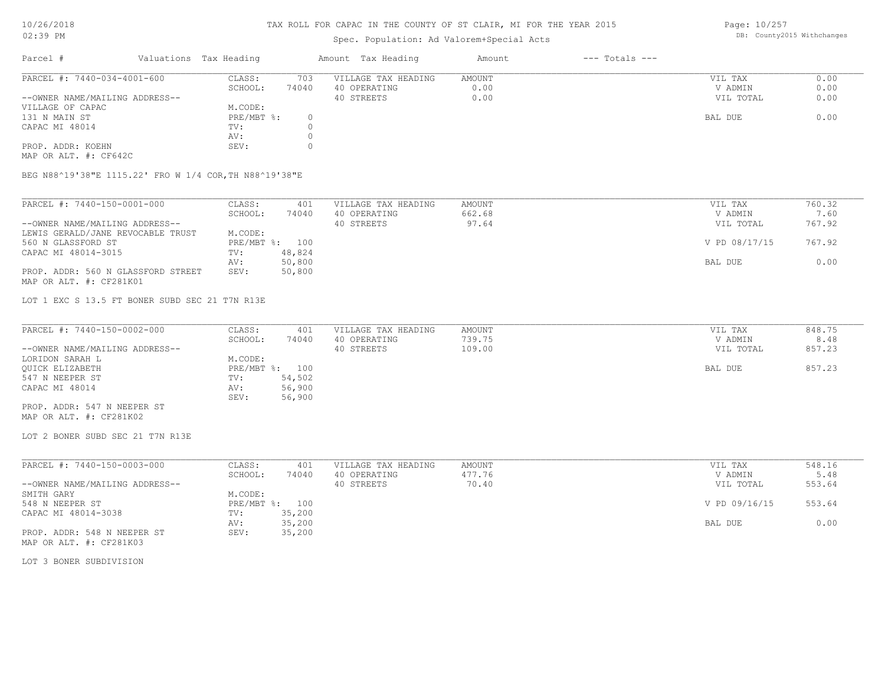## Spec. Population: Ad Valorem+Special Acts

Page: 10/257 DB: County2015 Withchanges

| Parcel #<br>Valuations Tax Heading<br>$---$ Totals $---$<br>Amount Tax Heading<br>Amount |      |
|------------------------------------------------------------------------------------------|------|
| PARCEL #: 7440-034-4001-600<br>703<br>VILLAGE TAX HEADING<br>CLASS:<br>AMOUNT<br>VIL TAX | 0.00 |
| SCHOOL:<br>74040<br>V ADMIN<br>40 OPERATING<br>0.00                                      | 0.00 |
| --OWNER NAME/MAILING ADDRESS--<br>0.00<br>40 STREETS<br>VIL TOTAL                        | 0.00 |
| M.CODE:<br>VILLAGE OF CAPAC                                                              |      |
| $PRE/MBT$ %:<br>131 N MAIN ST<br>BAL DUE                                                 | 0.00 |
| CAPAC MI 48014<br>TV:                                                                    |      |
| AV:                                                                                      |      |
| PROP. ADDR: KOEHN<br>SEV:                                                                |      |

MAP OR ALT. #: CF642C

BEG N88^19'38"E 1115.22' FRO W 1/4 COR,TH N88^19'38"E

| PARCEL #: 7440-150-0001-000        | CLASS:  | 401            | VILLAGE TAX HEADING | AMOUNT | VIL TAX       | 760.32 |
|------------------------------------|---------|----------------|---------------------|--------|---------------|--------|
|                                    | SCHOOL: | 74040          | 40 OPERATING        | 662.68 | V ADMIN       | 7.60   |
| --OWNER NAME/MAILING ADDRESS--     |         |                | 40 STREETS          | 97.64  | VIL TOTAL     | 767.92 |
| LEWIS GERALD/JANE REVOCABLE TRUST  | M.CODE: |                |                     |        |               |        |
| 560 N GLASSFORD ST                 |         | PRE/MBT %: 100 |                     |        | V PD 08/17/15 | 767.92 |
| CAPAC MI 48014-3015                | TV:     | 48,824         |                     |        |               |        |
|                                    | AV:     | 50,800         |                     |        | BAL DUE       | 0.00   |
| PROP. ADDR: 560 N GLASSFORD STREET | SEV:    | 50,800         |                     |        |               |        |
| MAP OR ALT. #: CF281K01            |         |                |                     |        |               |        |

LOT 1 EXC S 13.5 FT BONER SUBD SEC 21 T7N R13E

| PARCEL #: 7440-150-0002-000    | CLASS:         | 401    | VILLAGE TAX HEADING | AMOUNT | VIL TAX   | 848.75 |
|--------------------------------|----------------|--------|---------------------|--------|-----------|--------|
|                                | SCHOOL:        | 74040  | 40 OPERATING        | 739.75 | V ADMIN   | 8.48   |
| --OWNER NAME/MAILING ADDRESS-- |                |        | 40 STREETS          | 109.00 | VIL TOTAL | 857.23 |
| LORIDON SARAH L                | M.CODE:        |        |                     |        |           |        |
| OUICK ELIZABETH                | PRE/MBT %: 100 |        |                     |        | BAL DUE   | 857.23 |
| 547 N NEEPER ST                | TV:            | 54,502 |                     |        |           |        |
| CAPAC MI 48014                 | AV:            | 56,900 |                     |        |           |        |
|                                | SEV:           | 56,900 |                     |        |           |        |
| PROP. ADDR: 547 N NEEPER ST    |                |        |                     |        |           |        |

MAP OR ALT. #: CF281K02

LOT 2 BONER SUBD SEC 21 T7N R13E

| PARCEL #: 7440-150-0003-000    | CLASS:  | 401            | VILLAGE TAX HEADING | AMOUNT | VIL TAX       | 548.16 |
|--------------------------------|---------|----------------|---------------------|--------|---------------|--------|
|                                | SCHOOL: | 74040          | 40 OPERATING        | 477.76 | V ADMIN       | 5.48   |
| --OWNER NAME/MAILING ADDRESS-- |         |                | 40 STREETS          | 70.40  | VIL TOTAL     | 553.64 |
| SMITH GARY                     | M.CODE: |                |                     |        |               |        |
| 548 N NEEPER ST                |         | PRE/MBT %: 100 |                     |        | V PD 09/16/15 | 553.64 |
| CAPAC MI 48014-3038            | TV:     | 35,200         |                     |        |               |        |
|                                | AV:     | 35,200         |                     |        | BAL DUE       | 0.00   |
| PROP. ADDR: 548 N NEEPER ST    | SEV:    | 35,200         |                     |        |               |        |
| MAP OR ALT. #: CF281K03        |         |                |                     |        |               |        |

LOT 3 BONER SUBDIVISION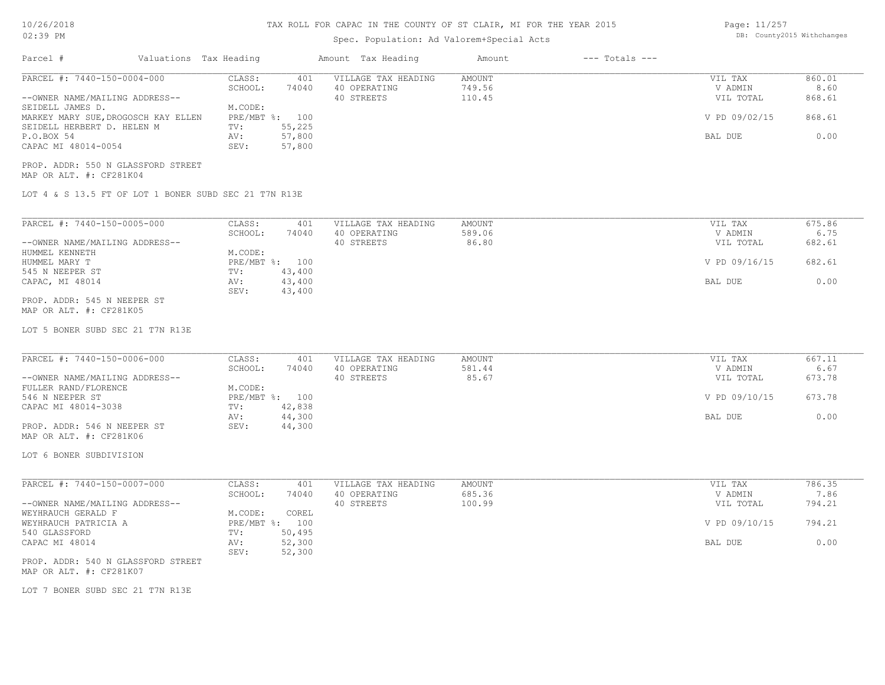### TAX ROLL FOR CAPAC IN THE COUNTY OF ST CLAIR, MI FOR THE YEAR 2015

Page: 11/257 DB: County2015 Withchanges

| UZ: JY FM                                                                                                                                                                                                                                                    |                                                                                                                    | Spec. Population: Ad Valorem+Special Acts         |                            |                    |                                                             | DD. COUNCYZOIS WICHCHANGES                 |
|--------------------------------------------------------------------------------------------------------------------------------------------------------------------------------------------------------------------------------------------------------------|--------------------------------------------------------------------------------------------------------------------|---------------------------------------------------|----------------------------|--------------------|-------------------------------------------------------------|--------------------------------------------|
| Parcel #                                                                                                                                                                                                                                                     | Valuations Tax Heading                                                                                             | Amount Tax Heading                                | Amount                     | $---$ Totals $---$ |                                                             |                                            |
| PARCEL #: 7440-150-0004-000<br>--OWNER NAME/MAILING ADDRESS--<br>SEIDELL JAMES D.<br>MARKEY MARY SUE, DROGOSCH KAY ELLEN<br>SEIDELL HERBERT D. HELEN M<br>P.O.BOX 54<br>CAPAC MI 48014-0054<br>PROP. ADDR: 550 N GLASSFORD STREET<br>MAP OR ALT. #: CF281K04 | CLASS:<br>401<br>SCHOOL:<br>74040<br>M.CODE:<br>PRE/MBT %: 100<br>55,225<br>TV:<br>57,800<br>AV:<br>57,800<br>SEV: | VILLAGE TAX HEADING<br>40 OPERATING<br>40 STREETS | AMOUNT<br>749.56<br>110.45 |                    | VIL TAX<br>V ADMIN<br>VIL TOTAL<br>V PD 09/02/15<br>BAL DUE | 860.01<br>8.60<br>868.61<br>868.61<br>0.00 |
| LOT 4 & S 13.5 FT OF LOT 1 BONER SUBD SEC 21 T7N R13E                                                                                                                                                                                                        |                                                                                                                    |                                                   |                            |                    |                                                             |                                            |
| PARCEL #: 7440-150-0005-000<br>--OWNER NAME/MAILING ADDRESS--<br>HUMMEL KENNETH<br>HUMMEL MARY T<br>545 N NEEPER ST<br>CAPAC, MI 48014<br>PROP. ADDR: 545 N NEEPER ST<br>MAP OR ALT. #: CF281K05                                                             | CLASS:<br>401<br>SCHOOL:<br>74040<br>M.CODE:<br>PRE/MBT %: 100<br>43,400<br>TV:<br>43,400<br>AV:<br>SEV:<br>43,400 | VILLAGE TAX HEADING<br>40 OPERATING<br>40 STREETS | AMOUNT<br>589.06<br>86.80  |                    | VIL TAX<br>V ADMIN<br>VIL TOTAL<br>V PD 09/16/15<br>BAL DUE | 675.86<br>6.75<br>682.61<br>682.61<br>0.00 |
| LOT 5 BONER SUBD SEC 21 T7N R13E<br>PARCEL #: 7440-150-0006-000                                                                                                                                                                                              | CLASS:<br>401                                                                                                      | VILLAGE TAX HEADING                               | AMOUNT                     |                    | VIL TAX                                                     | 667.11                                     |
| --OWNER NAME/MAILING ADDRESS--<br>FULLER RAND/FLORENCE<br>546 N NEEPER ST<br>CAPAC MI 48014-3038<br>PROP. ADDR: 546 N NEEPER ST<br>MAP OR ALT. #: CF281K06                                                                                                   | SCHOOL:<br>74040<br>M.CODE:<br>PRE/MBT %: 100<br>TV:<br>42,838<br>44,300<br>AV:<br>SEV:<br>44,300                  | 40 OPERATING<br>40 STREETS                        | 581.44<br>85.67            |                    | V ADMIN<br>VIL TOTAL<br>V PD 09/10/15<br>BAL DUE            | 6.67<br>673.78<br>673.78<br>0.00           |
| LOT 6 BONER SUBDIVISION                                                                                                                                                                                                                                      |                                                                                                                    |                                                   |                            |                    |                                                             |                                            |
| PARCEL #: 7440-150-0007-000<br>--OWNER NAME/MAILING ADDRESS--<br>WEYHRAUCH GERALD F<br>WEYHRAUCH PATRICIA A<br>540 GLASSFORD                                                                                                                                 | CLASS:<br>401<br>SCHOOL:<br>74040<br>M.CODE:<br>COREL<br>PRE/MBT %: 100<br>TV:<br>50,495                           | VILLAGE TAX HEADING<br>40 OPERATING<br>40 STREETS | AMOUNT<br>685.36<br>100.99 |                    | VIL TAX<br>V ADMIN<br>VIL TOTAL<br>V PD 09/10/15            | 786.35<br>7.86<br>794.21<br>794.21         |
| CAPAC MI 48014<br>PROP. ADDR: 540 N GLASSFORD STREET<br>MAP OR ALT. #: CF281K07                                                                                                                                                                              | 52,300<br>AV:<br>52,300<br>SEV:                                                                                    |                                                   |                            |                    | BAL DUE                                                     | 0.00                                       |
| LOT 7 BONER SUBD SEC 21 T7N R13E                                                                                                                                                                                                                             |                                                                                                                    |                                                   |                            |                    |                                                             |                                            |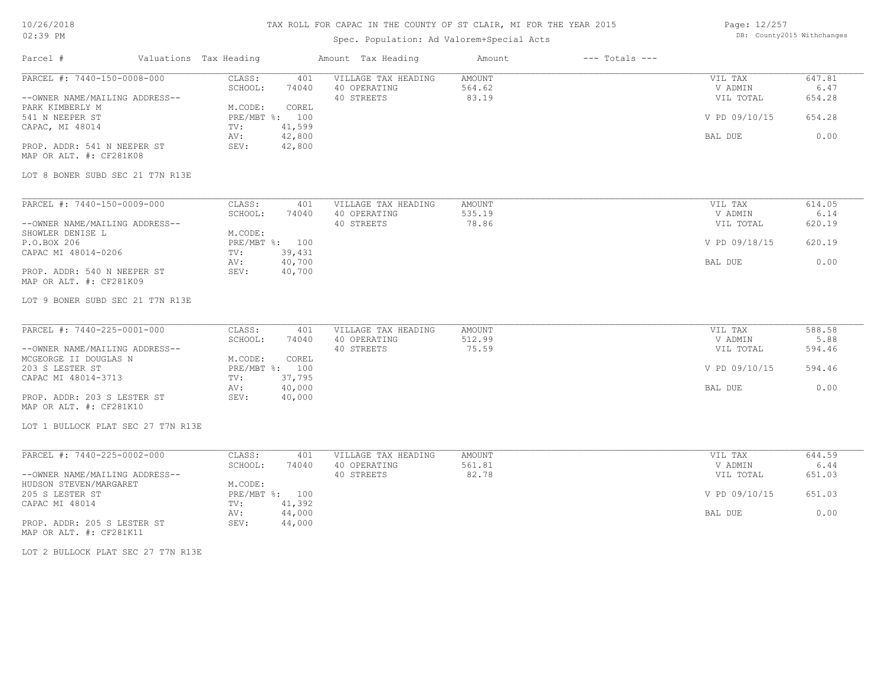## TAX ROLL FOR CAPAC IN THE COUNTY OF ST CLAIR, MI FOR THE YEAR 2015

## Spec. Population: Ad Valorem+Special Acts

Page: 12/257 DB: County2015 Withchanges

| Parcel #                           | Valuations Tax Heading | Amount Tax Heading  | Amount | $---$ Totals $---$ |               |        |
|------------------------------------|------------------------|---------------------|--------|--------------------|---------------|--------|
| PARCEL #: 7440-150-0008-000        | CLASS:<br>401          | VILLAGE TAX HEADING | AMOUNT |                    | VIL TAX       | 647.81 |
|                                    | SCHOOL:<br>74040       | 40 OPERATING        | 564.62 |                    | V ADMIN       | 6.47   |
| --OWNER NAME/MAILING ADDRESS--     |                        | 40 STREETS          | 83.19  |                    | VIL TOTAL     | 654.28 |
| PARK KIMBERLY M                    | M.CODE:<br>COREL       |                     |        |                    |               |        |
| 541 N NEEPER ST                    | PRE/MBT %: 100         |                     |        |                    | V PD 09/10/15 | 654.28 |
| CAPAC, MI 48014                    | 41,599<br>TV:          |                     |        |                    |               |        |
|                                    | 42,800<br>AV:          |                     |        |                    | BAL DUE       | 0.00   |
| PROP. ADDR: 541 N NEEPER ST        | 42,800<br>SEV:         |                     |        |                    |               |        |
| MAP OR ALT. #: CF281K08            |                        |                     |        |                    |               |        |
| LOT 8 BONER SUBD SEC 21 T7N R13E   |                        |                     |        |                    |               |        |
|                                    |                        |                     |        |                    |               |        |
| PARCEL #: 7440-150-0009-000        | CLASS:<br>401          | VILLAGE TAX HEADING | AMOUNT |                    | VIL TAX       | 614.05 |
|                                    | SCHOOL:<br>74040       | 40 OPERATING        | 535.19 |                    | V ADMIN       | 6.14   |
| --OWNER NAME/MAILING ADDRESS--     |                        | 40 STREETS          | 78.86  |                    | VIL TOTAL     | 620.19 |
| SHOWLER DENISE L                   | M.CODE:                |                     |        |                    |               |        |
| P.O.BOX 206                        | PRE/MBT %: 100         |                     |        |                    | V PD 09/18/15 | 620.19 |
| CAPAC MI 48014-0206                | 39,431<br>TV:          |                     |        |                    |               |        |
|                                    | 40,700<br>AV:          |                     |        |                    | BAL DUE       | 0.00   |
| PROP. ADDR: 540 N NEEPER ST        | 40,700<br>SEV:         |                     |        |                    |               |        |
| MAP OR ALT. #: CF281K09            |                        |                     |        |                    |               |        |
|                                    |                        |                     |        |                    |               |        |
| LOT 9 BONER SUBD SEC 21 T7N R13E   |                        |                     |        |                    |               |        |
|                                    |                        |                     |        |                    |               |        |
| PARCEL #: 7440-225-0001-000        | CLASS:<br>401          | VILLAGE TAX HEADING | AMOUNT |                    | VIL TAX       | 588.58 |
|                                    | SCHOOL:<br>74040       | 40 OPERATING        | 512.99 |                    | V ADMIN       | 5.88   |
| --OWNER NAME/MAILING ADDRESS--     |                        | 40 STREETS          | 75.59  |                    | VIL TOTAL     | 594.46 |
| MCGEORGE II DOUGLAS N              | M.CODE:<br>COREL       |                     |        |                    |               |        |
| 203 S LESTER ST                    | PRE/MBT %: 100         |                     |        |                    | V PD 09/10/15 | 594.46 |
| CAPAC MI 48014-3713                | 37,795<br>TV:          |                     |        |                    |               |        |
|                                    | 40,000<br>AV:          |                     |        |                    | BAL DUE       | 0.00   |
| PROP. ADDR: 203 S LESTER ST        | 40,000<br>SEV:         |                     |        |                    |               |        |
| MAP OR ALT. #: CF281K10            |                        |                     |        |                    |               |        |
| LOT 1 BULLOCK PLAT SEC 27 T7N R13E |                        |                     |        |                    |               |        |
|                                    |                        |                     |        |                    |               |        |
| PARCEL #: 7440-225-0002-000        | CLASS:<br>401          | VILLAGE TAX HEADING | AMOUNT |                    | VIL TAX       | 644.59 |
|                                    | SCHOOL:<br>74040       | 40 OPERATING        | 561.81 |                    | V ADMIN       | 6.44   |
| --OWNER NAME/MAILING ADDRESS--     |                        | 40 STREETS          | 82.78  |                    | VIL TOTAL     | 651.03 |
| HUDSON STEVEN/MARGARET             | M.CODE:                |                     |        |                    |               |        |
| 205 S LESTER ST                    | PRE/MBT %: 100         |                     |        |                    | V PD 09/10/15 | 651.03 |
| CAPAC MI 48014                     | 41,392<br>TV:          |                     |        |                    |               |        |
|                                    | 44,000<br>AV:          |                     |        |                    | BAL DUE       | 0.00   |
| PROP. ADDR: 205 S LESTER ST        | 44,000<br>SEV:         |                     |        |                    |               |        |
| MAP OR ALT. #: CF281K11            |                        |                     |        |                    |               |        |

LOT 2 BULLOCK PLAT SEC 27 T7N R13E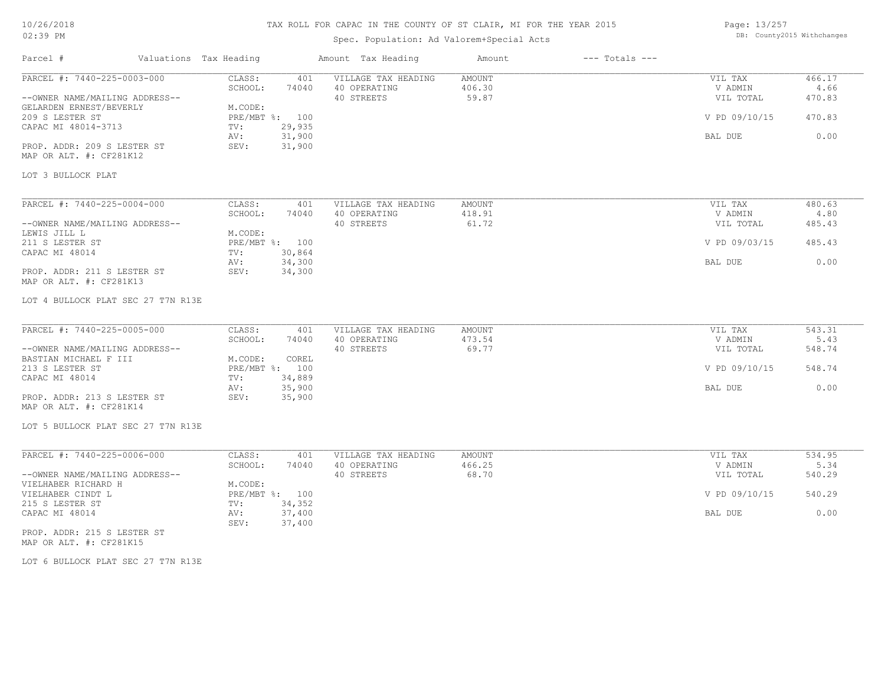### TAX ROLL FOR CAPAC IN THE COUNTY OF ST CLAIR, MI FOR THE YEAR 2015

## Spec. Population: Ad Valorem+Special Acts

| Page: 13/257 |                            |
|--------------|----------------------------|
|              | DB: County2015 Withchanges |

| Parcel #                                                  | Valuations Tax Heading |              | Amount Tax Heading                  | Amount           | $---$ Totals $---$ |                    |                |
|-----------------------------------------------------------|------------------------|--------------|-------------------------------------|------------------|--------------------|--------------------|----------------|
| PARCEL #: 7440-225-0003-000                               | CLASS:<br>SCHOOL:      | 401<br>74040 | VILLAGE TAX HEADING<br>40 OPERATING | AMOUNT<br>406.30 |                    | VIL TAX<br>V ADMIN | 466.17<br>4.66 |
| --OWNER NAME/MAILING ADDRESS--<br>GELARDEN ERNEST/BEVERLY | M.CODE:                |              | 40 STREETS                          | 59.87            |                    | VIL TOTAL          | 470.83         |
| 209 S LESTER ST<br>CAPAC MI 48014-3713                    | PRE/MBT %: 100<br>TV:  | 29,935       |                                     |                  |                    | V PD 09/10/15      | 470.83         |
|                                                           | AV:                    | 31,900       |                                     |                  |                    | BAL DUE            | 0.00           |
| PROP. ADDR: 209 S LESTER ST<br>MAP OR ALT. #: CF281K12    | SEV:                   | 31,900       |                                     |                  |                    |                    |                |
| LOT 3 BULLOCK PLAT                                        |                        |              |                                     |                  |                    |                    |                |
|                                                           |                        |              |                                     |                  |                    |                    |                |
| PARCEL #: 7440-225-0004-000                               | CLASS:<br>SCHOOL:      | 401<br>74040 | VILLAGE TAX HEADING<br>40 OPERATING | AMOUNT<br>418.91 |                    | VIL TAX<br>V ADMIN | 480.63<br>4.80 |
| --OWNER NAME/MAILING ADDRESS--                            |                        |              | 40 STREETS                          | 61.72            |                    | VIL TOTAL          | 485.43         |
| LEWIS JILL L                                              | M.CODE:                |              |                                     |                  |                    |                    |                |
| 211 S LESTER ST                                           | PRE/MBT %: 100         |              |                                     |                  |                    | V PD 09/03/15      | 485.43         |
| CAPAC MI 48014                                            | TV:                    | 30,864       |                                     |                  |                    |                    |                |
|                                                           | AV:                    | 34,300       |                                     |                  |                    | BAL DUE            | 0.00           |
| PROP. ADDR: 211 S LESTER ST                               | SEV:                   | 34,300       |                                     |                  |                    |                    |                |
| MAP OR ALT. #: CF281K13                                   |                        |              |                                     |                  |                    |                    |                |
| LOT 4 BULLOCK PLAT SEC 27 T7N R13E                        |                        |              |                                     |                  |                    |                    |                |
|                                                           |                        |              |                                     |                  |                    |                    |                |
| PARCEL #: 7440-225-0005-000                               | CLASS:                 | 401          | VILLAGE TAX HEADING                 | AMOUNT           |                    | VIL TAX            | 543.31         |
|                                                           | SCHOOL:                | 74040        | 40 OPERATING                        | 473.54           |                    | V ADMIN            | 5.43           |
| --OWNER NAME/MAILING ADDRESS--<br>BASTIAN MICHAEL F III   | M.CODE:                | COREL        | 40 STREETS                          | 69.77            |                    | VIL TOTAL          | 548.74         |
| 213 S LESTER ST                                           | PRE/MBT %: 100         |              |                                     |                  |                    | V PD 09/10/15      | 548.74         |
| CAPAC MI 48014                                            | TV:                    | 34,889       |                                     |                  |                    |                    |                |
|                                                           | AV:                    | 35,900       |                                     |                  |                    | BAL DUE            | 0.00           |
| PROP. ADDR: 213 S LESTER ST<br>MAP OR ALT. #: CF281K14    | SEV:                   | 35,900       |                                     |                  |                    |                    |                |
| LOT 5 BULLOCK PLAT SEC 27 T7N R13E                        |                        |              |                                     |                  |                    |                    |                |
|                                                           |                        |              |                                     |                  |                    |                    |                |
| PARCEL #: 7440-225-0006-000                               | CLASS:                 | 401          | VILLAGE TAX HEADING                 | AMOUNT           |                    | VIL TAX            | 534.95         |
|                                                           | SCHOOL:                | 74040        | 40 OPERATING<br>40 STREETS          | 466.25<br>68.70  |                    | V ADMIN            | 5.34           |
| --OWNER NAME/MAILING ADDRESS--<br>VIELHABER RICHARD H     | M.CODE:                |              |                                     |                  |                    | VIL TOTAL          | 540.29         |
| VIELHABER CINDT L                                         | PRE/MBT %: 100         |              |                                     |                  |                    | V PD 09/10/15      | 540.29         |
| 215 S LESTER ST                                           | TV:                    | 34,352       |                                     |                  |                    |                    |                |
| CAPAC MI 48014                                            | AV:                    | 37,400       |                                     |                  |                    | BAL DUE            | 0.00           |
|                                                           | SEV:                   | 37,400       |                                     |                  |                    |                    |                |
| PROP. ADDR: 215 S LESTER ST                               |                        |              |                                     |                  |                    |                    |                |

MAP OR ALT. #: CF281K15

LOT 6 BULLOCK PLAT SEC 27 T7N R13E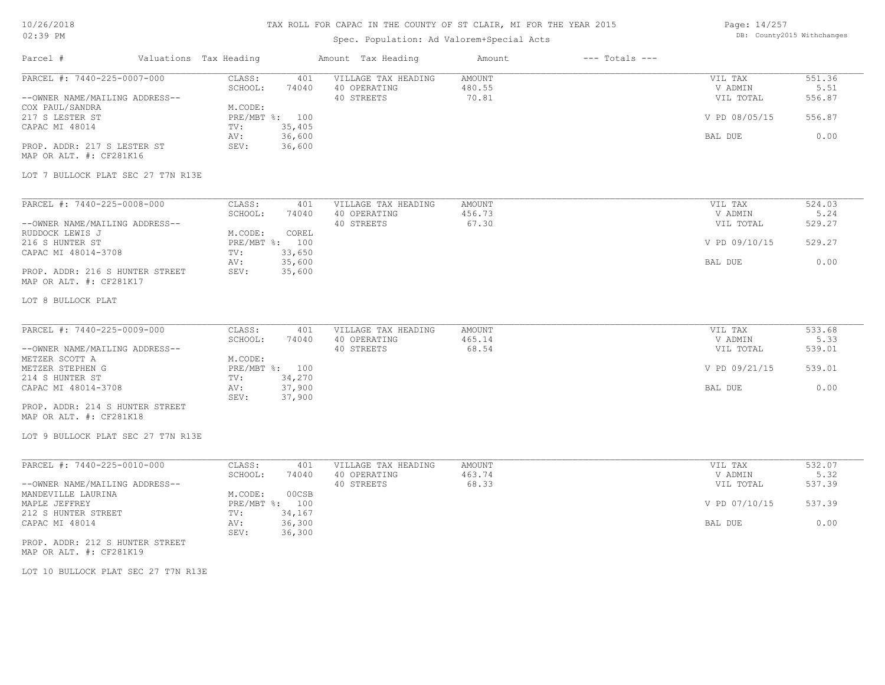## TAX ROLL FOR CAPAC IN THE COUNTY OF ST CLAIR, MI FOR THE YEAR 2015

## Spec. Population: Ad Valorem+Special Acts

Page: 14/257 DB: County2015 Withchanges

| Parcel #                                                                                                                                                                        | Valuations Tax Heading                                                                                                      | Amount Tax Heading                                | Amount                           | $---$ Totals $---$ |                                                             |                                            |
|---------------------------------------------------------------------------------------------------------------------------------------------------------------------------------|-----------------------------------------------------------------------------------------------------------------------------|---------------------------------------------------|----------------------------------|--------------------|-------------------------------------------------------------|--------------------------------------------|
| PARCEL #: 7440-225-0007-000<br>--OWNER NAME/MAILING ADDRESS--<br>COX PAUL/SANDRA<br>217 S LESTER ST<br>CAPAC MI 48014<br>PROP. ADDR: 217 S LESTER ST<br>MAP OR ALT. #: CF281K16 | CLASS:<br>401<br>SCHOOL:<br>74040<br>M.CODE:<br>PRE/MBT %: 100<br>35,405<br>TV:<br>36,600<br>AV:<br>36,600<br>SEV:          | VILLAGE TAX HEADING<br>40 OPERATING<br>40 STREETS | AMOUNT<br>480.55<br>70.81        |                    | VIL TAX<br>V ADMIN<br>VIL TOTAL<br>V PD 08/05/15<br>BAL DUE | 551.36<br>5.51<br>556.87<br>556.87<br>0.00 |
| LOT 7 BULLOCK PLAT SEC 27 T7N R13E                                                                                                                                              |                                                                                                                             |                                                   |                                  |                    |                                                             |                                            |
| PARCEL #: 7440-225-0008-000<br>--OWNER NAME/MAILING ADDRESS--<br>RUDDOCK LEWIS J<br>216 S HUNTER ST<br>CAPAC MI 48014-3708                                                      | CLASS:<br>401<br>SCHOOL:<br>74040<br>M.CODE:<br>COREL<br>PRE/MBT %: 100<br>33,650<br>TV:                                    | VILLAGE TAX HEADING<br>40 OPERATING<br>40 STREETS | <b>AMOUNT</b><br>456.73<br>67.30 |                    | VIL TAX<br>V ADMIN<br>VIL TOTAL<br>V PD 09/10/15            | 524.03<br>5.24<br>529.27<br>529.27         |
| PROP. ADDR: 216 S HUNTER STREET<br>MAP OR ALT. #: CF281K17                                                                                                                      | 35,600<br>AV:<br>35,600<br>SEV:                                                                                             |                                                   |                                  |                    | BAL DUE                                                     | 0.00                                       |
| LOT 8 BULLOCK PLAT                                                                                                                                                              |                                                                                                                             |                                                   |                                  |                    |                                                             |                                            |
| PARCEL #: 7440-225-0009-000<br>--OWNER NAME/MAILING ADDRESS--                                                                                                                   | CLASS:<br>401<br>SCHOOL:<br>74040                                                                                           | VILLAGE TAX HEADING<br>40 OPERATING<br>40 STREETS | <b>AMOUNT</b><br>465.14<br>68.54 |                    | VIL TAX<br>V ADMIN<br>VIL TOTAL                             | 533.68<br>5.33<br>539.01                   |
| METZER SCOTT A<br>METZER STEPHEN G                                                                                                                                              | M.CODE:<br>PRE/MBT %: 100                                                                                                   |                                                   |                                  |                    | V PD 09/21/15                                               | 539.01                                     |
| 214 S HUNTER ST<br>CAPAC MI 48014-3708<br>PROP. ADDR: 214 S HUNTER STREET<br>MAP OR ALT. #: CF281K18                                                                            | 34,270<br>TV:<br>37,900<br>AV:<br>37,900<br>SEV:                                                                            |                                                   |                                  |                    | BAL DUE                                                     | 0.00                                       |
| LOT 9 BULLOCK PLAT SEC 27 T7N R13E                                                                                                                                              |                                                                                                                             |                                                   |                                  |                    |                                                             |                                            |
| PARCEL #: 7440-225-0010-000<br>--OWNER NAME/MAILING ADDRESS--<br>MANDEVILLE LAURINA<br>MAPLE JEFFREY<br>212 S HUNTER STREET<br>CAPAC MI 48014                                   | CLASS:<br>401<br>SCHOOL:<br>74040<br>M.CODE:<br>00CSB<br>PRE/MBT %: 100<br>34,167<br>TV:<br>36,300<br>AV:<br>SEV:<br>36,300 | VILLAGE TAX HEADING<br>40 OPERATING<br>40 STREETS | <b>AMOUNT</b><br>463.74<br>68.33 |                    | VIL TAX<br>V ADMIN<br>VIL TOTAL<br>V PD 07/10/15<br>BAL DUE | 532.07<br>5.32<br>537.39<br>537.39<br>0.00 |
| PROP. ADDR: 212 S HUNTER STREET<br>MAP OR ALT. #: CF281K19                                                                                                                      |                                                                                                                             |                                                   |                                  |                    |                                                             |                                            |

LOT 10 BULLOCK PLAT SEC 27 T7N R13E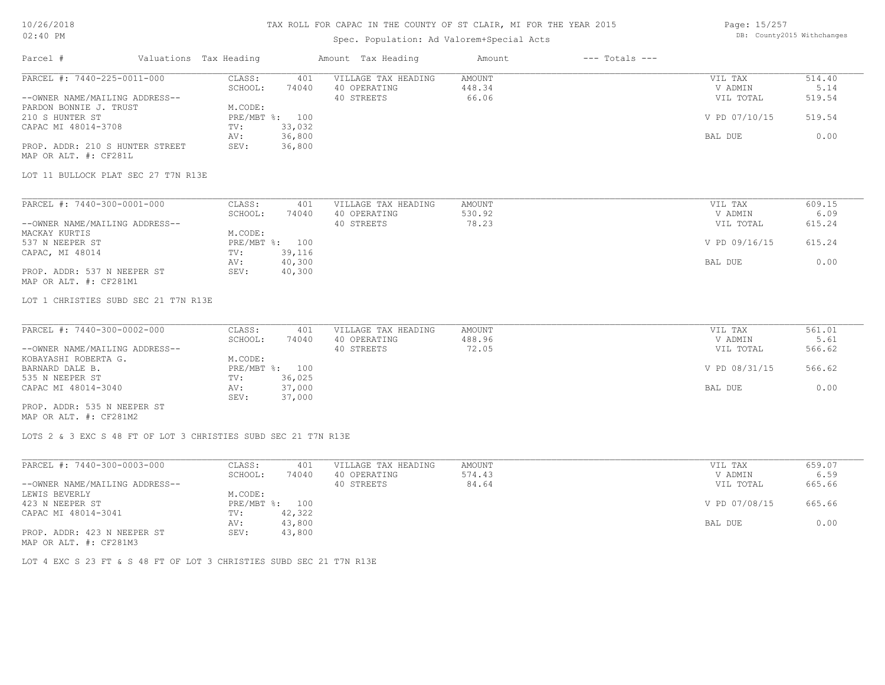### 10/26/2018 02:40 PM

## TAX ROLL FOR CAPAC IN THE COUNTY OF ST CLAIR, MI FOR THE YEAR 2015

## Spec. Population: Ad Valorem+Special Acts

| Page: 15/257 |                            |
|--------------|----------------------------|
|              | DB: County2015 Withchanges |

| Parcel #                                  | Valuations Tax Heading                                         | Amount Tax Heading         | $---$ Totals $---$<br>Amount |               |        |
|-------------------------------------------|----------------------------------------------------------------|----------------------------|------------------------------|---------------|--------|
| PARCEL #: 7440-225-0011-000               | CLASS:                                                         | 401<br>VILLAGE TAX HEADING | <b>AMOUNT</b>                | VIL TAX       | 514.40 |
|                                           | SCHOOL:<br>74040                                               | 40 OPERATING               | 448.34                       | V ADMIN       | 5.14   |
| --OWNER NAME/MAILING ADDRESS--            |                                                                | 40 STREETS                 | 66.06                        | VIL TOTAL     | 519.54 |
| PARDON BONNIE J. TRUST<br>210 S HUNTER ST | M.CODE:<br>PRE/MBT %: 100                                      |                            |                              | V PD 07/10/15 | 519.54 |
| CAPAC MI 48014-3708                       | 33,032<br>TV:                                                  |                            |                              |               |        |
|                                           | 36,800<br>AV:                                                  |                            |                              | BAL DUE       | 0.00   |
| PROP. ADDR: 210 S HUNTER STREET           | 36,800<br>SEV:                                                 |                            |                              |               |        |
| MAP OR ALT. #: CF281L                     |                                                                |                            |                              |               |        |
|                                           |                                                                |                            |                              |               |        |
| LOT 11 BULLOCK PLAT SEC 27 T7N R13E       |                                                                |                            |                              |               |        |
| PARCEL #: 7440-300-0001-000               | CLASS:                                                         | 401<br>VILLAGE TAX HEADING | <b>AMOUNT</b>                | VIL TAX       | 609.15 |
|                                           | SCHOOL:<br>74040                                               | 40 OPERATING               | 530.92                       | V ADMIN       | 6.09   |
| --OWNER NAME/MAILING ADDRESS--            |                                                                | 40 STREETS                 | 78.23                        | VIL TOTAL     | 615.24 |
| MACKAY KURTIS                             | M.CODE:                                                        |                            |                              |               |        |
| 537 N NEEPER ST                           | PRE/MBT %: 100                                                 |                            |                              | V PD 09/16/15 | 615.24 |
| CAPAC, MI 48014                           | 39,116<br>TV:                                                  |                            |                              |               |        |
|                                           | 40,300<br>AV:                                                  |                            |                              | BAL DUE       | 0.00   |
| PROP. ADDR: 537 N NEEPER ST               | SEV:<br>40,300                                                 |                            |                              |               |        |
| MAP OR ALT. #: CF281M1                    |                                                                |                            |                              |               |        |
| LOT 1 CHRISTIES SUBD SEC 21 T7N R13E      |                                                                |                            |                              |               |        |
|                                           |                                                                |                            |                              |               |        |
| PARCEL #: 7440-300-0002-000               | CLASS:                                                         | 401<br>VILLAGE TAX HEADING | AMOUNT                       | VIL TAX       | 561.01 |
|                                           | SCHOOL:<br>74040                                               | 40 OPERATING               | 488.96                       | V ADMIN       | 5.61   |
| --OWNER NAME/MAILING ADDRESS--            |                                                                | 40 STREETS                 | 72.05                        | VIL TOTAL     | 566.62 |
| KOBAYASHI ROBERTA G.                      | M.CODE:                                                        |                            |                              |               |        |
| BARNARD DALE B.                           | PRE/MBT %: 100                                                 |                            |                              | V PD 08/31/15 | 566.62 |
| 535 N NEEPER ST                           | 36,025<br>TV:                                                  |                            |                              |               |        |
| CAPAC MI 48014-3040                       | AV:<br>37,000                                                  |                            |                              | BAL DUE       | 0.00   |
| PROP. ADDR: 535 N NEEPER ST               | SEV:<br>37,000                                                 |                            |                              |               |        |
| MAP OR ALT. #: CF281M2                    |                                                                |                            |                              |               |        |
|                                           |                                                                |                            |                              |               |        |
|                                           | LOTS 2 & 3 EXC S 48 FT OF LOT 3 CHRISTIES SUBD SEC 21 T7N R13E |                            |                              |               |        |
|                                           |                                                                |                            |                              |               |        |
| PARCEL #: 7440-300-0003-000               | CLASS:                                                         | VILLAGE TAX HEADING<br>401 | <b>AMOUNT</b>                | VIL TAX       | 659.07 |
|                                           | SCHOOL:<br>74040                                               | 40 OPERATING               | 574.43                       | V ADMIN       | 6.59   |
| --OWNER NAME/MAILING ADDRESS--            |                                                                | 40 STREETS                 | 84.64                        | VIL TOTAL     | 665.66 |
| LEWIS BEVERLY                             | M.CODE:                                                        |                            |                              |               |        |
|                                           | PRE/MBT %: 100                                                 |                            |                              | V PD 07/08/15 | 665.66 |
| 423 N NEEPER ST                           |                                                                |                            |                              |               |        |
| CAPAC MI 48014-3041                       | 42,322<br>TV:                                                  |                            |                              |               |        |
| PROP. ADDR: 423 N NEEPER ST               | AV:<br>43,800<br>SEV:<br>43,800                                |                            |                              | BAL DUE       | 0.00   |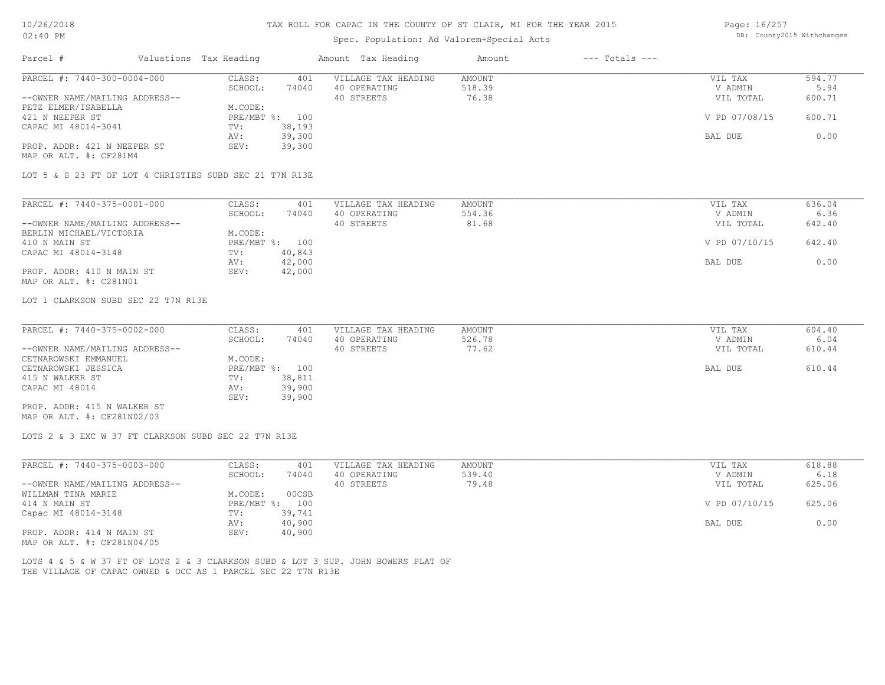# Spec. Population: Ad Valorem+Special Acts

Page: 16/257 DB: County2015 Withchanges

|                                                                                   |                  | spec. Population: Ad valorem+special Acts |                              |               |        |
|-----------------------------------------------------------------------------------|------------------|-------------------------------------------|------------------------------|---------------|--------|
| Parcel #<br>Valuations Tax Heading                                                |                  | Amount Tax Heading                        | $---$ Totals $---$<br>Amount |               |        |
| PARCEL #: 7440-300-0004-000                                                       | CLASS:<br>401    | VILLAGE TAX HEADING                       | AMOUNT                       | VIL TAX       | 594.77 |
|                                                                                   | SCHOOL:<br>74040 | 40 OPERATING                              | 518.39                       | V ADMIN       | 5.94   |
| --OWNER NAME/MAILING ADDRESS--                                                    |                  | 40 STREETS                                | 76.38                        | VIL TOTAL     | 600.71 |
| PETZ ELMER/ISABELLA                                                               | M.CODE:          |                                           |                              |               |        |
| 421 N NEEPER ST                                                                   | PRE/MBT %: 100   |                                           |                              | V PD 07/08/15 | 600.71 |
| CAPAC MI 48014-3041                                                               | 38,193<br>TV:    |                                           |                              |               |        |
|                                                                                   | 39,300<br>AV:    |                                           |                              | BAL DUE       | 0.00   |
| PROP. ADDR: 421 N NEEPER ST<br>MAP OR ALT. #: CF281M4                             | 39,300<br>SEV:   |                                           |                              |               |        |
| LOT 5 & S 23 FT OF LOT 4 CHRISTIES SUBD SEC 21 T7N R13E                           |                  |                                           |                              |               |        |
| PARCEL #: 7440-375-0001-000                                                       | CLASS:<br>401    | VILLAGE TAX HEADING                       | AMOUNT                       | VIL TAX       | 636.04 |
|                                                                                   | SCHOOL:<br>74040 | 40 OPERATING                              | 554.36                       | V ADMIN       | 6.36   |
| --OWNER NAME/MAILING ADDRESS--                                                    |                  | 40 STREETS                                | 81.68                        | VIL TOTAL     | 642.40 |
| BERLIN MICHAEL/VICTORIA                                                           | M.CODE:          |                                           |                              |               |        |
| 410 N MAIN ST                                                                     | PRE/MBT %: 100   |                                           |                              | V PD 07/10/15 | 642.40 |
| CAPAC MI 48014-3148                                                               | 40,843<br>TV:    |                                           |                              |               |        |
|                                                                                   | 42,000<br>AV:    |                                           |                              | BAL DUE       | 0.00   |
| PROP. ADDR: 410 N MAIN ST                                                         | SEV:<br>42,000   |                                           |                              |               |        |
| MAP OR ALT. #: C281N01                                                            |                  |                                           |                              |               |        |
| LOT 1 CLARKSON SUBD SEC 22 T7N R13E                                               |                  |                                           |                              |               |        |
| PARCEL #: 7440-375-0002-000                                                       | CLASS:<br>401    | VILLAGE TAX HEADING                       | <b>AMOUNT</b>                | VIL TAX       | 604.40 |
|                                                                                   | SCHOOL:<br>74040 | 40 OPERATING                              | 526.78                       | V ADMIN       | 6.04   |
| --OWNER NAME/MAILING ADDRESS--                                                    |                  | 40 STREETS                                | 77.62                        | VIL TOTAL     | 610.44 |
| CETNAROWSKI EMMANUEL                                                              | M.CODE:          |                                           |                              |               |        |
| CETNAROWSKI JESSICA                                                               | PRE/MBT %: 100   |                                           |                              | BAL DUE       | 610.44 |
| 415 N WALKER ST                                                                   | 38,811<br>TV:    |                                           |                              |               |        |
| CAPAC MI 48014                                                                    | 39,900<br>AV:    |                                           |                              |               |        |
|                                                                                   | 39,900<br>SEV:   |                                           |                              |               |        |
| PROP. ADDR: 415 N WALKER ST<br>MAP OR ALT. #: CF281N02/03                         |                  |                                           |                              |               |        |
| LOTS 2 & 3 EXC W 37 FT CLARKSON SUBD SEC 22 T7N R13E                              |                  |                                           |                              |               |        |
|                                                                                   |                  |                                           |                              |               |        |
| PARCEL #: 7440-375-0003-000                                                       | CLASS:<br>401    | VILLAGE TAX HEADING                       | <b>AMOUNT</b>                | VIL TAX       | 618.88 |
|                                                                                   | SCHOOL:<br>74040 | 40 OPERATING                              | 539.40                       | V ADMIN       | 6.18   |
| --OWNER NAME/MAILING ADDRESS--                                                    |                  | 40 STREETS                                | 79.48                        | VIL TOTAL     | 625.06 |
| WILLMAN TINA MARIE                                                                | M.CODE:<br>00CSB |                                           |                              |               |        |
| 414 N MAIN ST                                                                     | PRE/MBT %: 100   |                                           |                              | V PD 07/10/15 | 625.06 |
| Capac MI 48014-3148                                                               | 39,741<br>TV:    |                                           |                              |               |        |
|                                                                                   | 40,900<br>AV:    |                                           |                              | BAL DUE       | 0.00   |
| PROP. ADDR: 414 N MAIN ST<br>MAP OR ALT. #: CF281N04/05                           | SEV:<br>40,900   |                                           |                              |               |        |
|                                                                                   |                  |                                           |                              |               |        |
| LOTS 4 & 5 & W 37 FT OF LOTS 2 & 3 CLARKSON SUBD & LOT 3 SUP. JOHN BOWERS PLAT OF |                  |                                           |                              |               |        |
| THE VILLAGE OF CAPAC OWNED & OCC AS 1 PARCEL SEC 22 T7N R13E                      |                  |                                           |                              |               |        |
|                                                                                   |                  |                                           |                              |               |        |
|                                                                                   |                  |                                           |                              |               |        |
|                                                                                   |                  |                                           |                              |               |        |
|                                                                                   |                  |                                           |                              |               |        |
|                                                                                   |                  |                                           |                              |               |        |
|                                                                                   |                  |                                           |                              |               |        |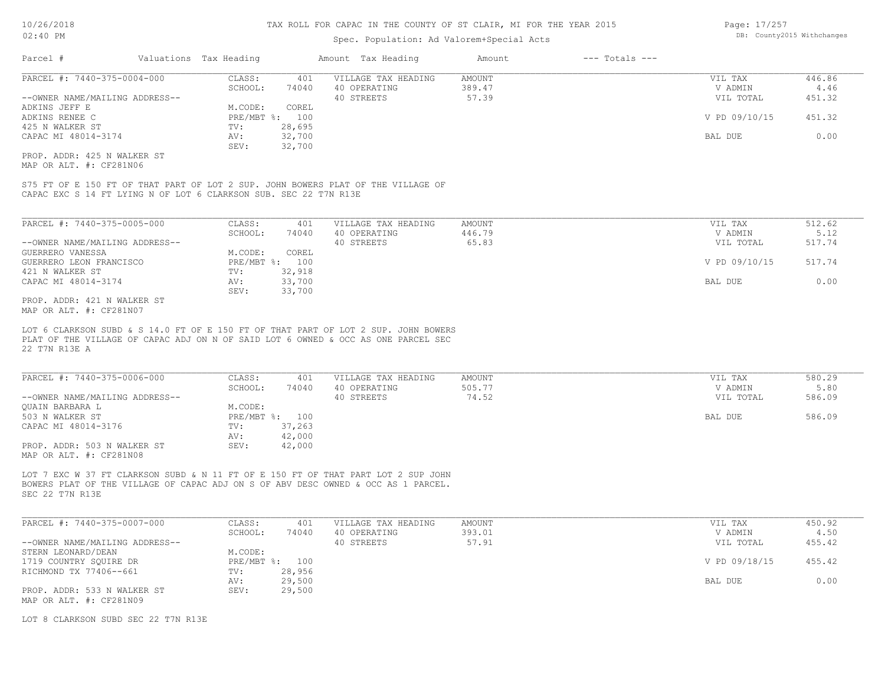### Spec. Population: Ad Valorem+Special Acts

| Parcel #                       | Valuations Tax Heading |        | Amount Tax Heading  | Amount | $---$ Totals $---$ |               |        |
|--------------------------------|------------------------|--------|---------------------|--------|--------------------|---------------|--------|
| PARCEL #: 7440-375-0004-000    | CLASS:                 | 401    | VILLAGE TAX HEADING | AMOUNT |                    | VIL TAX       | 446.86 |
|                                | SCHOOL:                | 74040  | 40 OPERATING        | 389.47 |                    | V ADMIN       | 4.46   |
| --OWNER NAME/MAILING ADDRESS-- |                        |        | 40 STREETS          | 57.39  |                    | VIL TOTAL     | 451.32 |
| ADKINS JEFF E                  | M.CODE:                | COREL  |                     |        |                    |               |        |
| ADKINS RENEE C                 | PRE/MBT %: 100         |        |                     |        |                    | V PD 09/10/15 | 451.32 |
| 425 N WALKER ST                | TV:                    | 28,695 |                     |        |                    |               |        |
| CAPAC MI 48014-3174            | AV:                    | 32,700 |                     |        |                    | BAL DUE       | 0.00   |
|                                | SEV:                   | 32,700 |                     |        |                    |               |        |
| PROP. ADDR: 425 N WALKER ST    |                        |        |                     |        |                    |               |        |

MAP OR ALT. #: CF281N06

CAPAC EXC S 14 FT LYING N OF LOT 6 CLARKSON SUB. SEC 22 T7N R13E S75 FT OF E 150 FT OF THAT PART OF LOT 2 SUP. JOHN BOWERS PLAT OF THE VILLAGE OF

| PARCEL #: 7440-375-0005-000    | CLASS:     | 401    | VILLAGE TAX HEADING | AMOUNT | VIL TAX       | 512.62 |
|--------------------------------|------------|--------|---------------------|--------|---------------|--------|
|                                | SCHOOL:    | 74040  | 40 OPERATING        | 446.79 | V ADMIN       | 5.12   |
| --OWNER NAME/MAILING ADDRESS-- |            |        | 40 STREETS          | 65.83  | VIL TOTAL     | 517.74 |
| GUERRERO VANESSA               | M.CODE:    | COREL  |                     |        |               |        |
| GUERRERO LEON FRANCISCO        | PRE/MBT %: | 100    |                     |        | V PD 09/10/15 | 517.74 |
| 421 N WALKER ST                | TV:        | 32,918 |                     |        |               |        |
| CAPAC MI 48014-3174            | AV:        | 33,700 |                     |        | BAL DUE       | 0.00   |
|                                | SEV:       | 33,700 |                     |        |               |        |
| PROP. ADDR: 421 N WALKER ST    |            |        |                     |        |               |        |

MAP OR ALT. #: CF281N07

22 T7N R13E A PLAT OF THE VILLAGE OF CAPAC ADJ ON N OF SAID LOT 6 OWNED & OCC AS ONE PARCEL SEC LOT 6 CLARKSON SUBD & S 14.0 FT OF E 150 FT OF THAT PART OF LOT 2 SUP. JOHN BOWERS

| PARCEL #: 7440-375-0006-000    | CLASS:  | 401            | VILLAGE TAX HEADING | AMOUNT | VIL TAX   | 580.29 |
|--------------------------------|---------|----------------|---------------------|--------|-----------|--------|
|                                | SCHOOL: | 74040          | 40 OPERATING        | 505.77 | V ADMIN   | 5.80   |
| --OWNER NAME/MAILING ADDRESS-- |         |                | 40 STREETS          | 74.52  | VIL TOTAL | 586.09 |
| OUAIN BARBARA L                | M.CODE: |                |                     |        |           |        |
| 503 N WALKER ST                |         | PRE/MBT %: 100 |                     |        | BAL DUE   | 586.09 |
| CAPAC MI 48014-3176            | TV:     | 37,263         |                     |        |           |        |
|                                | AV:     | 42,000         |                     |        |           |        |
| PROP. ADDR: 503 N WALKER ST    | SEV:    | 42,000         |                     |        |           |        |
| MAP OR ALT. #: CF281N08        |         |                |                     |        |           |        |

SEC 22 T7N R13E BOWERS PLAT OF THE VILLAGE OF CAPAC ADJ ON S OF ABV DESC OWNED & OCC AS 1 PARCEL. LOT 7 EXC W 37 FT CLARKSON SUBD & N 11 FT OF E 150 FT OF THAT PART LOT 2 SUP JOHN

| PARCEL #: 7440-375-0007-000    | CLASS:  | 401            | VILLAGE TAX HEADING | AMOUNT | VIL TAX       | 450.92 |
|--------------------------------|---------|----------------|---------------------|--------|---------------|--------|
|                                | SCHOOL: | 74040          | 40 OPERATING        | 393.01 | V ADMIN       | 4.50   |
| --OWNER NAME/MAILING ADDRESS-- |         |                | 40 STREETS          | 57.91  | VIL TOTAL     | 455.42 |
| STERN LEONARD/DEAN             | M.CODE: |                |                     |        |               |        |
| 1719 COUNTRY SOUIRE DR         |         | PRE/MBT %: 100 |                     |        | V PD 09/18/15 | 455.42 |
| RICHMOND TX 77406--661         | TV:     | 28,956         |                     |        |               |        |
|                                | AV:     | 29,500         |                     |        | BAL DUE       | 0.00   |
| PROP. ADDR: 533 N WALKER ST    | SEV:    | 29,500         |                     |        |               |        |
| MAP OR ALT. #: CF281N09        |         |                |                     |        |               |        |

LOT 8 CLARKSON SUBD SEC 22 T7N R13E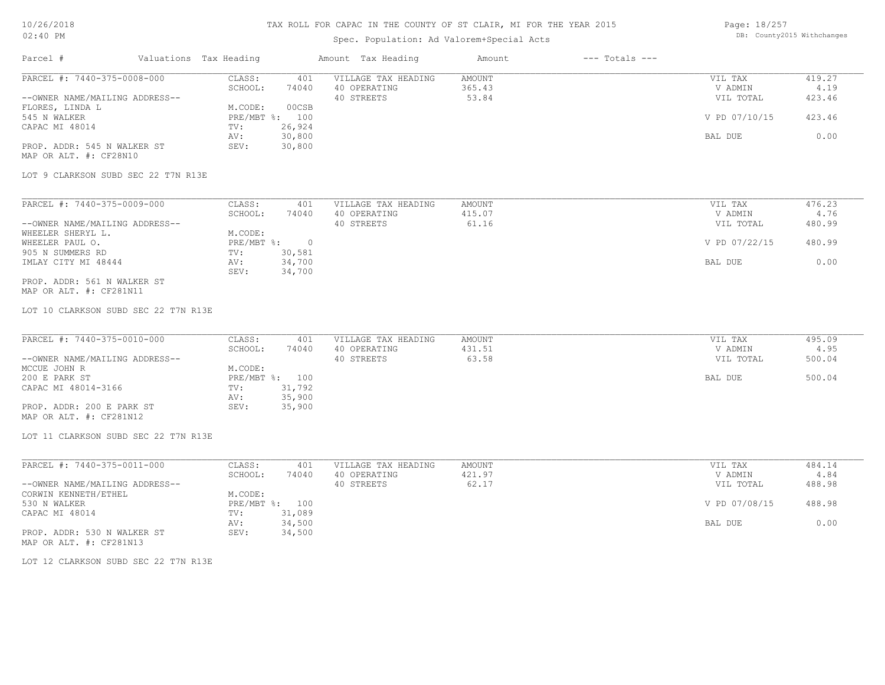## Spec. Population: Ad Valorem+Special Acts

Page: 18/257 DB: County2015 Withchanges

| Parcel #                                               | Valuations Tax Heading |                             | Amount Tax Heading  | Amount        | $---$ Totals $---$ |               |        |
|--------------------------------------------------------|------------------------|-----------------------------|---------------------|---------------|--------------------|---------------|--------|
| PARCEL #: 7440-375-0008-000                            |                        | CLASS:<br>401               | VILLAGE TAX HEADING | <b>AMOUNT</b> |                    | VIL TAX       | 419.27 |
|                                                        |                        | SCHOOL:<br>74040            | 40 OPERATING        | 365.43        |                    | V ADMIN       | 4.19   |
| --OWNER NAME/MAILING ADDRESS--<br>FLORES, LINDA L      |                        | M.CODE:<br>00CSB            | 40 STREETS          | 53.84         |                    | VIL TOTAL     | 423.46 |
| 545 N WALKER                                           |                        | PRE/MBT %: 100              |                     |               |                    | V PD 07/10/15 | 423.46 |
| CAPAC MI 48014                                         | TV:                    | 26,924                      |                     |               |                    |               |        |
|                                                        | AV:                    | 30,800                      |                     |               |                    | BAL DUE       | 0.00   |
| PROP. ADDR: 545 N WALKER ST<br>MAP OR ALT. #: CF28N10  | SEV:                   | 30,800                      |                     |               |                    |               |        |
| LOT 9 CLARKSON SUBD SEC 22 T7N R13E                    |                        |                             |                     |               |                    |               |        |
| PARCEL #: 7440-375-0009-000                            |                        | CLASS:<br>401               | VILLAGE TAX HEADING | <b>AMOUNT</b> |                    | VIL TAX       | 476.23 |
|                                                        |                        | SCHOOL:<br>74040            | 40 OPERATING        | 415.07        |                    | V ADMIN       | 4.76   |
| --OWNER NAME/MAILING ADDRESS--                         |                        |                             | 40 STREETS          | 61.16         |                    | VIL TOTAL     | 480.99 |
| WHEELER SHERYL L.                                      |                        | M.CODE:                     |                     |               |                    |               |        |
| WHEELER PAUL O.                                        |                        | $PRE/MBT$ $\frac{1}{6}$ : 0 |                     |               |                    | V PD 07/22/15 | 480.99 |
| 905 N SUMMERS RD<br>IMLAY CITY MI 48444                | TV:<br>AV:             | 30,581<br>34,700            |                     |               |                    | BAL DUE       | 0.00   |
|                                                        | SEV:                   | 34,700                      |                     |               |                    |               |        |
| PROP. ADDR: 561 N WALKER ST<br>MAP OR ALT. #: CF281N11 |                        |                             |                     |               |                    |               |        |
| LOT 10 CLARKSON SUBD SEC 22 T7N R13E                   |                        |                             |                     |               |                    |               |        |
|                                                        |                        |                             |                     |               |                    |               |        |
| PARCEL #: 7440-375-0010-000                            |                        | CLASS:<br>401               | VILLAGE TAX HEADING | <b>AMOUNT</b> |                    | VIL TAX       | 495.09 |
|                                                        |                        | SCHOOL:<br>74040            | 40 OPERATING        | 431.51        |                    | V ADMIN       | 4.95   |
| --OWNER NAME/MAILING ADDRESS--                         |                        |                             | 40 STREETS          | 63.58         |                    | VIL TOTAL     | 500.04 |
| MCCUE JOHN R<br>200 E PARK ST                          |                        | M.CODE:<br>PRE/MBT %: 100   |                     |               |                    | BAL DUE       | 500.04 |
| CAPAC MI 48014-3166                                    | TV:                    | 31,792                      |                     |               |                    |               |        |
|                                                        | AV:                    | 35,900                      |                     |               |                    |               |        |
| PROP. ADDR: 200 E PARK ST                              | SEV:                   | 35,900                      |                     |               |                    |               |        |
| MAP OR ALT. #: CF281N12                                |                        |                             |                     |               |                    |               |        |
| LOT 11 CLARKSON SUBD SEC 22 T7N R13E                   |                        |                             |                     |               |                    |               |        |
| PARCEL #: 7440-375-0011-000                            |                        | CLASS:<br>401               | VILLAGE TAX HEADING | AMOUNT        |                    | VIL TAX       | 484.14 |
|                                                        |                        | SCHOOL:<br>74040            | 40 OPERATING        | 421.97        |                    | V ADMIN       | 4.84   |
| --OWNER NAME/MAILING ADDRESS--                         |                        |                             | 40 STREETS          | 62.17         |                    | VIL TOTAL     | 488.98 |
| CORWIN KENNETH/ETHEL<br>530 N WALKER                   |                        | M.CODE:<br>PRE/MBT %: 100   |                     |               |                    | V PD 07/08/15 | 488.98 |
| CAPAC MI 48014                                         | TV:                    | 31,089                      |                     |               |                    |               |        |
|                                                        | AV:                    | 34,500                      |                     |               |                    | BAL DUE       | 0.00   |
| PROP. ADDR: 530 N WALKER ST<br>MAP OR ALT. #: CF281N13 | SEV:                   | 34,500                      |                     |               |                    |               |        |
| LOT 12 CLARKSON SUBD SEC 22 T7N R13E                   |                        |                             |                     |               |                    |               |        |
|                                                        |                        |                             |                     |               |                    |               |        |
|                                                        |                        |                             |                     |               |                    |               |        |
|                                                        |                        |                             |                     |               |                    |               |        |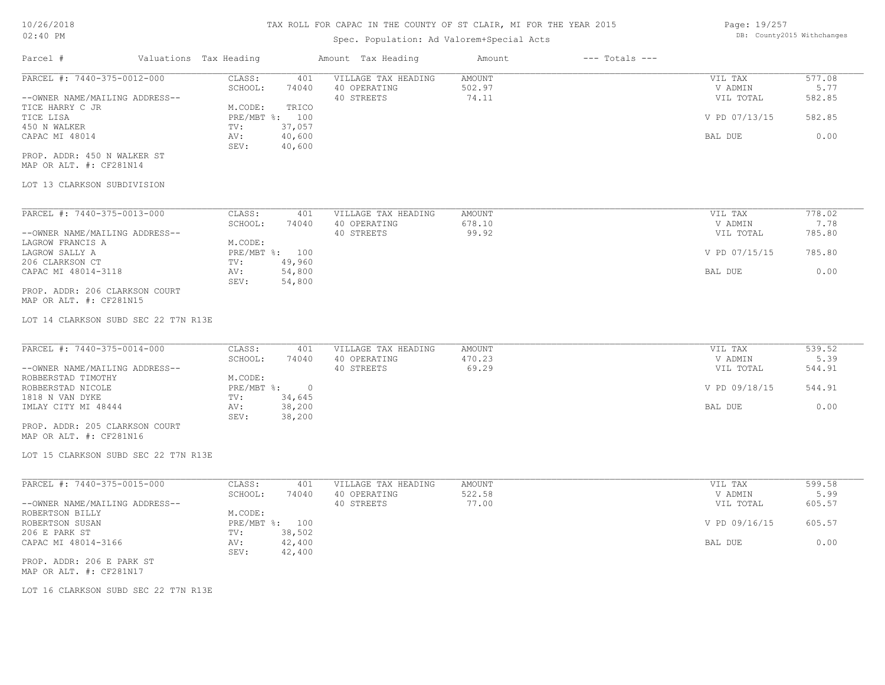### Spec. Population: Ad Valorem+Special Acts

| Page: 19/257 |                            |
|--------------|----------------------------|
|              | DB: County2015 Withchanges |

| Parcel #                       | Valuations Tax Heading |        | Amount Tax Heading  | Amount | $---$ Totals $---$ |               |        |
|--------------------------------|------------------------|--------|---------------------|--------|--------------------|---------------|--------|
| PARCEL #: 7440-375-0012-000    | CLASS:                 | 401    | VILLAGE TAX HEADING | AMOUNT |                    | VIL TAX       | 577.08 |
|                                | SCHOOL:                | 74040  | 40 OPERATING        | 502.97 |                    | V ADMIN       | 5.77   |
| --OWNER NAME/MAILING ADDRESS-- |                        |        | 40 STREETS          | 74.11  |                    | VIL TOTAL     | 582.85 |
| TICE HARRY C JR                | M.CODE:                | TRICO  |                     |        |                    |               |        |
| TICE LISA                      | $PRE/MBT$ %:           | 100    |                     |        |                    | V PD 07/13/15 | 582.85 |
| 450 N WALKER                   | TV:                    | 37,057 |                     |        |                    |               |        |
| CAPAC MI 48014                 | AV:                    | 40,600 |                     |        |                    | BAL DUE       | 0.00   |
|                                | SEV:                   | 40,600 |                     |        |                    |               |        |
| PROP. ADDR: 450 N WALKER ST    |                        |        |                     |        |                    |               |        |

MAP OR ALT. #: CF281N14

#### LOT 13 CLARKSON SUBDIVISION

| PARCEL #: 7440-375-0013-000    | CLASS:       | 401    | VILLAGE TAX HEADING | AMOUNT | 778.02<br>VIL TAX       |  |
|--------------------------------|--------------|--------|---------------------|--------|-------------------------|--|
|                                | SCHOOL:      | 74040  | 40 OPERATING        | 678.10 | 7.78<br>V ADMIN         |  |
| --OWNER NAME/MAILING ADDRESS-- |              |        | 40 STREETS          | 99.92  | 785.80<br>VIL TOTAL     |  |
| LAGROW FRANCIS A               | M.CODE:      |        |                     |        |                         |  |
| LAGROW SALLY A                 | $PRE/MBT$ %: | 100    |                     |        | V PD 07/15/15<br>785.80 |  |
| 206 CLARKSON CT                | TV:          | 49,960 |                     |        |                         |  |
| CAPAC MI 48014-3118            | AV:          | 54,800 |                     |        | 0.00<br>BAL DUE         |  |
|                                | SEV:         | 54,800 |                     |        |                         |  |
| PROP. ADDR: 206 CLARKSON COURT |              |        |                     |        |                         |  |

MAP OR ALT. #: CF281N15

LOT 14 CLARKSON SUBD SEC 22 T7N R13E

| PARCEL #: 7440-375-0014-000    | CLASS:     | 401    | VILLAGE TAX HEADING | AMOUNT | VIL TAX       | 539.52 |
|--------------------------------|------------|--------|---------------------|--------|---------------|--------|
|                                | SCHOOL:    | 74040  | 40 OPERATING        | 470.23 | V ADMIN       | 5.39   |
| --OWNER NAME/MAILING ADDRESS-- |            |        | 40 STREETS          | 69.29  | VIL TOTAL     | 544.91 |
| ROBBERSTAD TIMOTHY             | M.CODE:    |        |                     |        |               |        |
| ROBBERSTAD NICOLE              | PRE/MBT %: |        |                     |        | V PD 09/18/15 | 544.91 |
| 1818 N VAN DYKE                | TV:        | 34,645 |                     |        |               |        |
| IMLAY CITY MI 48444            | AV:        | 38,200 |                     |        | BAL DUE       | 0.00   |
|                                | SEV:       | 38,200 |                     |        |               |        |
| PROP. ADDR: 205 CLARKSON COURT |            |        |                     |        |               |        |

MAP OR ALT. #: CF281N16

LOT 15 CLARKSON SUBD SEC 22 T7N R13E

| PARCEL #: 7440-375-0015-000    | CLASS:       | 401    | VILLAGE TAX HEADING | AMOUNT | VIL TAX       | 599.58 |
|--------------------------------|--------------|--------|---------------------|--------|---------------|--------|
|                                | SCHOOL:      | 74040  | 40 OPERATING        | 522.58 | V ADMIN       | 5.99   |
| --OWNER NAME/MAILING ADDRESS-- |              |        | 40 STREETS          | 77.00  | VIL TOTAL     | 605.57 |
| ROBERTSON BILLY                | M.CODE:      |        |                     |        |               |        |
| ROBERTSON SUSAN                | $PRE/MBT$ %: | 100    |                     |        | V PD 09/16/15 | 605.57 |
| 206 E PARK ST                  | TV:          | 38,502 |                     |        |               |        |
| CAPAC MI 48014-3166            | AV:          | 42,400 |                     |        | BAL DUE       | 0.00   |
|                                | SEV:         | 42,400 |                     |        |               |        |
| PROP. ADDR: 206 E PARK ST      |              |        |                     |        |               |        |

MAP OR ALT. #: CF281N17

LOT 16 CLARKSON SUBD SEC 22 T7N R13E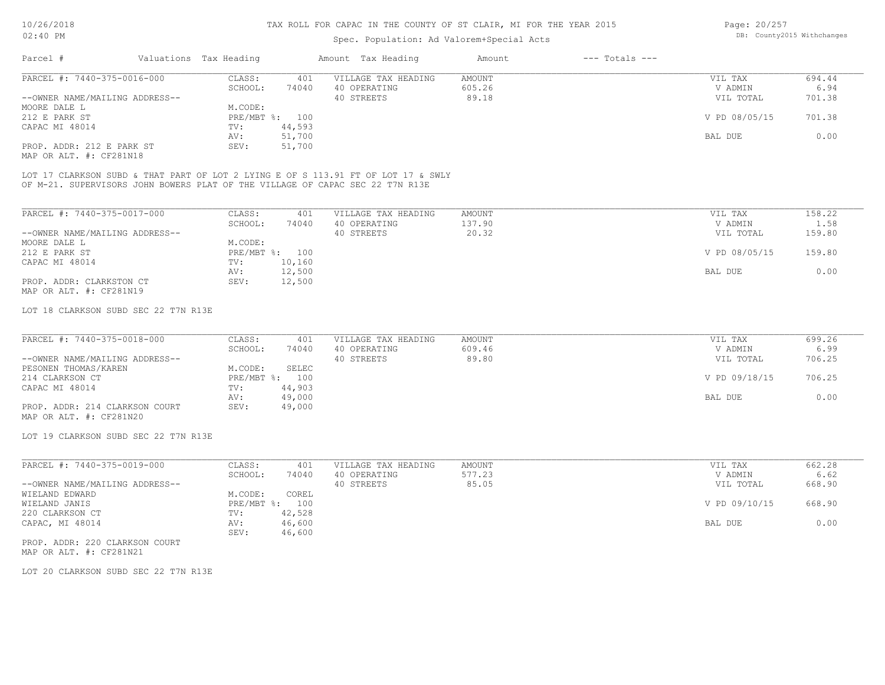## Spec. Population: Ad Valorem+Special Acts

| Page: 20/257 |                            |
|--------------|----------------------------|
|              | DB: County2015 Withchanges |

| 694.44 |
|--------|
| 6.94   |
| 701.38 |
|        |
| 701.38 |
|        |
| 0.00   |
|        |
|        |

MAP OR ALT. #: CF281N18

OF M-21. SUPERVISORS JOHN BOWERS PLAT OF THE VILLAGE OF CAPAC SEC 22 T7N R13E LOT 17 CLARKSON SUBD & THAT PART OF LOT 2 LYING E OF S 113.91 FT OF LOT 17 & SWLY

| PARCEL #: 7440-375-0017-000    | CLASS:     | 401    | VILLAGE TAX HEADING | AMOUNT | VIL TAX       | 158.22 |
|--------------------------------|------------|--------|---------------------|--------|---------------|--------|
|                                | SCHOOL:    | 74040  | 40 OPERATING        | 137.90 | V ADMIN       | 1.58   |
| --OWNER NAME/MAILING ADDRESS-- |            |        | 40 STREETS          | 20.32  | VIL TOTAL     | 159.80 |
| MOORE DALE L                   | M.CODE:    |        |                     |        |               |        |
| 212 E PARK ST                  | PRE/MBT %: | 100    |                     |        | V PD 08/05/15 | 159.80 |
| CAPAC MI 48014                 | TV:        | 10,160 |                     |        |               |        |
|                                | AV:        | 12,500 |                     |        | BAL DUE       | 0.00   |
| PROP. ADDR: CLARKSTON CT       | SEV:       | 12,500 |                     |        |               |        |
| MAP OR ALT. #: CF281N19        |            |        |                     |        |               |        |

#### LOT 18 CLARKSON SUBD SEC 22 T7N R13E

| PARCEL #: 7440-375-0018-000    | CLASS:  | 401            | VILLAGE TAX HEADING | AMOUNT | VIL TAX       | 699.26 |
|--------------------------------|---------|----------------|---------------------|--------|---------------|--------|
|                                | SCHOOL: | 74040          | 40 OPERATING        | 609.46 | V ADMIN       | 6.99   |
| --OWNER NAME/MAILING ADDRESS-- |         |                | 40 STREETS          | 89.80  | VIL TOTAL     | 706.25 |
| PESONEN THOMAS/KAREN           | M.CODE: | SELEC          |                     |        |               |        |
| 214 CLARKSON CT                |         | PRE/MBT %: 100 |                     |        | V PD 09/18/15 | 706.25 |
| CAPAC MI 48014                 | TV:     | 44,903         |                     |        |               |        |
|                                | AV:     | 49,000         |                     |        | BAL DUE       | 0.00   |
| PROP. ADDR: 214 CLARKSON COURT | SEV:    | 49,000         |                     |        |               |        |
| MAP OR ALT. #: CF281N20        |         |                |                     |        |               |        |

LOT 19 CLARKSON SUBD SEC 22 T7N R13E

| PARCEL #: 7440-375-0019-000    | CLASS:       | 401    | VILLAGE TAX HEADING | AMOUNT | VIL TAX       | 662.28 |
|--------------------------------|--------------|--------|---------------------|--------|---------------|--------|
|                                | SCHOOL:      | 74040  | 40 OPERATING        | 577.23 | V ADMIN       | 6.62   |
| --OWNER NAME/MAILING ADDRESS-- |              |        | 40 STREETS          | 85.05  | VIL TOTAL     | 668.90 |
| WIELAND EDWARD                 | M.CODE:      | COREL  |                     |        |               |        |
| WIELAND JANIS                  | $PRE/MBT$ %: | 100    |                     |        | V PD 09/10/15 | 668.90 |
| 220 CLARKSON CT                | TV:          | 42,528 |                     |        |               |        |
| CAPAC, MI 48014                | AV:          | 46,600 |                     |        | BAL DUE       | 0.00   |
|                                | SEV:         | 46,600 |                     |        |               |        |
|                                |              |        |                     |        |               |        |

MAP OR ALT. #: CF281N21 PROP. ADDR: 220 CLARKSON COURT

LOT 20 CLARKSON SUBD SEC 22 T7N R13E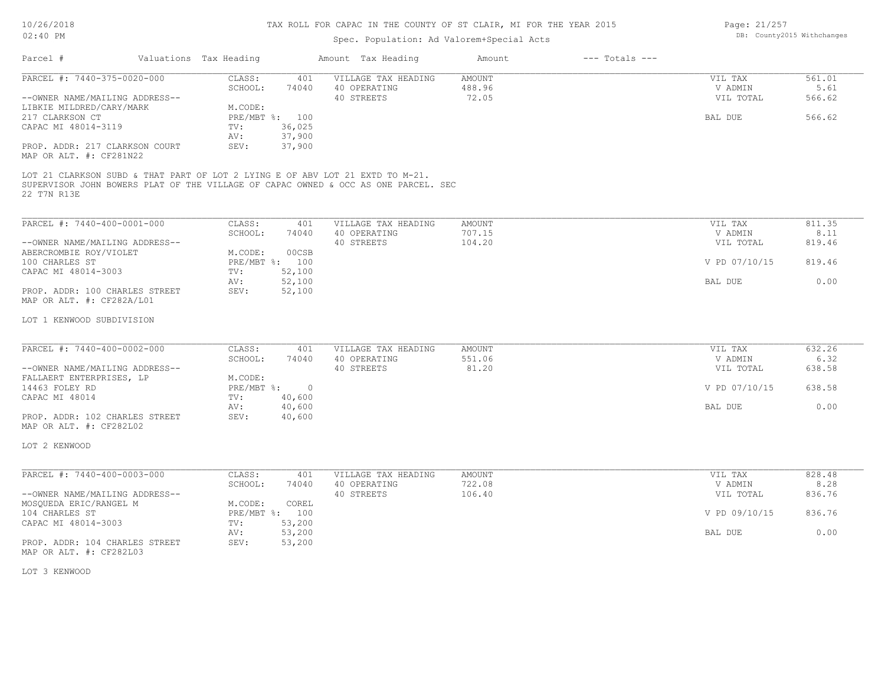## Spec. Population: Ad Valorem+Special Acts

| Page: 21/257 |                            |
|--------------|----------------------------|
|              | DB: County2015 Withchanges |

| Parcel #<br>Valuations Tax Heading                                                                                                                                                 |                                                                | Amount Tax Heading                                | Amount                    | $---$ Totals $---$ |                                            |                                    |
|------------------------------------------------------------------------------------------------------------------------------------------------------------------------------------|----------------------------------------------------------------|---------------------------------------------------|---------------------------|--------------------|--------------------------------------------|------------------------------------|
| PARCEL #: 7440-375-0020-000<br>--OWNER NAME/MAILING ADDRESS--<br>LIBKIE MILDRED/CARY/MARK<br>217 CLARKSON CT                                                                       | CLASS:<br>401<br>SCHOOL:<br>74040<br>M.CODE:<br>PRE/MBT %: 100 | VILLAGE TAX HEADING<br>40 OPERATING<br>40 STREETS | AMOUNT<br>488.96<br>72.05 |                    | VIL TAX<br>V ADMIN<br>VIL TOTAL<br>BAL DUE | 561.01<br>5.61<br>566.62<br>566.62 |
| CAPAC MI 48014-3119<br>PROP. ADDR: 217 CLARKSON COURT<br>MAP OR ALT. #: CF281N22                                                                                                   | TV:<br>36,025<br>37,900<br>AV:<br>37,900<br>SEV:               |                                                   |                           |                    |                                            |                                    |
| LOT 21 CLARKSON SUBD & THAT PART OF LOT 2 LYING E OF ABV LOT 21 EXTD TO M-21.<br>SUPERVISOR JOHN BOWERS PLAT OF THE VILLAGE OF CAPAC OWNED & OCC AS ONE PARCEL. SEC<br>22 T7N R13E |                                                                |                                                   |                           |                    |                                            |                                    |
| PARCEL #: 7440-400-0001-000                                                                                                                                                        | CLASS:<br>401                                                  | VILLAGE TAX HEADING                               | AMOUNT                    |                    | VIL TAX                                    | 811.35                             |
| --OWNER NAME/MAILING ADDRESS--<br>ABERCROMBIE ROY/VIOLET                                                                                                                           | SCHOOL:<br>74040<br>M.CODE:<br>00CSB                           | 40 OPERATING<br>40 STREETS                        | 707.15<br>104.20          |                    | V ADMIN<br>VIL TOTAL                       | 8.11<br>819.46                     |
| 100 CHARLES ST<br>CAPAC MI 48014-3003                                                                                                                                              | PRE/MBT %: 100<br>TV:<br>52,100                                |                                                   |                           |                    | V PD 07/10/15                              | 819.46                             |
| PROP. ADDR: 100 CHARLES STREET<br>MAP OR ALT. #: CF282A/L01                                                                                                                        | 52,100<br>AV:<br>52,100<br>SEV:                                |                                                   |                           |                    | BAL DUE                                    | 0.00                               |
| LOT 1 KENWOOD SUBDIVISION                                                                                                                                                          |                                                                |                                                   |                           |                    |                                            |                                    |
| PARCEL #: 7440-400-0002-000                                                                                                                                                        | CLASS:<br>401                                                  | VILLAGE TAX HEADING                               | AMOUNT                    |                    | VIL TAX                                    | 632.26                             |
| --OWNER NAME/MAILING ADDRESS--                                                                                                                                                     | SCHOOL:<br>74040                                               | 40 OPERATING<br>40 STREETS                        | 551.06<br>81.20           |                    | V ADMIN<br>VIL TOTAL                       | 6.32<br>638.58                     |
| FALLAERT ENTERPRISES, LP<br>14463 FOLEY RD                                                                                                                                         | M.CODE:<br>PRE/MBT %: 0                                        |                                                   |                           | V PD 07/10/15      | 638.58                                     |                                    |
| CAPAC MI 48014                                                                                                                                                                     | 40,600<br>TV:<br>40,600<br>AV:                                 |                                                   |                           |                    | BAL DUE                                    | 0.00                               |
| PROP. ADDR: 102 CHARLES STREET<br>MAP OR ALT. #: CF282L02                                                                                                                          | 40,600<br>SEV:                                                 |                                                   |                           |                    |                                            |                                    |
| LOT 2 KENWOOD                                                                                                                                                                      |                                                                |                                                   |                           |                    |                                            |                                    |
| PARCEL #: 7440-400-0003-000                                                                                                                                                        | CLASS:<br>401                                                  | VILLAGE TAX HEADING                               | AMOUNT                    |                    | VIL TAX                                    | 828.48                             |
| --OWNER NAME/MAILING ADDRESS--                                                                                                                                                     | SCHOOL:<br>74040                                               | 40 OPERATING<br>40 STREETS                        | 722.08<br>106.40          |                    | V ADMIN<br>VIL TOTAL                       | 8.28<br>836.76                     |
| MOSQUEDA ERIC/RANGEL M<br>104 CHARLES ST<br>CAPAC MI 48014-3003                                                                                                                    | M.CODE:<br>COREL<br>PRE/MBT %: 100<br>53,200<br>TV:            |                                                   |                           |                    | V PD 09/10/15                              | 836.76                             |
| PROP. ADDR: 104 CHARLES STREET                                                                                                                                                     | 53,200<br>AV:<br>53,200<br>SEV:                                |                                                   |                           |                    | BAL DUE                                    | 0.00                               |
| MAP OR ALT. #: CF282L03                                                                                                                                                            |                                                                |                                                   |                           |                    |                                            |                                    |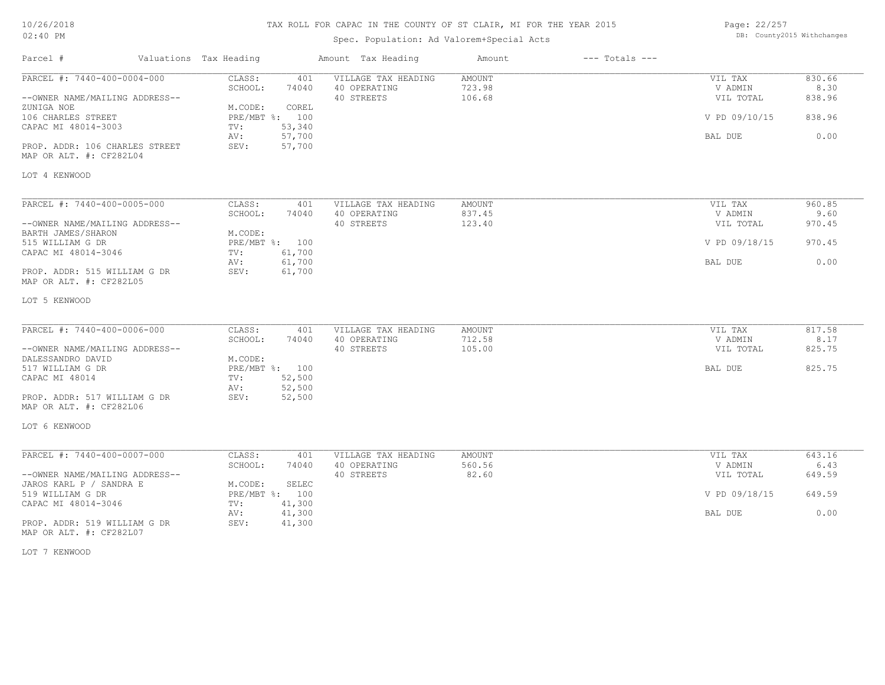| 10/26/2018 |  |
|------------|--|
| 02:40 PM   |  |

## Spec. Population: Ad Valorem+Special Acts

| Page: 22/257 |                            |
|--------------|----------------------------|
|              | DB: County2015 Withchanges |

| Parcel #                                                | Valuations Tax Heading            | Amount Tax Heading                  | Amount                  | $---$ Totals $---$ |                    |                |
|---------------------------------------------------------|-----------------------------------|-------------------------------------|-------------------------|--------------------|--------------------|----------------|
| PARCEL #: 7440-400-0004-000                             | CLASS:<br>401<br>SCHOOL:<br>74040 | VILLAGE TAX HEADING<br>40 OPERATING | <b>AMOUNT</b><br>723.98 |                    | VIL TAX<br>V ADMIN | 830.66<br>8.30 |
| --OWNER NAME/MAILING ADDRESS--                          |                                   | 40 STREETS                          | 106.68                  |                    | VIL TOTAL          | 838.96         |
| ZUNIGA NOE                                              | M.CODE:<br>COREL                  |                                     |                         |                    |                    |                |
| 106 CHARLES STREET                                      | PRE/MBT %: 100                    |                                     |                         |                    | V PD 09/10/15      | 838.96         |
| CAPAC MI 48014-3003                                     | 53,340<br>TV:                     |                                     |                         |                    |                    |                |
|                                                         | AV:<br>57,700                     |                                     |                         |                    | BAL DUE            | 0.00           |
| PROP. ADDR: 106 CHARLES STREET                          | 57,700<br>SEV:                    |                                     |                         |                    |                    |                |
| MAP OR ALT. #: CF282L04                                 |                                   |                                     |                         |                    |                    |                |
| LOT 4 KENWOOD                                           |                                   |                                     |                         |                    |                    |                |
|                                                         |                                   |                                     |                         |                    |                    |                |
| PARCEL #: 7440-400-0005-000                             | CLASS:<br>401                     | VILLAGE TAX HEADING                 | AMOUNT                  |                    | VIL TAX            | 960.85         |
|                                                         | SCHOOL:<br>74040                  | 40 OPERATING                        | 837.45                  |                    | V ADMIN            | 9.60           |
| --OWNER NAME/MAILING ADDRESS--                          |                                   | 40 STREETS                          | 123.40                  |                    | VIL TOTAL          | 970.45         |
| BARTH JAMES/SHARON                                      | M.CODE:                           |                                     |                         |                    |                    |                |
| 515 WILLIAM G DR                                        | PRE/MBT %: 100                    |                                     |                         |                    | V PD 09/18/15      | 970.45         |
| CAPAC MI 48014-3046                                     | 61,700<br>TV:                     |                                     |                         |                    |                    |                |
|                                                         | 61,700<br>AV:                     |                                     |                         |                    | BAL DUE            | 0.00           |
| PROP. ADDR: 515 WILLIAM G DR<br>MAP OR ALT. #: CF282L05 | 61,700<br>SEV:                    |                                     |                         |                    |                    |                |
| LOT 5 KENWOOD                                           |                                   |                                     |                         |                    |                    |                |
|                                                         |                                   |                                     |                         |                    |                    |                |
| PARCEL #: 7440-400-0006-000                             | CLASS:<br>401                     | VILLAGE TAX HEADING                 | AMOUNT                  |                    | VIL TAX            | 817.58         |
|                                                         | 74040<br>SCHOOL:                  | 40 OPERATING                        | 712.58                  |                    | V ADMIN            | 8.17           |
| --OWNER NAME/MAILING ADDRESS--                          |                                   | 40 STREETS                          | 105.00                  |                    | VIL TOTAL          | 825.75         |
| DALESSANDRO DAVID                                       | M.CODE:                           |                                     |                         |                    |                    |                |
| 517 WILLIAM G DR                                        | PRE/MBT %: 100                    |                                     |                         |                    | BAL DUE            | 825.75         |
| CAPAC MI 48014                                          | 52,500<br>TV:                     |                                     |                         |                    |                    |                |
|                                                         | 52,500<br>AV:<br>SEV:             |                                     |                         |                    |                    |                |
| PROP. ADDR: 517 WILLIAM G DR<br>MAP OR ALT. #: CF282L06 | 52,500                            |                                     |                         |                    |                    |                |
| LOT 6 KENWOOD                                           |                                   |                                     |                         |                    |                    |                |
|                                                         |                                   |                                     |                         |                    |                    |                |
| PARCEL #: 7440-400-0007-000                             | CLASS:<br>401                     | VILLAGE TAX HEADING                 | <b>AMOUNT</b>           |                    | VIL TAX            | 643.16         |
|                                                         | SCHOOL:<br>74040                  | 40 OPERATING                        | 560.56                  |                    | V ADMIN            | 6.43           |
| --OWNER NAME/MAILING ADDRESS--                          |                                   | 40 STREETS                          | 82.60                   |                    | VIL TOTAL          | 649.59         |
| JAROS KARL P / SANDRA E                                 | M.CODE:<br>SELEC                  |                                     |                         |                    |                    |                |
| 519 WILLIAM G DR                                        | PRE/MBT %: 100                    |                                     |                         |                    | V PD 09/18/15      | 649.59         |
| CAPAC MI 48014-3046                                     | TV:<br>41,300                     |                                     |                         |                    |                    |                |
|                                                         | 41,300<br>AV:                     |                                     |                         |                    | BAL DUE            | 0.00           |
| PROP. ADDR: 519 WILLIAM G DR<br>MAP OR ALT. #: CF282L07 | SEV:<br>41,300                    |                                     |                         |                    |                    |                |

LOT 7 KENWOOD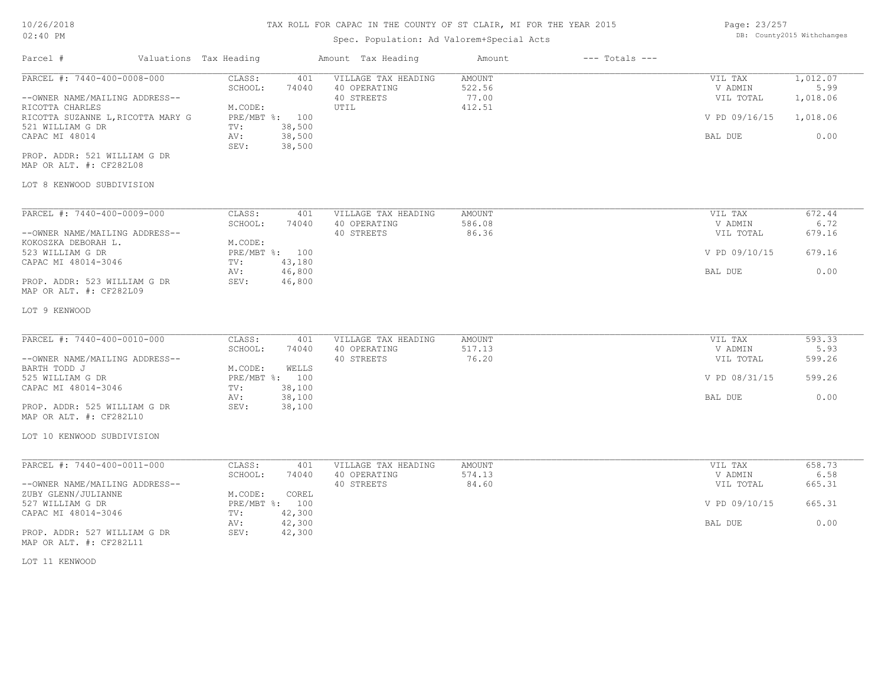## Spec. Population: Ad Valorem+Special Acts

| Page: 23/257 |                            |
|--------------|----------------------------|
|              | DB: County2015 Withchanges |

| Parcel #                                                                                                                                                                                                          |                                   | Valuations Tax Heading                                                                                                      | Amount Tax Heading                                        | Amount                                            | $---$ Totals $---$        |                                                             |                                                  |                          |
|-------------------------------------------------------------------------------------------------------------------------------------------------------------------------------------------------------------------|-----------------------------------|-----------------------------------------------------------------------------------------------------------------------------|-----------------------------------------------------------|---------------------------------------------------|---------------------------|-------------------------------------------------------------|--------------------------------------------------|--------------------------|
| PARCEL #: 7440-400-0008-000<br>--OWNER NAME/MAILING ADDRESS--<br>RICOTTA CHARLES<br>521 WILLIAM G DR<br>CAPAC MI 48014<br>PROP. ADDR: 521 WILLIAM G DR<br>MAP OR ALT. #: CF282L08                                 | RICOTTA SUZANNE L, RICOTTA MARY G | CLASS:<br>401<br>SCHOOL:<br>74040<br>M.CODE:<br>PRE/MBT %: 100<br>TV:<br>38,500<br>38,500<br>AV:<br>SEV:<br>38,500          | VILLAGE TAX HEADING<br>40 OPERATING<br>40 STREETS<br>UTIL | <b>AMOUNT</b><br>522.56<br>77.00<br>412.51        |                           | VIL TAX<br>V ADMIN<br>VIL TOTAL<br>V PD 09/16/15<br>BAL DUE | 1,012.07<br>5.99<br>1,018.06<br>1,018.06<br>0.00 |                          |
| LOT 8 KENWOOD SUBDIVISION                                                                                                                                                                                         |                                   |                                                                                                                             |                                                           |                                                   |                           |                                                             |                                                  |                          |
| PARCEL #: 7440-400-0009-000<br>--OWNER NAME/MAILING ADDRESS--<br>KOKOSZKA DEBORAH L.<br>523 WILLIAM G DR<br>CAPAC MI 48014-3046<br>PROP. ADDR: 523 WILLIAM G DR<br>MAP OR ALT. #: CF282L09                        |                                   | CLASS:<br>401<br>SCHOOL:<br>74040<br>M.CODE:<br>PRE/MBT %: 100<br>TV:<br>43,180<br>46,800<br>AV:<br>SEV:<br>46,800          | VILLAGE TAX HEADING<br>40 OPERATING<br>40 STREETS         | AMOUNT<br>586.08<br>86.36                         |                           | VIL TAX<br>V ADMIN<br>VIL TOTAL<br>V PD 09/10/15<br>BAL DUE | 672.44<br>6.72<br>679.16<br>679.16<br>0.00       |                          |
| LOT 9 KENWOOD                                                                                                                                                                                                     |                                   |                                                                                                                             |                                                           |                                                   |                           |                                                             |                                                  |                          |
| PARCEL #: 7440-400-0010-000<br>--OWNER NAME/MAILING ADDRESS--<br>BARTH TODD J<br>525 WILLIAM G DR<br>CAPAC MI 48014-3046<br>PROP. ADDR: 525 WILLIAM G DR<br>MAP OR ALT. #: CF282L10<br>LOT 10 KENWOOD SUBDIVISION |                                   | CLASS:<br>401<br>SCHOOL:<br>74040<br>M.CODE:<br>WELLS<br>PRE/MBT %: 100<br>38,100<br>TV:<br>38,100<br>AV:<br>SEV:<br>38,100 | VILLAGE TAX HEADING<br>40 OPERATING<br>40 STREETS         | AMOUNT<br>517.13<br>76.20                         |                           | VIL TAX<br>V ADMIN<br>VIL TOTAL<br>V PD 08/31/15<br>BAL DUE | 593.33<br>5.93<br>599.26<br>599.26<br>0.00       |                          |
|                                                                                                                                                                                                                   |                                   |                                                                                                                             |                                                           |                                                   |                           |                                                             |                                                  |                          |
| PARCEL #: 7440-400-0011-000<br>--OWNER NAME/MAILING ADDRESS--<br>ZUBY GLENN/JULIANNE                                                                                                                              |                                   | CLASS:<br>401<br>SCHOOL:<br>74040<br>COREL<br>M.CODE:                                                                       |                                                           | VILLAGE TAX HEADING<br>40 OPERATING<br>40 STREETS | AMOUNT<br>574.13<br>84.60 |                                                             | VIL TAX<br>V ADMIN<br>VIL TOTAL                  | 658.73<br>6.58<br>665.31 |
| 527 WILLIAM G DR<br>CAPAC MI 48014-3046<br>PROP. ADDR: 527 WILLIAM G DR                                                                                                                                           |                                   | PRE/MBT %: 100<br>TV:<br>42,300<br>42,300<br>AV:<br>SEV:<br>42,300                                                          |                                                           |                                                   | V PD 09/10/15<br>BAL DUE  | 665.31<br>0.00                                              |                                                  |                          |
| MAP OR ALT. #: CF282L11                                                                                                                                                                                           |                                   |                                                                                                                             |                                                           |                                                   |                           |                                                             |                                                  |                          |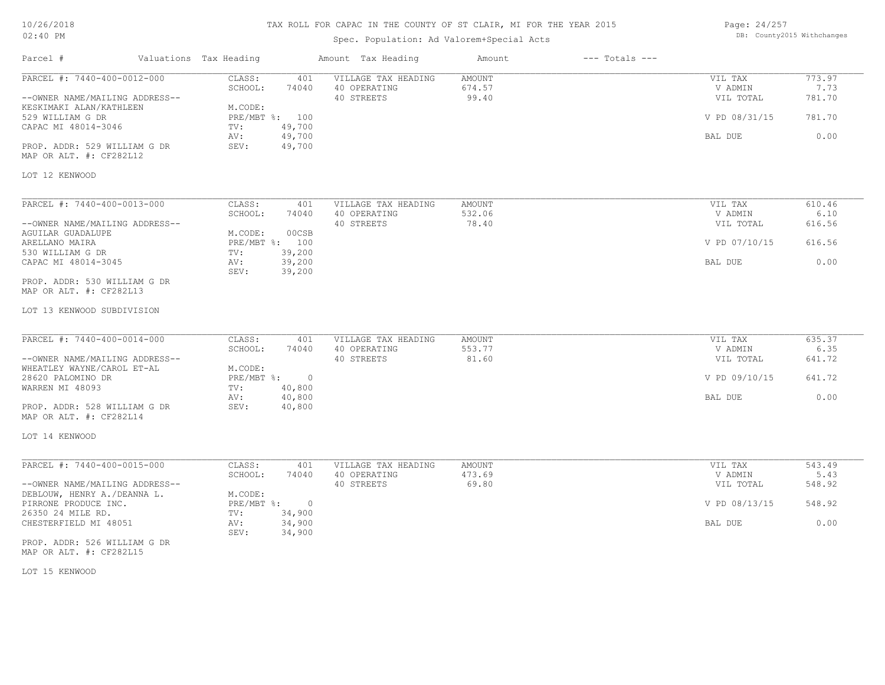| 10/26/2018 |  |
|------------|--|
| $02:40$ PM |  |

Spec. Population: Ad Valorem+Special Acts

Page: 24/257 DB: County2015 Withchanges

| Parcel #                                                                                                                                                                                                                      | Valuations Tax Heading                                                                                 | Amount Tax Heading                                                                  | Amount                           | $---$ Totals $---$ |                                                             |                                            |
|-------------------------------------------------------------------------------------------------------------------------------------------------------------------------------------------------------------------------------|--------------------------------------------------------------------------------------------------------|-------------------------------------------------------------------------------------|----------------------------------|--------------------|-------------------------------------------------------------|--------------------------------------------|
| PARCEL #: 7440-400-0012-000<br>--OWNER NAME/MAILING ADDRESS--<br>KESKIMAKI ALAN/KATHLEEN<br>529 WILLIAM G DR<br>CAPAC MI 48014-3046<br>PROP. ADDR: 529 WILLIAM G DR<br>MAP OR ALT. #: CF282L12<br>LOT 12 KENWOOD              | CLASS:<br>SCHOOL:<br>M.CODE:<br>PRE/MBT %: 100<br>49,700<br>TV:<br>49,700<br>AV:<br>49,700<br>SEV:     | VILLAGE TAX HEADING<br>401<br>74040<br>40 OPERATING<br>40 STREETS                   | <b>AMOUNT</b><br>674.57<br>99.40 |                    | VIL TAX<br>V ADMIN<br>VIL TOTAL<br>V PD 08/31/15<br>BAL DUE | 773.97<br>7.73<br>781.70<br>781.70<br>0.00 |
|                                                                                                                                                                                                                               |                                                                                                        |                                                                                     |                                  |                    |                                                             |                                            |
| PARCEL #: 7440-400-0013-000<br>--OWNER NAME/MAILING ADDRESS--<br>AGUILAR GUADALUPE<br>ARELLANO MAIRA<br>530 WILLIAM G DR<br>CAPAC MI 48014-3045<br>PROP. ADDR: 530 WILLIAM G DR<br>MAP OR ALT. #: CF282L13                    | CLASS:<br>SCHOOL:<br>M.CODE:<br>PRE/MBT %: 100<br>39,200<br>TV:<br>39,200<br>AV:<br>SEV:<br>39,200     | 401<br>VILLAGE TAX HEADING<br>40 OPERATING<br>74040<br>40 STREETS<br>00CSB          | <b>AMOUNT</b><br>532.06<br>78.40 |                    | VIL TAX<br>V ADMIN<br>VIL TOTAL<br>V PD 07/10/15<br>BAL DUE | 610.46<br>6.10<br>616.56<br>616.56<br>0.00 |
| LOT 13 KENWOOD SUBDIVISION                                                                                                                                                                                                    |                                                                                                        |                                                                                     |                                  |                    |                                                             |                                            |
| PARCEL #: 7440-400-0014-000<br>--OWNER NAME/MAILING ADDRESS--<br>WHEATLEY WAYNE/CAROL ET-AL<br>28620 PALOMINO DR<br>WARREN MI 48093<br>PROP. ADDR: 528 WILLIAM G DR<br>MAP OR ALT. #: CF282L14                                | CLASS:<br>SCHOOL:<br>M.CODE:<br>PRE/MBT %:<br>40,800<br>TV:<br>40,800<br>AV:<br>SEV:<br>40,800         | VILLAGE TAX HEADING<br>401<br>74040<br>40 OPERATING<br>40 STREETS<br>$\overline{0}$ | <b>AMOUNT</b><br>553.77<br>81.60 |                    | VIL TAX<br>V ADMIN<br>VIL TOTAL<br>V PD 09/10/15<br>BAL DUE | 635.37<br>6.35<br>641.72<br>641.72<br>0.00 |
| LOT 14 KENWOOD                                                                                                                                                                                                                |                                                                                                        |                                                                                     |                                  |                    |                                                             |                                            |
| PARCEL #: 7440-400-0015-000<br>--OWNER NAME/MAILING ADDRESS--<br>DEBLOUW, HENRY A./DEANNA L.<br>PIRRONE PRODUCE INC.<br>26350 24 MILE RD.<br>CHESTERFIELD MI 48051<br>PROP. ADDR: 526 WILLIAM G DR<br>MAP OR ALT. #: CF282L15 | CLASS:<br>SCHOOL:<br>M.CODE:<br>$PRE/MBT$ $\div$ :<br>34,900<br>TV:<br>34,900<br>AV:<br>SEV:<br>34,900 | 401<br>VILLAGE TAX HEADING<br>74040<br>40 OPERATING<br>40 STREETS<br>$\overline{0}$ | <b>AMOUNT</b><br>473.69<br>69.80 |                    | VIL TAX<br>V ADMIN<br>VIL TOTAL<br>V PD 08/13/15<br>BAL DUE | 543.49<br>5.43<br>548.92<br>548.92<br>0.00 |

LOT 15 KENWOOD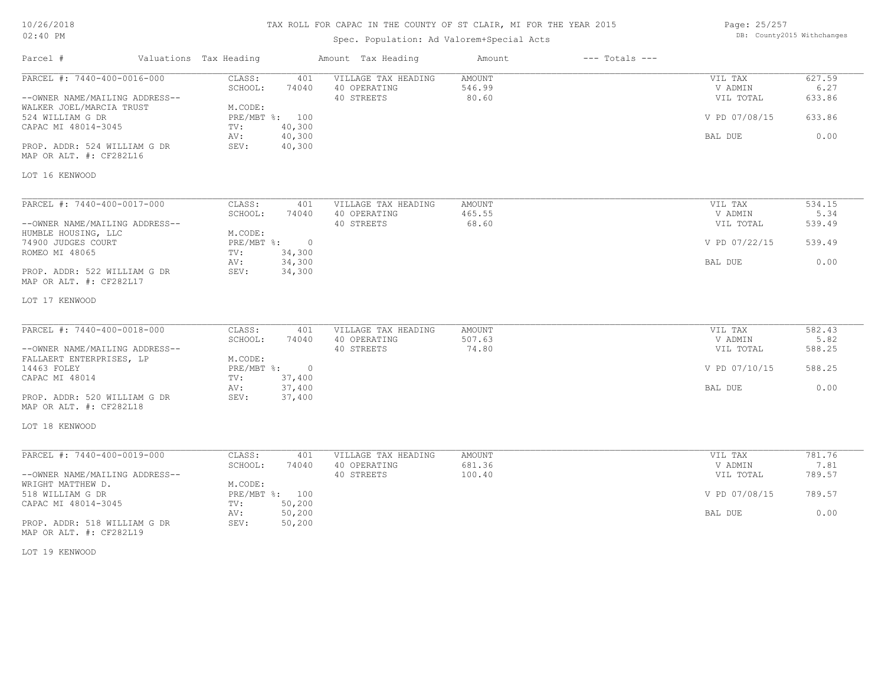| 10/26/2018 |  |
|------------|--|
| 02:40 PM   |  |

Spec. Population: Ad Valorem+Special Acts

Parcel # Valuations Tax Heading Amount Tax Heading Amount --- Totals ---

| Page: 25/257 |                            |
|--------------|----------------------------|
|              | DB: County2015 Withchanges |

| PARCEL #: 7440-400-0016-000                             | CLASS:<br>401                          | VILLAGE TAX HEADING | AMOUNT        | VIL TAX       | 627.59 |
|---------------------------------------------------------|----------------------------------------|---------------------|---------------|---------------|--------|
|                                                         | SCHOOL:<br>74040                       | 40 OPERATING        | 546.99        | V ADMIN       | 6.27   |
| --OWNER NAME/MAILING ADDRESS--                          |                                        | 40 STREETS          | 80.60         | VIL TOTAL     | 633.86 |
| WALKER JOEL/MARCIA TRUST                                | M.CODE:                                |                     |               |               |        |
| 524 WILLIAM G DR                                        | PRE/MBT %: 100                         |                     |               | V PD 07/08/15 | 633.86 |
| CAPAC MI 48014-3045                                     | 40,300<br>TV:                          |                     |               |               |        |
|                                                         | 40,300<br>AV:                          |                     |               | BAL DUE       | 0.00   |
| PROP. ADDR: 524 WILLIAM G DR<br>MAP OR ALT. #: CF282L16 | SEV:<br>40,300                         |                     |               |               |        |
| LOT 16 KENWOOD                                          |                                        |                     |               |               |        |
| PARCEL #: 7440-400-0017-000                             | CLASS:<br>401                          | VILLAGE TAX HEADING | AMOUNT        | VIL TAX       | 534.15 |
|                                                         | SCHOOL:<br>74040                       | 40 OPERATING        | 465.55        | V ADMIN       | 5.34   |
| --OWNER NAME/MAILING ADDRESS--                          |                                        | 40 STREETS          | 68.60         | VIL TOTAL     | 539.49 |
| HUMBLE HOUSING, LLC<br>74900 JUDGES COURT               | M.CODE:<br>$PRE/MBT$ $\div$<br>$\circ$ |                     |               | V PD 07/22/15 | 539.49 |
| ROMEO MI 48065                                          | 34,300<br>TV:                          |                     |               |               |        |
|                                                         | 34,300<br>AV:                          |                     |               | BAL DUE       | 0.00   |
| PROP. ADDR: 522 WILLIAM G DR<br>MAP OR ALT. #: CF282L17 | 34,300<br>SEV:                         |                     |               |               |        |
| LOT 17 KENWOOD                                          |                                        |                     |               |               |        |
| PARCEL #: 7440-400-0018-000                             | CLASS:<br>401                          | VILLAGE TAX HEADING | <b>AMOUNT</b> | VIL TAX       | 582.43 |
|                                                         | SCHOOL:<br>74040                       | 40 OPERATING        | 507.63        | V ADMIN       | 5.82   |
| --OWNER NAME/MAILING ADDRESS--                          |                                        | 40 STREETS          | 74.80         | VIL TOTAL     | 588.25 |
| FALLAERT ENTERPRISES, LP                                | M.CODE:                                |                     |               |               |        |
| 14463 FOLEY                                             | $PRE/MBT$ $\div$<br>$\circ$            |                     |               | V PD 07/10/15 | 588.25 |
| CAPAC MI 48014                                          | 37,400<br>TV:                          |                     |               |               |        |
|                                                         | 37,400<br>AV:                          |                     |               | BAL DUE       | 0.00   |
| PROP. ADDR: 520 WILLIAM G DR                            | SEV:<br>37,400                         |                     |               |               |        |
| MAP OR ALT. #: CF282L18                                 |                                        |                     |               |               |        |
| LOT 18 KENWOOD                                          |                                        |                     |               |               |        |
| PARCEL #: 7440-400-0019-000                             | CLASS:<br>401                          | VILLAGE TAX HEADING | AMOUNT        | VIL TAX       | 781.76 |
|                                                         | SCHOOL:<br>74040                       | 40 OPERATING        | 681.36        | V ADMIN       | 7.81   |
| --OWNER NAME/MAILING ADDRESS--                          |                                        | 40 STREETS          | 100.40        | VIL TOTAL     | 789.57 |
| WRIGHT MATTHEW D.                                       | M.CODE:                                |                     |               |               |        |
| 518 WILLIAM G DR                                        | PRE/MBT %: 100                         |                     |               | V PD 07/08/15 | 789.57 |
| CAPAC MI 48014-3045                                     | 50,200<br>TV:<br>50,200<br>AV:         |                     |               | BAL DUE       | 0.00   |
| PROP. ADDR: 518 WILLIAM G DR<br>MAP OR ALT. #: CF282L19 | 50,200<br>SEV:                         |                     |               |               |        |

LOT 19 KENWOOD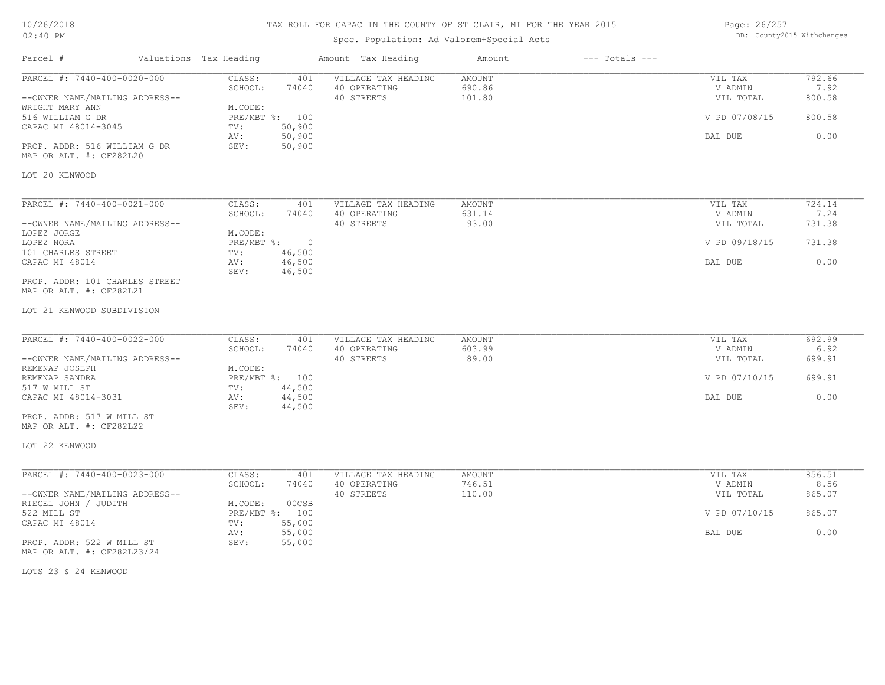### 10/26/2018 02:40 PM

## TAX ROLL FOR CAPAC IN THE COUNTY OF ST CLAIR, MI FOR THE YEAR 2015

## Spec. Population: Ad Valorem+Special Acts

| Page: 26/257 |                            |
|--------------|----------------------------|
|              | DB: County2015 Withchanges |

| Parcel #                                                                                                                                                                               | Valuations Tax Heading                             |                                                              | Amount Tax Heading                                | Amount                            | $---$ Totals $---$ |                                                             |                                            |
|----------------------------------------------------------------------------------------------------------------------------------------------------------------------------------------|----------------------------------------------------|--------------------------------------------------------------|---------------------------------------------------|-----------------------------------|--------------------|-------------------------------------------------------------|--------------------------------------------|
| PARCEL #: 7440-400-0020-000<br>--OWNER NAME/MAILING ADDRESS--<br>WRIGHT MARY ANN<br>516 WILLIAM G DR<br>CAPAC MI 48014-3045<br>PROP. ADDR: 516 WILLIAM G DR<br>MAP OR ALT. #: CF282L20 | CLASS:<br>SCHOOL:<br>M.CODE:<br>TV:<br>AV:<br>SEV: | 401<br>74040<br>PRE/MBT %: 100<br>50,900<br>50,900<br>50,900 | VILLAGE TAX HEADING<br>40 OPERATING<br>40 STREETS | <b>AMOUNT</b><br>690.86<br>101.80 |                    | VIL TAX<br>V ADMIN<br>VIL TOTAL<br>V PD 07/08/15<br>BAL DUE | 792.66<br>7.92<br>800.58<br>800.58<br>0.00 |
| LOT 20 KENWOOD                                                                                                                                                                         |                                                    |                                                              |                                                   |                                   |                    |                                                             |                                            |
| PARCEL #: 7440-400-0021-000<br>--OWNER NAME/MAILING ADDRESS--<br>LOPEZ JORGE                                                                                                           | CLASS:<br>SCHOOL:<br>M.CODE:                       | 401<br>74040                                                 | VILLAGE TAX HEADING<br>40 OPERATING<br>40 STREETS | AMOUNT<br>631.14<br>93.00         |                    | VIL TAX<br>V ADMIN<br>VIL TOTAL                             | 724.14<br>7.24<br>731.38                   |
| LOPEZ NORA<br>101 CHARLES STREET                                                                                                                                                       | PRE/MBT %:<br>TV:                                  | $\overline{0}$<br>46,500                                     |                                                   |                                   |                    | V PD 09/18/15                                               | 731.38                                     |
| CAPAC MI 48014<br>PROP. ADDR: 101 CHARLES STREET<br>MAP OR ALT. #: CF282L21                                                                                                            | AV:<br>SEV:                                        | 46,500<br>46,500                                             |                                                   |                                   |                    | BAL DUE                                                     | 0.00                                       |
| LOT 21 KENWOOD SUBDIVISION                                                                                                                                                             |                                                    |                                                              |                                                   |                                   |                    |                                                             |                                            |
| PARCEL #: 7440-400-0022-000<br>--OWNER NAME/MAILING ADDRESS--                                                                                                                          | CLASS:<br>SCHOOL:                                  | 401<br>74040                                                 | VILLAGE TAX HEADING<br>40 OPERATING<br>40 STREETS | <b>AMOUNT</b><br>603.99<br>89.00  |                    | VIL TAX<br>V ADMIN<br>VIL TOTAL                             | 692.99<br>6.92<br>699.91                   |
| REMENAP JOSEPH<br>REMENAP SANDRA<br>517 W MILL ST                                                                                                                                      | M.CODE:<br>TV:                                     | PRE/MBT %: 100<br>44,500                                     |                                                   |                                   |                    | V PD 07/10/15                                               | 699.91                                     |
| CAPAC MI 48014-3031<br>PROP. ADDR: 517 W MILL ST<br>MAP OR ALT. #: CF282L22                                                                                                            | AV:<br>SEV:                                        | 44,500<br>44,500                                             |                                                   |                                   |                    | BAL DUE                                                     | 0.00                                       |
| LOT 22 KENWOOD                                                                                                                                                                         |                                                    |                                                              |                                                   |                                   |                    |                                                             |                                            |
| PARCEL #: 7440-400-0023-000                                                                                                                                                            | CLASS:<br>SCHOOL:                                  | 401<br>74040                                                 | VILLAGE TAX HEADING<br>40 OPERATING               | AMOUNT<br>746.51                  |                    | VIL TAX<br>V ADMIN                                          | 856.51<br>8.56                             |
| --OWNER NAME/MAILING ADDRESS--<br>RIEGEL JOHN / JUDITH                                                                                                                                 | M.CODE:                                            | 00CSB                                                        | 40 STREETS                                        | 110.00                            |                    | VIL TOTAL                                                   | 865.07                                     |
| 522 MILL ST<br>CAPAC MI 48014                                                                                                                                                          | TV:                                                | PRE/MBT %: 100<br>55,000                                     |                                                   |                                   |                    | V PD 07/10/15                                               | 865.07                                     |
| PROP. ADDR: 522 W MILL ST<br>MAP OR ALT. #: CF282L23/24                                                                                                                                | AV:<br>SEV:                                        | 55,000<br>55,000                                             |                                                   |                                   |                    | BAL DUE                                                     | 0.00                                       |

LOTS 23 & 24 KENWOOD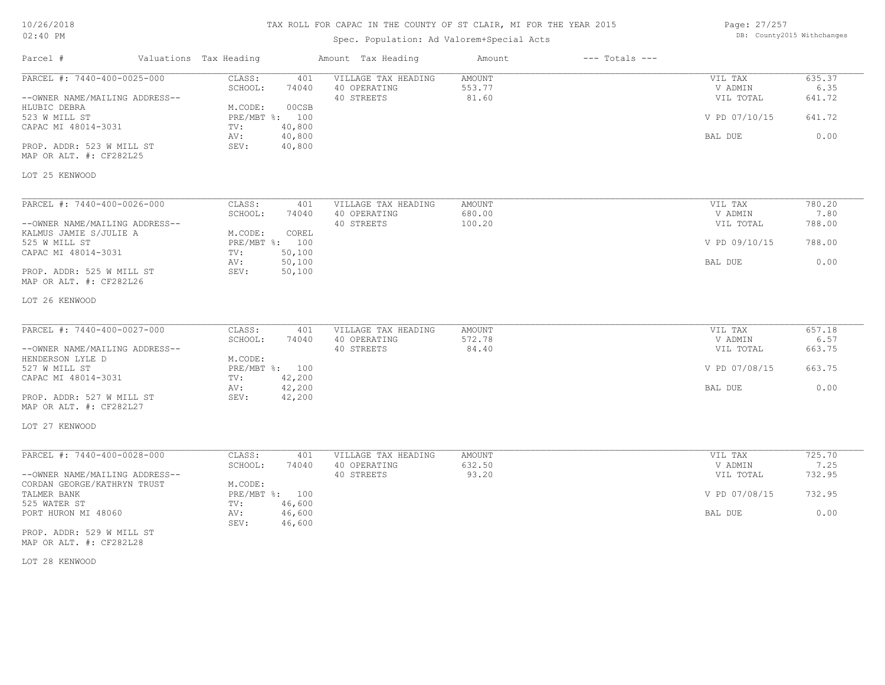| 10/26/2018 |  |
|------------|--|
| $02:40$ PM |  |

## Spec. Population: Ad Valorem+Special Acts

| Page: 27/257 |                            |
|--------------|----------------------------|
|              | DB: County2015 Withchanges |

| Parcel #                                                 | Valuations Tax Heading |                  | Amount Tax Heading                  | Amount                  | $---$ Totals $---$ |                    |                |
|----------------------------------------------------------|------------------------|------------------|-------------------------------------|-------------------------|--------------------|--------------------|----------------|
| PARCEL #: 7440-400-0025-000                              | CLASS:<br>SCHOOL:      | 401<br>74040     | VILLAGE TAX HEADING<br>40 OPERATING | <b>AMOUNT</b><br>553.77 |                    | VIL TAX<br>V ADMIN | 635.37<br>6.35 |
| --OWNER NAME/MAILING ADDRESS--<br>HLUBIC DEBRA           | M.CODE:                | 00CSB            | 40 STREETS                          | 81.60                   |                    | VIL TOTAL          | 641.72         |
| 523 W MILL ST<br>CAPAC MI 48014-3031                     | PRE/MBT %: 100<br>TV:  | 40,800           |                                     |                         |                    | V PD 07/10/15      | 641.72         |
|                                                          | AV:                    | 40,800           |                                     |                         |                    | BAL DUE            | 0.00           |
| PROP. ADDR: 523 W MILL ST<br>MAP OR ALT. #: CF282L25     | SEV:                   | 40,800           |                                     |                         |                    |                    |                |
| LOT 25 KENWOOD                                           |                        |                  |                                     |                         |                    |                    |                |
| PARCEL #: 7440-400-0026-000                              | CLASS:                 | 401              | VILLAGE TAX HEADING                 | AMOUNT                  |                    | VIL TAX            | 780.20         |
|                                                          | SCHOOL:                | 74040            | 40 OPERATING                        | 680.00                  |                    | V ADMIN            | 7.80           |
| --OWNER NAME/MAILING ADDRESS--<br>KALMUS JAMIE S/JULIE A | M.CODE:                | COREL            | 40 STREETS                          | 100.20                  |                    | VIL TOTAL          | 788.00         |
| 525 W MILL ST                                            | PRE/MBT %: 100         |                  |                                     |                         |                    | V PD 09/10/15      | 788.00         |
| CAPAC MI 48014-3031                                      | TV:<br>AV:             | 50,100<br>50,100 |                                     |                         |                    | BAL DUE            | 0.00           |
| PROP. ADDR: 525 W MILL ST<br>MAP OR ALT. #: CF282L26     | SEV:                   | 50,100           |                                     |                         |                    |                    |                |
| LOT 26 KENWOOD                                           |                        |                  |                                     |                         |                    |                    |                |
| PARCEL #: 7440-400-0027-000                              | CLASS:                 | 401              | VILLAGE TAX HEADING                 | AMOUNT                  |                    | VIL TAX            | 657.18         |
|                                                          | SCHOOL:                | 74040            | 40 OPERATING                        | 572.78                  |                    | V ADMIN            | 6.57           |
| --OWNER NAME/MAILING ADDRESS--                           |                        |                  | 40 STREETS                          | 84.40                   |                    | VIL TOTAL          | 663.75         |
| HENDERSON LYLE D                                         | M.CODE:                |                  |                                     |                         |                    |                    |                |
| 527 W MILL ST<br>CAPAC MI 48014-3031                     | PRE/MBT %: 100<br>TV:  | 42,200           |                                     |                         |                    | V PD 07/08/15      | 663.75         |
|                                                          | AV:                    | 42,200           |                                     |                         |                    | BAL DUE            | 0.00           |
| PROP. ADDR: 527 W MILL ST<br>MAP OR ALT. #: CF282L27     | SEV:                   | 42,200           |                                     |                         |                    |                    |                |
| LOT 27 KENWOOD                                           |                        |                  |                                     |                         |                    |                    |                |
| PARCEL #: 7440-400-0028-000                              | CLASS:                 | 401              | VILLAGE TAX HEADING                 | AMOUNT                  |                    | VIL TAX            | 725.70         |
|                                                          | SCHOOL:                | 74040            | 40 OPERATING                        | 632.50                  |                    | V ADMIN            | 7.25           |
| --OWNER NAME/MAILING ADDRESS--                           |                        |                  | 40 STREETS                          | 93.20                   |                    | VIL TOTAL          | 732.95         |
| CORDAN GEORGE/KATHRYN TRUST                              | M.CODE:                |                  |                                     |                         |                    |                    |                |
| TALMER BANK                                              | PRE/MBT %: 100         |                  |                                     |                         |                    | V PD 07/08/15      | 732.95         |
| 525 WATER ST                                             | TV:                    | 46,600           |                                     |                         |                    |                    |                |
| PORT HURON MI 48060                                      | AV:<br>SEV:            | 46,600<br>46,600 |                                     |                         |                    | BAL DUE            | 0.00           |
| PROP. ADDR: 529 W MILL ST                                |                        |                  |                                     |                         |                    |                    |                |

MAP OR ALT. #: CF282L28

LOT 28 KENWOOD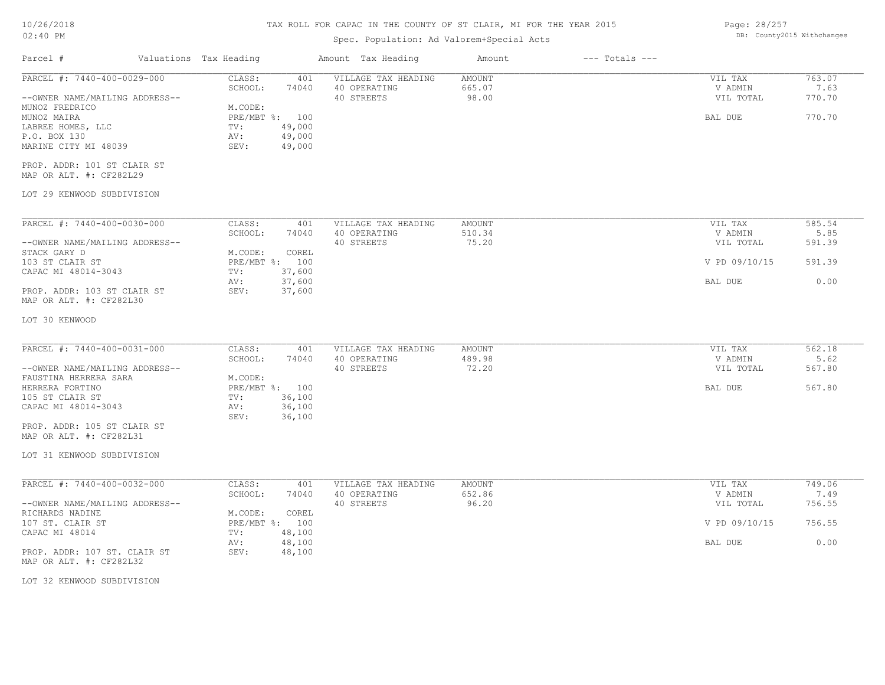### 10/26/2018 02:40 PM

## TAX ROLL FOR CAPAC IN THE COUNTY OF ST CLAIR, MI FOR THE YEAR 2015

## Spec. Population: Ad Valorem+Special Acts

Page: 28/257 DB: County2015 Withchanges

| Parcel #                                                                                   | Valuations Tax Heading        |                                              | Amount Tax Heading                                | Amount                           | $---$ Totals $---$ |                                 |                          |
|--------------------------------------------------------------------------------------------|-------------------------------|----------------------------------------------|---------------------------------------------------|----------------------------------|--------------------|---------------------------------|--------------------------|
| PARCEL #: 7440-400-0029-000<br>--OWNER NAME/MAILING ADDRESS--                              | CLASS:<br>SCHOOL:             | 401<br>74040                                 | VILLAGE TAX HEADING<br>40 OPERATING<br>40 STREETS | <b>AMOUNT</b><br>665.07<br>98.00 |                    | VIL TAX<br>V ADMIN<br>VIL TOTAL | 763.07<br>7.63<br>770.70 |
| MUNOZ FREDRICO<br>MUNOZ MAIRA<br>LABREE HOMES, LLC<br>P.O. BOX 130<br>MARINE CITY MI 48039 | M.CODE:<br>TV:<br>AV:<br>SEV: | PRE/MBT %: 100<br>49,000<br>49,000<br>49,000 |                                                   |                                  |                    | BAL DUE                         | 770.70                   |
| PROP. ADDR: 101 ST CLAIR ST<br>MAP OR ALT. #: CF282L29                                     |                               |                                              |                                                   |                                  |                    |                                 |                          |
| LOT 29 KENWOOD SUBDIVISION                                                                 |                               |                                              |                                                   |                                  |                    |                                 |                          |
| PARCEL #: 7440-400-0030-000                                                                | CLASS:                        | 401                                          | VILLAGE TAX HEADING                               | <b>AMOUNT</b>                    |                    | VIL TAX                         | 585.54                   |
| --OWNER NAME/MAILING ADDRESS--                                                             | SCHOOL:                       | 74040                                        | 40 OPERATING<br>40 STREETS                        | 510.34<br>75.20                  |                    | V ADMIN<br>VIL TOTAL            | 5.85<br>591.39           |
| STACK GARY D<br>103 ST CLAIR ST<br>CAPAC MI 48014-3043                                     | M.CODE:<br>TV:                | COREL<br>PRE/MBT %: 100<br>37,600            |                                                   |                                  |                    | V PD 09/10/15                   | 591.39                   |
| PROP. ADDR: 103 ST CLAIR ST<br>MAP OR ALT. #: CF282L30                                     | AV:<br>SEV:                   | 37,600<br>37,600                             |                                                   |                                  |                    | BAL DUE                         | 0.00                     |
| LOT 30 KENWOOD                                                                             |                               |                                              |                                                   |                                  |                    |                                 |                          |
| PARCEL #: 7440-400-0031-000                                                                | CLASS:<br>SCHOOL:             | 401<br>74040                                 | VILLAGE TAX HEADING<br>40 OPERATING               | <b>AMOUNT</b><br>489.98          |                    | VIL TAX<br>V ADMIN              | 562.18<br>5.62           |
| --OWNER NAME/MAILING ADDRESS--<br>FAUSTINA HERRERA SARA                                    | M.CODE:                       |                                              | 40 STREETS                                        | 72.20                            |                    | VIL TOTAL                       | 567.80                   |
| HERRERA FORTINO<br>105 ST CLAIR ST<br>CAPAC MI 48014-3043                                  | TV:<br>AV:                    | PRE/MBT %: 100<br>36,100<br>36,100           |                                                   |                                  |                    | BAL DUE                         | 567.80                   |
| PROP. ADDR: 105 ST CLAIR ST<br>MAP OR ALT. #: CF282L31                                     | SEV:                          | 36,100                                       |                                                   |                                  |                    |                                 |                          |
| LOT 31 KENWOOD SUBDIVISION                                                                 |                               |                                              |                                                   |                                  |                    |                                 |                          |
| PARCEL #: 7440-400-0032-000                                                                | CLASS:<br>SCHOOL:             | 401<br>74040                                 | VILLAGE TAX HEADING<br>40 OPERATING               | AMOUNT<br>652.86                 |                    | VIL TAX<br>V ADMIN              | 749.06<br>7.49           |
| --OWNER NAME/MAILING ADDRESS--                                                             |                               |                                              | 40 STREETS                                        | 96.20                            |                    | VIL TOTAL                       | 756.55                   |
| RICHARDS NADINE<br>107 ST. CLAIR ST                                                        | M.CODE:                       | COREL<br>PRE/MBT %: 100                      |                                                   |                                  |                    | V PD 09/10/15                   | 756.55                   |
| CAPAC MI 48014<br>PROP. ADDR: 107 ST. CLAIR ST<br>MAP OR ALT. #: CF282L32                  | TV:<br>AV:<br>SEV:            | 48,100<br>48,100<br>48,100                   |                                                   |                                  |                    | BAL DUE                         | 0.00                     |
| LOT 32 KENWOOD SUBDIVISION                                                                 |                               |                                              |                                                   |                                  |                    |                                 |                          |
|                                                                                            |                               |                                              |                                                   |                                  |                    |                                 |                          |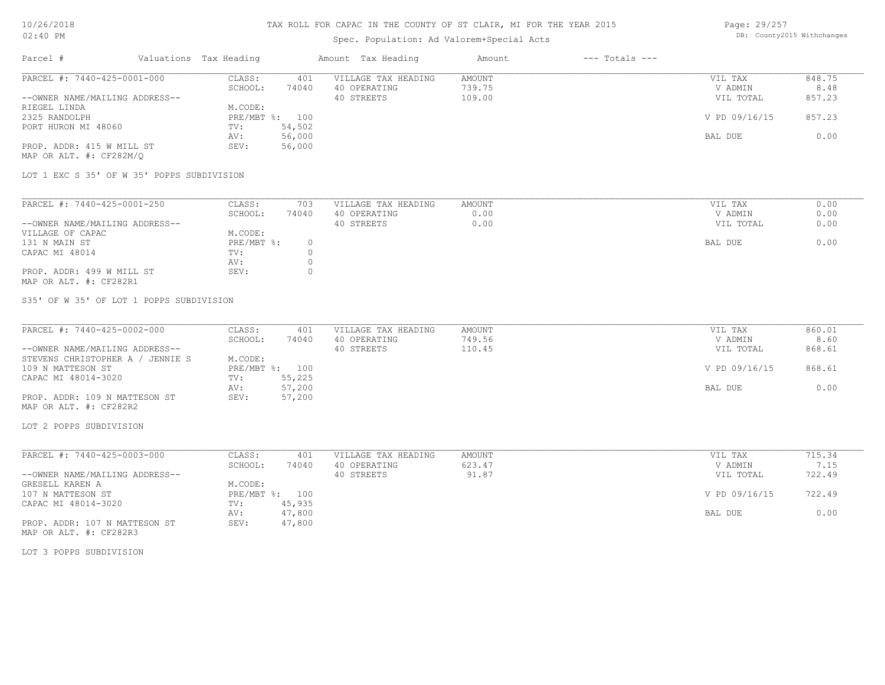## Spec. Population: Ad Valorem+Special Acts

Page: 29/257 DB: County2015 Withchanges

| Parcel #                       | Valuations Tax Heading |        | Amount Tax Heading  | Amount | $---$ Totals $---$ |               |        |
|--------------------------------|------------------------|--------|---------------------|--------|--------------------|---------------|--------|
| PARCEL #: 7440-425-0001-000    | CLASS:                 | 401    | VILLAGE TAX HEADING | AMOUNT |                    | VIL TAX       | 848.75 |
|                                | SCHOOL:                | 74040  | 40 OPERATING        | 739.75 |                    | V ADMIN       | 8.48   |
| --OWNER NAME/MAILING ADDRESS-- |                        |        | 40 STREETS          | 109.00 |                    | VIL TOTAL     | 857.23 |
| RIEGEL LINDA                   | M.CODE:                |        |                     |        |                    |               |        |
| 2325 RANDOLPH                  | PRE/MBT %: 100         |        |                     |        |                    | V PD 09/16/15 | 857.23 |
| PORT HURON MI 48060            | TV:                    | 54,502 |                     |        |                    |               |        |
|                                | AV:                    | 56,000 |                     |        |                    | BAL DUE       | 0.00   |
| PROP. ADDR: 415 W MILL ST      | SEV:                   | 56,000 |                     |        |                    |               |        |
| MAP OR ALT. #: CF282M/O        |                        |        |                     |        |                    |               |        |

LOT 1 EXC S 35' OF W 35' POPPS SUBDIVISION

| PARCEL #: 7440-425-0001-250    | CLASS:     | 703   | VILLAGE TAX HEADING | AMOUNT | VIL TAX   | 0.00 |
|--------------------------------|------------|-------|---------------------|--------|-----------|------|
|                                | SCHOOL:    | 74040 | 40 OPERATING        | 0.00   | V ADMIN   | 0.00 |
| --OWNER NAME/MAILING ADDRESS-- |            |       | 40 STREETS          | 0.00   | VIL TOTAL | 0.00 |
| VILLAGE OF CAPAC               | M.CODE:    |       |                     |        |           |      |
| 131 N MAIN ST                  | PRE/MBT %: |       |                     |        | BAL DUE   | 0.00 |
| CAPAC MI 48014                 | TV:        |       |                     |        |           |      |
|                                | AV:        |       |                     |        |           |      |
| PROP. ADDR: 499 W MILL ST      | SEV:       |       |                     |        |           |      |
| MAP OR ALT. #: CF282R1         |            |       |                     |        |           |      |

S35' OF W 35' OF LOT 1 POPPS SUBDIVISION

| PARCEL #: 7440-425-0002-000         | CLASS:  | 401            | VILLAGE TAX HEADING | AMOUNT | VIL TAX       | 860.01 |
|-------------------------------------|---------|----------------|---------------------|--------|---------------|--------|
|                                     | SCHOOL: | 74040          | 40 OPERATING        | 749.56 | V ADMIN       | 8.60   |
| --OWNER NAME/MAILING ADDRESS--      |         |                | 40 STREETS          | 110.45 | VIL TOTAL     | 868.61 |
| STEVENS CHRISTOPHER A /<br>JENNIE S | M.CODE: |                |                     |        |               |        |
| 109 N MATTESON ST                   |         | PRE/MBT %: 100 |                     |        | V PD 09/16/15 | 868.61 |
| CAPAC MI 48014-3020                 | TV:     | 55,225         |                     |        |               |        |
|                                     | AV:     | 57,200         |                     |        | BAL DUE       | 0.00   |
| PROP. ADDR: 109 N MATTESON ST       | SEV:    | 57,200         |                     |        |               |        |
| MAP OR ALT. #: CF282R2              |         |                |                     |        |               |        |

LOT 2 POPPS SUBDIVISION

| PARCEL #: 7440-425-0003-000    | CLASS:     | 401    | VILLAGE TAX HEADING | AMOUNT | VIL TAX       | 715.34 |
|--------------------------------|------------|--------|---------------------|--------|---------------|--------|
|                                | SCHOOL:    | 74040  | 40 OPERATING        | 623.47 | V ADMIN       | 7.15   |
| --OWNER NAME/MAILING ADDRESS-- |            |        | 40 STREETS          | 91.87  | VIL TOTAL     | 722.49 |
| GRESELL KAREN A                | M.CODE:    |        |                     |        |               |        |
| 107 N MATTESON ST              | PRE/MBT %: | 100    |                     |        | V PD 09/16/15 | 722.49 |
| CAPAC MI 48014-3020            | TV:        | 45,935 |                     |        |               |        |
|                                | AV:        | 47,800 |                     |        | BAL DUE       | 0.00   |
| PROP. ADDR: 107 N MATTESON ST  | SEV:       | 47,800 |                     |        |               |        |

MAP OR ALT. #: CF282R3

LOT 3 POPPS SUBDIVISION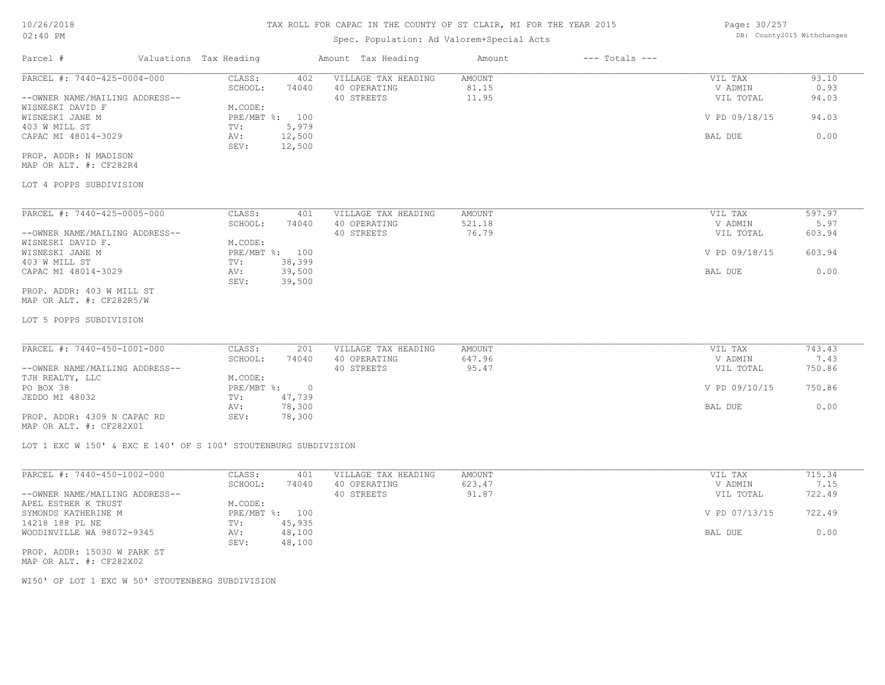# Spec. Population: Ad Valorem+Special Acts

Page: 30/257 DB: County2015 Withchanges

| Parcel #                                                        | Valuations Tax Heading |                    |        | Amount Tax Heading  | Amount | $---$ Totals $---$ |               |        |
|-----------------------------------------------------------------|------------------------|--------------------|--------|---------------------|--------|--------------------|---------------|--------|
| PARCEL #: 7440-425-0004-000                                     |                        | CLASS:             | 402    | VILLAGE TAX HEADING | AMOUNT |                    | VIL TAX       | 93.10  |
|                                                                 |                        | SCHOOL:            | 74040  | 40 OPERATING        | 81.15  |                    | V ADMIN       | 0.93   |
| --OWNER NAME/MAILING ADDRESS--                                  |                        |                    |        | 40 STREETS          | 11.95  |                    | VIL TOTAL     | 94.03  |
| WISNESKI DAVID F                                                |                        | M.CODE:            |        |                     |        |                    |               |        |
| WISNESKI JANE M                                                 |                        | PRE/MBT %: 100     |        |                     |        |                    | V PD 09/18/15 | 94.03  |
| 403 W MILL ST                                                   |                        | TV:                | 5,979  |                     |        |                    |               |        |
| CAPAC MI 48014-3029                                             |                        | AV:<br>SEV:        | 12,500 |                     |        |                    | BAL DUE       | 0.00   |
| PROP. ADDR: N MADISON                                           |                        |                    | 12,500 |                     |        |                    |               |        |
| MAP OR ALT. #: CF282R4                                          |                        |                    |        |                     |        |                    |               |        |
| LOT 4 POPPS SUBDIVISION                                         |                        |                    |        |                     |        |                    |               |        |
|                                                                 |                        |                    |        |                     |        |                    |               |        |
| PARCEL #: 7440-425-0005-000                                     |                        | CLASS:             | 401    | VILLAGE TAX HEADING | AMOUNT |                    | VIL TAX       | 597.97 |
|                                                                 |                        | SCHOOL:            | 74040  | 40 OPERATING        | 521.18 |                    | V ADMIN       | 5.97   |
| --OWNER NAME/MAILING ADDRESS--                                  |                        |                    |        | 40 STREETS          | 76.79  |                    | VIL TOTAL     | 603.94 |
| WISNESKI DAVID F.                                               |                        | M.CODE:            |        |                     |        |                    |               |        |
| WISNESKI JANE M                                                 |                        | PRE/MBT %: 100     |        |                     |        |                    | V PD 09/18/15 | 603.94 |
| 403 W MILL ST                                                   |                        | TV:                | 38,399 |                     |        |                    |               |        |
| CAPAC MI 48014-3029                                             |                        | AV:<br>SEV:        | 39,500 |                     |        |                    | BAL DUE       | 0.00   |
| PROP. ADDR: 403 W MILL ST                                       |                        |                    | 39,500 |                     |        |                    |               |        |
| MAP OR ALT. #: CF282R5/W                                        |                        |                    |        |                     |        |                    |               |        |
| LOT 5 POPPS SUBDIVISION                                         |                        |                    |        |                     |        |                    |               |        |
|                                                                 |                        |                    |        |                     |        |                    |               |        |
| PARCEL #: 7440-450-1001-000                                     |                        | CLASS:             | 201    | VILLAGE TAX HEADING | AMOUNT |                    | VIL TAX       | 743.43 |
|                                                                 |                        | SCHOOL:            | 74040  | 40 OPERATING        | 647.96 |                    | V ADMIN       | 7.43   |
| --OWNER NAME/MAILING ADDRESS--                                  |                        |                    |        | 40 STREETS          | 95.47  |                    | VIL TOTAL     | 750.86 |
| TJH REALTY, LLC                                                 |                        | M.CODE:            |        |                     |        |                    |               |        |
| PO BOX 38                                                       |                        | $PRE/MBT$ $\div$ 0 |        |                     |        |                    | V PD 09/10/15 | 750.86 |
| JEDDO MI 48032                                                  |                        | TV:                | 47,739 |                     |        |                    |               |        |
|                                                                 |                        | AV:<br>SEV:        | 78,300 |                     |        |                    | BAL DUE       | 0.00   |
| PROP. ADDR: 4309 N CAPAC RD<br>MAP OR ALT. #: CF282X01          |                        |                    | 78,300 |                     |        |                    |               |        |
|                                                                 |                        |                    |        |                     |        |                    |               |        |
| LOT 1 EXC W 150' & EXC E 140' OF S 100' STOUTENBURG SUBDIVISION |                        |                    |        |                     |        |                    |               |        |
| PARCEL #: 7440-450-1002-000                                     |                        | CLASS:             | 401    | VILLAGE TAX HEADING | AMOUNT |                    | VIL TAX       | 715.34 |
|                                                                 |                        | SCHOOL:            | 74040  | 40 OPERATING        | 623.47 |                    | V ADMIN       | 7.15   |
| --OWNER NAME/MAILING ADDRESS--                                  |                        |                    |        | 40 STREETS          | 91.87  |                    | VIL TOTAL     | 722.49 |
| APEL ESTHER K TRUST                                             |                        | M.CODE:            |        |                     |        |                    |               |        |
| SYMONDS KATHERINE M                                             |                        | PRE/MBT %: 100     |        |                     |        |                    | V PD 07/13/15 | 722.49 |
| 14218 188 PL NE                                                 |                        | TV:                | 45,935 |                     |        |                    |               |        |
| WOODINVILLE WA 98072-9345                                       |                        | AV:                | 48,100 |                     |        |                    | BAL DUE       | 0.00   |
|                                                                 |                        | SEV: 48,100        |        |                     |        |                    |               |        |
| PROP. ADDR: 15030 W PARK ST<br>MAP OR ALT. #: CF282X02          |                        |                    |        |                     |        |                    |               |        |
| W150' OF LOT 1 EXC W 50' STOUTENBERG SUBDIVISION                |                        |                    |        |                     |        |                    |               |        |
|                                                                 |                        |                    |        |                     |        |                    |               |        |
|                                                                 |                        |                    |        |                     |        |                    |               |        |
|                                                                 |                        |                    |        |                     |        |                    |               |        |
|                                                                 |                        |                    |        |                     |        |                    |               |        |
|                                                                 |                        |                    |        |                     |        |                    |               |        |
|                                                                 |                        |                    |        |                     |        |                    |               |        |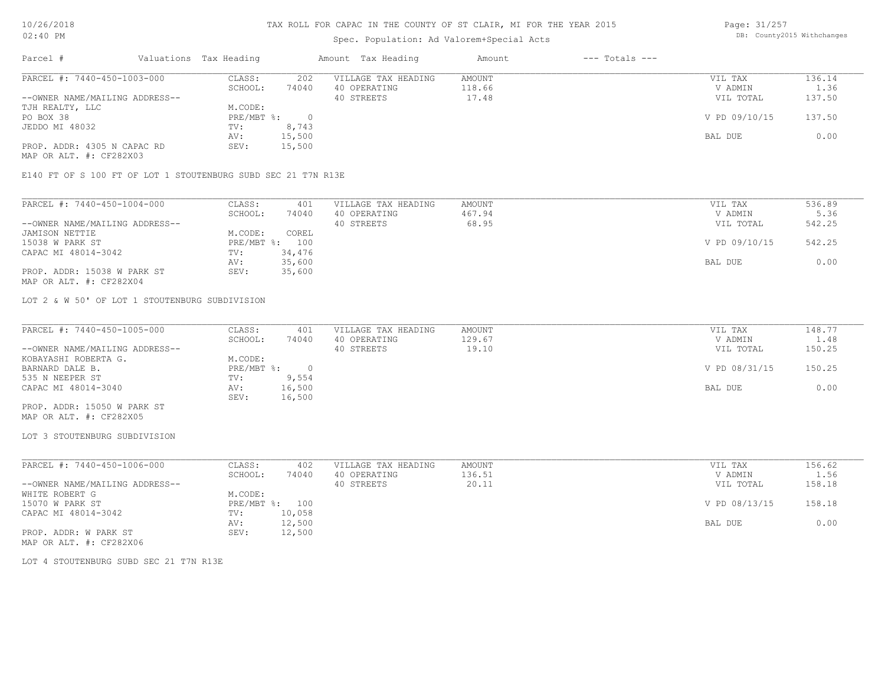## Spec. Population: Ad Valorem+Special Acts

Page: 31/257 DB: County2015 Withchanges

| Parcel #                       | Valuations Tax Heading |        | Amount Tax Heading  | Amount | $---$ Totals $---$ |               |        |
|--------------------------------|------------------------|--------|---------------------|--------|--------------------|---------------|--------|
| PARCEL #: 7440-450-1003-000    | CLASS:                 | 202    | VILLAGE TAX HEADING | AMOUNT |                    | VIL TAX       | 136.14 |
|                                | SCHOOL:                | 74040  | 40 OPERATING        | 118.66 |                    | V ADMIN       | 1.36   |
| --OWNER NAME/MAILING ADDRESS-- |                        |        | 40 STREETS          | 17.48  |                    | VIL TOTAL     | 137.50 |
| TJH REALTY, LLC                | M.CODE:                |        |                     |        |                    |               |        |
| PO BOX 38                      | PRE/MBT %:             |        |                     |        |                    | V PD 09/10/15 | 137.50 |
| JEDDO MI 48032                 | TV:                    | 8,743  |                     |        |                    |               |        |
|                                | AV:                    | 15,500 |                     |        |                    | BAL DUE       | 0.00   |
| PROP. ADDR: 4305 N CAPAC RD    | SEV:                   | 15,500 |                     |        |                    |               |        |
| MAP OR ALT. #: CF282X03        |                        |        |                     |        |                    |               |        |

E140 FT OF S 100 FT OF LOT 1 STOUTENBURG SUBD SEC 21 T7N R13E

| PARCEL #: 7440-450-1004-000    | CLASS:  | 401            | VILLAGE TAX HEADING | AMOUNT | VIL TAX       | 536.89 |
|--------------------------------|---------|----------------|---------------------|--------|---------------|--------|
|                                | SCHOOL: | 74040          | 40 OPERATING        | 467.94 | V ADMIN       | 5.36   |
| --OWNER NAME/MAILING ADDRESS-- |         |                | 40 STREETS          | 68.95  | VIL TOTAL     | 542.25 |
| JAMISON NETTIE                 | M.CODE: | COREL          |                     |        |               |        |
| 15038 W PARK ST                |         | PRE/MBT %: 100 |                     |        | V PD 09/10/15 | 542.25 |
| CAPAC MI 48014-3042            | TV:     | 34,476         |                     |        |               |        |
|                                | AV:     | 35,600         |                     |        | BAL DUE       | 0.00   |
| PROP. ADDR: 15038 W PARK ST    | SEV:    | 35,600         |                     |        |               |        |
| MAP OR ALT. #: CF282X04        |         |                |                     |        |               |        |

LOT 2 & W 50' OF LOT 1 STOUTENBURG SUBDIVISION

| PARCEL #: 7440-450-1005-000    | CLASS:     | 401    | VILLAGE TAX HEADING | AMOUNT | VIL TAX       | 148.77 |
|--------------------------------|------------|--------|---------------------|--------|---------------|--------|
|                                | SCHOOL:    | 74040  | 40 OPERATING        | 129.67 | V ADMIN       | 1.48   |
| --OWNER NAME/MAILING ADDRESS-- |            |        | 40 STREETS          | 19.10  | VIL TOTAL     | 150.25 |
| KOBAYASHI ROBERTA G.           | M.CODE:    |        |                     |        |               |        |
| BARNARD DALE B.                | PRE/MBT %: |        |                     |        | V PD 08/31/15 | 150.25 |
| 535 N NEEPER ST                | TV:        | 9,554  |                     |        |               |        |
| CAPAC MI 48014-3040            | AV:        | 16,500 |                     |        | BAL DUE       | 0.00   |
|                                | SEV:       | 16,500 |                     |        |               |        |
| PROP. ADDR: 15050 W PARK ST    |            |        |                     |        |               |        |

MAP OR ALT. #: CF282X05

#### LOT 3 STOUTENBURG SUBDIVISION

| PARCEL #: 7440-450-1006-000    | CLASS:  | 402            | VILLAGE TAX HEADING | AMOUNT | VIL TAX       | 156.62 |
|--------------------------------|---------|----------------|---------------------|--------|---------------|--------|
|                                | SCHOOL: | 74040          | 40 OPERATING        | 136.51 | V ADMIN       | 1.56   |
| --OWNER NAME/MAILING ADDRESS-- |         |                | 40 STREETS          | 20.11  | VIL TOTAL     | 158.18 |
| WHITE ROBERT G                 | M.CODE: |                |                     |        |               |        |
| 15070 W PARK ST                |         | PRE/MBT %: 100 |                     |        | V PD 08/13/15 | 158.18 |
| CAPAC MI 48014-3042            | TV:     | 10,058         |                     |        |               |        |
|                                | AV:     | 12,500         |                     |        | BAL DUE       | 0.00   |
| PROP. ADDR: W PARK ST          | SEV:    | 12,500         |                     |        |               |        |
| MAP OR ALT. #: CF282X06        |         |                |                     |        |               |        |

LOT 4 STOUTENBURG SUBD SEC 21 T7N R13E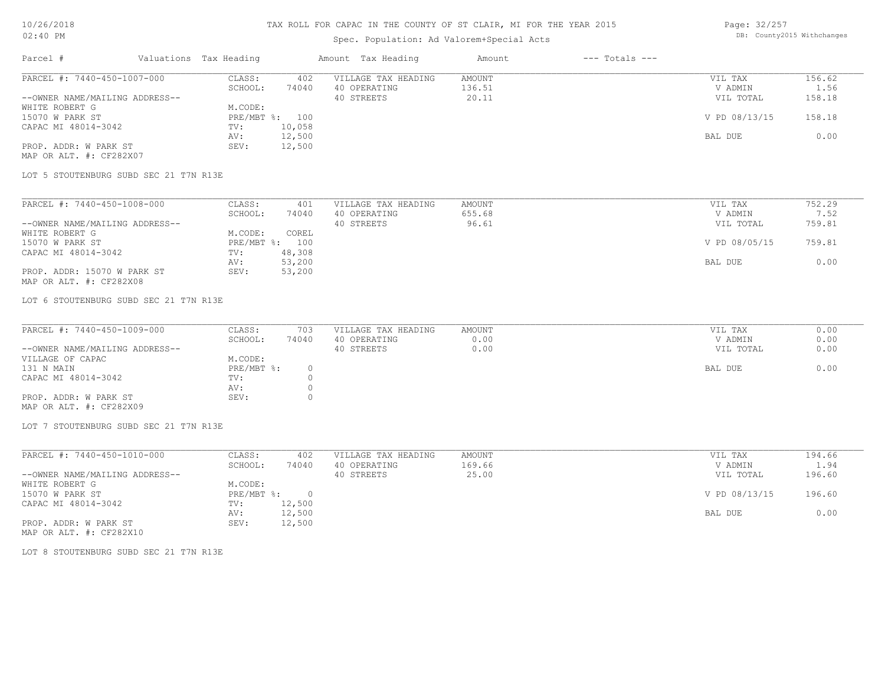## Spec. Population: Ad Valorem+Special Acts

Page: 32/257 DB: County2015 Withchanges

| Parcel #                       | Valuations Tax Heading |        | Amount Tax Heading  | Amount | $---$ Totals $---$ |               |        |
|--------------------------------|------------------------|--------|---------------------|--------|--------------------|---------------|--------|
| PARCEL #: 7440-450-1007-000    | CLASS:                 | 402    | VILLAGE TAX HEADING | AMOUNT |                    | VIL TAX       | 156.62 |
|                                | SCHOOL:                | 74040  | 40 OPERATING        | 136.51 |                    | V ADMIN       | 1.56   |
| --OWNER NAME/MAILING ADDRESS-- |                        |        | 40 STREETS          | 20.11  |                    | VIL TOTAL     | 158.18 |
| WHITE ROBERT G                 | M.CODE:                |        |                     |        |                    |               |        |
| 15070 W PARK ST                | PRE/MBT %: 100         |        |                     |        |                    | V PD 08/13/15 | 158.18 |
| CAPAC MI 48014-3042            | TV:                    | 10,058 |                     |        |                    |               |        |
|                                | AV:                    | 12,500 |                     |        |                    | BAL DUE       | 0.00   |
| PROP. ADDR: W PARK ST          | SEV:                   | 12,500 |                     |        |                    |               |        |
| MAP OR ALT. #: CF282X07        |                        |        |                     |        |                    |               |        |

LOT 5 STOUTENBURG SUBD SEC 21 T7N R13E

| PARCEL #: 7440-450-1008-000    | CLASS:  | 401            | VILLAGE TAX HEADING | AMOUNT | VIL TAX       | 752.29 |
|--------------------------------|---------|----------------|---------------------|--------|---------------|--------|
|                                | SCHOOL: | 74040          | 40 OPERATING        | 655.68 | V ADMIN       | 7.52   |
| --OWNER NAME/MAILING ADDRESS-- |         |                | 40 STREETS          | 96.61  | VIL TOTAL     | 759.81 |
| WHITE ROBERT G                 | M.CODE: | COREL          |                     |        |               |        |
| 15070 W PARK ST                |         | PRE/MBT %: 100 |                     |        | V PD 08/05/15 | 759.81 |
| CAPAC MI 48014-3042            | TV:     | 48,308         |                     |        |               |        |
|                                | AV:     | 53,200         |                     |        | BAL DUE       | 0.00   |
| PROP. ADDR: 15070 W PARK ST    | SEV:    | 53,200         |                     |        |               |        |
| MAP OR ALT. #: CF282X08        |         |                |                     |        |               |        |

LOT 6 STOUTENBURG SUBD SEC 21 T7N R13E

| PARCEL #: 7440-450-1009-000    | CLASS:     | 703   | VILLAGE TAX HEADING | AMOUNT | VIL TAX   | 0.00 |
|--------------------------------|------------|-------|---------------------|--------|-----------|------|
|                                | SCHOOL:    | 74040 | 40 OPERATING        | 0.00   | V ADMIN   | 0.00 |
| --OWNER NAME/MAILING ADDRESS-- |            |       | 40 STREETS          | 0.00   | VIL TOTAL | 0.00 |
| VILLAGE OF CAPAC               | M.CODE:    |       |                     |        |           |      |
| 131 N MAIN                     | PRE/MBT %: |       |                     |        | BAL DUE   | 0.00 |
| CAPAC MI 48014-3042            | TV:        |       |                     |        |           |      |
|                                | AV:        |       |                     |        |           |      |
| PROP. ADDR: W PARK ST          | SEV:       |       |                     |        |           |      |
| MAP OR ALT. #: CF282X09        |            |       |                     |        |           |      |

LOT 7 STOUTENBURG SUBD SEC 21 T7N R13E

| PARCEL #: 7440-450-1010-000    | CLASS:     | 402    | VILLAGE TAX HEADING | AMOUNT | VIL TAX       | 194.66 |
|--------------------------------|------------|--------|---------------------|--------|---------------|--------|
|                                | SCHOOL:    | 74040  | 40 OPERATING        | 169.66 | V ADMIN       | 1.94   |
| --OWNER NAME/MAILING ADDRESS-- |            |        | 40 STREETS          | 25.00  | VIL TOTAL     | 196.60 |
| WHITE ROBERT G                 | M.CODE:    |        |                     |        |               |        |
| 15070 W PARK ST                | PRE/MBT %: | $\cap$ |                     |        | V PD 08/13/15 | 196.60 |
| CAPAC MI 48014-3042            | TV:        | 12,500 |                     |        |               |        |
|                                | AV:        | 12,500 |                     |        | BAL DUE       | 0.00   |
| PROP. ADDR: W PARK ST          | SEV:       | 12,500 |                     |        |               |        |

MAP OR ALT. #: CF282X10

LOT 8 STOUTENBURG SUBD SEC 21 T7N R13E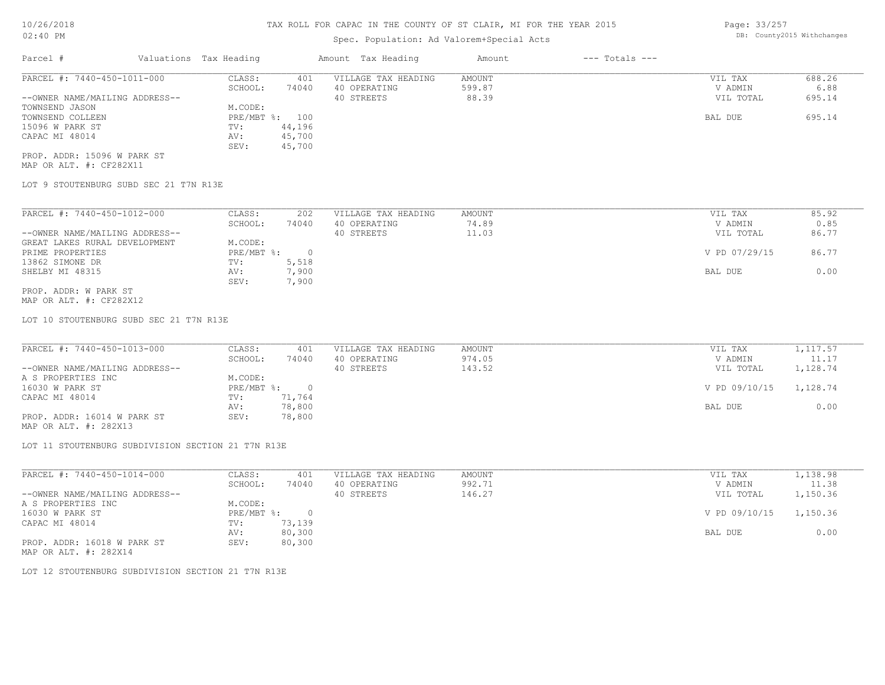| $02:40$ PM                  |                        |       | Spec. Population: Ad Valorem+Special Acts |        |                |         | DB: County2015 Withchanges |
|-----------------------------|------------------------|-------|-------------------------------------------|--------|----------------|---------|----------------------------|
| Parcel #                    | Valuations Tax Heading |       | Amount Tax Heading                        | Amount | --- Totals --- |         |                            |
| PARCEL #: 7440-450-1011-000 | CLASS:                 |       | VILLAGE TAX HEADING                       | AMOUNT |                | VIL TAX | 688.26                     |
|                             | SCHOOL.                | 74040 | 40 OPERATING                              | 599 87 |                | V ADMIN |                            |

|                                | SCHOOL:      | 74040  | 40 OPERATING | 599.87 | V ADMIN   | 6.88   |
|--------------------------------|--------------|--------|--------------|--------|-----------|--------|
| --OWNER NAME/MAILING ADDRESS-- |              |        | 40 STREETS   | 88.39  | VIL TOTAL | 695.14 |
| TOWNSEND JASON                 | M.CODE:      |        |              |        |           |        |
| TOWNSEND COLLEEN               | $PRE/MBT$ %: | 100    |              |        | BAL DUE   | 695.14 |
| 15096 W PARK ST                | TV:          | 44,196 |              |        |           |        |
| CAPAC MI 48014                 | AV:          | 45,700 |              |        |           |        |
|                                | SEV:         | 45,700 |              |        |           |        |
| PROP. ADDR: 15096 W PARK ST    |              |        |              |        |           |        |

MAP OR ALT. #: CF282X11

LOT 9 STOUTENBURG SUBD SEC 21 T7N R13E

| PARCEL #: 7440-450-1012-000    | CLASS:     | 202   | VILLAGE TAX HEADING | AMOUNT | 85.92<br>VIL TAX       |
|--------------------------------|------------|-------|---------------------|--------|------------------------|
|                                | SCHOOL:    | 74040 | 40 OPERATING        | 74.89  | 0.85<br>V ADMIN        |
| --OWNER NAME/MAILING ADDRESS-- |            |       | 40 STREETS          | 11.03  | 86.77<br>VIL TOTAL     |
| GREAT LAKES RURAL DEVELOPMENT  | M.CODE:    |       |                     |        |                        |
| PRIME PROPERTIES               | PRE/MBT %: |       |                     |        | V PD 07/29/15<br>86.77 |
| 13862 SIMONE DR                | TV:        | 5,518 |                     |        |                        |
| SHELBY MI 48315                | AV:        | 7,900 |                     |        | 0.00<br>BAL DUE        |
|                                | SEV:       | 7,900 |                     |        |                        |
| PROP. ADDR: W PARK ST          |            |       |                     |        |                        |

MAP OR ALT. #: CF282X12

LOT 10 STOUTENBURG SUBD SEC 21 T7N R13E

| PARCEL #: 7440-450-1013-000    | CLASS:     | 401    | VILLAGE TAX HEADING | AMOUNT | VIL TAX       | 1,117.57 |
|--------------------------------|------------|--------|---------------------|--------|---------------|----------|
|                                | SCHOOL:    | 74040  | 40 OPERATING        | 974.05 | V ADMIN       | 11.17    |
| --OWNER NAME/MAILING ADDRESS-- |            |        | 40 STREETS          | 143.52 | VIL TOTAL     | 1,128.74 |
| A S PROPERTIES INC             | M.CODE:    |        |                     |        |               |          |
| 16030 W PARK ST                | PRE/MBT %: |        |                     |        | V PD 09/10/15 | 1,128.74 |
| CAPAC MI 48014                 | TV:        | 71,764 |                     |        |               |          |
|                                | AV:        | 78,800 |                     |        | BAL DUE       | 0.00     |
| PROP. ADDR: 16014 W PARK ST    | SEV:       | 78,800 |                     |        |               |          |

MAP OR ALT. #: 282X13

LOT 11 STOUTENBURG SUBDIVISION SECTION 21 T7N R13E

| PARCEL #: 7440-450-1014-000    | CLASS:       | 401    | VILLAGE TAX HEADING | AMOUNT | VIL TAX       | 1,138.98 |
|--------------------------------|--------------|--------|---------------------|--------|---------------|----------|
|                                | SCHOOL:      | 74040  | 40 OPERATING        | 992.71 | V ADMIN       | 11.38    |
| --OWNER NAME/MAILING ADDRESS-- |              |        | 40 STREETS          | 146.27 | VIL TOTAL     | 1,150.36 |
| A S PROPERTIES INC             | M.CODE:      |        |                     |        |               |          |
| 16030 W PARK ST                | $PRE/MBT$ %: |        |                     |        | V PD 09/10/15 | 1,150.36 |
| CAPAC MI 48014                 | TV:          | 73,139 |                     |        |               |          |
|                                | AV:          | 80,300 |                     |        | BAL DUE       | 0.00     |
| PROP. ADDR: 16018 W PARK ST    | SEV:         | 80,300 |                     |        |               |          |

MAP OR ALT. #: 282X14

LOT 12 STOUTENBURG SUBDIVISION SECTION 21 T7N R13E

Page: 33/257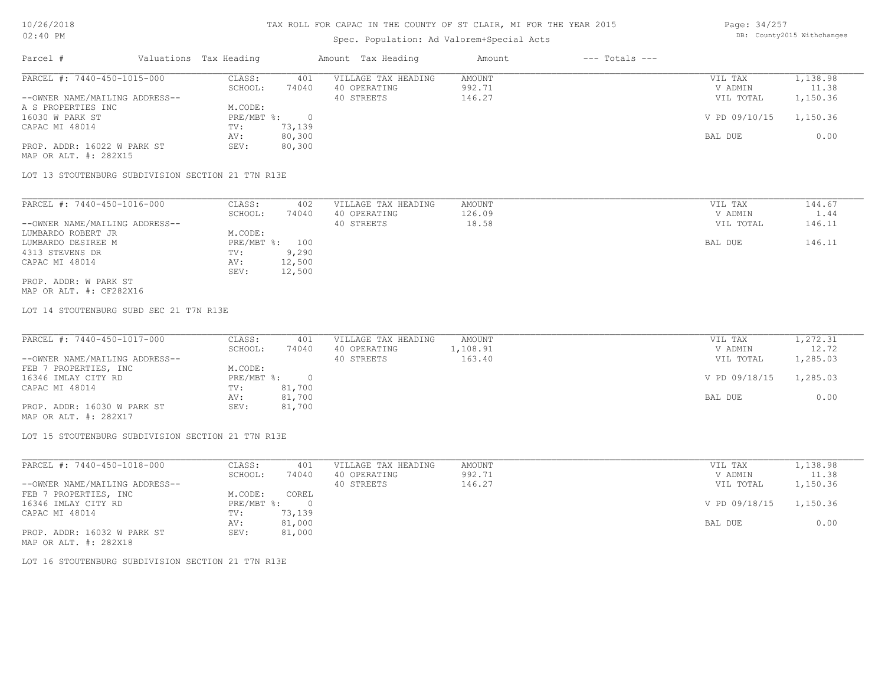### Spec. Population: Ad Valorem+Special Acts

| Page: 34/257 |                            |
|--------------|----------------------------|
|              | DB: County2015 Withchanges |

| Parcel #                       | Valuations Tax Heading |        | Amount Tax Heading  | Amount | $---$ Totals $---$ |               |          |
|--------------------------------|------------------------|--------|---------------------|--------|--------------------|---------------|----------|
| PARCEL #: 7440-450-1015-000    | CLASS:                 | 401    | VILLAGE TAX HEADING | AMOUNT |                    | VIL TAX       | 1,138.98 |
|                                | SCHOOL:                | 74040  | 40 OPERATING        | 992.71 |                    | V ADMIN       | 11.38    |
| --OWNER NAME/MAILING ADDRESS-- |                        |        | 40 STREETS          | 146.27 |                    | VIL TOTAL     | 1,150.36 |
| A S PROPERTIES INC             | M.CODE:                |        |                     |        |                    |               |          |
| 16030 W PARK ST                | $PRE/MBT$ %:           |        |                     |        |                    | V PD 09/10/15 | 1,150.36 |
| CAPAC MI 48014                 | TV:                    | 73,139 |                     |        |                    |               |          |
|                                | AV:                    | 80,300 |                     |        |                    | BAL DUE       | 0.00     |
| PROP. ADDR: 16022 W PARK ST    | SEV:                   | 80,300 |                     |        |                    |               |          |
| MAP OR ALT. #: 282X15          |                        |        |                     |        |                    |               |          |

LOT 13 STOUTENBURG SUBDIVISION SECTION 21 T7N R13E

| PARCEL #: 7440-450-1016-000    | CLASS:       | 402    | VILLAGE TAX HEADING | AMOUNT | VIL TAX   | 144.67 |
|--------------------------------|--------------|--------|---------------------|--------|-----------|--------|
|                                | SCHOOL:      | 74040  | 40 OPERATING        | 126.09 | V ADMIN   | 1.44   |
| --OWNER NAME/MAILING ADDRESS-- |              |        | 40 STREETS          | 18.58  | VIL TOTAL | 146.11 |
| LUMBARDO ROBERT JR             | M.CODE:      |        |                     |        |           |        |
| LUMBARDO DESIREE M             | $PRE/MBT$ %: | 100    |                     |        | BAL DUE   | 146.11 |
| 4313 STEVENS DR                | TV:          | 9,290  |                     |        |           |        |
| CAPAC MI 48014                 | AV:          | 12,500 |                     |        |           |        |
|                                | SEV:         | 12,500 |                     |        |           |        |
| PROP. ADDR: W PARK ST          |              |        |                     |        |           |        |

MAP OR ALT. #: CF282X16

LOT 14 STOUTENBURG SUBD SEC 21 T7N R13E

| PARCEL #: 7440-450-1017-000    | CLASS:     | 401    | VILLAGE TAX HEADING | AMOUNT   | VIL TAX       | 1,272.31 |
|--------------------------------|------------|--------|---------------------|----------|---------------|----------|
|                                | SCHOOL:    | 74040  | 40 OPERATING        | 1,108.91 | V ADMIN       | 12.72    |
| --OWNER NAME/MAILING ADDRESS-- |            |        | 40 STREETS          | 163.40   | VIL TOTAL     | 1,285.03 |
| FEB 7 PROPERTIES, INC          | M.CODE:    |        |                     |          |               |          |
| 16346 IMLAY CITY RD            | PRE/MBT %: |        |                     |          | V PD 09/18/15 | 1,285.03 |
| CAPAC MI 48014                 | TV:        | 81,700 |                     |          |               |          |
|                                | AV:        | 81,700 |                     |          | BAL DUE       | 0.00     |
| PROP. ADDR: 16030 W PARK ST    | SEV:       | 81,700 |                     |          |               |          |
| MAP OR ALT. #: 282X17          |            |        |                     |          |               |          |

LOT 15 STOUTENBURG SUBDIVISION SECTION 21 T7N R13E

| PARCEL #: 7440-450-1018-000    | CLASS:     | 401    | VILLAGE TAX HEADING | AMOUNT | VIL TAX       | 1,138.98 |
|--------------------------------|------------|--------|---------------------|--------|---------------|----------|
|                                | SCHOOL:    | 74040  | 40 OPERATING        | 992.71 | V ADMIN       | 11.38    |
| --OWNER NAME/MAILING ADDRESS-- |            |        | 40 STREETS          | 146.27 | VIL TOTAL     | 1,150.36 |
| FEB 7 PROPERTIES, INC          | M.CODE:    | COREL  |                     |        |               |          |
| 16346 IMLAY CITY RD            | PRE/MBT %: |        |                     |        | V PD 09/18/15 | 1,150.36 |
| CAPAC MI 48014                 | TV:        | 73,139 |                     |        |               |          |
|                                | AV:        | 81,000 |                     |        | BAL DUE       | 0.00     |
| PROP. ADDR: 16032 W PARK ST    | SEV:       | 81,000 |                     |        |               |          |
| MAP OR ALT. #: 282X18          |            |        |                     |        |               |          |

LOT 16 STOUTENBURG SUBDIVISION SECTION 21 T7N R13E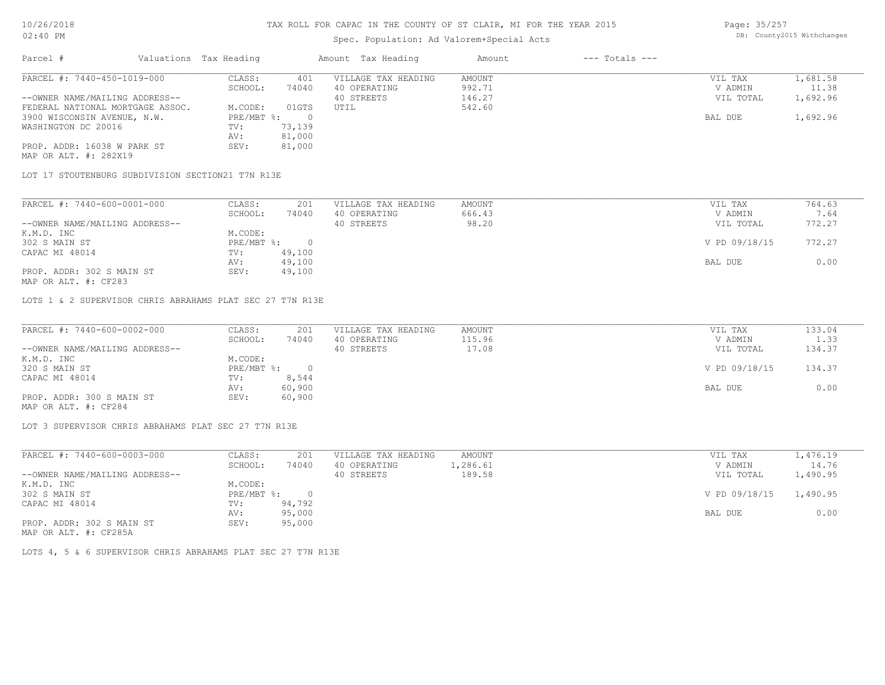## Spec. Population: Ad Valorem+Special Acts

| Page: 35/257 |                            |
|--------------|----------------------------|
|              | DB: County2015 Withchanges |

| Parcel #                         | Valuations Tax Heading |        | Amount Tax Heading  | Amount | $---$ Totals $---$ |           |          |
|----------------------------------|------------------------|--------|---------------------|--------|--------------------|-----------|----------|
| PARCEL #: 7440-450-1019-000      | CLASS:                 | 401    | VILLAGE TAX HEADING | AMOUNT |                    | VIL TAX   | 1,681.58 |
|                                  | SCHOOL:                | 74040  | 40 OPERATING        | 992.71 |                    | V ADMIN   | 11.38    |
| --OWNER NAME/MAILING ADDRESS--   |                        |        | 40 STREETS          | 146.27 |                    | VIL TOTAL | 1,692.96 |
| FEDERAL NATIONAL MORTGAGE ASSOC. | M.CODE:                | 01GTS  | UTIL                | 542.60 |                    |           |          |
| 3900 WISCONSIN AVENUE, N.W.      | $PRE/MBT$ %:           |        |                     |        |                    | BAL DUE   | 1,692.96 |
| WASHINGTON DC 20016              | TV:                    | 73,139 |                     |        |                    |           |          |
|                                  | AV:                    | 81,000 |                     |        |                    |           |          |
| PROP. ADDR: 16038 W PARK ST      | SEV:                   | 81,000 |                     |        |                    |           |          |
| MAP OR ALT. #: 282X19            |                        |        |                     |        |                    |           |          |

LOT 17 STOUTENBURG SUBDIVISION SECTION21 T7N R13E

| PARCEL #: 7440-600-0001-000    | CLASS:     | 201    | VILLAGE TAX HEADING | AMOUNT | VIL TAX       | 764.63 |
|--------------------------------|------------|--------|---------------------|--------|---------------|--------|
|                                | SCHOOL:    | 74040  | 40 OPERATING        | 666.43 | V ADMIN       | 7.64   |
| --OWNER NAME/MAILING ADDRESS-- |            |        | 40 STREETS          | 98.20  | VIL TOTAL     | 772.27 |
| K.M.D. INC                     | M.CODE:    |        |                     |        |               |        |
| 302 S MAIN ST                  | PRE/MBT %: |        |                     |        | V PD 09/18/15 | 772.27 |
| CAPAC MI 48014                 | TV:        | 49,100 |                     |        |               |        |
|                                | AV:        | 49,100 |                     |        | BAL DUE       | 0.00   |
| PROP. ADDR: 302 S MAIN ST      | SEV:       | 49,100 |                     |        |               |        |
|                                |            |        |                     |        |               |        |

MAP OR ALT. #: CF283

LOTS 1 & 2 SUPERVISOR CHRIS ABRAHAMS PLAT SEC 27 T7N R13E

| PARCEL #: 7440-600-0002-000    | CLASS:       | 201    | VILLAGE TAX HEADING | AMOUNT | VIL TAX       | 133.04 |
|--------------------------------|--------------|--------|---------------------|--------|---------------|--------|
|                                | SCHOOL:      | 74040  | 40 OPERATING        | 115.96 | V ADMIN       | 1.33   |
| --OWNER NAME/MAILING ADDRESS-- |              |        | 40 STREETS          | 17.08  | VIL TOTAL     | 134.37 |
| K.M.D. INC                     | M.CODE:      |        |                     |        |               |        |
| 320 S MAIN ST                  | $PRE/MBT$ %: |        |                     |        | V PD 09/18/15 | 134.37 |
| CAPAC MI 48014                 | TV:          | 8,544  |                     |        |               |        |
|                                | AV:          | 60,900 |                     |        | BAL DUE       | 0.00   |
| PROP. ADDR: 300 S MAIN ST      | SEV:         | 60,900 |                     |        |               |        |
| MAP OR ALT. #: CF284           |              |        |                     |        |               |        |

LOT 3 SUPERVISOR CHRIS ABRAHAMS PLAT SEC 27 T7N R13E

| PARCEL #: 7440-600-0003-000    | CLASS:       | 201    | VILLAGE TAX HEADING | AMOUNT   | VIL TAX                | 1,476.19 |
|--------------------------------|--------------|--------|---------------------|----------|------------------------|----------|
|                                | SCHOOL:      | 74040  | 40 OPERATING        | 1,286.61 | V ADMIN                | 14.76    |
| --OWNER NAME/MAILING ADDRESS-- |              |        | 40 STREETS          | 189.58   | VIL TOTAL              | 1,490.95 |
| K.M.D. INC                     | M.CODE:      |        |                     |          |                        |          |
| 302 S MAIN ST                  | $PRE/MBT$ %: | $\cap$ |                     |          | V PD 09/18/15 1,490.95 |          |
| CAPAC MI 48014                 | TV:          | 94,792 |                     |          |                        |          |
|                                | AV:          | 95,000 |                     |          | BAL DUE                | 0.00     |
| PROP. ADDR: 302 S MAIN ST      | SEV:         | 95,000 |                     |          |                        |          |
| $\frac{1}{2}$                  |              |        |                     |          |                        |          |

MAP OR ALT. #: CF285A

LOTS 4, 5 & 6 SUPERVISOR CHRIS ABRAHAMS PLAT SEC 27 T7N R13E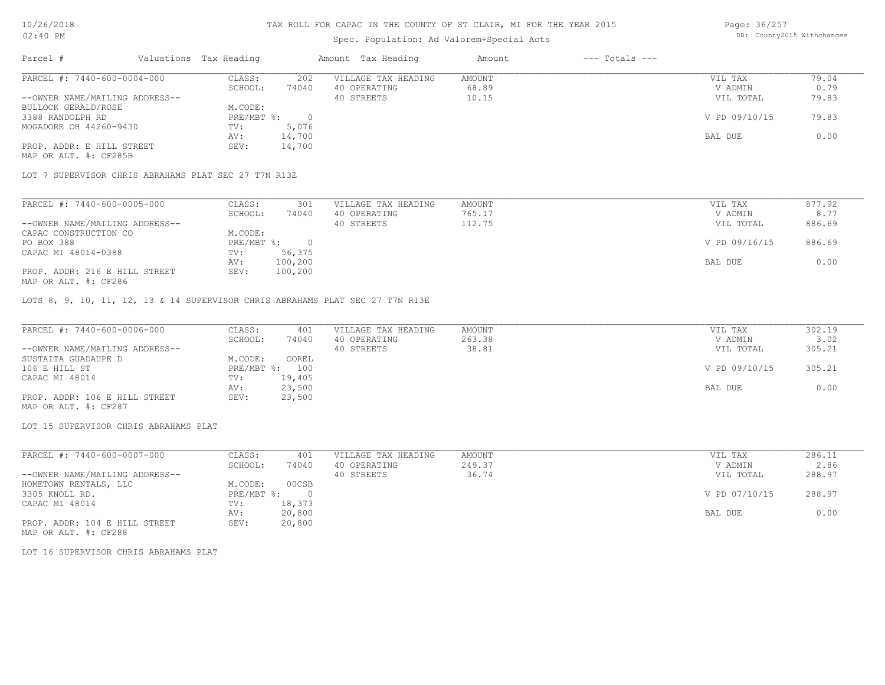### Spec. Population: Ad Valorem+Special Acts

Page: 36/257 DB: County2015 Withchanges

| Parcel #                       | Valuations Tax Heading |        | Amount Tax Heading  | Amount | $---$ Totals $---$ |               |       |
|--------------------------------|------------------------|--------|---------------------|--------|--------------------|---------------|-------|
| PARCEL #: 7440-600-0004-000    | CLASS:                 | 202    | VILLAGE TAX HEADING | AMOUNT |                    | VIL TAX       | 79.04 |
|                                | SCHOOL:                | 74040  | 40 OPERATING        | 68.89  |                    | V ADMIN       | 0.79  |
| --OWNER NAME/MAILING ADDRESS-- |                        |        | 40 STREETS          | 10.15  |                    | VIL TOTAL     | 79.83 |
| BULLOCK GERALD/ROSE            | M.CODE:                |        |                     |        |                    |               |       |
| 3388 RANDOLPH RD               | PRE/MBT %:             |        |                     |        |                    | V PD 09/10/15 | 79.83 |
| MOGADORE OH 44260-9430         | TV:                    | 5,076  |                     |        |                    |               |       |
|                                | AV:                    | 14,700 |                     |        |                    | BAL DUE       | 0.00  |
| PROP. ADDR: E HILL STREET      | SEV:                   | 14,700 |                     |        |                    |               |       |
| MAP OR ALT. #: CF285B          |                        |        |                     |        |                    |               |       |

LOT 7 SUPERVISOR CHRIS ABRAHAMS PLAT SEC 27 T7N R13E

| PARCEL #: 7440-600-0005-000    | CLASS:     | 301     | VILLAGE TAX HEADING | AMOUNT | VIL TAX       | 877.92 |
|--------------------------------|------------|---------|---------------------|--------|---------------|--------|
|                                | SCHOOL:    | 74040   | 40 OPERATING        | 765.17 | V ADMIN       | 8.77   |
| --OWNER NAME/MAILING ADDRESS-- |            |         | 40 STREETS          | 112.75 | VIL TOTAL     | 886.69 |
| CAPAC CONSTRUCTION CO          | M.CODE:    |         |                     |        |               |        |
| PO BOX 388                     | PRE/MBT %: |         |                     |        | V PD 09/16/15 | 886.69 |
| CAPAC MI 48014-0388            | TV:        | 56,375  |                     |        |               |        |
|                                | AV:        | 100,200 |                     |        | BAL DUE       | 0.00   |
| PROP. ADDR: 216 E HILL STREET  | SEV:       | 100,200 |                     |        |               |        |
| MAP OR ALT. #: CF286           |            |         |                     |        |               |        |

LOTS 8, 9, 10, 11, 12, 13 & 14 SUPERVISOR CHRIS ABRAHAMS PLAT SEC 27 T7N R13E

| PARCEL #: 7440-600-0006-000    | CLASS:  | 401            | VILLAGE TAX HEADING | AMOUNT | VIL TAX       | 302.19 |
|--------------------------------|---------|----------------|---------------------|--------|---------------|--------|
|                                | SCHOOL: | 74040          | 40 OPERATING        | 263.38 | V ADMIN       | 3.02   |
| --OWNER NAME/MAILING ADDRESS-- |         |                | 40 STREETS          | 38.81  | VIL TOTAL     | 305.21 |
| SUSTAITA GUADAUPE D            | M.CODE: | COREL          |                     |        |               |        |
| 106 E HILL ST                  |         | PRE/MBT %: 100 |                     |        | V PD 09/10/15 | 305.21 |
| CAPAC MI 48014                 | TV:     | 19,405         |                     |        |               |        |
|                                | AV:     | 23,500         |                     |        | BAL DUE       | 0.00   |
| PROP. ADDR: 106 E HILL STREET  | SEV:    | 23,500         |                     |        |               |        |
| MAP OR ALT. #: CF287           |         |                |                     |        |               |        |

LOT 15 SUPERVISOR CHRIS ABRAHAMS PLAT

| PARCEL #: 7440-600-0007-000    | CLASS:     | 401    | VILLAGE TAX HEADING | AMOUNT | VIL TAX       | 286.11 |
|--------------------------------|------------|--------|---------------------|--------|---------------|--------|
|                                | SCHOOL:    | 74040  | 40 OPERATING        | 249.37 | V ADMIN       | 2.86   |
| --OWNER NAME/MAILING ADDRESS-- |            |        | 40 STREETS          | 36.74  | VIL TOTAL     | 288.97 |
| HOMETOWN RENTALS, LLC          | M.CODE:    | 00CSB  |                     |        |               |        |
| 3305 KNOLL RD.                 | PRE/MBT %: |        |                     |        | V PD 07/10/15 | 288.97 |
| CAPAC MI 48014                 | TV:        | 18,373 |                     |        |               |        |
|                                | AV:        | 20,800 |                     |        | BAL DUE       | 0.00   |
| PROP. ADDR: 104 E HILL STREET  | SEV:       | 20,800 |                     |        |               |        |

MAP OR ALT. #: CF288

LOT 16 SUPERVISOR CHRIS ABRAHAMS PLAT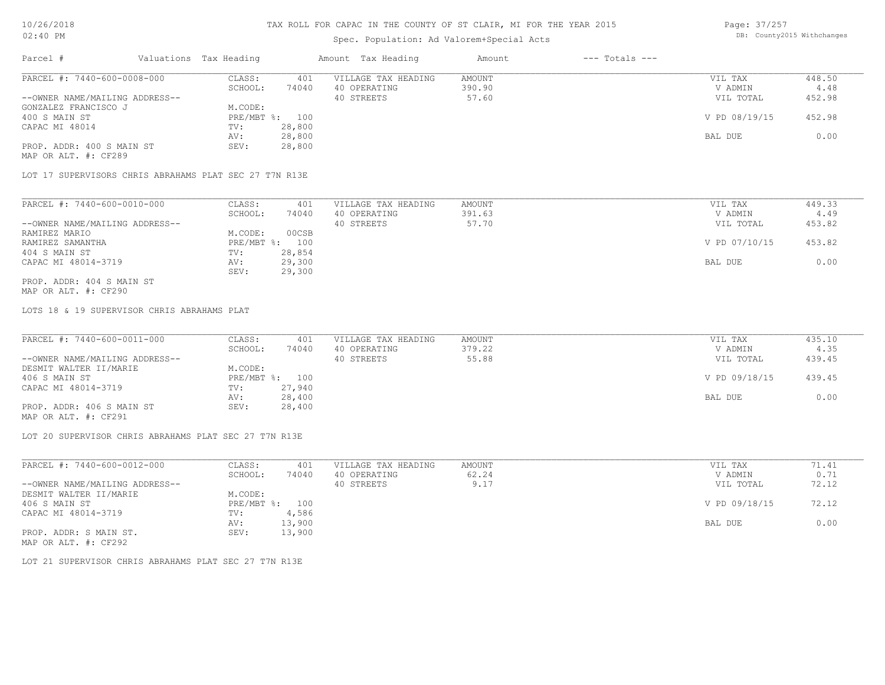## Spec. Population: Ad Valorem+Special Acts

Page: 37/257 DB: County2015 Withchanges

| Parcel #                       | Valuations Tax Heading |        | Amount Tax Heading  | Amount | $---$ Totals $---$ |               |        |
|--------------------------------|------------------------|--------|---------------------|--------|--------------------|---------------|--------|
| PARCEL #: 7440-600-0008-000    | CLASS:                 | 401    | VILLAGE TAX HEADING | AMOUNT |                    | VIL TAX       | 448.50 |
|                                | SCHOOL:                | 74040  | 40 OPERATING        | 390.90 |                    | V ADMIN       | 4.48   |
| --OWNER NAME/MAILING ADDRESS-- |                        |        | 40 STREETS          | 57.60  |                    | VIL TOTAL     | 452.98 |
| GONZALEZ FRANCISCO J           | M.CODE:                |        |                     |        |                    |               |        |
| 400 S MAIN ST                  | PRE/MBT %: 100         |        |                     |        |                    | V PD 08/19/15 | 452.98 |
| CAPAC MI 48014                 | TV:                    | 28,800 |                     |        |                    |               |        |
|                                | AV:                    | 28,800 |                     |        |                    | BAL DUE       | 0.00   |
| PROP. ADDR: 400 S MAIN ST      | SEV:                   | 28,800 |                     |        |                    |               |        |
| MAP OR ALT. #: CF289           |                        |        |                     |        |                    |               |        |

LOT 17 SUPERVISORS CHRIS ABRAHAMS PLAT SEC 27 T7N R13E

| PARCEL #: 7440-600-0010-000    | CLASS:     | 401    | VILLAGE TAX HEADING | AMOUNT | VIL TAX       | 449.33 |
|--------------------------------|------------|--------|---------------------|--------|---------------|--------|
|                                | SCHOOL:    | 74040  | 40 OPERATING        | 391.63 | V ADMIN       | 4.49   |
| --OWNER NAME/MAILING ADDRESS-- |            |        | 40 STREETS          | 57.70  | VIL TOTAL     | 453.82 |
| RAMIREZ MARIO                  | M.CODE:    | 00CSB  |                     |        |               |        |
| RAMIREZ SAMANTHA               | PRE/MBT %: | 100    |                     |        | V PD 07/10/15 | 453.82 |
| 404 S MAIN ST                  | TV:        | 28,854 |                     |        |               |        |
| CAPAC MI 48014-3719            | AV:        | 29,300 |                     |        | BAL DUE       | 0.00   |
|                                | SEV:       | 29,300 |                     |        |               |        |
| PROP. ADDR: 404 S MAIN ST      |            |        |                     |        |               |        |

MAP OR ALT. #: CF290

LOTS 18 & 19 SUPERVISOR CHRIS ABRAHAMS PLAT

| PARCEL #: 7440-600-0011-000    | CLASS:  | 401            | VILLAGE TAX HEADING | AMOUNT | VIL TAX       | 435.10 |
|--------------------------------|---------|----------------|---------------------|--------|---------------|--------|
|                                | SCHOOL: | 74040          | 40 OPERATING        | 379.22 | V ADMIN       | 4.35   |
| --OWNER NAME/MAILING ADDRESS-- |         |                | 40 STREETS          | 55.88  | VIL TOTAL     | 439.45 |
| DESMIT WALTER II/MARIE         | M.CODE: |                |                     |        |               |        |
| 406 S MAIN ST                  |         | PRE/MBT %: 100 |                     |        | V PD 09/18/15 | 439.45 |
| CAPAC MI 48014-3719            | TV:     | 27,940         |                     |        |               |        |
|                                | AV:     | 28,400         |                     |        | BAL DUE       | 0.00   |
| PROP. ADDR: 406 S MAIN ST      | SEV:    | 28,400         |                     |        |               |        |
| MAP OR ALT. #: CF291           |         |                |                     |        |               |        |

LOT 20 SUPERVISOR CHRIS ABRAHAMS PLAT SEC 27 T7N R13E

| PARCEL #: 7440-600-0012-000    | CLASS:  | 401            | VILLAGE TAX HEADING | AMOUNT | VIL TAX       | 71.41 |
|--------------------------------|---------|----------------|---------------------|--------|---------------|-------|
|                                | SCHOOL: | 74040          | 40 OPERATING        | 62.24  | V ADMIN       | 0.71  |
| --OWNER NAME/MAILING ADDRESS-- |         |                | 40 STREETS          | 9.17   | VIL TOTAL     | 72.12 |
| DESMIT WALTER II/MARIE         | M.CODE: |                |                     |        |               |       |
| 406 S MAIN ST                  |         | PRE/MBT %: 100 |                     |        | V PD 09/18/15 | 72.12 |
| CAPAC MI 48014-3719            | TV:     | 4,586          |                     |        |               |       |
|                                | AV:     | 13,900         |                     |        | BAL DUE       | 0.00  |
| PROP. ADDR: S MAIN ST.         | SEV:    | 13,900         |                     |        |               |       |
| MAP OR ALT. #: CF292           |         |                |                     |        |               |       |

LOT 21 SUPERVISOR CHRIS ABRAHAMS PLAT SEC 27 T7N R13E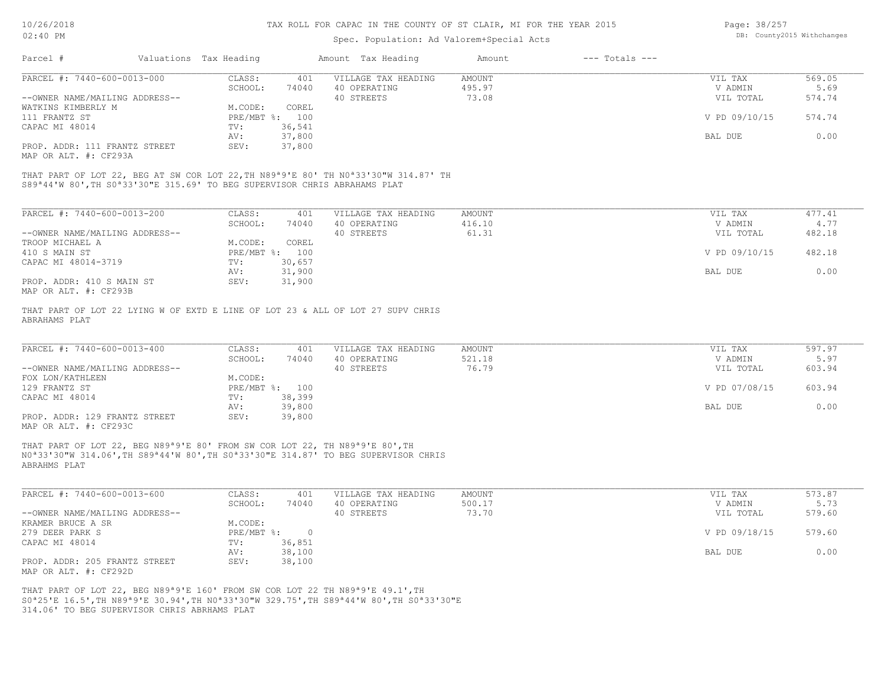| Page: 38/257               |  |
|----------------------------|--|
| DB: County2015 Withchanges |  |

| 02:40 PM                                                                                            |  |                        | DB: County2015 Withchanges |                                                                                                            |               |                    |               |        |
|-----------------------------------------------------------------------------------------------------|--|------------------------|----------------------------|------------------------------------------------------------------------------------------------------------|---------------|--------------------|---------------|--------|
| Parcel #                                                                                            |  | Valuations Tax Heading |                            | Amount Tax Heading                                                                                         | Amount        | $---$ Totals $---$ |               |        |
| PARCEL #: 7440-600-0013-000                                                                         |  | CLASS:                 | 401                        | VILLAGE TAX HEADING                                                                                        | <b>AMOUNT</b> |                    | VIL TAX       | 569.05 |
|                                                                                                     |  | SCHOOL:                | 74040                      | 40 OPERATING                                                                                               | 495.97        |                    | V ADMIN       | 5.69   |
| --OWNER NAME/MAILING ADDRESS--                                                                      |  |                        |                            | 40 STREETS                                                                                                 | 73.08         |                    | VIL TOTAL     | 574.74 |
| WATKINS KIMBERLY M                                                                                  |  | M.CODE:                | COREL                      |                                                                                                            |               |                    |               |        |
| 111 FRANTZ ST                                                                                       |  | PRE/MBT %:             | 100                        |                                                                                                            |               |                    | V PD 09/10/15 | 574.74 |
| CAPAC MI 48014                                                                                      |  | TV:                    | 36,541                     |                                                                                                            |               |                    |               |        |
|                                                                                                     |  | AV:                    | 37,800                     |                                                                                                            |               |                    | BAL DUE       | 0.00   |
| PROP. ADDR: 111 FRANTZ STREET                                                                       |  | SEV:                   | 37,800                     |                                                                                                            |               |                    |               |        |
| MAP OR ALT. #: CF293A                                                                               |  |                        |                            |                                                                                                            |               |                    |               |        |
|                                                                                                     |  |                        |                            |                                                                                                            |               |                    |               |        |
|                                                                                                     |  |                        |                            | THAT PART OF LOT 22, BEG AT SW COR LOT 22, TH N89 <sup>ª9'E</sup> 80' TH N0 <sup>ª33'30"W</sup> 314.87' TH |               |                    |               |        |
| S89 <sup>ª</sup> 44'W 80', TH S0 <sup>ª</sup> 33'30"E 315.69' TO BEG SUPERVISOR CHRIS ABRAHAMS PLAT |  |                        |                            |                                                                                                            |               |                    |               |        |
|                                                                                                     |  |                        |                            |                                                                                                            |               |                    |               |        |
| PARCEL #: 7440-600-0013-200                                                                         |  | CLASS:                 | 401                        | VILLAGE TAX HEADING                                                                                        | <b>AMOUNT</b> |                    | VIL TAX       | 477.41 |
|                                                                                                     |  | SCHOOL:                | 74040                      | 40 OPERATING                                                                                               | 416.10        |                    | V ADMIN       | 4.77   |
| --OWNER NAME/MAILING ADDRESS--                                                                      |  |                        |                            | 40 STREETS                                                                                                 | 61.31         |                    | VIL TOTAL     | 482.18 |
| TROOP MICHAEL A                                                                                     |  | M.CODE:                | COREL                      |                                                                                                            |               |                    |               |        |
| 410 S MAIN ST                                                                                       |  |                        | PRE/MBT %: 100             |                                                                                                            |               |                    | V PD 09/10/15 | 482.18 |
| CAPAC MI 48014-3719                                                                                 |  | TV:                    | 30,657                     |                                                                                                            |               |                    |               |        |
|                                                                                                     |  | AV:                    | 31,900                     |                                                                                                            |               |                    | BAL DUE       | 0.00   |
| PROP. ADDR: 410 S MAIN ST                                                                           |  | SEV:                   | 31,900                     |                                                                                                            |               |                    |               |        |
|                                                                                                     |  |                        |                            |                                                                                                            |               |                    |               |        |
| MAP OR ALT. #: CF293B                                                                               |  |                        |                            |                                                                                                            |               |                    |               |        |
|                                                                                                     |  |                        |                            | THAT PART OF LOT 22 LYING W OF EXTD E LINE OF LOT 23 & ALL OF LOT 27 SUPV CHRIS                            |               |                    |               |        |
| ABRAHAMS PLAT                                                                                       |  |                        |                            |                                                                                                            |               |                    |               |        |
|                                                                                                     |  |                        |                            |                                                                                                            |               |                    |               |        |
|                                                                                                     |  |                        |                            |                                                                                                            |               |                    |               |        |
| PARCEL #: 7440-600-0013-400                                                                         |  | CLASS:                 | 401                        | VILLAGE TAX HEADING                                                                                        | <b>AMOUNT</b> |                    | VIL TAX       | 597.97 |
|                                                                                                     |  | SCHOOL:                | 74040                      | 40 OPERATING                                                                                               | 521.18        |                    | V ADMIN       | 5.97   |
| --OWNER NAME/MAILING ADDRESS--                                                                      |  |                        |                            | 40 STREETS                                                                                                 | 76.79         |                    | VIL TOTAL     | 603.94 |
| FOX LON/KATHLEEN                                                                                    |  | M.CODE:                |                            |                                                                                                            |               |                    |               |        |
| 129 FRANTZ ST                                                                                       |  |                        | PRE/MBT %: 100             |                                                                                                            |               |                    | V PD 07/08/15 | 603.94 |
| CAPAC MI 48014                                                                                      |  | TV:                    | 38,399                     |                                                                                                            |               |                    |               |        |
|                                                                                                     |  | AV:                    | 39,800                     |                                                                                                            |               |                    | BAL DUE       | 0.00   |
| PROP. ADDR: 129 FRANTZ STREET                                                                       |  | SEV:                   | 39,800                     |                                                                                                            |               |                    |               |        |
|                                                                                                     |  |                        |                            |                                                                                                            |               |                    |               |        |

MAP OR ALT. #: CF293C

ABRAHMS PLAT N0ª33'30"W 314.06',TH S89ª44'W 80',TH S0ª33'30"E 314.87' TO BEG SUPERVISOR CHRIS THAT PART OF LOT 22, BEG N89ª9'E 80' FROM SW COR LOT 22, TH N89ª9'E 80',TH

| PARCEL #: 7440-600-0013-600    | CLASS:       | 401    | VILLAGE TAX HEADING | AMOUNT | VIL TAX       | 573.87 |
|--------------------------------|--------------|--------|---------------------|--------|---------------|--------|
|                                | SCHOOL:      | 74040  | 40 OPERATING        | 500.17 | V ADMIN       | 5.73   |
| --OWNER NAME/MAILING ADDRESS-- |              |        | 40 STREETS          | 73.70  | VIL TOTAL     | 579.60 |
| KRAMER BRUCE A SR              | M.CODE:      |        |                     |        |               |        |
| 279 DEER PARK S                | $PRE/MBT$ %: |        |                     |        | V PD 09/18/15 | 579.60 |
| CAPAC MI 48014                 | TV:          | 36,851 |                     |        |               |        |
|                                | AV:          | 38,100 |                     |        | BAL DUE       | 0.00   |
| PROP. ADDR: 205 FRANTZ STREET  | SEV:         | 38,100 |                     |        |               |        |
| MAP OR ALT. #: CF292D          |              |        |                     |        |               |        |

314.06' TO BEG SUPERVISOR CHRIS ABRHAMS PLAT S0ª25'E 16.5',TH N89ª9'E 30.94',TH N0ª33'30"W 329.75',TH S89ª44'W 80',TH S0ª33'30"E THAT PART OF LOT 22, BEG N89ª9'E 160' FROM SW COR LOT 22 TH N89ª9'E 49.1',TH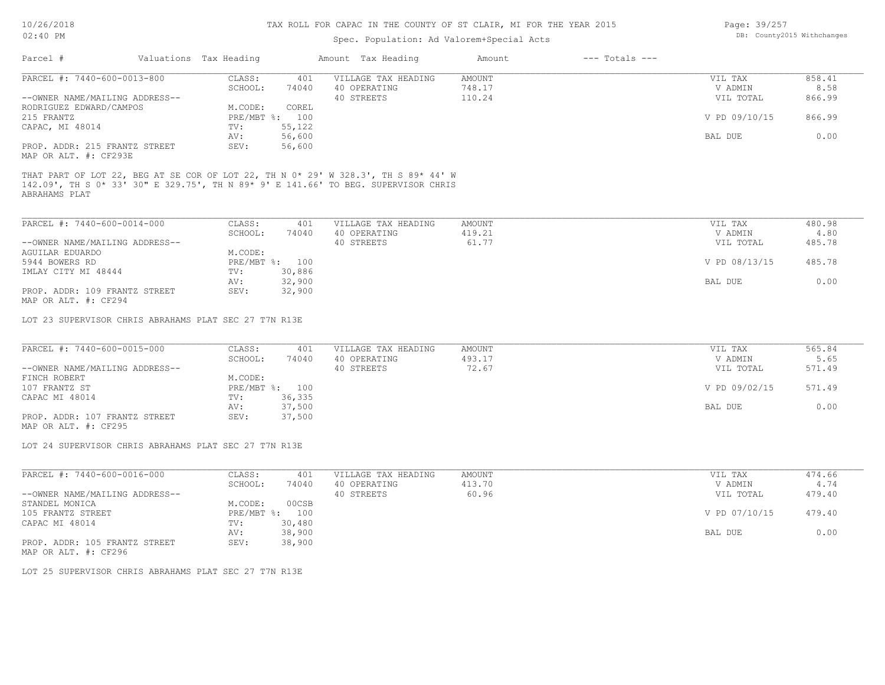## Spec. Population: Ad Valorem+Special Acts

| Page: 39/257 |                            |
|--------------|----------------------------|
|              | DB: County2015 Withchanges |

| PARCEL #: 7440-600-0013-800                                                                                        |              |        |                                                                                    |        |               |        |
|--------------------------------------------------------------------------------------------------------------------|--------------|--------|------------------------------------------------------------------------------------|--------|---------------|--------|
|                                                                                                                    | CLASS:       | 401    | VILLAGE TAX HEADING                                                                | AMOUNT | VIL TAX       | 858.41 |
|                                                                                                                    | SCHOOL:      | 74040  | 40 OPERATING                                                                       | 748.17 | V ADMIN       | 8.58   |
| --OWNER NAME/MAILING ADDRESS--                                                                                     |              |        | 40 STREETS                                                                         | 110.24 | VIL TOTAL     | 866.99 |
| RODRIGUEZ EDWARD/CAMPOS                                                                                            | M.CODE:      | COREL  |                                                                                    |        |               |        |
| 215 FRANTZ                                                                                                         | $PRE/MBT$ %: | 100    |                                                                                    |        | V PD 09/10/15 | 866.99 |
| CAPAC, MI 48014                                                                                                    | TV:          | 55,122 |                                                                                    |        |               |        |
|                                                                                                                    | AV:          | 56,600 |                                                                                    |        | BAL DUE       | 0.00   |
| PROP. ADDR: 215 FRANTZ STREET                                                                                      | SEV:         | 56,600 |                                                                                    |        |               |        |
| MAP OR ALT. #: CF293E                                                                                              |              |        |                                                                                    |        |               |        |
|                                                                                                                    |              |        | 142.09', TH S 0* 33' 30" E 329.75', TH N 89* 9' E 141.66' TO BEG. SUPERVISOR CHRIS |        |               |        |
| PARCEL #: 7440-600-0014-000                                                                                        | CLASS:       | 401    | VILLAGE TAX HEADING                                                                | AMOUNT | VIL TAX       | 480.98 |
|                                                                                                                    | SCHOOL:      | 74040  | 40 OPERATING                                                                       | 419.21 | V ADMIN       | 4.80   |
|                                                                                                                    |              |        | 40 STREETS                                                                         | 61.77  | VIL TOTAL     | 485.78 |
|                                                                                                                    | M.CODE:      |        |                                                                                    |        |               |        |
|                                                                                                                    | $PRE/MBT$ %: | 100    |                                                                                    |        | V PD 08/13/15 | 485.78 |
|                                                                                                                    | TV:          | 30,886 |                                                                                    |        |               |        |
| ABRAHAMS PLAT<br>--OWNER NAME/MAILING ADDRESS--<br><b>AGUILAR EDUARDO</b><br>5944 BOWERS RD<br>IMLAY CITY MI 48444 | AV:          | 32,900 |                                                                                    |        | BAL DUE       | 0.00   |
| PROP. ADDR: 109 FRANTZ STREET<br>MAP OR ALT. #: CF294                                                              | SEV:         | 32,900 |                                                                                    |        |               |        |

MAP OR ALT. #: CF295 PROP. ADDR: 107 FRANTZ STREET SEV: 37,500 AV: 37,500 BAL DUE 0.00 CAPAC MI 48014 TV: 36,335<br>
AV: 37,500 107 FRANTZ ST PRE/MBT %: 100 V PD 09/02/15 571.49 FINCH ROBERT M.CODE: --OWNER NAME/MAILING ADDRESS-- 40 STREETS 72.67 VIL TOTAL 571.49 SCHOOL: 74040 40 OPERATING 493.17 40 ADMIN 5.65 PARCEL #: 7440-600-0015-000 CLASS: 401 VILLAGE TAX HEADING AMOUNT AMOUNT VIL TAX 565.84<br>565.84 SCHOOL: 74040 40 OPERATING 493.17 403.17 VADMIN 5.65  $\mathcal{L}_\mathcal{L} = \mathcal{L}_\mathcal{L} = \mathcal{L}_\mathcal{L} = \mathcal{L}_\mathcal{L} = \mathcal{L}_\mathcal{L} = \mathcal{L}_\mathcal{L} = \mathcal{L}_\mathcal{L} = \mathcal{L}_\mathcal{L} = \mathcal{L}_\mathcal{L} = \mathcal{L}_\mathcal{L} = \mathcal{L}_\mathcal{L} = \mathcal{L}_\mathcal{L} = \mathcal{L}_\mathcal{L} = \mathcal{L}_\mathcal{L} = \mathcal{L}_\mathcal{L} = \mathcal{L}_\mathcal{L} = \mathcal{L}_\mathcal{L}$ 

LOT 24 SUPERVISOR CHRIS ABRAHAMS PLAT SEC 27 T7N R13E

| PARCEL #: 7440-600-0016-000    | CLASS:     | 401    | VILLAGE TAX HEADING | AMOUNT | VIL TAX       | 474.66 |
|--------------------------------|------------|--------|---------------------|--------|---------------|--------|
|                                | SCHOOL:    | 74040  | 40 OPERATING        | 413.70 | V ADMIN       | 4.74   |
| --OWNER NAME/MAILING ADDRESS-- |            |        | 40 STREETS          | 60.96  | VIL TOTAL     | 479.40 |
| STANDEL MONICA                 | M.CODE:    | 00CSB  |                     |        |               |        |
| 105 FRANTZ STREET              | PRE/MBT %: | 100    |                     |        | V PD 07/10/15 | 479.40 |
| CAPAC MI 48014                 | TV:        | 30,480 |                     |        |               |        |
|                                | AV:        | 38,900 |                     |        | BAL DUE       | 0.00   |
| PROP. ADDR: 105 FRANTZ STREET  | SEV:       | 38,900 |                     |        |               |        |
| MAP OR ALT. #: CF296           |            |        |                     |        |               |        |

LOT 25 SUPERVISOR CHRIS ABRAHAMS PLAT SEC 27 T7N R13E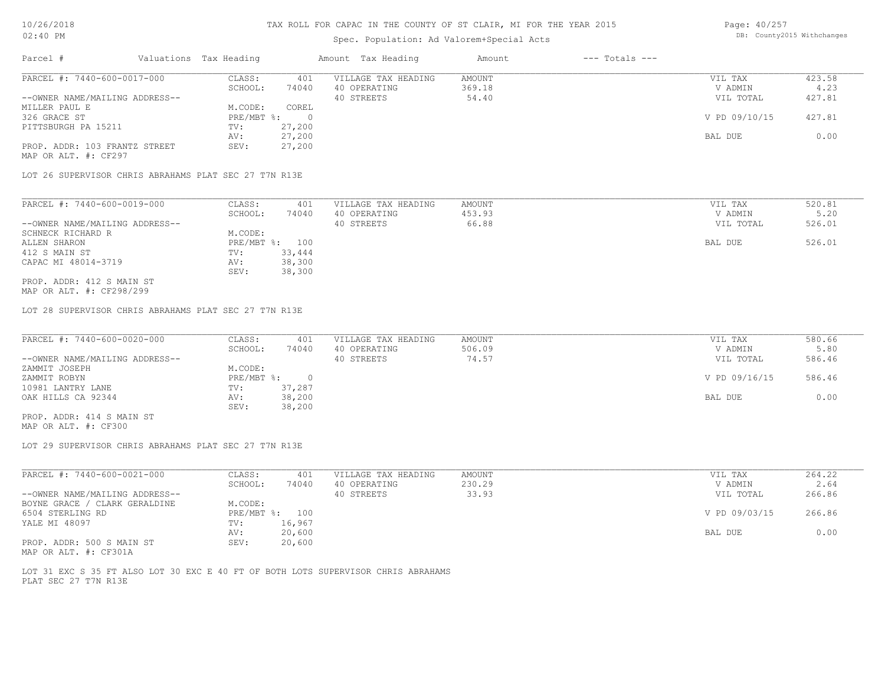# Spec. Population: Ad Valorem+Special Acts

Page: 40/257 DB: County2015 Withchanges

| PARCEL #: 7440-600-0017-000<br>423.58<br>CLASS:<br>401<br>AMOUNT<br>VILLAGE TAX HEADING<br>VIL TAX<br>74040<br>40 OPERATING<br>369.18<br>4.23<br>SCHOOL:<br>V ADMIN<br>--OWNER NAME/MAILING ADDRESS--<br>427.81<br>54.40<br>40 STREETS<br>VIL TOTAL<br>COREL<br>M.CODE:<br>V PD 09/10/15<br>427.81<br>$PRE/MBT$ $\frac{1}{6}$ :<br>- 0<br>27,200<br>TV:<br>0.00<br>27,200<br>BAL DUE<br>AV:<br>PROP. ADDR: 103 FRANTZ STREET<br>27,200<br>SEV:<br>LOT 26 SUPERVISOR CHRIS ABRAHAMS PLAT SEC 27 T7N R13E | Parcel #             | Valuations Tax Heading | Amount Tax Heading | Amount | $---$ Totals $---$ |  |
|---------------------------------------------------------------------------------------------------------------------------------------------------------------------------------------------------------------------------------------------------------------------------------------------------------------------------------------------------------------------------------------------------------------------------------------------------------------------------------------------------------|----------------------|------------------------|--------------------|--------|--------------------|--|
|                                                                                                                                                                                                                                                                                                                                                                                                                                                                                                         |                      |                        |                    |        |                    |  |
|                                                                                                                                                                                                                                                                                                                                                                                                                                                                                                         |                      |                        |                    |        |                    |  |
|                                                                                                                                                                                                                                                                                                                                                                                                                                                                                                         |                      |                        |                    |        |                    |  |
|                                                                                                                                                                                                                                                                                                                                                                                                                                                                                                         | MILLER PAUL E        |                        |                    |        |                    |  |
|                                                                                                                                                                                                                                                                                                                                                                                                                                                                                                         | 326 GRACE ST         |                        |                    |        |                    |  |
|                                                                                                                                                                                                                                                                                                                                                                                                                                                                                                         | PITTSBURGH PA 15211  |                        |                    |        |                    |  |
|                                                                                                                                                                                                                                                                                                                                                                                                                                                                                                         |                      |                        |                    |        |                    |  |
|                                                                                                                                                                                                                                                                                                                                                                                                                                                                                                         |                      |                        |                    |        |                    |  |
|                                                                                                                                                                                                                                                                                                                                                                                                                                                                                                         | MAP OR ALT. #: CF297 |                        |                    |        |                    |  |
|                                                                                                                                                                                                                                                                                                                                                                                                                                                                                                         |                      |                        |                    |        |                    |  |
|                                                                                                                                                                                                                                                                                                                                                                                                                                                                                                         |                      |                        |                    |        |                    |  |

| PARCEL #: 7440-600-0019-000    | CLASS:  | 401            | VILLAGE TAX HEADING | AMOUNT | VIL TAX   | 520.81 |
|--------------------------------|---------|----------------|---------------------|--------|-----------|--------|
|                                | SCHOOL: | 74040          | 40 OPERATING        | 453.93 | V ADMIN   | 5.20   |
| --OWNER NAME/MAILING ADDRESS-- |         |                | 40 STREETS          | 66.88  | VIL TOTAL | 526.01 |
| SCHNECK RICHARD R              | M.CODE: |                |                     |        |           |        |
| ALLEN SHARON                   |         | PRE/MBT %: 100 |                     |        | BAL DUE   | 526.01 |
| 412 S MAIN ST                  | TV:     | 33,444         |                     |        |           |        |
| CAPAC MI 48014-3719            | AV:     | 38,300         |                     |        |           |        |
|                                | SEV:    | 38,300         |                     |        |           |        |
| PROP. ADDR: 412 S MAIN ST      |         |                |                     |        |           |        |

MAP OR ALT. #: CF298/299

LOT 28 SUPERVISOR CHRIS ABRAHAMS PLAT SEC 27 T7N R13E

| PARCEL #: 7440-600-0020-000    | CLASS:     | 401    | VILLAGE TAX HEADING | AMOUNT | VIL TAX       | 580.66 |
|--------------------------------|------------|--------|---------------------|--------|---------------|--------|
|                                | SCHOOL:    | 74040  | 40 OPERATING        | 506.09 | V ADMIN       | 5.80   |
| --OWNER NAME/MAILING ADDRESS-- |            |        | 40 STREETS          | 74.57  | VIL TOTAL     | 586.46 |
| ZAMMIT JOSEPH                  | M.CODE:    |        |                     |        |               |        |
| ZAMMIT ROBYN                   | PRE/MBT %: |        |                     |        | V PD 09/16/15 | 586.46 |
| 10981 LANTRY LANE              | TV:        | 37,287 |                     |        |               |        |
| OAK HILLS CA 92344             | AV:        | 38,200 |                     |        | BAL DUE       | 0.00   |
|                                | SEV:       | 38,200 |                     |        |               |        |
| PROP. ADDR: 414 S MAIN ST      |            |        |                     |        |               |        |

MAP OR ALT. #: CF300

LOT 29 SUPERVISOR CHRIS ABRAHAMS PLAT SEC 27 T7N R13E

| PARCEL #: 7440-600-0021-000    | CLASS:     | 401    | VILLAGE TAX HEADING | AMOUNT | VIL TAX       | 264.22 |
|--------------------------------|------------|--------|---------------------|--------|---------------|--------|
|                                | SCHOOL:    | 74040  | 40 OPERATING        | 230.29 | V ADMIN       | 2.64   |
| --OWNER NAME/MAILING ADDRESS-- |            |        | 40 STREETS          | 33.93  | VIL TOTAL     | 266.86 |
| BOYNE GRACE / CLARK GERALDINE  | M.CODE:    |        |                     |        |               |        |
| 6504 STERLING RD               | PRE/MBT %: | 100    |                     |        | V PD 09/03/15 | 266.86 |
| YALE MI 48097                  | TV:        | 16,967 |                     |        |               |        |
|                                | AV:        | 20,600 |                     |        | BAL DUE       | 0.00   |
| PROP. ADDR: 500 S MAIN ST      | SEV:       | 20,600 |                     |        |               |        |

MAP OR ALT. #: CF301A

PLAT SEC 27 T7N R13E LOT 31 EXC S 35 FT ALSO LOT 30 EXC E 40 FT OF BOTH LOTS SUPERVISOR CHRIS ABRAHAMS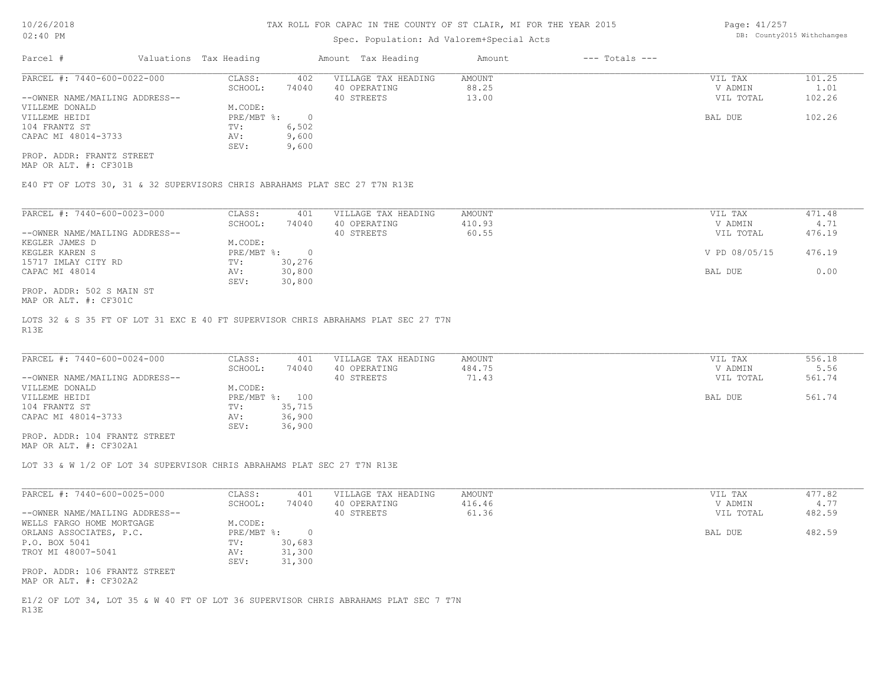## Spec. Population: Ad Valorem+Special Acts

Page: 41/257 DB: County2015 Withchanges

| Parcel #                       | Valuations Tax Heading |       | Amount Tax Heading  | Amount | $---$ Totals $---$ |           |        |
|--------------------------------|------------------------|-------|---------------------|--------|--------------------|-----------|--------|
| PARCEL #: 7440-600-0022-000    | CLASS:                 | 402   | VILLAGE TAX HEADING | AMOUNT |                    | VIL TAX   | 101.25 |
|                                | SCHOOL:                | 74040 | 40 OPERATING        | 88.25  |                    | V ADMIN   | 1.01   |
| --OWNER NAME/MAILING ADDRESS-- |                        |       | 40 STREETS          | 13.00  |                    | VIL TOTAL | 102.26 |
| VILLEME DONALD                 | M.CODE:                |       |                     |        |                    |           |        |
| VILLEME HEIDI                  | PRE/MBT %:             |       |                     |        |                    | BAL DUE   | 102.26 |
| 104 FRANTZ ST                  | TV:                    | 6,502 |                     |        |                    |           |        |
| CAPAC MI 48014-3733            | AV:                    | 9,600 |                     |        |                    |           |        |
|                                | SEV:                   | 9,600 |                     |        |                    |           |        |
| PROP. ADDR: FRANTZ STREET      |                        |       |                     |        |                    |           |        |

MAP OR ALT. #: CF301B

E40 FT OF LOTS 30, 31 & 32 SUPERVISORS CHRIS ABRAHAMS PLAT SEC 27 T7N R13E

| PARCEL #: 7440-600-0023-000    | CLASS:     | 401    | VILLAGE TAX HEADING | AMOUNT | 471.48<br>VIL TAX       |  |
|--------------------------------|------------|--------|---------------------|--------|-------------------------|--|
|                                | SCHOOL:    | 74040  | 40 OPERATING        | 410.93 | V ADMIN<br>4.71         |  |
| --OWNER NAME/MAILING ADDRESS-- |            |        | 40 STREETS          | 60.55  | 476.19<br>VIL TOTAL     |  |
| KEGLER JAMES D                 | M.CODE:    |        |                     |        |                         |  |
| KEGLER KAREN S                 | PRE/MBT %: | $\cap$ |                     |        | V PD 08/05/15<br>476.19 |  |
| 15717 IMLAY CITY RD            | TV:        | 30,276 |                     |        |                         |  |
| CAPAC MI 48014                 | AV:        | 30,800 |                     |        | 0.00<br>BAL DUE         |  |
|                                | SEV:       | 30,800 |                     |        |                         |  |
| PROP. ADDR: 502 S MAIN ST      |            |        |                     |        |                         |  |

MAP OR ALT. #: CF301C

R13E LOTS 32 & S 35 FT OF LOT 31 EXC E 40 FT SUPERVISOR CHRIS ABRAHAMS PLAT SEC 27 T7N

| PARCEL #: 7440-600-0024-000    | CLASS:         | 401    | VILLAGE TAX HEADING | AMOUNT | VIL TAX   | 556.18 |
|--------------------------------|----------------|--------|---------------------|--------|-----------|--------|
|                                | SCHOOL:        | 74040  | 40 OPERATING        | 484.75 | V ADMIN   | 5.56   |
| --OWNER NAME/MAILING ADDRESS-- |                |        | 40 STREETS          | 71.43  | VIL TOTAL | 561.74 |
| VILLEME DONALD                 | M.CODE:        |        |                     |        |           |        |
| VILLEME HEIDI                  | PRE/MBT %: 100 |        |                     |        | BAL DUE   | 561.74 |
| 104 FRANTZ ST                  | TV:            | 35,715 |                     |        |           |        |
| CAPAC MI 48014-3733            | AV:            | 36,900 |                     |        |           |        |
|                                | SEV:           | 36,900 |                     |        |           |        |
| PROP. ADDR: 104 FRANTZ STREET  |                |        |                     |        |           |        |

 $\mathcal{L}_\mathcal{L} = \mathcal{L}_\mathcal{L} = \mathcal{L}_\mathcal{L} = \mathcal{L}_\mathcal{L} = \mathcal{L}_\mathcal{L} = \mathcal{L}_\mathcal{L} = \mathcal{L}_\mathcal{L} = \mathcal{L}_\mathcal{L} = \mathcal{L}_\mathcal{L} = \mathcal{L}_\mathcal{L} = \mathcal{L}_\mathcal{L} = \mathcal{L}_\mathcal{L} = \mathcal{L}_\mathcal{L} = \mathcal{L}_\mathcal{L} = \mathcal{L}_\mathcal{L} = \mathcal{L}_\mathcal{L} = \mathcal{L}_\mathcal{L}$ 

MAP OR ALT. #: CF302A1

LOT 33 & W 1/2 OF LOT 34 SUPERVISOR CHRIS ABRAHAMS PLAT SEC 27 T7N R13E

| PARCEL #: 7440-600-0025-000    | CLASS:                    | 401    | VILLAGE TAX HEADING | AMOUNT | VIL TAX   | 477.82 |
|--------------------------------|---------------------------|--------|---------------------|--------|-----------|--------|
|                                | SCHOOL:                   | 74040  | 40 OPERATING        | 416.46 | V ADMIN   | 4.77   |
| --OWNER NAME/MAILING ADDRESS-- |                           |        | 40 STREETS          | 61.36  | VIL TOTAL | 482.59 |
| WELLS FARGO HOME MORTGAGE      | M.CODE:                   |        |                     |        |           |        |
| ORLANS ASSOCIATES, P.C.        | $PRE/MBT$ $\frac{1}{6}$ : |        |                     |        | BAL DUE   | 482.59 |
| P.O. BOX 5041                  | TV:                       | 30,683 |                     |        |           |        |
| TROY MI 48007-5041             | AV:                       | 31,300 |                     |        |           |        |
|                                | SEV:                      | 31,300 |                     |        |           |        |
| PROP. ADDR: 106 FRANTZ STREET  |                           |        |                     |        |           |        |
| MAP OR ALT. #: CF302A2         |                           |        |                     |        |           |        |

R13E E1/2 OF LOT 34, LOT 35 & W 40 FT OF LOT 36 SUPERVISOR CHRIS ABRAHAMS PLAT SEC 7 T7N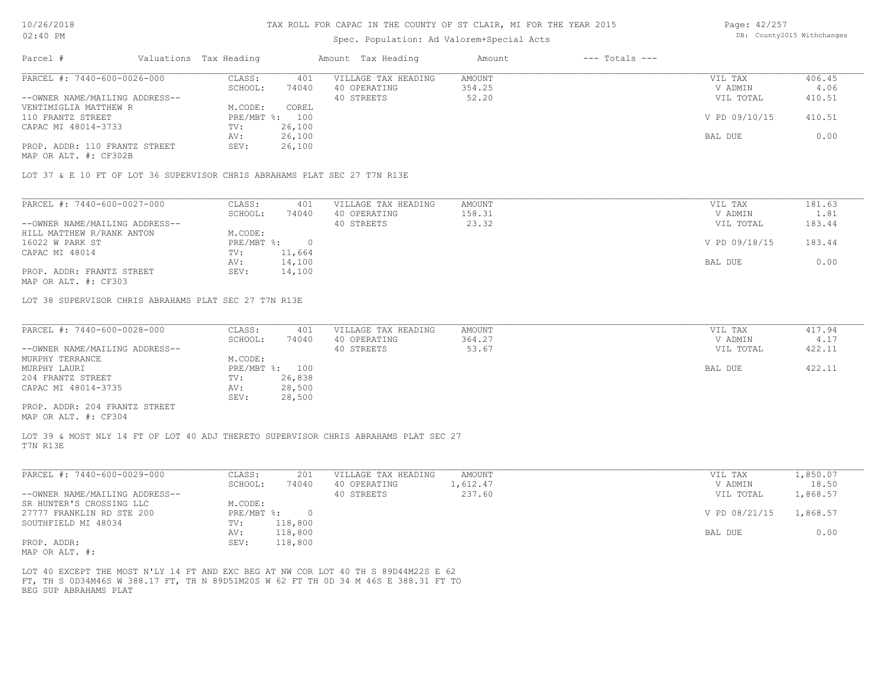## Spec. Population: Ad Valorem+Special Acts

Page: 42/257 DB: County2015 Withchanges

| Parcel #                       | Valuations Tax Heading |        | Amount Tax Heading  | Amount | $---$ Totals $---$ |               |        |
|--------------------------------|------------------------|--------|---------------------|--------|--------------------|---------------|--------|
| PARCEL #: 7440-600-0026-000    | CLASS:                 | 401    | VILLAGE TAX HEADING | AMOUNT |                    | VIL TAX       | 406.45 |
|                                | SCHOOL:                | 74040  | 40 OPERATING        | 354.25 |                    | V ADMIN       | 4.06   |
| --OWNER NAME/MAILING ADDRESS-- |                        |        | 40 STREETS          | 52.20  |                    | VIL TOTAL     | 410.51 |
| VENTIMIGLIA MATTHEW R          | M.CODE:                | COREL  |                     |        |                    |               |        |
| 110 FRANTZ STREET              | PRE/MBT %:             | 100    |                     |        |                    | V PD 09/10/15 | 410.51 |
| CAPAC MI 48014-3733            | TV:                    | 26,100 |                     |        |                    |               |        |
|                                | AV:                    | 26,100 |                     |        |                    | BAL DUE       | 0.00   |
| PROP. ADDR: 110 FRANTZ STREET  | SEV:                   | 26,100 |                     |        |                    |               |        |
| MAP OR ALT. #: CF302B          |                        |        |                     |        |                    |               |        |

LOT 37 & E 10 FT OF LOT 36 SUPERVISOR CHRIS ABRAHAMS PLAT SEC 27 T7N R13E

| PARCEL #: 7440-600-0027-000    | CLASS:     | 401    | VILLAGE TAX HEADING | AMOUNT | VIL TAX       | 181.63 |
|--------------------------------|------------|--------|---------------------|--------|---------------|--------|
|                                | SCHOOL:    | 74040  | 40 OPERATING        | 158.31 | V ADMIN       | 1.81   |
| --OWNER NAME/MAILING ADDRESS-- |            |        | 40 STREETS          | 23.32  | VIL TOTAL     | 183.44 |
| HILL MATTHEW R/RANK ANTON      | M.CODE:    |        |                     |        |               |        |
| 16022 W PARK ST                | PRE/MBT %: |        |                     |        | V PD 09/18/15 | 183.44 |
| CAPAC MI 48014                 | TV:        | 11,664 |                     |        |               |        |
|                                | AV:        | 14,100 |                     |        | BAL DUE       | 0.00   |
| PROP. ADDR: FRANTZ STREET      | SEV:       | 14,100 |                     |        |               |        |
|                                |            |        |                     |        |               |        |

MAP OR ALT. #: CF303

LOT 38 SUPERVISOR CHRIS ABRAHAMS PLAT SEC 27 T7N R13E

| PARCEL #: 7440-600-0028-000    | CLASS:         | 401    | VILLAGE TAX HEADING | AMOUNT | VIL TAX   | 417.94 |
|--------------------------------|----------------|--------|---------------------|--------|-----------|--------|
|                                | SCHOOL:        | 74040  | 40 OPERATING        | 364.27 | V ADMIN   | 4.17   |
| --OWNER NAME/MAILING ADDRESS-- |                |        | 40 STREETS          | 53.67  | VIL TOTAL | 422.11 |
| MURPHY TERRANCE                | M.CODE:        |        |                     |        |           |        |
| MURPHY LAURI                   | PRE/MBT %: 100 |        |                     |        | BAL DUE   | 422.11 |
| 204 FRANTZ STREET              | TV:            | 26,838 |                     |        |           |        |
| CAPAC MI 48014-3735            | AV:            | 28,500 |                     |        |           |        |
|                                | SEV:           | 28,500 |                     |        |           |        |
| PROP. ADDR: 204 FRANTZ STREET  |                |        |                     |        |           |        |

MAP OR ALT. #: CF304

T7N R13E LOT 39 & MOST NLY 14 FT OF LOT 40 ADJ THERETO SUPERVISOR CHRIS ABRAHAMS PLAT SEC 27

| PARCEL #: 7440-600-0029-000    | CLASS:     | 201     | VILLAGE TAX HEADING | AMOUNT   | VIL TAX       | l,850.07 |
|--------------------------------|------------|---------|---------------------|----------|---------------|----------|
|                                | SCHOOL:    | 74040   | 40 OPERATING        | 1,612.47 | V ADMIN       | 18.50    |
| --OWNER NAME/MAILING ADDRESS-- |            |         | 40 STREETS          | 237.60   | VIL TOTAL     | 1,868.57 |
| SR HUNTER'S CROSSING LLC       | M.CODE:    |         |                     |          |               |          |
| 27777 FRANKLIN RD STE 200      | PRE/MBT %: |         |                     |          | V PD 08/21/15 | 1,868.57 |
| SOUTHFIELD MI 48034            | TV:        | 118,800 |                     |          |               |          |
|                                | AV:        | 118,800 |                     |          | BAL DUE       | 0.00     |
| PROP. ADDR:                    | SEV:       | 118,800 |                     |          |               |          |
| $\frac{1}{2}$                  |            |         |                     |          |               |          |

MAP OR ALT. #:

BEG SUP ABRAHAMS PLAT FT, TH S 0D34M46S W 388.17 FT, TH N 89D51M20S W 62 FT TH 0D 34 M 46S E 388.31 FT TO LOT 40 EXCEPT THE MOST N'LY 14 FT AND EXC BEG AT NW COR LOT 40 TH S 89D44M22S E 62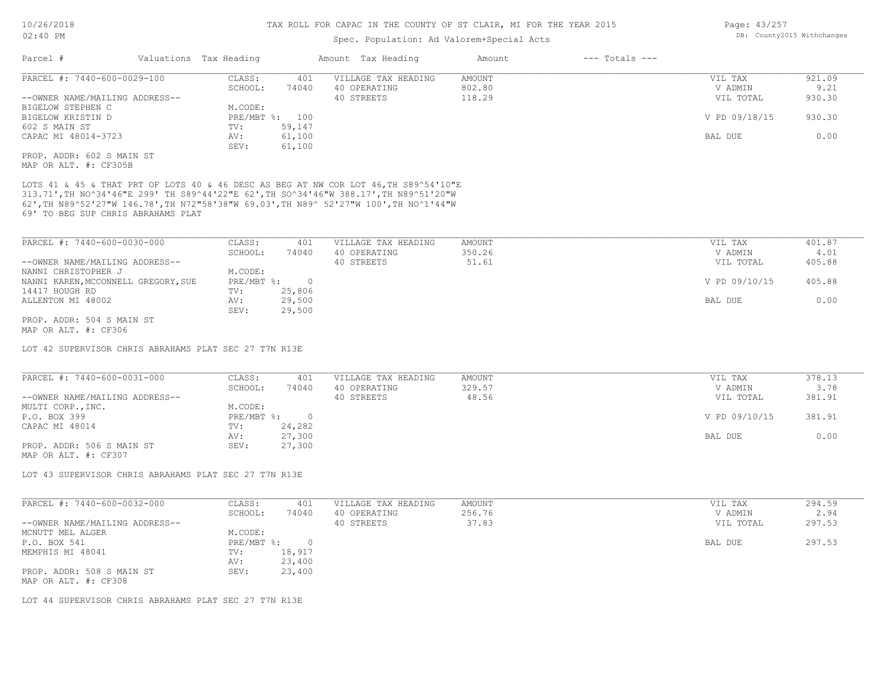## Spec. Population: Ad Valorem+Special Acts

| Parcel #                       | Valuations Tax Heading |        | Amount Tax Heading  | Amount | $---$ Totals $---$ |               |        |
|--------------------------------|------------------------|--------|---------------------|--------|--------------------|---------------|--------|
| PARCEL #: 7440-600-0029-100    | CLASS:                 | 401    | VILLAGE TAX HEADING | AMOUNT |                    | VIL TAX       | 921.09 |
|                                | SCHOOL:                | 74040  | 40 OPERATING        | 802.80 |                    | V ADMIN       | 9.21   |
| --OWNER NAME/MAILING ADDRESS-- |                        |        | 40 STREETS          | 118.29 |                    | VIL TOTAL     | 930.30 |
| BIGELOW STEPHEN C              | M.CODE:                |        |                     |        |                    |               |        |
| BIGELOW KRISTIN D              | PRE/MBT %: 100         |        |                     |        |                    | V PD 09/18/15 | 930.30 |
| 602 S MAIN ST                  | TV:                    | 59,147 |                     |        |                    |               |        |
| CAPAC MI 48014-3723            | AV:                    | 61,100 |                     |        |                    | BAL DUE       | 0.00   |
|                                | SEV:                   | 61,100 |                     |        |                    |               |        |
| PROP. ADDR: 602 S MAIN ST      |                        |        |                     |        |                    |               |        |
|                                |                        |        |                     |        |                    |               |        |

MAP OR ALT. #: CF305B

69' TO BEG SUP CHRIS ABRAHAMS PLAT 62',TH N89^52'27"W 146.78',TH N72"58'38"W 69.03',TH N89^ 52'27"W 100',TH NO^1'44"W 313.71',TH NO^34'46"E 299' TH S89^44'22"E 62',TH SO^34'46"W 388.17',TH N89^51'20"W LOTS 41 & 45 & THAT PRT OF LOTS 40 & 46 DESC AS BEG AT NW COR LOT 46, TH S89^54'10"E

| PARCEL #: 7440-600-0030-000         | CLASS:     | 401    | VILLAGE TAX HEADING | AMOUNT | VIL TAX       | 401.87 |
|-------------------------------------|------------|--------|---------------------|--------|---------------|--------|
|                                     | SCHOOL:    | 74040  | 40 OPERATING        | 350.26 | V ADMIN       | 4.01   |
| --OWNER NAME/MAILING ADDRESS--      |            |        | 40 STREETS          | 51.61  | VIL TOTAL     | 405.88 |
| NANNI CHRISTOPHER J                 | M.CODE:    |        |                     |        |               |        |
| NANNI KAREN, MCCONNELL GREGORY, SUE | PRE/MBT %: |        |                     |        | V PD 09/10/15 | 405.88 |
| 14417 HOUGH RD                      | TV:        | 25,806 |                     |        |               |        |
| ALLENTON MI 48002                   | AV:        | 29,500 |                     |        | BAL DUE       | 0.00   |
|                                     | SEV:       | 29,500 |                     |        |               |        |
| PROP. ADDR: 504 S MAIN ST           |            |        |                     |        |               |        |

MAP OR ALT. #: CF306

LOT 42 SUPERVISOR CHRIS ABRAHAMS PLAT SEC 27 T7N R13E

| PARCEL #: 7440-600-0031-000    | CLASS:     | 401    | VILLAGE TAX HEADING | AMOUNT | VIL TAX       | 378.13 |
|--------------------------------|------------|--------|---------------------|--------|---------------|--------|
|                                | SCHOOL:    | 74040  | 40 OPERATING        | 329.57 | V ADMIN       | 3.78   |
| --OWNER NAME/MAILING ADDRESS-- |            |        | 40 STREETS          | 48.56  | VIL TOTAL     | 381.91 |
| MULTI CORP., INC.              | M.CODE:    |        |                     |        |               |        |
| P.O. BOX 399                   | PRE/MBT %: |        |                     |        | V PD 09/10/15 | 381.91 |
| CAPAC MI 48014                 | TV:        | 24,282 |                     |        |               |        |
|                                | AV:        | 27,300 |                     |        | BAL DUE       | 0.00   |
| PROP. ADDR: 506 S MAIN ST      | SEV:       | 27,300 |                     |        |               |        |
| MAP OR ALT. #: CF307           |            |        |                     |        |               |        |

LOT 43 SUPERVISOR CHRIS ABRAHAMS PLAT SEC 27 T7N R13E

| PARCEL #: 7440-600-0032-000                       | CLASS:       | 401    | VILLAGE TAX HEADING | AMOUNT | VIL TAX   | 294.59 |
|---------------------------------------------------|--------------|--------|---------------------|--------|-----------|--------|
|                                                   | SCHOOL:      | 74040  | 40 OPERATING        | 256.76 | V ADMIN   | 2.94   |
| --OWNER NAME/MAILING ADDRESS--                    |              |        | 40 STREETS          | 37.83  | VIL TOTAL | 297.53 |
| MCNUTT MEL ALGER                                  | M.CODE:      |        |                     |        |           |        |
| P.O. BOX 541                                      | $PRE/MBT$ %: |        |                     |        | BAL DUE   | 297.53 |
| MEMPHIS MI 48041                                  | TV:          | 18,917 |                     |        |           |        |
|                                                   | AV:          | 23,400 |                     |        |           |        |
| PROP. ADDR: 508 S MAIN ST<br>MAP OR ALT. #: CF308 | SEV:         | 23,400 |                     |        |           |        |

LOT 44 SUPERVISOR CHRIS ABRAHAMS PLAT SEC 27 T7N R13E

Page: 43/257 DB: County2015 Withchanges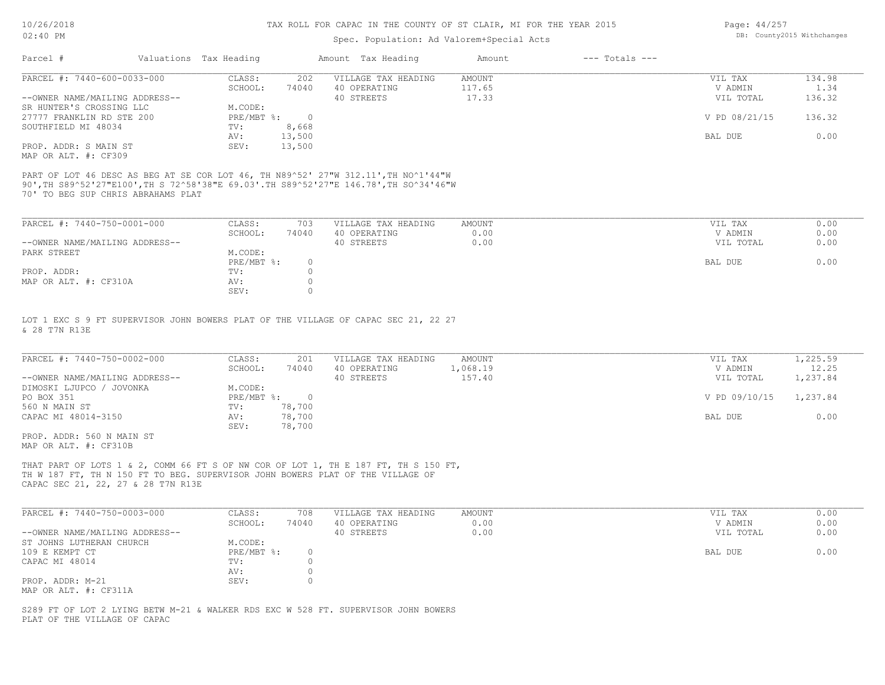## Spec. Population: Ad Valorem+Special Acts

| Page: 44/257 |                            |
|--------------|----------------------------|
|              | DB: County2015 Withchanges |

| Parcel #                       | Valuations Tax Heading |        | Amount Tax Heading  | Amount | $---$ Totals $---$ |               |        |
|--------------------------------|------------------------|--------|---------------------|--------|--------------------|---------------|--------|
| PARCEL #: 7440-600-0033-000    | CLASS:                 | 202    | VILLAGE TAX HEADING | AMOUNT |                    | VIL TAX       | 134.98 |
|                                | SCHOOL:                | 74040  | 40 OPERATING        | 117.65 |                    | V ADMIN       | 1.34   |
| --OWNER NAME/MAILING ADDRESS-- |                        |        | 40 STREETS          | 17.33  |                    | VIL TOTAL     | 136.32 |
| SR HUNTER'S CROSSING LLC       | M.CODE:                |        |                     |        |                    |               |        |
| 27777 FRANKLIN RD STE 200      | PRE/MBT %:             |        |                     |        |                    | V PD 08/21/15 | 136.32 |
| SOUTHFIELD MI 48034            | TV:                    | 8,668  |                     |        |                    |               |        |
|                                | AV:                    | 13,500 |                     |        |                    | BAL DUE       | 0.00   |
| PROP. ADDR: S MAIN ST          | SEV:                   | 13,500 |                     |        |                    |               |        |
| MAP OR ALT. #: CF309           |                        |        |                     |        |                    |               |        |

70' TO BEG SUP CHRIS ABRAHAMS PLAT 90',TH S89^52'27"E100',TH S 72^58'38"E 69.03'.TH S89^52'27"E 146.78',TH SO^34'46"W PART OF LOT 46 DESC AS BEG AT SE COR LOT 46, TH N89^52' 27"W 312.11',TH NO^1'44"W

| PARCEL #: 7440-750-0001-000    | CLASS:     | 703   | VILLAGE TAX HEADING | AMOUNT | VIL TAX   | 0.00 |
|--------------------------------|------------|-------|---------------------|--------|-----------|------|
|                                | SCHOOL:    | 74040 | 40 OPERATING        | 0.00   | V ADMIN   | 0.00 |
| --OWNER NAME/MAILING ADDRESS-- |            |       | 40 STREETS          | 0.00   | VIL TOTAL | 0.00 |
| PARK STREET                    | M.CODE:    |       |                     |        |           |      |
|                                | PRE/MBT %: |       |                     |        | BAL DUE   | 0.00 |
| PROP. ADDR:                    | TV:        |       |                     |        |           |      |
| MAP OR ALT. #: CF310A          | AV:        |       |                     |        |           |      |
|                                | SEV:       |       |                     |        |           |      |

& 28 T7N R13E LOT 1 EXC S 9 FT SUPERVISOR JOHN BOWERS PLAT OF THE VILLAGE OF CAPAC SEC 21, 22 27

| PARCEL #: 7440-750-0002-000    | CLASS:     | 201    | VILLAGE TAX HEADING | AMOUNT   | VIL TAX       | 1,225.59 |
|--------------------------------|------------|--------|---------------------|----------|---------------|----------|
|                                | SCHOOL:    | 74040  | 40 OPERATING        | 1,068.19 | V ADMIN       | 12.25    |
| --OWNER NAME/MAILING ADDRESS-- |            |        | 40 STREETS          | 157.40   | VIL TOTAL     | 1,237.84 |
| DIMOSKI LJUPCO / JOVONKA       | M.CODE:    |        |                     |          |               |          |
| PO BOX 351                     | PRE/MBT %: |        |                     |          | V PD 09/10/15 | 1,237.84 |
| 560 N MAIN ST                  | TV:        | 78,700 |                     |          |               |          |
| CAPAC MI 48014-3150            | AV:        | 78,700 |                     |          | BAL DUE       | 0.00     |
|                                | SEV:       | 78,700 |                     |          |               |          |
| PROP. ADDR: 560 N MAIN ST      |            |        |                     |          |               |          |

MAP OR ALT. #: CF310B

CAPAC SEC 21, 22, 27 & 28 T7N R13E TH W 187 FT, TH N 150 FT TO BEG. SUPERVISOR JOHN BOWERS PLAT OF THE VILLAGE OF THAT PART OF LOTS 1 & 2, COMM 66 FT S OF NW COR OF LOT 1, TH E 187 FT, TH S 150 FT,

| PARCEL #: 7440-750-0003-000    | CLASS:     | 708   | VILLAGE TAX HEADING | AMOUNT | VIL TAX   | 0.00 |
|--------------------------------|------------|-------|---------------------|--------|-----------|------|
|                                | SCHOOL:    | 74040 | 40 OPERATING        | 0.00   | V ADMIN   | 0.00 |
| --OWNER NAME/MAILING ADDRESS-- |            |       | 40 STREETS          | 0.00   | VIL TOTAL | 0.00 |
| ST JOHNS LUTHERAN CHURCH       | M.CODE:    |       |                     |        |           |      |
| 109 E KEMPT CT                 | PRE/MBT %: |       |                     |        | BAL DUE   | 0.00 |
| CAPAC MI 48014                 | TV:        |       |                     |        |           |      |
|                                | AV:        |       |                     |        |           |      |
| PROP. ADDR: M-21               | SEV:       |       |                     |        |           |      |
| MAP OR ALT. #: CF311A          |            |       |                     |        |           |      |

 $\mathcal{L}_\mathcal{L} = \mathcal{L}_\mathcal{L} = \mathcal{L}_\mathcal{L} = \mathcal{L}_\mathcal{L} = \mathcal{L}_\mathcal{L} = \mathcal{L}_\mathcal{L} = \mathcal{L}_\mathcal{L} = \mathcal{L}_\mathcal{L} = \mathcal{L}_\mathcal{L} = \mathcal{L}_\mathcal{L} = \mathcal{L}_\mathcal{L} = \mathcal{L}_\mathcal{L} = \mathcal{L}_\mathcal{L} = \mathcal{L}_\mathcal{L} = \mathcal{L}_\mathcal{L} = \mathcal{L}_\mathcal{L} = \mathcal{L}_\mathcal{L}$ 

PLAT OF THE VILLAGE OF CAPAC S289 FT OF LOT 2 LYING BETW M-21 & WALKER RDS EXC W 528 FT. SUPERVISOR JOHN BOWERS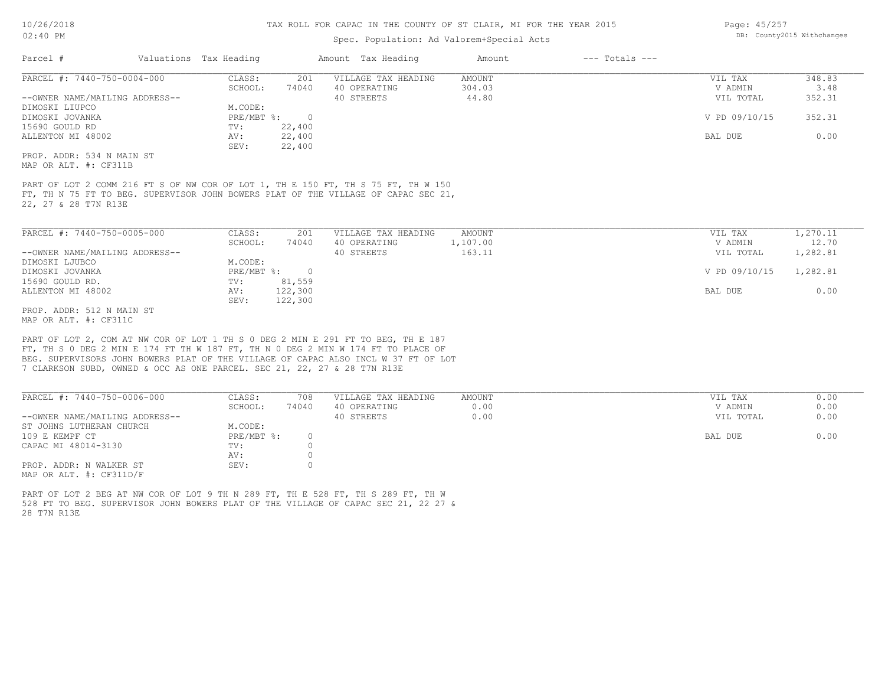## Spec. Population: Ad Valorem+Special Acts

| Page: 45/257 |                            |
|--------------|----------------------------|
|              | DB: County2015 Withchanges |

| Parcel #                       | Valuations Tax Heading |        | Amount Tax Heading  | Amount | $---$ Totals $---$ |               |        |
|--------------------------------|------------------------|--------|---------------------|--------|--------------------|---------------|--------|
| PARCEL #: 7440-750-0004-000    | CLASS:                 | 201    | VILLAGE TAX HEADING | AMOUNT |                    | VIL TAX       | 348.83 |
|                                | SCHOOL:                | 74040  | 40 OPERATING        | 304.03 |                    | V ADMIN       | 3.48   |
| --OWNER NAME/MAILING ADDRESS-- |                        |        | 40 STREETS          | 44.80  |                    | VIL TOTAL     | 352.31 |
| DIMOSKI LIUPCO                 | M.CODE:                |        |                     |        |                    |               |        |
| DIMOSKI JOVANKA                | PRE/MBT %:             |        |                     |        |                    | V PD 09/10/15 | 352.31 |
| 15690 GOULD RD                 | TV:                    | 22,400 |                     |        |                    |               |        |
| ALLENTON MI 48002              | AV:                    | 22,400 |                     |        |                    | BAL DUE       | 0.00   |
|                                | SEV:                   | 22,400 |                     |        |                    |               |        |
| PROP. ADDR: 534 N MAIN ST      |                        |        |                     |        |                    |               |        |
| MAP OR ALT. #: CF311B          |                        |        |                     |        |                    |               |        |
|                                |                        |        |                     |        |                    |               |        |

22, 27 & 28 T7N R13E FT, TH N 75 FT TO BEG. SUPERVISOR JOHN BOWERS PLAT OF THE VILLAGE OF CAPAC SEC 21, PART OF LOT 2 COMM 216 FT S OF NW COR OF LOT 1, TH E 150 FT, TH S 75 FT, TH W 150

| PARCEL #: 7440-750-0005-000    | CLASS:     | 201     | VILLAGE TAX HEADING | AMOUNT   | VIL TAX       | 1,270.11 |
|--------------------------------|------------|---------|---------------------|----------|---------------|----------|
|                                | SCHOOL:    | 74040   | 40 OPERATING        | 1,107.00 | V ADMIN       | 12.70    |
| --OWNER NAME/MAILING ADDRESS-- |            |         | 40 STREETS          | 163.11   | VIL TOTAL     | 1,282.81 |
| DIMOSKI LJUBCO                 | M.CODE:    |         |                     |          |               |          |
| DIMOSKI JOVANKA                | PRE/MBT %: | $\cap$  |                     |          | V PD 09/10/15 | 1,282.81 |
| 15690 GOULD RD.                | TV:        | 81,559  |                     |          |               |          |
| ALLENTON MI 48002              | AV:        | 122,300 |                     |          | BAL DUE       | 0.00     |
|                                | SEV:       | 122,300 |                     |          |               |          |
| PROP. ADDR: 512 N MAIN ST      |            |         |                     |          |               |          |

MAP OR ALT. #: CF311C

7 CLARKSON SUBD, OWNED & OCC AS ONE PARCEL. SEC 21, 22, 27 & 28 T7N R13E BEG. SUPERVISORS JOHN BOWERS PLAT OF THE VILLAGE OF CAPAC ALSO INCL W 37 FT OF LOT FT, TH S 0 DEG 2 MIN E 174 FT TH W 187 FT, TH N 0 DEG 2 MIN W 174 FT TO PLACE OF PART OF LOT 2, COM AT NW COR OF LOT 1 TH S 0 DEG 2 MIN E 291 FT TO BEG, TH E 187

| PARCEL #: 7440-750-0006-000    | CLASS:     | 708   | VILLAGE TAX HEADING | AMOUNT | VIL TAX<br>0.00   |
|--------------------------------|------------|-------|---------------------|--------|-------------------|
|                                | SCHOOL:    | 74040 | 40 OPERATING        | 0.00   | 0.00<br>V ADMIN   |
| --OWNER NAME/MAILING ADDRESS-- |            |       | 40 STREETS          | 0.00   | 0.00<br>VIL TOTAL |
| ST JOHNS LUTHERAN CHURCH       | M.CODE:    |       |                     |        |                   |
| 109 E KEMPF CT                 | PRE/MBT %: |       |                     |        | 0.00<br>BAL DUE   |
| CAPAC MI 48014-3130            | TV:        |       |                     |        |                   |
|                                | AV:        |       |                     |        |                   |
| PROP. ADDR: N WALKER ST        | SEV:       |       |                     |        |                   |
| MAP OR ALT. $\#$ : CF311D/F    |            |       |                     |        |                   |

28 T7N R13E 528 FT TO BEG. SUPERVISOR JOHN BOWERS PLAT OF THE VILLAGE OF CAPAC SEC 21, 22 27 & PART OF LOT 2 BEG AT NW COR OF LOT 9 TH N 289 FT, TH E 528 FT, TH S 289 FT, TH W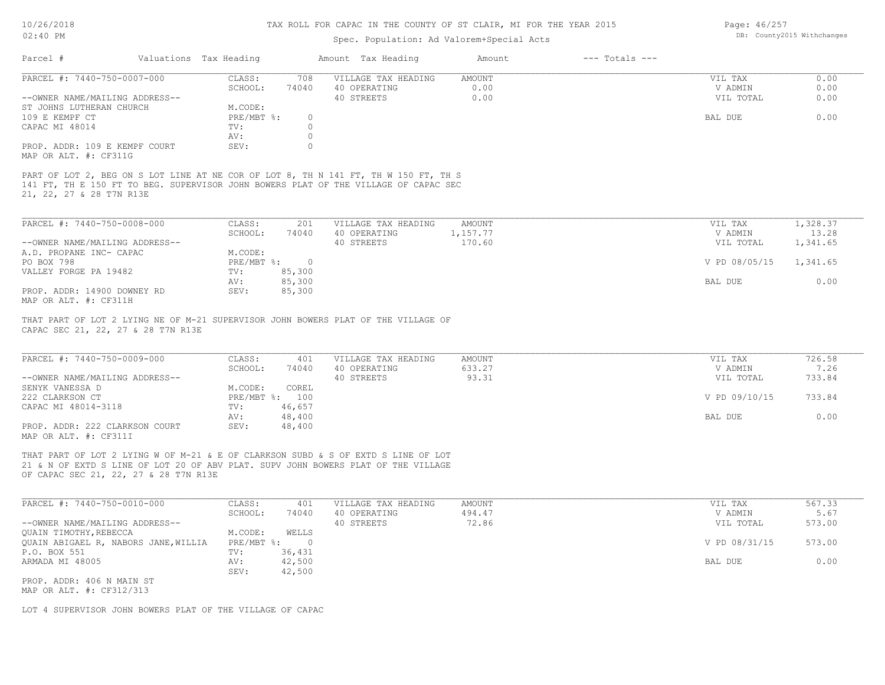Page: 46/257 DB: County2015 Withchanges

| Valuations Tax Heading<br>Amount Tax Heading<br>$---$ Totals $---$<br>Parcel #<br>Amount<br>PARCEL #: 7440-750-0007-000<br>CLASS:<br>VILLAGE TAX HEADING<br>AMOUNT<br>VIL TAX<br>708<br>74040<br>0.00<br>V ADMIN<br>SCHOOL:<br>40 OPERATING<br>--OWNER NAME/MAILING ADDRESS--<br>40 STREETS<br>0.00<br>VIL TOTAL<br>ST JOHNS LUTHERAN CHURCH<br>M.CODE:<br>109 E KEMPF CT<br>PRE/MBT %:<br>$\circ$<br>BAL DUE<br>$\circ$<br>CAPAC MI 48014<br>TV:<br>AV:<br>$\circ$<br>$\mathbf{0}$<br>PROP. ADDR: 109 E KEMPF COURT<br>SEV:<br>MAP OR ALT. #: CF311G<br>PART OF LOT 2, BEG ON S LOT LINE AT NE COR OF LOT 8, TH N 141 FT, TH W 150 FT, TH S<br>141 FT, TH E 150 FT TO BEG. SUPERVISOR JOHN BOWERS PLAT OF THE VILLAGE OF CAPAC SEC<br>21, 22, 27 & 28 T7N R13E<br>PARCEL #: 7440-750-0008-000<br>CLASS:<br>201<br>VILLAGE TAX HEADING<br>AMOUNT<br>VIL TAX<br>SCHOOL:<br>74040<br>40 OPERATING<br>1,157.77<br>V ADMIN<br>170.60<br>--OWNER NAME/MAILING ADDRESS--<br>40 STREETS<br>VIL TOTAL<br>A.D. PROPANE INC- CAPAC<br>M.CODE:<br>PO BOX 798<br>PRE/MBT %:<br>V PD 08/05/15<br>$\overline{0}$<br>VALLEY FORGE PA 19482<br>TV:<br>85,300<br>85,300<br>AV:<br>BAL DUE<br>PROP. ADDR: 14900 DOWNEY RD<br>85,300<br>SEV:<br>MAP OR ALT. #: CF311H<br>THAT PART OF LOT 2 LYING NE OF M-21 SUPERVISOR JOHN BOWERS PLAT OF THE VILLAGE OF<br>CAPAC SEC 21, 22, 27 & 28 T7N R13E<br>PARCEL #: 7440-750-0009-000<br>VILLAGE TAX HEADING<br>CLASS:<br>AMOUNT<br>VIL TAX<br>401<br>SCHOOL:<br>74040<br>40 OPERATING<br>633.27<br>V ADMIN<br>93.31<br>--OWNER NAME/MAILING ADDRESS--<br>40 STREETS<br>VIL TOTAL<br>SENYK VANESSA D<br>M.CODE:<br>COREL<br>PRE/MBT %: 100<br>V PD 09/10/15<br>222 CLARKSON CT<br>46,657<br>CAPAC MI 48014-3118<br>TV:<br>48,400<br>AV:<br>BAL DUE<br>PROP. ADDR: 222 CLARKSON COURT<br>48,400<br>SEV: | DB: County2015 Withchanges | Spec. Population: Ad Valorem+Special Acts |  | $02:40$ PM |
|-------------------------------------------------------------------------------------------------------------------------------------------------------------------------------------------------------------------------------------------------------------------------------------------------------------------------------------------------------------------------------------------------------------------------------------------------------------------------------------------------------------------------------------------------------------------------------------------------------------------------------------------------------------------------------------------------------------------------------------------------------------------------------------------------------------------------------------------------------------------------------------------------------------------------------------------------------------------------------------------------------------------------------------------------------------------------------------------------------------------------------------------------------------------------------------------------------------------------------------------------------------------------------------------------------------------------------------------------------------------------------------------------------------------------------------------------------------------------------------------------------------------------------------------------------------------------------------------------------------------------------------------------------------------------------------------------------------------------------------------------------------------------------------------------------------------------------|----------------------------|-------------------------------------------|--|------------|
|                                                                                                                                                                                                                                                                                                                                                                                                                                                                                                                                                                                                                                                                                                                                                                                                                                                                                                                                                                                                                                                                                                                                                                                                                                                                                                                                                                                                                                                                                                                                                                                                                                                                                                                                                                                                                               |                            |                                           |  |            |
|                                                                                                                                                                                                                                                                                                                                                                                                                                                                                                                                                                                                                                                                                                                                                                                                                                                                                                                                                                                                                                                                                                                                                                                                                                                                                                                                                                                                                                                                                                                                                                                                                                                                                                                                                                                                                               |                            |                                           |  |            |
|                                                                                                                                                                                                                                                                                                                                                                                                                                                                                                                                                                                                                                                                                                                                                                                                                                                                                                                                                                                                                                                                                                                                                                                                                                                                                                                                                                                                                                                                                                                                                                                                                                                                                                                                                                                                                               |                            |                                           |  |            |
|                                                                                                                                                                                                                                                                                                                                                                                                                                                                                                                                                                                                                                                                                                                                                                                                                                                                                                                                                                                                                                                                                                                                                                                                                                                                                                                                                                                                                                                                                                                                                                                                                                                                                                                                                                                                                               |                            |                                           |  |            |
|                                                                                                                                                                                                                                                                                                                                                                                                                                                                                                                                                                                                                                                                                                                                                                                                                                                                                                                                                                                                                                                                                                                                                                                                                                                                                                                                                                                                                                                                                                                                                                                                                                                                                                                                                                                                                               |                            |                                           |  |            |
|                                                                                                                                                                                                                                                                                                                                                                                                                                                                                                                                                                                                                                                                                                                                                                                                                                                                                                                                                                                                                                                                                                                                                                                                                                                                                                                                                                                                                                                                                                                                                                                                                                                                                                                                                                                                                               |                            |                                           |  |            |
|                                                                                                                                                                                                                                                                                                                                                                                                                                                                                                                                                                                                                                                                                                                                                                                                                                                                                                                                                                                                                                                                                                                                                                                                                                                                                                                                                                                                                                                                                                                                                                                                                                                                                                                                                                                                                               |                            |                                           |  |            |
|                                                                                                                                                                                                                                                                                                                                                                                                                                                                                                                                                                                                                                                                                                                                                                                                                                                                                                                                                                                                                                                                                                                                                                                                                                                                                                                                                                                                                                                                                                                                                                                                                                                                                                                                                                                                                               |                            |                                           |  |            |
|                                                                                                                                                                                                                                                                                                                                                                                                                                                                                                                                                                                                                                                                                                                                                                                                                                                                                                                                                                                                                                                                                                                                                                                                                                                                                                                                                                                                                                                                                                                                                                                                                                                                                                                                                                                                                               |                            |                                           |  |            |
|                                                                                                                                                                                                                                                                                                                                                                                                                                                                                                                                                                                                                                                                                                                                                                                                                                                                                                                                                                                                                                                                                                                                                                                                                                                                                                                                                                                                                                                                                                                                                                                                                                                                                                                                                                                                                               |                            |                                           |  |            |
|                                                                                                                                                                                                                                                                                                                                                                                                                                                                                                                                                                                                                                                                                                                                                                                                                                                                                                                                                                                                                                                                                                                                                                                                                                                                                                                                                                                                                                                                                                                                                                                                                                                                                                                                                                                                                               | 1,328.37                   |                                           |  |            |
|                                                                                                                                                                                                                                                                                                                                                                                                                                                                                                                                                                                                                                                                                                                                                                                                                                                                                                                                                                                                                                                                                                                                                                                                                                                                                                                                                                                                                                                                                                                                                                                                                                                                                                                                                                                                                               | 13.28                      |                                           |  |            |
|                                                                                                                                                                                                                                                                                                                                                                                                                                                                                                                                                                                                                                                                                                                                                                                                                                                                                                                                                                                                                                                                                                                                                                                                                                                                                                                                                                                                                                                                                                                                                                                                                                                                                                                                                                                                                               | 1,341.65                   |                                           |  |            |
|                                                                                                                                                                                                                                                                                                                                                                                                                                                                                                                                                                                                                                                                                                                                                                                                                                                                                                                                                                                                                                                                                                                                                                                                                                                                                                                                                                                                                                                                                                                                                                                                                                                                                                                                                                                                                               |                            |                                           |  |            |
|                                                                                                                                                                                                                                                                                                                                                                                                                                                                                                                                                                                                                                                                                                                                                                                                                                                                                                                                                                                                                                                                                                                                                                                                                                                                                                                                                                                                                                                                                                                                                                                                                                                                                                                                                                                                                               | 1,341.65                   |                                           |  |            |
|                                                                                                                                                                                                                                                                                                                                                                                                                                                                                                                                                                                                                                                                                                                                                                                                                                                                                                                                                                                                                                                                                                                                                                                                                                                                                                                                                                                                                                                                                                                                                                                                                                                                                                                                                                                                                               |                            |                                           |  |            |
|                                                                                                                                                                                                                                                                                                                                                                                                                                                                                                                                                                                                                                                                                                                                                                                                                                                                                                                                                                                                                                                                                                                                                                                                                                                                                                                                                                                                                                                                                                                                                                                                                                                                                                                                                                                                                               |                            |                                           |  |            |
|                                                                                                                                                                                                                                                                                                                                                                                                                                                                                                                                                                                                                                                                                                                                                                                                                                                                                                                                                                                                                                                                                                                                                                                                                                                                                                                                                                                                                                                                                                                                                                                                                                                                                                                                                                                                                               |                            |                                           |  |            |
|                                                                                                                                                                                                                                                                                                                                                                                                                                                                                                                                                                                                                                                                                                                                                                                                                                                                                                                                                                                                                                                                                                                                                                                                                                                                                                                                                                                                                                                                                                                                                                                                                                                                                                                                                                                                                               |                            |                                           |  |            |
|                                                                                                                                                                                                                                                                                                                                                                                                                                                                                                                                                                                                                                                                                                                                                                                                                                                                                                                                                                                                                                                                                                                                                                                                                                                                                                                                                                                                                                                                                                                                                                                                                                                                                                                                                                                                                               | 726.58                     |                                           |  |            |
|                                                                                                                                                                                                                                                                                                                                                                                                                                                                                                                                                                                                                                                                                                                                                                                                                                                                                                                                                                                                                                                                                                                                                                                                                                                                                                                                                                                                                                                                                                                                                                                                                                                                                                                                                                                                                               | 733.84                     |                                           |  |            |
|                                                                                                                                                                                                                                                                                                                                                                                                                                                                                                                                                                                                                                                                                                                                                                                                                                                                                                                                                                                                                                                                                                                                                                                                                                                                                                                                                                                                                                                                                                                                                                                                                                                                                                                                                                                                                               |                            |                                           |  |            |
|                                                                                                                                                                                                                                                                                                                                                                                                                                                                                                                                                                                                                                                                                                                                                                                                                                                                                                                                                                                                                                                                                                                                                                                                                                                                                                                                                                                                                                                                                                                                                                                                                                                                                                                                                                                                                               |                            |                                           |  |            |
|                                                                                                                                                                                                                                                                                                                                                                                                                                                                                                                                                                                                                                                                                                                                                                                                                                                                                                                                                                                                                                                                                                                                                                                                                                                                                                                                                                                                                                                                                                                                                                                                                                                                                                                                                                                                                               | 733.84                     |                                           |  |            |
|                                                                                                                                                                                                                                                                                                                                                                                                                                                                                                                                                                                                                                                                                                                                                                                                                                                                                                                                                                                                                                                                                                                                                                                                                                                                                                                                                                                                                                                                                                                                                                                                                                                                                                                                                                                                                               |                            |                                           |  |            |
|                                                                                                                                                                                                                                                                                                                                                                                                                                                                                                                                                                                                                                                                                                                                                                                                                                                                                                                                                                                                                                                                                                                                                                                                                                                                                                                                                                                                                                                                                                                                                                                                                                                                                                                                                                                                                               |                            |                                           |  |            |
| MAP OR ALT. #: CF311I                                                                                                                                                                                                                                                                                                                                                                                                                                                                                                                                                                                                                                                                                                                                                                                                                                                                                                                                                                                                                                                                                                                                                                                                                                                                                                                                                                                                                                                                                                                                                                                                                                                                                                                                                                                                         |                            |                                           |  |            |

OF CAPAC SEC 21, 22, 27 & 28 T7N R13E 21 & N OF EXTD S LINE OF LOT 20 OF ABV PLAT. SUPV JOHN BOWERS PLAT OF THE VILLAGE THAT PART OF LOT 2 LYING W OF M-21 & E OF CLARKSON SUBD & S OF EXTD S LINE OF LOT

| PARCEL #: 7440-750-0010-000          | CLASS:     | 401    | VILLAGE TAX HEADING | AMOUNT | VIL TAX       | 567.33 |
|--------------------------------------|------------|--------|---------------------|--------|---------------|--------|
|                                      | SCHOOL:    | 74040  | 40 OPERATING        | 494.47 | V ADMIN       | 5.67   |
| --OWNER NAME/MAILING ADDRESS--       |            |        | 40 STREETS          | 72.86  | VIL TOTAL     | 573.00 |
| QUAIN TIMOTHY, REBECCA               | M.CODE:    | WELLS  |                     |        |               |        |
| QUAIN ABIGAEL R, NABORS JANE, WILLIA | PRE/MBT %: |        |                     |        | V PD 08/31/15 | 573.00 |
| P.O. BOX 551                         | TV:        | 36,431 |                     |        |               |        |
| ARMADA MI 48005                      | AV:        | 42,500 |                     |        | BAL DUE       | 0.00   |
|                                      | SEV:       | 42,500 |                     |        |               |        |
| PROP. ADDR: 406 N MAIN ST            |            |        |                     |        |               |        |

MAP OR ALT. #: CF312/313

LOT 4 SUPERVISOR JOHN BOWERS PLAT OF THE VILLAGE OF CAPAC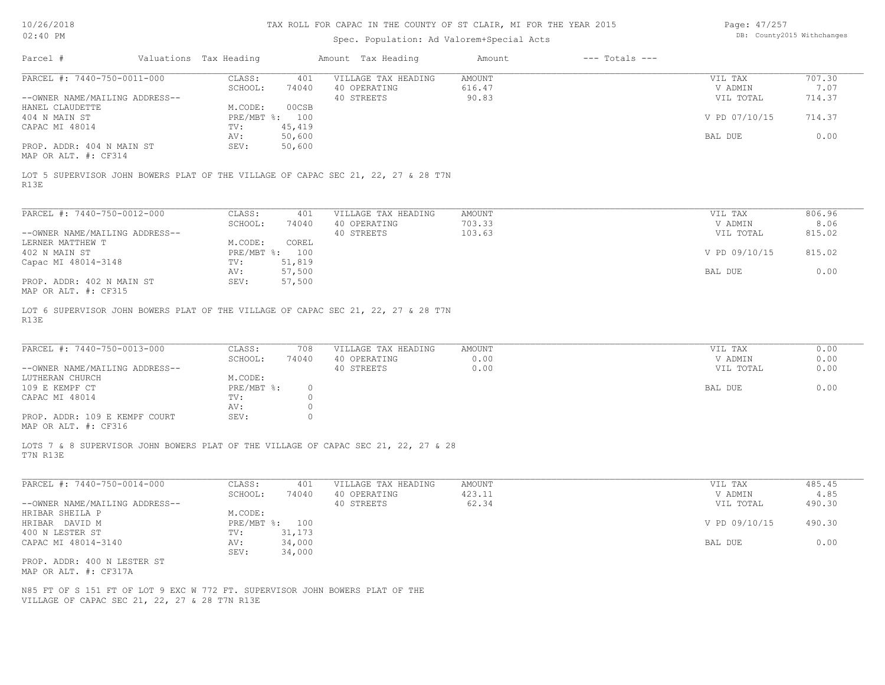# Spec. Population: Ad Valorem+Special Acts

Page: 47/257 DB: County2015 Withchanges

| Parcel #                                                                                  | Valuations Tax Heading |                         | Amount Tax Heading  | Amount        | $---$ Totals $---$ |               |        |
|-------------------------------------------------------------------------------------------|------------------------|-------------------------|---------------------|---------------|--------------------|---------------|--------|
| PARCEL #: 7440-750-0011-000                                                               | CLASS:                 | 401                     | VILLAGE TAX HEADING | <b>AMOUNT</b> |                    | VIL TAX       | 707.30 |
|                                                                                           | SCHOOL:                | 74040                   | 40 OPERATING        | 616.47        |                    | V ADMIN       | 7.07   |
| --OWNER NAME/MAILING ADDRESS--                                                            |                        |                         | 40 STREETS          | 90.83         |                    | VIL TOTAL     | 714.37 |
| HANEL CLAUDETTE                                                                           | M.CODE:                | 00CSB                   |                     |               |                    |               |        |
| 404 N MAIN ST                                                                             |                        | PRE/MBT %: 100          |                     |               |                    | V PD 07/10/15 | 714.37 |
| CAPAC MI 48014                                                                            | TV:                    | 45,419                  |                     |               |                    |               |        |
|                                                                                           | AV:                    | 50,600                  |                     |               |                    | BAL DUE       | 0.00   |
| PROP. ADDR: 404 N MAIN ST<br>MAP OR ALT. #: CF314                                         | SEV:                   | 50,600                  |                     |               |                    |               |        |
| LOT 5 SUPERVISOR JOHN BOWERS PLAT OF THE VILLAGE OF CAPAC SEC 21, 22, 27 & 28 T7N<br>R13E |                        |                         |                     |               |                    |               |        |
|                                                                                           |                        |                         |                     |               |                    |               |        |
| PARCEL #: 7440-750-0012-000                                                               | CLASS:                 | 401                     | VILLAGE TAX HEADING | <b>AMOUNT</b> |                    | VIL TAX       | 806.96 |
|                                                                                           | SCHOOL:                | 74040                   | 40 OPERATING        | 703.33        |                    | V ADMIN       | 8.06   |
| --OWNER NAME/MAILING ADDRESS--                                                            |                        |                         | 40 STREETS          | 103.63        |                    | VIL TOTAL     | 815.02 |
| LERNER MATTHEW T                                                                          | M.CODE:                | COREL                   |                     |               |                    |               |        |
| 402 N MAIN ST                                                                             |                        | PRE/MBT %: 100          |                     |               |                    | V PD 09/10/15 | 815.02 |
| Capac MI 48014-3148                                                                       | TV:                    | 51,819                  |                     |               |                    |               |        |
|                                                                                           | AV:                    | 57,500                  |                     |               |                    | BAL DUE       | 0.00   |
| PROP. ADDR: 402 N MAIN ST<br>MAP OR ALT. #: CF315                                         | SEV:                   | 57,500                  |                     |               |                    |               |        |
| LOT 6 SUPERVISOR JOHN BOWERS PLAT OF THE VILLAGE OF CAPAC SEC 21, 22, 27 & 28 T7N         |                        |                         |                     |               |                    |               |        |
| R13E                                                                                      |                        |                         |                     |               |                    |               |        |
|                                                                                           |                        |                         |                     |               |                    |               |        |
| PARCEL #: 7440-750-0013-000                                                               | CLASS:                 | 708                     | VILLAGE TAX HEADING | AMOUNT        |                    | VIL TAX       | 0.00   |
|                                                                                           | SCHOOL:                | 74040                   | 40 OPERATING        | 0.00          |                    | V ADMIN       | 0.00   |
| --OWNER NAME/MAILING ADDRESS--                                                            |                        |                         | 40 STREETS          | 0.00          |                    | VIL TOTAL     | 0.00   |
| LUTHERAN CHURCH                                                                           | M.CODE:                |                         |                     |               |                    |               |        |
| 109 E KEMPF CT                                                                            |                        | $PRE/MBT$ %:<br>$\circ$ |                     |               |                    | BAL DUE       | 0.00   |
| CAPAC MI 48014                                                                            | TV:                    | $\circ$                 |                     |               |                    |               |        |
|                                                                                           | AV:                    | $\circ$                 |                     |               |                    |               |        |
| PROP. ADDR: 109 E KEMPF COURT                                                             | SEV:                   | $\circ$                 |                     |               |                    |               |        |
| MAP OR ALT. #: CF316                                                                      |                        |                         |                     |               |                    |               |        |
| LOTS 7 & 8 SUPERVISOR JOHN BOWERS PLAT OF THE VILLAGE OF CAPAC SEC 21, 22, 27 & 28        |                        |                         |                     |               |                    |               |        |
| T7N R13E                                                                                  |                        |                         |                     |               |                    |               |        |
| PARCEL #: 7440-750-0014-000                                                               | CLASS:                 | 401                     | VILLAGE TAX HEADING | AMOUNT        |                    | VIL TAX       | 485.45 |
|                                                                                           | SCHOOL:                | 74040                   | 40 OPERATING        | 423.11        |                    | V ADMIN       | 4.85   |
| --OWNER NAME/MAILING ADDRESS--                                                            |                        |                         | 40 STREETS          | 62.34         |                    | VIL TOTAL     | 490.30 |
| HRIBAR SHEILA P                                                                           | M.CODE:                |                         |                     |               |                    |               |        |
| HRIBAR DAVID M                                                                            |                        | PRE/MBT %: 100          |                     |               |                    | V PD 09/10/15 | 490.30 |
| 400 N LESTER ST                                                                           | TV:                    | 31,173                  |                     |               |                    |               |        |
| CAPAC MI 48014-3140                                                                       | AV:                    | 34,000                  |                     |               |                    | BAL DUE       | 0.00   |
|                                                                                           | SEV:                   | 34,000                  |                     |               |                    |               |        |
| PROP. ADDR: 400 N LESTER ST                                                               |                        |                         |                     |               |                    |               |        |
| MAP OR ALT. #: CF317A                                                                     |                        |                         |                     |               |                    |               |        |
|                                                                                           |                        |                         |                     |               |                    |               |        |
| N85 FT OF S 151 FT OF LOT 9 EXC W 772 FT. SUPERVISOR JOHN BOWERS PLAT OF THE              |                        |                         |                     |               |                    |               |        |
| VILLAGE OF CAPAC SEC 21, 22, 27 & 28 T7N R13E                                             |                        |                         |                     |               |                    |               |        |
|                                                                                           |                        |                         |                     |               |                    |               |        |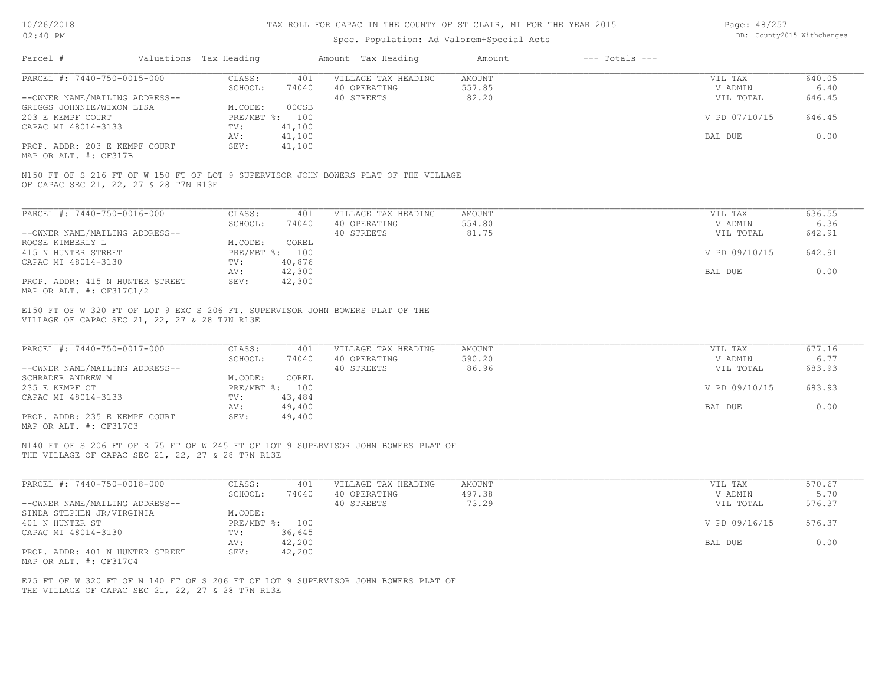| Page: 48/257 |                            |
|--------------|----------------------------|
|              | DB: County2015 Withchanges |

| Valuations Tax Heading<br>Amount Tax Heading<br>$---$ Totals $---$<br>Amount<br>CLASS:<br>401<br>VILLAGE TAX HEADING<br><b>AMOUNT</b><br>VIL TAX<br>640.05<br>SCHOOL:<br>40 OPERATING<br>557.85<br>V ADMIN<br>6.40<br>74040<br>82.20<br>40 STREETS<br>VIL TOTAL<br>646.45<br>M.CODE:<br>00CSB<br>646.45<br>PRE/MBT %: 100<br>V PD 07/10/15<br>TV:<br>41,100<br>41,100<br>0.00<br>AV:<br>BAL DUE<br>41,100<br>SEV:<br>N150 FT OF S 216 FT OF W 150 FT OF LOT 9 SUPERVISOR JOHN BOWERS PLAT OF THE VILLAGE<br>OF CAPAC SEC 21, 22, 27 & 28 T7N R13E<br>636.55<br>CLASS:<br>VILLAGE TAX HEADING<br><b>AMOUNT</b><br>VIL TAX<br>401<br>SCHOOL:<br>74040<br>40 OPERATING<br>554.80<br>V ADMIN<br>6.36<br>40 STREETS<br>81.75<br>642.91<br>VIL TOTAL<br>M.CODE:<br>COREL<br>PRE/MBT %: 100<br>V PD 09/10/15<br>642.91<br>40,876<br>TV:<br>42,300<br>0.00<br>AV:<br>BAL DUE<br>SEV:<br>42,300<br>E150 FT OF W 320 FT OF LOT 9 EXC S 206 FT. SUPERVISOR JOHN BOWERS PLAT OF THE<br>VILLAGE OF CAPAC SEC 21, 22, 27 & 28 T7N R13E<br>677.16<br>CLASS:<br>VILLAGE TAX HEADING<br><b>AMOUNT</b><br>VIL TAX<br>401<br>590.20<br>6.77<br>SCHOOL:<br>40 OPERATING<br>V ADMIN<br>74040<br>40 STREETS<br>86.96<br>683.93<br>VIL TOTAL<br>COREL<br>M.CODE:<br>PRE/MBT %: 100<br>V PD 09/10/15<br>683.93<br>TV:<br>43,484<br>AV:<br>49,400<br>BAL DUE<br>0.00<br>SEV:<br>49,400<br>N140 FT OF S 206 FT OF E 75 FT OF W 245 FT OF LOT 9 SUPERVISOR JOHN BOWERS PLAT OF<br>THE VILLAGE OF CAPAC SEC 21, 22, 27 & 28 T7N R13E<br>570.67<br>CLASS:<br>401<br>VILLAGE TAX HEADING<br>AMOUNT<br>VIL TAX<br>SCHOOL:<br>40 OPERATING<br>497.38<br>5.70<br>74040<br>V ADMIN<br>73.29<br>40 STREETS<br>576.37<br>VIL TOTAL<br>M.CODE:<br>PRE/MBT %: 100<br>576.37<br>V PD 09/16/15<br>TV:<br>36,645<br>AV:<br>42,200<br>BAL DUE<br>0.00<br>SEV:<br>42,200<br>E75 FT OF W 320 FT OF N 140 FT OF S 206 FT OF LOT 9 SUPERVISOR JOHN BOWERS PLAT OF<br>THE VILLAGE OF CAPAC SEC 21, 22, 27 & 28 T7N R13E | $02:40$ PM                                                | Spec. Population: Ad Valorem+Special Acts | DB: County2015 Withchanges |  |  |
|--------------------------------------------------------------------------------------------------------------------------------------------------------------------------------------------------------------------------------------------------------------------------------------------------------------------------------------------------------------------------------------------------------------------------------------------------------------------------------------------------------------------------------------------------------------------------------------------------------------------------------------------------------------------------------------------------------------------------------------------------------------------------------------------------------------------------------------------------------------------------------------------------------------------------------------------------------------------------------------------------------------------------------------------------------------------------------------------------------------------------------------------------------------------------------------------------------------------------------------------------------------------------------------------------------------------------------------------------------------------------------------------------------------------------------------------------------------------------------------------------------------------------------------------------------------------------------------------------------------------------------------------------------------------------------------------------------------------------------------------------------------------------------------------------------------------------------------------------------------------------------------------------------------------------------------------------------------------------|-----------------------------------------------------------|-------------------------------------------|----------------------------|--|--|
|                                                                                                                                                                                                                                                                                                                                                                                                                                                                                                                                                                                                                                                                                                                                                                                                                                                                                                                                                                                                                                                                                                                                                                                                                                                                                                                                                                                                                                                                                                                                                                                                                                                                                                                                                                                                                                                                                                                                                                          | Parcel #                                                  |                                           |                            |  |  |
|                                                                                                                                                                                                                                                                                                                                                                                                                                                                                                                                                                                                                                                                                                                                                                                                                                                                                                                                                                                                                                                                                                                                                                                                                                                                                                                                                                                                                                                                                                                                                                                                                                                                                                                                                                                                                                                                                                                                                                          | PARCEL #: 7440-750-0015-000                               |                                           |                            |  |  |
|                                                                                                                                                                                                                                                                                                                                                                                                                                                                                                                                                                                                                                                                                                                                                                                                                                                                                                                                                                                                                                                                                                                                                                                                                                                                                                                                                                                                                                                                                                                                                                                                                                                                                                                                                                                                                                                                                                                                                                          |                                                           |                                           |                            |  |  |
|                                                                                                                                                                                                                                                                                                                                                                                                                                                                                                                                                                                                                                                                                                                                                                                                                                                                                                                                                                                                                                                                                                                                                                                                                                                                                                                                                                                                                                                                                                                                                                                                                                                                                                                                                                                                                                                                                                                                                                          | --OWNER NAME/MAILING ADDRESS--                            |                                           |                            |  |  |
|                                                                                                                                                                                                                                                                                                                                                                                                                                                                                                                                                                                                                                                                                                                                                                                                                                                                                                                                                                                                                                                                                                                                                                                                                                                                                                                                                                                                                                                                                                                                                                                                                                                                                                                                                                                                                                                                                                                                                                          | GRIGGS JOHNNIE/WIXON LISA                                 |                                           |                            |  |  |
|                                                                                                                                                                                                                                                                                                                                                                                                                                                                                                                                                                                                                                                                                                                                                                                                                                                                                                                                                                                                                                                                                                                                                                                                                                                                                                                                                                                                                                                                                                                                                                                                                                                                                                                                                                                                                                                                                                                                                                          | 203 E KEMPF COURT                                         |                                           |                            |  |  |
|                                                                                                                                                                                                                                                                                                                                                                                                                                                                                                                                                                                                                                                                                                                                                                                                                                                                                                                                                                                                                                                                                                                                                                                                                                                                                                                                                                                                                                                                                                                                                                                                                                                                                                                                                                                                                                                                                                                                                                          | CAPAC MI 48014-3133                                       |                                           |                            |  |  |
|                                                                                                                                                                                                                                                                                                                                                                                                                                                                                                                                                                                                                                                                                                                                                                                                                                                                                                                                                                                                                                                                                                                                                                                                                                                                                                                                                                                                                                                                                                                                                                                                                                                                                                                                                                                                                                                                                                                                                                          |                                                           |                                           |                            |  |  |
|                                                                                                                                                                                                                                                                                                                                                                                                                                                                                                                                                                                                                                                                                                                                                                                                                                                                                                                                                                                                                                                                                                                                                                                                                                                                                                                                                                                                                                                                                                                                                                                                                                                                                                                                                                                                                                                                                                                                                                          | PROP. ADDR: 203 E KEMPF COURT<br>MAP OR ALT. #: CF317B    |                                           |                            |  |  |
|                                                                                                                                                                                                                                                                                                                                                                                                                                                                                                                                                                                                                                                                                                                                                                                                                                                                                                                                                                                                                                                                                                                                                                                                                                                                                                                                                                                                                                                                                                                                                                                                                                                                                                                                                                                                                                                                                                                                                                          |                                                           |                                           |                            |  |  |
|                                                                                                                                                                                                                                                                                                                                                                                                                                                                                                                                                                                                                                                                                                                                                                                                                                                                                                                                                                                                                                                                                                                                                                                                                                                                                                                                                                                                                                                                                                                                                                                                                                                                                                                                                                                                                                                                                                                                                                          | PARCEL #: 7440-750-0016-000                               |                                           |                            |  |  |
|                                                                                                                                                                                                                                                                                                                                                                                                                                                                                                                                                                                                                                                                                                                                                                                                                                                                                                                                                                                                                                                                                                                                                                                                                                                                                                                                                                                                                                                                                                                                                                                                                                                                                                                                                                                                                                                                                                                                                                          |                                                           |                                           |                            |  |  |
|                                                                                                                                                                                                                                                                                                                                                                                                                                                                                                                                                                                                                                                                                                                                                                                                                                                                                                                                                                                                                                                                                                                                                                                                                                                                                                                                                                                                                                                                                                                                                                                                                                                                                                                                                                                                                                                                                                                                                                          | --OWNER NAME/MAILING ADDRESS--                            |                                           |                            |  |  |
|                                                                                                                                                                                                                                                                                                                                                                                                                                                                                                                                                                                                                                                                                                                                                                                                                                                                                                                                                                                                                                                                                                                                                                                                                                                                                                                                                                                                                                                                                                                                                                                                                                                                                                                                                                                                                                                                                                                                                                          | ROOSE KIMBERLY L                                          |                                           |                            |  |  |
|                                                                                                                                                                                                                                                                                                                                                                                                                                                                                                                                                                                                                                                                                                                                                                                                                                                                                                                                                                                                                                                                                                                                                                                                                                                                                                                                                                                                                                                                                                                                                                                                                                                                                                                                                                                                                                                                                                                                                                          | 415 N HUNTER STREET                                       |                                           |                            |  |  |
|                                                                                                                                                                                                                                                                                                                                                                                                                                                                                                                                                                                                                                                                                                                                                                                                                                                                                                                                                                                                                                                                                                                                                                                                                                                                                                                                                                                                                                                                                                                                                                                                                                                                                                                                                                                                                                                                                                                                                                          | CAPAC MI 48014-3130                                       |                                           |                            |  |  |
|                                                                                                                                                                                                                                                                                                                                                                                                                                                                                                                                                                                                                                                                                                                                                                                                                                                                                                                                                                                                                                                                                                                                                                                                                                                                                                                                                                                                                                                                                                                                                                                                                                                                                                                                                                                                                                                                                                                                                                          |                                                           |                                           |                            |  |  |
|                                                                                                                                                                                                                                                                                                                                                                                                                                                                                                                                                                                                                                                                                                                                                                                                                                                                                                                                                                                                                                                                                                                                                                                                                                                                                                                                                                                                                                                                                                                                                                                                                                                                                                                                                                                                                                                                                                                                                                          | PROP. ADDR: 415 N HUNTER STREET                           |                                           |                            |  |  |
|                                                                                                                                                                                                                                                                                                                                                                                                                                                                                                                                                                                                                                                                                                                                                                                                                                                                                                                                                                                                                                                                                                                                                                                                                                                                                                                                                                                                                                                                                                                                                                                                                                                                                                                                                                                                                                                                                                                                                                          | MAP OR ALT. #: CF317C1/2                                  |                                           |                            |  |  |
|                                                                                                                                                                                                                                                                                                                                                                                                                                                                                                                                                                                                                                                                                                                                                                                                                                                                                                                                                                                                                                                                                                                                                                                                                                                                                                                                                                                                                                                                                                                                                                                                                                                                                                                                                                                                                                                                                                                                                                          | PARCEL #: 7440-750-0017-000                               |                                           |                            |  |  |
|                                                                                                                                                                                                                                                                                                                                                                                                                                                                                                                                                                                                                                                                                                                                                                                                                                                                                                                                                                                                                                                                                                                                                                                                                                                                                                                                                                                                                                                                                                                                                                                                                                                                                                                                                                                                                                                                                                                                                                          | --OWNER NAME/MAILING ADDRESS--                            |                                           |                            |  |  |
|                                                                                                                                                                                                                                                                                                                                                                                                                                                                                                                                                                                                                                                                                                                                                                                                                                                                                                                                                                                                                                                                                                                                                                                                                                                                                                                                                                                                                                                                                                                                                                                                                                                                                                                                                                                                                                                                                                                                                                          | SCHRADER ANDREW M                                         |                                           |                            |  |  |
|                                                                                                                                                                                                                                                                                                                                                                                                                                                                                                                                                                                                                                                                                                                                                                                                                                                                                                                                                                                                                                                                                                                                                                                                                                                                                                                                                                                                                                                                                                                                                                                                                                                                                                                                                                                                                                                                                                                                                                          | 235 E KEMPF CT                                            |                                           |                            |  |  |
|                                                                                                                                                                                                                                                                                                                                                                                                                                                                                                                                                                                                                                                                                                                                                                                                                                                                                                                                                                                                                                                                                                                                                                                                                                                                                                                                                                                                                                                                                                                                                                                                                                                                                                                                                                                                                                                                                                                                                                          | CAPAC MI 48014-3133                                       |                                           |                            |  |  |
|                                                                                                                                                                                                                                                                                                                                                                                                                                                                                                                                                                                                                                                                                                                                                                                                                                                                                                                                                                                                                                                                                                                                                                                                                                                                                                                                                                                                                                                                                                                                                                                                                                                                                                                                                                                                                                                                                                                                                                          |                                                           |                                           |                            |  |  |
|                                                                                                                                                                                                                                                                                                                                                                                                                                                                                                                                                                                                                                                                                                                                                                                                                                                                                                                                                                                                                                                                                                                                                                                                                                                                                                                                                                                                                                                                                                                                                                                                                                                                                                                                                                                                                                                                                                                                                                          | PROP. ADDR: 235 E KEMPF COURT<br>MAP OR ALT. #: CF317C3   |                                           |                            |  |  |
|                                                                                                                                                                                                                                                                                                                                                                                                                                                                                                                                                                                                                                                                                                                                                                                                                                                                                                                                                                                                                                                                                                                                                                                                                                                                                                                                                                                                                                                                                                                                                                                                                                                                                                                                                                                                                                                                                                                                                                          |                                                           |                                           |                            |  |  |
|                                                                                                                                                                                                                                                                                                                                                                                                                                                                                                                                                                                                                                                                                                                                                                                                                                                                                                                                                                                                                                                                                                                                                                                                                                                                                                                                                                                                                                                                                                                                                                                                                                                                                                                                                                                                                                                                                                                                                                          | PARCEL #: 7440-750-0018-000                               |                                           |                            |  |  |
|                                                                                                                                                                                                                                                                                                                                                                                                                                                                                                                                                                                                                                                                                                                                                                                                                                                                                                                                                                                                                                                                                                                                                                                                                                                                                                                                                                                                                                                                                                                                                                                                                                                                                                                                                                                                                                                                                                                                                                          |                                                           |                                           |                            |  |  |
|                                                                                                                                                                                                                                                                                                                                                                                                                                                                                                                                                                                                                                                                                                                                                                                                                                                                                                                                                                                                                                                                                                                                                                                                                                                                                                                                                                                                                                                                                                                                                                                                                                                                                                                                                                                                                                                                                                                                                                          | --OWNER NAME/MAILING ADDRESS--                            |                                           |                            |  |  |
|                                                                                                                                                                                                                                                                                                                                                                                                                                                                                                                                                                                                                                                                                                                                                                                                                                                                                                                                                                                                                                                                                                                                                                                                                                                                                                                                                                                                                                                                                                                                                                                                                                                                                                                                                                                                                                                                                                                                                                          | SINDA STEPHEN JR/VIRGINIA                                 |                                           |                            |  |  |
|                                                                                                                                                                                                                                                                                                                                                                                                                                                                                                                                                                                                                                                                                                                                                                                                                                                                                                                                                                                                                                                                                                                                                                                                                                                                                                                                                                                                                                                                                                                                                                                                                                                                                                                                                                                                                                                                                                                                                                          | 401 N HUNTER ST                                           |                                           |                            |  |  |
|                                                                                                                                                                                                                                                                                                                                                                                                                                                                                                                                                                                                                                                                                                                                                                                                                                                                                                                                                                                                                                                                                                                                                                                                                                                                                                                                                                                                                                                                                                                                                                                                                                                                                                                                                                                                                                                                                                                                                                          | CAPAC MI 48014-3130                                       |                                           |                            |  |  |
|                                                                                                                                                                                                                                                                                                                                                                                                                                                                                                                                                                                                                                                                                                                                                                                                                                                                                                                                                                                                                                                                                                                                                                                                                                                                                                                                                                                                                                                                                                                                                                                                                                                                                                                                                                                                                                                                                                                                                                          |                                                           |                                           |                            |  |  |
|                                                                                                                                                                                                                                                                                                                                                                                                                                                                                                                                                                                                                                                                                                                                                                                                                                                                                                                                                                                                                                                                                                                                                                                                                                                                                                                                                                                                                                                                                                                                                                                                                                                                                                                                                                                                                                                                                                                                                                          | PROP. ADDR: 401 N HUNTER STREET<br>MAP OR ALT. #: CF317C4 |                                           |                            |  |  |
|                                                                                                                                                                                                                                                                                                                                                                                                                                                                                                                                                                                                                                                                                                                                                                                                                                                                                                                                                                                                                                                                                                                                                                                                                                                                                                                                                                                                                                                                                                                                                                                                                                                                                                                                                                                                                                                                                                                                                                          |                                                           |                                           |                            |  |  |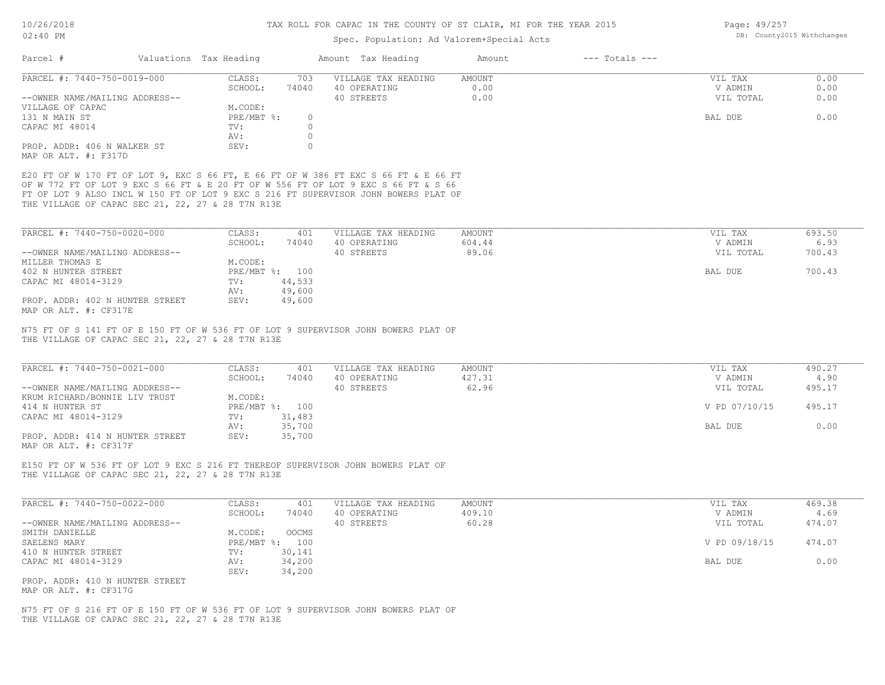| Page: 49/257               |  |
|----------------------------|--|
| DB: County2015 Withchange; |  |

| 02:40 PM                                                                                                                                                                                                                                                                                                              |                              |              | Spec. Population: Ad Valorem+Special Acts         | DB: County2015 Withchanges |                    |                                 |                          |
|-----------------------------------------------------------------------------------------------------------------------------------------------------------------------------------------------------------------------------------------------------------------------------------------------------------------------|------------------------------|--------------|---------------------------------------------------|----------------------------|--------------------|---------------------------------|--------------------------|
| Parcel #                                                                                                                                                                                                                                                                                                              | Valuations Tax Heading       |              | Amount Tax Heading                                | Amount                     | $---$ Totals $---$ |                                 |                          |
|                                                                                                                                                                                                                                                                                                                       |                              |              |                                                   |                            |                    |                                 |                          |
| PARCEL #: 7440-750-0019-000                                                                                                                                                                                                                                                                                           | CLASS:                       | 703          | VILLAGE TAX HEADING                               | AMOUNT                     |                    | VIL TAX                         | 0.00                     |
| --OWNER NAME/MAILING ADDRESS--                                                                                                                                                                                                                                                                                        | SCHOOL:                      | 74040        | 40 OPERATING<br>40 STREETS                        | 0.00<br>0.00               |                    | V ADMIN<br>VIL TOTAL            | 0.00<br>0.00             |
| VILLAGE OF CAPAC                                                                                                                                                                                                                                                                                                      | M.CODE:                      |              |                                                   |                            |                    |                                 |                          |
| 131 N MAIN ST                                                                                                                                                                                                                                                                                                         | PRE/MBT %:                   | $\circ$      |                                                   |                            |                    | BAL DUE                         | 0.00                     |
| CAPAC MI 48014                                                                                                                                                                                                                                                                                                        | TV:                          | $\circ$      |                                                   |                            |                    |                                 |                          |
|                                                                                                                                                                                                                                                                                                                       | AV:                          | $\circ$      |                                                   |                            |                    |                                 |                          |
| PROP. ADDR: 406 N WALKER ST                                                                                                                                                                                                                                                                                           | SEV:                         | $\circ$      |                                                   |                            |                    |                                 |                          |
| MAP OR ALT. #: F317D                                                                                                                                                                                                                                                                                                  |                              |              |                                                   |                            |                    |                                 |                          |
| E20 FT OF W 170 FT OF LOT 9, EXC S 66 FT, E 66 FT OF W 386 FT EXC S 66 FT & E 66 FT<br>OF W 772 FT OF LOT 9 EXC S 66 FT & E 20 FT OF W 556 FT OF LOT 9 EXC S 66 FT & S 66<br>FT OF LOT 9 ALSO INCL W 150 FT OF LOT 9 EXC S 216 FT SUPERVISOR JOHN BOWERS PLAT OF<br>THE VILLAGE OF CAPAC SEC 21, 22, 27 & 28 T7N R13E |                              |              |                                                   |                            |                    |                                 |                          |
| PARCEL #: 7440-750-0020-000                                                                                                                                                                                                                                                                                           | CLASS:                       | 401          | VILLAGE TAX HEADING                               | AMOUNT                     |                    | VIL TAX                         | 693.50                   |
|                                                                                                                                                                                                                                                                                                                       | SCHOOL:                      | 74040        | 40 OPERATING                                      | 604.44                     |                    | V ADMIN                         | 6.93                     |
| --OWNER NAME/MAILING ADDRESS--                                                                                                                                                                                                                                                                                        |                              |              | 40 STREETS                                        | 89.06                      |                    | VIL TOTAL                       | 700.43                   |
| MILLER THOMAS E                                                                                                                                                                                                                                                                                                       | M.CODE:                      |              |                                                   |                            |                    |                                 |                          |
| 402 N HUNTER STREET                                                                                                                                                                                                                                                                                                   | PRE/MBT %: 100               |              |                                                   |                            |                    | BAL DUE                         | 700.43                   |
| CAPAC MI 48014-3129                                                                                                                                                                                                                                                                                                   | TV:                          | 44,533       |                                                   |                            |                    |                                 |                          |
|                                                                                                                                                                                                                                                                                                                       | AV:                          | 49,600       |                                                   |                            |                    |                                 |                          |
| PROP. ADDR: 402 N HUNTER STREET<br>MAP OR ALT. #: CF317E                                                                                                                                                                                                                                                              | SEV:                         | 49,600       |                                                   |                            |                    |                                 |                          |
| PARCEL #: 7440-750-0021-000<br>--OWNER NAME/MAILING ADDRESS--<br>KRUM RICHARD/BONNIE LIV TRUST                                                                                                                                                                                                                        | CLASS:<br>SCHOOL:<br>M.CODE: | 401<br>74040 | VILLAGE TAX HEADING<br>40 OPERATING<br>40 STREETS | AMOUNT<br>427.31<br>62.96  |                    | VIL TAX<br>V ADMIN<br>VIL TOTAL | 490.27<br>4.90<br>495.17 |
| 414 N HUNTER ST<br>CAPAC MI 48014-3129                                                                                                                                                                                                                                                                                | PRE/MBT %: 100<br>TV:        | 31,483       |                                                   |                            |                    | V PD 07/10/15                   | 495.17                   |
|                                                                                                                                                                                                                                                                                                                       | AV:                          | 35,700       |                                                   |                            |                    | BAL DUE                         | 0.00                     |
| PROP. ADDR: 414 N HUNTER STREET<br>MAP OR ALT. #: CF317F                                                                                                                                                                                                                                                              | SEV:                         | 35,700       |                                                   |                            |                    |                                 |                          |
| E150 FT OF W 536 FT OF LOT 9 EXC S 216 FT THEREOF SUPERVISOR JOHN BOWERS PLAT OF<br>THE VILLAGE OF CAPAC SEC 21, 22, 27 & 28 T7N R13E                                                                                                                                                                                 |                              |              |                                                   |                            |                    |                                 |                          |
| PARCEL #: 7440-750-0022-000                                                                                                                                                                                                                                                                                           | CLASS:<br>SCHOOL:            | 401<br>74040 | VILLAGE TAX HEADING<br>40 OPERATING               | AMOUNT<br>409.10           |                    | VIL TAX<br>V ADMIN              | 469.38<br>4.69           |
| --OWNER NAME/MAILING ADDRESS--                                                                                                                                                                                                                                                                                        |                              |              | 40 STREETS                                        | 60.28                      |                    | VIL TOTAL                       | 474.07                   |
| SMITH DANIELLE                                                                                                                                                                                                                                                                                                        | M.CODE:                      | OOCMS        |                                                   |                            |                    |                                 |                          |
| SAELENS MARY                                                                                                                                                                                                                                                                                                          | PRE/MBT %: 100               |              |                                                   |                            |                    | V PD 09/18/15                   | 474.07                   |
| 410 N HUNTER STREET                                                                                                                                                                                                                                                                                                   | TV:                          | 30,141       |                                                   |                            |                    |                                 |                          |
| CAPAC MI 48014-3129                                                                                                                                                                                                                                                                                                   | AV:                          | 34,200       |                                                   |                            |                    | BAL DUE                         | 0.00                     |
|                                                                                                                                                                                                                                                                                                                       | SEV:                         | 34,200       |                                                   |                            |                    |                                 |                          |
| PROP. ADDR: 410 N HUNTER STREET<br>MAP OR ALT. #: CF317G                                                                                                                                                                                                                                                              |                              |              |                                                   |                            |                    |                                 |                          |
| N75 FT OF S 216 FT OF E 150 FT OF W 536 FT OF LOT 9 SUPERVISOR JOHN BOWERS PLAT OF<br>THE VILLAGE OF CAPAC SEC 21, 22, 27 & 28 T7N R13E                                                                                                                                                                               |                              |              |                                                   |                            |                    |                                 |                          |
|                                                                                                                                                                                                                                                                                                                       |                              |              |                                                   |                            |                    |                                 |                          |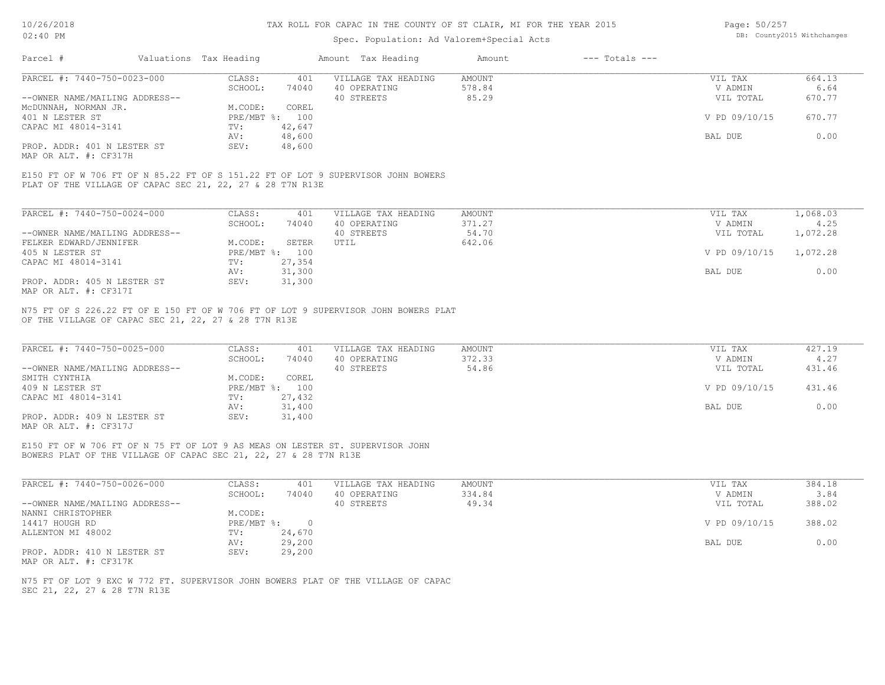## Spec. Population: Ad Valorem+Special Acts

| Page: 50/257 |                            |
|--------------|----------------------------|
|              | DB: County2015 Withchanges |

| Parcel #                       | Valuations Tax Heading |        | Amount Tax Heading  | Amount | $---$ Totals $---$ |               |        |
|--------------------------------|------------------------|--------|---------------------|--------|--------------------|---------------|--------|
| PARCEL #: 7440-750-0023-000    | CLASS:                 | 401    | VILLAGE TAX HEADING | AMOUNT |                    | VIL TAX       | 664.13 |
|                                | SCHOOL:                | 74040  | 40 OPERATING        | 578.84 |                    | V ADMIN       | 6.64   |
| --OWNER NAME/MAILING ADDRESS-- |                        |        | 40 STREETS          | 85.29  |                    | VIL TOTAL     | 670.77 |
| MCDUNNAH, NORMAN JR.           | M.CODE:                | COREL  |                     |        |                    |               |        |
| 401 N LESTER ST                | PRE/MBT %: 100         |        |                     |        |                    | V PD 09/10/15 | 670.77 |
| CAPAC MI 48014-3141            | TV:                    | 42,647 |                     |        |                    |               |        |
|                                | AV:                    | 48,600 |                     |        |                    | BAL DUE       | 0.00   |
| PROP. ADDR: 401 N LESTER ST    | SEV:                   | 48,600 |                     |        |                    |               |        |
|                                |                        |        |                     |        |                    |               |        |

MAP OR ALT. #: CF317H

PLAT OF THE VILLAGE OF CAPAC SEC 21, 22, 27 & 28 T7N R13E E150 FT OF W 706 FT OF N 85.22 FT OF S 151.22 FT OF LOT 9 SUPERVISOR JOHN BOWERS

| PARCEL #: 7440-750-0024-000    | CLASS:  | 401            | VILLAGE TAX HEADING | AMOUNT | VIL TAX                | 1,068.03 |
|--------------------------------|---------|----------------|---------------------|--------|------------------------|----------|
|                                | SCHOOL: | 74040          | 40 OPERATING        | 371.27 | V ADMIN                | 4.25     |
| --OWNER NAME/MAILING ADDRESS-- |         |                | 40 STREETS          | 54.70  | VIL TOTAL              | 1,072.28 |
| FELKER EDWARD/JENNIFER         | M.CODE: | SETER          | UTIL                | 642.06 |                        |          |
| 405 N LESTER ST                |         | PRE/MBT %: 100 |                     |        | V PD 09/10/15 1.072.28 |          |
| CAPAC MI 48014-3141            | TV:     | 27,354         |                     |        |                        |          |
|                                | AV:     | 31,300         |                     |        | BAL DUE                | 0.00     |
| PROP. ADDR: 405 N LESTER ST    | SEV:    | 31,300         |                     |        |                        |          |
| MAP OR ALT. #: CF317I          |         |                |                     |        |                        |          |

OF THE VILLAGE OF CAPAC SEC 21, 22, 27 & 28 T7N R13E N75 FT OF S 226.22 FT OF E 150 FT OF W 706 FT OF LOT 9 SUPERVISOR JOHN BOWERS PLAT

| PARCEL #: 7440-750-0025-000    | CLASS:  | 401            | VILLAGE TAX HEADING | AMOUNT | VIL TAX       | 427.19 |
|--------------------------------|---------|----------------|---------------------|--------|---------------|--------|
|                                | SCHOOL: | 74040          | 40 OPERATING        | 372.33 | V ADMIN       | 4.27   |
| --OWNER NAME/MAILING ADDRESS-- |         |                | 40 STREETS          | 54.86  | VIL TOTAL     | 431.46 |
| SMITH CYNTHIA                  | M.CODE: | COREL          |                     |        |               |        |
| 409 N LESTER ST                |         | PRE/MBT %: 100 |                     |        | V PD 09/10/15 | 431.46 |
| CAPAC MI 48014-3141            | TV:     | 27,432         |                     |        |               |        |
|                                | AV:     | 31,400         |                     |        | BAL DUE       | 0.00   |
| PROP. ADDR: 409 N LESTER ST    | SEV:    | 31,400         |                     |        |               |        |
|                                |         |                |                     |        |               |        |

MAP OR ALT. #: CF317J

BOWERS PLAT OF THE VILLAGE OF CAPAC SEC 21, 22, 27 & 28 T7N R13E E150 FT OF W 706 FT OF N 75 FT OF LOT 9 AS MEAS ON LESTER ST. SUPERVISOR JOHN

| PARCEL #: 7440-750-0026-000    | CLASS:     | 401    | VILLAGE TAX HEADING | AMOUNT | VIL TAX       | 384.18 |
|--------------------------------|------------|--------|---------------------|--------|---------------|--------|
|                                | SCHOOL:    | 74040  | 40 OPERATING        | 334.84 | V ADMIN       | 3.84   |
| --OWNER NAME/MAILING ADDRESS-- |            |        | 40 STREETS          | 49.34  | VIL TOTAL     | 388.02 |
| NANNI CHRISTOPHER              | M.CODE:    |        |                     |        |               |        |
| 14417 HOUGH RD                 | PRE/MBT %: |        |                     |        | V PD 09/10/15 | 388.02 |
| ALLENTON MI 48002              | TV:        | 24,670 |                     |        |               |        |
|                                | AV:        | 29,200 |                     |        | BAL DUE       | 0.00   |
| PROP. ADDR: 410 N LESTER ST    | SEV:       | 29,200 |                     |        |               |        |
| MAP OR ALT. #: CF317K          |            |        |                     |        |               |        |

SEC 21, 22, 27 & 28 T7N R13E N75 FT OF LOT 9 EXC W 772 FT. SUPERVISOR JOHN BOWERS PLAT OF THE VILLAGE OF CAPAC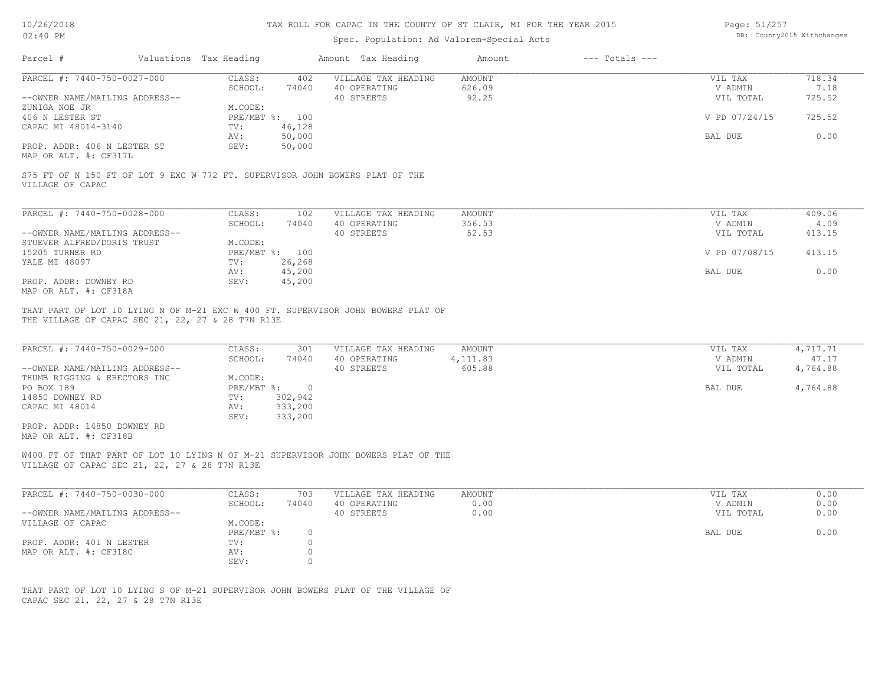Page: DB: County2015 Withchanges 51/257

| $02:40$ PM                                                                                                  |                        |                                              |                                | Spec. Population: Ad Valorem+Special Acts                                         | DB: County2015 Withchanges           |                    |                                            |                                           |
|-------------------------------------------------------------------------------------------------------------|------------------------|----------------------------------------------|--------------------------------|-----------------------------------------------------------------------------------|--------------------------------------|--------------------|--------------------------------------------|-------------------------------------------|
| Parcel #                                                                                                    | Valuations Tax Heading |                                              |                                | Amount Tax Heading                                                                | Amount                               | $---$ Totals $---$ |                                            |                                           |
| PARCEL #: 7440-750-0027-000                                                                                 |                        | CLASS:                                       | 402                            | VILLAGE TAX HEADING                                                               | <b>AMOUNT</b>                        |                    | VIL TAX                                    | 718.34                                    |
|                                                                                                             |                        | SCHOOL:                                      | 74040                          | 40 OPERATING                                                                      | 626.09                               |                    | V ADMIN                                    | 7.18                                      |
| --OWNER NAME/MAILING ADDRESS--                                                                              |                        |                                              |                                | 40 STREETS                                                                        | 92.25                                |                    | VIL TOTAL                                  | 725.52                                    |
| ZUNIGA NOE JR                                                                                               |                        | M.CODE:                                      |                                |                                                                                   |                                      |                    |                                            |                                           |
| 406 N LESTER ST<br>CAPAC MI 48014-3140                                                                      |                        | TV:                                          | PRE/MBT %: 100<br>46,128       |                                                                                   |                                      |                    | V PD 07/24/15                              | 725.52                                    |
|                                                                                                             |                        | AV:                                          | 50,000                         |                                                                                   |                                      |                    | BAL DUE                                    | 0.00                                      |
| PROP. ADDR: 406 N LESTER ST                                                                                 |                        | SEV:                                         | 50,000                         |                                                                                   |                                      |                    |                                            |                                           |
| MAP OR ALT. #: CF317L                                                                                       |                        |                                              |                                |                                                                                   |                                      |                    |                                            |                                           |
| S75 FT OF N 150 FT OF LOT 9 EXC W 772 FT. SUPERVISOR JOHN BOWERS PLAT OF THE<br>VILLAGE OF CAPAC            |                        |                                              |                                |                                                                                   |                                      |                    |                                            |                                           |
| PARCEL #: 7440-750-0028-000                                                                                 |                        | CLASS:                                       | 102                            | VILLAGE TAX HEADING                                                               | <b>AMOUNT</b>                        |                    | VIL TAX                                    | 409.06                                    |
|                                                                                                             |                        | SCHOOL:                                      | 74040                          | 40 OPERATING                                                                      | 356.53                               |                    | V ADMIN                                    | 4.09                                      |
| --OWNER NAME/MAILING ADDRESS--                                                                              |                        |                                              |                                | 40 STREETS                                                                        | 52.53                                |                    | VIL TOTAL                                  | 413.15                                    |
| STUEVER ALFRED/DORIS TRUST                                                                                  |                        | M.CODE:                                      |                                |                                                                                   |                                      |                    |                                            |                                           |
| 15205 TURNER RD                                                                                             |                        |                                              | PRE/MBT %: 100                 |                                                                                   |                                      |                    | V PD 07/08/15                              | 413.15                                    |
| YALE MI 48097                                                                                               |                        | TV:                                          | 26,268                         |                                                                                   |                                      |                    |                                            |                                           |
|                                                                                                             |                        | AV:                                          | 45,200                         |                                                                                   |                                      |                    | BAL DUE                                    | 0.00                                      |
| PROP. ADDR: DOWNEY RD                                                                                       |                        | SEV:                                         | 45,200                         |                                                                                   |                                      |                    |                                            |                                           |
| MAP OR ALT. #: CF318A                                                                                       |                        |                                              |                                |                                                                                   |                                      |                    |                                            |                                           |
| PARCEL #: 7440-750-0029-000<br>--OWNER NAME/MAILING ADDRESS--<br>THUMB RIGGING & ERECTORS INC<br>PO BOX 189 |                        | CLASS:<br>SCHOOL:<br>M.CODE:<br>$PRE/MBT$ %: | 301<br>74040<br>$\overline{0}$ | VILLAGE TAX HEADING<br>40 OPERATING<br>40 STREETS                                 | <b>AMOUNT</b><br>4, 111.83<br>605.88 |                    | VIL TAX<br>V ADMIN<br>VIL TOTAL<br>BAL DUE | 4,717.71<br>47.17<br>4,764.88<br>4,764.88 |
| 14850 DOWNEY RD                                                                                             |                        | TV:                                          | 302,942                        |                                                                                   |                                      |                    |                                            |                                           |
| CAPAC MI 48014                                                                                              |                        | AV:<br>SEV:                                  | 333,200<br>333,200             |                                                                                   |                                      |                    |                                            |                                           |
| PROP. ADDR: 14850 DOWNEY RD<br>MAP OR ALT. #: CF318B                                                        |                        |                                              |                                |                                                                                   |                                      |                    |                                            |                                           |
| VILLAGE OF CAPAC SEC 21, 22, 27 & 28 T7N R13E                                                               |                        |                                              |                                | W400 FT OF THAT PART OF LOT 10 LYING N OF M-21 SUPERVISOR JOHN BOWERS PLAT OF THE |                                      |                    |                                            |                                           |
| PARCEL #: 7440-750-0030-000                                                                                 |                        | CLASS:                                       | 703                            | VILLAGE TAX HEADING                                                               | <b>AMOUNT</b>                        |                    | VIL TAX                                    | 0.00                                      |
|                                                                                                             |                        | SCHOOL:                                      | 74040                          | 40 OPERATING                                                                      | 0.00                                 |                    | V ADMIN                                    | 0.00                                      |
| --OWNER NAME/MAILING ADDRESS--                                                                              |                        |                                              |                                | 40 STREETS                                                                        | 0.00                                 |                    | VIL TOTAL                                  | 0.00                                      |
| VILLAGE OF CAPAC                                                                                            |                        | M.CODE:                                      |                                |                                                                                   |                                      |                    |                                            |                                           |
|                                                                                                             |                        | PRE/MBT %:                                   | $\circ$<br>$\circ$             |                                                                                   |                                      |                    | BAL DUE                                    | 0.00                                      |
| PROP. ADDR: 401 N LESTER<br>MAP OR ALT. #: CF318C                                                           |                        | TV:<br>AV:                                   | $\circ$                        |                                                                                   |                                      |                    |                                            |                                           |
|                                                                                                             |                        | SEV:                                         | $\circ$                        |                                                                                   |                                      |                    |                                            |                                           |
|                                                                                                             |                        |                                              |                                |                                                                                   |                                      |                    |                                            |                                           |
|                                                                                                             |                        |                                              |                                |                                                                                   |                                      |                    |                                            |                                           |
|                                                                                                             |                        |                                              |                                | THAT PART OF LOT 10 LYING S OF M-21 SUPERVISOR JOHN BOWERS PLAT OF THE VILLAGE OF |                                      |                    |                                            |                                           |
| CAPAC SEC 21, 22, 27 & 28 T7N R13E                                                                          |                        |                                              |                                |                                                                                   |                                      |                    |                                            |                                           |
|                                                                                                             |                        |                                              |                                |                                                                                   |                                      |                    |                                            |                                           |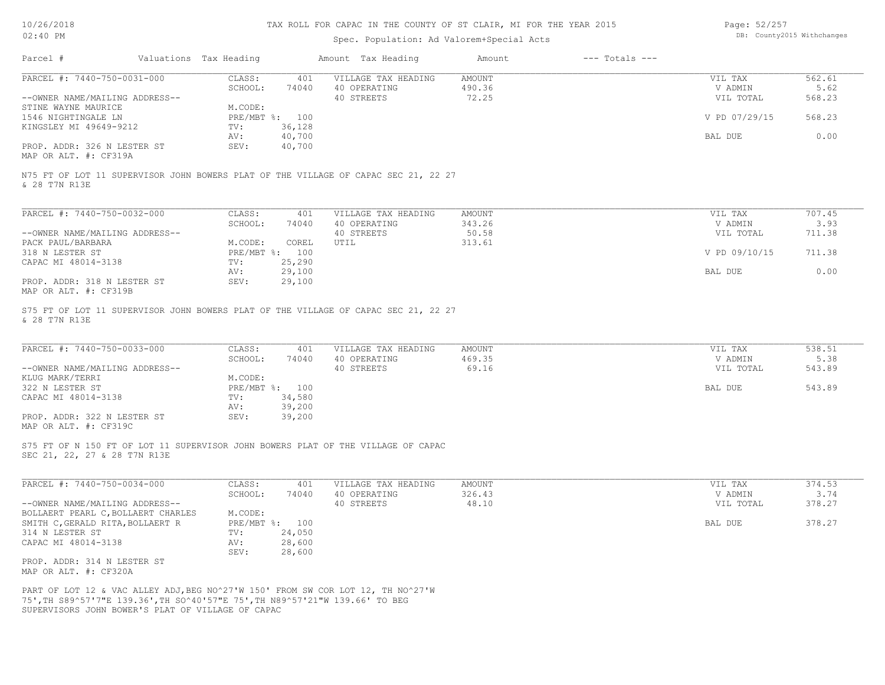# Spec. Population: Ad Valorem+Special Acts

| Page: 52/257 |                            |
|--------------|----------------------------|
|              | DB: County2015 Withchanges |

| Parcel #                                                                                                                                                        | Valuations Tax Heading |                          | Amount Tax Heading                                                                 | Amount                           | $---$ Totals $---$ |                                 |                          |
|-----------------------------------------------------------------------------------------------------------------------------------------------------------------|------------------------|--------------------------|------------------------------------------------------------------------------------|----------------------------------|--------------------|---------------------------------|--------------------------|
| PARCEL #: 7440-750-0031-000<br>--OWNER NAME/MAILING ADDRESS--                                                                                                   | CLASS:<br>SCHOOL:      | 401<br>74040             | VILLAGE TAX HEADING<br>40 OPERATING<br>40 STREETS                                  | <b>AMOUNT</b><br>490.36<br>72.25 |                    | VIL TAX<br>V ADMIN<br>VIL TOTAL | 562.61<br>5.62<br>568.23 |
| STINE WAYNE MAURICE<br>1546 NIGHTINGALE LN<br>KINGSLEY MI 49649-9212                                                                                            | M.CODE:<br>TV:         | PRE/MBT %: 100<br>36,128 |                                                                                    |                                  |                    | V PD 07/29/15                   | 568.23                   |
| PROP. ADDR: 326 N LESTER ST                                                                                                                                     | AV:<br>SEV:            | 40,700<br>40,700         |                                                                                    |                                  |                    | BAL DUE                         | 0.00                     |
| MAP OR ALT. #: CF319A                                                                                                                                           |                        |                          |                                                                                    |                                  |                    |                                 |                          |
| & 28 T7N R13E                                                                                                                                                   |                        |                          | N75 FT OF LOT 11 SUPERVISOR JOHN BOWERS PLAT OF THE VILLAGE OF CAPAC SEC 21, 22 27 |                                  |                    |                                 |                          |
| PARCEL #: 7440-750-0032-000                                                                                                                                     | CLASS:                 | 401                      | VILLAGE TAX HEADING                                                                | AMOUNT                           |                    | VIL TAX                         | 707.45                   |
| --OWNER NAME/MAILING ADDRESS--                                                                                                                                  | SCHOOL:                | 74040                    | 40 OPERATING<br>40 STREETS                                                         | 343.26<br>50.58                  |                    | V ADMIN<br>VIL TOTAL            | 3.93<br>711.38           |
| PACK PAUL/BARBARA<br>318 N LESTER ST                                                                                                                            | M.CODE:                | COREL<br>PRE/MBT %: 100  | UTIL                                                                               | 313.61                           |                    | V PD 09/10/15                   | 711.38                   |
| CAPAC MI 48014-3138                                                                                                                                             | TV:<br>AV:             | 25,290<br>29,100         |                                                                                    |                                  |                    | BAL DUE                         | 0.00                     |
| PROP. ADDR: 318 N LESTER ST<br>MAP OR ALT. #: CF319B                                                                                                            | SEV:                   | 29,100                   |                                                                                    |                                  |                    |                                 |                          |
| & 28 T7N R13E                                                                                                                                                   |                        |                          | S75 FT OF LOT 11 SUPERVISOR JOHN BOWERS PLAT OF THE VILLAGE OF CAPAC SEC 21, 22 27 |                                  |                    |                                 |                          |
| PARCEL #: 7440-750-0033-000                                                                                                                                     | CLASS:                 | 401                      | VILLAGE TAX HEADING                                                                | AMOUNT                           |                    | VIL TAX                         | 538.51                   |
| --OWNER NAME/MAILING ADDRESS--                                                                                                                                  | SCHOOL:                | 74040                    | 40 OPERATING<br>40 STREETS                                                         | 469.35<br>69.16                  |                    | V ADMIN<br>VIL TOTAL            | 5.38<br>543.89           |
| KLUG MARK/TERRI<br>322 N LESTER ST                                                                                                                              | M.CODE:                | PRE/MBT %: 100           |                                                                                    |                                  |                    | BAL DUE                         | 543.89                   |
| CAPAC MI 48014-3138                                                                                                                                             | TV:<br>AV:             | 34,580<br>39,200         |                                                                                    |                                  |                    |                                 |                          |
| PROP. ADDR: 322 N LESTER ST<br>MAP OR ALT. #: CF319C                                                                                                            | SEV:                   | 39,200                   |                                                                                    |                                  |                    |                                 |                          |
| SEC 21, 22, 27 & 28 T7N R13E                                                                                                                                    |                        |                          | S75 FT OF N 150 FT OF LOT 11 SUPERVISOR JOHN BOWERS PLAT OF THE VILLAGE OF CAPAC   |                                  |                    |                                 |                          |
|                                                                                                                                                                 |                        |                          |                                                                                    |                                  |                    |                                 |                          |
| PARCEL #: 7440-750-0034-000                                                                                                                                     | CLASS:<br>SCHOOL:      | 401<br>74040             | VILLAGE TAX HEADING<br>40 OPERATING                                                | <b>AMOUNT</b><br>326.43          |                    | VIL TAX<br>V ADMIN              | 374.53<br>3.74           |
| --OWNER NAME/MAILING ADDRESS--<br>BOLLAERT PEARL C, BOLLAERT CHARLES                                                                                            | M.CODE:                |                          | 40 STREETS                                                                         | 48.10                            |                    | VIL TOTAL                       | 378.27                   |
| SMITH C, GERALD RITA, BOLLAERT R<br>314 N LESTER ST                                                                                                             | TV:                    | PRE/MBT %: 100<br>24,050 |                                                                                    |                                  |                    | BAL DUE                         | 378.27                   |
| CAPAC MI 48014-3138                                                                                                                                             | AV:<br>SEV:            | 28,600<br>28,600         |                                                                                    |                                  |                    |                                 |                          |
| PROP. ADDR: 314 N LESTER ST<br>MAP OR ALT. #: CF320A                                                                                                            |                        |                          |                                                                                    |                                  |                    |                                 |                          |
| PART OF LOT 12 & VAC ALLEY ADJ, BEG NO^27'W 150' FROM SW COR LOT 12, TH NO^27'W<br>75', TH S89^57'7"E 139.36', TH SO^40'57"E 75', TH N89^57'21"W 139.66' TO BEG |                        |                          |                                                                                    |                                  |                    |                                 |                          |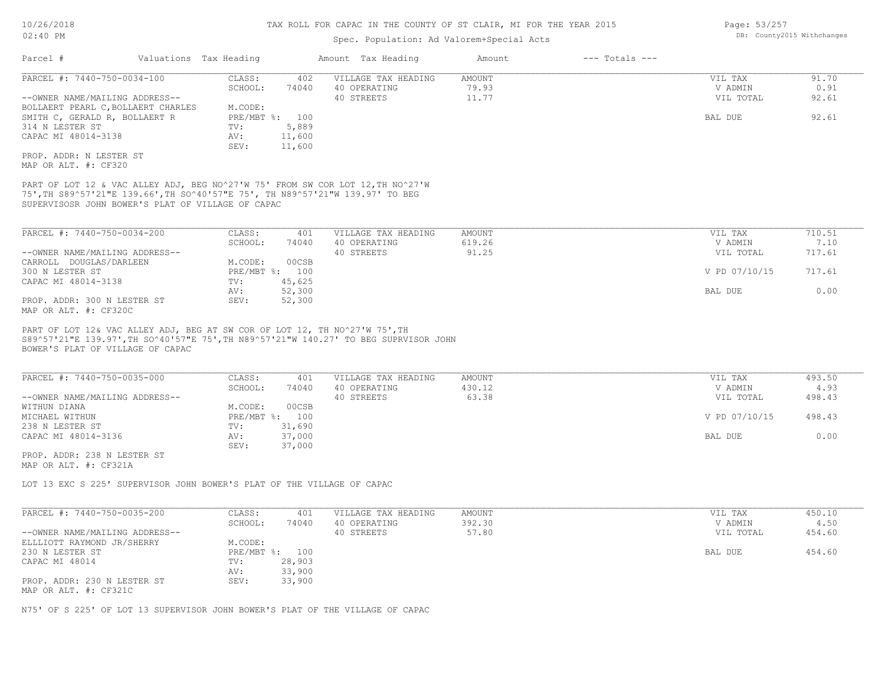# Spec. Population: Ad Valorem+Special Acts

| Parcel #                                                                                                                                                                                                             | Valuations Tax Heading                                                 | Amount Tax Heading                  | Amount          | $---$ Totals $---$ |                      |                |
|----------------------------------------------------------------------------------------------------------------------------------------------------------------------------------------------------------------------|------------------------------------------------------------------------|-------------------------------------|-----------------|--------------------|----------------------|----------------|
| PARCEL #: 7440-750-0034-100                                                                                                                                                                                          | CLASS:<br>402<br>SCHOOL:<br>74040                                      | VILLAGE TAX HEADING<br>40 OPERATING | AMOUNT<br>79.93 |                    | VIL TAX<br>V ADMIN   | 91.70<br>0.91  |
| --OWNER NAME/MAILING ADDRESS--                                                                                                                                                                                       |                                                                        | 40 STREETS                          | 11.77           |                    | VIL TOTAL            | 92.61          |
| BOLLAERT PEARL C, BOLLAERT CHARLES                                                                                                                                                                                   | M.CODE:<br>PRE/MBT %: 100                                              |                                     |                 |                    | BAL DUE              | 92.61          |
| SMITH C, GERALD R, BOLLAERT R<br>314 N LESTER ST                                                                                                                                                                     | TV:<br>5,889                                                           |                                     |                 |                    |                      |                |
| CAPAC MI 48014-3138                                                                                                                                                                                                  | AV:<br>11,600<br>SEV:<br>11,600                                        |                                     |                 |                    |                      |                |
| PROP. ADDR: N LESTER ST<br>MAP OR ALT. #: CF320                                                                                                                                                                      |                                                                        |                                     |                 |                    |                      |                |
| PART OF LOT 12 & VAC ALLEY ADJ, BEG NO^27'W 75' FROM SW COR LOT 12, TH NO^27'W<br>75', TH S89^57'21"E 139.66', TH SO^40'57"E 75', TH N89^57'21"W 139.97' TO BEG<br>SUPERVISOSR JOHN BOWER'S PLAT OF VILLAGE OF CAPAC |                                                                        |                                     |                 |                    |                      |                |
| PARCEL #: 7440-750-0034-200                                                                                                                                                                                          | CLASS:<br>401                                                          | VILLAGE TAX HEADING                 | AMOUNT          |                    | VIL TAX              | 710.51         |
|                                                                                                                                                                                                                      | SCHOOL:<br>74040                                                       | 40 OPERATING                        | 619.26          |                    | V ADMIN              | 7.10           |
| --OWNER NAME/MAILING ADDRESS--                                                                                                                                                                                       |                                                                        | 40 STREETS                          | 91.25           |                    | VIL TOTAL            | 717.61         |
| CARROLL DOUGLAS/DARLEEN                                                                                                                                                                                              | 00CSB<br>M.CODE:                                                       |                                     |                 |                    |                      |                |
| 300 N LESTER ST                                                                                                                                                                                                      | PRE/MBT %: 100                                                         |                                     |                 |                    | V PD 07/10/15        | 717.61         |
| CAPAC MI 48014-3138                                                                                                                                                                                                  | 45,625<br>TV:<br>52,300<br>AV:                                         |                                     |                 |                    | BAL DUE              | 0.00           |
| PROP. ADDR: 300 N LESTER ST<br>MAP OR ALT. #: CF320C                                                                                                                                                                 | SEV:<br>52,300                                                         |                                     |                 |                    |                      |                |
| PART OF LOT 12& VAC ALLEY ADJ, BEG AT SW COR OF LOT 12, TH NO^27'W 75', TH<br>S89^57'21"E 139.97', TH SO^40'57"E 75', TH N89^57'21"W 140.27' TO BEG SUPRVISOR JOHN<br>BOWER'S PLAT OF VILLAGE OF CAPAC               |                                                                        |                                     |                 |                    |                      |                |
| PARCEL #: 7440-750-0035-000                                                                                                                                                                                          | CLASS:<br>401                                                          | VILLAGE TAX HEADING                 | AMOUNT          |                    | VIL TAX              | 493.50         |
| --OWNER NAME/MAILING ADDRESS--                                                                                                                                                                                       | SCHOOL:<br>74040                                                       | 40 OPERATING<br>40 STREETS          | 430.12<br>63.38 |                    | V ADMIN<br>VIL TOTAL | 4.93<br>498.43 |
| WITHUN DIANA                                                                                                                                                                                                         | M.CODE:<br>00CSB                                                       |                                     |                 |                    |                      |                |
| MICHAEL WITHUN                                                                                                                                                                                                       | PRE/MBT %: 100                                                         |                                     |                 |                    | V PD 07/10/15        | 498.43         |
| 238 N LESTER ST                                                                                                                                                                                                      | 31,690<br>TV:                                                          |                                     |                 |                    |                      |                |
| CAPAC MI 48014-3136                                                                                                                                                                                                  | 37,000<br>AV:                                                          |                                     |                 |                    | BAL DUE              | 0.00           |
| PROP. ADDR: 238 N LESTER ST<br>MAP OR ALT. #: CF321A                                                                                                                                                                 | 37,000<br>SEV:                                                         |                                     |                 |                    |                      |                |
|                                                                                                                                                                                                                      |                                                                        |                                     |                 |                    |                      |                |
|                                                                                                                                                                                                                      | LOT 13 EXC S 225' SUPERVISOR JOHN BOWER'S PLAT OF THE VILLAGE OF CAPAC |                                     |                 |                    |                      |                |
| PARCEL #: 7440-750-0035-200                                                                                                                                                                                          | CLASS:<br>401                                                          | VILLAGE TAX HEADING                 | AMOUNT          |                    | VIL TAX              | 450.10         |
|                                                                                                                                                                                                                      | SCHOOL:<br>74040                                                       | 40 OPERATING                        | 392.30          |                    | V ADMIN              | 4.50           |
| --OWNER NAME/MAILING ADDRESS--                                                                                                                                                                                       |                                                                        | 40 STREETS                          | 57.80           |                    | VIL TOTAL            | 454.60         |
| ELLLIOTT RAYMOND JR/SHERRY                                                                                                                                                                                           | M.CODE:                                                                |                                     |                 |                    |                      |                |
| 230 N LESTER ST                                                                                                                                                                                                      | PRE/MBT %: 100                                                         |                                     |                 |                    | BAL DUE              | 454.60         |
| CAPAC MI 48014                                                                                                                                                                                                       | 28,903<br>TV:<br>33,900<br>AV:                                         |                                     |                 |                    |                      |                |

MAP OR ALT. #: CF321C

N75' OF S 225' OF LOT 13 SUPERVISOR JOHN BOWER'S PLAT OF THE VILLAGE OF CAPAC

Page: 53/257 DB: County2015 Withchanges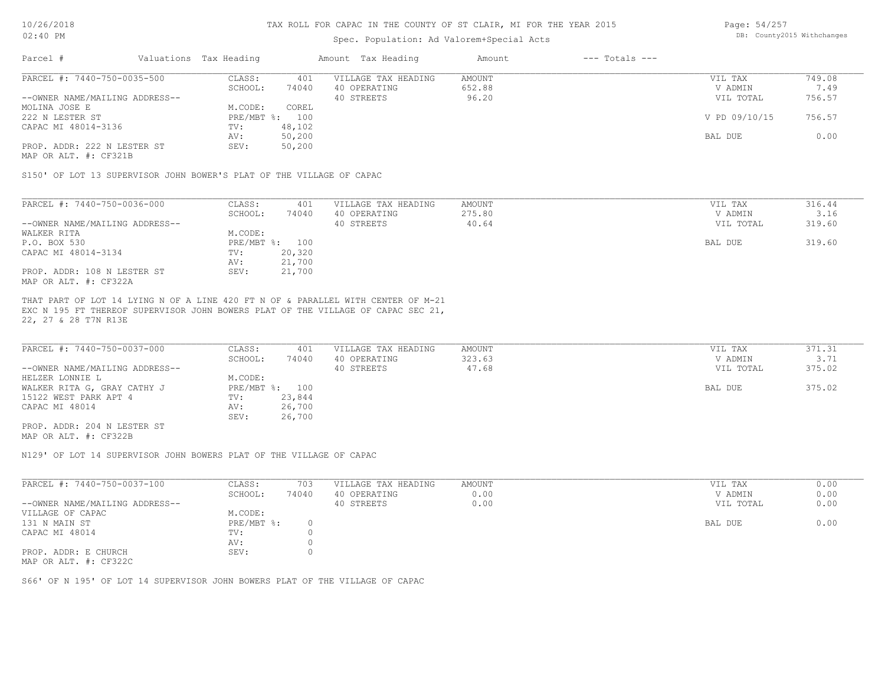## Spec. Population: Ad Valorem+Special Acts

Page: 54/257 DB: County2015 Withchanges

| Parcel #                       | Valuations Tax Heading |        | Amount Tax Heading  | Amount | $---$ Totals $---$ |               |        |
|--------------------------------|------------------------|--------|---------------------|--------|--------------------|---------------|--------|
| PARCEL #: 7440-750-0035-500    | CLASS:                 | 401    | VILLAGE TAX HEADING | AMOUNT |                    | VIL TAX       | 749.08 |
|                                | SCHOOL:                | 74040  | 40 OPERATING        | 652.88 |                    | V ADMIN       | 7.49   |
| --OWNER NAME/MAILING ADDRESS-- |                        |        | 40 STREETS          | 96.20  |                    | VIL TOTAL     | 756.57 |
| MOLINA JOSE E                  | M.CODE:                | COREL  |                     |        |                    |               |        |
| 222 N LESTER ST                | $PRE/MBT$ %:           | 100    |                     |        |                    | V PD 09/10/15 | 756.57 |
| CAPAC MI 48014-3136            | TV:                    | 48,102 |                     |        |                    |               |        |
|                                | AV:                    | 50,200 |                     |        |                    | BAL DUE       | 0.00   |
| PROP. ADDR: 222 N LESTER ST    | SEV:                   | 50,200 |                     |        |                    |               |        |
| MAP OR ALT. #: CF321B          |                        |        |                     |        |                    |               |        |

S150' OF LOT 13 SUPERVISOR JOHN BOWER'S PLAT OF THE VILLAGE OF CAPAC

| PARCEL #: 7440-750-0036-000    | CLASS:  | 401            | VILLAGE TAX HEADING | AMOUNT | VIL TAX   | 316.44 |
|--------------------------------|---------|----------------|---------------------|--------|-----------|--------|
|                                | SCHOOL: | 74040          | 40 OPERATING        | 275.80 | V ADMIN   | 3.16   |
| --OWNER NAME/MAILING ADDRESS-- |         |                | 40 STREETS          | 40.64  | VIL TOTAL | 319.60 |
| WALKER RITA                    | M.CODE: |                |                     |        |           |        |
| P.O. BOX 530                   |         | PRE/MBT %: 100 |                     |        | BAL DUE   | 319.60 |
| CAPAC MI 48014-3134            | TV:     | 20,320         |                     |        |           |        |
|                                | AV:     | 21,700         |                     |        |           |        |
| PROP. ADDR: 108 N LESTER ST    | SEV:    | 21,700         |                     |        |           |        |
| MAP OR ALT. #: CF322A          |         |                |                     |        |           |        |

22, 27 & 28 T7N R13E EXC N 195 FT THEREOF SUPERVISOR JOHN BOWERS PLAT OF THE VILLAGE OF CAPAC SEC 21, THAT PART OF LOT 14 LYING N OF A LINE 420 FT N OF & PARALLEL WITH CENTER OF M-21

| PARCEL #: 7440-750-0037-000    | CLASS:  | 401            | VILLAGE TAX HEADING | AMOUNT | VIL TAX   | 371.31 |
|--------------------------------|---------|----------------|---------------------|--------|-----------|--------|
|                                | SCHOOL: | 74040          | 40 OPERATING        | 323.63 | V ADMIN   | 3.71   |
| --OWNER NAME/MAILING ADDRESS-- |         |                | 40 STREETS          | 47.68  | VIL TOTAL | 375.02 |
| HELZER LONNIE L                | M.CODE: |                |                     |        |           |        |
| WALKER RITA G, GRAY CATHY J    |         | PRE/MBT %: 100 |                     |        | BAL DUE   | 375.02 |
| 15122 WEST PARK APT 4          | TV:     | 23,844         |                     |        |           |        |
| CAPAC MI 48014                 | AV:     | 26,700         |                     |        |           |        |
|                                | SEV:    | 26,700         |                     |        |           |        |
| PROP. ADDR: 204 N LESTER ST    |         |                |                     |        |           |        |

MAP OR ALT. #: CF322B

N129' OF LOT 14 SUPERVISOR JOHN BOWERS PLAT OF THE VILLAGE OF CAPAC

| PARCEL #: 7440-750-0037-100    | CLASS:       | 703   | VILLAGE TAX HEADING | AMOUNT | VIL TAX   | 0.00 |
|--------------------------------|--------------|-------|---------------------|--------|-----------|------|
|                                | SCHOOL:      | 74040 | 40 OPERATING        | 0.00   | V ADMIN   | 0.00 |
| --OWNER NAME/MAILING ADDRESS-- |              |       | 40 STREETS          | 0.00   | VIL TOTAL | 0.00 |
| VILLAGE OF CAPAC               | M.CODE:      |       |                     |        |           |      |
| 131 N MAIN ST                  | $PRE/MBT$ %: |       |                     |        | BAL DUE   | 0.00 |
| CAPAC MI 48014                 | TV:          |       |                     |        |           |      |
|                                | AV:          |       |                     |        |           |      |
| PROP. ADDR: E CHURCH           | SEV:         |       |                     |        |           |      |
| MAP OR ALT. #: CF322C          |              |       |                     |        |           |      |

S66' OF N 195' OF LOT 14 SUPERVISOR JOHN BOWERS PLAT OF THE VILLAGE OF CAPAC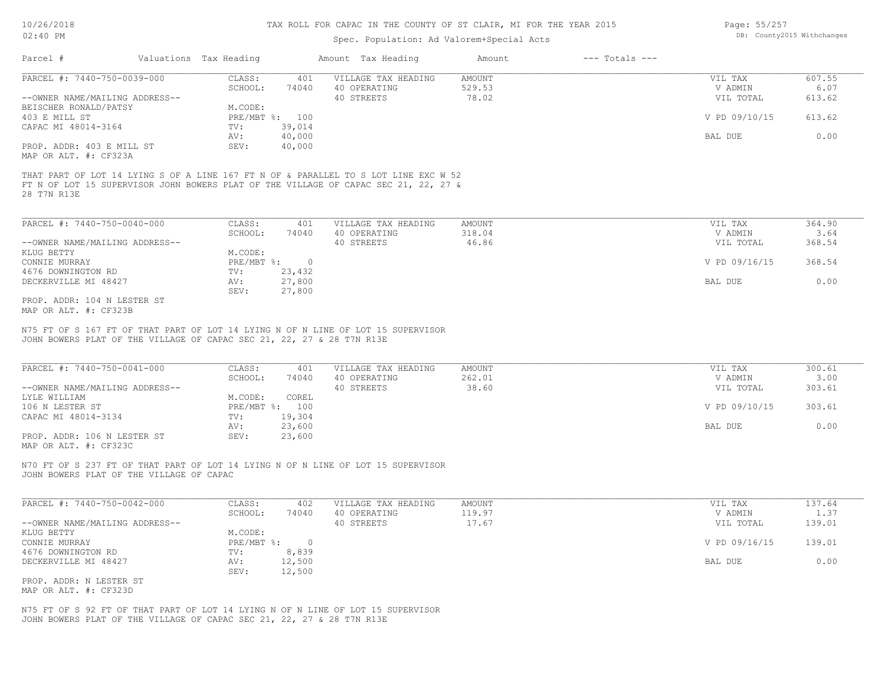## Spec. Population: Ad Valorem+Special Acts

| Page: 55/257 |                            |
|--------------|----------------------------|
|              | DB: County2015 Withchanges |

| Parcel #                       | Valuations Tax Heading |        | Amount Tax Heading                                                                  | Amount | $---$ Totals $---$ |               |        |
|--------------------------------|------------------------|--------|-------------------------------------------------------------------------------------|--------|--------------------|---------------|--------|
| PARCEL #: 7440-750-0039-000    | CLASS:                 | 401    | VILLAGE TAX HEADING                                                                 | AMOUNT |                    | VIL TAX       | 607.55 |
|                                | SCHOOL:                | 74040  | 40 OPERATING                                                                        | 529.53 |                    | V ADMIN       | 6.07   |
| --OWNER NAME/MAILING ADDRESS-- |                        |        | 40 STREETS                                                                          | 78.02  |                    | VIL TOTAL     | 613.62 |
| BEISCHER RONALD/PATSY          | M.CODE:                |        |                                                                                     |        |                    |               |        |
| 403 E MILL ST                  | $PRE/MBT$ %:           | 100    |                                                                                     |        |                    | V PD 09/10/15 | 613.62 |
| CAPAC MI 48014-3164            | TV:                    | 39,014 |                                                                                     |        |                    |               |        |
|                                | AV:                    | 40,000 |                                                                                     |        |                    | BAL DUE       | 0.00   |
| PROP. ADDR: 403 E MILL ST      | SEV:                   | 40,000 |                                                                                     |        |                    |               |        |
| MAP OR ALT. #: CF323A          |                        |        |                                                                                     |        |                    |               |        |
|                                |                        |        |                                                                                     |        |                    |               |        |
|                                |                        |        | THAT PART OF LOT 14 LYING S OF A LINE 167 FT N OF & PARALLEL TO S LOT LINE EXC W 52 |        |                    |               |        |
|                                |                        |        | FT N OF LOT 15 SUPERVISOR JOHN BOWERS PLAT OF THE VILLAGE OF CAPAC SEC 21, 22, 27 & |        |                    |               |        |
| 28 T7N R13E                    |                        |        |                                                                                     |        |                    |               |        |
|                                |                        |        |                                                                                     |        |                    |               |        |
| PARCEL #: 7440-750-0040-000    | CLASS:                 | 401    | VILLAGE TAX HEADING                                                                 | AMOUNT |                    | VIL TAX       | 364.90 |
|                                | SCHOOL:                | 74040  | 40 OPERATING                                                                        | 318.04 |                    | V ADMIN       | 3.64   |

|                                | -------    | .        | ----------- | ------ | .             | ----   |
|--------------------------------|------------|----------|-------------|--------|---------------|--------|
| --OWNER NAME/MAILING ADDRESS-- |            |          | 40 STREETS  | 46.86  | VIL TOTAL     | 368.54 |
| KLUG BETTY                     | M.CODE:    |          |             |        |               |        |
| CONNIE MURRAY                  | PRE/MBT %: | $\Omega$ |             |        | V PD 09/16/15 | 368.54 |
| 4676 DOWNINGTON RD             | TV:        | 23,432   |             |        |               |        |
| DECKERVILLE MI 48427           | AV:        | 27,800   |             |        | BAL DUE       | 0.00   |
|                                | SEV:       | 27,800   |             |        |               |        |
| PROP. ADDR: 104 N LESTER ST    |            |          |             |        |               |        |

MAP OR ALT. #: CF323B

JOHN BOWERS PLAT OF THE VILLAGE OF CAPAC SEC 21, 22, 27 & 28 T7N R13E N75 FT OF S 167 FT OF THAT PART OF LOT 14 LYING N OF N LINE OF LOT 15 SUPERVISOR

| PARCEL #: 7440-750-0041-000    | CLASS:  | 401            | VILLAGE TAX HEADING | AMOUNT | VIL TAX       | 300.61 |
|--------------------------------|---------|----------------|---------------------|--------|---------------|--------|
|                                | SCHOOL: | 74040          | 40 OPERATING        | 262.01 | V ADMIN       | 3.00   |
| --OWNER NAME/MAILING ADDRESS-- |         |                | 40 STREETS          | 38.60  | VIL TOTAL     | 303.61 |
| LYLE WILLIAM                   | M.CODE: | COREL          |                     |        |               |        |
| 106 N LESTER ST                |         | PRE/MBT %: 100 |                     |        | V PD 09/10/15 | 303.61 |
| CAPAC MI 48014-3134            | TV:     | 19,304         |                     |        |               |        |
|                                | AV:     | 23,600         |                     |        | BAL DUE       | 0.00   |
| PROP. ADDR: 106 N LESTER ST    | SEV:    | 23,600         |                     |        |               |        |
| MAP OR ALT. #: CF323C          |         |                |                     |        |               |        |

JOHN BOWERS PLAT OF THE VILLAGE OF CAPAC N70 FT OF S 237 FT OF THAT PART OF LOT 14 LYING N OF N LINE OF LOT 15 SUPERVISOR

| PARCEL #: 7440-750-0042-000    | CLASS:     | 402    | VILLAGE TAX HEADING | AMOUNT | VIL TAX       | 137.64 |
|--------------------------------|------------|--------|---------------------|--------|---------------|--------|
|                                | SCHOOL:    | 74040  | 40 OPERATING        | 119.97 | V ADMIN       | 1.37   |
| --OWNER NAME/MAILING ADDRESS-- |            |        | 40 STREETS          | 17.67  | VIL TOTAL     | 139.01 |
| KLUG BETTY                     | M.CODE:    |        |                     |        |               |        |
| CONNIE MURRAY                  | PRE/MBT %: |        |                     |        | V PD 09/16/15 | 139.01 |
| 4676 DOWNINGTON RD             | TV:        | 8,839  |                     |        |               |        |
| DECKERVILLE MI 48427           | AV:        | 12,500 |                     |        | BAL DUE       | 0.00   |
|                                | SEV:       | 12,500 |                     |        |               |        |
| PROP. ADDR: N LESTER ST        |            |        |                     |        |               |        |

MAP OR ALT. #: CF323D

JOHN BOWERS PLAT OF THE VILLAGE OF CAPAC SEC 21, 22, 27 & 28 T7N R13E N75 FT OF S 92 FT OF THAT PART OF LOT 14 LYING N OF N LINE OF LOT 15 SUPERVISOR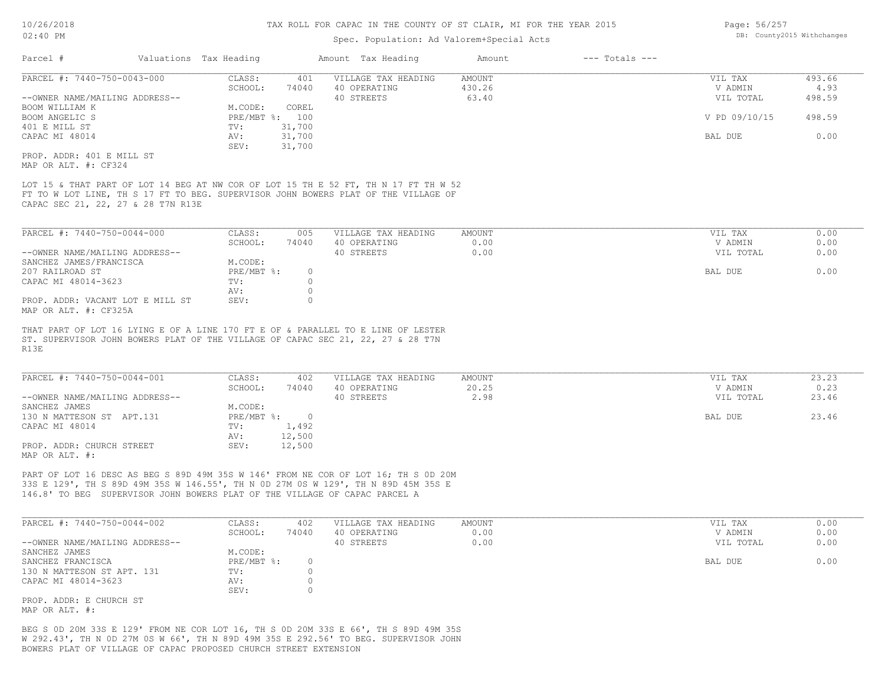## Spec. Population: Ad Valorem+Special Acts

| Page: 56/257 |                            |
|--------------|----------------------------|
|              | DB: County2015 Withchanges |

| Parcel #                                                                                | Valuations Tax Heading       |                               | Amount Tax Heading                                                                                                                                                        | Amount                           | $---$ Totals $---$ |                                 |                          |
|-----------------------------------------------------------------------------------------|------------------------------|-------------------------------|---------------------------------------------------------------------------------------------------------------------------------------------------------------------------|----------------------------------|--------------------|---------------------------------|--------------------------|
| PARCEL #: 7440-750-0043-000<br>--OWNER NAME/MAILING ADDRESS--                           | CLASS:<br>SCHOOL:            | 401<br>74040                  | VILLAGE TAX HEADING<br>40 OPERATING<br>40 STREETS                                                                                                                         | <b>AMOUNT</b><br>430.26<br>63.40 |                    | VIL TAX<br>V ADMIN<br>VIL TOTAL | 493.66<br>4.93<br>498.59 |
| BOOM WILLIAM K<br>BOOM ANGELIC S                                                        | M.CODE:<br>PRE/MBT %: 100    | COREL                         |                                                                                                                                                                           |                                  |                    | V PD 09/10/15                   | 498.59                   |
| 401 E MILL ST<br>CAPAC MI 48014                                                         | TV:<br>AV:                   | 31,700<br>31,700              |                                                                                                                                                                           |                                  |                    | BAL DUE                         | 0.00                     |
| PROP. ADDR: 401 E MILL ST<br>MAP OR ALT. #: CF324                                       | SEV:                         | 31,700                        |                                                                                                                                                                           |                                  |                    |                                 |                          |
| CAPAC SEC 21, 22, 27 & 28 T7N R13E                                                      |                              |                               | LOT 15 & THAT PART OF LOT 14 BEG AT NW COR OF LOT 15 TH E 52 FT, TH N 17 FT TH W 52<br>FT TO W LOT LINE, TH S 17 FT TO BEG. SUPERVISOR JOHN BOWERS PLAT OF THE VILLAGE OF |                                  |                    |                                 |                          |
| PARCEL #: 7440-750-0044-000                                                             | CLASS:                       | 005                           | VILLAGE TAX HEADING                                                                                                                                                       | AMOUNT                           |                    | VIL TAX                         | 0.00                     |
| --OWNER NAME/MAILING ADDRESS--                                                          | SCHOOL:                      | 74040                         | 40 OPERATING<br>40 STREETS                                                                                                                                                | 0.00<br>0.00                     |                    | V ADMIN<br>VIL TOTAL            | 0.00<br>0.00             |
| SANCHEZ JAMES/FRANCISCA<br>207 RAILROAD ST<br>CAPAC MI 48014-3623                       | M.CODE:<br>PRE/MBT %:<br>TV: | $\circ$<br>$\circ$            |                                                                                                                                                                           |                                  |                    | BAL DUE                         | 0.00                     |
| PROP. ADDR: VACANT LOT E MILL ST<br>MAP OR ALT. #: CF325A                               | AV:<br>SEV:                  | $\circ$<br>$\circ$            |                                                                                                                                                                           |                                  |                    |                                 |                          |
| ST. SUPERVISOR JOHN BOWERS PLAT OF THE VILLAGE OF CAPAC SEC 21, 22, 27 & 28 T7N<br>R13E |                              |                               | THAT PART OF LOT 16 LYING E OF A LINE 170 FT E OF & PARALLEL TO E LINE OF LESTER                                                                                          |                                  |                    |                                 |                          |
| PARCEL #: 7440-750-0044-001                                                             | CLASS:                       | 402                           | VILLAGE TAX HEADING                                                                                                                                                       | AMOUNT                           |                    | VIL TAX                         | 23.23                    |
| --OWNER NAME/MAILING ADDRESS--                                                          | SCHOOL:                      | 74040                         | 40 OPERATING<br>40 STREETS                                                                                                                                                | 20.25<br>2.98                    |                    | V ADMIN<br>VIL TOTAL            | 0.23<br>23.46            |
| SANCHEZ JAMES<br>130 N MATTESON ST APT.131                                              | M.CODE:<br>PRE/MBT %: 0      |                               |                                                                                                                                                                           |                                  |                    | BAL DUE                         | 23.46                    |
| CAPAC MI 48014                                                                          | TV:<br>AV:                   | 1,492<br>12,500               |                                                                                                                                                                           |                                  |                    |                                 |                          |
| PROP. ADDR: CHURCH STREET<br>MAP OR ALT. #:                                             | SEV:                         | 12,500                        |                                                                                                                                                                           |                                  |                    |                                 |                          |
| 146.8' TO BEG SUPERVISOR JOHN BOWERS PLAT OF THE VILLAGE OF CAPAC PARCEL A              |                              |                               | PART OF LOT 16 DESC AS BEG S 89D 49M 35S W 146' FROM NE COR OF LOT 16; TH S OD 20M<br>33S E 129', TH S 89D 49M 35S W 146.55', TH N OD 27M OS W 129', TH N 89D 45M 35S E   |                                  |                    |                                 |                          |
| PARCEL #: 7440-750-0044-002                                                             | CLASS:                       | 402                           | VILLAGE TAX HEADING                                                                                                                                                       | <b>AMOUNT</b>                    |                    | VIL TAX                         | 0.00                     |
| --OWNER NAME/MAILING ADDRESS--                                                          | SCHOOL:                      | 74040                         | 40 OPERATING<br>40 STREETS                                                                                                                                                | 0.00<br>0.00                     |                    | V ADMIN<br>VIL TOTAL            | 0.00<br>0.00             |
| SANCHEZ JAMES<br>SANCHEZ FRANCISCA                                                      | M.CODE:<br>$PRE/MBT$ $\div$  | $\circ$                       |                                                                                                                                                                           |                                  |                    | BAL DUE                         | 0.00                     |
| 130 N MATTESON ST APT. 131<br>CAPAC MI 48014-3623                                       | TV:<br>AV:<br>SEV:           | $\circ$<br>$\circ$<br>$\circ$ |                                                                                                                                                                           |                                  |                    |                                 |                          |
| PROP. ADDR: E CHURCH ST<br>MAP OR ALT. #:                                               |                              |                               |                                                                                                                                                                           |                                  |                    |                                 |                          |

BOWERS PLAT OF VILLAGE OF CAPAC PROPOSED CHURCH STREET EXTENSION W 292.43', TH N 0D 27M 0S W 66', TH N 89D 49M 35S E 292.56' TO BEG. SUPERVISOR JOHN BEG S 0D 20M 33S E 129' FROM NE COR LOT 16, TH S 0D 20M 33S E 66', TH S 89D 49M 35S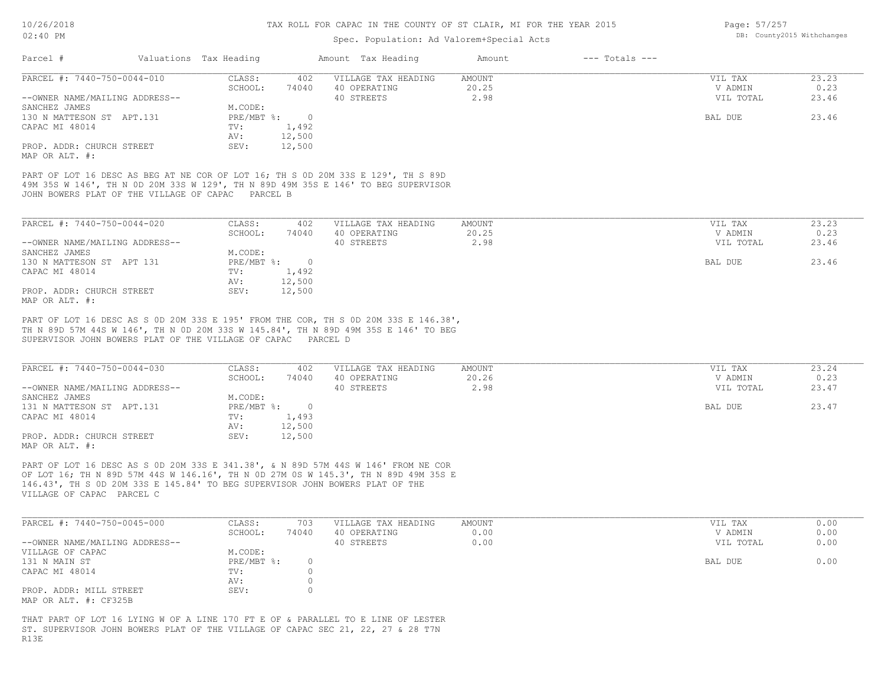## Spec. Population: Ad Valorem+Special Acts

| Page: 57/257 |                            |
|--------------|----------------------------|
|              | DB: County2015 Withchanges |

| Parcel #                       | Valuations Tax Heading |        | Amount Tax Heading  | Amount | $---$ Totals $---$ |           |       |
|--------------------------------|------------------------|--------|---------------------|--------|--------------------|-----------|-------|
| PARCEL #: 7440-750-0044-010    | CLASS:                 | 402    | VILLAGE TAX HEADING | AMOUNT |                    | VIL TAX   | 23.23 |
|                                | SCHOOL:                | 74040  | 40 OPERATING        | 20.25  |                    | V ADMIN   | 0.23  |
| --OWNER NAME/MAILING ADDRESS-- |                        |        | 40 STREETS          | 2.98   |                    | VIL TOTAL | 23.46 |
| SANCHEZ JAMES                  | M.CODE:                |        |                     |        |                    |           |       |
| 130 N MATTESON ST APT.131      | PRE/MBT %:             |        |                     |        |                    | BAL DUE   | 23.46 |
| CAPAC MI 48014                 | TV:                    | 1,492  |                     |        |                    |           |       |
|                                | AV:                    | 12,500 |                     |        |                    |           |       |
| PROP. ADDR: CHURCH STREET      | SEV:                   | 12,500 |                     |        |                    |           |       |
| MAP OR ALT. #:                 |                        |        |                     |        |                    |           |       |

JOHN BOWERS PLAT OF THE VILLAGE OF CAPAC PARCEL B 49M 35S W 146', TH N 0D 20M 33S W 129', TH N 89D 49M 35S E 146' TO BEG SUPERVISOR PART OF LOT 16 DESC AS BEG AT NE COR OF LOT 16; TH S 0D 20M 33S E 129', TH S 89D

| PARCEL #: 7440-750-0044-020    | CLASS:     | 402    | VILLAGE TAX HEADING | AMOUNT | VIL TAX   | 23.23 |
|--------------------------------|------------|--------|---------------------|--------|-----------|-------|
|                                | SCHOOL:    | 74040  | 40 OPERATING        | 20.25  | V ADMIN   | 0.23  |
| --OWNER NAME/MAILING ADDRESS-- |            |        | 40 STREETS          | 2.98   | VIL TOTAL | 23.46 |
| SANCHEZ JAMES                  | M.CODE:    |        |                     |        |           |       |
| 130 N MATTESON ST APT 131      | PRE/MBT %: |        |                     |        | BAL DUE   | 23.46 |
| CAPAC MI 48014                 | TV:        | 1,492  |                     |        |           |       |
|                                | AV:        | 12,500 |                     |        |           |       |
| PROP. ADDR: CHURCH STREET      | SEV:       | 12,500 |                     |        |           |       |
| MAP OR ALT. #:                 |            |        |                     |        |           |       |

SUPERVISOR JOHN BOWERS PLAT OF THE VILLAGE OF CAPAC PARCEL D TH N 89D 57M 44S W 146', TH N 0D 20M 33S W 145.84', TH N 89D 49M 35S E 146' TO BEG PART OF LOT 16 DESC AS S 0D 20M 33S E 195' FROM THE COR, TH S 0D 20M 33S E 146.38',

| PARCEL #: 7440-750-0044-030    | CLASS:     | 402    | VILLAGE TAX HEADING | AMOUNT | VIL TAX   | 23.24 |
|--------------------------------|------------|--------|---------------------|--------|-----------|-------|
|                                | SCHOOL:    | 74040  | 40 OPERATING        | 20.26  | V ADMIN   | 0.23  |
| --OWNER NAME/MAILING ADDRESS-- |            |        | 40 STREETS          | 2.98   | VIL TOTAL | 23.47 |
| SANCHEZ JAMES                  | M.CODE:    |        |                     |        |           |       |
| 131 N MATTESON ST APT.131      | PRE/MBT %: |        |                     |        | BAL DUE   | 23.47 |
| CAPAC MI 48014                 | TV:        | 1,493  |                     |        |           |       |
|                                | AV:        | 12,500 |                     |        |           |       |
| PROP. ADDR: CHURCH STREET      | SEV:       | 12,500 |                     |        |           |       |
| MAP OR ALT. #:                 |            |        |                     |        |           |       |

VILLAGE OF CAPAC PARCEL C 146.43', TH S 0D 20M 33S E 145.84' TO BEG SUPERVISOR JOHN BOWERS PLAT OF THE OF LOT 16; TH N 89D 57M 44S W 146.16', TH N 0D 27M 0S W 145.3', TH N 89D 49M 35S E PART OF LOT 16 DESC AS S 0D 20M 33S E 341.38', & N 89D 57M 44S W 146' FROM NE COR

| PARCEL #: 7440-750-0045-000    | CLASS:     | 703   | VILLAGE TAX HEADING | AMOUNT | VIL TAX   | 0.00 |
|--------------------------------|------------|-------|---------------------|--------|-----------|------|
|                                | SCHOOL:    | 74040 | 40 OPERATING        | 0.00   | V ADMIN   | 0.00 |
| --OWNER NAME/MAILING ADDRESS-- |            |       | 40 STREETS          | 0.00   | VIL TOTAL | 0.00 |
| VILLAGE OF CAPAC               | M.CODE:    |       |                     |        |           |      |
| 131 N MAIN ST                  | PRE/MBT %: |       |                     |        | BAL DUE   | 0.00 |
| CAPAC MI 48014                 | TV:        |       |                     |        |           |      |
|                                | AV:        |       |                     |        |           |      |
| PROP. ADDR: MILL STREET        | SEV:       |       |                     |        |           |      |
| MAP OR ALT. #: CF325B          |            |       |                     |        |           |      |

R13E ST. SUPERVISOR JOHN BOWERS PLAT OF THE VILLAGE OF CAPAC SEC 21, 22, 27 & 28 T7N THAT PART OF LOT 16 LYING W OF A LINE 170 FT E OF & PARALLEL TO E LINE OF LESTER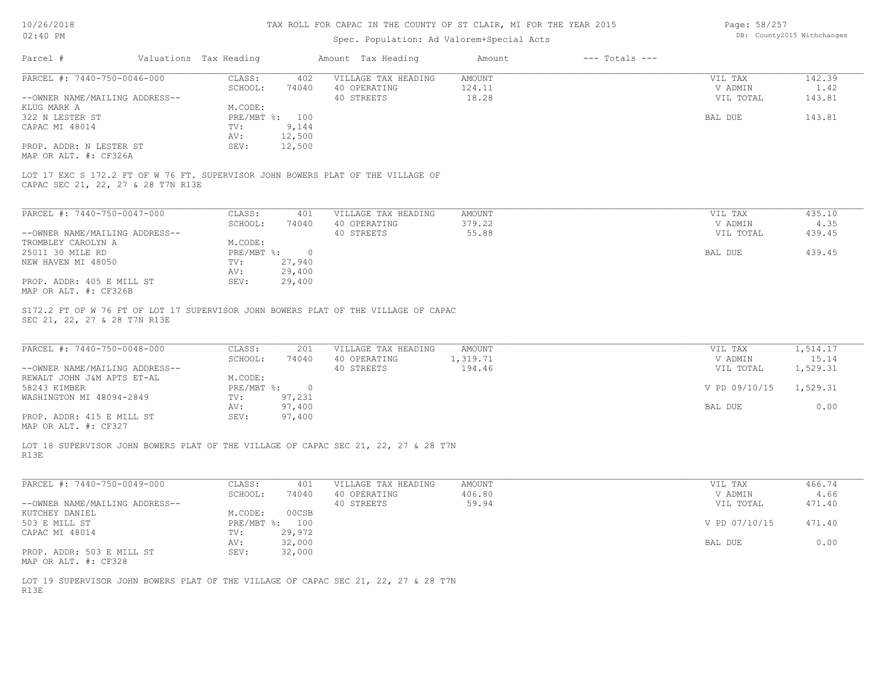Page: 58/257 DB: County2015 Withchanges

| UZ:40 FM                                                                                                              |                                                     | Spec. Population: Ad Valorem+Special Acts         |                              |                    |                                 | DB: COUNTAINS MILNCHANGES     |
|-----------------------------------------------------------------------------------------------------------------------|-----------------------------------------------------|---------------------------------------------------|------------------------------|--------------------|---------------------------------|-------------------------------|
| Parcel #                                                                                                              | Valuations Tax Heading                              | Amount Tax Heading                                | Amount                       | $---$ Totals $---$ |                                 |                               |
| PARCEL #: 7440-750-0046-000                                                                                           | CLASS:<br>402                                       | VILLAGE TAX HEADING                               | <b>AMOUNT</b>                |                    | VIL TAX                         | 142.39                        |
|                                                                                                                       | SCHOOL:<br>74040                                    | 40 OPERATING                                      | 124.11                       |                    | V ADMIN                         | 1.42                          |
| --OWNER NAME/MAILING ADDRESS--                                                                                        |                                                     | 40 STREETS                                        | 18.28                        |                    | VIL TOTAL                       | 143.81                        |
| KLUG MARK A                                                                                                           | M.CODE:                                             |                                                   |                              |                    |                                 |                               |
| 322 N LESTER ST                                                                                                       | PRE/MBT %: 100                                      |                                                   |                              |                    | BAL DUE                         | 143.81                        |
| CAPAC MI 48014                                                                                                        | 9,144<br>TV:                                        |                                                   |                              |                    |                                 |                               |
|                                                                                                                       | 12,500<br>AV:                                       |                                                   |                              |                    |                                 |                               |
| PROP. ADDR: N LESTER ST                                                                                               | SEV:<br>12,500                                      |                                                   |                              |                    |                                 |                               |
| MAP OR ALT. #: CF326A                                                                                                 |                                                     |                                                   |                              |                    |                                 |                               |
| LOT 17 EXC S 172.2 FT OF W 76 FT. SUPERVISOR JOHN BOWERS PLAT OF THE VILLAGE OF<br>CAPAC SEC 21, 22, 27 & 28 T7N R13E |                                                     |                                                   |                              |                    |                                 |                               |
| PARCEL #: 7440-750-0047-000                                                                                           | CLASS:<br>401                                       |                                                   | AMOUNT                       |                    | VIL TAX                         | 435.10                        |
|                                                                                                                       |                                                     | VILLAGE TAX HEADING                               |                              |                    | V ADMIN                         | 4.35                          |
|                                                                                                                       | SCHOOL:<br>74040                                    | 40 OPERATING                                      | 379.22                       |                    |                                 |                               |
| --OWNER NAME/MAILING ADDRESS--                                                                                        |                                                     | 40 STREETS                                        | 55.88                        |                    | VIL TOTAL                       | 439.45                        |
| TROMBLEY CAROLYN A                                                                                                    | M.CODE:                                             |                                                   |                              |                    |                                 |                               |
| 25011 30 MILE RD                                                                                                      | $PRE/MBT$ %:<br>$\overline{\phantom{0}}$            |                                                   |                              |                    | BAL DUE                         | 439.45                        |
| NEW HAVEN MI 48050                                                                                                    | 27,940<br>TV:                                       |                                                   |                              |                    |                                 |                               |
|                                                                                                                       | AV:<br>29,400                                       |                                                   |                              |                    |                                 |                               |
| PROP. ADDR: 405 E MILL ST<br>MAP OR ALT. #: CF326B                                                                    | 29,400<br>SEV:                                      |                                                   |                              |                    |                                 |                               |
|                                                                                                                       |                                                     |                                                   |                              |                    |                                 |                               |
| PARCEL #: 7440-750-0048-000<br>--OWNER NAME/MAILING ADDRESS--                                                         | CLASS:<br>201<br>SCHOOL:<br>74040                   | VILLAGE TAX HEADING<br>40 OPERATING<br>40 STREETS | AMOUNT<br>1,319.71<br>194.46 |                    | VIL TAX<br>V ADMIN<br>VIL TOTAL | 1,514.17<br>15.14<br>1,529.31 |
| REWALT JOHN J&M APTS ET-AL<br>58243 KIMBER                                                                            | M.CODE:<br>$PRE/MBT$ %:<br>$\overline{0}$<br>97,231 |                                                   |                              |                    | V PD 09/10/15                   | 1,529.31                      |
| WASHINGTON MI 48094-2849                                                                                              | TV:<br>97,400                                       |                                                   |                              |                    | BAL DUE                         | 0.00                          |
| PROP. ADDR: 415 E MILL ST                                                                                             | AV:<br>SEV:<br>97,400                               |                                                   |                              |                    |                                 |                               |
| MAP OR ALT. #: CF327                                                                                                  |                                                     |                                                   |                              |                    |                                 |                               |
| LOT 18 SUPERVISOR JOHN BOWERS PLAT OF THE VILLAGE OF CAPAC SEC 21, 22, 27 & 28 T7N<br>R13E                            |                                                     |                                                   |                              |                    |                                 |                               |
| PARCEL #: 7440-750-0049-000                                                                                           | CLASS:<br>401                                       | VILLAGE TAX HEADING                               | AMOUNT                       |                    | VIL TAX                         | 466.74                        |
|                                                                                                                       | SCHOOL:<br>74040                                    | 40 OPERATING                                      | 406.80                       |                    | V ADMIN                         | 4.66                          |
| --OWNER NAME/MAILING ADDRESS--                                                                                        |                                                     | 40 STREETS                                        | 59.94                        |                    | VIL TOTAL                       | 471.40                        |
| KUTCHEY DANIEL                                                                                                        | M.CODE:<br>00CSB                                    |                                                   |                              |                    |                                 |                               |
| 503 E MILL ST                                                                                                         | PRE/MBT %: 100                                      |                                                   |                              |                    | V PD 07/10/15                   | 471.40                        |
|                                                                                                                       | 29,972<br>TV:                                       |                                                   |                              |                    |                                 |                               |
| CAPAC MI 48014                                                                                                        |                                                     |                                                   |                              |                    |                                 |                               |
|                                                                                                                       | 32,000<br>AV:                                       |                                                   |                              |                    | BAL DUE                         | 0.00                          |
| PROP. ADDR: 503 E MILL ST                                                                                             | 32,000<br>SEV:                                      |                                                   |                              |                    |                                 |                               |
| MAP OR ALT. #: CF328                                                                                                  |                                                     |                                                   |                              |                    |                                 |                               |
|                                                                                                                       |                                                     |                                                   |                              |                    |                                 |                               |
| LOT 19 SUPERVISOR JOHN BOWERS PLAT OF THE VILLAGE OF CAPAC SEC 21, 22, 27 & 28 T7N                                    |                                                     |                                                   |                              |                    |                                 |                               |
| R13E                                                                                                                  |                                                     |                                                   |                              |                    |                                 |                               |
|                                                                                                                       |                                                     |                                                   |                              |                    |                                 |                               |
|                                                                                                                       |                                                     |                                                   |                              |                    |                                 |                               |
|                                                                                                                       |                                                     |                                                   |                              |                    |                                 |                               |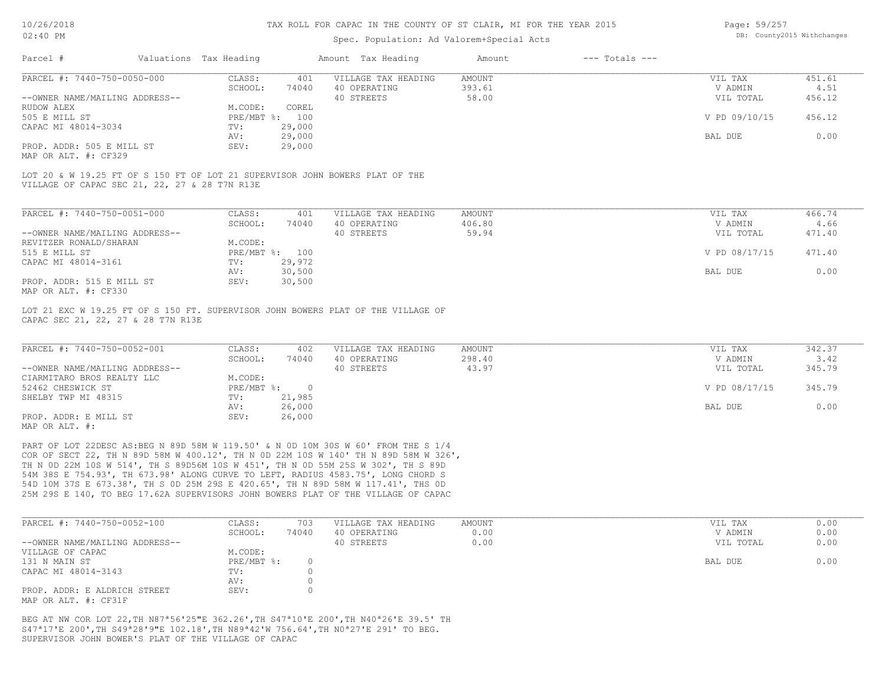#### Spec. Population: Ad Valorem+Special Acts

| Page: 59/257 |                            |
|--------------|----------------------------|
|              | DB: County2015 Withchanges |

| Parcel #                       | Valuations Tax Heading |                | Amount Tax Heading  | Amount | $---$ Totals $---$ |               |        |
|--------------------------------|------------------------|----------------|---------------------|--------|--------------------|---------------|--------|
| PARCEL #: 7440-750-0050-000    | CLASS:                 | 401            | VILLAGE TAX HEADING | AMOUNT |                    | VIL TAX       | 451.61 |
|                                | SCHOOL:                | 74040          | 40 OPERATING        | 393.61 |                    | V ADMIN       | 4.51   |
| --OWNER NAME/MAILING ADDRESS-- |                        |                | 40 STREETS          | 58.00  |                    | VIL TOTAL     | 456.12 |
| RUDOW ALEX                     | M.CODE:                | COREL          |                     |        |                    |               |        |
| 505 E MILL ST                  |                        | PRE/MBT %: 100 |                     |        |                    | V PD 09/10/15 | 456.12 |
| CAPAC MI 48014-3034            | TV:                    | 29,000         |                     |        |                    |               |        |
|                                | AV:                    | 29,000         |                     |        |                    | BAL DUE       | 0.00   |
| PROP. ADDR: 505 E MILL ST      | SEV:                   | 29,000         |                     |        |                    |               |        |
| MAP OR ALT. #: CF329           |                        |                |                     |        |                    |               |        |

| PARCEL #: 7440-750-0051-000    | CLASS:     | 401    | VILLAGE TAX HEADING | AMOUNT | VIL TAX       | 466.74 |
|--------------------------------|------------|--------|---------------------|--------|---------------|--------|
|                                | SCHOOL:    | 74040  | 40 OPERATING        | 406.80 | V ADMIN       | 4.66   |
| --OWNER NAME/MAILING ADDRESS-- |            |        | 40 STREETS          | 59.94  | VIL TOTAL     | 471.40 |
| REVITZER RONALD/SHARAN         | M.CODE:    |        |                     |        |               |        |
| 515 E MILL ST                  | PRE/MBT %: | 100    |                     |        | V PD 08/17/15 | 471.40 |
| CAPAC MI 48014-3161            | TV:        | 29,972 |                     |        |               |        |
|                                | AV:        | 30,500 |                     |        | BAL DUE       | 0.00   |
| PROP. ADDR: 515 E MILL ST      | SEV:       | 30,500 |                     |        |               |        |
| MAP OR ALT. #: CF330           |            |        |                     |        |               |        |

CAPAC SEC 21, 22, 27 & 28 T7N R13E LOT 21 EXC W 19.25 FT OF S 150 FT. SUPERVISOR JOHN BOWERS PLAT OF THE VILLAGE OF

| PARCEL #: 7440-750-0052-001    | CLASS:     | 402    | VILLAGE TAX HEADING | AMOUNT | VIL TAX       | 342.37 |
|--------------------------------|------------|--------|---------------------|--------|---------------|--------|
|                                | SCHOOL:    | 74040  | 40 OPERATING        | 298.40 | V ADMIN       | 3.42   |
| --OWNER NAME/MAILING ADDRESS-- |            |        | 40 STREETS          | 43.97  | VIL TOTAL     | 345.79 |
| CIARMITARO BROS REALTY LLC     | M.CODE:    |        |                     |        |               |        |
| 52462 CHESWICK ST              | PRE/MBT %: |        |                     |        | V PD 08/17/15 | 345.79 |
| SHELBY TWP MI 48315            | TV:        | 21,985 |                     |        |               |        |
|                                | AV:        | 26,000 |                     |        | BAL DUE       | 0.00   |
| PROP. ADDR: E MILL ST          | SEV:       | 26,000 |                     |        |               |        |
| MAP OR ALT. #:                 |            |        |                     |        |               |        |

25M 29S E 140, TO BEG 17.62A SUPERVISORS JOHN BOWERS PLAT OF THE VILLAGE OF CAPAC 54D 10M 37S E 673.38', TH S 0D 25M 29S E 420.65', TH N 89D 58M W 117.41', THS 0D 54M 38S E 754.93', TH 673.98' ALONG CURVE TO LEFT, RADIUS 4583.75', LONG CHORD S TH N 0D 22M 10S W 514', TH S 89D56M 10S W 451', TH N 0D 55M 25S W 302', TH S 89D COR OF SECT 22, TH N 89D 58M W 400.12', TH N 0D 22M 10S W 140' TH N 89D 58M W 326', PART OF LOT 22DESC AS:BEG N 89D 58M W 119.50' & N 0D 10M 30S W 60' FROM THE S 1/4

| PARCEL #: 7440-750-0052-100    | CLASS:     | 703   | VILLAGE TAX HEADING | AMOUNT | VIL TAX   | 0.00 |
|--------------------------------|------------|-------|---------------------|--------|-----------|------|
|                                | SCHOOL:    | 74040 | 40 OPERATING        | 0.00   | V ADMIN   | 0.00 |
| --OWNER NAME/MAILING ADDRESS-- |            |       | 40 STREETS          | 0.00   | VIL TOTAL | 0.00 |
| VILLAGE OF CAPAC               | M.CODE:    |       |                     |        |           |      |
| 131 N MAIN ST                  | PRE/MBT %: |       |                     |        | BAL DUE   | 0.00 |
| CAPAC MI 48014-3143            | TV:        |       |                     |        |           |      |
|                                | AV:        |       |                     |        |           |      |
| PROP. ADDR: E ALDRICH STREET   | SEV:       |       |                     |        |           |      |
| MAP OR ALT. #: CF31F           |            |       |                     |        |           |      |

SUPERVISOR JOHN BOWER'S PLAT OF THE VILLAGE OF CAPAC S47ª17'E 200',TH S49ª28'9"E 102.18',TH N89ª42'W 756.64',TH N0ª27'E 291' TO BEG. BEG AT NW COR LOT 22,TH N87ª56'25"E 362.26',TH S47ª10'E 200',TH N40ª26'E 39.5' TH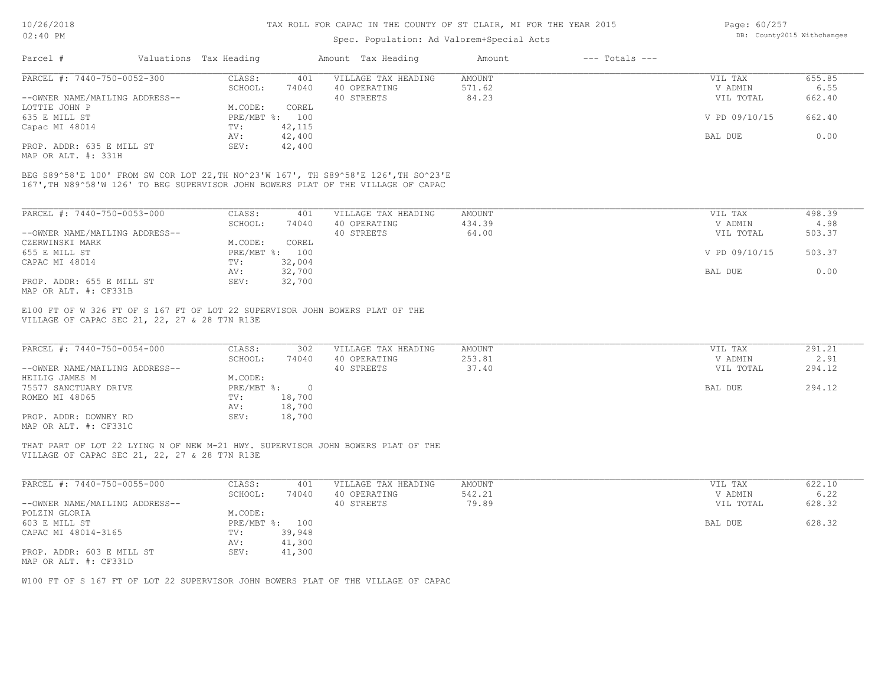## Spec. Population: Ad Valorem+Special Acts

| Page: 60/257 |                            |
|--------------|----------------------------|
|              | DB: County2015 Withchanges |

| Parcel #                       | Valuations Tax Heading |        | Amount Tax Heading  | Amount | $---$ Totals $---$ |               |        |
|--------------------------------|------------------------|--------|---------------------|--------|--------------------|---------------|--------|
| PARCEL #: 7440-750-0052-300    | CLASS:                 | 401    | VILLAGE TAX HEADING | AMOUNT |                    | VIL TAX       | 655.85 |
|                                | SCHOOL:                | 74040  | 40 OPERATING        | 571.62 |                    | V ADMIN       | 6.55   |
| --OWNER NAME/MAILING ADDRESS-- |                        |        | 40 STREETS          | 84.23  |                    | VIL TOTAL     | 662.40 |
| LOTTIE JOHN P                  | M.CODE:                | COREL  |                     |        |                    |               |        |
| 635 E MILL ST                  | PRE/MBT %: 100         |        |                     |        |                    | V PD 09/10/15 | 662.40 |
| Capac MI 48014                 | TV:                    | 42,115 |                     |        |                    |               |        |
|                                | AV:                    | 42,400 |                     |        |                    | BAL DUE       | 0.00   |
| PROP. ADDR: 635 E MILL ST      | SEV:                   | 42,400 |                     |        |                    |               |        |

MAP OR ALT. #: 331H

167',TH N89^58'W 126' TO BEG SUPERVISOR JOHN BOWERS PLAT OF THE VILLAGE OF CAPAC BEG S89^58'E 100' FROM SW COR LOT 22,TH NO^23'W 167', TH S89^58'E 126',TH SO^23'E

| PARCEL #: 7440-750-0053-000    | CLASS:                    | 401    | VILLAGE TAX HEADING | AMOUNT | VIL TAX       | 498.39 |
|--------------------------------|---------------------------|--------|---------------------|--------|---------------|--------|
|                                | SCHOOL:                   | 74040  | 40 OPERATING        | 434.39 | V ADMIN       | 4.98   |
| --OWNER NAME/MAILING ADDRESS-- |                           |        | 40 STREETS          | 64.00  | VIL TOTAL     | 503.37 |
| CZERWINSKI MARK                | M.CODE:                   | COREL  |                     |        |               |        |
| 655 E MILL ST                  | $PRE/MBT$ $\frac{1}{6}$ : | 100    |                     |        | V PD 09/10/15 | 503.37 |
| CAPAC MI 48014                 | TV:                       | 32,004 |                     |        |               |        |
|                                | AV:                       | 32,700 |                     |        | BAL DUE       | 0.00   |
| PROP. ADDR: 655 E MILL ST      | SEV:                      | 32,700 |                     |        |               |        |
| סוככתים ++ חזוג מם מוזוא       |                           |        |                     |        |               |        |

MAP OR ALT. #: CF331B

VILLAGE OF CAPAC SEC 21, 22, 27 & 28 T7N R13E E100 FT OF W 326 FT OF S 167 FT OF LOT 22 SUPERVISOR JOHN BOWERS PLAT OF THE

| PARCEL #: 7440-750-0054-000    | CLASS:     | 302    | VILLAGE TAX HEADING | AMOUNT | VIL TAX   | 291.21 |
|--------------------------------|------------|--------|---------------------|--------|-----------|--------|
|                                | SCHOOL:    | 74040  | 40 OPERATING        | 253.81 | V ADMIN   | 2.91   |
| --OWNER NAME/MAILING ADDRESS-- |            |        | 40 STREETS          | 37.40  | VIL TOTAL | 294.12 |
| HEILIG JAMES M                 | M.CODE:    |        |                     |        |           |        |
| 75577 SANCTUARY DRIVE          | PRE/MBT %: |        |                     |        | BAL DUE   | 294.12 |
| ROMEO MI 48065                 | TV:        | 18,700 |                     |        |           |        |
|                                | AV:        | 18,700 |                     |        |           |        |
| PROP. ADDR: DOWNEY RD          | SEV:       | 18,700 |                     |        |           |        |
| MAP OR ALT. #: CF331C          |            |        |                     |        |           |        |

VILLAGE OF CAPAC SEC 21, 22, 27 & 28 T7N R13E THAT PART OF LOT 22 LYING N OF NEW M-21 HWY. SUPERVISOR JOHN BOWERS PLAT OF THE

| PARCEL #: 7440-750-0055-000    | CLASS:     | 401    | VILLAGE TAX HEADING | AMOUNT | VIL TAX   | 622.10 |
|--------------------------------|------------|--------|---------------------|--------|-----------|--------|
|                                | SCHOOL:    | 74040  | 40 OPERATING        | 542.21 | V ADMIN   | 6.22   |
| --OWNER NAME/MAILING ADDRESS-- |            |        | 40 STREETS          | 79.89  | VIL TOTAL | 628.32 |
| POLZIN GLORIA                  | M.CODE:    |        |                     |        |           |        |
| 603 E MILL ST                  | PRE/MBT %: | 100    |                     |        | BAL DUE   | 628.32 |
| CAPAC MI 48014-3165            | TV:        | 39,948 |                     |        |           |        |
|                                | AV:        | 41,300 |                     |        |           |        |
| PROP. ADDR: 603 E MILL ST      | SEV:       | 41,300 |                     |        |           |        |
| MAP OR ALT. #: CF331D          |            |        |                     |        |           |        |

 $\mathcal{L}_\mathcal{L} = \mathcal{L}_\mathcal{L} = \mathcal{L}_\mathcal{L} = \mathcal{L}_\mathcal{L} = \mathcal{L}_\mathcal{L} = \mathcal{L}_\mathcal{L} = \mathcal{L}_\mathcal{L} = \mathcal{L}_\mathcal{L} = \mathcal{L}_\mathcal{L} = \mathcal{L}_\mathcal{L} = \mathcal{L}_\mathcal{L} = \mathcal{L}_\mathcal{L} = \mathcal{L}_\mathcal{L} = \mathcal{L}_\mathcal{L} = \mathcal{L}_\mathcal{L} = \mathcal{L}_\mathcal{L} = \mathcal{L}_\mathcal{L}$ 

W100 FT OF S 167 FT OF LOT 22 SUPERVISOR JOHN BOWERS PLAT OF THE VILLAGE OF CAPAC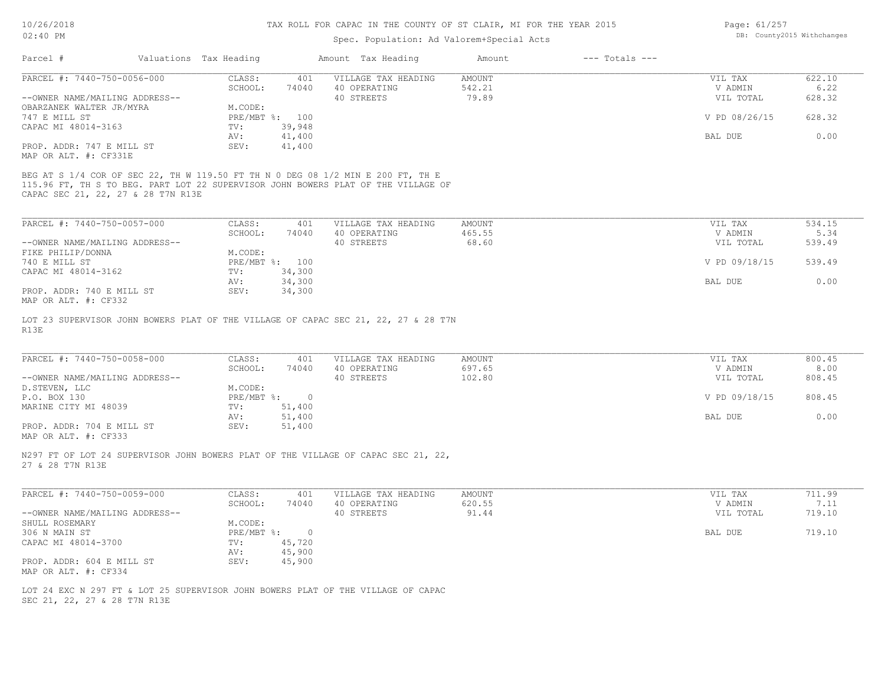### Spec. Population: Ad Valorem+Special Acts

| Page: 61/257 |                            |
|--------------|----------------------------|
|              | DB: County2015 Withchanges |

| Parcel #                           | Valuations Tax Heading |                | Amount Tax Heading                                                                                                                                                   | Amount | $---$ Totals $---$ |               |        |
|------------------------------------|------------------------|----------------|----------------------------------------------------------------------------------------------------------------------------------------------------------------------|--------|--------------------|---------------|--------|
| PARCEL #: 7440-750-0056-000        | CLASS:                 | 401            | VILLAGE TAX HEADING                                                                                                                                                  | AMOUNT |                    | VIL TAX       | 622.10 |
|                                    | SCHOOL:                | 74040          | 40 OPERATING                                                                                                                                                         | 542.21 |                    | V ADMIN       | 6.22   |
| --OWNER NAME/MAILING ADDRESS--     |                        |                | 40 STREETS                                                                                                                                                           | 79.89  |                    | VIL TOTAL     | 628.32 |
| OBARZANEK WALTER JR/MYRA           | M.CODE:                |                |                                                                                                                                                                      |        |                    |               |        |
| 747 E MILL ST                      |                        | PRE/MBT %: 100 |                                                                                                                                                                      |        |                    | V PD 08/26/15 | 628.32 |
| CAPAC MI 48014-3163                | TV:                    | 39,948         |                                                                                                                                                                      |        |                    |               |        |
|                                    | AV:                    | 41,400         |                                                                                                                                                                      |        |                    | BAL DUE       | 0.00   |
| PROP. ADDR: 747 E MILL ST          | SEV:                   | 41,400         |                                                                                                                                                                      |        |                    |               |        |
| MAP OR ALT. #: CF331E              |                        |                |                                                                                                                                                                      |        |                    |               |        |
| CAPAC SEC 21, 22, 27 & 28 T7N R13E |                        |                | BEG AT S 1/4 COR OF SEC 22, TH W 119.50 FT TH N 0 DEG 08 1/2 MIN E 200 FT, TH E<br>115.96 FT, TH S TO BEG. PART LOT 22 SUPERVISOR JOHN BOWERS PLAT OF THE VILLAGE OF |        |                    |               |        |
| PARCEL #: 7440-750-0057-000        | CLASS:                 | 401            | VILLAGE TAX HEADING                                                                                                                                                  | AMOUNT |                    | VIL TAX       | 534.15 |
|                                    | SCHOOL.                | 74040          | 40 OPERATING                                                                                                                                                         | 465 55 |                    | V ADMIN       | 534    |

|                                | SCHOOL: | 74040          | 40 OPERATING | 465.55 | V ADMIN       | 5.34   |  |
|--------------------------------|---------|----------------|--------------|--------|---------------|--------|--|
| --OWNER NAME/MAILING ADDRESS-- |         |                | 40 STREETS   | 68.60  | VIL TOTAL     | 539.49 |  |
| FIKE PHILIP/DONNA              | M.CODE: |                |              |        |               |        |  |
| 740 E MILL ST                  |         | PRE/MBT %: 100 |              |        | V PD 09/18/15 | 539.49 |  |
| CAPAC MI 48014-3162            | TV:     | 34,300         |              |        |               |        |  |
|                                | AV:     | 34,300         |              |        | BAL DUE       | 0.00   |  |
| PROP. ADDR: 740 E MILL ST      | SEV:    | 34,300         |              |        |               |        |  |
| MAP OR ALT. #: CF332           |         |                |              |        |               |        |  |

R13E LOT 23 SUPERVISOR JOHN BOWERS PLAT OF THE VILLAGE OF CAPAC SEC 21, 22, 27 & 28 T7N

| PARCEL #: 7440-750-0058-000    | CLASS:     | 401    | VILLAGE TAX HEADING | AMOUNT | VIL TAX       | 800.45 |  |
|--------------------------------|------------|--------|---------------------|--------|---------------|--------|--|
|                                | SCHOOL:    | 74040  | 40 OPERATING        | 697.65 | V ADMIN       | 8.00   |  |
| --OWNER NAME/MAILING ADDRESS-- |            |        | 40 STREETS          | 102.80 | VIL TOTAL     | 808.45 |  |
| D.STEVEN, LLC                  | M.CODE:    |        |                     |        |               |        |  |
| P.O. BOX 130                   | PRE/MBT %: | $\cap$ |                     |        | V PD 09/18/15 | 808.45 |  |
| MARINE CITY MI 48039           | TV:        | 51,400 |                     |        |               |        |  |
|                                | AV:        | 51,400 |                     |        | BAL DUE       | 0.00   |  |
| PROP. ADDR: 704 E MILL ST      | SEV:       | 51,400 |                     |        |               |        |  |

 $\mathcal{L}_\mathcal{L} = \mathcal{L}_\mathcal{L} = \mathcal{L}_\mathcal{L} = \mathcal{L}_\mathcal{L} = \mathcal{L}_\mathcal{L} = \mathcal{L}_\mathcal{L} = \mathcal{L}_\mathcal{L} = \mathcal{L}_\mathcal{L} = \mathcal{L}_\mathcal{L} = \mathcal{L}_\mathcal{L} = \mathcal{L}_\mathcal{L} = \mathcal{L}_\mathcal{L} = \mathcal{L}_\mathcal{L} = \mathcal{L}_\mathcal{L} = \mathcal{L}_\mathcal{L} = \mathcal{L}_\mathcal{L} = \mathcal{L}_\mathcal{L}$ 

MAP OR ALT. #: CF333

27 & 28 T7N R13E N297 FT OF LOT 24 SUPERVISOR JOHN BOWERS PLAT OF THE VILLAGE OF CAPAC SEC 21, 22,

| PARCEL #: 7440-750-0059-000    | CLASS:     | 401    | VILLAGE TAX HEADING | AMOUNT | VIL TAX   | 711.99 |
|--------------------------------|------------|--------|---------------------|--------|-----------|--------|
|                                | SCHOOL:    | 74040  | 40 OPERATING        | 620.55 | V ADMIN   | 7.11   |
| --OWNER NAME/MAILING ADDRESS-- |            |        | 40 STREETS          | 91.44  | VIL TOTAL | 719.10 |
| SHULL ROSEMARY                 | M.CODE:    |        |                     |        |           |        |
| 306 N MAIN ST                  | PRE/MBT %: |        |                     |        | BAL DUE   | 719.10 |
| CAPAC MI 48014-3700            | TV:        | 45,720 |                     |        |           |        |
|                                | AV:        | 45,900 |                     |        |           |        |
| PROP. ADDR: 604 E MILL ST      | SEV:       | 45,900 |                     |        |           |        |
| MAP OR ALT. #: CF334           |            |        |                     |        |           |        |

SEC 21, 22, 27 & 28 T7N R13E LOT 24 EXC N 297 FT & LOT 25 SUPERVISOR JOHN BOWERS PLAT OF THE VILLAGE OF CAPAC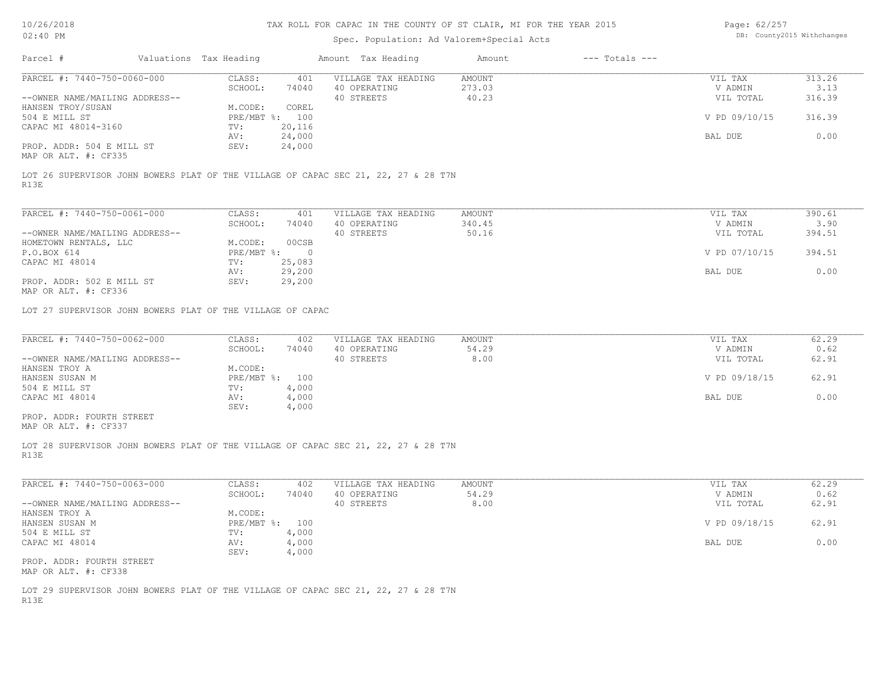# Spec. Population: Ad Valorem+Special Acts

Page: 62/257 DB: County2015 Withchanges

| Parcel #                                                                                                           | Valuations Tax Heading           |                  | Amount Tax Heading                                | Amount                    | $---$ Totals $---$ |                                 |                          |
|--------------------------------------------------------------------------------------------------------------------|----------------------------------|------------------|---------------------------------------------------|---------------------------|--------------------|---------------------------------|--------------------------|
| PARCEL #: 7440-750-0060-000<br>--OWNER NAME/MAILING ADDRESS--                                                      | CLASS:<br>SCHOOL:                | 401<br>74040     | VILLAGE TAX HEADING<br>40 OPERATING<br>40 STREETS | AMOUNT<br>273.03<br>40.23 |                    | VIL TAX<br>V ADMIN<br>VIL TOTAL | 313.26<br>3.13<br>316.39 |
| HANSEN TROY/SUSAN<br>504 E MILL ST<br>CAPAC MI 48014-3160                                                          | M.CODE:<br>PRE/MBT %: 100<br>TV: | COREL<br>20,116  |                                                   |                           |                    | V PD 09/10/15                   | 316.39                   |
| PROP. ADDR: 504 E MILL ST                                                                                          | AV:<br>SEV:                      | 24,000<br>24,000 |                                                   |                           |                    | BAL DUE                         | 0.00                     |
| MAP OR ALT. #: CF335<br>LOT 26 SUPERVISOR JOHN BOWERS PLAT OF THE VILLAGE OF CAPAC SEC 21, 22, 27 & 28 T7N<br>R13E |                                  |                  |                                                   |                           |                    |                                 |                          |
|                                                                                                                    |                                  |                  |                                                   |                           |                    |                                 |                          |
| PARCEL #: 7440-750-0061-000<br>--OWNER NAME/MAILING ADDRESS--                                                      | CLASS:<br>SCHOOL:                | 401<br>74040     | VILLAGE TAX HEADING<br>40 OPERATING<br>40 STREETS | AMOUNT<br>340.45<br>50.16 |                    | VIL TAX<br>V ADMIN<br>VIL TOTAL | 390.61<br>3.90<br>394.51 |
| HOMETOWN RENTALS, LLC<br>P.O.BOX 614                                                                               | M.CODE:<br>$PRE/MBT$ $\div$ 0    | 00CSB            |                                                   |                           | V PD 07/10/15      | 394.51                          |                          |
| CAPAC MI 48014                                                                                                     | TV:<br>AV:                       | 25,083<br>29,200 |                                                   |                           | BAL DUE            | 0.00                            |                          |
| PROP. ADDR: 502 E MILL ST<br>MAP OR ALT. #: CF336                                                                  | SEV:                             | 29,200           |                                                   |                           |                    |                                 |                          |
| LOT 27 SUPERVISOR JOHN BOWERS PLAT OF THE VILLAGE OF CAPAC                                                         |                                  |                  |                                                   |                           |                    |                                 |                          |
| PARCEL #: 7440-750-0062-000                                                                                        | CLASS:<br>SCHOOL:                | 402<br>74040     | VILLAGE TAX HEADING<br>40 OPERATING               | AMOUNT<br>54.29           |                    | VIL TAX<br>V ADMIN              | 62.29<br>0.62            |
| --OWNER NAME/MAILING ADDRESS--<br>HANSEN TROY A                                                                    | M.CODE:                          |                  | 40 STREETS                                        | 8.00                      |                    | VIL TOTAL                       | 62.91                    |
| HANSEN SUSAN M<br>504 E MILL ST                                                                                    | PRE/MBT %: 100<br>TV:            | 4,000            |                                                   |                           | V PD 09/18/15      | 62.91                           |                          |
| CAPAC MI 48014                                                                                                     | AV:<br>SEV:                      | 4,000<br>4,000   |                                                   |                           |                    | BAL DUE                         | 0.00                     |
| PROP. ADDR: FOURTH STREET<br>MAP OR ALT. #: CF337                                                                  |                                  |                  |                                                   |                           |                    |                                 |                          |
| LOT 28 SUPERVISOR JOHN BOWERS PLAT OF THE VILLAGE OF CAPAC SEC 21, 22, 27 & 28 T7N<br>R13E                         |                                  |                  |                                                   |                           |                    |                                 |                          |
| PARCEL #: 7440-750-0063-000                                                                                        | CLASS:<br>SCHOOL:                | 402              | VILLAGE TAX HEADING<br>40 OPERATING               | AMOUNT<br>54.29           |                    | VIL TAX<br>V ADMIN              | 62.29<br>0.62            |
| --OWNER NAME/MAILING ADDRESS--<br>HANSEN TROY A                                                                    | M.CODE:                          | 74040            | 40 STREETS                                        | 8.00                      |                    | VIL TOTAL                       | 62.91                    |
| HANSEN SUSAN M<br>504 E MILL ST                                                                                    | PRE/MBT %: 100<br>TV:            | 4,000            |                                                   |                           |                    | V PD 09/18/15                   | 62.91                    |
| CAPAC MI 48014                                                                                                     | AV:<br>SEV:                      | 4,000<br>4,000   |                                                   |                           |                    | BAL DUE                         | 0.00                     |
| PROP. ADDR: FOURTH STREET<br>MAP OR ALT. #: CF338                                                                  |                                  |                  |                                                   |                           |                    |                                 |                          |
| LOT 29 SUPERVISOR JOHN BOWERS PLAT OF THE VILLAGE OF CAPAC SEC 21, 22, 27 & 28 T7N<br>R13E                         |                                  |                  |                                                   |                           |                    |                                 |                          |
|                                                                                                                    |                                  |                  |                                                   |                           |                    |                                 |                          |
|                                                                                                                    |                                  |                  |                                                   |                           |                    |                                 |                          |
|                                                                                                                    |                                  |                  |                                                   |                           |                    |                                 |                          |
|                                                                                                                    |                                  |                  |                                                   |                           |                    |                                 |                          |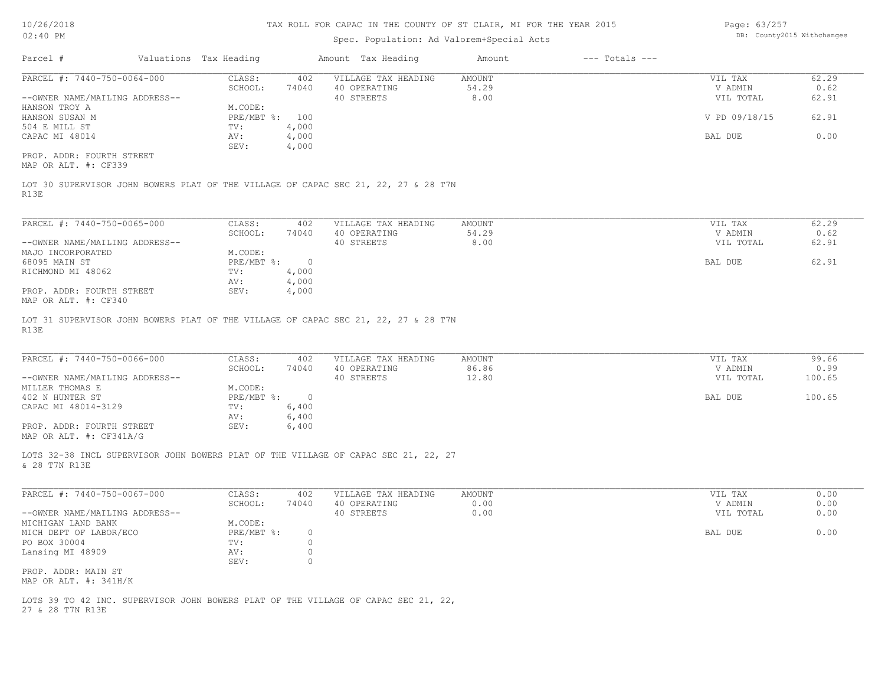# Spec. Population: Ad Valorem+Special Acts

Page: 63/257 DB: County2015 Withchanges

| Parcel #<br>Valuations Tax Heading                                                                                                                                                                    |                                             | Amount Tax Heading  | Amount | $---$ Totals $---$ |               |              |
|-------------------------------------------------------------------------------------------------------------------------------------------------------------------------------------------------------|---------------------------------------------|---------------------|--------|--------------------|---------------|--------------|
| PARCEL #: 7440-750-0064-000                                                                                                                                                                           | CLASS:<br>402                               | VILLAGE TAX HEADING | AMOUNT |                    | VIL TAX       | 62.29        |
|                                                                                                                                                                                                       | SCHOOL:<br>74040                            | 40 OPERATING        | 54.29  |                    | V ADMIN       | 0.62         |
| --OWNER NAME/MAILING ADDRESS--                                                                                                                                                                        |                                             | 40 STREETS          | 8.00   |                    | VIL TOTAL     | 62.91        |
| HANSON TROY A                                                                                                                                                                                         | M.CODE:<br>PRE/MBT %: 100                   |                     |        |                    |               |              |
| HANSON SUSAN M                                                                                                                                                                                        |                                             |                     |        |                    | V PD 09/18/15 | 62.91        |
| 504 E MILL ST<br>CAPAC MI 48014                                                                                                                                                                       | 4,000<br>TV:<br>4,000<br>AV:                |                     |        |                    | BAL DUE       | 0.00         |
|                                                                                                                                                                                                       | 4,000<br>SEV:                               |                     |        |                    |               |              |
| PROP. ADDR: FOURTH STREET                                                                                                                                                                             |                                             |                     |        |                    |               |              |
| MAP OR ALT. #: CF339                                                                                                                                                                                  |                                             |                     |        |                    |               |              |
| LOT 30 SUPERVISOR JOHN BOWERS PLAT OF THE VILLAGE OF CAPAC SEC 21, 22, 27 & 28 T7N<br>R13E                                                                                                            |                                             |                     |        |                    |               |              |
| PARCEL #: 7440-750-0065-000                                                                                                                                                                           | CLASS:<br>402                               | VILLAGE TAX HEADING | AMOUNT |                    | VIL TAX       | 62.29        |
|                                                                                                                                                                                                       | SCHOOL:<br>74040                            | 40 OPERATING        | 54.29  |                    | V ADMIN       | 0.62         |
| --OWNER NAME/MAILING ADDRESS--                                                                                                                                                                        |                                             | 40 STREETS          | 8.00   |                    | VIL TOTAL     | 62.91        |
| MAJO INCORPORATED                                                                                                                                                                                     | M.CODE:                                     |                     |        |                    |               |              |
| 68095 MAIN ST                                                                                                                                                                                         | $\circ$<br>$PRE/MBT$ $\div$                 |                     |        |                    | BAL DUE       | 62.91        |
| RICHMOND MI 48062                                                                                                                                                                                     | TV:<br>4,000                                |                     |        |                    |               |              |
|                                                                                                                                                                                                       | 4,000<br>AV:                                |                     |        |                    |               |              |
| PROP. ADDR: FOURTH STREET                                                                                                                                                                             | SEV:<br>4,000                               |                     |        |                    |               |              |
| MAP OR ALT. #: CF340<br>LOT 31 SUPERVISOR JOHN BOWERS PLAT OF THE VILLAGE OF CAPAC SEC 21, 22, 27 & 28 T7N<br>R13E                                                                                    |                                             |                     |        |                    |               |              |
| PARCEL #: 7440-750-0066-000                                                                                                                                                                           | CLASS:<br>402                               | VILLAGE TAX HEADING | AMOUNT |                    | VIL TAX       | 99.66        |
|                                                                                                                                                                                                       | SCHOOL:<br>74040                            | 40 OPERATING        | 86.86  |                    | V ADMIN       | 0.99         |
| --OWNER NAME/MAILING ADDRESS--                                                                                                                                                                        |                                             | 40 STREETS          | 12.80  |                    | VIL TOTAL     | 100.65       |
| MILLER THOMAS E                                                                                                                                                                                       | M.CODE:                                     |                     |        |                    |               |              |
|                                                                                                                                                                                                       | $PRE/MBT$ $\frac{6}{3}$ :<br>$\overline{0}$ |                     |        |                    | BAL DUE       | 100.65       |
|                                                                                                                                                                                                       | 6,400<br>TV:                                |                     |        |                    |               |              |
|                                                                                                                                                                                                       | 6,400<br>AV:<br>6,400<br>SEV:               |                     |        |                    |               |              |
| 402 N HUNTER ST<br>CAPAC MI 48014-3129<br>PROP. ADDR: FOURTH STREET<br>MAP OR ALT. #: CF341A/G<br>LOTS 32-38 INCL SUPERVISOR JOHN BOWERS PLAT OF THE VILLAGE OF CAPAC SEC 21, 22, 27<br>& 28 T7N R13E |                                             |                     |        |                    |               |              |
|                                                                                                                                                                                                       |                                             |                     |        |                    |               |              |
| PARCEL #: 7440-750-0067-000                                                                                                                                                                           | CLASS:<br>402                               | VILLAGE TAX HEADING | AMOUNT |                    | VIL TAX       | 0.00         |
|                                                                                                                                                                                                       | SCHOOL:<br>74040                            | 40 OPERATING        | 0.00   |                    | V ADMIN       | 0.00<br>0.00 |
|                                                                                                                                                                                                       | M.CODE:                                     | 40 STREETS          | 0.00   |                    | VIL TOTAL     |              |
|                                                                                                                                                                                                       | PRE/MBT %:<br>$\circ$                       |                     |        |                    | BAL DUE       | 0.00         |
|                                                                                                                                                                                                       | TV:<br>$\circ$                              |                     |        |                    |               |              |
|                                                                                                                                                                                                       | 0<br>AV:<br>$\circ$<br>SEV:                 |                     |        |                    |               |              |
| --OWNER NAME/MAILING ADDRESS--<br>MICHIGAN LAND BANK<br>MICH DEPT OF LABOR/ECO<br>PO BOX 30004<br>Lansing MI 48909<br>PROP. ADDR: MAIN ST<br>MAP OR ALT. $\#$ : 341H/K                                |                                             |                     |        |                    |               |              |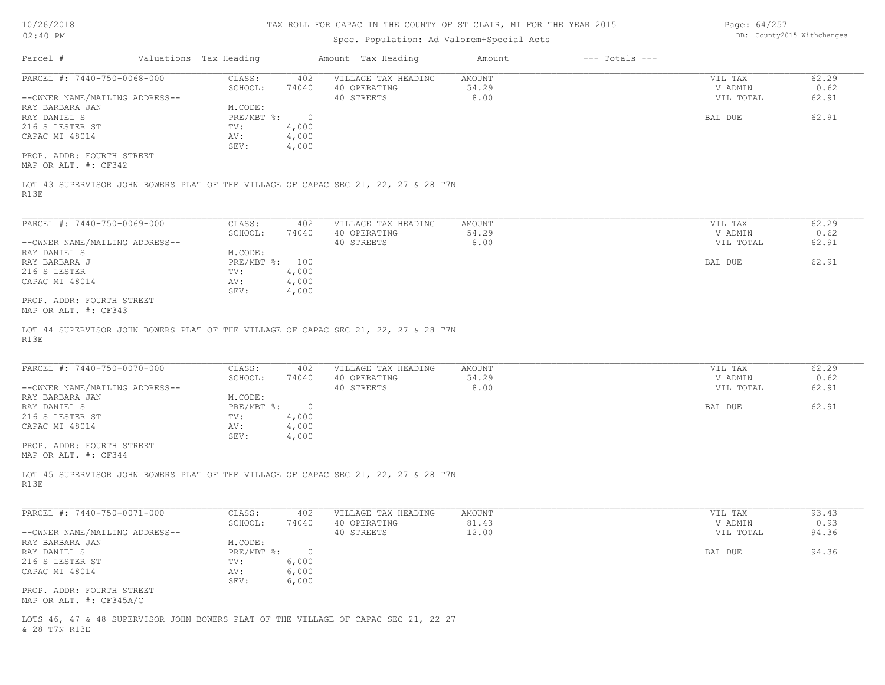10/26/2018 02:40 PM

# TAX ROLL FOR CAPAC IN THE COUNTY OF ST CLAIR, MI FOR THE YEAR 2015

# Spec. Population: Ad Valorem+Special Acts

Page: 64/257 DB: County2015 Withchanges

| PARCEL #: 7440-750-0068-000                       | Valuations Tax Heading    |                | Amount Tax Heading                                                                 | $---$ Totals $---$<br>Amount |                      |               |
|---------------------------------------------------|---------------------------|----------------|------------------------------------------------------------------------------------|------------------------------|----------------------|---------------|
|                                                   | CLASS:                    | 402            | VILLAGE TAX HEADING                                                                | <b>AMOUNT</b>                | VIL TAX              | 62.29         |
| --OWNER NAME/MAILING ADDRESS--                    | SCHOOL:                   | 74040          | 40 OPERATING<br>40 STREETS                                                         | 54.29<br>8.00                | V ADMIN<br>VIL TOTAL | 0.62<br>62.91 |
| RAY BARBARA JAN                                   | M.CODE:                   |                |                                                                                    |                              |                      |               |
| RAY DANIEL S                                      | $PRE/MBT$ $\div$          | $\overline{0}$ |                                                                                    |                              | BAL DUE              | 62.91         |
| 216 S LESTER ST                                   | TV:                       | 4,000          |                                                                                    |                              |                      |               |
| CAPAC MI 48014                                    | AV:                       | 4,000          |                                                                                    |                              |                      |               |
|                                                   | SEV:                      | 4,000          |                                                                                    |                              |                      |               |
| PROP. ADDR: FOURTH STREET<br>MAP OR ALT. #: CF342 |                           |                |                                                                                    |                              |                      |               |
|                                                   |                           |                |                                                                                    |                              |                      |               |
|                                                   |                           |                | LOT 43 SUPERVISOR JOHN BOWERS PLAT OF THE VILLAGE OF CAPAC SEC 21, 22, 27 & 28 T7N |                              |                      |               |
| R13E                                              |                           |                |                                                                                    |                              |                      |               |
|                                                   |                           |                |                                                                                    |                              |                      |               |
| PARCEL #: 7440-750-0069-000                       | CLASS:                    | 402            | VILLAGE TAX HEADING                                                                | <b>AMOUNT</b>                | VIL TAX              | 62.29         |
|                                                   | SCHOOL:                   | 74040          | 40 OPERATING                                                                       | 54.29                        | V ADMIN              | 0.62          |
| --OWNER NAME/MAILING ADDRESS--                    |                           |                | 40 STREETS                                                                         | 8.00                         | VIL TOTAL            | 62.91         |
| RAY DANIEL S                                      | M.CODE:<br>PRE/MBT %: 100 |                |                                                                                    |                              |                      | 62.91         |
| RAY BARBARA J<br>216 S LESTER                     | TV:                       | 4,000          |                                                                                    |                              | BAL DUE              |               |
| CAPAC MI 48014                                    | AV:                       | 4,000          |                                                                                    |                              |                      |               |
|                                                   | SEV:                      | 4,000          |                                                                                    |                              |                      |               |
| PROP. ADDR: FOURTH STREET                         |                           |                |                                                                                    |                              |                      |               |
| MAP OR ALT. #: CF343                              |                           |                |                                                                                    |                              |                      |               |
| R13E                                              |                           |                | LOT 44 SUPERVISOR JOHN BOWERS PLAT OF THE VILLAGE OF CAPAC SEC 21, 22, 27 & 28 T7N |                              |                      |               |
| PARCEL #: 7440-750-0070-000                       | CLASS:                    | 402            | VILLAGE TAX HEADING                                                                | AMOUNT                       | VIL TAX              | 62.29         |
| --OWNER NAME/MAILING ADDRESS--                    | SCHOOL:                   | 74040          | 40 OPERATING<br>40 STREETS                                                         | 54.29<br>8.00                | V ADMIN<br>VIL TOTAL | 0.62<br>62.91 |
| RAY BARBARA JAN                                   | M.CODE:                   |                |                                                                                    |                              |                      |               |
| RAY DANIEL S                                      | PRE/MBT %: 0              |                |                                                                                    |                              | BAL DUE              | 62.91         |
|                                                   | TV:                       | 4,000          |                                                                                    |                              |                      |               |
| 216 S LESTER ST                                   |                           |                |                                                                                    |                              |                      |               |
| CAPAC MI 48014                                    | AV:                       | 4,000          |                                                                                    |                              |                      |               |
|                                                   | SEV:                      | 4,000          |                                                                                    |                              |                      |               |
| PROP. ADDR: FOURTH STREET                         |                           |                |                                                                                    |                              |                      |               |
| MAP OR ALT. #: CF344                              |                           |                |                                                                                    |                              |                      |               |
| R13E                                              |                           |                | LOT 45 SUPERVISOR JOHN BOWERS PLAT OF THE VILLAGE OF CAPAC SEC 21, 22, 27 & 28 T7N |                              |                      |               |
|                                                   |                           |                |                                                                                    |                              |                      |               |
| PARCEL #: 7440-750-0071-000                       | CLASS:                    | 402            | VILLAGE TAX HEADING                                                                | <b>AMOUNT</b>                | VIL TAX              | 93.43         |
|                                                   | SCHOOL:                   | 74040          | 40 OPERATING                                                                       | 81.43                        | V ADMIN              | 0.93          |
| --OWNER NAME/MAILING ADDRESS--                    |                           |                | 40 STREETS                                                                         | 12.00                        | VIL TOTAL            | 94.36         |
| RAY BARBARA JAN                                   | M.CODE:                   |                |                                                                                    |                              |                      |               |
| RAY DANIEL S                                      | $PRE/MBT$ $\div$ 0<br>TV: |                |                                                                                    |                              | BAL DUE              | 94.36         |
| 216 S LESTER ST<br>CAPAC MI 48014                 | AV:                       | 6,000<br>6,000 |                                                                                    |                              |                      |               |
|                                                   | SEV:                      | 6,000          |                                                                                    |                              |                      |               |
| PROP. ADDR: FOURTH STREET                         |                           |                |                                                                                    |                              |                      |               |
| MAP OR ALT. #: CF345A/C                           |                           |                |                                                                                    |                              |                      |               |

& 28 T7N R13E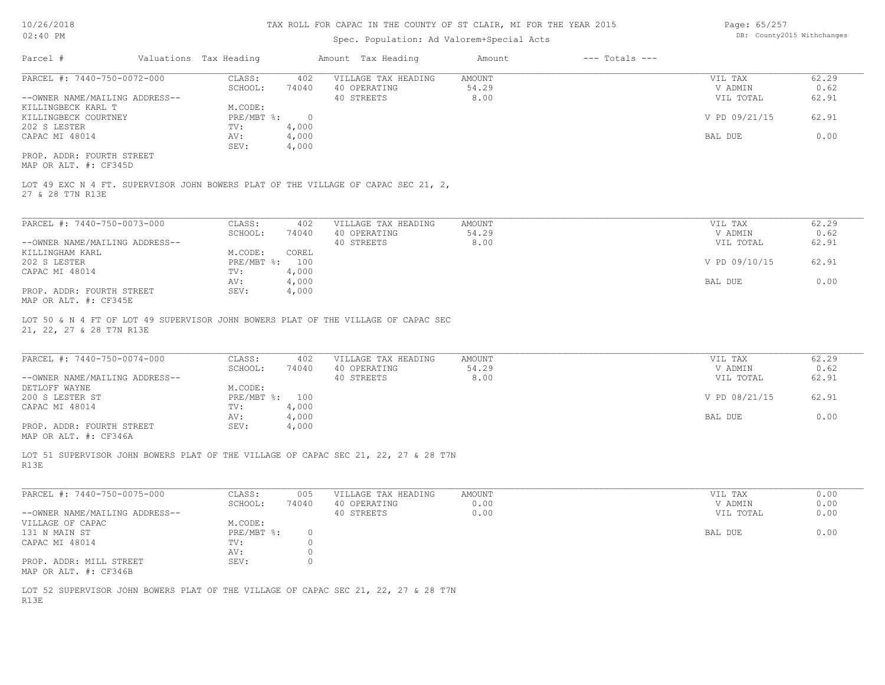## Spec. Population: Ad Valorem+Special Acts

Page: 65/257 DB: County2015 Withchanges

| Parcel #                       | Valuations Tax Heading |       | Amount Tax Heading  | Amount | $---$ Totals $---$ |               |       |
|--------------------------------|------------------------|-------|---------------------|--------|--------------------|---------------|-------|
| PARCEL #: 7440-750-0072-000    | CLASS:                 | 402   | VILLAGE TAX HEADING | AMOUNT |                    | VIL TAX       | 62.29 |
|                                | SCHOOL:                | 74040 | 40 OPERATING        | 54.29  |                    | V ADMIN       | 0.62  |
| --OWNER NAME/MAILING ADDRESS-- |                        |       | 40 STREETS          | 8.00   |                    | VIL TOTAL     | 62.91 |
| KILLINGBECK KARL T             | M.CODE:                |       |                     |        |                    |               |       |
| KILLINGBECK COURTNEY           | PRE/MBT %:             |       |                     |        |                    | V PD 09/21/15 | 62.91 |
| 202 S LESTER                   | TV:                    | 4,000 |                     |        |                    |               |       |
| CAPAC MI 48014                 | AV:                    | 4,000 |                     |        |                    | BAL DUE       | 0.00  |
|                                | SEV:                   | 4,000 |                     |        |                    |               |       |
| PROP. ADDR: FOURTH STREET      |                        |       |                     |        |                    |               |       |

MAP OR ALT. #: CF345D

27 & 28 T7N R13E LOT 49 EXC N 4 FT. SUPERVISOR JOHN BOWERS PLAT OF THE VILLAGE OF CAPAC SEC 21, 2,

| PARCEL #: 7440-750-0073-000    | CLASS:     | 402   | VILLAGE TAX HEADING | AMOUNT | VIL TAX       | 62.29 |
|--------------------------------|------------|-------|---------------------|--------|---------------|-------|
|                                | SCHOOL:    | 74040 | 40 OPERATING        | 54.29  | V ADMIN       | 0.62  |
| --OWNER NAME/MAILING ADDRESS-- |            |       | 40 STREETS          | 8.00   | VIL TOTAL     | 62.91 |
| KILLINGHAM KARL                | M.CODE:    | COREL |                     |        |               |       |
| 202 S LESTER                   | PRE/MBT %: | 100   |                     |        | V PD 09/10/15 | 62.91 |
| CAPAC MI 48014                 | TV:        | 4,000 |                     |        |               |       |
|                                | AV:        | 4,000 |                     |        | BAL DUE       | 0.00  |
| PROP. ADDR: FOURTH STREET      | SEV:       | 4,000 |                     |        |               |       |
| $\frac{1}{2}$                  |            |       |                     |        |               |       |

MAP OR ALT. #: CF345E

21, 22, 27 & 28 T7N R13E LOT 50 & N 4 FT OF LOT 49 SUPERVISOR JOHN BOWERS PLAT OF THE VILLAGE OF CAPAC SEC

| PARCEL #: 7440-750-0074-000    | CLASS:       | 402   | VILLAGE TAX HEADING | AMOUNT | VIL TAX       | 62.29 |
|--------------------------------|--------------|-------|---------------------|--------|---------------|-------|
|                                | SCHOOL:      | 74040 | 40 OPERATING        | 54.29  | V ADMIN       | 0.62  |
| --OWNER NAME/MAILING ADDRESS-- |              |       | 40 STREETS          | 8.00   | VIL TOTAL     | 62.91 |
| DETLOFF WAYNE                  | M.CODE:      |       |                     |        |               |       |
| 200 S LESTER ST                | $PRE/MBT$ %: | 100   |                     |        | V PD 08/21/15 | 62.91 |
| CAPAC MI 48014                 | TV:          | 4,000 |                     |        |               |       |
|                                | AV:          | 4,000 |                     |        | BAL DUE       | 0.00  |
| PROP. ADDR: FOURTH STREET      | SEV:         | 4,000 |                     |        |               |       |
|                                |              |       |                     |        |               |       |

 $\mathcal{L}_\mathcal{L} = \mathcal{L}_\mathcal{L} = \mathcal{L}_\mathcal{L} = \mathcal{L}_\mathcal{L} = \mathcal{L}_\mathcal{L} = \mathcal{L}_\mathcal{L} = \mathcal{L}_\mathcal{L} = \mathcal{L}_\mathcal{L} = \mathcal{L}_\mathcal{L} = \mathcal{L}_\mathcal{L} = \mathcal{L}_\mathcal{L} = \mathcal{L}_\mathcal{L} = \mathcal{L}_\mathcal{L} = \mathcal{L}_\mathcal{L} = \mathcal{L}_\mathcal{L} = \mathcal{L}_\mathcal{L} = \mathcal{L}_\mathcal{L}$ 

MAP OR ALT. #: CF346A

R13E LOT 51 SUPERVISOR JOHN BOWERS PLAT OF THE VILLAGE OF CAPAC SEC 21, 22, 27 & 28 T7N

| PARCEL #: 7440-750-0075-000    | CLASS:       | 005   | VILLAGE TAX HEADING | AMOUNT | VIL TAX   | 0.00 |
|--------------------------------|--------------|-------|---------------------|--------|-----------|------|
|                                | SCHOOL:      | 74040 | 40 OPERATING        | 0.00   | V ADMIN   | 0.00 |
| --OWNER NAME/MAILING ADDRESS-- |              |       | 40 STREETS          | 0.00   | VIL TOTAL | 0.00 |
| VILLAGE OF CAPAC               | M.CODE:      |       |                     |        |           |      |
| 131 N MAIN ST                  | $PRE/MBT$ %: |       |                     |        | BAL DUE   | 0.00 |
| CAPAC MI 48014                 | TV:          |       |                     |        |           |      |
|                                | AV:          |       |                     |        |           |      |
| PROP. ADDR: MILL STREET        | SEV:         |       |                     |        |           |      |
| MAP OR ALT. #: CF346B          |              |       |                     |        |           |      |

R13E LOT 52 SUPERVISOR JOHN BOWERS PLAT OF THE VILLAGE OF CAPAC SEC 21, 22, 27 & 28 T7N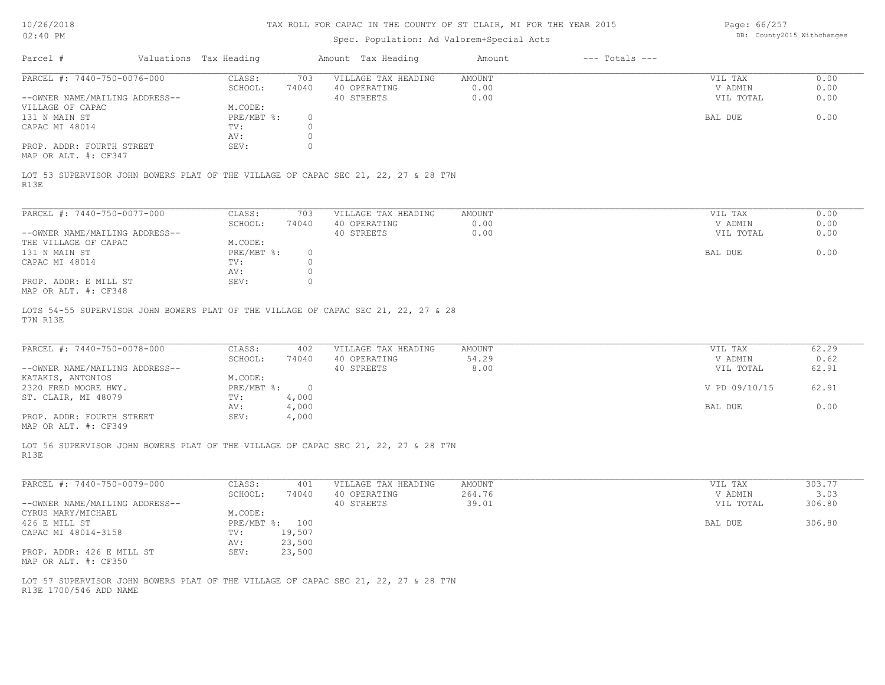| 10/26/2018                                                                                     | TAX ROLL FOR CAPAC IN THE COUNTY OF ST CLAIR, MI FOR THE YEAR 2015 |                |                                     |                                           |                    |                      | Page: 66/257               |  |
|------------------------------------------------------------------------------------------------|--------------------------------------------------------------------|----------------|-------------------------------------|-------------------------------------------|--------------------|----------------------|----------------------------|--|
| $02:40$ PM                                                                                     |                                                                    |                |                                     | Spec. Population: Ad Valorem+Special Acts |                    |                      | DB: County2015 Withchanges |  |
| Parcel #                                                                                       | Valuations Tax Heading                                             |                | Amount Tax Heading                  | Amount                                    | $---$ Totals $---$ |                      |                            |  |
| PARCEL #: 7440-750-0076-000                                                                    | CLASS:                                                             | 703            | VILLAGE TAX HEADING                 | <b>AMOUNT</b><br>0.00                     |                    | VIL TAX              | 0.00                       |  |
| --OWNER NAME/MAILING ADDRESS--                                                                 | SCHOOL:                                                            | 74040          | 40 OPERATING<br>40 STREETS          | 0.00                                      |                    | V ADMIN<br>VIL TOTAL | 0.00<br>0.00               |  |
| VILLAGE OF CAPAC                                                                               | M.CODE:                                                            |                |                                     |                                           |                    |                      |                            |  |
| 131 N MAIN ST                                                                                  | $PRE/MBT$ %:                                                       | $\circ$        |                                     |                                           |                    | BAL DUE              | 0.00                       |  |
| CAPAC MI 48014                                                                                 | TV:                                                                | $\circ$        |                                     |                                           |                    |                      |                            |  |
|                                                                                                | AV:                                                                | $\circ$        |                                     |                                           |                    |                      |                            |  |
| PROP. ADDR: FOURTH STREET<br>MAP OR ALT. #: CF347                                              | SEV:                                                               | $\Omega$       |                                     |                                           |                    |                      |                            |  |
| LOT 53 SUPERVISOR JOHN BOWERS PLAT OF THE VILLAGE OF CAPAC SEC 21, 22, 27 & 28 T7N<br>R13E     |                                                                    |                |                                     |                                           |                    |                      |                            |  |
|                                                                                                |                                                                    |                |                                     |                                           |                    |                      |                            |  |
| PARCEL #: 7440-750-0077-000                                                                    | CLASS:                                                             | 703            | VILLAGE TAX HEADING                 | <b>AMOUNT</b>                             |                    | VIL TAX              | 0.00                       |  |
|                                                                                                | SCHOOL:                                                            | 74040          | 40 OPERATING                        | 0.00                                      |                    | V ADMIN              | 0.00                       |  |
| --OWNER NAME/MAILING ADDRESS--                                                                 |                                                                    |                | 40 STREETS                          | 0.00                                      |                    | VIL TOTAL            | 0.00                       |  |
| THE VILLAGE OF CAPAC                                                                           | M.CODE:                                                            |                |                                     |                                           |                    |                      |                            |  |
| 131 N MAIN ST                                                                                  | PRE/MBT %:                                                         | $\circ$        |                                     |                                           |                    | BAL DUE              | 0.00                       |  |
| CAPAC MI 48014                                                                                 | TV:                                                                | $\circ$        |                                     |                                           |                    |                      |                            |  |
|                                                                                                | AV:                                                                | $\circ$        |                                     |                                           |                    |                      |                            |  |
| PROP. ADDR: E MILL ST<br>MAP OR ALT. #: CF348                                                  | SEV:                                                               | $\circ$        |                                     |                                           |                    |                      |                            |  |
| LOTS 54-55 SUPERVISOR JOHN BOWERS PLAT OF THE VILLAGE OF CAPAC SEC 21, 22, 27 & 28<br>T7N R13E |                                                                    |                |                                     |                                           |                    |                      |                            |  |
| PARCEL #: 7440-750-0078-000                                                                    | CLASS:                                                             | 402            | VILLAGE TAX HEADING<br>40 OPERATING | <b>AMOUNT</b><br>54.29                    |                    | VIL TAX              | 62.29<br>0.62              |  |
| --OWNER NAME/MAILING ADDRESS--                                                                 | SCHOOL:                                                            | 74040          | 40 STREETS                          | 8.00                                      |                    | V ADMIN<br>VIL TOTAL | 62.91                      |  |
| KATAKIS, ANTONIOS                                                                              | M.CODE:                                                            |                |                                     |                                           |                    |                      |                            |  |
| 2320 FRED MOORE HWY.                                                                           | PRE/MBT %:                                                         | $\overline{0}$ |                                     |                                           |                    | V PD 09/10/15        | 62.91                      |  |
| ST. CLAIR, MI 48079                                                                            | TV:                                                                | 4,000          |                                     |                                           |                    |                      |                            |  |
|                                                                                                | AV:                                                                | 4,000          |                                     |                                           |                    | BAL DUE              | 0.00                       |  |
| PROP. ADDR: FOURTH STREET<br>MAP OR ALT. #: CF349                                              | SEV:                                                               | 4,000          |                                     |                                           |                    |                      |                            |  |
| LOT 56 SUPERVISOR JOHN BOWERS PLAT OF THE VILLAGE OF CAPAC SEC 21, 22, 27 & 28 T7N<br>R13E     |                                                                    |                |                                     |                                           |                    |                      |                            |  |
| PARCEL #: 7440-750-0079-000                                                                    | CLASS:                                                             | 401            | VILLAGE TAX HEADING                 | AMOUNT                                    |                    | VIL TAX              | 303.77                     |  |
|                                                                                                | SCHOOL:                                                            | 74040          | 40 OPERATING                        | 264.76                                    |                    | V ADMIN              | 3.03                       |  |
| --OWNER NAME/MAILING ADDRESS--                                                                 |                                                                    |                | 40 STREETS                          | 39.01                                     |                    | VIL TOTAL            | 306.80                     |  |
| CYRUS MARY/MICHAEL                                                                             | M.CODE:                                                            |                |                                     |                                           |                    |                      |                            |  |
| 426 E MILL ST                                                                                  | PRE/MBT %: 100                                                     |                |                                     |                                           |                    | BAL DUE              | 306.80                     |  |
| CAPAC MI 48014-3158                                                                            | TV:                                                                | 19,507         |                                     |                                           |                    |                      |                            |  |
|                                                                                                | AV:                                                                | 23,500         |                                     |                                           |                    |                      |                            |  |
|                                                                                                | SEV:                                                               | 23,500         |                                     |                                           |                    |                      |                            |  |
| PROP. ADDR: 426 E MILL ST<br>MAP OR ALT. #: CF350                                              |                                                                    |                |                                     |                                           |                    |                      |                            |  |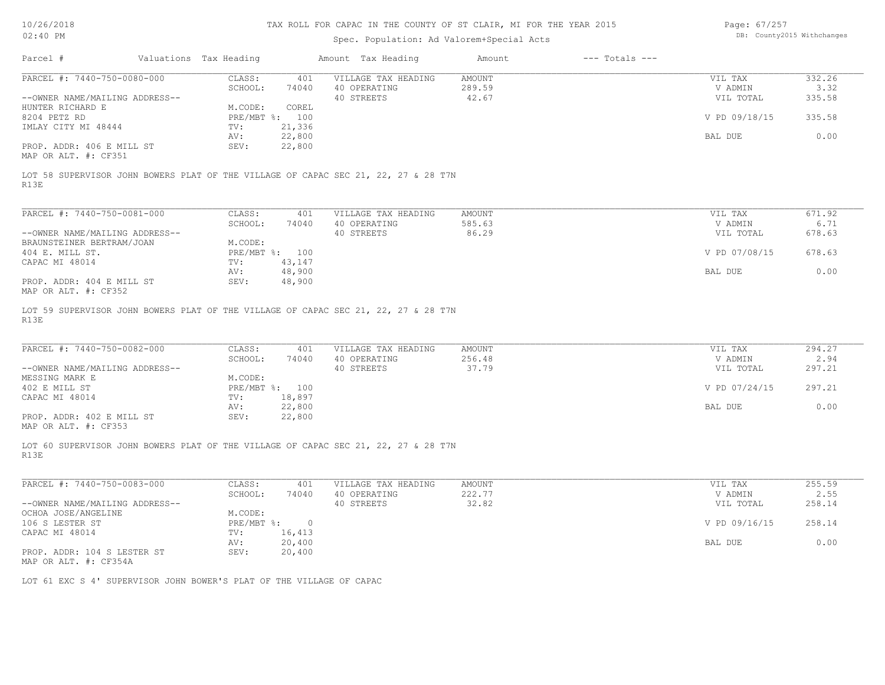Page: DB: County2015 Withchanges 67/257

| Parcel #<br>Valuations Tax Heading<br>Amount Tax Heading<br>Amount<br>$---$ Totals $---$<br>PARCEL #: 7440-750-0080-000<br>CLASS:<br>401<br>VILLAGE TAX HEADING<br><b>AMOUNT</b><br>VIL TAX<br>332.26<br>289.59<br>SCHOOL:<br>74040<br>40 OPERATING<br>V ADMIN<br>3.32<br>42.67<br>--OWNER NAME/MAILING ADDRESS--<br>40 STREETS<br>335.58<br>VIL TOTAL<br>M.CODE:<br>COREL<br>HUNTER RICHARD E<br>PRE/MBT %: 100<br>V PD 09/18/15<br>8204 PETZ RD<br>335.58<br>IMLAY CITY MI 48444<br>TV:<br>21,336<br>22,800<br>0.00<br>BAL DUE<br>AV:<br>22,800<br>PROP. ADDR: 406 E MILL ST<br>SEV:<br>MAP OR ALT. #: CF351<br>LOT 58 SUPERVISOR JOHN BOWERS PLAT OF THE VILLAGE OF CAPAC SEC 21, 22, 27 & 28 T7N<br>R13E<br>PARCEL #: 7440-750-0081-000<br>CLASS:<br>671.92<br>401<br>VILLAGE TAX HEADING<br>AMOUNT<br>VIL TAX<br>SCHOOL:<br>40 OPERATING<br>585.63<br>V ADMIN<br>6.71<br>74040<br>--OWNER NAME/MAILING ADDRESS--<br>40 STREETS<br>86.29<br>VIL TOTAL<br>678.63<br>BRAUNSTEINER BERTRAM/JOAN<br>M.CODE:<br>404 E. MILL ST.<br>PRE/MBT %: 100<br>V PD 07/08/15<br>678.63<br>CAPAC MI 48014<br>TV:<br>43,147<br>48,900<br>0.00<br>BAL DUE<br>AV:<br>PROP. ADDR: 404 E MILL ST<br>SEV:<br>48,900<br>MAP OR ALT. #: CF352<br>LOT 59 SUPERVISOR JOHN BOWERS PLAT OF THE VILLAGE OF CAPAC SEC 21, 22, 27 & 28 T7N<br>R13E<br>PARCEL #: 7440-750-0082-000<br>CLASS:<br>VILLAGE TAX HEADING<br><b>AMOUNT</b><br>VIL TAX<br>294.27<br>401<br>40 OPERATING<br>256.48<br>2.94<br>SCHOOL:<br>74040<br>V ADMIN<br>40 STREETS<br>37.79<br>--OWNER NAME/MAILING ADDRESS--<br>297.21<br>VIL TOTAL<br>M.CODE:<br>MESSING MARK E<br>297.21<br>402 E MILL ST<br>PRE/MBT %: 100<br>V PD 07/24/15<br>18,897<br>CAPAC MI 48014<br>TV:<br>22,800<br>0.00<br>AV:<br>BAL DUE<br>PROP. ADDR: 402 E MILL ST<br>SEV:<br>22,800<br>MAP OR ALT. #: CF353<br>LOT 60 SUPERVISOR JOHN BOWERS PLAT OF THE VILLAGE OF CAPAC SEC 21, 22, 27 & 28 T7N<br>R13E<br>PARCEL #: 7440-750-0083-000<br>CLASS:<br>VILLAGE TAX HEADING<br>255.59<br>401<br>AMOUNT<br>VIL TAX<br>2.55<br>SCHOOL:<br>40 OPERATING<br>222.77<br>V ADMIN<br>74040<br>40 STREETS<br>32.82<br>VIL TOTAL<br>258.14<br>--OWNER NAME/MAILING ADDRESS--<br>M.CODE:<br>OCHOA JOSE/ANGELINE<br>258.14<br>106 S LESTER ST<br>$PRE/MBT$ $\div$<br>V PD 09/16/15<br>$\overline{0}$<br>TV: 16,413<br>CAPAC MI 48014<br>20,400<br>0.00<br>AV:<br>BAL DUE<br>SEV:<br>20,400<br>PROP. ADDR: 104 S LESTER ST<br>MAP OR ALT. #: CF354A | LOT 61 EXC S 4' SUPERVISOR JOHN BOWER'S PLAT OF THE VILLAGE OF CAPAC | $02:40$ PM |  | Spec. Population: Ad Valorem+Special Acts |  |  |  |
|---------------------------------------------------------------------------------------------------------------------------------------------------------------------------------------------------------------------------------------------------------------------------------------------------------------------------------------------------------------------------------------------------------------------------------------------------------------------------------------------------------------------------------------------------------------------------------------------------------------------------------------------------------------------------------------------------------------------------------------------------------------------------------------------------------------------------------------------------------------------------------------------------------------------------------------------------------------------------------------------------------------------------------------------------------------------------------------------------------------------------------------------------------------------------------------------------------------------------------------------------------------------------------------------------------------------------------------------------------------------------------------------------------------------------------------------------------------------------------------------------------------------------------------------------------------------------------------------------------------------------------------------------------------------------------------------------------------------------------------------------------------------------------------------------------------------------------------------------------------------------------------------------------------------------------------------------------------------------------------------------------------------------------------------------------------------------------------------------------------------------------------------------------------------------------------------------------------------------------------------------------------------------------------------------------------------------------------------------------------------------------------------------------------------------------------------------------|----------------------------------------------------------------------|------------|--|-------------------------------------------|--|--|--|
|                                                                                                                                                                                                                                                                                                                                                                                                                                                                                                                                                                                                                                                                                                                                                                                                                                                                                                                                                                                                                                                                                                                                                                                                                                                                                                                                                                                                                                                                                                                                                                                                                                                                                                                                                                                                                                                                                                                                                                                                                                                                                                                                                                                                                                                                                                                                                                                                                                                         |                                                                      |            |  |                                           |  |  |  |
|                                                                                                                                                                                                                                                                                                                                                                                                                                                                                                                                                                                                                                                                                                                                                                                                                                                                                                                                                                                                                                                                                                                                                                                                                                                                                                                                                                                                                                                                                                                                                                                                                                                                                                                                                                                                                                                                                                                                                                                                                                                                                                                                                                                                                                                                                                                                                                                                                                                         |                                                                      |            |  |                                           |  |  |  |
|                                                                                                                                                                                                                                                                                                                                                                                                                                                                                                                                                                                                                                                                                                                                                                                                                                                                                                                                                                                                                                                                                                                                                                                                                                                                                                                                                                                                                                                                                                                                                                                                                                                                                                                                                                                                                                                                                                                                                                                                                                                                                                                                                                                                                                                                                                                                                                                                                                                         |                                                                      |            |  |                                           |  |  |  |
|                                                                                                                                                                                                                                                                                                                                                                                                                                                                                                                                                                                                                                                                                                                                                                                                                                                                                                                                                                                                                                                                                                                                                                                                                                                                                                                                                                                                                                                                                                                                                                                                                                                                                                                                                                                                                                                                                                                                                                                                                                                                                                                                                                                                                                                                                                                                                                                                                                                         |                                                                      |            |  |                                           |  |  |  |
|                                                                                                                                                                                                                                                                                                                                                                                                                                                                                                                                                                                                                                                                                                                                                                                                                                                                                                                                                                                                                                                                                                                                                                                                                                                                                                                                                                                                                                                                                                                                                                                                                                                                                                                                                                                                                                                                                                                                                                                                                                                                                                                                                                                                                                                                                                                                                                                                                                                         |                                                                      |            |  |                                           |  |  |  |
|                                                                                                                                                                                                                                                                                                                                                                                                                                                                                                                                                                                                                                                                                                                                                                                                                                                                                                                                                                                                                                                                                                                                                                                                                                                                                                                                                                                                                                                                                                                                                                                                                                                                                                                                                                                                                                                                                                                                                                                                                                                                                                                                                                                                                                                                                                                                                                                                                                                         |                                                                      |            |  |                                           |  |  |  |
|                                                                                                                                                                                                                                                                                                                                                                                                                                                                                                                                                                                                                                                                                                                                                                                                                                                                                                                                                                                                                                                                                                                                                                                                                                                                                                                                                                                                                                                                                                                                                                                                                                                                                                                                                                                                                                                                                                                                                                                                                                                                                                                                                                                                                                                                                                                                                                                                                                                         |                                                                      |            |  |                                           |  |  |  |
|                                                                                                                                                                                                                                                                                                                                                                                                                                                                                                                                                                                                                                                                                                                                                                                                                                                                                                                                                                                                                                                                                                                                                                                                                                                                                                                                                                                                                                                                                                                                                                                                                                                                                                                                                                                                                                                                                                                                                                                                                                                                                                                                                                                                                                                                                                                                                                                                                                                         |                                                                      |            |  |                                           |  |  |  |
|                                                                                                                                                                                                                                                                                                                                                                                                                                                                                                                                                                                                                                                                                                                                                                                                                                                                                                                                                                                                                                                                                                                                                                                                                                                                                                                                                                                                                                                                                                                                                                                                                                                                                                                                                                                                                                                                                                                                                                                                                                                                                                                                                                                                                                                                                                                                                                                                                                                         |                                                                      |            |  |                                           |  |  |  |
|                                                                                                                                                                                                                                                                                                                                                                                                                                                                                                                                                                                                                                                                                                                                                                                                                                                                                                                                                                                                                                                                                                                                                                                                                                                                                                                                                                                                                                                                                                                                                                                                                                                                                                                                                                                                                                                                                                                                                                                                                                                                                                                                                                                                                                                                                                                                                                                                                                                         |                                                                      |            |  |                                           |  |  |  |
|                                                                                                                                                                                                                                                                                                                                                                                                                                                                                                                                                                                                                                                                                                                                                                                                                                                                                                                                                                                                                                                                                                                                                                                                                                                                                                                                                                                                                                                                                                                                                                                                                                                                                                                                                                                                                                                                                                                                                                                                                                                                                                                                                                                                                                                                                                                                                                                                                                                         |                                                                      |            |  |                                           |  |  |  |
|                                                                                                                                                                                                                                                                                                                                                                                                                                                                                                                                                                                                                                                                                                                                                                                                                                                                                                                                                                                                                                                                                                                                                                                                                                                                                                                                                                                                                                                                                                                                                                                                                                                                                                                                                                                                                                                                                                                                                                                                                                                                                                                                                                                                                                                                                                                                                                                                                                                         |                                                                      |            |  |                                           |  |  |  |
|                                                                                                                                                                                                                                                                                                                                                                                                                                                                                                                                                                                                                                                                                                                                                                                                                                                                                                                                                                                                                                                                                                                                                                                                                                                                                                                                                                                                                                                                                                                                                                                                                                                                                                                                                                                                                                                                                                                                                                                                                                                                                                                                                                                                                                                                                                                                                                                                                                                         |                                                                      |            |  |                                           |  |  |  |
|                                                                                                                                                                                                                                                                                                                                                                                                                                                                                                                                                                                                                                                                                                                                                                                                                                                                                                                                                                                                                                                                                                                                                                                                                                                                                                                                                                                                                                                                                                                                                                                                                                                                                                                                                                                                                                                                                                                                                                                                                                                                                                                                                                                                                                                                                                                                                                                                                                                         |                                                                      |            |  |                                           |  |  |  |
|                                                                                                                                                                                                                                                                                                                                                                                                                                                                                                                                                                                                                                                                                                                                                                                                                                                                                                                                                                                                                                                                                                                                                                                                                                                                                                                                                                                                                                                                                                                                                                                                                                                                                                                                                                                                                                                                                                                                                                                                                                                                                                                                                                                                                                                                                                                                                                                                                                                         |                                                                      |            |  |                                           |  |  |  |
|                                                                                                                                                                                                                                                                                                                                                                                                                                                                                                                                                                                                                                                                                                                                                                                                                                                                                                                                                                                                                                                                                                                                                                                                                                                                                                                                                                                                                                                                                                                                                                                                                                                                                                                                                                                                                                                                                                                                                                                                                                                                                                                                                                                                                                                                                                                                                                                                                                                         |                                                                      |            |  |                                           |  |  |  |
|                                                                                                                                                                                                                                                                                                                                                                                                                                                                                                                                                                                                                                                                                                                                                                                                                                                                                                                                                                                                                                                                                                                                                                                                                                                                                                                                                                                                                                                                                                                                                                                                                                                                                                                                                                                                                                                                                                                                                                                                                                                                                                                                                                                                                                                                                                                                                                                                                                                         |                                                                      |            |  |                                           |  |  |  |
|                                                                                                                                                                                                                                                                                                                                                                                                                                                                                                                                                                                                                                                                                                                                                                                                                                                                                                                                                                                                                                                                                                                                                                                                                                                                                                                                                                                                                                                                                                                                                                                                                                                                                                                                                                                                                                                                                                                                                                                                                                                                                                                                                                                                                                                                                                                                                                                                                                                         |                                                                      |            |  |                                           |  |  |  |
|                                                                                                                                                                                                                                                                                                                                                                                                                                                                                                                                                                                                                                                                                                                                                                                                                                                                                                                                                                                                                                                                                                                                                                                                                                                                                                                                                                                                                                                                                                                                                                                                                                                                                                                                                                                                                                                                                                                                                                                                                                                                                                                                                                                                                                                                                                                                                                                                                                                         |                                                                      |            |  |                                           |  |  |  |
|                                                                                                                                                                                                                                                                                                                                                                                                                                                                                                                                                                                                                                                                                                                                                                                                                                                                                                                                                                                                                                                                                                                                                                                                                                                                                                                                                                                                                                                                                                                                                                                                                                                                                                                                                                                                                                                                                                                                                                                                                                                                                                                                                                                                                                                                                                                                                                                                                                                         |                                                                      |            |  |                                           |  |  |  |
|                                                                                                                                                                                                                                                                                                                                                                                                                                                                                                                                                                                                                                                                                                                                                                                                                                                                                                                                                                                                                                                                                                                                                                                                                                                                                                                                                                                                                                                                                                                                                                                                                                                                                                                                                                                                                                                                                                                                                                                                                                                                                                                                                                                                                                                                                                                                                                                                                                                         |                                                                      |            |  |                                           |  |  |  |
|                                                                                                                                                                                                                                                                                                                                                                                                                                                                                                                                                                                                                                                                                                                                                                                                                                                                                                                                                                                                                                                                                                                                                                                                                                                                                                                                                                                                                                                                                                                                                                                                                                                                                                                                                                                                                                                                                                                                                                                                                                                                                                                                                                                                                                                                                                                                                                                                                                                         |                                                                      |            |  |                                           |  |  |  |
|                                                                                                                                                                                                                                                                                                                                                                                                                                                                                                                                                                                                                                                                                                                                                                                                                                                                                                                                                                                                                                                                                                                                                                                                                                                                                                                                                                                                                                                                                                                                                                                                                                                                                                                                                                                                                                                                                                                                                                                                                                                                                                                                                                                                                                                                                                                                                                                                                                                         |                                                                      |            |  |                                           |  |  |  |
|                                                                                                                                                                                                                                                                                                                                                                                                                                                                                                                                                                                                                                                                                                                                                                                                                                                                                                                                                                                                                                                                                                                                                                                                                                                                                                                                                                                                                                                                                                                                                                                                                                                                                                                                                                                                                                                                                                                                                                                                                                                                                                                                                                                                                                                                                                                                                                                                                                                         |                                                                      |            |  |                                           |  |  |  |
|                                                                                                                                                                                                                                                                                                                                                                                                                                                                                                                                                                                                                                                                                                                                                                                                                                                                                                                                                                                                                                                                                                                                                                                                                                                                                                                                                                                                                                                                                                                                                                                                                                                                                                                                                                                                                                                                                                                                                                                                                                                                                                                                                                                                                                                                                                                                                                                                                                                         |                                                                      |            |  |                                           |  |  |  |
|                                                                                                                                                                                                                                                                                                                                                                                                                                                                                                                                                                                                                                                                                                                                                                                                                                                                                                                                                                                                                                                                                                                                                                                                                                                                                                                                                                                                                                                                                                                                                                                                                                                                                                                                                                                                                                                                                                                                                                                                                                                                                                                                                                                                                                                                                                                                                                                                                                                         |                                                                      |            |  |                                           |  |  |  |
|                                                                                                                                                                                                                                                                                                                                                                                                                                                                                                                                                                                                                                                                                                                                                                                                                                                                                                                                                                                                                                                                                                                                                                                                                                                                                                                                                                                                                                                                                                                                                                                                                                                                                                                                                                                                                                                                                                                                                                                                                                                                                                                                                                                                                                                                                                                                                                                                                                                         |                                                                      |            |  |                                           |  |  |  |
|                                                                                                                                                                                                                                                                                                                                                                                                                                                                                                                                                                                                                                                                                                                                                                                                                                                                                                                                                                                                                                                                                                                                                                                                                                                                                                                                                                                                                                                                                                                                                                                                                                                                                                                                                                                                                                                                                                                                                                                                                                                                                                                                                                                                                                                                                                                                                                                                                                                         |                                                                      |            |  |                                           |  |  |  |
|                                                                                                                                                                                                                                                                                                                                                                                                                                                                                                                                                                                                                                                                                                                                                                                                                                                                                                                                                                                                                                                                                                                                                                                                                                                                                                                                                                                                                                                                                                                                                                                                                                                                                                                                                                                                                                                                                                                                                                                                                                                                                                                                                                                                                                                                                                                                                                                                                                                         |                                                                      |            |  |                                           |  |  |  |
|                                                                                                                                                                                                                                                                                                                                                                                                                                                                                                                                                                                                                                                                                                                                                                                                                                                                                                                                                                                                                                                                                                                                                                                                                                                                                                                                                                                                                                                                                                                                                                                                                                                                                                                                                                                                                                                                                                                                                                                                                                                                                                                                                                                                                                                                                                                                                                                                                                                         |                                                                      |            |  |                                           |  |  |  |
|                                                                                                                                                                                                                                                                                                                                                                                                                                                                                                                                                                                                                                                                                                                                                                                                                                                                                                                                                                                                                                                                                                                                                                                                                                                                                                                                                                                                                                                                                                                                                                                                                                                                                                                                                                                                                                                                                                                                                                                                                                                                                                                                                                                                                                                                                                                                                                                                                                                         |                                                                      |            |  |                                           |  |  |  |
|                                                                                                                                                                                                                                                                                                                                                                                                                                                                                                                                                                                                                                                                                                                                                                                                                                                                                                                                                                                                                                                                                                                                                                                                                                                                                                                                                                                                                                                                                                                                                                                                                                                                                                                                                                                                                                                                                                                                                                                                                                                                                                                                                                                                                                                                                                                                                                                                                                                         |                                                                      |            |  |                                           |  |  |  |
|                                                                                                                                                                                                                                                                                                                                                                                                                                                                                                                                                                                                                                                                                                                                                                                                                                                                                                                                                                                                                                                                                                                                                                                                                                                                                                                                                                                                                                                                                                                                                                                                                                                                                                                                                                                                                                                                                                                                                                                                                                                                                                                                                                                                                                                                                                                                                                                                                                                         |                                                                      |            |  |                                           |  |  |  |
|                                                                                                                                                                                                                                                                                                                                                                                                                                                                                                                                                                                                                                                                                                                                                                                                                                                                                                                                                                                                                                                                                                                                                                                                                                                                                                                                                                                                                                                                                                                                                                                                                                                                                                                                                                                                                                                                                                                                                                                                                                                                                                                                                                                                                                                                                                                                                                                                                                                         |                                                                      |            |  |                                           |  |  |  |
|                                                                                                                                                                                                                                                                                                                                                                                                                                                                                                                                                                                                                                                                                                                                                                                                                                                                                                                                                                                                                                                                                                                                                                                                                                                                                                                                                                                                                                                                                                                                                                                                                                                                                                                                                                                                                                                                                                                                                                                                                                                                                                                                                                                                                                                                                                                                                                                                                                                         |                                                                      |            |  |                                           |  |  |  |
|                                                                                                                                                                                                                                                                                                                                                                                                                                                                                                                                                                                                                                                                                                                                                                                                                                                                                                                                                                                                                                                                                                                                                                                                                                                                                                                                                                                                                                                                                                                                                                                                                                                                                                                                                                                                                                                                                                                                                                                                                                                                                                                                                                                                                                                                                                                                                                                                                                                         |                                                                      |            |  |                                           |  |  |  |
|                                                                                                                                                                                                                                                                                                                                                                                                                                                                                                                                                                                                                                                                                                                                                                                                                                                                                                                                                                                                                                                                                                                                                                                                                                                                                                                                                                                                                                                                                                                                                                                                                                                                                                                                                                                                                                                                                                                                                                                                                                                                                                                                                                                                                                                                                                                                                                                                                                                         |                                                                      |            |  |                                           |  |  |  |
|                                                                                                                                                                                                                                                                                                                                                                                                                                                                                                                                                                                                                                                                                                                                                                                                                                                                                                                                                                                                                                                                                                                                                                                                                                                                                                                                                                                                                                                                                                                                                                                                                                                                                                                                                                                                                                                                                                                                                                                                                                                                                                                                                                                                                                                                                                                                                                                                                                                         |                                                                      |            |  |                                           |  |  |  |
|                                                                                                                                                                                                                                                                                                                                                                                                                                                                                                                                                                                                                                                                                                                                                                                                                                                                                                                                                                                                                                                                                                                                                                                                                                                                                                                                                                                                                                                                                                                                                                                                                                                                                                                                                                                                                                                                                                                                                                                                                                                                                                                                                                                                                                                                                                                                                                                                                                                         |                                                                      |            |  |                                           |  |  |  |
|                                                                                                                                                                                                                                                                                                                                                                                                                                                                                                                                                                                                                                                                                                                                                                                                                                                                                                                                                                                                                                                                                                                                                                                                                                                                                                                                                                                                                                                                                                                                                                                                                                                                                                                                                                                                                                                                                                                                                                                                                                                                                                                                                                                                                                                                                                                                                                                                                                                         |                                                                      |            |  |                                           |  |  |  |
|                                                                                                                                                                                                                                                                                                                                                                                                                                                                                                                                                                                                                                                                                                                                                                                                                                                                                                                                                                                                                                                                                                                                                                                                                                                                                                                                                                                                                                                                                                                                                                                                                                                                                                                                                                                                                                                                                                                                                                                                                                                                                                                                                                                                                                                                                                                                                                                                                                                         |                                                                      |            |  |                                           |  |  |  |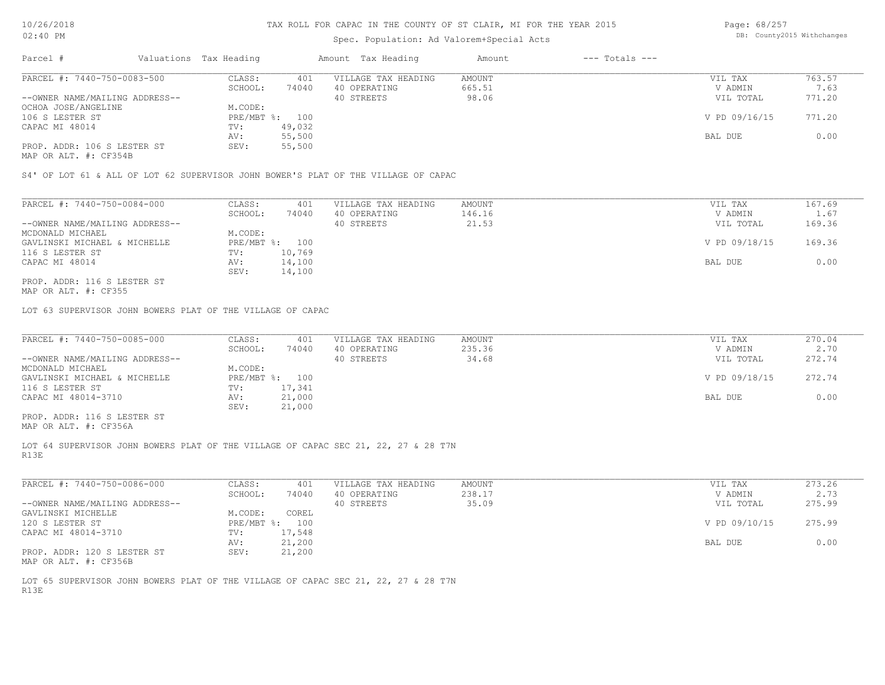## Spec. Population: Ad Valorem+Special Acts

| Page: 68/257 |                            |
|--------------|----------------------------|
|              | DB: County2015 Withchanges |

| Parcel #                       | Valuations Tax Heading |        | Amount Tax Heading  | Amount | $---$ Totals $---$ |               |        |
|--------------------------------|------------------------|--------|---------------------|--------|--------------------|---------------|--------|
| PARCEL #: 7440-750-0083-500    | CLASS:                 | 401    | VILLAGE TAX HEADING | AMOUNT |                    | VIL TAX       | 763.57 |
|                                | SCHOOL:                | 74040  | 40 OPERATING        | 665.51 |                    | V ADMIN       | 7.63   |
| --OWNER NAME/MAILING ADDRESS-- |                        |        | 40 STREETS          | 98.06  |                    | VIL TOTAL     | 771.20 |
| OCHOA JOSE/ANGELINE            | M.CODE:                |        |                     |        |                    |               |        |
| 106 S LESTER ST                | PRE/MBT %: 100         |        |                     |        |                    | V PD 09/16/15 | 771.20 |
| CAPAC MI 48014                 | TV:                    | 49,032 |                     |        |                    |               |        |
|                                | AV:                    | 55,500 |                     |        |                    | BAL DUE       | 0.00   |
| PROP. ADDR: 106 S LESTER ST    | SEV:                   | 55,500 |                     |        |                    |               |        |
|                                |                        |        |                     |        |                    |               |        |

MAP OR ALT. #: CF354B

S4' OF LOT 61 & ALL OF LOT 62 SUPERVISOR JOHN BOWER'S PLAT OF THE VILLAGE OF CAPAC

| PARCEL #: 7440-750-0084-000    | CLASS:  | 401            | VILLAGE TAX HEADING | AMOUNT | VIL TAX       | 167.69 |
|--------------------------------|---------|----------------|---------------------|--------|---------------|--------|
|                                | SCHOOL: | 74040          | 40 OPERATING        | 146.16 | V ADMIN       | 1.67   |
| --OWNER NAME/MAILING ADDRESS-- |         |                | 40 STREETS          | 21.53  | VIL TOTAL     | 169.36 |
| MCDONALD MICHAEL               | M.CODE: |                |                     |        |               |        |
| GAVLINSKI MICHAEL & MICHELLE   |         | PRE/MBT %: 100 |                     |        | V PD 09/18/15 | 169.36 |
| 116 S LESTER ST                | TV:     | 10,769         |                     |        |               |        |
| CAPAC MI 48014                 | AV:     | 14,100         |                     |        | BAL DUE       | 0.00   |
|                                | SEV:    | 14,100         |                     |        |               |        |
| PROP. ADDR: 116 S LESTER ST    |         |                |                     |        |               |        |

MAP OR ALT. #: CF355

LOT 63 SUPERVISOR JOHN BOWERS PLAT OF THE VILLAGE OF CAPAC

| PARCEL #: 7440-750-0085-000    | CLASS:         | 401    | VILLAGE TAX HEADING | AMOUNT | VIL TAX       | 270.04 |
|--------------------------------|----------------|--------|---------------------|--------|---------------|--------|
|                                | SCHOOL:        | 74040  | 40 OPERATING        | 235.36 | V ADMIN       | 2.70   |
| --OWNER NAME/MAILING ADDRESS-- |                |        | 40 STREETS          | 34.68  | VIL TOTAL     | 272.74 |
| MCDONALD MICHAEL               | M.CODE:        |        |                     |        |               |        |
| GAVLINSKI MICHAEL & MICHELLE   | PRE/MBT %: 100 |        |                     |        | V PD 09/18/15 | 272.74 |
| 116 S LESTER ST                | TV:            | 17,341 |                     |        |               |        |
| CAPAC MI 48014-3710            | AV:            | 21,000 |                     |        | BAL DUE       | 0.00   |
|                                | SEV:           | 21,000 |                     |        |               |        |
| PROP. ADDR: 116 S LESTER ST    |                |        |                     |        |               |        |

MAP OR ALT. #: CF356A

R13E LOT 64 SUPERVISOR JOHN BOWERS PLAT OF THE VILLAGE OF CAPAC SEC 21, 22, 27 & 28 T7N

| PARCEL #: 7440-750-0086-000    | CLASS:       | 401    | VILLAGE TAX HEADING | AMOUNT | VIL TAX       | 273.26 |
|--------------------------------|--------------|--------|---------------------|--------|---------------|--------|
|                                | SCHOOL:      | 74040  | 40 OPERATING        | 238.17 | V ADMIN       | 2.73   |
| --OWNER NAME/MAILING ADDRESS-- |              |        | 40 STREETS          | 35.09  | VIL TOTAL     | 275.99 |
| GAVLINSKI MICHELLE             | M.CODE:      | COREL  |                     |        |               |        |
| 120 S LESTER ST                | $PRE/MBT$ %: | 100    |                     |        | V PD 09/10/15 | 275.99 |
| CAPAC MI 48014-3710            | TV:          | 17,548 |                     |        |               |        |
|                                | AV:          | 21,200 |                     |        | BAL DUE       | 0.00   |
| PROP. ADDR: 120 S LESTER ST    | SEV:         | 21,200 |                     |        |               |        |
| MAP OR ALT. #: CF356B          |              |        |                     |        |               |        |

R13E LOT 65 SUPERVISOR JOHN BOWERS PLAT OF THE VILLAGE OF CAPAC SEC 21, 22, 27 & 28 T7N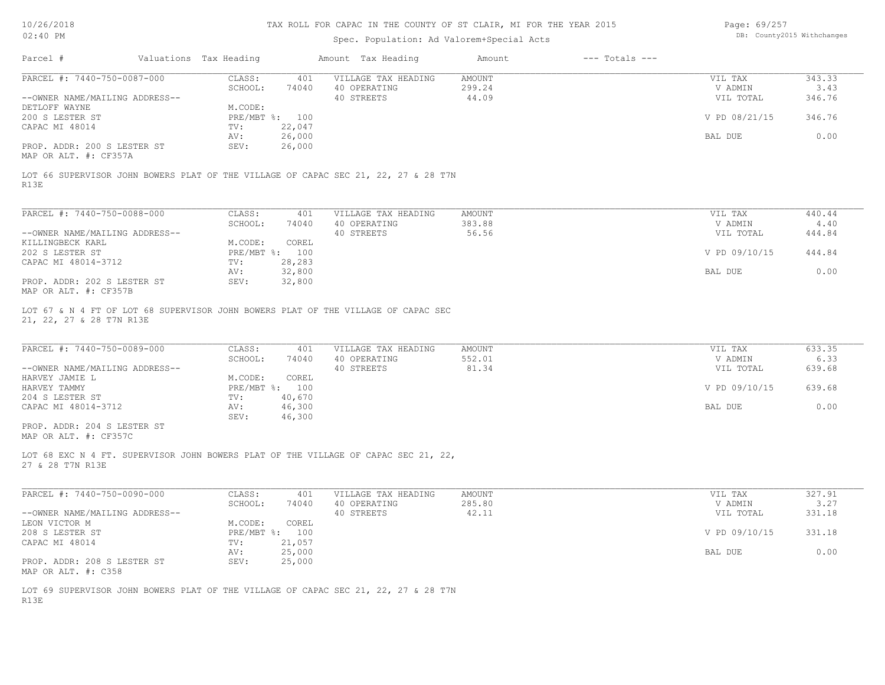# Spec. Population: Ad Valorem+Special Acts

Page: 69/257 DB: County2015 Withchanges

|                                                                                                            |                                   | Spec. Population: Ad Valorem+Special Acts |                              |                    |                |
|------------------------------------------------------------------------------------------------------------|-----------------------------------|-------------------------------------------|------------------------------|--------------------|----------------|
| Parcel #<br>Valuations Tax Heading                                                                         |                                   | Amount Tax Heading                        | $---$ Totals $---$<br>Amount |                    |                |
| PARCEL #: 7440-750-0087-000                                                                                | CLASS:<br>401                     | VILLAGE TAX HEADING                       | AMOUNT                       | VIL TAX            | 343.33         |
|                                                                                                            | SCHOOL:<br>74040                  | 40 OPERATING                              | 299.24                       | V ADMIN            | 3.43           |
| --OWNER NAME/MAILING ADDRESS--<br>DETLOFF WAYNE                                                            |                                   | 40 STREETS                                | 44.09                        | VIL TOTAL          | 346.76         |
| 200 S LESTER ST                                                                                            | M.CODE:<br>PRE/MBT %: 100         |                                           |                              | V PD 08/21/15      | 346.76         |
| CAPAC MI 48014                                                                                             | 22,047<br>TV:                     |                                           |                              |                    |                |
|                                                                                                            | 26,000<br>AV:                     |                                           |                              | BAL DUE            | 0.00           |
| PROP. ADDR: 200 S LESTER ST<br>MAP OR ALT. #: CF357A                                                       | SEV:<br>26,000                    |                                           |                              |                    |                |
| LOT 66 SUPERVISOR JOHN BOWERS PLAT OF THE VILLAGE OF CAPAC SEC 21, 22, 27 & 28 T7N<br>R13E                 |                                   |                                           |                              |                    |                |
|                                                                                                            |                                   |                                           |                              |                    |                |
| PARCEL #: 7440-750-0088-000                                                                                | CLASS:<br>401                     | VILLAGE TAX HEADING                       | AMOUNT                       | VIL TAX            | 440.44         |
|                                                                                                            | SCHOOL:<br>74040                  | 40 OPERATING                              | 383.88<br>56.56              | V ADMIN            | 4.40           |
| --OWNER NAME/MAILING ADDRESS--<br>KILLINGBECK KARL                                                         | M.CODE:<br>COREL                  | 40 STREETS                                |                              | VIL TOTAL          | 444.84         |
| 202 S LESTER ST                                                                                            | PRE/MBT %: 100                    |                                           |                              | V PD 09/10/15      | 444.84         |
| CAPAC MI 48014-3712                                                                                        | 28,283<br>TV:                     |                                           |                              |                    |                |
|                                                                                                            | 32,800<br>AV:                     |                                           |                              | BAL DUE            | 0.00           |
| PROP. ADDR: 202 S LESTER ST                                                                                | SEV:<br>32,800                    |                                           |                              |                    |                |
| MAP OR ALT. #: CF357B<br>LOT 67 & N 4 FT OF LOT 68 SUPERVISOR JOHN BOWERS PLAT OF THE VILLAGE OF CAPAC SEC |                                   |                                           |                              |                    |                |
| 21, 22, 27 & 28 T7N R13E                                                                                   |                                   |                                           |                              |                    |                |
| PARCEL #: 7440-750-0089-000                                                                                | CLASS:<br>401<br>SCHOOL:<br>74040 | VILLAGE TAX HEADING<br>40 OPERATING       | AMOUNT<br>552.01             | VIL TAX<br>V ADMIN | 633.35<br>6.33 |
| --OWNER NAME/MAILING ADDRESS--                                                                             |                                   | 40 STREETS                                | 81.34                        | VIL TOTAL          | 639.68         |
| HARVEY JAMIE L                                                                                             | M.CODE:<br>COREL                  |                                           |                              |                    |                |
| HARVEY TAMMY                                                                                               | PRE/MBT %: 100                    |                                           |                              | V PD 09/10/15      | 639.68         |
| 204 S LESTER ST                                                                                            | 40,670<br>TV:                     |                                           |                              |                    |                |
| CAPAC MI 48014-3712                                                                                        | 46,300<br>AV:                     |                                           |                              | BAL DUE            | 0.00           |
| PROP. ADDR: 204 S LESTER ST<br>MAP OR ALT. #: CF357C                                                       | SEV:<br>46,300                    |                                           |                              |                    |                |
| LOT 68 EXC N 4 FT. SUPERVISOR JOHN BOWERS PLAT OF THE VILLAGE OF CAPAC SEC 21, 22,<br>27 & 28 T7N R13E     |                                   |                                           |                              |                    |                |
|                                                                                                            |                                   |                                           |                              |                    |                |
| PARCEL #: 7440-750-0090-000                                                                                | CLASS:<br>401<br>SCHOOL:<br>74040 | VILLAGE TAX HEADING<br>40 OPERATING       | AMOUNT<br>285.80             | VIL TAX<br>V ADMIN | 327.91<br>3.27 |
| --OWNER NAME/MAILING ADDRESS--                                                                             |                                   | 40 STREETS                                | 42.11                        | VIL TOTAL          | 331.18         |
| LEON VICTOR M                                                                                              | M.CODE:<br>COREL                  |                                           |                              |                    |                |
| 208 S LESTER ST                                                                                            | PRE/MBT %: 100                    |                                           |                              | V PD 09/10/15      | 331.18         |
| CAPAC MI 48014                                                                                             | 21,057<br>TV:                     |                                           |                              |                    |                |
| PROP. ADDR: 208 S LESTER ST<br>MAP OR ALT. #: C358                                                         | 25,000<br>AV:<br>25,000<br>SEV:   |                                           |                              | BAL DUE            | 0.00           |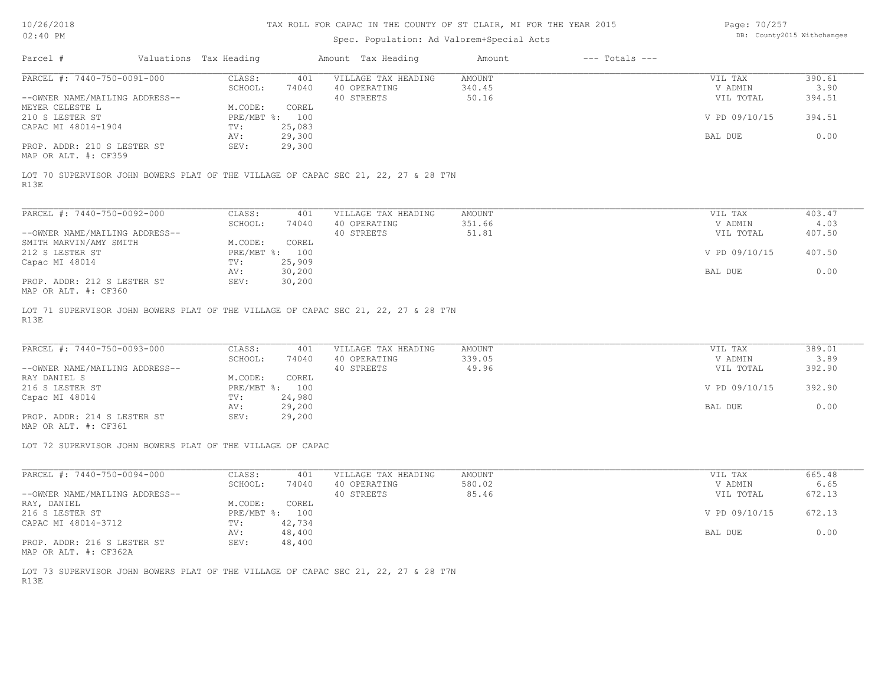## Spec. Population: Ad Valorem+Special Acts

Page: 70/257 DB: County2015 Withchanges

|                                                     |         |                        |                     | Amount             | $---$ Totals $---$ |               |        |
|-----------------------------------------------------|---------|------------------------|---------------------|--------------------|--------------------|---------------|--------|
| PARCEL #: 7440-750-0091-000                         | CLASS:  | 401                    | VILLAGE TAX HEADING | AMOUNT             |                    | VIL TAX       | 390.61 |
|                                                     | SCHOOL: | 74040                  | 40 OPERATING        | 340.45             |                    | V ADMIN       | 3.90   |
| --OWNER NAME/MAILING ADDRESS--                      |         |                        | 40 STREETS          | 50.16              |                    | VIL TOTAL     | 394.51 |
|                                                     | M.CODE: | COREL                  |                     |                    |                    |               |        |
|                                                     |         |                        |                     |                    |                    | V PD 09/10/15 | 394.51 |
| CAPAC MI 48014-1904                                 | TV:     | 25,083                 |                     |                    |                    |               |        |
|                                                     | AV:     | 29,300                 |                     |                    |                    | BAL DUE       | 0.00   |
| PROP. ADDR: 210 S LESTER ST<br>MAP OR ALT. #: CF359 | SEV:    | 29,300                 |                     |                    |                    |               |        |
|                                                     |         | Valuations Tax Heading | PRE/MBT %: 100      | Amount Tax Heading |                    |               |        |

R13E LOT 70 SUPERVISOR JOHN BOWERS PLAT OF THE VILLAGE OF CAPAC SEC 21, 22, 27 & 28 T7N

| PARCEL #: 7440-750-0092-000    | CLASS:       | 401    | VILLAGE TAX HEADING | AMOUNT | VIL TAX       | 403.47 |
|--------------------------------|--------------|--------|---------------------|--------|---------------|--------|
|                                | SCHOOL:      | 74040  | 40 OPERATING        | 351.66 | V ADMIN       | 4.03   |
| --OWNER NAME/MAILING ADDRESS-- |              |        | 40 STREETS          | 51.81  | VIL TOTAL     | 407.50 |
| SMITH MARVIN/AMY SMITH         | M.CODE:      | COREL  |                     |        |               |        |
| 212 S LESTER ST                | $PRE/MBT$ %: | 100    |                     |        | V PD 09/10/15 | 407.50 |
| Capac MI 48014                 | TV:          | 25,909 |                     |        |               |        |
|                                | AV:          | 30,200 |                     |        | BAL DUE       | 0.00   |
| PROP. ADDR: 212 S LESTER ST    | SEV:         | 30,200 |                     |        |               |        |
| MAP OR ALT. #: CF360           |              |        |                     |        |               |        |

R13E LOT 71 SUPERVISOR JOHN BOWERS PLAT OF THE VILLAGE OF CAPAC SEC 21, 22, 27 & 28 T7N

| PARCEL #: 7440-750-0093-000    | CLASS:         | 401    | VILLAGE TAX HEADING | AMOUNT | VIL TAX       | 389.01 |
|--------------------------------|----------------|--------|---------------------|--------|---------------|--------|
|                                | SCHOOL:        | 74040  | 40 OPERATING        | 339.05 | V ADMIN       | 3.89   |
| --OWNER NAME/MAILING ADDRESS-- |                |        | 40 STREETS          | 49.96  | VIL TOTAL     | 392.90 |
| RAY DANIEL S                   | M.CODE:        | COREL  |                     |        |               |        |
| 216 S LESTER ST                | PRE/MBT %: 100 |        |                     |        | V PD 09/10/15 | 392.90 |
| Capac MI 48014                 | TV:            | 24,980 |                     |        |               |        |
|                                | AV:            | 29,200 |                     |        | BAL DUE       | 0.00   |
| PROP. ADDR: 214 S LESTER ST    | SEV:           | 29,200 |                     |        |               |        |
|                                |                |        |                     |        |               |        |

MAP OR ALT. #: CF361

LOT 72 SUPERVISOR JOHN BOWERS PLAT OF THE VILLAGE OF CAPAC

| PARCEL #: 7440-750-0094-000    | CLASS:     | 401    | VILLAGE TAX HEADING | AMOUNT | VIL TAX       | 665.48 |
|--------------------------------|------------|--------|---------------------|--------|---------------|--------|
|                                | SCHOOL:    | 74040  | 40 OPERATING        | 580.02 | V ADMIN       | 6.65   |
| --OWNER NAME/MAILING ADDRESS-- |            |        | 40 STREETS          | 85.46  | VIL TOTAL     | 672.13 |
| RAY, DANIEL                    | M.CODE:    | COREL  |                     |        |               |        |
| 216 S LESTER ST                | PRE/MBT %: | 100    |                     |        | V PD 09/10/15 | 672.13 |
| CAPAC MI 48014-3712            | TV:        | 42,734 |                     |        |               |        |
|                                | AV:        | 48,400 |                     |        | BAL DUE       | 0.00   |
| PROP. ADDR: 216 S LESTER ST    | SEV:       | 48,400 |                     |        |               |        |

MAP OR ALT. #: CF362A

R13E LOT 73 SUPERVISOR JOHN BOWERS PLAT OF THE VILLAGE OF CAPAC SEC 21, 22, 27 & 28 T7N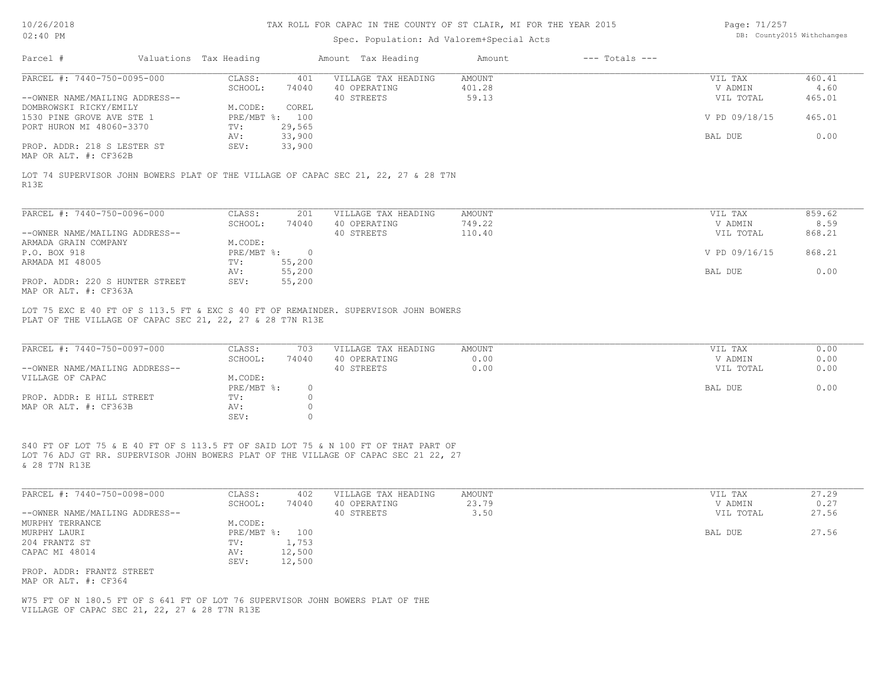# Spec. Population: Ad Valorem+Special Acts

Page: 71/257 DB: County2015 Withchanges

|                                                                                          | Valuations Tax Heading |                                        |                                               | Amount Tax Heading                                                                  | Amount                    | $---$ Totals $---$ |                                 |                          |
|------------------------------------------------------------------------------------------|------------------------|----------------------------------------|-----------------------------------------------|-------------------------------------------------------------------------------------|---------------------------|--------------------|---------------------------------|--------------------------|
| PARCEL #: 7440-750-0095-000<br>--OWNER NAME/MAILING ADDRESS--                            |                        | CLASS:<br>SCHOOL:                      | 401<br>74040                                  | VILLAGE TAX HEADING<br>40 OPERATING<br>40 STREETS                                   | AMOUNT<br>401.28<br>59.13 |                    | VIL TAX<br>V ADMIN<br>VIL TOTAL | 460.41<br>4.60<br>465.01 |
| DOMBROWSKI RICKY/EMILY<br>1530 PINE GROVE AVE STE 1                                      |                        | M.CODE:<br>PRE/MBT %: 100              | COREL                                         |                                                                                     |                           |                    | V PD 09/18/15                   | 465.01                   |
| PORT HURON MI 48060-3370                                                                 |                        | TV:<br>AV:                             | 29,565<br>33,900                              |                                                                                     |                           |                    | BAL DUE                         | 0.00                     |
| PROP. ADDR: 218 S LESTER ST<br>MAP OR ALT. #: CF362B                                     |                        | SEV:                                   | 33,900                                        |                                                                                     |                           |                    |                                 |                          |
| R13E                                                                                     |                        |                                        |                                               | LOT 74 SUPERVISOR JOHN BOWERS PLAT OF THE VILLAGE OF CAPAC SEC 21, 22, 27 & 28 T7N  |                           |                    |                                 |                          |
|                                                                                          |                        |                                        |                                               |                                                                                     |                           |                    |                                 |                          |
| PARCEL #: 7440-750-0096-000                                                              |                        | CLASS:<br>SCHOOL:                      | 201<br>74040                                  | VILLAGE TAX HEADING<br>40 OPERATING                                                 | AMOUNT<br>749.22          |                    | VIL TAX<br>V ADMIN              | 859.62<br>8.59           |
| --OWNER NAME/MAILING ADDRESS--                                                           |                        |                                        |                                               | 40 STREETS                                                                          | 110.40                    |                    | VIL TOTAL                       | 868.21                   |
| ARMADA GRAIN COMPANY<br>P.O. BOX 918                                                     |                        | M.CODE:<br>PRE/MBT %: 0                |                                               |                                                                                     |                           |                    | V PD 09/16/15                   | 868.21                   |
| ARMADA MI 48005                                                                          |                        | TV:                                    | 55,200                                        |                                                                                     |                           |                    |                                 |                          |
|                                                                                          |                        | AV:                                    | 55,200                                        |                                                                                     |                           |                    | BAL DUE                         | 0.00                     |
| PROP. ADDR: 220 S HUNTER STREET<br>MAP OR ALT. #: CF363A                                 |                        | SEV:                                   | 55,200                                        |                                                                                     |                           |                    |                                 |                          |
| PLAT OF THE VILLAGE OF CAPAC SEC 21, 22, 27 & 28 T7N R13E<br>PARCEL #: 7440-750-0097-000 |                        | CLASS:<br>SCHOOL:                      | 703<br>74040                                  | VILLAGE TAX HEADING<br>40 OPERATING                                                 | AMOUNT<br>0.00            |                    | VIL TAX<br>V ADMIN              | 0.00<br>0.00             |
| --OWNER NAME/MAILING ADDRESS--<br>VILLAGE OF CAPAC                                       |                        | M.CODE:                                |                                               | 40 STREETS                                                                          | 0.00                      |                    | VIL TOTAL                       | 0.00                     |
| PROP. ADDR: E HILL STREET<br>MAP OR ALT. #: CF363B                                       |                        | $PRE/MBT$ $\div$<br>TV:<br>AV:<br>SEV: | $\bigcirc$<br>$\Omega$<br>$\circ$<br>$\Omega$ |                                                                                     |                           |                    | BAL DUE                         | 0.00                     |
|                                                                                          |                        |                                        |                                               | S40 FT OF LOT 75 & E 40 FT OF S 113.5 FT OF SAID LOT 75 & N 100 FT OF THAT PART OF  |                           |                    |                                 |                          |
| & 28 T7N R13E                                                                            |                        |                                        |                                               | LOT 76 ADJ GT RR. SUPERVISOR JOHN BOWERS PLAT OF THE VILLAGE OF CAPAC SEC 21 22, 27 |                           |                    |                                 |                          |
| PARCEL #: 7440-750-0098-000                                                              |                        | CLASS:<br>SCHOOL:                      | 402<br>74040                                  | VILLAGE TAX HEADING<br>40 OPERATING                                                 | AMOUNT<br>23.79           |                    | VIL TAX<br>V ADMIN              | 27.29<br>0.27            |
| --OWNER NAME/MAILING ADDRESS--                                                           |                        |                                        |                                               | 40 STREETS                                                                          | 3.50                      |                    | VIL TOTAL                       | 27.56                    |
| MURPHY TERRANCE<br>MURPHY LAURI                                                          |                        | M.CODE:<br>PRE/MBT %: 100              |                                               |                                                                                     |                           |                    | BAL DUE                         | 27.56                    |
| 204 FRANTZ ST                                                                            |                        | TV:                                    | 1,753                                         |                                                                                     |                           |                    |                                 |                          |
| CAPAC MI 48014                                                                           |                        | AV:                                    | 12,500                                        |                                                                                     |                           |                    |                                 |                          |
| PROP. ADDR: FRANTZ STREET<br>MAP OR ALT. #: CF364                                        |                        | SEV:                                   | 12,500                                        |                                                                                     |                           |                    |                                 |                          |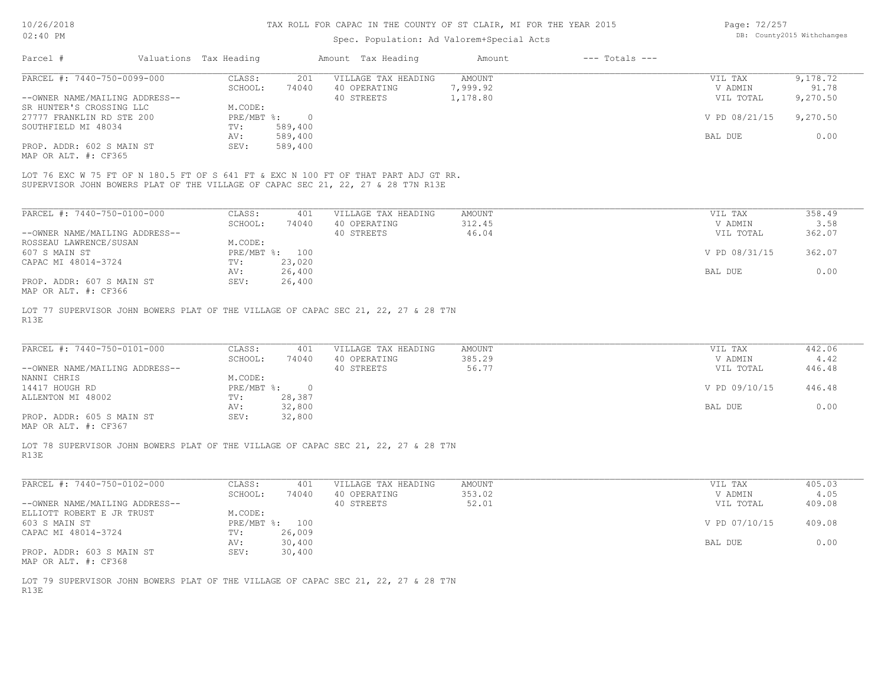## Spec. Population: Ad Valorem+Special Acts

Page: 72/257 DB: County2015 Withchanges

| Parcel #                       | Valuations Tax Heading |         | Amount Tax Heading  | Amount   | $---$ Totals $---$ |               |          |
|--------------------------------|------------------------|---------|---------------------|----------|--------------------|---------------|----------|
| PARCEL #: 7440-750-0099-000    | CLASS:                 | 201     | VILLAGE TAX HEADING | AMOUNT   |                    | VIL TAX       | 9,178.72 |
|                                | SCHOOL:                | 74040   | 40 OPERATING        | 7,999.92 |                    | V ADMIN       | 91.78    |
| --OWNER NAME/MAILING ADDRESS-- |                        |         | 40 STREETS          | 1,178.80 |                    | VIL TOTAL     | 9,270.50 |
| SR HUNTER'S CROSSING LLC       | M.CODE:                |         |                     |          |                    |               |          |
| 27777 FRANKLIN RD STE 200      | PRE/MBT %:             |         |                     |          |                    | V PD 08/21/15 | 9,270.50 |
| SOUTHFIELD MI 48034            | TV:                    | 589,400 |                     |          |                    |               |          |
|                                | AV:                    | 589,400 |                     |          |                    | BAL DUE       | 0.00     |
| PROP. ADDR: 602 S MAIN ST      | SEV:                   | 589,400 |                     |          |                    |               |          |
| MAP OR ALT. #: CF365           |                        |         |                     |          |                    |               |          |

SUPERVISOR JOHN BOWERS PLAT OF THE VILLAGE OF CAPAC SEC 21, 22, 27 & 28 T7N R13E LOT 76 EXC W 75 FT OF N 180.5 FT OF S 641 FT & EXC N 100 FT OF THAT PART ADJ GT RR.

| PARCEL #: 7440-750-0100-000    | CLASS:       | 401    | VILLAGE TAX HEADING | AMOUNT | VIL TAX       | 358.49 |
|--------------------------------|--------------|--------|---------------------|--------|---------------|--------|
|                                | SCHOOL:      | 74040  | 40 OPERATING        | 312.45 | V ADMIN       | 3.58   |
| --OWNER NAME/MAILING ADDRESS-- |              |        | 40 STREETS          | 46.04  | VIL TOTAL     | 362.07 |
| ROSSEAU LAWRENCE/SUSAN         | M.CODE:      |        |                     |        |               |        |
| 607 S MAIN ST                  | $PRE/MBT$ %: | 100    |                     |        | V PD 08/31/15 | 362.07 |
| CAPAC MI 48014-3724            | TV:          | 23,020 |                     |        |               |        |
|                                | AV:          | 26,400 |                     |        | BAL DUE       | 0.00   |
| PROP. ADDR: 607 S MAIN ST      | SEV:         | 26,400 |                     |        |               |        |
| MAP OR ALT. #: CF366           |              |        |                     |        |               |        |

R13E LOT 77 SUPERVISOR JOHN BOWERS PLAT OF THE VILLAGE OF CAPAC SEC 21, 22, 27 & 28 T7N

| PARCEL #: 7440-750-0101-000    | CLASS:     | 401    | VILLAGE TAX HEADING | AMOUNT | VIL TAX       | 442.06 |
|--------------------------------|------------|--------|---------------------|--------|---------------|--------|
|                                | SCHOOL:    | 74040  | 40 OPERATING        | 385.29 | V ADMIN       | 4.42   |
| --OWNER NAME/MAILING ADDRESS-- |            |        | 40 STREETS          | 56.77  | VIL TOTAL     | 446.48 |
| NANNI CHRIS                    | M.CODE:    |        |                     |        |               |        |
| 14417 HOUGH RD                 | PRE/MBT %: |        |                     |        | V PD 09/10/15 | 446.48 |
| ALLENTON MI 48002              | TV:        | 28,387 |                     |        |               |        |
|                                | AV:        | 32,800 |                     |        | BAL DUE       | 0.00   |
| PROP. ADDR: 605 S MAIN ST      | SEV:       | 32,800 |                     |        |               |        |
|                                |            |        |                     |        |               |        |

MAP OR ALT. #: CF367

R13E LOT 78 SUPERVISOR JOHN BOWERS PLAT OF THE VILLAGE OF CAPAC SEC 21, 22, 27 & 28 T7N

| PARCEL #: 7440-750-0102-000    | CLASS:       | 401    | VILLAGE TAX HEADING | AMOUNT | VIL TAX       | 405.03 |
|--------------------------------|--------------|--------|---------------------|--------|---------------|--------|
|                                | SCHOOL:      | 74040  | 40 OPERATING        | 353.02 | V ADMIN       | 4.05   |
| --OWNER NAME/MAILING ADDRESS-- |              |        | 40 STREETS          | 52.01  | VIL TOTAL     | 409.08 |
| ELLIOTT ROBERT E JR TRUST      | M.CODE:      |        |                     |        |               |        |
| 603 S MAIN ST                  | $PRE/MBT$ %: | 100    |                     |        | V PD 07/10/15 | 409.08 |
| CAPAC MI 48014-3724            | TV:          | 26,009 |                     |        |               |        |
|                                | AV:          | 30,400 |                     |        | BAL DUE       | 0.00   |
| PROP. ADDR: 603 S MAIN ST      | SEV:         | 30,400 |                     |        |               |        |
| MAP OR ALT. #: CF368           |              |        |                     |        |               |        |

 $\mathcal{L}_\mathcal{L} = \mathcal{L}_\mathcal{L} = \mathcal{L}_\mathcal{L} = \mathcal{L}_\mathcal{L} = \mathcal{L}_\mathcal{L} = \mathcal{L}_\mathcal{L} = \mathcal{L}_\mathcal{L} = \mathcal{L}_\mathcal{L} = \mathcal{L}_\mathcal{L} = \mathcal{L}_\mathcal{L} = \mathcal{L}_\mathcal{L} = \mathcal{L}_\mathcal{L} = \mathcal{L}_\mathcal{L} = \mathcal{L}_\mathcal{L} = \mathcal{L}_\mathcal{L} = \mathcal{L}_\mathcal{L} = \mathcal{L}_\mathcal{L}$ 

R13E LOT 79 SUPERVISOR JOHN BOWERS PLAT OF THE VILLAGE OF CAPAC SEC 21, 22, 27 & 28 T7N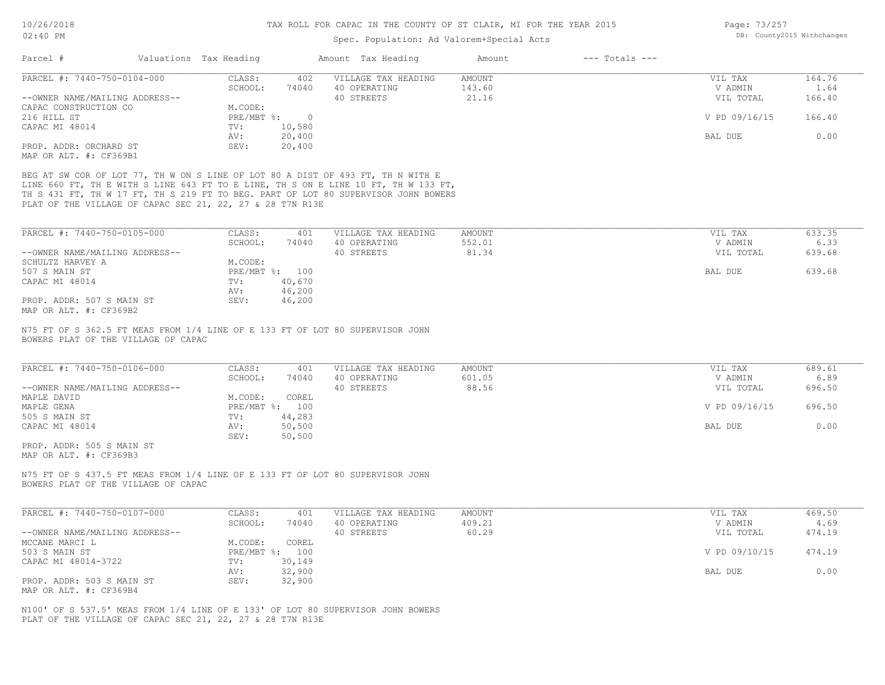| Page: 73/257 |                            |
|--------------|----------------------------|
|              | DB: County2015 Withchanges |

| PARCEL #: 7440-750-0104-000                                                                                                                                                                                                                                                   | CLASS:<br>402                   | VILLAGE TAX HEADING | <b>AMOUNT</b> | VIL TAX       | 164.76 |
|-------------------------------------------------------------------------------------------------------------------------------------------------------------------------------------------------------------------------------------------------------------------------------|---------------------------------|---------------------|---------------|---------------|--------|
|                                                                                                                                                                                                                                                                               | SCHOOL:<br>74040                | 40 OPERATING        | 143.60        | V ADMIN       | 1.64   |
| --OWNER NAME/MAILING ADDRESS--                                                                                                                                                                                                                                                |                                 | 40 STREETS          | 21.16         | VIL TOTAL     | 166.40 |
| CAPAC CONSTRUCTION CO                                                                                                                                                                                                                                                         | M.CODE:                         |                     |               |               |        |
| 216 HILL ST                                                                                                                                                                                                                                                                   | PRE/MBT %: 0                    |                     |               | V PD 09/16/15 | 166.40 |
| CAPAC MI 48014                                                                                                                                                                                                                                                                | 10,580<br>TV:<br>20,400<br>AV:  |                     |               | BAL DUE       | 0.00   |
| PROP. ADDR: ORCHARD ST                                                                                                                                                                                                                                                        | 20,400<br>SEV:                  |                     |               |               |        |
| MAP OR ALT. #: CF369B1                                                                                                                                                                                                                                                        |                                 |                     |               |               |        |
| BEG AT SW COR OF LOT 77, TH W ON S LINE OF LOT 80 A DIST OF 493 FT, TH N WITH E                                                                                                                                                                                               |                                 |                     |               |               |        |
| LINE 660 FT, TH E WITH S LINE 643 FT TO E LINE, TH S ON E LINE 10 FT, TH W 133 FT,<br>TH S 431 FT, TH W 17 FT, TH S 219 FT TO BEG. PART OF LOT 80 SUPERVISOR JOHN BOWERS                                                                                                      |                                 |                     |               |               |        |
| PLAT OF THE VILLAGE OF CAPAC SEC 21, 22, 27 & 28 T7N R13E                                                                                                                                                                                                                     |                                 |                     |               |               |        |
|                                                                                                                                                                                                                                                                               |                                 |                     |               |               |        |
| PARCEL #: 7440-750-0105-000                                                                                                                                                                                                                                                   | CLASS:<br>401                   | VILLAGE TAX HEADING | <b>AMOUNT</b> | VIL TAX       | 633.35 |
|                                                                                                                                                                                                                                                                               | SCHOOL:<br>74040                | 40 OPERATING        | 552.01        | V ADMIN       | 6.33   |
| --OWNER NAME/MAILING ADDRESS--                                                                                                                                                                                                                                                |                                 | 40 STREETS          | 81.34         | VIL TOTAL     | 639.68 |
| SCHULTZ HARVEY A                                                                                                                                                                                                                                                              | M.CODE:                         |                     |               |               |        |
| 507 S MAIN ST<br>CAPAC MI 48014                                                                                                                                                                                                                                               | PRE/MBT %: 100<br>40,670<br>TV: |                     |               | BAL DUE       | 639.68 |
|                                                                                                                                                                                                                                                                               | AV:<br>46,200                   |                     |               |               |        |
|                                                                                                                                                                                                                                                                               |                                 |                     |               |               |        |
|                                                                                                                                                                                                                                                                               | 46,200<br>SEV:                  |                     |               |               |        |
|                                                                                                                                                                                                                                                                               |                                 |                     |               |               |        |
| PROP. ADDR: 507 S MAIN ST<br>MAP OR ALT. #: CF369B2<br>N75 FT OF S 362.5 FT MEAS FROM 1/4 LINE OF E 133 FT OF LOT 80 SUPERVISOR JOHN<br>BOWERS PLAT OF THE VILLAGE OF CAPAC<br>PARCEL #: 7440-750-0106-000                                                                    | CLASS:<br>401                   | VILLAGE TAX HEADING | <b>AMOUNT</b> | VIL TAX       | 689.61 |
|                                                                                                                                                                                                                                                                               | SCHOOL:<br>74040                | 40 OPERATING        | 601.05        | V ADMIN       | 6.89   |
|                                                                                                                                                                                                                                                                               | COREL<br>M.CODE:                | 40 STREETS          | 88.56         | VIL TOTAL     | 696.50 |
|                                                                                                                                                                                                                                                                               | PRE/MBT %: 100                  |                     |               | V PD 09/16/15 | 696.50 |
|                                                                                                                                                                                                                                                                               | TV:<br>44,283                   |                     |               |               |        |
|                                                                                                                                                                                                                                                                               | 50,500<br>AV:                   |                     |               | BAL DUE       | 0.00   |
|                                                                                                                                                                                                                                                                               | SEV:<br>50,500                  |                     |               |               |        |
|                                                                                                                                                                                                                                                                               |                                 |                     |               |               |        |
|                                                                                                                                                                                                                                                                               |                                 |                     |               |               |        |
| --OWNER NAME/MAILING ADDRESS--<br>MAPLE DAVID<br>MAPLE GENA<br>505 S MAIN ST<br>CAPAC MI 48014<br>PROP. ADDR: 505 S MAIN ST<br>MAP OR ALT. #: CF369B3<br>N75 FT OF S 437.5 FT MEAS FROM 1/4 LINE OF E 133 FT OF LOT 80 SUPERVISOR JOHN<br>BOWERS PLAT OF THE VILLAGE OF CAPAC |                                 |                     |               |               |        |
|                                                                                                                                                                                                                                                                               | CLASS:<br>401                   | VILLAGE TAX HEADING | <b>AMOUNT</b> | VIL TAX       | 469.50 |
|                                                                                                                                                                                                                                                                               | SCHOOL:<br>74040                | 40 OPERATING        | 409.21        | V ADMIN       | 4.69   |
|                                                                                                                                                                                                                                                                               |                                 | 40 STREETS          | 60.29         | VIL TOTAL     | 474.19 |
|                                                                                                                                                                                                                                                                               | $\mathtt{COREL}$<br>M.CODE:     |                     |               |               |        |
|                                                                                                                                                                                                                                                                               | PRE/MBT %: 100                  |                     |               | V PD 09/10/15 | 474.19 |
| PARCEL #: 7440-750-0107-000<br>--OWNER NAME/MAILING ADDRESS--<br>MCCANE MARCI L<br>503 S MAIN ST<br>CAPAC MI 48014-3722                                                                                                                                                       | TV:<br>30,149<br>AV:            |                     |               | BAL DUE       | 0.00   |
| PROP. ADDR: 503 S MAIN ST                                                                                                                                                                                                                                                     | 32,900<br>SEV:<br>32,900        |                     |               |               |        |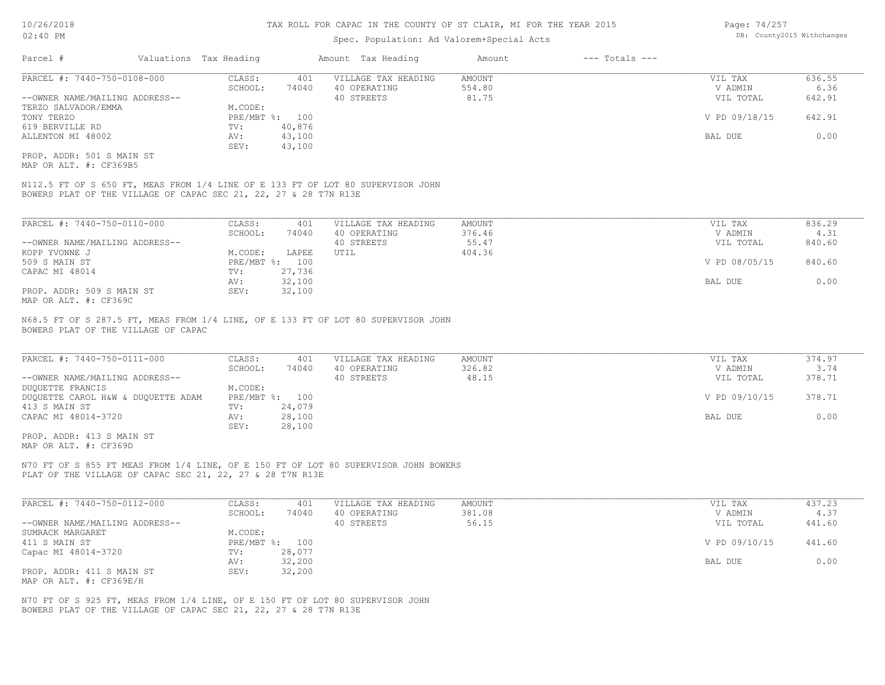### Spec. Population: Ad Valorem+Special Acts

| Page: 74/257 |                            |
|--------------|----------------------------|
|              | DB: County2015 Withchanges |

| Parcel #                       | Valuations Tax Heading |        | Amount Tax Heading  | Amount | $---$ Totals $---$ |               |        |
|--------------------------------|------------------------|--------|---------------------|--------|--------------------|---------------|--------|
| PARCEL #: 7440-750-0108-000    | CLASS:                 | 401    | VILLAGE TAX HEADING | AMOUNT |                    | VIL TAX       | 636.55 |
|                                | SCHOOL:                | 74040  | 40 OPERATING        | 554.80 |                    | V ADMIN       | 6.36   |
| --OWNER NAME/MAILING ADDRESS-- |                        |        | 40 STREETS          | 81.75  |                    | VIL TOTAL     | 642.91 |
| TERZO SALVADOR/EMMA            | M.CODE:                |        |                     |        |                    |               |        |
| TONY TERZO                     | PRE/MBT %: 100         |        |                     |        |                    | V PD 09/18/15 | 642.91 |
| 619 BERVILLE RD                | TV:                    | 40,876 |                     |        |                    |               |        |
| ALLENTON MI 48002              | AV:                    | 43,100 |                     |        |                    | BAL DUE       | 0.00   |
|                                | SEV:                   | 43,100 |                     |        |                    |               |        |
| PROP. ADDR: 501 S MAIN ST      |                        |        |                     |        |                    |               |        |

MAP OR ALT. #: CF369B5

BOWERS PLAT OF THE VILLAGE OF CAPAC SEC 21, 22, 27 & 28 T7N R13E N112.5 FT OF S 650 FT, MEAS FROM 1/4 LINE OF E 133 FT OF LOT 80 SUPERVISOR JOHN

| PARCEL #: 7440-750-0110-000                           | CLASS:     | 401    | VILLAGE TAX HEADING | AMOUNT | VIL TAX       | 836.29 |
|-------------------------------------------------------|------------|--------|---------------------|--------|---------------|--------|
|                                                       | SCHOOL:    | 74040  | 40 OPERATING        | 376.46 | V ADMIN       | 4.31   |
| --OWNER NAME/MAILING ADDRESS--                        |            |        | 40 STREETS          | 55.47  | VIL TOTAL     | 840.60 |
| KOPP YVONNE J                                         | M.CODE:    | LAPEE  | UTIL                | 404.36 |               |        |
| 509 S MAIN ST                                         | PRE/MBT %: | 100    |                     |        | V PD 08/05/15 | 840.60 |
| CAPAC MI 48014                                        | TV:        | 27,736 |                     |        |               |        |
|                                                       | AV:        | 32,100 |                     |        | BAL DUE       | 0.00   |
| PROP. ADDR: 509 S MAIN ST                             | SEV:       | 32,100 |                     |        |               |        |
| $\cdots$ $\cdots$ $\cdots$ $\cdots$ $\cdots$ $\cdots$ |            |        |                     |        |               |        |

MAP OR ALT. #: CF369C

BOWERS PLAT OF THE VILLAGE OF CAPAC N68.5 FT OF S 287.5 FT, MEAS FROM 1/4 LINE, OF E 133 FT OF LOT 80 SUPERVISOR JOHN

| PARCEL #: 7440-750-0111-000        | CLASS:  | 401            | VILLAGE TAX HEADING | AMOUNT | VIL TAX       | 374.97 |
|------------------------------------|---------|----------------|---------------------|--------|---------------|--------|
|                                    | SCHOOL: | 74040          | 40 OPERATING        | 326.82 | V ADMIN       | 3.74   |
| --OWNER NAME/MAILING ADDRESS--     |         |                | 40 STREETS          | 48.15  | VIL TOTAL     | 378.71 |
| DUOUETTE FRANCIS                   | M.CODE: |                |                     |        |               |        |
| DUQUETTE CAROL H&W & DUQUETTE ADAM |         | PRE/MBT %: 100 |                     |        | V PD 09/10/15 | 378.71 |
| 413 S MAIN ST                      | TV:     | 24,079         |                     |        |               |        |
| CAPAC MI 48014-3720                | AV:     | 28,100         |                     |        | BAL DUE       | 0.00   |
|                                    | SEV:    | 28,100         |                     |        |               |        |
| PROP. ADDR: 413 S MAIN ST          |         |                |                     |        |               |        |

MAP OR ALT. #: CF369D

PLAT OF THE VILLAGE OF CAPAC SEC 21, 22, 27 & 28 T7N R13E N70 FT OF S 855 FT MEAS FROM 1/4 LINE, OF E 150 FT OF LOT 80 SUPERVISOR JOHN BOWERS

| PARCEL #: 7440-750-0112-000    | CLASS:  | 401            | VILLAGE TAX HEADING | AMOUNT | VIL TAX       | 437.23 |
|--------------------------------|---------|----------------|---------------------|--------|---------------|--------|
|                                | SCHOOL: | 74040          | 40 OPERATING        | 381.08 | V ADMIN       | 4.37   |
| --OWNER NAME/MAILING ADDRESS-- |         |                | 40 STREETS          | 56.15  | VIL TOTAL     | 441.60 |
| SUMRACK MARGARET               | M.CODE: |                |                     |        |               |        |
| 411 S MAIN ST                  |         | PRE/MBT %: 100 |                     |        | V PD 09/10/15 | 441.60 |
| Capac MI 48014-3720            | TV:     | 28,077         |                     |        |               |        |
|                                | AV:     | 32,200         |                     |        | BAL DUE       | 0.00   |
| PROP. ADDR: 411 S MAIN ST      | SEV:    | 32,200         |                     |        |               |        |
| MAP OR ALT. #: CF369E/H        |         |                |                     |        |               |        |

BOWERS PLAT OF THE VILLAGE OF CAPAC SEC 21, 22, 27 & 28 T7N R13E N70 FT OF S 925 FT, MEAS FROM 1/4 LINE, OF E 150 FT OF LOT 80 SUPERVISOR JOHN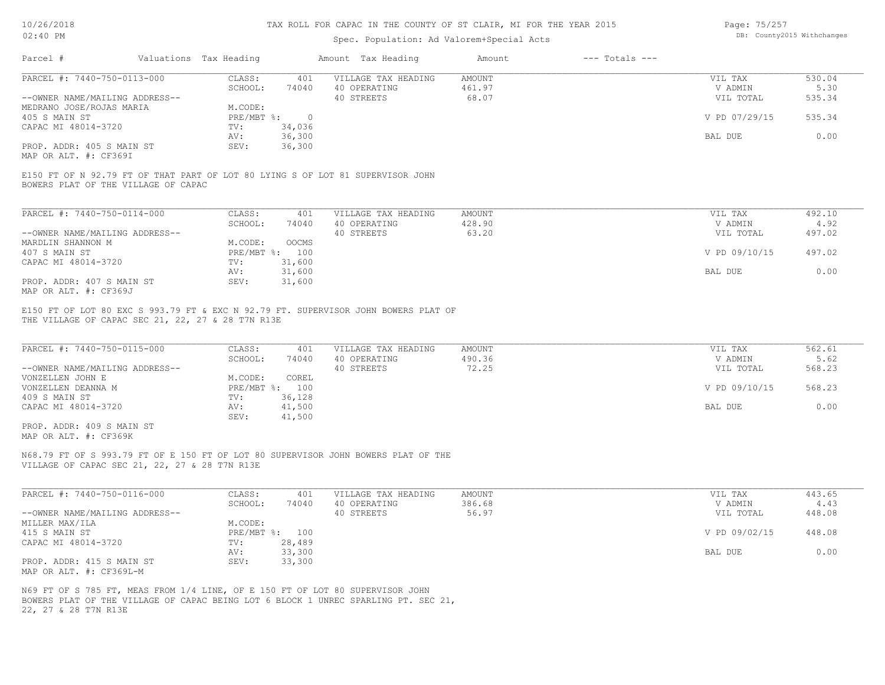Page: 75/257

| 10/20/2010                                         |                                                   |            |                | TUV MARR EAN AUTUM IN INR AAANII AE AT ARUIN' MI EAN INR IRUN YATA                 |               |                    | Layt. IJ/LJI   |                            |  |
|----------------------------------------------------|---------------------------------------------------|------------|----------------|------------------------------------------------------------------------------------|---------------|--------------------|----------------|----------------------------|--|
| 02:40 PM                                           |                                                   |            |                | Spec. Population: Ad Valorem+Special Acts                                          |               |                    |                | DB: County2015 Withchanges |  |
| Parcel #                                           | Valuations Tax Heading                            |            |                | Amount Tax Heading                                                                 | Amount        | $---$ Totals $---$ |                |                            |  |
| PARCEL #: 7440-750-0113-000                        |                                                   | CLASS:     | 401            | VILLAGE TAX HEADING                                                                | <b>AMOUNT</b> |                    | VIL TAX        | 530.04                     |  |
|                                                    |                                                   | SCHOOL:    | 74040          | 40 OPERATING                                                                       | 461.97        |                    | V ADMIN        | 5.30                       |  |
| --OWNER NAME/MAILING ADDRESS--                     |                                                   |            |                | 40 STREETS                                                                         | 68.07         |                    | VIL TOTAL      | 535.34                     |  |
| MEDRANO JOSE/ROJAS MARIA                           |                                                   | M.CODE:    |                |                                                                                    |               |                    |                |                            |  |
| 405 S MAIN ST                                      |                                                   | PRE/MBT %: | $\overline{0}$ |                                                                                    |               |                    | V PD 07/29/15  | 535.34                     |  |
| CAPAC MI 48014-3720                                |                                                   | TV:        | 34,036         |                                                                                    |               |                    |                |                            |  |
|                                                    |                                                   | AV:        | 36,300         |                                                                                    |               |                    | BAL DUE        | 0.00                       |  |
| PROP. ADDR: 405 S MAIN ST<br>MAP OR ALT. #: CF369I |                                                   | SEV:       | 36,300         |                                                                                    |               |                    |                |                            |  |
|                                                    | BOWERS PLAT OF THE VILLAGE OF CAPAC               |            |                | E150 FT OF N 92.79 FT OF THAT PART OF LOT 80 LYING S OF LOT 81 SUPERVISOR JOHN     |               |                    |                |                            |  |
| PARCEL #: 7440-750-0114-000                        |                                                   | CLASS:     | 401            | VILLAGE TAX HEADING                                                                | <b>AMOUNT</b> |                    | VIL TAX        | 492.10                     |  |
|                                                    |                                                   | SCHOOL:    | 74040          | 40 OPERATING                                                                       | 428.90        |                    | V ADMIN        | 4.92                       |  |
| --OWNER NAME/MAILING ADDRESS--                     |                                                   |            |                | 40 STREETS                                                                         | 63.20         |                    | VIL TOTAL      | 497.02                     |  |
| MARDLIN SHANNON M                                  |                                                   | M.CODE:    | OOCMS          |                                                                                    |               |                    |                |                            |  |
| 407 S MAIN ST                                      |                                                   |            | PRE/MBT %: 100 |                                                                                    |               |                    | V PD 09/10/15  | 497.02                     |  |
| CAPAC MI 48014-3720                                |                                                   | TV:        | 31,600         |                                                                                    |               |                    |                |                            |  |
|                                                    |                                                   | AV:        | 31,600         |                                                                                    |               |                    | BAL DUE        | 0.00                       |  |
| PROP. ADDR: 407 S MAIN ST<br>MAP OR ALT. #: CF369J |                                                   | SEV:       | 31,600         |                                                                                    |               |                    |                |                            |  |
|                                                    | THE VILLAGE OF CAPAC SEC 21, 22, 27 & 28 T7N R13E |            |                | E150 FT OF LOT 80 EXC S 993.79 FT & EXC N 92.79 FT. SUPERVISOR JOHN BOWERS PLAT OF |               |                    |                |                            |  |
| PARCEL #: 7440-750-0115-000                        |                                                   | CLASS:     | 401            | VILLAGE TAX HEADING                                                                | <b>AMOUNT</b> |                    | VIL TAX        | 562.61                     |  |
|                                                    |                                                   | SCHOOL:    | 74040          | 40 OPERATING                                                                       | 490.36        |                    | V ADMIN        | 5.62                       |  |
| --OWNER NAME/MAILING ADDRESS--                     |                                                   |            |                | 40 STREETS                                                                         | 72.25         |                    | VIL TOTAL      | 568.23                     |  |
| VONZELLEN JOHN E                                   |                                                   | M.CODE:    | COREL          |                                                                                    |               |                    |                |                            |  |
| VONZELLEN DEANNA M                                 |                                                   |            | PRE/MBT %: 100 |                                                                                    |               |                    | V PD 09/10/15  | 568.23                     |  |
| 409 S MAIN ST                                      |                                                   | TV:        | 36,128         |                                                                                    |               |                    | <b>BAL DUE</b> |                            |  |
| CAPAC MI 48014-3720                                |                                                   | AV:        | 41,500         |                                                                                    |               |                    |                | 0.00                       |  |
|                                                    |                                                   | SEV:       | 41,500         |                                                                                    |               |                    |                |                            |  |
| PROP. ADDR: 409 S MAIN ST                          |                                                   |            |                |                                                                                    |               |                    |                |                            |  |
| MAP OR ALT. #: CF369K                              |                                                   |            |                |                                                                                    |               |                    |                |                            |  |

VILLAGE OF CAPAC SEC 21, 22, 27 & 28 T7N R13E N68.79 FT OF S 993.79 FT OF E 150 FT OF LOT 80 SUPERVISOR JOHN BOWERS PLAT OF THE

| PARCEL #: 7440-750-0116-000    | CLASS:  | 401            | VILLAGE TAX HEADING | AMOUNT | VIL TAX       | 443.65 |
|--------------------------------|---------|----------------|---------------------|--------|---------------|--------|
|                                | SCHOOL: | 74040          | 40 OPERATING        | 386.68 | V ADMIN       | 4.43   |
| --OWNER NAME/MAILING ADDRESS-- |         |                | 40 STREETS          | 56.97  | VIL TOTAL     | 448.08 |
| MILLER MAX/ILA                 | M.CODE: |                |                     |        |               |        |
| 415 S MAIN ST                  |         | PRE/MBT %: 100 |                     |        | V PD 09/02/15 | 448.08 |
| CAPAC MI 48014-3720            | TV:     | 28,489         |                     |        |               |        |
|                                | AV:     | 33,300         |                     |        | BAL DUE       | 0.00   |
| PROP. ADDR: 415 S MAIN ST      | SEV:    | 33,300         |                     |        |               |        |
| MAP OR ALT. #: CF369L-M        |         |                |                     |        |               |        |

22, 27 & 28 T7N R13E BOWERS PLAT OF THE VILLAGE OF CAPAC BEING LOT 6 BLOCK 1 UNREC SPARLING PT. SEC 21, N69 FT OF S 785 FT, MEAS FROM 1/4 LINE, OF E 150 FT OF LOT 80 SUPERVISOR JOHN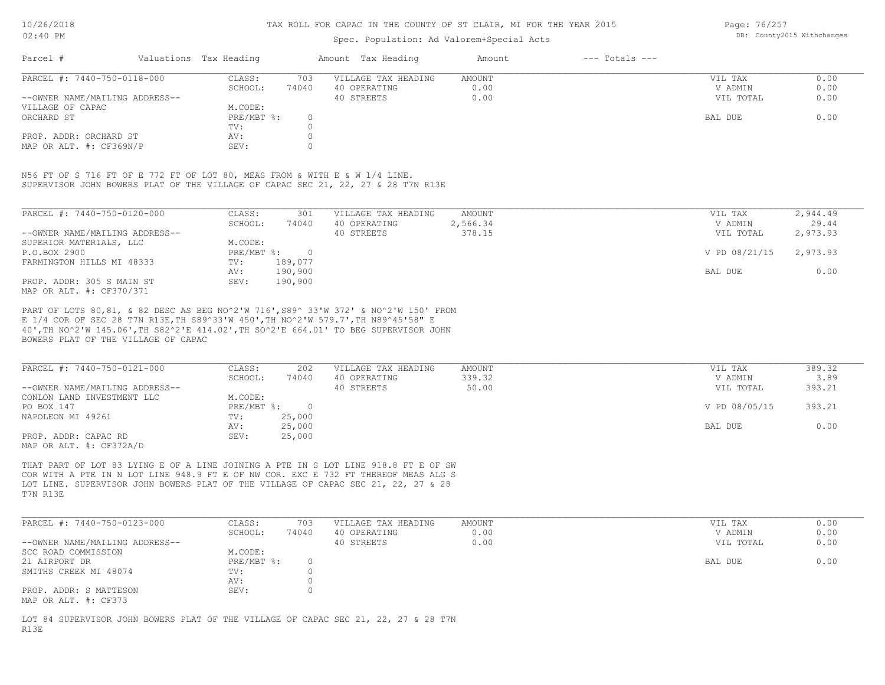## Spec. Population: Ad Valorem+Special Acts

Page: 76/257 DB: County2015 Withchanges

| Parcel #                       | Valuations Tax Heading |       | Amount Tax Heading  | Amount | $---$ Totals $---$ |           |      |
|--------------------------------|------------------------|-------|---------------------|--------|--------------------|-----------|------|
| PARCEL #: 7440-750-0118-000    | CLASS:                 | 703   | VILLAGE TAX HEADING | AMOUNT |                    | VIL TAX   | 0.00 |
|                                | SCHOOL:                | 74040 | 40 OPERATING        | 0.00   |                    | V ADMIN   | 0.00 |
| --OWNER NAME/MAILING ADDRESS-- |                        |       | 40 STREETS          | 0.00   |                    | VIL TOTAL | 0.00 |
| VILLAGE OF CAPAC               | M.CODE:                |       |                     |        |                    |           |      |
| ORCHARD ST                     | PRE/MBT %:             |       |                     |        |                    | BAL DUE   | 0.00 |
|                                | TV:                    |       |                     |        |                    |           |      |
| PROP. ADDR: ORCHARD ST         | AV:                    |       |                     |        |                    |           |      |
| MAP OR ALT. #: CF369N/P        | SEV:                   |       |                     |        |                    |           |      |

SUPERVISOR JOHN BOWERS PLAT OF THE VILLAGE OF CAPAC SEC 21, 22, 27 & 28 T7N R13E N56 FT OF S 716 FT OF E 772 FT OF LOT 80, MEAS FROM & WITH E & W 1/4 LINE.

| PARCEL #: 7440-750-0120-000    | CLASS:     | 301     | VILLAGE TAX HEADING | AMOUNT   | 2,944.49<br>VIL TAX       |
|--------------------------------|------------|---------|---------------------|----------|---------------------------|
|                                | SCHOOL:    | 74040   | 40 OPERATING        | 2,566.34 | 29.44<br>V ADMIN          |
| --OWNER NAME/MAILING ADDRESS-- |            |         | 40 STREETS          | 378.15   | 2,973.93<br>VIL TOTAL     |
| SUPERIOR MATERIALS, LLC        | M.CODE:    |         |                     |          |                           |
| P.O.BOX 2900                   | PRE/MBT %: | $\cap$  |                     |          | 2,973.93<br>V PD 08/21/15 |
| FARMINGTON HILLS MI 48333      | TV:        | 189,077 |                     |          |                           |
|                                | AV:        | 190,900 |                     |          | 0.00<br>BAL DUE           |
| PROP. ADDR: 305 S MAIN ST      | SEV:       | 190,900 |                     |          |                           |
| MAP OR ALT. #: CF370/371       |            |         |                     |          |                           |

BOWERS PLAT OF THE VILLAGE OF CAPAC 40',TH NO^2'W 145.06',TH S82^2'E 414.02',TH SO^2'E 664.01' TO BEG SUPERVISOR JOHN E 1/4 COR OF SEC 28 T7N R13E,TH S89^33'W 450',TH NO^2'W 579.7',TH N89^45'58" E PART OF LOTS 80,81, & 82 DESC AS BEG NO^2'W 716',S89^ 33'W 372' & NO^2'W 150' FROM

| PARCEL #: 7440-750-0121-000    | CLASS:     | 202    | VILLAGE TAX HEADING | AMOUNT | VIL TAX       | 389.32 |
|--------------------------------|------------|--------|---------------------|--------|---------------|--------|
|                                | SCHOOL:    | 74040  | 40 OPERATING        | 339.32 | V ADMIN       | 3.89   |
| --OWNER NAME/MAILING ADDRESS-- |            |        | 40 STREETS          | 50.00  | VIL TOTAL     | 393.21 |
| CONLON LAND INVESTMENT LLC     | M.CODE:    |        |                     |        |               |        |
| PO BOX 147                     | PRE/MBT %: |        |                     |        | V PD 08/05/15 | 393.21 |
| NAPOLEON MI 49261              | TV:        | 25,000 |                     |        |               |        |
|                                | AV:        | 25,000 |                     |        | BAL DUE       | 0.00   |
| PROP. ADDR: CAPAC RD           | SEV:       | 25,000 |                     |        |               |        |
| MAP OR ALT. #: CF372A/D        |            |        |                     |        |               |        |

T7N R13E LOT LINE. SUPERVISOR JOHN BOWERS PLAT OF THE VILLAGE OF CAPAC SEC 21, 22, 27 & 28 COR WITH A PTE IN N LOT LINE 948.9 FT E OF NW COR. EXC E 732 FT THEREOF MEAS ALG S THAT PART OF LOT 83 LYING E OF A LINE JOINING A PTE IN S LOT LINE 918.8 FT E OF SW

| PARCEL #: 7440-750-0123-000    | CLASS:       | 703   | VILLAGE TAX HEADING | AMOUNT | VIL TAX   | 0.00 |
|--------------------------------|--------------|-------|---------------------|--------|-----------|------|
|                                | SCHOOL:      | 74040 | 40 OPERATING        | 0.00   | V ADMIN   | 0.00 |
| --OWNER NAME/MAILING ADDRESS-- |              |       | 40 STREETS          | 0.00   | VIL TOTAL | 0.00 |
| SCC ROAD COMMISSION            | M.CODE:      |       |                     |        |           |      |
| 21 AIRPORT DR                  | $PRE/MBT$ %: |       |                     |        | BAL DUE   | 0.00 |
| SMITHS CREEK MI 48074          | TV:          |       |                     |        |           |      |
|                                | AV:          |       |                     |        |           |      |
| PROP. ADDR: S MATTESON         | SEV:         |       |                     |        |           |      |
| MAP OR ALT. #: CF373           |              |       |                     |        |           |      |

R13E LOT 84 SUPERVISOR JOHN BOWERS PLAT OF THE VILLAGE OF CAPAC SEC 21, 22, 27 & 28 T7N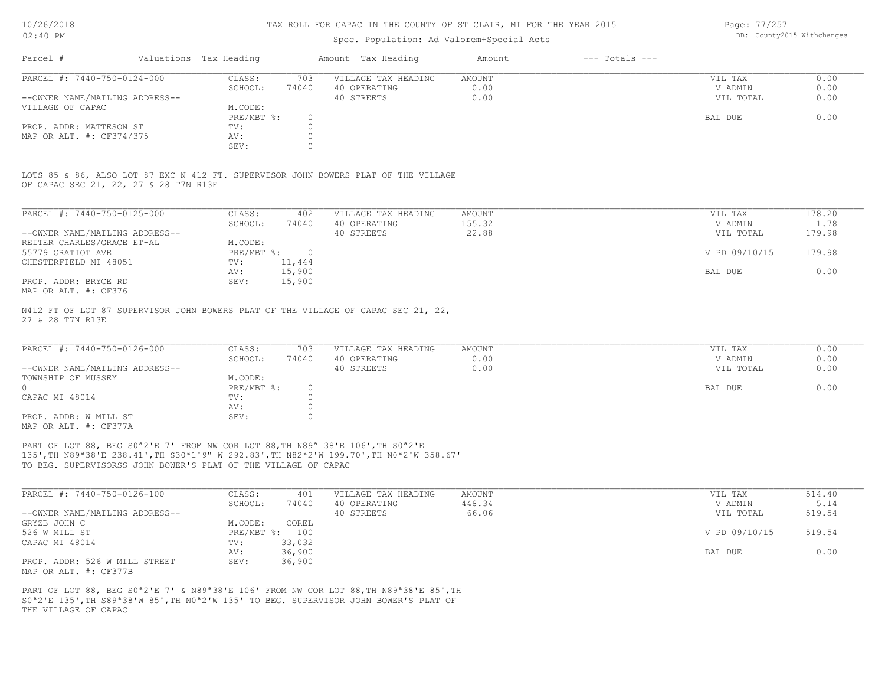## Spec. Population: Ad Valorem+Special Acts

Page: 77/257 DB: County2015 Withchanges

| Parcel #                       | Valuations Tax Heading |       | Amount Tax Heading  | Amount | $---$ Totals $---$ |           |      |
|--------------------------------|------------------------|-------|---------------------|--------|--------------------|-----------|------|
| PARCEL #: 7440-750-0124-000    | CLASS:                 | 703   | VILLAGE TAX HEADING | AMOUNT |                    | VIL TAX   | 0.00 |
|                                | SCHOOL:                | 74040 | 40 OPERATING        | 0.00   |                    | V ADMIN   | 0.00 |
| --OWNER NAME/MAILING ADDRESS-- |                        |       | 40 STREETS          | 0.00   |                    | VIL TOTAL | 0.00 |
| VILLAGE OF CAPAC               | M.CODE:                |       |                     |        |                    |           |      |
|                                | PRE/MBT %:             |       |                     |        |                    | BAL DUE   | 0.00 |
| PROP. ADDR: MATTESON ST        | TV:                    |       |                     |        |                    |           |      |
| MAP OR ALT. #: CF374/375       | AV:                    |       |                     |        |                    |           |      |
|                                | SEV:                   |       |                     |        |                    |           |      |

OF CAPAC SEC 21, 22, 27 & 28 T7N R13E LOTS 85 & 86, ALSO LOT 87 EXC N 412 FT. SUPERVISOR JOHN BOWERS PLAT OF THE VILLAGE

| PARCEL #: 7440-750-0125-000    | CLASS:     | 402      | VILLAGE TAX HEADING | AMOUNT | VIL TAX       | 178.20 |
|--------------------------------|------------|----------|---------------------|--------|---------------|--------|
|                                | SCHOOL:    | 74040    | 40 OPERATING        | 155.32 | V ADMIN       | 1.78   |
| --OWNER NAME/MAILING ADDRESS-- |            |          | 40 STREETS          | 22.88  | VIL TOTAL     | 179.98 |
| REITER CHARLES/GRACE ET-AL     | M.CODE:    |          |                     |        |               |        |
| 55779 GRATIOT AVE              | PRE/MBT %: | $\Omega$ |                     |        | V PD 09/10/15 | 179.98 |
| CHESTERFIELD MI 48051          | TV:        | 11,444   |                     |        |               |        |
|                                | AV:        | 15,900   |                     |        | BAL DUE       | 0.00   |
| PROP. ADDR: BRYCE RD           | SEV:       | 15,900   |                     |        |               |        |
| MAP OR ALT. #: CF376           |            |          |                     |        |               |        |

27 & 28 T7N R13E N412 FT OF LOT 87 SUPERVISOR JOHN BOWERS PLAT OF THE VILLAGE OF CAPAC SEC 21, 22,

| PARCEL #: 7440-750-0126-000    | CLASS:       | 703   | VILLAGE TAX HEADING | AMOUNT | VIL TAX   | 0.00 |
|--------------------------------|--------------|-------|---------------------|--------|-----------|------|
|                                | SCHOOL:      | 74040 | 40 OPERATING        | 0.00   | V ADMIN   | 0.00 |
| --OWNER NAME/MAILING ADDRESS-- |              |       | 40 STREETS          | 0.00   | VIL TOTAL | 0.00 |
| TOWNSHIP OF MUSSEY             | M.CODE:      |       |                     |        |           |      |
|                                | $PRE/MBT$ %: |       |                     |        | BAL DUE   | 0.00 |
| CAPAC MI 48014                 | TV:          |       |                     |        |           |      |
|                                | AV:          |       |                     |        |           |      |
| PROP. ADDR: W MILL ST          | SEV:         |       |                     |        |           |      |
| MAP OR ALT. #: CF377A          |              |       |                     |        |           |      |

TO BEG. SUPERVISORSS JOHN BOWER'S PLAT OF THE VILLAGE OF CAPAC 135',TH N89ª38'E 238.41',TH S30ª1'9" W 292.83',TH N82ª2'W 199.70',TH N0ª2'W 358.67' PART OF LOT 88, BEG S0<sup>ª2'E</sup> 7' FROM NW COR LOT 88, TH N89<sup>ª</sup> 38'E 106', TH S0<sup>ª2'E</sup>

| PARCEL #: 7440-750-0126-100    | CLASS:  | 401            | VILLAGE TAX HEADING | AMOUNT | VIL TAX       | 514.40 |
|--------------------------------|---------|----------------|---------------------|--------|---------------|--------|
|                                | SCHOOL: | 74040          | 40 OPERATING        | 448.34 | V ADMIN       | 5.14   |
| --OWNER NAME/MAILING ADDRESS-- |         |                | 40 STREETS          | 66.06  | VIL TOTAL     | 519.54 |
| GRYZB JOHN C                   | M.CODE: | COREL          |                     |        |               |        |
| 526 W MILL ST                  |         | PRE/MBT %: 100 |                     |        | V PD 09/10/15 | 519.54 |
| CAPAC MI 48014                 | TV:     | 33,032         |                     |        |               |        |
|                                | AV:     | 36,900         |                     |        | BAL DUE       | 0.00   |
| PROP. ADDR: 526 W MILL STREET  | SEV:    | 36,900         |                     |        |               |        |
| MAP OR ALT. #: CF377B          |         |                |                     |        |               |        |

THE VILLAGE OF CAPAC S0ª2'E 135',TH S89ª38'W 85',TH N0ª2'W 135' TO BEG. SUPERVISOR JOHN BOWER'S PLAT OF PART OF LOT 88, BEG S0ª2'E 7' & N89ª38'E 106' FROM NW COR LOT 88,TH N89ª38'E 85',TH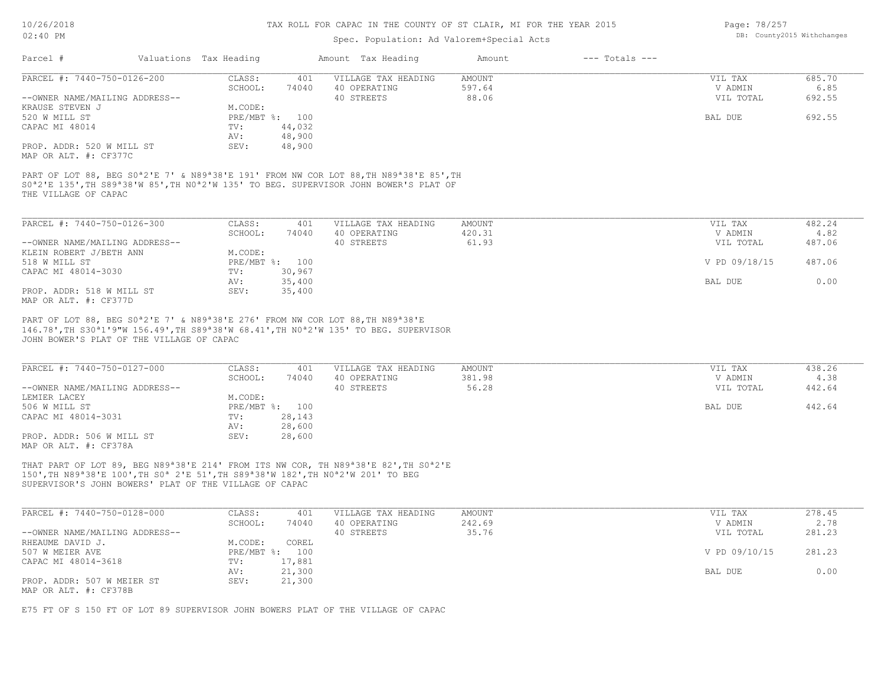# Spec. Population: Ad Valorem+Special Acts

| Page: 78/257 |                            |
|--------------|----------------------------|
|              | DB: County2015 Withchanges |

| PARCEL #: 7440-750-0126-200                                                                                                                                                                        |                                           | CLASS:         | 401    | VILLAGE TAX HEADING                                                                                                                                                                                                                                 | <b>AMOUNT</b> | VIL TAX       | 685.70 |
|----------------------------------------------------------------------------------------------------------------------------------------------------------------------------------------------------|-------------------------------------------|----------------|--------|-----------------------------------------------------------------------------------------------------------------------------------------------------------------------------------------------------------------------------------------------------|---------------|---------------|--------|
|                                                                                                                                                                                                    |                                           | SCHOOL:        | 74040  | 40 OPERATING                                                                                                                                                                                                                                        | 597.64        | V ADMIN       | 6.85   |
| --OWNER NAME/MAILING ADDRESS--                                                                                                                                                                     |                                           |                |        | 40 STREETS                                                                                                                                                                                                                                          | 88.06         | VIL TOTAL     | 692.55 |
| KRAUSE STEVEN J                                                                                                                                                                                    |                                           | M.CODE:        |        |                                                                                                                                                                                                                                                     |               |               |        |
| 520 W MILL ST                                                                                                                                                                                      |                                           | PRE/MBT %: 100 |        |                                                                                                                                                                                                                                                     |               | BAL DUE       | 692.55 |
| CAPAC MI 48014                                                                                                                                                                                     |                                           | TV:            | 44,032 |                                                                                                                                                                                                                                                     |               |               |        |
|                                                                                                                                                                                                    |                                           | AV:            | 48,900 |                                                                                                                                                                                                                                                     |               |               |        |
| PROP. ADDR: 520 W MILL ST                                                                                                                                                                          |                                           | SEV:           | 48,900 |                                                                                                                                                                                                                                                     |               |               |        |
| MAP OR ALT. #: CF377C                                                                                                                                                                              |                                           |                |        |                                                                                                                                                                                                                                                     |               |               |        |
| THE VILLAGE OF CAPAC                                                                                                                                                                               |                                           |                |        | SO <sup>a</sup> 2'E 135', TH S89 <sup>a</sup> 38'W 85', TH NO <sup>a</sup> 2'W 135' TO BEG. SUPERVISOR JOHN BOWER'S PLAT OF                                                                                                                         |               |               |        |
| PARCEL #: $7440-750-0126-300$                                                                                                                                                                      |                                           | CLASS:         | 401    | VILLAGE TAX HEADING                                                                                                                                                                                                                                 | AMOUNT        | VIL TAX       | 482.24 |
|                                                                                                                                                                                                    |                                           | SCHOOL:        | 74040  | 40 OPERATING                                                                                                                                                                                                                                        | 420.31        | V ADMIN       | 4.82   |
| --OWNER NAME/MAILING ADDRESS--                                                                                                                                                                     |                                           |                |        | 40 STREETS                                                                                                                                                                                                                                          | 61.93         | VIL TOTAL     | 487.06 |
| KLEIN ROBERT J/BETH ANN                                                                                                                                                                            |                                           | M.CODE:        |        |                                                                                                                                                                                                                                                     |               |               |        |
| 518 W MILL ST                                                                                                                                                                                      |                                           | PRE/MBT %: 100 |        |                                                                                                                                                                                                                                                     |               | V PD 09/18/15 | 487.06 |
|                                                                                                                                                                                                    |                                           | TV:            | 30,967 |                                                                                                                                                                                                                                                     |               |               |        |
|                                                                                                                                                                                                    |                                           |                | 35,400 |                                                                                                                                                                                                                                                     |               | BAL DUE       | 0.00   |
|                                                                                                                                                                                                    |                                           |                |        |                                                                                                                                                                                                                                                     |               |               |        |
|                                                                                                                                                                                                    |                                           | AV:            |        |                                                                                                                                                                                                                                                     |               |               |        |
|                                                                                                                                                                                                    |                                           | SEV:           | 35,400 |                                                                                                                                                                                                                                                     |               |               |        |
|                                                                                                                                                                                                    |                                           |                |        |                                                                                                                                                                                                                                                     |               |               |        |
|                                                                                                                                                                                                    |                                           |                |        | PART OF LOT 88, BEG S0 <sup>a</sup> 2'E 7' & N89 <sup>a</sup> 38'E 276' FROM NW COR LOT 88, TH N89 <sup>a</sup> 38'E<br>146.78', TH S30 <sup>a</sup> 1'9"W 156.49', TH S89 <sup>a</sup> 38'W 68.41', TH N0 <sup>a</sup> 2'W 135' TO BEG. SUPERVISOR |               |               |        |
|                                                                                                                                                                                                    | JOHN BOWER'S PLAT OF THE VILLAGE OF CAPAC |                |        |                                                                                                                                                                                                                                                     |               |               |        |
|                                                                                                                                                                                                    |                                           |                |        |                                                                                                                                                                                                                                                     |               |               |        |
|                                                                                                                                                                                                    |                                           | CLASS:         | 401    | VILLAGE TAX HEADING                                                                                                                                                                                                                                 | <b>AMOUNT</b> | VIL TAX       | 438.26 |
|                                                                                                                                                                                                    |                                           | SCHOOL:        | 74040  | 40 OPERATING                                                                                                                                                                                                                                        | 381.98        | V ADMIN       | 4.38   |
|                                                                                                                                                                                                    |                                           |                |        | 40 STREETS                                                                                                                                                                                                                                          | 56.28         | VIL TOTAL     | 442.64 |
|                                                                                                                                                                                                    |                                           | M.CODE:        |        |                                                                                                                                                                                                                                                     |               |               |        |
|                                                                                                                                                                                                    |                                           | PRE/MBT %: 100 |        |                                                                                                                                                                                                                                                     |               | BAL DUE       | 442.64 |
|                                                                                                                                                                                                    |                                           | TV:            | 28,143 |                                                                                                                                                                                                                                                     |               |               |        |
| CAPAC MI 48014-3030<br>PROP. ADDR: 518 W MILL ST<br>MAP OR ALT. #: CF377D<br>PARCEL #: 7440-750-0127-000<br>--OWNER NAME/MAILING ADDRESS--<br>LEMIER LACEY<br>506 W MILL ST<br>CAPAC MI 48014-3031 |                                           | AV:            | 28,600 |                                                                                                                                                                                                                                                     |               |               |        |
| PROP. ADDR: 506 W MILL ST                                                                                                                                                                          |                                           | SEV:           | 28,600 |                                                                                                                                                                                                                                                     |               |               |        |

SUPERVISOR'S JOHN BOWERS' PLAT OF THE VILLAGE OF CAPAC 150',TH N89ª38'E 100',TH S0ª 2'E 51',TH S89ª38'W 182',TH N0ª2'W 201' TO BEG

| PARCEL #: 7440-750-0128-000    | CLASS:       | 401    | VILLAGE TAX HEADING | AMOUNT | VIL TAX       | 278.45 |
|--------------------------------|--------------|--------|---------------------|--------|---------------|--------|
|                                | SCHOOL:      | 74040  | 40 OPERATING        | 242.69 | V ADMIN       | 2.78   |
| --OWNER NAME/MAILING ADDRESS-- |              |        | 40 STREETS          | 35.76  | VIL TOTAL     | 281.23 |
| RHEAUME DAVID J.               | M.CODE:      | COREL  |                     |        |               |        |
| 507 W MEIER AVE                | $PRE/MBT$ %: | 100    |                     |        | V PD 09/10/15 | 281.23 |
| CAPAC MI 48014-3618            | TV:          | 17,881 |                     |        |               |        |
|                                | AV:          | 21,300 |                     |        | BAL DUE       | 0.00   |
| PROP. ADDR: 507 W MEIER ST     | SEV:         | 21,300 |                     |        |               |        |
| MAP OR ALT. #: CF378B          |              |        |                     |        |               |        |

E75 FT OF S 150 FT OF LOT 89 SUPERVISOR JOHN BOWERS PLAT OF THE VILLAGE OF CAPAC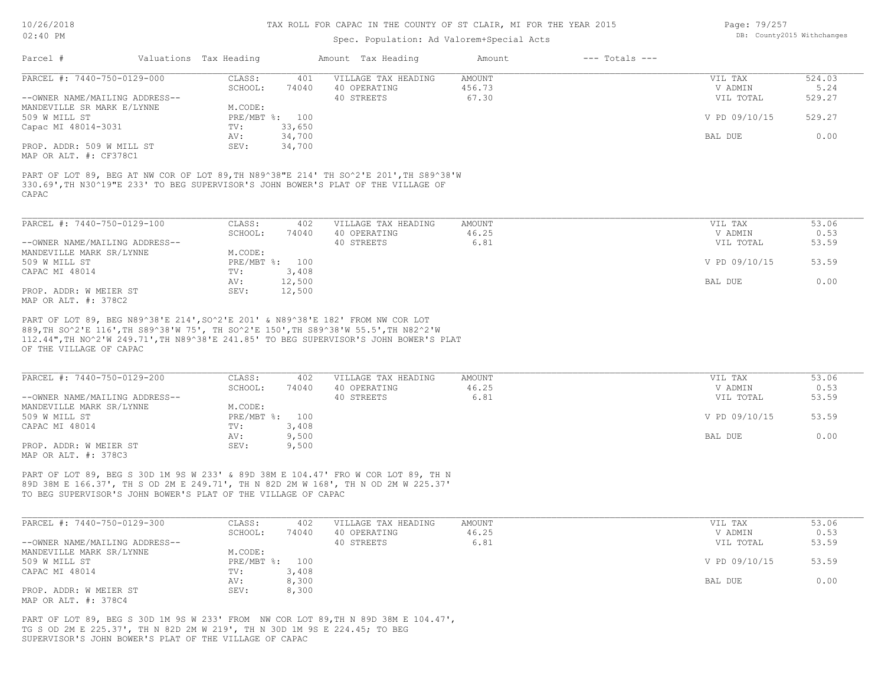### Spec. Population: Ad Valorem+Special Acts

| Page: 79/257 |                            |
|--------------|----------------------------|
|              | DB: County2015 Withchanges |

| Parcel #                       | Valuations Tax Heading |                | Amount Tax Heading                                                                    | Amount | $---$ Totals $---$ |               |        |
|--------------------------------|------------------------|----------------|---------------------------------------------------------------------------------------|--------|--------------------|---------------|--------|
| PARCEL #: 7440-750-0129-000    | CLASS:                 | 401            | VILLAGE TAX HEADING                                                                   | AMOUNT |                    | VIL TAX       | 524.03 |
|                                | SCHOOL:                | 74040          | 40 OPERATING                                                                          | 456.73 |                    | V ADMIN       | 5.24   |
| --OWNER NAME/MAILING ADDRESS-- |                        |                | 40 STREETS                                                                            | 67.30  |                    | VIL TOTAL     | 529.27 |
| MANDEVILLE SR MARK E/LYNNE     | M.CODE:                |                |                                                                                       |        |                    |               |        |
| 509 W MILL ST                  |                        | PRE/MBT %: 100 |                                                                                       |        |                    | V PD 09/10/15 | 529.27 |
| Capac MI 48014-3031            | TV:                    | 33,650         |                                                                                       |        |                    |               |        |
|                                | AV:                    | 34,700         |                                                                                       |        |                    | BAL DUE       | 0.00   |
| PROP. ADDR: 509 W MILL ST      | SEV:                   | 34,700         |                                                                                       |        |                    |               |        |
| MAP OR ALT. #: CF378C1         |                        |                |                                                                                       |        |                    |               |        |
|                                |                        |                |                                                                                       |        |                    |               |        |
|                                |                        |                | PART OF LOT 89, BEG AT NW COR OF LOT 89, TH N89^38"E 214' TH SO^2'E 201', TH S89^38'W |        |                    |               |        |
|                                |                        |                | 330.69', TH N30^19"E 233' TO BEG SUPERVISOR'S JOHN BOWER'S PLAT OF THE VILLAGE OF     |        |                    |               |        |
| CAPAC                          |                        |                |                                                                                       |        |                    |               |        |

| PARCEL #: 7440-750-0129-100    | CLASS:     | 402    | VILLAGE TAX HEADING | AMOUNT | VIL TAX       | 53.06 |
|--------------------------------|------------|--------|---------------------|--------|---------------|-------|
|                                | SCHOOL:    | 74040  | 40 OPERATING        | 46.25  | V ADMIN       | 0.53  |
| --OWNER NAME/MAILING ADDRESS-- |            |        | 40 STREETS          | 6.81   | VIL TOTAL     | 53.59 |
| MANDEVILLE MARK SR/LYNNE       | M.CODE:    |        |                     |        |               |       |
| 509 W MILL ST                  | PRE/MBT %: | 100    |                     |        | V PD 09/10/15 | 53.59 |
| CAPAC MI 48014                 | TV:        | 3,408  |                     |        |               |       |
|                                | AV:        | 12,500 |                     |        | BAL DUE       | 0.00  |
| PROP. ADDR: W MEIER ST         | SEV:       | 12,500 |                     |        |               |       |
| MAP OR ALT. #: 378C2           |            |        |                     |        |               |       |

OF THE VILLAGE OF CAPAC 112.44",TH NO^2'W 249.71',TH N89^38'E 241.85' TO BEG SUPERVISOR'S JOHN BOWER'S PLAT 889,TH SO^2'E 116',TH S89^38'W 75', TH SO^2'E 150',TH S89^38'W 55.5',TH N82^2'W PART OF LOT 89, BEG N89^38'E 214',SO^2'E 201' & N89^38'E 182' FROM NW COR LOT

| PARCEL #: 7440-750-0129-200    | CLASS:  | 402            | VILLAGE TAX HEADING | AMOUNT | VIL TAX       | 53.06 |
|--------------------------------|---------|----------------|---------------------|--------|---------------|-------|
|                                | SCHOOL: | 74040          | 40 OPERATING        | 46.25  | V ADMIN       | 0.53  |
| --OWNER NAME/MAILING ADDRESS-- |         |                | 40 STREETS          | 6.81   | VIL TOTAL     | 53.59 |
| MANDEVILLE MARK SR/LYNNE       | M.CODE: |                |                     |        |               |       |
| 509 W MILL ST                  |         | PRE/MBT %: 100 |                     |        | V PD 09/10/15 | 53.59 |
| CAPAC MI 48014                 | TV:     | 3,408          |                     |        |               |       |
|                                | AV:     | 9,500          |                     |        | BAL DUE       | 0.00  |
| PROP. ADDR: W MEIER ST         | SEV:    | 9,500          |                     |        |               |       |
| MAP OR ALT. #: 378C3           |         |                |                     |        |               |       |

TO BEG SUPERVISOR'S JOHN BOWER'S PLAT OF THE VILLAGE OF CAPAC 89D 38M E 166.37', TH S OD 2M E 249.71', TH N 82D 2M W 168', TH N OD 2M W 225.37' PART OF LOT 89, BEG S 30D 1M 9S W 233' & 89D 38M E 104.47' FRO W COR LOT 89, TH N

| PARCEL #: 7440-750-0129-300    | CLASS:     | 402   | VILLAGE TAX HEADING | AMOUNT | VIL TAX       | 53.06 |
|--------------------------------|------------|-------|---------------------|--------|---------------|-------|
|                                | SCHOOL:    | 74040 | 40 OPERATING        | 46.25  | V ADMIN       | 0.53  |
| --OWNER NAME/MAILING ADDRESS-- |            |       | 40 STREETS          | 6.81   | VIL TOTAL     | 53.59 |
| MANDEVILLE MARK SR/LYNNE       | M.CODE:    |       |                     |        |               |       |
| 509 W MILL ST                  | PRE/MBT %: | 100   |                     |        | V PD 09/10/15 | 53.59 |
| CAPAC MI 48014                 | TV:        | 3,408 |                     |        |               |       |
|                                | AV:        | 8,300 |                     |        | BAL DUE       | 0.00  |
| PROP. ADDR: W MEIER ST         | SEV:       | 8,300 |                     |        |               |       |
| MAP OR ALT. #: 378C4           |            |       |                     |        |               |       |

SUPERVISOR'S JOHN BOWER'S PLAT OF THE VILLAGE OF CAPAC TG S OD 2M E 225.37', TH N 82D 2M W 219', TH N 30D 1M 9S E 224.45; TO BEG PART OF LOT 89, BEG S 30D 1M 9S W 233' FROM NW COR LOT 89,TH N 89D 38M E 104.47',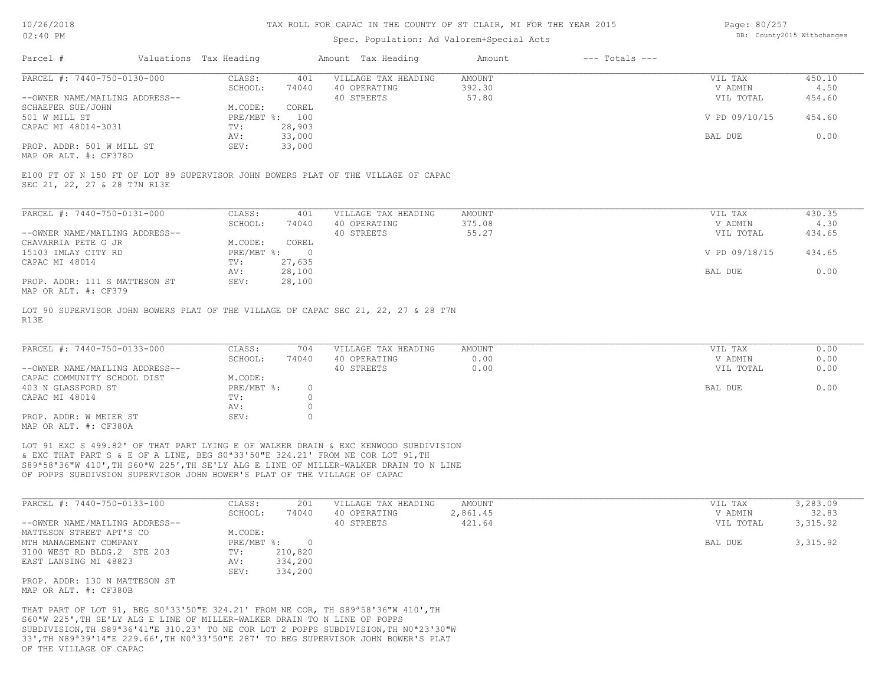## Spec. Population: Ad Valorem+Special Acts

| Page: 80/257 |                            |
|--------------|----------------------------|
|              | DB: County2015 Withchanges |

| Parcel #                       | Valuations Tax Heading |                | Amount Tax Heading  | Amount | $---$ Totals $---$ |               |        |
|--------------------------------|------------------------|----------------|---------------------|--------|--------------------|---------------|--------|
| PARCEL #: 7440-750-0130-000    | CLASS:                 | 401            | VILLAGE TAX HEADING | AMOUNT |                    | VIL TAX       | 450.10 |
|                                | SCHOOL:                | 74040          | 40 OPERATING        | 392.30 |                    | V ADMIN       | 4.50   |
| --OWNER NAME/MAILING ADDRESS-- |                        |                | 40 STREETS          | 57.80  |                    | VIL TOTAL     | 454.60 |
| SCHAEFER SUE/JOHN              | M.CODE:                | COREL          |                     |        |                    |               |        |
| 501 W MILL ST                  |                        | PRE/MBT %: 100 |                     |        |                    | V PD 09/10/15 | 454.60 |
| CAPAC MI 48014-3031            | TV:                    | 28,903         |                     |        |                    |               |        |
|                                | AV:                    | 33,000         |                     |        |                    | BAL DUE       | 0.00   |
| PROP. ADDR: 501 W MILL ST      | SEV:                   | 33,000         |                     |        |                    |               |        |
|                                |                        |                |                     |        |                    |               |        |

MAP OR ALT. #: CF378D

SEC 21, 22, 27 & 28 T7N R13E E100 FT OF N 150 FT OF LOT 89 SUPERVISOR JOHN BOWERS PLAT OF THE VILLAGE OF CAPAC

| PARCEL #: 7440-750-0131-000    | CLASS:     | 401    | VILLAGE TAX HEADING | AMOUNT | VIL TAX |               | 430.35 |
|--------------------------------|------------|--------|---------------------|--------|---------|---------------|--------|
|                                | SCHOOL:    | 74040  | 40 OPERATING        | 375.08 |         | V ADMIN       | 4.30   |
| --OWNER NAME/MAILING ADDRESS-- |            |        | 40 STREETS          | 55.27  |         | VIL TOTAL     | 434.65 |
| CHAVARRIA PETE G JR            | M.CODE:    | COREL  |                     |        |         |               |        |
| 15103 IMLAY CITY RD            | PRE/MBT %: |        |                     |        |         | V PD 09/18/15 | 434.65 |
| CAPAC MI 48014                 | TV:        | 27,635 |                     |        |         |               |        |
|                                | AV:        | 28,100 |                     |        | BAL DUE |               | 0.00   |
| PROP. ADDR: 111 S MATTESON ST  | SEV:       | 28,100 |                     |        |         |               |        |
| MAP OR ALT. #: CF379           |            |        |                     |        |         |               |        |

R13E LOT 90 SUPERVISOR JOHN BOWERS PLAT OF THE VILLAGE OF CAPAC SEC 21, 22, 27 & 28 T7N

| PARCEL #: 7440-750-0133-000    | CLASS:     | 704   | VILLAGE TAX HEADING | AMOUNT | VIL TAX   | 0.00 |
|--------------------------------|------------|-------|---------------------|--------|-----------|------|
|                                | SCHOOL:    | 74040 | 40 OPERATING        | 0.00   | V ADMIN   | 0.00 |
| --OWNER NAME/MAILING ADDRESS-- |            |       | 40 STREETS          | 0.00   | VIL TOTAL | 0.00 |
| CAPAC COMMUNITY SCHOOL DIST    | M.CODE:    |       |                     |        |           |      |
| 403 N GLASSFORD ST             | PRE/MBT %: |       |                     |        | BAL DUE   | 0.00 |
| CAPAC MI 48014                 | TV:        |       |                     |        |           |      |
|                                | AV:        |       |                     |        |           |      |
| PROP. ADDR: W MEIER ST         | SEV:       |       |                     |        |           |      |
| MAP OR ALT. #: CF380A          |            |       |                     |        |           |      |

OF POPPS SUBDIVSION SUPERVISOR JOHN BOWER'S PLAT OF THE VILLAGE OF CAPAC S89ª58'36"W 410',TH S60ªW 225',TH SE'LY ALG E LINE OF MILLER-WALKER DRAIN TO N LINE & EXC THAT PART S & E OF A LINE, BEG S0ª33'50"E 324.21' FROM NE COR LOT 91,TH LOT 91 EXC S 499.82' OF THAT PART LYING E OF WALKER DRAIN & EXC KENWOOD SUBDIVISION

| PARCEL #: 7440-750-0133-100    | CLASS:     | 201     | VILLAGE TAX HEADING | AMOUNT   | VIL TAX   | 3,283.09 |
|--------------------------------|------------|---------|---------------------|----------|-----------|----------|
|                                | SCHOOL:    | 74040   | 40 OPERATING        | 2,861.45 | V ADMIN   | 32.83    |
| --OWNER NAME/MAILING ADDRESS-- |            |         | 40 STREETS          | 421.64   | VIL TOTAL | 3,315.92 |
| MATTESON STREET APT'S CO       | M.CODE:    |         |                     |          |           |          |
| MTH MANAGEMENT COMPANY         | PRE/MBT %: |         |                     |          | BAL DUE   | 3,315.92 |
| 3100 WEST RD BLDG.2 STE 203    | TV:        | 210,820 |                     |          |           |          |
| EAST LANSING MI 48823          | AV:        | 334,200 |                     |          |           |          |
|                                | SEV:       | 334,200 |                     |          |           |          |
| PROP. ADDR: 130 N MATTESON ST  |            |         |                     |          |           |          |

MAP OR ALT. #: CF380B

OF THE VILLAGE OF CAPAC 33',TH N89ª39'14"E 229.66',TH N0ª33'50"E 287' TO BEG SUPERVISOR JOHN BOWER'S PLAT SUBDIVISION,TH S89ª36'41"E 310.23' TO NE COR LOT 2 POPPS SUBDIVISION,TH N0ª23'30"W S60ªW 225',TH SE'LY ALG E LINE OF MILLER-WALKER DRAIN TO N LINE OF POPPS THAT PART OF LOT 91, BEG S0ª33'50"E 324.21' FROM NE COR, TH S89ª58'36"W 410',TH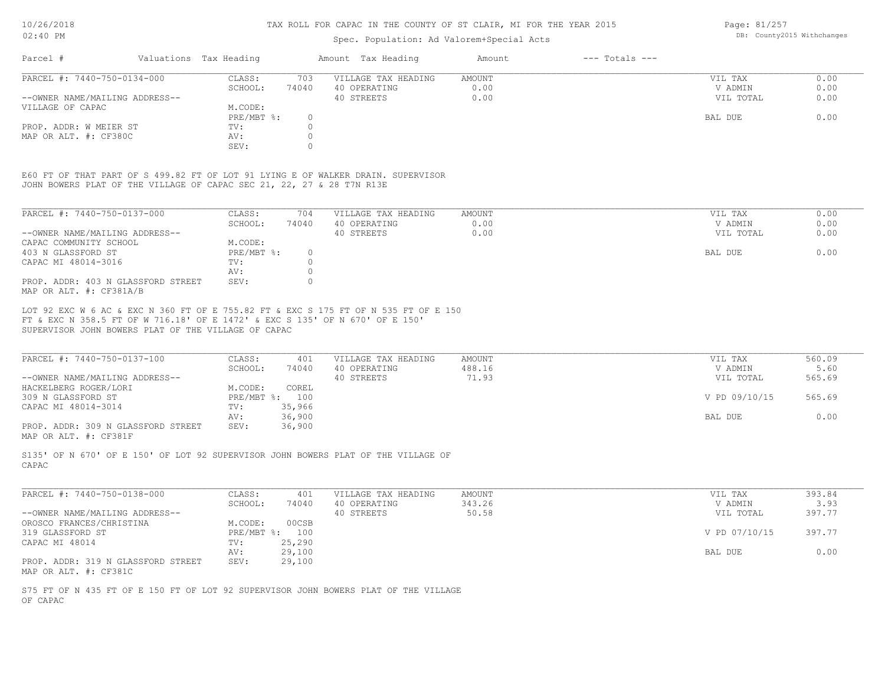## Spec. Population: Ad Valorem+Special Acts

Page: 81/257 DB: County2015 Withchanges

| Parcel #                       | Valuations Tax Heading |       | Amount Tax Heading  | Amount | $---$ Totals $---$ |           |      |
|--------------------------------|------------------------|-------|---------------------|--------|--------------------|-----------|------|
| PARCEL #: 7440-750-0134-000    | CLASS:                 | 703   | VILLAGE TAX HEADING | AMOUNT |                    | VIL TAX   | 0.00 |
|                                | SCHOOL:                | 74040 | 40 OPERATING        | 0.00   |                    | V ADMIN   | 0.00 |
| --OWNER NAME/MAILING ADDRESS-- |                        |       | 40 STREETS          | 0.00   |                    | VIL TOTAL | 0.00 |
| VILLAGE OF CAPAC               | M.CODE:                |       |                     |        |                    |           |      |
|                                | $PRE/MBT$ %:           |       |                     |        |                    | BAL DUE   | 0.00 |
| PROP. ADDR: W MEIER ST         | TV:                    |       |                     |        |                    |           |      |
| MAP OR ALT. #: CF380C          | AV:                    |       |                     |        |                    |           |      |
|                                | SEV:                   |       |                     |        |                    |           |      |

JOHN BOWERS PLAT OF THE VILLAGE OF CAPAC SEC 21, 22, 27 & 28 T7N R13E E60 FT OF THAT PART OF S 499.82 FT OF LOT 91 LYING E OF WALKER DRAIN. SUPERVISOR

| PARCEL #: 7440-750-0137-000                                   | CLASS:     | 704   | VILLAGE TAX HEADING | AMOUNT | 0.00<br>VIL TAX   |
|---------------------------------------------------------------|------------|-------|---------------------|--------|-------------------|
|                                                               | SCHOOL:    | 74040 | 40 OPERATING        | 0.00   | 0.00<br>V ADMIN   |
| --OWNER NAME/MAILING ADDRESS--                                |            |       | 40 STREETS          | 0.00   | 0.00<br>VIL TOTAL |
| CAPAC COMMUNITY SCHOOL                                        | M.CODE:    |       |                     |        |                   |
| 403 N GLASSFORD ST                                            | PRE/MBT %: | 0.    |                     |        | 0.00<br>BAL DUE   |
| CAPAC MI 48014-3016                                           | TV:        |       |                     |        |                   |
|                                                               | AV:        |       |                     |        |                   |
| PROP. ADDR: 403 N GLASSFORD STREET<br>MAP OR ALT. #: CF381A/B | SEV:       |       |                     |        |                   |

SUPERVISOR JOHN BOWERS PLAT OF THE VILLAGE OF CAPAC FT & EXC N 358.5 FT OF W 716.18' OF E 1472' & EXC S 135' OF N 670' OF E 150' LOT 92 EXC W 6 AC & EXC N 360 FT OF E 755.82 FT & EXC S 175 FT OF N 535 FT OF E 150

| PARCEL #: 7440-750-0137-100        | CLASS:  | 401            | VILLAGE TAX HEADING | AMOUNT | VIL TAX       | 560.09 |
|------------------------------------|---------|----------------|---------------------|--------|---------------|--------|
|                                    | SCHOOL: | 74040          | 40 OPERATING        | 488.16 | V ADMIN       | 5.60   |
| --OWNER NAME/MAILING ADDRESS--     |         |                | 40 STREETS          | 71.93  | VIL TOTAL     | 565.69 |
| HACKELBERG ROGER/LORI              | M.CODE: | COREL          |                     |        |               |        |
| 309 N GLASSFORD ST                 |         | PRE/MBT %: 100 |                     |        | V PD 09/10/15 | 565.69 |
| CAPAC MI 48014-3014                | TV:     | 35,966         |                     |        |               |        |
|                                    | AV:     | 36,900         |                     |        | BAL DUE       | 0.00   |
| PROP. ADDR: 309 N GLASSFORD STREET | SEV:    | 36,900         |                     |        |               |        |
|                                    |         |                |                     |        |               |        |

MAP OR ALT. #: CF381F

CAPAC S135' OF N 670' OF E 150' OF LOT 92 SUPERVISOR JOHN BOWERS PLAT OF THE VILLAGE OF

| PARCEL #: 7440-750-0138-000        | CLASS:  | 401            | VILLAGE TAX HEADING | AMOUNT | VIL TAX       | 393.84 |
|------------------------------------|---------|----------------|---------------------|--------|---------------|--------|
|                                    | SCHOOL: | 74040          | 40 OPERATING        | 343.26 | V ADMIN       | 3.93   |
| --OWNER NAME/MAILING ADDRESS--     |         |                | 40 STREETS          | 50.58  | VIL TOTAL     | 397.77 |
| OROSCO FRANCES/CHRISTINA           | M.CODE: | 00CSB          |                     |        |               |        |
| 319 GLASSFORD ST                   |         | PRE/MBT %: 100 |                     |        | V PD 07/10/15 | 397.77 |
| CAPAC MI 48014                     | TV:     | 25,290         |                     |        |               |        |
|                                    | AV:     | 29,100         |                     |        | BAL DUE       | 0.00   |
| PROP. ADDR: 319 N GLASSFORD STREET | SEV:    | 29,100         |                     |        |               |        |
| MAP OR ALT. #: CF381C              |         |                |                     |        |               |        |

OF CAPAC S75 FT OF N 435 FT OF E 150 FT OF LOT 92 SUPERVISOR JOHN BOWERS PLAT OF THE VILLAGE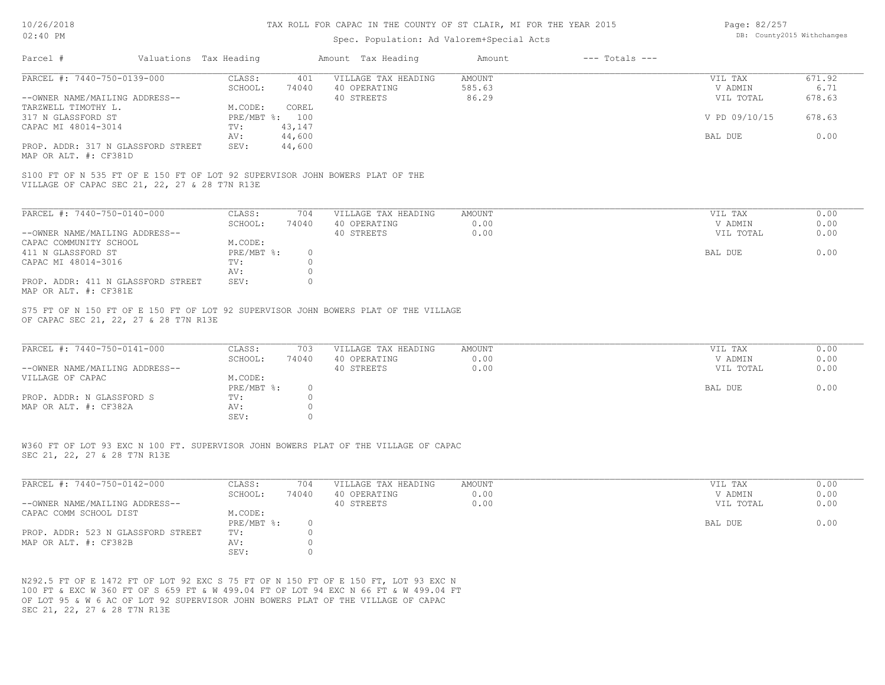| Page: 82/257 |                            |
|--------------|----------------------------|
|              | DB: County2015 Withchanges |

| 02:40 PM                                                                                                                                                                         |                                                                                                                                    | Spec. Population: Ad Valorem+Special Acts         | DB: County2015 Withchanges    |                    |                                            |                              |
|----------------------------------------------------------------------------------------------------------------------------------------------------------------------------------|------------------------------------------------------------------------------------------------------------------------------------|---------------------------------------------------|-------------------------------|--------------------|--------------------------------------------|------------------------------|
| Parcel #<br>Valuations Tax Heading                                                                                                                                               |                                                                                                                                    | Amount Tax Heading                                | Amount                        | $---$ Totals $---$ |                                            |                              |
| PARCEL #: 7440-750-0139-000                                                                                                                                                      | CLASS:<br>401                                                                                                                      | VILLAGE TAX HEADING                               | <b>AMOUNT</b>                 |                    | VIL TAX                                    | 671.92                       |
|                                                                                                                                                                                  | SCHOOL:<br>74040                                                                                                                   | 40 OPERATING                                      | 585.63                        |                    | V ADMIN                                    | 6.71                         |
| --OWNER NAME/MAILING ADDRESS--                                                                                                                                                   |                                                                                                                                    | 40 STREETS                                        | 86.29                         |                    | VIL TOTAL                                  | 678.63                       |
| TARZWELL TIMOTHY L.                                                                                                                                                              | M.CODE:<br>COREL                                                                                                                   |                                                   |                               |                    |                                            |                              |
| 317 N GLASSFORD ST                                                                                                                                                               | PRE/MBT %: 100                                                                                                                     |                                                   |                               |                    | V PD 09/10/15                              | 678.63                       |
| CAPAC MI 48014-3014                                                                                                                                                              | 43,147<br>TV:                                                                                                                      |                                                   |                               |                    |                                            |                              |
|                                                                                                                                                                                  | 44,600<br>AV:                                                                                                                      |                                                   |                               |                    | BAL DUE                                    | 0.00                         |
| PROP. ADDR: 317 N GLASSFORD STREET<br>MAP OR ALT. #: CF381D                                                                                                                      | SEV:<br>44,600                                                                                                                     |                                                   |                               |                    |                                            |                              |
| S100 FT OF N 535 FT OF E 150 FT OF LOT 92 SUPERVISOR JOHN BOWERS PLAT OF THE<br>VILLAGE OF CAPAC SEC 21, 22, 27 & 28 T7N R13E                                                    |                                                                                                                                    |                                                   |                               |                    |                                            |                              |
| PARCEL #: 7440-750-0140-000                                                                                                                                                      | CLASS:<br>704                                                                                                                      | VILLAGE TAX HEADING                               | <b>AMOUNT</b>                 |                    | VIL TAX                                    | 0.00                         |
|                                                                                                                                                                                  | SCHOOL:<br>74040                                                                                                                   | 40 OPERATING                                      | 0.00                          |                    | V ADMIN                                    | 0.00                         |
| --OWNER NAME/MAILING ADDRESS--                                                                                                                                                   |                                                                                                                                    | 40 STREETS                                        | 0.00                          |                    | VIL TOTAL                                  | 0.00                         |
| CAPAC COMMUNITY SCHOOL                                                                                                                                                           | M.CODE:                                                                                                                            |                                                   |                               |                    |                                            |                              |
| 411 N GLASSFORD ST                                                                                                                                                               | PRE/MBT %:<br>$\circ$                                                                                                              |                                                   |                               |                    | BAL DUE                                    | 0.00                         |
| CAPAC MI 48014-3016                                                                                                                                                              | $\circ$<br>TV:                                                                                                                     |                                                   |                               |                    |                                            |                              |
|                                                                                                                                                                                  | $\circ$<br>AV:                                                                                                                     |                                                   |                               |                    |                                            |                              |
| PROP. ADDR: 411 N GLASSFORD STREET<br>MAP OR ALT. #: CF381E                                                                                                                      | $\circ$<br>SEV:                                                                                                                    |                                                   |                               |                    |                                            |                              |
| OF CAPAC SEC 21, 22, 27 & 28 T7N R13E<br>PARCEL #: 7440-750-0141-000<br>--OWNER NAME/MAILING ADDRESS--<br>VILLAGE OF CAPAC<br>PROP. ADDR: N GLASSFORD S<br>MAP OR ALT. #: CF382A | CLASS:<br>703<br>SCHOOL:<br>74040<br>M.CODE:<br>$PRE/MBT$ $\div$<br>$\circ$<br>TV:<br>$\circ$<br>$\circ$<br>AV:<br>$\circ$<br>SEV: | VILLAGE TAX HEADING<br>40 OPERATING<br>40 STREETS | <b>AMOUNT</b><br>0.00<br>0.00 |                    | VIL TAX<br>V ADMIN<br>VIL TOTAL<br>BAL DUE | 0.00<br>0.00<br>0.00<br>0.00 |
| W360 FT OF LOT 93 EXC N 100 FT. SUPERVISOR JOHN BOWERS PLAT OF THE VILLAGE OF CAPAC<br>SEC 21, 22, 27 & 28 T7N R13E                                                              |                                                                                                                                    |                                                   |                               |                    |                                            |                              |
| PARCEL #: 7440-750-0142-000                                                                                                                                                      | CLASS:<br>704                                                                                                                      | VILLAGE TAX HEADING                               | <b>AMOUNT</b>                 |                    | VIL TAX                                    | 0.00                         |
|                                                                                                                                                                                  | SCHOOL:<br>74040                                                                                                                   | 40 OPERATING                                      | 0.00                          |                    | V ADMIN                                    | 0.00                         |
| --OWNER NAME/MAILING ADDRESS--                                                                                                                                                   |                                                                                                                                    | 40 STREETS                                        | 0.00                          |                    | VIL TOTAL                                  | 0.00                         |
| CAPAC COMM SCHOOL DIST                                                                                                                                                           | M.CODE:                                                                                                                            |                                                   |                               |                    |                                            |                              |
|                                                                                                                                                                                  | PRE/MBT %:<br>$\circ$                                                                                                              |                                                   |                               |                    | BAL DUE                                    | 0.00                         |
| PROP. ADDR: 523 N GLASSFORD STREET                                                                                                                                               | $\circ$<br>TV:<br>$\circ$                                                                                                          |                                                   |                               |                    |                                            |                              |
| MAP OR ALT. #: CF382B                                                                                                                                                            | AV:                                                                                                                                |                                                   |                               |                    |                                            |                              |
|                                                                                                                                                                                  | $\Omega$<br>SEV:                                                                                                                   |                                                   |                               |                    |                                            |                              |

SEC 21, 22, 27 & 28 T7N R13E OF LOT 95 & W 6 AC OF LOT 92 SUPERVISOR JOHN BOWERS PLAT OF THE VILLAGE OF CAPAC 100 FT & EXC W 360 FT OF S 659 FT & W 499.04 FT OF LOT 94 EXC N 66 FT & W 499.04 FT N292.5 FT OF E 1472 FT OF LOT 92 EXC S 75 FT OF N 150 FT OF E 150 FT, LOT 93 EXC N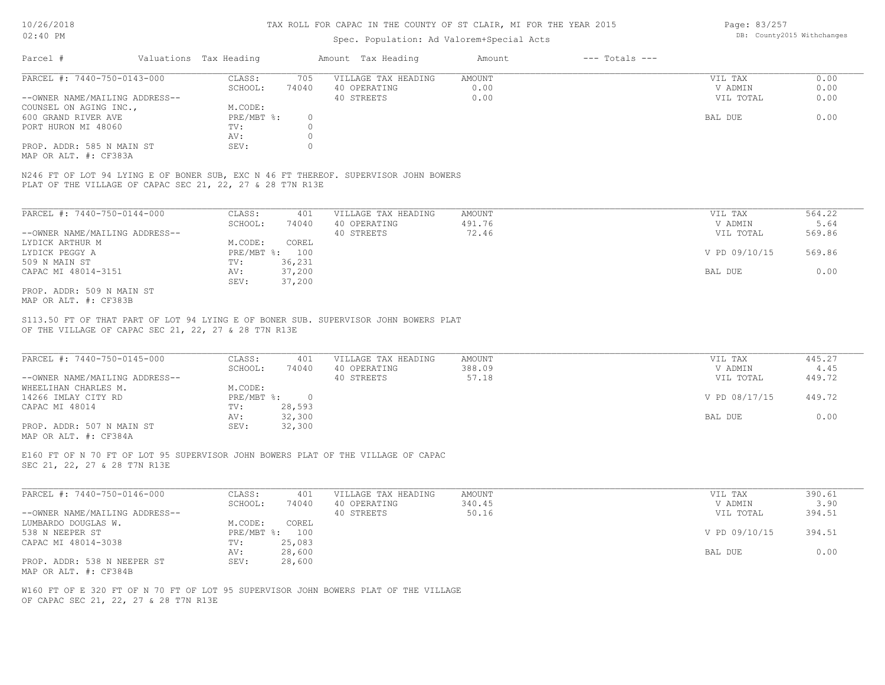### Spec. Population: Ad Valorem+Special Acts

Page: 83/257 DB: County2015 Withchanges

| Parcel #                       | Valuations Tax Heading |       | Amount Tax Heading  | Amount | $---$ Totals $---$ |           |      |
|--------------------------------|------------------------|-------|---------------------|--------|--------------------|-----------|------|
| PARCEL #: 7440-750-0143-000    | CLASS:                 | 705   | VILLAGE TAX HEADING | AMOUNT |                    | VIL TAX   | 0.00 |
|                                | SCHOOL:                | 74040 | 40 OPERATING        | 0.00   |                    | V ADMIN   | 0.00 |
| --OWNER NAME/MAILING ADDRESS-- |                        |       | 40 STREETS          | 0.00   |                    | VIL TOTAL | 0.00 |
| COUNSEL ON AGING INC.,         | M.CODE:                |       |                     |        |                    |           |      |
| 600 GRAND RIVER AVE            | $PRE/MBT$ %:           |       |                     |        |                    | BAL DUE   | 0.00 |
| PORT HURON MI 48060            | TV:                    |       |                     |        |                    |           |      |
|                                | AV:                    |       |                     |        |                    |           |      |
| PROP. ADDR: 585 N MAIN ST      | SEV:                   |       |                     |        |                    |           |      |
|                                |                        |       |                     |        |                    |           |      |

MAP OR ALT. #: CF383A

PLAT OF THE VILLAGE OF CAPAC SEC 21, 22, 27 & 28 T7N R13E N246 FT OF LOT 94 LYING E OF BONER SUB, EXC N 46 FT THEREOF. SUPERVISOR JOHN BOWERS

| PARCEL #: 7440-750-0144-000    | CLASS:       | 401    | VILLAGE TAX HEADING | AMOUNT | VIL TAX       | 564.22 |
|--------------------------------|--------------|--------|---------------------|--------|---------------|--------|
|                                | SCHOOL:      | 74040  | 40 OPERATING        | 491.76 | V ADMIN       | 5.64   |
| --OWNER NAME/MAILING ADDRESS-- |              |        | 40 STREETS          | 72.46  | VIL TOTAL     | 569.86 |
| LYDICK ARTHUR M                | M.CODE:      | COREL  |                     |        |               |        |
| LYDICK PEGGY A                 | $PRE/MBT$ %: | 100    |                     |        | V PD 09/10/15 | 569.86 |
| 509 N MAIN ST                  | TV:          | 36,231 |                     |        |               |        |
| CAPAC MI 48014-3151            | AV:          | 37,200 |                     |        | BAL DUE       | 0.00   |
|                                | SEV:         | 37,200 |                     |        |               |        |
| PROP. ADDR: 509 N MAIN ST      |              |        |                     |        |               |        |

MAP OR ALT. #: CF383B

OF THE VILLAGE OF CAPAC SEC 21, 22, 27 & 28 T7N R13E S113.50 FT OF THAT PART OF LOT 94 LYING E OF BONER SUB. SUPERVISOR JOHN BOWERS PLAT

| PARCEL #: 7440-750-0145-000    | CLASS:     | 401    | VILLAGE TAX HEADING | AMOUNT | VIL TAX       | 445.27 |
|--------------------------------|------------|--------|---------------------|--------|---------------|--------|
|                                | SCHOOL:    | 74040  | 40 OPERATING        | 388.09 | V ADMIN       | 4.45   |
| --OWNER NAME/MAILING ADDRESS-- |            |        | 40 STREETS          | 57.18  | VIL TOTAL     | 449.72 |
| WHEELIHAN CHARLES M.           | M.CODE:    |        |                     |        |               |        |
| 14266 IMLAY CITY RD            | PRE/MBT %: |        |                     |        | V PD 08/17/15 | 449.72 |
| CAPAC MI 48014                 | TV:        | 28,593 |                     |        |               |        |
|                                | AV:        | 32,300 |                     |        | BAL DUE       | 0.00   |
| PROP. ADDR: 507 N MAIN ST      | SEV:       | 32,300 |                     |        |               |        |
| MAP OR ALT. #: CF384A          |            |        |                     |        |               |        |

 $\mathcal{L}_\mathcal{L} = \mathcal{L}_\mathcal{L} = \mathcal{L}_\mathcal{L} = \mathcal{L}_\mathcal{L} = \mathcal{L}_\mathcal{L} = \mathcal{L}_\mathcal{L} = \mathcal{L}_\mathcal{L} = \mathcal{L}_\mathcal{L} = \mathcal{L}_\mathcal{L} = \mathcal{L}_\mathcal{L} = \mathcal{L}_\mathcal{L} = \mathcal{L}_\mathcal{L} = \mathcal{L}_\mathcal{L} = \mathcal{L}_\mathcal{L} = \mathcal{L}_\mathcal{L} = \mathcal{L}_\mathcal{L} = \mathcal{L}_\mathcal{L}$ 

SEC 21, 22, 27 & 28 T7N R13E E160 FT OF N 70 FT OF LOT 95 SUPERVISOR JOHN BOWERS PLAT OF THE VILLAGE OF CAPAC

| PARCEL #: 7440-750-0146-000    | CLASS:  | 401            | VILLAGE TAX HEADING | AMOUNT | VIL TAX       | 390.61 |
|--------------------------------|---------|----------------|---------------------|--------|---------------|--------|
|                                | SCHOOL: | 74040          | 40 OPERATING        | 340.45 | V ADMIN       | 3.90   |
| --OWNER NAME/MAILING ADDRESS-- |         |                | 40 STREETS          | 50.16  | VIL TOTAL     | 394.51 |
| LUMBARDO DOUGLAS W.            | M.CODE: | COREL          |                     |        |               |        |
| 538 N NEEPER ST                |         | PRE/MBT %: 100 |                     |        | V PD 09/10/15 | 394.51 |
| CAPAC MI 48014-3038            | TV:     | 25,083         |                     |        |               |        |
|                                | AV:     | 28,600         |                     |        | BAL DUE       | 0.00   |
| PROP. ADDR: 538 N NEEPER ST    | SEV:    | 28,600         |                     |        |               |        |
| MAP OR ALT. #: CF384B          |         |                |                     |        |               |        |

OF CAPAC SEC 21, 22, 27 & 28 T7N R13E W160 FT OF E 320 FT OF N 70 FT OF LOT 95 SUPERVISOR JOHN BOWERS PLAT OF THE VILLAGE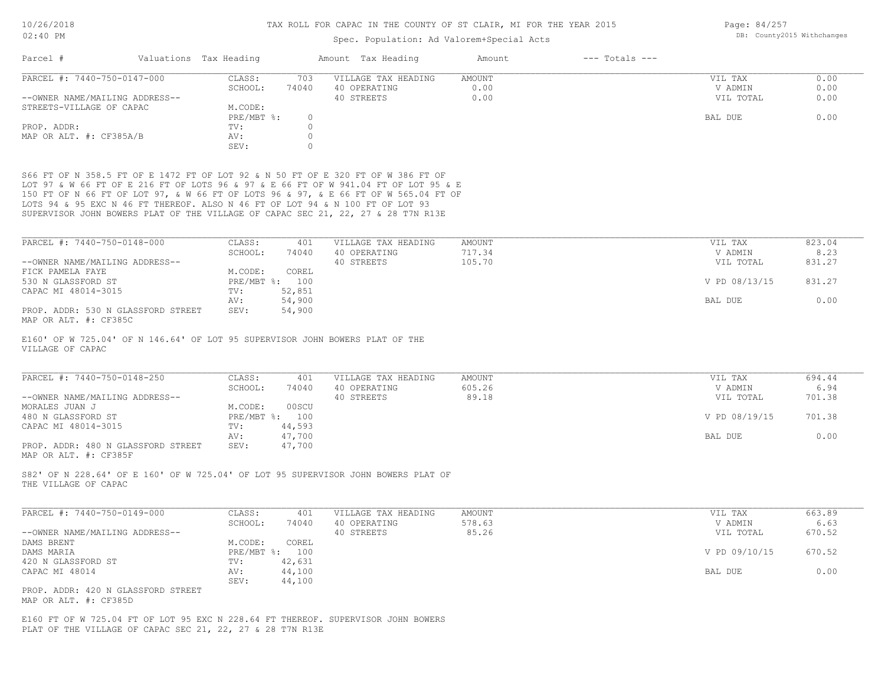Page: 84/257 DB: County2015 Withchanges

| UZIAU FM                                                                                                                                                                                                                                                                                                                                                                                                                            |                                    | Spec. Population: Ad Valorem+Special Acts | countyzors wrthchanges       |                      |                |
|-------------------------------------------------------------------------------------------------------------------------------------------------------------------------------------------------------------------------------------------------------------------------------------------------------------------------------------------------------------------------------------------------------------------------------------|------------------------------------|-------------------------------------------|------------------------------|----------------------|----------------|
| Parcel #<br>Valuations Tax Heading                                                                                                                                                                                                                                                                                                                                                                                                  |                                    | Amount Tax Heading                        | $---$ Totals $---$<br>Amount |                      |                |
| PARCEL #: 7440-750-0147-000                                                                                                                                                                                                                                                                                                                                                                                                         | CLASS:<br>703                      | VILLAGE TAX HEADING                       | <b>AMOUNT</b>                | VIL TAX              | 0.00           |
|                                                                                                                                                                                                                                                                                                                                                                                                                                     | SCHOOL:<br>74040                   | 40 OPERATING                              | 0.00                         | V ADMIN              | 0.00           |
| --OWNER NAME/MAILING ADDRESS--                                                                                                                                                                                                                                                                                                                                                                                                      |                                    | 40 STREETS                                | 0.00                         | VIL TOTAL            | 0.00           |
| STREETS-VILLAGE OF CAPAC                                                                                                                                                                                                                                                                                                                                                                                                            | M.CODE:                            |                                           |                              |                      |                |
|                                                                                                                                                                                                                                                                                                                                                                                                                                     | PRE/MBT %:<br>$\circ$              |                                           |                              | BAL DUE              | 0.00           |
| PROP. ADDR:                                                                                                                                                                                                                                                                                                                                                                                                                         | $\circ$<br>TV:                     |                                           |                              |                      |                |
| MAP OR ALT. #: CF385A/B                                                                                                                                                                                                                                                                                                                                                                                                             | $\circ$<br>AV:                     |                                           |                              |                      |                |
|                                                                                                                                                                                                                                                                                                                                                                                                                                     | SEV:<br>$\mathbf{0}$               |                                           |                              |                      |                |
| S66 FT OF N 358.5 FT OF E 1472 FT OF LOT 92 & N 50 FT OF E 320 FT OF W 386 FT OF<br>LOT 97 & W 66 FT OF E 216 FT OF LOTS 96 & 97 & E 66 FT OF W 941.04 FT OF LOT 95 & E<br>150 FT OF N 66 FT OF LOT 97, & W 66 FT OF LOTS 96 & 97, & E 66 FT OF W 565.04 FT OF<br>LOTS 94 & 95 EXC N 46 FT THEREOF. ALSO N 46 FT OF LOT 94 & N 100 FT OF LOT 93<br>SUPERVISOR JOHN BOWERS PLAT OF THE VILLAGE OF CAPAC SEC 21, 22, 27 & 28 T7N R13E |                                    |                                           |                              |                      |                |
| PARCEL #: 7440-750-0148-000                                                                                                                                                                                                                                                                                                                                                                                                         | CLASS:<br>401                      | VILLAGE TAX HEADING                       | AMOUNT                       | VIL TAX              | 823.04         |
|                                                                                                                                                                                                                                                                                                                                                                                                                                     | SCHOOL:<br>74040                   | 40 OPERATING                              | 717.34                       | V ADMIN              | 8.23           |
| --OWNER NAME/MAILING ADDRESS--                                                                                                                                                                                                                                                                                                                                                                                                      |                                    | 40 STREETS                                | 105.70                       |                      | 831.27         |
| FICK PAMELA FAYE                                                                                                                                                                                                                                                                                                                                                                                                                    | M.CODE:<br>COREL                   |                                           |                              | VIL TOTAL            |                |
| 530 N GLASSFORD ST                                                                                                                                                                                                                                                                                                                                                                                                                  | PRE/MBT %: 100                     |                                           |                              | V PD 08/13/15        | 831.27         |
|                                                                                                                                                                                                                                                                                                                                                                                                                                     |                                    |                                           |                              |                      |                |
| CAPAC MI 48014-3015                                                                                                                                                                                                                                                                                                                                                                                                                 | 52,851<br>TV:                      |                                           |                              | BAL DUE              | 0.00           |
| PROP. ADDR: 530 N GLASSFORD STREET<br>MAP OR ALT. #: CF385C                                                                                                                                                                                                                                                                                                                                                                         | 54,900<br>AV:<br>54,900<br>SEV:    |                                           |                              |                      |                |
| VILLAGE OF CAPAC                                                                                                                                                                                                                                                                                                                                                                                                                    |                                    |                                           |                              |                      |                |
| PARCEL #: 7440-750-0148-250                                                                                                                                                                                                                                                                                                                                                                                                         | CLASS:<br>401                      | VILLAGE TAX HEADING                       | AMOUNT<br>605.26             | VIL TAX              | 694.44<br>6.94 |
| --OWNER NAME/MAILING ADDRESS--                                                                                                                                                                                                                                                                                                                                                                                                      | SCHOOL:<br>74040                   | 40 OPERATING                              | 89.18                        | V ADMIN              | 701.38         |
|                                                                                                                                                                                                                                                                                                                                                                                                                                     | M.CODE:<br>00SCU                   | 40 STREETS                                |                              | VIL TOTAL            |                |
| MORALES JUAN J                                                                                                                                                                                                                                                                                                                                                                                                                      | PRE/MBT %: 100                     |                                           |                              | V PD 08/19/15        | 701.38         |
| 480 N GLASSFORD ST<br>CAPAC MI 48014-3015                                                                                                                                                                                                                                                                                                                                                                                           | 44,593<br>TV:                      |                                           |                              |                      |                |
|                                                                                                                                                                                                                                                                                                                                                                                                                                     | AV:<br>47,700                      |                                           |                              | BAL DUE              | 0.00           |
| PROP. ADDR: 480 N GLASSFORD STREET<br>MAP OR ALT. #: CF385F                                                                                                                                                                                                                                                                                                                                                                         | 47,700<br>SEV:                     |                                           |                              |                      |                |
| S82' OF N 228.64' OF E 160' OF W 725.04' OF LOT 95 SUPERVISOR JOHN BOWERS PLAT OF<br>THE VILLAGE OF CAPAC                                                                                                                                                                                                                                                                                                                           |                                    |                                           |                              |                      |                |
| PARCEL #: 7440-750-0149-000                                                                                                                                                                                                                                                                                                                                                                                                         | CLASS:<br>401                      | VILLAGE TAX HEADING                       | AMOUNT                       | VIL TAX              | 663.89         |
|                                                                                                                                                                                                                                                                                                                                                                                                                                     | SCHOOL:<br>74040                   | 40 OPERATING<br>40 STREETS                | 578.63<br>85.26              | V ADMIN<br>VIL TOTAL | 6.63<br>670.52 |
| --OWNER NAME/MAILING ADDRESS--                                                                                                                                                                                                                                                                                                                                                                                                      |                                    |                                           |                              |                      |                |
| DAMS BRENT                                                                                                                                                                                                                                                                                                                                                                                                                          | M.CODE:<br>COREL<br>PRE/MBT %: 100 |                                           |                              | V PD 09/10/15        | 670.52         |
| DAMS MARIA                                                                                                                                                                                                                                                                                                                                                                                                                          |                                    |                                           |                              |                      |                |
| 420 N GLASSFORD ST                                                                                                                                                                                                                                                                                                                                                                                                                  | 42,631<br>TV:                      |                                           |                              |                      |                |
| CAPAC MI 48014                                                                                                                                                                                                                                                                                                                                                                                                                      | 44,100<br>AV:                      |                                           |                              | BAL DUE              | 0.00           |
| PROP. ADDR: 420 N GLASSFORD STREET<br>MAP OR ALT. #: CF385D                                                                                                                                                                                                                                                                                                                                                                         | SEV:<br>44,100                     |                                           |                              |                      |                |
| E160 FT OF W 725.04 FT OF LOT 95 EXC N 228.64 FT THEREOF. SUPERVISOR JOHN BOWERS<br>PLAT OF THE VILLAGE OF CAPAC SEC 21, 22, 27 & 28 T7N R13E                                                                                                                                                                                                                                                                                       |                                    |                                           |                              |                      |                |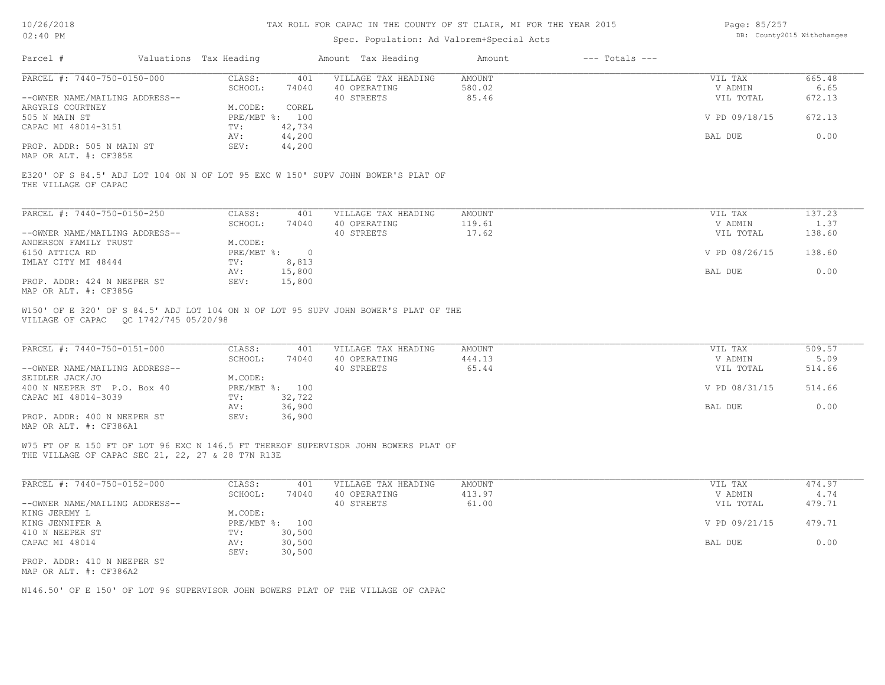| Page: 85/257 |                            |
|--------------|----------------------------|
|              | DB: County2015 Withchanges |

| Parcel #                                                      | Valuations Tax Heading |                         | Amount Tax Heading                                                                 | Amount                    | $---$ Totals $---$ |                                 |                          |
|---------------------------------------------------------------|------------------------|-------------------------|------------------------------------------------------------------------------------|---------------------------|--------------------|---------------------------------|--------------------------|
| PARCEL #: 7440-750-0150-000                                   | CLASS:                 | 401                     | VILLAGE TAX HEADING                                                                | <b>AMOUNT</b>             |                    | VIL TAX                         | 665.48                   |
|                                                               | SCHOOL:                | 74040                   | 40 OPERATING                                                                       | 580.02                    |                    | V ADMIN                         | 6.65                     |
| --OWNER NAME/MAILING ADDRESS--                                |                        |                         | 40 STREETS                                                                         | 85.46                     |                    | VIL TOTAL                       | 672.13                   |
| ARGYRIS COURTNEY<br>505 N MAIN ST                             | M.CODE:                | COREL<br>PRE/MBT %: 100 |                                                                                    |                           |                    | V PD 09/18/15                   | 672.13                   |
| CAPAC MI 48014-3151                                           | TV:                    | 42,734                  |                                                                                    |                           |                    |                                 |                          |
|                                                               | AV:                    | 44,200                  |                                                                                    |                           |                    | BAL DUE                         | 0.00                     |
| PROP. ADDR: 505 N MAIN ST<br>MAP OR ALT. #: CF385E            | SEV:                   | 44,200                  |                                                                                    |                           |                    |                                 |                          |
| THE VILLAGE OF CAPAC                                          |                        |                         | E320' OF S 84.5' ADJ LOT 104 ON N OF LOT 95 EXC W 150' SUPV JOHN BOWER'S PLAT OF   |                           |                    |                                 |                          |
| PARCEL #: 7440-750-0150-250                                   | CLASS:                 | 401                     | VILLAGE TAX HEADING                                                                | AMOUNT                    |                    | VIL TAX                         | 137.23                   |
|                                                               | SCHOOL:                | 74040                   | 40 OPERATING                                                                       | 119.61                    |                    | V ADMIN                         | 1.37                     |
| --OWNER NAME/MAILING ADDRESS--                                |                        |                         | 40 STREETS                                                                         | 17.62                     |                    | VIL TOTAL                       | 138.60                   |
| ANDERSON FAMILY TRUST                                         | M.CODE:                |                         |                                                                                    |                           |                    |                                 |                          |
| 6150 ATTICA RD                                                | $PRE/MBT$ $\div$ 0     |                         |                                                                                    |                           |                    | V PD 08/26/15                   | 138.60                   |
| IMLAY CITY MI 48444                                           | TV:                    | 8,813                   |                                                                                    |                           |                    |                                 |                          |
|                                                               | AV:                    | 15,800                  |                                                                                    |                           |                    | BAL DUE                         | 0.00                     |
| PROP. ADDR: 424 N NEEPER ST<br>MAP OR ALT. #: CF385G          | SEV:                   | 15,800                  |                                                                                    |                           |                    |                                 |                          |
| PARCEL #: 7440-750-0151-000<br>--OWNER NAME/MAILING ADDRESS-- | CLASS:<br>SCHOOL:      | 401<br>74040            | VILLAGE TAX HEADING<br>40 OPERATING<br>40 STREETS                                  | AMOUNT<br>444.13<br>65.44 |                    | VIL TAX<br>V ADMIN<br>VIL TOTAL | 509.57<br>5.09<br>514.66 |
| SEIDLER JACK/JO                                               | M.CODE:                |                         |                                                                                    |                           |                    |                                 |                          |
| 400 N NEEPER ST P.O. Box 40                                   | PRE/MBT %: 100         |                         |                                                                                    |                           |                    | V PD 08/31/15                   | 514.66                   |
| CAPAC MI 48014-3039                                           | TV:                    | 32,722                  |                                                                                    |                           |                    |                                 |                          |
|                                                               | AV:                    | 36,900                  |                                                                                    |                           |                    | BAL DUE                         | 0.00                     |
| PROP. ADDR: 400 N NEEPER ST<br>MAP OR ALT. #: CF386A1         | SEV:                   | 36,900                  |                                                                                    |                           |                    |                                 |                          |
| THE VILLAGE OF CAPAC SEC 21, 22, 27 & 28 T7N R13E             |                        |                         | W75 FT OF E 150 FT OF LOT 96 EXC N 146.5 FT THEREOF SUPERVISOR JOHN BOWERS PLAT OF |                           |                    |                                 |                          |
| PARCEL #: 7440-750-0152-000                                   | CLASS:                 | 401                     | VILLAGE TAX HEADING                                                                | <b>AMOUNT</b>             |                    | VIL TAX                         | 474.97                   |
|                                                               | SCHOOL:                | 74040                   | 40 OPERATING                                                                       | 413.97                    |                    | V ADMIN                         | 4.74                     |
| --OWNER NAME/MAILING ADDRESS--                                |                        |                         | 40 STREETS                                                                         | 61.00                     |                    | VIL TOTAL                       | 479.71                   |
| KING JEREMY L                                                 | M.CODE:                |                         |                                                                                    |                           |                    |                                 |                          |
| KING JENNIFER A                                               | PRE/MBT %: 100         |                         |                                                                                    |                           |                    | V PD 09/21/15                   | 479.71                   |
| 410 N NEEPER ST                                               | TV:                    | 30,500                  |                                                                                    |                           |                    |                                 |                          |
| CAPAC MI 48014                                                | AV:                    | 30,500                  |                                                                                    |                           |                    | BAL DUE                         | 0.00                     |
| PROP. ADDR: 410 N NEEPER ST<br>MAP OR ALT. #: CF386A2         | SEV:                   | 30,500                  |                                                                                    |                           |                    |                                 |                          |
|                                                               |                        |                         | N146.50' OF E 150' OF LOT 96 SUPERVISOR JOHN BOWERS PLAT OF THE VILLAGE OF CAPAC   |                           |                    |                                 |                          |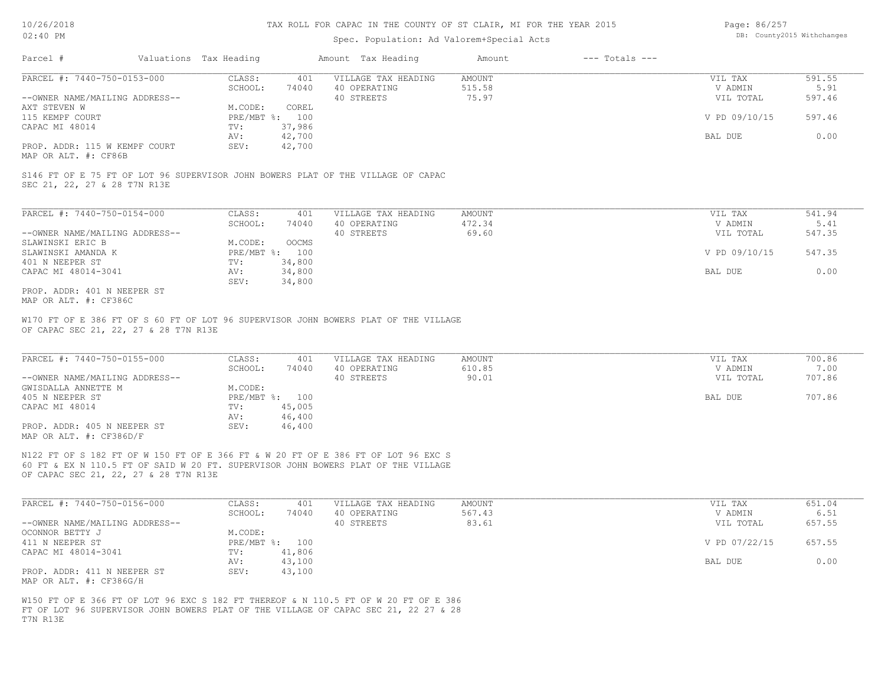## Spec. Population: Ad Valorem+Special Acts

| Page: 86/257 |                            |
|--------------|----------------------------|
|              | DB: County2015 Withchanges |

| Parcel #                                     | Valuations Tax Heading |                | Amount Tax Heading  | Amount | $---$ Totals $---$ |               |        |
|----------------------------------------------|------------------------|----------------|---------------------|--------|--------------------|---------------|--------|
| PARCEL #: 7440-750-0153-000                  | CLASS:                 | 401            | VILLAGE TAX HEADING | AMOUNT |                    | VIL TAX       | 591.55 |
|                                              | SCHOOL:                | 74040          | 40 OPERATING        | 515.58 |                    | V ADMIN       | 5.91   |
| --OWNER NAME/MAILING ADDRESS--               |                        |                | 40 STREETS          | 75.97  |                    | VIL TOTAL     | 597.46 |
| AXT STEVEN W                                 | M.CODE:                | COREL          |                     |        |                    |               |        |
| 115 KEMPF COURT                              |                        | PRE/MBT %: 100 |                     |        |                    | V PD 09/10/15 | 597.46 |
| CAPAC MI 48014                               | TV:                    | 37,986         |                     |        |                    |               |        |
|                                              | AV:                    | 42,700         |                     |        |                    | BAL DUE       | 0.00   |
| PROP. ADDR: 115 W KEMPF COURT                | SEV:                   | 42,700         |                     |        |                    |               |        |
| $\cdots$ $\cdots$ $\cdots$ $\cdots$ $\cdots$ |                        |                |                     |        |                    |               |        |

MAP OR ALT. #: CF86B

SEC 21, 22, 27 & 28 T7N R13E S146 FT OF E 75 FT OF LOT 96 SUPERVISOR JOHN BOWERS PLAT OF THE VILLAGE OF CAPAC

| PARCEL #: 7440-750-0154-000    | CLASS:       | 401          | VILLAGE TAX HEADING | AMOUNT | VIL TAX       | 541.94 |
|--------------------------------|--------------|--------------|---------------------|--------|---------------|--------|
|                                | SCHOOL:      | 74040        | 40 OPERATING        | 472.34 | V ADMIN       | 5.41   |
| --OWNER NAME/MAILING ADDRESS-- |              |              | 40 STREETS          | 69.60  | VIL TOTAL     | 547.35 |
| SLAWINSKI ERIC B               | M.CODE:      | <b>OOCMS</b> |                     |        |               |        |
| SLAWINSKI AMANDA K             | $PRE/MBT$ %: | 100          |                     |        | V PD 09/10/15 | 547.35 |
| 401 N NEEPER ST                | TV:          | 34,800       |                     |        |               |        |
| CAPAC MI 48014-3041            | AV:          | 34,800       |                     |        | BAL DUE       | 0.00   |
|                                | SEV:         | 34,800       |                     |        |               |        |
| PROP. ADDR: 401 N NEEPER ST    |              |              |                     |        |               |        |

MAP OR ALT. #: CF386C

OF CAPAC SEC 21, 22, 27 & 28 T7N R13E W170 FT OF E 386 FT OF S 60 FT OF LOT 96 SUPERVISOR JOHN BOWERS PLAT OF THE VILLAGE

| PARCEL #: 7440-750-0155-000    | CLASS:       | 401    | VILLAGE TAX HEADING | AMOUNT | VIL TAX   | 700.86 |
|--------------------------------|--------------|--------|---------------------|--------|-----------|--------|
|                                | SCHOOL:      | 74040  | 40 OPERATING        | 610.85 | V ADMIN   | 7.00   |
| --OWNER NAME/MAILING ADDRESS-- |              |        | 40 STREETS          | 90.01  | VIL TOTAL | 707.86 |
| GWISDALLA ANNETTE M            | M.CODE:      |        |                     |        |           |        |
| 405 N NEEPER ST                | $PRE/MBT$ %: | 100    |                     |        | BAL DUE   | 707.86 |
| CAPAC MI 48014                 | TV:          | 45,005 |                     |        |           |        |
|                                | AV:          | 46,400 |                     |        |           |        |
| PROP. ADDR: 405 N NEEPER ST    | SEV:         | 46,400 |                     |        |           |        |
| MAP OR ALT. #: CF386D/F        |              |        |                     |        |           |        |

 $\mathcal{L}_\mathcal{L} = \mathcal{L}_\mathcal{L} = \mathcal{L}_\mathcal{L} = \mathcal{L}_\mathcal{L} = \mathcal{L}_\mathcal{L} = \mathcal{L}_\mathcal{L} = \mathcal{L}_\mathcal{L} = \mathcal{L}_\mathcal{L} = \mathcal{L}_\mathcal{L} = \mathcal{L}_\mathcal{L} = \mathcal{L}_\mathcal{L} = \mathcal{L}_\mathcal{L} = \mathcal{L}_\mathcal{L} = \mathcal{L}_\mathcal{L} = \mathcal{L}_\mathcal{L} = \mathcal{L}_\mathcal{L} = \mathcal{L}_\mathcal{L}$ 

OF CAPAC SEC 21, 22, 27 & 28 T7N R13E 60 FT & EX N 110.5 FT OF SAID W 20 FT. SUPERVISOR JOHN BOWERS PLAT OF THE VILLAGE N122 FT OF S 182 FT OF W 150 FT OF E 366 FT & W 20 FT OF E 386 FT OF LOT 96 EXC S

| PARCEL #: 7440-750-0156-000                            | CLASS:  | 401            | VILLAGE TAX HEADING | AMOUNT | VIL TAX       | 651.04 |
|--------------------------------------------------------|---------|----------------|---------------------|--------|---------------|--------|
|                                                        | SCHOOL: | 74040          | 40 OPERATING        | 567.43 | V ADMIN       | 6.51   |
| --OWNER NAME/MAILING ADDRESS--                         |         |                | 40 STREETS          | 83.61  | VIL TOTAL     | 657.55 |
| OCONNOR BETTY J                                        | M.CODE: |                |                     |        |               |        |
| 411 N NEEPER ST                                        |         | PRE/MBT %: 100 |                     |        | V PD 07/22/15 | 657.55 |
| CAPAC MI 48014-3041                                    | TV:     | 41,806         |                     |        |               |        |
|                                                        | AV:     | 43,100         |                     |        | BAL DUE       | 0.00   |
| PROP. ADDR: 411 N NEEPER ST<br>MAP OR ALT. #: CF386G/H | SEV:    | 43,100         |                     |        |               |        |

T7N R13E FT OF LOT 96 SUPERVISOR JOHN BOWERS PLAT OF THE VILLAGE OF CAPAC SEC 21, 22 27 & 28 W150 FT OF E 366 FT OF LOT 96 EXC S 182 FT THEREOF & N 110.5 FT OF W 20 FT OF E 386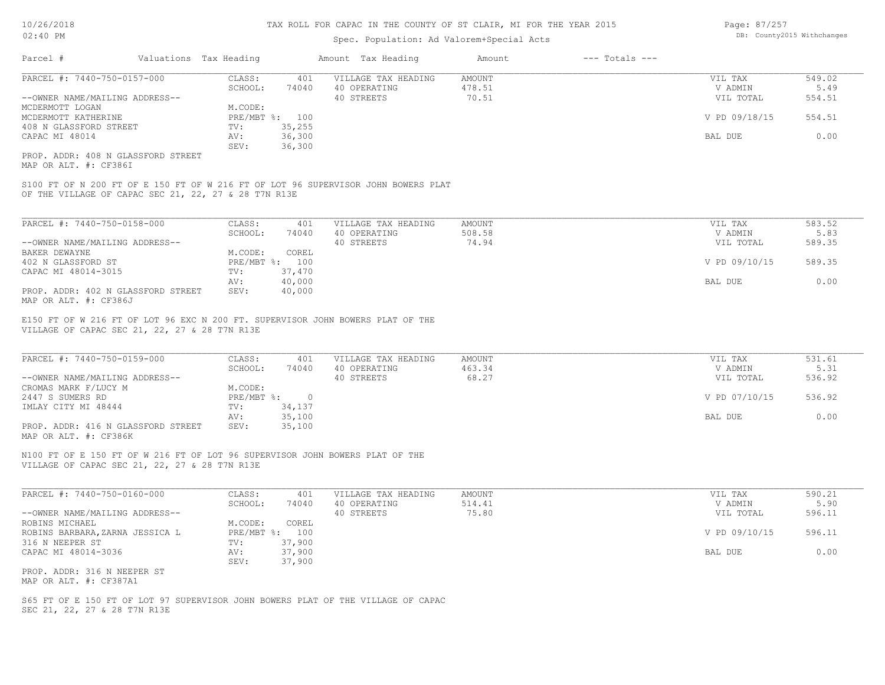### Spec. Population: Ad Valorem+Special Acts

| Parcel #                           | Valuations Tax Heading |        | Amount Tax Heading            | Amount  | $---$ Totals $---$ |               |        |
|------------------------------------|------------------------|--------|-------------------------------|---------|--------------------|---------------|--------|
| PARCEL #: 7440-750-0157-000        | CLASS:                 | 401    | AMOUNT<br>VILLAGE TAX HEADING | VIL TAX | 549.02             |               |        |
|                                    | SCHOOL:                | 74040  | 40 OPERATING                  | 478.51  |                    | V ADMIN       | 5.49   |
| --OWNER NAME/MAILING ADDRESS--     |                        |        | 40 STREETS                    | 70.51   |                    | VIL TOTAL     | 554.51 |
| MCDERMOTT LOGAN                    | M.CODE:                |        |                               |         |                    |               |        |
| MCDERMOTT KATHERINE                | PRE/MBT %:             | 100    |                               |         |                    | V PD 09/18/15 | 554.51 |
| 408 N GLASSFORD STREET             | TV:                    | 35,255 |                               |         |                    |               |        |
| CAPAC MI 48014                     | AV:                    | 36,300 |                               |         |                    | BAL DUE       | 0.00   |
|                                    | SEV:                   | 36,300 |                               |         |                    |               |        |
| PROP. ADDR: 408 N GLASSFORD STREET |                        |        |                               |         |                    |               |        |

MAP OR ALT. #: CF386I

OF THE VILLAGE OF CAPAC SEC 21, 22, 27 & 28 T7N R13E S100 FT OF N 200 FT OF E 150 FT OF W 216 FT OF LOT 96 SUPERVISOR JOHN BOWERS PLAT

| PARCEL #: 7440-750-0158-000        | CLASS:  | 401            | VILLAGE TAX HEADING | AMOUNT | VIL TAX       | 583.52 |
|------------------------------------|---------|----------------|---------------------|--------|---------------|--------|
|                                    | SCHOOL: | 74040          | 40 OPERATING        | 508.58 | V ADMIN       | 5.83   |
| --OWNER NAME/MAILING ADDRESS--     |         |                | 40 STREETS          | 74.94  | VIL TOTAL     | 589.35 |
| BAKER DEWAYNE                      | M.CODE: | COREL          |                     |        |               |        |
| 402 N GLASSFORD ST                 |         | PRE/MBT %: 100 |                     |        | V PD 09/10/15 | 589.35 |
| CAPAC MI 48014-3015                | TV:     | 37,470         |                     |        |               |        |
|                                    | AV:     | 40,000         |                     |        | BAL DUE       | 0.00   |
| PROP. ADDR: 402 N GLASSFORD STREET | SEV:    | 40,000         |                     |        |               |        |
| MAP OR ALT. #: CF386J              |         |                |                     |        |               |        |

VILLAGE OF CAPAC SEC 21, 22, 27 & 28 T7N R13E E150 FT OF W 216 FT OF LOT 96 EXC N 200 FT. SUPERVISOR JOHN BOWERS PLAT OF THE

| PARCEL #: 7440-750-0159-000        | CLASS:     | 401    | VILLAGE TAX HEADING | AMOUNT | VIL TAX       | 531.61 |
|------------------------------------|------------|--------|---------------------|--------|---------------|--------|
|                                    | SCHOOL:    | 74040  | 40 OPERATING        | 463.34 | V ADMIN       | 5.31   |
| --OWNER NAME/MAILING ADDRESS--     |            |        | 40 STREETS          | 68.27  | VIL TOTAL     | 536.92 |
| CROMAS MARK F/LUCY M               | M.CODE:    |        |                     |        |               |        |
| 2447 S SUMERS RD                   | PRE/MBT %: | $\cap$ |                     |        | V PD 07/10/15 | 536.92 |
| IMLAY CITY MI 48444                | TV:        | 34,137 |                     |        |               |        |
|                                    | AV:        | 35,100 |                     |        | BAL DUE       | 0.00   |
| PROP. ADDR: 416 N GLASSFORD STREET | SEV:       | 35,100 |                     |        |               |        |
| MAP OR ALT. #: CF386K              |            |        |                     |        |               |        |

 $\mathcal{L}_\mathcal{L} = \mathcal{L}_\mathcal{L} = \mathcal{L}_\mathcal{L} = \mathcal{L}_\mathcal{L} = \mathcal{L}_\mathcal{L} = \mathcal{L}_\mathcal{L} = \mathcal{L}_\mathcal{L} = \mathcal{L}_\mathcal{L} = \mathcal{L}_\mathcal{L} = \mathcal{L}_\mathcal{L} = \mathcal{L}_\mathcal{L} = \mathcal{L}_\mathcal{L} = \mathcal{L}_\mathcal{L} = \mathcal{L}_\mathcal{L} = \mathcal{L}_\mathcal{L} = \mathcal{L}_\mathcal{L} = \mathcal{L}_\mathcal{L}$ 

VILLAGE OF CAPAC SEC 21, 22, 27 & 28 T7N R13E N100 FT OF E 150 FT OF W 216 FT OF LOT 96 SUPERVISOR JOHN BOWERS PLAT OF THE

| PARCEL #: 7440-750-0160-000     | CLASS:       | 401    | VILLAGE TAX HEADING | AMOUNT | VIL TAX       | 590.21 |
|---------------------------------|--------------|--------|---------------------|--------|---------------|--------|
|                                 | SCHOOL:      | 74040  | 40 OPERATING        | 514.41 | V ADMIN       | 5.90   |
| --OWNER NAME/MAILING ADDRESS--  |              |        | 40 STREETS          | 75.80  | VIL TOTAL     | 596.11 |
| ROBINS MICHAEL                  | M.CODE:      | COREL  |                     |        |               |        |
| ROBINS BARBARA, ZARNA JESSICA L | $PRE/MBT$ %: | 100    |                     |        | V PD 09/10/15 | 596.11 |
| 316 N NEEPER ST                 | TV:          | 37,900 |                     |        |               |        |
| CAPAC MI 48014-3036             | AV:          | 37,900 |                     |        | BAL DUE       | 0.00   |
|                                 | SEV:         | 37,900 |                     |        |               |        |
| PROP. ADDR: 316 N NEEPER ST     |              |        |                     |        |               |        |

MAP OR ALT. #: CF387A1

SEC 21, 22, 27 & 28 T7N R13E S65 FT OF E 150 FT OF LOT 97 SUPERVISOR JOHN BOWERS PLAT OF THE VILLAGE OF CAPAC Page: 87/257 DB: County2015 Withchanges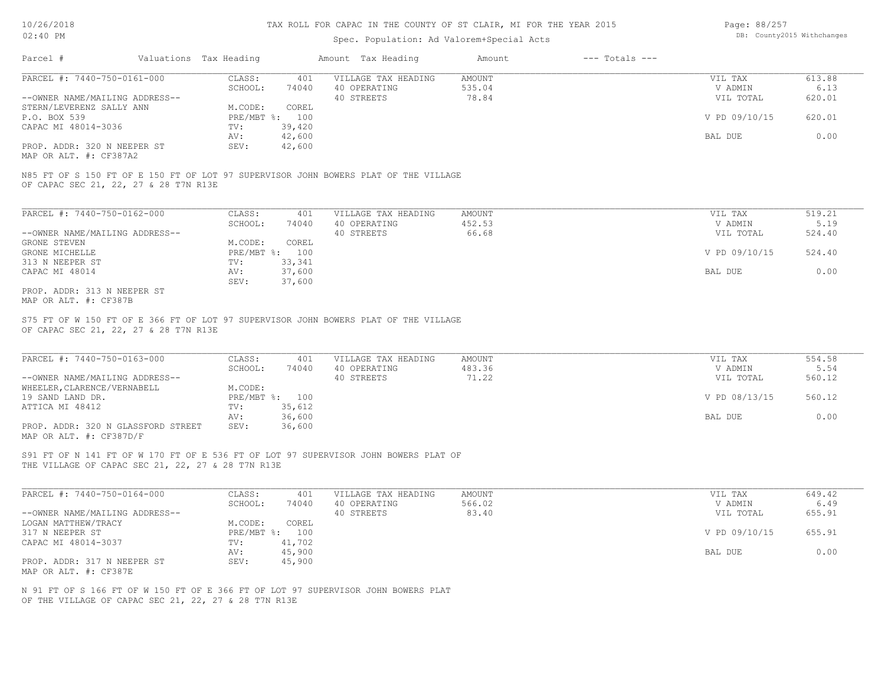### Spec. Population: Ad Valorem+Special Acts

| Page: 88/257 |                            |
|--------------|----------------------------|
|              | DB: County2015 Withchanges |

| Parcel #            |                                | Valuations Tax Heading |        | Amount Tax Heading  | Amount | $---$ Totals $---$ |               |        |
|---------------------|--------------------------------|------------------------|--------|---------------------|--------|--------------------|---------------|--------|
|                     | PARCEL #: 7440-750-0161-000    | CLASS:                 | 401    | VILLAGE TAX HEADING | AMOUNT |                    | VIL TAX       | 613.88 |
|                     |                                | SCHOOL:                | 74040  | 40 OPERATING        | 535.04 |                    | V ADMIN       | 6.13   |
|                     | --OWNER NAME/MAILING ADDRESS-- |                        |        | 40 STREETS          | 78.84  |                    | VIL TOTAL     | 620.01 |
|                     | STERN/LEVERENZ SALLY ANN       | M.CODE:                | COREL  |                     |        |                    |               |        |
| P.O. BOX 539        |                                | $PRE/MBT$ %:           | 100    |                     |        |                    | V PD 09/10/15 | 620.01 |
| CAPAC MI 48014-3036 |                                | TV:                    | 39,420 |                     |        |                    |               |        |
|                     |                                | AV:                    | 42,600 |                     |        |                    | BAL DUE       | 0.00   |
|                     | PROP. ADDR: 320 N NEEPER ST    | SEV:                   | 42,600 |                     |        |                    |               |        |

MAP OR ALT. #: CF387A2

OF CAPAC SEC 21, 22, 27 & 28 T7N R13E N85 FT OF S 150 FT OF E 150 FT OF LOT 97 SUPERVISOR JOHN BOWERS PLAT OF THE VILLAGE

| PARCEL #: 7440-750-0162-000    | CLASS:     | 401    | VILLAGE TAX HEADING | AMOUNT | VIL TAX       | 519.21 |
|--------------------------------|------------|--------|---------------------|--------|---------------|--------|
|                                | SCHOOL:    | 74040  | 40 OPERATING        | 452.53 | V ADMIN       | 5.19   |
| --OWNER NAME/MAILING ADDRESS-- |            |        | 40 STREETS          | 66.68  | VIL TOTAL     | 524.40 |
| GRONE STEVEN                   | M.CODE:    | COREL  |                     |        |               |        |
| GRONE MICHELLE                 | PRE/MBT %: | 100    |                     |        | V PD 09/10/15 | 524.40 |
| 313 N NEEPER ST                | TV:        | 33,341 |                     |        |               |        |
| CAPAC MI 48014                 | AV:        | 37,600 |                     |        | BAL DUE       | 0.00   |
|                                | SEV:       | 37,600 |                     |        |               |        |
| PROP. ADDR: 313 N NEEPER ST    |            |        |                     |        |               |        |

MAP OR ALT. #: CF387B

OF CAPAC SEC 21, 22, 27 & 28 T7N R13E S75 FT OF W 150 FT OF E 366 FT OF LOT 97 SUPERVISOR JOHN BOWERS PLAT OF THE VILLAGE

| PARCEL #: 7440-750-0163-000        | CLASS:       | 401    | VILLAGE TAX HEADING | AMOUNT | VIL TAX       | 554.58 |
|------------------------------------|--------------|--------|---------------------|--------|---------------|--------|
|                                    | SCHOOL:      | 74040  | 40 OPERATING        | 483.36 | V ADMIN       | 5.54   |
| --OWNER NAME/MAILING ADDRESS--     |              |        | 40 STREETS          | 71.22  | VIL TOTAL     | 560.12 |
| WHEELER, CLARENCE/VERNABELL        | M.CODE:      |        |                     |        |               |        |
| 19 SAND LAND DR.                   | $PRE/MBT$ %: | 100    |                     |        | V PD 08/13/15 | 560.12 |
| ATTICA MI 48412                    | TV:          | 35,612 |                     |        |               |        |
|                                    | AV:          | 36,600 |                     |        | BAL DUE       | 0.00   |
| PROP. ADDR: 320 N GLASSFORD STREET | SEV:         | 36,600 |                     |        |               |        |
| MAP OR ALT. #: CF387D/F            |              |        |                     |        |               |        |

 $\mathcal{L}_\mathcal{L} = \mathcal{L}_\mathcal{L} = \mathcal{L}_\mathcal{L} = \mathcal{L}_\mathcal{L} = \mathcal{L}_\mathcal{L} = \mathcal{L}_\mathcal{L} = \mathcal{L}_\mathcal{L} = \mathcal{L}_\mathcal{L} = \mathcal{L}_\mathcal{L} = \mathcal{L}_\mathcal{L} = \mathcal{L}_\mathcal{L} = \mathcal{L}_\mathcal{L} = \mathcal{L}_\mathcal{L} = \mathcal{L}_\mathcal{L} = \mathcal{L}_\mathcal{L} = \mathcal{L}_\mathcal{L} = \mathcal{L}_\mathcal{L}$ 

S91 FT OF N 141 FT OF W 170 FT OF E 536 FT OF LOT 97 SUPERVISOR JOHN BOWERS PLAT OF

THE VILLAGE OF CAPAC SEC 21, 22, 27 & 28 T7N R13E

| PARCEL #: 7440-750-0164-000    | CLASS:       | 401    | VILLAGE TAX HEADING | AMOUNT | VIL TAX       | 649.42 |
|--------------------------------|--------------|--------|---------------------|--------|---------------|--------|
|                                | SCHOOL:      | 74040  | 40 OPERATING        | 566.02 | V ADMIN       | 6.49   |
| --OWNER NAME/MAILING ADDRESS-- |              |        | 40 STREETS          | 83.40  | VIL TOTAL     | 655.91 |
| LOGAN MATTHEW/TRACY            | M.CODE:      | COREL  |                     |        |               |        |
| 317 N NEEPER ST                | $PRE/MBT$ %: | 100    |                     |        | V PD 09/10/15 | 655.91 |
| CAPAC MI 48014-3037            | TV:          | 41,702 |                     |        |               |        |
|                                | AV:          | 45,900 |                     |        | BAL DUE       | 0.00   |
| PROP. ADDR: 317 N NEEPER ST    | SEV:         | 45,900 |                     |        |               |        |
| MAP OR ALT. #: CF387E          |              |        |                     |        |               |        |

OF THE VILLAGE OF CAPAC SEC 21, 22, 27 & 28 T7N R13E N 91 FT OF S 166 FT OF W 150 FT OF E 366 FT OF LOT 97 SUPERVISOR JOHN BOWERS PLAT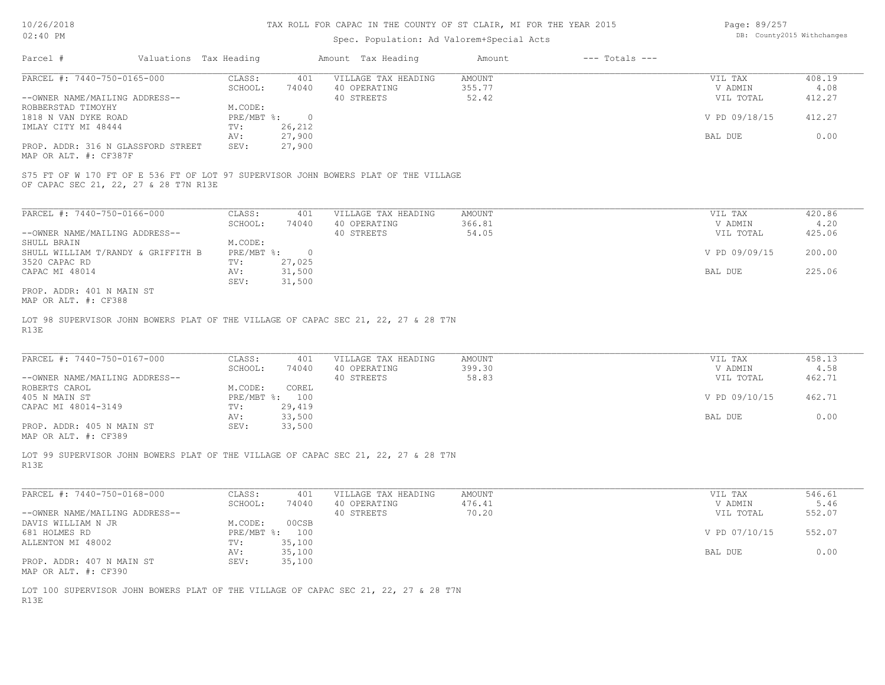### Spec. Population: Ad Valorem+Special Acts

Page: 89/257 DB: County2015 Withchanges

| Parcel #                                                    | Valuations Tax Heading |        | Amount Tax Heading  | Amount | $---$ Totals $---$ |               |        |
|-------------------------------------------------------------|------------------------|--------|---------------------|--------|--------------------|---------------|--------|
| PARCEL #: 7440-750-0165-000                                 | CLASS:                 | 401    | VILLAGE TAX HEADING | AMOUNT |                    | VIL TAX       | 408.19 |
|                                                             | SCHOOL:                | 74040  | 40 OPERATING        | 355.77 |                    | V ADMIN       | 4.08   |
| --OWNER NAME/MAILING ADDRESS--                              |                        |        | 40 STREETS          | 52.42  |                    | VIL TOTAL     | 412.27 |
| ROBBERSTAD TIMOYHY                                          | M.CODE:                |        |                     |        |                    |               |        |
| 1818 N VAN DYKE ROAD                                        | $PRE/MBT$ %:           |        |                     |        |                    | V PD 09/18/15 | 412.27 |
| IMLAY CITY MI 48444                                         | TV:                    | 26,212 |                     |        |                    |               |        |
|                                                             | AV:                    | 27,900 |                     |        |                    | BAL DUE       | 0.00   |
| PROP. ADDR: 316 N GLASSFORD STREET<br>MAP OR ALT. #: CF387F | SEV:                   | 27,900 |                     |        |                    |               |        |

OF CAPAC SEC 21, 22, 27 & 28 T7N R13E S75 FT OF W 170 FT OF E 536 FT OF LOT 97 SUPERVISOR JOHN BOWERS PLAT OF THE VILLAGE

| PARCEL #: 7440-750-0166-000        | CLASS:       | 401    | VILLAGE TAX HEADING | AMOUNT | VIL TAX       | 420.86 |
|------------------------------------|--------------|--------|---------------------|--------|---------------|--------|
|                                    | SCHOOL:      | 74040  | 40 OPERATING        | 366.81 | V ADMIN       | 4.20   |
| --OWNER NAME/MAILING ADDRESS--     |              |        | 40 STREETS          | 54.05  | VIL TOTAL     | 425.06 |
| SHULL BRAIN                        | M.CODE:      |        |                     |        |               |        |
| SHULL WILLIAM T/RANDY & GRIFFITH B | $PRE/MBT$ %: |        |                     |        | V PD 09/09/15 | 200.00 |
| 3520 CAPAC RD                      | TV:          | 27,025 |                     |        |               |        |
| CAPAC MI 48014                     | AV:          | 31,500 |                     |        | BAL DUE       | 225.06 |
|                                    | SEV:         | 31,500 |                     |        |               |        |
| PROP. ADDR: 401 N MAIN ST          |              |        |                     |        |               |        |

MAP OR ALT. #: CF388

R13E LOT 98 SUPERVISOR JOHN BOWERS PLAT OF THE VILLAGE OF CAPAC SEC 21, 22, 27 & 28 T7N

| PARCEL #: 7440-750-0167-000    | CLASS:  | 401            | VILLAGE TAX HEADING | AMOUNT | VIL TAX       | 458.13 |
|--------------------------------|---------|----------------|---------------------|--------|---------------|--------|
|                                | SCHOOL: | 74040          | 40 OPERATING        | 399.30 | V ADMIN       | 4.58   |
| --OWNER NAME/MAILING ADDRESS-- |         |                | 40 STREETS          | 58.83  | VIL TOTAL     | 462.71 |
| ROBERTS CAROL                  | M.CODE: | COREL          |                     |        |               |        |
| 405 N MAIN ST                  |         | PRE/MBT %: 100 |                     |        | V PD 09/10/15 | 462.71 |
| CAPAC MI 48014-3149            | TV:     | 29,419         |                     |        |               |        |
|                                | AV:     | 33,500         |                     |        | BAL DUE       | 0.00   |
| PROP. ADDR: 405 N MAIN ST      | SEV:    | 33,500         |                     |        |               |        |
|                                |         |                |                     |        |               |        |

MAP OR ALT. #: CF389

R13E LOT 99 SUPERVISOR JOHN BOWERS PLAT OF THE VILLAGE OF CAPAC SEC 21, 22, 27 & 28 T7N

| PARCEL #: 7440-750-0168-000    | CLASS:  | 401            | VILLAGE TAX HEADING | AMOUNT | VIL TAX       | 546.61 |
|--------------------------------|---------|----------------|---------------------|--------|---------------|--------|
|                                | SCHOOL: | 74040          | 40 OPERATING        | 476.41 | V ADMIN       | 5.46   |
| --OWNER NAME/MAILING ADDRESS-- |         |                | 40 STREETS          | 70.20  | VIL TOTAL     | 552.07 |
| DAVIS WILLIAM N JR             | M.CODE: | 00CSB          |                     |        |               |        |
| 681 HOLMES RD                  |         | PRE/MBT %: 100 |                     |        | V PD 07/10/15 | 552.07 |
| ALLENTON MI 48002              | TV:     | 35,100         |                     |        |               |        |
|                                | AV:     | 35,100         |                     |        | BAL DUE       | 0.00   |
| PROP. ADDR: 407 N MAIN ST      | SEV:    | 35,100         |                     |        |               |        |
| MAP OR ALT. #: CF390           |         |                |                     |        |               |        |

R13E LOT 100 SUPERVISOR JOHN BOWERS PLAT OF THE VILLAGE OF CAPAC SEC 21, 22, 27 & 28 T7N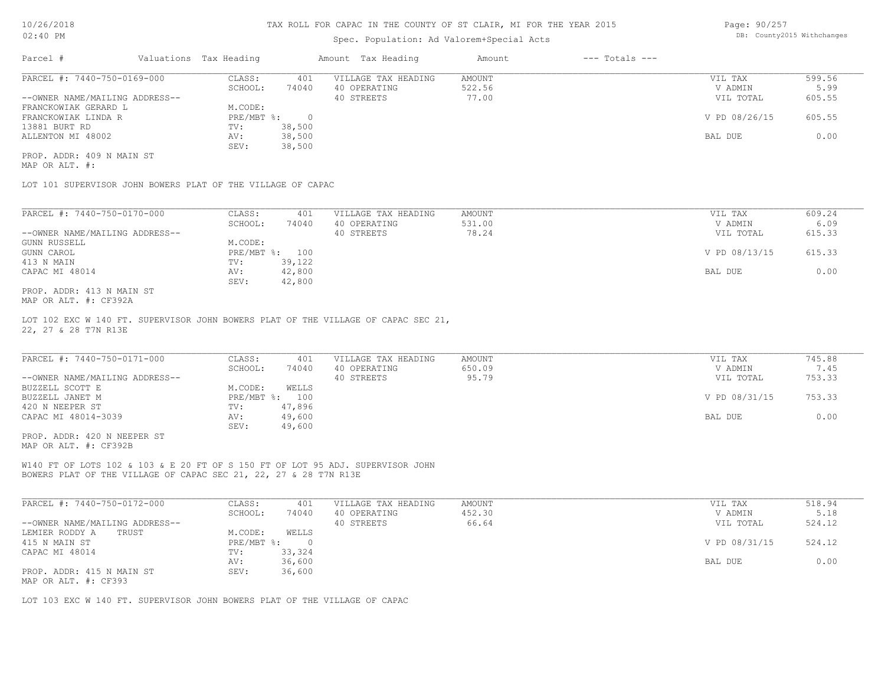## Spec. Population: Ad Valorem+Special Acts

Page: 90/257 DB: County2015 Withchanges

| Parcel #                       | Valuations Tax Heading |        | Amount Tax Heading  | Amount | $---$ Totals $---$ |               |        |
|--------------------------------|------------------------|--------|---------------------|--------|--------------------|---------------|--------|
| PARCEL #: 7440-750-0169-000    | CLASS:                 | 401    | VILLAGE TAX HEADING | AMOUNT |                    | VIL TAX       | 599.56 |
|                                | SCHOOL:                | 74040  | 40 OPERATING        | 522.56 |                    | V ADMIN       | 5.99   |
| --OWNER NAME/MAILING ADDRESS-- |                        |        | 40 STREETS          | 77.00  |                    | VIL TOTAL     | 605.55 |
| FRANCKOWIAK GERARD L           | M.CODE:                |        |                     |        |                    |               |        |
| FRANCKOWIAK LINDA R            | PRE/MBT %:             |        |                     |        |                    | V PD 08/26/15 | 605.55 |
| 13881 BURT RD                  | TV:                    | 38,500 |                     |        |                    |               |        |
| ALLENTON MI 48002              | AV:                    | 38,500 |                     |        |                    | BAL DUE       | 0.00   |
|                                | SEV:                   | 38,500 |                     |        |                    |               |        |
| PROP. ADDR: 409 N MAIN ST      |                        |        |                     |        |                    |               |        |

MAP OR ALT. #:

LOT 101 SUPERVISOR JOHN BOWERS PLAT OF THE VILLAGE OF CAPAC

| PARCEL #: 7440-750-0170-000    | CLASS:     | 401    | VILLAGE TAX HEADING | AMOUNT | 609.24<br>VIL TAX       |  |
|--------------------------------|------------|--------|---------------------|--------|-------------------------|--|
|                                | SCHOOL:    | 74040  | 40 OPERATING        | 531.00 | 6.09<br>V ADMIN         |  |
| --OWNER NAME/MAILING ADDRESS-- |            |        | 40 STREETS          | 78.24  | 615.33<br>VIL TOTAL     |  |
| GUNN RUSSELL                   | M.CODE:    |        |                     |        |                         |  |
| GUNN CAROL                     | PRE/MBT %: | 100    |                     |        | V PD 08/13/15<br>615.33 |  |
| 413 N MAIN                     | TV:        | 39,122 |                     |        |                         |  |
| CAPAC MI 48014                 | AV:        | 42,800 |                     |        | 0.00<br>BAL DUE         |  |
|                                | SEV:       | 42,800 |                     |        |                         |  |
| PROP. ADDR: 413 N MAIN ST      |            |        |                     |        |                         |  |

MAP OR ALT. #: CF392A

22, 27 & 28 T7N R13E LOT 102 EXC W 140 FT. SUPERVISOR JOHN BOWERS PLAT OF THE VILLAGE OF CAPAC SEC 21,

| PARCEL #: 7440-750-0171-000    | CLASS:  | 401            | VILLAGE TAX HEADING | AMOUNT | VIL TAX       | 745.88 |
|--------------------------------|---------|----------------|---------------------|--------|---------------|--------|
|                                | SCHOOL: | 74040          | 40 OPERATING        | 650.09 | V ADMIN       | 7.45   |
| --OWNER NAME/MAILING ADDRESS-- |         |                | 40 STREETS          | 95.79  | VIL TOTAL     | 753.33 |
| BUZZELL SCOTT E                | M.CODE: | WELLS          |                     |        |               |        |
| BUZZELL JANET M                |         | PRE/MBT %: 100 |                     |        | V PD 08/31/15 | 753.33 |
| 420 N NEEPER ST                | TV:     | 47,896         |                     |        |               |        |
| CAPAC MI 48014-3039            | AV:     | 49,600         |                     |        | BAL DUE       | 0.00   |
|                                | SEV:    | 49,600         |                     |        |               |        |
| PROP. ADDR: 420 N NEEPER ST    |         |                |                     |        |               |        |

MAP OR ALT. #: CF392B

BOWERS PLAT OF THE VILLAGE OF CAPAC SEC 21, 22, 27 & 28 T7N R13E W140 FT OF LOTS 102 & 103 & E 20 FT OF S 150 FT OF LOT 95 ADJ. SUPERVISOR JOHN

| PARCEL #: 7440-750-0172-000    | CLASS:     | 401    | VILLAGE TAX HEADING | AMOUNT | VIL TAX       | 518.94 |
|--------------------------------|------------|--------|---------------------|--------|---------------|--------|
|                                | SCHOOL:    | 74040  | 40 OPERATING        | 452.30 | V ADMIN       | 5.18   |
| --OWNER NAME/MAILING ADDRESS-- |            |        | 40 STREETS          | 66.64  | VIL TOTAL     | 524.12 |
| LEMIER RODDY A<br>TRUST        | M.CODE:    | WELLS  |                     |        |               |        |
| 415 N MAIN ST                  | PRE/MBT %: |        |                     |        | V PD 08/31/15 | 524.12 |
| CAPAC MI 48014                 | TV:        | 33,324 |                     |        |               |        |
|                                | AV:        | 36,600 |                     |        | BAL DUE       | 0.00   |
| PROP. ADDR: 415 N MAIN ST      | SEV:       | 36,600 |                     |        |               |        |
| MAP OR ALT. #: CF393           |            |        |                     |        |               |        |

LOT 103 EXC W 140 FT. SUPERVISOR JOHN BOWERS PLAT OF THE VILLAGE OF CAPAC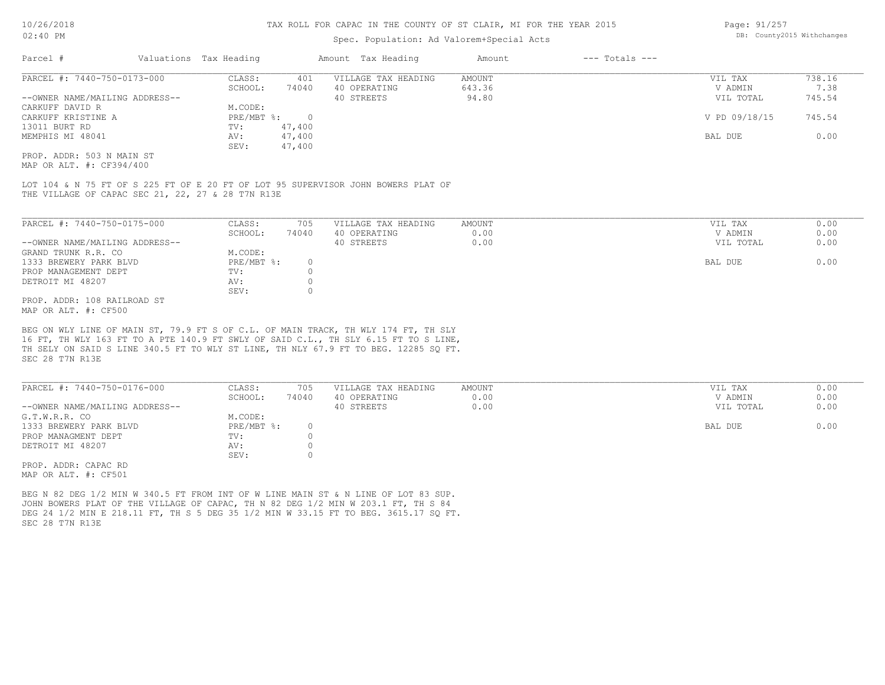### Spec. Population: Ad Valorem+Special Acts

| Parcel #                       | Valuations Tax Heading |        | Amount Tax Heading  | Amount | $---$ Totals $---$ |               |        |
|--------------------------------|------------------------|--------|---------------------|--------|--------------------|---------------|--------|
| PARCEL #: 7440-750-0173-000    | CLASS:                 | 401    | VILLAGE TAX HEADING | AMOUNT |                    | VIL TAX       | 738.16 |
|                                | SCHOOL:                | 74040  | 40 OPERATING        | 643.36 |                    | V ADMIN       | 7.38   |
| --OWNER NAME/MAILING ADDRESS-- |                        |        | 40 STREETS          | 94.80  |                    | VIL TOTAL     | 745.54 |
| CARKUFF DAVID R                | M.CODE:                |        |                     |        |                    |               |        |
| CARKUFF KRISTINE A             | PRE/MBT %:             |        |                     |        |                    | V PD 09/18/15 | 745.54 |
| 13011 BURT RD                  | TV:                    | 47,400 |                     |        |                    |               |        |
| MEMPHIS MI 48041               | AV:                    | 47,400 |                     |        |                    | BAL DUE       | 0.00   |
|                                | SEV:                   | 47,400 |                     |        |                    |               |        |
| PROP. ADDR: 503 N MAIN ST      |                        |        |                     |        |                    |               |        |

MAP OR ALT. #: CF394/400

THE VILLAGE OF CAPAC SEC 21, 22, 27 & 28 T7N R13E LOT 104 & N 75 FT OF S 225 FT OF E 20 FT OF LOT 95 SUPERVISOR JOHN BOWERS PLAT OF

| PARCEL #: 7440-750-0175-000    | CLASS:     | 705   | VILLAGE TAX HEADING | AMOUNT | VIL TAX   | 0.00 |
|--------------------------------|------------|-------|---------------------|--------|-----------|------|
|                                | SCHOOL:    | 74040 | 40 OPERATING        | 0.00   | V ADMIN   | 0.00 |
| --OWNER NAME/MAILING ADDRESS-- |            |       | 40 STREETS          | 0.00   | VIL TOTAL | 0.00 |
| GRAND TRUNK R.R. CO            | M.CODE:    |       |                     |        |           |      |
| 1333 BREWERY PARK BLVD         | PRE/MBT %: |       |                     |        | BAL DUE   | 0.00 |
| PROP MANAGEMENT DEPT           | TV:        |       |                     |        |           |      |
| DETROIT MI 48207               | AV:        |       |                     |        |           |      |
|                                | SEV:       |       |                     |        |           |      |
| PROP. ADDR: 108 RAILROAD ST    |            |       |                     |        |           |      |
|                                |            |       |                     |        |           |      |

MAP OR ALT. #: CF500

SEC 28 T7N R13E TH SELY ON SAID S LINE 340.5 FT TO WLY ST LINE, TH NLY 67.9 FT TO BEG. 12285 SQ FT. 16 FT, TH WLY 163 FT TO A PTE 140.9 FT SWLY OF SAID C.L., TH SLY 6.15 FT TO S LINE, BEG ON WLY LINE OF MAIN ST, 79.9 FT S OF C.L. OF MAIN TRACK, TH WLY 174 FT, TH SLY

| PARCEL #: 7440-750-0176-000    | CLASS:     | 705   | VILLAGE TAX HEADING | AMOUNT | VIL TAX   | 0.00 |
|--------------------------------|------------|-------|---------------------|--------|-----------|------|
|                                | SCHOOL:    | 74040 | 40 OPERATING        | 0.00   | V ADMIN   | 0.00 |
| --OWNER NAME/MAILING ADDRESS-- |            |       | 40 STREETS          | 0.00   | VIL TOTAL | 0.00 |
| G.T.W.R.R. CO                  | M.CODE:    |       |                     |        |           |      |
| 1333 BREWERY PARK BLVD         | PRE/MBT %: |       |                     |        | BAL DUE   | 0.00 |
| PROP MANAGMENT DEPT            | TV:        |       |                     |        |           |      |
| DETROIT MI 48207               | AV:        |       |                     |        |           |      |
|                                | SEV:       |       |                     |        |           |      |
| PROP. ADDR: CAPAC RD           |            |       |                     |        |           |      |

MAP OR ALT. #: CF501

SEC 28 T7N R13E DEG 24 1/2 MIN E 218.11 FT, TH S 5 DEG 35 1/2 MIN W 33.15 FT TO BEG. 3615.17 SO FT. JOHN BOWERS PLAT OF THE VILLAGE OF CAPAC, TH N 82 DEG 1/2 MIN W 203.1 FT, TH S 84 BEG N 82 DEG 1/2 MIN W 340.5 FT FROM INT OF W LINE MAIN ST & N LINE OF LOT 83 SUP.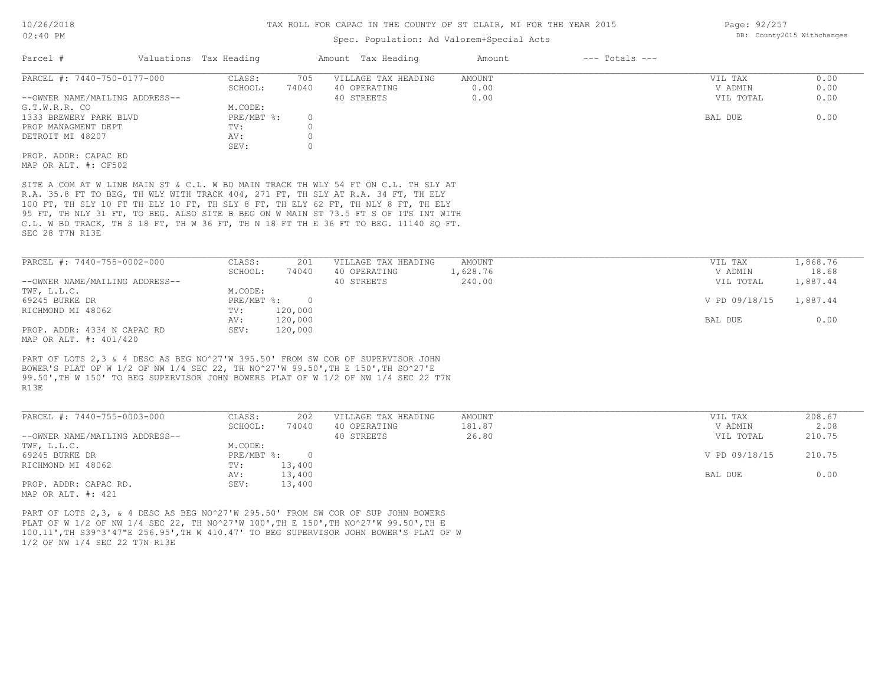## Spec. Population: Ad Valorem+Special Acts

| Parcel #                       | Valuations Tax Heading |       | Amount Tax Heading  | Amount | $---$ Totals $---$ |           |      |
|--------------------------------|------------------------|-------|---------------------|--------|--------------------|-----------|------|
| PARCEL #: 7440-750-0177-000    | CLASS:                 | 705   | VILLAGE TAX HEADING | AMOUNT |                    | VIL TAX   | 0.00 |
|                                | SCHOOL:                | 74040 | 40 OPERATING        | 0.00   |                    | V ADMIN   | 0.00 |
| --OWNER NAME/MAILING ADDRESS-- |                        |       | 40 STREETS          | 0.00   |                    | VIL TOTAL | 0.00 |
| G.T.W.R.R. CO                  | M.CODE:                |       |                     |        |                    |           |      |
| 1333 BREWERY PARK BLVD         | PRE/MBT %:             |       |                     |        |                    | BAL DUE   | 0.00 |
| PROP MANAGMENT DEPT            | TV:                    |       |                     |        |                    |           |      |
| DETROIT MI 48207               | AV:                    |       |                     |        |                    |           |      |
|                                | SEV:                   |       |                     |        |                    |           |      |
| PROP. ADDR: CAPAC RD           |                        |       |                     |        |                    |           |      |
| MAP OR ALT. #: CF502           |                        |       |                     |        |                    |           |      |

SEC 28 T7N R13E C.L. W BD TRACK, TH S 18 FT, TH W 36 FT, TH N 18 FT TH E 36 FT TO BEG. 11140 SQ FT. 95 FT, TH NLY 31 FT, TO BEG. ALSO SITE B BEG ON W MAIN ST 73.5 FT S OF ITS INT WITH 100 FT, TH SLY 10 FT TH ELY 10 FT, TH SLY 8 FT, TH ELY 62 FT, TH NLY 8 FT, TH ELY R.A. 35.8 FT TO BEG, TH WLY WITH TRACK 404, 271 FT, TH SLY AT R.A. 34 FT, TH ELY SITE A COM AT W LINE MAIN ST & C.L. W BD MAIN TRACK TH WLY 54 FT ON C.L. TH SLY AT

| PARCEL #: 7440-755-0002-000    | CLASS:       | 201     | VILLAGE TAX HEADING | AMOUNT   | VIL TAX       | 1,868.76 |
|--------------------------------|--------------|---------|---------------------|----------|---------------|----------|
|                                | SCHOOL:      | 74040   | 40 OPERATING        | 1,628.76 | V ADMIN       | 18.68    |
| --OWNER NAME/MAILING ADDRESS-- |              |         | 40 STREETS          | 240.00   | VIL TOTAL     | 1,887.44 |
| TWF, L.L.C.                    | M.CODE:      |         |                     |          |               |          |
| 69245 BURKE DR                 | $PRE/MBT$ %: |         |                     |          | V PD 09/18/15 | 1,887.44 |
| RICHMOND MI 48062              | TV:          | 120,000 |                     |          |               |          |
|                                | AV:          | 120,000 |                     |          | BAL DUE       | 0.00     |
| PROP. ADDR: 4334 N CAPAC RD    | SEV:         | 120,000 |                     |          |               |          |
| MAP OR ALT. #: 401/420         |              |         |                     |          |               |          |

R13E 99.50',TH W 150' TO BEG SUPERVISOR JOHN BOWERS PLAT OF W 1/2 OF NW 1/4 SEC 22 T7N BOWER'S PLAT OF W 1/2 OF NW 1/4 SEC 22, TH NO^27'W 99.50',TH E 150',TH SO^27'E PART OF LOTS 2,3 & 4 DESC AS BEG NO^27'W 395.50' FROM SW COR OF SUPERVISOR JOHN

| PARCEL #: 7440-755-0003-000    | CLASS:     | 202    | VILLAGE TAX HEADING | AMOUNT | VIL TAX       | 208.67 |
|--------------------------------|------------|--------|---------------------|--------|---------------|--------|
|                                | SCHOOL:    | 74040  | 40 OPERATING        | 181.87 | V ADMIN       | 2.08   |
| --OWNER NAME/MAILING ADDRESS-- |            |        | 40 STREETS          | 26.80  | VIL TOTAL     | 210.75 |
| TWF, L.L.C.                    | M.CODE:    |        |                     |        |               |        |
| 69245 BURKE DR                 | PRE/MBT %: |        |                     |        | V PD 09/18/15 | 210.75 |
| RICHMOND MI 48062              | TV:        | 13,400 |                     |        |               |        |
|                                | AV:        | 13,400 |                     |        | BAL DUE       | 0.00   |
| PROP. ADDR: CAPAC RD.          | SEV:       | 13,400 |                     |        |               |        |
| MAP OR ALT. #: 421             |            |        |                     |        |               |        |

1/2 OF NW 1/4 SEC 22 T7N R13E 100.11',TH S39^3'47"E 256.95',TH W 410.47' TO BEG SUPERVISOR JOHN BOWER'S PLAT OF W PLAT OF W 1/2 OF NW 1/4 SEC 22, TH NO^27'W 100',TH E 150',TH NO^27'W 99.50',TH E PART OF LOTS 2,3, & 4 DESC AS BEG NO^27'W 295.50' FROM SW COR OF SUP JOHN BOWERS

Page: 92/257 DB: County2015 Withchanges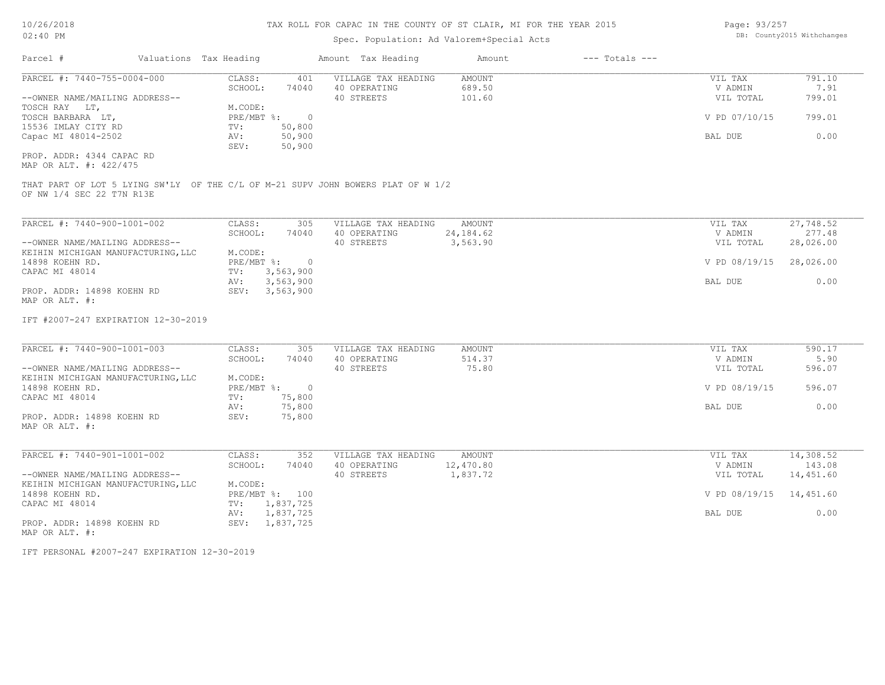# Spec. Population: Ad Valorem+Special Acts

| Page: 93/257 |                            |
|--------------|----------------------------|
|              | DB: County2015 Withchanges |

| Parcel #                                                                                                                                                                                                 | Valuations Tax Heading |                                                                                                                                  | Amount Tax Heading                                                               | Amount                           | $---$ Totals $---$ |                                                             |                                                            |
|----------------------------------------------------------------------------------------------------------------------------------------------------------------------------------------------------------|------------------------|----------------------------------------------------------------------------------------------------------------------------------|----------------------------------------------------------------------------------|----------------------------------|--------------------|-------------------------------------------------------------|------------------------------------------------------------|
| PARCEL #: 7440-755-0004-000<br>--OWNER NAME/MAILING ADDRESS--<br>TOSCH RAY LT,<br>TOSCH BARBARA LT,<br>15536 IMLAY CITY RD<br>Capac MI 48014-2502<br>PROP. ADDR: 4344 CAPAC RD<br>MAP OR ALT. #: 422/475 |                        | CLASS:<br>401<br>SCHOOL:<br>74040<br>M.CODE:<br>PRE/MBT %:<br>$\overline{0}$<br>50,800<br>TV:<br>50,900<br>AV:<br>50,900<br>SEV: | VILLAGE TAX HEADING<br>40 OPERATING<br>40 STREETS                                | AMOUNT<br>689.50<br>101.60       |                    | VIL TAX<br>V ADMIN<br>VIL TOTAL<br>V PD 07/10/15<br>BAL DUE | 791.10<br>7.91<br>799.01<br>799.01<br>0.00                 |
| OF NW 1/4 SEC 22 T7N R13E                                                                                                                                                                                |                        |                                                                                                                                  | THAT PART OF LOT 5 LYING SW'LY OF THE C/L OF M-21 SUPV JOHN BOWERS PLAT OF W 1/2 |                                  |                    |                                                             |                                                            |
| PARCEL #: 7440-900-1001-002<br>--OWNER NAME/MAILING ADDRESS--<br>KEIHIN MICHIGAN MANUFACTURING, LLC<br>14898 KOEHN RD.<br>CAPAC MI 48014                                                                 |                        | CLASS:<br>305<br>SCHOOL:<br>74040<br>M.CODE:<br>$PRE/MBT$ $\div$<br>$\overline{0}$<br>3,563,900<br>TV:                           | VILLAGE TAX HEADING<br>40 OPERATING<br>40 STREETS                                | AMOUNT<br>24, 184.62<br>3,563.90 |                    | VIL TAX<br>V ADMIN<br>VIL TOTAL<br>V PD 08/19/15            | $\overline{27,748.52}$<br>277.48<br>28,026.00<br>28,026.00 |
| PROP. ADDR: 14898 KOEHN RD<br>MAP OR ALT. #:                                                                                                                                                             |                        | 3,563,900<br>AV:<br>SEV: 3,563,900                                                                                               |                                                                                  |                                  |                    | BAL DUE                                                     | 0.00                                                       |
| IFT #2007-247 EXPIRATION 12-30-2019                                                                                                                                                                      |                        |                                                                                                                                  |                                                                                  |                                  |                    |                                                             |                                                            |
| PARCEL #: 7440-900-1001-003<br>--OWNER NAME/MAILING ADDRESS--<br>KEIHIN MICHIGAN MANUFACTURING, LLC                                                                                                      |                        | CLASS:<br>305<br>SCHOOL:<br>74040<br>M.CODE:                                                                                     | VILLAGE TAX HEADING<br>40 OPERATING<br>40 STREETS                                | AMOUNT<br>514.37<br>75.80        |                    | VIL TAX<br>V ADMIN<br>VIL TOTAL                             | 590.17<br>5.90<br>596.07                                   |
| 14898 KOEHN RD.<br>CAPAC MI 48014                                                                                                                                                                        |                        | $\overline{0}$<br>PRE/MBT %:<br>75,800<br>TV:<br>75,800<br>AV:                                                                   |                                                                                  |                                  |                    | V PD 08/19/15<br>BAL DUE                                    | 596.07<br>0.00                                             |
| PROP. ADDR: 14898 KOEHN RD<br>MAP OR ALT. #:                                                                                                                                                             |                        | 75,800<br>SEV:                                                                                                                   |                                                                                  |                                  |                    |                                                             |                                                            |
| PARCEL #: 7440-901-1001-002<br>--OWNER NAME/MAILING ADDRESS--<br>KEIHIN MICHIGAN MANUFACTURING, LLC                                                                                                      |                        | CLASS:<br>352<br>SCHOOL:<br>74040<br>M.CODE:                                                                                     | VILLAGE TAX HEADING<br>40 OPERATING<br>40 STREETS                                | AMOUNT<br>12,470.80<br>1,837.72  |                    | VIL TAX<br>V ADMIN<br>VIL TOTAL                             | 14,308.52<br>143.08<br>14,451.60                           |
| 14898 KOEHN RD.<br>CAPAC MI 48014                                                                                                                                                                        |                        | PRE/MBT %: 100<br>1,837,725<br>TV:                                                                                               |                                                                                  |                                  |                    | V PD 08/19/15                                               | 14,451.60                                                  |
| PROP. ADDR: 14898 KOEHN RD<br>MAP OR ALT. #:                                                                                                                                                             |                        | 1,837,725<br>AV:<br>SEV: 1,837,725                                                                                               |                                                                                  |                                  |                    | BAL DUE                                                     | 0.00                                                       |

IFT PERSONAL #2007-247 EXPIRATION 12-30-2019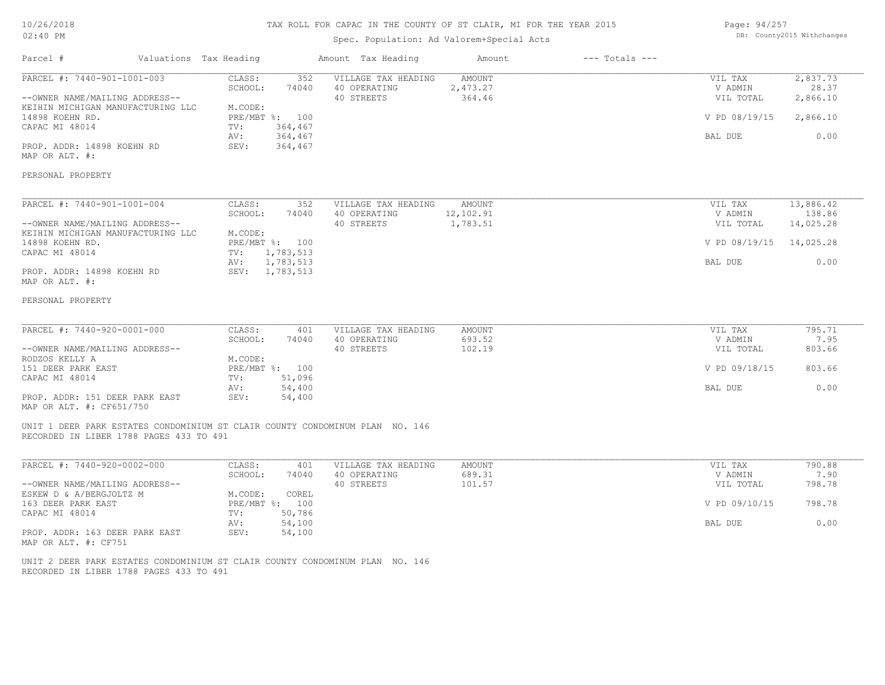# 10/26/2018 02:40 PM

## TAX ROLL FOR CAPAC IN THE COUNTY OF ST CLAIR, MI FOR THE YEAR 2015

# Spec. Population: Ad Valorem+Special Acts

Parcel # Valuations Tax Heading Amount Tax Heading Amount --- Totals ---

| Page: 94/257 |                            |
|--------------|----------------------------|
|              | DB: County2015 Withchanges |

| PROP. ADDR: 14898 KOEHN RD<br>SEV:<br>364,467<br>CLASS:<br>13,886.42<br>352<br>VILLAGE TAX HEADING<br>AMOUNT<br>VIL TAX<br>SCHOOL:<br>12,102.91<br>138.86<br>74040<br>40 OPERATING<br>V ADMIN<br>40 STREETS<br>1,783.51<br>14,025.28<br>VIL TOTAL<br>M.CODE:<br>PRE/MBT %: 100<br>V PD 08/19/15<br>14,025.28<br>CAPAC MI 48014<br>1,783,513<br>TV:<br>1,783,513<br>0.00<br>BAL DUE<br>AV:<br>SEV:<br>1,783,513<br>795.71<br>CLASS:<br>VILLAGE TAX HEADING<br><b>AMOUNT</b><br>VIL TAX<br>401<br>693.52<br>7.95<br>SCHOOL:<br>74040<br>40 OPERATING<br>V ADMIN<br>40 STREETS<br>102.19<br>803.66<br>VIL TOTAL<br>M.CODE:<br>PRE/MBT %: 100<br>V PD 09/18/15<br>803.66<br>CAPAC MI 48014<br>51,096<br>TV:<br>54,400<br>0.00<br>AV:<br>BAL DUE<br>SEV:<br>54,400<br>UNIT 1 DEER PARK ESTATES CONDOMINIUM ST CLAIR COUNTY CONDOMINUM PLAN NO. 146<br>RECORDED IN LIBER 1788 PAGES 433 TO 491<br>CLASS:<br>VILLAGE TAX HEADING<br><b>AMOUNT</b><br>VIL TAX<br>790.88<br>401<br>SCHOOL:<br>74040<br>40 OPERATING<br>689.31<br>V ADMIN<br>7.90<br>798.78<br>40 STREETS<br>101.57<br>VIL TOTAL<br>M.CODE:<br>ESKEW D & A/BERGJOLTZ M<br>COREL<br>PRE/MBT %: 100<br>V PD 09/10/15<br>798.78<br>50,786<br>CAPAC MI 48014<br>TV:<br>54,100<br>0.00<br>AV:<br>BAL DUE<br>SEV:<br>54,100 | PARCEL #: 7440-901-1001-003<br>--OWNER NAME/MAILING ADDRESS--<br>KEIHIN MICHIGAN MANUFACTURING LLC<br>14898 KOEHN RD.<br>CAPAC MI 48014 | CLASS:<br>352<br>SCHOOL:<br>74040<br>M.CODE:<br>PRE/MBT %: 100<br>364,467<br>TV:<br>AV:<br>364,467 | VILLAGE TAX HEADING<br>40 OPERATING<br>40 STREETS | <b>AMOUNT</b><br>2,473.27<br>364.46 | 2,837.73<br>VIL TAX<br>28.37<br>V ADMIN<br>VIL TOTAL<br>2,866.10<br>V PD 08/19/15<br>2,866.10<br>0.00<br>BAL DUE |
|-----------------------------------------------------------------------------------------------------------------------------------------------------------------------------------------------------------------------------------------------------------------------------------------------------------------------------------------------------------------------------------------------------------------------------------------------------------------------------------------------------------------------------------------------------------------------------------------------------------------------------------------------------------------------------------------------------------------------------------------------------------------------------------------------------------------------------------------------------------------------------------------------------------------------------------------------------------------------------------------------------------------------------------------------------------------------------------------------------------------------------------------------------------------------------------------------------------------------------------------------------------------------------|-----------------------------------------------------------------------------------------------------------------------------------------|----------------------------------------------------------------------------------------------------|---------------------------------------------------|-------------------------------------|------------------------------------------------------------------------------------------------------------------|
|                                                                                                                                                                                                                                                                                                                                                                                                                                                                                                                                                                                                                                                                                                                                                                                                                                                                                                                                                                                                                                                                                                                                                                                                                                                                             | MAP OR ALT. #:                                                                                                                          |                                                                                                    |                                                   |                                     |                                                                                                                  |
|                                                                                                                                                                                                                                                                                                                                                                                                                                                                                                                                                                                                                                                                                                                                                                                                                                                                                                                                                                                                                                                                                                                                                                                                                                                                             | PERSONAL PROPERTY                                                                                                                       |                                                                                                    |                                                   |                                     |                                                                                                                  |
|                                                                                                                                                                                                                                                                                                                                                                                                                                                                                                                                                                                                                                                                                                                                                                                                                                                                                                                                                                                                                                                                                                                                                                                                                                                                             | PARCEL #: 7440-901-1001-004                                                                                                             |                                                                                                    |                                                   |                                     |                                                                                                                  |
|                                                                                                                                                                                                                                                                                                                                                                                                                                                                                                                                                                                                                                                                                                                                                                                                                                                                                                                                                                                                                                                                                                                                                                                                                                                                             | --OWNER NAME/MAILING ADDRESS--                                                                                                          |                                                                                                    |                                                   |                                     |                                                                                                                  |
|                                                                                                                                                                                                                                                                                                                                                                                                                                                                                                                                                                                                                                                                                                                                                                                                                                                                                                                                                                                                                                                                                                                                                                                                                                                                             | KEIHIN MICHIGAN MANUFACTURING LLC<br>14898 KOEHN RD.                                                                                    |                                                                                                    |                                                   |                                     |                                                                                                                  |
|                                                                                                                                                                                                                                                                                                                                                                                                                                                                                                                                                                                                                                                                                                                                                                                                                                                                                                                                                                                                                                                                                                                                                                                                                                                                             |                                                                                                                                         |                                                                                                    |                                                   |                                     |                                                                                                                  |
|                                                                                                                                                                                                                                                                                                                                                                                                                                                                                                                                                                                                                                                                                                                                                                                                                                                                                                                                                                                                                                                                                                                                                                                                                                                                             | PROP. ADDR: 14898 KOEHN RD<br>MAP OR ALT. #:                                                                                            |                                                                                                    |                                                   |                                     |                                                                                                                  |
|                                                                                                                                                                                                                                                                                                                                                                                                                                                                                                                                                                                                                                                                                                                                                                                                                                                                                                                                                                                                                                                                                                                                                                                                                                                                             | PERSONAL PROPERTY                                                                                                                       |                                                                                                    |                                                   |                                     |                                                                                                                  |
|                                                                                                                                                                                                                                                                                                                                                                                                                                                                                                                                                                                                                                                                                                                                                                                                                                                                                                                                                                                                                                                                                                                                                                                                                                                                             | PARCEL #: 7440-920-0001-000                                                                                                             |                                                                                                    |                                                   |                                     |                                                                                                                  |
|                                                                                                                                                                                                                                                                                                                                                                                                                                                                                                                                                                                                                                                                                                                                                                                                                                                                                                                                                                                                                                                                                                                                                                                                                                                                             | --OWNER NAME/MAILING ADDRESS--                                                                                                          |                                                                                                    |                                                   |                                     |                                                                                                                  |
|                                                                                                                                                                                                                                                                                                                                                                                                                                                                                                                                                                                                                                                                                                                                                                                                                                                                                                                                                                                                                                                                                                                                                                                                                                                                             | RODZOS KELLY A<br>151 DEER PARK EAST                                                                                                    |                                                                                                    |                                                   |                                     |                                                                                                                  |
|                                                                                                                                                                                                                                                                                                                                                                                                                                                                                                                                                                                                                                                                                                                                                                                                                                                                                                                                                                                                                                                                                                                                                                                                                                                                             |                                                                                                                                         |                                                                                                    |                                                   |                                     |                                                                                                                  |
|                                                                                                                                                                                                                                                                                                                                                                                                                                                                                                                                                                                                                                                                                                                                                                                                                                                                                                                                                                                                                                                                                                                                                                                                                                                                             | PROP. ADDR: 151 DEER PARK EAST<br>MAP OR ALT. #: CF651/750                                                                              |                                                                                                    |                                                   |                                     |                                                                                                                  |
|                                                                                                                                                                                                                                                                                                                                                                                                                                                                                                                                                                                                                                                                                                                                                                                                                                                                                                                                                                                                                                                                                                                                                                                                                                                                             |                                                                                                                                         |                                                                                                    |                                                   |                                     |                                                                                                                  |
|                                                                                                                                                                                                                                                                                                                                                                                                                                                                                                                                                                                                                                                                                                                                                                                                                                                                                                                                                                                                                                                                                                                                                                                                                                                                             | PARCEL #: 7440-920-0002-000                                                                                                             |                                                                                                    |                                                   |                                     |                                                                                                                  |
|                                                                                                                                                                                                                                                                                                                                                                                                                                                                                                                                                                                                                                                                                                                                                                                                                                                                                                                                                                                                                                                                                                                                                                                                                                                                             | --OWNER NAME/MAILING ADDRESS--                                                                                                          |                                                                                                    |                                                   |                                     |                                                                                                                  |
|                                                                                                                                                                                                                                                                                                                                                                                                                                                                                                                                                                                                                                                                                                                                                                                                                                                                                                                                                                                                                                                                                                                                                                                                                                                                             | 163 DEER PARK EAST                                                                                                                      |                                                                                                    |                                                   |                                     |                                                                                                                  |
|                                                                                                                                                                                                                                                                                                                                                                                                                                                                                                                                                                                                                                                                                                                                                                                                                                                                                                                                                                                                                                                                                                                                                                                                                                                                             | PROP. ADDR: 163 DEER PARK EAST<br>MAP OR ALT. #: CF751                                                                                  |                                                                                                    |                                                   |                                     |                                                                                                                  |

RECORDED IN LIBER 1788 PAGES 433 TO 491 UNIT 2 DEER PARK ESTATES CONDOMINIUM ST CLAIR COUNTY CONDOMINUM PLAN NO. 146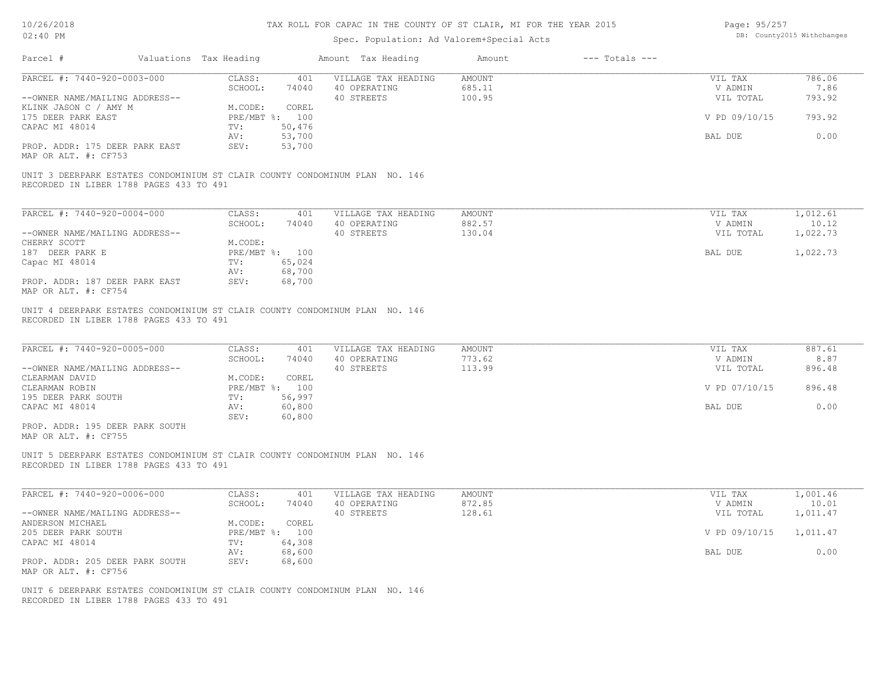| Page: 95/257 |                            |
|--------------|----------------------------|
|              | DB: County2015 Withchanges |

| Parcel #                                                                                                               | Valuations Tax Heading           |                  | Amount Tax Heading                                | Amount                            | $---$ Totals $---$ |                                 |                          |
|------------------------------------------------------------------------------------------------------------------------|----------------------------------|------------------|---------------------------------------------------|-----------------------------------|--------------------|---------------------------------|--------------------------|
| PARCEL #: 7440-920-0003-000<br>--OWNER NAME/MAILING ADDRESS--                                                          | CLASS:<br>SCHOOL:                | 401<br>74040     | VILLAGE TAX HEADING<br>40 OPERATING<br>40 STREETS | <b>AMOUNT</b><br>685.11<br>100.95 |                    | VIL TAX<br>V ADMIN<br>VIL TOTAL | 786.06<br>7.86<br>793.92 |
| KLINK JASON C / AMY M<br>175 DEER PARK EAST<br>CAPAC MI 48014                                                          | M.CODE:<br>PRE/MBT %: 100<br>TV: | COREL<br>50,476  |                                                   |                                   |                    | V PD 09/10/15                   | 793.92                   |
| PROP. ADDR: 175 DEER PARK EAST                                                                                         | AV:<br>SEV:                      | 53,700<br>53,700 |                                                   |                                   |                    | BAL DUE                         | 0.00                     |
| MAP OR ALT. #: CF753                                                                                                   |                                  |                  |                                                   |                                   |                    |                                 |                          |
| UNIT 3 DEERPARK ESTATES CONDOMINIUM ST CLAIR COUNTY CONDOMINUM PLAN NO. 146<br>RECORDED IN LIBER 1788 PAGES 433 TO 491 |                                  |                  |                                                   |                                   |                    |                                 |                          |
| PARCEL #: 7440-920-0004-000                                                                                            | CLASS:                           | 401              | VILLAGE TAX HEADING                               | <b>AMOUNT</b>                     |                    | VIL TAX                         | 1,012.61                 |
| --OWNER NAME/MAILING ADDRESS--                                                                                         | SCHOOL:                          | 74040            | 40 OPERATING<br>40 STREETS                        | 882.57<br>130.04                  |                    | V ADMIN<br>VIL TOTAL            | 10.12<br>1,022.73        |
| CHERRY SCOTT                                                                                                           | M.CODE:                          |                  |                                                   |                                   |                    |                                 |                          |
| 187 DEER PARK E<br>Capac MI 48014                                                                                      | PRE/MBT %: 100<br>TV:            | 65,024           |                                                   |                                   |                    | BAL DUE                         | 1,022.73                 |
|                                                                                                                        | AV:                              | 68,700           |                                                   |                                   |                    |                                 |                          |
| PROP. ADDR: 187 DEER PARK EAST<br>MAP OR ALT. #: CF754                                                                 | SEV:                             | 68,700           |                                                   |                                   |                    |                                 |                          |
| RECORDED IN LIBER 1788 PAGES 433 TO 491<br>PARCEL #: 7440-920-0005-000                                                 | CLASS:<br>SCHOOL:                | 401<br>74040     | VILLAGE TAX HEADING<br>40 OPERATING               | <b>AMOUNT</b><br>773.62           |                    | VIL TAX<br>V ADMIN              | 887.61<br>8.87           |
| --OWNER NAME/MAILING ADDRESS--<br>CLEARMAN DAVID                                                                       | M.CODE:                          | COREL            | 40 STREETS                                        | 113.99                            |                    | VIL TOTAL                       | 896.48                   |
| CLEARMAN ROBIN<br>195 DEER PARK SOUTH                                                                                  | PRE/MBT %: 100<br>TV:            | 56,997           |                                                   |                                   |                    | V PD 07/10/15                   | 896.48                   |
| CAPAC MI 48014                                                                                                         | AV:<br>SEV:                      | 60,800<br>60,800 |                                                   |                                   |                    | BAL DUE                         | 0.00                     |
| PROP. ADDR: 195 DEER PARK SOUTH<br>MAP OR ALT. #: CF755                                                                |                                  |                  |                                                   |                                   |                    |                                 |                          |
| UNIT 5 DEERPARK ESTATES CONDOMINIUM ST CLAIR COUNTY CONDOMINUM PLAN NO. 146<br>RECORDED IN LIBER 1788 PAGES 433 TO 491 |                                  |                  |                                                   |                                   |                    |                                 |                          |
| PARCEL #: 7440-920-0006-000                                                                                            | CLASS:                           | 401              | VILLAGE TAX HEADING                               | <b>AMOUNT</b>                     |                    | VIL TAX                         | 1,001.46                 |
| --OWNER NAME/MAILING ADDRESS--                                                                                         | SCHOOL:                          | 74040            | 40 OPERATING<br>40 STREETS                        | 872.85<br>128.61                  |                    | V ADMIN<br>VIL TOTAL            | 10.01<br>1,011.47        |
| ANDERSON MICHAEL                                                                                                       | M.CODE:                          | COREL            |                                                   |                                   |                    |                                 |                          |
| 205 DEER PARK SOUTH<br>CAPAC MI 48014                                                                                  | PRE/MBT %: 100<br>TV:            | 64,308           |                                                   |                                   |                    | V PD 09/10/15                   | 1,011.47                 |
|                                                                                                                        | AV:                              | 68,600           |                                                   |                                   |                    | BAL DUE                         | 0.00                     |
| PROP. ADDR: 205 DEER PARK SOUTH<br>MAP OR ALT. #: CF756                                                                | SEV:                             | 68,600           |                                                   |                                   |                    |                                 |                          |
| UNIT 6 DEERPARK ESTATES CONDOMINIUM ST CLAIR COUNTY CONDOMINUM PLAN NO. 146                                            |                                  |                  |                                                   |                                   |                    |                                 |                          |
| RECORDED IN LIBER 1788 PAGES 433 TO 491                                                                                |                                  |                  |                                                   |                                   |                    |                                 |                          |
|                                                                                                                        |                                  |                  |                                                   |                                   |                    |                                 |                          |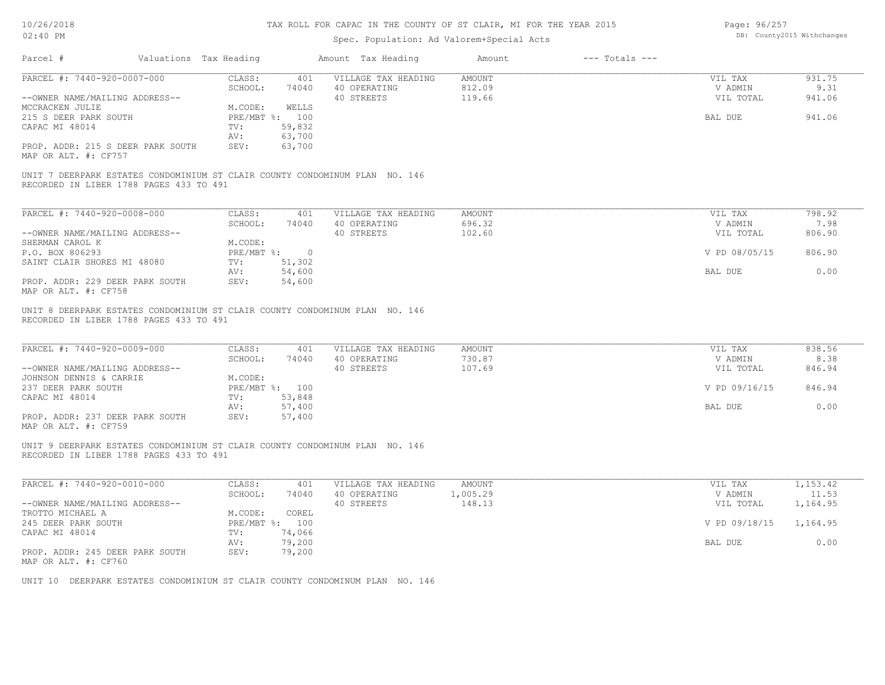| Page: 96/257 |                            |
|--------------|----------------------------|
|              | DB: County2015 Withchanges |

| Parcel #                                                                                                               | Valuations Tax Heading       |                                             | Amount Tax Heading                                | Amount                     | $---$ Totals $---$ |                                 |                          |
|------------------------------------------------------------------------------------------------------------------------|------------------------------|---------------------------------------------|---------------------------------------------------|----------------------------|--------------------|---------------------------------|--------------------------|
| PARCEL #: 7440-920-0007-000<br>--OWNER NAME/MAILING ADDRESS--                                                          | CLASS:<br>SCHOOL:            | 401<br>74040                                | VILLAGE TAX HEADING<br>40 OPERATING<br>40 STREETS | AMOUNT<br>812.09<br>119.66 |                    | VIL TAX<br>V ADMIN<br>VIL TOTAL | 931.75<br>9.31<br>941.06 |
| MCCRACKEN JULIE<br>215 S DEER PARK SOUTH<br>CAPAC MI 48014                                                             | M.CODE:<br>TV:<br>AV:        | WELLS<br>PRE/MBT %: 100<br>59,832<br>63,700 |                                                   |                            |                    | BAL DUE                         | 941.06                   |
| PROP. ADDR: 215 S DEER PARK SOUTH<br>MAP OR ALT. #: CF757                                                              | SEV:                         | 63,700                                      |                                                   |                            |                    |                                 |                          |
| UNIT 7 DEERPARK ESTATES CONDOMINIUM ST CLAIR COUNTY CONDOMINUM PLAN NO. 146<br>RECORDED IN LIBER 1788 PAGES 433 TO 491 |                              |                                             |                                                   |                            |                    |                                 |                          |
| PARCEL #: 7440-920-0008-000                                                                                            | CLASS:                       | 401                                         | VILLAGE TAX HEADING                               | AMOUNT                     |                    | VIL TAX                         | 798.92                   |
| --OWNER NAME/MAILING ADDRESS--                                                                                         | SCHOOL:                      | 74040                                       | 40 OPERATING<br>40 STREETS                        | 696.32<br>102.60           |                    | V ADMIN<br>VIL TOTAL            | 7.98<br>806.90           |
| SHERMAN CAROL K<br>P.O. BOX 806293                                                                                     | M.CODE:<br>$PRE/MBT$ $\div$  | $\overline{\phantom{0}}$                    |                                                   |                            |                    | V PD 08/05/15                   | 806.90                   |
| SAINT CLAIR SHORES MI 48080<br>PROP. ADDR: 229 DEER PARK SOUTH<br>MAP OR ALT. #: CF758                                 | TV:<br>AV:<br>SEV:           | 51,302<br>54,600<br>54,600                  |                                                   |                            |                    | BAL DUE                         | 0.00                     |
| PARCEL #: 7440-920-0009-000<br>--OWNER NAME/MAILING ADDRESS--<br>JOHNSON DENNIS & CARRIE                               | CLASS:<br>SCHOOL:<br>M.CODE: | 401<br>74040                                | VILLAGE TAX HEADING<br>40 OPERATING<br>40 STREETS | AMOUNT<br>730.87<br>107.69 |                    | VIL TAX<br>V ADMIN<br>VIL TOTAL | 838.56<br>8.38<br>846.94 |
| 237 DEER PARK SOUTH<br>CAPAC MI 48014                                                                                  | TV:                          | PRE/MBT %: 100<br>53,848                    |                                                   |                            |                    | V PD 09/16/15                   | 846.94                   |
| PROP. ADDR: 237 DEER PARK SOUTH<br>MAP OR ALT. #: CF759                                                                | AV:<br>SEV:                  | 57,400<br>57,400                            |                                                   |                            |                    | BAL DUE                         | 0.00                     |
| UNIT 9 DEERPARK ESTATES CONDOMINIUM ST CLAIR COUNTY CONDOMINUM PLAN NO. 146<br>RECORDED IN LIBER 1788 PAGES 433 TO 491 |                              |                                             |                                                   |                            |                    |                                 |                          |
| PARCEL #: 7440-920-0010-000                                                                                            | CLASS:                       | 401                                         | VILLAGE TAX HEADING                               | <b>AMOUNT</b>              |                    | VIL TAX                         | 1,153.42                 |
| --OWNER NAME/MAILING ADDRESS--                                                                                         | SCHOOL:                      | 74040                                       | 40 OPERATING<br>40 STREETS                        | 1,005.29<br>148.13         |                    | V ADMIN<br>VIL TOTAL            | 11.53<br>1,164.95        |
| TROTTO MICHAEL A<br>245 DEER PARK SOUTH                                                                                | M.CODE:                      | COREL<br>PRE/MBT %: 100                     |                                                   |                            |                    | V PD 09/18/15                   | 1,164.95                 |
| CAPAC MI 48014                                                                                                         | TV:<br>AV:<br>SEV:           | 74,066<br>79,200<br>79,200                  |                                                   |                            |                    | BAL DUE                         | 0.00                     |
| PROP. ADDR: 245 DEER PARK SOUTH<br>MAP OR ALT. #: CF760                                                                |                              |                                             |                                                   |                            |                    |                                 |                          |
| UNIT 10 DEERPARK ESTATES CONDOMINIUM ST CLAIR COUNTY CONDOMINUM PLAN NO. 146                                           |                              |                                             |                                                   |                            |                    |                                 |                          |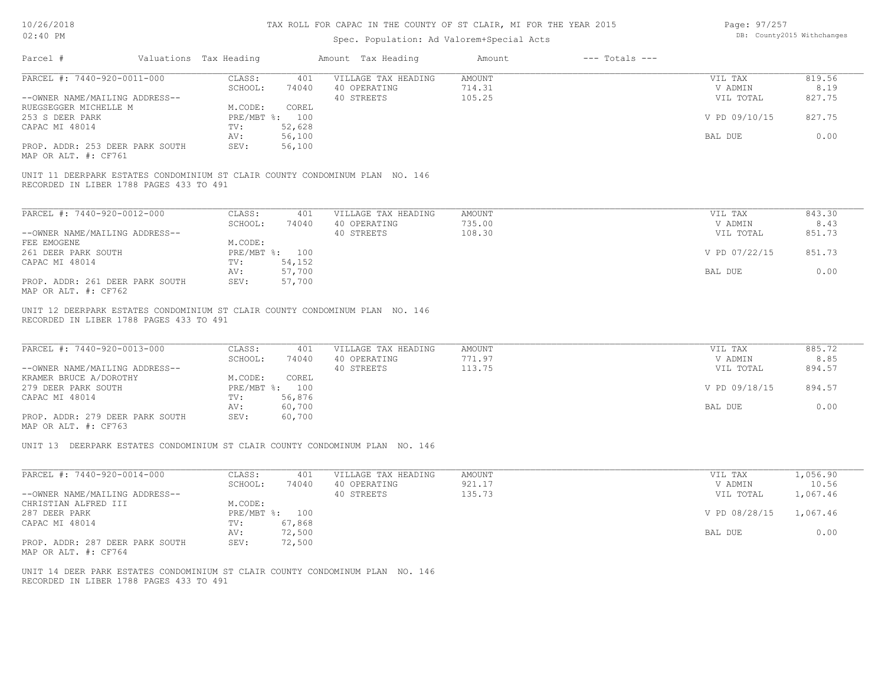| Page: 97/257 |                            |
|--------------|----------------------------|
|              | DB: County2015 Withchanges |

| PARCEL #: 7440-920-0011-000                                                                                                                                                                 | CLASS:<br>401                                                                                                               | VILLAGE TAX HEADING                               | AMOUNT                     | VIL TAX                                                     | 819.56                                     |
|---------------------------------------------------------------------------------------------------------------------------------------------------------------------------------------------|-----------------------------------------------------------------------------------------------------------------------------|---------------------------------------------------|----------------------------|-------------------------------------------------------------|--------------------------------------------|
|                                                                                                                                                                                             | SCHOOL:                                                                                                                     | 74040 40 OPERATING                                | 714.31                     | V ADMIN                                                     | 8.19                                       |
| --OWNER NAME/MAILING ADDRESS--                                                                                                                                                              |                                                                                                                             | 40 STREETS                                        | 105.25                     | VIL TOTAL                                                   | 827.75                                     |
| RUEGSEGGER MICHELLE M                                                                                                                                                                       | M.CODE:<br>COREL                                                                                                            |                                                   |                            |                                                             |                                            |
| 253 S DEER PARK                                                                                                                                                                             | PRE/MBT %: 100                                                                                                              |                                                   |                            | V PD 09/10/15                                               | 827.75                                     |
| CAPAC MI 48014                                                                                                                                                                              | 52,628<br>TV:                                                                                                               |                                                   |                            |                                                             |                                            |
|                                                                                                                                                                                             | 56,100<br>AV:                                                                                                               |                                                   |                            | BAL DUE                                                     | 0.00                                       |
| PROP. ADDR: 253 DEER PARK SOUTH<br>MAP OR ALT. #: CF761                                                                                                                                     | SEV:<br>56,100                                                                                                              |                                                   |                            |                                                             |                                            |
| UNIT 11 DEERPARK ESTATES CONDOMINIUM ST CLAIR COUNTY CONDOMINUM PLAN NO. 146<br>RECORDED IN LIBER 1788 PAGES 433 TO 491                                                                     |                                                                                                                             |                                                   |                            |                                                             |                                            |
| PARCEL #: 7440-920-0012-000                                                                                                                                                                 | CLASS:<br>401                                                                                                               | VILLAGE TAX HEADING                               | <b>AMOUNT</b>              | VIL TAX                                                     | 843.30                                     |
|                                                                                                                                                                                             | SCHOOL:<br>74040                                                                                                            | 40 OPERATING                                      | 735.00                     | V ADMIN                                                     | 8.43                                       |
| --OWNER NAME/MAILING ADDRESS--                                                                                                                                                              |                                                                                                                             | 40 STREETS                                        | 108.30                     | VIL TOTAL                                                   | 851.73                                     |
| FEE EMOGENE                                                                                                                                                                                 | M.CODE:                                                                                                                     |                                                   |                            |                                                             |                                            |
| 261 DEER PARK SOUTH                                                                                                                                                                         | PRE/MBT %: 100                                                                                                              |                                                   |                            | V PD 07/22/15                                               | 851.73                                     |
| CAPAC MI 48014                                                                                                                                                                              | TV: 54,152                                                                                                                  |                                                   |                            |                                                             |                                            |
|                                                                                                                                                                                             | 57,700<br>AV:                                                                                                               |                                                   |                            | BAL DUE                                                     | 0.00                                       |
| PROP. ADDR: 261 DEER PARK SOUTH<br>MAP OR ALT. #: CF762                                                                                                                                     | 57,700<br>SEV:                                                                                                              |                                                   |                            |                                                             |                                            |
| UNIT 12 DEERPARK ESTATES CONDOMINIUM ST CLAIR COUNTY CONDOMINUM PLAN NO. 146<br>RECORDED IN LIBER 1788 PAGES 433 TO 491                                                                     |                                                                                                                             |                                                   |                            |                                                             |                                            |
| PARCEL #: 7440-920-0013-000<br>--OWNER NAME/MAILING ADDRESS--<br>KRAMER BRUCE A/DOROTHY<br>279 DEER PARK SOUTH<br>CAPAC MI 48014<br>PROP. ADDR: 279 DEER PARK SOUTH<br>MAP OR ALT. #: CF763 | CLASS:<br>401<br>SCHOOL:<br>74040<br>COREL<br>M.CODE:<br>PRE/MBT %: 100<br>56,876<br>TV:<br>60,700<br>AV:<br>60,700<br>SEV: | VILLAGE TAX HEADING<br>40 OPERATING<br>40 STREETS | AMOUNT<br>771.97<br>113.75 | VIL TAX<br>V ADMIN<br>VIL TOTAL<br>V PD 09/18/15<br>BAL DUE | 885.72<br>8.85<br>894.57<br>894.57<br>0.00 |
| UNIT 13 DEERPARK ESTATES CONDOMINIUM ST CLAIR COUNTY CONDOMINUM PLAN NO. 146                                                                                                                |                                                                                                                             |                                                   |                            |                                                             |                                            |
| PARCEL #: 7440-920-0014-000                                                                                                                                                                 | CLASS:<br>401                                                                                                               | VILLAGE TAX HEADING                               | <b>AMOUNT</b>              | VIL TAX                                                     | 1,056.90                                   |
|                                                                                                                                                                                             | SCHOOL:                                                                                                                     | 74040 40 OPERATING                                | 921.17                     | V ADMIN                                                     | 10.56                                      |
| --OWNER NAME/MAILING ADDRESS--                                                                                                                                                              |                                                                                                                             | 40 STREETS                                        | 135.73                     | VIL TOTAL                                                   | 1,067.46                                   |
| CHRISTIAN ALFRED III                                                                                                                                                                        | M.CODE:                                                                                                                     |                                                   |                            |                                                             |                                            |
| 287 DEER PARK                                                                                                                                                                               | PRE/MBT %: 100                                                                                                              |                                                   |                            | V PD 08/28/15 1,067.46                                      |                                            |
| CAPAC MI 48014                                                                                                                                                                              | TV:<br>67,868                                                                                                               |                                                   |                            |                                                             |                                            |
| PROP. ADDR: 287 DEER PARK SOUTH<br>MAP OR ALT. #: CF764                                                                                                                                     | 72,500<br>AV:<br>SEV:<br>72,500                                                                                             |                                                   |                            | BAL DUE                                                     | 0.00                                       |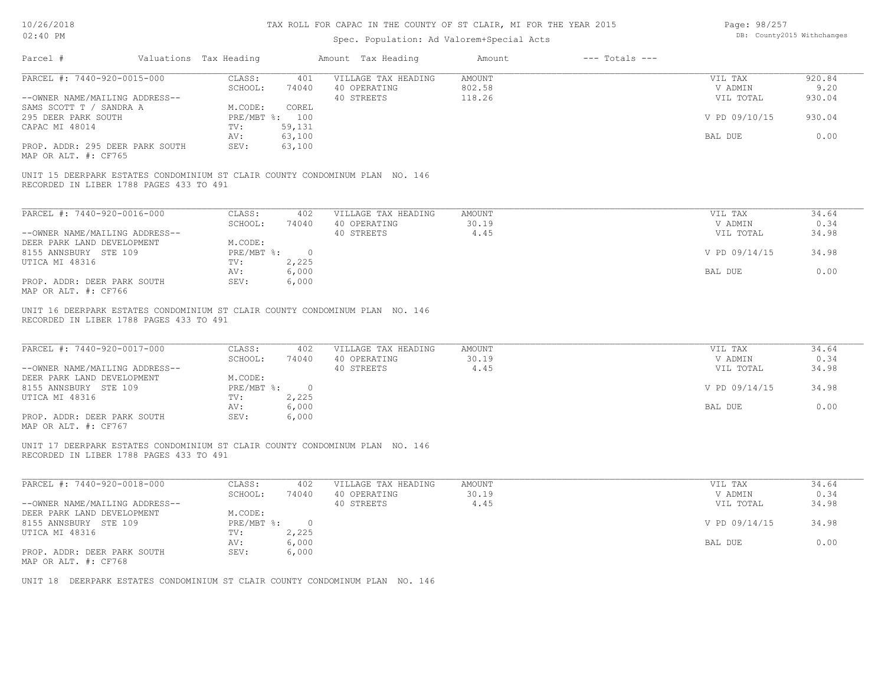| Page: 98/257 |                            |
|--------------|----------------------------|
|              | DB: County2015 Withchanges |

| PARCEL #: 7440-920-0015-000                                                                                             | CLASS:<br>401<br>SCHOOL:<br>74040 | VILLAGE TAX HEADING<br>40 OPERATING | <b>AMOUNT</b><br>802.58 | VIL TAX<br>V ADMIN | 920.84<br>9.20 |
|-------------------------------------------------------------------------------------------------------------------------|-----------------------------------|-------------------------------------|-------------------------|--------------------|----------------|
| --OWNER NAME/MAILING ADDRESS--                                                                                          |                                   | 40 STREETS                          | 118.26                  | VIL TOTAL          | 930.04         |
| SAMS SCOTT T / SANDRA A                                                                                                 | M.CODE:<br>COREL                  |                                     |                         |                    |                |
| 295 DEER PARK SOUTH                                                                                                     | PRE/MBT %: 100                    |                                     |                         | V PD 09/10/15      | 930.04         |
| CAPAC MI 48014                                                                                                          | 59,131<br>TV:                     |                                     |                         |                    |                |
|                                                                                                                         | 63,100<br>AV:                     |                                     |                         | BAL DUE            | 0.00           |
| PROP. ADDR: 295 DEER PARK SOUTH<br>MAP OR ALT. #: CF765                                                                 | 63,100<br>SEV:                    |                                     |                         |                    |                |
| UNIT 15 DEERPARK ESTATES CONDOMINIUM ST CLAIR COUNTY CONDOMINUM PLAN NO. 146<br>RECORDED IN LIBER 1788 PAGES 433 TO 491 |                                   |                                     |                         |                    |                |
| PARCEL #: 7440-920-0016-000                                                                                             | CLASS:<br>402                     | VILLAGE TAX HEADING                 | <b>AMOUNT</b>           | VIL TAX            | 34.64          |
|                                                                                                                         | SCHOOL:<br>74040                  | 40 OPERATING                        | 30.19                   | V ADMIN            | 0.34           |
| --OWNER NAME/MAILING ADDRESS--                                                                                          |                                   | 40 STREETS                          | 4.45                    | VIL TOTAL          | 34.98          |
| DEER PARK LAND DEVELOPMENT                                                                                              | M.CODE:                           |                                     |                         |                    |                |
| 8155 ANNSBURY STE 109                                                                                                   | PRE/MBT %: 0                      |                                     |                         | V PD 09/14/15      | 34.98          |
| UTICA MI 48316                                                                                                          | 2,225<br>TV:                      |                                     |                         |                    |                |
|                                                                                                                         | 6,000<br>AV:                      |                                     |                         | BAL DUE            | 0.00           |
| PROP. ADDR: DEER PARK SOUTH<br>MAP OR ALT. #: CF766                                                                     | SEV:<br>6,000                     |                                     |                         |                    |                |
| UNIT 16 DEERPARK ESTATES CONDOMINIUM ST CLAIR COUNTY CONDOMINUM PLAN NO. 146<br>RECORDED IN LIBER 1788 PAGES 433 TO 491 |                                   |                                     |                         |                    |                |
| PARCEL #: 7440-920-0017-000                                                                                             | CLASS:<br>402<br>SCHOOL:<br>74040 | VILLAGE TAX HEADING<br>40 OPERATING | <b>AMOUNT</b><br>30.19  | VIL TAX<br>V ADMIN | 34.64<br>0.34  |
| --OWNER NAME/MAILING ADDRESS--                                                                                          |                                   | 40 STREETS                          | 4.45                    | VIL TOTAL          | 34.98          |
| DEER PARK LAND DEVELOPMENT                                                                                              | M.CODE:<br>PRE/MBT %: 0           |                                     |                         | V PD 09/14/15      | 34.98          |
| 8155 ANNSBURY STE 109<br>UTICA MI 48316                                                                                 | 2,225<br>TV:                      |                                     |                         |                    |                |
|                                                                                                                         | 6,000<br>AV:                      |                                     |                         | BAL DUE            | 0.00           |
| PROP. ADDR: DEER PARK SOUTH<br>MAP OR ALT. #: CF767                                                                     | SEV:<br>6,000                     |                                     |                         |                    |                |
| UNIT 17 DEERPARK ESTATES CONDOMINIUM ST CLAIR COUNTY CONDOMINUM PLAN NO. 146<br>RECORDED IN LIBER 1788 PAGES 433 TO 491 |                                   |                                     |                         |                    |                |
| PARCEL #: 7440-920-0018-000                                                                                             | CLASS:<br>402                     | VILLAGE TAX HEADING                 | <b>AMOUNT</b>           | VIL TAX            | 34.64          |
|                                                                                                                         | SCHOOL:<br>74040                  | 40 OPERATING                        | 30.19                   | V ADMIN            | 0.34           |
| --OWNER NAME/MAILING ADDRESS--                                                                                          |                                   | 40 STREETS                          | 4.45                    | VIL TOTAL          | 34.98          |
| DEER PARK LAND DEVELOPMENT                                                                                              | M.CODE:                           |                                     |                         |                    |                |
| 8155 ANNSBURY STE 109                                                                                                   | PRE/MBT %: 0                      |                                     |                         | V PD 09/14/15      | 34.98          |
| UTICA MI 48316                                                                                                          | TV:<br>2,225                      |                                     |                         |                    |                |
|                                                                                                                         | 6,000<br>AV:<br>SEV:              |                                     |                         | BAL DUE            | 0.00           |
| PROP. ADDR: DEER PARK SOUTH<br>MAP OR ALT. #: CF768                                                                     | 6,000                             |                                     |                         |                    |                |
| UNIT 18 DEERPARK ESTATES CONDOMINIUM ST CLAIR COUNTY CONDOMINUM PLAN NO. 146                                            |                                   |                                     |                         |                    |                |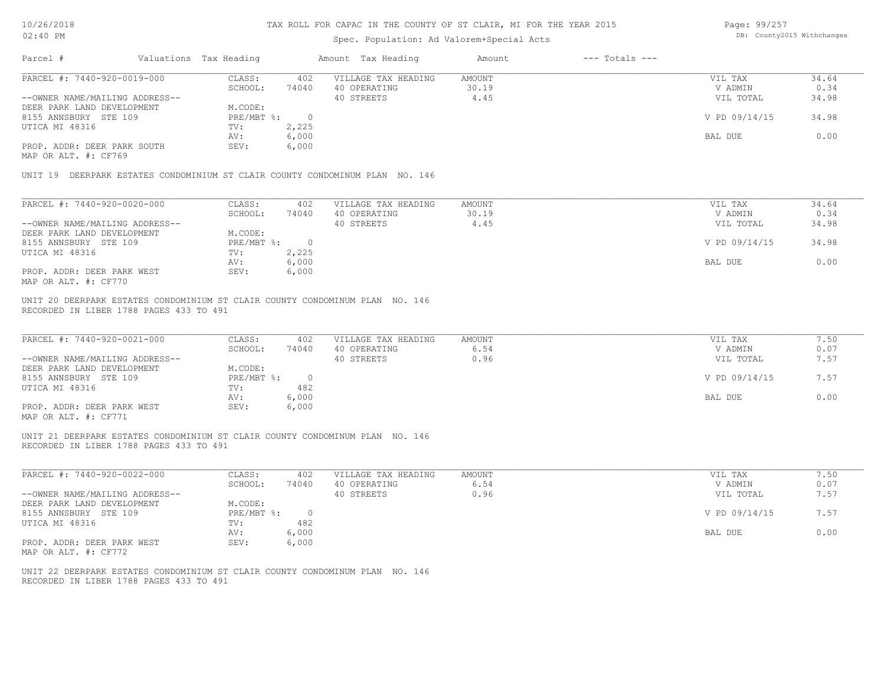#### TAX ROLL FOR CAPAC IN THE COUNTY OF ST CLAIR, MI FOR THE YEAR 2015 **Fage: 99/257**

| Parcel #<br>Valuations Tax Heading<br>Amount Tax Heading<br>$---$ Totals $---$<br>Amount<br>PARCEL #: 7440-920-0019-000<br>CLASS:<br>VILLAGE TAX HEADING<br><b>AMOUNT</b><br>402<br>SCHOOL:<br>30.19<br>74040<br>40 OPERATING<br>40 STREETS<br>4.45<br>--OWNER NAME/MAILING ADDRESS--<br>M.CODE:<br>DEER PARK LAND DEVELOPMENT<br>PRE/MBT %: 0<br>8155 ANNSBURY STE 109<br>UTICA MI 48316<br>2,225<br>TV:<br>6,000<br>AV:<br>PROP. ADDR: DEER PARK SOUTH<br>6,000<br>SEV:<br>MAP OR ALT. #: CF769<br>UNIT 19 DEERPARK ESTATES CONDOMINIUM ST CLAIR COUNTY CONDOMINUM PLAN NO. 146<br>PARCEL #: 7440-920-0020-000<br>CLASS:<br>402<br>VILLAGE TAX HEADING<br>AMOUNT<br>SCHOOL:<br>74040<br>40 OPERATING<br>30.19<br>4.45<br>40 STREETS<br>--OWNER NAME/MAILING ADDRESS--<br>DEER PARK LAND DEVELOPMENT<br>M.CODE:<br>8155 ANNSBURY STE 109<br>PRE/MBT %: 0<br>2,225<br>UTICA MI 48316<br>TV:<br>6,000<br>AV:<br>6,000<br>PROP. ADDR: DEER PARK WEST<br>SEV:<br>MAP OR ALT. #: CF770<br>UNIT 20 DEERPARK ESTATES CONDOMINIUM ST CLAIR COUNTY CONDOMINUM PLAN NO. 146 | VIL TAX<br>V ADMIN<br>VIL TOTAL<br>V PD 09/14/15<br>BAL DUE<br>VIL TAX<br>V ADMIN<br>VIL TOTAL<br>V PD 09/14/15<br>BAL DUE | 34.64<br>0.34<br>34.98<br>34.98<br>0.00<br>34.64<br>0.34<br>34.98<br>34.98<br>0.00 |
|--------------------------------------------------------------------------------------------------------------------------------------------------------------------------------------------------------------------------------------------------------------------------------------------------------------------------------------------------------------------------------------------------------------------------------------------------------------------------------------------------------------------------------------------------------------------------------------------------------------------------------------------------------------------------------------------------------------------------------------------------------------------------------------------------------------------------------------------------------------------------------------------------------------------------------------------------------------------------------------------------------------------------------------------------------------------|----------------------------------------------------------------------------------------------------------------------------|------------------------------------------------------------------------------------|
|                                                                                                                                                                                                                                                                                                                                                                                                                                                                                                                                                                                                                                                                                                                                                                                                                                                                                                                                                                                                                                                                    |                                                                                                                            |                                                                                    |
|                                                                                                                                                                                                                                                                                                                                                                                                                                                                                                                                                                                                                                                                                                                                                                                                                                                                                                                                                                                                                                                                    |                                                                                                                            |                                                                                    |
|                                                                                                                                                                                                                                                                                                                                                                                                                                                                                                                                                                                                                                                                                                                                                                                                                                                                                                                                                                                                                                                                    |                                                                                                                            |                                                                                    |
|                                                                                                                                                                                                                                                                                                                                                                                                                                                                                                                                                                                                                                                                                                                                                                                                                                                                                                                                                                                                                                                                    |                                                                                                                            |                                                                                    |
|                                                                                                                                                                                                                                                                                                                                                                                                                                                                                                                                                                                                                                                                                                                                                                                                                                                                                                                                                                                                                                                                    |                                                                                                                            |                                                                                    |
|                                                                                                                                                                                                                                                                                                                                                                                                                                                                                                                                                                                                                                                                                                                                                                                                                                                                                                                                                                                                                                                                    |                                                                                                                            |                                                                                    |
|                                                                                                                                                                                                                                                                                                                                                                                                                                                                                                                                                                                                                                                                                                                                                                                                                                                                                                                                                                                                                                                                    |                                                                                                                            |                                                                                    |
|                                                                                                                                                                                                                                                                                                                                                                                                                                                                                                                                                                                                                                                                                                                                                                                                                                                                                                                                                                                                                                                                    |                                                                                                                            |                                                                                    |
|                                                                                                                                                                                                                                                                                                                                                                                                                                                                                                                                                                                                                                                                                                                                                                                                                                                                                                                                                                                                                                                                    |                                                                                                                            |                                                                                    |
|                                                                                                                                                                                                                                                                                                                                                                                                                                                                                                                                                                                                                                                                                                                                                                                                                                                                                                                                                                                                                                                                    |                                                                                                                            |                                                                                    |
|                                                                                                                                                                                                                                                                                                                                                                                                                                                                                                                                                                                                                                                                                                                                                                                                                                                                                                                                                                                                                                                                    |                                                                                                                            |                                                                                    |
|                                                                                                                                                                                                                                                                                                                                                                                                                                                                                                                                                                                                                                                                                                                                                                                                                                                                                                                                                                                                                                                                    |                                                                                                                            |                                                                                    |
|                                                                                                                                                                                                                                                                                                                                                                                                                                                                                                                                                                                                                                                                                                                                                                                                                                                                                                                                                                                                                                                                    |                                                                                                                            |                                                                                    |
|                                                                                                                                                                                                                                                                                                                                                                                                                                                                                                                                                                                                                                                                                                                                                                                                                                                                                                                                                                                                                                                                    |                                                                                                                            |                                                                                    |
|                                                                                                                                                                                                                                                                                                                                                                                                                                                                                                                                                                                                                                                                                                                                                                                                                                                                                                                                                                                                                                                                    |                                                                                                                            |                                                                                    |
|                                                                                                                                                                                                                                                                                                                                                                                                                                                                                                                                                                                                                                                                                                                                                                                                                                                                                                                                                                                                                                                                    |                                                                                                                            |                                                                                    |
|                                                                                                                                                                                                                                                                                                                                                                                                                                                                                                                                                                                                                                                                                                                                                                                                                                                                                                                                                                                                                                                                    |                                                                                                                            |                                                                                    |
|                                                                                                                                                                                                                                                                                                                                                                                                                                                                                                                                                                                                                                                                                                                                                                                                                                                                                                                                                                                                                                                                    |                                                                                                                            |                                                                                    |
|                                                                                                                                                                                                                                                                                                                                                                                                                                                                                                                                                                                                                                                                                                                                                                                                                                                                                                                                                                                                                                                                    |                                                                                                                            |                                                                                    |
| PARCEL #: 7440-920-0021-000<br>CLASS:<br>402<br>VILLAGE TAX HEADING<br>AMOUNT<br>SCHOOL:<br>40 OPERATING<br>6.54<br>74040<br>0.96<br>40 STREETS<br>--OWNER NAME/MAILING ADDRESS--                                                                                                                                                                                                                                                                                                                                                                                                                                                                                                                                                                                                                                                                                                                                                                                                                                                                                  | VIL TAX<br>V ADMIN<br>VIL TOTAL                                                                                            | 7.50<br>0.07<br>7.57                                                               |
| M.CODE:<br>DEER PARK LAND DEVELOPMENT                                                                                                                                                                                                                                                                                                                                                                                                                                                                                                                                                                                                                                                                                                                                                                                                                                                                                                                                                                                                                              |                                                                                                                            |                                                                                    |
| PRE/MBT %:<br>8155 ANNSBURY STE 109<br>$\overline{0}$                                                                                                                                                                                                                                                                                                                                                                                                                                                                                                                                                                                                                                                                                                                                                                                                                                                                                                                                                                                                              | V PD 09/14/15                                                                                                              | 7.57                                                                               |
| UTICA MI 48316<br>482<br>TV:                                                                                                                                                                                                                                                                                                                                                                                                                                                                                                                                                                                                                                                                                                                                                                                                                                                                                                                                                                                                                                       |                                                                                                                            |                                                                                    |
|                                                                                                                                                                                                                                                                                                                                                                                                                                                                                                                                                                                                                                                                                                                                                                                                                                                                                                                                                                                                                                                                    | BAL DUE                                                                                                                    | 0.00                                                                               |
| 6,000<br>AV:                                                                                                                                                                                                                                                                                                                                                                                                                                                                                                                                                                                                                                                                                                                                                                                                                                                                                                                                                                                                                                                       |                                                                                                                            |                                                                                    |
| PROP. ADDR: DEER PARK WEST<br>SEV:<br>6,000<br>MAP OR ALT. #: CF771                                                                                                                                                                                                                                                                                                                                                                                                                                                                                                                                                                                                                                                                                                                                                                                                                                                                                                                                                                                                |                                                                                                                            |                                                                                    |
| UNIT 21 DEERPARK ESTATES CONDOMINIUM ST CLAIR COUNTY CONDOMINUM PLAN NO. 146<br>RECORDED IN LIBER 1788 PAGES 433 TO 491                                                                                                                                                                                                                                                                                                                                                                                                                                                                                                                                                                                                                                                                                                                                                                                                                                                                                                                                            |                                                                                                                            |                                                                                    |
| PARCEL #: 7440-920-0022-000<br>AMOUNT<br>CLASS:<br>402<br>VILLAGE TAX HEADING                                                                                                                                                                                                                                                                                                                                                                                                                                                                                                                                                                                                                                                                                                                                                                                                                                                                                                                                                                                      | VIL TAX                                                                                                                    | 7.50                                                                               |
| SCHOOL:<br>40 OPERATING<br>6.54<br>74040                                                                                                                                                                                                                                                                                                                                                                                                                                                                                                                                                                                                                                                                                                                                                                                                                                                                                                                                                                                                                           | V ADMIN                                                                                                                    | 0.07                                                                               |
| 40 STREETS<br>0.96<br>--OWNER NAME/MAILING ADDRESS--                                                                                                                                                                                                                                                                                                                                                                                                                                                                                                                                                                                                                                                                                                                                                                                                                                                                                                                                                                                                               | VIL TOTAL                                                                                                                  | 7.57                                                                               |
| DEER PARK LAND DEVELOPMENT<br>M.CODE:                                                                                                                                                                                                                                                                                                                                                                                                                                                                                                                                                                                                                                                                                                                                                                                                                                                                                                                                                                                                                              |                                                                                                                            |                                                                                    |
| 8155 ANNSBURY STE 109<br>PRE/MBT %: 0                                                                                                                                                                                                                                                                                                                                                                                                                                                                                                                                                                                                                                                                                                                                                                                                                                                                                                                                                                                                                              | V PD 09/14/15                                                                                                              | 7.57                                                                               |
| 482<br>UTICA MI 48316<br>TV:                                                                                                                                                                                                                                                                                                                                                                                                                                                                                                                                                                                                                                                                                                                                                                                                                                                                                                                                                                                                                                       |                                                                                                                            |                                                                                    |
| 6,000<br>AV:                                                                                                                                                                                                                                                                                                                                                                                                                                                                                                                                                                                                                                                                                                                                                                                                                                                                                                                                                                                                                                                       | BAL DUE                                                                                                                    | 0.00                                                                               |
| 6,000<br>PROP. ADDR: DEER PARK WEST<br>SEV:                                                                                                                                                                                                                                                                                                                                                                                                                                                                                                                                                                                                                                                                                                                                                                                                                                                                                                                                                                                                                        |                                                                                                                            |                                                                                    |
| MAP OR ALT. #: CF772                                                                                                                                                                                                                                                                                                                                                                                                                                                                                                                                                                                                                                                                                                                                                                                                                                                                                                                                                                                                                                               |                                                                                                                            |                                                                                    |
| UNIT 22 DEERPARK ESTATES CONDOMINIUM ST CLAIR COUNTY CONDOMINUM PLAN NO. 146<br>RECORDED IN LIBER 1788 PAGES 433 TO 491                                                                                                                                                                                                                                                                                                                                                                                                                                                                                                                                                                                                                                                                                                                                                                                                                                                                                                                                            |                                                                                                                            |                                                                                    |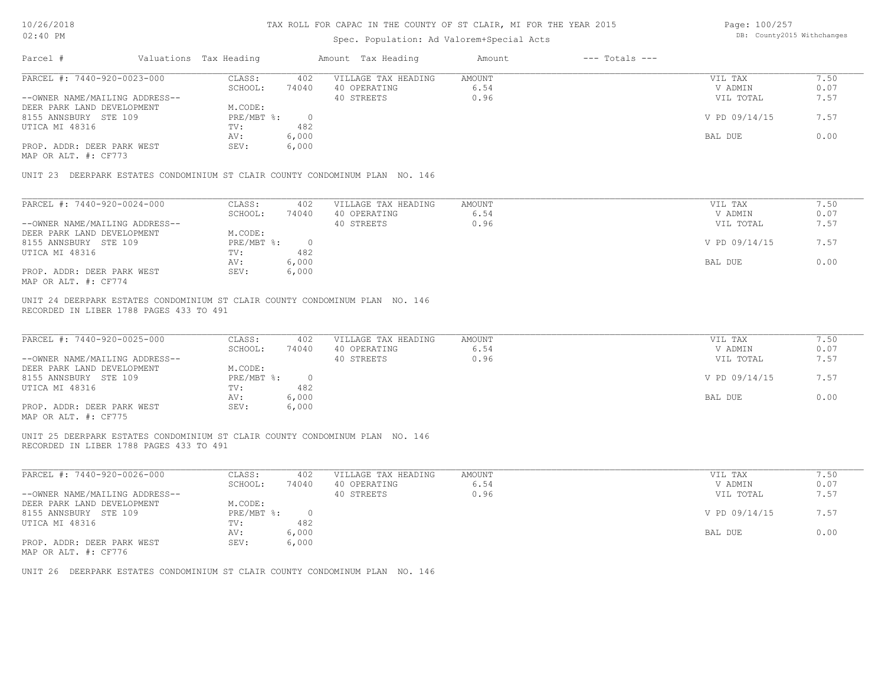Page: 100/257

| 10/26/2018                                                   |                                         |                                                                              |                | TAX ROLL FOR CAPAC IN THE COUNTY OF ST CLAIR, MI FOR THE YEAR 2015 |               |                    | Page: 100/257              |              |
|--------------------------------------------------------------|-----------------------------------------|------------------------------------------------------------------------------|----------------|--------------------------------------------------------------------|---------------|--------------------|----------------------------|--------------|
| $02:40$ PM                                                   |                                         |                                                                              |                | Spec. Population: Ad Valorem+Special Acts                          |               |                    | DB: County2015 Withchanges |              |
| Parcel #                                                     | Valuations Tax Heading                  |                                                                              |                | Amount Tax Heading                                                 | Amount        | $---$ Totals $---$ |                            |              |
| PARCEL #: 7440-920-0023-000                                  |                                         | CLASS:                                                                       | 402            | VILLAGE TAX HEADING                                                | <b>AMOUNT</b> |                    | VIL TAX                    | 7.50         |
|                                                              |                                         | SCHOOL:<br>74040                                                             |                | 40 OPERATING                                                       | 6.54          |                    | V ADMIN                    | 0.07         |
| --OWNER NAME/MAILING ADDRESS--                               |                                         |                                                                              |                | 40 STREETS                                                         | 0.96          |                    | VIL TOTAL                  | 7.57         |
| DEER PARK LAND DEVELOPMENT                                   |                                         | M.CODE:                                                                      |                |                                                                    |               |                    |                            |              |
| 8155 ANNSBURY STE 109                                        |                                         | PRE/MBT %:                                                                   | $\overline{0}$ |                                                                    |               |                    | V PD 09/14/15              | 7.57         |
| UTICA MI 48316                                               |                                         | TV:                                                                          | 482            |                                                                    |               |                    |                            |              |
|                                                              |                                         | AV:<br>6,000                                                                 |                |                                                                    |               |                    | BAL DUE                    | 0.00         |
| PROP. ADDR: DEER PARK WEST<br>MAP OR ALT. #: CF773           |                                         | SEV:<br>6,000                                                                |                |                                                                    |               |                    |                            |              |
|                                                              |                                         | UNIT 23 DEERPARK ESTATES CONDOMINIUM ST CLAIR COUNTY CONDOMINUM PLAN NO. 146 |                |                                                                    |               |                    |                            |              |
|                                                              |                                         |                                                                              |                |                                                                    |               |                    |                            |              |
| PARCEL #: 7440-920-0024-000                                  |                                         | CLASS:                                                                       | 402            | VILLAGE TAX HEADING                                                | <b>AMOUNT</b> |                    | VIL TAX                    | 7.50         |
|                                                              |                                         | SCHOOL:<br>74040                                                             |                | 40 OPERATING<br>40 STREETS                                         | 6.54<br>0.96  |                    | V ADMIN                    | 0.07<br>7.57 |
| --OWNER NAME/MAILING ADDRESS--<br>DEER PARK LAND DEVELOPMENT |                                         | M.CODE:                                                                      |                |                                                                    |               |                    | VIL TOTAL                  |              |
| 8155 ANNSBURY STE 109                                        |                                         | PRE/MBT %:                                                                   | $\overline{0}$ |                                                                    |               |                    | V PD 09/14/15              | 7.57         |
| UTICA MI 48316                                               |                                         | TV:                                                                          | 482            |                                                                    |               |                    |                            |              |
|                                                              |                                         | 6,000<br>AV:                                                                 |                |                                                                    |               |                    | BAL DUE                    | 0.00         |
| PROP. ADDR: DEER PARK WEST                                   |                                         | SEV:<br>6,000                                                                |                |                                                                    |               |                    |                            |              |
| MAP OR ALT. #: CF774                                         |                                         |                                                                              |                |                                                                    |               |                    |                            |              |
|                                                              | RECORDED IN LIBER 1788 PAGES 433 TO 491 | UNIT 24 DEERPARK ESTATES CONDOMINIUM ST CLAIR COUNTY CONDOMINUM PLAN NO. 146 |                |                                                                    |               |                    |                            |              |
| PARCEL #: 7440-920-0025-000                                  |                                         | CLASS:                                                                       | 402            | VILLAGE TAX HEADING                                                | <b>AMOUNT</b> |                    | VIL TAX                    | 7.50         |
|                                                              |                                         | SCHOOL:<br>74040                                                             |                | 40 OPERATING                                                       | 6.54          |                    | V ADMIN                    | 0.07         |
| --OWNER NAME/MAILING ADDRESS--                               |                                         |                                                                              |                | 40 STREETS                                                         | 0.96          |                    | VIL TOTAL                  | 7.57         |
| DEER PARK LAND DEVELOPMENT                                   |                                         | M.CODE:                                                                      |                |                                                                    |               |                    |                            |              |
| 8155 ANNSBURY STE 109                                        |                                         | PRE/MBT %:                                                                   | $\overline{0}$ |                                                                    |               |                    | V PD 09/14/15              | 7.57         |
| UTICA MI 48316                                               |                                         | TV:                                                                          | 482            |                                                                    |               |                    |                            |              |
| PROP. ADDR: DEER PARK WEST                                   |                                         | 6,000<br>AV:<br>SEV:<br>6,000                                                |                |                                                                    |               |                    | BAL DUE                    | 0.00         |
| MAP OR ALT. #: CF775                                         |                                         |                                                                              |                |                                                                    |               |                    |                            |              |
|                                                              | RECORDED IN LIBER 1788 PAGES 433 TO 491 | UNIT 25 DEERPARK ESTATES CONDOMINIUM ST CLAIR COUNTY CONDOMINUM PLAN NO. 146 |                |                                                                    |               |                    |                            |              |
|                                                              |                                         |                                                                              |                |                                                                    |               |                    |                            |              |
| PARCEL #: 7440-920-0026-000                                  |                                         | CLASS:                                                                       | 402            | VILLAGE TAX HEADING                                                | <b>AMOUNT</b> |                    | VIL TAX                    | 7.50         |
|                                                              |                                         | SCHOOL:<br>74040                                                             |                | 40 OPERATING                                                       | 6.54          |                    | V ADMIN                    | 0.07         |
| --OWNER NAME/MAILING ADDRESS--                               |                                         |                                                                              |                | 40 STREETS                                                         | 0.96          |                    | VIL TOTAL                  | 7.57         |
| DEER PARK LAND DEVELOPMENT                                   |                                         | M.CODE:                                                                      |                |                                                                    |               |                    |                            |              |
| 8155 ANNSBURY STE 109                                        |                                         | PRE/MBT %:                                                                   | $\overline{0}$ |                                                                    |               |                    | V PD 09/14/15              | 7.57         |
| UTICA MI 48316                                               |                                         | TV:                                                                          | 482            |                                                                    |               |                    |                            |              |
|                                                              |                                         | 6,000<br>AV:                                                                 |                |                                                                    |               |                    | BAL DUE                    | 0.00         |

AV: 6,000 BAL DUE 0.00

MAP OR ALT. #: CF776 PROP. ADDR: DEER PARK WEST SEV: 6,000

UNIT 26 DEERPARK ESTATES CONDOMINIUM ST CLAIR COUNTY CONDOMINUM PLAN NO. 146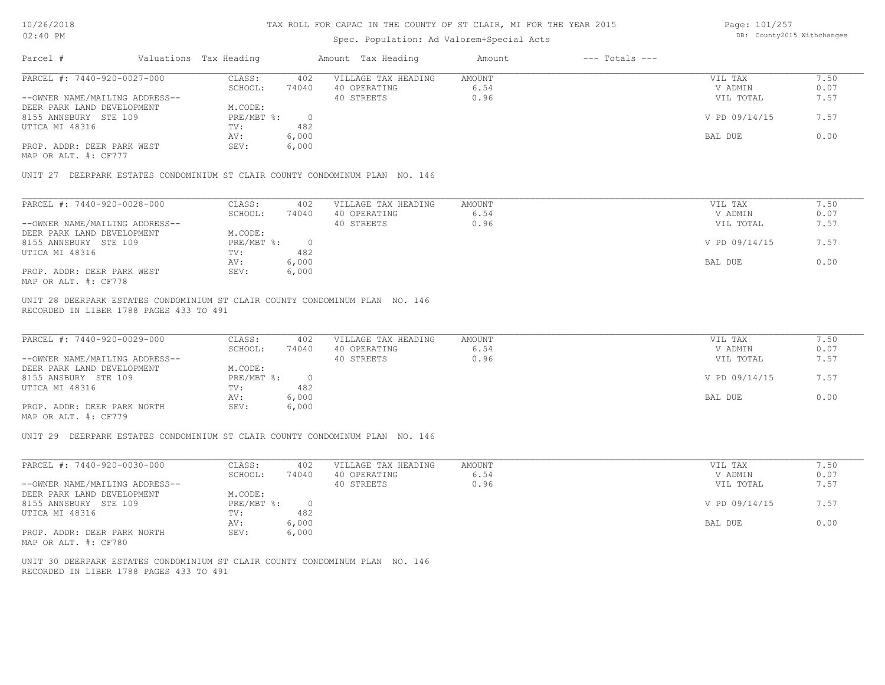## Spec. Population: Ad Valorem+Special Acts

Page: 101/257 DB: County2015 Withchanges

| Parcel #                       | Valuations Tax Heading |       | Amount Tax Heading  | Amount | $---$ Totals $---$ |               |      |
|--------------------------------|------------------------|-------|---------------------|--------|--------------------|---------------|------|
| PARCEL #: 7440-920-0027-000    | CLASS:                 | 402   | VILLAGE TAX HEADING | AMOUNT |                    | VIL TAX       | 1.50 |
|                                | SCHOOL:                | 74040 | 40 OPERATING        | 6.54   |                    | V ADMIN       | 0.07 |
| --OWNER NAME/MAILING ADDRESS-- |                        |       | 40 STREETS          | 0.96   |                    | VIL TOTAL     | 7.57 |
| DEER PARK LAND DEVELOPMENT     | M.CODE:                |       |                     |        |                    |               |      |
| 8155 ANNSBURY STE 109          | PRE/MBT %:             |       |                     |        |                    | V PD 09/14/15 | 7.57 |
| UTICA MI 48316                 | TV:                    | 482   |                     |        |                    |               |      |
|                                | AV:                    | 6,000 |                     |        |                    | BAL DUE       | 0.00 |
| PROP. ADDR: DEER PARK WEST     | SEV:                   | 6,000 |                     |        |                    |               |      |
| MAP OR ALT. #: CF777           |                        |       |                     |        |                    |               |      |

UNIT 27 DEERPARK ESTATES CONDOMINIUM ST CLAIR COUNTY CONDOMINUM PLAN NO. 146

| PARCEL #: 7440-920-0028-000    | CLASS:     | 402   | VILLAGE TAX HEADING | AMOUNT | VIL TAX       | 1.50 |
|--------------------------------|------------|-------|---------------------|--------|---------------|------|
|                                | SCHOOL:    | 74040 | 40 OPERATING        | 6.54   | V ADMIN       | 0.07 |
| --OWNER NAME/MAILING ADDRESS-- |            |       | 40 STREETS          | 0.96   | VIL TOTAL     | 7.57 |
| DEER PARK LAND DEVELOPMENT     | M.CODE:    |       |                     |        |               |      |
| 8155 ANNSBURY STE 109          | PRE/MBT %: |       |                     |        | V PD 09/14/15 | 7.57 |
| UTICA MI 48316                 | TV:        | 482   |                     |        |               |      |
|                                | AV:        | 6,000 |                     |        | BAL DUE       | 0.00 |
| PROP. ADDR: DEER PARK WEST     | SEV:       | 6,000 |                     |        |               |      |
| MAP OR ALT. #: CF778           |            |       |                     |        |               |      |

RECORDED IN LIBER 1788 PAGES 433 TO 491 UNIT 28 DEERPARK ESTATES CONDOMINIUM ST CLAIR COUNTY CONDOMINUM PLAN NO. 146

| PARCEL #: 7440-920-0029-000                  | CLASS:     | 402    | VILLAGE TAX HEADING | AMOUNT | VIL TAX       | 7.50 |
|----------------------------------------------|------------|--------|---------------------|--------|---------------|------|
|                                              | SCHOOL:    | 74040  | 40 OPERATING        | 6.54   | V ADMIN       | 0.07 |
| --OWNER NAME/MAILING ADDRESS--               |            |        | 40 STREETS          | 0.96   | VIL TOTAL     | 7.57 |
| DEER PARK LAND DEVELOPMENT                   | M.CODE:    |        |                     |        |               |      |
| 8155 ANSBURY STE 109                         | PRE/MBT %: | $\cap$ |                     |        | V PD 09/14/15 | 7.57 |
| UTICA MI 48316                               | TV:        | 482    |                     |        |               |      |
|                                              | AV:        | 6,000  |                     |        | BAL DUE       | 0.00 |
| PROP. ADDR: DEER PARK NORTH<br>$\frac{1}{2}$ | SEV:       | 6,000  |                     |        |               |      |

 $\mathcal{L}_\mathcal{L} = \mathcal{L}_\mathcal{L} = \mathcal{L}_\mathcal{L} = \mathcal{L}_\mathcal{L} = \mathcal{L}_\mathcal{L} = \mathcal{L}_\mathcal{L} = \mathcal{L}_\mathcal{L} = \mathcal{L}_\mathcal{L} = \mathcal{L}_\mathcal{L} = \mathcal{L}_\mathcal{L} = \mathcal{L}_\mathcal{L} = \mathcal{L}_\mathcal{L} = \mathcal{L}_\mathcal{L} = \mathcal{L}_\mathcal{L} = \mathcal{L}_\mathcal{L} = \mathcal{L}_\mathcal{L} = \mathcal{L}_\mathcal{L}$ 

MAP OR ALT. #: CF779

UNIT 29 DEERPARK ESTATES CONDOMINIUM ST CLAIR COUNTY CONDOMINUM PLAN NO. 146

| PARCEL #: 7440-920-0030-000    | CLASS:     | 402   | VILLAGE TAX HEADING | AMOUNT | VIL TAX       | 7.50 |
|--------------------------------|------------|-------|---------------------|--------|---------------|------|
|                                | SCHOOL:    | 74040 | 40 OPERATING        | 6.54   | V ADMIN       | 0.07 |
| --OWNER NAME/MAILING ADDRESS-- |            |       | 40 STREETS          | 0.96   | VIL TOTAL     | 7.57 |
| DEER PARK LAND DEVELOPMENT     | M.CODE:    |       |                     |        |               |      |
| 8155 ANNSBURY STE 109          | PRE/MBT %: |       |                     |        | V PD 09/14/15 | 7.57 |
| UTICA MI 48316                 | TV:        | 482   |                     |        |               |      |
|                                | AV:        | 6,000 |                     |        | BAL DUE       | 0.00 |
| PROP. ADDR: DEER PARK NORTH    | SEV:       | 6,000 |                     |        |               |      |
| MAP OR ALT. #: CF780           |            |       |                     |        |               |      |

RECORDED IN LIBER 1788 PAGES 433 TO 491 UNIT 30 DEERPARK ESTATES CONDOMINIUM ST CLAIR COUNTY CONDOMINUM PLAN NO. 146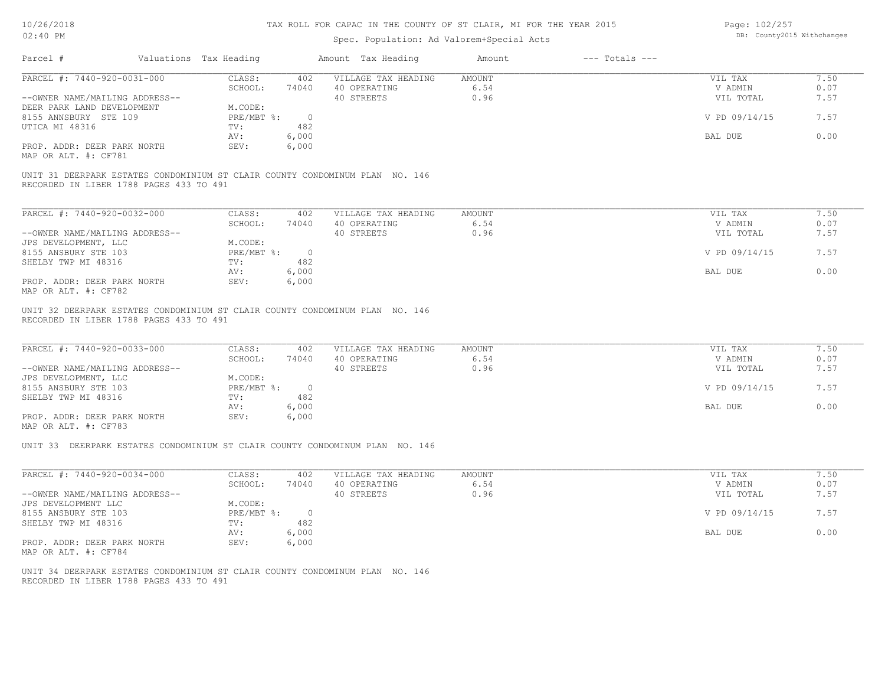| Page: 102/257 |                            |
|---------------|----------------------------|
|               | DB: County2015 Withchanges |

| 02:40 PM                                                                                                                |                                   | Spec. Population: Ad Valorem+Special Acts |                              | DB: County2015 Withchanges |              |
|-------------------------------------------------------------------------------------------------------------------------|-----------------------------------|-------------------------------------------|------------------------------|----------------------------|--------------|
| Parcel #                                                                                                                | Valuations Tax Heading            | Amount Tax Heading                        | $---$ Totals $---$<br>Amount |                            |              |
| PARCEL #: 7440-920-0031-000                                                                                             | CLASS:<br>402                     | VILLAGE TAX HEADING                       | <b>AMOUNT</b>                | VIL TAX                    | 7.50         |
|                                                                                                                         | SCHOOL:<br>74040                  | 40 OPERATING                              | 6.54                         | V ADMIN                    | 0.07         |
| --OWNER NAME/MAILING ADDRESS--                                                                                          |                                   | 40 STREETS                                | 0.96                         | VIL TOTAL                  | 7.57         |
| DEER PARK LAND DEVELOPMENT                                                                                              | M.CODE:                           |                                           |                              |                            |              |
| 8155 ANNSBURY STE 109                                                                                                   | PRE/MBT %:<br>$\overline{0}$      |                                           |                              | V PD 09/14/15              | 7.57         |
| UTICA MI 48316                                                                                                          | 482<br>TV:                        |                                           |                              |                            |              |
|                                                                                                                         | 6,000<br>AV:                      |                                           |                              | BAL DUE                    | 0.00         |
| PROP. ADDR: DEER PARK NORTH<br>MAP OR ALT. #: CF781                                                                     | SEV:<br>6,000                     |                                           |                              |                            |              |
| UNIT 31 DEERPARK ESTATES CONDOMINIUM ST CLAIR COUNTY CONDOMINUM PLAN NO. 146<br>RECORDED IN LIBER 1788 PAGES 433 TO 491 |                                   |                                           |                              |                            |              |
|                                                                                                                         |                                   |                                           |                              |                            |              |
| PARCEL #: 7440-920-0032-000                                                                                             | CLASS:<br>402                     | VILLAGE TAX HEADING                       | <b>AMOUNT</b>                | VIL TAX                    | 7.50         |
|                                                                                                                         | SCHOOL:<br>74040                  | 40 OPERATING                              | 6.54                         | V ADMIN                    | 0.07         |
| --OWNER NAME/MAILING ADDRESS--                                                                                          |                                   | 40 STREETS                                | 0.96                         | VIL TOTAL                  | 7.57         |
| JPS DEVELOPMENT, LLC                                                                                                    | M.CODE:                           |                                           |                              |                            |              |
| 8155 ANSBURY STE 103                                                                                                    | PRE/MBT %:<br>$\overline{0}$      |                                           |                              | V PD 09/14/15              | 7.57         |
| SHELBY TWP MI 48316                                                                                                     | TV:<br>482                        |                                           |                              |                            |              |
|                                                                                                                         | 6,000<br>AV:                      |                                           |                              | BAL DUE                    | 0.00         |
| PROP. ADDR: DEER PARK NORTH<br>MAP OR ALT. #: CF782                                                                     | SEV:<br>6,000                     |                                           |                              |                            |              |
| RECORDED IN LIBER 1788 PAGES 433 TO 491<br>PARCEL #: 7440-920-0033-000                                                  | CLASS:<br>402<br>SCHOOL:<br>74040 | VILLAGE TAX HEADING<br>40 OPERATING       | <b>AMOUNT</b><br>6.54        | VIL TAX<br>V ADMIN         | 7.50<br>0.07 |
| --OWNER NAME/MAILING ADDRESS--                                                                                          |                                   | 40 STREETS                                | 0.96                         | VIL TOTAL                  | 7.57         |
| JPS DEVELOPMENT, LLC                                                                                                    | M.CODE:                           |                                           |                              |                            |              |
| 8155 ANSBURY STE 103                                                                                                    | $PRE/MBT$ %:<br>$\overline{0}$    |                                           |                              | V PD 09/14/15              | 7.57         |
| SHELBY TWP MI 48316                                                                                                     | 482<br>TV:                        |                                           |                              |                            |              |
|                                                                                                                         | 6,000<br>AV:                      |                                           |                              | BAL DUE                    | 0.00         |
| PROP. ADDR: DEER PARK NORTH<br>MAP OR ALT. #: CF783                                                                     | 6,000<br>SEV:                     |                                           |                              |                            |              |
| UNIT 33 DEERPARK ESTATES CONDOMINIUM ST CLAIR COUNTY CONDOMINUM PLAN NO. 146                                            |                                   |                                           |                              |                            |              |
| PARCEL #: 7440-920-0034-000                                                                                             | CLASS:<br>402                     | VILLAGE TAX HEADING                       | <b>AMOUNT</b>                | VIL TAX                    | 7.50         |
|                                                                                                                         | SCHOOL:<br>74040                  | 40 OPERATING                              | 6.54                         | V ADMIN                    | 0.07         |
| --OWNER NAME/MAILING ADDRESS--                                                                                          |                                   | 40 STREETS                                | 0.96                         | VIL TOTAL                  | 7.57         |
| JPS DEVELOPMENT LLC                                                                                                     | M.CODE:                           |                                           |                              |                            |              |
| 8155 ANSBURY STE 103                                                                                                    | PRE/MBT %:<br>$\overline{0}$      |                                           |                              | V PD 09/14/15              | 7.57         |
| SHELBY TWP MI 48316                                                                                                     | 482<br>TV:                        |                                           |                              |                            |              |
|                                                                                                                         | 6,000<br>AV:                      |                                           |                              | BAL DUE                    | 0.00         |
| PROP. ADDR: DEER PARK NORTH                                                                                             | 6,000<br>SEV:                     |                                           |                              |                            |              |
| MAP OR ALT. #: CF784                                                                                                    |                                   |                                           |                              |                            |              |
| UNIT 34 DEERPARK ESTATES CONDOMINIUM ST CLAIR COUNTY CONDOMINUM PLAN NO. 146                                            |                                   |                                           |                              |                            |              |
| RECORDED IN LIBER 1788 PAGES 433 TO 491                                                                                 |                                   |                                           |                              |                            |              |
|                                                                                                                         |                                   |                                           |                              |                            |              |
|                                                                                                                         |                                   |                                           |                              |                            |              |
|                                                                                                                         |                                   |                                           |                              |                            |              |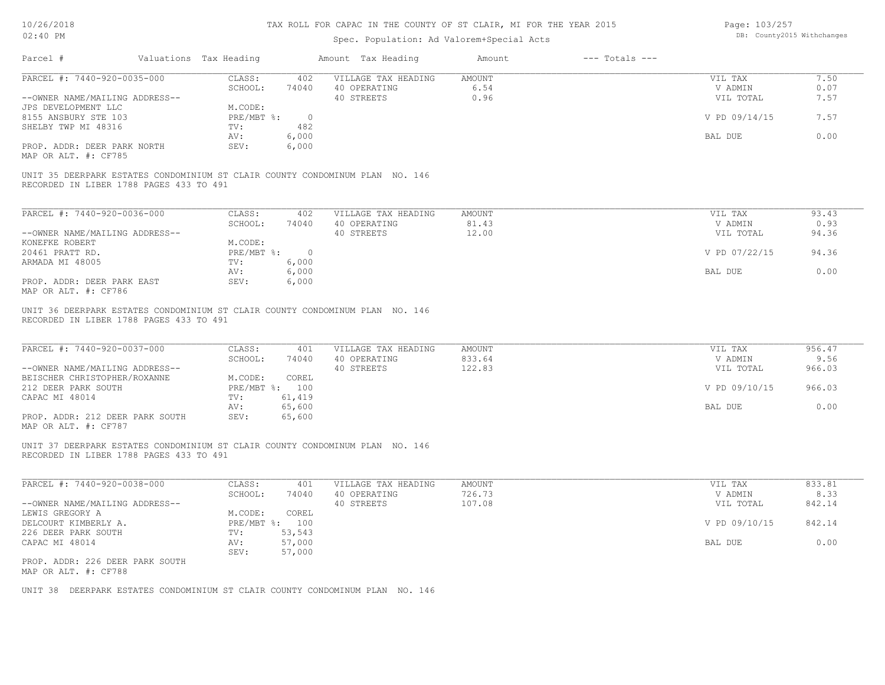| Page: 103/257 |                            |
|---------------|----------------------------|
|               | DB: County2015 Withchanges |

| PARCEL #: 7440-920-0035-000                                                                                                                                                                                                                                                                                                  | CLASS:<br>402                                                                                             | VILLAGE TAX HEADING                               | AMOUNT                            | VIL TAX                                                     | 7.50                                       |
|------------------------------------------------------------------------------------------------------------------------------------------------------------------------------------------------------------------------------------------------------------------------------------------------------------------------------|-----------------------------------------------------------------------------------------------------------|---------------------------------------------------|-----------------------------------|-------------------------------------------------------------|--------------------------------------------|
|                                                                                                                                                                                                                                                                                                                              | SCHOOL:<br>74040                                                                                          | 40 OPERATING                                      | 6.54<br>0.96                      | V ADMIN                                                     | 0.07<br>7.57                               |
| --OWNER NAME/MAILING ADDRESS--<br>JPS DEVELOPMENT LLC                                                                                                                                                                                                                                                                        | M.CODE:                                                                                                   | 40 STREETS                                        |                                   | VIL TOTAL                                                   |                                            |
| 8155 ANSBURY STE 103                                                                                                                                                                                                                                                                                                         | PRE/MBT %:<br>$\overline{0}$                                                                              |                                                   |                                   | V PD 09/14/15                                               | 7.57                                       |
| SHELBY TWP MI 48316                                                                                                                                                                                                                                                                                                          | 482<br>TV:                                                                                                |                                                   |                                   |                                                             |                                            |
|                                                                                                                                                                                                                                                                                                                              | 6,000<br>AV:                                                                                              |                                                   |                                   | BAL DUE                                                     | 0.00                                       |
| PROP. ADDR: DEER PARK NORTH                                                                                                                                                                                                                                                                                                  | 6,000<br>SEV:                                                                                             |                                                   |                                   |                                                             |                                            |
| MAP OR ALT. #: CF785                                                                                                                                                                                                                                                                                                         |                                                                                                           |                                                   |                                   |                                                             |                                            |
| UNIT 35 DEERPARK ESTATES CONDOMINIUM ST CLAIR COUNTY CONDOMINUM PLAN NO. 146                                                                                                                                                                                                                                                 |                                                                                                           |                                                   |                                   |                                                             |                                            |
| RECORDED IN LIBER 1788 PAGES 433 TO 491                                                                                                                                                                                                                                                                                      |                                                                                                           |                                                   |                                   |                                                             |                                            |
| PARCEL #: 7440-920-0036-000                                                                                                                                                                                                                                                                                                  | CLASS:<br>402                                                                                             | VILLAGE TAX HEADING                               | <b>AMOUNT</b>                     | VIL TAX                                                     | 93.43                                      |
|                                                                                                                                                                                                                                                                                                                              | SCHOOL:<br>74040                                                                                          | 40 OPERATING                                      | 81.43                             | V ADMIN                                                     | 0.93                                       |
| --OWNER NAME/MAILING ADDRESS--                                                                                                                                                                                                                                                                                               |                                                                                                           | 40 STREETS                                        | 12.00                             | VIL TOTAL                                                   | 94.36                                      |
| KONEFKE ROBERT                                                                                                                                                                                                                                                                                                               | M.CODE:                                                                                                   |                                                   |                                   |                                                             |                                            |
| 20461 PRATT RD.                                                                                                                                                                                                                                                                                                              | PRE/MBT %: 0                                                                                              |                                                   |                                   | V PD 07/22/15                                               | 94.36                                      |
| ARMADA MI 48005                                                                                                                                                                                                                                                                                                              | 6,000<br>TV:                                                                                              |                                                   |                                   |                                                             |                                            |
| PROP. ADDR: DEER PARK EAST                                                                                                                                                                                                                                                                                                   | 6,000<br>AV:<br>SEV:<br>6,000                                                                             |                                                   |                                   | BAL DUE                                                     | 0.00                                       |
| MAP OR ALT. #: CF786                                                                                                                                                                                                                                                                                                         |                                                                                                           |                                                   |                                   |                                                             |                                            |
|                                                                                                                                                                                                                                                                                                                              |                                                                                                           |                                                   |                                   |                                                             |                                            |
|                                                                                                                                                                                                                                                                                                                              | CLASS:<br>401<br>SCHOOL:<br>74040<br>M.CODE:<br>COREL<br>PRE/MBT %: 100<br>61,419<br>TV:<br>65,600<br>AV: | VILLAGE TAX HEADING<br>40 OPERATING<br>40 STREETS | <b>AMOUNT</b><br>833.64<br>122.83 | VIL TAX<br>V ADMIN<br>VIL TOTAL<br>V PD 09/10/15<br>BAL DUE | 956.47<br>9.56<br>966.03<br>966.03<br>0.00 |
| UNIT 36 DEERPARK ESTATES CONDOMINIUM ST CLAIR COUNTY CONDOMINUM PLAN NO. 146<br>RECORDED IN LIBER 1788 PAGES 433 TO 491<br>PARCEL #: 7440-920-0037-000<br>--OWNER NAME/MAILING ADDRESS--<br>BEISCHER CHRISTOPHER/ROXANNE<br>212 DEER PARK SOUTH<br>CAPAC MI 48014<br>PROP. ADDR: 212 DEER PARK SOUTH<br>MAP OR ALT. #: CF787 | 65,600<br>SEV:                                                                                            |                                                   |                                   |                                                             |                                            |
| UNIT 37 DEERPARK ESTATES CONDOMINIUM ST CLAIR COUNTY CONDOMINUM PLAN NO. 146<br>RECORDED IN LIBER 1788 PAGES 433 TO 491                                                                                                                                                                                                      |                                                                                                           |                                                   |                                   |                                                             |                                            |
| PARCEL #: 7440-920-0038-000                                                                                                                                                                                                                                                                                                  | CLASS:<br>401                                                                                             | VILLAGE TAX HEADING                               | <b>AMOUNT</b>                     | VIL TAX                                                     | 833.81                                     |
|                                                                                                                                                                                                                                                                                                                              | SCHOOL:<br>74040                                                                                          | 40 OPERATING                                      | 726.73                            | V ADMIN                                                     | 8.33                                       |
|                                                                                                                                                                                                                                                                                                                              |                                                                                                           | 40 STREETS                                        | 107.08                            | VIL TOTAL                                                   | 842.14                                     |
|                                                                                                                                                                                                                                                                                                                              | M.CODE:<br>COREL<br>PRE/MBT %: 100                                                                        |                                                   |                                   | V PD 09/10/15                                               | 842.14                                     |
|                                                                                                                                                                                                                                                                                                                              | 53,543<br>TV:                                                                                             |                                                   |                                   |                                                             |                                            |
|                                                                                                                                                                                                                                                                                                                              | 57,000<br>AV:                                                                                             |                                                   |                                   | BAL DUE                                                     | 0.00                                       |
| --OWNER NAME/MAILING ADDRESS--<br>LEWIS GREGORY A<br>DELCOURT KIMBERLY A.<br>226 DEER PARK SOUTH<br>CAPAC MI 48014                                                                                                                                                                                                           | 57,000<br>SEV:                                                                                            |                                                   |                                   |                                                             |                                            |
| PROP. ADDR: 226 DEER PARK SOUTH<br>MAP OR ALT. #: CF788                                                                                                                                                                                                                                                                      |                                                                                                           |                                                   |                                   |                                                             |                                            |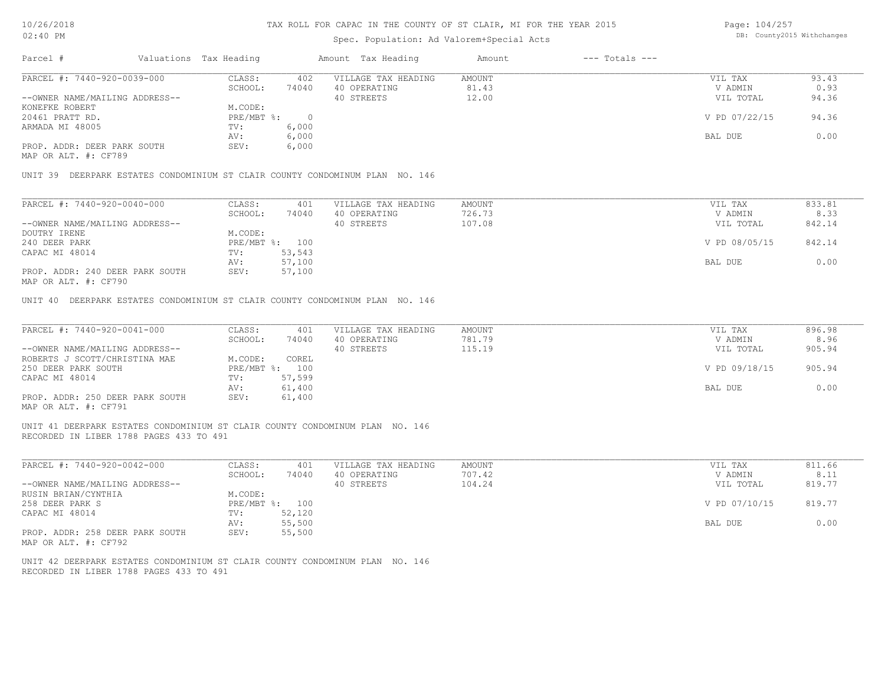| 10/26/2018<br>$02:40$ PM                                                                                                |                  | TAX ROLL FOR CAPAC IN THE COUNTY OF ST CLAIR, MI FOR THE YEAR 2015 | Page: 104/257<br>DB: County2015 Withchanges |                                           |                    |               |        |
|-------------------------------------------------------------------------------------------------------------------------|------------------|--------------------------------------------------------------------|---------------------------------------------|-------------------------------------------|--------------------|---------------|--------|
|                                                                                                                         |                  |                                                                    |                                             | Spec. Population: Ad Valorem+Special Acts |                    |               |        |
| Parcel #<br>Valuations Tax Heading                                                                                      |                  |                                                                    | Amount Tax Heading                          | Amount                                    | $---$ Totals $---$ |               |        |
| PARCEL #: 7440-920-0039-000                                                                                             | CLASS:           | 402                                                                | VILLAGE TAX HEADING                         | AMOUNT                                    |                    | VIL TAX       | 93.43  |
|                                                                                                                         | SCHOOL:          | 74040                                                              | 40 OPERATING                                | 81.43                                     |                    | V ADMIN       | 0.93   |
| --OWNER NAME/MAILING ADDRESS--                                                                                          |                  |                                                                    | 40 STREETS                                  | 12.00                                     |                    | VIL TOTAL     | 94.36  |
| KONEFKE ROBERT                                                                                                          | M.CODE:          |                                                                    |                                             |                                           |                    |               |        |
| 20461 PRATT RD.                                                                                                         | $PRE/MBT$ $\div$ | $\overline{0}$                                                     |                                             |                                           |                    | V PD 07/22/15 | 94.36  |
| ARMADA MI 48005                                                                                                         | TV:              | 6,000                                                              |                                             |                                           |                    |               |        |
|                                                                                                                         | AV:              | 6,000                                                              |                                             |                                           |                    | BAL DUE       | 0.00   |
| PROP. ADDR: DEER PARK SOUTH<br>MAP OR ALT. #: CF789                                                                     | SEV:             | 6,000                                                              |                                             |                                           |                    |               |        |
| UNIT 39 DEERPARK ESTATES CONDOMINIUM ST CLAIR COUNTY CONDOMINUM PLAN NO. 146                                            |                  |                                                                    |                                             |                                           |                    |               |        |
| PARCEL #: 7440-920-0040-000                                                                                             | CLASS:           | 401                                                                | VILLAGE TAX HEADING                         | <b>AMOUNT</b>                             |                    | VIL TAX       | 833.81 |
|                                                                                                                         | SCHOOL:          | 74040                                                              | 40 OPERATING                                | 726.73                                    |                    | V ADMIN       | 8.33   |
| --OWNER NAME/MAILING ADDRESS--                                                                                          |                  |                                                                    | 40 STREETS                                  | 107.08                                    |                    | VIL TOTAL     | 842.14 |
| DOUTRY IRENE                                                                                                            | M.CODE:          |                                                                    |                                             |                                           |                    |               |        |
| 240 DEER PARK                                                                                                           | PRE/MBT %: 100   |                                                                    |                                             |                                           |                    | V PD 08/05/15 | 842.14 |
| CAPAC MI 48014                                                                                                          | TV:              | 53,543                                                             |                                             |                                           |                    |               |        |
|                                                                                                                         | AV:              | 57,100                                                             |                                             |                                           |                    | BAL DUE       | 0.00   |
| PROP. ADDR: 240 DEER PARK SOUTH<br>MAP OR ALT. #: CF790                                                                 | SEV:             | 57,100                                                             |                                             |                                           |                    |               |        |
| UNIT 40 DEERPARK ESTATES CONDOMINIUM ST CLAIR COUNTY CONDOMINUM PLAN NO. 146                                            |                  |                                                                    |                                             |                                           |                    |               |        |
| PARCEL #: 7440-920-0041-000                                                                                             | CLASS:           | 401                                                                | VILLAGE TAX HEADING                         | <b>AMOUNT</b>                             |                    | VIL TAX       | 896.98 |
|                                                                                                                         | SCHOOL:          | 74040                                                              | 40 OPERATING                                | 781.79                                    |                    | V ADMIN       | 8.96   |
| --OWNER NAME/MAILING ADDRESS--                                                                                          |                  |                                                                    | 40 STREETS                                  | 115.19                                    |                    | VIL TOTAL     | 905.94 |
| ROBERTS J SCOTT/CHRISTINA MAE                                                                                           | M.CODE:          | COREL                                                              |                                             |                                           |                    |               |        |
| 250 DEER PARK SOUTH                                                                                                     | PRE/MBT %: 100   |                                                                    |                                             |                                           |                    | V PD 09/18/15 | 905.94 |
| CAPAC MI 48014                                                                                                          | TV:              | 57,599                                                             |                                             |                                           |                    |               |        |
|                                                                                                                         | AV:              | 61,400                                                             |                                             |                                           |                    | BAL DUE       | 0.00   |
| PROP. ADDR: 250 DEER PARK SOUTH<br>MAP OR ALT. #: CF791                                                                 | SEV:             | 61,400                                                             |                                             |                                           |                    |               |        |
| UNIT 41 DEERPARK ESTATES CONDOMINIUM ST CLAIR COUNTY CONDOMINUM PLAN NO. 146<br>RECORDED IN LIBER 1788 PAGES 433 TO 491 |                  |                                                                    |                                             |                                           |                    |               |        |
| PARCEL #: 7440-920-0042-000                                                                                             | CLASS:           | 401                                                                | VILLAGE TAX HEADING                         | <b>AMOUNT</b>                             |                    | VIL TAX       | 811.66 |

| IIINULLI M. FIIU JAU UUIA UUU   | ------       | ᄀᄓᅩ    | , TARIAA TIRI TIRIDIIA | 1117001V | $V = 1$       | <u>.</u> |
|---------------------------------|--------------|--------|------------------------|----------|---------------|----------|
|                                 | SCHOOL:      | 74040  | 40 OPERATING           | 707.42   | V ADMIN       | 8.11     |
| --OWNER NAME/MAILING ADDRESS--  |              |        | 40 STREETS             | 104.24   | VIL TOTAL     | 819.77   |
| RUSIN BRIAN/CYNTHIA             | M.CODE:      |        |                        |          |               |          |
| 258 DEER PARK S                 | $PRE/MBT$ %: | 100    |                        |          | V PD 07/10/15 | 819.77   |
| CAPAC MI 48014                  | TV:          | 52,120 |                        |          |               |          |
|                                 | AV:          | 55,500 |                        |          | BAL DUE       | 0.00     |
| PROP. ADDR: 258 DEER PARK SOUTH | SEV:         | 55,500 |                        |          |               |          |
| MAP OR ALT. #: CF792            |              |        |                        |          |               |          |

RECORDED IN LIBER 1788 PAGES 433 TO 491 UNIT 42 DEERPARK ESTATES CONDOMINIUM ST CLAIR COUNTY CONDOMINUM PLAN NO. 146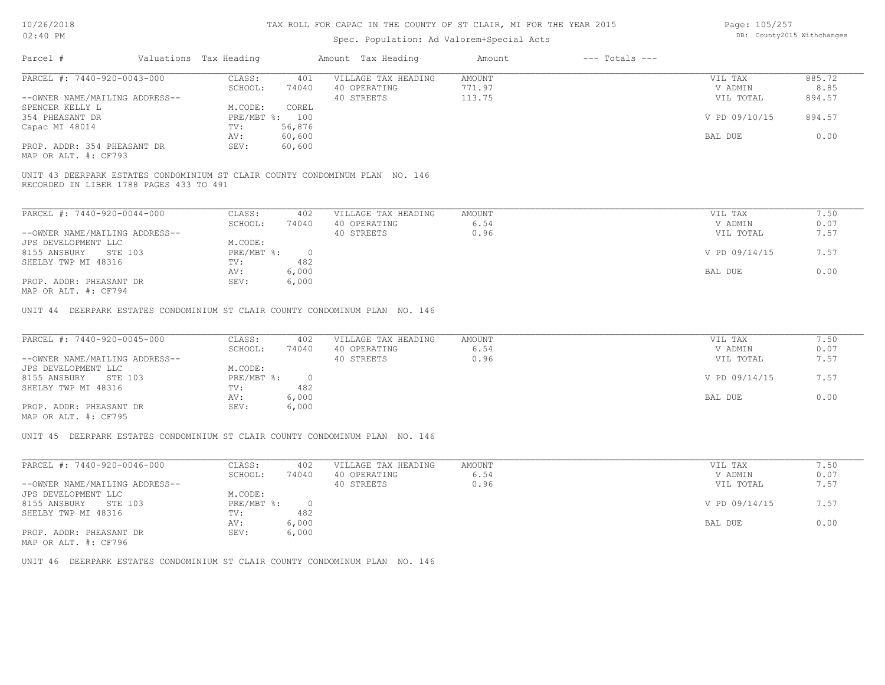# Spec. Population: Ad Valorem+Special Acts

| Page: 105/257 |                            |
|---------------|----------------------------|
|               | DB: County2015 Withchanges |

| Parcel #                       | Valuations Tax Heading |        | Amount Tax Heading  | Amount | $---$ Totals $---$ |               |        |
|--------------------------------|------------------------|--------|---------------------|--------|--------------------|---------------|--------|
| PARCEL #: 7440-920-0043-000    | CLASS:                 | 401    | VILLAGE TAX HEADING | AMOUNT |                    | VIL TAX       | 885.72 |
|                                | SCHOOL:                | 74040  | 40 OPERATING        | 771.97 |                    | V ADMIN       | 8.85   |
| --OWNER NAME/MAILING ADDRESS-- |                        |        | 40 STREETS          | 113.75 |                    | VIL TOTAL     | 894.57 |
| SPENCER KELLY L                | M.CODE:                | COREL  |                     |        |                    |               |        |
| 354 PHEASANT DR                | PRE/MBT %: 100         |        |                     |        |                    | V PD 09/10/15 | 894.57 |
| Capac MI 48014                 | TV:                    | 56,876 |                     |        |                    |               |        |
|                                | AV:                    | 60,600 |                     |        |                    | BAL DUE       | 0.00   |
| PROP. ADDR: 354 PHEASANT DR    | SEV:                   | 60,600 |                     |        |                    |               |        |
|                                |                        |        |                     |        |                    |               |        |

MAP OR ALT. #: CF793

RECORDED IN LIBER 1788 PAGES 433 TO 491 UNIT 43 DEERPARK ESTATES CONDOMINIUM ST CLAIR COUNTY CONDOMINUM PLAN NO. 146

| PARCEL #: 7440-920-0044-000    | CLASS:     | 402   | VILLAGE TAX HEADING | AMOUNT | VIL TAX       | 7.50 |
|--------------------------------|------------|-------|---------------------|--------|---------------|------|
|                                | SCHOOL:    | 74040 | 40 OPERATING        | 6.54   | V ADMIN       | 0.07 |
| --OWNER NAME/MAILING ADDRESS-- |            |       | 40 STREETS          | 0.96   | VIL TOTAL     | 7.57 |
| JPS DEVELOPMENT LLC            | M.CODE:    |       |                     |        |               |      |
| 8155 ANSBURY<br>STE 103        | PRE/MBT %: |       |                     |        | V PD 09/14/15 | 7.57 |
| SHELBY TWP MI 48316            | TV:        | 482   |                     |        |               |      |
|                                | AV:        | 6,000 |                     |        | BAL DUE       | 0.00 |
| PROP. ADDR: PHEASANT DR        | SEV:       | 6,000 |                     |        |               |      |
| 4.0 המרים ה-4.1 יחד גם מתוא    |            |       |                     |        |               |      |

MAP OR ALT. #: CF794

UNIT 44 DEERPARK ESTATES CONDOMINIUM ST CLAIR COUNTY CONDOMINUM PLAN NO. 146

| PARCEL #: 7440-920-0045-000    | CLASS:     | 402   | VILLAGE TAX HEADING | AMOUNT | VIL TAX       | 7.50 |
|--------------------------------|------------|-------|---------------------|--------|---------------|------|
|                                | SCHOOL:    | 74040 | 40 OPERATING        | 6.54   | V ADMIN       | 0.07 |
| --OWNER NAME/MAILING ADDRESS-- |            |       | 40 STREETS          | 0.96   | VIL TOTAL     | 7.57 |
| JPS DEVELOPMENT LLC            | M.CODE:    |       |                     |        |               |      |
| 8155 ANSBURY<br>STE 103        | PRE/MBT %: |       |                     |        | V PD 09/14/15 | 7.57 |
| SHELBY TWP MI 48316            | TV:        | 482   |                     |        |               |      |
|                                | AV:        | 6,000 |                     |        | BAL DUE       | 0.00 |
| PROP. ADDR: PHEASANT DR        | SEV:       | 6,000 |                     |        |               |      |
| MAP OR ALT. #: CF795           |            |       |                     |        |               |      |

UNIT 45 DEERPARK ESTATES CONDOMINIUM ST CLAIR COUNTY CONDOMINUM PLAN NO. 146

| PARCEL #: 7440-920-0046-000    | CLASS:     | 402   | VILLAGE TAX HEADING | AMOUNT | VIL TAX       | 7.50 |
|--------------------------------|------------|-------|---------------------|--------|---------------|------|
|                                | SCHOOL:    | 74040 | 40 OPERATING        | 6.54   | V ADMIN       | 0.07 |
| --OWNER NAME/MAILING ADDRESS-- |            |       | 40 STREETS          | 0.96   | VIL TOTAL     | 7.57 |
| JPS DEVELOPMENT LLC            | M.CODE:    |       |                     |        |               |      |
| 8155 ANSBURY<br>STE 103        | PRE/MBT %: |       |                     |        | V PD 09/14/15 | 7.57 |
| SHELBY TWP MI 48316            | TV:        | 482   |                     |        |               |      |
|                                | AV:        | 6,000 |                     |        | BAL DUE       | 0.00 |
| PROP. ADDR: PHEASANT DR        | SEV:       | 6,000 |                     |        |               |      |
| MAP OR ALT. #: CF796           |            |       |                     |        |               |      |

UNIT 46 DEERPARK ESTATES CONDOMINIUM ST CLAIR COUNTY CONDOMINUM PLAN NO. 146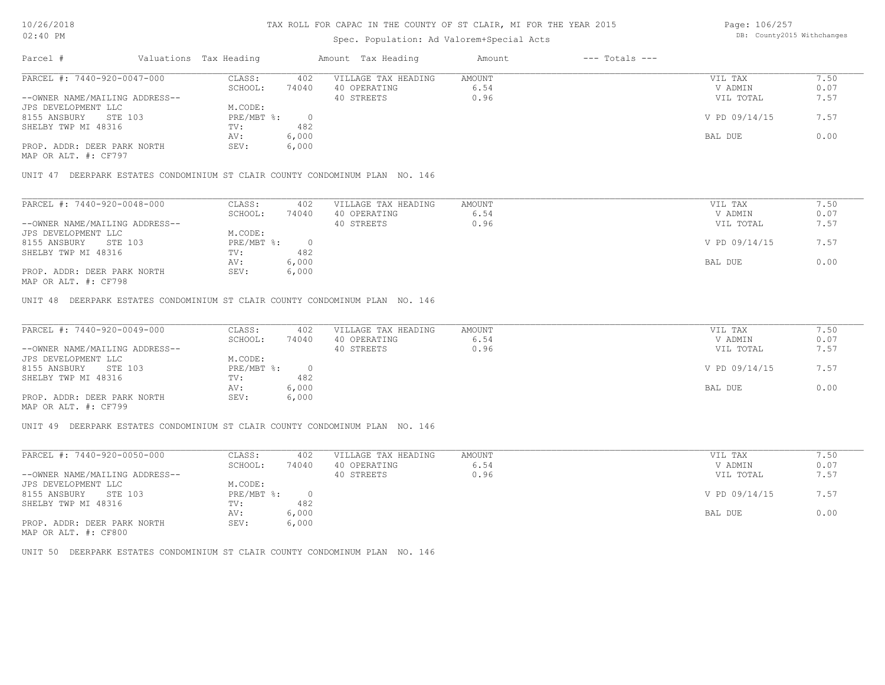# Spec. Population: Ad Valorem+Special Acts

Page: 106/257 DB: County2015 Withchanges

| Parcel #                       |         | Valuations Tax Heading |       | Amount Tax Heading  | Amount | $---$ Totals $---$ |               |      |
|--------------------------------|---------|------------------------|-------|---------------------|--------|--------------------|---------------|------|
| PARCEL #: 7440-920-0047-000    |         | CLASS:                 | 402   | VILLAGE TAX HEADING | AMOUNT |                    | VIL TAX       | /.50 |
|                                |         | SCHOOL:                | 74040 | 40 OPERATING        | 6.54   |                    | V ADMIN       | 0.07 |
| --OWNER NAME/MAILING ADDRESS-- |         |                        |       | 40 STREETS          | 0.96   |                    | VIL TOTAL     | 7.57 |
| JPS DEVELOPMENT LLC            |         | M.CODE:                |       |                     |        |                    |               |      |
| 8155 ANSBURY                   | STE 103 | PRE/MBT %:             |       |                     |        |                    | V PD 09/14/15 | 7.57 |
| SHELBY TWP MI 48316            |         | TV:                    | 482   |                     |        |                    |               |      |
|                                |         | AV:                    | 6,000 |                     |        |                    | BAL DUE       | 0.00 |
| PROP. ADDR: DEER PARK NORTH    |         | SEV:                   | 6,000 |                     |        |                    |               |      |
|                                |         |                        |       |                     |        |                    |               |      |

MAP OR ALT. #: CF797

UNIT 47 DEERPARK ESTATES CONDOMINIUM ST CLAIR COUNTY CONDOMINUM PLAN NO. 146

| PARCEL #: 7440-920-0048-000    | CLASS:     | 402   | VILLAGE TAX HEADING | AMOUNT | VIL TAX       | 1.50 |
|--------------------------------|------------|-------|---------------------|--------|---------------|------|
|                                | SCHOOL:    | 74040 | 40 OPERATING        | 6.54   | V ADMIN       | 0.07 |
| --OWNER NAME/MAILING ADDRESS-- |            |       | 40 STREETS          | 0.96   | VIL TOTAL     | 7.57 |
| JPS DEVELOPMENT LLC            | M.CODE:    |       |                     |        |               |      |
| 8155 ANSBURY<br>STE 103        | PRE/MBT %: |       |                     |        | V PD 09/14/15 | 7.57 |
| SHELBY TWP MI 48316            | TV:        | 482   |                     |        |               |      |
|                                | AV:        | 6,000 |                     |        | BAL DUE       | 0.00 |
| PROP. ADDR: DEER PARK NORTH    | SEV:       | 6,000 |                     |        |               |      |
|                                |            |       |                     |        |               |      |

MAP OR ALT. #: CF798

UNIT 48 DEERPARK ESTATES CONDOMINIUM ST CLAIR COUNTY CONDOMINUM PLAN NO. 146

| PARCEL #: 7440-920-0049-000    | CLASS:     | 402   | VILLAGE TAX HEADING | AMOUNT | VIL TAX       | 7.50 |
|--------------------------------|------------|-------|---------------------|--------|---------------|------|
|                                | SCHOOL:    | 74040 | 40 OPERATING        | 6.54   | V ADMIN       | 0.07 |
| --OWNER NAME/MAILING ADDRESS-- |            |       | 40 STREETS          | 0.96   | VIL TOTAL     | 7.57 |
| JPS DEVELOPMENT LLC            | M.CODE:    |       |                     |        |               |      |
| 8155 ANSBURY<br>STE 103        | PRE/MBT %: |       |                     |        | V PD 09/14/15 | 7.57 |
| SHELBY TWP MI 48316            | TV:        | 482   |                     |        |               |      |
|                                | AV:        | 6,000 |                     |        | BAL DUE       | 0.00 |
| PROP. ADDR: DEER PARK NORTH    | SEV:       | 6,000 |                     |        |               |      |
| MAP OR ALT. #: CF799           |            |       |                     |        |               |      |

UNIT 49 DEERPARK ESTATES CONDOMINIUM ST CLAIR COUNTY CONDOMINUM PLAN NO. 146

| PARCEL #: 7440-920-0050-000                                                          | CLASS:     | 402   | VILLAGE TAX HEADING | AMOUNT | 7.50<br>VIL TAX       |
|--------------------------------------------------------------------------------------|------------|-------|---------------------|--------|-----------------------|
|                                                                                      | SCHOOL:    | 74040 | 40 OPERATING        | 6.54   | 0.07<br>V ADMIN       |
| --OWNER NAME/MAILING ADDRESS--                                                       |            |       | 40 STREETS          | 0.96   | 7.57<br>VIL TOTAL     |
| JPS DEVELOPMENT LLC                                                                  | M.CODE:    |       |                     |        |                       |
| 8155 ANSBURY<br>STE 103                                                              | PRE/MBT %: |       |                     |        | V PD 09/14/15<br>7.57 |
| SHELBY TWP MI 48316                                                                  | TV:        | 482   |                     |        |                       |
|                                                                                      | AV:        | 6,000 |                     |        | 0.00<br>BAL DUE       |
| PROP. ADDR: DEER PARK NORTH<br>$\cdots$ $\cdots$ $\cdots$ $\cdots$ $\cdots$ $\cdots$ | SEV:       | 6,000 |                     |        |                       |

MAP OR ALT. #: CF800

UNIT 50 DEERPARK ESTATES CONDOMINIUM ST CLAIR COUNTY CONDOMINUM PLAN NO. 146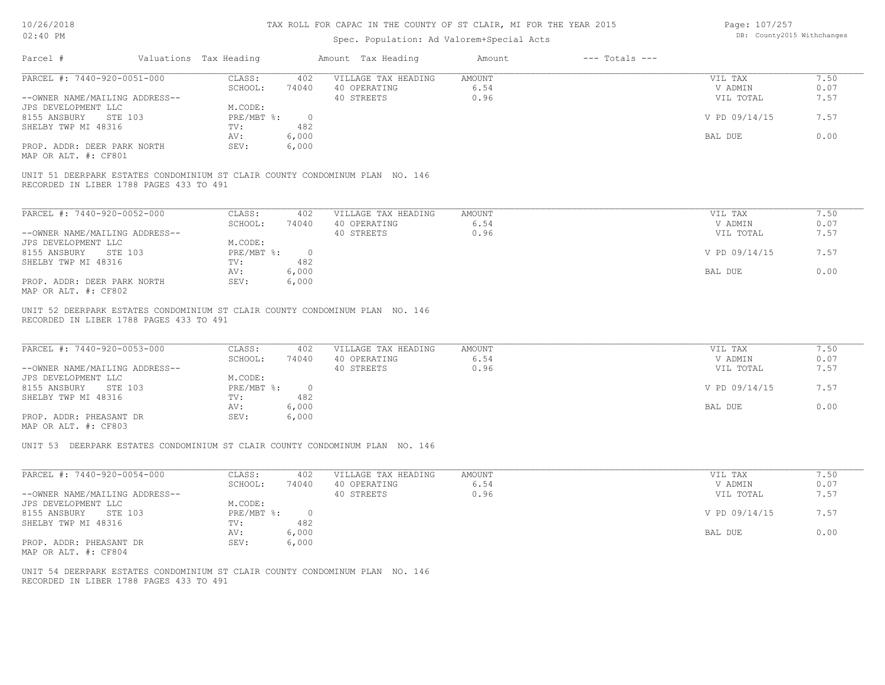# Spec. Population: Ad Valorem+Special Acts

Page: 107/257 DB: County2015 Withchanges

|                                                                                                                         |                                                              | Spec. Population: Ad Valorem+Special Acts         |                               |                                                  |                              |
|-------------------------------------------------------------------------------------------------------------------------|--------------------------------------------------------------|---------------------------------------------------|-------------------------------|--------------------------------------------------|------------------------------|
| Parcel #                                                                                                                | Valuations Tax Heading                                       | Amount Tax Heading                                | Amount<br>$---$ Totals $---$  |                                                  |                              |
| PARCEL #: 7440-920-0051-000                                                                                             | CLASS:<br>402                                                | VILLAGE TAX HEADING                               | <b>AMOUNT</b>                 | VIL TAX                                          | 7.50                         |
|                                                                                                                         | SCHOOL:<br>74040                                             | 40 OPERATING                                      | 6.54                          | V ADMIN                                          | 0.07                         |
| --OWNER NAME/MAILING ADDRESS--                                                                                          |                                                              | 40 STREETS                                        | 0.96                          | VIL TOTAL                                        | 7.57                         |
| JPS DEVELOPMENT LLC                                                                                                     | M.CODE:                                                      |                                                   |                               |                                                  |                              |
| 8155 ANSBURY STE 103                                                                                                    | $PRE/MBT$ %:<br>$\overline{0}$                               |                                                   |                               | V PD 09/14/15                                    | 7.57                         |
| SHELBY TWP MI 48316                                                                                                     | TV:<br>482                                                   |                                                   |                               |                                                  |                              |
|                                                                                                                         |                                                              |                                                   |                               |                                                  |                              |
|                                                                                                                         | 6,000<br>AV:                                                 |                                                   |                               | BAL DUE                                          | 0.00                         |
| PROP. ADDR: DEER PARK NORTH                                                                                             | SEV:<br>6,000                                                |                                                   |                               |                                                  |                              |
| MAP OR ALT. #: CF801                                                                                                    |                                                              |                                                   |                               |                                                  |                              |
| UNIT 51 DEERPARK ESTATES CONDOMINIUM ST CLAIR COUNTY CONDOMINUM PLAN NO. 146<br>RECORDED IN LIBER 1788 PAGES 433 TO 491 |                                                              |                                                   |                               |                                                  |                              |
| PARCEL #: 7440-920-0052-000                                                                                             | CLASS:<br>402                                                | VILLAGE TAX HEADING                               | AMOUNT                        | VIL TAX                                          | 7.50                         |
|                                                                                                                         | SCHOOL:<br>74040                                             | 40 OPERATING                                      | 6.54                          | V ADMIN                                          | 0.07                         |
| --OWNER NAME/MAILING ADDRESS--                                                                                          |                                                              | 40 STREETS                                        | 0.96                          | VIL TOTAL                                        | 7.57                         |
|                                                                                                                         |                                                              |                                                   |                               |                                                  |                              |
| JPS DEVELOPMENT LLC                                                                                                     | M.CODE:                                                      |                                                   |                               |                                                  |                              |
| 8155 ANSBURY<br>STE 103                                                                                                 | PRE/MBT %:<br>$\overline{0}$                                 |                                                   |                               | V PD 09/14/15                                    | 7.57                         |
| SHELBY TWP MI 48316                                                                                                     | 482<br>TV:                                                   |                                                   |                               |                                                  |                              |
|                                                                                                                         | 6,000<br>AV:                                                 |                                                   |                               | BAL DUE                                          | 0.00                         |
| PROP. ADDR: DEER PARK NORTH                                                                                             | SEV:<br>6,000                                                |                                                   |                               |                                                  |                              |
| MAP OR ALT. #: CF802                                                                                                    |                                                              |                                                   |                               |                                                  |                              |
| PARCEL #: 7440-920-0053-000<br>--OWNER NAME/MAILING ADDRESS--<br>JPS DEVELOPMENT LLC<br>8155 ANSBURY<br>STE 103         | CLASS:<br>402<br>SCHOOL:<br>74040<br>M.CODE:<br>PRE/MBT %: 0 | VILLAGE TAX HEADING<br>40 OPERATING<br>40 STREETS | <b>AMOUNT</b><br>6.54<br>0.96 | VIL TAX<br>V ADMIN<br>VIL TOTAL<br>V PD 09/14/15 | 7.50<br>0.07<br>7.57<br>7.57 |
| SHELBY TWP MI 48316                                                                                                     | 482<br>TV:                                                   |                                                   |                               |                                                  |                              |
|                                                                                                                         | 6,000<br>AV:                                                 |                                                   |                               | BAL DUE                                          | 0.00                         |
| PROP. ADDR: PHEASANT DR                                                                                                 | 6,000<br>SEV:                                                |                                                   |                               |                                                  |                              |
| MAP OR ALT. #: CF803                                                                                                    |                                                              |                                                   |                               |                                                  |                              |
| UNIT 53 DEERPARK ESTATES CONDOMINIUM ST CLAIR COUNTY CONDOMINUM PLAN NO. 146                                            |                                                              |                                                   |                               |                                                  |                              |
| PARCEL #: 7440-920-0054-000                                                                                             | CLASS:<br>402                                                | VILLAGE TAX HEADING                               | <b>AMOUNT</b>                 | VIL TAX                                          | 7.50                         |
|                                                                                                                         | SCHOOL:<br>74040                                             | 40 OPERATING                                      | 6.54                          | V ADMIN                                          | 0.07                         |
|                                                                                                                         |                                                              |                                                   | 0.96                          |                                                  | 7.57                         |
| --OWNER NAME/MAILING ADDRESS--                                                                                          |                                                              | 40 STREETS                                        |                               | VIL TOTAL                                        |                              |
| JPS DEVELOPMENT LLC                                                                                                     | M.CODE:                                                      |                                                   |                               |                                                  |                              |
| 8155 ANSBURY STE 103                                                                                                    | PRE/MBT %:<br>$\overline{0}$                                 |                                                   |                               | V PD 09/14/15                                    | 7.57                         |
| SHELBY TWP MI 48316                                                                                                     | 482<br>TV:                                                   |                                                   |                               |                                                  |                              |
|                                                                                                                         | 6,000<br>AV:                                                 |                                                   |                               | BAL DUE                                          | 0.00                         |
| PROP. ADDR: PHEASANT DR                                                                                                 | SEV:<br>6,000                                                |                                                   |                               |                                                  |                              |
| MAP OR ALT. #: CF804                                                                                                    |                                                              |                                                   |                               |                                                  |                              |
|                                                                                                                         |                                                              |                                                   |                               |                                                  |                              |
|                                                                                                                         |                                                              |                                                   |                               |                                                  |                              |
| UNIT 54 DEERPARK ESTATES CONDOMINIUM ST CLAIR COUNTY CONDOMINUM PLAN NO. 146                                            |                                                              |                                                   |                               |                                                  |                              |
| RECORDED IN LIBER 1788 PAGES 433 TO 491                                                                                 |                                                              |                                                   |                               |                                                  |                              |
|                                                                                                                         |                                                              |                                                   |                               |                                                  |                              |
|                                                                                                                         |                                                              |                                                   |                               |                                                  |                              |
|                                                                                                                         |                                                              |                                                   |                               |                                                  |                              |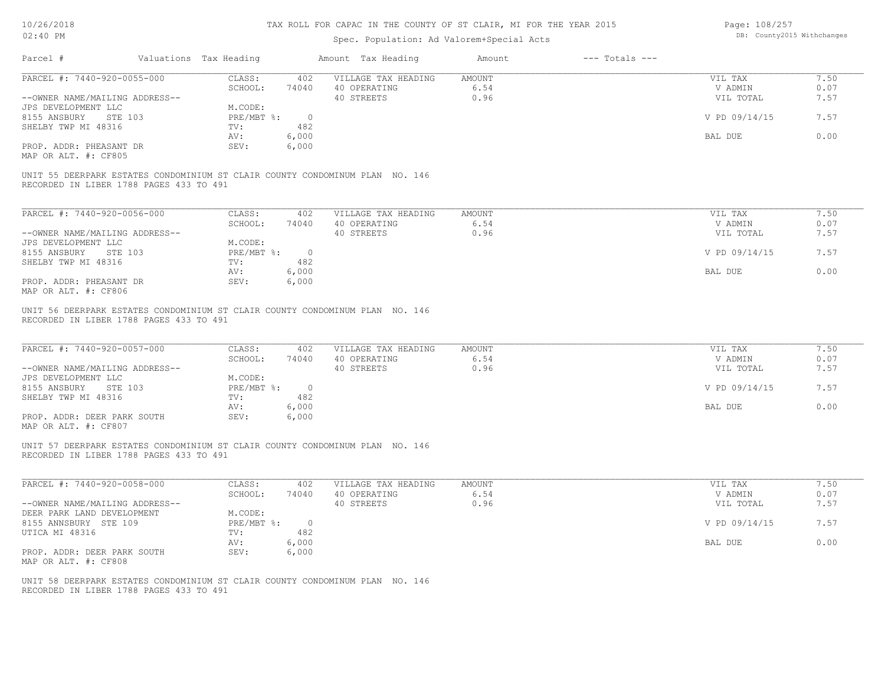Page: 108/257 DB: County2015 Withchanges

| UZ:40 FM                                                                                                                |                              | Spec. Population: Ad Valorem+Special Acts |                                                   |                        |                    |                                 |                      |  |
|-------------------------------------------------------------------------------------------------------------------------|------------------------------|-------------------------------------------|---------------------------------------------------|------------------------|--------------------|---------------------------------|----------------------|--|
| Parcel #                                                                                                                | Valuations Tax Heading       |                                           | Amount Tax Heading                                | Amount                 | $---$ Totals $---$ |                                 |                      |  |
| PARCEL #: 7440-920-0055-000                                                                                             | CLASS:                       | 402                                       | VILLAGE TAX HEADING                               | <b>AMOUNT</b>          |                    | VIL TAX                         | 7.50                 |  |
|                                                                                                                         | SCHOOL:                      | 74040                                     | 40 OPERATING                                      | 6.54                   |                    | V ADMIN                         | 0.07                 |  |
| --OWNER NAME/MAILING ADDRESS--                                                                                          |                              |                                           | 40 STREETS                                        | 0.96                   |                    | VIL TOTAL                       | 7.57                 |  |
| JPS DEVELOPMENT LLC                                                                                                     | M.CODE:                      |                                           |                                                   |                        |                    |                                 |                      |  |
| 8155 ANSBURY<br>STE 103                                                                                                 | $PRE/MBT$ $\div$             | $\overline{0}$                            |                                                   |                        |                    | V PD 09/14/15                   | 7.57                 |  |
| SHELBY TWP MI 48316                                                                                                     | TV:                          | 482                                       |                                                   |                        |                    |                                 |                      |  |
|                                                                                                                         |                              |                                           |                                                   |                        |                    |                                 |                      |  |
|                                                                                                                         | AV:                          | 6,000                                     |                                                   |                        |                    | BAL DUE                         | 0.00                 |  |
| PROP. ADDR: PHEASANT DR                                                                                                 | SEV:                         | 6,000                                     |                                                   |                        |                    |                                 |                      |  |
| MAP OR ALT. #: CF805                                                                                                    |                              |                                           |                                                   |                        |                    |                                 |                      |  |
| UNIT 55 DEERPARK ESTATES CONDOMINIUM ST CLAIR COUNTY CONDOMINUM PLAN NO. 146<br>RECORDED IN LIBER 1788 PAGES 433 TO 491 |                              |                                           |                                                   |                        |                    |                                 |                      |  |
| PARCEL #: 7440-920-0056-000                                                                                             | CLASS:                       | 402                                       | VILLAGE TAX HEADING                               | <b>AMOUNT</b>          |                    | VIL TAX                         | 7.50                 |  |
|                                                                                                                         | SCHOOL:                      | 74040                                     | 40 OPERATING                                      | 6.54                   |                    | V ADMIN                         | 0.07                 |  |
|                                                                                                                         |                              |                                           |                                                   |                        |                    |                                 |                      |  |
| --OWNER NAME/MAILING ADDRESS--                                                                                          |                              |                                           | 40 STREETS                                        | 0.96                   |                    | VIL TOTAL                       | 7.57                 |  |
| JPS DEVELOPMENT LLC                                                                                                     | M.CODE:                      |                                           |                                                   |                        |                    |                                 |                      |  |
| 8155 ANSBURY<br>STE 103                                                                                                 | $PRE/MBT$ $\frac{1}{6}$ :    | $\overline{0}$                            |                                                   |                        |                    | V PD 09/14/15                   | 7.57                 |  |
| SHELBY TWP MI 48316                                                                                                     | TV:                          | 482                                       |                                                   |                        |                    |                                 |                      |  |
|                                                                                                                         | AV:                          | 6,000                                     |                                                   |                        |                    | BAL DUE                         | 0.00                 |  |
| PROP. ADDR: PHEASANT DR                                                                                                 | SEV:                         | 6,000                                     |                                                   |                        |                    |                                 |                      |  |
| MAP OR ALT. #: CF806                                                                                                    |                              |                                           |                                                   |                        |                    |                                 |                      |  |
| PARCEL #: 7440-920-0057-000<br>--OWNER NAME/MAILING ADDRESS--<br>JPS DEVELOPMENT LLC                                    | CLASS:<br>SCHOOL:<br>M.CODE: | 402<br>74040                              | VILLAGE TAX HEADING<br>40 OPERATING<br>40 STREETS | AMOUNT<br>6.54<br>0.96 |                    | VIL TAX<br>V ADMIN<br>VIL TOTAL | 7.50<br>0.07<br>7.57 |  |
| 8155 ANSBURY<br>STE 103                                                                                                 | $PRE/MBT$ $\frac{1}{6}$ :    | $\overline{0}$                            |                                                   |                        |                    | V PD 09/14/15                   | 7.57                 |  |
| SHELBY TWP MI 48316                                                                                                     | TV:                          | 482                                       |                                                   |                        |                    |                                 |                      |  |
|                                                                                                                         | AV:                          | 6,000                                     |                                                   |                        |                    | BAL DUE                         | 0.00                 |  |
| PROP. ADDR: DEER PARK SOUTH                                                                                             | SEV:                         | 6,000                                     |                                                   |                        |                    |                                 |                      |  |
| MAP OR ALT. #: CF807                                                                                                    |                              |                                           |                                                   |                        |                    |                                 |                      |  |
| UNIT 57 DEERPARK ESTATES CONDOMINIUM ST CLAIR COUNTY CONDOMINUM PLAN NO. 146<br>RECORDED IN LIBER 1788 PAGES 433 TO 491 |                              |                                           |                                                   |                        |                    |                                 |                      |  |
| PARCEL #: 7440-920-0058-000                                                                                             | CLASS:                       | 402                                       | VILLAGE TAX HEADING                               | <b>AMOUNT</b>          |                    | VIL TAX                         | 7.50                 |  |
|                                                                                                                         | SCHOOL:                      | 74040                                     | 40 OPERATING                                      | 6.54                   |                    | V ADMIN                         | 0.07                 |  |
| --OWNER NAME/MAILING ADDRESS--                                                                                          |                              |                                           | 40 STREETS                                        | 0.96                   |                    | VIL TOTAL                       | 7.57                 |  |
| DEER PARK LAND DEVELOPMENT                                                                                              | M.CODE:                      |                                           |                                                   |                        |                    |                                 |                      |  |
| 8155 ANNSBURY STE 109                                                                                                   | $PRE/MBT$ $\div$             | $\overline{0}$                            |                                                   |                        |                    | V PD 09/14/15                   | 7.57                 |  |
| UTICA MI 48316                                                                                                          | TV:                          | 482                                       |                                                   |                        |                    |                                 |                      |  |
|                                                                                                                         | AV:                          | 6,000                                     |                                                   |                        |                    | BAL DUE                         | 0.00                 |  |
|                                                                                                                         | SEV:                         |                                           |                                                   |                        |                    |                                 |                      |  |
| PROP. ADDR: DEER PARK SOUTH                                                                                             |                              | 6,000                                     |                                                   |                        |                    |                                 |                      |  |
| MAP OR ALT. #: CF808                                                                                                    |                              |                                           |                                                   |                        |                    |                                 |                      |  |
|                                                                                                                         |                              |                                           |                                                   |                        |                    |                                 |                      |  |
| UNIT 58 DEERPARK ESTATES CONDOMINIUM ST CLAIR COUNTY CONDOMINUM PLAN NO. 146                                            |                              |                                           |                                                   |                        |                    |                                 |                      |  |
| RECORDED IN LIBER 1788 PAGES 433 TO 491                                                                                 |                              |                                           |                                                   |                        |                    |                                 |                      |  |
|                                                                                                                         |                              |                                           |                                                   |                        |                    |                                 |                      |  |
|                                                                                                                         |                              |                                           |                                                   |                        |                    |                                 |                      |  |
|                                                                                                                         |                              |                                           |                                                   |                        |                    |                                 |                      |  |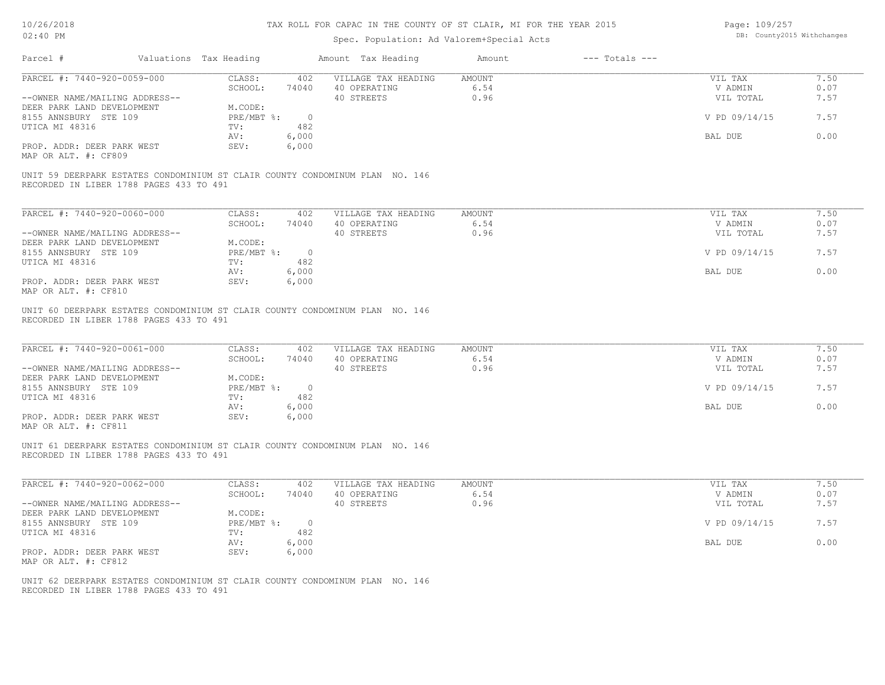# Spec. Population: Ad Valorem+Special Acts

Page: 109/257 DB: County2015 Withchanges

| Parcel #<br>Valuations Tax Heading                                                                                                                                                           |                                                                                                             | Amount Tax Heading                                | Amount                 | $---$ Totals $---$ |                                                             |                                      |
|----------------------------------------------------------------------------------------------------------------------------------------------------------------------------------------------|-------------------------------------------------------------------------------------------------------------|---------------------------------------------------|------------------------|--------------------|-------------------------------------------------------------|--------------------------------------|
| PARCEL #: 7440-920-0059-000                                                                                                                                                                  | CLASS:                                                                                                      | 402<br>VILLAGE TAX HEADING                        | AMOUNT                 |                    | VIL TAX                                                     | 7.50                                 |
| --OWNER NAME/MAILING ADDRESS--                                                                                                                                                               | SCHOOL:<br>74040                                                                                            | 40 OPERATING<br>40 STREETS                        | 6.54<br>0.96           |                    | V ADMIN<br>VIL TOTAL                                        | 0.07<br>7.57                         |
| DEER PARK LAND DEVELOPMENT                                                                                                                                                                   | M.CODE:                                                                                                     |                                                   |                        |                    |                                                             |                                      |
| 8155 ANNSBURY STE 109                                                                                                                                                                        | PRE/MBT %:                                                                                                  | $\overline{0}$                                    |                        |                    | V PD 09/14/15                                               | 7.57                                 |
| UTICA MI 48316                                                                                                                                                                               | TV:<br>482                                                                                                  |                                                   |                        |                    |                                                             |                                      |
|                                                                                                                                                                                              | 6,000<br>AV:                                                                                                |                                                   |                        |                    | BAL DUE                                                     | 0.00                                 |
| PROP. ADDR: DEER PARK WEST                                                                                                                                                                   | SEV:<br>6,000                                                                                               |                                                   |                        |                    |                                                             |                                      |
| MAP OR ALT. #: CF809                                                                                                                                                                         |                                                                                                             |                                                   |                        |                    |                                                             |                                      |
| UNIT 59 DEERPARK ESTATES CONDOMINIUM ST CLAIR COUNTY CONDOMINUM PLAN NO. 146<br>RECORDED IN LIBER 1788 PAGES 433 TO 491                                                                      |                                                                                                             |                                                   |                        |                    |                                                             |                                      |
| PARCEL #: 7440-920-0060-000                                                                                                                                                                  | CLASS:                                                                                                      | 402<br>VILLAGE TAX HEADING                        | <b>AMOUNT</b>          |                    | VIL TAX                                                     | 7.50                                 |
|                                                                                                                                                                                              | SCHOOL:<br>74040                                                                                            | 40 OPERATING                                      | 6.54                   |                    | V ADMIN                                                     | 0.07                                 |
| --OWNER NAME/MAILING ADDRESS--                                                                                                                                                               |                                                                                                             | 40 STREETS                                        | 0.96                   |                    | VIL TOTAL                                                   | 7.57                                 |
| DEER PARK LAND DEVELOPMENT                                                                                                                                                                   | M.CODE:                                                                                                     |                                                   |                        |                    |                                                             |                                      |
| 8155 ANNSBURY STE 109                                                                                                                                                                        | PRE/MBT %: 0                                                                                                |                                                   |                        |                    | V PD 09/14/15                                               | 7.57                                 |
| UTICA MI 48316                                                                                                                                                                               | 482<br>TV:                                                                                                  |                                                   |                        |                    |                                                             |                                      |
|                                                                                                                                                                                              | 6,000<br>AV:                                                                                                |                                                   |                        |                    | BAL DUE                                                     | 0.00                                 |
| PROP. ADDR: DEER PARK WEST<br>MAP OR ALT. #: CF810                                                                                                                                           | SEV:<br>6,000                                                                                               |                                                   |                        |                    |                                                             |                                      |
| PARCEL #: 7440-920-0061-000<br>--OWNER NAME/MAILING ADDRESS--<br>DEER PARK LAND DEVELOPMENT<br>8155 ANNSBURY STE 109<br>UTICA MI 48316<br>PROP. ADDR: DEER PARK WEST<br>MAP OR ALT. #: CF811 | CLASS:<br>402<br>SCHOOL:<br>74040<br>M.CODE:<br>PRE/MBT %: 0<br>482<br>TV:<br>6,000<br>AV:<br>SEV:<br>6,000 | VILLAGE TAX HEADING<br>40 OPERATING<br>40 STREETS | AMOUNT<br>6.54<br>0.96 |                    | VIL TAX<br>V ADMIN<br>VIL TOTAL<br>V PD 09/14/15<br>BAL DUE | 7.50<br>0.07<br>7.57<br>7.57<br>0.00 |
| UNIT 61 DEERPARK ESTATES CONDOMINIUM ST CLAIR COUNTY CONDOMINUM PLAN NO. 146<br>RECORDED IN LIBER 1788 PAGES 433 TO 491                                                                      |                                                                                                             |                                                   |                        |                    |                                                             |                                      |
| PARCEL #: 7440-920-0062-000                                                                                                                                                                  | CLASS:<br>402                                                                                               | VILLAGE TAX HEADING                               | AMOUNT                 |                    | VIL TAX                                                     | 7.50                                 |
| --OWNER NAME/MAILING ADDRESS--                                                                                                                                                               | SCHOOL:<br>74040                                                                                            | 40 OPERATING<br>40 STREETS                        | 6.54<br>0.96           |                    | V ADMIN<br>VIL TOTAL                                        | 0.07<br>7.57                         |
| DEER PARK LAND DEVELOPMENT                                                                                                                                                                   | M.CODE:                                                                                                     |                                                   |                        |                    |                                                             |                                      |
| 8155 ANNSBURY STE 109                                                                                                                                                                        | PRE/MBT %: 0                                                                                                |                                                   |                        |                    | V PD 09/14/15                                               | 7.57                                 |
| UTICA MI 48316                                                                                                                                                                               | 482<br>TV:                                                                                                  |                                                   |                        |                    |                                                             |                                      |
|                                                                                                                                                                                              | 6,000<br>AV:                                                                                                |                                                   |                        |                    | BAL DUE                                                     | 0.00                                 |
| PROP. ADDR: DEER PARK WEST<br>MAP OR ALT. #: CF812                                                                                                                                           | 6,000<br>SEV:                                                                                               |                                                   |                        |                    |                                                             |                                      |
| UNIT 62 DEERPARK ESTATES CONDOMINIUM ST CLAIR COUNTY CONDOMINUM PLAN NO. 146<br>RECORDED IN LIBER 1788 PAGES 433 TO 491                                                                      |                                                                                                             |                                                   |                        |                    |                                                             |                                      |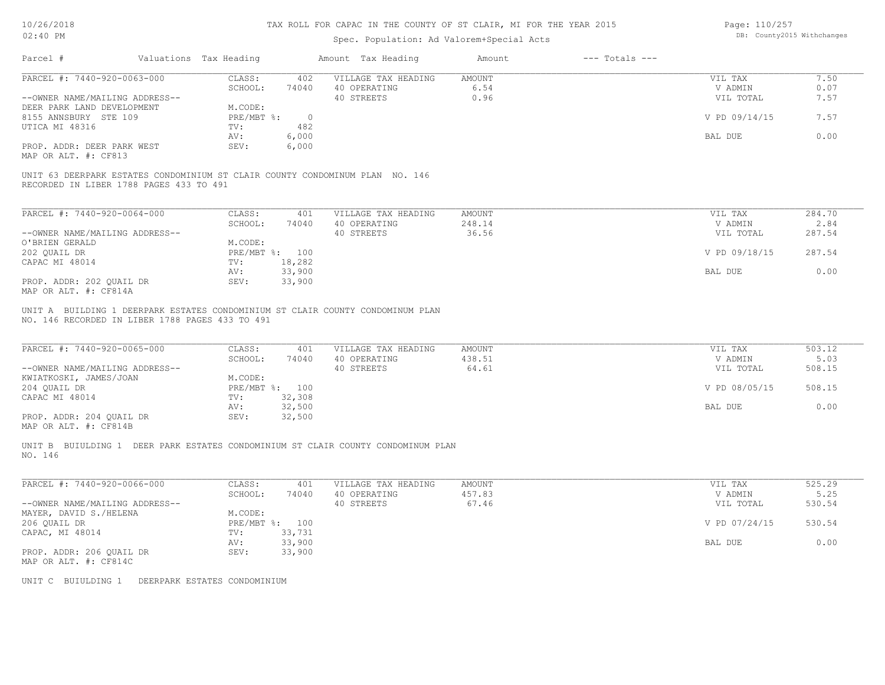# Spec. Population: Ad Valorem+Special Acts

| Page: 110/257 |                            |
|---------------|----------------------------|
|               | DB: County2015 Withchanges |

| $V \sim \cdot 10^{-11}$                                                                                                 |                                                                | Spec. Population: Ad Valorem+Special Acts         |                                  |                                                  |                                    |
|-------------------------------------------------------------------------------------------------------------------------|----------------------------------------------------------------|---------------------------------------------------|----------------------------------|--------------------------------------------------|------------------------------------|
| Parcel #                                                                                                                | Valuations Tax Heading                                         | Amount Tax Heading                                | $---$ Totals $---$<br>Amount     |                                                  |                                    |
| PARCEL #: 7440-920-0063-000                                                                                             | CLASS:<br>402                                                  | VILLAGE TAX HEADING                               | <b>AMOUNT</b>                    | VIL TAX                                          | 7.50                               |
|                                                                                                                         | SCHOOL:<br>74040                                               | 40 OPERATING                                      | 6.54                             | V ADMIN                                          | 0.07                               |
| --OWNER NAME/MAILING ADDRESS--                                                                                          |                                                                | 40 STREETS                                        | 0.96                             | VIL TOTAL                                        | 7.57                               |
| DEER PARK LAND DEVELOPMENT                                                                                              | M.CODE:                                                        |                                                   |                                  |                                                  |                                    |
| 8155 ANNSBURY STE 109                                                                                                   | PRE/MBT %:<br>$\overline{0}$                                   |                                                   |                                  | V PD 09/14/15                                    | 7.57                               |
| UTICA MI 48316                                                                                                          | 482<br>TV:                                                     |                                                   |                                  |                                                  |                                    |
|                                                                                                                         |                                                                |                                                   |                                  |                                                  |                                    |
|                                                                                                                         | 6,000<br>AV:                                                   |                                                   |                                  | BAL DUE                                          | 0.00                               |
| PROP. ADDR: DEER PARK WEST                                                                                              | SEV:<br>6,000                                                  |                                                   |                                  |                                                  |                                    |
| MAP OR ALT. #: CF813                                                                                                    |                                                                |                                                   |                                  |                                                  |                                    |
| UNIT 63 DEERPARK ESTATES CONDOMINIUM ST CLAIR COUNTY CONDOMINUM PLAN NO. 146<br>RECORDED IN LIBER 1788 PAGES 433 TO 491 |                                                                |                                                   |                                  |                                                  |                                    |
| PARCEL #: 7440-920-0064-000                                                                                             | CLASS:<br>401                                                  | VILLAGE TAX HEADING                               | <b>AMOUNT</b>                    | VIL TAX                                          | 284.70                             |
|                                                                                                                         | SCHOOL:<br>74040                                               | 40 OPERATING                                      | 248.14                           | V ADMIN                                          | 2.84                               |
| --OWNER NAME/MAILING ADDRESS--                                                                                          |                                                                | 40 STREETS                                        | 36.56                            | VIL TOTAL                                        | 287.54                             |
| O'BRIEN GERALD                                                                                                          | M.CODE:                                                        |                                                   |                                  |                                                  |                                    |
|                                                                                                                         |                                                                |                                                   |                                  |                                                  |                                    |
| 202 QUAIL DR                                                                                                            | PRE/MBT %: 100                                                 |                                                   |                                  | V PD 09/18/15                                    | 287.54                             |
| CAPAC MI 48014                                                                                                          | TV:<br>18,282                                                  |                                                   |                                  |                                                  |                                    |
|                                                                                                                         | AV:<br>33,900                                                  |                                                   |                                  | BAL DUE                                          | 0.00                               |
| PROP. ADDR: 202 QUAIL DR                                                                                                | SEV:<br>33,900                                                 |                                                   |                                  |                                                  |                                    |
| MAP OR ALT. #: CF814A                                                                                                   |                                                                |                                                   |                                  |                                                  |                                    |
| PARCEL #: 7440-920-0065-000<br>--OWNER NAME/MAILING ADDRESS--<br>KWIATKOSKI, JAMES/JOAN<br>204 QUAIL DR                 | CLASS:<br>401<br>SCHOOL:<br>74040<br>M.CODE:<br>PRE/MBT %: 100 | VILLAGE TAX HEADING<br>40 OPERATING<br>40 STREETS | <b>AMOUNT</b><br>438.51<br>64.61 | VIL TAX<br>V ADMIN<br>VIL TOTAL<br>V PD 08/05/15 | 503.12<br>5.03<br>508.15<br>508.15 |
| CAPAC MI 48014                                                                                                          | 32,308<br>TV:                                                  |                                                   |                                  |                                                  |                                    |
|                                                                                                                         | 32,500<br>AV:                                                  |                                                   |                                  | BAL DUE                                          | 0.00                               |
| PROP. ADDR: 204 QUAIL DR                                                                                                | 32,500<br>SEV:                                                 |                                                   |                                  |                                                  |                                    |
| MAP OR ALT. #: CF814B                                                                                                   |                                                                |                                                   |                                  |                                                  |                                    |
| UNIT B BUIULDING 1 DEER PARK ESTATES CONDOMINIUM ST CLAIR COUNTY CONDOMINUM PLAN<br>NO. 146                             |                                                                |                                                   |                                  |                                                  |                                    |
| PARCEL #: 7440-920-0066-000                                                                                             | CLASS:<br>401                                                  | VILLAGE TAX HEADING                               | AMOUNT                           | VIL TAX                                          | 525.29                             |
|                                                                                                                         | SCHOOL:<br>74040                                               | 40 OPERATING                                      | 457.83                           | V ADMIN                                          | 5.25                               |
| --OWNER NAME/MAILING ADDRESS--                                                                                          |                                                                | 40 STREETS                                        | 67.46                            | VIL TOTAL                                        | 530.54                             |
| MAYER, DAVID S./HELENA                                                                                                  | M.CODE:                                                        |                                                   |                                  |                                                  |                                    |
| 206 QUAIL DR                                                                                                            | PRE/MBT %: 100                                                 |                                                   |                                  | V PD 07/24/15                                    | 530.54                             |
|                                                                                                                         |                                                                |                                                   |                                  |                                                  |                                    |
| CAPAC, MI 48014                                                                                                         | 33,731<br>TV:                                                  |                                                   |                                  |                                                  |                                    |
|                                                                                                                         | 33,900<br>AV:                                                  |                                                   |                                  | BAL DUE                                          | 0.00                               |
| PROP. ADDR: 206 QUAIL DR                                                                                                | 33,900<br>SEV:                                                 |                                                   |                                  |                                                  |                                    |
| MAP OR ALT. #: CF814C                                                                                                   |                                                                |                                                   |                                  |                                                  |                                    |
|                                                                                                                         |                                                                |                                                   |                                  |                                                  |                                    |
| UNIT C BUIULDING 1 DEERPARK ESTATES CONDOMINIUM                                                                         |                                                                |                                                   |                                  |                                                  |                                    |
|                                                                                                                         |                                                                |                                                   |                                  |                                                  |                                    |
|                                                                                                                         |                                                                |                                                   |                                  |                                                  |                                    |
|                                                                                                                         |                                                                |                                                   |                                  |                                                  |                                    |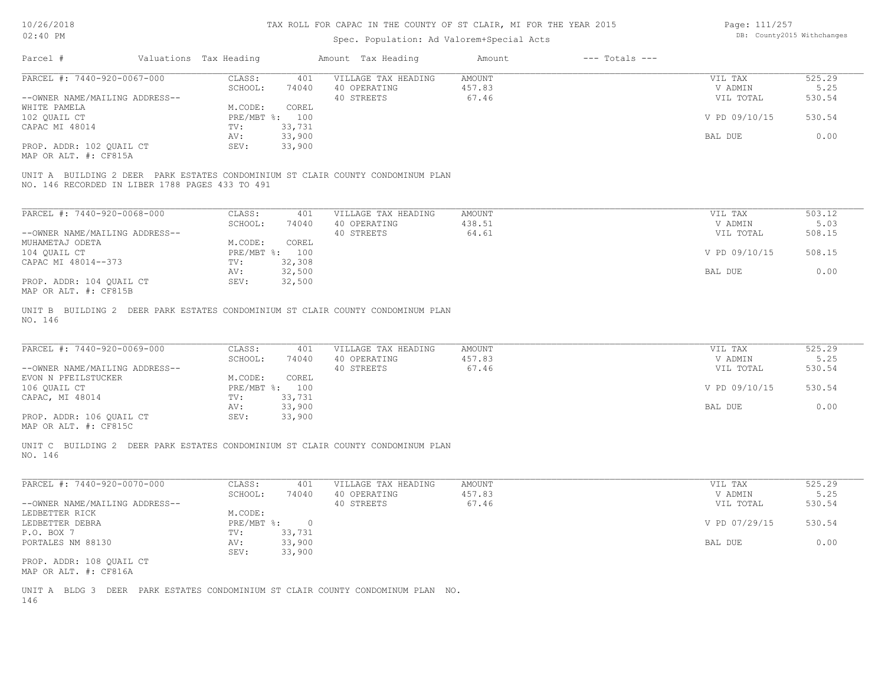### Spec. Population: Ad Valorem+Special Acts

Page: 111/257 DB: County2015 Withchanges

| Parcel #                       |                                                 | Valuations Tax Heading |                | Amount Tax Heading                                                              | Amount | $---$ Totals $---$ |               |        |
|--------------------------------|-------------------------------------------------|------------------------|----------------|---------------------------------------------------------------------------------|--------|--------------------|---------------|--------|
| PARCEL #: 7440-920-0067-000    |                                                 | CLASS:                 | 401            | VILLAGE TAX HEADING                                                             | AMOUNT |                    | VIL TAX       | 525.29 |
|                                |                                                 | SCHOOL:                | 74040          | 40 OPERATING                                                                    | 457.83 |                    | V ADMIN       | 5.25   |
| --OWNER NAME/MAILING ADDRESS-- |                                                 |                        |                | 40 STREETS                                                                      | 67.46  |                    | VIL TOTAL     | 530.54 |
| WHITE PAMELA                   |                                                 | M.CODE:                | COREL          |                                                                                 |        |                    |               |        |
| 102 OUAIL CT                   |                                                 |                        | PRE/MBT %: 100 |                                                                                 |        |                    | V PD 09/10/15 | 530.54 |
| CAPAC MI 48014                 |                                                 | TV:                    | 33,731         |                                                                                 |        |                    |               |        |
|                                |                                                 | AV:                    | 33,900         |                                                                                 |        |                    | BAL DUE       | 0.00   |
| PROP. ADDR: 102 QUAIL CT       |                                                 | SEV:                   | 33,900         |                                                                                 |        |                    |               |        |
| MAP OR ALT. #: CF815A          |                                                 |                        |                |                                                                                 |        |                    |               |        |
|                                |                                                 |                        |                |                                                                                 |        |                    |               |        |
|                                |                                                 |                        |                | UNIT A BUILDING 2 DEER PARK ESTATES CONDOMINIUM ST CLAIR COUNTY CONDOMINUM PLAN |        |                    |               |        |
|                                | NO. 146 RECORDED IN LIBER 1788 PAGES 433 TO 491 |                        |                |                                                                                 |        |                    |               |        |

| PARCEL #: 7440-920-0068-000    | CLASS:     | 401    | VILLAGE TAX HEADING | AMOUNT | VIL TAX       | 503.12 |
|--------------------------------|------------|--------|---------------------|--------|---------------|--------|
|                                | SCHOOL:    | 74040  | 40 OPERATING        | 438.51 | V ADMIN       | 5.03   |
| --OWNER NAME/MAILING ADDRESS-- |            |        | 40 STREETS          | 64.61  | VIL TOTAL     | 508.15 |
| MUHAMETAJ ODETA                | M.CODE:    | COREL  |                     |        |               |        |
| 104 QUAIL CT                   | PRE/MBT %: | 100    |                     |        | V PD 09/10/15 | 508.15 |
| CAPAC MI 48014--373            | TV:        | 32,308 |                     |        |               |        |
|                                | AV:        | 32,500 |                     |        | BAL DUE       | 0.00   |
| PROP. ADDR: 104 QUAIL CT       | SEV:       | 32,500 |                     |        |               |        |
| פפר <b>4.0</b> יוויים ממות מת  |            |        |                     |        |               |        |

MAP OR ALT. #: CF815B

NO. 146 UNIT B BUILDING 2 DEER PARK ESTATES CONDOMINIUM ST CLAIR COUNTY CONDOMINUM PLAN

| PARCEL #: 7440-920-0069-000    | CLASS:  | 401            | VILLAGE TAX HEADING | AMOUNT | VIL TAX       | 525.29 |
|--------------------------------|---------|----------------|---------------------|--------|---------------|--------|
|                                | SCHOOL: | 74040          | 40 OPERATING        | 457.83 | V ADMIN       | 5.25   |
| --OWNER NAME/MAILING ADDRESS-- |         |                | 40 STREETS          | 67.46  | VIL TOTAL     | 530.54 |
| EVON N PFEILSTUCKER            | M.CODE: | COREL          |                     |        |               |        |
| 106 QUAIL CT                   |         | PRE/MBT %: 100 |                     |        | V PD 09/10/15 | 530.54 |
| CAPAC, MI 48014                | TV:     | 33,731         |                     |        |               |        |
|                                | AV:     | 33,900         |                     |        | BAL DUE       | 0.00   |
| PROP. ADDR: 106 QUAIL CT       | SEV:    | 33,900         |                     |        |               |        |
|                                |         |                |                     |        |               |        |

MAP OR ALT. #: CF815C

NO. 146 UNIT C BUILDING 2 DEER PARK ESTATES CONDOMINIUM ST CLAIR COUNTY CONDOMINUM PLAN

| PARCEL #: 7440-920-0070-000    | CLASS:     | 401    | VILLAGE TAX HEADING | AMOUNT | VIL TAX       | 525.29 |
|--------------------------------|------------|--------|---------------------|--------|---------------|--------|
|                                | SCHOOL:    | 74040  | 40 OPERATING        | 457.83 | V ADMIN       | 5.25   |
| --OWNER NAME/MAILING ADDRESS-- |            |        | 40 STREETS          | 67.46  | VIL TOTAL     | 530.54 |
| LEDBETTER RICK                 | M.CODE:    |        |                     |        |               |        |
| LEDBETTER DEBRA                | PRE/MBT %: | $\cap$ |                     |        | V PD 07/29/15 | 530.54 |
| P.O. BOX 7                     | TV:        | 33,731 |                     |        |               |        |
| PORTALES NM 88130              | AV:        | 33,900 |                     |        | BAL DUE       | 0.00   |
|                                | SEV:       | 33,900 |                     |        |               |        |
| PROP. ADDR: 108 OUAIL CT       |            |        |                     |        |               |        |
| MAP OR ALT. #: CF816A          |            |        |                     |        |               |        |

 $\mathcal{L}_\mathcal{L} = \mathcal{L}_\mathcal{L} = \mathcal{L}_\mathcal{L} = \mathcal{L}_\mathcal{L} = \mathcal{L}_\mathcal{L} = \mathcal{L}_\mathcal{L} = \mathcal{L}_\mathcal{L} = \mathcal{L}_\mathcal{L} = \mathcal{L}_\mathcal{L} = \mathcal{L}_\mathcal{L} = \mathcal{L}_\mathcal{L} = \mathcal{L}_\mathcal{L} = \mathcal{L}_\mathcal{L} = \mathcal{L}_\mathcal{L} = \mathcal{L}_\mathcal{L} = \mathcal{L}_\mathcal{L} = \mathcal{L}_\mathcal{L}$ 

146 UNIT A BLDG 3 DEER PARK ESTATES CONDOMINIUM ST CLAIR COUNTY CONDOMINUM PLAN NO.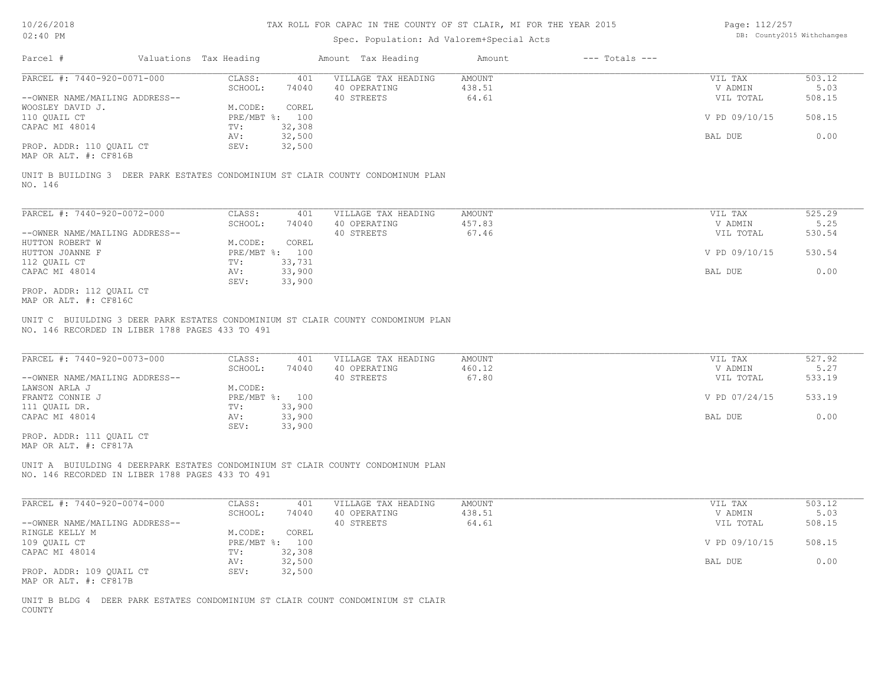### Spec. Population: Ad Valorem+Special Acts

Page: 112/257 DB: County2015 Withchanges

| Parcel #                       | Valuations Tax Heading |        | Amount Tax Heading  | Amount | $---$ Totals $---$ |               |        |
|--------------------------------|------------------------|--------|---------------------|--------|--------------------|---------------|--------|
| PARCEL #: 7440-920-0071-000    | CLASS:                 | 401    | VILLAGE TAX HEADING | AMOUNT |                    | VIL TAX       | 503.12 |
|                                | SCHOOL:                | 74040  | 40 OPERATING        | 438.51 |                    | V ADMIN       | 5.03   |
| --OWNER NAME/MAILING ADDRESS-- |                        |        | 40 STREETS          | 64.61  |                    | VIL TOTAL     | 508.15 |
| WOOSLEY DAVID J.               | M.CODE:                | COREL  |                     |        |                    |               |        |
| 110 OUAIL CT                   | PRE/MBT %: 100         |        |                     |        |                    | V PD 09/10/15 | 508.15 |
| CAPAC MI 48014                 | TV:                    | 32,308 |                     |        |                    |               |        |
|                                | AV:                    | 32,500 |                     |        |                    | BAL DUE       | 0.00   |
| PROP. ADDR: 110 OUAIL CT       | SEV:                   | 32,500 |                     |        |                    |               |        |
| MAP OR ALT. #: CF816B          |                        |        |                     |        |                    |               |        |

NO. 146 UNIT B BUILDING 3 DEER PARK ESTATES CONDOMINIUM ST CLAIR COUNTY CONDOMINUM PLAN

| PARCEL #: 7440-920-0072-000    | CLASS:     | 401    | VILLAGE TAX HEADING | AMOUNT | VIL TAX       | 525.29 |
|--------------------------------|------------|--------|---------------------|--------|---------------|--------|
|                                | SCHOOL:    | 74040  | 40 OPERATING        | 457.83 | V ADMIN       | 5.25   |
| --OWNER NAME/MAILING ADDRESS-- |            |        | 40 STREETS          | 67.46  | VIL TOTAL     | 530.54 |
| HUTTON ROBERT W                | M.CODE:    | COREL  |                     |        |               |        |
| HUTTON JOANNE F                | PRE/MBT %: | 100    |                     |        | V PD 09/10/15 | 530.54 |
| 112 QUAIL CT                   | TV:        | 33,731 |                     |        |               |        |
| CAPAC MI 48014                 | AV:        | 33,900 |                     |        | BAL DUE       | 0.00   |
|                                | SEV:       | 33,900 |                     |        |               |        |
| PROP. ADDR: 112 QUAIL CT       |            |        |                     |        |               |        |

MAP OR ALT. #: CF816C

NO. 146 RECORDED IN LIBER 1788 PAGES 433 TO 491 UNIT C BUIULDING 3 DEER PARK ESTATES CONDOMINIUM ST CLAIR COUNTY CONDOMINUM PLAN

| PARCEL #: 7440-920-0073-000    | CLASS:  | 401            | VILLAGE TAX HEADING | AMOUNT | VIL TAX       | 527.92 |
|--------------------------------|---------|----------------|---------------------|--------|---------------|--------|
|                                | SCHOOL: | 74040          | 40 OPERATING        | 460.12 | V ADMIN       | 5.27   |
| --OWNER NAME/MAILING ADDRESS-- |         |                | 40 STREETS          | 67.80  | VIL TOTAL     | 533.19 |
| LAWSON ARLA J                  | M.CODE: |                |                     |        |               |        |
| FRANTZ CONNIE J                |         | PRE/MBT %: 100 |                     |        | V PD 07/24/15 | 533.19 |
| 111 QUAIL DR.                  | TV:     | 33,900         |                     |        |               |        |
| CAPAC MI 48014                 | AV:     | 33,900         |                     |        | BAL DUE       | 0.00   |
|                                | SEV:    | 33,900         |                     |        |               |        |
| PROP. ADDR: 111 OUAIL CT       |         |                |                     |        |               |        |

MAP OR ALT. #: CF817A

NO. 146 RECORDED IN LIBER 1788 PAGES 433 TO 491 UNIT A BUIULDING 4 DEERPARK ESTATES CONDOMINIUM ST CLAIR COUNTY CONDOMINUM PLAN

| PARCEL #: 7440-920-0074-000    | CLASS:       | 401    | VILLAGE TAX HEADING | AMOUNT | VIL TAX       | 503.12 |
|--------------------------------|--------------|--------|---------------------|--------|---------------|--------|
|                                | SCHOOL:      | 74040  | 40 OPERATING        | 438.51 | V ADMIN       | 5.03   |
| --OWNER NAME/MAILING ADDRESS-- |              |        | 40 STREETS          | 64.61  | VIL TOTAL     | 508.15 |
| RINGLE KELLY M                 | M.CODE:      | COREL  |                     |        |               |        |
| 109 OUAIL CT                   | $PRE/MBT$ %: | 100    |                     |        | V PD 09/10/15 | 508.15 |
| CAPAC MI 48014                 | TV:          | 32,308 |                     |        |               |        |
|                                | AV:          | 32,500 |                     |        | BAL DUE       | 0.00   |
| PROP. ADDR: 109 OUAIL CT       | SEV:         | 32,500 |                     |        |               |        |
| MAP OR ALT. #: CF817B          |              |        |                     |        |               |        |

COUNTY UNIT B BLDG 4 DEER PARK ESTATES CONDOMINIUM ST CLAIR COUNT CONDOMINIUM ST CLAIR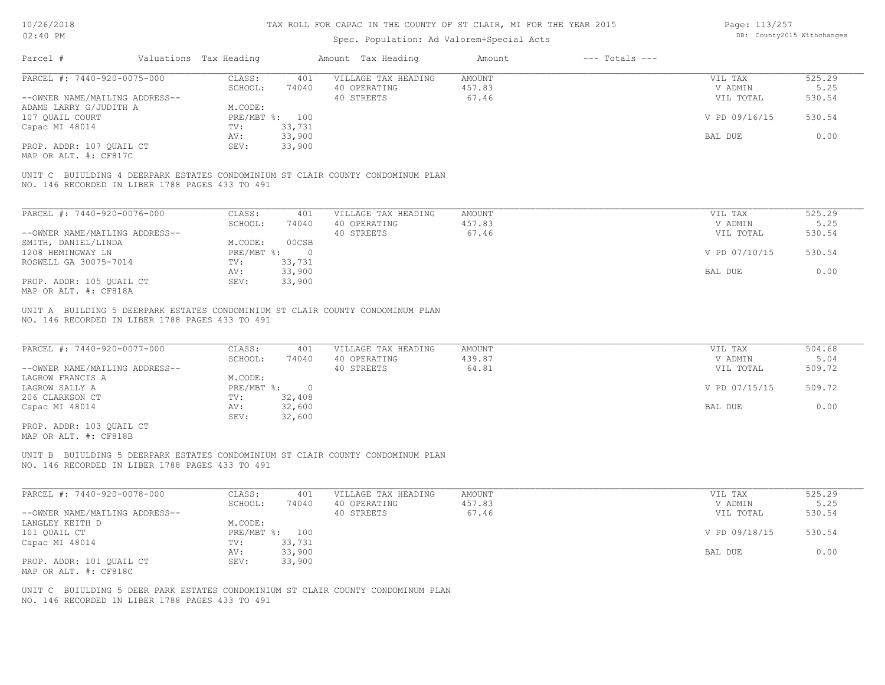| Page: 113/257 |                            |
|---------------|----------------------------|
|               | DB: County2015 Withchanges |

| Valuations Tax Heading<br>Amount Tax Heading<br>$---$ Totals $---$<br>Parcel #<br>Amount<br>PARCEL #: 7440-920-0075-000<br>CLASS:<br>525.29<br>401<br>VILLAGE TAX HEADING<br>AMOUNT<br>VIL TAX<br>457.83<br>SCHOOL:<br>74040<br>40 OPERATING<br>V ADMIN<br>5.25<br>40 STREETS<br>67.46<br>--OWNER NAME/MAILING ADDRESS--<br>VIL TOTAL<br>530.54<br>M.CODE:<br>ADAMS LARRY G/JUDITH A<br>PRE/MBT %: 100<br>530.54<br>107 QUAIL COURT<br>V PD 09/16/15<br>Capac MI 48014<br>TV:<br>33,731<br>33,900<br>0.00<br>BAL DUE<br>AV:<br>PROP. ADDR: 107 QUAIL CT<br>33,900<br>SEV:<br>MAP OR ALT. #: CF817C<br>UNIT C BUIULDING 4 DEERPARK ESTATES CONDOMINIUM ST CLAIR COUNTY CONDOMINUM PLAN<br>NO. 146 RECORDED IN LIBER 1788 PAGES 433 TO 491<br>PARCEL #: 7440-920-0076-000<br>CLASS:<br>525.29<br>401<br>VILLAGE TAX HEADING<br>AMOUNT<br>VIL TAX<br>SCHOOL:<br>40 OPERATING<br>457.83<br>V ADMIN<br>5.25<br>74040<br>67.46<br>--OWNER NAME/MAILING ADDRESS--<br>40 STREETS<br>530.54<br>VIL TOTAL<br>M.CODE:<br>00CSB<br>SMITH, DANIEL/LINDA<br>1208 HEMINGWAY LN<br>PRE/MBT %:<br>V PD 07/10/15<br>530.54<br>$\circ$<br>ROSWELL GA 30075-7014<br>TV:<br>33,731<br>33,900<br>0.00<br>BAL DUE<br>AV:<br>PROP. ADDR: 105 QUAIL CT<br>33,900<br>SEV:<br>MAP OR ALT. #: CF818A<br>UNIT A BUILDING 5 DEERPARK ESTATES CONDOMINIUM ST CLAIR COUNTY CONDOMINUM PLAN<br>NO. 146 RECORDED IN LIBER 1788 PAGES 433 TO 491<br>PARCEL #: 7440-920-0077-000<br>504.68<br>CLASS:<br>401<br>VILLAGE TAX HEADING<br>AMOUNT<br>VIL TAX<br>40 OPERATING<br>439.87<br>SCHOOL:<br>74040<br>V ADMIN<br>5.04<br>--OWNER NAME/MAILING ADDRESS--<br>40 STREETS<br>64.81<br>509.72<br>VIL TOTAL<br>LAGROW FRANCIS A<br>M.CODE:<br>LAGROW SALLY A<br>$PRE/MBT$ %:<br>$\overline{\phantom{0}}$<br>V PD 07/15/15<br>509.72<br>32,408<br>206 CLARKSON CT<br>TV:<br>32,600<br>0.00<br>Capac MI 48014<br>AV:<br>BAL DUE<br>32,600<br>SEV:<br>PROP. ADDR: 103 QUAIL CT<br>MAP OR ALT. #: CF818B<br>UNIT B BUIULDING 5 DEERPARK ESTATES CONDOMINIUM ST CLAIR COUNTY CONDOMINUM PLAN<br>NO. 146 RECORDED IN LIBER 1788 PAGES 433 TO 491<br>PARCEL #: 7440-920-0078-000<br>525.29<br>CLASS:<br>401<br>VILLAGE TAX HEADING<br>AMOUNT<br>VIL TAX<br>457.83<br>5.25<br>SCHOOL:<br>74040<br>40 OPERATING<br>V ADMIN<br>67.46<br>40 STREETS<br>530.54<br>--OWNER NAME/MAILING ADDRESS--<br>VIL TOTAL<br>LANGLEY KEITH D<br>M.CODE:<br>530.54<br>101 QUAIL CT<br>PRE/MBT %: 100<br>V PD 09/18/15<br>33,731<br>Capac MI 48014<br>TV:<br>33,900<br>0.00<br>AV:<br>BAL DUE<br>33,900<br>PROP. ADDR: 101 QUAIL CT<br>SEV:<br>MAP OR ALT. #: CF818C<br>UNIT C BUIULDING 5 DEER PARK ESTATES CONDOMINIUM ST CLAIR COUNTY CONDOMINUM PLAN | NO. 146 RECORDED IN LIBER 1788 PAGES 433 TO 491 | $02:40$ PM | Spec. Population: Ad Valorem+Special Acts |  | DB: County2015 Withchanges |
|-----------------------------------------------------------------------------------------------------------------------------------------------------------------------------------------------------------------------------------------------------------------------------------------------------------------------------------------------------------------------------------------------------------------------------------------------------------------------------------------------------------------------------------------------------------------------------------------------------------------------------------------------------------------------------------------------------------------------------------------------------------------------------------------------------------------------------------------------------------------------------------------------------------------------------------------------------------------------------------------------------------------------------------------------------------------------------------------------------------------------------------------------------------------------------------------------------------------------------------------------------------------------------------------------------------------------------------------------------------------------------------------------------------------------------------------------------------------------------------------------------------------------------------------------------------------------------------------------------------------------------------------------------------------------------------------------------------------------------------------------------------------------------------------------------------------------------------------------------------------------------------------------------------------------------------------------------------------------------------------------------------------------------------------------------------------------------------------------------------------------------------------------------------------------------------------------------------------------------------------------------------------------------------------------------------------------------------------------------------------------------------------------------------------------------------------------------------------------------------------------------------------------------------------------------------------------------------------------------------------------------------------------------------------------------------------|-------------------------------------------------|------------|-------------------------------------------|--|----------------------------|
|                                                                                                                                                                                                                                                                                                                                                                                                                                                                                                                                                                                                                                                                                                                                                                                                                                                                                                                                                                                                                                                                                                                                                                                                                                                                                                                                                                                                                                                                                                                                                                                                                                                                                                                                                                                                                                                                                                                                                                                                                                                                                                                                                                                                                                                                                                                                                                                                                                                                                                                                                                                                                                                                                         |                                                 |            |                                           |  |                            |
|                                                                                                                                                                                                                                                                                                                                                                                                                                                                                                                                                                                                                                                                                                                                                                                                                                                                                                                                                                                                                                                                                                                                                                                                                                                                                                                                                                                                                                                                                                                                                                                                                                                                                                                                                                                                                                                                                                                                                                                                                                                                                                                                                                                                                                                                                                                                                                                                                                                                                                                                                                                                                                                                                         |                                                 |            |                                           |  |                            |
|                                                                                                                                                                                                                                                                                                                                                                                                                                                                                                                                                                                                                                                                                                                                                                                                                                                                                                                                                                                                                                                                                                                                                                                                                                                                                                                                                                                                                                                                                                                                                                                                                                                                                                                                                                                                                                                                                                                                                                                                                                                                                                                                                                                                                                                                                                                                                                                                                                                                                                                                                                                                                                                                                         |                                                 |            |                                           |  |                            |
|                                                                                                                                                                                                                                                                                                                                                                                                                                                                                                                                                                                                                                                                                                                                                                                                                                                                                                                                                                                                                                                                                                                                                                                                                                                                                                                                                                                                                                                                                                                                                                                                                                                                                                                                                                                                                                                                                                                                                                                                                                                                                                                                                                                                                                                                                                                                                                                                                                                                                                                                                                                                                                                                                         |                                                 |            |                                           |  |                            |
|                                                                                                                                                                                                                                                                                                                                                                                                                                                                                                                                                                                                                                                                                                                                                                                                                                                                                                                                                                                                                                                                                                                                                                                                                                                                                                                                                                                                                                                                                                                                                                                                                                                                                                                                                                                                                                                                                                                                                                                                                                                                                                                                                                                                                                                                                                                                                                                                                                                                                                                                                                                                                                                                                         |                                                 |            |                                           |  |                            |
|                                                                                                                                                                                                                                                                                                                                                                                                                                                                                                                                                                                                                                                                                                                                                                                                                                                                                                                                                                                                                                                                                                                                                                                                                                                                                                                                                                                                                                                                                                                                                                                                                                                                                                                                                                                                                                                                                                                                                                                                                                                                                                                                                                                                                                                                                                                                                                                                                                                                                                                                                                                                                                                                                         |                                                 |            |                                           |  |                            |
|                                                                                                                                                                                                                                                                                                                                                                                                                                                                                                                                                                                                                                                                                                                                                                                                                                                                                                                                                                                                                                                                                                                                                                                                                                                                                                                                                                                                                                                                                                                                                                                                                                                                                                                                                                                                                                                                                                                                                                                                                                                                                                                                                                                                                                                                                                                                                                                                                                                                                                                                                                                                                                                                                         |                                                 |            |                                           |  |                            |
|                                                                                                                                                                                                                                                                                                                                                                                                                                                                                                                                                                                                                                                                                                                                                                                                                                                                                                                                                                                                                                                                                                                                                                                                                                                                                                                                                                                                                                                                                                                                                                                                                                                                                                                                                                                                                                                                                                                                                                                                                                                                                                                                                                                                                                                                                                                                                                                                                                                                                                                                                                                                                                                                                         |                                                 |            |                                           |  |                            |
|                                                                                                                                                                                                                                                                                                                                                                                                                                                                                                                                                                                                                                                                                                                                                                                                                                                                                                                                                                                                                                                                                                                                                                                                                                                                                                                                                                                                                                                                                                                                                                                                                                                                                                                                                                                                                                                                                                                                                                                                                                                                                                                                                                                                                                                                                                                                                                                                                                                                                                                                                                                                                                                                                         |                                                 |            |                                           |  |                            |
|                                                                                                                                                                                                                                                                                                                                                                                                                                                                                                                                                                                                                                                                                                                                                                                                                                                                                                                                                                                                                                                                                                                                                                                                                                                                                                                                                                                                                                                                                                                                                                                                                                                                                                                                                                                                                                                                                                                                                                                                                                                                                                                                                                                                                                                                                                                                                                                                                                                                                                                                                                                                                                                                                         |                                                 |            |                                           |  |                            |
|                                                                                                                                                                                                                                                                                                                                                                                                                                                                                                                                                                                                                                                                                                                                                                                                                                                                                                                                                                                                                                                                                                                                                                                                                                                                                                                                                                                                                                                                                                                                                                                                                                                                                                                                                                                                                                                                                                                                                                                                                                                                                                                                                                                                                                                                                                                                                                                                                                                                                                                                                                                                                                                                                         |                                                 |            |                                           |  |                            |
|                                                                                                                                                                                                                                                                                                                                                                                                                                                                                                                                                                                                                                                                                                                                                                                                                                                                                                                                                                                                                                                                                                                                                                                                                                                                                                                                                                                                                                                                                                                                                                                                                                                                                                                                                                                                                                                                                                                                                                                                                                                                                                                                                                                                                                                                                                                                                                                                                                                                                                                                                                                                                                                                                         |                                                 |            |                                           |  |                            |
|                                                                                                                                                                                                                                                                                                                                                                                                                                                                                                                                                                                                                                                                                                                                                                                                                                                                                                                                                                                                                                                                                                                                                                                                                                                                                                                                                                                                                                                                                                                                                                                                                                                                                                                                                                                                                                                                                                                                                                                                                                                                                                                                                                                                                                                                                                                                                                                                                                                                                                                                                                                                                                                                                         |                                                 |            |                                           |  |                            |
|                                                                                                                                                                                                                                                                                                                                                                                                                                                                                                                                                                                                                                                                                                                                                                                                                                                                                                                                                                                                                                                                                                                                                                                                                                                                                                                                                                                                                                                                                                                                                                                                                                                                                                                                                                                                                                                                                                                                                                                                                                                                                                                                                                                                                                                                                                                                                                                                                                                                                                                                                                                                                                                                                         |                                                 |            |                                           |  |                            |
|                                                                                                                                                                                                                                                                                                                                                                                                                                                                                                                                                                                                                                                                                                                                                                                                                                                                                                                                                                                                                                                                                                                                                                                                                                                                                                                                                                                                                                                                                                                                                                                                                                                                                                                                                                                                                                                                                                                                                                                                                                                                                                                                                                                                                                                                                                                                                                                                                                                                                                                                                                                                                                                                                         |                                                 |            |                                           |  |                            |
|                                                                                                                                                                                                                                                                                                                                                                                                                                                                                                                                                                                                                                                                                                                                                                                                                                                                                                                                                                                                                                                                                                                                                                                                                                                                                                                                                                                                                                                                                                                                                                                                                                                                                                                                                                                                                                                                                                                                                                                                                                                                                                                                                                                                                                                                                                                                                                                                                                                                                                                                                                                                                                                                                         |                                                 |            |                                           |  |                            |
|                                                                                                                                                                                                                                                                                                                                                                                                                                                                                                                                                                                                                                                                                                                                                                                                                                                                                                                                                                                                                                                                                                                                                                                                                                                                                                                                                                                                                                                                                                                                                                                                                                                                                                                                                                                                                                                                                                                                                                                                                                                                                                                                                                                                                                                                                                                                                                                                                                                                                                                                                                                                                                                                                         |                                                 |            |                                           |  |                            |
|                                                                                                                                                                                                                                                                                                                                                                                                                                                                                                                                                                                                                                                                                                                                                                                                                                                                                                                                                                                                                                                                                                                                                                                                                                                                                                                                                                                                                                                                                                                                                                                                                                                                                                                                                                                                                                                                                                                                                                                                                                                                                                                                                                                                                                                                                                                                                                                                                                                                                                                                                                                                                                                                                         |                                                 |            |                                           |  |                            |
|                                                                                                                                                                                                                                                                                                                                                                                                                                                                                                                                                                                                                                                                                                                                                                                                                                                                                                                                                                                                                                                                                                                                                                                                                                                                                                                                                                                                                                                                                                                                                                                                                                                                                                                                                                                                                                                                                                                                                                                                                                                                                                                                                                                                                                                                                                                                                                                                                                                                                                                                                                                                                                                                                         |                                                 |            |                                           |  |                            |
|                                                                                                                                                                                                                                                                                                                                                                                                                                                                                                                                                                                                                                                                                                                                                                                                                                                                                                                                                                                                                                                                                                                                                                                                                                                                                                                                                                                                                                                                                                                                                                                                                                                                                                                                                                                                                                                                                                                                                                                                                                                                                                                                                                                                                                                                                                                                                                                                                                                                                                                                                                                                                                                                                         |                                                 |            |                                           |  |                            |
|                                                                                                                                                                                                                                                                                                                                                                                                                                                                                                                                                                                                                                                                                                                                                                                                                                                                                                                                                                                                                                                                                                                                                                                                                                                                                                                                                                                                                                                                                                                                                                                                                                                                                                                                                                                                                                                                                                                                                                                                                                                                                                                                                                                                                                                                                                                                                                                                                                                                                                                                                                                                                                                                                         |                                                 |            |                                           |  |                            |
|                                                                                                                                                                                                                                                                                                                                                                                                                                                                                                                                                                                                                                                                                                                                                                                                                                                                                                                                                                                                                                                                                                                                                                                                                                                                                                                                                                                                                                                                                                                                                                                                                                                                                                                                                                                                                                                                                                                                                                                                                                                                                                                                                                                                                                                                                                                                                                                                                                                                                                                                                                                                                                                                                         |                                                 |            |                                           |  |                            |
|                                                                                                                                                                                                                                                                                                                                                                                                                                                                                                                                                                                                                                                                                                                                                                                                                                                                                                                                                                                                                                                                                                                                                                                                                                                                                                                                                                                                                                                                                                                                                                                                                                                                                                                                                                                                                                                                                                                                                                                                                                                                                                                                                                                                                                                                                                                                                                                                                                                                                                                                                                                                                                                                                         |                                                 |            |                                           |  |                            |
|                                                                                                                                                                                                                                                                                                                                                                                                                                                                                                                                                                                                                                                                                                                                                                                                                                                                                                                                                                                                                                                                                                                                                                                                                                                                                                                                                                                                                                                                                                                                                                                                                                                                                                                                                                                                                                                                                                                                                                                                                                                                                                                                                                                                                                                                                                                                                                                                                                                                                                                                                                                                                                                                                         |                                                 |            |                                           |  |                            |
|                                                                                                                                                                                                                                                                                                                                                                                                                                                                                                                                                                                                                                                                                                                                                                                                                                                                                                                                                                                                                                                                                                                                                                                                                                                                                                                                                                                                                                                                                                                                                                                                                                                                                                                                                                                                                                                                                                                                                                                                                                                                                                                                                                                                                                                                                                                                                                                                                                                                                                                                                                                                                                                                                         |                                                 |            |                                           |  |                            |
|                                                                                                                                                                                                                                                                                                                                                                                                                                                                                                                                                                                                                                                                                                                                                                                                                                                                                                                                                                                                                                                                                                                                                                                                                                                                                                                                                                                                                                                                                                                                                                                                                                                                                                                                                                                                                                                                                                                                                                                                                                                                                                                                                                                                                                                                                                                                                                                                                                                                                                                                                                                                                                                                                         |                                                 |            |                                           |  |                            |
|                                                                                                                                                                                                                                                                                                                                                                                                                                                                                                                                                                                                                                                                                                                                                                                                                                                                                                                                                                                                                                                                                                                                                                                                                                                                                                                                                                                                                                                                                                                                                                                                                                                                                                                                                                                                                                                                                                                                                                                                                                                                                                                                                                                                                                                                                                                                                                                                                                                                                                                                                                                                                                                                                         |                                                 |            |                                           |  |                            |
|                                                                                                                                                                                                                                                                                                                                                                                                                                                                                                                                                                                                                                                                                                                                                                                                                                                                                                                                                                                                                                                                                                                                                                                                                                                                                                                                                                                                                                                                                                                                                                                                                                                                                                                                                                                                                                                                                                                                                                                                                                                                                                                                                                                                                                                                                                                                                                                                                                                                                                                                                                                                                                                                                         |                                                 |            |                                           |  |                            |
|                                                                                                                                                                                                                                                                                                                                                                                                                                                                                                                                                                                                                                                                                                                                                                                                                                                                                                                                                                                                                                                                                                                                                                                                                                                                                                                                                                                                                                                                                                                                                                                                                                                                                                                                                                                                                                                                                                                                                                                                                                                                                                                                                                                                                                                                                                                                                                                                                                                                                                                                                                                                                                                                                         |                                                 |            |                                           |  |                            |
|                                                                                                                                                                                                                                                                                                                                                                                                                                                                                                                                                                                                                                                                                                                                                                                                                                                                                                                                                                                                                                                                                                                                                                                                                                                                                                                                                                                                                                                                                                                                                                                                                                                                                                                                                                                                                                                                                                                                                                                                                                                                                                                                                                                                                                                                                                                                                                                                                                                                                                                                                                                                                                                                                         |                                                 |            |                                           |  |                            |
|                                                                                                                                                                                                                                                                                                                                                                                                                                                                                                                                                                                                                                                                                                                                                                                                                                                                                                                                                                                                                                                                                                                                                                                                                                                                                                                                                                                                                                                                                                                                                                                                                                                                                                                                                                                                                                                                                                                                                                                                                                                                                                                                                                                                                                                                                                                                                                                                                                                                                                                                                                                                                                                                                         |                                                 |            |                                           |  |                            |
|                                                                                                                                                                                                                                                                                                                                                                                                                                                                                                                                                                                                                                                                                                                                                                                                                                                                                                                                                                                                                                                                                                                                                                                                                                                                                                                                                                                                                                                                                                                                                                                                                                                                                                                                                                                                                                                                                                                                                                                                                                                                                                                                                                                                                                                                                                                                                                                                                                                                                                                                                                                                                                                                                         |                                                 |            |                                           |  |                            |
|                                                                                                                                                                                                                                                                                                                                                                                                                                                                                                                                                                                                                                                                                                                                                                                                                                                                                                                                                                                                                                                                                                                                                                                                                                                                                                                                                                                                                                                                                                                                                                                                                                                                                                                                                                                                                                                                                                                                                                                                                                                                                                                                                                                                                                                                                                                                                                                                                                                                                                                                                                                                                                                                                         |                                                 |            |                                           |  |                            |
|                                                                                                                                                                                                                                                                                                                                                                                                                                                                                                                                                                                                                                                                                                                                                                                                                                                                                                                                                                                                                                                                                                                                                                                                                                                                                                                                                                                                                                                                                                                                                                                                                                                                                                                                                                                                                                                                                                                                                                                                                                                                                                                                                                                                                                                                                                                                                                                                                                                                                                                                                                                                                                                                                         |                                                 |            |                                           |  |                            |
|                                                                                                                                                                                                                                                                                                                                                                                                                                                                                                                                                                                                                                                                                                                                                                                                                                                                                                                                                                                                                                                                                                                                                                                                                                                                                                                                                                                                                                                                                                                                                                                                                                                                                                                                                                                                                                                                                                                                                                                                                                                                                                                                                                                                                                                                                                                                                                                                                                                                                                                                                                                                                                                                                         |                                                 |            |                                           |  |                            |
|                                                                                                                                                                                                                                                                                                                                                                                                                                                                                                                                                                                                                                                                                                                                                                                                                                                                                                                                                                                                                                                                                                                                                                                                                                                                                                                                                                                                                                                                                                                                                                                                                                                                                                                                                                                                                                                                                                                                                                                                                                                                                                                                                                                                                                                                                                                                                                                                                                                                                                                                                                                                                                                                                         |                                                 |            |                                           |  |                            |
|                                                                                                                                                                                                                                                                                                                                                                                                                                                                                                                                                                                                                                                                                                                                                                                                                                                                                                                                                                                                                                                                                                                                                                                                                                                                                                                                                                                                                                                                                                                                                                                                                                                                                                                                                                                                                                                                                                                                                                                                                                                                                                                                                                                                                                                                                                                                                                                                                                                                                                                                                                                                                                                                                         |                                                 |            |                                           |  |                            |
|                                                                                                                                                                                                                                                                                                                                                                                                                                                                                                                                                                                                                                                                                                                                                                                                                                                                                                                                                                                                                                                                                                                                                                                                                                                                                                                                                                                                                                                                                                                                                                                                                                                                                                                                                                                                                                                                                                                                                                                                                                                                                                                                                                                                                                                                                                                                                                                                                                                                                                                                                                                                                                                                                         |                                                 |            |                                           |  |                            |
|                                                                                                                                                                                                                                                                                                                                                                                                                                                                                                                                                                                                                                                                                                                                                                                                                                                                                                                                                                                                                                                                                                                                                                                                                                                                                                                                                                                                                                                                                                                                                                                                                                                                                                                                                                                                                                                                                                                                                                                                                                                                                                                                                                                                                                                                                                                                                                                                                                                                                                                                                                                                                                                                                         |                                                 |            |                                           |  |                            |
|                                                                                                                                                                                                                                                                                                                                                                                                                                                                                                                                                                                                                                                                                                                                                                                                                                                                                                                                                                                                                                                                                                                                                                                                                                                                                                                                                                                                                                                                                                                                                                                                                                                                                                                                                                                                                                                                                                                                                                                                                                                                                                                                                                                                                                                                                                                                                                                                                                                                                                                                                                                                                                                                                         |                                                 |            |                                           |  |                            |
|                                                                                                                                                                                                                                                                                                                                                                                                                                                                                                                                                                                                                                                                                                                                                                                                                                                                                                                                                                                                                                                                                                                                                                                                                                                                                                                                                                                                                                                                                                                                                                                                                                                                                                                                                                                                                                                                                                                                                                                                                                                                                                                                                                                                                                                                                                                                                                                                                                                                                                                                                                                                                                                                                         |                                                 |            |                                           |  |                            |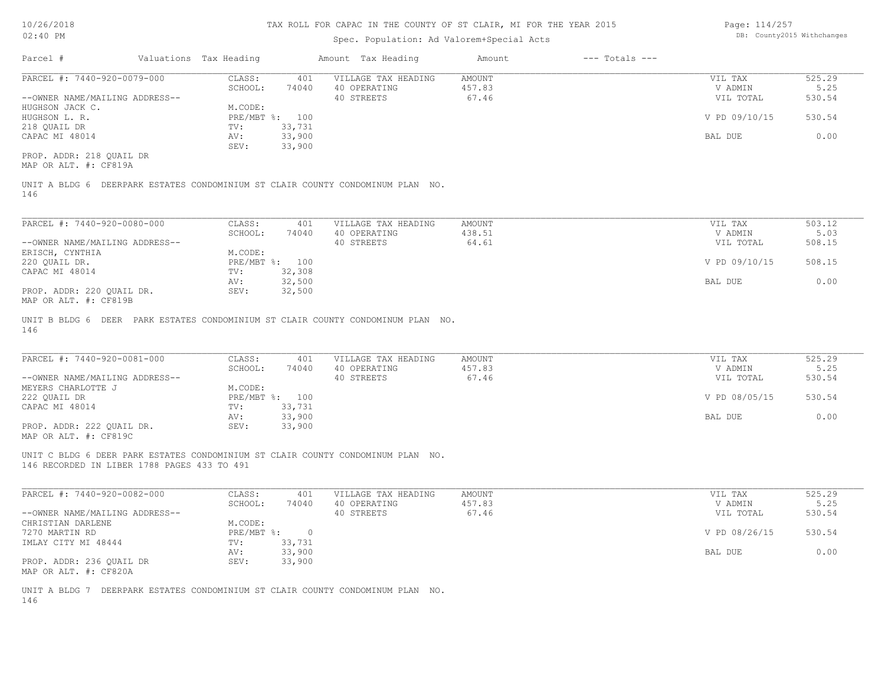| 10/26/2018                                                                                                                     |                        |                |                     | TAX ROLL FOR CAPAC IN THE COUNTY OF ST CLAIR, MI FOR THE YEAR 2015 |                    | Page: 114/257 |                            |
|--------------------------------------------------------------------------------------------------------------------------------|------------------------|----------------|---------------------|--------------------------------------------------------------------|--------------------|---------------|----------------------------|
| 02:40 PM                                                                                                                       |                        |                |                     | Spec. Population: Ad Valorem+Special Acts                          |                    |               | DB: County2015 Withchanges |
| Parcel #                                                                                                                       | Valuations Tax Heading |                | Amount Tax Heading  | Amount                                                             | $---$ Totals $---$ |               |                            |
| PARCEL #: 7440-920-0079-000                                                                                                    | CLASS:                 | 401            | VILLAGE TAX HEADING | AMOUNT                                                             |                    | VIL TAX       | 525.29                     |
|                                                                                                                                | SCHOOL:                | 74040          | 40 OPERATING        | 457.83                                                             |                    | V ADMIN       | 5.25                       |
| --OWNER NAME/MAILING ADDRESS--                                                                                                 |                        |                | 40 STREETS          | 67.46                                                              |                    | VIL TOTAL     | 530.54                     |
| HUGHSON JACK C.                                                                                                                | M.CODE:                |                |                     |                                                                    |                    |               |                            |
| HUGHSON L. R.                                                                                                                  |                        | PRE/MBT %: 100 |                     |                                                                    |                    | V PD 09/10/15 | 530.54                     |
| 218 QUAIL DR                                                                                                                   | TV:                    | 33,731         |                     |                                                                    |                    |               |                            |
| CAPAC MI 48014                                                                                                                 | AV:                    | 33,900         |                     |                                                                    |                    | BAL DUE       | 0.00                       |
|                                                                                                                                | SEV:                   | 33,900         |                     |                                                                    |                    |               |                            |
| PROP. ADDR: 218 OUAIL DR                                                                                                       |                        |                |                     |                                                                    |                    |               |                            |
| MAP OR ALT. #: CF819A                                                                                                          |                        |                |                     |                                                                    |                    |               |                            |
| UNIT A BLDG 6 DEERPARK ESTATES CONDOMINIUM ST CLAIR COUNTY CONDOMINUM PLAN NO.<br>146                                          |                        |                |                     |                                                                    |                    |               |                            |
|                                                                                                                                |                        |                |                     |                                                                    |                    |               |                            |
| PARCEL #: 7440-920-0080-000                                                                                                    | CLASS:                 | 401            | VILLAGE TAX HEADING | AMOUNT                                                             |                    | VIL TAX       | 503.12                     |
|                                                                                                                                | SCHOOL:                | 74040          | 40 OPERATING        | 438.51                                                             |                    | V ADMIN       | 5.03                       |
| --OWNER NAME/MAILING ADDRESS--                                                                                                 |                        |                | 40 STREETS          | 64.61                                                              |                    | VIL TOTAL     | 508.15                     |
| ERISCH, CYNTHIA                                                                                                                | M.CODE:                |                |                     |                                                                    |                    |               |                            |
| 220 QUAIL DR.                                                                                                                  |                        | PRE/MBT %: 100 |                     |                                                                    |                    | V PD 09/10/15 | 508.15                     |
| CAPAC MI 48014                                                                                                                 | TV:                    | 32,308         |                     |                                                                    |                    |               |                            |
|                                                                                                                                | AV:                    | 32,500         |                     |                                                                    |                    | BAL DUE       | 0.00                       |
| PROP. ADDR: 220 QUAIL DR.<br>MAP OR ALT. #: CF819B                                                                             | SEV:                   | 32,500         |                     |                                                                    |                    |               |                            |
|                                                                                                                                |                        |                |                     |                                                                    |                    |               |                            |
| UNIT B BLDG 6 DEER PARK ESTATES CONDOMINIUM ST CLAIR COUNTY CONDOMINUM PLAN NO.<br>146                                         |                        |                |                     |                                                                    |                    |               |                            |
|                                                                                                                                |                        |                |                     |                                                                    |                    |               |                            |
| PARCEL #: 7440-920-0081-000                                                                                                    | CLASS:                 | 401            | VILLAGE TAX HEADING | AMOUNT                                                             |                    | VIL TAX       | 525.29                     |
|                                                                                                                                | SCHOOL:                | 74040          | 40 OPERATING        | 457.83                                                             |                    | V ADMIN       | 5.25                       |
| --OWNER NAME/MAILING ADDRESS--                                                                                                 |                        |                | 40 STREETS          | 67.46                                                              |                    | VIL TOTAL     | 530.54                     |
| MEYERS CHARLOTTE J                                                                                                             | M.CODE:                |                |                     |                                                                    |                    |               |                            |
| 222 QUAIL DR                                                                                                                   |                        | PRE/MBT %: 100 |                     |                                                                    |                    | V PD 08/05/15 | 530.54                     |
| CAPAC MI 48014                                                                                                                 | TV:                    | 33,731         |                     |                                                                    |                    |               |                            |
|                                                                                                                                | AV:                    | 33,900         |                     |                                                                    |                    | BAL DUE       | 0.00                       |
| PROP. ADDR: 222 QUAIL DR.                                                                                                      | SEV:                   | 33,900         |                     |                                                                    |                    |               |                            |
| MAP OR ALT. #: CF819C                                                                                                          |                        |                |                     |                                                                    |                    |               |                            |
| UNIT C BLDG 6 DEER PARK ESTATES CONDOMINIUM ST CLAIR COUNTY CONDOMINUM PLAN NO.<br>146 RECORDED IN LIBER 1788 PAGES 433 TO 491 |                        |                |                     |                                                                    |                    |               |                            |
|                                                                                                                                |                        |                |                     |                                                                    |                    |               |                            |
| PARCEL #: 7440-920-0082-000                                                                                                    | CLASS:                 | 401            | VILLAGE TAX HEADING | AMOUNT                                                             |                    | VIL TAX       | 525.29                     |
|                                                                                                                                | SCHOOL:                | 74040          | 40 OPERATING        | 457.83                                                             |                    | V ADMIN       | 5.25                       |

|                                | SCHOOL:      | 74040  | 40 OPERATING | 457.83 | V ADMIN       | 5.25   |
|--------------------------------|--------------|--------|--------------|--------|---------------|--------|
| --OWNER NAME/MAILING ADDRESS-- |              |        | 40 STREETS   | 67.46  | VIL TOTAL     | 530.54 |
| CHRISTIAN DARLENE              | M.CODE:      |        |              |        |               |        |
| 7270 MARTIN RD                 | $PRE/MBT$ %: |        |              |        | V PD 08/26/15 | 530.54 |
| IMLAY CITY MI 48444            | TV:          | 33,731 |              |        |               |        |
|                                | AV:          | 33,900 |              |        | BAL DUE       | 0.00   |
| PROP. ADDR: 236 OUAIL DR       | SEV:         | 33,900 |              |        |               |        |
| MAP OR ALT. #: CF820A          |              |        |              |        |               |        |

146 UNIT A BLDG 7 DEERPARK ESTATES CONDOMINIUM ST CLAIR COUNTY CONDOMINUM PLAN NO.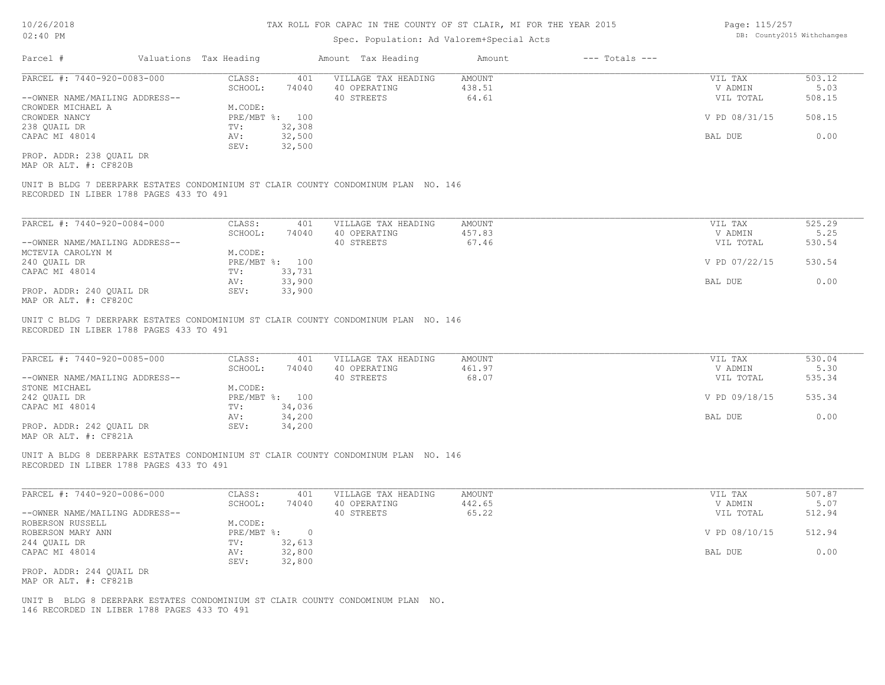### Spec. Population: Ad Valorem+Special Acts

| Page: 115/257 |                            |
|---------------|----------------------------|
|               | DB: County2015 Withchanges |

| Parcel #                       | Valuations Tax Heading | Amount Tax Heading |                     | Amount | $---$ Totals $---$ |               |        |
|--------------------------------|------------------------|--------------------|---------------------|--------|--------------------|---------------|--------|
| PARCEL #: 7440-920-0083-000    | CLASS:                 | 401                | VILLAGE TAX HEADING | AMOUNT |                    | VIL TAX       | 503.12 |
|                                | SCHOOL:                | 74040              | 40 OPERATING        | 438.51 |                    | V ADMIN       | 5.03   |
| --OWNER NAME/MAILING ADDRESS-- |                        |                    | 40 STREETS          | 64.61  |                    | VIL TOTAL     | 508.15 |
| CROWDER MICHAEL A              | M.CODE:                |                    |                     |        |                    |               |        |
| CROWDER NANCY                  | PRE/MBT %: 100         |                    |                     |        |                    | V PD 08/31/15 | 508.15 |
| 238 QUAIL DR                   | TV:                    | 32,308             |                     |        |                    |               |        |
| CAPAC MI 48014                 | AV:                    | 32,500             |                     |        |                    | BAL DUE       | 0.00   |
|                                | SEV:                   | 32,500             |                     |        |                    |               |        |
| PROP. ADDR: 238 OUAIL DR       |                        |                    |                     |        |                    |               |        |

MAP OR ALT. #: CF820B

RECORDED IN LIBER 1788 PAGES 433 TO 491 UNIT B BLDG 7 DEERPARK ESTATES CONDOMINIUM ST CLAIR COUNTY CONDOMINUM PLAN NO. 146

| PARCEL #: 7440-920-0084-000    | CLASS:  | 401            | VILLAGE TAX HEADING | AMOUNT | VIL TAX       | 525.29 |
|--------------------------------|---------|----------------|---------------------|--------|---------------|--------|
|                                | SCHOOL: | 74040          | 40 OPERATING        | 457.83 | V ADMIN       | 5.25   |
| --OWNER NAME/MAILING ADDRESS-- |         |                | 40 STREETS          | 67.46  | VIL TOTAL     | 530.54 |
| MCTEVIA CAROLYN M              | M.CODE: |                |                     |        |               |        |
| 240 OUAIL DR                   |         | PRE/MBT %: 100 |                     |        | V PD 07/22/15 | 530.54 |
| CAPAC MI 48014                 | TV:     | 33,731         |                     |        |               |        |
|                                | AV:     | 33,900         |                     |        | BAL DUE       | 0.00   |
| PROP. ADDR: 240 OUAIL DR       | SEV:    | 33,900         |                     |        |               |        |
| MAP OR ALT. #: CF820C          |         |                |                     |        |               |        |

RECORDED IN LIBER 1788 PAGES 433 TO 491 UNIT C BLDG 7 DEERPARK ESTATES CONDOMINIUM ST CLAIR COUNTY CONDOMINUM PLAN NO. 146

| PARCEL #: 7440-920-0085-000    | CLASS:     | 401    | VILLAGE TAX HEADING | AMOUNT | VIL TAX       | 530.04 |
|--------------------------------|------------|--------|---------------------|--------|---------------|--------|
|                                | SCHOOL:    | 74040  | 40 OPERATING        | 461.97 | V ADMIN       | 5.30   |
| --OWNER NAME/MAILING ADDRESS-- |            |        | 40 STREETS          | 68.07  | VIL TOTAL     | 535.34 |
| STONE MICHAEL                  | M.CODE:    |        |                     |        |               |        |
| 242 OUAIL DR                   | PRE/MBT %: | 100    |                     |        | V PD 09/18/15 | 535.34 |
| CAPAC MI 48014                 | TV:        | 34,036 |                     |        |               |        |
|                                | AV:        | 34,200 |                     |        | BAL DUE       | 0.00   |
| PROP. ADDR: 242 OUAIL DR       | SEV:       | 34,200 |                     |        |               |        |
| $\frac{1}{2}$                  |            |        |                     |        |               |        |

 $\mathcal{L}_\mathcal{L} = \mathcal{L}_\mathcal{L} = \mathcal{L}_\mathcal{L} = \mathcal{L}_\mathcal{L} = \mathcal{L}_\mathcal{L} = \mathcal{L}_\mathcal{L} = \mathcal{L}_\mathcal{L} = \mathcal{L}_\mathcal{L} = \mathcal{L}_\mathcal{L} = \mathcal{L}_\mathcal{L} = \mathcal{L}_\mathcal{L} = \mathcal{L}_\mathcal{L} = \mathcal{L}_\mathcal{L} = \mathcal{L}_\mathcal{L} = \mathcal{L}_\mathcal{L} = \mathcal{L}_\mathcal{L} = \mathcal{L}_\mathcal{L}$ 

MAP OR ALT. #: CF821A

RECORDED IN LIBER 1788 PAGES 433 TO 491 UNIT A BLDG 8 DEERPARK ESTATES CONDOMINIUM ST CLAIR COUNTY CONDOMINUM PLAN NO. 146

| PARCEL #: 7440-920-0086-000    | CLASS:     | 401    | VILLAGE TAX HEADING | AMOUNT | VIL TAX       | 507.87 |
|--------------------------------|------------|--------|---------------------|--------|---------------|--------|
|                                | SCHOOL:    | 74040  | 40 OPERATING        | 442.65 | V ADMIN       | 5.07   |
| --OWNER NAME/MAILING ADDRESS-- |            |        | 40 STREETS          | 65.22  | VIL TOTAL     | 512.94 |
| ROBERSON RUSSELL               | M.CODE:    |        |                     |        |               |        |
| ROBERSON MARY ANN              | PRE/MBT %: |        |                     |        | V PD 08/10/15 | 512.94 |
| 244 QUAIL DR                   | TV:        | 32,613 |                     |        |               |        |
| CAPAC MI 48014                 | AV:        | 32,800 |                     |        | BAL DUE       | 0.00   |
|                                | SEV:       | 32,800 |                     |        |               |        |
| PROP. ADDR: 244 OUAIL DR       |            |        |                     |        |               |        |

MAP OR ALT. #: CF821B

146 RECORDED IN LIBER 1788 PAGES 433 TO 491 UNIT B BLDG 8 DEERPARK ESTATES CONDOMINIUM ST CLAIR COUNTY CONDOMINUM PLAN NO.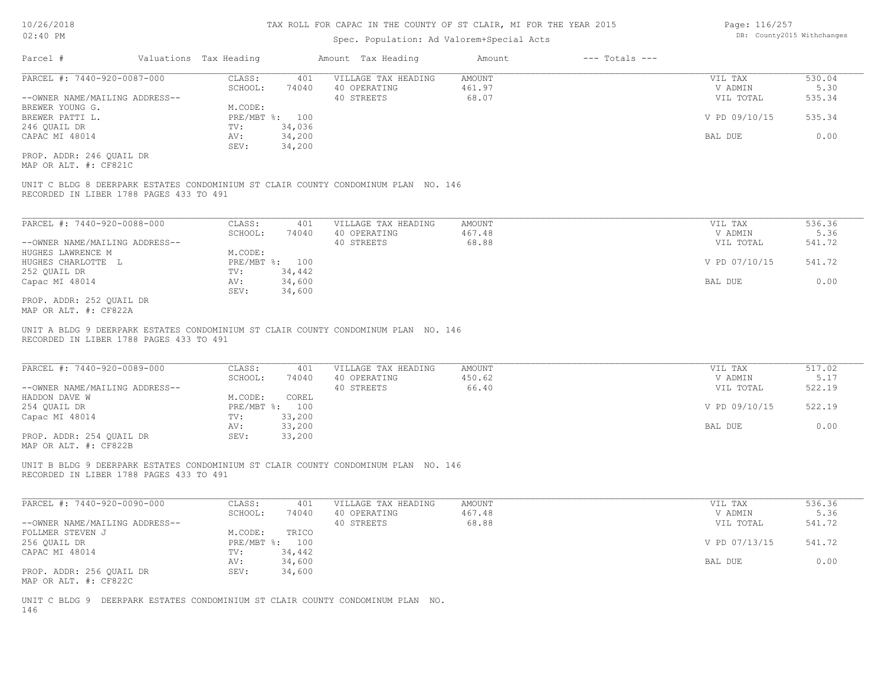| Page: 116/257             |  |
|---------------------------|--|
| DB: County2015 Withchange |  |

| $02:40$ PM                                        |                                                                                                                               |                        |                  | DB: County2015 Withchanges |                     |               |                    |               |        |
|---------------------------------------------------|-------------------------------------------------------------------------------------------------------------------------------|------------------------|------------------|----------------------------|---------------------|---------------|--------------------|---------------|--------|
| Parcel #                                          |                                                                                                                               | Valuations Tax Heading |                  |                            | Amount Tax Heading  | Amount        | $---$ Totals $---$ |               |        |
| PARCEL #: 7440-920-0087-000                       |                                                                                                                               | CLASS:                 | 401              |                            | VILLAGE TAX HEADING | <b>AMOUNT</b> |                    | VIL TAX       | 530.04 |
|                                                   |                                                                                                                               | SCHOOL:                | 74040            |                            | 40 OPERATING        | 461.97        |                    | V ADMIN       | 5.30   |
| --OWNER NAME/MAILING ADDRESS--                    |                                                                                                                               |                        |                  | 40 STREETS                 |                     | 68.07         |                    | VIL TOTAL     | 535.34 |
| BREWER YOUNG G.                                   |                                                                                                                               | M.CODE:                |                  |                            |                     |               |                    |               |        |
| BREWER PATTI L.                                   |                                                                                                                               |                        | PRE/MBT %: 100   |                            |                     |               |                    | V PD 09/10/15 | 535.34 |
| 246 QUAIL DR                                      |                                                                                                                               | TV:                    | 34,036           |                            |                     |               |                    |               |        |
| CAPAC MI 48014                                    |                                                                                                                               | AV:                    | 34,200           |                            |                     |               |                    | BAL DUE       | 0.00   |
|                                                   |                                                                                                                               | SEV:                   | 34,200           |                            |                     |               |                    |               |        |
| PROP. ADDR: 246 OUAIL DR<br>MAP OR ALT. #: CF821C |                                                                                                                               |                        |                  |                            |                     |               |                    |               |        |
|                                                   | UNIT C BLDG 8 DEERPARK ESTATES CONDOMINIUM ST CLAIR COUNTY CONDOMINUM PLAN NO. 146<br>RECORDED IN LIBER 1788 PAGES 433 TO 491 |                        |                  |                            |                     |               |                    |               |        |
| PARCEL #: 7440-920-0088-000                       |                                                                                                                               | CLASS:                 | 401              |                            | VILLAGE TAX HEADING | <b>AMOUNT</b> |                    | VIL TAX       | 536.36 |
|                                                   |                                                                                                                               | SCHOOL:                | 74040            |                            | 40 OPERATING        | 467.48        |                    | V ADMIN       | 5.36   |
| --OWNER NAME/MAILING ADDRESS--                    |                                                                                                                               |                        |                  | 40 STREETS                 |                     | 68.88         |                    | VIL TOTAL     | 541.72 |
| HUGHES LAWRENCE M                                 |                                                                                                                               | M.CODE:                |                  |                            |                     |               |                    |               |        |
| HUGHES CHARLOTTE L                                |                                                                                                                               |                        | PRE/MBT %: 100   |                            |                     |               |                    | V PD 07/10/15 | 541.72 |
| 252 QUAIL DR                                      |                                                                                                                               | TV:                    | 34,442           |                            |                     |               |                    |               |        |
| Capac MI 48014                                    |                                                                                                                               | AV:<br>SEV:            | 34,600<br>34,600 |                            |                     |               |                    | BAL DUE       | 0.00   |
| PROP. ADDR: 252 OUAIL DR                          |                                                                                                                               |                        |                  |                            |                     |               |                    |               |        |
| MAP OR ALT. #: CF822A                             |                                                                                                                               |                        |                  |                            |                     |               |                    |               |        |
|                                                   | UNIT A BLDG 9 DEERPARK ESTATES CONDOMINIUM ST CLAIR COUNTY CONDOMINUM PLAN NO. 146<br>RECORDED IN LIBER 1788 PAGES 433 TO 491 |                        |                  |                            |                     |               |                    |               |        |
| PARCEL #: 7440-920-0089-000                       |                                                                                                                               | CLASS:                 | 401              |                            | VILLAGE TAX HEADING | <b>AMOUNT</b> |                    | VIL TAX       | 517.02 |
|                                                   |                                                                                                                               | SCHOOL:                | 74040            |                            | 40 OPERATING        | 450.62        |                    | V ADMIN       | 5.17   |
| --OWNER NAME/MAILING ADDRESS--                    |                                                                                                                               |                        |                  | 40 STREETS                 |                     | 66.40         |                    | VIL TOTAL     | 522.19 |
| HADDON DAVE W                                     |                                                                                                                               | M.CODE:                | COREL            |                            |                     |               |                    |               |        |
| 254 QUAIL DR                                      |                                                                                                                               |                        | PRE/MBT %: 100   |                            |                     |               |                    | V PD 09/10/15 | 522.19 |
| Capac MI 48014                                    |                                                                                                                               | TV:                    | 33,200           |                            |                     |               |                    |               |        |
|                                                   |                                                                                                                               | AV:                    | 33,200           |                            |                     |               |                    | BAL DUE       | 0.00   |
| PROP. ADDR: 254 QUAIL DR<br>MAP OR ALT. #: CF822B |                                                                                                                               | SEV:                   | 33,200           |                            |                     |               |                    |               |        |

RECORDED IN LIBER 1788 PAGES 433 TO 491 UNIT B BLDG 9 DEERPARK ESTATES CONDOMINIUM ST CLAIR COUNTY CONDOMINUM PLAN NO. 146

| PARCEL #: 7440-920-0090-000    | CLASS:     | 401    | VILLAGE TAX HEADING | AMOUNT | VIL TAX       | 536.36 |
|--------------------------------|------------|--------|---------------------|--------|---------------|--------|
|                                | SCHOOL:    | 74040  | 40 OPERATING        | 467.48 | V ADMIN       | 5.36   |
| --OWNER NAME/MAILING ADDRESS-- |            |        | 40 STREETS          | 68.88  | VIL TOTAL     | 541.72 |
| FOLLMER STEVEN J               | M.CODE:    | TRICO  |                     |        |               |        |
| 256 QUAIL DR                   | PRE/MBT %: | 100    |                     |        | V PD 07/13/15 | 541.72 |
| CAPAC MI 48014                 | TV:        | 34,442 |                     |        |               |        |
|                                | AV:        | 34,600 |                     |        | BAL DUE       | 0.00   |
| PROP. ADDR: 256 OUAIL DR       | SEV:       | 34,600 |                     |        |               |        |
| MAP OR ALT. #: CF822C          |            |        |                     |        |               |        |

146 UNIT C BLDG 9 DEERPARK ESTATES CONDOMINIUM ST CLAIR COUNTY CONDOMINUM PLAN NO.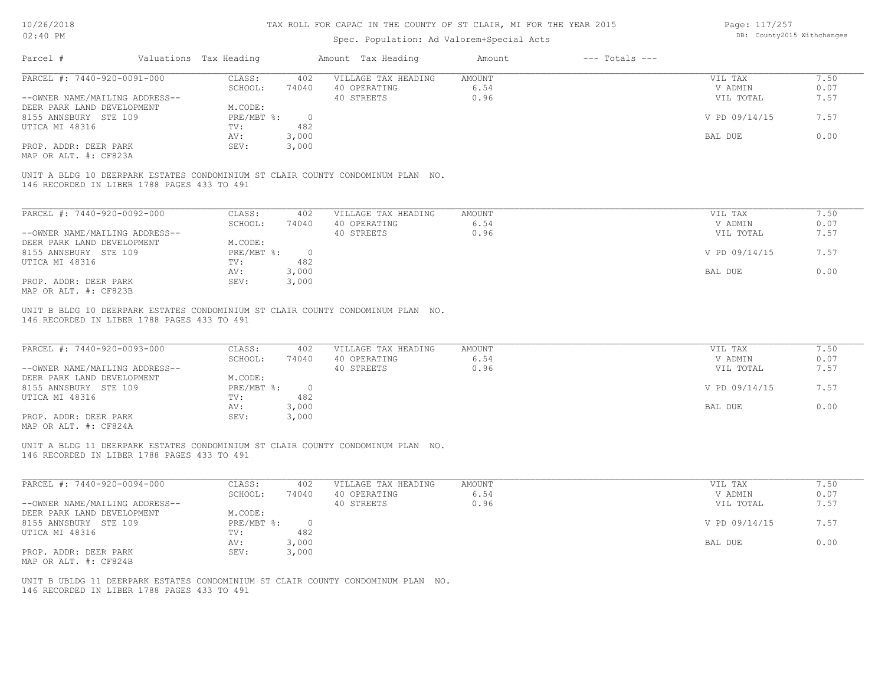MAP OR ALT. #: CF824A

### TAX ROLL FOR CAPAC IN THE COUNTY OF ST CLAIR, MI FOR THE YEAR 2015

Page: 117/257

| 10/20/2010                                                                                                                     |                        |            |                | IAA NGBB FON CALAC IN INS COUNTI OF OI CBAIN, NI FON INS ISAN 2010 |               |                    | LayC. LLI/2JI |      |
|--------------------------------------------------------------------------------------------------------------------------------|------------------------|------------|----------------|--------------------------------------------------------------------|---------------|--------------------|---------------|------|
| 02:40 PM                                                                                                                       |                        |            |                | DB: County2015 Withchanges                                         |               |                    |               |      |
| Parcel #                                                                                                                       | Valuations Tax Heading |            |                | Amount Tax Heading                                                 | Amount        | $---$ Totals $---$ |               |      |
| PARCEL #: 7440-920-0091-000                                                                                                    |                        | CLASS:     | 402            | VILLAGE TAX HEADING                                                | <b>AMOUNT</b> |                    | VIL TAX       | 7.50 |
|                                                                                                                                |                        | SCHOOL:    | 74040          | 40 OPERATING                                                       | 6.54          |                    | V ADMIN       | 0.07 |
| --OWNER NAME/MAILING ADDRESS--                                                                                                 |                        |            |                | 40 STREETS                                                         | 0.96          |                    | VIL TOTAL     | 7.57 |
| DEER PARK LAND DEVELOPMENT                                                                                                     |                        | M.CODE:    |                |                                                                    |               |                    |               |      |
| 8155 ANNSBURY STE 109                                                                                                          |                        | PRE/MBT %: | $\overline{0}$ |                                                                    |               |                    | V PD 09/14/15 | 7.57 |
| UTICA MI 48316                                                                                                                 |                        | TV:        | 482            |                                                                    |               |                    |               |      |
|                                                                                                                                |                        | AV:        | 3,000          |                                                                    |               |                    | BAL DUE       | 0.00 |
| PROP. ADDR: DEER PARK                                                                                                          |                        | SEV:       | 3,000          |                                                                    |               |                    |               |      |
| MAP OR ALT. #: CF823A                                                                                                          |                        |            |                |                                                                    |               |                    |               |      |
| UNIT A BLDG 10 DEERPARK ESTATES CONDOMINIUM ST CLAIR COUNTY CONDOMINUM PLAN NO.<br>146 RECORDED IN LIBER 1788 PAGES 433 TO 491 |                        |            |                |                                                                    |               |                    |               |      |
|                                                                                                                                |                        |            |                |                                                                    |               |                    |               |      |
| PARCEL #: 7440-920-0092-000                                                                                                    |                        | CLASS:     | 402            | VILLAGE TAX HEADING                                                | <b>AMOUNT</b> |                    | VIL TAX       | 7.50 |
|                                                                                                                                |                        | SCHOOL:    | 74040          | 40 OPERATING                                                       | 6.54          |                    | V ADMIN       | 0.07 |
| --OWNER NAME/MAILING ADDRESS--                                                                                                 |                        |            |                | 40 STREETS                                                         | 0.96          |                    | VIL TOTAL     | 7.57 |
| DEER PARK LAND DEVELOPMENT                                                                                                     |                        | M.CODE:    |                |                                                                    |               |                    |               |      |
| 8155 ANNSBURY STE 109                                                                                                          |                        | PRE/MBT %: | $\overline{0}$ |                                                                    |               |                    | V PD 09/14/15 | 7.57 |
| UTICA MI 48316                                                                                                                 |                        | TV:        | 482            |                                                                    |               |                    |               |      |
|                                                                                                                                |                        | AV:        | 3,000          |                                                                    |               |                    | BAL DUE       | 0.00 |
| PROP. ADDR: DEER PARK                                                                                                          |                        | SEV:       | 3,000          |                                                                    |               |                    |               |      |
| MAP OR ALT. #: CF823B                                                                                                          |                        |            |                |                                                                    |               |                    |               |      |
| UNIT B BLDG 10 DEERPARK ESTATES CONDOMINIUM ST CLAIR COUNTY CONDOMINUM PLAN NO.                                                |                        |            |                |                                                                    |               |                    |               |      |
| 146 RECORDED IN LIBER 1788 PAGES 433 TO 491                                                                                    |                        |            |                |                                                                    |               |                    |               |      |
|                                                                                                                                |                        |            |                |                                                                    |               |                    |               |      |
| PARCEL #: 7440-920-0093-000                                                                                                    |                        | CLASS:     | 402            | VILLAGE TAX HEADING                                                | <b>AMOUNT</b> |                    | VIL TAX       | 7.50 |
|                                                                                                                                |                        | SCHOOL:    | 74040          | 40 OPERATING                                                       | 6.54          |                    | V ADMIN       | 0.07 |
| --OWNER NAME/MAILING ADDRESS--                                                                                                 |                        |            |                | 40 STREETS                                                         | 0.96          |                    | VIL TOTAL     | 7.57 |
| DEER PARK LAND DEVELOPMENT                                                                                                     |                        | M.CODE:    |                |                                                                    |               |                    |               |      |
| 8155 ANNSBURY STE 109                                                                                                          |                        | PRE/MBT %: | $\overline{0}$ |                                                                    |               |                    | V PD 09/14/15 | 7.57 |
| UTICA MI 48316                                                                                                                 |                        | TV:        | 482            |                                                                    |               |                    |               |      |
|                                                                                                                                |                        | AV:        | 3,000          |                                                                    |               |                    | BAL DUE       | 0.00 |
|                                                                                                                                |                        |            |                |                                                                    |               |                    |               |      |

146 RECORDED IN LIBER 1788 PAGES 433 TO 491 UNIT A BLDG 11 DEERPARK ESTATES CONDOMINIUM ST CLAIR COUNTY CONDOMINUM PLAN NO.

PROP. ADDR: DEER PARK SEV: 3,000

| PARCEL #: 7440-920-0094-000    | CLASS:       | 402   | VILLAGE TAX HEADING | AMOUNT | VIL TAX       | 1.50 |
|--------------------------------|--------------|-------|---------------------|--------|---------------|------|
|                                | SCHOOL:      | 74040 | 40 OPERATING        | 6.54   | V ADMIN       | 0.07 |
| --OWNER NAME/MAILING ADDRESS-- |              |       | 40 STREETS          | 0.96   | VIL TOTAL     | 7.57 |
| DEER PARK LAND DEVELOPMENT     | M.CODE:      |       |                     |        |               |      |
| 8155 ANNSBURY STE 109          | $PRE/MBT$ %: |       |                     |        | V PD 09/14/15 | 7.57 |
| UTICA MI 48316                 | TV:          | 482   |                     |        |               |      |
|                                | AV:          | 3,000 |                     |        | BAL DUE       | 0.00 |
| PROP. ADDR: DEER PARK          | SEV:         | 3,000 |                     |        |               |      |
| MAP OR ALT. #: CF824B          |              |       |                     |        |               |      |

146 RECORDED IN LIBER 1788 PAGES 433 TO 491 UNIT B UBLDG 11 DEERPARK ESTATES CONDOMINIUM ST CLAIR COUNTY CONDOMINUM PLAN NO.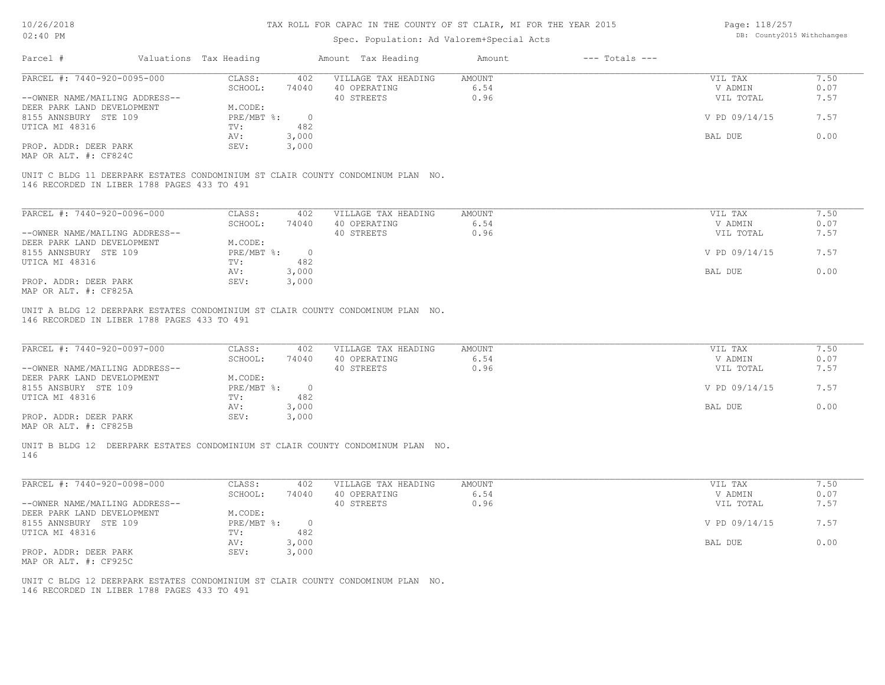| 10/26/2018<br>02:40 PM                              |                        |                  |                | TAX ROLL FOR CAPAC IN THE COUNTY OF ST CLAIR, MI FOR THE YEAR 2015<br>Spec. Population: Ad Valorem+Special Acts |               |                    | Page: 118/257<br>DB: County2015 Withchanges |      |
|-----------------------------------------------------|------------------------|------------------|----------------|-----------------------------------------------------------------------------------------------------------------|---------------|--------------------|---------------------------------------------|------|
| Parcel #                                            | Valuations Tax Heading |                  |                | Amount Tax Heading                                                                                              | Amount        | $---$ Totals $---$ |                                             |      |
| PARCEL #: 7440-920-0095-000                         |                        | CLASS:           | 402            | VILLAGE TAX HEADING                                                                                             | <b>AMOUNT</b> |                    | VIL TAX                                     | 7.50 |
|                                                     |                        | SCHOOL:          | 74040          | 40 OPERATING                                                                                                    | 6.54          |                    | V ADMIN                                     | 0.07 |
| --OWNER NAME/MAILING ADDRESS--                      |                        |                  |                | 40 STREETS                                                                                                      | 0.96          |                    | VIL TOTAL                                   | 7.57 |
| DEER PARK LAND DEVELOPMENT                          |                        | M.CODE:          |                |                                                                                                                 |               |                    |                                             |      |
| 8155 ANNSBURY STE 109                               |                        | PRE/MBT %:       | $\overline{0}$ |                                                                                                                 |               |                    | V PD 09/14/15                               | 7.57 |
| UTICA MI 48316                                      |                        | TV:              | 482            |                                                                                                                 |               |                    |                                             |      |
| PROP. ADDR: DEER PARK<br>MAP OR ALT. #: CF824C      |                        | AV:<br>SEV:      | 3,000<br>3,000 |                                                                                                                 |               |                    | BAL DUE                                     | 0.00 |
| 146 RECORDED IN LIBER 1788 PAGES 433 TO 491         |                        |                  |                | UNIT C BLDG 11 DEERPARK ESTATES CONDOMINIUM ST CLAIR COUNTY CONDOMINUM PLAN NO.                                 |               |                    |                                             |      |
| PARCEL #: 7440-920-0096-000                         |                        | CLASS:           | 402            | VILLAGE TAX HEADING                                                                                             | AMOUNT        |                    | VIL TAX                                     | 7.50 |
|                                                     |                        | SCHOOL:          | 74040          | 40 OPERATING                                                                                                    | 6.54          |                    | V ADMIN                                     | 0.07 |
| --OWNER NAME/MAILING ADDRESS--                      |                        |                  |                | 40 STREETS                                                                                                      | 0.96          |                    | VIL TOTAL                                   | 7.57 |
| DEER PARK LAND DEVELOPMENT                          |                        | M.CODE:          |                |                                                                                                                 |               |                    |                                             |      |
| 8155 ANNSBURY STE 109                               |                        | $PRE/MBT$ $\div$ | $\circ$        |                                                                                                                 |               |                    | V PD 09/14/15                               | 7.57 |
| UTICA MI 48316                                      |                        | TV:              | 482            |                                                                                                                 |               |                    |                                             |      |
|                                                     |                        | AV:              | 3,000          |                                                                                                                 |               |                    | BAL DUE                                     | 0.00 |
| PROP. ADDR: DEER PARK<br>MAP OR ALT. #: CF825A      |                        | SEV:             | 3,000          |                                                                                                                 |               |                    |                                             |      |
| 146 RECORDED IN LIBER 1788 PAGES 433 TO 491         |                        |                  |                | UNIT A BLDG 12 DEERPARK ESTATES CONDOMINIUM ST CLAIR COUNTY CONDOMINUM PLAN NO.                                 |               |                    |                                             |      |
| PARCEL #: 7440-920-0097-000                         |                        | CLASS:           | 402            | VILLAGE TAX HEADING                                                                                             | <b>AMOUNT</b> |                    | VIL TAX                                     | 7.50 |
|                                                     |                        | SCHOOL:          | 74040          | 40 OPERATING                                                                                                    | 6.54          |                    | V ADMIN                                     | 0.07 |
| --OWNER NAME/MAILING ADDRESS--                      |                        |                  |                | 40 STREETS                                                                                                      | 0.96          |                    | VIL TOTAL                                   | 7.57 |
| DEER PARK LAND DEVELOPMENT                          |                        | M.CODE:          |                |                                                                                                                 |               |                    |                                             |      |
| 8155 ANSBURY STE 109                                |                        | PRE/MBT %:       | $\overline{0}$ |                                                                                                                 |               |                    | V PD 09/14/15                               | 7.57 |
| UTICA MI 48316                                      |                        | TV:              | 482            |                                                                                                                 |               |                    |                                             |      |
|                                                     |                        | AV:              | 3,000          |                                                                                                                 |               |                    | BAL DUE                                     | 0.00 |
| PROP. ADDR: DEER PARK<br>MAP OR ALT. #: CF825B      |                        | SEV:             | 3,000          |                                                                                                                 |               |                    |                                             |      |
| 146                                                 |                        |                  |                | UNIT B BLDG 12 DEERPARK ESTATES CONDOMINIUM ST CLAIR COUNTY CONDOMINUM PLAN NO.                                 |               |                    |                                             |      |
|                                                     |                        |                  |                |                                                                                                                 |               |                    |                                             |      |
| PARCEL #: 7440-920-0098-000                         |                        | CLASS:           | 402            | VILLAGE TAX HEADING                                                                                             | <b>AMOUNT</b> |                    | VIL TAX                                     | 7.50 |
|                                                     |                        | SCHOOL:          | 74040          | 40 OPERATING                                                                                                    | 6.54          |                    | V ADMIN                                     | 0.07 |
| --OWNER NAME/MAILING ADDRESS--                      |                        | M.CODE:          |                | 40 STREETS                                                                                                      | 0.96          |                    | VIL TOTAL                                   | 7.57 |
| DEER PARK LAND DEVELOPMENT<br>8155 ANNSBURY STE 109 |                        | PRE/MBT %:       | $\overline{0}$ |                                                                                                                 |               |                    | V PD 09/14/15                               | 7.57 |
| UTICA MI 48316                                      |                        | TV:              | 482            |                                                                                                                 |               |                    |                                             |      |
|                                                     |                        | AV:              | 3,000          |                                                                                                                 |               |                    | <b>BAL DUE</b>                              | 0.00 |
| PROP. ADDR: DEER PARK                               |                        | SEV:             | 3,000          |                                                                                                                 |               |                    |                                             |      |
|                                                     |                        |                  |                |                                                                                                                 |               |                    |                                             |      |

MAP OR ALT. #: CF925C

146 RECORDED IN LIBER 1788 PAGES 433 TO 491 UNIT C BLDG 12 DEERPARK ESTATES CONDOMINIUM ST CLAIR COUNTY CONDOMINUM PLAN NO.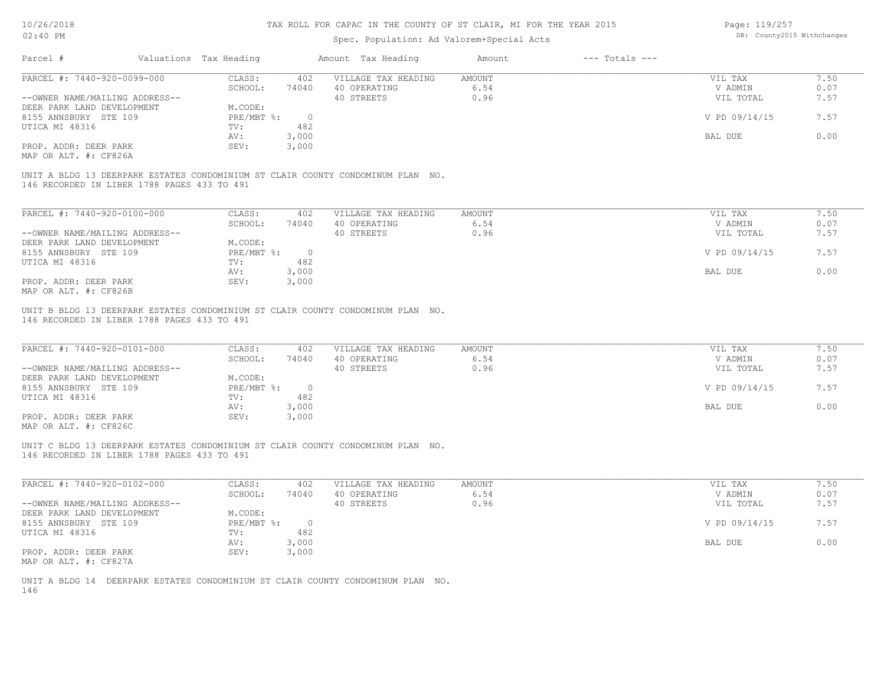Page: 119/257

| $02:40$ PM                                     |                                             |                        |                | Spec. Population: Ad Valorem+Special Acts                                       |               |                    |                | DB: County2015 Withchanges |
|------------------------------------------------|---------------------------------------------|------------------------|----------------|---------------------------------------------------------------------------------|---------------|--------------------|----------------|----------------------------|
| Parcel #                                       |                                             | Valuations Tax Heading |                | Amount Tax Heading                                                              | Amount        | $---$ Totals $---$ |                |                            |
| PARCEL #: 7440-920-0099-000                    |                                             | CLASS:                 | 402            | VILLAGE TAX HEADING                                                             | <b>AMOUNT</b> |                    | VIL TAX        | 7.50                       |
|                                                |                                             | SCHOOL:                | 74040          | 40 OPERATING                                                                    | 6.54          |                    | V ADMIN        | 0.07                       |
|                                                | --OWNER NAME/MAILING ADDRESS--              |                        |                | 40 STREETS                                                                      | 0.96          |                    | VIL TOTAL      | 7.57                       |
| DEER PARK LAND DEVELOPMENT                     |                                             | M.CODE:                |                |                                                                                 |               |                    |                |                            |
| 8155 ANNSBURY STE 109                          |                                             | PRE/MBT %:             | $\overline{0}$ |                                                                                 |               |                    | V PD 09/14/15  | 7.57                       |
| UTICA MI 48316                                 |                                             | TV:                    | 482            |                                                                                 |               |                    |                |                            |
|                                                |                                             | AV:                    | 3,000          |                                                                                 |               |                    | <b>BAL DUE</b> | 0.00                       |
| PROP. ADDR: DEER PARK<br>MAP OR ALT. #: CF826A |                                             | SEV:                   | 3,000          |                                                                                 |               |                    |                |                            |
|                                                | 146 RECORDED IN LIBER 1788 PAGES 433 TO 491 |                        |                | UNIT A BLDG 13 DEERPARK ESTATES CONDOMINIUM ST CLAIR COUNTY CONDOMINUM PLAN NO. |               |                    |                |                            |
|                                                |                                             |                        |                |                                                                                 |               |                    |                |                            |
| PARCEL #: 7440-920-0100-000                    |                                             | CLASS:                 | 402            | VILLAGE TAX HEADING                                                             | <b>AMOUNT</b> |                    | VIL TAX        | 7.50                       |
|                                                |                                             | SCHOOL:                | 74040          | 40 OPERATING                                                                    | 6.54          |                    | V ADMIN        | 0.07                       |
|                                                | --OWNER NAME/MAILING ADDRESS--              |                        |                | 40 STREETS                                                                      | 0.96          |                    | VIL TOTAL      | 7.57                       |
| DEER PARK LAND DEVELOPMENT                     |                                             | M.CODE:                |                |                                                                                 |               |                    |                |                            |
| 8155 ANNSBURY STE 109                          |                                             | PRE/MBT %:             | $\overline{0}$ |                                                                                 |               |                    | V PD 09/14/15  | 7.57                       |
| UTICA MI 48316                                 |                                             | TV:                    | 482            |                                                                                 |               |                    |                |                            |
| PROP. ADDR: DEER PARK                          |                                             | AV:<br>SEV:            | 3,000<br>3,000 |                                                                                 |               |                    | BAL DUE        | 0.00                       |
| MAP OR ALT. #: CF826B                          |                                             |                        |                |                                                                                 |               |                    |                |                            |
|                                                |                                             |                        |                |                                                                                 |               |                    |                |                            |
|                                                |                                             |                        |                | UNIT B BLDG 13 DEERPARK ESTATES CONDOMINIUM ST CLAIR COUNTY CONDOMINUM PLAN NO. |               |                    |                |                            |
|                                                | 146 RECORDED IN LIBER 1788 PAGES 433 TO 491 |                        |                |                                                                                 |               |                    |                |                            |
| PARCEL #: 7440-920-0101-000                    |                                             | CLASS:                 | 402            | VILLAGE TAX HEADING                                                             | <b>AMOUNT</b> |                    | VIL TAX        | 7.50                       |
|                                                |                                             | SCHOOL:                | 74040          | 40 OPERATING                                                                    | 6.54          |                    | V ADMIN        | 0.07                       |
|                                                | --OWNER NAME/MAILING ADDRESS--              |                        |                | 40 STREETS                                                                      | 0.96          |                    | VIL TOTAL      | 7.57                       |
|                                                |                                             |                        |                |                                                                                 |               |                    |                |                            |

| DEER PARK LAND DEVELOPMENT | $1$ . $CODE:$ |            |               |      |
|----------------------------|---------------|------------|---------------|------|
| 8155 ANNSBURY STE 109      | $PRE/MBT$ %:  | $\bigcirc$ | V PD 09/14/15 |      |
| UTICA MI 48316             | TV:           | 482        |               |      |
|                            | AV:           | 000,       | BAL DUE       | 0.00 |
| PROP. ADDR: DEER PARK      | SEV:          | 3,000      |               |      |
| MAP OR ALT. #: CF826C      |               |            |               |      |

146 RECORDED IN LIBER 1788 PAGES 433 TO 491 UNIT C BLDG 13 DEERPARK ESTATES CONDOMINIUM ST CLAIR COUNTY CONDOMINUM PLAN NO.

| PARCEL #: 7440-920-0102-000    | CLASS:       | 402   | VILLAGE TAX HEADING | AMOUNT | VIL TAX       | 1.50 |
|--------------------------------|--------------|-------|---------------------|--------|---------------|------|
|                                | SCHOOL:      | 74040 | 40 OPERATING        | 6.54   | V ADMIN       | 0.07 |
| --OWNER NAME/MAILING ADDRESS-- |              |       | 40 STREETS          | 0.96   | VIL TOTAL     | 7.57 |
| DEER PARK LAND DEVELOPMENT     | M.CODE:      |       |                     |        |               |      |
| 8155 ANNSBURY STE 109          | $PRE/MBT$ %: |       |                     |        | V PD 09/14/15 | 7.57 |
| UTICA MI 48316                 | TV:          | 482   |                     |        |               |      |
|                                | AV:          | 3,000 |                     |        | BAL DUE       | 0.00 |
| PROP. ADDR: DEER PARK          | SEV:         | 3,000 |                     |        |               |      |
| MAP OR ALT. #: CF827A          |              |       |                     |        |               |      |

146 UNIT A BLDG 14 DEERPARK ESTATES CONDOMINIUM ST CLAIR COUNTY CONDOMINUM PLAN NO.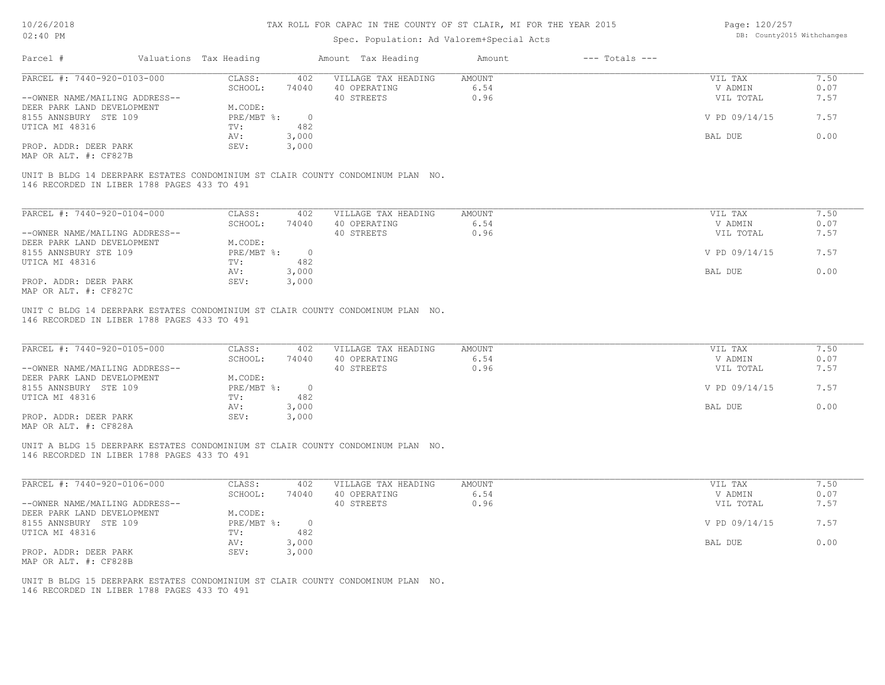### Spec. Population: Ad Valorem+Special Acts

Page: 120/257 DB: County2015 Withchanges

| Parcel #                                    | Valuations Tax Heading |            | Amount Tax Heading                                                              | Amount | $---$ Totals $---$ |               |      |
|---------------------------------------------|------------------------|------------|---------------------------------------------------------------------------------|--------|--------------------|---------------|------|
| PARCEL #: 7440-920-0103-000                 | CLASS:                 | 402        | VILLAGE TAX HEADING                                                             | AMOUNT |                    | VIL TAX       | 7.50 |
|                                             | SCHOOL:                | 74040      | 40 OPERATING                                                                    | 6.54   |                    | V ADMIN       | 0.07 |
| --OWNER NAME/MAILING ADDRESS--              |                        |            | 40 STREETS                                                                      | 0.96   |                    | VIL TOTAL     | 7.57 |
| DEER PARK LAND DEVELOPMENT                  | M.CODE:                |            |                                                                                 |        |                    |               |      |
| 8155 ANNSBURY STE 109                       | PRE/MBT %:             | $\bigcirc$ |                                                                                 |        |                    | V PD 09/14/15 | 7.57 |
| UTICA MI 48316                              | TV:                    | 482        |                                                                                 |        |                    |               |      |
|                                             | AV:                    | 3,000      |                                                                                 |        |                    | BAL DUE       | 0.00 |
| PROP. ADDR: DEER PARK                       | SEV:                   | 3,000      |                                                                                 |        |                    |               |      |
| MAP OR ALT. #: CF827B                       |                        |            |                                                                                 |        |                    |               |      |
| 146 RECORDED IN LIBER 1788 PAGES 433 TO 491 |                        |            | UNIT B BLDG 14 DEERPARK ESTATES CONDOMINIUM ST CLAIR COUNTY CONDOMINUM PLAN NO. |        |                    |               |      |
|                                             |                        |            |                                                                                 |        |                    |               |      |
| PARCEL #: 7440-920-0104-000                 | CLASS:                 | 402        | VILLAGE TAX HEADING                                                             | AMOUNT |                    | VIL TAX       | 7.50 |
|                                             | SCHOOL:                | 74040      | 40 OPERATING                                                                    | 6.54   |                    | V ADMIN       | 0.07 |

|                                | SCHOOL:    | 74040 | 40 OPERATING | 6.54 | V ADMIN       | 0.07 |
|--------------------------------|------------|-------|--------------|------|---------------|------|
| --OWNER NAME/MAILING ADDRESS-- |            |       | 40 STREETS   | 0.96 | VIL TOTAL     | 7.57 |
| DEER PARK LAND DEVELOPMENT     | M.CODE:    |       |              |      |               |      |
| 8155 ANNSBURY STE 109          | PRE/MBT %: |       |              |      | V PD 09/14/15 | 7.57 |
| UTICA MI 48316                 | TV:        | 482   |              |      |               |      |
|                                | AV:        | 3,000 |              |      | BAL DUE       | 0.00 |
| PROP. ADDR: DEER PARK          | SEV:       | 3,000 |              |      |               |      |
| MAP OR ALT. #: CF827C          |            |       |              |      |               |      |

146 RECORDED IN LIBER 1788 PAGES 433 TO 491 UNIT C BLDG 14 DEERPARK ESTATES CONDOMINIUM ST CLAIR COUNTY CONDOMINUM PLAN NO.

| PARCEL #: 7440-920-0105-000    | CLASS:       | 402   | VILLAGE TAX HEADING | AMOUNT | VIL TAX       | 7.50 |
|--------------------------------|--------------|-------|---------------------|--------|---------------|------|
|                                | SCHOOL:      | 74040 | 40 OPERATING        | 6.54   | V ADMIN       | 0.07 |
| --OWNER NAME/MAILING ADDRESS-- |              |       | 40 STREETS          | 0.96   | VIL TOTAL     | 7.57 |
| DEER PARK LAND DEVELOPMENT     | M.CODE:      |       |                     |        |               |      |
| 8155 ANNSBURY STE 109          | $PRE/MBT$ %: |       |                     |        | V PD 09/14/15 | 7.57 |
| UTICA MI 48316                 | TV:          | 482   |                     |        |               |      |
|                                | AV:          | 3,000 |                     |        | BAL DUE       | 0.00 |
| PROP. ADDR: DEER PARK          | SEV:         | 3,000 |                     |        |               |      |
| MAP OR ALT. #: CF828A          |              |       |                     |        |               |      |

146 RECORDED IN LIBER 1788 PAGES 433 TO 491 UNIT A BLDG 15 DEERPARK ESTATES CONDOMINIUM ST CLAIR COUNTY CONDOMINUM PLAN NO.

| PARCEL #: 7440-920-0106-000    | CLASS:       | 402   | VILLAGE TAX HEADING | AMOUNT | VIL TAX       | 1.50 |
|--------------------------------|--------------|-------|---------------------|--------|---------------|------|
|                                | SCHOOL:      | 74040 | 40 OPERATING        | 6.54   | V ADMIN       | 0.07 |
| --OWNER NAME/MAILING ADDRESS-- |              |       | 40 STREETS          | 0.96   | VIL TOTAL     | 7.57 |
| DEER PARK LAND DEVELOPMENT     | M.CODE:      |       |                     |        |               |      |
| 8155 ANNSBURY STE 109          | $PRE/MBT$ %: |       |                     |        | V PD 09/14/15 | 7.57 |
| UTICA MI 48316                 | TV:          | 482   |                     |        |               |      |
|                                | AV:          | 3,000 |                     |        | BAL DUE       | 0.00 |
| PROP. ADDR: DEER PARK          | SEV:         | 3,000 |                     |        |               |      |
| MAP OR ALT. #: CF828B          |              |       |                     |        |               |      |

146 RECORDED IN LIBER 1788 PAGES 433 TO 491 UNIT B BLDG 15 DEERPARK ESTATES CONDOMINIUM ST CLAIR COUNTY CONDOMINUM PLAN NO.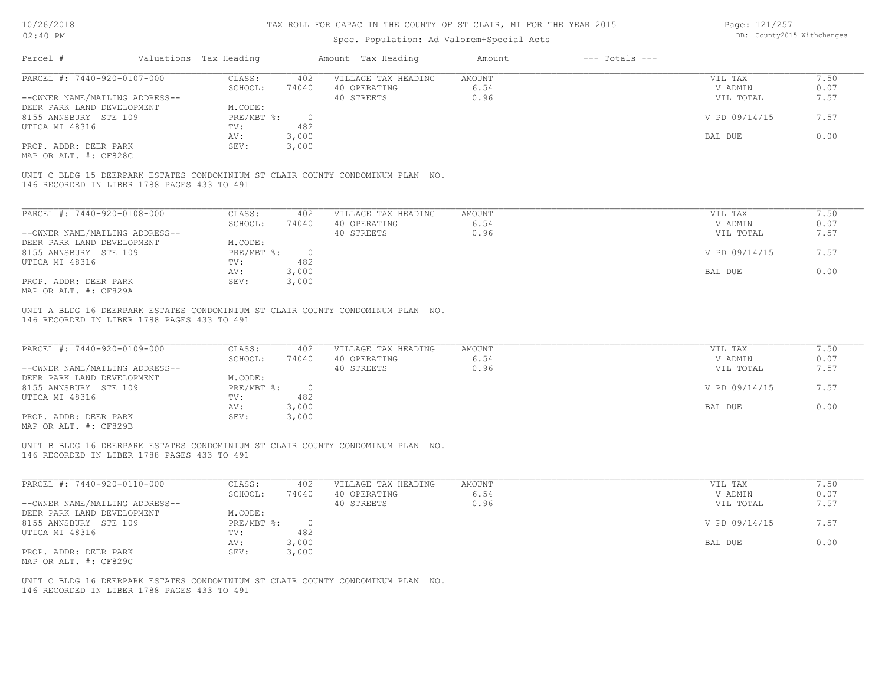# Spec. Population: Ad Valorem+Special Acts

Page: 121/257 DB: County2015 Withchanges

| Parcel #                                                                                                                                                | Valuations Tax Heading |                | Amount Tax Heading  | Amount        | $---$ Totals $---$ |               |      |
|---------------------------------------------------------------------------------------------------------------------------------------------------------|------------------------|----------------|---------------------|---------------|--------------------|---------------|------|
|                                                                                                                                                         |                        |                |                     |               |                    |               |      |
| PARCEL #: 7440-920-0107-000                                                                                                                             | CLASS:                 | 402            | VILLAGE TAX HEADING | AMOUNT        |                    | VIL TAX       | 7.50 |
|                                                                                                                                                         | SCHOOL:                | 74040          | 40 OPERATING        | 6.54          |                    | V ADMIN       | 0.07 |
| --OWNER NAME/MAILING ADDRESS--                                                                                                                          |                        |                | 40 STREETS          | 0.96          |                    | VIL TOTAL     | 7.57 |
| DEER PARK LAND DEVELOPMENT                                                                                                                              | M.CODE:                |                |                     |               |                    |               |      |
| 8155 ANNSBURY STE 109                                                                                                                                   | PRE/MBT %:             | $\overline{0}$ |                     |               |                    | V PD 09/14/15 | 7.57 |
| UTICA MI 48316                                                                                                                                          | TV:                    | 482            |                     |               |                    |               |      |
|                                                                                                                                                         | AV:                    | 3,000          |                     |               |                    | BAL DUE       | 0.00 |
|                                                                                                                                                         |                        |                |                     |               |                    |               |      |
| PROP. ADDR: DEER PARK                                                                                                                                   | SEV:                   | 3,000          |                     |               |                    |               |      |
| MAP OR ALT. #: CF828C<br>UNIT C BLDG 15 DEERPARK ESTATES CONDOMINIUM ST CLAIR COUNTY CONDOMINUM PLAN NO.<br>146 RECORDED IN LIBER 1788 PAGES 433 TO 491 |                        |                |                     |               |                    |               |      |
| PARCEL #: 7440-920-0108-000                                                                                                                             | CLASS:                 | 402            | VILLAGE TAX HEADING | <b>AMOUNT</b> |                    | VIL TAX       | 7.50 |
|                                                                                                                                                         | SCHOOL:                | 74040          | 40 OPERATING        | 6.54          |                    | V ADMIN       | 0.07 |
| --OWNER NAME/MAILING ADDRESS--                                                                                                                          |                        |                | 40 STREETS          | 0.96          |                    | VIL TOTAL     | 7.57 |
| DEER PARK LAND DEVELOPMENT                                                                                                                              | M.CODE:                |                |                     |               |                    |               |      |
| 8155 ANNSBURY STE 109                                                                                                                                   | PRE/MBT %:             | $\overline{0}$ |                     |               |                    | V PD 09/14/15 | 7.57 |
| UTICA MI 48316                                                                                                                                          | TV:                    | 482            |                     |               |                    |               |      |
|                                                                                                                                                         | AV:                    | 3,000          |                     |               |                    | BAL DUE       | 0.00 |
| PROP. ADDR: DEER PARK                                                                                                                                   | SEV:                   | 3,000          |                     |               |                    |               |      |

| PARCEL #: 7440-920-0109-000    | CLASS:     | 402   | VILLAGE TAX HEADING | AMOUNT | VIL TAX       | 7.50 |
|--------------------------------|------------|-------|---------------------|--------|---------------|------|
|                                | SCHOOL:    | 74040 | 40 OPERATING        | 6.54   | V ADMIN       | 0.07 |
| --OWNER NAME/MAILING ADDRESS-- |            |       | 40 STREETS          | 0.96   | VIL TOTAL     | 7.57 |
| DEER PARK LAND DEVELOPMENT     | M.CODE:    |       |                     |        |               |      |
| 8155 ANNSBURY STE 109          | PRE/MBT %: |       |                     |        | V PD 09/14/15 | 7.57 |
| UTICA MI 48316                 | TV:        | 482   |                     |        |               |      |
|                                | AV:        | 3,000 |                     |        | BAL DUE       | 0.00 |
| PROP. ADDR: DEER PARK          | SEV:       | 3,000 |                     |        |               |      |
| MAP OR ALT. #: CF829B          |            |       |                     |        |               |      |

146 RECORDED IN LIBER 1788 PAGES 433 TO 491 UNIT B BLDG 16 DEERPARK ESTATES CONDOMINIUM ST CLAIR COUNTY CONDOMINUM PLAN NO.

| PARCEL #: 7440-920-0110-000    | CLASS:     | 402   | VILLAGE TAX HEADING | AMOUNT | VIL TAX       | 7.50 |
|--------------------------------|------------|-------|---------------------|--------|---------------|------|
|                                | SCHOOL:    | 74040 | 40 OPERATING        | 6.54   | V ADMIN       | 0.07 |
| --OWNER NAME/MAILING ADDRESS-- |            |       | 40 STREETS          | 0.96   | VIL TOTAL     | 7.57 |
| DEER PARK LAND DEVELOPMENT     | M.CODE:    |       |                     |        |               |      |
| 8155 ANNSBURY STE 109          | PRE/MBT %: |       |                     |        | V PD 09/14/15 | 7.57 |
| UTICA MI 48316                 | TV:        | 482   |                     |        |               |      |
|                                | AV:        | 3,000 |                     |        | BAL DUE       | 0.00 |
| PROP. ADDR: DEER PARK          | SEV:       | 3,000 |                     |        |               |      |
| MAP OR ALT. #: CF829C          |            |       |                     |        |               |      |

 $\mathcal{L}_\mathcal{L} = \mathcal{L}_\mathcal{L} = \mathcal{L}_\mathcal{L} = \mathcal{L}_\mathcal{L} = \mathcal{L}_\mathcal{L} = \mathcal{L}_\mathcal{L} = \mathcal{L}_\mathcal{L} = \mathcal{L}_\mathcal{L} = \mathcal{L}_\mathcal{L} = \mathcal{L}_\mathcal{L} = \mathcal{L}_\mathcal{L} = \mathcal{L}_\mathcal{L} = \mathcal{L}_\mathcal{L} = \mathcal{L}_\mathcal{L} = \mathcal{L}_\mathcal{L} = \mathcal{L}_\mathcal{L} = \mathcal{L}_\mathcal{L}$ 

146 RECORDED IN LIBER 1788 PAGES 433 TO 491 UNIT C BLDG 16 DEERPARK ESTATES CONDOMINIUM ST CLAIR COUNTY CONDOMINUM PLAN NO.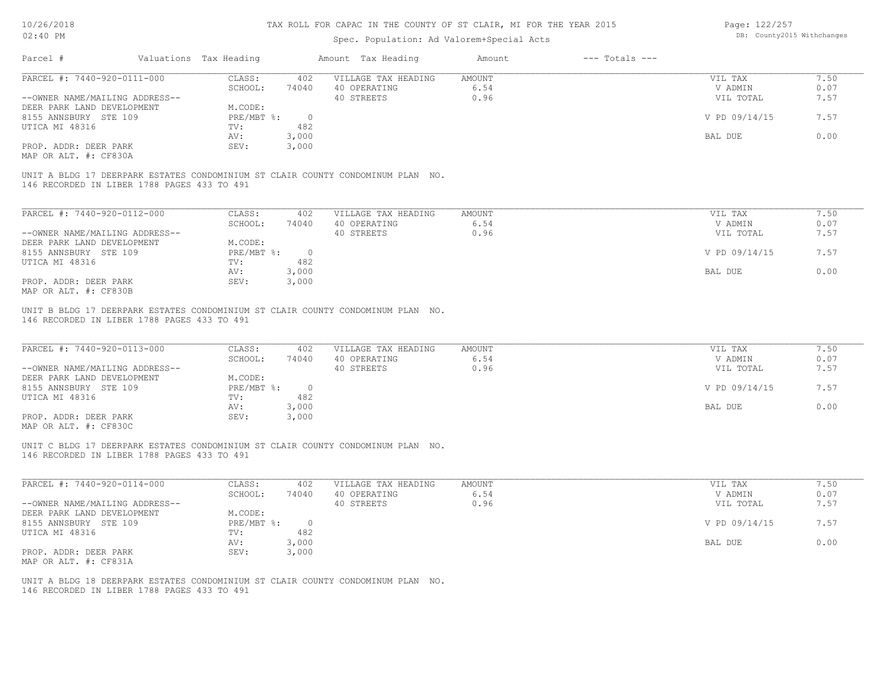| 10/26/2018                                     |                        |                | TAX ROLL FOR CAPAC IN THE COUNTY OF ST CLAIR, MI FOR THE YEAR 2015              |               |                    | Page: 122/257              |      |
|------------------------------------------------|------------------------|----------------|---------------------------------------------------------------------------------|---------------|--------------------|----------------------------|------|
| 02:40 PM                                       |                        |                | Spec. Population: Ad Valorem+Special Acts                                       |               |                    | DB: County2015 Withchanges |      |
| Parcel #                                       | Valuations Tax Heading |                | Amount Tax Heading                                                              | Amount        | $---$ Totals $---$ |                            |      |
| PARCEL #: 7440-920-0111-000                    | CLASS:                 | 402            | VILLAGE TAX HEADING                                                             | AMOUNT        |                    | VIL TAX                    | 7.50 |
|                                                | SCHOOL:                | 74040          | 40 OPERATING                                                                    | 6.54          |                    | V ADMIN                    | 0.07 |
| --OWNER NAME/MAILING ADDRESS--                 |                        |                | 40 STREETS                                                                      | 0.96          |                    | VIL TOTAL                  | 7.57 |
| DEER PARK LAND DEVELOPMENT                     | M.CODE:                |                |                                                                                 |               |                    |                            |      |
| 8155 ANNSBURY STE 109                          | $PRE/MBT$ $\div$       | $\overline{0}$ |                                                                                 |               |                    | V PD 09/14/15              | 7.57 |
| UTICA MI 48316                                 | TV:                    | 482            |                                                                                 |               |                    |                            |      |
|                                                | AV:                    | 3,000          |                                                                                 |               |                    | BAL DUE                    | 0.00 |
| PROP. ADDR: DEER PARK<br>MAP OR ALT. #: CF830A | SEV:                   | 3,000          |                                                                                 |               |                    |                            |      |
| 146 RECORDED IN LIBER 1788 PAGES 433 TO 491    |                        |                | UNIT A BLDG 17 DEERPARK ESTATES CONDOMINIUM ST CLAIR COUNTY CONDOMINUM PLAN NO. |               |                    |                            |      |
| PARCEL #: 7440-920-0112-000                    | CLASS:                 | 402            | VILLAGE TAX HEADING                                                             | <b>AMOUNT</b> |                    | VIL TAX                    | 7.50 |
|                                                | SCHOOL:                | 74040          | 40 OPERATING                                                                    | 6.54          |                    | V ADMIN                    | 0.07 |
| --OWNER NAME/MAILING ADDRESS--                 |                        |                | 40 STREETS                                                                      | 0.96          |                    | VIL TOTAL                  | 7.57 |
| DEER PARK LAND DEVELOPMENT                     | M.CODE:                |                |                                                                                 |               |                    |                            |      |
| 8155 ANNSBURY STE 109                          | $PRE/MBT$ $\div$       | $\overline{0}$ |                                                                                 |               |                    | V PD 09/14/15              | 7.57 |
|                                                |                        | 482            |                                                                                 |               |                    |                            |      |
| UTICA MI 48316                                 | TV:                    |                |                                                                                 |               |                    |                            |      |
|                                                | AV:                    | 3,000          |                                                                                 |               |                    | BAL DUE                    | 0.00 |
| PROP. ADDR: DEER PARK                          | SEV:                   | 3,000          |                                                                                 |               |                    |                            |      |
| MAP OR ALT. #: CF830B                          |                        |                |                                                                                 |               |                    |                            |      |
| 146 RECORDED IN LIBER 1788 PAGES 433 TO 491    |                        |                | UNIT B BLDG 17 DEERPARK ESTATES CONDOMINIUM ST CLAIR COUNTY CONDOMINUM PLAN NO. |               |                    |                            |      |
| PARCEL #: 7440-920-0113-000                    | CLASS:                 | 402            | VILLAGE TAX HEADING                                                             | AMOUNT        |                    | VIL TAX                    | 7.50 |
|                                                | SCHOOL:                | 74040          | 40 OPERATING                                                                    | 6.54          |                    | V ADMIN                    | 0.07 |
| --OWNER NAME/MAILING ADDRESS--                 |                        |                | 40 STREETS                                                                      | 0.96          |                    | VIL TOTAL                  | 7.57 |
| DEER PARK LAND DEVELOPMENT                     | M.CODE:                |                |                                                                                 |               |                    |                            |      |
| 8155 ANNSBURY STE 109                          | $PRE/MBT$ $\div$       | $\overline{0}$ |                                                                                 |               |                    | V PD 09/14/15              | 7.57 |
| UTICA MI 48316                                 | TV:                    | 482            |                                                                                 |               |                    |                            |      |
|                                                |                        | 3,000          |                                                                                 |               |                    | BAL DUE                    | 0.00 |
|                                                | AV:                    |                |                                                                                 |               |                    |                            |      |
| PROP. ADDR: DEER PARK<br>MAP OR ALT. #: CF830C | SEV:                   | 3,000          |                                                                                 |               |                    |                            |      |
| 146 RECORDED IN LIBER 1788 PAGES 433 TO 491    |                        |                | UNIT C BLDG 17 DEERPARK ESTATES CONDOMINIUM ST CLAIR COUNTY CONDOMINUM PLAN NO. |               |                    |                            |      |

| PARCEL #: 7440-920-0114-000    | CLASS:       | 402   | VILLAGE TAX HEADING | AMOUNT | VIL TAX       | 7.50 |
|--------------------------------|--------------|-------|---------------------|--------|---------------|------|
|                                | SCHOOL:      | 74040 | 40 OPERATING        | 6.54   | V ADMIN       | 0.07 |
| --OWNER NAME/MAILING ADDRESS-- |              |       | 40 STREETS          | 0.96   | VIL TOTAL     | 7.57 |
| DEER PARK LAND DEVELOPMENT     | M.CODE:      |       |                     |        |               |      |
| 8155 ANNSBURY STE 109          | $PRE/MBT$ %: |       |                     |        | V PD 09/14/15 | 7.57 |
| UTICA MI 48316                 | TV:          | 482   |                     |        |               |      |
|                                | AV:          | 3,000 |                     |        | BAL DUE       | 0.00 |
| PROP. ADDR: DEER PARK          | SEV:         | 3,000 |                     |        |               |      |
| MAP OR ALT. #: CF831A          |              |       |                     |        |               |      |

 $\mathcal{L}_\mathcal{L} = \mathcal{L}_\mathcal{L} = \mathcal{L}_\mathcal{L} = \mathcal{L}_\mathcal{L} = \mathcal{L}_\mathcal{L} = \mathcal{L}_\mathcal{L} = \mathcal{L}_\mathcal{L} = \mathcal{L}_\mathcal{L} = \mathcal{L}_\mathcal{L} = \mathcal{L}_\mathcal{L} = \mathcal{L}_\mathcal{L} = \mathcal{L}_\mathcal{L} = \mathcal{L}_\mathcal{L} = \mathcal{L}_\mathcal{L} = \mathcal{L}_\mathcal{L} = \mathcal{L}_\mathcal{L} = \mathcal{L}_\mathcal{L}$ 

146 RECORDED IN LIBER 1788 PAGES 433 TO 491 UNIT A BLDG 18 DEERPARK ESTATES CONDOMINIUM ST CLAIR COUNTY CONDOMINUM PLAN NO.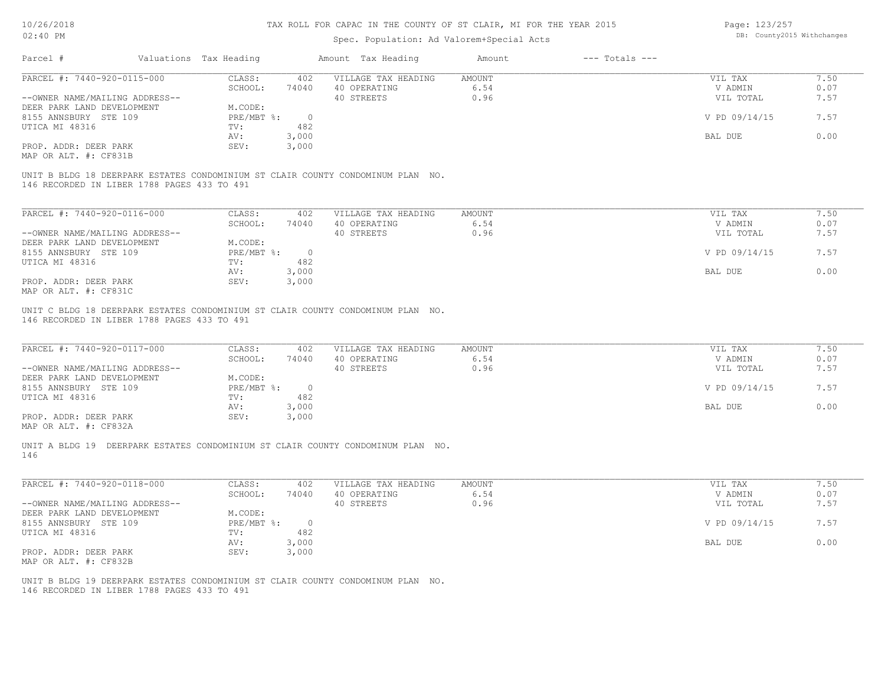| 10/26/2018<br>02:40 PM                                                                 |                                    | TAX ROLL FOR CAPAC IN THE COUNTY OF ST CLAIR, MI FOR THE YEAR 2015 |                       |                    | Page: 123/257<br>DB: County2015 Withchanges |              |
|----------------------------------------------------------------------------------------|------------------------------------|--------------------------------------------------------------------|-----------------------|--------------------|---------------------------------------------|--------------|
|                                                                                        |                                    | Spec. Population: Ad Valorem+Special Acts                          |                       |                    |                                             |              |
| Parcel #                                                                               | Valuations Tax Heading             | Amount Tax Heading                                                 | Amount                | $---$ Totals $---$ |                                             |              |
| PARCEL #: 7440-920-0115-000                                                            | CLASS:<br>402                      | VILLAGE TAX HEADING                                                | <b>AMOUNT</b>         |                    | VIL TAX                                     | 7.50         |
|                                                                                        | SCHOOL:<br>74040                   | 40 OPERATING                                                       | 6.54                  |                    | V ADMIN                                     | 0.07         |
| --OWNER NAME/MAILING ADDRESS--                                                         |                                    | 40 STREETS                                                         | 0.96                  |                    | VIL TOTAL                                   | 7.57         |
| DEER PARK LAND DEVELOPMENT                                                             | M.CODE:                            |                                                                    |                       |                    |                                             |              |
| 8155 ANNSBURY STE 109<br>UTICA MI 48316                                                | PRE/MBT %:<br>482<br>TV:           | $\overline{0}$                                                     |                       |                    | V PD 09/14/15                               | 7.57         |
|                                                                                        | 3,000<br>AV:                       |                                                                    |                       |                    | <b>BAL DUE</b>                              | 0.00         |
| PROP. ADDR: DEER PARK                                                                  | SEV:<br>3,000                      |                                                                    |                       |                    |                                             |              |
| MAP OR ALT. #: CF831B                                                                  |                                    |                                                                    |                       |                    |                                             |              |
| UNIT B BLDG 18 DEERPARK ESTATES CONDOMINIUM ST CLAIR COUNTY CONDOMINUM PLAN NO.        |                                    |                                                                    |                       |                    |                                             |              |
| 146 RECORDED IN LIBER 1788 PAGES 433 TO 491                                            |                                    |                                                                    |                       |                    |                                             |              |
|                                                                                        |                                    |                                                                    |                       |                    |                                             |              |
| PARCEL #: 7440-920-0116-000                                                            | CLASS:<br>402                      | VILLAGE TAX HEADING                                                | <b>AMOUNT</b>         |                    | VIL TAX                                     | 7.50         |
|                                                                                        | SCHOOL:<br>74040                   | 40 OPERATING                                                       | 6.54                  |                    | V ADMIN                                     | 0.07         |
| --OWNER NAME/MAILING ADDRESS--                                                         |                                    | 40 STREETS                                                         | 0.96                  |                    | VIL TOTAL                                   | 7.57         |
| DEER PARK LAND DEVELOPMENT                                                             | M.CODE:                            |                                                                    |                       |                    |                                             |              |
| 8155 ANNSBURY STE 109                                                                  | PRE/MBT %:<br>$\overline{0}$       |                                                                    |                       |                    | V PD 09/14/15                               | 7.57         |
| UTICA MI 48316                                                                         | 482<br>TV:                         |                                                                    |                       |                    |                                             |              |
|                                                                                        | 3,000<br>AV:                       |                                                                    |                       |                    | BAL DUE                                     | 0.00         |
| PROP. ADDR: DEER PARK                                                                  | 3,000<br>SEV:                      |                                                                    |                       |                    |                                             |              |
| MAP OR ALT. #: CF831C                                                                  |                                    |                                                                    |                       |                    |                                             |              |
| UNIT C BLDG 18 DEERPARK ESTATES CONDOMINIUM ST CLAIR COUNTY CONDOMINUM PLAN NO.        |                                    |                                                                    |                       |                    |                                             |              |
| 146 RECORDED IN LIBER 1788 PAGES 433 TO 491                                            |                                    |                                                                    |                       |                    |                                             |              |
|                                                                                        |                                    |                                                                    |                       |                    |                                             |              |
| PARCEL #: 7440-920-0117-000                                                            | CLASS:<br>402                      | VILLAGE TAX HEADING                                                | AMOUNT                |                    | VIL TAX                                     | 7.50         |
|                                                                                        | SCHOOL:<br>74040                   | 40 OPERATING                                                       | 6.54                  |                    | V ADMIN                                     | 0.07         |
| --OWNER NAME/MAILING ADDRESS--                                                         |                                    | 40 STREETS                                                         | 0.96                  |                    | VIL TOTAL                                   | 7.57         |
| DEER PARK LAND DEVELOPMENT                                                             | M.CODE:                            |                                                                    |                       |                    |                                             |              |
| 8155 ANNSBURY STE 109                                                                  | $PRE/MBT$ $\div$<br>$\overline{0}$ |                                                                    |                       |                    | V PD 09/14/15                               | 7.57         |
| UTICA MI 48316                                                                         | 482<br>TV:                         |                                                                    |                       |                    | BAL DUE                                     | 0.00         |
| PROP. ADDR: DEER PARK                                                                  | 3,000<br>AV:<br>3,000<br>SEV:      |                                                                    |                       |                    |                                             |              |
| MAP OR ALT. #: CF832A                                                                  |                                    |                                                                    |                       |                    |                                             |              |
|                                                                                        |                                    |                                                                    |                       |                    |                                             |              |
| UNIT A BLDG 19 DEERPARK ESTATES CONDOMINIUM ST CLAIR COUNTY CONDOMINUM PLAN NO.<br>146 |                                    |                                                                    |                       |                    |                                             |              |
|                                                                                        |                                    |                                                                    |                       |                    |                                             |              |
| PARCEL #: 7440-920-0118-000                                                            |                                    |                                                                    |                       |                    |                                             |              |
|                                                                                        | CLASS:<br>402<br>SCHOOL:<br>74040  | VILLAGE TAX HEADING<br>40 OPERATING                                | <b>AMOUNT</b><br>6.54 |                    | VIL TAX<br>V ADMIN                          | 7.50<br>0.07 |
| --OWNER NAME/MAILING ADDRESS--                                                         |                                    | 40 STREETS                                                         | 0.96                  |                    | VIL TOTAL                                   | 7.57         |
| DEER PARK LAND DEVELOPMENT                                                             | M.CODE:                            |                                                                    |                       |                    |                                             |              |
| 8155 ANNSBURY STE 109                                                                  | PRE/MBT %:                         | $\Omega$                                                           |                       |                    | V PD 09/14/15                               | 7.57         |
|                                                                                        |                                    |                                                                    |                       |                    |                                             |              |

BAL DUE 0.00

MAP OR ALT. #: CF832B PROP. ADDR: DEER PARK AV: 3,000<br>PROP. ADDR: DEER PARK SEV: 3,000

146 RECORDED IN LIBER 1788 PAGES 433 TO 491 UNIT B BLDG 19 DEERPARK ESTATES CONDOMINIUM ST CLAIR COUNTY CONDOMINUM PLAN NO.

UTICA MI 48316 TV: 482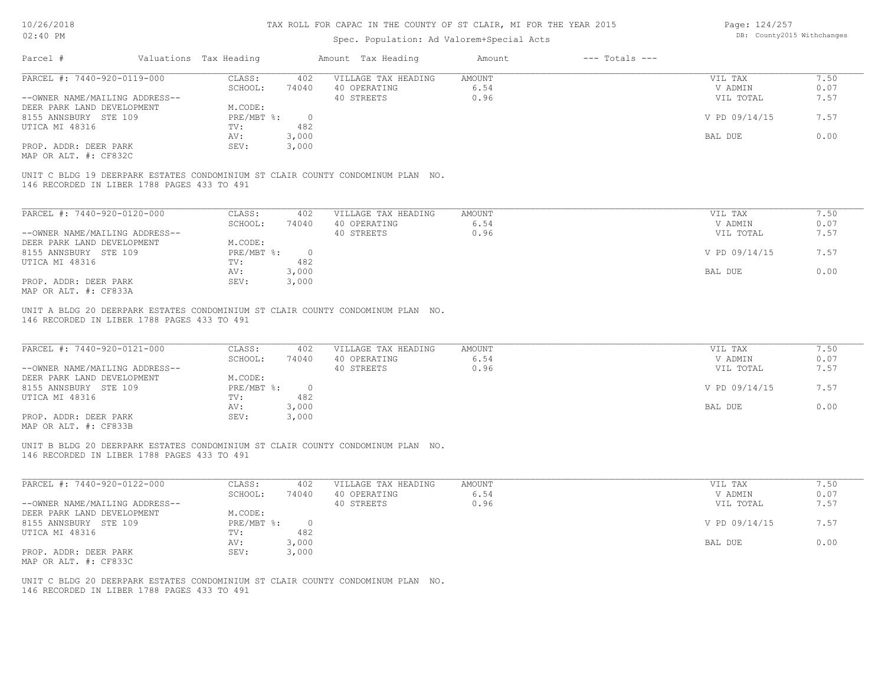### Spec. Population: Ad Valorem+Special Acts

Page: 124/257 DB: County2015 Withchanges

| PARCEL #: 7440-920-0119-000                                                                                                    | CLASS:<br>402    | VILLAGE TAX HEADING | AMOUNT | VIL TAX       | 7.50 |
|--------------------------------------------------------------------------------------------------------------------------------|------------------|---------------------|--------|---------------|------|
|                                                                                                                                | SCHOOL:<br>74040 | 40 OPERATING        | 6.54   | V ADMIN       | 0.07 |
| --OWNER NAME/MAILING ADDRESS--                                                                                                 |                  | 40 STREETS          | 0.96   | VIL TOTAL     | 7.57 |
| DEER PARK LAND DEVELOPMENT                                                                                                     | M.CODE:          |                     |        |               |      |
| 8155 ANNSBURY STE 109                                                                                                          | PRE/MBT %:       | $\overline{0}$      |        | V PD 09/14/15 | 7.57 |
| UTICA MI 48316                                                                                                                 | 482<br>TV:       |                     |        |               |      |
|                                                                                                                                | 3,000<br>AV:     |                     |        | BAL DUE       | 0.00 |
| PROP. ADDR: DEER PARK                                                                                                          | 3,000<br>SEV:    |                     |        |               |      |
| MAP OR ALT. #: CF832C                                                                                                          |                  |                     |        |               |      |
| UNIT C BLDG 19 DEERPARK ESTATES CONDOMINIUM ST CLAIR COUNTY CONDOMINUM PLAN NO.<br>146 RECORDED IN LIBER 1788 PAGES 433 TO 491 |                  |                     |        |               |      |
|                                                                                                                                |                  |                     |        |               |      |
| PARCEL #: 7440-920-0120-000                                                                                                    | CLASS:<br>402    | VILLAGE TAX HEADING | AMOUNT | VIL TAX       | 7.50 |
|                                                                                                                                | SCHOOL:<br>74040 | 40 OPERATING        | 6.54   | V ADMIN       | 0.07 |
| --OWNER NAME/MAILING ADDRESS--                                                                                                 |                  | 40 STREETS          | 0.96   | VIL TOTAL     | 7.57 |
| DEER PARK LAND DEVELOPMENT                                                                                                     | M.CODE:          |                     |        |               |      |
| 8155 ANNSBURY STE 109                                                                                                          | $PRE/MBT$ %:     | $\overline{0}$      |        | V PD 09/14/15 | 7.57 |
| UTICA MI 48316                                                                                                                 | 482<br>TV:       |                     |        |               |      |
|                                                                                                                                | 3,000<br>AV:     |                     |        | BAL DUE       | 0.00 |
| PROP. ADDR: DEER PARK<br>MAP OR ALT. #: CF833A                                                                                 | 3,000<br>SEV:    |                     |        |               |      |

146 RECORDED IN LIBER 1788 PAGES 433 TO 491 UNIT A BLDG 20 DEERPARK ESTATES CONDOMINIUM ST CLAIR COUNTY CONDOMINUM PLAN NO.

| PARCEL #: 7440-920-0121-000    | CLASS:     | 402   | VILLAGE TAX HEADING | AMOUNT | VIL TAX       | 7.50 |
|--------------------------------|------------|-------|---------------------|--------|---------------|------|
|                                | SCHOOL:    | 74040 | 40 OPERATING        | 6.54   | V ADMIN       | 0.07 |
| --OWNER NAME/MAILING ADDRESS-- |            |       | 40 STREETS          | 0.96   | VIL TOTAL     | 7.57 |
| DEER PARK LAND DEVELOPMENT     | M.CODE:    |       |                     |        |               |      |
| 8155 ANNSBURY STE 109          | PRE/MBT %: |       |                     |        | V PD 09/14/15 | 7.57 |
| UTICA MI 48316                 | TV:        | 482   |                     |        |               |      |
|                                | AV:        | 3,000 |                     |        | BAL DUE       | 0.00 |
| PROP. ADDR: DEER PARK          | SEV:       | 3,000 |                     |        |               |      |
| MAP OR ALT. #: CF833B          |            |       |                     |        |               |      |

 $\mathcal{L}_\mathcal{L} = \mathcal{L}_\mathcal{L} = \mathcal{L}_\mathcal{L} = \mathcal{L}_\mathcal{L} = \mathcal{L}_\mathcal{L} = \mathcal{L}_\mathcal{L} = \mathcal{L}_\mathcal{L} = \mathcal{L}_\mathcal{L} = \mathcal{L}_\mathcal{L} = \mathcal{L}_\mathcal{L} = \mathcal{L}_\mathcal{L} = \mathcal{L}_\mathcal{L} = \mathcal{L}_\mathcal{L} = \mathcal{L}_\mathcal{L} = \mathcal{L}_\mathcal{L} = \mathcal{L}_\mathcal{L} = \mathcal{L}_\mathcal{L}$ 

 $\mathcal{L}_\mathcal{L} = \mathcal{L}_\mathcal{L} = \mathcal{L}_\mathcal{L} = \mathcal{L}_\mathcal{L} = \mathcal{L}_\mathcal{L} = \mathcal{L}_\mathcal{L} = \mathcal{L}_\mathcal{L} = \mathcal{L}_\mathcal{L} = \mathcal{L}_\mathcal{L} = \mathcal{L}_\mathcal{L} = \mathcal{L}_\mathcal{L} = \mathcal{L}_\mathcal{L} = \mathcal{L}_\mathcal{L} = \mathcal{L}_\mathcal{L} = \mathcal{L}_\mathcal{L} = \mathcal{L}_\mathcal{L} = \mathcal{L}_\mathcal{L}$ 

146 RECORDED IN LIBER 1788 PAGES 433 TO 491 UNIT B BLDG 20 DEERPARK ESTATES CONDOMINIUM ST CLAIR COUNTY CONDOMINUM PLAN NO.

| PARCEL #: 7440-920-0122-000    | CLASS:     | 402   | VILLAGE TAX HEADING | AMOUNT | VIL TAX       | 7.50 |
|--------------------------------|------------|-------|---------------------|--------|---------------|------|
|                                | SCHOOL:    | 74040 | 40 OPERATING        | 6.54   | V ADMIN       | 0.07 |
| --OWNER NAME/MAILING ADDRESS-- |            |       | 40 STREETS          | 0.96   | VIL TOTAL     | 7.57 |
| DEER PARK LAND DEVELOPMENT     | M.CODE:    |       |                     |        |               |      |
| 8155 ANNSBURY STE 109          | PRE/MBT %: |       |                     |        | V PD 09/14/15 | 7.57 |
| UTICA MI 48316                 | TV:        | 482   |                     |        |               |      |
|                                | AV:        | 3,000 |                     |        | BAL DUE       | 0.00 |
| PROP. ADDR: DEER PARK          | SEV:       | 3,000 |                     |        |               |      |
| MAP OR ALT. #: CF833C          |            |       |                     |        |               |      |

146 RECORDED IN LIBER 1788 PAGES 433 TO 491 UNIT C BLDG 20 DEERPARK ESTATES CONDOMINIUM ST CLAIR COUNTY CONDOMINUM PLAN NO.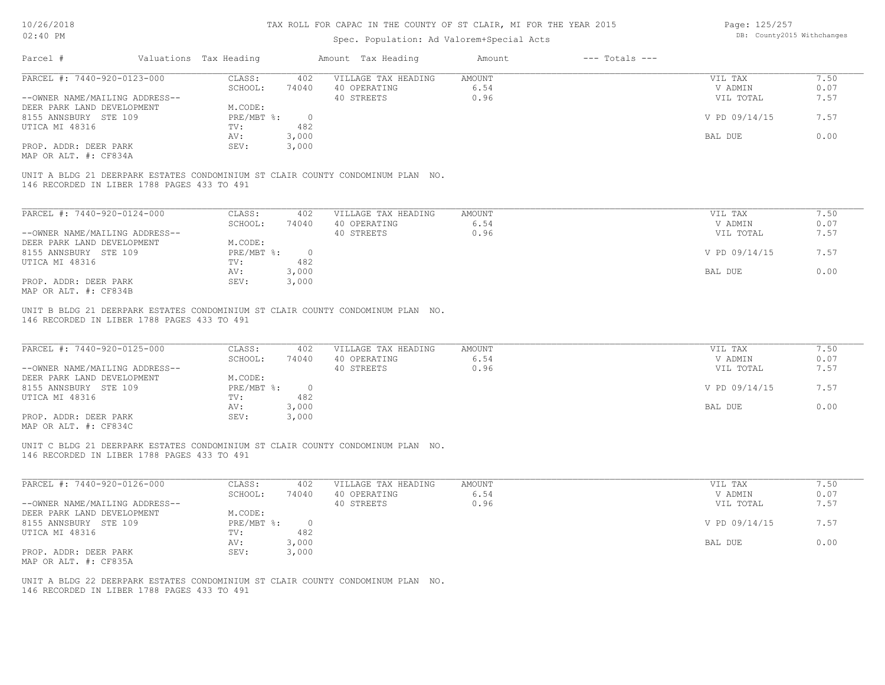### Spec. Population: Ad Valorem+Special Acts

Page: 125/257 DB: County2015 Withchanges

| Valuations Tax Heading<br>Parcel #          |                         | Amount Tax Heading  | $---$ Totals $---$<br>Amount |               |      |
|---------------------------------------------|-------------------------|---------------------|------------------------------|---------------|------|
| PARCEL #: 7440-920-0123-000                 | CLASS:<br>402           | VILLAGE TAX HEADING | AMOUNT                       | VIL TAX       | 7.50 |
|                                             | SCHOOL:<br>74040        | 40 OPERATING        | 6.54                         | V ADMIN       | 0.07 |
| --OWNER NAME/MAILING ADDRESS--              |                         | 40 STREETS          | 0.96                         | VIL TOTAL     | 7.57 |
| DEER PARK LAND DEVELOPMENT                  | M.CODE:                 |                     |                              |               |      |
| 8155 ANNSBURY STE 109                       | $PRE/MBT$ %:<br>$\circ$ |                     |                              | V PD 09/14/15 | 7.57 |
| UTICA MI 48316                              | 482<br>TV:              |                     |                              |               |      |
|                                             | 3,000<br>AV:            |                     |                              | BAL DUE       | 0.00 |
| PROP. ADDR: DEER PARK                       | 3,000<br>SEV:           |                     |                              |               |      |
| MAP OR ALT. #: CF834A                       |                         |                     |                              |               |      |
| 146 RECORDED IN LIBER 1788 PAGES 433 TO 491 |                         |                     |                              |               |      |
| PARCEL #: 7440-920-0124-000                 | CLASS:<br>402           | VILLAGE TAX HEADING | AMOUNT                       | VIL TAX       | 7.50 |
|                                             | SCHOOL:<br>74040        | 40 OPERATING        | 6.54                         | V ADMIN       | 0.07 |
| --OWNER NAME/MAILING ADDRESS--              |                         | 40 STREETS          | 0.96                         | VIL TOTAL     | 7.57 |
| DEER PARK LAND DEVELOPMENT                  | M.CODE:                 |                     |                              |               |      |
| 8155 ANNSBURY STE 109                       | PRE/MBT %:              | $\overline{0}$      |                              | V PD 09/14/15 | 7.57 |
| UTICA MI 48316                              | 482<br>TV:              |                     |                              |               |      |
|                                             | 3,000<br>AV:            |                     |                              | BAL DUE       | 0.00 |
| PROP. ADDR: DEER PARK                       | 3,000<br>SEV:           |                     |                              |               |      |
| MAP OR ALT. #: CF834B                       |                         |                     |                              |               |      |

146 RECORDED IN LIBER 1788 PAGES 433 TO 491 UNIT B BLDG 21 DEERPARK ESTATES CONDOMINIUM ST CLAIR COUNTY CONDOMINUM PLAN NO.

| PARCEL #: 7440-920-0125-000                  | CLASS:     | 402   | VILLAGE TAX HEADING | AMOUNT | VIL TAX       | 7.50 |
|----------------------------------------------|------------|-------|---------------------|--------|---------------|------|
|                                              | SCHOOL:    | 74040 | 40 OPERATING        | 6.54   | V ADMIN       | 0.07 |
| --OWNER NAME/MAILING ADDRESS--               |            |       | 40 STREETS          | 0.96   | VIL TOTAL     | 7.57 |
| DEER PARK LAND DEVELOPMENT                   | M.CODE:    |       |                     |        |               |      |
| 8155 ANNSBURY STE 109                        | PRE/MBT %: |       |                     |        | V PD 09/14/15 | 7.57 |
| UTICA MI 48316                               | TV:        | 482   |                     |        |               |      |
|                                              | AV:        | 3,000 |                     |        | BAL DUE       | 0.00 |
| PROP. ADDR: DEER PARK                        | SEV:       | 3,000 |                     |        |               |      |
| $\cdots$ $\cdots$ $\cdots$ $\cdots$ $\cdots$ |            |       |                     |        |               |      |

MAP OR ALT. #: CF834C

146 RECORDED IN LIBER 1788 PAGES 433 TO 491 UNIT C BLDG 21 DEERPARK ESTATES CONDOMINIUM ST CLAIR COUNTY CONDOMINUM PLAN NO.

| PARCEL #: 7440-920-0126-000    | CLASS:     | 402   | VILLAGE TAX HEADING | AMOUNT | VIL TAX       | 7.50 |
|--------------------------------|------------|-------|---------------------|--------|---------------|------|
|                                | SCHOOL:    | 74040 | 40 OPERATING        | 6.54   | V ADMIN       | 0.07 |
| --OWNER NAME/MAILING ADDRESS-- |            |       | 40 STREETS          | 0.96   | VIL TOTAL     | 7.57 |
| DEER PARK LAND DEVELOPMENT     | M.CODE:    |       |                     |        |               |      |
| 8155 ANNSBURY STE 109          | PRE/MBT %: |       |                     |        | V PD 09/14/15 | 7.57 |
| UTICA MI 48316                 | TV:        | 482   |                     |        |               |      |
|                                | AV:        | 3,000 |                     |        | BAL DUE       | 0.00 |
| PROP. ADDR: DEER PARK          | SEV:       | 3,000 |                     |        |               |      |
| MAP OR ALT. #: CF835A          |            |       |                     |        |               |      |

 $\mathcal{L}_\mathcal{L} = \mathcal{L}_\mathcal{L} = \mathcal{L}_\mathcal{L} = \mathcal{L}_\mathcal{L} = \mathcal{L}_\mathcal{L} = \mathcal{L}_\mathcal{L} = \mathcal{L}_\mathcal{L} = \mathcal{L}_\mathcal{L} = \mathcal{L}_\mathcal{L} = \mathcal{L}_\mathcal{L} = \mathcal{L}_\mathcal{L} = \mathcal{L}_\mathcal{L} = \mathcal{L}_\mathcal{L} = \mathcal{L}_\mathcal{L} = \mathcal{L}_\mathcal{L} = \mathcal{L}_\mathcal{L} = \mathcal{L}_\mathcal{L}$ 

146 RECORDED IN LIBER 1788 PAGES 433 TO 491 UNIT A BLDG 22 DEERPARK ESTATES CONDOMINIUM ST CLAIR COUNTY CONDOMINUM PLAN NO.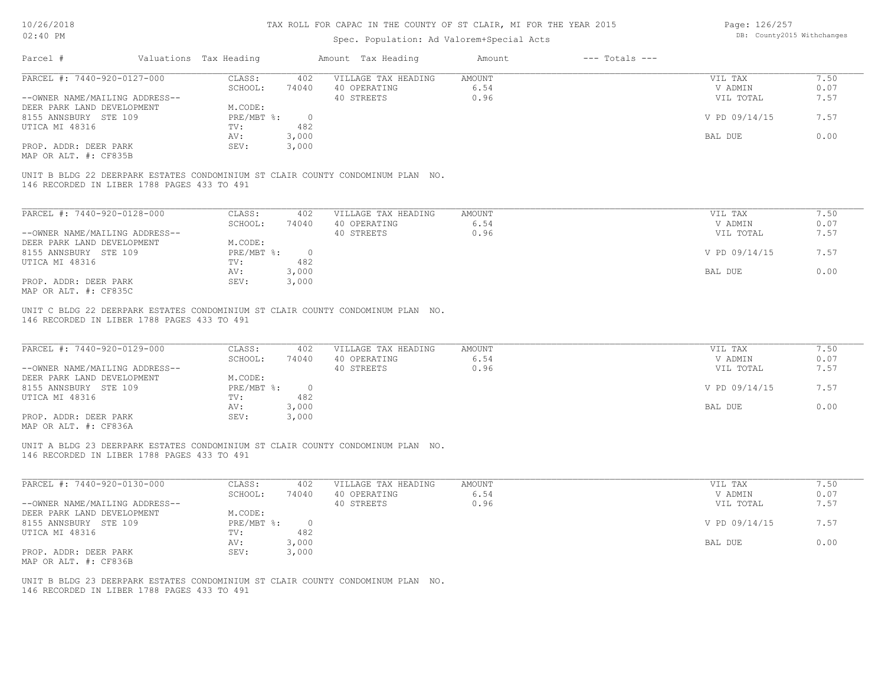### Spec. Population: Ad Valorem+Special Acts

Page: 126/257 DB: County2015 Withchanges

| Parcel #                                    | Valuations Tax Heading |                | Amount Tax Heading                                                              | Amount        | $---$ Totals $---$ |               |      |
|---------------------------------------------|------------------------|----------------|---------------------------------------------------------------------------------|---------------|--------------------|---------------|------|
| PARCEL #: 7440-920-0127-000                 | CLASS:                 | 402            | VILLAGE TAX HEADING                                                             | <b>AMOUNT</b> |                    | VIL TAX       | 7.50 |
|                                             | SCHOOL:                | 74040          | 40 OPERATING                                                                    | 6.54          |                    | V ADMIN       | 0.07 |
| --OWNER NAME/MAILING ADDRESS--              |                        |                | 40 STREETS                                                                      | 0.96          |                    | VIL TOTAL     | 7.57 |
| DEER PARK LAND DEVELOPMENT                  | M.CODE:                |                |                                                                                 |               |                    |               |      |
| 8155 ANNSBURY STE 109                       | $PRE/MBT$ %:           | $\overline{0}$ |                                                                                 |               |                    | V PD 09/14/15 | 7.57 |
| UTICA MI 48316                              | TV:                    | 482            |                                                                                 |               |                    |               |      |
|                                             | AV:                    | 3,000          |                                                                                 |               |                    | BAL DUE       | 0.00 |
| PROP. ADDR: DEER PARK                       | SEV:                   | 3,000          |                                                                                 |               |                    |               |      |
| MAP OR ALT. #: CF835B                       |                        |                |                                                                                 |               |                    |               |      |
|                                             |                        |                |                                                                                 |               |                    |               |      |
|                                             |                        |                | UNIT B BLDG 22 DEERPARK ESTATES CONDOMINIUM ST CLAIR COUNTY CONDOMINUM PLAN NO. |               |                    |               |      |
| 146 RECORDED IN LIBER 1788 PAGES 433 TO 491 |                        |                |                                                                                 |               |                    |               |      |
|                                             |                        |                |                                                                                 |               |                    |               |      |
| PARCEL #: 7440-920-0128-000                 | CLASS:                 | 402            | VILLAGE TAX HEADING                                                             | AMOUNT        |                    | VIL TAX       | 7.50 |
|                                             | SCHOOL:                | 74040          | 40 OPERATING                                                                    | 6.54          |                    | V ADMIN       | 0.07 |
| --OWNER NAME/MAILING ADDRESS--              |                        |                | 40 STREETS                                                                      | 0.96          |                    | VIL TOTAL     | 7.57 |
| DEER PARK LAND DEVELOPMENT                  | M.CODE:                |                |                                                                                 |               |                    |               |      |
| 8155 ANNSBURY STE 109                       | $PRE/MBT$ %:           | $\circ$        |                                                                                 |               |                    | V PD 09/14/15 | 7.57 |
| UTICA MI 48316                              | TV:                    | 482            |                                                                                 |               |                    |               |      |
|                                             | AV:                    | 3,000          |                                                                                 |               |                    | BAL DUE       | 0.00 |

MAP OR ALT. #: CF835C PROP. ADDR: DEER PARK SEV: 3,000

146 RECORDED IN LIBER 1788 PAGES 433 TO 491 UNIT C BLDG 22 DEERPARK ESTATES CONDOMINIUM ST CLAIR COUNTY CONDOMINUM PLAN NO.

| PARCEL #: 7440-920-0129-000    | CLASS:       | 402   | VILLAGE TAX HEADING | AMOUNT | VIL TAX       | 7.50 |
|--------------------------------|--------------|-------|---------------------|--------|---------------|------|
|                                | SCHOOL:      | 74040 | 40 OPERATING        | 6.54   | V ADMIN       | 0.07 |
| --OWNER NAME/MAILING ADDRESS-- |              |       | 40 STREETS          | 0.96   | VIL TOTAL     | 7.57 |
| DEER PARK LAND DEVELOPMENT     | M.CODE:      |       |                     |        |               |      |
| 8155 ANNSBURY STE 109          | $PRE/MBT$ %: |       |                     |        | V PD 09/14/15 | 7.57 |
| UTICA MI 48316                 | TV:          | 482   |                     |        |               |      |
|                                | AV:          | 3,000 |                     |        | BAL DUE       | 0.00 |
| PROP. ADDR: DEER PARK          | SEV:         | 3,000 |                     |        |               |      |
| ---- -- --- " ----             |              |       |                     |        |               |      |

 $\mathcal{L}_\mathcal{L} = \mathcal{L}_\mathcal{L} = \mathcal{L}_\mathcal{L} = \mathcal{L}_\mathcal{L} = \mathcal{L}_\mathcal{L} = \mathcal{L}_\mathcal{L} = \mathcal{L}_\mathcal{L} = \mathcal{L}_\mathcal{L} = \mathcal{L}_\mathcal{L} = \mathcal{L}_\mathcal{L} = \mathcal{L}_\mathcal{L} = \mathcal{L}_\mathcal{L} = \mathcal{L}_\mathcal{L} = \mathcal{L}_\mathcal{L} = \mathcal{L}_\mathcal{L} = \mathcal{L}_\mathcal{L} = \mathcal{L}_\mathcal{L}$ 

 $\mathcal{L}_\mathcal{L} = \mathcal{L}_\mathcal{L} = \mathcal{L}_\mathcal{L} = \mathcal{L}_\mathcal{L} = \mathcal{L}_\mathcal{L} = \mathcal{L}_\mathcal{L} = \mathcal{L}_\mathcal{L} = \mathcal{L}_\mathcal{L} = \mathcal{L}_\mathcal{L} = \mathcal{L}_\mathcal{L} = \mathcal{L}_\mathcal{L} = \mathcal{L}_\mathcal{L} = \mathcal{L}_\mathcal{L} = \mathcal{L}_\mathcal{L} = \mathcal{L}_\mathcal{L} = \mathcal{L}_\mathcal{L} = \mathcal{L}_\mathcal{L}$ 

AV: 3,000 BAL DUE 0.00

MAP OR ALT. #: CF836A

146 RECORDED IN LIBER 1788 PAGES 433 TO 491 UNIT A BLDG 23 DEERPARK ESTATES CONDOMINIUM ST CLAIR COUNTY CONDOMINUM PLAN NO.

| PARCEL #: 7440-920-0130-000    | CLASS:     | 402   | VILLAGE TAX HEADING | AMOUNT | VIL TAX       | 7.50 |
|--------------------------------|------------|-------|---------------------|--------|---------------|------|
|                                | SCHOOL:    | 74040 | 40 OPERATING        | 6.54   | V ADMIN       | 0.07 |
| --OWNER NAME/MAILING ADDRESS-- |            |       | 40 STREETS          | 0.96   | VIL TOTAL     | 7.57 |
| DEER PARK LAND DEVELOPMENT     | M.CODE:    |       |                     |        |               |      |
| 8155 ANNSBURY STE 109          | PRE/MBT %: |       |                     |        | V PD 09/14/15 | 7.57 |
| UTICA MI 48316                 | TV:        | 482   |                     |        |               |      |
|                                | AV:        | 3,000 |                     |        | BAL DUE       | 0.00 |
| PROP. ADDR: DEER PARK          | SEV:       | 3,000 |                     |        |               |      |
| MAP OR ALT. #: CF836B          |            |       |                     |        |               |      |

146 RECORDED IN LIBER 1788 PAGES 433 TO 491 UNIT B BLDG 23 DEERPARK ESTATES CONDOMINIUM ST CLAIR COUNTY CONDOMINUM PLAN NO.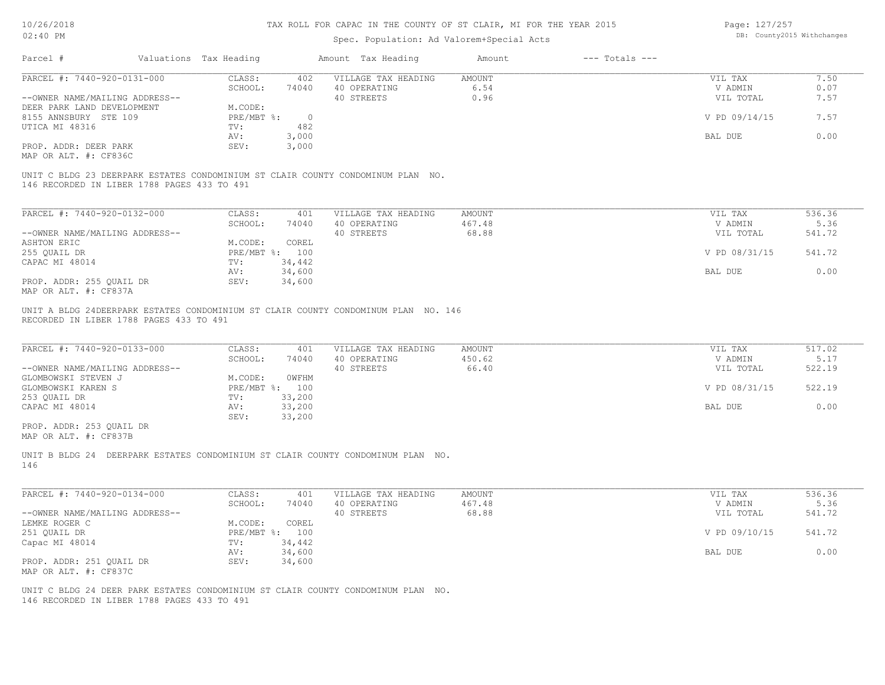| 10/26/2018                                                                         |                        | TAX ROLL FOR CAPAC IN THE COUNTY OF ST CLAIR, MI FOR THE YEAR 2015 | Page: 127/257                             |               |                    |                            |        |
|------------------------------------------------------------------------------------|------------------------|--------------------------------------------------------------------|-------------------------------------------|---------------|--------------------|----------------------------|--------|
| 02:40 PM                                                                           |                        |                                                                    | Spec. Population: Ad Valorem+Special Acts |               |                    | DB: County2015 Withchanges |        |
| Parcel #                                                                           | Valuations Tax Heading |                                                                    | Amount Tax Heading                        | Amount        | $---$ Totals $---$ |                            |        |
|                                                                                    |                        |                                                                    |                                           |               |                    |                            |        |
| PARCEL #: 7440-920-0131-000                                                        | CLASS:                 | 402                                                                | VILLAGE TAX HEADING                       | AMOUNT        |                    | VIL TAX                    | 7.50   |
|                                                                                    | SCHOOL:                | 74040                                                              | 40 OPERATING                              | 6.54          |                    | V ADMIN                    | 0.07   |
| --OWNER NAME/MAILING ADDRESS--                                                     |                        |                                                                    | 40 STREETS                                | 0.96          |                    | VIL TOTAL                  | 7.57   |
| DEER PARK LAND DEVELOPMENT                                                         | M.CODE:<br>PRE/MBT %:  | $\overline{0}$                                                     |                                           |               |                    | V PD 09/14/15              | 7.57   |
| 8155 ANNSBURY STE 109<br>UTICA MI 48316                                            | TV:                    | 482                                                                |                                           |               |                    |                            |        |
|                                                                                    | AV:                    | 3,000                                                              |                                           |               |                    | BAL DUE                    | 0.00   |
| PROP. ADDR: DEER PARK                                                              | SEV:                   | 3,000                                                              |                                           |               |                    |                            |        |
| MAP OR ALT. #: CF836C                                                              |                        |                                                                    |                                           |               |                    |                            |        |
|                                                                                    |                        |                                                                    |                                           |               |                    |                            |        |
| UNIT C BLDG 23 DEERPARK ESTATES CONDOMINIUM ST CLAIR COUNTY CONDOMINUM PLAN NO.    |                        |                                                                    |                                           |               |                    |                            |        |
| 146 RECORDED IN LIBER 1788 PAGES 433 TO 491                                        |                        |                                                                    |                                           |               |                    |                            |        |
|                                                                                    |                        |                                                                    |                                           |               |                    |                            |        |
|                                                                                    |                        |                                                                    |                                           |               |                    |                            |        |
| PARCEL #: 7440-920-0132-000                                                        | CLASS:                 | 401                                                                | VILLAGE TAX HEADING                       | AMOUNT        |                    | VIL TAX                    | 536.36 |
|                                                                                    | SCHOOL:                | 74040                                                              | 40 OPERATING                              | 467.48        |                    | V ADMIN                    | 5.36   |
| --OWNER NAME/MAILING ADDRESS--                                                     |                        |                                                                    | 40 STREETS                                | 68.88         |                    | VIL TOTAL                  | 541.72 |
| ASHTON ERIC                                                                        | M.CODE:                | COREL                                                              |                                           |               |                    |                            |        |
| 255 QUAIL DR                                                                       | PRE/MBT %: 100         |                                                                    |                                           |               |                    | V PD 08/31/15              | 541.72 |
| CAPAC MI 48014                                                                     | TV:                    | 34,442                                                             |                                           |               |                    |                            |        |
|                                                                                    | AV:                    | 34,600                                                             |                                           |               |                    | BAL DUE                    | 0.00   |
| PROP. ADDR: 255 QUAIL DR                                                           | SEV:                   | 34,600                                                             |                                           |               |                    |                            |        |
| MAP OR ALT. #: CF837A                                                              |                        |                                                                    |                                           |               |                    |                            |        |
| UNIT A BLDG 24DEERPARK ESTATES CONDOMINIUM ST CLAIR COUNTY CONDOMINUM PLAN NO. 146 |                        |                                                                    |                                           |               |                    |                            |        |
| RECORDED IN LIBER 1788 PAGES 433 TO 491                                            |                        |                                                                    |                                           |               |                    |                            |        |
|                                                                                    |                        |                                                                    |                                           |               |                    |                            |        |
|                                                                                    |                        |                                                                    |                                           |               |                    |                            |        |
| PARCEL #: 7440-920-0133-000                                                        | CLASS:                 | 401                                                                | VILLAGE TAX HEADING                       | <b>AMOUNT</b> |                    | VIL TAX                    | 517.02 |
|                                                                                    | SCHOOL:                | 74040                                                              | 40 OPERATING                              | 450.62        |                    | V ADMIN                    | 5.17   |
| --OWNER NAME/MAILING ADDRESS--                                                     |                        |                                                                    | 40 STREETS                                | 66.40         |                    | VIL TOTAL                  | 522.19 |
| GLOMBOWSKI STEVEN J                                                                | M.CODE:                | OWFHM                                                              |                                           |               |                    |                            |        |
| GLOMBOWSKI KAREN S                                                                 | PRE/MBT %: 100         |                                                                    |                                           |               |                    | V PD 08/31/15              | 522.19 |
| 253 QUAIL DR                                                                       | TV:                    | 33,200                                                             |                                           |               |                    |                            |        |
| CAPAC MI 48014                                                                     | AV:                    | 33,200                                                             |                                           |               |                    | BAL DUE                    | 0.00   |
|                                                                                    | SEV:                   | 33,200                                                             |                                           |               |                    |                            |        |
| PROP. ADDR: 253 QUAIL DR<br>MAP OR ALT. #: CF837B                                  |                        |                                                                    |                                           |               |                    |                            |        |
|                                                                                    |                        |                                                                    |                                           |               |                    |                            |        |
| UNIT B BLDG 24 DEERPARK ESTATES CONDOMINIUM ST CLAIR COUNTY CONDOMINUM PLAN NO.    |                        |                                                                    |                                           |               |                    |                            |        |
| 146                                                                                |                        |                                                                    |                                           |               |                    |                            |        |
|                                                                                    |                        |                                                                    |                                           |               |                    |                            |        |
|                                                                                    |                        |                                                                    |                                           |               |                    |                            |        |
| PARCEL #: 7440-920-0134-000                                                        | CLASS:                 | 401                                                                | VILLAGE TAX HEADING                       | <b>AMOUNT</b> |                    | VIL TAX                    | 536.36 |
|                                                                                    | SCHOOL:                | 74040                                                              | 40 OPERATING                              | 467.48        |                    | V ADMIN                    | 5.36   |
| --OWNER NAME/MAILING ADDRESS--                                                     |                        |                                                                    | 40 STREETS                                | 68.88         |                    | VIL TOTAL                  | 541.72 |
| LEMKE ROGER C                                                                      | M.CODE:                | COREL                                                              |                                           |               |                    |                            |        |
| 251 QUAIL DR                                                                       | PRE/MBT %:             | 100                                                                |                                           |               |                    | V PD 09/10/15              | 541.72 |

BAL DUE 0.00

MAP OR ALT. #: CF837C Capac MI 48014<br>
PROP. ADDR: 251 QUAIL DR SEV: 34,600<br>
PROP. ADDR: 251 QUAIL DR SEV: 34,600

146 RECORDED IN LIBER 1788 PAGES 433 TO 491 UNIT C BLDG 24 DEER PARK ESTATES CONDOMINIUM ST CLAIR COUNTY CONDOMINUM PLAN NO.

Capac MI 48014 TV: 34,442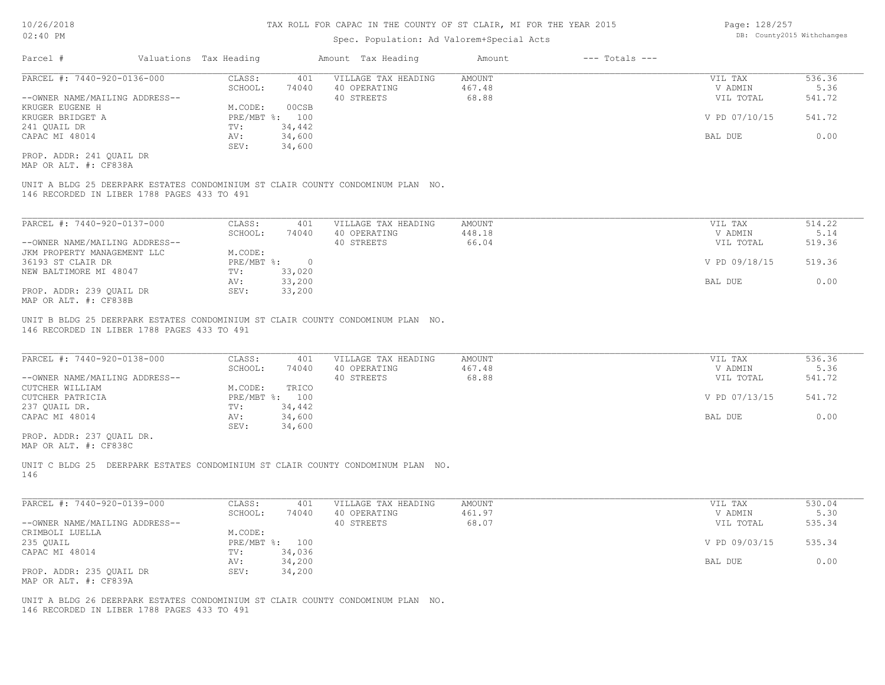### Spec. Population: Ad Valorem+Special Acts

| Page: 128/257 |                            |
|---------------|----------------------------|
|               | DB: County2015 Withchanges |

| Parcel #                       |  | Valuations Tax Heading |        | Amount Tax Heading  | Amount | $---$ Totals $---$ |               |        |
|--------------------------------|--|------------------------|--------|---------------------|--------|--------------------|---------------|--------|
| PARCEL #: 7440-920-0136-000    |  | CLASS:                 | 401    | VILLAGE TAX HEADING | AMOUNT |                    | VIL TAX       | 536.36 |
|                                |  | SCHOOL:                | 74040  | 40 OPERATING        | 467.48 |                    | V ADMIN       | 5.36   |
| --OWNER NAME/MAILING ADDRESS-- |  |                        |        | 40 STREETS          | 68.88  |                    | VIL TOTAL     | 541.72 |
| KRUGER EUGENE H                |  | M.CODE:                | 00CSB  |                     |        |                    |               |        |
| KRUGER BRIDGET A               |  | PRE/MBT %:             | 100    |                     |        |                    | V PD 07/10/15 | 541.72 |
| 241 QUAIL DR                   |  | TV:                    | 34,442 |                     |        |                    |               |        |
| CAPAC MI 48014                 |  | AV:                    | 34,600 |                     |        |                    | BAL DUE       | 0.00   |
|                                |  | SEV:                   | 34,600 |                     |        |                    |               |        |
| PROP. ADDR: 241 OUAIL DR       |  |                        |        |                     |        |                    |               |        |

MAP OR ALT. #: CF838A

146 RECORDED IN LIBER 1788 PAGES 433 TO 491 UNIT A BLDG 25 DEERPARK ESTATES CONDOMINIUM ST CLAIR COUNTY CONDOMINUM PLAN NO.

| PARCEL #: 7440-920-0137-000    | CLASS:       | 401    | VILLAGE TAX HEADING | AMOUNT | VIL TAX       | 514.22 |
|--------------------------------|--------------|--------|---------------------|--------|---------------|--------|
|                                | SCHOOL:      | 74040  | 40 OPERATING        | 448.18 | V ADMIN       | 5.14   |
| --OWNER NAME/MAILING ADDRESS-- |              |        | 40 STREETS          | 66.04  | VIL TOTAL     | 519.36 |
| JKM PROPERTY MANAGEMENT LLC    | M.CODE:      |        |                     |        |               |        |
| 36193 ST CLAIR DR              | $PRE/MBT$ %: |        |                     |        | V PD 09/18/15 | 519.36 |
| NEW BALTIMORE MI 48047         | TV:          | 33,020 |                     |        |               |        |
|                                | AV:          | 33,200 |                     |        | BAL DUE       | 0.00   |
| PROP. ADDR: 239 OUAIL DR       | SEV:         | 33,200 |                     |        |               |        |
| MAP OR ALT. #: CF838B          |              |        |                     |        |               |        |

UNIT B BLDG 25 DEERPARK ESTATES CONDOMINIUM ST CLAIR COUNTY CONDOMINUM PLAN NO.

146 RECORDED IN LIBER 1788 PAGES 433 TO 491

| PARCEL #: 7440-920-0138-000    | CLASS:  | 401            | VILLAGE TAX HEADING | AMOUNT | VIL TAX       | 536.36 |
|--------------------------------|---------|----------------|---------------------|--------|---------------|--------|
|                                | SCHOOL: | 74040          | 40 OPERATING        | 467.48 | V ADMIN       | 5.36   |
| --OWNER NAME/MAILING ADDRESS-- |         |                | 40 STREETS          | 68.88  | VIL TOTAL     | 541.72 |
| CUTCHER WILLIAM                | M.CODE: | TRICO          |                     |        |               |        |
| CUTCHER PATRICIA               |         | PRE/MBT %: 100 |                     |        | V PD 07/13/15 | 541.72 |
| 237 QUAIL DR.                  | TV:     | 34,442         |                     |        |               |        |
| CAPAC MI 48014                 | AV:     | 34,600         |                     |        | BAL DUE       | 0.00   |
|                                | SEV:    | 34,600         |                     |        |               |        |
| PROP. ADDR: 237 OUAIL DR.      |         |                |                     |        |               |        |

MAP OR ALT. #: CF838C

146 UNIT C BLDG 25 DEERPARK ESTATES CONDOMINIUM ST CLAIR COUNTY CONDOMINUM PLAN NO.

| PARCEL #: 7440-920-0139-000    | CLASS:  | 401            | VILLAGE TAX HEADING | AMOUNT | VIL TAX       | 530.04 |
|--------------------------------|---------|----------------|---------------------|--------|---------------|--------|
|                                | SCHOOL: | 74040          | 40 OPERATING        | 461.97 | V ADMIN       | 5.30   |
| --OWNER NAME/MAILING ADDRESS-- |         |                | 40 STREETS          | 68.07  | VIL TOTAL     | 535.34 |
| CRIMBOLI LUELLA                | M.CODE: |                |                     |        |               |        |
| 235 QUAIL                      |         | PRE/MBT %: 100 |                     |        | V PD 09/03/15 | 535.34 |
| CAPAC MI 48014                 | TV:     | 34,036         |                     |        |               |        |
|                                | AV:     | 34,200         |                     |        | BAL DUE       | 0.00   |
| PROP. ADDR: 235 OUAIL DR       | SEV:    | 34,200         |                     |        |               |        |
| MAP OR ALT. #: CF839A          |         |                |                     |        |               |        |

146 RECORDED IN LIBER 1788 PAGES 433 TO 491 UNIT A BLDG 26 DEERPARK ESTATES CONDOMINIUM ST CLAIR COUNTY CONDOMINUM PLAN NO.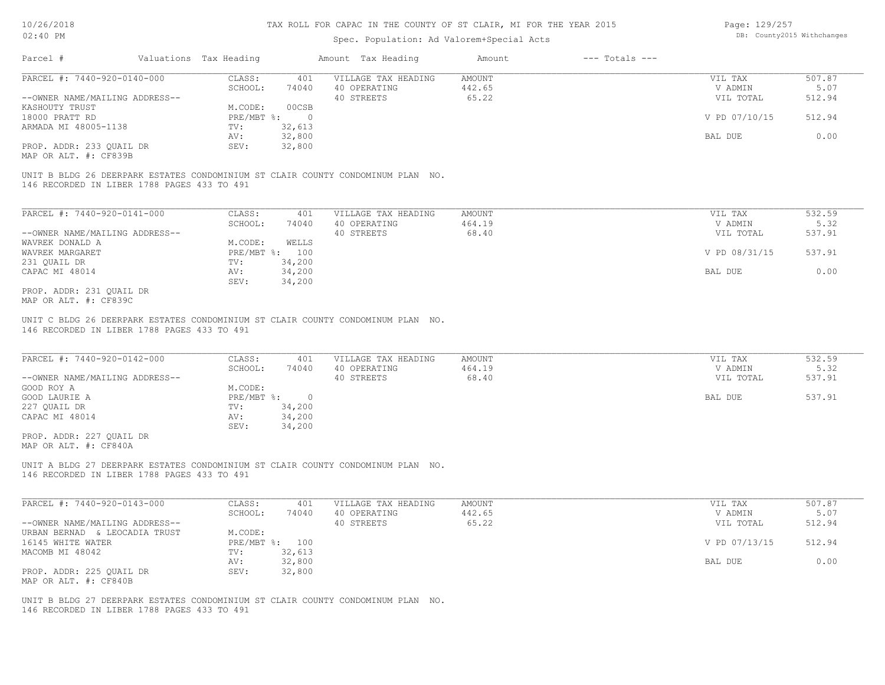### Spec. Population: Ad Valorem+Special Acts

Page: 129/257 DB: County2015 Withchanges

| Parcel #                       | Valuations Tax Heading    |        | Amount Tax Heading  | Amount | $---$ Totals $---$ |               |        |
|--------------------------------|---------------------------|--------|---------------------|--------|--------------------|---------------|--------|
| PARCEL #: 7440-920-0140-000    | CLASS:                    | 401    | VILLAGE TAX HEADING | AMOUNT |                    | VIL TAX       | 507.87 |
|                                | SCHOOL:                   | 74040  | 40 OPERATING        | 442.65 |                    | V ADMIN       | 5.07   |
| --OWNER NAME/MAILING ADDRESS-- |                           |        | 40 STREETS          | 65.22  |                    | VIL TOTAL     | 512.94 |
| KASHOUTY TRUST                 | M.CODE:                   | 00CSB  |                     |        |                    |               |        |
| 18000 PRATT RD                 | $PRE/MBT$ $\frac{1}{6}$ : |        |                     |        |                    | V PD 07/10/15 | 512.94 |
| ARMADA MI 48005-1138           | TV:                       | 32,613 |                     |        |                    |               |        |
|                                | AV:                       | 32,800 |                     |        |                    | BAL DUE       | 0.00   |
| PROP. ADDR: 233 QUAIL DR       | SEV:                      | 32,800 |                     |        |                    |               |        |
|                                |                           |        |                     |        |                    |               |        |

MAP OR ALT. #: CF839B

146 RECORDED IN LIBER 1788 PAGES 433 TO 491 UNIT B BLDG 26 DEERPARK ESTATES CONDOMINIUM ST CLAIR COUNTY CONDOMINUM PLAN NO.

| PARCEL #: 7440-920-0141-000    | CLASS:           | 401    | VILLAGE TAX HEADING | AMOUNT | VIL TAX       | 532.59 |
|--------------------------------|------------------|--------|---------------------|--------|---------------|--------|
|                                | SCHOOL:          | 74040  | 40 OPERATING        | 464.19 | V ADMIN       | 5.32   |
| --OWNER NAME/MAILING ADDRESS-- |                  |        | 40 STREETS          | 68.40  | VIL TOTAL     | 537.91 |
| WAVREK DONALD A                | M.CODE:          | WELLS  |                     |        |               |        |
| WAVREK MARGARET                | $PRE/MBT$ $\div$ | 100    |                     |        | V PD 08/31/15 | 537.91 |
| 231 OUAIL DR                   | TV:              | 34,200 |                     |        |               |        |
| CAPAC MI 48014                 | AV:              | 34,200 |                     |        | BAL DUE       | 0.00   |
|                                | SEV:             | 34,200 |                     |        |               |        |
| PROP. ADDR: 231 OUAIL DR       |                  |        |                     |        |               |        |

MAP OR ALT. #: CF839C

146 RECORDED IN LIBER 1788 PAGES 433 TO 491 UNIT C BLDG 26 DEERPARK ESTATES CONDOMINIUM ST CLAIR COUNTY CONDOMINUM PLAN NO.

| PARCEL #: 7440-920-0142-000                                                     | CLASS:     | 401      | VILLAGE TAX HEADING | AMOUNT | VIL TAX   | 532.59 |
|---------------------------------------------------------------------------------|------------|----------|---------------------|--------|-----------|--------|
|                                                                                 | SCHOOL:    | 74040    | 40 OPERATING        | 464.19 | V ADMIN   | 5.32   |
| --OWNER NAME/MAILING ADDRESS--                                                  |            |          | 40 STREETS          | 68.40  | VIL TOTAL | 537.91 |
| GOOD ROY A                                                                      | M.CODE:    |          |                     |        |           |        |
| GOOD LAURIE A                                                                   | PRE/MBT %: | $\Omega$ |                     |        | BAL DUE   | 537.91 |
| 227 OUAIL DR                                                                    | TV:        | 34,200   |                     |        |           |        |
| CAPAC MI 48014                                                                  | AV:        | 34,200   |                     |        |           |        |
|                                                                                 | SEV:       | 34,200   |                     |        |           |        |
| PROP. ADDR: 227 QUAIL DR                                                        |            |          |                     |        |           |        |
| MAP OR ALT. #: CF840A                                                           |            |          |                     |        |           |        |
|                                                                                 |            |          |                     |        |           |        |
| UNIT A BLDG 27 DEERPARK ESTATES CONDOMINIUM ST CLAIR COUNTY CONDOMINUM PLAN NO. |            |          |                     |        |           |        |
| 146 RECORDED IN LIBER 1788 PAGES 433 TO 491                                     |            |          |                     |        |           |        |
|                                                                                 |            |          |                     |        |           |        |
|                                                                                 |            |          |                     |        |           |        |

| PARCEL #: 7440-920-0143-000      | CLASS:                    | 401    | VILLAGE TAX HEADING | AMOUNT | VIL TAX       | 507.87 |
|----------------------------------|---------------------------|--------|---------------------|--------|---------------|--------|
|                                  | SCHOOL:                   | 74040  | 40 OPERATING        | 442.65 | V ADMIN       | 5.07   |
| --OWNER NAME/MAILING ADDRESS--   |                           |        | 40 STREETS          | 65.22  | VIL TOTAL     | 512.94 |
| & LEOCADIA TRUST<br>URBAN BERNAD | M.CODE:                   |        |                     |        |               |        |
| 16145 WHITE WATER                | $PRE/MBT$ $\frac{1}{6}$ : | 100    |                     |        | V PD 07/13/15 | 512.94 |
| MACOMB MI 48042                  | TV:                       | 32,613 |                     |        |               |        |
|                                  | AV:                       | 32,800 |                     |        | BAL DUE       | 0.00   |
| PROP. ADDR: 225 OUAIL DR         | SEV:                      | 32,800 |                     |        |               |        |
| MAP OR ALT. #: CF840B            |                           |        |                     |        |               |        |

146 RECORDED IN LIBER 1788 PAGES 433 TO 491 UNIT B BLDG 27 DEERPARK ESTATES CONDOMINIUM ST CLAIR COUNTY CONDOMINUM PLAN NO.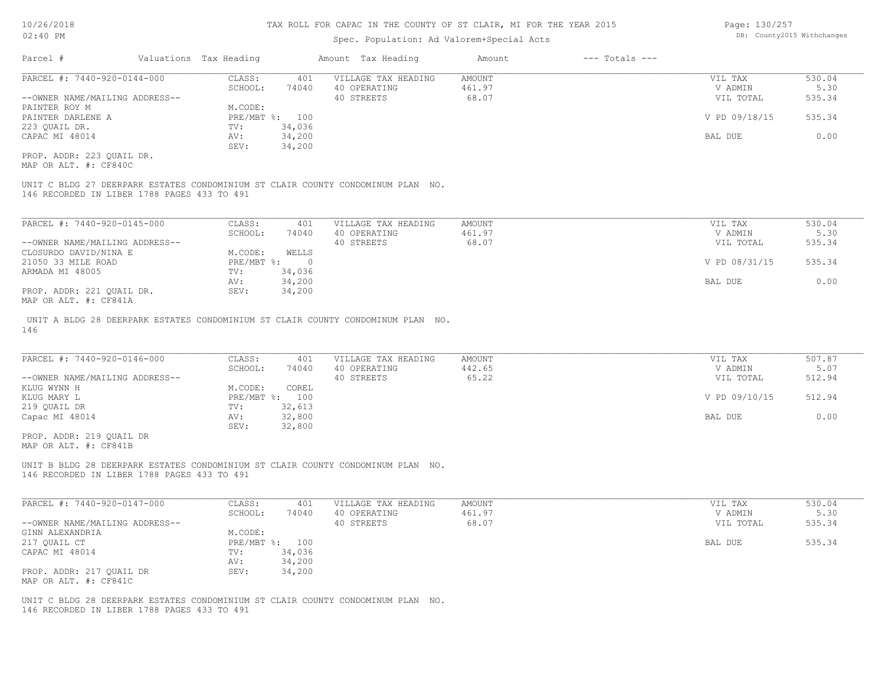### Spec. Population: Ad Valorem+Special Acts

| Page: 130/257 |                            |
|---------------|----------------------------|
|               | DB: County2015 Withchanges |

| Parcel #                       | Valuations Tax Heading |        | Amount Tax Heading  | Amount | $---$ Totals $---$ |               |        |
|--------------------------------|------------------------|--------|---------------------|--------|--------------------|---------------|--------|
| PARCEL #: 7440-920-0144-000    | CLASS:                 | 401    | VILLAGE TAX HEADING | AMOUNT |                    | VIL TAX       | 530.04 |
|                                | SCHOOL:                | 74040  | 40 OPERATING        | 461.97 |                    | V ADMIN       | 5.30   |
| --OWNER NAME/MAILING ADDRESS-- |                        |        | 40 STREETS          | 68.07  |                    | VIL TOTAL     | 535.34 |
| PAINTER ROY M                  | M.CODE:                |        |                     |        |                    |               |        |
| PAINTER DARLENE A              | PRE/MBT %: 100         |        |                     |        |                    | V PD 09/18/15 | 535.34 |
| 223 QUAIL DR.                  | TV:                    | 34,036 |                     |        |                    |               |        |
| CAPAC MI 48014                 | AV:                    | 34,200 |                     |        |                    | BAL DUE       | 0.00   |
|                                | SEV:                   | 34,200 |                     |        |                    |               |        |
| PROP. ADDR: 223 OUAIL DR.      |                        |        |                     |        |                    |               |        |

MAP OR ALT. #: CF840C

146 RECORDED IN LIBER 1788 PAGES 433 TO 491 UNIT C BLDG 27 DEERPARK ESTATES CONDOMINIUM ST CLAIR COUNTY CONDOMINUM PLAN NO.

| PARCEL #: 7440-920-0145-000    | CLASS:     | 401    | VILLAGE TAX HEADING | AMOUNT | VIL TAX       | 530.04 |
|--------------------------------|------------|--------|---------------------|--------|---------------|--------|
|                                | SCHOOL:    | 74040  | 40 OPERATING        | 461.97 | V ADMIN       | 5.30   |
| --OWNER NAME/MAILING ADDRESS-- |            |        | 40 STREETS          | 68.07  | VIL TOTAL     | 535.34 |
| CLOSURDO DAVID/NINA E          | M.CODE:    | WELLS  |                     |        |               |        |
| 21050 33 MILE ROAD             | PRE/MBT %: |        |                     |        | V PD 08/31/15 | 535.34 |
| ARMADA MI 48005                | TV:        | 34,036 |                     |        |               |        |
|                                | AV:        | 34,200 |                     |        | BAL DUE       | 0.00   |
| PROP. ADDR: 221 OUAIL DR.      | SEV:       | 34,200 |                     |        |               |        |
| $\frac{1}{2}$                  |            |        |                     |        |               |        |

MAP OR ALT. #: CF841A

146 UNIT A BLDG 28 DEERPARK ESTATES CONDOMINIUM ST CLAIR COUNTY CONDOMINUM PLAN NO.

| PARCEL #: 7440-920-0146-000    | CLASS:  | 401            | VILLAGE TAX HEADING | AMOUNT | VIL TAX       | 507.87 |
|--------------------------------|---------|----------------|---------------------|--------|---------------|--------|
|                                | SCHOOL: | 74040          | 40 OPERATING        | 442.65 | V ADMIN       | 5.07   |
| --OWNER NAME/MAILING ADDRESS-- |         |                | 40 STREETS          | 65.22  | VIL TOTAL     | 512.94 |
| KLUG WYNN H                    | M.CODE: | COREL          |                     |        |               |        |
| KLUG MARY L                    |         | PRE/MBT %: 100 |                     |        | V PD 09/10/15 | 512.94 |
| 219 QUAIL DR                   | TV:     | 32,613         |                     |        |               |        |
| Capac MI 48014                 | AV:     | 32,800         |                     |        | BAL DUE       | 0.00   |
|                                | SEV:    | 32,800         |                     |        |               |        |
| PROP. ADDR: 219 OUAIL DR       |         |                |                     |        |               |        |

MAP OR ALT. #: CF841B

146 RECORDED IN LIBER 1788 PAGES 433 TO 491 UNIT B BLDG 28 DEERPARK ESTATES CONDOMINIUM ST CLAIR COUNTY CONDOMINUM PLAN NO.

| PARCEL #: 7440-920-0147-000                       | CLASS:       | 401    | VILLAGE TAX HEADING | AMOUNT | VIL TAX   | 530.04 |
|---------------------------------------------------|--------------|--------|---------------------|--------|-----------|--------|
|                                                   | SCHOOL:      | 74040  | 40 OPERATING        | 461.97 | V ADMIN   | 5.30   |
| --OWNER NAME/MAILING ADDRESS--                    |              |        | 40 STREETS          | 68.07  | VIL TOTAL | 535.34 |
| GINN ALEXANDRIA                                   | M.CODE:      |        |                     |        |           |        |
| 217 QUAIL CT                                      | $PRE/MBT$ %: | 100    |                     |        | BAL DUE   | 535.34 |
| CAPAC MI 48014                                    | TV:          | 34,036 |                     |        |           |        |
|                                                   | AV:          | 34,200 |                     |        |           |        |
| PROP. ADDR: 217 QUAIL DR<br>MAP OR ALT. #: CF841C | SEV:         | 34,200 |                     |        |           |        |

146 RECORDED IN LIBER 1788 PAGES 433 TO 491 UNIT C BLDG 28 DEERPARK ESTATES CONDOMINIUM ST CLAIR COUNTY CONDOMINUM PLAN NO.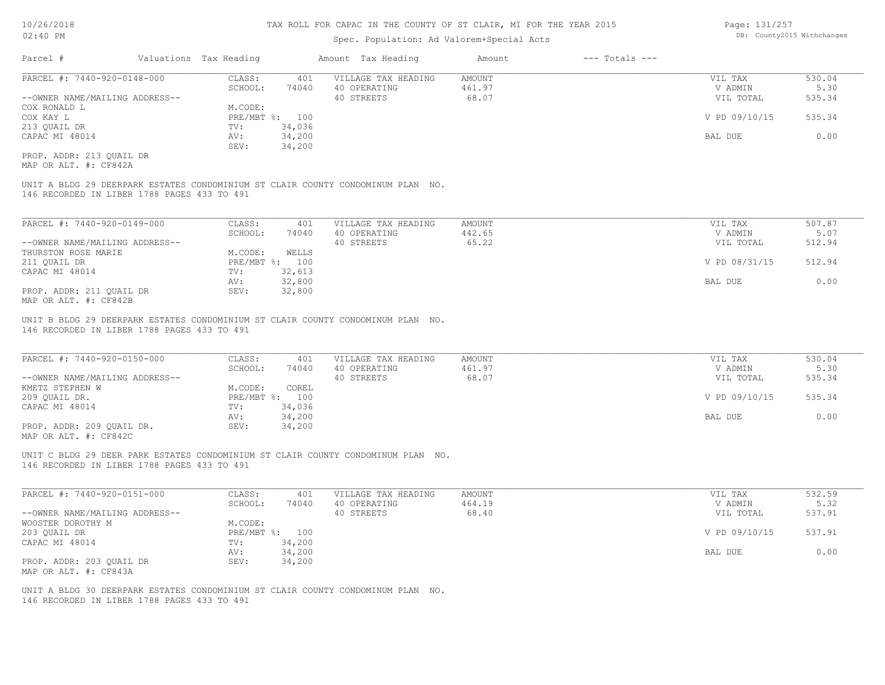### Spec. Population: Ad Valorem+Special Acts

| Page: 131/257 |                            |
|---------------|----------------------------|
|               | DB: County2015 Withchanges |

| Parcel #                       | Valuations Tax Heading |        | Amount Tax Heading  | Amount | $---$ Totals $---$ |               |        |
|--------------------------------|------------------------|--------|---------------------|--------|--------------------|---------------|--------|
| PARCEL #: 7440-920-0148-000    | CLASS:                 | 401    | VILLAGE TAX HEADING | AMOUNT |                    | VIL TAX       | 530.04 |
|                                | SCHOOL:                | 74040  | 40 OPERATING        | 461.97 |                    | V ADMIN       | 5.30   |
| --OWNER NAME/MAILING ADDRESS-- |                        |        | 40 STREETS          | 68.07  |                    | VIL TOTAL     | 535.34 |
| COX RONALD L                   | M.CODE:                |        |                     |        |                    |               |        |
| COX KAY L                      | PRE/MBT %: 100         |        |                     |        |                    | V PD 09/10/15 | 535.34 |
| 213 QUAIL DR                   | TV:                    | 34,036 |                     |        |                    |               |        |
| CAPAC MI 48014                 | AV:                    | 34,200 |                     |        |                    | BAL DUE       | 0.00   |
|                                | SEV:                   | 34,200 |                     |        |                    |               |        |
| PROP. ADDR: 213 OUAIL DR       |                        |        |                     |        |                    |               |        |

MAP OR ALT. #: CF842A

146 RECORDED IN LIBER 1788 PAGES 433 TO 491 UNIT A BLDG 29 DEERPARK ESTATES CONDOMINIUM ST CLAIR COUNTY CONDOMINUM PLAN NO.

| PARCEL #: 7440-920-0149-000    | CLASS:  | 401            | VILLAGE TAX HEADING | AMOUNT | VIL TAX       | 507.87 |
|--------------------------------|---------|----------------|---------------------|--------|---------------|--------|
|                                | SCHOOL: | 74040          | 40 OPERATING        | 442.65 | V ADMIN       | 5.07   |
| --OWNER NAME/MAILING ADDRESS-- |         |                | 40 STREETS          | 65.22  | VIL TOTAL     | 512.94 |
| THURSTON ROSE MARIE            | M.CODE: | WELLS          |                     |        |               |        |
| 211 QUAIL DR                   |         | PRE/MBT %: 100 |                     |        | V PD 08/31/15 | 512.94 |
| CAPAC MI 48014                 | TV:     | 32,613         |                     |        |               |        |
|                                | AV:     | 32,800         |                     |        | BAL DUE       | 0.00   |
| PROP. ADDR: 211 OUAIL DR       | SEV:    | 32,800         |                     |        |               |        |
| $\frac{1}{2}$                  |         |                |                     |        |               |        |

MAP OR ALT. #: CF842B

146 RECORDED IN LIBER 1788 PAGES 433 TO 491 UNIT B BLDG 29 DEERPARK ESTATES CONDOMINIUM ST CLAIR COUNTY CONDOMINUM PLAN NO.

| PARCEL #: 7440-920-0150-000    | CLASS:     | 401    | VILLAGE TAX HEADING | AMOUNT | VIL TAX       | 530.04 |
|--------------------------------|------------|--------|---------------------|--------|---------------|--------|
|                                | SCHOOL:    | 74040  | 40 OPERATING        | 461.97 | V ADMIN       | 5.30   |
| --OWNER NAME/MAILING ADDRESS-- |            |        | 40 STREETS          | 68.07  | VIL TOTAL     | 535.34 |
| KMETZ STEPHEN W                | M.CODE:    | COREL  |                     |        |               |        |
| 209 OUAIL DR.                  | PRE/MBT %: | 100    |                     |        | V PD 09/10/15 | 535.34 |
| CAPAC MI 48014                 | TV:        | 34,036 |                     |        |               |        |
|                                | AV:        | 34,200 |                     |        | BAL DUE       | 0.00   |
| PROP. ADDR: 209 OUAIL DR.      | SEV:       | 34,200 |                     |        |               |        |
| $\cdots$                       |            |        |                     |        |               |        |

 $\mathcal{L}_\mathcal{L} = \mathcal{L}_\mathcal{L} = \mathcal{L}_\mathcal{L} = \mathcal{L}_\mathcal{L} = \mathcal{L}_\mathcal{L} = \mathcal{L}_\mathcal{L} = \mathcal{L}_\mathcal{L} = \mathcal{L}_\mathcal{L} = \mathcal{L}_\mathcal{L} = \mathcal{L}_\mathcal{L} = \mathcal{L}_\mathcal{L} = \mathcal{L}_\mathcal{L} = \mathcal{L}_\mathcal{L} = \mathcal{L}_\mathcal{L} = \mathcal{L}_\mathcal{L} = \mathcal{L}_\mathcal{L} = \mathcal{L}_\mathcal{L}$ 

MAP OR ALT. #: CF842C

146 RECORDED IN LIBER 1788 PAGES 433 TO 491 UNIT C BLDG 29 DEER PARK ESTATES CONDOMINIUM ST CLAIR COUNTY CONDOMINUM PLAN NO.

| PARCEL #: 7440-920-0151-000    | CLASS:  | 401            | VILLAGE TAX HEADING | AMOUNT | VIL TAX       | 532.59 |
|--------------------------------|---------|----------------|---------------------|--------|---------------|--------|
|                                | SCHOOL: | 74040          | 40 OPERATING        | 464.19 | V ADMIN       | 5.32   |
| --OWNER NAME/MAILING ADDRESS-- |         |                | 40 STREETS          | 68.40  | VIL TOTAL     | 537.91 |
| WOOSTER DOROTHY M              | M.CODE: |                |                     |        |               |        |
| 203 QUAIL DR                   |         | PRE/MBT %: 100 |                     |        | V PD 09/10/15 | 537.91 |
| CAPAC MI 48014                 | TV:     | 34,200         |                     |        |               |        |
|                                | AV:     | 34,200         |                     |        | BAL DUE       | 0.00   |
| PROP. ADDR: 203 OUAIL DR       | SEV:    | 34,200         |                     |        |               |        |
| MAP OR ALT. #: CF843A          |         |                |                     |        |               |        |

146 RECORDED IN LIBER 1788 PAGES 433 TO 491 UNIT A BLDG 30 DEERPARK ESTATES CONDOMINIUM ST CLAIR COUNTY CONDOMINUM PLAN NO.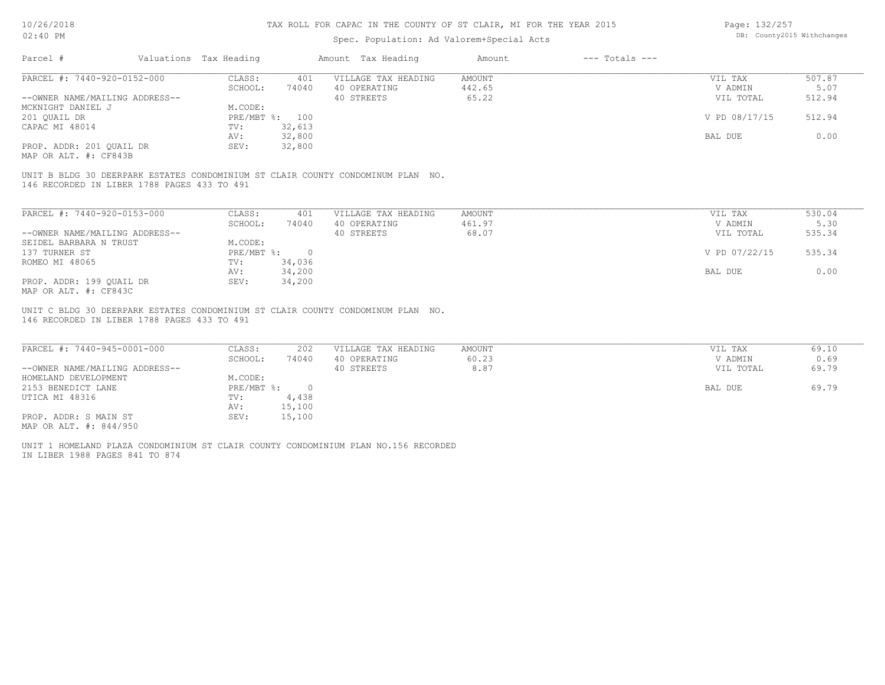### Spec. Population: Ad Valorem+Special Acts

Page: 132/257 DB: County2015 Withchanges

| Parcel #                       | Valuations Tax Heading |        | Amount Tax Heading  | Amount | $---$ Totals $---$ |               |        |
|--------------------------------|------------------------|--------|---------------------|--------|--------------------|---------------|--------|
| PARCEL #: 7440-920-0152-000    | CLASS:                 | 401    | VILLAGE TAX HEADING | AMOUNT |                    | VIL TAX       | 507.87 |
|                                | SCHOOL:                | 74040  | 40 OPERATING        | 442.65 |                    | V ADMIN       | 5.07   |
| --OWNER NAME/MAILING ADDRESS-- |                        |        | 40 STREETS          | 65.22  |                    | VIL TOTAL     | 512.94 |
| MCKNIGHT DANIEL J              | M.CODE:                |        |                     |        |                    |               |        |
| 201 OUAIL DR                   | PRE/MBT %: 100         |        |                     |        |                    | V PD 08/17/15 | 512.94 |
| CAPAC MI 48014                 | TV:                    | 32,613 |                     |        |                    |               |        |
|                                | AV:                    | 32,800 |                     |        |                    | BAL DUE       | 0.00   |
| PROP. ADDR: 201 OUAIL DR       | SEV:                   | 32,800 |                     |        |                    |               |        |
|                                |                        |        |                     |        |                    |               |        |

MAP OR ALT. #: CF843B

146 RECORDED IN LIBER 1788 PAGES 433 TO 491 UNIT B BLDG 30 DEERPARK ESTATES CONDOMINIUM ST CLAIR COUNTY CONDOMINUM PLAN NO.

| PARCEL #: 7440-920-0153-000    | CLASS:     | 401    | VILLAGE TAX HEADING | AMOUNT | VIL TAX       | 530.04 |
|--------------------------------|------------|--------|---------------------|--------|---------------|--------|
|                                | SCHOOL:    | 74040  | 40 OPERATING        | 461.97 | V ADMIN       | 5.30   |
| --OWNER NAME/MAILING ADDRESS-- |            |        | 40 STREETS          | 68.07  | VIL TOTAL     | 535.34 |
| SEIDEL BARBARA N TRUST         | M.CODE:    |        |                     |        |               |        |
| 137 TURNER ST                  | PRE/MBT %: | $\cap$ |                     |        | V PD 07/22/15 | 535.34 |
| ROMEO MI 48065                 | TV:        | 34,036 |                     |        |               |        |
|                                | AV:        | 34,200 |                     |        | BAL DUE       | 0.00   |
| PROP. ADDR: 199 OUAIL DR       | SEV:       | 34,200 |                     |        |               |        |
| MAP OR ALT. #: CF843C          |            |        |                     |        |               |        |

146 RECORDED IN LIBER 1788 PAGES 433 TO 491 UNIT C BLDG 30 DEERPARK ESTATES CONDOMINIUM ST CLAIR COUNTY CONDOMINUM PLAN NO.

| PARCEL #: 7440-945-0001-000    | CLASS:     | 202    | VILLAGE TAX HEADING | AMOUNT | VIL TAX   | 69.10 |
|--------------------------------|------------|--------|---------------------|--------|-----------|-------|
|                                | SCHOOL:    | 74040  | 40 OPERATING        | 60.23  | V ADMIN   | 0.69  |
| --OWNER NAME/MAILING ADDRESS-- |            |        | 40 STREETS          | 8.87   | VIL TOTAL | 69.79 |
| HOMELAND DEVELOPMENT           | M.CODE:    |        |                     |        |           |       |
| 2153 BENEDICT LANE             | PRE/MBT %: |        |                     |        | BAL DUE   | 69.79 |
| UTICA MI 48316                 | TV:        | 4,438  |                     |        |           |       |
|                                | AV:        | 15,100 |                     |        |           |       |
| PROP. ADDR: S MAIN ST          | SEV:       | 15,100 |                     |        |           |       |
| MAP OR ALT. #: 844/950         |            |        |                     |        |           |       |

IN LIBER 1988 PAGES 841 TO 874 UNIT 1 HOMELAND PLAZA CONDOMINIUM ST CLAIR COUNTY CONDOMINIUM PLAN NO.156 RECORDED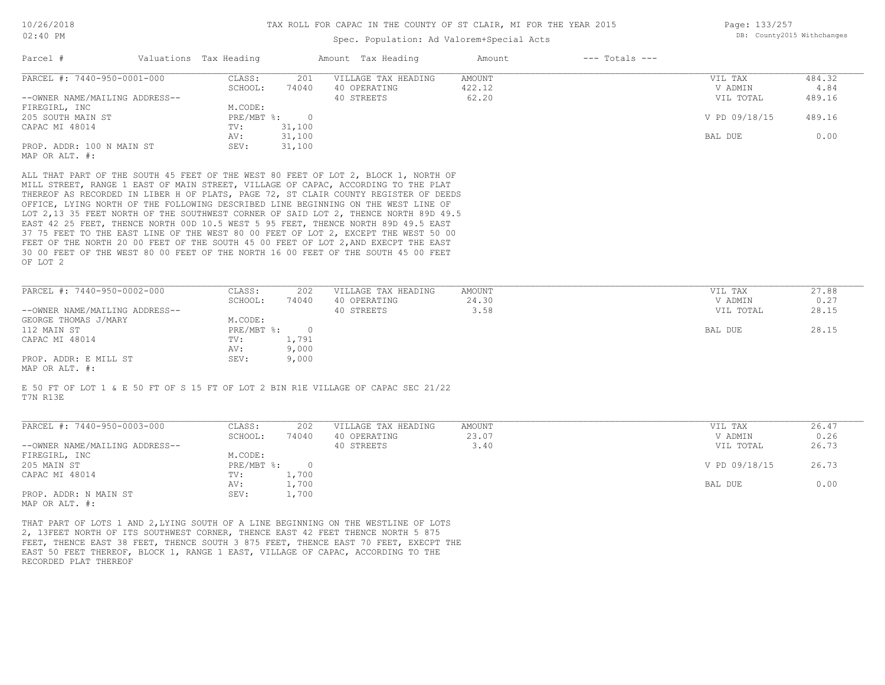### Spec. Population: Ad Valorem+Special Acts

Page: 133/257 DB: County2015 Withchanges

| Parcel #                       | Valuations Tax Heading |          | Amount Tax Heading  | Amount | $---$ Totals $---$ |               |        |
|--------------------------------|------------------------|----------|---------------------|--------|--------------------|---------------|--------|
| PARCEL #: 7440-950-0001-000    | CLASS:                 | 201      | VILLAGE TAX HEADING | AMOUNT |                    | VIL TAX       | 484.32 |
|                                | SCHOOL:                | 74040    | 40 OPERATING        | 422.12 |                    | V ADMIN       | 4.84   |
| --OWNER NAME/MAILING ADDRESS-- |                        |          | 40 STREETS          | 62.20  |                    | VIL TOTAL     | 489.16 |
| FIREGIRL, INC                  | M.CODE:                |          |                     |        |                    |               |        |
| 205 SOUTH MAIN ST              | $PRE/MBT$ %:           | $\Omega$ |                     |        |                    | V PD 09/18/15 | 489.16 |
| CAPAC MI 48014                 | TV:                    | 31,100   |                     |        |                    |               |        |
|                                | AV:                    | 31,100   |                     |        |                    | BAL DUE       | 0.00   |
| PROP. ADDR: 100 N MAIN ST      | SEV:                   | 31,100   |                     |        |                    |               |        |
| MAP OR ALT. #:                 |                        |          |                     |        |                    |               |        |
|                                |                        |          |                     |        |                    |               |        |

OF LOT 2 30 00 FEET OF THE WEST 80 00 FEET OF THE NORTH 16 00 FEET OF THE SOUTH 45 00 FEET FEET OF THE NORTH 20 00 FEET OF THE SOUTH 45 00 FEET OF LOT 2, AND EXECPT THE EAST 37 75 FEET TO THE EAST LINE OF THE WEST 80 00 FEET OF LOT 2, EXCEPT THE WEST 50 00 EAST 42 25 FEET, THENCE NORTH 00D 10.5 WEST 5 95 FEET, THENCE NORTH 89D 49.5 EAST LOT 2,13 35 FEET NORTH OF THE SOUTHWEST CORNER OF SAID LOT 2, THENCE NORTH 89D 49.5 OFFICE, LYING NORTH OF THE FOLLOWING DESCRIBED LINE BEGINNING ON THE WEST LINE OF THEREOF AS RECORDED IN LIBER H OF PLATS, PAGE 72, ST CLAIR COUNTY REGISTER OF DEEDS MILL STREET, RANGE 1 EAST OF MAIN STREET, VILLAGE OF CAPAC, ACCORDING TO THE PLAT ALL THAT PART OF THE SOUTH 45 FEET OF THE WEST 80 FEET OF LOT 2, BLOCK 1, NORTH OF

| PARCEL #: 7440-950-0002-000    | CLASS:     | 202   | VILLAGE TAX HEADING | AMOUNT | VIL TAX   | 27.88 |
|--------------------------------|------------|-------|---------------------|--------|-----------|-------|
|                                | SCHOOL:    | 74040 | 40 OPERATING        | 24.30  | V ADMIN   | 0.27  |
| --OWNER NAME/MAILING ADDRESS-- |            |       | 40 STREETS          | 3.58   | VIL TOTAL | 28.15 |
| GEORGE THOMAS J/MARY           | M.CODE:    |       |                     |        |           |       |
| 112 MAIN ST                    | PRE/MBT %: |       |                     |        | BAL DUE   | 28.15 |
| CAPAC MI 48014                 | TV:        | 1,791 |                     |        |           |       |
|                                | AV:        | 9,000 |                     |        |           |       |
| PROP. ADDR: E MILL ST          | SEV:       | 9,000 |                     |        |           |       |
| $\frac{1}{2}$                  |            |       |                     |        |           |       |

MAP OR ALT. #:

T7N R13E E 50 FT OF LOT 1 & E 50 FT OF S 15 FT OF LOT 2 BIN R1E VILLAGE OF CAPAC SEC 21/22

| PARCEL #: 7440-950-0003-000    | CLASS:     | 202   | VILLAGE TAX HEADING | AMOUNT | VIL TAX       | 26.47 |
|--------------------------------|------------|-------|---------------------|--------|---------------|-------|
|                                | SCHOOL:    | 74040 | 40 OPERATING        | 23.07  | V ADMIN       | 0.26  |
| --OWNER NAME/MAILING ADDRESS-- |            |       | 40 STREETS          | 3.40   | VIL TOTAL     | 26.73 |
| FIREGIRL, INC                  | M.CODE:    |       |                     |        |               |       |
| 205 MAIN ST                    | PRE/MBT %: |       |                     |        | V PD 09/18/15 | 26.73 |
| CAPAC MI 48014                 | TV:        | 1,700 |                     |        |               |       |
|                                | AV:        | 1,700 |                     |        | BAL DUE       | 0.00  |
| PROP. ADDR: N MAIN ST          | SEV:       | 1,700 |                     |        |               |       |
| MAP OR ALT. #:                 |            |       |                     |        |               |       |

 $\mathcal{L}_\mathcal{L} = \mathcal{L}_\mathcal{L} = \mathcal{L}_\mathcal{L} = \mathcal{L}_\mathcal{L} = \mathcal{L}_\mathcal{L} = \mathcal{L}_\mathcal{L} = \mathcal{L}_\mathcal{L} = \mathcal{L}_\mathcal{L} = \mathcal{L}_\mathcal{L} = \mathcal{L}_\mathcal{L} = \mathcal{L}_\mathcal{L} = \mathcal{L}_\mathcal{L} = \mathcal{L}_\mathcal{L} = \mathcal{L}_\mathcal{L} = \mathcal{L}_\mathcal{L} = \mathcal{L}_\mathcal{L} = \mathcal{L}_\mathcal{L}$ 

RECORDED PLAT THEREOF EAST 50 FEET THEREOF, BLOCK 1, RANGE 1 EAST, VILLAGE OF CAPAC, ACCORDING TO THE FEET, THENCE EAST 38 FEET, THENCE SOUTH 3 875 FEET, THENCE EAST 70 FEET, EXECPT THE 2, 13FEET NORTH OF ITS SOUTHWEST CORNER, THENCE EAST 42 FEET THENCE NORTH 5 875 THAT PART OF LOTS 1 AND 2,LYING SOUTH OF A LINE BEGINNING ON THE WESTLINE OF LOTS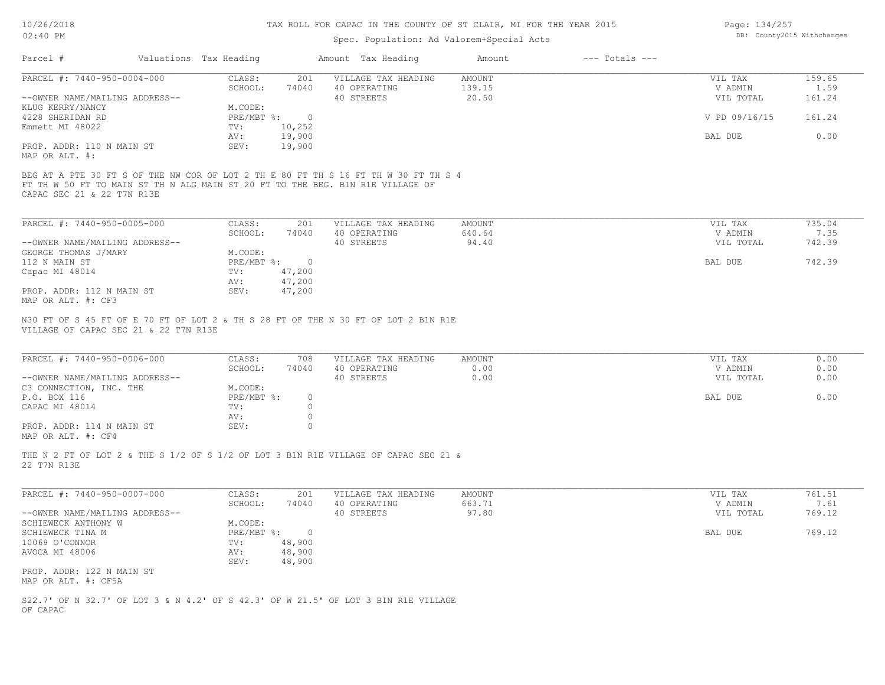# Spec. Population: Ad Valorem+Special Acts

| Page: 134/257 |                            |
|---------------|----------------------------|
|               | DB: County2015 Withchanges |

| Parcel #                       | Valuations Tax Heading |        | Amount Tax Heading                                                                  | Amount | $---$ Totals $---$ |               |        |
|--------------------------------|------------------------|--------|-------------------------------------------------------------------------------------|--------|--------------------|---------------|--------|
| PARCEL #: 7440-950-0004-000    | CLASS:                 | 201    | VILLAGE TAX HEADING                                                                 | AMOUNT |                    | VIL TAX       | 159.65 |
|                                | SCHOOL:                | 74040  | 40 OPERATING                                                                        | 139.15 |                    | V ADMIN       | 1.59   |
| --OWNER NAME/MAILING ADDRESS-- |                        |        | 40 STREETS                                                                          | 20.50  |                    | VIL TOTAL     | 161.24 |
| KLUG KERRY/NANCY               | M.CODE:                |        |                                                                                     |        |                    |               |        |
| 4228 SHERIDAN RD               | PRE/MBT %:             | $\cap$ |                                                                                     |        |                    | V PD 09/16/15 | 161.24 |
| Emmett MI 48022                | TV:                    | 10,252 |                                                                                     |        |                    |               |        |
|                                | AV:                    | 19,900 |                                                                                     |        |                    | BAL DUE       | 0.00   |
| PROP. ADDR: 110 N MAIN ST      | SEV:                   | 19,900 |                                                                                     |        |                    |               |        |
| MAP OR ALT. #:                 |                        |        |                                                                                     |        |                    |               |        |
|                                |                        |        | BEG AT A PTE 30 FT S OF THE NW COR OF LOT 2 TH E 80 FT TH S 16 FT TH W 30 FT TH S 4 |        |                    |               |        |
|                                |                        |        | FT TH W 50 FT TO MAIN ST TH N ALG MAIN ST 20 FT TO THE BEG. B1N R1E VILLAGE OF      |        |                    |               |        |
| CAPAC SEC 21 & 22 T7N R13E     |                        |        |                                                                                     |        |                    |               |        |

| PARCEL #: 7440-950-0005-000    | CLASS:     | 201    | VILLAGE TAX HEADING | AMOUNT | VIL TAX   | 735.04 |
|--------------------------------|------------|--------|---------------------|--------|-----------|--------|
|                                | SCHOOL:    | 74040  | 40 OPERATING        | 640.64 | V ADMIN   | 7.35   |
| --OWNER NAME/MAILING ADDRESS-- |            |        | 40 STREETS          | 94.40  | VIL TOTAL | 742.39 |
| GEORGE THOMAS J/MARY           | M.CODE:    |        |                     |        |           |        |
| 112 N MAIN ST                  | PRE/MBT %: |        |                     |        | BAL DUE   | 742.39 |
| Capac MI 48014                 | TV:        | 47,200 |                     |        |           |        |
|                                | AV:        | 47,200 |                     |        |           |        |
| PROP. ADDR: 112 N MAIN ST      | SEV:       | 47,200 |                     |        |           |        |
| MAP OR ALT. #: CF3             |            |        |                     |        |           |        |

VILLAGE OF CAPAC SEC 21 & 22 T7N R13E N30 FT OF S 45 FT OF E 70 FT OF LOT 2 & TH S 28 FT OF THE N 30 FT OF LOT 2 B1N R1E

| 0.00 |
|------|
| 0.00 |
|      |
| 0.00 |
|      |
|      |
|      |
|      |

 $\mathcal{L}_\mathcal{L} = \mathcal{L}_\mathcal{L} = \mathcal{L}_\mathcal{L} = \mathcal{L}_\mathcal{L} = \mathcal{L}_\mathcal{L} = \mathcal{L}_\mathcal{L} = \mathcal{L}_\mathcal{L} = \mathcal{L}_\mathcal{L} = \mathcal{L}_\mathcal{L} = \mathcal{L}_\mathcal{L} = \mathcal{L}_\mathcal{L} = \mathcal{L}_\mathcal{L} = \mathcal{L}_\mathcal{L} = \mathcal{L}_\mathcal{L} = \mathcal{L}_\mathcal{L} = \mathcal{L}_\mathcal{L} = \mathcal{L}_\mathcal{L}$ 

MAP OR ALT. #: CF4

22 T7N R13E THE N 2 FT OF LOT 2 & THE S 1/2 OF S 1/2 OF LOT 3 B1N R1E VILLAGE OF CAPAC SEC 21 &

| PARCEL #: 7440-950-0007-000    | CLASS:     | 201    | VILLAGE TAX HEADING | AMOUNT | VIL TAX   | 761.51 |
|--------------------------------|------------|--------|---------------------|--------|-----------|--------|
|                                | SCHOOL:    | 74040  | 40 OPERATING        | 663.71 | V ADMIN   | 7.61   |
| --OWNER NAME/MAILING ADDRESS-- |            |        | 40 STREETS          | 97.80  | VIL TOTAL | 769.12 |
| SCHIEWECK ANTHONY W            | M.CODE:    |        |                     |        |           |        |
| SCHIEWECK TINA M               | PRE/MBT %: |        |                     |        | BAL DUE   | 769.12 |
| 10069 O'CONNOR                 | TV:        | 48,900 |                     |        |           |        |
| AVOCA MI 48006                 | AV:        | 48,900 |                     |        |           |        |
|                                | SEV:       | 48,900 |                     |        |           |        |
| PROP. ADDR: 122 N MAIN ST      |            |        |                     |        |           |        |
| MAP OR ALT. #: CF5A            |            |        |                     |        |           |        |

OF CAPAC S22.7' OF N 32.7' OF LOT 3 & N 4.2' OF S 42.3' OF W 21.5' OF LOT 3 B1N R1E VILLAGE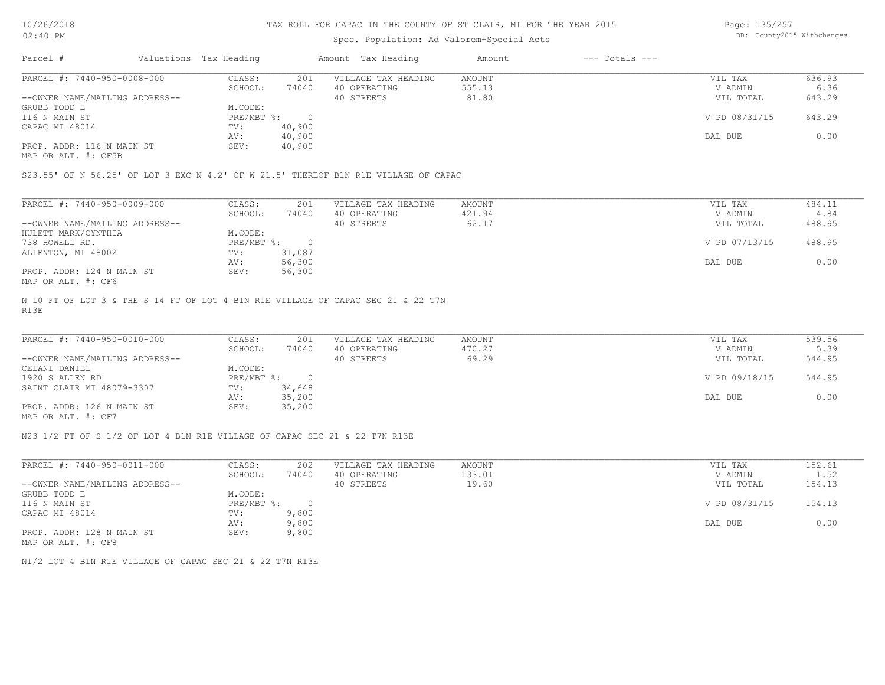10/26/2018 02:40 PM

#### TAX ROLL FOR CAPAC IN THE COUNTY OF ST CLAIR, MI FOR THE YEAR 2015

### Spec. Population: Ad Valorem+Special Acts

Page: 135/257 DB: County2015 Withchanges

| Parcel #                       | Valuations Tax Heading |        | Amount Tax Heading  | Amount | $---$ Totals $---$ |               |        |
|--------------------------------|------------------------|--------|---------------------|--------|--------------------|---------------|--------|
| PARCEL #: 7440-950-0008-000    | CLASS:                 | 201    | VILLAGE TAX HEADING | AMOUNT |                    | VIL TAX       | 636.93 |
|                                | SCHOOL:                | 74040  | 40 OPERATING        | 555.13 |                    | V ADMIN       | 6.36   |
| --OWNER NAME/MAILING ADDRESS-- |                        |        | 40 STREETS          | 81.80  |                    | VIL TOTAL     | 643.29 |
| GRUBB TODD E                   | M.CODE:                |        |                     |        |                    |               |        |
| 116 N MAIN ST                  | $PRE/MBT$ %:           |        |                     |        |                    | V PD 08/31/15 | 643.29 |
| CAPAC MI 48014                 | TV:                    | 40,900 |                     |        |                    |               |        |
|                                | AV:                    | 40,900 |                     |        |                    | BAL DUE       | 0.00   |
| PROP. ADDR: 116 N MAIN ST      | SEV:                   | 40,900 |                     |        |                    |               |        |
|                                |                        |        |                     |        |                    |               |        |

MAP OR ALT. #: CF5B

S23.55' OF N 56.25' OF LOT 3 EXC N 4.2' OF W 21.5' THEREOF B1N R1E VILLAGE OF CAPAC

| PARCEL #: 7440-950-0009-000    | CLASS:     | 201    | VILLAGE TAX HEADING | AMOUNT | VIL TAX       | 484.11 |
|--------------------------------|------------|--------|---------------------|--------|---------------|--------|
|                                | SCHOOL:    | 74040  | 40 OPERATING        | 421.94 | V ADMIN       | 4.84   |
| --OWNER NAME/MAILING ADDRESS-- |            |        | 40 STREETS          | 62.17  | VIL TOTAL     | 488.95 |
| HULETT MARK/CYNTHIA            | M.CODE:    |        |                     |        |               |        |
| 738 HOWELL RD.                 | PRE/MBT %: |        |                     |        | V PD 07/13/15 | 488.95 |
| ALLENTON, MI 48002             | TV:        | 31,087 |                     |        |               |        |
|                                | AV:        | 56,300 |                     |        | BAL DUE       | 0.00   |
| PROP. ADDR: 124 N MAIN ST      | SEV:       | 56,300 |                     |        |               |        |
| MAP OR ALT. #: CF6             |            |        |                     |        |               |        |

R13E N 10 FT OF LOT 3 & THE S 14 FT OF LOT 4 B1N R1E VILLAGE OF CAPAC SEC 21 & 22 T7N

| PARCEL #: 7440-950-0010-000    | CLASS:     | 201    | VILLAGE TAX HEADING | AMOUNT | VIL TAX       | 539.56 |
|--------------------------------|------------|--------|---------------------|--------|---------------|--------|
|                                | SCHOOL:    | 74040  | 40 OPERATING        | 470.27 | V ADMIN       | 5.39   |
| --OWNER NAME/MAILING ADDRESS-- |            |        | 40 STREETS          | 69.29  | VIL TOTAL     | 544.95 |
| CELANI DANIEL                  | M.CODE:    |        |                     |        |               |        |
| 1920 S ALLEN RD                | PRE/MBT %: | $\cap$ |                     |        | V PD 09/18/15 | 544.95 |
| SAINT CLAIR MI 48079-3307      | TV:        | 34,648 |                     |        |               |        |
|                                | AV:        | 35,200 |                     |        | BAL DUE       | 0.00   |
| PROP. ADDR: 126 N MAIN ST      | SEV:       | 35,200 |                     |        |               |        |
| MAP OR ALT. #: CF7             |            |        |                     |        |               |        |

 $\mathcal{L}_\mathcal{L} = \mathcal{L}_\mathcal{L} = \mathcal{L}_\mathcal{L} = \mathcal{L}_\mathcal{L} = \mathcal{L}_\mathcal{L} = \mathcal{L}_\mathcal{L} = \mathcal{L}_\mathcal{L} = \mathcal{L}_\mathcal{L} = \mathcal{L}_\mathcal{L} = \mathcal{L}_\mathcal{L} = \mathcal{L}_\mathcal{L} = \mathcal{L}_\mathcal{L} = \mathcal{L}_\mathcal{L} = \mathcal{L}_\mathcal{L} = \mathcal{L}_\mathcal{L} = \mathcal{L}_\mathcal{L} = \mathcal{L}_\mathcal{L}$ 

N23 1/2 FT OF S 1/2 OF LOT 4 B1N R1E VILLAGE OF CAPAC SEC 21 & 22 T7N R13E

| PARCEL #: 7440-950-0011-000    | CLASS:       | 202   | VILLAGE TAX HEADING | AMOUNT | VIL TAX       | 152.61 |
|--------------------------------|--------------|-------|---------------------|--------|---------------|--------|
|                                | SCHOOL:      | 74040 | 40 OPERATING        | 133.01 | V ADMIN       | 1.52   |
| --OWNER NAME/MAILING ADDRESS-- |              |       | 40 STREETS          | 19.60  | VIL TOTAL     | 154.13 |
| GRUBB TODD E                   | M.CODE:      |       |                     |        |               |        |
| 116 N MAIN ST                  | $PRE/MBT$ %: |       |                     |        | V PD 08/31/15 | 154.13 |
| CAPAC MI 48014                 | TV:          | 9,800 |                     |        |               |        |
|                                | AV:          | 9,800 |                     |        | BAL DUE       | 0.00   |
| PROP. ADDR: 128 N MAIN ST      | SEV:         | 9,800 |                     |        |               |        |
| MAP OR ALT. #: CF8             |              |       |                     |        |               |        |

N1/2 LOT 4 B1N R1E VILLAGE OF CAPAC SEC 21 & 22 T7N R13E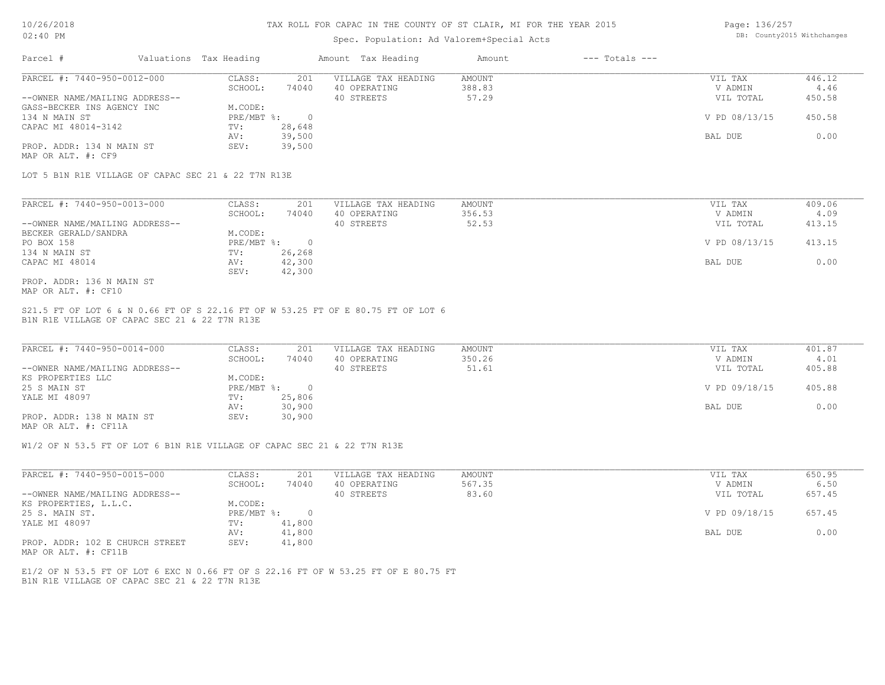### Spec. Population: Ad Valorem+Special Acts

Page: 136/257 DB: County2015 Withchanges

| Parcel #                       | Valuations Tax Heading |        | Amount Tax Heading  | Amount | $---$ Totals $---$ |               |        |
|--------------------------------|------------------------|--------|---------------------|--------|--------------------|---------------|--------|
| PARCEL #: 7440-950-0012-000    | CLASS:                 | 201    | VILLAGE TAX HEADING | AMOUNT |                    | VIL TAX       | 446.12 |
|                                | SCHOOL:                | 74040  | 40 OPERATING        | 388.83 |                    | V ADMIN       | 4.46   |
| --OWNER NAME/MAILING ADDRESS-- |                        |        | 40 STREETS          | 57.29  |                    | VIL TOTAL     | 450.58 |
| GASS-BECKER INS AGENCY INC     | M.CODE:                |        |                     |        |                    |               |        |
| 134 N MAIN ST                  | PRE/MBT %:             |        |                     |        |                    | V PD 08/13/15 | 450.58 |
| CAPAC MI 48014-3142            | TV:                    | 28,648 |                     |        |                    |               |        |
|                                | AV:                    | 39,500 |                     |        |                    | BAL DUE       | 0.00   |
| PROP. ADDR: 134 N MAIN ST      | SEV:                   | 39,500 |                     |        |                    |               |        |
| MAP OR ALT. #: CF9             |                        |        |                     |        |                    |               |        |

LOT 5 B1N R1E VILLAGE OF CAPAC SEC 21 & 22 T7N R13E

| PARCEL #: 7440-950-0013-000    | CLASS:     | 201    | VILLAGE TAX HEADING | AMOUNT | VIL TAX       | 409.06 |
|--------------------------------|------------|--------|---------------------|--------|---------------|--------|
|                                | SCHOOL:    | 74040  | 40 OPERATING        | 356.53 | V ADMIN       | 4.09   |
| --OWNER NAME/MAILING ADDRESS-- |            |        | 40 STREETS          | 52.53  | VIL TOTAL     | 413.15 |
| BECKER GERALD/SANDRA           | M.CODE:    |        |                     |        |               |        |
| PO BOX 158                     | PRE/MBT %: |        |                     |        | V PD 08/13/15 | 413.15 |
| 134 N MAIN ST                  | TV:        | 26,268 |                     |        |               |        |
| CAPAC MI 48014                 | AV:        | 42,300 |                     |        | BAL DUE       | 0.00   |
|                                | SEV:       | 42,300 |                     |        |               |        |
| PROP. ADDR: 136 N MAIN ST      |            |        |                     |        |               |        |

MAP OR ALT. #: CF10

B1N R1E VILLAGE OF CAPAC SEC 21 & 22 T7N R13E S21.5 FT OF LOT 6 & N 0.66 FT OF S 22.16 FT OF W 53.25 FT OF E 80.75 FT OF LOT 6

| PARCEL #: 7440-950-0014-000    | CLASS:     | 201    | VILLAGE TAX HEADING | AMOUNT | VIL TAX       | 401.87 |
|--------------------------------|------------|--------|---------------------|--------|---------------|--------|
|                                | SCHOOL:    | 74040  | 40 OPERATING        | 350.26 | V ADMIN       | 4.01   |
| --OWNER NAME/MAILING ADDRESS-- |            |        | 40 STREETS          | 51.61  | VIL TOTAL     | 405.88 |
| KS PROPERTIES LLC              | M.CODE:    |        |                     |        |               |        |
| 25 S MAIN ST                   | PRE/MBT %: |        |                     |        | V PD 09/18/15 | 405.88 |
| YALE MI 48097                  | TV:        | 25,806 |                     |        |               |        |
|                                | AV:        | 30,900 |                     |        | BAL DUE       | 0.00   |
| PROP. ADDR: 138 N MAIN ST      | SEV:       | 30,900 |                     |        |               |        |
|                                |            |        |                     |        |               |        |

MAP OR ALT. #: CF11A

W1/2 OF N 53.5 FT OF LOT 6 B1N R1E VILLAGE OF CAPAC SEC 21 & 22 T7N R13E

| PARCEL #: 7440-950-0015-000     | CLASS:     | 201    | VILLAGE TAX HEADING | AMOUNT | VIL TAX       | 650.95 |
|---------------------------------|------------|--------|---------------------|--------|---------------|--------|
|                                 | SCHOOL:    | 74040  | 40 OPERATING        | 567.35 | V ADMIN       | 6.50   |
| --OWNER NAME/MAILING ADDRESS--  |            |        | 40 STREETS          | 83.60  | VIL TOTAL     | 657.45 |
| KS PROPERTIES, L.L.C.           | M.CODE:    |        |                     |        |               |        |
| 25 S. MAIN ST.                  | PRE/MBT %: |        |                     |        | V PD 09/18/15 | 657.45 |
| YALE MI 48097                   | TV:        | 41,800 |                     |        |               |        |
|                                 | AV:        | 41,800 |                     |        | BAL DUE       | 0.00   |
| PROP. ADDR: 102 E CHURCH STREET | SEV:       | 41,800 |                     |        |               |        |

MAP OR ALT. #: CF11B

B1N R1E VILLAGE OF CAPAC SEC 21 & 22 T7N R13E E1/2 OF N 53.5 FT OF LOT 6 EXC N 0.66 FT OF S 22.16 FT OF W 53.25 FT OF E 80.75 FT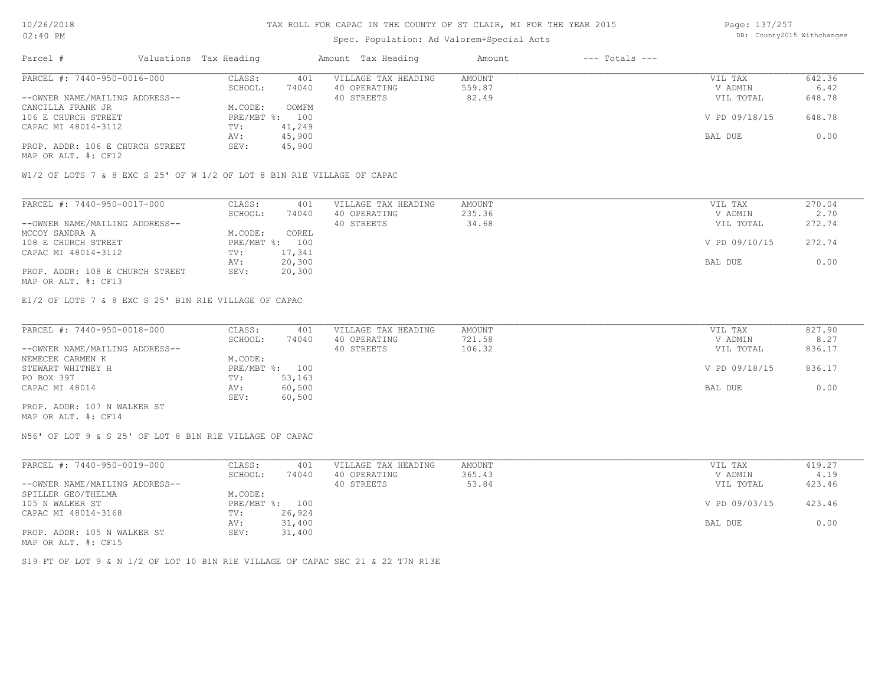# Spec. Population: Ad Valorem+Special Acts

Page: 137/257 DB: County2015 Withchanges

| Parcel #                        | Valuations Tax Heading |        | Amount Tax Heading  | Amount | $---$ Totals $---$ |               |        |
|---------------------------------|------------------------|--------|---------------------|--------|--------------------|---------------|--------|
| PARCEL #: 7440-950-0016-000     | CLASS:                 | 401    | VILLAGE TAX HEADING | AMOUNT |                    | VIL TAX       | 642.36 |
|                                 | SCHOOL:                | 74040  | 40 OPERATING        | 559.87 |                    | V ADMIN       | 6.42   |
| --OWNER NAME/MAILING ADDRESS--  |                        |        | 40 STREETS          | 82.49  |                    | VIL TOTAL     | 648.78 |
| CANCILLA FRANK JR               | M.CODE:                | OOMFM  |                     |        |                    |               |        |
| 106 E CHURCH STREET             | PRE/MBT %: 100         |        |                     |        |                    | V PD 09/18/15 | 648.78 |
| CAPAC MI 48014-3112             | TV:                    | 41,249 |                     |        |                    |               |        |
|                                 | AV:                    | 45,900 |                     |        |                    | BAL DUE       | 0.00   |
| PROP. ADDR: 106 E CHURCH STREET | SEV:                   | 45,900 |                     |        |                    |               |        |
|                                 |                        |        |                     |        |                    |               |        |

MAP OR ALT. #: CF12

W1/2 OF LOTS 7 & 8 EXC S 25' OF W 1/2 OF LOT 8 B1N R1E VILLAGE OF CAPAC

| PARCEL #: 7440-950-0017-000     | CLASS:  | 401            | VILLAGE TAX HEADING | AMOUNT | VIL TAX       | 270.04 |
|---------------------------------|---------|----------------|---------------------|--------|---------------|--------|
|                                 | SCHOOL: | 74040          | 40 OPERATING        | 235.36 | V ADMIN       | 2.70   |
| --OWNER NAME/MAILING ADDRESS--  |         |                | 40 STREETS          | 34.68  | VIL TOTAL     | 272.74 |
| MCCOY SANDRA A                  | M.CODE: | COREL          |                     |        |               |        |
| 108 E CHURCH STREET             |         | PRE/MBT %: 100 |                     |        | V PD 09/10/15 | 272.74 |
| CAPAC MI 48014-3112             | TV:     | 17,341         |                     |        |               |        |
|                                 | AV:     | 20,300         |                     |        | BAL DUE       | 0.00   |
| PROP. ADDR: 108 E CHURCH STREET | SEV:    | 20,300         |                     |        |               |        |
| MAP OR ALT. #: CF13             |         |                |                     |        |               |        |

E1/2 OF LOTS 7 & 8 EXC S 25' B1N R1E VILLAGE OF CAPAC

| PARCEL #: 7440-950-0018-000    | CLASS:  | 401            | VILLAGE TAX HEADING | AMOUNT | VIL TAX       | 827.90 |
|--------------------------------|---------|----------------|---------------------|--------|---------------|--------|
|                                | SCHOOL: | 74040          | 40 OPERATING        | 721.58 | V ADMIN       | 8.27   |
| --OWNER NAME/MAILING ADDRESS-- |         |                | 40 STREETS          | 106.32 | VIL TOTAL     | 836.17 |
| NEMECEK CARMEN K               | M.CODE: |                |                     |        |               |        |
| STEWART WHITNEY H              |         | PRE/MBT %: 100 |                     |        | V PD 09/18/15 | 836.17 |
| PO BOX 397                     | TV:     | 53,163         |                     |        |               |        |
| CAPAC MI 48014                 | AV:     | 60,500         |                     |        | BAL DUE       | 0.00   |
|                                | SEV:    | 60,500         |                     |        |               |        |
| PROP. ADDR: 107 N WALKER ST    |         |                |                     |        |               |        |

MAP OR ALT. #: CF14

N56' OF LOT 9 & S 25' OF LOT 8 B1N R1E VILLAGE OF CAPAC

| PARCEL #: 7440-950-0019-000    | CLASS:  | 401            | VILLAGE TAX HEADING | AMOUNT | VIL TAX       | 419.27 |
|--------------------------------|---------|----------------|---------------------|--------|---------------|--------|
|                                | SCHOOL: | 74040          | 40 OPERATING        | 365.43 | V ADMIN       | 4.19   |
| --OWNER NAME/MAILING ADDRESS-- |         |                | 40 STREETS          | 53.84  | VIL TOTAL     | 423.46 |
| SPILLER GEO/THELMA             | M.CODE: |                |                     |        |               |        |
| 105 N WALKER ST                |         | PRE/MBT %: 100 |                     |        | V PD 09/03/15 | 423.46 |
| CAPAC MI 48014-3168            | TV:     | 26,924         |                     |        |               |        |
|                                | AV:     | 31,400         |                     |        | BAL DUE       | 0.00   |
| PROP. ADDR: 105 N WALKER ST    | SEV:    | 31,400         |                     |        |               |        |
| MAP OR ALT. #: CF15            |         |                |                     |        |               |        |

S19 FT OF LOT 9 & N 1/2 OF LOT 10 B1N R1E VILLAGE OF CAPAC SEC 21 & 22 T7N R13E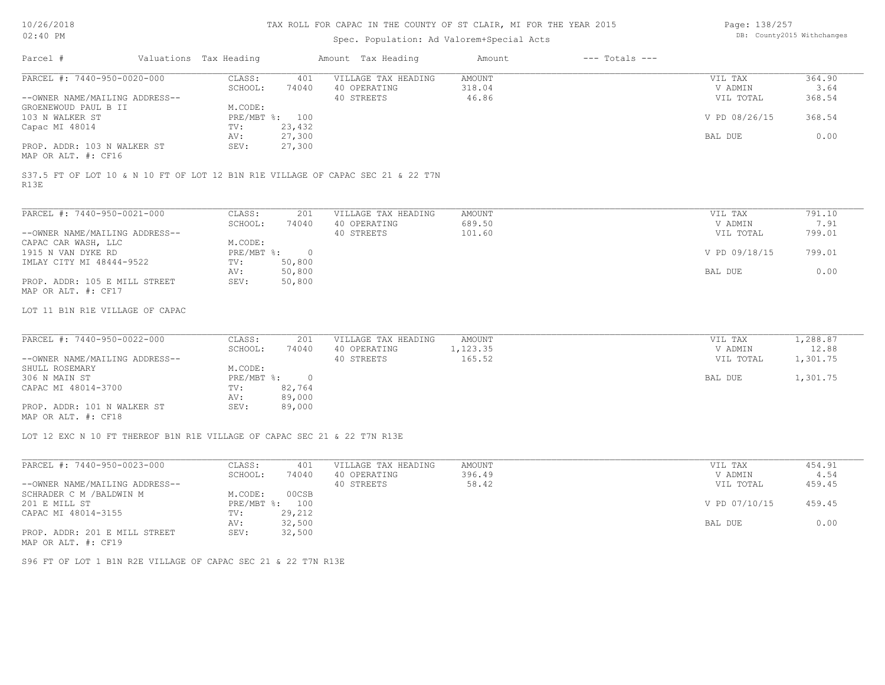Page: 138/257

| 02:40 PM                                                                 |  |                                  |                                    | Spec. Population: Ad Valorem+Special Acts                                       | DB: County2015 Withchanges |                    |               |          |
|--------------------------------------------------------------------------|--|----------------------------------|------------------------------------|---------------------------------------------------------------------------------|----------------------------|--------------------|---------------|----------|
| Parcel #                                                                 |  | Valuations Tax Heading           |                                    | Amount Tax Heading                                                              | Amount                     | $---$ Totals $---$ |               |          |
| PARCEL #: 7440-950-0020-000                                              |  | CLASS:                           | 401                                | VILLAGE TAX HEADING                                                             | <b>AMOUNT</b>              |                    | VIL TAX       | 364.90   |
|                                                                          |  | SCHOOL:                          | 74040                              | 40 OPERATING                                                                    | 318.04                     |                    | V ADMIN       | 3.64     |
| --OWNER NAME/MAILING ADDRESS--                                           |  |                                  |                                    | 40 STREETS                                                                      | 46.86                      |                    | VIL TOTAL     | 368.54   |
| GROENEWOUD PAUL B II                                                     |  | M.CODE:                          |                                    |                                                                                 |                            |                    |               |          |
| 103 N WALKER ST                                                          |  | TV:                              | PRE/MBT %: 100<br>23,432           |                                                                                 |                            |                    | V PD 08/26/15 | 368.54   |
| Capac MI 48014                                                           |  | AV:                              | 27,300                             |                                                                                 |                            |                    | BAL DUE       | 0.00     |
| PROP. ADDR: 103 N WALKER ST<br>MAP OR ALT. #: CF16                       |  | SEV:                             | 27,300                             |                                                                                 |                            |                    |               |          |
| R13E                                                                     |  |                                  |                                    | S37.5 FT OF LOT 10 & N 10 FT OF LOT 12 B1N R1E VILLAGE OF CAPAC SEC 21 & 22 T7N |                            |                    |               |          |
| PARCEL #: 7440-950-0021-000                                              |  | CLASS:                           | 201                                | VILLAGE TAX HEADING                                                             | <b>AMOUNT</b>              |                    | VIL TAX       | 791.10   |
|                                                                          |  | SCHOOL:                          | 74040                              | 40 OPERATING                                                                    | 689.50                     |                    | V ADMIN       | 7.91     |
| --OWNER NAME/MAILING ADDRESS--<br>CAPAC CAR WASH, LLC                    |  | M.CODE:                          |                                    | 40 STREETS                                                                      | 101.60                     |                    | VIL TOTAL     | 799.01   |
| 1915 N VAN DYKE RD                                                       |  | $PRE/MBT$ $\div$                 | $\overline{0}$                     |                                                                                 |                            |                    | V PD 09/18/15 | 799.01   |
| IMLAY CITY MI 48444-9522                                                 |  | TV:                              | 50,800                             |                                                                                 |                            |                    |               |          |
|                                                                          |  | AV:                              | 50,800                             |                                                                                 |                            |                    | BAL DUE       | 0.00     |
| PROP. ADDR: 105 E MILL STREET<br>MAP OR ALT. #: CF17                     |  | SEV:                             | 50,800                             |                                                                                 |                            |                    |               |          |
| LOT 11 B1N R1E VILLAGE OF CAPAC                                          |  |                                  |                                    |                                                                                 |                            |                    |               |          |
| PARCEL #: 7440-950-0022-000                                              |  | CLASS:                           | 201                                | VILLAGE TAX HEADING                                                             | <b>AMOUNT</b>              |                    | VIL TAX       | 1,288.87 |
|                                                                          |  | SCHOOL:                          | 74040                              | 40 OPERATING                                                                    | 1,123.35                   |                    | V ADMIN       | 12.88    |
| --OWNER NAME/MAILING ADDRESS--                                           |  |                                  |                                    | 40 STREETS                                                                      | 165.52                     |                    | VIL TOTAL     | 1,301.75 |
| SHULL ROSEMARY                                                           |  | M.CODE:                          |                                    |                                                                                 |                            |                    |               |          |
| 306 N MAIN ST<br>CAPAC MI 48014-3700                                     |  | $PRE/MBT$ $\frac{1}{6}$ :<br>TV: | $\overline{\phantom{0}}$<br>82,764 |                                                                                 |                            |                    | BAL DUE       | 1,301.75 |
|                                                                          |  | AV:                              | 89,000                             |                                                                                 |                            |                    |               |          |
| PROP. ADDR: 101 N WALKER ST                                              |  | SEV:                             | 89,000                             |                                                                                 |                            |                    |               |          |
| MAP OR ALT. #: CF18                                                      |  |                                  |                                    |                                                                                 |                            |                    |               |          |
| LOT 12 EXC N 10 FT THEREOF B1N R1E VILLAGE OF CAPAC SEC 21 & 22 T7N R13E |  |                                  |                                    |                                                                                 |                            |                    |               |          |
| PARCEL #: 7440-950-0023-000                                              |  | CLASS:                           | 401                                | VILLAGE TAX HEADING                                                             | <b>AMOUNT</b>              |                    | VIL TAX       | 454.91   |
|                                                                          |  | SCHOOL:                          | 74040                              | 40 OPERATING                                                                    | 396.49                     |                    | V ADMIN       | 4.54     |
| --OWNER NAME/MAILING ADDRESS--                                           |  |                                  |                                    | 40 STREETS                                                                      | 58.42                      |                    | VIL TOTAL     | 459.45   |
| SCHRADER C M / BALDWIN M                                                 |  | M.CODE:                          | 00CSB                              |                                                                                 |                            |                    |               |          |
| 201 E MILL ST                                                            |  |                                  | PRE/MBT %: 100                     |                                                                                 |                            |                    | V PD 07/10/15 | 459.45   |
| CAPAC MI 48014-3155                                                      |  | TV:                              | 29,212                             |                                                                                 |                            |                    |               |          |
| PROP. ADDR: 201 E MILL STREET<br>MAP OR ALT. #: CF19                     |  | AV:<br>SEV:                      | 32,500<br>32,500                   |                                                                                 |                            |                    | BAL DUE       | 0.00     |
| S96 FT OF LOT 1 B1N R2E VILLAGE OF CAPAC SEC 21 & 22 T7N R13E            |  |                                  |                                    |                                                                                 |                            |                    |               |          |
|                                                                          |  |                                  |                                    |                                                                                 |                            |                    |               |          |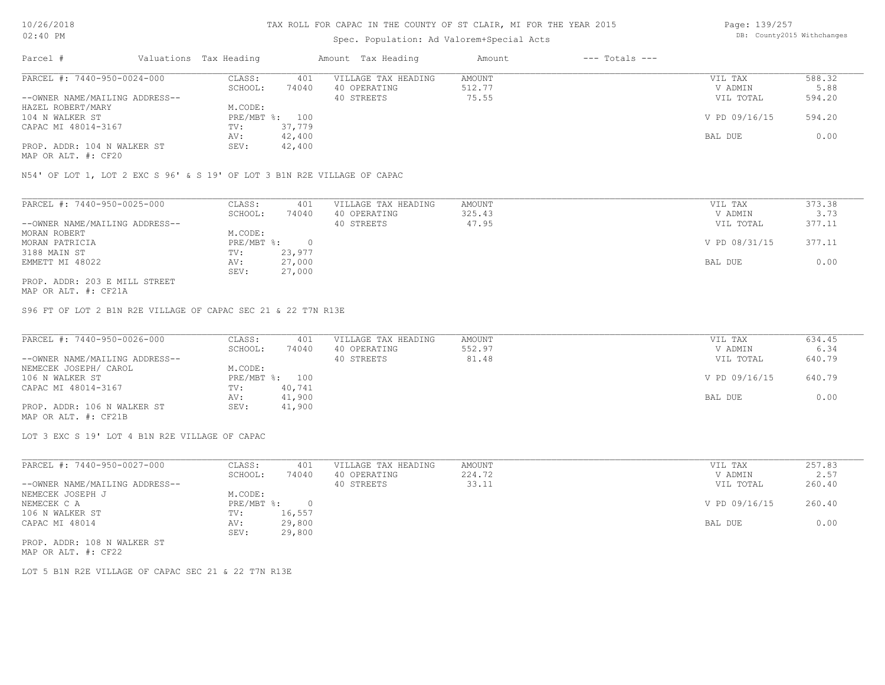# Spec. Population: Ad Valorem+Special Acts

Page: 139/257 DB: County2015 Withchanges

| Parcel #                       | Valuations Tax Heading |        | Amount Tax Heading  | Amount | $---$ Totals $---$ |               |        |
|--------------------------------|------------------------|--------|---------------------|--------|--------------------|---------------|--------|
| PARCEL #: 7440-950-0024-000    | CLASS:                 | 401    | VILLAGE TAX HEADING | AMOUNT |                    | VIL TAX       | 588.32 |
|                                | SCHOOL:                | 74040  | 40 OPERATING        | 512.77 |                    | V ADMIN       | 5.88   |
| --OWNER NAME/MAILING ADDRESS-- |                        |        | 40 STREETS          | 75.55  |                    | VIL TOTAL     | 594.20 |
| HAZEL ROBERT/MARY              | M.CODE:                |        |                     |        |                    |               |        |
| 104 N WALKER ST                | PRE/MBT %: 100         |        |                     |        |                    | V PD 09/16/15 | 594.20 |
| CAPAC MI 48014-3167            | TV:                    | 37,779 |                     |        |                    |               |        |
|                                | AV:                    | 42,400 |                     |        |                    | BAL DUE       | 0.00   |
| PROP. ADDR: 104 N WALKER ST    | SEV:                   | 42,400 |                     |        |                    |               |        |

MAP OR ALT. #: CF20

N54' OF LOT 1, LOT 2 EXC S 96' & S 19' OF LOT 3 B1N R2E VILLAGE OF CAPAC

| PARCEL #: 7440-950-0025-000    | CLASS:     | 401    | VILLAGE TAX HEADING | AMOUNT | VIL TAX       | 373.38 |
|--------------------------------|------------|--------|---------------------|--------|---------------|--------|
|                                | SCHOOL:    | 74040  | 40 OPERATING        | 325.43 | V ADMIN       | 3.73   |
| --OWNER NAME/MAILING ADDRESS-- |            |        | 40 STREETS          | 47.95  | VIL TOTAL     | 377.11 |
| MORAN ROBERT                   | M.CODE:    |        |                     |        |               |        |
| MORAN PATRICIA                 | PRE/MBT %: |        |                     |        | V PD 08/31/15 | 377.11 |
| 3188 MAIN ST                   | TV:        | 23,977 |                     |        |               |        |
| EMMETT MI 48022                | AV:        | 27,000 |                     |        | BAL DUE       | 0.00   |
|                                | SEV:       | 27,000 |                     |        |               |        |
| PROP. ADDR: 203 E MILL STREET  |            |        |                     |        |               |        |

MAP OR ALT. #: CF21A

S96 FT OF LOT 2 B1N R2E VILLAGE OF CAPAC SEC 21 & 22 T7N R13E

| PARCEL #: 7440-950-0026-000    | CLASS:  | 401            | VILLAGE TAX HEADING | AMOUNT | VIL TAX       | 634.45 |
|--------------------------------|---------|----------------|---------------------|--------|---------------|--------|
|                                | SCHOOL: | 74040          | 40 OPERATING        | 552.97 | V ADMIN       | 6.34   |
| --OWNER NAME/MAILING ADDRESS-- |         |                | 40 STREETS          | 81.48  | VIL TOTAL     | 640.79 |
| NEMECEK JOSEPH/ CAROL          | M.CODE: |                |                     |        |               |        |
| 106 N WALKER ST                |         | PRE/MBT %: 100 |                     |        | V PD 09/16/15 | 640.79 |
| CAPAC MI 48014-3167            | TV:     | 40,741         |                     |        |               |        |
|                                | AV:     | 41,900         |                     |        | BAL DUE       | 0.00   |
| PROP. ADDR: 106 N WALKER ST    | SEV:    | 41,900         |                     |        |               |        |
| MAP OR ALT. #: CF21B           |         |                |                     |        |               |        |

LOT 3 EXC S 19' LOT 4 B1N R2E VILLAGE OF CAPAC

| PARCEL #: 7440-950-0027-000    | CLASS:     | 401    | VILLAGE TAX HEADING | AMOUNT | VIL TAX       | 257.83 |
|--------------------------------|------------|--------|---------------------|--------|---------------|--------|
|                                | SCHOOL:    | 74040  | 40 OPERATING        | 224.72 | V ADMIN       | 2.57   |
| --OWNER NAME/MAILING ADDRESS-- |            |        | 40 STREETS          | 33.11  | VIL TOTAL     | 260.40 |
| NEMECEK JOSEPH J               | M.CODE:    |        |                     |        |               |        |
| NEMECEK C A                    | PRE/MBT %: |        |                     |        | V PD 09/16/15 | 260.40 |
| 106 N WALKER ST                | TV:        | 16,557 |                     |        |               |        |
| CAPAC MI 48014                 | AV:        | 29,800 |                     |        | BAL DUE       | 0.00   |
|                                | SEV:       | 29,800 |                     |        |               |        |
| PROP. ADDR: 108 N WALKER ST    |            |        |                     |        |               |        |

MAP OR ALT. #: CF22

LOT 5 B1N R2E VILLAGE OF CAPAC SEC 21 & 22 T7N R13E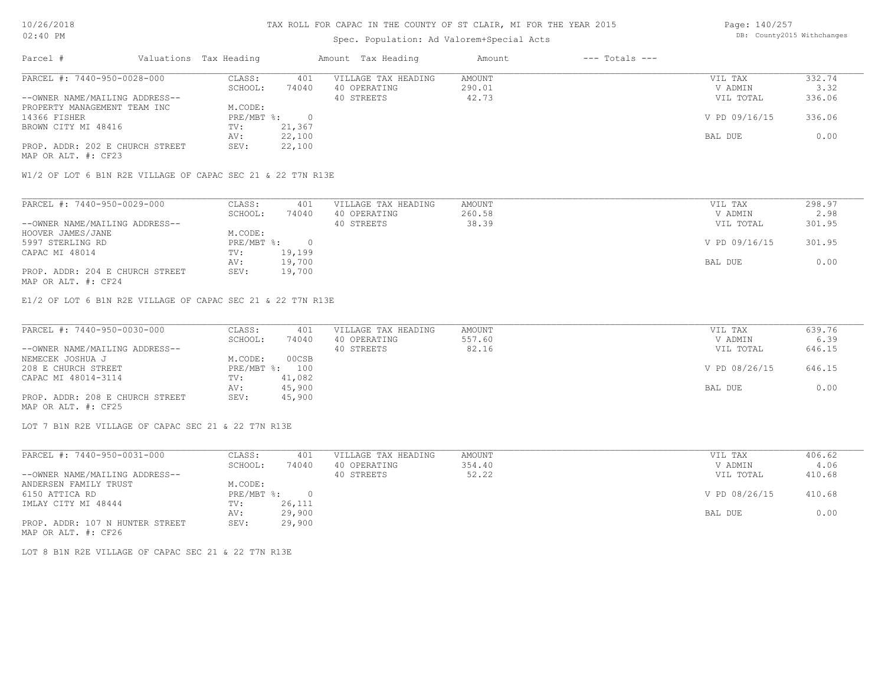# Spec. Population: Ad Valorem+Special Acts

Page: 140/257 DB: County2015 Withchanges

| Parcel #                        | Valuations Tax Heading |        | Amount Tax Heading  | Amount | $---$ Totals $---$ |               |        |
|---------------------------------|------------------------|--------|---------------------|--------|--------------------|---------------|--------|
| PARCEL #: 7440-950-0028-000     | CLASS:                 | 401    | VILLAGE TAX HEADING | AMOUNT |                    | VIL TAX       | 332.74 |
|                                 | SCHOOL:                | 74040  | 40 OPERATING        | 290.01 |                    | V ADMIN       | 3.32   |
| --OWNER NAME/MAILING ADDRESS--  |                        |        | 40 STREETS          | 42.73  |                    | VIL TOTAL     | 336.06 |
| PROPERTY MANAGEMENT TEAM INC    | M.CODE:                |        |                     |        |                    |               |        |
| 14366 FISHER                    | PRE/MBT %:             |        |                     |        |                    | V PD 09/16/15 | 336.06 |
| BROWN CITY MI 48416             | TV:                    | 21,367 |                     |        |                    |               |        |
|                                 | AV:                    | 22,100 |                     |        |                    | BAL DUE       | 0.00   |
| PROP. ADDR: 202 E CHURCH STREET | SEV:                   | 22,100 |                     |        |                    |               |        |
| MAP OR ALT. #: CF23             |                        |        |                     |        |                    |               |        |

W1/2 OF LOT 6 B1N R2E VILLAGE OF CAPAC SEC 21 & 22 T7N R13E

| PARCEL #: 7440-950-0029-000     | CLASS:     | 401    | VILLAGE TAX HEADING | AMOUNT | VIL TAX       | 298.97 |
|---------------------------------|------------|--------|---------------------|--------|---------------|--------|
|                                 | SCHOOL:    | 74040  | 40 OPERATING        | 260.58 | V ADMIN       | 2.98   |
| --OWNER NAME/MAILING ADDRESS--  |            |        | 40 STREETS          | 38.39  | VIL TOTAL     | 301.95 |
| HOOVER JAMES/JANE               | M.CODE:    |        |                     |        |               |        |
| 5997 STERLING RD                | PRE/MBT %: |        |                     |        | V PD 09/16/15 | 301.95 |
| CAPAC MI 48014                  | TV:        | 19,199 |                     |        |               |        |
|                                 | AV:        | 19,700 |                     |        | BAL DUE       | 0.00   |
| PROP. ADDR: 204 E CHURCH STREET | SEV:       | 19,700 |                     |        |               |        |
| MAP OR ALT. #: CF24             |            |        |                     |        |               |        |

E1/2 OF LOT 6 B1N R2E VILLAGE OF CAPAC SEC 21 & 22 T7N R13E

| PARCEL #: 7440-950-0030-000     | CLASS:  | 401            | VILLAGE TAX HEADING | AMOUNT | VIL TAX       | 639.76 |
|---------------------------------|---------|----------------|---------------------|--------|---------------|--------|
|                                 | SCHOOL: | 74040          | 40 OPERATING        | 557.60 | V ADMIN       | 6.39   |
| --OWNER NAME/MAILING ADDRESS--  |         |                | 40 STREETS          | 82.16  | VIL TOTAL     | 646.15 |
| NEMECEK JOSHUA J                | M.CODE: | 00CSB          |                     |        |               |        |
| 208 E CHURCH STREET             |         | PRE/MBT %: 100 |                     |        | V PD 08/26/15 | 646.15 |
| CAPAC MI 48014-3114             | TV:     | 41,082         |                     |        |               |        |
|                                 | AV:     | 45,900         |                     |        | BAL DUE       | 0.00   |
| PROP. ADDR: 208 E CHURCH STREET | SEV:    | 45,900         |                     |        |               |        |
| MAP OR ALT. #: CF25             |         |                |                     |        |               |        |

LOT 7 B1N R2E VILLAGE OF CAPAC SEC 21 & 22 T7N R13E

| PARCEL #: 7440-950-0031-000     | CLASS:     | 401    | VILLAGE TAX HEADING | AMOUNT | VIL TAX       | 406.62 |
|---------------------------------|------------|--------|---------------------|--------|---------------|--------|
|                                 | SCHOOL:    | 74040  | 40 OPERATING        | 354.40 | V ADMIN       | 4.06   |
| --OWNER NAME/MAILING ADDRESS--  |            |        | 40 STREETS          | 52.22  | VIL TOTAL     | 410.68 |
| ANDERSEN FAMILY TRUST           | M.CODE:    |        |                     |        |               |        |
| 6150 ATTICA RD                  | PRE/MBT %: |        |                     |        | V PD 08/26/15 | 410.68 |
| IMLAY CITY MI 48444             | TV:        | 26,111 |                     |        |               |        |
|                                 | AV:        | 29,900 |                     |        | BAL DUE       | 0.00   |
| PROP. ADDR: 107 N HUNTER STREET | SEV:       | 29,900 |                     |        |               |        |
| MAP OR ALT. #: CF26             |            |        |                     |        |               |        |

LOT 8 B1N R2E VILLAGE OF CAPAC SEC 21 & 22 T7N R13E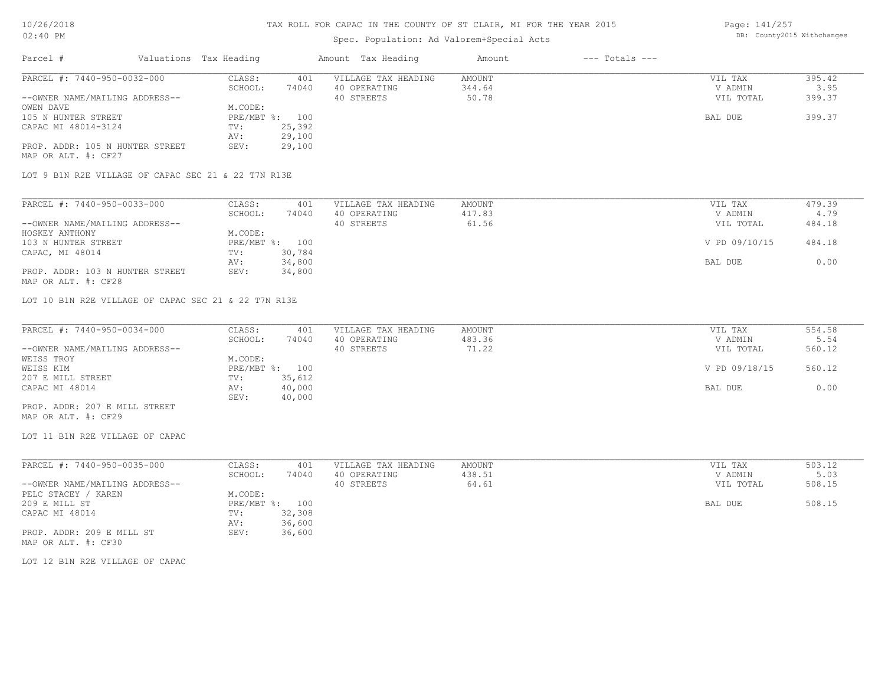# Spec. Population: Ad Valorem+Special Acts

Page: 141/257 DB: County2015 Withchanges

| Parcel #                                            | Valuations Tax Heading |                | Amount Tax Heading                  | Amount   | $---$ Totals $---$ |            |                      |
|-----------------------------------------------------|------------------------|----------------|-------------------------------------|----------|--------------------|------------|----------------------|
| PARCEL #: 7440-950-0032-000                         | CLASS:                 | 401            | VILLAGE TAX HEADING                 | AMOUNT   |                    | VIL TAX    | 395.42               |
|                                                     | SCHOOL:                | 74040          | 40 OPERATING                        | 344.64   |                    | V ADMIN    | 3.95                 |
| --OWNER NAME/MAILING ADDRESS--                      |                        |                | 40 STREETS                          | 50.78    |                    | VIL TOTAL  | 399.37               |
| OWEN DAVE                                           | M.CODE:                |                |                                     |          |                    |            |                      |
| 105 N HUNTER STREET                                 |                        | PRE/MBT %: 100 |                                     |          |                    | BAL DUE    | 399.37               |
| CAPAC MI 48014-3124                                 | TV:                    | 25,392         |                                     |          |                    |            |                      |
|                                                     | AV:                    | 29,100         |                                     |          |                    |            |                      |
| PROP. ADDR: 105 N HUNTER STREET                     | SEV:                   | 29,100         |                                     |          |                    |            |                      |
| MAP OR ALT. #: CF27                                 |                        |                |                                     |          |                    |            |                      |
| LOT 9 B1N R2E VILLAGE OF CAPAC SEC 21 & 22 T7N R13E |                        |                |                                     |          |                    |            |                      |
|                                                     |                        |                |                                     |          |                    |            |                      |
| PARCEL #: 7440-950-0033-000                         | CLASS:                 | 401            | VILLAGE TAX HEADING                 | AMOUNT   |                    | VIL TAX    | 479.39               |
|                                                     | --------               |                | $\cdots$ $\cdots$ $\cdots$ $\cdots$ | $\cdots$ |                    | -- ------- | $\sim$ $\sim$ $\sim$ |

|                                 | SCHOOL:      | 74040  | 40 OPERATING | 417.83 | V ADMIN       | 4.79   |
|---------------------------------|--------------|--------|--------------|--------|---------------|--------|
| --OWNER NAME/MAILING ADDRESS--  |              |        | 40 STREETS   | 61.56  | VIL TOTAL     | 484.18 |
| HOSKEY ANTHONY                  | M.CODE:      |        |              |        |               |        |
| 103 N HUNTER STREET             | $PRE/MBT$ %: | 100    |              |        | V PD 09/10/15 | 484.18 |
| CAPAC, MI 48014                 | TV:          | 30,784 |              |        |               |        |
|                                 | AV:          | 34,800 |              |        | BAL DUE       | 0.00   |
| PROP. ADDR: 103 N HUNTER STREET | SEV:         | 34,800 |              |        |               |        |
| MAP OR ALT. #: CF28             |              |        |              |        |               |        |

LOT 10 B1N R2E VILLAGE OF CAPAC SEC 21 & 22 T7N R13E

| PARCEL #: 7440-950-0034-000    | CLASS:  | 401            | VILLAGE TAX HEADING | AMOUNT | VIL TAX       | 554.58 |
|--------------------------------|---------|----------------|---------------------|--------|---------------|--------|
|                                | SCHOOL: | 74040          | 40 OPERATING        | 483.36 | V ADMIN       | 5.54   |
| --OWNER NAME/MAILING ADDRESS-- |         |                | 40 STREETS          | 71.22  | VIL TOTAL     | 560.12 |
| WEISS TROY                     | M.CODE: |                |                     |        |               |        |
| WEISS KIM                      |         | PRE/MBT %: 100 |                     |        | V PD 09/18/15 | 560.12 |
| 207 E MILL STREET              | TV:     | 35,612         |                     |        |               |        |
| CAPAC MI 48014                 | AV:     | 40,000         |                     |        | BAL DUE       | 0.00   |
|                                | SEV:    | 40,000         |                     |        |               |        |
| PROP. ADDR: 207 E MILL STREET  |         |                |                     |        |               |        |

MAP OR ALT. #: CF29

LOT 11 B1N R2E VILLAGE OF CAPAC

| PARCEL #: 7440-950-0035-000    | CLASS:  | 401            | VILLAGE TAX HEADING | AMOUNT | VIL TAX   | 503.12 |
|--------------------------------|---------|----------------|---------------------|--------|-----------|--------|
|                                | SCHOOL: | 74040          | 40 OPERATING        | 438.51 | V ADMIN   | 5.03   |
| --OWNER NAME/MAILING ADDRESS-- |         |                | 40 STREETS          | 64.61  | VIL TOTAL | 508.15 |
| PELC STACEY /<br>/ KAREN       | M.CODE: |                |                     |        |           |        |
| 209 E MILL ST                  |         | PRE/MBT %: 100 |                     |        | BAL DUE   | 508.15 |
| CAPAC MI 48014                 | TV:     | 32,308         |                     |        |           |        |
|                                | AV:     | 36,600         |                     |        |           |        |
| PROP. ADDR: 209 E MILL ST      | SEV:    | 36,600         |                     |        |           |        |
| MAP OR ALT. #: CF30            |         |                |                     |        |           |        |

LOT 12 B1N R2E VILLAGE OF CAPAC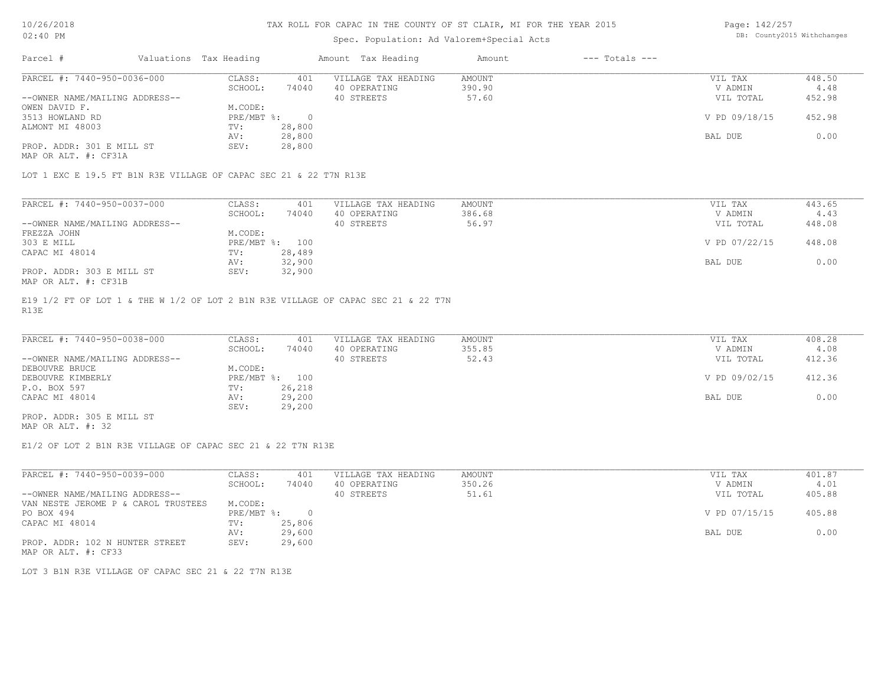# Spec. Population: Ad Valorem+Special Acts

Page: 142/257 DB: County2015 Withchanges

| Parcel #                       | Valuations Tax Heading |        | Amount Tax Heading  | Amount | $---$ Totals $---$ |               |        |
|--------------------------------|------------------------|--------|---------------------|--------|--------------------|---------------|--------|
| PARCEL #: 7440-950-0036-000    | CLASS:                 | 401    | VILLAGE TAX HEADING | AMOUNT |                    | VIL TAX       | 448.50 |
|                                | SCHOOL:                | 74040  | 40 OPERATING        | 390.90 |                    | V ADMIN       | 4.48   |
| --OWNER NAME/MAILING ADDRESS-- |                        |        | 40 STREETS          | 57.60  |                    | VIL TOTAL     | 452.98 |
| OWEN DAVID F.                  | M.CODE:                |        |                     |        |                    |               |        |
| 3513 HOWLAND RD                | PRE/MBT %:             |        |                     |        |                    | V PD 09/18/15 | 452.98 |
| ALMONT MI 48003                | TV:                    | 28,800 |                     |        |                    |               |        |
|                                | AV:                    | 28,800 |                     |        |                    | BAL DUE       | 0.00   |
| PROP. ADDR: 301 E MILL ST      | SEV:                   | 28,800 |                     |        |                    |               |        |
|                                |                        |        |                     |        |                    |               |        |

MAP OR ALT. #: CF31A

LOT 1 EXC E 19.5 FT B1N R3E VILLAGE OF CAPAC SEC 21 & 22 T7N R13E

| PARCEL #: 7440-950-0037-000    | CLASS:  | 401            | VILLAGE TAX HEADING | AMOUNT | VIL TAX       | 443.65 |
|--------------------------------|---------|----------------|---------------------|--------|---------------|--------|
|                                | SCHOOL: | 74040          | 40 OPERATING        | 386.68 | V ADMIN       | 4.43   |
| --OWNER NAME/MAILING ADDRESS-- |         |                | 40 STREETS          | 56.97  | VIL TOTAL     | 448.08 |
| FREZZA JOHN                    | M.CODE: |                |                     |        |               |        |
| 303 E MILL                     |         | PRE/MBT %: 100 |                     |        | V PD 07/22/15 | 448.08 |
| CAPAC MI 48014                 | TV:     | 28,489         |                     |        |               |        |
|                                | AV:     | 32,900         |                     |        | BAL DUE       | 0.00   |
| PROP. ADDR: 303 E MILL ST      | SEV:    | 32,900         |                     |        |               |        |
| MAP OR ALT. #: CF31B           |         |                |                     |        |               |        |

R13E E19 1/2 FT OF LOT 1 & THE W 1/2 OF LOT 2 B1N R3E VILLAGE OF CAPAC SEC 21 & 22 T7N

| PARCEL #: 7440-950-0038-000    | CLASS:  | 401            | VILLAGE TAX HEADING | AMOUNT | VIL TAX       | 408.28 |
|--------------------------------|---------|----------------|---------------------|--------|---------------|--------|
|                                | SCHOOL: | 74040          | 40 OPERATING        | 355.85 | V ADMIN       | 4.08   |
| --OWNER NAME/MAILING ADDRESS-- |         |                | 40 STREETS          | 52.43  | VIL TOTAL     | 412.36 |
| DEBOUVRE BRUCE                 | M.CODE: |                |                     |        |               |        |
| DEBOUVRE KIMBERLY              |         | PRE/MBT %: 100 |                     |        | V PD 09/02/15 | 412.36 |
| P.O. BOX 597                   | TV:     | 26,218         |                     |        |               |        |
| CAPAC MI 48014                 | AV:     | 29,200         |                     |        | BAL DUE       | 0.00   |
|                                | SEV:    | 29,200         |                     |        |               |        |
| PROP. ADDR: 305 E MILL ST      |         |                |                     |        |               |        |

MAP OR ALT. #: 32

E1/2 OF LOT 2 B1N R3E VILLAGE OF CAPAC SEC 21 & 22 T7N R13E

| PARCEL #: 7440-950-0039-000         | CLASS:     | 401    | VILLAGE TAX HEADING | AMOUNT | VIL TAX       | 401.87 |
|-------------------------------------|------------|--------|---------------------|--------|---------------|--------|
|                                     | SCHOOL:    | 74040  | 40 OPERATING        | 350.26 | V ADMIN       | 4.01   |
| --OWNER NAME/MAILING ADDRESS--      |            |        | 40 STREETS          | 51.61  | VIL TOTAL     | 405.88 |
| VAN NESTE JEROME P & CAROL TRUSTEES | M.CODE:    |        |                     |        |               |        |
| PO BOX 494                          | PRE/MBT %: |        |                     |        | V PD 07/15/15 | 405.88 |
| CAPAC MI 48014                      | TV:        | 25,806 |                     |        |               |        |
|                                     | AV:        | 29,600 |                     |        | BAL DUE       | 0.00   |
| PROP. ADDR: 102 N HUNTER STREET     | SEV:       | 29,600 |                     |        |               |        |
| MAP OR ALT. #: CF33                 |            |        |                     |        |               |        |

LOT 3 B1N R3E VILLAGE OF CAPAC SEC 21 & 22 T7N R13E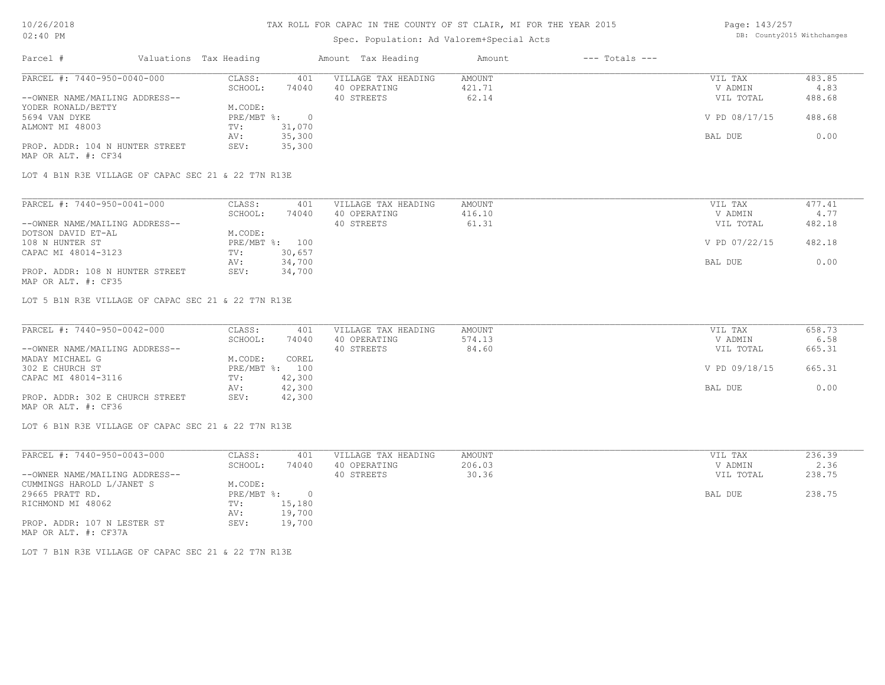# Spec. Population: Ad Valorem+Special Acts

Page: 143/257 DB: County2015 Withchanges

| Parcel #                        | Valuations Tax Heading |        | Amount Tax Heading  | Amount | $---$ Totals $---$ |               |        |
|---------------------------------|------------------------|--------|---------------------|--------|--------------------|---------------|--------|
| PARCEL #: 7440-950-0040-000     | CLASS:                 | 401    | VILLAGE TAX HEADING | AMOUNT |                    | VIL TAX       | 483.85 |
|                                 | SCHOOL:                | 74040  | 40 OPERATING        | 421.71 |                    | V ADMIN       | 4.83   |
| --OWNER NAME/MAILING ADDRESS--  |                        |        | 40 STREETS          | 62.14  |                    | VIL TOTAL     | 488.68 |
| YODER RONALD/BETTY              | M.CODE:                |        |                     |        |                    |               |        |
| 5694 VAN DYKE                   | $PRE/MBT$ %:           |        |                     |        |                    | V PD 08/17/15 | 488.68 |
| ALMONT MI 48003                 | TV:                    | 31,070 |                     |        |                    |               |        |
|                                 | AV:                    | 35,300 |                     |        |                    | BAL DUE       | 0.00   |
| PROP. ADDR: 104 N HUNTER STREET | SEV:                   | 35,300 |                     |        |                    |               |        |
| MAP OR ALT. #: CF34             |                        |        |                     |        |                    |               |        |

LOT 4 B1N R3E VILLAGE OF CAPAC SEC 21 & 22 T7N R13E

| PARCEL #: 7440-950-0041-000     | CLASS:  | 401            | VILLAGE TAX HEADING | AMOUNT | VIL TAX       | 477.41 |
|---------------------------------|---------|----------------|---------------------|--------|---------------|--------|
|                                 | SCHOOL: | 74040          | 40 OPERATING        | 416.10 | V ADMIN       | 4.77   |
| --OWNER NAME/MAILING ADDRESS--  |         |                | 40 STREETS          | 61.31  | VIL TOTAL     | 482.18 |
| DOTSON DAVID ET-AL              | M.CODE: |                |                     |        |               |        |
| 108 N HUNTER ST                 |         | PRE/MBT %: 100 |                     |        | V PD 07/22/15 | 482.18 |
| CAPAC MI 48014-3123             | TV:     | 30,657         |                     |        |               |        |
|                                 | AV:     | 34,700         |                     |        | BAL DUE       | 0.00   |
| PROP. ADDR: 108 N HUNTER STREET | SEV:    | 34,700         |                     |        |               |        |
| MAP OR ALT. #: CF35             |         |                |                     |        |               |        |

LOT 5 B1N R3E VILLAGE OF CAPAC SEC 21 & 22 T7N R13E

| PARCEL #: 7440-950-0042-000     | CLASS:  | 401            | VILLAGE TAX HEADING | AMOUNT | VIL TAX       | 658.73 |
|---------------------------------|---------|----------------|---------------------|--------|---------------|--------|
|                                 | SCHOOL: | 74040          | 40 OPERATING        | 574.13 | V ADMIN       | 6.58   |
| --OWNER NAME/MAILING ADDRESS--  |         |                | 40 STREETS          | 84.60  | VIL TOTAL     | 665.31 |
| MADAY MICHAEL G                 | M.CODE: | COREL          |                     |        |               |        |
| 302 E CHURCH ST                 |         | PRE/MBT %: 100 |                     |        | V PD 09/18/15 | 665.31 |
| CAPAC MI 48014-3116             | TV:     | 42,300         |                     |        |               |        |
|                                 | AV:     | 42,300         |                     |        | BAL DUE       | 0.00   |
| PROP. ADDR: 302 E CHURCH STREET | SEV:    | 42,300         |                     |        |               |        |
| MAP OR ALT. #: CF36             |         |                |                     |        |               |        |

LOT 6 B1N R3E VILLAGE OF CAPAC SEC 21 & 22 T7N R13E

| PARCEL #: 7440-950-0043-000    | CLASS:     | 401    | VILLAGE TAX HEADING | AMOUNT | VIL TAX   | 236.39 |
|--------------------------------|------------|--------|---------------------|--------|-----------|--------|
|                                | SCHOOL:    | 74040  | 40 OPERATING        | 206.03 | V ADMIN   | 2.36   |
| --OWNER NAME/MAILING ADDRESS-- |            |        | 40 STREETS          | 30.36  | VIL TOTAL | 238.75 |
| CUMMINGS HAROLD L/JANET S      | M.CODE:    |        |                     |        |           |        |
| 29665 PRATT RD.                | PRE/MBT %: |        |                     |        | BAL DUE   | 238.75 |
| RICHMOND MI 48062              | TV:        | 15,180 |                     |        |           |        |
|                                | AV:        | 19,700 |                     |        |           |        |
| PROP. ADDR: 107 N LESTER ST    | SEV:       | 19,700 |                     |        |           |        |
| MAP OR ALT. #: CF37A           |            |        |                     |        |           |        |

LOT 7 B1N R3E VILLAGE OF CAPAC SEC 21 & 22 T7N R13E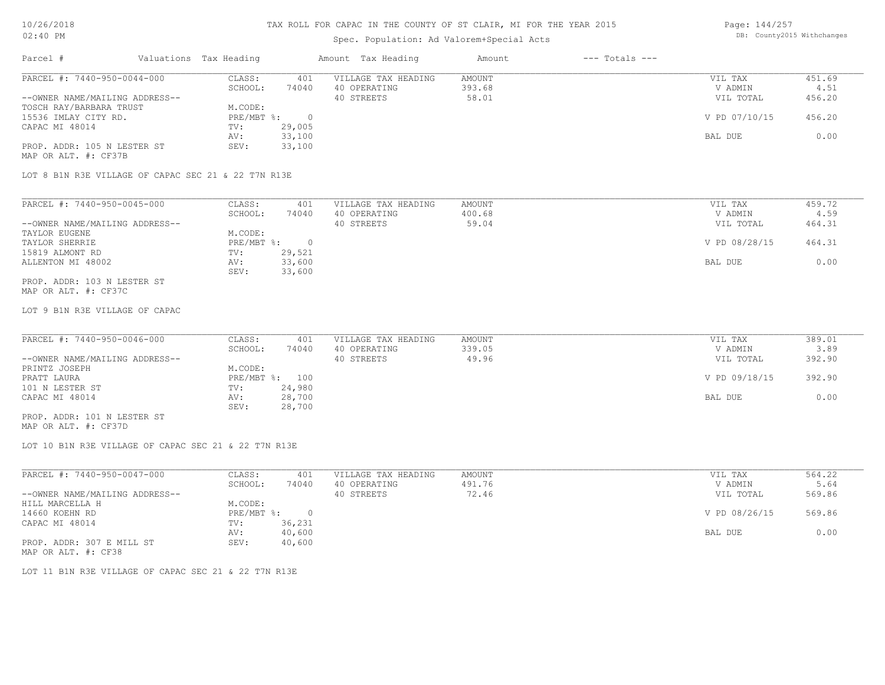# Spec. Population: Ad Valorem+Special Acts

Page: 144/257 DB: County2015 Withchanges

| Parcel #                       | Valuations Tax Heading |        | Amount Tax Heading  | Amount | $---$ Totals $---$ |               |        |
|--------------------------------|------------------------|--------|---------------------|--------|--------------------|---------------|--------|
| PARCEL #: 7440-950-0044-000    | CLASS:                 | 401    | VILLAGE TAX HEADING | AMOUNT |                    | VIL TAX       | 451.69 |
|                                | SCHOOL:                | 74040  | 40 OPERATING        | 393.68 |                    | V ADMIN       | 4.51   |
| --OWNER NAME/MAILING ADDRESS-- |                        |        | 40 STREETS          | 58.01  |                    | VIL TOTAL     | 456.20 |
| TOSCH RAY/BARBARA TRUST        | M.CODE:                |        |                     |        |                    |               |        |
| 15536 IMLAY CITY RD.           | $PRE/MBT$ %:           |        |                     |        |                    | V PD 07/10/15 | 456.20 |
| CAPAC MI 48014                 | TV:                    | 29,005 |                     |        |                    |               |        |
|                                | AV:                    | 33,100 |                     |        |                    | BAL DUE       | 0.00   |
| PROP. ADDR: 105 N LESTER ST    | SEV:                   | 33,100 |                     |        |                    |               |        |
| MAP OR ALT. #: CF37B           |                        |        |                     |        |                    |               |        |

LOT 8 B1N R3E VILLAGE OF CAPAC SEC 21 & 22 T7N R13E

| PARCEL #: 7440-950-0045-000    | CLASS:     | 401    | VILLAGE TAX HEADING | AMOUNT | VIL TAX       | 459.72 |
|--------------------------------|------------|--------|---------------------|--------|---------------|--------|
|                                | SCHOOL:    | 74040  | 40 OPERATING        | 400.68 | V ADMIN       | 4.59   |
| --OWNER NAME/MAILING ADDRESS-- |            |        | 40 STREETS          | 59.04  | VIL TOTAL     | 464.31 |
| TAYLOR EUGENE                  | M.CODE:    |        |                     |        |               |        |
| TAYLOR SHERRIE                 | PRE/MBT %: |        |                     |        | V PD 08/28/15 | 464.31 |
| 15819 ALMONT RD                | TV:        | 29,521 |                     |        |               |        |
| ALLENTON MI 48002              | AV:        | 33,600 |                     |        | BAL DUE       | 0.00   |
|                                | SEV:       | 33,600 |                     |        |               |        |
| PROP. ADDR: 103 N LESTER ST    |            |        |                     |        |               |        |

MAP OR ALT. #: CF37C

LOT 9 B1N R3E VILLAGE OF CAPAC

| PARCEL #: 7440-950-0046-000    | CLASS:  | 401            | VILLAGE TAX HEADING | AMOUNT | VIL TAX       | 389.01 |
|--------------------------------|---------|----------------|---------------------|--------|---------------|--------|
|                                | SCHOOL: | 74040          | 40 OPERATING        | 339.05 | V ADMIN       | 3.89   |
| --OWNER NAME/MAILING ADDRESS-- |         |                | 40 STREETS          | 49.96  | VIL TOTAL     | 392.90 |
| PRINTZ JOSEPH                  | M.CODE: |                |                     |        |               |        |
| PRATT LAURA                    |         | PRE/MBT %: 100 |                     |        | V PD 09/18/15 | 392.90 |
| 101 N LESTER ST                | TV:     | 24,980         |                     |        |               |        |
| CAPAC MI 48014                 | AV:     | 28,700         |                     |        | BAL DUE       | 0.00   |
|                                | SEV:    | 28,700         |                     |        |               |        |
| PROP. ADDR: 101 N LESTER ST    |         |                |                     |        |               |        |

MAP OR ALT. #: CF37D

LOT 10 B1N R3E VILLAGE OF CAPAC SEC 21 & 22 T7N R13E

| PARCEL #: 7440-950-0047-000    | CLASS:     | 401    | VILLAGE TAX HEADING | AMOUNT | VIL TAX       | 564.22 |
|--------------------------------|------------|--------|---------------------|--------|---------------|--------|
|                                | SCHOOL:    | 74040  | 40 OPERATING        | 491.76 | V ADMIN       | 5.64   |
| --OWNER NAME/MAILING ADDRESS-- |            |        | 40 STREETS          | 72.46  | VIL TOTAL     | 569.86 |
| HILL MARCELLA H                | M.CODE:    |        |                     |        |               |        |
| 14660 KOEHN RD                 | PRE/MBT %: |        |                     |        | V PD 08/26/15 | 569.86 |
| CAPAC MI 48014                 | TV:        | 36,231 |                     |        |               |        |
|                                | AV:        | 40,600 |                     |        | BAL DUE       | 0.00   |
| PROP. ADDR: 307 E MILL ST      | SEV:       | 40,600 |                     |        |               |        |
| MAP OR ALT. #: CF38            |            |        |                     |        |               |        |

LOT 11 B1N R3E VILLAGE OF CAPAC SEC 21 & 22 T7N R13E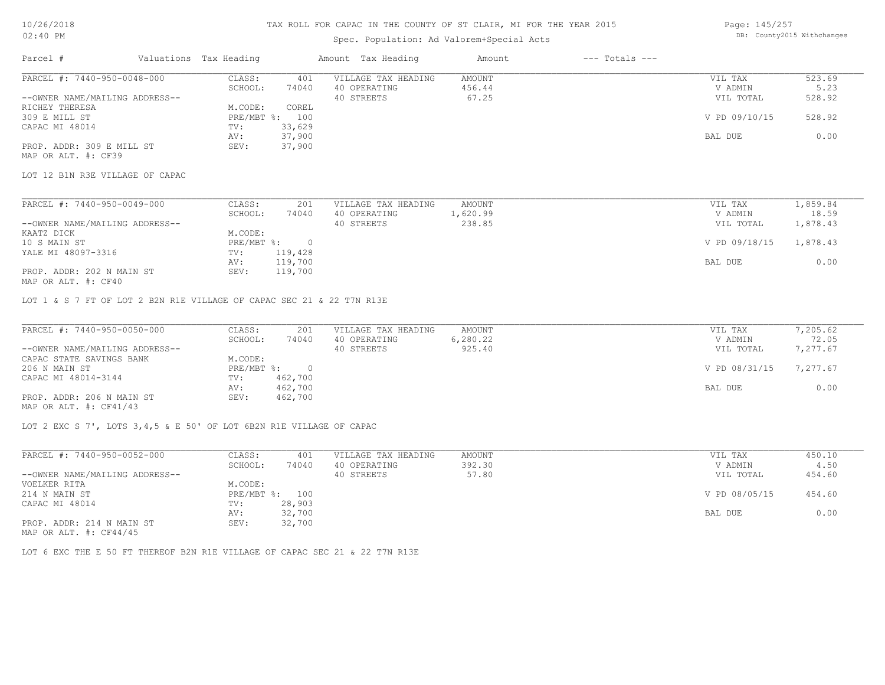### Spec. Population: Ad Valorem+Special Acts

Page: 145/257 DB: County2015 Withchanges

| Parcel #                       | Valuations Tax Heading |        | Amount Tax Heading  | Amount | $---$ Totals $---$ |               |        |
|--------------------------------|------------------------|--------|---------------------|--------|--------------------|---------------|--------|
| PARCEL #: 7440-950-0048-000    | CLASS:                 | 401    | VILLAGE TAX HEADING | AMOUNT |                    | VIL TAX       | 523.69 |
|                                | SCHOOL:                | 74040  | 40 OPERATING        | 456.44 |                    | V ADMIN       | 5.23   |
| --OWNER NAME/MAILING ADDRESS-- |                        |        | 40 STREETS          | 67.25  |                    | VIL TOTAL     | 528.92 |
| RICHEY THERESA                 | M.CODE:                | COREL  |                     |        |                    |               |        |
| 309 E MILL ST                  | $PRE/MBT$ %:           | 100    |                     |        |                    | V PD 09/10/15 | 528.92 |
| CAPAC MI 48014                 | TV:                    | 33,629 |                     |        |                    |               |        |
|                                | AV:                    | 37,900 |                     |        |                    | BAL DUE       | 0.00   |
| PROP. ADDR: 309 E MILL ST      | SEV:                   | 37,900 |                     |        |                    |               |        |
| MAP OR ALT. #: CF39            |                        |        |                     |        |                    |               |        |

LOT 12 B1N R3E VILLAGE OF CAPAC

| PARCEL #: 7440-950-0049-000    | CLASS:     | 201     | VILLAGE TAX HEADING | AMOUNT   | VIL TAX       | 1,859.84 |
|--------------------------------|------------|---------|---------------------|----------|---------------|----------|
|                                | SCHOOL:    | 74040   | 40 OPERATING        | 1,620.99 | V ADMIN       | 18.59    |
| --OWNER NAME/MAILING ADDRESS-- |            |         | 40 STREETS          | 238.85   | VIL TOTAL     | 1,878.43 |
| KAATZ DICK                     | M.CODE:    |         |                     |          |               |          |
| 10 S MAIN ST                   | PRE/MBT %: |         |                     |          | V PD 09/18/15 | 1,878.43 |
| YALE MI 48097-3316             | TV:        | 119,428 |                     |          |               |          |
|                                | AV:        | 119,700 |                     |          | BAL DUE       | 0.00     |
| PROP. ADDR: 202 N MAIN ST      | SEV:       | 119,700 |                     |          |               |          |
|                                |            |         |                     |          |               |          |

MAP OR ALT. #: CF40

LOT 1 & S 7 FT OF LOT 2 B2N R1E VILLAGE OF CAPAC SEC 21 & 22 T7N R13E

| PARCEL #: 7440-950-0050-000    | CLASS:       | 201     | VILLAGE TAX HEADING | AMOUNT   | VIL TAX       | 7,205.62 |
|--------------------------------|--------------|---------|---------------------|----------|---------------|----------|
|                                | SCHOOL:      | 74040   | 40 OPERATING        | 6,280.22 | V ADMIN       | 72.05    |
| --OWNER NAME/MAILING ADDRESS-- |              |         | 40 STREETS          | 925.40   | VIL TOTAL     | 7,277.67 |
| CAPAC STATE SAVINGS BANK       | M.CODE:      |         |                     |          |               |          |
| 206 N MAIN ST                  | $PRE/MBT$ %: |         |                     |          | V PD 08/31/15 | 7,277.67 |
| CAPAC MI 48014-3144            | TV:          | 462,700 |                     |          |               |          |
|                                | AV:          | 462,700 |                     |          | BAL DUE       | 0.00     |
| PROP. ADDR: 206 N MAIN ST      | SEV:         | 462,700 |                     |          |               |          |
| MAP OR ALT. $\#$ : CF41/43     |              |         |                     |          |               |          |

LOT 2 EXC S 7', LOTS 3,4,5 & E 50' OF LOT 6B2N R1E VILLAGE OF CAPAC

| PARCEL #: 7440-950-0052-000                                                    | CLASS:       | 401    | VILLAGE TAX HEADING | AMOUNT | VIL TAX       | 450.10 |  |
|--------------------------------------------------------------------------------|--------------|--------|---------------------|--------|---------------|--------|--|
|                                                                                | SCHOOL:      | 74040  | 40 OPERATING        | 392.30 | V ADMIN       | 4.50   |  |
| --OWNER NAME/MAILING ADDRESS--                                                 |              |        | 40 STREETS          | 57.80  | VIL TOTAL     | 454.60 |  |
| VOELKER RITA                                                                   | M.CODE:      |        |                     |        |               |        |  |
| 214 N MAIN ST                                                                  | $PRE/MBT$ %: | 100    |                     |        | V PD 08/05/15 | 454.60 |  |
| CAPAC MI 48014                                                                 | TV:          | 28,903 |                     |        |               |        |  |
|                                                                                | AV:          | 32,700 |                     |        | BAL DUE       | 0.00   |  |
| PROP. ADDR: 214 N MAIN ST                                                      | SEV:         | 32,700 |                     |        |               |        |  |
| $M \wedge D$ $\wedge D$ $\wedge T$ $\wedge T$ $\wedge T$ $\wedge T$ $\wedge T$ |              |        |                     |        |               |        |  |

MAP OR ALT. #: CF44/45

LOT 6 EXC THE E 50 FT THEREOF B2N R1E VILLAGE OF CAPAC SEC 21 & 22 T7N R13E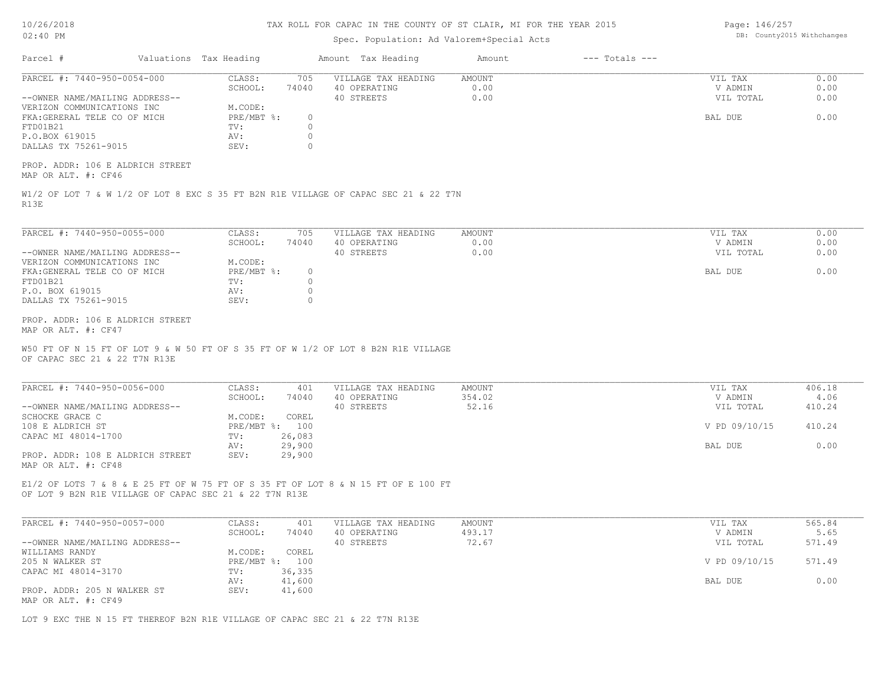| 10/26/2018 |  |
|------------|--|
| $02:40$ PM |  |

# Spec. Population: Ad Valorem+Special Acts

Page: 146/257 DB: County2015 Withchanges

|                                                                                              | Valuations Tax Heading |                                  |                                          | Amount Tax Heading                                                                  |                               |                                 |                      |
|----------------------------------------------------------------------------------------------|------------------------|----------------------------------|------------------------------------------|-------------------------------------------------------------------------------------|-------------------------------|---------------------------------|----------------------|
| PARCEL #: 7440-950-0054-000<br>--OWNER NAME/MAILING ADDRESS--<br>VERIZON COMMUNICATIONS INC  |                        | CLASS:<br>SCHOOL:<br>M.CODE:     | 705<br>74040                             | VILLAGE TAX HEADING<br>40 OPERATING<br>40 STREETS                                   | <b>AMOUNT</b><br>0.00<br>0.00 | VIL TAX<br>V ADMIN<br>VIL TOTAL | 0.00<br>0.00<br>0.00 |
| FKA: GERERAL TELE CO OF MICH<br>FTD01B21<br>P.O.BOX 619015<br>DALLAS TX 75261-9015           |                        | PRE/MBT %:<br>TV:<br>AV:<br>SEV: | $\circ$<br>$\circ$<br>$\circ$<br>$\circ$ |                                                                                     |                               | BAL DUE                         | 0.00                 |
| PROP. ADDR: 106 E ALDRICH STREET<br>MAP OR ALT. #: CF46                                      |                        |                                  |                                          |                                                                                     |                               |                                 |                      |
| R13E                                                                                         |                        |                                  |                                          | W1/2 OF LOT 7 & W 1/2 OF LOT 8 EXC S 35 FT B2N R1E VILLAGE OF CAPAC SEC 21 & 22 T7N |                               |                                 |                      |
| PARCEL #: 7440-950-0055-000                                                                  |                        | CLASS:<br>SCHOOL:                | 705<br>74040                             | VILLAGE TAX HEADING<br>40 OPERATING                                                 | <b>AMOUNT</b><br>0.00         | VIL TAX<br>V ADMIN              | 0.00<br>0.00         |
| --OWNER NAME/MAILING ADDRESS--<br>VERIZON COMMUNICATIONS INC<br>FKA: GENERAL TELE CO OF MICH |                        | M.CODE:<br>PRE/MBT %:            | $\circ$                                  | 40 STREETS                                                                          | 0.00                          | VIL TOTAL<br>BAL DUE            | 0.00<br>0.00         |
| FTD01B21<br>P.O. BOX 619015                                                                  |                        | TV:<br>AV:<br>SEV:               | $\circ$<br>$\circ$<br>$\Omega$           |                                                                                     |                               |                                 |                      |
| DALLAS TX 75261-9015                                                                         |                        |                                  |                                          |                                                                                     |                               |                                 |                      |
| PROP. ADDR: 106 E ALDRICH STREET<br>MAP OR ALT. #: CF47                                      |                        |                                  |                                          |                                                                                     |                               |                                 |                      |
| OF CAPAC SEC 21 & 22 T7N R13E                                                                |                        |                                  |                                          | W50 FT OF N 15 FT OF LOT 9 & W 50 FT OF S 35 FT OF W 1/2 OF LOT 8 B2N R1E VILLAGE   |                               |                                 |                      |
| PARCEL #: 7440-950-0056-000                                                                  |                        | CLASS:                           | 401                                      | VILLAGE TAX HEADING                                                                 | <b>AMOUNT</b>                 | VIL TAX                         | 406.18               |
| --OWNER NAME/MAILING ADDRESS--<br>SCHOCKE GRACE C                                            |                        | SCHOOL:<br>M.CODE:               | 74040<br>COREL                           | 40 OPERATING<br>40 STREETS                                                          | 354.02<br>52.16               | V ADMIN<br>VIL TOTAL            | 4.06<br>410.24       |
| 108 E ALDRICH ST                                                                             |                        | PRE/MBT %: 100<br>TV:            |                                          |                                                                                     |                               | V PD 09/10/15                   | 410.24               |
| CAPAC MI 48014-1700<br>PROP. ADDR: 108 E ALDRICH STREET<br>MAP OR ALT. #: CF48               |                        | AV:<br>SEV:                      | 26,083<br>29,900<br>29,900               |                                                                                     |                               | BAL DUE                         | 0.00                 |
| OF LOT 9 B2N R1E VILLAGE OF CAPAC SEC 21 & 22 T7N R13E                                       |                        |                                  |                                          | E1/2 OF LOTS 7 & 8 & E 25 FT OF W 75 FT OF S 35 FT OF LOT 8 & N 15 FT OF E 100 FT   |                               |                                 |                      |
| PARCEL #: 7440-950-0057-000                                                                  |                        | CLASS:                           | 401                                      | VILLAGE TAX HEADING                                                                 | <b>AMOUNT</b>                 | VIL TAX                         | 565.84               |
| --OWNER NAME/MAILING ADDRESS--                                                               |                        | SCHOOL:                          | 74040                                    | 40 OPERATING<br>40 STREETS                                                          | 493.17<br>72.67               | V ADMIN<br>VIL TOTAL            | 5.65<br>571.49       |
| WILLIAMS RANDY<br>205 N WALKER ST<br>CAPAC MI 48014-3170                                     |                        | M.CODE:<br>PRE/MBT %: 100<br>TV: | COREL<br>36,335                          |                                                                                     |                               | V PD 09/10/15                   | 571.49               |

LOT 9 EXC THE N 15 FT THEREOF B2N R1E VILLAGE OF CAPAC SEC 21 & 22 T7N R13E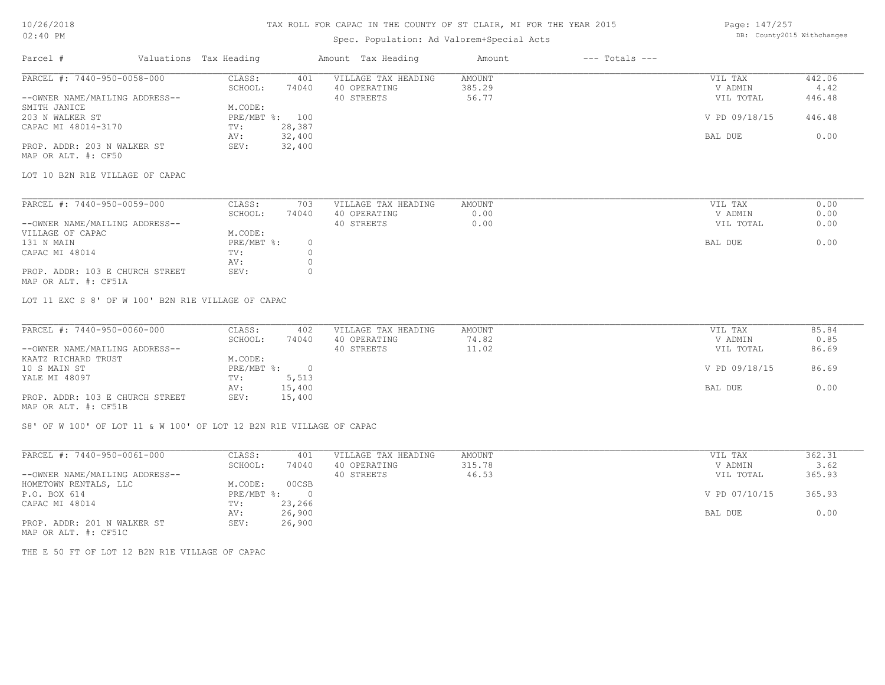### 10/26/2018 02:40 PM

# TAX ROLL FOR CAPAC IN THE COUNTY OF ST CLAIR, MI FOR THE YEAR 2015

# Spec. Population: Ad Valorem+Special Acts

| Page: 147/257 |                            |
|---------------|----------------------------|
|               | DB: County2015 Withchanges |

| Parcel #                                                | Valuations Tax Heading |                | Amount Tax Heading  | Amount | $---$ Totals $---$ |                |        |
|---------------------------------------------------------|------------------------|----------------|---------------------|--------|--------------------|----------------|--------|
| PARCEL #: 7440-950-0058-000                             | CLASS:                 | 401            | VILLAGE TAX HEADING | AMOUNT |                    | VIL TAX        | 442.06 |
|                                                         | SCHOOL:                | 74040          | 40 OPERATING        | 385.29 |                    | V ADMIN        | 4.42   |
| --OWNER NAME/MAILING ADDRESS--                          |                        |                | 40 STREETS          | 56.77  |                    | VIL TOTAL      | 446.48 |
| SMITH JANICE                                            | M.CODE:                |                |                     |        |                    |                |        |
| 203 N WALKER ST                                         |                        | PRE/MBT %: 100 |                     |        |                    | V PD 09/18/15  | 446.48 |
| CAPAC MI 48014-3170                                     | TV:                    | 28,387         |                     |        |                    |                |        |
|                                                         | AV:                    | 32,400         |                     |        |                    | <b>BAL DUE</b> | 0.00   |
| PROP. ADDR: 203 N WALKER ST<br>MAP OR ALT. #: CF50      | SEV:                   | 32,400         |                     |        |                    |                |        |
| LOT 10 B2N R1E VILLAGE OF CAPAC                         |                        |                |                     |        |                    |                |        |
| PARCEL #: 7440-950-0059-000                             | CLASS:                 | 703            | VILLAGE TAX HEADING | AMOUNT |                    | VIL TAX        | 0.00   |
|                                                         | SCHOOL:                | 74040          | 40 OPERATING        | 0.00   |                    | V ADMIN        | 0.00   |
| --OWNER NAME/MAILING ADDRESS--                          |                        |                | 40 STREETS          | 0.00   |                    | VIL TOTAL      | 0.00   |
| VILLAGE OF CAPAC                                        | M.CODE:                |                |                     |        |                    |                |        |
| 131 N MAIN                                              | PRE/MBT %:             | $\circ$        |                     |        |                    | BAL DUE        | 0.00   |
| CAPAC MI 48014                                          | TV:                    | $\circ$        |                     |        |                    |                |        |
|                                                         | AV:                    | $\circ$        |                     |        |                    |                |        |
| PROP. ADDR: 103 E CHURCH STREET                         | SEV:                   | $\Omega$       |                     |        |                    |                |        |
| MAP OR ALT. #: CF51A                                    |                        |                |                     |        |                    |                |        |
| LOT 11 EXC S 8' OF W 100' B2N R1E VILLAGE OF CAPAC      |                        |                |                     |        |                    |                |        |
|                                                         |                        |                |                     |        |                    |                |        |
| PARCEL #: 7440-950-0060-000                             | CLASS:                 | 402            | VILLAGE TAX HEADING | AMOUNT |                    | VIL TAX        | 85.84  |
|                                                         | SCHOOL:                | 74040          | 40 OPERATING        | 74.82  |                    | V ADMIN        | 0.85   |
| --OWNER NAME/MAILING ADDRESS--                          |                        |                | 40 STREETS          | 11.02  |                    | VIL TOTAL      | 86.69  |
| KAATZ RICHARD TRUST                                     | M.CODE:                |                |                     |        |                    |                |        |
| 10 S MAIN ST                                            |                        | PRE/MBT %: 0   |                     |        |                    | V PD 09/18/15  | 86.69  |
| YALE MI 48097                                           | TV:                    | 5,513          |                     |        |                    |                |        |
|                                                         | AV:                    | 15,400         |                     |        |                    | BAL DUE        | 0.00   |
| PROP. ADDR: 103 E CHURCH STREET<br>MAP OR ALT. #: CF51B | SEV:                   | 15,400         |                     |        |                    |                |        |
|                                                         |                        |                |                     |        |                    |                |        |

S8' OF W 100' OF LOT 11 & W 100' OF LOT 12 B2N R1E VILLAGE OF CAPAC

| PARCEL #: 7440-950-0061-000    | CLASS:     | 401      | VILLAGE TAX HEADING | AMOUNT | VIL TAX       | 362.31 |
|--------------------------------|------------|----------|---------------------|--------|---------------|--------|
|                                | SCHOOL:    | 74040    | 40 OPERATING        | 315.78 | V ADMIN       | 3.62   |
| --OWNER NAME/MAILING ADDRESS-- |            |          | 40 STREETS          | 46.53  | VIL TOTAL     | 365.93 |
| HOMETOWN RENTALS, LLC          | M.CODE:    | 00CSB    |                     |        |               |        |
| P.O. BOX 614                   | PRE/MBT %: | $\Omega$ |                     |        | V PD 07/10/15 | 365.93 |
| CAPAC MI 48014                 | TV:        | 23,266   |                     |        |               |        |
|                                | AV:        | 26,900   |                     |        | BAL DUE       | 0.00   |
| PROP. ADDR: 201 N WALKER ST    | SEV:       | 26,900   |                     |        |               |        |
| MAP OR ALT. #: CF51C           |            |          |                     |        |               |        |

THE E 50 FT OF LOT 12 B2N R1E VILLAGE OF CAPAC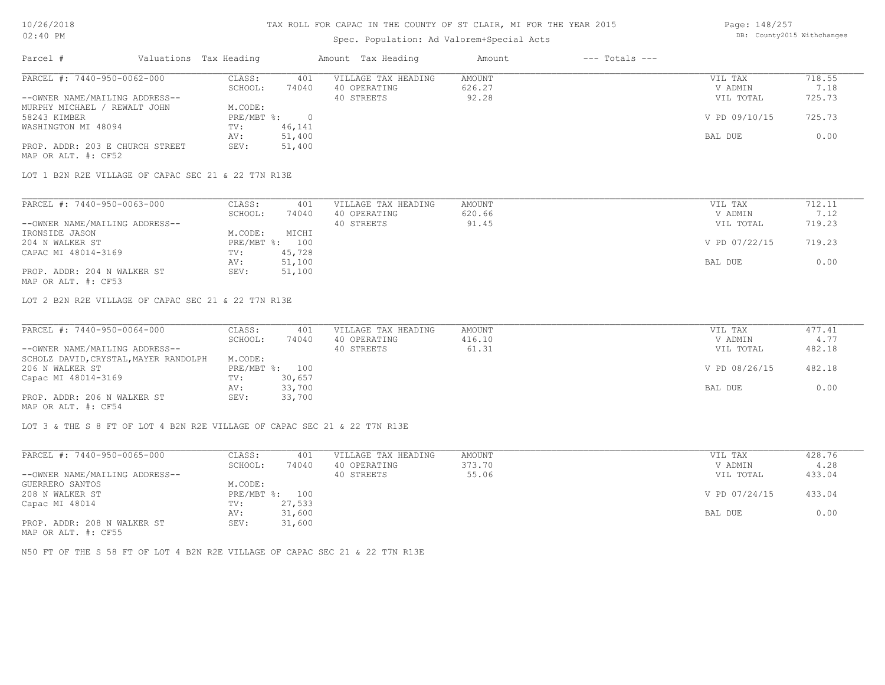### Spec. Population: Ad Valorem+Special Acts

| Page: 148/257 |                            |
|---------------|----------------------------|
|               | DB: County2015 Withchanges |

| Parcel #                                               | Valuations Tax Heading |        | Amount Tax Heading  | Amount | $---$ Totals $---$ |               |        |
|--------------------------------------------------------|------------------------|--------|---------------------|--------|--------------------|---------------|--------|
| PARCEL #: 7440-950-0062-000                            | CLASS:                 | 401    | VILLAGE TAX HEADING | AMOUNT |                    | VIL TAX       | 718.55 |
|                                                        | SCHOOL:                | 74040  | 40 OPERATING        | 626.27 |                    | V ADMIN       | 7.18   |
| --OWNER NAME/MAILING ADDRESS--                         |                        |        | 40 STREETS          | 92.28  |                    | VIL TOTAL     | 725.73 |
| MURPHY MICHAEL / REWALT JOHN                           | M.CODE:                |        |                     |        |                    |               |        |
| 58243 KIMBER                                           | $PRE/MBT$ %:           |        |                     |        |                    | V PD 09/10/15 | 725.73 |
| WASHINGTON MI 48094                                    | TV:                    | 46,141 |                     |        |                    |               |        |
|                                                        | AV:                    | 51,400 |                     |        |                    | BAL DUE       | 0.00   |
| PROP. ADDR: 203 E CHURCH STREET<br>MAP OR ALT. #: CF52 | SEV:                   | 51,400 |                     |        |                    |               |        |

LOT 1 B2N R2E VILLAGE OF CAPAC SEC 21 & 22 T7N R13E

| PARCEL #: 7440-950-0063-000    | CLASS:  | 401            | VILLAGE TAX HEADING | AMOUNT | VIL TAX       | 712.11 |
|--------------------------------|---------|----------------|---------------------|--------|---------------|--------|
|                                | SCHOOL: | 74040          | 40 OPERATING        | 620.66 | V ADMIN       | 7.12   |
| --OWNER NAME/MAILING ADDRESS-- |         |                | 40 STREETS          | 91.45  | VIL TOTAL     | 719.23 |
| IRONSIDE JASON                 | M.CODE: | MICHI          |                     |        |               |        |
| 204 N WALKER ST                |         | PRE/MBT %: 100 |                     |        | V PD 07/22/15 | 719.23 |
| CAPAC MI 48014-3169            | TV:     | 45,728         |                     |        |               |        |
|                                | AV:     | 51,100         |                     |        | BAL DUE       | 0.00   |
| PROP. ADDR: 204 N WALKER ST    | SEV:    | 51,100         |                     |        |               |        |
| MAP OR ALT. #: CF53            |         |                |                     |        |               |        |

LOT 2 B2N R2E VILLAGE OF CAPAC SEC 21 & 22 T7N R13E

| PARCEL #: 7440-950-0064-000           | CLASS:  | 401            | VILLAGE TAX HEADING | AMOUNT | VIL TAX       | 477.41 |
|---------------------------------------|---------|----------------|---------------------|--------|---------------|--------|
|                                       | SCHOOL: | 74040          | 40 OPERATING        | 416.10 | V ADMIN       | 4.77   |
| --OWNER NAME/MAILING ADDRESS--        |         |                | 40 STREETS          | 61.31  | VIL TOTAL     | 482.18 |
| SCHOLZ DAVID, CRYSTAL, MAYER RANDOLPH | M.CODE: |                |                     |        |               |        |
| 206 N WALKER ST                       |         | PRE/MBT %: 100 |                     |        | V PD 08/26/15 | 482.18 |
| Capac MI 48014-3169                   | TV:     | 30,657         |                     |        |               |        |
|                                       | AV:     | 33,700         |                     |        | BAL DUE       | 0.00   |
| PROP. ADDR: 206 N WALKER ST           | SEV:    | 33,700         |                     |        |               |        |
| MAP OR ALT. #: CF54                   |         |                |                     |        |               |        |

LOT 3 & THE S 8 FT OF LOT 4 B2N R2E VILLAGE OF CAPAC SEC 21 & 22 T7N R13E

| PARCEL #: 7440-950-0065-000    | CLASS:       | 401    | VILLAGE TAX HEADING | AMOUNT | VIL TAX       | 428.76 |
|--------------------------------|--------------|--------|---------------------|--------|---------------|--------|
|                                | SCHOOL:      | 74040  | 40 OPERATING        | 373.70 | V ADMIN       | 4.28   |
| --OWNER NAME/MAILING ADDRESS-- |              |        | 40 STREETS          | 55.06  | VIL TOTAL     | 433.04 |
| GUERRERO SANTOS                | M.CODE:      |        |                     |        |               |        |
| 208 N WALKER ST                | $PRE/MBT$ %: | 100    |                     |        | V PD 07/24/15 | 433.04 |
| Capac MI 48014                 | TV:          | 27,533 |                     |        |               |        |
|                                | AV:          | 31,600 |                     |        | BAL DUE       | 0.00   |
| PROP. ADDR: 208 N WALKER ST    | SEV:         | 31,600 |                     |        |               |        |
| MAP OR ALT. #: CF55            |              |        |                     |        |               |        |

N50 FT OF THE S 58 FT OF LOT 4 B2N R2E VILLAGE OF CAPAC SEC 21 & 22 T7N R13E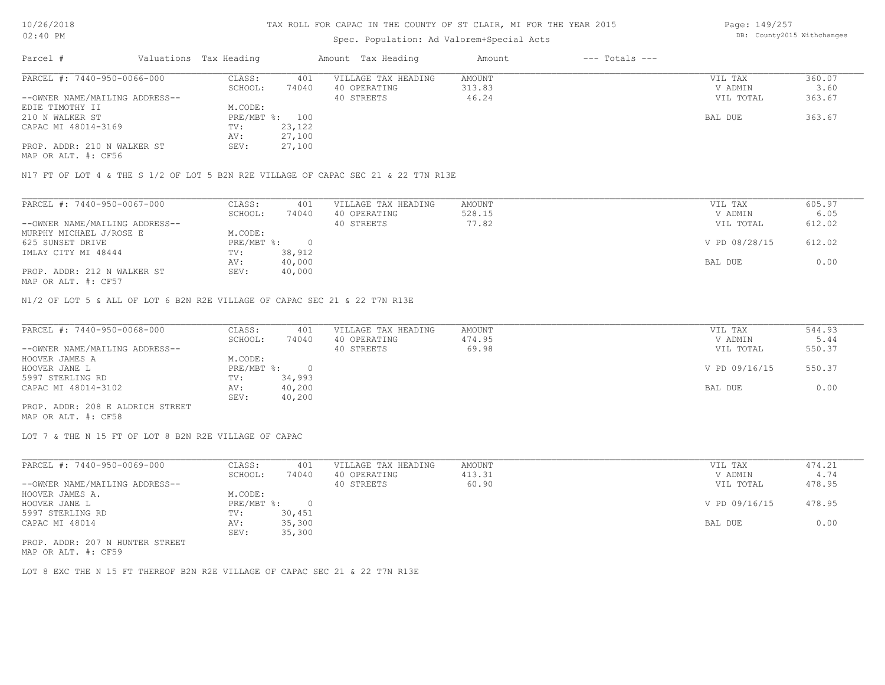### Spec. Population: Ad Valorem+Special Acts

Page: 149/257 DB: County2015 Withchanges

| Parcel #                       | Valuations Tax Heading |        | Amount Tax Heading  | Amount | $---$ Totals $---$ |           |        |
|--------------------------------|------------------------|--------|---------------------|--------|--------------------|-----------|--------|
| PARCEL #: 7440-950-0066-000    | CLASS:                 | 401    | VILLAGE TAX HEADING | AMOUNT |                    | VIL TAX   | 360.07 |
|                                | SCHOOL:                | 74040  | 40 OPERATING        | 313.83 |                    | V ADMIN   | 3.60   |
| --OWNER NAME/MAILING ADDRESS-- |                        |        | 40 STREETS          | 46.24  |                    | VIL TOTAL | 363.67 |
| EDIE TIMOTHY II                | M.CODE:                |        |                     |        |                    |           |        |
| 210 N WALKER ST                | PRE/MBT %: 100         |        |                     |        |                    | BAL DUE   | 363.67 |
| CAPAC MI 48014-3169            | TV:                    | 23,122 |                     |        |                    |           |        |
|                                | AV:                    | 27,100 |                     |        |                    |           |        |
| PROP. ADDR: 210 N WALKER ST    | SEV:                   | 27,100 |                     |        |                    |           |        |
|                                |                        |        |                     |        |                    |           |        |

MAP OR ALT. #: CF56

N17 FT OF LOT 4 & THE S 1/2 OF LOT 5 B2N R2E VILLAGE OF CAPAC SEC 21 & 22 T7N R13E

| PARCEL #: 7440-950-0067-000    | CLASS:     | 401    | VILLAGE TAX HEADING | AMOUNT | VIL TAX       | 605.97 |
|--------------------------------|------------|--------|---------------------|--------|---------------|--------|
|                                | SCHOOL:    | 74040  | 40 OPERATING        | 528.15 | V ADMIN       | 6.05   |
| --OWNER NAME/MAILING ADDRESS-- |            |        | 40 STREETS          | 77.82  | VIL TOTAL     | 612.02 |
| MURPHY MICHAEL J/ROSE E        | M.CODE:    |        |                     |        |               |        |
| 625 SUNSET DRIVE               | PRE/MBT %: |        |                     |        | V PD 08/28/15 | 612.02 |
| IMLAY CITY MI 48444            | TV:        | 38,912 |                     |        |               |        |
|                                | AV:        | 40,000 |                     |        | BAL DUE       | 0.00   |
| PROP. ADDR: 212 N WALKER ST    | SEV:       | 40,000 |                     |        |               |        |
| MAP OR ALT. #: CF57            |            |        |                     |        |               |        |

N1/2 OF LOT 5 & ALL OF LOT 6 B2N R2E VILLAGE OF CAPAC SEC 21 & 22 T7N R13E

| PARCEL #: 7440-950-0068-000      | CLASS:     | 401    | VILLAGE TAX HEADING | AMOUNT | VIL TAX       | 544.93 |
|----------------------------------|------------|--------|---------------------|--------|---------------|--------|
|                                  | SCHOOL:    | 74040  | 40 OPERATING        | 474.95 | V ADMIN       | 5.44   |
| --OWNER NAME/MAILING ADDRESS--   |            |        | 40 STREETS          | 69.98  | VIL TOTAL     | 550.37 |
| HOOVER JAMES A                   | M.CODE:    |        |                     |        |               |        |
| HOOVER JANE L                    | PRE/MBT %: |        |                     |        | V PD 09/16/15 | 550.37 |
| 5997 STERLING RD                 | TV:        | 34,993 |                     |        |               |        |
| CAPAC MI 48014-3102              | AV:        | 40,200 |                     |        | BAL DUE       | 0.00   |
|                                  | SEV:       | 40,200 |                     |        |               |        |
| PROP. ADDR: 208 E ALDRICH STREET |            |        |                     |        |               |        |

MAP OR ALT. #: CF58

LOT 7 & THE N 15 FT OF LOT 8 B2N R2E VILLAGE OF CAPAC

| PARCEL #: 7440-950-0069-000     | CLASS:     | 401    | VILLAGE TAX HEADING | AMOUNT | VIL TAX       | 474.21 |
|---------------------------------|------------|--------|---------------------|--------|---------------|--------|
|                                 | SCHOOL:    | 74040  | 40 OPERATING        | 413.31 | V ADMIN       | 4.74   |
| --OWNER NAME/MAILING ADDRESS--  |            |        | 40 STREETS          | 60.90  | VIL TOTAL     | 478.95 |
| HOOVER JAMES A.                 | M.CODE:    |        |                     |        |               |        |
| HOOVER JANE L                   | PRE/MBT %: |        |                     |        | V PD 09/16/15 | 478.95 |
| 5997 STERLING RD                | TV:        | 30,451 |                     |        |               |        |
| CAPAC MI 48014                  | AV:        | 35,300 |                     |        | BAL DUE       | 0.00   |
|                                 | SEV:       | 35,300 |                     |        |               |        |
| PROP. ADDR: 207 N HUNTER STREET |            |        |                     |        |               |        |

MAP OR ALT. #: CF59

LOT 8 EXC THE N 15 FT THEREOF B2N R2E VILLAGE OF CAPAC SEC 21 & 22 T7N R13E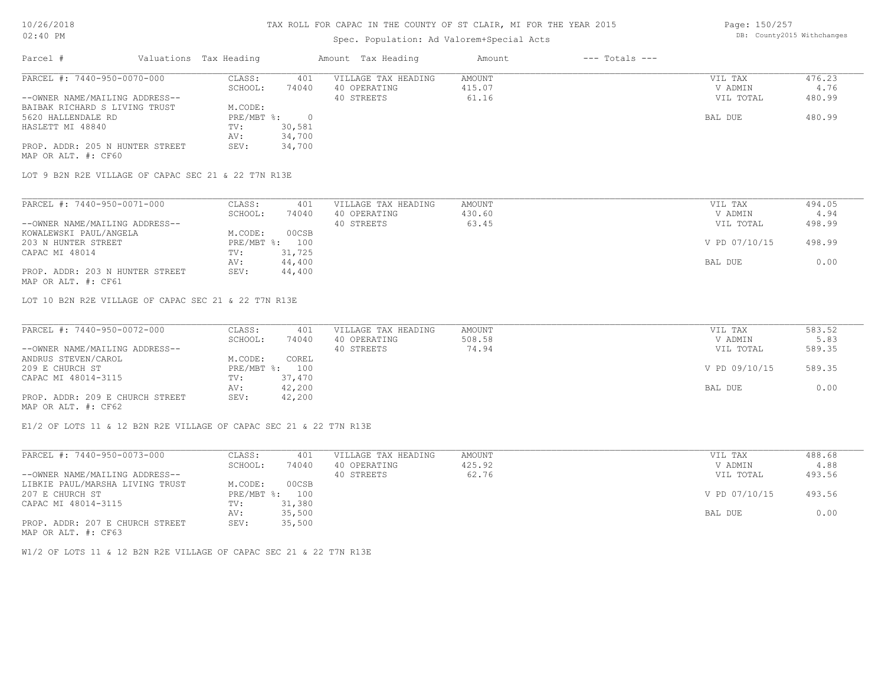# Spec. Population: Ad Valorem+Special Acts

Page: 150/257 DB: County2015 Withchanges

| Parcel #                        | Valuations Tax Heading |        | Amount Tax Heading  | Amount | $---$ Totals $---$ |           |        |
|---------------------------------|------------------------|--------|---------------------|--------|--------------------|-----------|--------|
| PARCEL #: 7440-950-0070-000     | CLASS:                 | 401    | VILLAGE TAX HEADING | AMOUNT |                    | VIL TAX   | 476.23 |
|                                 | SCHOOL:                | 74040  | 40 OPERATING        | 415.07 |                    | V ADMIN   | 4.76   |
| --OWNER NAME/MAILING ADDRESS--  |                        |        | 40 STREETS          | 61.16  |                    | VIL TOTAL | 480.99 |
| BAIBAK RICHARD S LIVING TRUST   | M.CODE:                |        |                     |        |                    |           |        |
| 5620 HALLENDALE RD              | $PRE/MBT$ %:           |        |                     |        |                    | BAL DUE   | 480.99 |
| HASLETT MI 48840                | TV:                    | 30,581 |                     |        |                    |           |        |
|                                 | AV:                    | 34,700 |                     |        |                    |           |        |
| PROP. ADDR: 205 N HUNTER STREET | SEV:                   | 34,700 |                     |        |                    |           |        |
| MAP OR ALT. #: CF60             |                        |        |                     |        |                    |           |        |

LOT 9 B2N R2E VILLAGE OF CAPAC SEC 21 & 22 T7N R13E

| PARCEL #: 7440-950-0071-000     | CLASS:  | 401            | VILLAGE TAX HEADING | AMOUNT | VIL TAX       | 494.05 |
|---------------------------------|---------|----------------|---------------------|--------|---------------|--------|
|                                 | SCHOOL: | 74040          | 40 OPERATING        | 430.60 | V ADMIN       | 4.94   |
| --OWNER NAME/MAILING ADDRESS--  |         |                | 40 STREETS          | 63.45  | VIL TOTAL     | 498.99 |
| KOWALEWSKI PAUL/ANGELA          | M.CODE: | 00CSB          |                     |        |               |        |
| 203 N HUNTER STREET             |         | PRE/MBT %: 100 |                     |        | V PD 07/10/15 | 498.99 |
| CAPAC MI 48014                  | TV:     | 31,725         |                     |        |               |        |
|                                 | AV:     | 44,400         |                     |        | BAL DUE       | 0.00   |
| PROP. ADDR: 203 N HUNTER STREET | SEV:    | 44,400         |                     |        |               |        |
| MAP OR ALT. #: CF61             |         |                |                     |        |               |        |

LOT 10 B2N R2E VILLAGE OF CAPAC SEC 21 & 22 T7N R13E

| PARCEL #: 7440-950-0072-000     | CLASS:       | 401    | VILLAGE TAX HEADING | AMOUNT | VIL TAX       | 583.52 |
|---------------------------------|--------------|--------|---------------------|--------|---------------|--------|
|                                 | SCHOOL:      | 74040  | 40 OPERATING        | 508.58 | V ADMIN       | 5.83   |
| --OWNER NAME/MAILING ADDRESS--  |              |        | 40 STREETS          | 74.94  | VIL TOTAL     | 589.35 |
| ANDRUS STEVEN/CAROL             | M.CODE:      | COREL  |                     |        |               |        |
| 209 E CHURCH ST                 | $PRE/MBT$ %: | 100    |                     |        | V PD 09/10/15 | 589.35 |
| CAPAC MI 48014-3115             | TV:          | 37,470 |                     |        |               |        |
|                                 | AV:          | 42,200 |                     |        | BAL DUE       | 0.00   |
| PROP. ADDR: 209 E CHURCH STREET | SEV:         | 42,200 |                     |        |               |        |
| MAP OR ALT. #: CF62             |              |        |                     |        |               |        |

 $\mathcal{L}_\mathcal{L} = \mathcal{L}_\mathcal{L} = \mathcal{L}_\mathcal{L} = \mathcal{L}_\mathcal{L} = \mathcal{L}_\mathcal{L} = \mathcal{L}_\mathcal{L} = \mathcal{L}_\mathcal{L} = \mathcal{L}_\mathcal{L} = \mathcal{L}_\mathcal{L} = \mathcal{L}_\mathcal{L} = \mathcal{L}_\mathcal{L} = \mathcal{L}_\mathcal{L} = \mathcal{L}_\mathcal{L} = \mathcal{L}_\mathcal{L} = \mathcal{L}_\mathcal{L} = \mathcal{L}_\mathcal{L} = \mathcal{L}_\mathcal{L}$ 

E1/2 OF LOTS 11 & 12 B2N R2E VILLAGE OF CAPAC SEC 21 & 22 T7N R13E

| PARCEL #: 7440-950-0073-000     | CLASS:       | 401    | VILLAGE TAX HEADING | AMOUNT | VIL TAX       | 488.68 |
|---------------------------------|--------------|--------|---------------------|--------|---------------|--------|
|                                 | SCHOOL:      | 74040  | 40 OPERATING        | 425.92 | V ADMIN       | 4.88   |
| --OWNER NAME/MAILING ADDRESS--  |              |        | 40 STREETS          | 62.76  | VIL TOTAL     | 493.56 |
| LIBKIE PAUL/MARSHA LIVING TRUST | M.CODE:      | 00CSB  |                     |        |               |        |
| 207 E CHURCH ST                 | $PRE/MBT$ %: | 100    |                     |        | V PD 07/10/15 | 493.56 |
| CAPAC MI 48014-3115             | TV:          | 31,380 |                     |        |               |        |
|                                 | AV:          | 35,500 |                     |        | BAL DUE       | 0.00   |
| PROP. ADDR: 207 E CHURCH STREET | SEV:         | 35,500 |                     |        |               |        |
| MAP OR ALT. #: CF63             |              |        |                     |        |               |        |

W1/2 OF LOTS 11 & 12 B2N R2E VILLAGE OF CAPAC SEC 21 & 22 T7N R13E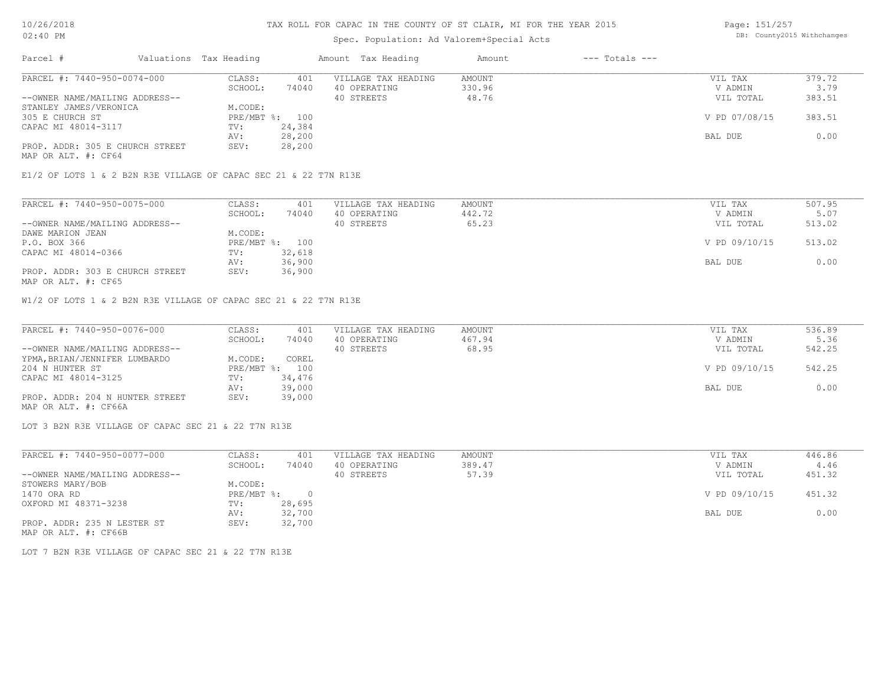### Spec. Population: Ad Valorem+Special Acts

Page: 151/257 DB: County2015 Withchanges

| Parcel #                        | Valuations Tax Heading |        | Amount Tax Heading  | Amount | $---$ Totals $---$ |               |        |
|---------------------------------|------------------------|--------|---------------------|--------|--------------------|---------------|--------|
| PARCEL #: 7440-950-0074-000     | CLASS:                 | 401    | VILLAGE TAX HEADING | AMOUNT |                    | VIL TAX       | 379.72 |
|                                 | SCHOOL:                | 74040  | 40 OPERATING        | 330.96 |                    | V ADMIN       | 3.79   |
| --OWNER NAME/MAILING ADDRESS--  |                        |        | 40 STREETS          | 48.76  |                    | VIL TOTAL     | 383.51 |
| STANLEY JAMES/VERONICA          | M.CODE:                |        |                     |        |                    |               |        |
| 305 E CHURCH ST                 | PRE/MBT %: 100         |        |                     |        |                    | V PD 07/08/15 | 383.51 |
| CAPAC MI 48014-3117             | TV:                    | 24,384 |                     |        |                    |               |        |
|                                 | AV:                    | 28,200 |                     |        |                    | BAL DUE       | 0.00   |
| PROP. ADDR: 305 E CHURCH STREET | SEV:                   | 28,200 |                     |        |                    |               |        |
|                                 |                        |        |                     |        |                    |               |        |

MAP OR ALT. #: CF64

E1/2 OF LOTS 1 & 2 B2N R3E VILLAGE OF CAPAC SEC 21 & 22 T7N R13E

| PARCEL #: 7440-950-0075-000     | CLASS:     | 401    | VILLAGE TAX HEADING | AMOUNT | VIL TAX       | 507.95 |
|---------------------------------|------------|--------|---------------------|--------|---------------|--------|
|                                 | SCHOOL:    | 74040  | 40 OPERATING        | 442.72 | V ADMIN       | 5.07   |
| --OWNER NAME/MAILING ADDRESS--  |            |        | 40 STREETS          | 65.23  | VIL TOTAL     | 513.02 |
| DAWE MARION JEAN                | M.CODE:    |        |                     |        |               |        |
| P.O. BOX 366                    | PRE/MBT %: | 100    |                     |        | V PD 09/10/15 | 513.02 |
| CAPAC MI 48014-0366             | TV:        | 32,618 |                     |        |               |        |
|                                 | AV:        | 36,900 |                     |        | BAL DUE       | 0.00   |
| PROP. ADDR: 303 E CHURCH STREET | SEV:       | 36,900 |                     |        |               |        |
| MAP OR ALT. #: CF65             |            |        |                     |        |               |        |

W1/2 OF LOTS 1 & 2 B2N R3E VILLAGE OF CAPAC SEC 21 & 22 T7N R13E

| PARCEL #: 7440-950-0076-000     | CLASS:  | 401            | VILLAGE TAX HEADING | AMOUNT | VIL TAX       | 536.89 |
|---------------------------------|---------|----------------|---------------------|--------|---------------|--------|
|                                 | SCHOOL: | 74040          | 40 OPERATING        | 467.94 | V ADMIN       | 5.36   |
| --OWNER NAME/MAILING ADDRESS--  |         |                | 40 STREETS          | 68.95  | VIL TOTAL     | 542.25 |
| YPMA, BRIAN/JENNIFER LUMBARDO   | M.CODE: | COREL          |                     |        |               |        |
| 204 N HUNTER ST                 |         | PRE/MBT %: 100 |                     |        | V PD 09/10/15 | 542.25 |
| CAPAC MI 48014-3125             | TV:     | 34,476         |                     |        |               |        |
|                                 | AV:     | 39,000         |                     |        | BAL DUE       | 0.00   |
| PROP. ADDR: 204 N HUNTER STREET | SEV:    | 39,000         |                     |        |               |        |
| MAP OR ALT. #: CF66A            |         |                |                     |        |               |        |

LOT 3 B2N R3E VILLAGE OF CAPAC SEC 21 & 22 T7N R13E

| PARCEL #: 7440-950-0077-000    | CLASS:     | 401    | VILLAGE TAX HEADING | AMOUNT | VIL TAX       | 446.86 |
|--------------------------------|------------|--------|---------------------|--------|---------------|--------|
|                                | SCHOOL:    | 74040  | 40 OPERATING        | 389.47 | V ADMIN       | 4.46   |
| --OWNER NAME/MAILING ADDRESS-- |            |        | 40 STREETS          | 57.39  | VIL TOTAL     | 451.32 |
| STOWERS MARY/BOB               | M.CODE:    |        |                     |        |               |        |
| 1470 ORA RD                    | PRE/MBT %: | 0.     |                     |        | V PD 09/10/15 | 451.32 |
| OXFORD MI 48371-3238           | TV:        | 28,695 |                     |        |               |        |
|                                | AV:        | 32,700 |                     |        | BAL DUE       | 0.00   |
| PROP. ADDR: 235 N LESTER ST    | SEV:       | 32,700 |                     |        |               |        |
| MAP OR ALT. #: CF66B           |            |        |                     |        |               |        |

LOT 7 B2N R3E VILLAGE OF CAPAC SEC 21 & 22 T7N R13E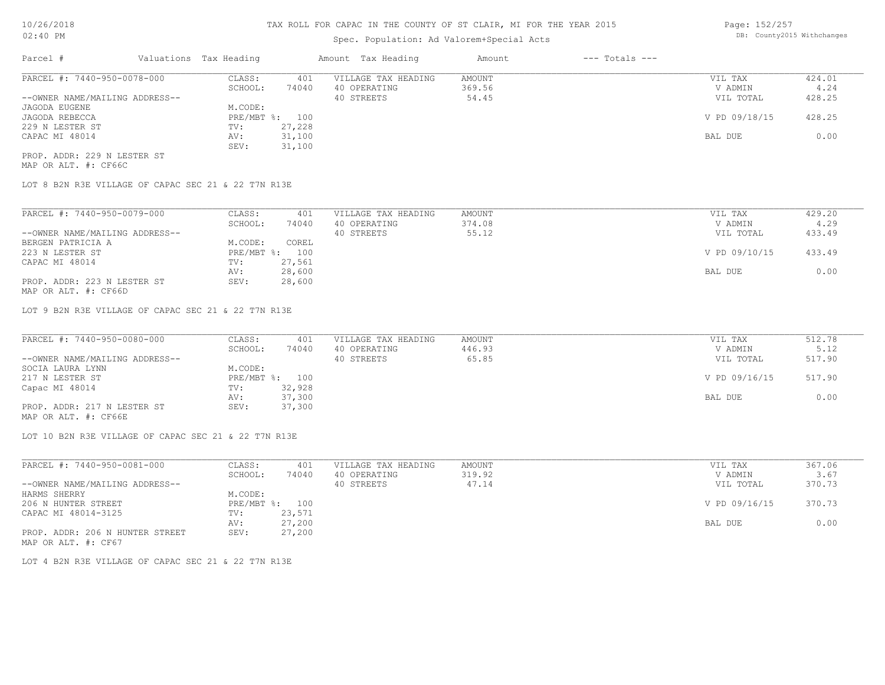### Spec. Population: Ad Valorem+Special Acts

Page: 152/257 DB: County2015 Withchanges

| Parcel #                       | Valuations Tax Heading |        | Amount Tax Heading  | Amount | $---$ Totals $---$ |               |        |
|--------------------------------|------------------------|--------|---------------------|--------|--------------------|---------------|--------|
| PARCEL #: 7440-950-0078-000    | CLASS:                 | 401    | VILLAGE TAX HEADING | AMOUNT |                    | VIL TAX       | 424.01 |
|                                | SCHOOL:                | 74040  | 40 OPERATING        | 369.56 |                    | V ADMIN       | 4.24   |
| --OWNER NAME/MAILING ADDRESS-- |                        |        | 40 STREETS          | 54.45  |                    | VIL TOTAL     | 428.25 |
| JAGODA EUGENE                  | M.CODE:                |        |                     |        |                    |               |        |
| JAGODA REBECCA                 | PRE/MBT %: 100         |        |                     |        |                    | V PD 09/18/15 | 428.25 |
| 229 N LESTER ST                | TV:                    | 27,228 |                     |        |                    |               |        |
| CAPAC MI 48014                 | AV:                    | 31,100 |                     |        |                    | BAL DUE       | 0.00   |
|                                | SEV:                   | 31,100 |                     |        |                    |               |        |
| PROP. ADDR: 229 N LESTER ST    |                        |        |                     |        |                    |               |        |

MAP OR ALT. #: CF66C

LOT 8 B2N R3E VILLAGE OF CAPAC SEC 21 & 22 T7N R13E

| PARCEL #: 7440-950-0079-000    | CLASS:         | 401    | VILLAGE TAX HEADING | AMOUNT | VIL TAX       | 429.20 |
|--------------------------------|----------------|--------|---------------------|--------|---------------|--------|
|                                | SCHOOL:        | 74040  | 40 OPERATING        | 374.08 | V ADMIN       | 4.29   |
| --OWNER NAME/MAILING ADDRESS-- |                |        | 40 STREETS          | 55.12  | VIL TOTAL     | 433.49 |
| BERGEN PATRICIA A              | M.CODE:        | COREL  |                     |        |               |        |
| 223 N LESTER ST                | PRE/MBT %: 100 |        |                     |        | V PD 09/10/15 | 433.49 |
| CAPAC MI 48014                 | TV:            | 27,561 |                     |        |               |        |
|                                | AV:            | 28,600 |                     |        | BAL DUE       | 0.00   |
| PROP. ADDR: 223 N LESTER ST    | SEV:           | 28,600 |                     |        |               |        |

MAP OR ALT. #: CF66D

LOT 9 B2N R3E VILLAGE OF CAPAC SEC 21 & 22 T7N R13E

| PARCEL #: 7440-950-0080-000    | CLASS:  | 401            | VILLAGE TAX HEADING | AMOUNT | VIL TAX       | 512.78 |
|--------------------------------|---------|----------------|---------------------|--------|---------------|--------|
|                                | SCHOOL: | 74040          | 40 OPERATING        | 446.93 | V ADMIN       | 5.12   |
| --OWNER NAME/MAILING ADDRESS-- |         |                | 40 STREETS          | 65.85  | VIL TOTAL     | 517.90 |
| SOCIA LAURA LYNN               | M.CODE: |                |                     |        |               |        |
| 217 N LESTER ST                |         | PRE/MBT %: 100 |                     |        | V PD 09/16/15 | 517.90 |
| Capac MI 48014                 | TV:     | 32,928         |                     |        |               |        |
|                                | AV:     | 37,300         |                     |        | BAL DUE       | 0.00   |
| PROP. ADDR: 217 N LESTER ST    | SEV:    | 37,300         |                     |        |               |        |
|                                |         |                |                     |        |               |        |

MAP OR ALT. #: CF66E

LOT 10 B2N R3E VILLAGE OF CAPAC SEC 21 & 22 T7N R13E

| PARCEL #: 7440-950-0081-000     | CLASS:  | 401            | VILLAGE TAX HEADING | AMOUNT | VIL TAX       | 367.06 |
|---------------------------------|---------|----------------|---------------------|--------|---------------|--------|
|                                 | SCHOOL: | 74040          | 40 OPERATING        | 319.92 | V ADMIN       | 3.67   |
| --OWNER NAME/MAILING ADDRESS--  |         |                | 40 STREETS          | 47.14  | VIL TOTAL     | 370.73 |
| HARMS SHERRY                    | M.CODE: |                |                     |        |               |        |
| 206 N HUNTER STREET             |         | PRE/MBT %: 100 |                     |        | V PD 09/16/15 | 370.73 |
| CAPAC MI 48014-3125             | TV:     | 23,571         |                     |        |               |        |
|                                 | AV:     | 27,200         |                     |        | BAL DUE       | 0.00   |
| PROP. ADDR: 206 N HUNTER STREET | SEV:    | 27,200         |                     |        |               |        |
| MAP OR ALT. #: CF67             |         |                |                     |        |               |        |

LOT 4 B2N R3E VILLAGE OF CAPAC SEC 21 & 22 T7N R13E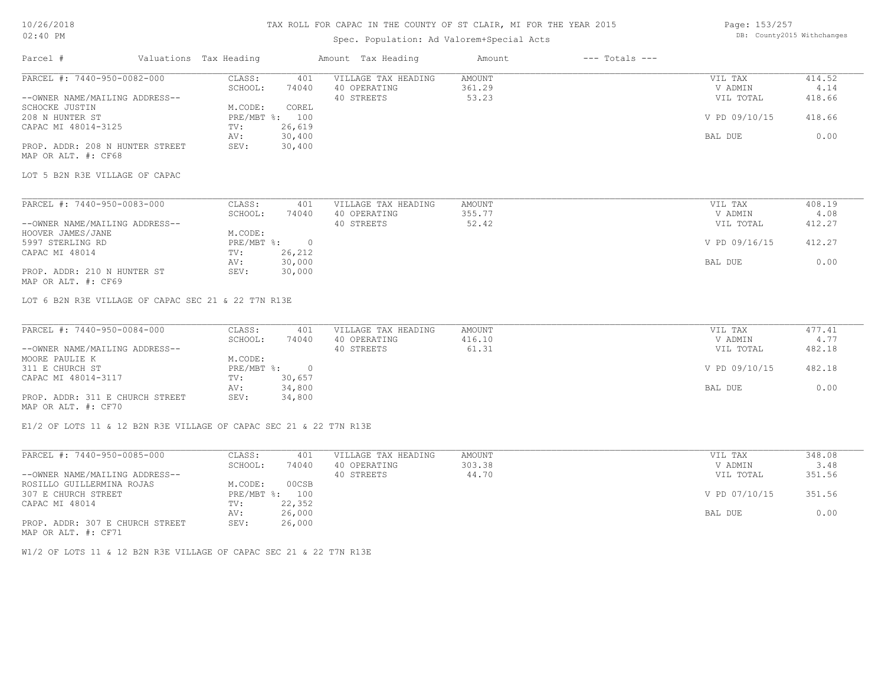MAP OR ALT. #: CF70

### TAX ROLL FOR CAPAC IN THE COUNTY OF ST CLAIR, MI FOR THE YEAR 2015

# Spec. Population: Ad Valorem+Special Acts

Page: 153/257 DB: County2015 Withchanges

| Parcel #                                               | Valuations Tax Heading |                | Amount Tax Heading  | Amount | $---$ Totals $---$ |               |        |
|--------------------------------------------------------|------------------------|----------------|---------------------|--------|--------------------|---------------|--------|
| PARCEL #: 7440-950-0082-000                            | CLASS:                 | 401            | VILLAGE TAX HEADING | AMOUNT |                    | VIL TAX       | 414.52 |
|                                                        | SCHOOL:                | 74040          | 40 OPERATING        | 361.29 |                    | V ADMIN       | 4.14   |
| --OWNER NAME/MAILING ADDRESS--                         |                        |                | 40 STREETS          | 53.23  |                    | VIL TOTAL     | 418.66 |
| SCHOCKE JUSTIN                                         | M.CODE:                | COREL          |                     |        |                    |               |        |
| 208 N HUNTER ST                                        |                        | PRE/MBT %: 100 |                     |        |                    | V PD 09/10/15 | 418.66 |
| CAPAC MI 48014-3125                                    | TV:                    | 26,619         |                     |        |                    |               |        |
|                                                        | AV:                    | 30,400         |                     |        |                    | BAL DUE       | 0.00   |
| PROP. ADDR: 208 N HUNTER STREET<br>MAP OR ALT. #: CF68 | SEV:                   | 30,400         |                     |        |                    |               |        |
| LOT 5 B2N R3E VILLAGE OF CAPAC                         |                        |                |                     |        |                    |               |        |
| PARCEL #: 7440-950-0083-000                            | CLASS:                 | 401            | VILLAGE TAX HEADING | AMOUNT |                    | VIL TAX       | 408.19 |
|                                                        | SCHOOL:                | 74040          | 40 OPERATING        | 355.77 |                    | V ADMIN       | 4.08   |
| --OWNER NAME/MAILING ADDRESS--                         |                        |                | 40 STREETS          | 52.42  |                    | VIL TOTAL     | 412.27 |
| HOOVER JAMES/JANE                                      | M.CODE:                |                |                     |        |                    |               |        |
| 5997 STERLING RD                                       |                        | PRE/MBT %: 0   |                     |        |                    | V PD 09/16/15 | 412.27 |
| CAPAC MI 48014                                         | TV:                    | 26,212         |                     |        |                    |               |        |
|                                                        | AV:                    | 30,000         |                     |        |                    | BAL DUE       | 0.00   |
| PROP. ADDR: 210 N HUNTER ST<br>MAP OR ALT. #: CF69     | SEV:                   | 30,000         |                     |        |                    |               |        |
| LOT 6 B2N R3E VILLAGE OF CAPAC SEC 21 & 22 T7N R13E    |                        |                |                     |        |                    |               |        |
| PARCEL #: 7440-950-0084-000                            | CLASS:                 | 401            | VILLAGE TAX HEADING | AMOUNT |                    | VIL TAX       | 477.41 |
|                                                        | SCHOOL:                | 74040          | 40 OPERATING        | 416.10 |                    | V ADMIN       | 4.77   |
| --OWNER NAME/MAILING ADDRESS--                         |                        |                | 40 STREETS          | 61.31  |                    | VIL TOTAL     | 482.18 |
| MOORE PAULIE K                                         | M.CODE:                |                |                     |        |                    |               |        |
| 311 E CHURCH ST                                        | PRE/MBT %:             | $\overline{0}$ |                     |        |                    | V PD 09/10/15 | 482.18 |
| CAPAC MI 48014-3117                                    | TV:                    | 30,657         |                     |        |                    |               |        |
|                                                        | AV:                    | 34,800         |                     |        |                    | BAL DUE       | 0.00   |
| PROP. ADDR: 311 E CHURCH STREET                        | SEV:                   | 34,800         |                     |        |                    |               |        |

E1/2 OF LOTS 11 & 12 B2N R3E VILLAGE OF CAPAC SEC 21 & 22 T7N R13E

| PARCEL #: 7440-950-0085-000     | CLASS:     | 401    | VILLAGE TAX HEADING | AMOUNT | VIL TAX       | 348.08 |
|---------------------------------|------------|--------|---------------------|--------|---------------|--------|
|                                 | SCHOOL:    | 74040  | 40 OPERATING        | 303.38 | V ADMIN       | 3.48   |
| --OWNER NAME/MAILING ADDRESS--  |            |        | 40 STREETS          | 44.70  | VIL TOTAL     | 351.56 |
| ROSILLO GUILLERMINA ROJAS       | M.CODE:    | 00CSB  |                     |        |               |        |
| 307 E CHURCH STREET             | PRE/MBT %: | 100    |                     |        | V PD 07/10/15 | 351.56 |
| CAPAC MI 48014                  | TV:        | 22,352 |                     |        |               |        |
|                                 | AV:        | 26,000 |                     |        | BAL DUE       | 0.00   |
| PROP. ADDR: 307 E CHURCH STREET | SEV:       | 26,000 |                     |        |               |        |
| MAP OR ALT. #: CF71             |            |        |                     |        |               |        |

W1/2 OF LOTS 11 & 12 B2N R3E VILLAGE OF CAPAC SEC 21 & 22 T7N R13E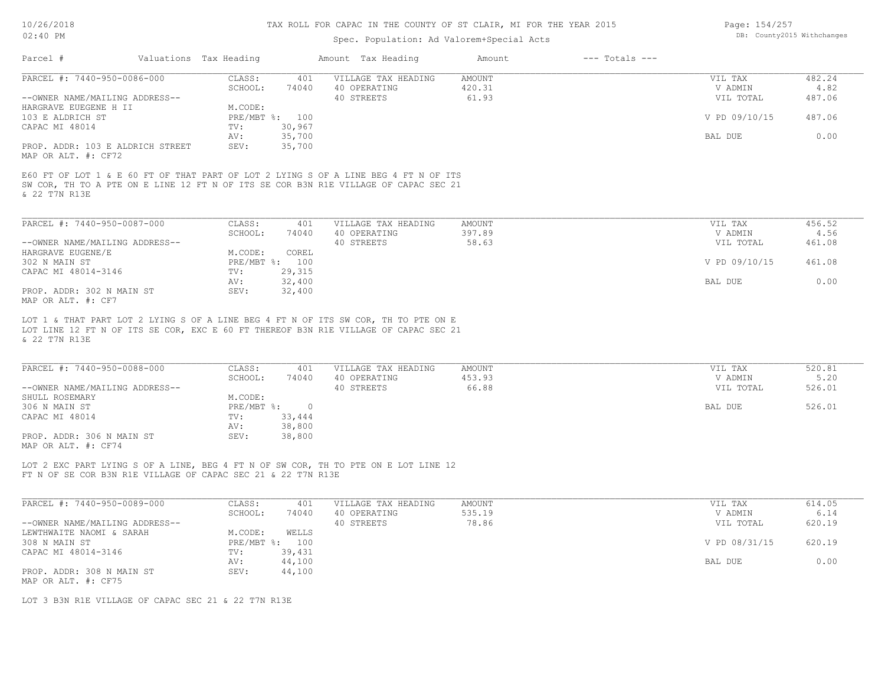### Spec. Population: Ad Valorem+Special Acts

| Page: 154/257 |                            |
|---------------|----------------------------|
|               | DB: County2015 Withchanges |

|                                                                                  | Valuations Tax Heading |        | Amount Tax Heading                                                                                                                                                         | Amount          | $---$ Totals $---$ |               |                |
|----------------------------------------------------------------------------------|------------------------|--------|----------------------------------------------------------------------------------------------------------------------------------------------------------------------------|-----------------|--------------------|---------------|----------------|
| PARCEL #: 7440-950-0086-000                                                      | CLASS:                 | 401    | VILLAGE TAX HEADING                                                                                                                                                        | AMOUNT          |                    | VIL TAX       | 482.24         |
|                                                                                  | SCHOOL:                | 74040  | 40 OPERATING                                                                                                                                                               | 420.31          |                    | V ADMIN       | 4.82           |
| --OWNER NAME/MAILING ADDRESS--                                                   |                        |        | 40 STREETS                                                                                                                                                                 | 61.93           |                    | VIL TOTAL     | 487.06         |
| HARGRAVE EUEGENE H II                                                            | M.CODE:                |        |                                                                                                                                                                            |                 |                    |               |                |
| 103 E ALDRICH ST                                                                 | PRE/MBT %: 100         |        |                                                                                                                                                                            |                 |                    | V PD 09/10/15 | 487.06         |
| CAPAC MI 48014                                                                   | TV:                    | 30,967 |                                                                                                                                                                            |                 |                    |               |                |
|                                                                                  | AV:                    | 35,700 |                                                                                                                                                                            |                 |                    | BAL DUE       | 0.00           |
| PROP. ADDR: 103 E ALDRICH STREET<br>MAP OR ALT. #: CF72                          | SEV:                   | 35,700 |                                                                                                                                                                            |                 |                    |               |                |
|                                                                                  |                        |        | E60 FT OF LOT 1 & E 60 FT OF THAT PART OF LOT 2 LYING S OF A LINE BEG 4 FT N OF ITS<br>SW COR, TH TO A PTE ON E LINE 12 FT N OF ITS SE COR B3N R1E VILLAGE OF CAPAC SEC 21 |                 |                    |               |                |
| PARCEL #: 7440-950-0087-000                                                      | CLASS:                 | 401    | VILLAGE TAX HEADING                                                                                                                                                        | <b>AMOUNT</b>   |                    | VIL TAX       | 456.52         |
|                                                                                  |                        | 74040  | 40 OPERATING                                                                                                                                                               |                 |                    | V ADMIN       |                |
| --OWNER NAME/MAILING ADDRESS--                                                   | SCHOOL:                |        | 40 STREETS                                                                                                                                                                 | 397.89<br>58.63 |                    | VIL TOTAL     | 4.56<br>461.08 |
|                                                                                  | M.CODE:                | COREL  |                                                                                                                                                                            |                 |                    |               |                |
|                                                                                  | PRE/MBT %:             | 100    |                                                                                                                                                                            |                 |                    | V PD 09/10/15 | 461.08         |
| CAPAC MI 48014-3146                                                              | TV:                    | 29,315 |                                                                                                                                                                            |                 |                    |               |                |
|                                                                                  | AV:                    | 32,400 |                                                                                                                                                                            |                 |                    | BAL DUE       | 0.00           |
| & 22 T7N R13E<br>HARGRAVE EUGENE/E<br>302 N MAIN ST<br>PROP. ADDR: 302 N MAIN ST | SEV:                   | 32,400 |                                                                                                                                                                            |                 |                    |               |                |

& 22 T7N R13E

| PARCEL #: 7440-950-0088-000    | CLASS:     | 401      | VILLAGE TAX HEADING | AMOUNT | VIL TAX | 520.81              |
|--------------------------------|------------|----------|---------------------|--------|---------|---------------------|
|                                | SCHOOL:    | 74040    | 40 OPERATING        | 453.93 | V ADMIN | 5.20                |
| --OWNER NAME/MAILING ADDRESS-- |            |          | 40 STREETS          | 66.88  |         | 526.01<br>VIL TOTAL |
| SHULL ROSEMARY                 | M.CODE:    |          |                     |        |         |                     |
| 306 N MAIN ST                  | PRE/MBT %: | $\Omega$ |                     |        | BAL DUE | 526.01              |
| CAPAC MI 48014                 | TV:        | 33,444   |                     |        |         |                     |
|                                | AV:        | 38,800   |                     |        |         |                     |
| PROP. ADDR: 306 N MAIN ST      | SEV:       | 38,800   |                     |        |         |                     |
| MAP OR ALT. #: CF74            |            |          |                     |        |         |                     |

 $\mathcal{L}_\mathcal{L} = \mathcal{L}_\mathcal{L} = \mathcal{L}_\mathcal{L} = \mathcal{L}_\mathcal{L} = \mathcal{L}_\mathcal{L} = \mathcal{L}_\mathcal{L} = \mathcal{L}_\mathcal{L} = \mathcal{L}_\mathcal{L} = \mathcal{L}_\mathcal{L} = \mathcal{L}_\mathcal{L} = \mathcal{L}_\mathcal{L} = \mathcal{L}_\mathcal{L} = \mathcal{L}_\mathcal{L} = \mathcal{L}_\mathcal{L} = \mathcal{L}_\mathcal{L} = \mathcal{L}_\mathcal{L} = \mathcal{L}_\mathcal{L}$ 

FT N OF SE COR B3N R1E VILLAGE OF CAPAC SEC 21 & 22 T7N R13E LOT 2 EXC PART LYING S OF A LINE, BEG 4 FT N OF SW COR, TH TO PTE ON E LOT LINE 12

| PARCEL #: 7440-950-0089-000    | CLASS:     | 401    | VILLAGE TAX HEADING | AMOUNT | VIL TAX       | 614.05 |
|--------------------------------|------------|--------|---------------------|--------|---------------|--------|
|                                | SCHOOL:    | 74040  | 40 OPERATING        | 535.19 | V ADMIN       | 6.14   |
| --OWNER NAME/MAILING ADDRESS-- |            |        | 40 STREETS          | 78.86  | VIL TOTAL     | 620.19 |
| LEWTHWAITE NAOMI & SARAH       | M.CODE:    | WELLS  |                     |        |               |        |
| 308 N MAIN ST                  | PRE/MBT %: | 100    |                     |        | V PD 08/31/15 | 620.19 |
| CAPAC MI 48014-3146            | TV:        | 39,431 |                     |        |               |        |
|                                | AV:        | 44,100 |                     |        | BAL DUE       | 0.00   |
| PROP. ADDR: 308 N MAIN ST      | SEV:       | 44,100 |                     |        |               |        |
| MAP OR ALT. #: CF75            |            |        |                     |        |               |        |

LOT 3 B3N R1E VILLAGE OF CAPAC SEC 21 & 22 T7N R13E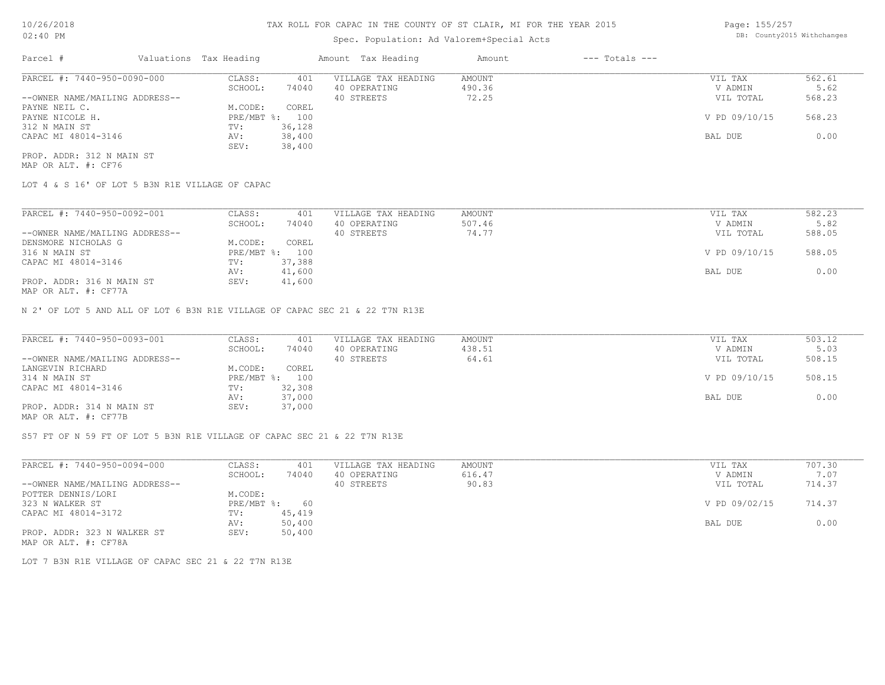# Spec. Population: Ad Valorem+Special Acts

Page: 155/257 DB: County2015 Withchanges

| Parcel #                       | Valuations Tax Heading |        | Amount Tax Heading  | Amount | $---$ Totals $---$ |               |        |
|--------------------------------|------------------------|--------|---------------------|--------|--------------------|---------------|--------|
| PARCEL #: 7440-950-0090-000    | CLASS:                 | 401    | VILLAGE TAX HEADING | AMOUNT |                    | VIL TAX       | 562.61 |
|                                | SCHOOL:                | 74040  | 40 OPERATING        | 490.36 |                    | V ADMIN       | 5.62   |
| --OWNER NAME/MAILING ADDRESS-- |                        |        | 40 STREETS          | 72.25  |                    | VIL TOTAL     | 568.23 |
| PAYNE NEIL C.                  | M.CODE:                | COREL  |                     |        |                    |               |        |
| PAYNE NICOLE H.                | PRE/MBT %:             | 100    |                     |        |                    | V PD 09/10/15 | 568.23 |
| 312 N MAIN ST                  | TV:                    | 36,128 |                     |        |                    |               |        |
| CAPAC MI 48014-3146            | AV:                    | 38,400 |                     |        |                    | BAL DUE       | 0.00   |
|                                | SEV:                   | 38,400 |                     |        |                    |               |        |
| PROP. ADDR: 312 N MAIN ST      |                        |        |                     |        |                    |               |        |

MAP OR ALT. #: CF76

LOT 4 & S 16' OF LOT 5 B3N R1E VILLAGE OF CAPAC

| PARCEL #: 7440-950-0092-001                               | CLASS:     | 401    | VILLAGE TAX HEADING | AMOUNT | VIL TAX       | 582.23 |
|-----------------------------------------------------------|------------|--------|---------------------|--------|---------------|--------|
|                                                           | SCHOOL:    | 74040  | 40 OPERATING        | 507.46 | V ADMIN       | 5.82   |
| --OWNER NAME/MAILING ADDRESS--                            |            |        | 40 STREETS          | 74.77  | VIL TOTAL     | 588.05 |
| DENSMORE NICHOLAS G                                       | M.CODE:    | COREL  |                     |        |               |        |
| 316 N MAIN ST                                             | PRE/MBT %: | 100    |                     |        | V PD 09/10/15 | 588.05 |
| CAPAC MI 48014-3146                                       | TV:        | 37,388 |                     |        |               |        |
|                                                           | AV:        | 41,600 |                     |        | BAL DUE       | 0.00   |
| PROP. ADDR: 316 N MAIN ST<br>$MAD$ $CD$ $ATH$ $L$ $CDT72$ | SEV:       | 41,600 |                     |        |               |        |

MAP OR ALT. #: CF77A

N 2' OF LOT 5 AND ALL OF LOT 6 B3N R1E VILLAGE OF CAPAC SEC 21 & 22 T7N R13E

| PARCEL #: 7440-950-0093-001                           | CLASS:  | 401            | VILLAGE TAX HEADING | AMOUNT | VIL TAX       | 503.12 |
|-------------------------------------------------------|---------|----------------|---------------------|--------|---------------|--------|
|                                                       | SCHOOL: | 74040          | 40 OPERATING        | 438.51 | V ADMIN       | 5.03   |
| --OWNER NAME/MAILING ADDRESS--                        |         |                | 40 STREETS          | 64.61  | VIL TOTAL     | 508.15 |
| LANGEVIN RICHARD                                      | M.CODE: | COREL          |                     |        |               |        |
| 314 N MAIN ST                                         |         | PRE/MBT %: 100 |                     |        | V PD 09/10/15 | 508.15 |
| CAPAC MI 48014-3146                                   | TV:     | 32,308         |                     |        |               |        |
|                                                       | AV:     | 37,000         |                     |        | BAL DUE       | 0.00   |
| PROP. ADDR: 314 N MAIN ST                             | SEV:    | 37,000         |                     |        |               |        |
| $\cdots$ $\cdots$ $\cdots$ $\cdots$ $\cdots$ $\cdots$ |         |                |                     |        |               |        |

MAP OR ALT. #: CF77B

S57 FT OF N 59 FT OF LOT 5 B3N R1E VILLAGE OF CAPAC SEC 21 & 22 T7N R13E

| PARCEL #: 7440-950-0094-000    | CLASS:       | 401    | VILLAGE TAX HEADING | AMOUNT | VIL TAX       | 707.30 |
|--------------------------------|--------------|--------|---------------------|--------|---------------|--------|
|                                | SCHOOL:      | 74040  | 40 OPERATING        | 616.47 | V ADMIN       | 7.07   |
| --OWNER NAME/MAILING ADDRESS-- |              |        | 40 STREETS          | 90.83  | VIL TOTAL     | 714.37 |
| POTTER DENNIS/LORI             | M.CODE:      |        |                     |        |               |        |
| 323 N WALKER ST                | $PRE/MBT$ %: | 60     |                     |        | V PD 09/02/15 | 714.37 |
| CAPAC MI 48014-3172            | TV:          | 45,419 |                     |        |               |        |
|                                | AV:          | 50,400 |                     |        | BAL DUE       | 0.00   |
| PROP. ADDR: 323 N WALKER ST    | SEV:         | 50,400 |                     |        |               |        |
| MAP OR ALT. #: CF78A           |              |        |                     |        |               |        |

LOT 7 B3N R1E VILLAGE OF CAPAC SEC 21 & 22 T7N R13E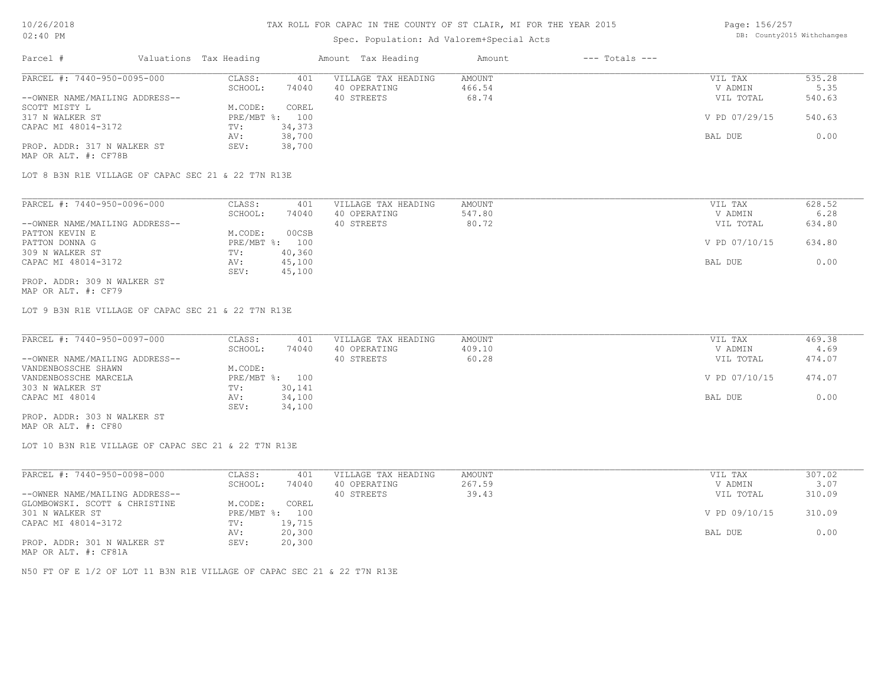### Spec. Population: Ad Valorem+Special Acts

| Page: 156/257 |                            |
|---------------|----------------------------|
|               | DB: County2015 Withchanges |

| Parcel #                       | Valuations Tax Heading |        | Amount Tax Heading  | Amount | $---$ Totals $---$ |               |        |
|--------------------------------|------------------------|--------|---------------------|--------|--------------------|---------------|--------|
| PARCEL #: 7440-950-0095-000    | CLASS:                 | 401    | VILLAGE TAX HEADING | AMOUNT |                    | VIL TAX       | 535.28 |
|                                | SCHOOL:                | 74040  | 40 OPERATING        | 466.54 |                    | V ADMIN       | 5.35   |
| --OWNER NAME/MAILING ADDRESS-- |                        |        | 40 STREETS          | 68.74  |                    | VIL TOTAL     | 540.63 |
| SCOTT MISTY L                  | M.CODE:                | COREL  |                     |        |                    |               |        |
| 317 N WALKER ST                | PRE/MBT %: 100         |        |                     |        |                    | V PD 07/29/15 | 540.63 |
| CAPAC MI 48014-3172            | TV:                    | 34,373 |                     |        |                    |               |        |
|                                | AV:                    | 38,700 |                     |        |                    | BAL DUE       | 0.00   |
| PROP. ADDR: 317 N WALKER ST    | SEV:                   | 38,700 |                     |        |                    |               |        |
|                                |                        |        |                     |        |                    |               |        |

MAP OR ALT. #: CF78B

LOT 8 B3N R1E VILLAGE OF CAPAC SEC 21 & 22 T7N R13E

| PARCEL #: 7440-950-0096-000    | CLASS:       | 401    | VILLAGE TAX HEADING | AMOUNT | VIL TAX       | 628.52 |
|--------------------------------|--------------|--------|---------------------|--------|---------------|--------|
|                                | SCHOOL:      | 74040  | 40 OPERATING        | 547.80 | V ADMIN       | 6.28   |
| --OWNER NAME/MAILING ADDRESS-- |              |        | 40 STREETS          | 80.72  | VIL TOTAL     | 634.80 |
| PATTON KEVIN E                 | M.CODE:      | 00CSB  |                     |        |               |        |
| PATTON DONNA G                 | $PRE/MBT$ %: | 100    |                     |        | V PD 07/10/15 | 634.80 |
| 309 N WALKER ST                | TV:          | 40,360 |                     |        |               |        |
| CAPAC MI 48014-3172            | AV:          | 45,100 |                     |        | BAL DUE       | 0.00   |
|                                | SEV:         | 45,100 |                     |        |               |        |
| PROP. ADDR: 309 N WALKER ST    |              |        |                     |        |               |        |

MAP OR ALT. #: CF79

LOT 9 B3N R1E VILLAGE OF CAPAC SEC 21 & 22 T7N R13E

| PARCEL #: 7440-950-0097-000    | CLASS:  | 401            | VILLAGE TAX HEADING | AMOUNT | VIL TAX       | 469.38 |
|--------------------------------|---------|----------------|---------------------|--------|---------------|--------|
|                                | SCHOOL: | 74040          | 40 OPERATING        | 409.10 | V ADMIN       | 4.69   |
| --OWNER NAME/MAILING ADDRESS-- |         |                | 40 STREETS          | 60.28  | VIL TOTAL     | 474.07 |
| VANDENBOSSCHE SHAWN            | M.CODE: |                |                     |        |               |        |
| VANDENBOSSCHE MARCELA          |         | PRE/MBT %: 100 |                     |        | V PD 07/10/15 | 474.07 |
| 303 N WALKER ST                | TV:     | 30,141         |                     |        |               |        |
| CAPAC MI 48014                 | AV:     | 34,100         |                     |        | BAL DUE       | 0.00   |
|                                | SEV:    | 34,100         |                     |        |               |        |
| PROP. ADDR: 303 N WALKER ST    |         |                |                     |        |               |        |

MAP OR ALT. #: CF80

LOT 10 B3N R1E VILLAGE OF CAPAC SEC 21 & 22 T7N R13E

| PARCEL #: 7440-950-0098-000    | CLASS:       | 401    | VILLAGE TAX HEADING | AMOUNT | VIL TAX       | 307.02 |
|--------------------------------|--------------|--------|---------------------|--------|---------------|--------|
|                                | SCHOOL:      | 74040  | 40 OPERATING        | 267.59 | V ADMIN       | 3.07   |
| --OWNER NAME/MAILING ADDRESS-- |              |        | 40 STREETS          | 39.43  | VIL TOTAL     | 310.09 |
| GLOMBOWSKI. SCOTT & CHRISTINE  | M.CODE:      | COREL  |                     |        |               |        |
| 301 N WALKER ST                | $PRE/MBT$ %: | 100    |                     |        | V PD 09/10/15 | 310.09 |
| CAPAC MI 48014-3172            | TV:          | 19,715 |                     |        |               |        |
|                                | AV:          | 20,300 |                     |        | BAL DUE       | 0.00   |
| PROP. ADDR: 301 N WALKER ST    | SEV:         | 20,300 |                     |        |               |        |
|                                |              |        |                     |        |               |        |

MAP OR ALT. #: CF81A

N50 FT OF E 1/2 OF LOT 11 B3N R1E VILLAGE OF CAPAC SEC 21 & 22 T7N R13E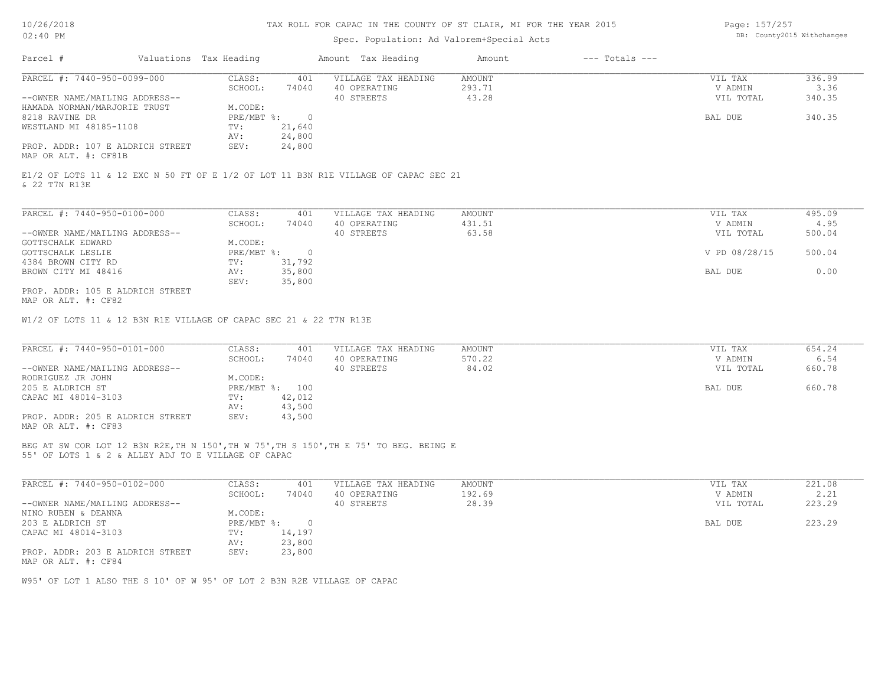### Spec. Population: Ad Valorem+Special Acts

Page: 157/257 DB: County2015 Withchanges

| Parcel #                                                 | Valuations Tax Heading |        | Amount Tax Heading  | Amount | $---$ Totals $---$ |           |        |
|----------------------------------------------------------|------------------------|--------|---------------------|--------|--------------------|-----------|--------|
| PARCEL #: 7440-950-0099-000                              | CLASS:                 | 401    | VILLAGE TAX HEADING | AMOUNT |                    | VIL TAX   | 336.99 |
|                                                          | SCHOOL:                | 74040  | 40 OPERATING        | 293.71 |                    | V ADMIN   | 3.36   |
| --OWNER NAME/MAILING ADDRESS--                           |                        |        | 40 STREETS          | 43.28  |                    | VIL TOTAL | 340.35 |
| HAMADA NORMAN/MARJORIE TRUST                             | M.CODE:                |        |                     |        |                    |           |        |
| 8218 RAVINE DR                                           | $PRE/MBT$ %:           |        |                     |        |                    | BAL DUE   | 340.35 |
| WESTLAND MI 48185-1108                                   | TV:                    | 21,640 |                     |        |                    |           |        |
|                                                          | AV:                    | 24,800 |                     |        |                    |           |        |
| PROP. ADDR: 107 E ALDRICH STREET<br>MAP OR ALT. #: CF81B | SEV:                   | 24,800 |                     |        |                    |           |        |

& 22 T7N R13E E1/2 OF LOTS 11 & 12 EXC N 50 FT OF E 1/2 OF LOT 11 B3N R1E VILLAGE OF CAPAC SEC 21

| PARCEL #: 7440-950-0100-000      | CLASS:     | 401    | VILLAGE TAX HEADING | AMOUNT | VIL TAX       | 495.09 |
|----------------------------------|------------|--------|---------------------|--------|---------------|--------|
|                                  | SCHOOL:    | 74040  | 40 OPERATING        | 431.51 | V ADMIN       | 4.95   |
| --OWNER NAME/MAILING ADDRESS--   |            |        | 40 STREETS          | 63.58  | VIL TOTAL     | 500.04 |
| GOTTSCHALK EDWARD                | M.CODE:    |        |                     |        |               |        |
| GOTTSCHALK LESLIE                | PRE/MBT %: |        |                     |        | V PD 08/28/15 | 500.04 |
| 4384 BROWN CITY RD               | TV:        | 31,792 |                     |        |               |        |
| BROWN CITY MI 48416              | AV:        | 35,800 |                     |        | BAL DUE       | 0.00   |
|                                  | SEV:       | 35,800 |                     |        |               |        |
| PROP. ADDR: 105 E ALDRICH STREET |            |        |                     |        |               |        |

MAP OR ALT. #: CF82

W1/2 OF LOTS 11 & 12 B3N R1E VILLAGE OF CAPAC SEC 21 & 22 T7N R13E

| PARCEL #: 7440-950-0101-000      | CLASS:  | 401            | VILLAGE TAX HEADING | AMOUNT | VIL TAX   | 654.24 |
|----------------------------------|---------|----------------|---------------------|--------|-----------|--------|
|                                  | SCHOOL: | 74040          | 40 OPERATING        | 570.22 | V ADMIN   | 6.54   |
| --OWNER NAME/MAILING ADDRESS--   |         |                | 40 STREETS          | 84.02  | VIL TOTAL | 660.78 |
| RODRIGUEZ JR JOHN                | M.CODE: |                |                     |        |           |        |
| 205 E ALDRICH ST                 |         | PRE/MBT %: 100 |                     |        | BAL DUE   | 660.78 |
| CAPAC MI 48014-3103              | TV:     | 42,012         |                     |        |           |        |
|                                  | AV:     | 43,500         |                     |        |           |        |
| PROP. ADDR: 205 E ALDRICH STREET | SEV:    | 43,500         |                     |        |           |        |
| MAP OR ALT. #: CF83              |         |                |                     |        |           |        |

55' OF LOTS 1 & 2 & ALLEY ADJ TO E VILLAGE OF CAPAC BEG AT SW COR LOT 12 B3N R2E,TH N 150',TH W 75',TH S 150',TH E 75' TO BEG. BEING E

| PARCEL #: 7440-950-0102-000      | CLASS:     | 401    | VILLAGE TAX HEADING | AMOUNT | VIL TAX   | 221.08 |
|----------------------------------|------------|--------|---------------------|--------|-----------|--------|
|                                  | SCHOOL:    | 74040  | 40 OPERATING        | 192.69 | V ADMIN   | 2.21   |
| --OWNER NAME/MAILING ADDRESS--   |            |        | 40 STREETS          | 28.39  | VIL TOTAL | 223.29 |
| NINO RUBEN & DEANNA              | M.CODE:    |        |                     |        |           |        |
| 203 E ALDRICH ST                 | PRE/MBT %: |        |                     |        | BAL DUE   | 223.29 |
| CAPAC MI 48014-3103              | TV:        | 14,197 |                     |        |           |        |
|                                  | AV:        | 23,800 |                     |        |           |        |
| PROP. ADDR: 203 E ALDRICH STREET | SEV:       | 23,800 |                     |        |           |        |
| MAP OR ALT. #: CF84              |            |        |                     |        |           |        |

W95' OF LOT 1 ALSO THE S 10' OF W 95' OF LOT 2 B3N R2E VILLAGE OF CAPAC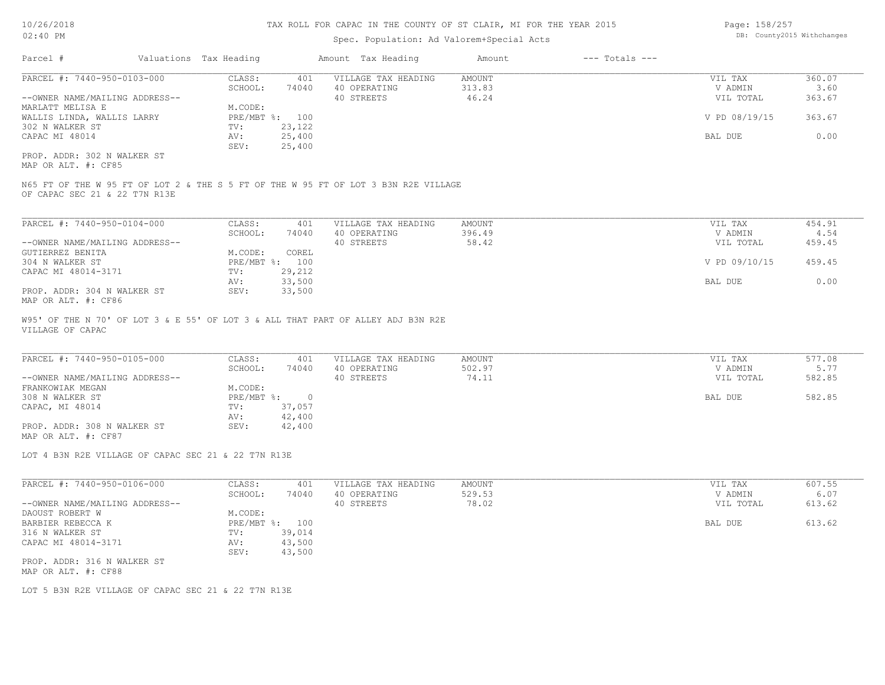# Spec. Population: Ad Valorem+Special Acts

| Page: 158/257 |                            |
|---------------|----------------------------|
|               | DB: County2015 Withchanges |

| Parcel #                       | Valuations Tax Heading |        | Amount Tax Heading  | Amount | $---$ Totals $---$ |               |        |
|--------------------------------|------------------------|--------|---------------------|--------|--------------------|---------------|--------|
| PARCEL #: 7440-950-0103-000    | CLASS:                 | 401    | VILLAGE TAX HEADING | AMOUNT |                    | VIL TAX       | 360.07 |
|                                | SCHOOL:                | 74040  | 40 OPERATING        | 313.83 |                    | V ADMIN       | 3.60   |
| --OWNER NAME/MAILING ADDRESS-- |                        |        | 40 STREETS          | 46.24  |                    | VIL TOTAL     | 363.67 |
| MARLATT MELISA E               | M.CODE:                |        |                     |        |                    |               |        |
| WALLIS LINDA, WALLIS LARRY     | PRE/MBT %: 100         |        |                     |        |                    | V PD 08/19/15 | 363.67 |
| 302 N WALKER ST                | TV:                    | 23,122 |                     |        |                    |               |        |
| CAPAC MI 48014                 | AV:                    | 25,400 |                     |        |                    | BAL DUE       | 0.00   |
|                                | SEV:                   | 25,400 |                     |        |                    |               |        |
| PROP. ADDR: 302 N WALKER ST    |                        |        |                     |        |                    |               |        |

MAP OR ALT. #: CF85

OF CAPAC SEC 21 & 22 T7N R13E N65 FT OF THE W 95 FT OF LOT 2 & THE S 5 FT OF THE W 95 FT OF LOT 3 B3N R2E VILLAGE

| PARCEL #: 7440-950-0104-000    | CLASS:  | 401            | VILLAGE TAX HEADING | AMOUNT | VIL TAX       | 454.91 |
|--------------------------------|---------|----------------|---------------------|--------|---------------|--------|
|                                | SCHOOL: | 74040          | 40 OPERATING        | 396.49 | V ADMIN       | 4.54   |
| --OWNER NAME/MAILING ADDRESS-- |         |                | 40 STREETS          | 58.42  | VIL TOTAL     | 459.45 |
| GUTIERREZ BENITA               | M.CODE: | COREL          |                     |        |               |        |
| 304 N WALKER ST                |         | PRE/MBT %: 100 |                     |        | V PD 09/10/15 | 459.45 |
| CAPAC MI 48014-3171            | TV:     | 29,212         |                     |        |               |        |
|                                | AV:     | 33,500         |                     |        | BAL DUE       | 0.00   |
| PROP. ADDR: 304 N WALKER ST    | SEV:    | 33,500         |                     |        |               |        |
| MAP OR ALT. #: CF86            |         |                |                     |        |               |        |

VILLAGE OF CAPAC W95' OF THE N 70' OF LOT 3 & E 55' OF LOT 3 & ALL THAT PART OF ALLEY ADJ B3N R2E

| PARCEL #: 7440-950-0105-000    | CLASS:     | 401    | VILLAGE TAX HEADING | AMOUNT | VIL TAX   | 577.08 |
|--------------------------------|------------|--------|---------------------|--------|-----------|--------|
|                                | SCHOOL:    | 74040  | 40 OPERATING        | 502.97 | V ADMIN   | 5.77   |
| --OWNER NAME/MAILING ADDRESS-- |            |        | 40 STREETS          | 74.11  | VIL TOTAL | 582.85 |
| FRANKOWIAK MEGAN               | M.CODE:    |        |                     |        |           |        |
| 308 N WALKER ST                | PRE/MBT %: |        |                     |        | BAL DUE   | 582.85 |
| CAPAC, MI 48014                | TV:        | 37,057 |                     |        |           |        |
|                                | AV:        | 42,400 |                     |        |           |        |
| PROP. ADDR: 308 N WALKER ST    | SEV:       | 42,400 |                     |        |           |        |
| MAP OR ALT. #: CF87            |            |        |                     |        |           |        |

 $\mathcal{L}_\mathcal{L} = \mathcal{L}_\mathcal{L} = \mathcal{L}_\mathcal{L} = \mathcal{L}_\mathcal{L} = \mathcal{L}_\mathcal{L} = \mathcal{L}_\mathcal{L} = \mathcal{L}_\mathcal{L} = \mathcal{L}_\mathcal{L} = \mathcal{L}_\mathcal{L} = \mathcal{L}_\mathcal{L} = \mathcal{L}_\mathcal{L} = \mathcal{L}_\mathcal{L} = \mathcal{L}_\mathcal{L} = \mathcal{L}_\mathcal{L} = \mathcal{L}_\mathcal{L} = \mathcal{L}_\mathcal{L} = \mathcal{L}_\mathcal{L}$ 

LOT 4 B3N R2E VILLAGE OF CAPAC SEC 21 & 22 T7N R13E

| PARCEL #: 7440-950-0106-000                        | CLASS:     | 401    | VILLAGE TAX HEADING | AMOUNT | VIL TAX   | 607.55 |
|----------------------------------------------------|------------|--------|---------------------|--------|-----------|--------|
|                                                    | SCHOOL:    | 74040  | 40 OPERATING        | 529.53 | V ADMIN   | 6.07   |
| --OWNER NAME/MAILING ADDRESS--                     |            |        | 40 STREETS          | 78.02  | VIL TOTAL | 613.62 |
| DAOUST ROBERT W                                    | M.CODE:    |        |                     |        |           |        |
| BARBIER REBECCA K                                  | PRE/MBT %: | 100    |                     |        | BAL DUE   | 613.62 |
| 316 N WALKER ST                                    | TV:        | 39,014 |                     |        |           |        |
| CAPAC MI 48014-3171                                | AV:        | 43,500 |                     |        |           |        |
|                                                    | SEV:       | 43,500 |                     |        |           |        |
| PROP. ADDR: 316 N WALKER ST<br>MAP OR ALT. #: CF88 |            |        |                     |        |           |        |

LOT 5 B3N R2E VILLAGE OF CAPAC SEC 21 & 22 T7N R13E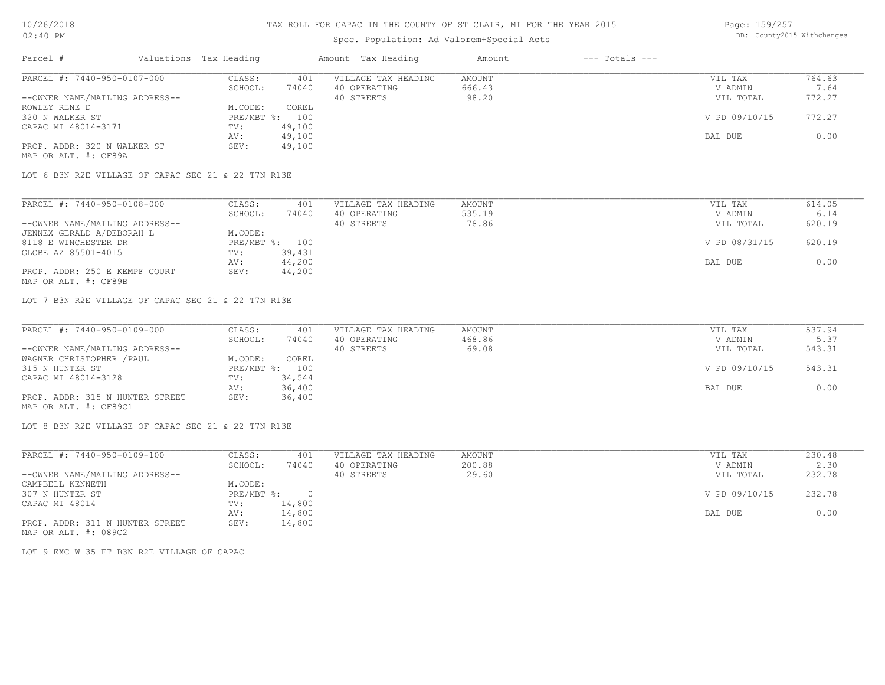### Spec. Population: Ad Valorem+Special Acts

Page: 159/257 DB: County2015 Withchanges

| Parcel #                       | Valuations Tax Heading |        | Amount Tax Heading  | Amount | $---$ Totals $---$ |               |        |
|--------------------------------|------------------------|--------|---------------------|--------|--------------------|---------------|--------|
| PARCEL #: 7440-950-0107-000    | CLASS:                 | 401    | VILLAGE TAX HEADING | AMOUNT |                    | VIL TAX       | 764.63 |
|                                | SCHOOL:                | 74040  | 40 OPERATING        | 666.43 |                    | V ADMIN       | 7.64   |
| --OWNER NAME/MAILING ADDRESS-- |                        |        | 40 STREETS          | 98.20  |                    | VIL TOTAL     | 772.27 |
| ROWLEY RENE D                  | M.CODE:                | COREL  |                     |        |                    |               |        |
| 320 N WALKER ST                | PRE/MBT %: 100         |        |                     |        |                    | V PD 09/10/15 | 772.27 |
| CAPAC MI 48014-3171            | TV:                    | 49,100 |                     |        |                    |               |        |
|                                | AV:                    | 49,100 |                     |        |                    | BAL DUE       | 0.00   |
| PROP. ADDR: 320 N WALKER ST    | SEV:                   | 49,100 |                     |        |                    |               |        |
| MAP OR ALT. #: CF89A           |                        |        |                     |        |                    |               |        |

LOT 6 B3N R2E VILLAGE OF CAPAC SEC 21 & 22 T7N R13E

| PARCEL #: 7440-950-0108-000    | CLASS:  | 401            | VILLAGE TAX HEADING | AMOUNT | VIL TAX       | 614.05 |
|--------------------------------|---------|----------------|---------------------|--------|---------------|--------|
|                                | SCHOOL: | 74040          | 40 OPERATING        | 535.19 | V ADMIN       | 6.14   |
| --OWNER NAME/MAILING ADDRESS-- |         |                | 40 STREETS          | 78.86  | VIL TOTAL     | 620.19 |
| JENNEX GERALD A/DEBORAH L      | M.CODE: |                |                     |        |               |        |
| 8118 E WINCHESTER DR           |         | PRE/MBT %: 100 |                     |        | V PD 08/31/15 | 620.19 |
| GLOBE AZ 85501-4015            | TV:     | 39,431         |                     |        |               |        |
|                                | AV:     | 44,200         |                     |        | BAL DUE       | 0.00   |
| PROP. ADDR: 250 E KEMPF COURT  | SEV:    | 44,200         |                     |        |               |        |
| MAP OR ALT. #: CF89B           |         |                |                     |        |               |        |

LOT 7 B3N R2E VILLAGE OF CAPAC SEC 21 & 22 T7N R13E

| PARCEL #: 7440-950-0109-000     | CLASS:  | 401            | VILLAGE TAX HEADING | AMOUNT | VIL TAX       | 537.94 |
|---------------------------------|---------|----------------|---------------------|--------|---------------|--------|
|                                 | SCHOOL: | 74040          | 40 OPERATING        | 468.86 | V ADMIN       | 5.37   |
| --OWNER NAME/MAILING ADDRESS--  |         |                | 40 STREETS          | 69.08  | VIL TOTAL     | 543.31 |
| WAGNER CHRISTOPHER / PAUL       | M.CODE: | COREL          |                     |        |               |        |
| 315 N HUNTER ST                 |         | PRE/MBT %: 100 |                     |        | V PD 09/10/15 | 543.31 |
| CAPAC MI 48014-3128             | TV:     | 34,544         |                     |        |               |        |
|                                 | AV:     | 36,400         |                     |        | BAL DUE       | 0.00   |
| PROP. ADDR: 315 N HUNTER STREET | SEV:    | 36,400         |                     |        |               |        |
| MAP OR ALT. #: CF89C1           |         |                |                     |        |               |        |

LOT 8 B3N R2E VILLAGE OF CAPAC SEC 21 & 22 T7N R13E

| PARCEL #: 7440-950-0109-100     | CLASS:     | 401    | VILLAGE TAX HEADING | AMOUNT | VIL TAX       | 230.48 |  |
|---------------------------------|------------|--------|---------------------|--------|---------------|--------|--|
|                                 | SCHOOL:    | 74040  | 40 OPERATING        | 200.88 | V ADMIN       | 2.30   |  |
| --OWNER NAME/MAILING ADDRESS--  |            |        | 40 STREETS          | 29.60  | VIL TOTAL     | 232.78 |  |
| CAMPBELL KENNETH                | M.CODE:    |        |                     |        |               |        |  |
| 307 N HUNTER ST                 | PRE/MBT %: |        |                     |        | V PD 09/10/15 | 232.78 |  |
| CAPAC MI 48014                  | TV:        | 14,800 |                     |        |               |        |  |
|                                 | AV:        | 14,800 |                     |        | BAL DUE       | 0.00   |  |
| PROP. ADDR: 311 N HUNTER STREET | SEV:       | 14,800 |                     |        |               |        |  |

MAP OR ALT. #: 089C2

LOT 9 EXC W 35 FT B3N R2E VILLAGE OF CAPAC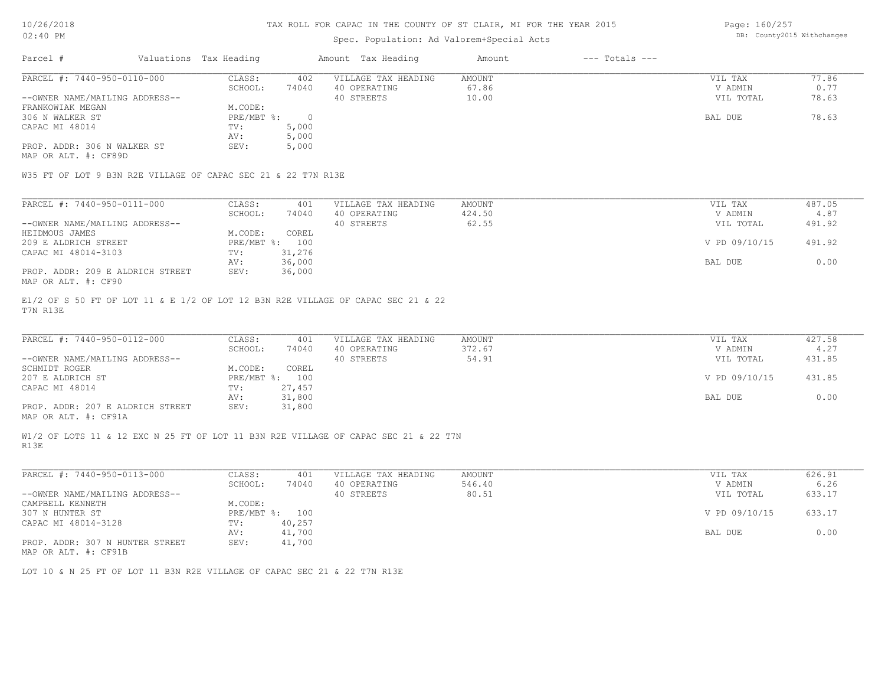### Spec. Population: Ad Valorem+Special Acts

Page: 160/257 DB: County2015 Withchanges

| Parcel #                       | Valuations Tax Heading |       | Amount Tax Heading  | Amount | $---$ Totals $---$ |           |       |
|--------------------------------|------------------------|-------|---------------------|--------|--------------------|-----------|-------|
| PARCEL #: 7440-950-0110-000    | CLASS:                 | 402   | VILLAGE TAX HEADING | AMOUNT |                    | VIL TAX   | 77.86 |
|                                | SCHOOL:                | 74040 | 40 OPERATING        | 67.86  |                    | V ADMIN   | 0.77  |
| --OWNER NAME/MAILING ADDRESS-- |                        |       | 40 STREETS          | 10.00  |                    | VIL TOTAL | 78.63 |
| FRANKOWIAK MEGAN               | M.CODE:                |       |                     |        |                    |           |       |
| 306 N WALKER ST                | PRE/MBT %:             |       |                     |        |                    | BAL DUE   | 78.63 |
| CAPAC MI 48014                 | TV:                    | 5,000 |                     |        |                    |           |       |
|                                | AV:                    | 5,000 |                     |        |                    |           |       |
| PROP. ADDR: 306 N WALKER ST    | SEV:                   | 5,000 |                     |        |                    |           |       |
| MAP OR ALT. #: CF89D           |                        |       |                     |        |                    |           |       |

W35 FT OF LOT 9 B3N R2E VILLAGE OF CAPAC SEC 21 & 22 T7N R13E

| PARCEL #: 7440-950-0111-000      | CLASS:     | 401    | VILLAGE TAX HEADING | AMOUNT | VIL TAX       | 487.05 |
|----------------------------------|------------|--------|---------------------|--------|---------------|--------|
|                                  | SCHOOL:    | 74040  | 40 OPERATING        | 424.50 | V ADMIN       | 4.87   |
| --OWNER NAME/MAILING ADDRESS--   |            |        | 40 STREETS          | 62.55  | VIL TOTAL     | 491.92 |
| HEIDMOUS JAMES                   | M.CODE:    | COREL  |                     |        |               |        |
| 209 E ALDRICH STREET             | PRE/MBT %: | 100    |                     |        | V PD 09/10/15 | 491.92 |
| CAPAC MI 48014-3103              | TV:        | 31,276 |                     |        |               |        |
|                                  | AV:        | 36,000 |                     |        | BAL DUE       | 0.00   |
| PROP. ADDR: 209 E ALDRICH STREET | SEV:       | 36,000 |                     |        |               |        |
| MAP OR ALT. #: CF90              |            |        |                     |        |               |        |

T7N R13E E1/2 OF S 50 FT OF LOT 11 & E 1/2 OF LOT 12 B3N R2E VILLAGE OF CAPAC SEC 21 & 22

| PARCEL #: 7440-950-0112-000                  | CLASS:     | 401    | VILLAGE TAX HEADING | AMOUNT | VIL TAX       | 427.58 |
|----------------------------------------------|------------|--------|---------------------|--------|---------------|--------|
|                                              | SCHOOL:    | 74040  | 40 OPERATING        | 372.67 | V ADMIN       | 4.27   |
| --OWNER NAME/MAILING ADDRESS--               |            |        | 40 STREETS          | 54.91  | VIL TOTAL     | 431.85 |
| SCHMIDT ROGER                                | M.CODE:    | COREL  |                     |        |               |        |
| 207 E ALDRICH ST                             | PRE/MBT %: | 100    |                     |        | V PD 09/10/15 | 431.85 |
| CAPAC MI 48014                               | TV:        | 27,457 |                     |        |               |        |
|                                              | AV:        | 31,800 |                     |        | BAL DUE       | 0.00   |
| PROP. ADDR: 207 E ALDRICH STREET             | SEV:       | 31,800 |                     |        |               |        |
| $\cdots$ $\cdots$ $\cdots$ $\cdots$ $\cdots$ |            |        |                     |        |               |        |

MAP OR ALT. #: CF91A

R13E W1/2 OF LOTS 11 & 12 EXC N 25 FT OF LOT 11 B3N R2E VILLAGE OF CAPAC SEC 21 & 22 T7N

| PARCEL #: 7440-950-0113-000                      | CLASS:       | 401    | VILLAGE TAX HEADING | AMOUNT | VIL TAX       | 626.91 |
|--------------------------------------------------|--------------|--------|---------------------|--------|---------------|--------|
|                                                  | SCHOOL:      | 74040  | 40 OPERATING        | 546.40 | V ADMIN       | 6.26   |
| --OWNER NAME/MAILING ADDRESS--                   |              |        | 40 STREETS          | 80.51  | VIL TOTAL     | 633.17 |
| CAMPBELL KENNETH                                 | M.CODE:      |        |                     |        |               |        |
| 307 N HUNTER ST                                  | $PRE/MBT$ %: | 100    |                     |        | V PD 09/10/15 | 633.17 |
| CAPAC MI 48014-3128                              | TV:          | 40,257 |                     |        |               |        |
|                                                  | AV:          | 41,700 |                     |        | BAL DUE       | 0.00   |
| PROP. ADDR: 307 N HUNTER STREET<br>$\frac{1}{2}$ | SEV:         | 41,700 |                     |        |               |        |

MAP OR ALT. #: CF91B

LOT 10 & N 25 FT OF LOT 11 B3N R2E VILLAGE OF CAPAC SEC 21 & 22 T7N R13E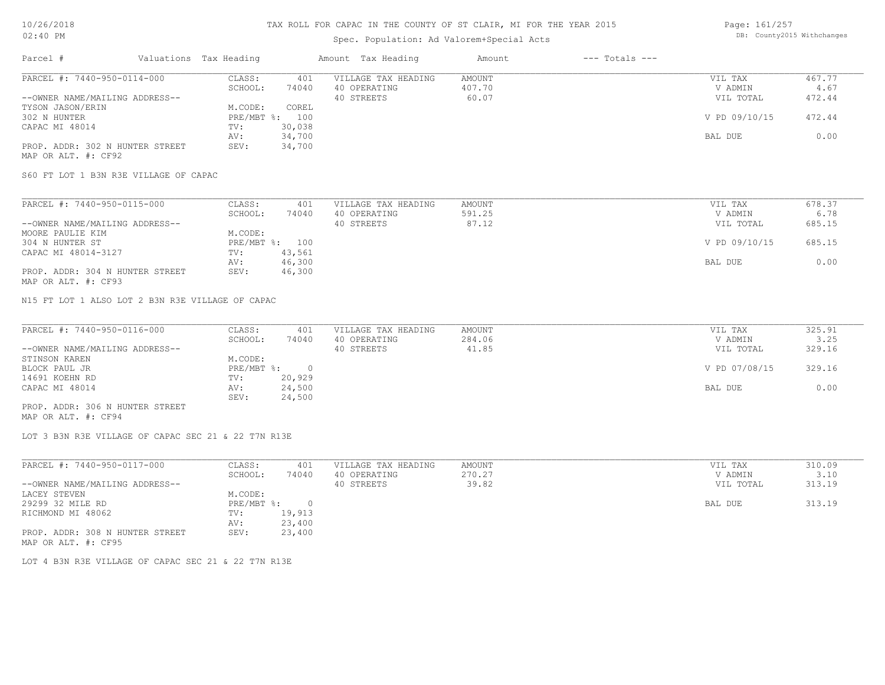# Spec. Population: Ad Valorem+Special Acts

Page: 161/257 DB: County2015 Withchanges

| Parcel #                        | Valuations Tax Heading |        | Amount Tax Heading  | Amount | $---$ Totals $---$ |               |        |
|---------------------------------|------------------------|--------|---------------------|--------|--------------------|---------------|--------|
| PARCEL #: 7440-950-0114-000     | CLASS:                 | 401    | VILLAGE TAX HEADING | AMOUNT |                    | VIL TAX       | 467.77 |
|                                 | SCHOOL:                | 74040  | 40 OPERATING        | 407.70 |                    | V ADMIN       | 4.67   |
| --OWNER NAME/MAILING ADDRESS--  |                        |        | 40 STREETS          | 60.07  |                    | VIL TOTAL     | 472.44 |
| TYSON JASON/ERIN                | M.CODE:                | COREL  |                     |        |                    |               |        |
| 302 N HUNTER                    | $PRE/MBT$ %:           | 100    |                     |        |                    | V PD 09/10/15 | 472.44 |
| CAPAC MI 48014                  | TV:                    | 30,038 |                     |        |                    |               |        |
|                                 | AV:                    | 34,700 |                     |        |                    | BAL DUE       | 0.00   |
| PROP. ADDR: 302 N HUNTER STREET | SEV:                   | 34,700 |                     |        |                    |               |        |
| MAP OR ALT. #: CF92             |                        |        |                     |        |                    |               |        |

S60 FT LOT 1 B3N R3E VILLAGE OF CAPAC

| PARCEL #: 7440-950-0115-000     | CLASS:  | 401            | VILLAGE TAX HEADING | AMOUNT | VIL TAX       | 678.37 |
|---------------------------------|---------|----------------|---------------------|--------|---------------|--------|
|                                 | SCHOOL: | 74040          | 40 OPERATING        | 591.25 | V ADMIN       | 6.78   |
| --OWNER NAME/MAILING ADDRESS--  |         |                | 40 STREETS          | 87.12  | VIL TOTAL     | 685.15 |
| MOORE PAULIE KIM                | M.CODE: |                |                     |        |               |        |
| 304 N HUNTER ST                 |         | PRE/MBT %: 100 |                     |        | V PD 09/10/15 | 685.15 |
| CAPAC MI 48014-3127             | TV:     | 43,561         |                     |        |               |        |
|                                 | AV:     | 46,300         |                     |        | BAL DUE       | 0.00   |
| PROP. ADDR: 304 N HUNTER STREET | SEV:    | 46,300         |                     |        |               |        |
| MAP OR ALT. #: CF93             |         |                |                     |        |               |        |

N15 FT LOT 1 ALSO LOT 2 B3N R3E VILLAGE OF CAPAC

| PARCEL #: 7440-950-0116-000     | CLASS:     | 401    | VILLAGE TAX HEADING | AMOUNT | VIL TAX       | 325.91 |
|---------------------------------|------------|--------|---------------------|--------|---------------|--------|
|                                 | SCHOOL:    | 74040  | 40 OPERATING        | 284.06 | V ADMIN       | 3.25   |
| --OWNER NAME/MAILING ADDRESS--  |            |        | 40 STREETS          | 41.85  | VIL TOTAL     | 329.16 |
| STINSON KAREN                   | M.CODE:    |        |                     |        |               |        |
| BLOCK PAUL JR                   | PRE/MBT %: |        |                     |        | V PD 07/08/15 | 329.16 |
| 14691 KOEHN RD                  | TV:        | 20,929 |                     |        |               |        |
| CAPAC MI 48014                  | AV:        | 24,500 |                     |        | BAL DUE       | 0.00   |
|                                 | SEV:       | 24,500 |                     |        |               |        |
| PROP. ADDR: 306 N HUNTER STREET |            |        |                     |        |               |        |

MAP OR ALT. #: CF94

LOT 3 B3N R3E VILLAGE OF CAPAC SEC 21 & 22 T7N R13E

| PARCEL #: 7440-950-0117-000     | CLASS:     | 401    | VILLAGE TAX HEADING | AMOUNT | VIL TAX   | 310.09 |
|---------------------------------|------------|--------|---------------------|--------|-----------|--------|
|                                 | SCHOOL:    | 74040  | 40 OPERATING        | 270.27 | V ADMIN   | 3.10   |
| --OWNER NAME/MAILING ADDRESS--  |            |        | 40 STREETS          | 39.82  | VIL TOTAL | 313.19 |
| LACEY STEVEN                    | M.CODE:    |        |                     |        |           |        |
| 29299 32 MILE RD                | PRE/MBT %: |        |                     |        | BAL DUE   | 313.19 |
| RICHMOND MI 48062               | TV:        | 19,913 |                     |        |           |        |
|                                 | AV:        | 23,400 |                     |        |           |        |
| PROP. ADDR: 308 N HUNTER STREET | SEV:       | 23,400 |                     |        |           |        |
| MAP OR ALT. #: CF95             |            |        |                     |        |           |        |

LOT 4 B3N R3E VILLAGE OF CAPAC SEC 21 & 22 T7N R13E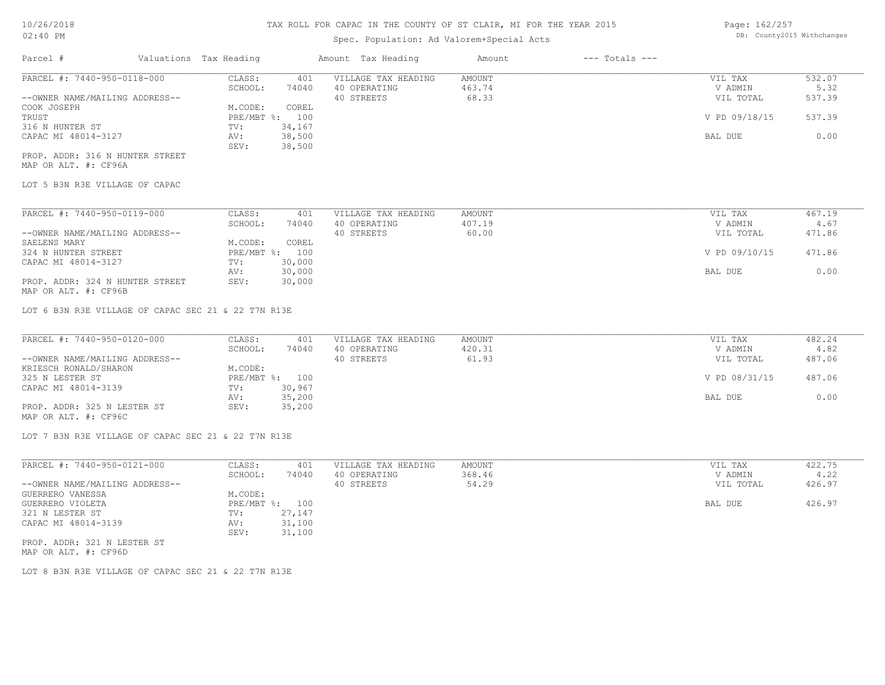# Spec. Population: Ad Valorem+Special Acts

Page: 162/257 DB: County2015 Withchanges

| Parcel #                        | Valuations Tax Heading |                | Amount Tax Heading  | Amount | $---$ Totals $---$ |               |        |
|---------------------------------|------------------------|----------------|---------------------|--------|--------------------|---------------|--------|
| PARCEL #: 7440-950-0118-000     | CLASS:                 | 401            | VILLAGE TAX HEADING | AMOUNT |                    | VIL TAX       | 532.07 |
|                                 | SCHOOL:                | 74040          | 40 OPERATING        | 463.74 |                    | V ADMIN       | 5.32   |
| --OWNER NAME/MAILING ADDRESS--  |                        |                | 40 STREETS          | 68.33  |                    | VIL TOTAL     | 537.39 |
| COOK JOSEPH                     | M.CODE:                | COREL          |                     |        |                    |               |        |
| TRUST                           |                        | PRE/MBT %: 100 |                     |        |                    | V PD 09/18/15 | 537.39 |
| 316 N HUNTER ST                 | TV:                    | 34,167         |                     |        |                    |               |        |
| CAPAC MI 48014-3127             | AV:                    | 38,500         |                     |        |                    | BAL DUE       | 0.00   |
|                                 | SEV:                   | 38,500         |                     |        |                    |               |        |
| PROP. ADDR: 316 N HUNTER STREET |                        |                |                     |        |                    |               |        |

MAP OR ALT. #: CF96A

LOT 5 B3N R3E VILLAGE OF CAPAC

| PARCEL #: 7440-950-0119-000     | CLASS:     | 401    | VILLAGE TAX HEADING | AMOUNT | VIL TAX       | 467.19 |
|---------------------------------|------------|--------|---------------------|--------|---------------|--------|
|                                 | SCHOOL:    | 74040  | 40 OPERATING        | 407.19 | V ADMIN       | 4.67   |
| --OWNER NAME/MAILING ADDRESS--  |            |        | 40 STREETS          | 60.00  | VIL TOTAL     | 471.86 |
| SAELENS MARY                    | M.CODE:    | COREL  |                     |        |               |        |
| 324 N HUNTER STREET             | PRE/MBT %: | 100    |                     |        | V PD 09/10/15 | 471.86 |
| CAPAC MI 48014-3127             | TV:        | 30,000 |                     |        |               |        |
|                                 | AV:        | 30,000 |                     |        | BAL DUE       | 0.00   |
| PROP. ADDR: 324 N HUNTER STREET | SEV:       | 30,000 |                     |        |               |        |
| MAP OR ALT. #: CF96B            |            |        |                     |        |               |        |

LOT 6 B3N R3E VILLAGE OF CAPAC SEC 21 & 22 T7N R13E

| PARCEL #: 7440-950-0120-000    | CLASS:  | 401            | VILLAGE TAX HEADING | AMOUNT | VIL TAX       | 482.24 |
|--------------------------------|---------|----------------|---------------------|--------|---------------|--------|
|                                | SCHOOL: | 74040          | 40 OPERATING        | 420.31 | V ADMIN       | 4.82   |
| --OWNER NAME/MAILING ADDRESS-- |         |                | 40 STREETS          | 61.93  | VIL TOTAL     | 487.06 |
| KRIESCH RONALD/SHARON          | M.CODE: |                |                     |        |               |        |
| 325 N LESTER ST                |         | PRE/MBT %: 100 |                     |        | V PD 08/31/15 | 487.06 |
| CAPAC MI 48014-3139            | TV:     | 30,967         |                     |        |               |        |
|                                | AV:     | 35,200         |                     |        | BAL DUE       | 0.00   |
| PROP. ADDR: 325 N LESTER ST    | SEV:    | 35,200         |                     |        |               |        |
| MAP OR ALT. #: CF96C           |         |                |                     |        |               |        |

LOT 7 B3N R3E VILLAGE OF CAPAC SEC 21 & 22 T7N R13E

| PARCEL #: 7440-950-0121-000    | CLASS:  | 401            | VILLAGE TAX HEADING | AMOUNT | VIL TAX   | 422.75 |
|--------------------------------|---------|----------------|---------------------|--------|-----------|--------|
|                                | SCHOOL: | 74040          | 40 OPERATING        | 368.46 | V ADMIN   | 4.22   |
| --OWNER NAME/MAILING ADDRESS-- |         |                | 40 STREETS          | 54.29  | VIL TOTAL | 426.97 |
| GUERRERO VANESSA               | M.CODE: |                |                     |        |           |        |
| GUERRERO VIOLETA               |         | PRE/MBT %: 100 |                     |        | BAL DUE   | 426.97 |
| 321 N LESTER ST                | TV:     | 27,147         |                     |        |           |        |
| CAPAC MI 48014-3139            | AV:     | 31,100         |                     |        |           |        |
|                                | SEV:    | 31,100         |                     |        |           |        |
| PROP. ADDR: 321 N LESTER ST    |         |                |                     |        |           |        |

MAP OR ALT. #: CF96D

LOT 8 B3N R3E VILLAGE OF CAPAC SEC 21 & 22 T7N R13E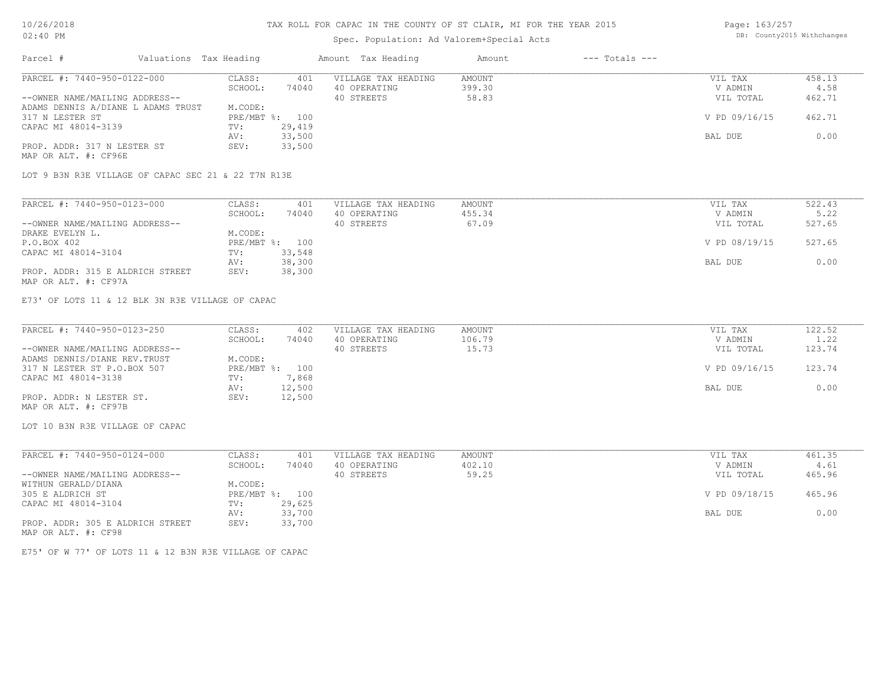# Spec. Population: Ad Valorem+Special Acts

Page: 163/257 DB: County2015 Withchanges

| Parcel #                           | Valuations Tax Heading |                | Amount Tax Heading  | Amount | $---$ Totals $---$ |               |        |
|------------------------------------|------------------------|----------------|---------------------|--------|--------------------|---------------|--------|
| PARCEL #: 7440-950-0122-000        | CLASS:                 | 401            | VILLAGE TAX HEADING | AMOUNT |                    | VIL TAX       | 458.13 |
|                                    | SCHOOL:                | 74040          | 40 OPERATING        | 399.30 |                    | V ADMIN       | 4.58   |
| --OWNER NAME/MAILING ADDRESS--     |                        |                | 40 STREETS          | 58.83  |                    | VIL TOTAL     | 462.71 |
| ADAMS DENNIS A/DIANE L ADAMS TRUST | M.CODE:                |                |                     |        |                    |               |        |
| 317 N LESTER ST                    |                        | PRE/MBT %: 100 |                     |        |                    | V PD 09/16/15 | 462.71 |
| CAPAC MI 48014-3139                | TV:                    | 29,419         |                     |        |                    |               |        |
|                                    | AV:                    | 33,500         |                     |        |                    | BAL DUE       | 0.00   |
| PROP. ADDR: 317 N LESTER ST        | SEV:                   | 33,500         |                     |        |                    |               |        |
| MAP OR ALT. #: CF96E               |                        |                |                     |        |                    |               |        |

LOT 9 B3N R3E VILLAGE OF CAPAC SEC 21 & 22 T7N R13E

| PARCEL #: 7440-950-0123-000      | CLASS:  | 401            | VILLAGE TAX HEADING | AMOUNT | VIL TAX       | 522.43 |
|----------------------------------|---------|----------------|---------------------|--------|---------------|--------|
|                                  | SCHOOL: | 74040          | 40 OPERATING        | 455.34 | V ADMIN       | 5.22   |
| --OWNER NAME/MAILING ADDRESS--   |         |                | 40 STREETS          | 67.09  | VIL TOTAL     | 527.65 |
| DRAKE EVELYN L.                  | M.CODE: |                |                     |        |               |        |
| P.O.BOX 402                      |         | PRE/MBT %: 100 |                     |        | V PD 08/19/15 | 527.65 |
| CAPAC MI 48014-3104              | TV:     | 33,548         |                     |        |               |        |
|                                  | AV:     | 38,300         |                     |        | BAL DUE       | 0.00   |
| PROP. ADDR: 315 E ALDRICH STREET | SEV:    | 38,300         |                     |        |               |        |
| MAP OR ALT. #: CF97A             |         |                |                     |        |               |        |

E73' OF LOTS 11 & 12 BLK 3N R3E VILLAGE OF CAPAC

| PARCEL #: 7440-950-0123-250    | CLASS:         | 402    | VILLAGE TAX HEADING | AMOUNT | VIL TAX       | 122.52 |
|--------------------------------|----------------|--------|---------------------|--------|---------------|--------|
|                                | SCHOOL:        | 74040  | 40 OPERATING        | 106.79 | V ADMIN       | 1.22   |
| --OWNER NAME/MAILING ADDRESS-- |                |        | 40 STREETS          | 15.73  | VIL TOTAL     | 123.74 |
| ADAMS DENNIS/DIANE REV. TRUST  | M.CODE:        |        |                     |        |               |        |
| 317 N LESTER ST P.O.BOX 507    | PRE/MBT %: 100 |        |                     |        | V PD 09/16/15 | 123.74 |
| CAPAC MI 48014-3138            | TV:            | 7,868  |                     |        |               |        |
|                                | AV:            | 12,500 |                     |        | BAL DUE       | 0.00   |
| PROP. ADDR: N LESTER ST.       | SEV:           | 12,500 |                     |        |               |        |
| MAP OR ALT. #: CF97B           |                |        |                     |        |               |        |

LOT 10 B3N R3E VILLAGE OF CAPAC

| PARCEL #: 7440-950-0124-000      | CLASS:     | 401    | VILLAGE TAX HEADING | AMOUNT | VIL TAX       | 461.35 |
|----------------------------------|------------|--------|---------------------|--------|---------------|--------|
|                                  | SCHOOL:    | 74040  | 40 OPERATING        | 402.10 | V ADMIN       | 4.61   |
| --OWNER NAME/MAILING ADDRESS--   |            |        | 40 STREETS          | 59.25  | VIL TOTAL     | 465.96 |
| WITHUN GERALD/DIANA              | M.CODE:    |        |                     |        |               |        |
| 305 E ALDRICH ST                 | PRE/MBT %: | 100    |                     |        | V PD 09/18/15 | 465.96 |
| CAPAC MI 48014-3104              | TV:        | 29,625 |                     |        |               |        |
|                                  | AV:        | 33,700 |                     |        | BAL DUE       | 0.00   |
| PROP. ADDR: 305 E ALDRICH STREET | SEV:       | 33,700 |                     |        |               |        |
| MAP OR ALT. #: CF98              |            |        |                     |        |               |        |

E75' OF W 77' OF LOTS 11 & 12 B3N R3E VILLAGE OF CAPAC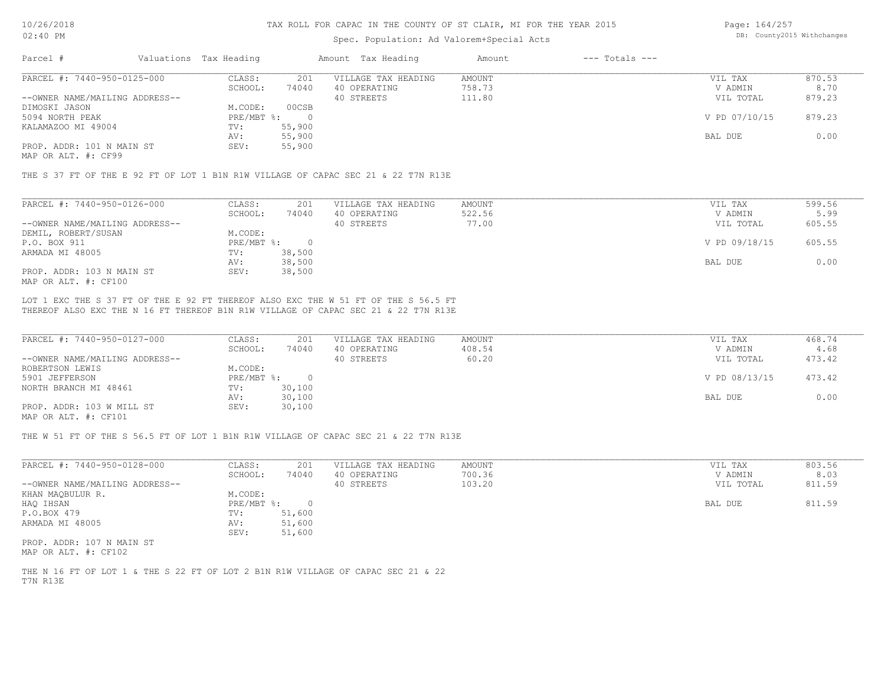### Spec. Population: Ad Valorem+Special Acts

Page: 164/257 DB: County2015 Withchanges

| Parcel #                       | Valuations Tax Heading |        | Amount Tax Heading  | Amount | $---$ Totals $---$ |               |        |
|--------------------------------|------------------------|--------|---------------------|--------|--------------------|---------------|--------|
| PARCEL #: 7440-950-0125-000    | CLASS:                 | 201    | VILLAGE TAX HEADING | AMOUNT |                    | VIL TAX       | 870.53 |
|                                | SCHOOL:                | 74040  | 40 OPERATING        | 758.73 |                    | V ADMIN       | 8.70   |
| --OWNER NAME/MAILING ADDRESS-- |                        |        | 40 STREETS          | 111.80 |                    | VIL TOTAL     | 879.23 |
| DIMOSKI JASON                  | M.CODE:                | 00CSB  |                     |        |                    |               |        |
| 5094 NORTH PEAK                | $PRE/MBT$ %:           |        |                     |        |                    | V PD 07/10/15 | 879.23 |
| KALAMAZOO MI 49004             | TV:                    | 55,900 |                     |        |                    |               |        |
|                                | AV:                    | 55,900 |                     |        |                    | BAL DUE       | 0.00   |
| PROP. ADDR: 101 N MAIN ST      | SEV:                   | 55,900 |                     |        |                    |               |        |
|                                |                        |        |                     |        |                    |               |        |

MAP OR ALT. #: CF99

THE S 37 FT OF THE E 92 FT OF LOT 1 B1N R1W VILLAGE OF CAPAC SEC 21 & 22 T7N R13E

| PARCEL #: 7440-950-0126-000    | CLASS:     | 201    | VILLAGE TAX HEADING | AMOUNT | VIL TAX       | 599.56 |
|--------------------------------|------------|--------|---------------------|--------|---------------|--------|
|                                | SCHOOL:    | 74040  | 40 OPERATING        | 522.56 | V ADMIN       | 5.99   |
| --OWNER NAME/MAILING ADDRESS-- |            |        | 40 STREETS          | 77.00  | VIL TOTAL     | 605.55 |
| DEMIL, ROBERT/SUSAN            | M.CODE:    |        |                     |        |               |        |
| P.O. BOX 911                   | PRE/MBT %: |        |                     |        | V PD 09/18/15 | 605.55 |
| ARMADA MI 48005                | TV:        | 38,500 |                     |        |               |        |
|                                | AV:        | 38,500 |                     |        | BAL DUE       | 0.00   |
| PROP. ADDR: 103 N MAIN ST      | SEV:       | 38,500 |                     |        |               |        |
| MAP OR ALT. #: CF100           |            |        |                     |        |               |        |

THEREOF ALSO EXC THE N 16 FT THEREOF B1N R1W VILLAGE OF CAPAC SEC 21 & 22 T7N R13E LOT 1 EXC THE S 37 FT OF THE E 92 FT THEREOF ALSO EXC THE W 51 FT OF THE S 56.5 FT

| PARCEL #: 7440-950-0127-000    | CLASS:     | 201    | VILLAGE TAX HEADING | AMOUNT | VIL TAX       | 468.74 |
|--------------------------------|------------|--------|---------------------|--------|---------------|--------|
|                                | SCHOOL:    | 74040  | 40 OPERATING        | 408.54 | V ADMIN       | 4.68   |
| --OWNER NAME/MAILING ADDRESS-- |            |        | 40 STREETS          | 60.20  | VIL TOTAL     | 473.42 |
| ROBERTSON LEWIS                | M.CODE:    |        |                     |        |               |        |
| 5901 JEFFERSON                 | PRE/MBT %: |        |                     |        | V PD 08/13/15 | 473.42 |
| NORTH BRANCH MI 48461          | TV:        | 30,100 |                     |        |               |        |
|                                | AV:        | 30,100 |                     |        | BAL DUE       | 0.00   |
| PROP. ADDR: 103 W MILL ST      | SEV:       | 30,100 |                     |        |               |        |
| $\frac{1}{2}$                  |            |        |                     |        |               |        |

MAP OR ALT. #: CF101

THE W 51 FT OF THE S 56.5 FT OF LOT 1 B1N R1W VILLAGE OF CAPAC SEC 21 & 22 T7N R13E

| PARCEL #: 7440-950-0128-000    | CLASS:       | 201    | VILLAGE TAX HEADING | AMOUNT | VIL TAX   | 803.56 |
|--------------------------------|--------------|--------|---------------------|--------|-----------|--------|
|                                | SCHOOL:      | 74040  | 40 OPERATING        | 700.36 | V ADMIN   | 8.03   |
| --OWNER NAME/MAILING ADDRESS-- |              |        | 40 STREETS          | 103.20 | VIL TOTAL | 811.59 |
| KHAN MAQBULUR R.               | M.CODE:      |        |                     |        |           |        |
| HAQ IHSAN                      | $PRE/MBT$ %: |        |                     |        | BAL DUE   | 811.59 |
| P.O.BOX 479                    | TV:          | 51,600 |                     |        |           |        |
| ARMADA MI 48005                | AV:          | 51,600 |                     |        |           |        |
|                                | SEV:         | 51,600 |                     |        |           |        |
| PROP. ADDR: 107 N MAIN ST      |              |        |                     |        |           |        |
|                                |              |        |                     |        |           |        |

MAP OR ALT. #: CF102

T7N R13E THE N 16 FT OF LOT 1 & THE S 22 FT OF LOT 2 B1N R1W VILLAGE OF CAPAC SEC 21 & 22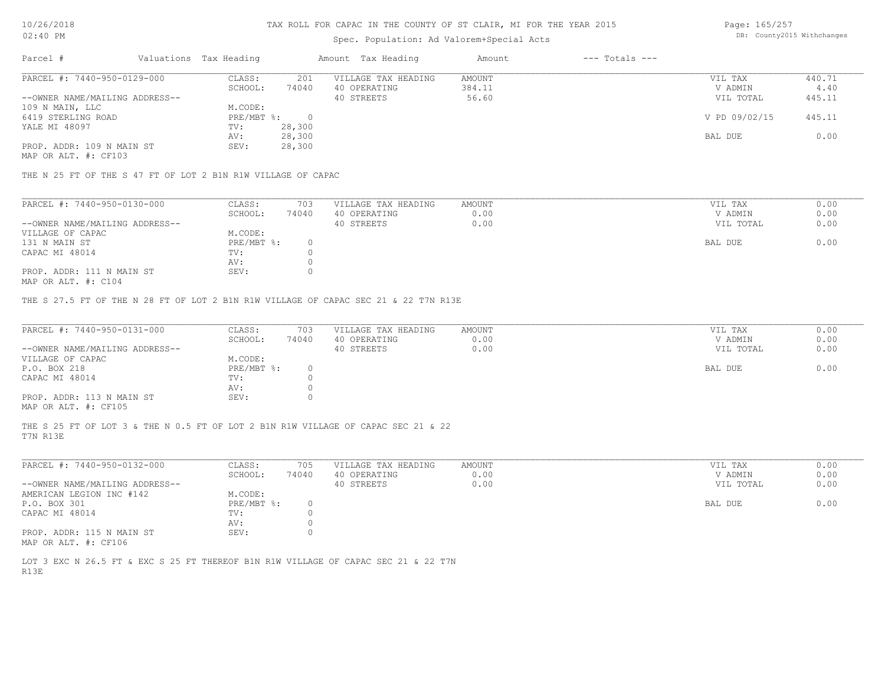# Spec. Population: Ad Valorem+Special Acts

Page: 165/257 DB: County2015 Withchanges

| Parcel #                       | Valuations Tax Heading |        | Amount Tax Heading  | Amount | $---$ Totals $---$ |               |        |
|--------------------------------|------------------------|--------|---------------------|--------|--------------------|---------------|--------|
| PARCEL #: 7440-950-0129-000    | CLASS:                 | 201    | VILLAGE TAX HEADING | AMOUNT |                    | VIL TAX       | 440.71 |
|                                | SCHOOL:                | 74040  | 40 OPERATING        | 384.11 |                    | V ADMIN       | 4.40   |
| --OWNER NAME/MAILING ADDRESS-- |                        |        | 40 STREETS          | 56.60  |                    | VIL TOTAL     | 445.11 |
| 109 N MAIN, LLC                | M.CODE:                |        |                     |        |                    |               |        |
| 6419 STERLING ROAD             | PRE/MBT %:             |        |                     |        |                    | V PD 09/02/15 | 445.11 |
| YALE MI 48097                  | TV:                    | 28,300 |                     |        |                    |               |        |
|                                | AV:                    | 28,300 |                     |        |                    | BAL DUE       | 0.00   |
| PROP. ADDR: 109 N MAIN ST      | SEV:                   | 28,300 |                     |        |                    |               |        |
|                                |                        |        |                     |        |                    |               |        |

MAP OR ALT. #: CF103

THE N 25 FT OF THE S 47 FT OF LOT 2 B1N R1W VILLAGE OF CAPAC

| PARCEL #: 7440-950-0130-000    | CLASS:     | 703   | VILLAGE TAX HEADING | AMOUNT | VIL TAX   | 0.00 |
|--------------------------------|------------|-------|---------------------|--------|-----------|------|
|                                | SCHOOL:    | 74040 | 40 OPERATING        | 0.00   | V ADMIN   | 0.00 |
| --OWNER NAME/MAILING ADDRESS-- |            |       | 40 STREETS          | 0.00   | VIL TOTAL | 0.00 |
| VILLAGE OF CAPAC               | M.CODE:    |       |                     |        |           |      |
| 131 N MAIN ST                  | PRE/MBT %: |       |                     |        | BAL DUE   | 0.00 |
| CAPAC MI 48014                 | TV:        |       |                     |        |           |      |
|                                | AV:        |       |                     |        |           |      |
| PROP. ADDR: 111 N MAIN ST      | SEV:       |       |                     |        |           |      |
|                                |            |       |                     |        |           |      |

MAP OR ALT. #: C104

THE S 27.5 FT OF THE N 28 FT OF LOT 2 B1N R1W VILLAGE OF CAPAC SEC 21 & 22 T7N R13E

| PARCEL #: 7440-950-0131-000    | CLASS:       | 703   | VILLAGE TAX HEADING | AMOUNT | VIL TAX   | 0.00 |
|--------------------------------|--------------|-------|---------------------|--------|-----------|------|
|                                | SCHOOL:      | 74040 | 40 OPERATING        | 0.00   | V ADMIN   | 0.00 |
| --OWNER NAME/MAILING ADDRESS-- |              |       | 40 STREETS          | 0.00   | VIL TOTAL | 0.00 |
| VILLAGE OF CAPAC               | M.CODE:      |       |                     |        |           |      |
| P.O. BOX 218                   | $PRE/MBT$ %: |       |                     |        | BAL DUE   | 0.00 |
| CAPAC MI 48014                 | TV:          |       |                     |        |           |      |
|                                | AV:          |       |                     |        |           |      |
| PROP. ADDR: 113 N MAIN ST      | SEV:         |       |                     |        |           |      |
| MAP OR ALT. #: CF105           |              |       |                     |        |           |      |

T7N R13E THE S 25 FT OF LOT 3 & THE N 0.5 FT OF LOT 2 B1N R1W VILLAGE OF CAPAC SEC 21 & 22

| PARCEL #: 7440-950-0132-000    | CLASS:     | 705   | VILLAGE TAX HEADING | AMOUNT | VIL TAX   | 0.00 |
|--------------------------------|------------|-------|---------------------|--------|-----------|------|
|                                | SCHOOL:    | 74040 | 40 OPERATING        | 0.00   | V ADMIN   | 0.00 |
| --OWNER NAME/MAILING ADDRESS-- |            |       | 40 STREETS          | 0.00   | VIL TOTAL | 0.00 |
| AMERICAN LEGION INC #142       | M.CODE:    |       |                     |        |           |      |
| P.O. BOX 301                   | PRE/MBT %: |       |                     |        | BAL DUE   | 0.00 |
| CAPAC MI 48014                 | TV:        |       |                     |        |           |      |
|                                | AV:        |       |                     |        |           |      |
| PROP. ADDR: 115 N MAIN ST      | SEV:       |       |                     |        |           |      |
| MAP OR ALT. #: CF106           |            |       |                     |        |           |      |

R13E LOT 3 EXC N 26.5 FT & EXC S 25 FT THEREOF B1N R1W VILLAGE OF CAPAC SEC 21 & 22 T7N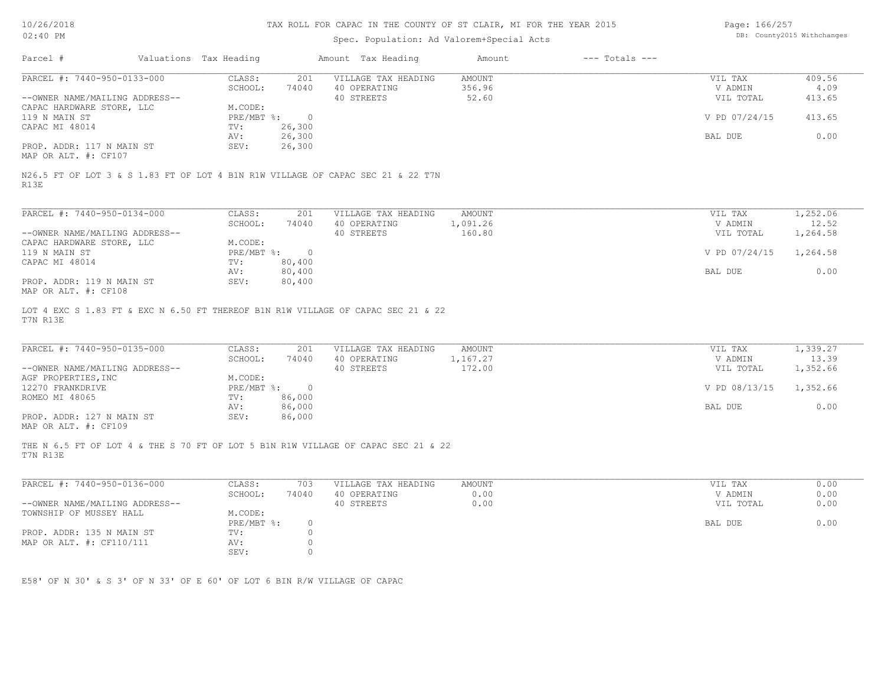# Spec. Population: Ad Valorem+Special Acts

Page: 166/257 DB: County2015 Withchanges

| Parcel #                                                                                                                                          | Valuations Tax Heading  |                                  |                                                   |                                     |                                 |                               |
|---------------------------------------------------------------------------------------------------------------------------------------------------|-------------------------|----------------------------------|---------------------------------------------------|-------------------------------------|---------------------------------|-------------------------------|
| PARCEL #: 7440-950-0133-000                                                                                                                       | CLASS:<br>SCHOOL:       | 201<br>74040                     | VILLAGE TAX HEADING<br>40 OPERATING               | <b>AMOUNT</b><br>356.96             | VIL TAX<br>V ADMIN              | 409.56<br>4.09                |
| --OWNER NAME/MAILING ADDRESS--                                                                                                                    |                         |                                  | 40 STREETS                                        | 52.60                               | VIL TOTAL                       | 413.65                        |
| CAPAC HARDWARE STORE, LLC                                                                                                                         | M.CODE:                 |                                  |                                                   |                                     |                                 |                               |
| 119 N MAIN ST                                                                                                                                     | $PRE/MBT$ $\div$        | $\overline{0}$                   |                                                   |                                     | V PD 07/24/15                   | 413.65                        |
| CAPAC MI 48014                                                                                                                                    | TV:                     | 26,300                           |                                                   |                                     |                                 |                               |
| PROP. ADDR: 117 N MAIN ST                                                                                                                         | AV:<br>SEV:             | 26,300<br>26,300                 |                                                   |                                     | BAL DUE                         | 0.00                          |
| MAP OR ALT. #: CF107                                                                                                                              |                         |                                  |                                                   |                                     |                                 |                               |
| N26.5 FT OF LOT 3 & S 1.83 FT OF LOT 4 B1N R1W VILLAGE OF CAPAC SEC 21 & 22 T7N<br>R13E                                                           |                         |                                  |                                                   |                                     |                                 |                               |
| PARCEL #: 7440-950-0134-000                                                                                                                       | CLASS:                  | 201                              | VILLAGE TAX HEADING                               | AMOUNT                              | VIL TAX                         | 1,252.06                      |
|                                                                                                                                                   | SCHOOL:                 | 74040                            | 40 OPERATING                                      | 1,091.26                            | V ADMIN                         | 12.52                         |
| --OWNER NAME/MAILING ADDRESS--                                                                                                                    |                         |                                  | 40 STREETS                                        | 160.80                              | VIL TOTAL                       | 1,264.58                      |
| CAPAC HARDWARE STORE, LLC                                                                                                                         | M.CODE:                 |                                  |                                                   |                                     |                                 |                               |
| 119 N MAIN ST<br>CAPAC MI 48014                                                                                                                   | $PRE/MBT$ $\div$<br>TV: | $\circ$<br>80,400                |                                                   |                                     | V PD 07/24/15                   | 1,264.58                      |
|                                                                                                                                                   | AV:                     | 80,400                           |                                                   |                                     | BAL DUE                         | 0.00                          |
|                                                                                                                                                   |                         | 80,400                           |                                                   |                                     |                                 |                               |
| PROP. ADDR: 119 N MAIN ST<br>MAP OR ALT. #: CF108<br>LOT 4 EXC S 1.83 FT & EXC N 6.50 FT THEREOF B1N R1W VILLAGE OF CAPAC SEC 21 & 22<br>T7N R13E | SEV:                    |                                  |                                                   |                                     |                                 |                               |
| PARCEL #: 7440-950-0135-000<br>--OWNER NAME/MAILING ADDRESS--                                                                                     | CLASS:<br>SCHOOL:       | 201<br>74040                     | VILLAGE TAX HEADING<br>40 OPERATING<br>40 STREETS | <b>AMOUNT</b><br>1,167.27<br>172.00 | VIL TAX<br>V ADMIN<br>VIL TOTAL | 1,339.27<br>13.39<br>1,352.66 |
| AGF PROPERTIES, INC                                                                                                                               | M.CODE:                 |                                  |                                                   |                                     |                                 |                               |
| 12270 FRANKDRIVE                                                                                                                                  | $PRE/MBT$ $\div$        | $\overline{\phantom{0}}$         |                                                   |                                     | V PD 08/13/15                   | 1,352.66                      |
| ROMEO MI 48065                                                                                                                                    | TV:<br>AV:              | 86,000<br>86,000                 |                                                   |                                     | BAL DUE                         | 0.00                          |
| PROP. ADDR: 127 N MAIN ST<br>MAP OR ALT. #: CF109                                                                                                 | SEV:                    | 86,000                           |                                                   |                                     |                                 |                               |
| THE N 6.5 FT OF LOT 4 & THE S 70 FT OF LOT 5 B1N R1W VILLAGE OF CAPAC SEC 21 & 22<br>T7N R13E                                                     |                         |                                  |                                                   |                                     |                                 |                               |
| PARCEL #: 7440-950-0136-000                                                                                                                       | CLASS:                  | 703                              | VILLAGE TAX HEADING                               | <b>AMOUNT</b>                       | VIL TAX                         | 0.00                          |
|                                                                                                                                                   | SCHOOL:                 | 74040                            | 40 OPERATING                                      | 0.00                                | V ADMIN                         | 0.00                          |
| --OWNER NAME/MAILING ADDRESS--                                                                                                                    |                         |                                  | 40 STREETS                                        | 0.00                                | VIL TOTAL                       | 0.00                          |
| TOWNSHIP OF MUSSEY HALL                                                                                                                           | M.CODE:                 |                                  |                                                   |                                     |                                 |                               |
| PROP. ADDR: 135 N MAIN ST                                                                                                                         | PRE/MBT %:<br>TV:       | $\circ$<br>$\circ$               |                                                   |                                     | BAL DUE                         | 0.00                          |
| MAP OR ALT. #: CF110/111                                                                                                                          | AV:<br>SEV:             | $\circledcirc$<br>$\overline{0}$ |                                                   |                                     |                                 |                               |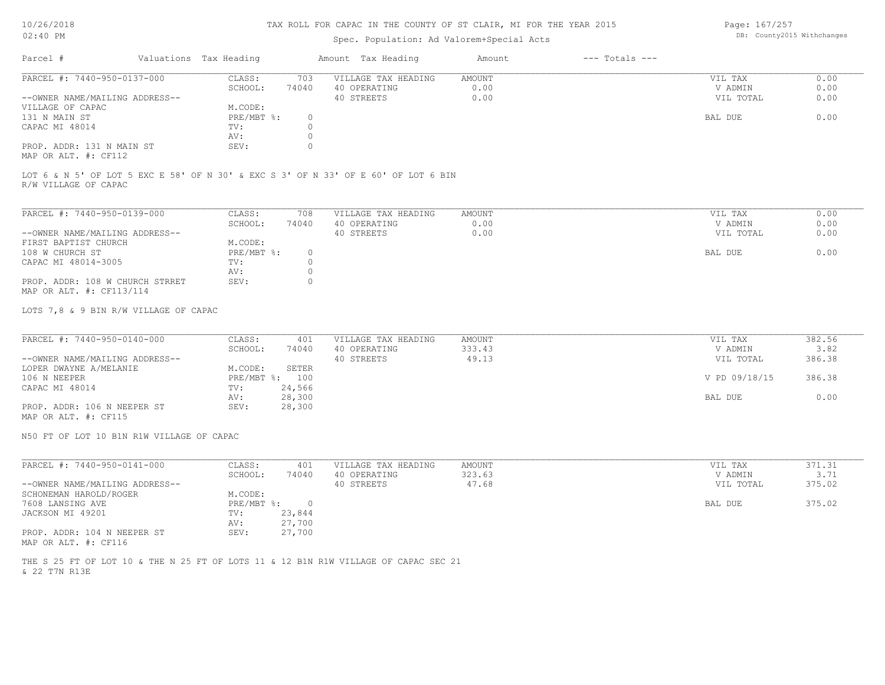# Spec. Population: Ad Valorem+Special Acts

Page: 167/257 DB: County2015 Withchanges

| Parcel #                                                    | Valuations Tax Heading |       | Amount Tax Heading  | Amount | $---$ Totals $---$ |           |      |
|-------------------------------------------------------------|------------------------|-------|---------------------|--------|--------------------|-----------|------|
| PARCEL #: 7440-950-0137-000                                 | CLASS:                 | 703   | VILLAGE TAX HEADING | AMOUNT |                    | VIL TAX   | 0.00 |
|                                                             | SCHOOL:                | 74040 | 40 OPERATING        | 0.00   |                    | V ADMIN   | 0.00 |
| --OWNER NAME/MAILING ADDRESS--                              |                        |       | 40 STREETS          | 0.00   |                    | VIL TOTAL | 0.00 |
| VILLAGE OF CAPAC                                            | M.CODE:                |       |                     |        |                    |           |      |
| 131 N MAIN ST                                               | PRE/MBT %:             |       |                     |        |                    | BAL DUE   | 0.00 |
| CAPAC MI 48014                                              | TV:                    |       |                     |        |                    |           |      |
|                                                             | AV:                    |       |                     |        |                    |           |      |
| PROP. ADDR: 131 N MAIN ST<br>$MAD$ $CD$ $ATH$ $H$ , $CD110$ | SEV:                   |       |                     |        |                    |           |      |

MAP OR ALT. #: CF112

R/W VILLAGE OF CAPAC LOT 6 & N 5' OF LOT 5 EXC E 58' OF N 30' & EXC S 3' OF N 33' OF E 60' OF LOT 6 BIN

| PARCEL #: 7440-950-0139-000     | CLASS:     | 708      | VILLAGE TAX HEADING | AMOUNT | VIL TAX   | 0.00 |
|---------------------------------|------------|----------|---------------------|--------|-----------|------|
|                                 | SCHOOL:    | 74040    | 40 OPERATING        | 0.00   | V ADMIN   | 0.00 |
| --OWNER NAME/MAILING ADDRESS--  |            |          | 40 STREETS          | 0.00   | VIL TOTAL | 0.00 |
| FIRST BAPTIST CHURCH            | M.CODE:    |          |                     |        |           |      |
| 108 W CHURCH ST                 | PRE/MBT %: | 0.       |                     |        | BAL DUE   | 0.00 |
| CAPAC MI 48014-3005             | TV:        |          |                     |        |           |      |
|                                 | AV:        |          |                     |        |           |      |
| PROP. ADDR: 108 W CHURCH STRRET | SEV:       | $^{(1)}$ |                     |        |           |      |
| MAP OR ALT. #: CF113/114        |            |          |                     |        |           |      |

LOTS 7,8 & 9 BIN R/W VILLAGE OF CAPAC

| PARCEL #: 7440-950-0140-000    | CLASS:         | 401    | VILLAGE TAX HEADING | AMOUNT | VIL TAX       | 382.56 |
|--------------------------------|----------------|--------|---------------------|--------|---------------|--------|
|                                | SCHOOL:        | 74040  | 40 OPERATING        | 333.43 | V ADMIN       | 3.82   |
| --OWNER NAME/MAILING ADDRESS-- |                |        | 40 STREETS          | 49.13  | VIL TOTAL     | 386.38 |
| LOPER DWAYNE A/MELANIE         | M.CODE:        | SETER  |                     |        |               |        |
| 106 N NEEPER                   | PRE/MBT %: 100 |        |                     |        | V PD 09/18/15 | 386.38 |
| CAPAC MI 48014                 | TV:            | 24,566 |                     |        |               |        |
|                                | AV:            | 28,300 |                     |        | BAL DUE       | 0.00   |
| PROP. ADDR: 106 N NEEPER ST    | SEV:           | 28,300 |                     |        |               |        |
|                                |                |        |                     |        |               |        |

MAP OR ALT. #: CF115

N50 FT OF LOT 10 B1N R1W VILLAGE OF CAPAC

| PARCEL #: 7440-950-0141-000    | CLASS:       | 401    | VILLAGE TAX HEADING | AMOUNT | VIL TAX   | 371.31 |
|--------------------------------|--------------|--------|---------------------|--------|-----------|--------|
|                                | SCHOOL:      | 74040  | 40 OPERATING        | 323.63 | V ADMIN   | 3.71   |
| --OWNER NAME/MAILING ADDRESS-- |              |        | 40 STREETS          | 47.68  | VIL TOTAL | 375.02 |
| SCHONEMAN HAROLD/ROGER         | M.CODE:      |        |                     |        |           |        |
| 7608 LANSING AVE               | $PRE/MBT$ %: |        |                     |        | BAL DUE   | 375.02 |
| JACKSON MI 49201               | TV:          | 23,844 |                     |        |           |        |
|                                | AV:          | 27,700 |                     |        |           |        |
| PROP. ADDR: 104 N NEEPER ST    | SEV:         | 27,700 |                     |        |           |        |
| MAP OR ALT. #: CF116           |              |        |                     |        |           |        |

& 22 T7N R13E THE S 25 FT OF LOT 10 & THE N 25 FT OF LOTS 11 & 12 B1N R1W VILLAGE OF CAPAC SEC 21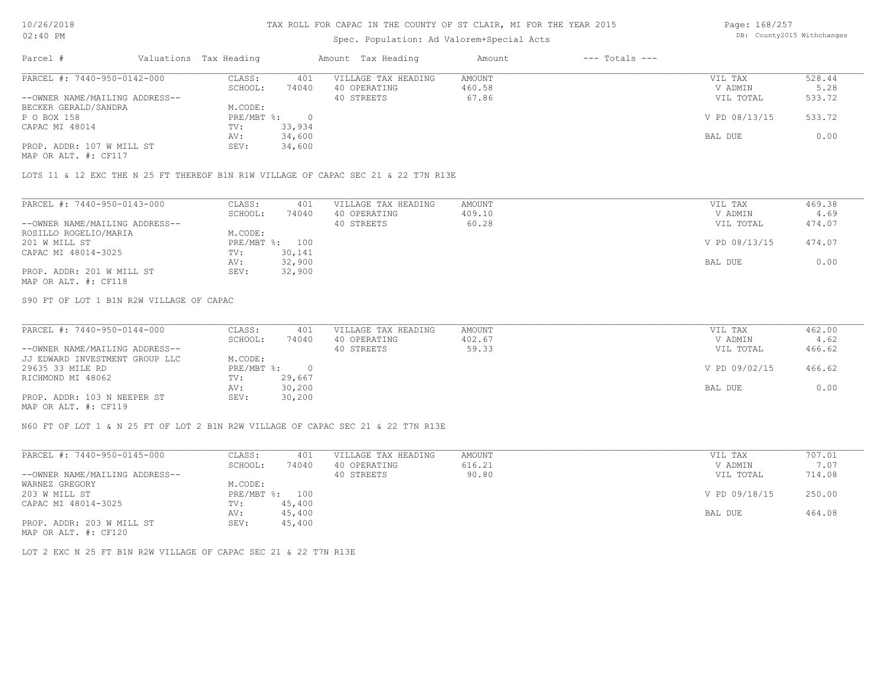# Spec. Population: Ad Valorem+Special Acts

Page: 168/257 DB: County2015 Withchanges

| Parcel #                       | Valuations Tax Heading |        | Amount Tax Heading  | Amount | $---$ Totals $---$ |               |        |
|--------------------------------|------------------------|--------|---------------------|--------|--------------------|---------------|--------|
| PARCEL #: 7440-950-0142-000    | CLASS:                 | 401    | VILLAGE TAX HEADING | AMOUNT |                    | VIL TAX       | 528.44 |
|                                | SCHOOL:                | 74040  | 40 OPERATING        | 460.58 |                    | V ADMIN       | 5.28   |
| --OWNER NAME/MAILING ADDRESS-- |                        |        | 40 STREETS          | 67.86  |                    | VIL TOTAL     | 533.72 |
| BECKER GERALD/SANDRA           | M.CODE:                |        |                     |        |                    |               |        |
| P O BOX 158                    | PRE/MBT %:             |        |                     |        |                    | V PD 08/13/15 | 533.72 |
| CAPAC MI 48014                 | TV:                    | 33,934 |                     |        |                    |               |        |
|                                | AV:                    | 34,600 |                     |        |                    | BAL DUE       | 0.00   |
| PROP. ADDR: 107 W MILL ST      | SEV:                   | 34,600 |                     |        |                    |               |        |
| MAP OR ALT. #: CF117           |                        |        |                     |        |                    |               |        |

LOTS 11 & 12 EXC THE N 25 FT THEREOF B1N R1W VILLAGE OF CAPAC SEC 21 & 22 T7N R13E

| PARCEL #: 7440-950-0143-000    | CLASS:     | 401    | VILLAGE TAX HEADING | AMOUNT | VIL TAX       | 469.38 |
|--------------------------------|------------|--------|---------------------|--------|---------------|--------|
|                                | SCHOOL:    | 74040  | 40 OPERATING        | 409.10 | V ADMIN       | 4.69   |
| --OWNER NAME/MAILING ADDRESS-- |            |        | 40 STREETS          | 60.28  | VIL TOTAL     | 474.07 |
| ROSILLO ROGELIO/MARIA          | M.CODE:    |        |                     |        |               |        |
| 201 W MILL ST                  | PRE/MBT %: | 100    |                     |        | V PD 08/13/15 | 474.07 |
| CAPAC MI 48014-3025            | TV:        | 30,141 |                     |        |               |        |
|                                | AV:        | 32,900 |                     |        | BAL DUE       | 0.00   |
| PROP. ADDR: 201 W MILL ST      | SEV:       | 32,900 |                     |        |               |        |
| MAP OR ALT. #: CF118           |            |        |                     |        |               |        |

S90 FT OF LOT 1 B1N R2W VILLAGE OF CAPAC

| PARCEL #: 7440-950-0144-000    | CLASS:     | 401    | VILLAGE TAX HEADING | AMOUNT | VIL TAX       | 462.00 |
|--------------------------------|------------|--------|---------------------|--------|---------------|--------|
|                                | SCHOOL:    | 74040  | 40 OPERATING        | 402.67 | V ADMIN       | 4.62   |
| --OWNER NAME/MAILING ADDRESS-- |            |        | 40 STREETS          | 59.33  | VIL TOTAL     | 466.62 |
| JJ EDWARD INVESTMENT GROUP LLC | M.CODE:    |        |                     |        |               |        |
| 29635 33 MILE RD               | PRE/MBT %: |        |                     |        | V PD 09/02/15 | 466.62 |
| RICHMOND MI 48062              | TV:        | 29,667 |                     |        |               |        |
|                                | AV:        | 30,200 |                     |        | BAL DUE       | 0.00   |
| PROP. ADDR: 103 N NEEPER ST    | SEV:       | 30,200 |                     |        |               |        |
| $\frac{1}{2}$                  |            |        |                     |        |               |        |

MAP OR ALT. #: CF119

N60 FT OF LOT 1 & N 25 FT OF LOT 2 B1N R2W VILLAGE OF CAPAC SEC 21 & 22 T7N R13E

| PARCEL #: 7440-950-0145-000    | CLASS:     | 401    | VILLAGE TAX HEADING | AMOUNT | VIL TAX       | 707.01 |
|--------------------------------|------------|--------|---------------------|--------|---------------|--------|
|                                | SCHOOL:    | 74040  | 40 OPERATING        | 616.21 | V ADMIN       | 7.07   |
| --OWNER NAME/MAILING ADDRESS-- |            |        | 40 STREETS          | 90.80  | VIL TOTAL     | 714.08 |
| WARNEZ GREGORY                 | M.CODE:    |        |                     |        |               |        |
| 203 W MILL ST                  | PRE/MBT %: | 100    |                     |        | V PD 09/18/15 | 250.00 |
| CAPAC MI 48014-3025            | TV:        | 45,400 |                     |        |               |        |
|                                | AV:        | 45,400 |                     |        | BAL DUE       | 464.08 |
| PROP. ADDR: 203 W MILL ST      | SEV:       | 45,400 |                     |        |               |        |
| MAP OR ALT. #: CF120           |            |        |                     |        |               |        |

LOT 2 EXC N 25 FT B1N R2W VILLAGE OF CAPAC SEC 21 & 22 T7N R13E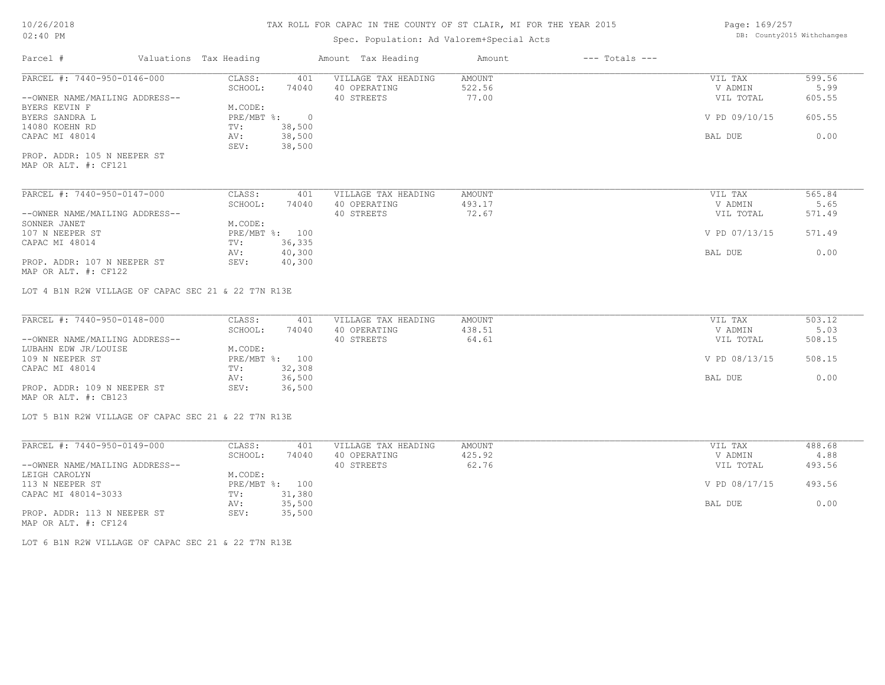# Spec. Population: Ad Valorem+Special Acts

Page: 169/257 DB: County2015 Withchanges

| Parcel #                                            | Valuations Tax Heading            | Amount Tax Heading                  | Amount           | $---$ Totals $---$ |                    |                |
|-----------------------------------------------------|-----------------------------------|-------------------------------------|------------------|--------------------|--------------------|----------------|
| PARCEL #: 7440-950-0146-000                         | CLASS:<br>401                     | VILLAGE TAX HEADING                 | <b>AMOUNT</b>    |                    | VIL TAX            | 599.56         |
|                                                     | 74040<br>SCHOOL:                  | 40 OPERATING                        | 522.56           |                    | V ADMIN            | 5.99           |
| --OWNER NAME/MAILING ADDRESS--                      |                                   | 40 STREETS                          | 77.00            |                    | VIL TOTAL          | 605.55         |
| BYERS KEVIN F                                       | M.CODE:                           |                                     |                  |                    |                    |                |
| BYERS SANDRA L                                      | PRE/MBT %:<br>$\overline{0}$      |                                     |                  |                    | V PD 09/10/15      | 605.55         |
| 14080 KOEHN RD                                      | 38,500<br>TV:                     |                                     |                  |                    |                    |                |
| CAPAC MI 48014                                      | 38,500<br>AV:<br>SEV:<br>38,500   |                                     |                  |                    | BAL DUE            | 0.00           |
| PROP. ADDR: 105 N NEEPER ST                         |                                   |                                     |                  |                    |                    |                |
| MAP OR ALT. #: CF121                                |                                   |                                     |                  |                    |                    |                |
| PARCEL #: 7440-950-0147-000                         | CLASS:<br>401                     | VILLAGE TAX HEADING                 | <b>AMOUNT</b>    |                    | VIL TAX            | 565.84         |
|                                                     | SCHOOL:<br>74040                  | 40 OPERATING                        | 493.17           |                    | V ADMIN            | 5.65           |
| --OWNER NAME/MAILING ADDRESS--                      |                                   | 40 STREETS                          | 72.67            |                    | VIL TOTAL          | 571.49         |
| SONNER JANET                                        | M.CODE:                           |                                     |                  |                    |                    |                |
| 107 N NEEPER ST                                     | PRE/MBT %: 100                    |                                     |                  |                    | V PD 07/13/15      | 571.49         |
| CAPAC MI 48014                                      | 36,335<br>TV:                     |                                     |                  |                    |                    |                |
|                                                     | 40,300<br>AV:                     |                                     |                  |                    | BAL DUE            | 0.00           |
| PROP. ADDR: 107 N NEEPER ST                         | 40,300<br>SEV:                    |                                     |                  |                    |                    |                |
| MAP OR ALT. #: CF122                                |                                   |                                     |                  |                    |                    |                |
| PARCEL #: 7440-950-0148-000                         | CLASS:<br>401<br>SCHOOL:<br>74040 | VILLAGE TAX HEADING<br>40 OPERATING | AMOUNT<br>438.51 |                    | VIL TAX<br>V ADMIN | 503.12<br>5.03 |
| --OWNER NAME/MAILING ADDRESS--                      |                                   | 40 STREETS                          | 64.61            |                    | VIL TOTAL          | 508.15         |
| LUBAHN EDW JR/LOUISE<br>109 N NEEPER ST             | M.CODE:<br>PRE/MBT %: 100         |                                     |                  |                    | V PD 08/13/15      | 508.15         |
|                                                     | 32,308                            |                                     |                  |                    |                    |                |
| CAPAC MI 48014                                      | TV:<br>36,500<br>AV:              |                                     |                  |                    | BAL DUE            | 0.00           |
| PROP. ADDR: 109 N NEEPER ST                         | 36,500<br>SEV:                    |                                     |                  |                    |                    |                |
| MAP OR ALT. #: CB123                                |                                   |                                     |                  |                    |                    |                |
| LOT 5 B1N R2W VILLAGE OF CAPAC SEC 21 & 22 T7N R13E |                                   |                                     |                  |                    |                    |                |
|                                                     |                                   |                                     |                  |                    |                    |                |
| PARCEL #: 7440-950-0149-000                         | CLASS:<br>401                     | VILLAGE TAX HEADING                 | AMOUNT           |                    | VIL TAX            | 488.68         |
|                                                     | SCHOOL:<br>74040                  | 40 OPERATING                        | 425.92           |                    | V ADMIN            | 4.88           |
| --OWNER NAME/MAILING ADDRESS--                      |                                   | 40 STREETS                          | 62.76            |                    | VIL TOTAL          | 493.56         |
| LEIGH CAROLYN                                       | M.CODE:                           |                                     |                  |                    |                    |                |
| 113 N NEEPER ST                                     | PRE/MBT %: 100                    |                                     |                  |                    | V PD 08/17/15      | 493.56         |
| CAPAC MI 48014-3033                                 | 31,380<br>TV:                     |                                     |                  |                    |                    |                |
|                                                     | AV:<br>35,500                     |                                     |                  |                    | BAL DUE            | 0.00           |

AV: 35,500 BAL DUE 0.00

MAP OR ALT. #: CF124 PROP. ADDR: 113 N NEEPER ST SEV: 35,500

LOT 6 B1N R2W VILLAGE OF CAPAC SEC 21 & 22 T7N R13E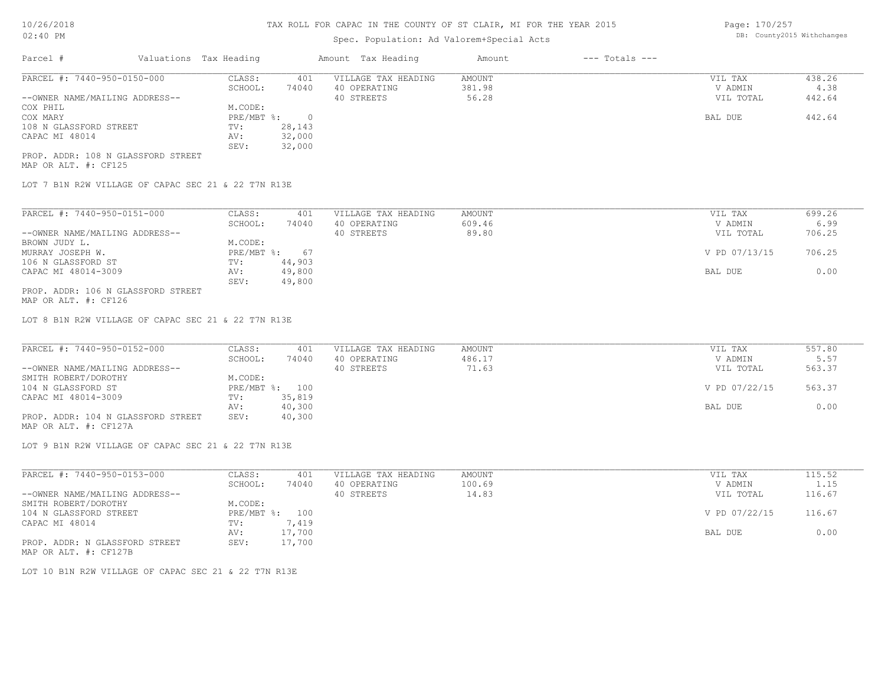# Spec. Population: Ad Valorem+Special Acts

Page: 170/257 DB: County2015 Withchanges

| Parcel #                           | Valuations Tax Heading |        | Amount Tax Heading  | Amount | $---$ Totals $---$ |           |        |
|------------------------------------|------------------------|--------|---------------------|--------|--------------------|-----------|--------|
| PARCEL #: 7440-950-0150-000        | CLASS:                 | 401    | VILLAGE TAX HEADING | AMOUNT |                    | VIL TAX   | 438.26 |
|                                    | SCHOOL:                | 74040  | 40 OPERATING        | 381.98 |                    | V ADMIN   | 4.38   |
| --OWNER NAME/MAILING ADDRESS--     |                        |        | 40 STREETS          | 56.28  |                    | VIL TOTAL | 442.64 |
| COX PHIL                           | M.CODE:                |        |                     |        |                    |           |        |
| COX MARY                           | PRE/MBT %:             |        |                     |        |                    | BAL DUE   | 442.64 |
| 108 N GLASSFORD STREET             | TV:                    | 28,143 |                     |        |                    |           |        |
| CAPAC MI 48014                     | AV:                    | 32,000 |                     |        |                    |           |        |
|                                    | SEV:                   | 32,000 |                     |        |                    |           |        |
| PROP. ADDR: 108 N GLASSFORD STREET |                        |        |                     |        |                    |           |        |

MAP OR ALT. #: CF125

LOT 7 B1N R2W VILLAGE OF CAPAC SEC 21 & 22 T7N R13E

| PARCEL #: 7440-950-0151-000        | CLASS:     | 401    | VILLAGE TAX HEADING | AMOUNT | VIL TAX       | 699.26 |
|------------------------------------|------------|--------|---------------------|--------|---------------|--------|
|                                    | SCHOOL:    | 74040  | 40 OPERATING        | 609.46 | V ADMIN       | 6.99   |
| --OWNER NAME/MAILING ADDRESS--     |            |        | 40 STREETS          | 89.80  | VIL TOTAL     | 706.25 |
| BROWN JUDY L.                      | M.CODE:    |        |                     |        |               |        |
| MURRAY JOSEPH W.                   | PRE/MBT %: | 67     |                     |        | V PD 07/13/15 | 706.25 |
| 106 N GLASSFORD ST                 | TV:        | 44,903 |                     |        |               |        |
| CAPAC MI 48014-3009                | AV:        | 49,800 |                     |        | BAL DUE       | 0.00   |
|                                    | SEV:       | 49,800 |                     |        |               |        |
| PROP. ADDR: 106 N GLASSFORD STREET |            |        |                     |        |               |        |

MAP OR ALT. #: CF126

LOT 8 B1N R2W VILLAGE OF CAPAC SEC 21 & 22 T7N R13E

| PARCEL #: 7440-950-0152-000        | CLASS:  | 401            | VILLAGE TAX HEADING | AMOUNT | VIL TAX       | 557.80 |
|------------------------------------|---------|----------------|---------------------|--------|---------------|--------|
|                                    | SCHOOL: | 74040          | 40 OPERATING        | 486.17 | V ADMIN       | 5.57   |
| --OWNER NAME/MAILING ADDRESS--     |         |                | 40 STREETS          | 71.63  | VIL TOTAL     | 563.37 |
| SMITH ROBERT/DOROTHY               | M.CODE: |                |                     |        |               |        |
| 104 N GLASSFORD ST                 |         | PRE/MBT %: 100 |                     |        | V PD 07/22/15 | 563.37 |
| CAPAC MI 48014-3009                | TV:     | 35,819         |                     |        |               |        |
|                                    | AV:     | 40,300         |                     |        | BAL DUE       | 0.00   |
| PROP. ADDR: 104 N GLASSFORD STREET | SEV:    | 40,300         |                     |        |               |        |

MAP OR ALT. #: CF127A

LOT 9 B1N R2W VILLAGE OF CAPAC SEC 21 & 22 T7N R13E

| PARCEL #: 7440-950-0153-000    | CLASS:     | 401    | VILLAGE TAX HEADING | AMOUNT | 115.52<br>VIL TAX       |      |
|--------------------------------|------------|--------|---------------------|--------|-------------------------|------|
|                                | SCHOOL:    | 74040  | 40 OPERATING        | 100.69 | V ADMIN                 | 1.15 |
| --OWNER NAME/MAILING ADDRESS-- |            |        | 40 STREETS          | 14.83  | 116.67<br>VIL TOTAL     |      |
| SMITH ROBERT/DOROTHY           | M.CODE:    |        |                     |        |                         |      |
| 104 N GLASSFORD STREET         | PRE/MBT %: | 100    |                     |        | V PD 07/22/15<br>116.67 |      |
| CAPAC MI 48014                 | TV:        | 1,419  |                     |        |                         |      |
|                                | AV:        | 17,700 |                     |        | BAL DUE                 | 0.00 |
| PROP. ADDR: N GLASSFORD STREET | SEV:       | 17,700 |                     |        |                         |      |
| MAP OR ALT. #: CF127B          |            |        |                     |        |                         |      |

LOT 10 B1N R2W VILLAGE OF CAPAC SEC 21 & 22 T7N R13E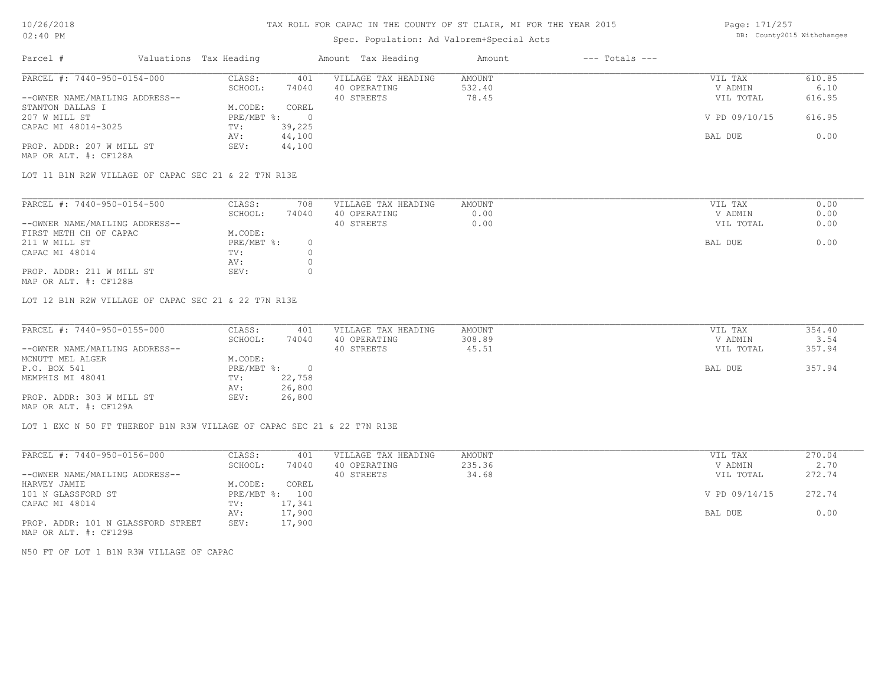# Spec. Population: Ad Valorem+Special Acts

Page: 171/257 DB: County2015 Withchanges

| Parcel #                       | Valuations Tax Heading |        | Amount Tax Heading  | Amount | $---$ Totals $---$ |               |        |
|--------------------------------|------------------------|--------|---------------------|--------|--------------------|---------------|--------|
| PARCEL #: 7440-950-0154-000    | CLASS:                 | 401    | VILLAGE TAX HEADING | AMOUNT |                    | VIL TAX       | 610.85 |
|                                | SCHOOL:                | 74040  | 40 OPERATING        | 532.40 |                    | V ADMIN       | 6.10   |
| --OWNER NAME/MAILING ADDRESS-- |                        |        | 40 STREETS          | 78.45  |                    | VIL TOTAL     | 616.95 |
| STANTON DALLAS I               | M.CODE:                | COREL  |                     |        |                    |               |        |
| 207 W MILL ST                  | PRE/MBT %:             |        |                     |        |                    | V PD 09/10/15 | 616.95 |
| CAPAC MI 48014-3025            | TV:                    | 39,225 |                     |        |                    |               |        |
|                                | AV:                    | 44,100 |                     |        |                    | BAL DUE       | 0.00   |
| PROP. ADDR: 207 W MILL ST      | SEV:                   | 44,100 |                     |        |                    |               |        |
| MAP OR ALT. #: CF128A          |                        |        |                     |        |                    |               |        |

LOT 11 B1N R2W VILLAGE OF CAPAC SEC 21 & 22 T7N R13E

| PARCEL #: 7440-950-0154-500    | CLASS:     | 708   | VILLAGE TAX HEADING | AMOUNT | VIL TAX   | 0.00 |
|--------------------------------|------------|-------|---------------------|--------|-----------|------|
|                                | SCHOOL:    | 74040 | 40 OPERATING        | J.OO   | V ADMIN   | 0.00 |
| --OWNER NAME/MAILING ADDRESS-- |            |       | 40 STREETS          | 0.00   | VIL TOTAL | 0.00 |
| FIRST METH CH OF CAPAC         | M.CODE:    |       |                     |        |           |      |
| 211 W MILL ST                  | PRE/MBT %: |       |                     |        | BAL DUE   | 0.00 |
| CAPAC MI 48014                 | TV:        |       |                     |        |           |      |
|                                | AV:        |       |                     |        |           |      |
| PROP. ADDR: 211 W MILL ST      | SEV:       |       |                     |        |           |      |
|                                |            |       |                     |        |           |      |

MAP OR ALT. #: CF128B

LOT 12 B1N R2W VILLAGE OF CAPAC SEC 21 & 22 T7N R13E

| PARCEL #: 7440-950-0155-000    | CLASS:     | 401    | VILLAGE TAX HEADING | AMOUNT | VIL TAX   | 354.40 |
|--------------------------------|------------|--------|---------------------|--------|-----------|--------|
|                                | SCHOOL:    | 74040  | 40 OPERATING        | 308.89 | V ADMIN   | 3.54   |
| --OWNER NAME/MAILING ADDRESS-- |            |        | 40 STREETS          | 45.51  | VIL TOTAL | 357.94 |
| MCNUTT MEL ALGER               | M.CODE:    |        |                     |        |           |        |
| P.O. BOX 541                   | PRE/MBT %: |        |                     |        | BAL DUE   | 357.94 |
| MEMPHIS MI 48041               | TV:        | 22,758 |                     |        |           |        |
|                                | AV:        | 26,800 |                     |        |           |        |
| PROP. ADDR: 303 W MILL ST      | SEV:       | 26,800 |                     |        |           |        |
| MAP OR ALT. #: CF129A          |            |        |                     |        |           |        |

LOT 1 EXC N 50 FT THEREOF B1N R3W VILLAGE OF CAPAC SEC 21 & 22 T7N R13E

| PARCEL #: 7440-950-0156-000        | CLASS:     | 401    | VILLAGE TAX HEADING | AMOUNT | VIL TAX       | 270.04 |
|------------------------------------|------------|--------|---------------------|--------|---------------|--------|
|                                    | SCHOOL:    | 74040  | 40 OPERATING        | 235.36 | V ADMIN       | 2.70   |
| --OWNER NAME/MAILING ADDRESS--     |            |        | 40 STREETS          | 34.68  | VIL TOTAL     | 272.74 |
| HARVEY JAMIE                       | M.CODE:    | COREL  |                     |        |               |        |
| 101 N GLASSFORD ST                 | PRE/MBT %: | 100    |                     |        | V PD 09/14/15 | 272.74 |
| CAPAC MI 48014                     | TV:        | 17,341 |                     |        |               |        |
|                                    | AV:        | 17,900 |                     |        | BAL DUE       | 0.00   |
| PROP. ADDR: 101 N GLASSFORD STREET | SEV:       | 17,900 |                     |        |               |        |
| MAP OR ALT. #: CF129B              |            |        |                     |        |               |        |

N50 FT OF LOT 1 B1N R3W VILLAGE OF CAPAC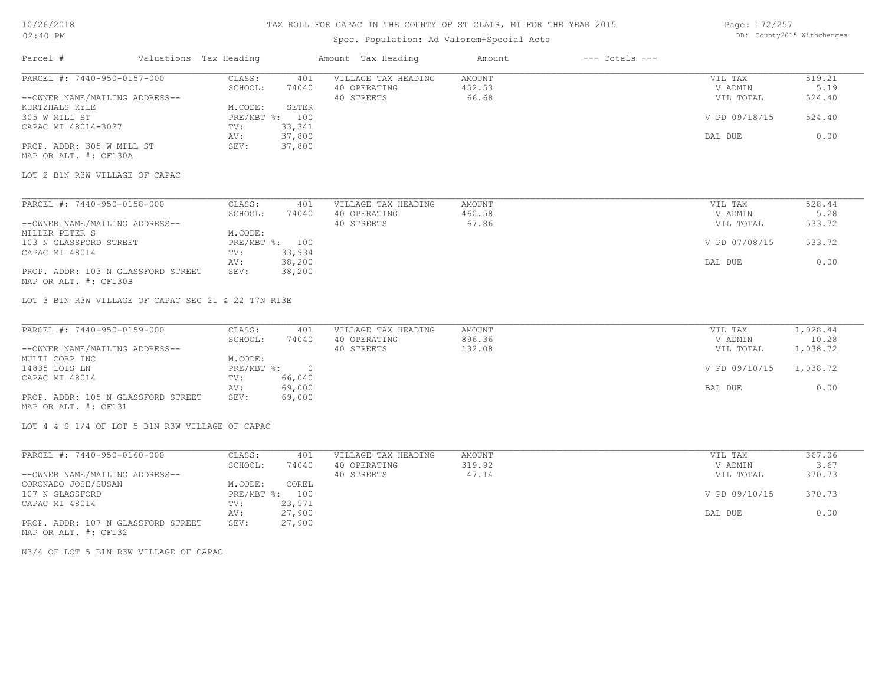# Spec. Population: Ad Valorem+Special Acts

Page: 172/257 DB: County2015 Withchanges

| Parcel #                                                    | Valuations Tax Heading                              | Amount Tax Heading         | Amount           | $---$ Totals $---$ |                      |                   |
|-------------------------------------------------------------|-----------------------------------------------------|----------------------------|------------------|--------------------|----------------------|-------------------|
| PARCEL #: 7440-950-0157-000                                 | CLASS:<br>401                                       | VILLAGE TAX HEADING        | AMOUNT           |                    | VIL TAX              | 519.21            |
| --OWNER NAME/MAILING ADDRESS--                              | SCHOOL:<br>74040                                    | 40 OPERATING<br>40 STREETS | 452.53<br>66.68  |                    | V ADMIN<br>VIL TOTAL | 5.19<br>524.40    |
| KURTZHALS KYLE<br>305 W MILL ST<br>CAPAC MI 48014-3027      | M.CODE:<br>SETER<br>PRE/MBT %: 100<br>33,341<br>TV: |                            |                  |                    | V PD 09/18/15        | 524.40            |
|                                                             | 37,800<br>AV:                                       |                            |                  |                    | BAL DUE              | 0.00              |
| PROP. ADDR: 305 W MILL ST<br>MAP OR ALT. #: CF130A          | 37,800<br>SEV:                                      |                            |                  |                    |                      |                   |
| LOT 2 B1N R3W VILLAGE OF CAPAC                              |                                                     |                            |                  |                    |                      |                   |
| PARCEL #: 7440-950-0158-000                                 | CLASS:<br>401                                       | VILLAGE TAX HEADING        | AMOUNT           |                    | VIL TAX              | 528.44            |
|                                                             | SCHOOL:<br>74040                                    | 40 OPERATING               | 460.58           |                    | V ADMIN              | 5.28              |
| --OWNER NAME/MAILING ADDRESS--<br>MILLER PETER S            | M.CODE:                                             | 40 STREETS                 | 67.86            |                    | VIL TOTAL            | 533.72            |
| 103 N GLASSFORD STREET                                      | PRE/MBT %: 100                                      |                            |                  |                    | V PD 07/08/15        | 533.72            |
| CAPAC MI 48014                                              | 33,934<br>TV:                                       |                            |                  |                    |                      |                   |
| PROP. ADDR: 103 N GLASSFORD STREET<br>MAP OR ALT. #: CF130B | 38,200<br>AV:<br>38,200<br>SEV:                     |                            |                  |                    | BAL DUE              | 0.00              |
| LOT 3 B1N R3W VILLAGE OF CAPAC SEC 21 & 22 T7N R13E         |                                                     |                            |                  |                    |                      |                   |
| PARCEL #: 7440-950-0159-000                                 | CLASS:<br>401                                       | VILLAGE TAX HEADING        | AMOUNT           |                    | VIL TAX              | 1,028.44          |
| --OWNER NAME/MAILING ADDRESS--                              | SCHOOL:<br>74040                                    | 40 OPERATING<br>40 STREETS | 896.36<br>132.08 |                    | V ADMIN<br>VIL TOTAL | 10.28<br>1,038.72 |
| MULTI CORP INC                                              | M.CODE:                                             |                            |                  |                    |                      |                   |
| 14835 LOIS LN                                               | PRE/MBT %:<br>$\overline{0}$                        |                            |                  |                    | V PD 09/10/15        | 1,038.72          |
| CAPAC MI 48014                                              | 66,040<br>TV:                                       |                            |                  |                    |                      |                   |
| PROP. ADDR: 105 N GLASSFORD STREET<br>MAP OR ALT. #: CF131  | 69,000<br>AV:<br>69,000<br>SEV:                     |                            |                  |                    | BAL DUE              | 0.00              |
| LOT 4 & S 1/4 OF LOT 5 B1N R3W VILLAGE OF CAPAC             |                                                     |                            |                  |                    |                      |                   |
|                                                             |                                                     |                            |                  |                    |                      |                   |
| PARCEL #: 7440-950-0160-000                                 | CLASS:<br>401                                       | VILLAGE TAX HEADING        | AMOUNT           |                    | VIL TAX              | 367.06            |
|                                                             | SCHOOL:<br>74040                                    | 40 OPERATING               | 319.92<br>47.14  |                    | V ADMIN              | 3.67<br>370.73    |
| --OWNER NAME/MAILING ADDRESS--<br>CORONADO JOSE/SUSAN       | M.CODE:<br>COREL                                    | 40 STREETS                 |                  |                    | VIL TOTAL            |                   |
| 107 N GLASSFORD                                             | PRE/MBT %:<br>100                                   |                            |                  |                    | V PD 09/10/15        | 370.73            |

MAP OR ALT. #: CF132 PROP. ADDR: 107 N GLASSFORD STREET SEV: 27,900 AV: 27,900 BAL DUE 0.00 CAPAC MI 48014 TV: 23,571<br>
AV: 27,900

N3/4 OF LOT 5 B1N R3W VILLAGE OF CAPAC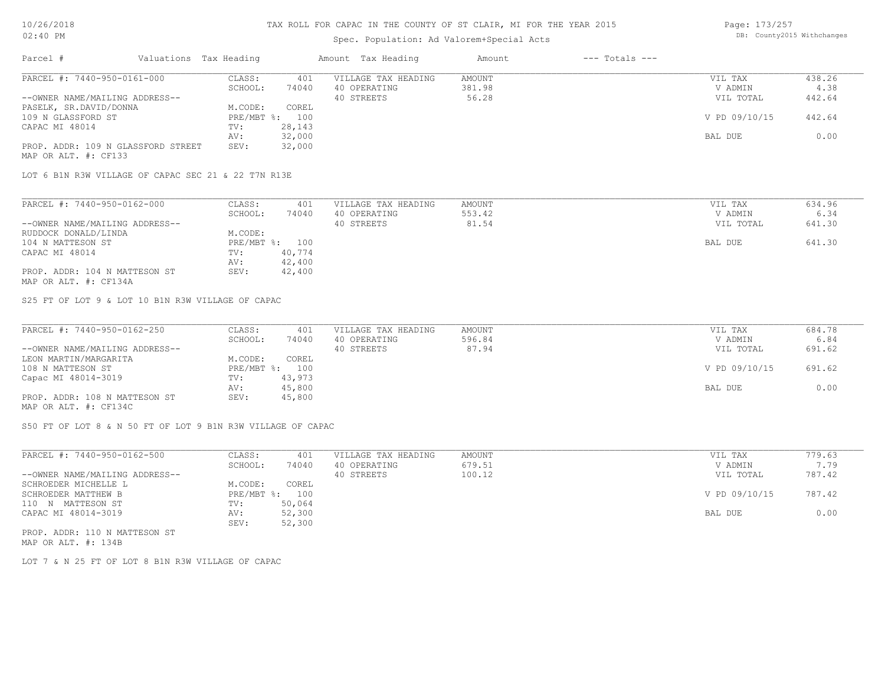# Spec. Population: Ad Valorem+Special Acts

| Page: 173/257 |                            |
|---------------|----------------------------|
|               | DB: County2015 Withchanges |

| Parcel #                           | Valuations Tax Heading |                | Amount Tax Heading  | Amount | $---$ Totals $---$ |               |        |
|------------------------------------|------------------------|----------------|---------------------|--------|--------------------|---------------|--------|
| PARCEL #: 7440-950-0161-000        | CLASS:                 | 401            | VILLAGE TAX HEADING | AMOUNT |                    | VIL TAX       | 438.26 |
|                                    | SCHOOL:                | 74040          | 40 OPERATING        | 381.98 |                    | V ADMIN       | 4.38   |
| --OWNER NAME/MAILING ADDRESS--     |                        |                | 40 STREETS          | 56.28  |                    | VIL TOTAL     | 442.64 |
| PASELK, SR.DAVID/DONNA             | M.CODE:                | COREL          |                     |        |                    |               |        |
| 109 N GLASSFORD ST                 |                        | PRE/MBT %: 100 |                     |        |                    | V PD 09/10/15 | 442.64 |
| CAPAC MI 48014                     | TV:                    | 28,143         |                     |        |                    |               |        |
|                                    | AV:                    | 32,000         |                     |        |                    | BAL DUE       | 0.00   |
| PROP. ADDR: 109 N GLASSFORD STREET | SEV:                   | 32,000         |                     |        |                    |               |        |
| MAP OR ALT. #: CF133               |                        |                |                     |        |                    |               |        |

LOT 6 B1N R3W VILLAGE OF CAPAC SEC 21 & 22 T7N R13E

| PARCEL #: 7440-950-0162-000    | CLASS:  | 401            | VILLAGE TAX HEADING | AMOUNT | VIL TAX   | 634.96 |
|--------------------------------|---------|----------------|---------------------|--------|-----------|--------|
|                                | SCHOOL: | 74040          | 40 OPERATING        | 553.42 | V ADMIN   | 6.34   |
| --OWNER NAME/MAILING ADDRESS-- |         |                | 40 STREETS          | 81.54  | VIL TOTAL | 641.30 |
| RUDDOCK DONALD/LINDA           | M.CODE: |                |                     |        |           |        |
| 104 N MATTESON ST              |         | PRE/MBT %: 100 |                     |        | BAL DUE   | 641.30 |
| CAPAC MI 48014                 | TV:     | 40,774         |                     |        |           |        |
|                                | AV:     | 42,400         |                     |        |           |        |
| PROP. ADDR: 104 N MATTESON ST  | SEV:    | 42,400         |                     |        |           |        |
| MAP OR ALT. #: CF134A          |         |                |                     |        |           |        |

S25 FT OF LOT 9 & LOT 10 B1N R3W VILLAGE OF CAPAC

| PARCEL #: 7440-950-0162-250    | CLASS:  | 401            | VILLAGE TAX HEADING | AMOUNT | VIL TAX       | 684.78 |
|--------------------------------|---------|----------------|---------------------|--------|---------------|--------|
|                                | SCHOOL: | 74040          | 40 OPERATING        | 596.84 | V ADMIN       | 6.84   |
| --OWNER NAME/MAILING ADDRESS-- |         |                | 40 STREETS          | 87.94  | VIL TOTAL     | 691.62 |
| LEON MARTIN/MARGARITA          | M.CODE: | COREL          |                     |        |               |        |
| 108 N MATTESON ST              |         | PRE/MBT %: 100 |                     |        | V PD 09/10/15 | 691.62 |
| Capac MI 48014-3019            | TV:     | 43,973         |                     |        |               |        |
|                                | AV:     | 45,800         |                     |        | BAL DUE       | 0.00   |
| PROP. ADDR: 108 N MATTESON ST  | SEV:    | 45,800         |                     |        |               |        |
| MAP OR ALT. #: CF134C          |         |                |                     |        |               |        |

S50 FT OF LOT 8 & N 50 FT OF LOT 9 B1N R3W VILLAGE OF CAPAC

| PARCEL #: 7440-950-0162-500    | CLASS:     | 401    | VILLAGE TAX HEADING | AMOUNT | VIL TAX       | 779.63 |
|--------------------------------|------------|--------|---------------------|--------|---------------|--------|
|                                | SCHOOL:    | 74040  | 40 OPERATING        | 679.51 | V ADMIN       | 7.79   |
| --OWNER NAME/MAILING ADDRESS-- |            |        | 40 STREETS          | 100.12 | VIL TOTAL     | 787.42 |
| SCHROEDER MICHELLE L           | M.CODE:    | COREL  |                     |        |               |        |
| SCHROEDER MATTHEW B            | PRE/MBT %: | 100    |                     |        | V PD 09/10/15 | 787.42 |
| 110 N MATTESON ST              | TV:        | 50,064 |                     |        |               |        |
| CAPAC MI 48014-3019            | AV:        | 52,300 |                     |        | BAL DUE       | 0.00   |
|                                | SEV:       | 52,300 |                     |        |               |        |
| PROP. ADDR: 110 N MATTESON ST  |            |        |                     |        |               |        |

MAP OR ALT. #: 134B

LOT 7 & N 25 FT OF LOT 8 B1N R3W VILLAGE OF CAPAC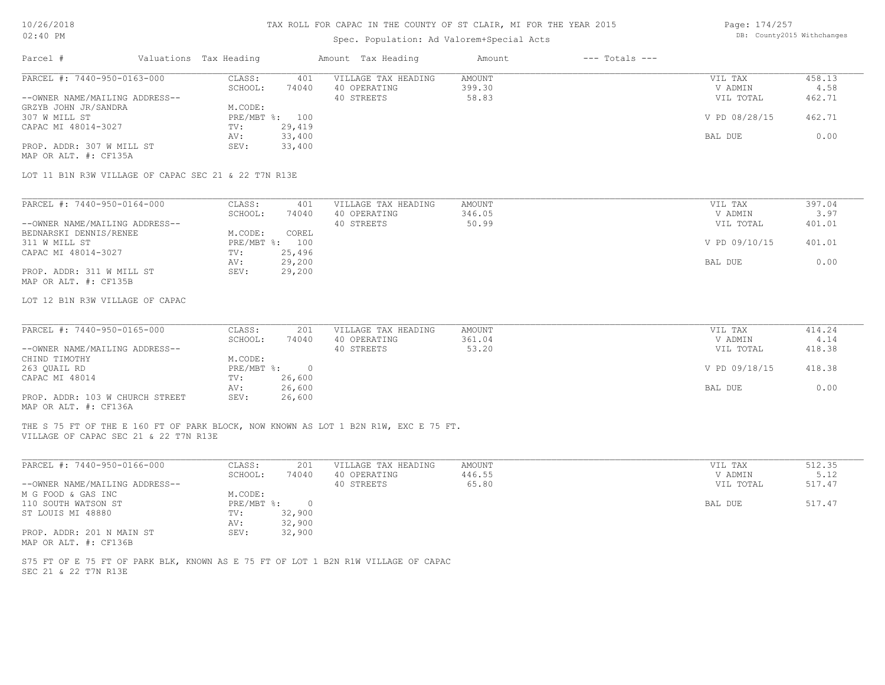### Spec. Population: Ad Valorem+Special Acts

Page: 174/257 DB: County2015 Withchanges

| Parcel #                                                                                                                     | Valuations Tax Heading |                  | Amount Tax Heading         | Amount          | $---$ Totals $---$ |                      |                |
|------------------------------------------------------------------------------------------------------------------------------|------------------------|------------------|----------------------------|-----------------|--------------------|----------------------|----------------|
| PARCEL #: 7440-950-0163-000                                                                                                  | CLASS:                 | 401              | VILLAGE TAX HEADING        | AMOUNT          |                    | VIL TAX              | 458.13         |
|                                                                                                                              | SCHOOL:                | 74040            | 40 OPERATING<br>40 STREETS | 399.30<br>58.83 |                    | V ADMIN<br>VIL TOTAL | 4.58<br>462.71 |
| --OWNER NAME/MAILING ADDRESS--<br>GRZYB JOHN JR/SANDRA                                                                       | M.CODE:                |                  |                            |                 |                    |                      |                |
| 307 W MILL ST                                                                                                                | PRE/MBT %: 100         |                  |                            |                 |                    | V PD 08/28/15        | 462.71         |
| CAPAC MI 48014-3027                                                                                                          | TV:                    | 29,419           |                            |                 |                    |                      |                |
|                                                                                                                              | AV:                    | 33,400           |                            |                 |                    | BAL DUE              | 0.00           |
| PROP. ADDR: 307 W MILL ST<br>MAP OR ALT. #: CF135A                                                                           | SEV:                   | 33,400           |                            |                 |                    |                      |                |
| LOT 11 B1N R3W VILLAGE OF CAPAC SEC 21 & 22 T7N R13E                                                                         |                        |                  |                            |                 |                    |                      |                |
|                                                                                                                              |                        |                  |                            |                 |                    |                      |                |
| PARCEL #: 7440-950-0164-000                                                                                                  | CLASS:                 | 401              | VILLAGE TAX HEADING        | <b>AMOUNT</b>   |                    | VIL TAX              | 397.04         |
|                                                                                                                              | SCHOOL:                | 74040            | 40 OPERATING               | 346.05          |                    | V ADMIN              | 3.97           |
| --OWNER NAME/MAILING ADDRESS--                                                                                               |                        |                  | 40 STREETS                 | 50.99           |                    | VIL TOTAL            | 401.01         |
| BEDNARSKI DENNIS/RENEE                                                                                                       | M.CODE:                | COREL            |                            |                 |                    |                      |                |
| 311 W MILL ST                                                                                                                | PRE/MBT %: 100         |                  |                            |                 |                    | V PD 09/10/15        | 401.01         |
| CAPAC MI 48014-3027                                                                                                          | TV:                    | 25,496           |                            |                 |                    |                      |                |
|                                                                                                                              | AV:                    | 29,200           |                            |                 |                    | BAL DUE              | 0.00           |
| PROP. ADDR: 311 W MILL ST<br>MAP OR ALT. #: CF135B                                                                           | SEV:                   | 29,200           |                            |                 |                    |                      |                |
| LOT 12 B1N R3W VILLAGE OF CAPAC                                                                                              |                        |                  |                            |                 |                    |                      |                |
|                                                                                                                              |                        |                  |                            |                 |                    |                      |                |
| PARCEL #: 7440-950-0165-000                                                                                                  | CLASS:                 | 201              | VILLAGE TAX HEADING        | AMOUNT          |                    | VIL TAX              | 414.24         |
|                                                                                                                              | SCHOOL:                | 74040            | 40 OPERATING               | 361.04          |                    | V ADMIN              | 4.14           |
| --OWNER NAME/MAILING ADDRESS--                                                                                               |                        |                  | 40 STREETS                 | 53.20           |                    | VIL TOTAL            | 418.38         |
| CHIND TIMOTHY                                                                                                                | M.CODE:                |                  |                            |                 |                    |                      |                |
| 263 QUAIL RD                                                                                                                 | PRE/MBT %: 0           |                  |                            |                 |                    | V PD 09/18/15        | 418.38         |
| CAPAC MI 48014                                                                                                               | TV:<br>AV:             | 26,600<br>26,600 |                            |                 |                    | BAL DUE              | 0.00           |
| PROP. ADDR: 103 W CHURCH STREET<br>MAP OR ALT. #: CF136A                                                                     | SEV:                   | 26,600           |                            |                 |                    |                      |                |
|                                                                                                                              |                        |                  |                            |                 |                    |                      |                |
| THE S 75 FT OF THE E 160 FT OF PARK BLOCK, NOW KNOWN AS LOT 1 B2N R1W, EXC E 75 FT.<br>VILLAGE OF CAPAC SEC 21 & 22 T7N R13E |                        |                  |                            |                 |                    |                      |                |
|                                                                                                                              |                        |                  |                            |                 |                    |                      |                |
| PARCEL #: 7440-950-0166-000                                                                                                  | CLASS:                 | 201              | VILLAGE TAX HEADING        | AMOUNT          |                    | VIL TAX              | 512.35         |
|                                                                                                                              | SCHOOL:                | 74040            | 40 OPERATING               | 446.55          |                    | V ADMIN              | 5.12           |
| --OWNER NAME/MAILING ADDRESS--                                                                                               |                        |                  | 40 STREETS                 | 65.80           |                    | VIL TOTAL            | 517.47         |
| M G FOOD & GAS INC                                                                                                           | M.CODE:                |                  |                            |                 |                    |                      |                |
| 110 SOUTH WATSON ST                                                                                                          | PRE/MBT %: 0           |                  |                            |                 |                    | BAL DUE              | 517.47         |
| ST LOUIS MI 48880                                                                                                            | TV:                    | 32,900           |                            |                 |                    |                      |                |
| PROP. ADDR: 201 N MAIN ST                                                                                                    | AV:<br>SEV:            | 32,900<br>32,900 |                            |                 |                    |                      |                |
| MAP OR ALT. #: CF136B                                                                                                        |                        |                  |                            |                 |                    |                      |                |
| S75 FT OF E 75 FT OF PARK BLK, KNOWN AS E 75 FT OF LOT 1 B2N R1W VILLAGE OF CAPAC                                            |                        |                  |                            |                 |                    |                      |                |
| SEC 21 & 22 T7N R13E                                                                                                         |                        |                  |                            |                 |                    |                      |                |
|                                                                                                                              |                        |                  |                            |                 |                    |                      |                |
|                                                                                                                              |                        |                  |                            |                 |                    |                      |                |
|                                                                                                                              |                        |                  |                            |                 |                    |                      |                |
|                                                                                                                              |                        |                  |                            |                 |                    |                      |                |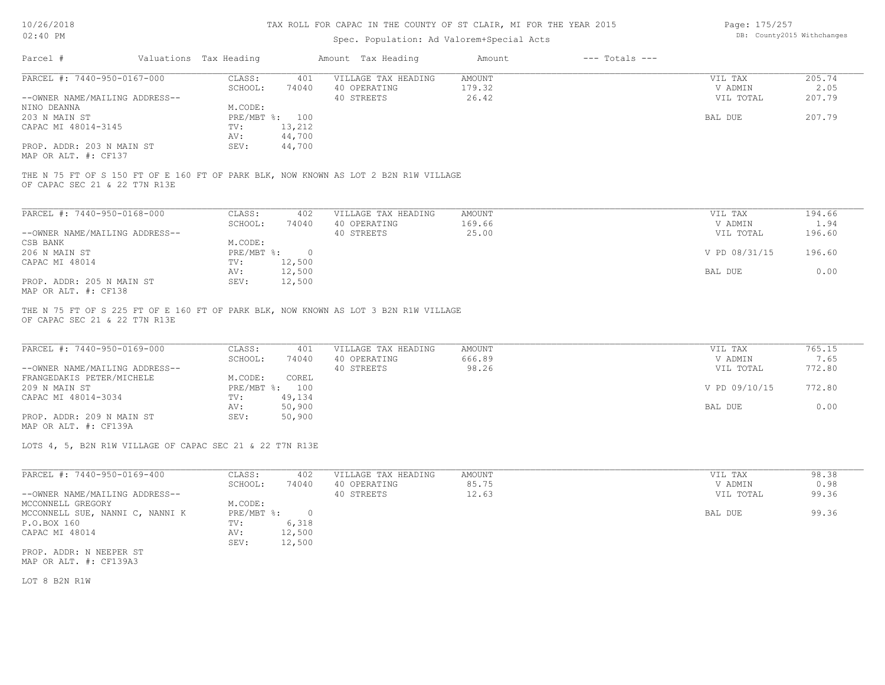### Spec. Population: Ad Valorem+Special Acts

Page: 175/257 DB: County2015 Withchanges

| Parcel #                       |  | Valuations Tax Heading |        | Amount Tax Heading                                                                  | Amount | $---$ Totals $---$ |           |        |
|--------------------------------|--|------------------------|--------|-------------------------------------------------------------------------------------|--------|--------------------|-----------|--------|
| PARCEL #: 7440-950-0167-000    |  | CLASS:                 | 401    | VILLAGE TAX HEADING                                                                 | AMOUNT |                    | VIL TAX   | 205.74 |
|                                |  | SCHOOL:                | 74040  | 40 OPERATING                                                                        | 179.32 |                    | V ADMIN   | 2.05   |
| --OWNER NAME/MAILING ADDRESS-- |  |                        |        | 40 STREETS                                                                          | 26.42  |                    | VIL TOTAL | 207.79 |
| NINO DEANNA                    |  | M.CODE:                |        |                                                                                     |        |                    |           |        |
| 203 N MAIN ST                  |  | PRE/MBT %:             | 100    |                                                                                     |        |                    | BAL DUE   | 207.79 |
| CAPAC MI 48014-3145            |  | TV:                    | 13,212 |                                                                                     |        |                    |           |        |
|                                |  | AV:                    | 44,700 |                                                                                     |        |                    |           |        |
| PROP. ADDR: 203 N MAIN ST      |  | SEV:                   | 44,700 |                                                                                     |        |                    |           |        |
| MAP OR ALT. #: CF137           |  |                        |        |                                                                                     |        |                    |           |        |
|                                |  |                        |        |                                                                                     |        |                    |           |        |
|                                |  |                        |        | THE N 75 FT OF S 150 FT OF E 160 FT OF PARK BLK, NOW KNOWN AS LOT 2 B2N R1W VILLAGE |        |                    |           |        |
| OF CAPAC SEC 21 & 22 T7N R13E  |  |                        |        |                                                                                     |        |                    |           |        |
|                                |  |                        |        |                                                                                     |        |                    |           |        |
|                                |  |                        |        |                                                                                     |        |                    |           |        |

| PARCEL #: 7440-950-0168-000    | CLASS:     | 402    | VILLAGE TAX HEADING | AMOUNT | VIL TAX       | 194.66 |
|--------------------------------|------------|--------|---------------------|--------|---------------|--------|
|                                | SCHOOL:    | 74040  | 40 OPERATING        | 169.66 | V ADMIN       | 1.94   |
| --OWNER NAME/MAILING ADDRESS-- |            |        | 40 STREETS          | 25.00  | VIL TOTAL     | 196.60 |
| CSB BANK                       | M.CODE:    |        |                     |        |               |        |
| 206 N MAIN ST                  | PRE/MBT %: | 0      |                     |        | V PD 08/31/15 | 196.60 |
| CAPAC MI 48014                 | TV:        | 12,500 |                     |        |               |        |
|                                | AV:        | 12,500 |                     |        | BAL DUE       | 0.00   |
| PROP. ADDR: 205 N MAIN ST      | SEV:       | 12,500 |                     |        |               |        |
| MAP OR ALT. #: CF138           |            |        |                     |        |               |        |

OF CAPAC SEC 21 & 22 T7N R13E THE N 75 FT OF S 225 FT OF E 160 FT OF PARK BLK, NOW KNOWN AS LOT 3 B2N R1W VILLAGE

| PARCEL #: 7440-950-0169-000    | CLASS:  | 401            | VILLAGE TAX HEADING | AMOUNT | VIL TAX       | 765.15 |
|--------------------------------|---------|----------------|---------------------|--------|---------------|--------|
|                                | SCHOOL: | 74040          | 40 OPERATING        | 666.89 | V ADMIN       | 7.65   |
| --OWNER NAME/MAILING ADDRESS-- |         |                | 40 STREETS          | 98.26  | VIL TOTAL     | 772.80 |
| FRANGEDAKIS PETER/MICHELE      | M.CODE: | COREL          |                     |        |               |        |
| 209 N MAIN ST                  |         | PRE/MBT %: 100 |                     |        | V PD 09/10/15 | 772.80 |
| CAPAC MI 48014-3034            | TV:     | 49,134         |                     |        |               |        |
|                                | AV:     | 50,900         |                     |        | BAL DUE       | 0.00   |
| PROP. ADDR: 209 N MAIN ST      | SEV:    | 50,900         |                     |        |               |        |
| MAP OR ALT. #: CF139A          |         |                |                     |        |               |        |

LOTS 4, 5, B2N R1W VILLAGE OF CAPAC SEC 21 & 22 T7N R13E

| PARCEL #: 7440-950-0169-400     | CLASS:     | 402    | VILLAGE TAX HEADING | AMOUNT | VIL TAX   | 98.38 |
|---------------------------------|------------|--------|---------------------|--------|-----------|-------|
|                                 | SCHOOL:    | 74040  | 40 OPERATING        | 85.75  | V ADMIN   | 0.98  |
| --OWNER NAME/MAILING ADDRESS--  |            |        | 40 STREETS          | 12.63  | VIL TOTAL | 99.36 |
| MCCONNELL GREGORY               | M.CODE:    |        |                     |        |           |       |
| MCCONNELL SUE, NANNI C, NANNI K | PRE/MBT %: | $\cap$ |                     |        | BAL DUE   | 99.36 |
| P.O.BOX 160                     | TV:        | 6,318  |                     |        |           |       |
| CAPAC MI 48014                  | AV:        | 12,500 |                     |        |           |       |
|                                 | SEV:       | 12,500 |                     |        |           |       |
| PROP. ADDR: N NEEPER ST         |            |        |                     |        |           |       |

MAP OR ALT. #: CF139A3

LOT 8 B2N R1W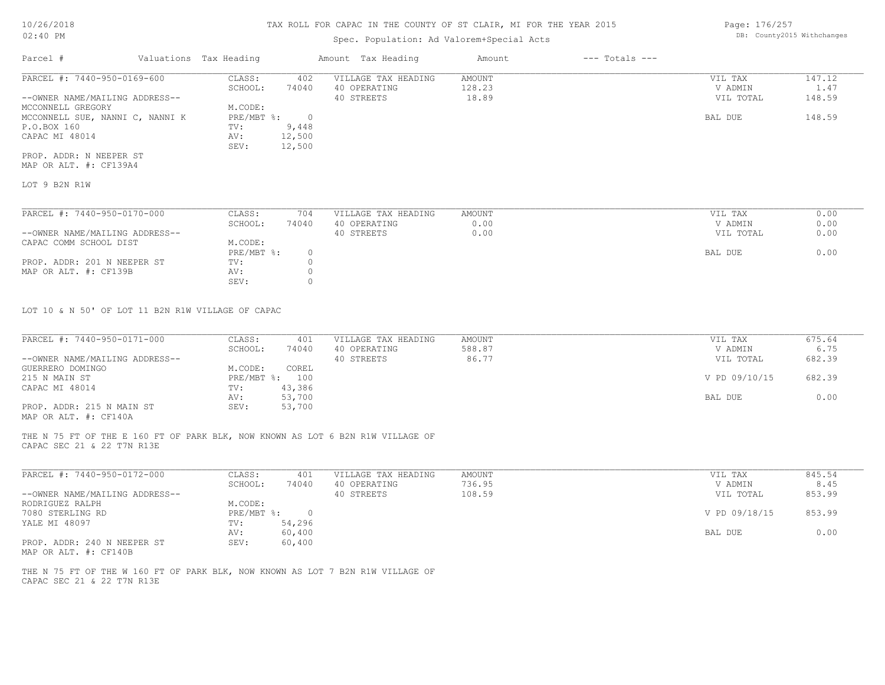# Spec. Population: Ad Valorem+Special Acts

| Parcel #                        | Valuations Tax Heading |        | Amount Tax Heading  | Amount | $---$ Totals $---$ |           |        |
|---------------------------------|------------------------|--------|---------------------|--------|--------------------|-----------|--------|
| PARCEL #: 7440-950-0169-600     | CLASS:                 | 402    | VILLAGE TAX HEADING | AMOUNT |                    | VIL TAX   | 147.12 |
|                                 | SCHOOL:                | 74040  | 40 OPERATING        | 128.23 |                    | V ADMIN   | 1.47   |
| --OWNER NAME/MAILING ADDRESS--  |                        |        | 40 STREETS          | 18.89  |                    | VIL TOTAL | 148.59 |
| MCCONNELL GREGORY               | M.CODE:                |        |                     |        |                    |           |        |
| MCCONNELL SUE, NANNI C, NANNI K | PRE/MBT %:             |        |                     |        |                    | BAL DUE   | 148.59 |
| P.O.BOX 160                     | TV:                    | 9,448  |                     |        |                    |           |        |
| CAPAC MI 48014                  | AV:                    | 12,500 |                     |        |                    |           |        |
|                                 | SEV:                   | 12,500 |                     |        |                    |           |        |
| PROP. ADDR: N NEEPER ST         |                        |        |                     |        |                    |           |        |

MAP OR ALT. #: CF139A4

LOT 9 B2N R1W

| PARCEL #: 7440-950-0170-000    | CLASS:     | 704   | VILLAGE TAX HEADING | AMOUNT | VIL TAX   | 0.00 |
|--------------------------------|------------|-------|---------------------|--------|-----------|------|
|                                | SCHOOL:    | 74040 | 40 OPERATING        | 0.00   | V ADMIN   | 0.00 |
| --OWNER NAME/MAILING ADDRESS-- |            |       | 40 STREETS          | 0.00   | VIL TOTAL | 0.00 |
| CAPAC COMM SCHOOL DIST         | M.CODE:    |       |                     |        |           |      |
|                                | PRE/MBT %: |       |                     |        | BAL DUE   | 0.00 |
| PROP. ADDR: 201 N NEEPER ST    | TV:        |       |                     |        |           |      |
| MAP OR ALT. #: CF139B          | AV:        |       |                     |        |           |      |
|                                | SEV:       |       |                     |        |           |      |

LOT 10 & N 50' OF LOT 11 B2N R1W VILLAGE OF CAPAC

| PARCEL #: 7440-950-0171-000    | CLASS:         | 401    | VILLAGE TAX HEADING | AMOUNT | VIL TAX       | 675.64 |
|--------------------------------|----------------|--------|---------------------|--------|---------------|--------|
|                                | SCHOOL:        | 74040  | 40 OPERATING        | 588.87 | V ADMIN       | 6.75   |
| --OWNER NAME/MAILING ADDRESS-- |                |        | 40 STREETS          | 86.77  | VIL TOTAL     | 682.39 |
| GUERRERO DOMINGO               | M.CODE:        | COREL  |                     |        |               |        |
| 215 N MAIN ST                  | PRE/MBT %: 100 |        |                     |        | V PD 09/10/15 | 682.39 |
| CAPAC MI 48014                 | TV:            | 43,386 |                     |        |               |        |
|                                | AV:            | 53,700 |                     |        | BAL DUE       | 0.00   |
| PROP. ADDR: 215 N MAIN ST      | SEV:           | 53,700 |                     |        |               |        |
|                                |                |        |                     |        |               |        |

MAP OR ALT. #: CF140A

CAPAC SEC 21 & 22 T7N R13E THE N 75 FT OF THE E 160 FT OF PARK BLK, NOW KNOWN AS LOT 6 B2N R1W VILLAGE OF

| PARCEL #: 7440-950-0172-000    | CLASS:     | 401    | VILLAGE TAX HEADING | AMOUNT | VIL TAX       | 845.54 |
|--------------------------------|------------|--------|---------------------|--------|---------------|--------|
|                                | SCHOOL:    | 74040  | 40 OPERATING        | 736.95 | V ADMIN       | 8.45   |
| --OWNER NAME/MAILING ADDRESS-- |            |        | 40 STREETS          | 108.59 | VIL TOTAL     | 853.99 |
| RODRIGUEZ RALPH                | M.CODE:    |        |                     |        |               |        |
| 7080 STERLING RD               | PRE/MBT %: |        |                     |        | V PD 09/18/15 | 853.99 |
| YALE MI 48097                  | TV:        | 54,296 |                     |        |               |        |
|                                | AV:        | 60,400 |                     |        | BAL DUE       | 0.00   |
| PROP. ADDR: 240 N NEEPER ST    | SEV:       | 60,400 |                     |        |               |        |

MAP OR ALT. #: CF140B

CAPAC SEC 21 & 22 T7N R13E THE N 75 FT OF THE W 160 FT OF PARK BLK, NOW KNOWN AS LOT 7 B2N R1W VILLAGE OF Page: 176/257 DB: County2015 Withchanges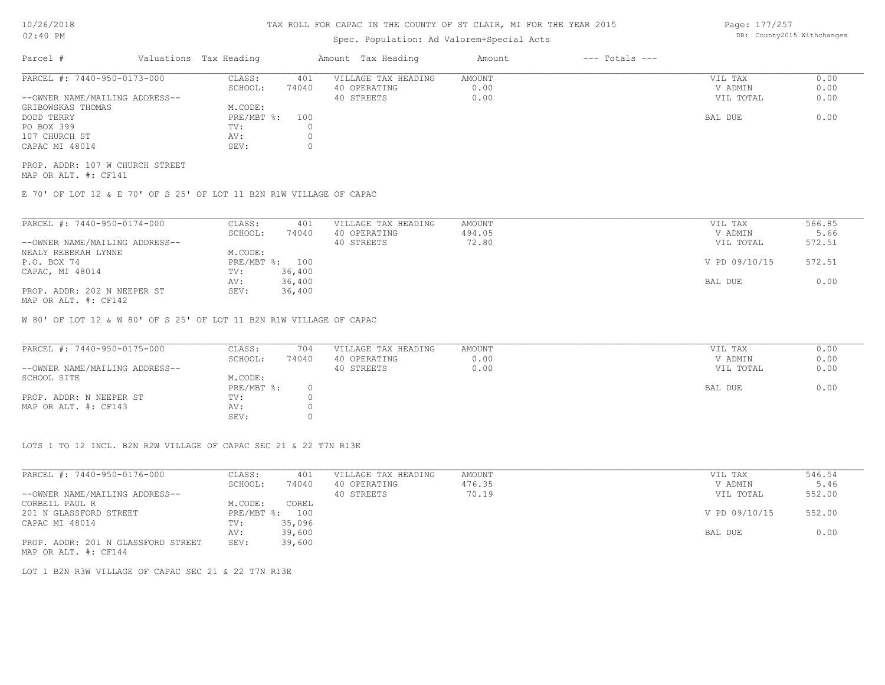# Spec. Population: Ad Valorem+Special Acts

Page: 177/257 DB: County2015 Withchanges

| Parcel #                       |  | Valuations Tax Heading | Amount Tax Heading |                     | Amount | $---$ Totals $---$ |           |      |
|--------------------------------|--|------------------------|--------------------|---------------------|--------|--------------------|-----------|------|
| PARCEL #: 7440-950-0173-000    |  | CLASS:                 | 401                | VILLAGE TAX HEADING | AMOUNT |                    | VIL TAX   | 0.00 |
|                                |  | SCHOOL:                | 74040              | 40 OPERATING        | 0.00   |                    | V ADMIN   | 0.00 |
| --OWNER NAME/MAILING ADDRESS-- |  |                        |                    | 40 STREETS          | 0.00   |                    | VIL TOTAL | 0.00 |
| GRIBOWSKAS THOMAS              |  | M.CODE:                |                    |                     |        |                    |           |      |
| DODD TERRY                     |  | PRE/MBT %:             | 100                |                     |        |                    | BAL DUE   | 0.00 |
| PO BOX 399                     |  | TV:                    |                    |                     |        |                    |           |      |
| 107 CHURCH ST                  |  | AV:                    |                    |                     |        |                    |           |      |
| CAPAC MI 48014                 |  | SEV:                   |                    |                     |        |                    |           |      |

MAP OR ALT. #: CF141 PROP. ADDR: 107 W CHURCH STREET

E 70' OF LOT 12 & E 70' OF S 25' OF LOT 11 B2N R1W VILLAGE OF CAPAC

| PARCEL #: 7440-950-0174-000    | CLASS:  | 401            | VILLAGE TAX HEADING | AMOUNT | VIL TAX       | 566.85 |
|--------------------------------|---------|----------------|---------------------|--------|---------------|--------|
|                                | SCHOOL: | 74040          | 40 OPERATING        | 494.05 | V ADMIN       | 5.66   |
| --OWNER NAME/MAILING ADDRESS-- |         |                | 40 STREETS          | 72.80  | VIL TOTAL     | 572.51 |
| NEALY REBEKAH LYNNE            | M.CODE: |                |                     |        |               |        |
| P.O. BOX 74                    |         | PRE/MBT %: 100 |                     |        | V PD 09/10/15 | 572.51 |
| CAPAC, MI 48014                | TV:     | 36,400         |                     |        |               |        |
|                                | AV:     | 36,400         |                     |        | BAL DUE       | 0.00   |
| PROP. ADDR: 202 N NEEPER ST    | SEV:    | 36,400         |                     |        |               |        |
| MAP OR ALT. #: CF142           |         |                |                     |        |               |        |

W 80' OF LOT 12 & W 80' OF S 25' OF LOT 11 B2N R1W VILLAGE OF CAPAC

| PARCEL #: 7440-950-0175-000    | CLASS:       | 704   | VILLAGE TAX HEADING | AMOUNT | VIL TAX   | 0.00 |
|--------------------------------|--------------|-------|---------------------|--------|-----------|------|
|                                | SCHOOL:      | 74040 | 40 OPERATING        | 0.00   | V ADMIN   | 0.00 |
| --OWNER NAME/MAILING ADDRESS-- |              |       | 40 STREETS          | 0.00   | VIL TOTAL | 0.00 |
| SCHOOL SITE                    | M.CODE:      |       |                     |        |           |      |
|                                | $PRE/MBT$ %: |       |                     |        | BAL DUE   | 0.00 |
| PROP. ADDR: N NEEPER ST        | TV:          |       |                     |        |           |      |
| MAP OR ALT. #: CF143           | AV:          |       |                     |        |           |      |
|                                | SEV:         |       |                     |        |           |      |

LOTS 1 TO 12 INCL. B2N R2W VILLAGE OF CAPAC SEC 21 & 22 T7N R13E

| PARCEL #: 7440-950-0176-000        | CLASS:       | 401    | VILLAGE TAX HEADING | AMOUNT | VIL TAX       | 546.54 |  |
|------------------------------------|--------------|--------|---------------------|--------|---------------|--------|--|
|                                    | SCHOOL:      | 74040  | 40 OPERATING        | 476.35 | V ADMIN       | 5.46   |  |
| --OWNER NAME/MAILING ADDRESS--     |              |        | 40 STREETS          | 70.19  | VIL TOTAL     | 552.00 |  |
| CORBEIL PAUL R                     | M.CODE:      | COREL  |                     |        |               |        |  |
| 201 N GLASSFORD STREET             | $PRE/MBT$ %: | 100    |                     |        | V PD 09/10/15 | 552.00 |  |
| CAPAC MI 48014                     | TV:          | 35,096 |                     |        |               |        |  |
|                                    | AV:          | 39,600 |                     |        | BAL DUE       | 0.00   |  |
| PROP. ADDR: 201 N GLASSFORD STREET | SEV:         | 39,600 |                     |        |               |        |  |
| MAP OR ALT. #: CF144               |              |        |                     |        |               |        |  |

LOT 1 B2N R3W VILLAGE OF CAPAC SEC 21 & 22 T7N R13E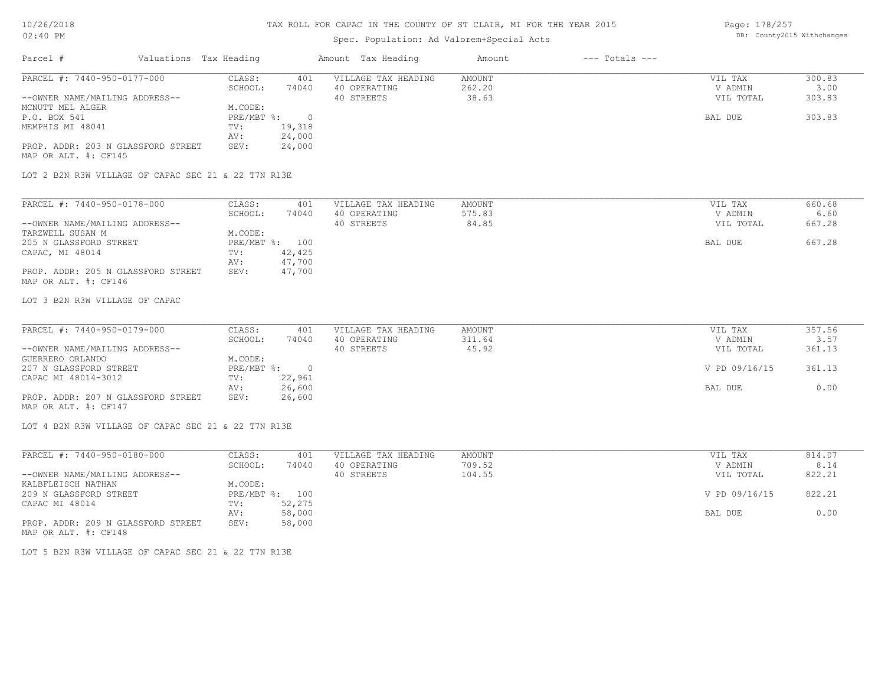# Spec. Population: Ad Valorem+Special Acts

Page: 178/257 DB: County2015 Withchanges

| Parcel #                           | Valuations Tax Heading |        | Amount Tax Heading  | Amount | $---$ Totals $---$ |           |        |
|------------------------------------|------------------------|--------|---------------------|--------|--------------------|-----------|--------|
| PARCEL #: 7440-950-0177-000        | CLASS:                 | 401    | VILLAGE TAX HEADING | AMOUNT |                    | VIL TAX   | 300.83 |
|                                    | SCHOOL:                | 74040  | 40 OPERATING        | 262.20 |                    | V ADMIN   | 3.00   |
| --OWNER NAME/MAILING ADDRESS--     |                        |        | 40 STREETS          | 38.63  |                    | VIL TOTAL | 303.83 |
| MCNUTT MEL ALGER                   | M.CODE:                |        |                     |        |                    |           |        |
| P.O. BOX 541                       | PRE/MBT %:             |        |                     |        |                    | BAL DUE   | 303.83 |
| MEMPHIS MI 48041                   | TV:                    | 19,318 |                     |        |                    |           |        |
|                                    | AV:                    | 24,000 |                     |        |                    |           |        |
| PROP. ADDR: 203 N GLASSFORD STREET | SEV:                   | 24,000 |                     |        |                    |           |        |
| MAP OR ALT. #: CF145               |                        |        |                     |        |                    |           |        |
|                                    |                        |        |                     |        |                    |           |        |

LOT 2 B2N R3W VILLAGE OF CAPAC SEC 21 & 22 T7N R13E

| PARCEL #: 7440-950-0178-000        | CLASS:  | 401            | VILLAGE TAX HEADING | AMOUNT | VIL TAX   | 660.68 |
|------------------------------------|---------|----------------|---------------------|--------|-----------|--------|
|                                    | SCHOOL: | 74040          | 40 OPERATING        | 575.83 | V ADMIN   | 6.60   |
| --OWNER NAME/MAILING ADDRESS--     |         |                | 40 STREETS          | 84.85  | VIL TOTAL | 667.28 |
| TARZWELL SUSAN M                   | M.CODE: |                |                     |        |           |        |
| 205 N GLASSFORD STREET             |         | PRE/MBT %: 100 |                     |        | BAL DUE   | 667.28 |
| CAPAC, MI 48014                    | TV:     | 42,425         |                     |        |           |        |
|                                    | AV:     | 47,700         |                     |        |           |        |
| PROP. ADDR: 205 N GLASSFORD STREET | SEV:    | 47,700         |                     |        |           |        |
| MAP OR ALT. #: CF146               |         |                |                     |        |           |        |

LOT 3 B2N R3W VILLAGE OF CAPAC

| PARCEL #: 7440-950-0179-000        | CLASS:       | 401    | VILLAGE TAX HEADING | AMOUNT | VIL TAX       | 357.56 |
|------------------------------------|--------------|--------|---------------------|--------|---------------|--------|
|                                    | SCHOOL:      | 74040  | 40 OPERATING        | 311.64 | V ADMIN       | 3.57   |
| --OWNER NAME/MAILING ADDRESS--     |              |        | 40 STREETS          | 45.92  | VIL TOTAL     | 361.13 |
| GUERRERO ORLANDO                   | M.CODE:      |        |                     |        |               |        |
| 207 N GLASSFORD STREET             | $PRE/MBT$ %: |        |                     |        | V PD 09/16/15 | 361.13 |
| CAPAC MI 48014-3012                | TV:          | 22,961 |                     |        |               |        |
|                                    | AV:          | 26,600 |                     |        | BAL DUE       | 0.00   |
| PROP. ADDR: 207 N GLASSFORD STREET | SEV:         | 26,600 |                     |        |               |        |
| MAP OR ALT. #: CF147               |              |        |                     |        |               |        |

LOT 4 B2N R3W VILLAGE OF CAPAC SEC 21 & 22 T7N R13E

| PARCEL #: 7440-950-0180-000        | CLASS:     | 401    | VILLAGE TAX HEADING | AMOUNT | VIL TAX       | 814.07 |
|------------------------------------|------------|--------|---------------------|--------|---------------|--------|
|                                    | SCHOOL:    | 74040  | 40 OPERATING        | 709.52 | V ADMIN       | 8.14   |
| --OWNER NAME/MAILING ADDRESS--     |            |        | 40 STREETS          | 104.55 | VIL TOTAL     | 822.21 |
| KALBFLEISCH NATHAN                 | M.CODE:    |        |                     |        |               |        |
| 209 N GLASSFORD STREET             | PRE/MBT %: | 100    |                     |        | V PD 09/16/15 | 822.21 |
| CAPAC MI 48014                     | TV:        | 52,275 |                     |        |               |        |
|                                    | AV:        | 58,000 |                     |        | BAL DUE       | 0.00   |
| PROP. ADDR: 209 N GLASSFORD STREET | SEV:       | 58,000 |                     |        |               |        |
| MAP OR ALT. #: CF148               |            |        |                     |        |               |        |

LOT 5 B2N R3W VILLAGE OF CAPAC SEC 21 & 22 T7N R13E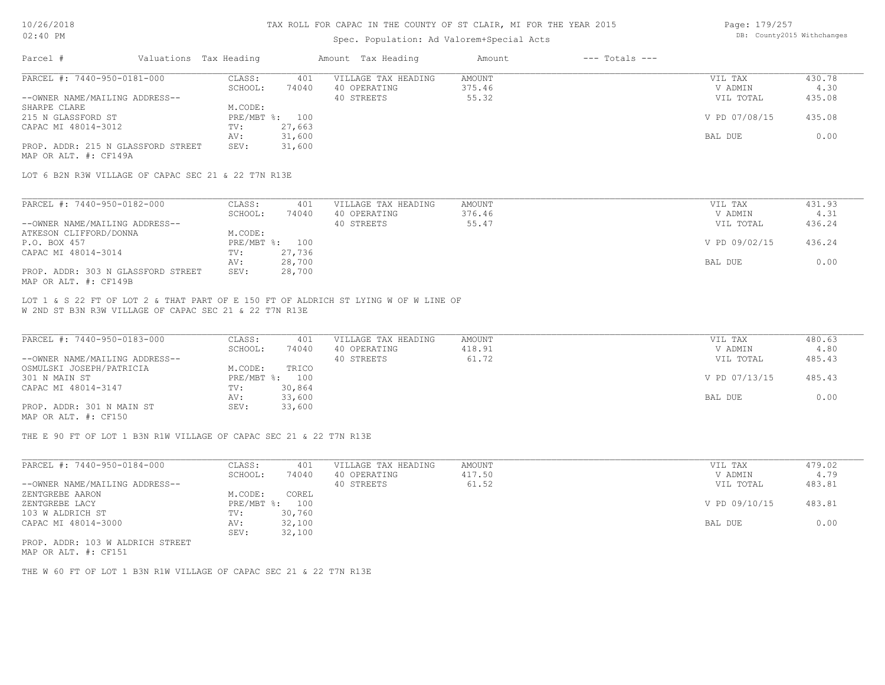### Spec. Population: Ad Valorem+Special Acts

| Page: 179/257 |                            |
|---------------|----------------------------|
|               | DB: County2015 Withchanges |

| Parcel #                           | Valuations Tax Heading |                | Amount Tax Heading  | Amount | $---$ Totals $---$ |               |        |
|------------------------------------|------------------------|----------------|---------------------|--------|--------------------|---------------|--------|
| PARCEL #: 7440-950-0181-000        | CLASS:                 | 401            | VILLAGE TAX HEADING | AMOUNT |                    | VIL TAX       | 430.78 |
|                                    | SCHOOL:                | 74040          | 40 OPERATING        | 375.46 |                    | V ADMIN       | 4.30   |
| --OWNER NAME/MAILING ADDRESS--     |                        |                | 40 STREETS          | 55.32  |                    | VIL TOTAL     | 435.08 |
| SHARPE CLARE                       | M.CODE:                |                |                     |        |                    |               |        |
| 215 N GLASSFORD ST                 |                        | PRE/MBT %: 100 |                     |        |                    | V PD 07/08/15 | 435.08 |
| CAPAC MI 48014-3012                | TV:                    | 27,663         |                     |        |                    |               |        |
|                                    | AV:                    | 31,600         |                     |        |                    | BAL DUE       | 0.00   |
| PROP. ADDR: 215 N GLASSFORD STREET | SEV:                   | 31,600         |                     |        |                    |               |        |
| MAP OR ALT. #: CF149A              |                        |                |                     |        |                    |               |        |

LOT 6 B2N R3W VILLAGE OF CAPAC SEC 21 & 22 T7N R13E

| PARCEL #: 7440-950-0182-000        | CLASS:     | 401    | VILLAGE TAX HEADING | AMOUNT | VIL TAX       | 431.93 |
|------------------------------------|------------|--------|---------------------|--------|---------------|--------|
|                                    | SCHOOL:    | 74040  | 40 OPERATING        | 376.46 | V ADMIN       | 4.31   |
| --OWNER NAME/MAILING ADDRESS--     |            |        | 40 STREETS          | 55.47  | VIL TOTAL     | 436.24 |
| ATKESON CLIFFORD/DONNA             | M.CODE:    |        |                     |        |               |        |
| P.O. BOX 457                       | PRE/MBT %: | 100    |                     |        | V PD 09/02/15 | 436.24 |
| CAPAC MI 48014-3014                | TV:        | 27,736 |                     |        |               |        |
|                                    | AV:        | 28,700 |                     |        | BAL DUE       | 0.00   |
| PROP. ADDR: 303 N GLASSFORD STREET | SEV:       | 28,700 |                     |        |               |        |
| MAP OR ALT. #: CF149B              |            |        |                     |        |               |        |

W 2ND ST B3N R3W VILLAGE OF CAPAC SEC 21 & 22 T7N R13E LOT 1 & S 22 FT OF LOT 2 & THAT PART OF E 150 FT OF ALDRICH ST LYING W OF W LINE OF

| PARCEL #: 7440-950-0183-000    | CLASS:  | 401            | VILLAGE TAX HEADING | AMOUNT | VIL TAX       | 480.63 |
|--------------------------------|---------|----------------|---------------------|--------|---------------|--------|
|                                | SCHOOL: | 74040          | 40 OPERATING        | 418.91 | V ADMIN       | 4.80   |
| --OWNER NAME/MAILING ADDRESS-- |         |                | 40 STREETS          | 61.72  | VIL TOTAL     | 485.43 |
| OSMULSKI JOSEPH/PATRICIA       | M.CODE: | TRICO          |                     |        |               |        |
| 301 N MAIN ST                  |         | PRE/MBT %: 100 |                     |        | V PD 07/13/15 | 485.43 |
| CAPAC MI 48014-3147            | TV:     | 30,864         |                     |        |               |        |
|                                | AV:     | 33,600         |                     |        | BAL DUE       | 0.00   |
| PROP. ADDR: 301 N MAIN ST      | SEV:    | 33,600         |                     |        |               |        |
| MAP OR ALT. #: CF150           |         |                |                     |        |               |        |

THE E 90 FT OF LOT 1 B3N R1W VILLAGE OF CAPAC SEC 21 & 22 T7N R13E

| PARCEL #: 7440-950-0184-000      | CLASS:     | 401    | VILLAGE TAX HEADING | AMOUNT | VIL TAX       | 479.02 |
|----------------------------------|------------|--------|---------------------|--------|---------------|--------|
|                                  | SCHOOL:    | 74040  | 40 OPERATING        | 417.50 | V ADMIN       | 4.79   |
| --OWNER NAME/MAILING ADDRESS--   |            |        | 40 STREETS          | 61.52  | VIL TOTAL     | 483.81 |
| ZENTGREBE AARON                  | M.CODE:    | COREL  |                     |        |               |        |
| ZENTGREBE LACY                   | PRE/MBT %: | 100    |                     |        | V PD 09/10/15 | 483.81 |
| 103 W ALDRICH ST                 | TV:        | 30,760 |                     |        |               |        |
| CAPAC MI 48014-3000              | AV:        | 32,100 |                     |        | BAL DUE       | 0.00   |
|                                  | SEV:       | 32,100 |                     |        |               |        |
| PROP. ADDR: 103 W ALDRICH STREET |            |        |                     |        |               |        |

MAP OR ALT. #: CF151

THE W 60 FT OF LOT 1 B3N R1W VILLAGE OF CAPAC SEC 21 & 22 T7N R13E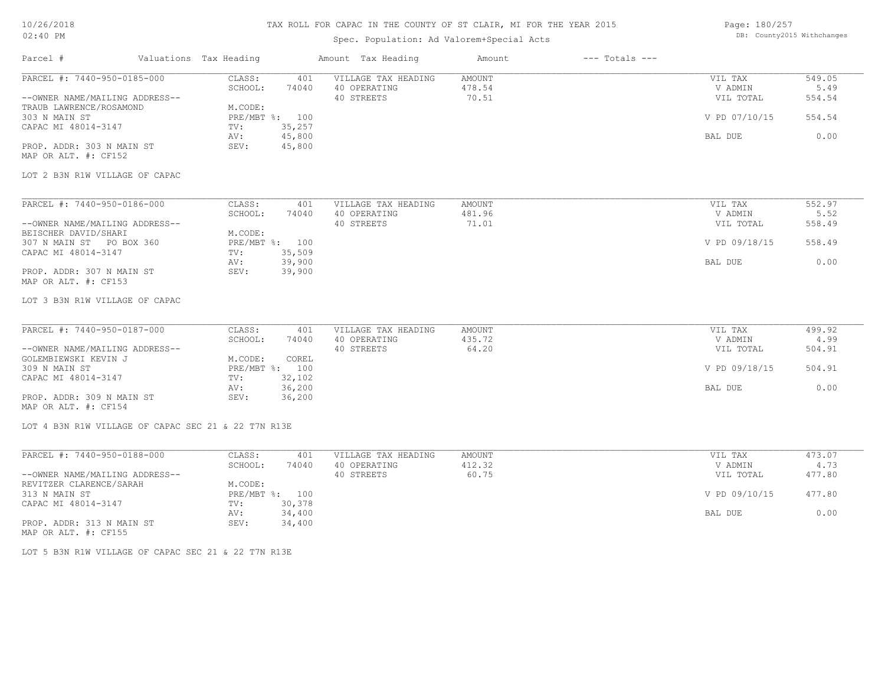### 10/26/2018 02:40 PM

# TAX ROLL FOR CAPAC IN THE COUNTY OF ST CLAIR, MI FOR THE YEAR 2015

### Spec. Population: Ad Valorem+Special Acts

| Page: 180/257 |                            |
|---------------|----------------------------|
|               | DB: County2015 Withchanges |

| Parcel #                                            | Valuations Tax Heading |                | Amount Tax Heading                  | Amount                  | $---$ Totals $---$ |                    |                |
|-----------------------------------------------------|------------------------|----------------|-------------------------------------|-------------------------|--------------------|--------------------|----------------|
| PARCEL #: 7440-950-0185-000                         | CLASS:                 | 401            | VILLAGE TAX HEADING                 | AMOUNT                  |                    | VIL TAX            | 549.05         |
|                                                     | SCHOOL:                | 74040          | 40 OPERATING                        | 478.54                  |                    | V ADMIN            | 5.49           |
| --OWNER NAME/MAILING ADDRESS--                      |                        |                | 40 STREETS                          | 70.51                   |                    | VIL TOTAL          | 554.54         |
| TRAUB LAWRENCE/ROSAMOND<br>303 N MAIN ST            | M.CODE:                | PRE/MBT %: 100 |                                     |                         |                    | V PD 07/10/15      | 554.54         |
| CAPAC MI 48014-3147                                 | TV:                    | 35,257         |                                     |                         |                    |                    |                |
|                                                     | AV:                    | 45,800         |                                     |                         |                    | BAL DUE            | 0.00           |
| PROP. ADDR: 303 N MAIN ST                           | SEV:                   | 45,800         |                                     |                         |                    |                    |                |
| MAP OR ALT. #: CF152                                |                        |                |                                     |                         |                    |                    |                |
| LOT 2 B3N R1W VILLAGE OF CAPAC                      |                        |                |                                     |                         |                    |                    |                |
|                                                     |                        |                |                                     |                         |                    |                    |                |
| PARCEL #: 7440-950-0186-000                         | CLASS:<br>SCHOOL:      | 401<br>74040   | VILLAGE TAX HEADING<br>40 OPERATING | <b>AMOUNT</b><br>481.96 |                    | VIL TAX<br>V ADMIN | 552.97<br>5.52 |
| --OWNER NAME/MAILING ADDRESS--                      |                        |                | 40 STREETS                          | 71.01                   |                    | VIL TOTAL          | 558.49         |
| BEISCHER DAVID/SHARI                                | M.CODE:                |                |                                     |                         |                    |                    |                |
| 307 N MAIN ST PO BOX 360                            |                        | PRE/MBT %: 100 |                                     |                         |                    | V PD 09/18/15      | 558.49         |
| CAPAC MI 48014-3147                                 | TV:                    | 35,509         |                                     |                         |                    |                    |                |
|                                                     | AV:                    | 39,900         |                                     |                         |                    | BAL DUE            | 0.00           |
| PROP. ADDR: 307 N MAIN ST                           | SEV:                   | 39,900         |                                     |                         |                    |                    |                |
| MAP OR ALT. #: CF153                                |                        |                |                                     |                         |                    |                    |                |
|                                                     |                        |                |                                     |                         |                    |                    |                |
| LOT 3 B3N R1W VILLAGE OF CAPAC                      |                        |                |                                     |                         |                    |                    |                |
| PARCEL #: 7440-950-0187-000                         | CLASS:                 | 401            | VILLAGE TAX HEADING                 | AMOUNT                  |                    | VIL TAX            | 499.92         |
|                                                     | SCHOOL:                | 74040          | 40 OPERATING                        | 435.72                  |                    | V ADMIN            | 4.99           |
| --OWNER NAME/MAILING ADDRESS--                      |                        |                | 40 STREETS                          | 64.20                   |                    | VIL TOTAL          | 504.91         |
| GOLEMBIEWSKI KEVIN J                                | M.CODE:                | COREL          |                                     |                         |                    |                    |                |
| 309 N MAIN ST                                       |                        | PRE/MBT %: 100 |                                     |                         |                    | V PD 09/18/15      | 504.91         |
| CAPAC MI 48014-3147                                 | TV:                    | 32,102         |                                     |                         |                    |                    |                |
|                                                     | AV:                    | 36,200         |                                     |                         |                    | BAL DUE            | 0.00           |
| PROP. ADDR: 309 N MAIN ST                           | SEV:                   | 36,200         |                                     |                         |                    |                    |                |
| MAP OR ALT. #: CF154                                |                        |                |                                     |                         |                    |                    |                |
| LOT 4 B3N R1W VILLAGE OF CAPAC SEC 21 & 22 T7N R13E |                        |                |                                     |                         |                    |                    |                |
|                                                     |                        |                |                                     |                         |                    |                    |                |
| PARCEL #: 7440-950-0188-000                         | CLASS:                 | 401            | VILLAGE TAX HEADING                 | AMOUNT                  |                    | VIL TAX            | 473.07         |
|                                                     | SCHOOL:                | 74040          | 40 OPERATING                        | 412.32                  |                    | V ADMIN            | 4.73           |
| --OWNER NAME/MAILING ADDRESS--                      |                        |                | 40 STREETS                          | 60.75                   |                    | VIL TOTAL          | 477.80         |
| REVITZER CLARENCE/SARAH                             | M.CODE:                |                |                                     |                         |                    |                    |                |
| 313 N MAIN ST                                       |                        | PRE/MBT %: 100 |                                     |                         |                    | V PD 09/10/15      | 477.80         |
| CAPAC MI 48014-3147                                 | TV:                    | 30,378         |                                     |                         |                    |                    |                |
|                                                     | AV:                    | 34,400         |                                     |                         |                    | BAL DUE            | 0.00           |
| PROP. ADDR: 313 N MAIN ST                           | SEV:                   | 34,400         |                                     |                         |                    |                    |                |

MAP OR ALT. #: CF155

LOT 5 B3N R1W VILLAGE OF CAPAC SEC 21 & 22 T7N R13E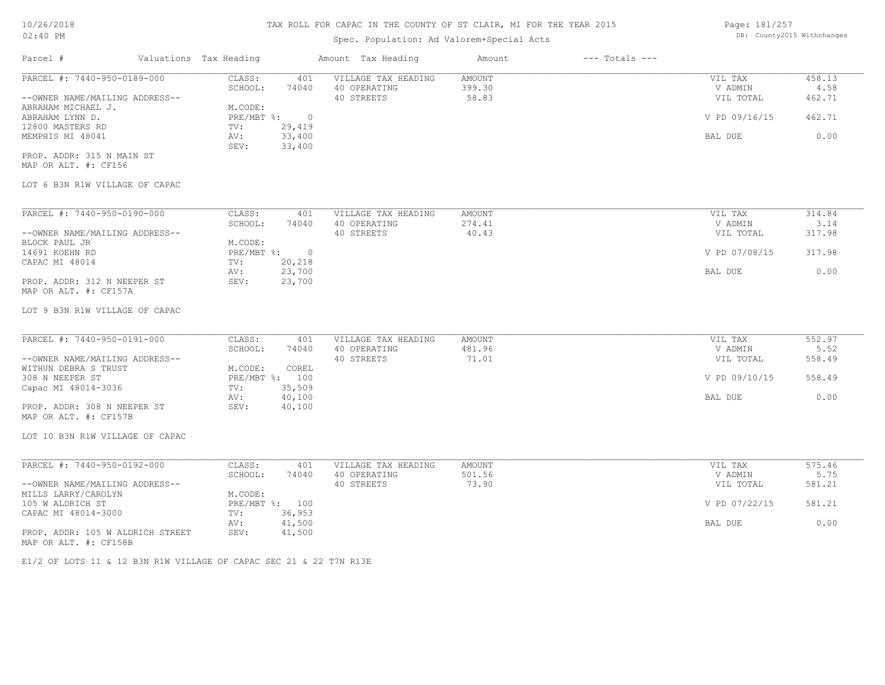Page: 181/257

| 02:40 PM<br>Spec. Population: Ad Valorem+Special Acts<br>$---$ Totals $---$<br>Valuations Tax Heading<br>Parcel #<br>Amount Tax Heading<br>Amount | DB: County2015 Withchanges |
|---------------------------------------------------------------------------------------------------------------------------------------------------|----------------------------|
|                                                                                                                                                   |                            |
|                                                                                                                                                   |                            |
| PARCEL #: 7440-950-0189-000<br>CLASS:<br>VILLAGE TAX HEADING<br><b>AMOUNT</b><br>401<br>VIL TAX                                                   | 458.13                     |
| SCHOOL:<br>40 OPERATING<br>399.30<br>V ADMIN<br>74040                                                                                             | 4.58                       |
| --OWNER NAME/MAILING ADDRESS--<br>40 STREETS<br>58.83<br>VIL TOTAL                                                                                | 462.71                     |
| M.CODE:<br>ABRAHAM MICHAEL J.                                                                                                                     |                            |
| PRE/MBT %:<br>V PD 09/16/15<br>ABRAHAM LYNN D.<br>$\overline{0}$<br>29,419<br>TV:                                                                 | 462.71                     |
| 12800 MASTERS RD<br>33,400<br>MEMPHIS MI 48041<br>AV:<br>BAL DUE                                                                                  | 0.00                       |
| SEV:<br>33,400                                                                                                                                    |                            |
| PROP. ADDR: 315 N MAIN ST                                                                                                                         |                            |
| MAP OR ALT. #: CF156                                                                                                                              |                            |
| LOT 6 B3N R1W VILLAGE OF CAPAC                                                                                                                    |                            |
| PARCEL #: 7440-950-0190-000<br>CLASS:<br>VILLAGE TAX HEADING<br><b>AMOUNT</b><br>VIL TAX<br>401                                                   | 314.84                     |
| 40 OPERATING<br>SCHOOL:<br>74040<br>274.41<br>V ADMIN                                                                                             | 3.14                       |
| --OWNER NAME/MAILING ADDRESS--<br>40 STREETS<br>40.43<br>VIL TOTAL                                                                                | 317.98                     |
| M.CODE:<br>BLOCK PAUL JR                                                                                                                          |                            |
| V PD 07/08/15<br>14691 KOEHN RD<br>PRE/MBT %:<br>$\overline{0}$                                                                                   | 317.98                     |
| 20,218<br>CAPAC MI 48014<br>TV:                                                                                                                   |                            |
| 23,700<br>BAL DUE<br>AV:                                                                                                                          | 0.00                       |
| PROP. ADDR: 312 N NEEPER ST<br>23,700<br>SEV:<br>MAP OR ALT. #: CF157A                                                                            |                            |
| LOT 9 B3N R1W VILLAGE OF CAPAC                                                                                                                    |                            |
|                                                                                                                                                   |                            |
| PARCEL #: 7440-950-0191-000<br>CLASS:<br>401<br>VILLAGE TAX HEADING<br><b>AMOUNT</b><br>VIL TAX                                                   | 552.97                     |
| 481.96<br>V ADMIN<br>SCHOOL:<br>74040<br>40 OPERATING                                                                                             | 5.52                       |
| --OWNER NAME/MAILING ADDRESS--<br>40 STREETS<br>71.01<br>VIL TOTAL                                                                                | 558.49                     |
| WITHUN DEBRA S TRUST<br>M.CODE:<br>COREL                                                                                                          |                            |
| PRE/MBT %: 100<br>308 N NEEPER ST<br>V PD 09/10/15<br>35,509<br>TV:                                                                               | 558.49                     |
| Capac MI 48014-3036<br>40,100<br>AV:<br>BAL DUE                                                                                                   | 0.00                       |
| PROP. ADDR: 308 N NEEPER ST<br>SEV:<br>40,100                                                                                                     |                            |
| MAP OR ALT. #: CF157B                                                                                                                             |                            |
| LOT 10 B3N R1W VILLAGE OF CAPAC                                                                                                                   |                            |

| PARCEL #: 7440-950-0192-000      | CLASS:  | 401            | VILLAGE TAX HEADING | AMOUNT | VIL TAX       | 575.46 |
|----------------------------------|---------|----------------|---------------------|--------|---------------|--------|
|                                  | SCHOOL: | 74040          | 40 OPERATING        | 501.56 | V ADMIN       | 5.75   |
| --OWNER NAME/MAILING ADDRESS--   |         |                | 40 STREETS          | 73.90  | VIL TOTAL     | 581.21 |
| MILLS LARRY/CAROLYN              | M.CODE: |                |                     |        |               |        |
| 105 W ALDRICH ST                 |         | PRE/MBT %: 100 |                     |        | V PD 07/22/15 | 581.21 |
| CAPAC MI 48014-3000              | TV:     | 36,953         |                     |        |               |        |
|                                  | AV:     | 41,500         |                     |        | BAL DUE       | 0.00   |
| PROP. ADDR: 105 W ALDRICH STREET | SEV:    | 41,500         |                     |        |               |        |
| MAP OR ALT. #: CF158B            |         |                |                     |        |               |        |

 $\_$  , and the state of the state of the state of the state of the state of the state of the state of the state of the state of the state of the state of the state of the state of the state of the state of the state of the

E1/2 OF LOTS 11 & 12 B3N R1W VILLAGE OF CAPAC SEC 21 & 22 T7N R13E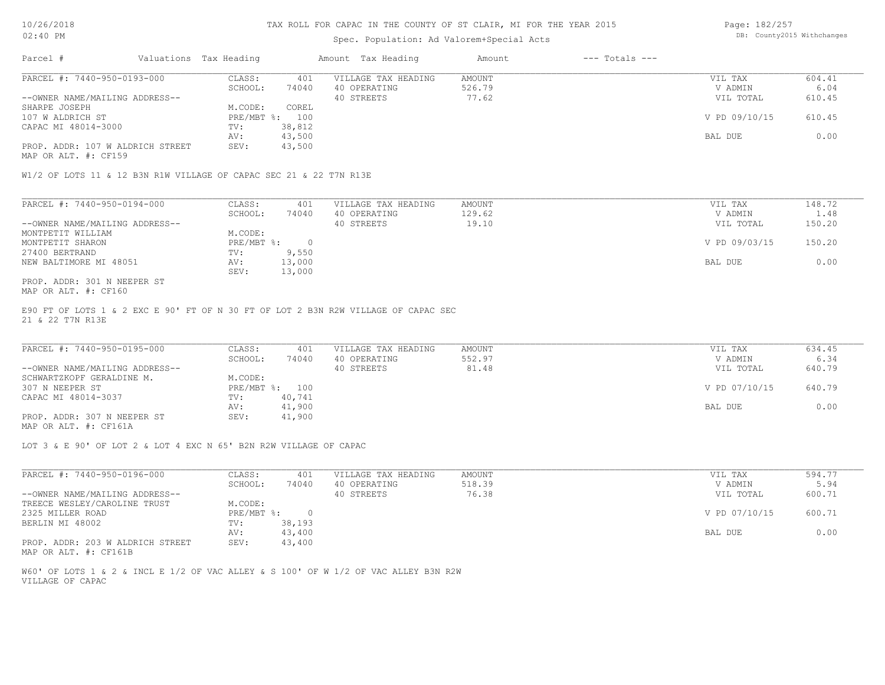# Spec. Population: Ad Valorem+Special Acts

| Page: 182/257 |                            |
|---------------|----------------------------|
|               | DB: County2015 Withchanges |

| Parcel #                         | Valuations Tax Heading |        | Amount Tax Heading  | Amount | $---$ Totals $---$ |               |        |
|----------------------------------|------------------------|--------|---------------------|--------|--------------------|---------------|--------|
| PARCEL #: 7440-950-0193-000      | CLASS:                 | 401    | VILLAGE TAX HEADING | AMOUNT |                    | VIL TAX       | 604.41 |
|                                  | SCHOOL:                | 74040  | 40 OPERATING        | 526.79 |                    | V ADMIN       | 6.04   |
| --OWNER NAME/MAILING ADDRESS--   |                        |        | 40 STREETS          | 77.62  |                    | VIL TOTAL     | 610.45 |
| SHARPE JOSEPH                    | M.CODE:                | COREL  |                     |        |                    |               |        |
| 107 W ALDRICH ST                 | PRE/MBT %: 100         |        |                     |        |                    | V PD 09/10/15 | 610.45 |
| CAPAC MI 48014-3000              | TV:                    | 38,812 |                     |        |                    |               |        |
|                                  | AV:                    | 43,500 |                     |        |                    | BAL DUE       | 0.00   |
| PROP. ADDR: 107 W ALDRICH STREET | SEV:                   | 43,500 |                     |        |                    |               |        |
|                                  |                        |        |                     |        |                    |               |        |

MAP OR ALT. #: CF159

W1/2 OF LOTS 11 & 12 B3N R1W VILLAGE OF CAPAC SEC 21 & 22 T7N R13E

| PARCEL #: 7440-950-0194-000    | CLASS:     | 401    | VILLAGE TAX HEADING | AMOUNT | VIL TAX       | 148.72      |
|--------------------------------|------------|--------|---------------------|--------|---------------|-------------|
|                                | SCHOOL:    | 74040  | 40 OPERATING        | 129.62 | V ADMIN       | $\perp$ .48 |
| --OWNER NAME/MAILING ADDRESS-- |            |        | 40 STREETS          | 19.10  | VIL TOTAL     | 150.20      |
| MONTPETIT WILLIAM              | M.CODE:    |        |                     |        |               |             |
| MONTPETIT SHARON               | PRE/MBT %: |        |                     |        | V PD 09/03/15 | 150.20      |
| 27400 BERTRAND                 | TV:        | 9,550  |                     |        |               |             |
| NEW BALTIMORE MI 48051         | AV:        | 13,000 |                     |        | BAL DUE       | 0.00        |
|                                | SEV:       | 13,000 |                     |        |               |             |
| PROP. ADDR: 301 N NEEPER ST    |            |        |                     |        |               |             |

MAP OR ALT. #: CF160

21 & 22 T7N R13E E90 FT OF LOTS 1 & 2 EXC E 90' FT OF N 30 FT OF LOT 2 B3N R2W VILLAGE OF CAPAC SEC

| PARCEL #: 7440-950-0195-000    | CLASS:       | 401    | VILLAGE TAX HEADING | AMOUNT | VIL TAX       | 634.45 |
|--------------------------------|--------------|--------|---------------------|--------|---------------|--------|
|                                | SCHOOL:      | 74040  | 40 OPERATING        | 552.97 | V ADMIN       | 6.34   |
| --OWNER NAME/MAILING ADDRESS-- |              |        | 40 STREETS          | 81.48  | VIL TOTAL     | 640.79 |
| SCHWARTZKOPF GERALDINE M.      | M.CODE:      |        |                     |        |               |        |
| 307 N NEEPER ST                | $PRE/MBT$ %: | 100    |                     |        | V PD 07/10/15 | 640.79 |
| CAPAC MI 48014-3037            | TV:          | 40,741 |                     |        |               |        |
|                                | AV:          | 41,900 |                     |        | BAL DUE       | 0.00   |
| PROP. ADDR: 307 N NEEPER ST    | SEV:         | 41,900 |                     |        |               |        |
|                                |              |        |                     |        |               |        |

MAP OR ALT. #: CF161A

LOT 3 & E 90' OF LOT 2 & LOT 4 EXC N 65' B2N R2W VILLAGE OF CAPAC

| PARCEL #: 7440-950-0196-000      | CLASS:     | 401    | VILLAGE TAX HEADING | AMOUNT | VIL TAX       | 594.77 |
|----------------------------------|------------|--------|---------------------|--------|---------------|--------|
|                                  | SCHOOL:    | 74040  | 40 OPERATING        | 518.39 | V ADMIN       | 5.94   |
| --OWNER NAME/MAILING ADDRESS--   |            |        | 40 STREETS          | 76.38  | VIL TOTAL     | 600.71 |
| TREECE WESLEY/CAROLINE TRUST     | M.CODE:    |        |                     |        |               |        |
| 2325 MILLER ROAD                 | PRE/MBT %: |        |                     |        | V PD 07/10/15 | 600.71 |
| BERLIN MI 48002                  | TV:        | 38,193 |                     |        |               |        |
|                                  | AV:        | 43,400 |                     |        | BAL DUE       | 0.00   |
| PROP. ADDR: 203 W ALDRICH STREET | SEV:       | 43,400 |                     |        |               |        |

MAP OR ALT. #: CF161B

VILLAGE OF CAPAC W60' OF LOTS 1 & 2 & INCL E 1/2 OF VAC ALLEY & S 100' OF W 1/2 OF VAC ALLEY B3N R2W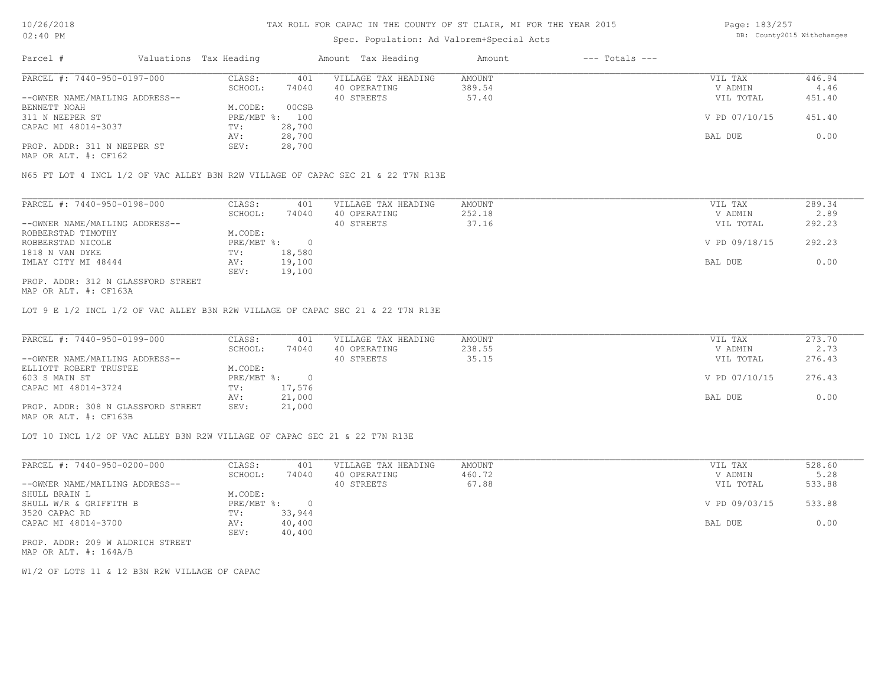# Spec. Population: Ad Valorem+Special Acts

Page: 183/257 DB: County2015 Withchanges

| Parcel #                       | Valuations Tax Heading |        | Amount Tax Heading  | Amount | $---$ Totals $---$ |               |        |
|--------------------------------|------------------------|--------|---------------------|--------|--------------------|---------------|--------|
| PARCEL #: 7440-950-0197-000    | CLASS:                 | 401    | VILLAGE TAX HEADING | AMOUNT |                    | VIL TAX       | 446.94 |
|                                | SCHOOL:                | 74040  | 40 OPERATING        | 389.54 |                    | V ADMIN       | 4.46   |
| --OWNER NAME/MAILING ADDRESS-- |                        |        | 40 STREETS          | 57.40  |                    | VIL TOTAL     | 451.40 |
| BENNETT NOAH                   | M.CODE:                | 00CSB  |                     |        |                    |               |        |
| 311 N NEEPER ST                | PRE/MBT %: 100         |        |                     |        |                    | V PD 07/10/15 | 451.40 |
| CAPAC MI 48014-3037            | TV:                    | 28,700 |                     |        |                    |               |        |
|                                | AV:                    | 28,700 |                     |        |                    | BAL DUE       | 0.00   |
| PROP. ADDR: 311 N NEEPER ST    | SEV:                   | 28,700 |                     |        |                    |               |        |
|                                |                        |        |                     |        |                    |               |        |

MAP OR ALT. #: CF162

N65 FT LOT 4 INCL 1/2 OF VAC ALLEY B3N R2W VILLAGE OF CAPAC SEC 21 & 22 T7N R13E

| PARCEL #: 7440-950-0198-000        | CLASS:     | 401    | VILLAGE TAX HEADING | AMOUNT | VIL TAX       | 289.34 |
|------------------------------------|------------|--------|---------------------|--------|---------------|--------|
|                                    | SCHOOL:    | 74040  | 40 OPERATING        | 252.18 | V ADMIN       | 2.89   |
| --OWNER NAME/MAILING ADDRESS--     |            |        | 40 STREETS          | 37.16  | VIL TOTAL     | 292.23 |
| ROBBERSTAD TIMOTHY                 | M.CODE:    |        |                     |        |               |        |
| ROBBERSTAD NICOLE                  | PRE/MBT %: |        |                     |        | V PD 09/18/15 | 292.23 |
| 1818 N VAN DYKE                    | TV:        | 18,580 |                     |        |               |        |
| IMLAY CITY MI 48444                | AV:        | 19,100 |                     |        | BAL DUE       | 0.00   |
|                                    | SEV:       | 19,100 |                     |        |               |        |
| PROP. ADDR: 312 N GLASSFORD STREET |            |        |                     |        |               |        |

MAP OR ALT. #: CF163A

LOT 9 E 1/2 INCL 1/2 OF VAC ALLEY B3N R2W VILLAGE OF CAPAC SEC 21 & 22 T7N R13E

| PARCEL #: 7440-950-0199-000        | CLASS:       | 401    | VILLAGE TAX HEADING | AMOUNT | VIL TAX       | 273.70 |
|------------------------------------|--------------|--------|---------------------|--------|---------------|--------|
|                                    | SCHOOL:      | 74040  | 40 OPERATING        | 238.55 | V ADMIN       | 2.73   |
| --OWNER NAME/MAILING ADDRESS--     |              |        | 40 STREETS          | 35.15  | VIL TOTAL     | 276.43 |
| ELLIOTT ROBERT TRUSTEE             | M.CODE:      |        |                     |        |               |        |
| 603 S MAIN ST                      | $PRE/MBT$ %: |        |                     |        | V PD 07/10/15 | 276.43 |
| CAPAC MI 48014-3724                | TV:          | 17,576 |                     |        |               |        |
|                                    | AV:          | 21,000 |                     |        | BAL DUE       | 0.00   |
| PROP. ADDR: 308 N GLASSFORD STREET | SEV:         | 21,000 |                     |        |               |        |
| MAP OR ALT. #: CF163B              |              |        |                     |        |               |        |

LOT 10 INCL 1/2 OF VAC ALLEY B3N R2W VILLAGE OF CAPAC SEC 21 & 22 T7N R13E

| PARCEL #: 7440-950-0200-000      | CLASS:       | 401    | VILLAGE TAX HEADING | AMOUNT | VIL TAX       | 528.60 |
|----------------------------------|--------------|--------|---------------------|--------|---------------|--------|
|                                  | SCHOOL:      | 74040  | 40 OPERATING        | 460.72 | V ADMIN       | 5.28   |
| --OWNER NAME/MAILING ADDRESS--   |              |        | 40 STREETS          | 67.88  | VIL TOTAL     | 533.88 |
| SHULL BRAIN L                    | M.CODE:      |        |                     |        |               |        |
| SHULL W/R & GRIFFITH B           | $PRE/MBT$ %: |        |                     |        | V PD 09/03/15 | 533.88 |
| 3520 CAPAC RD                    | TV:          | 33,944 |                     |        |               |        |
| CAPAC MI 48014-3700              | AV:          | 40,400 |                     |        | BAL DUE       | 0.00   |
|                                  | SEV:         | 40,400 |                     |        |               |        |
| PROP. ADDR: 209 W ALDRICH STREET |              |        |                     |        |               |        |

MAP OR ALT. #: 164A/B

W1/2 OF LOTS 11 & 12 B3N R2W VILLAGE OF CAPAC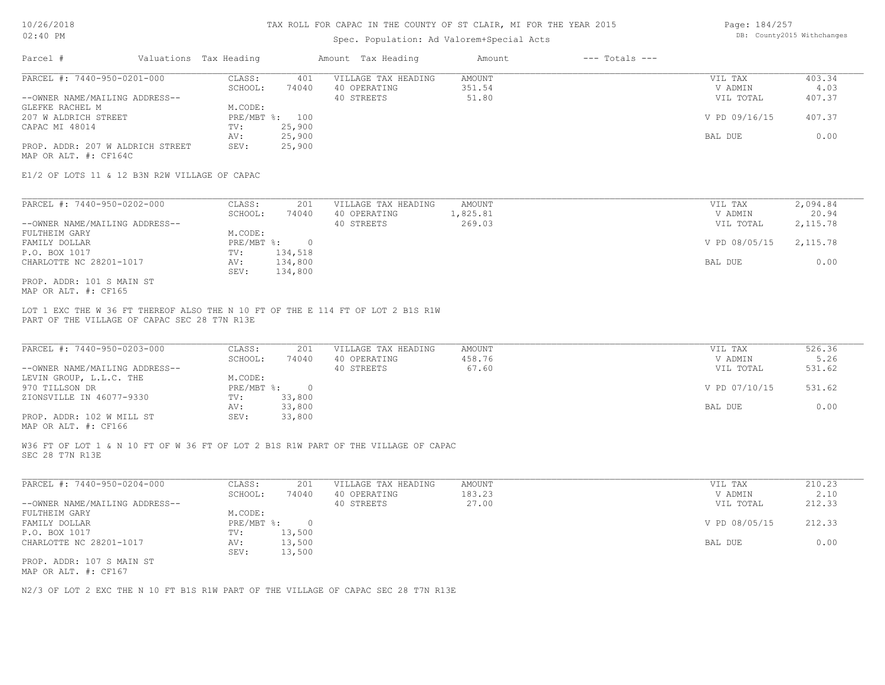#### Spec. Population: Ad Valorem+Special Acts

Page: 184/257 DB: County2015 Withchanges

| Parcel #                         | Valuations Tax Heading |        | Amount Tax Heading  | Amount | $---$ Totals $---$ |               |        |
|----------------------------------|------------------------|--------|---------------------|--------|--------------------|---------------|--------|
| PARCEL #: 7440-950-0201-000      | CLASS:                 | 401    | VILLAGE TAX HEADING | AMOUNT |                    | VIL TAX       | 403.34 |
|                                  | SCHOOL:                | 74040  | 40 OPERATING        | 351.54 |                    | V ADMIN       | 4.03   |
| --OWNER NAME/MAILING ADDRESS--   |                        |        | 40 STREETS          | 51.80  |                    | VIL TOTAL     | 407.37 |
| GLEFKE RACHEL M                  | M.CODE:                |        |                     |        |                    |               |        |
| 207 W ALDRICH STREET             | PRE/MBT %: 100         |        |                     |        |                    | V PD 09/16/15 | 407.37 |
| CAPAC MI 48014                   | TV:                    | 25,900 |                     |        |                    |               |        |
|                                  | AV:                    | 25,900 |                     |        |                    | BAL DUE       | 0.00   |
| PROP. ADDR: 207 W ALDRICH STREET | SEV:                   | 25,900 |                     |        |                    |               |        |
| MAP OR ALT. #: CF164C            |                        |        |                     |        |                    |               |        |

E1/2 OF LOTS 11 & 12 B3N R2W VILLAGE OF CAPAC

| PARCEL #: 7440-950-0202-000    | CLASS:     | 201     | VILLAGE TAX HEADING | AMOUNT   | VIL TAX       | 2,094.84 |
|--------------------------------|------------|---------|---------------------|----------|---------------|----------|
|                                | SCHOOL:    | 74040   | 40 OPERATING        | 1,825.81 | V ADMIN       | 20.94    |
| --OWNER NAME/MAILING ADDRESS-- |            |         | 40 STREETS          | 269.03   | VIL TOTAL     | 2,115.78 |
| FULTHEIM GARY                  | M.CODE:    |         |                     |          |               |          |
| FAMILY DOLLAR                  | PRE/MBT %: |         |                     |          | V PD 08/05/15 | 2,115.78 |
| P.O. BOX 1017                  | TV:        | 134,518 |                     |          |               |          |
| CHARLOTTE NC 28201-1017        | AV:        | 134,800 |                     |          | BAL DUE       | 0.00     |
|                                | SEV:       | 134,800 |                     |          |               |          |
| PROP. ADDR: 101 S MAIN ST      |            |         |                     |          |               |          |

MAP OR ALT. #: CF165

PART OF THE VILLAGE OF CAPAC SEC 28 T7N R13E LOT 1 EXC THE W 36 FT THEREOF ALSO THE N 10 FT OF THE E 114 FT OF LOT 2 B1S R1W

| PARCEL #: 7440-950-0203-000    | CLASS:     | 201    | VILLAGE TAX HEADING | AMOUNT | VIL TAX       | 526.36 |
|--------------------------------|------------|--------|---------------------|--------|---------------|--------|
|                                | SCHOOL:    | 74040  | 40 OPERATING        | 458.76 | V ADMIN       | 5.26   |
| --OWNER NAME/MAILING ADDRESS-- |            |        | 40 STREETS          | 67.60  | VIL TOTAL     | 531.62 |
| LEVIN GROUP, L.L.C. THE        | M.CODE:    |        |                     |        |               |        |
| 970 TILLSON DR                 | PRE/MBT %: |        |                     |        | V PD 07/10/15 | 531.62 |
| ZIONSVILLE IN 46077-9330       | TV:        | 33,800 |                     |        |               |        |
|                                | AV:        | 33,800 |                     |        | BAL DUE       | 0.00   |
| PROP. ADDR: 102 W MILL ST      | SEV:       | 33,800 |                     |        |               |        |
|                                |            |        |                     |        |               |        |

MAP OR ALT. #: CF166

SEC 28 T7N R13E W36 FT OF LOT 1 & N 10 FT OF W 36 FT OF LOT 2 B1S R1W PART OF THE VILLAGE OF CAPAC

| PARCEL #: 7440-950-0204-000    | CLASS:     | 201    | VILLAGE TAX HEADING | AMOUNT | VIL TAX       | 210.23 |
|--------------------------------|------------|--------|---------------------|--------|---------------|--------|
|                                | SCHOOL:    | 74040  | 40 OPERATING        | 183.23 | V ADMIN       | 2.10   |
| --OWNER NAME/MAILING ADDRESS-- |            |        | 40 STREETS          | 27.00  | VIL TOTAL     | 212.33 |
| FULTHEIM GARY                  | M.CODE:    |        |                     |        |               |        |
| FAMILY DOLLAR                  | PRE/MBT %: |        |                     |        | V PD 08/05/15 | 212.33 |
| P.O. BOX 1017                  | TV:        | 13,500 |                     |        |               |        |
| CHARLOTTE NC 28201-1017        | AV:        | 13,500 |                     |        | BAL DUE       | 0.00   |
|                                | SEV:       | 13,500 |                     |        |               |        |
| PROP. ADDR: 107 S MAIN ST      |            |        |                     |        |               |        |
|                                |            |        |                     |        |               |        |

MAP OR ALT. #: CF167

N2/3 OF LOT 2 EXC THE N 10 FT B1S R1W PART OF THE VILLAGE OF CAPAC SEC 28 T7N R13E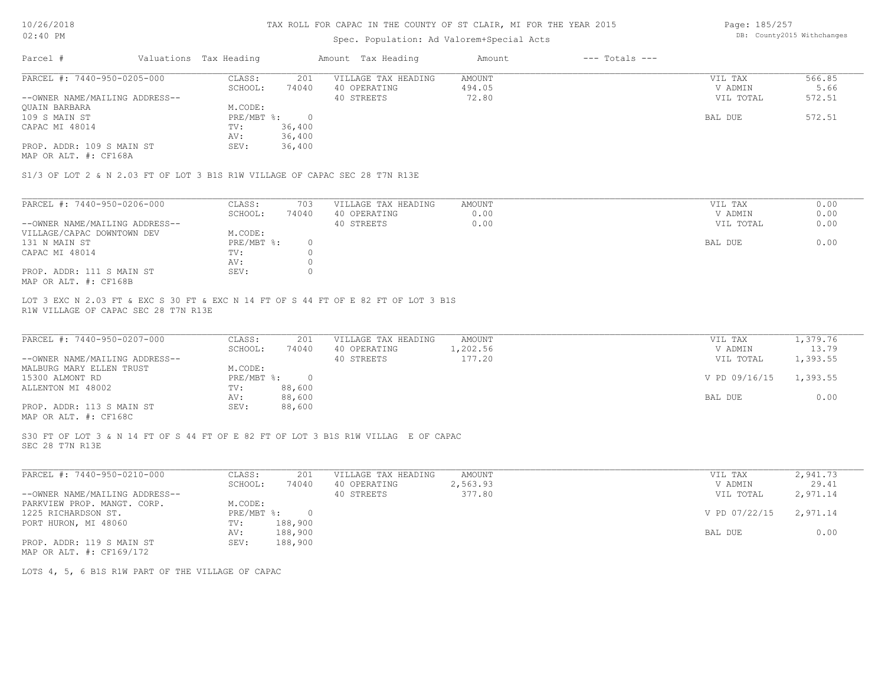## Spec. Population: Ad Valorem+Special Acts

Page: 185/257 DB: County2015 Withchanges

| Parcel #                       | Valuations Tax Heading |        | Amount Tax Heading  | Amount | $---$ Totals $---$ |           |        |
|--------------------------------|------------------------|--------|---------------------|--------|--------------------|-----------|--------|
| PARCEL #: 7440-950-0205-000    | CLASS:                 | 201    | VILLAGE TAX HEADING | AMOUNT |                    | VIL TAX   | 566.85 |
|                                | SCHOOL:                | 74040  | 40 OPERATING        | 494.05 |                    | V ADMIN   | 5.66   |
| --OWNER NAME/MAILING ADDRESS-- |                        |        | 40 STREETS          | 72.80  |                    | VIL TOTAL | 572.51 |
| <b>OUAIN BARBARA</b>           | M.CODE:                |        |                     |        |                    |           |        |
| 109 S MAIN ST                  | PRE/MBT %:             |        |                     |        |                    | BAL DUE   | 572.51 |
| CAPAC MI 48014                 | TV:                    | 36,400 |                     |        |                    |           |        |
|                                | AV:                    | 36,400 |                     |        |                    |           |        |
| PROP. ADDR: 109 S MAIN ST      | SEV:                   | 36,400 |                     |        |                    |           |        |

MAP OR ALT. #: CF168A

S1/3 OF LOT 2 & N 2.03 FT OF LOT 3 B1S R1W VILLAGE OF CAPAC SEC 28 T7N R13E

| PARCEL #: 7440-950-0206-000    | CLASS:     | 703   | VILLAGE TAX HEADING | AMOUNT | VIL TAX   | 0.00 |
|--------------------------------|------------|-------|---------------------|--------|-----------|------|
|                                | SCHOOL:    | 74040 | 40 OPERATING        | 0.00   | V ADMIN   | 0.00 |
| --OWNER NAME/MAILING ADDRESS-- |            |       | 40 STREETS          | 0.00   | VIL TOTAL | 0.00 |
| VILLAGE/CAPAC DOWNTOWN DEV     | M.CODE:    |       |                     |        |           |      |
| 131 N MAIN ST                  | PRE/MBT %: |       |                     |        | BAL DUE   | 0.00 |
| CAPAC MI 48014                 | TV:        |       |                     |        |           |      |
|                                | AV:        |       |                     |        |           |      |
| PROP. ADDR: 111 S MAIN ST      | SEV:       |       |                     |        |           |      |
| MAP OR ALT. #: CF168B          |            |       |                     |        |           |      |

R1W VILLAGE OF CAPAC SEC 28 T7N R13E LOT 3 EXC N 2.03 FT & EXC S 30 FT & EXC N 14 FT OF S 44 FT OF E 82 FT OF LOT 3 B1S

| PARCEL #: 7440-950-0207-000                           | CLASS:     | 201    | VILLAGE TAX HEADING | AMOUNT   | VIL TAX       | 1,379.76 |
|-------------------------------------------------------|------------|--------|---------------------|----------|---------------|----------|
|                                                       | SCHOOL:    | 74040  | 40 OPERATING        | l,202.56 | V ADMIN       | 13.79    |
| --OWNER NAME/MAILING ADDRESS--                        |            |        | 40 STREETS          | 177.20   | VIL TOTAL     | 1,393.55 |
| MALBURG MARY ELLEN TRUST                              | M.CODE:    |        |                     |          |               |          |
| 15300 ALMONT RD                                       | PRE/MBT %: | $\cap$ |                     |          | V PD 09/16/15 | 1,393.55 |
| ALLENTON MI 48002                                     | TV:        | 88,600 |                     |          |               |          |
|                                                       | AV:        | 88,600 |                     |          | BAL DUE       | 0.00     |
| PROP. ADDR: 113 S MAIN ST                             | SEV:       | 88,600 |                     |          |               |          |
| $\cdots$ $\cdots$ $\cdots$ $\cdots$ $\cdots$ $\cdots$ |            |        |                     |          |               |          |

 $\_$  , and the state of the state of the state of the state of the state of the state of the state of the state of the state of the state of the state of the state of the state of the state of the state of the state of the

MAP OR ALT. #: CF168C

SEC 28 T7N R13E S30 FT OF LOT 3 & N 14 FT OF S 44 FT OF E 82 FT OF LOT 3 B1S R1W VILLAG E OF CAPAC

| PARCEL #: 7440-950-0210-000    | CLASS:     | 201     | VILLAGE TAX HEADING | AMOUNT   | VIL TAX       | 2,941.73 |
|--------------------------------|------------|---------|---------------------|----------|---------------|----------|
|                                | SCHOOL:    | 74040   | 40 OPERATING        | 2,563.93 | V ADMIN       | 29.41    |
| --OWNER NAME/MAILING ADDRESS-- |            |         | 40 STREETS          | 377.80   | VIL TOTAL     | 2,971.14 |
| PARKVIEW PROP. MANGT. CORP.    | M.CODE:    |         |                     |          |               |          |
| 1225 RICHARDSON ST.            | PRE/MBT %: | $\cap$  |                     |          | V PD 07/22/15 | 2,971.14 |
| PORT HURON, MI 48060           | TV:        | 188,900 |                     |          |               |          |
|                                | AV:        | 188,900 |                     |          | BAL DUE       | 0.00     |
| PROP. ADDR: 119 S MAIN ST      | SEV:       | 188,900 |                     |          |               |          |
| MAP OR ALT. #: CF169/172       |            |         |                     |          |               |          |

LOTS 4, 5, 6 B1S R1W PART OF THE VILLAGE OF CAPAC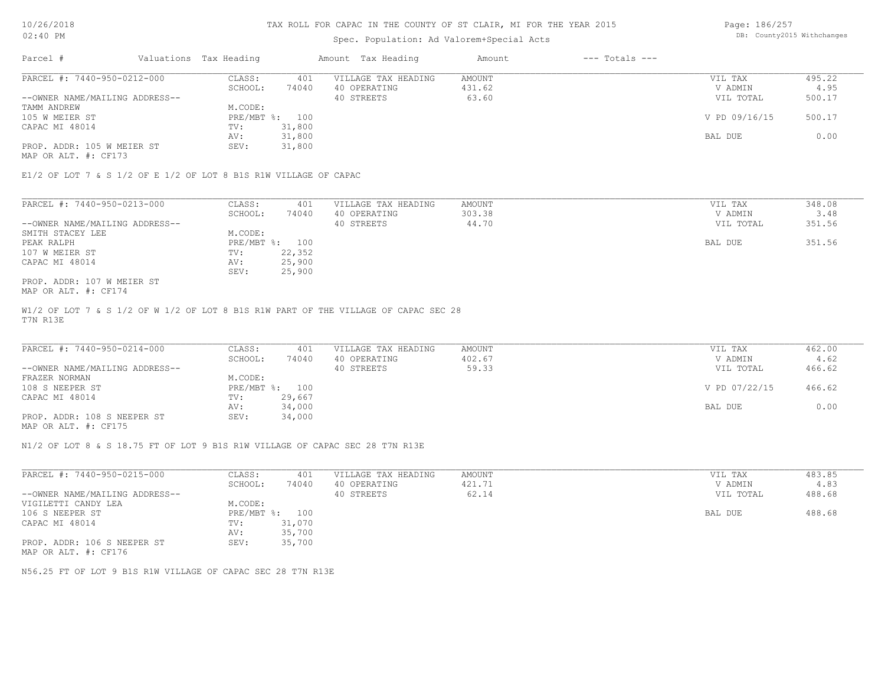# Spec. Population: Ad Valorem+Special Acts

Page: 186/257 DB: County2015 Withchanges

| Parcel #                       | Valuations Tax Heading |        | Amount Tax Heading  | Amount | $---$ Totals $---$ |               |        |
|--------------------------------|------------------------|--------|---------------------|--------|--------------------|---------------|--------|
| PARCEL #: 7440-950-0212-000    | CLASS:                 | 401    | VILLAGE TAX HEADING | AMOUNT |                    | VIL TAX       | 495.22 |
|                                | SCHOOL:                | 74040  | 40 OPERATING        | 431.62 |                    | V ADMIN       | 4.95   |
| --OWNER NAME/MAILING ADDRESS-- |                        |        | 40 STREETS          | 63.60  |                    | VIL TOTAL     | 500.17 |
| TAMM ANDREW                    | M.CODE:                |        |                     |        |                    |               |        |
| 105 W MEIER ST                 | PRE/MBT %: 100         |        |                     |        |                    | V PD 09/16/15 | 500.17 |
| CAPAC MI 48014                 | TV:                    | 31,800 |                     |        |                    |               |        |
|                                | AV:                    | 31,800 |                     |        |                    | BAL DUE       | 0.00   |
| PROP. ADDR: 105 W MEIER ST     | SEV:                   | 31,800 |                     |        |                    |               |        |
|                                |                        |        |                     |        |                    |               |        |

MAP OR ALT. #: CF173

E1/2 OF LOT 7 & S 1/2 OF E 1/2 OF LOT 8 B1S R1W VILLAGE OF CAPAC

| PARCEL #: 7440-950-0213-000    | CLASS:  | 401            | VILLAGE TAX HEADING | AMOUNT | VIL TAX   | 348.08 |
|--------------------------------|---------|----------------|---------------------|--------|-----------|--------|
|                                | SCHOOL: | 74040          | 40 OPERATING        | 303.38 | V ADMIN   | 3.48   |
| --OWNER NAME/MAILING ADDRESS-- |         |                | 40 STREETS          | 44.70  | VIL TOTAL | 351.56 |
| SMITH STACEY LEE               | M.CODE: |                |                     |        |           |        |
| PEAK RALPH                     |         | PRE/MBT %: 100 |                     |        | BAL DUE   | 351.56 |
| 107 W MEIER ST                 | TV:     | 22,352         |                     |        |           |        |
| CAPAC MI 48014                 | AV:     | 25,900         |                     |        |           |        |
|                                | SEV:    | 25,900         |                     |        |           |        |
| PROP. ADDR: 107 W MEIER ST     |         |                |                     |        |           |        |

MAP OR ALT. #: CF174

T7N R13E W1/2 OF LOT 7 & S 1/2 OF W 1/2 OF LOT 8 B1S R1W PART OF THE VILLAGE OF CAPAC SEC 28

| PARCEL #: 7440-950-0214-000    | CLASS:  | 401            | VILLAGE TAX HEADING | AMOUNT | VIL TAX       | 462.00 |
|--------------------------------|---------|----------------|---------------------|--------|---------------|--------|
|                                | SCHOOL: | 74040          | 40 OPERATING        | 402.67 | V ADMIN       | 4.62   |
| --OWNER NAME/MAILING ADDRESS-- |         |                | 40 STREETS          | 59.33  | VIL TOTAL     | 466.62 |
| FRAZER NORMAN                  | M.CODE: |                |                     |        |               |        |
| 108 S NEEPER ST                |         | PRE/MBT %: 100 |                     |        | V PD 07/22/15 | 466.62 |
| CAPAC MI 48014                 | TV:     | 29,667         |                     |        |               |        |
|                                | AV:     | 34,000         |                     |        | BAL DUE       | 0.00   |
| PROP. ADDR: 108 S NEEPER ST    | SEV:    | 34,000         |                     |        |               |        |
|                                |         |                |                     |        |               |        |

MAP OR ALT. #: CF175

N1/2 OF LOT 8 & S 18.75 FT OF LOT 9 B1S R1W VILLAGE OF CAPAC SEC 28 T7N R13E

| PARCEL #: 7440-950-0215-000    | CLASS:       | 401    | VILLAGE TAX HEADING | AMOUNT | VIL TAX   | 483.85 |
|--------------------------------|--------------|--------|---------------------|--------|-----------|--------|
|                                | SCHOOL:      | 74040  | 40 OPERATING        | 421.71 | V ADMIN   | 4.83   |
| --OWNER NAME/MAILING ADDRESS-- |              |        | 40 STREETS          | 62.14  | VIL TOTAL | 488.68 |
| VIGILETTI CANDY LEA            | M.CODE:      |        |                     |        |           |        |
| 106 S NEEPER ST                | $PRE/MBT$ %: | 100    |                     |        | BAL DUE   | 488.68 |
| CAPAC MI 48014                 | TV:          | 31,070 |                     |        |           |        |
|                                | AV:          | 35,700 |                     |        |           |        |
| PROP. ADDR: 106 S NEEPER ST    | SEV:         | 35,700 |                     |        |           |        |
| MAP OR ALT. #: CF176           |              |        |                     |        |           |        |

N56.25 FT OF LOT 9 B1S R1W VILLAGE OF CAPAC SEC 28 T7N R13E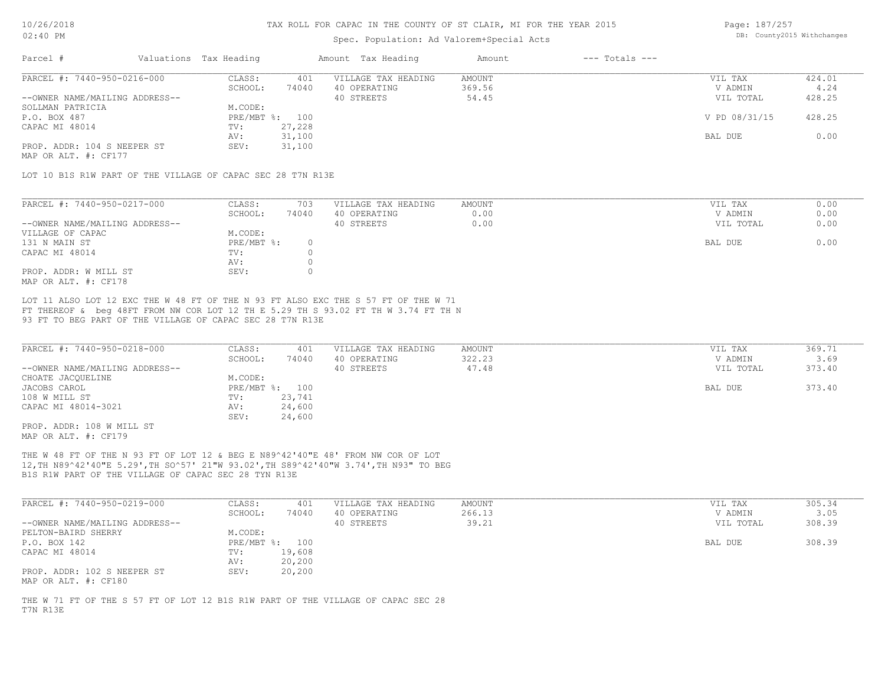### Spec. Population: Ad Valorem+Special Acts

Page: 187/257 DB: County2015 Withchanges

| Parcel #                       | Valuations Tax Heading |        | Amount Tax Heading  | Amount | $---$ Totals $---$ |               |        |
|--------------------------------|------------------------|--------|---------------------|--------|--------------------|---------------|--------|
| PARCEL #: 7440-950-0216-000    | CLASS:                 | 401    | VILLAGE TAX HEADING | AMOUNT |                    | VIL TAX       | 424.01 |
|                                | SCHOOL:                | 74040  | 40 OPERATING        | 369.56 |                    | V ADMIN       | 4.24   |
| --OWNER NAME/MAILING ADDRESS-- |                        |        | 40 STREETS          | 54.45  |                    | VIL TOTAL     | 428.25 |
| SOLLMAN PATRICIA               | M.CODE:                |        |                     |        |                    |               |        |
| P.O. BOX 487                   | PRE/MBT %: 100         |        |                     |        |                    | V PD 08/31/15 | 428.25 |
| CAPAC MI 48014                 | TV:                    | 27,228 |                     |        |                    |               |        |
|                                | AV:                    | 31,100 |                     |        |                    | BAL DUE       | 0.00   |
| PROP. ADDR: 104 S NEEPER ST    | SEV:                   | 31,100 |                     |        |                    |               |        |
|                                |                        |        |                     |        |                    |               |        |

MAP OR ALT. #: CF177

LOT 10 B1S R1W PART OF THE VILLAGE OF CAPAC SEC 28 T7N R13E

| PARCEL #: 7440-950-0217-000    | CLASS:     | 703   | VILLAGE TAX HEADING | AMOUNT | VIL TAX   | 0.00 |
|--------------------------------|------------|-------|---------------------|--------|-----------|------|
|                                | SCHOOL:    | 74040 | 40 OPERATING        | 0.00   | V ADMIN   | 0.00 |
| --OWNER NAME/MAILING ADDRESS-- |            |       | 40 STREETS          | 0.00   | VIL TOTAL | 0.00 |
| VILLAGE OF CAPAC               | M.CODE:    |       |                     |        |           |      |
| 131 N MAIN ST                  | PRE/MBT %: |       |                     |        | BAL DUE   | 0.00 |
| CAPAC MI 48014                 | TV:        |       |                     |        |           |      |
|                                | AV:        |       |                     |        |           |      |
| PROP. ADDR: W MILL ST          | SEV:       |       |                     |        |           |      |
| MAP OR ALT. #: CF178           |            |       |                     |        |           |      |

93 FT TO BEG PART OF THE VILLAGE OF CAPAC SEC 28 T7N R13E FT THEREOF & beg 48FT FROM NW COR LOT 12 TH E 5.29 TH S 93.02 FT TH W 3.74 FT TH N LOT 11 ALSO LOT 12 EXC THE W 48 FT OF THE N 93 FT ALSO EXC THE S 57 FT OF THE W 71

| PARCEL #: 7440-950-0218-000    | CLASS:       | 401    | VILLAGE TAX HEADING | AMOUNT | VIL TAX   | 369.71 |
|--------------------------------|--------------|--------|---------------------|--------|-----------|--------|
|                                | SCHOOL:      | 74040  | 40 OPERATING        | 322.23 | V ADMIN   | 3.69   |
| --OWNER NAME/MAILING ADDRESS-- |              |        | 40 STREETS          | 47.48  | VIL TOTAL | 373.40 |
| CHOATE JACQUELINE              | M.CODE:      |        |                     |        |           |        |
| JACOBS CAROL                   | $PRE/MBT$ %: | 100    |                     |        | BAL DUE   | 373.40 |
| 108 W MILL ST                  | TV:          | 23,741 |                     |        |           |        |
| CAPAC MI 48014-3021            | AV:          | 24,600 |                     |        |           |        |
|                                | SEV:         | 24,600 |                     |        |           |        |
| PROP. ADDR: 108 W MILL ST      |              |        |                     |        |           |        |

MAP OR ALT. #: CF179

B1S R1W PART OF THE VILLAGE OF CAPAC SEC 28 TYN R13E 12,TH N89^42'40"E 5.29',TH SO^57' 21"W 93.02',TH S89^42'40"W 3.74',TH N93" TO BEG THE W 48 FT OF THE N 93 FT OF LOT 12 & BEG E N89^42'40"E 48' FROM NW COR OF LOT

| PARCEL #: 7440-950-0219-000                         | CLASS:  | 401            | VILLAGE TAX HEADING | AMOUNT | VIL TAX   | 305.34 |
|-----------------------------------------------------|---------|----------------|---------------------|--------|-----------|--------|
|                                                     | SCHOOL: | 74040          | 40 OPERATING        | 266.13 | V ADMIN   | 3.05   |
| --OWNER NAME/MAILING ADDRESS--                      |         |                | 40 STREETS          | 39.21  | VIL TOTAL | 308.39 |
| PELTON-BAIRD SHERRY                                 | M.CODE: |                |                     |        |           |        |
| P.O. BOX 142                                        |         | PRE/MBT %: 100 |                     |        | BAL DUE   | 308.39 |
| CAPAC MI 48014                                      | TV:     | 19,608         |                     |        |           |        |
|                                                     | AV:     | 20,200         |                     |        |           |        |
| PROP. ADDR: 102 S NEEPER ST<br>MAP OR ALT. #: CF180 | SEV:    | 20,200         |                     |        |           |        |

T7N R13E THE W 71 FT OF THE S 57 FT OF LOT 12 B1S R1W PART OF THE VILLAGE OF CAPAC SEC 28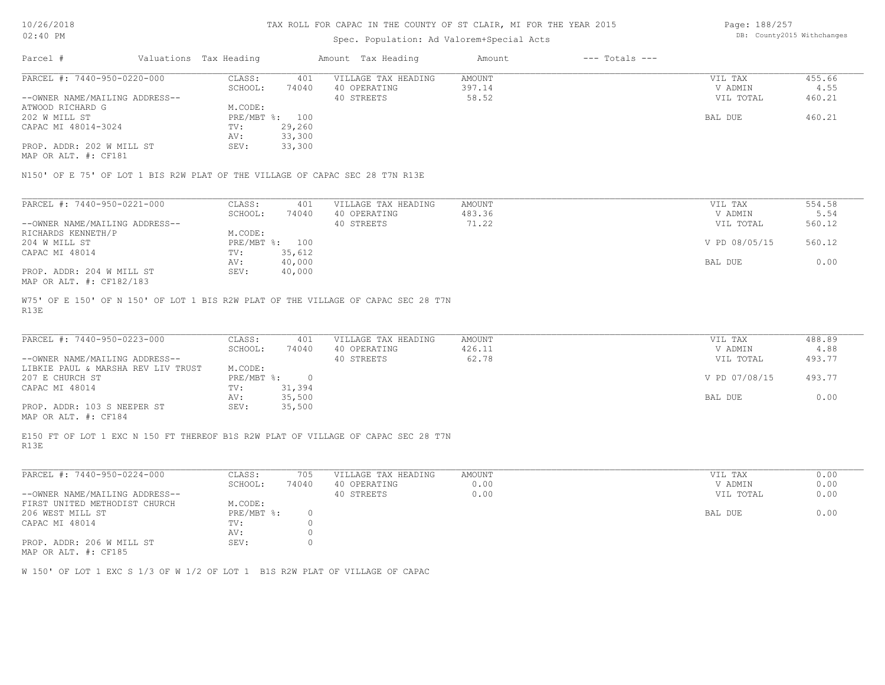### Spec. Population: Ad Valorem+Special Acts

Page: 188/257 DB: County2015 Withchanges

| Parcel #                       | Valuations Tax Heading |        | Amount Tax Heading  | Amount | $---$ Totals $---$ |           |        |
|--------------------------------|------------------------|--------|---------------------|--------|--------------------|-----------|--------|
| PARCEL #: 7440-950-0220-000    | CLASS:                 | 401    | VILLAGE TAX HEADING | AMOUNT |                    | VIL TAX   | 455.66 |
|                                | SCHOOL:                | 74040  | 40 OPERATING        | 397.14 |                    | V ADMIN   | 4.55   |
| --OWNER NAME/MAILING ADDRESS-- |                        |        | 40 STREETS          | 58.52  |                    | VIL TOTAL | 460.21 |
| ATWOOD RICHARD G               | M.CODE:                |        |                     |        |                    |           |        |
| 202 W MILL ST                  | PRE/MBT %: 100         |        |                     |        |                    | BAL DUE   | 460.21 |
| CAPAC MI 48014-3024            | TV:                    | 29,260 |                     |        |                    |           |        |
|                                | AV:                    | 33,300 |                     |        |                    |           |        |
| PROP. ADDR: 202 W MILL ST      | SEV:                   | 33,300 |                     |        |                    |           |        |
| MAP OR ALT. #: CF181           |                        |        |                     |        |                    |           |        |

N150' OF E 75' OF LOT 1 BIS R2W PLAT OF THE VILLAGE OF CAPAC SEC 28 T7N R13E

| PARCEL #: 7440-950-0221-000    | CLASS:       | 401    | VILLAGE TAX HEADING | AMOUNT | VIL TAX       | 554.58 |
|--------------------------------|--------------|--------|---------------------|--------|---------------|--------|
|                                | SCHOOL:      | 74040  | 40 OPERATING        | 483.36 | V ADMIN       | 5.54   |
| --OWNER NAME/MAILING ADDRESS-- |              |        | 40 STREETS          | 71.22  | VIL TOTAL     | 560.12 |
| RICHARDS KENNETH/P             | M.CODE:      |        |                     |        |               |        |
| 204 W MILL ST                  | $PRE/MBT$ %: | 100    |                     |        | V PD 08/05/15 | 560.12 |
| CAPAC MI 48014                 | TV:          | 35,612 |                     |        |               |        |
|                                | AV:          | 40,000 |                     |        | BAL DUE       | 0.00   |
| PROP. ADDR: 204 W MILL ST      | SEV:         | 40,000 |                     |        |               |        |
| MAP OR ALT. #: CF182/183       |              |        |                     |        |               |        |

R13E W75' OF E 150' OF N 150' OF LOT 1 BIS R2W PLAT OF THE VILLAGE OF CAPAC SEC 28 T7N

| PARCEL #: 7440-950-0223-000        | CLASS:     | 401    | VILLAGE TAX HEADING | AMOUNT | VIL TAX       | 488.89 |
|------------------------------------|------------|--------|---------------------|--------|---------------|--------|
|                                    | SCHOOL:    | 74040  | 40 OPERATING        | 426.11 | V ADMIN       | 4.88   |
| --OWNER NAME/MAILING ADDRESS--     |            |        | 40 STREETS          | 62.78  | VIL TOTAL     | 493.77 |
| LIBKIE PAUL & MARSHA REV LIV TRUST | M.CODE:    |        |                     |        |               |        |
| 207 E CHURCH ST                    | PRE/MBT %: |        |                     |        | V PD 07/08/15 | 493.77 |
| CAPAC MI 48014                     | TV:        | 31,394 |                     |        |               |        |
|                                    | AV:        | 35,500 |                     |        | BAL DUE       | 0.00   |
| PROP. ADDR: 103 S NEEPER ST        | SEV:       | 35,500 |                     |        |               |        |
|                                    |            |        |                     |        |               |        |

MAP OR ALT. #: CF184

R13E E150 FT OF LOT 1 EXC N 150 FT THEREOF B1S R2W PLAT OF VILLAGE OF CAPAC SEC 28 T7N

| PARCEL #: 7440-950-0224-000    | CLASS:     | 705   | VILLAGE TAX HEADING | AMOUNT | VIL TAX<br>0.00   |
|--------------------------------|------------|-------|---------------------|--------|-------------------|
|                                | SCHOOL:    | 74040 | 40 OPERATING        | 0.00   | 0.00<br>V ADMIN   |
| --OWNER NAME/MAILING ADDRESS-- |            |       | 40 STREETS          | 0.00   | 0.00<br>VIL TOTAL |
| FIRST UNITED METHODIST CHURCH  | M.CODE:    |       |                     |        |                   |
| 206 WEST MILL ST               | PRE/MBT %: |       |                     |        | 0.00<br>BAL DUE   |
| CAPAC MI 48014                 | TV:        |       |                     |        |                   |
|                                | AV:        |       |                     |        |                   |
| PROP. ADDR: 206 W MILL ST      | SEV:       |       |                     |        |                   |
|                                |            |       |                     |        |                   |

MAP OR ALT. #: CF185

W 150' OF LOT 1 EXC S 1/3 OF W 1/2 OF LOT 1 B1S R2W PLAT OF VILLAGE OF CAPAC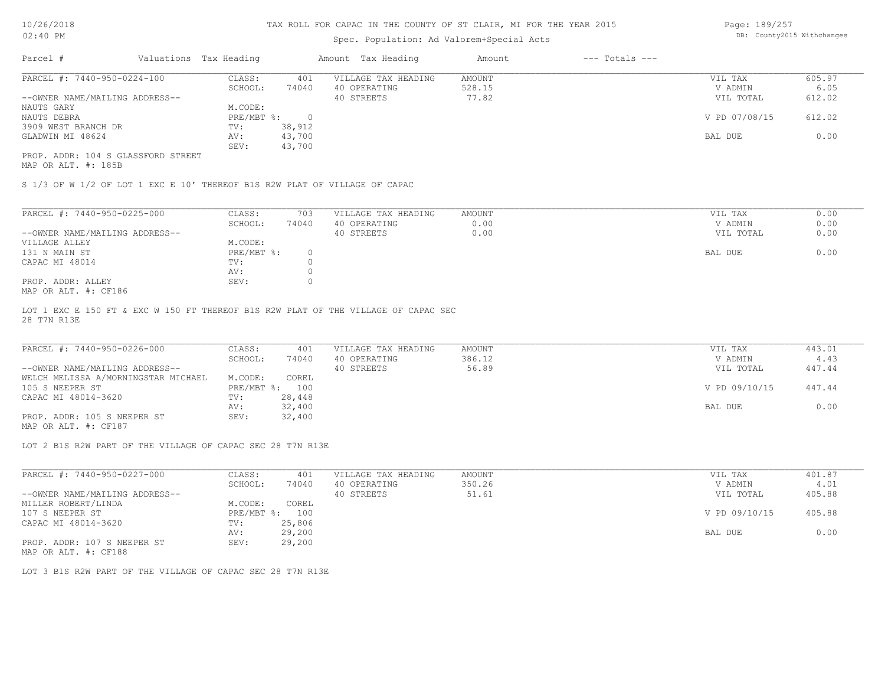# Spec. Population: Ad Valorem+Special Acts

Page: 189/257 DB: County2015 Withchanges

| Parcel #                           |  | Valuations Tax Heading |        | Amount Tax Heading  | Amount | $---$ Totals $---$ |               |        |
|------------------------------------|--|------------------------|--------|---------------------|--------|--------------------|---------------|--------|
| PARCEL #: 7440-950-0224-100        |  | CLASS:                 | 401    | VILLAGE TAX HEADING | AMOUNT |                    | VIL TAX       | 605.97 |
|                                    |  | SCHOOL:                | 74040  | 40 OPERATING        | 528.15 |                    | V ADMIN       | 6.05   |
| --OWNER NAME/MAILING ADDRESS--     |  |                        |        | 40 STREETS          | 77.82  |                    | VIL TOTAL     | 612.02 |
| NAUTS GARY                         |  | M.CODE:                |        |                     |        |                    |               |        |
| NAUTS DEBRA                        |  | PRE/MBT %:             |        |                     |        |                    | V PD 07/08/15 | 612.02 |
| 3909 WEST BRANCH DR                |  | TV:                    | 38,912 |                     |        |                    |               |        |
| GLADWIN MI 48624                   |  | AV:                    | 43,700 |                     |        |                    | BAL DUE       | 0.00   |
|                                    |  | SEV:                   | 43,700 |                     |        |                    |               |        |
| PROP. ADDR: 104 S GLASSFORD STREET |  |                        |        |                     |        |                    |               |        |

MAP OR ALT. #: 185B

S 1/3 OF W 1/2 OF LOT 1 EXC E 10' THEREOF B1S R2W PLAT OF VILLAGE OF CAPAC

| PARCEL #: 7440-950-0225-000                                                                                                                                                                                                                                                                                                                      | CLASS:     | 703   | VILLAGE TAX HEADING | AMOUNT | 0.00<br>VIL TAX   |
|--------------------------------------------------------------------------------------------------------------------------------------------------------------------------------------------------------------------------------------------------------------------------------------------------------------------------------------------------|------------|-------|---------------------|--------|-------------------|
|                                                                                                                                                                                                                                                                                                                                                  | SCHOOL:    | 74040 | 40 OPERATING        | 0.00   | 0.00<br>V ADMIN   |
| --OWNER NAME/MAILING ADDRESS--                                                                                                                                                                                                                                                                                                                   |            |       | 40 STREETS          | 0.00   | 0.00<br>VIL TOTAL |
| VILLAGE ALLEY                                                                                                                                                                                                                                                                                                                                    | M.CODE:    |       |                     |        |                   |
| 131 N MAIN ST                                                                                                                                                                                                                                                                                                                                    | PRE/MBT %: |       |                     |        | 0.00<br>BAL DUE   |
| CAPAC MI 48014                                                                                                                                                                                                                                                                                                                                   | TV:        |       |                     |        |                   |
|                                                                                                                                                                                                                                                                                                                                                  | AV:        |       |                     |        |                   |
| PROP. ADDR: ALLEY                                                                                                                                                                                                                                                                                                                                | SEV:       |       |                     |        |                   |
| $M \land D$ $\land T$ $\Box T$ $\Box T$ $\Box T$ $\Box T$ $\Box T$ $\Box T$ $\Box T$ $\Box T$ $\Box T$ $\Box T$ $\Box T$ $\Box T$ $\Box T$ $\Box T$ $\Box T$ $\Box T$ $\Box T$ $\Box T$ $\Box T$ $\Box T$ $\Box T$ $\Box T$ $\Box T$ $\Box T$ $\Box T$ $\Box T$ $\Box T$ $\Box T$ $\Box T$ $\Box T$ $\Box T$ $\Box T$ $\Box T$ $\Box T$ $\Box T$ |            |       |                     |        |                   |

MAP OR ALT. #: CF186

28 T7N R13E LOT 1 EXC E 150 FT & EXC W 150 FT THEREOF B1S R2W PLAT OF THE VILLAGE OF CAPAC SEC

| PARCEL #: 7440-950-0226-000         | CLASS:  | 401            | VILLAGE TAX HEADING | AMOUNT | VIL TAX       | 443.01 |
|-------------------------------------|---------|----------------|---------------------|--------|---------------|--------|
|                                     | SCHOOL: | 74040          | 40 OPERATING        | 386.12 | V ADMIN       | 4.43   |
| --OWNER NAME/MAILING ADDRESS--      |         |                | 40 STREETS          | 56.89  | VIL TOTAL     | 447.44 |
| WELCH MELISSA A/MORNINGSTAR MICHAEL | M.CODE: | COREL          |                     |        |               |        |
| 105 S NEEPER ST                     |         | PRE/MBT %: 100 |                     |        | V PD 09/10/15 | 447.44 |
| CAPAC MI 48014-3620                 | TV:     | 28,448         |                     |        |               |        |
|                                     | AV:     | 32,400         |                     |        | BAL DUE       | 0.00   |
| PROP. ADDR: 105 S NEEPER ST         | SEV:    | 32,400         |                     |        |               |        |

MAP OR ALT. #: CF187

LOT 2 B1S R2W PART OF THE VILLAGE OF CAPAC SEC 28 T7N R13E

| PARCEL #: 7440-950-0227-000    | CLASS:       | 401    | VILLAGE TAX HEADING | AMOUNT | VIL TAX       | 401.87 |
|--------------------------------|--------------|--------|---------------------|--------|---------------|--------|
|                                | SCHOOL:      | 74040  | 40 OPERATING        | 350.26 | V ADMIN       | 4.01   |
| --OWNER NAME/MAILING ADDRESS-- |              |        | 40 STREETS          | 51.61  | VIL TOTAL     | 405.88 |
| MILLER ROBERT/LINDA            | M.CODE:      | COREL  |                     |        |               |        |
| 107 S NEEPER ST                | $PRE/MBT$ %: | 100    |                     |        | V PD 09/10/15 | 405.88 |
| CAPAC MI 48014-3620            | TV:          | 25,806 |                     |        |               |        |
|                                | AV:          | 29,200 |                     |        | BAL DUE       | 0.00   |
| PROP. ADDR: 107 S NEEPER ST    | SEV:         | 29,200 |                     |        |               |        |

MAP OR ALT. #: CF188

LOT 3 B1S R2W PART OF THE VILLAGE OF CAPAC SEC 28 T7N R13E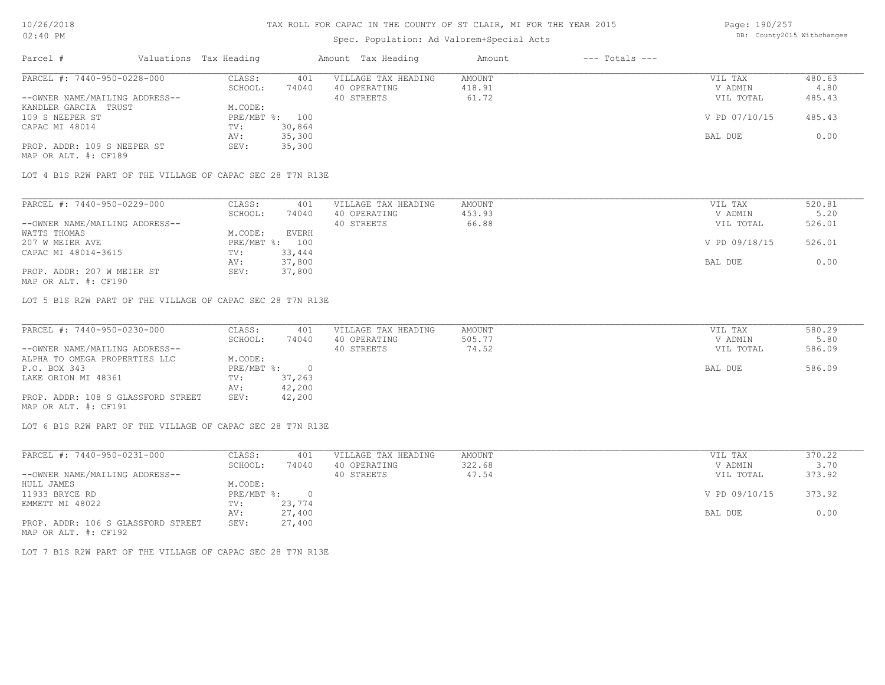# Spec. Population: Ad Valorem+Special Acts

Page: 190/257 DB: County2015 Withchanges

| Parcel #                       | Valuations Tax Heading |        | Amount Tax Heading  | Amount | $---$ Totals $---$ |               |        |
|--------------------------------|------------------------|--------|---------------------|--------|--------------------|---------------|--------|
| PARCEL #: 7440-950-0228-000    | CLASS:                 | 401    | VILLAGE TAX HEADING | AMOUNT |                    | VIL TAX       | 480.63 |
|                                | SCHOOL:                | 74040  | 40 OPERATING        | 418.91 |                    | V ADMIN       | 4.80   |
| --OWNER NAME/MAILING ADDRESS-- |                        |        | 40 STREETS          | 61.72  |                    | VIL TOTAL     | 485.43 |
| KANDLER GARCIA TRUST           | M.CODE:                |        |                     |        |                    |               |        |
| 109 S NEEPER ST                | PRE/MBT %: 100         |        |                     |        |                    | V PD 07/10/15 | 485.43 |
| CAPAC MI 48014                 | TV:                    | 30,864 |                     |        |                    |               |        |
|                                | AV:                    | 35,300 |                     |        |                    | BAL DUE       | 0.00   |
| PROP. ADDR: 109 S NEEPER ST    | SEV:                   | 35,300 |                     |        |                    |               |        |
| MAP OR ALT. #: CF189           |                        |        |                     |        |                    |               |        |

LOT 4 B1S R2W PART OF THE VILLAGE OF CAPAC SEC 28 T7N R13E

| PARCEL #: 7440-950-0229-000    | CLASS:  | 401            | VILLAGE TAX HEADING | AMOUNT | VIL TAX       | 520.81 |
|--------------------------------|---------|----------------|---------------------|--------|---------------|--------|
|                                | SCHOOL: | 74040          | 40 OPERATING        | 453.93 | V ADMIN       | 5.20   |
| --OWNER NAME/MAILING ADDRESS-- |         |                | 40 STREETS          | 66.88  | VIL TOTAL     | 526.01 |
| WATTS THOMAS                   | M.CODE: | <b>EVERH</b>   |                     |        |               |        |
| 207 W MEIER AVE                |         | PRE/MBT %: 100 |                     |        | V PD 09/18/15 | 526.01 |
| CAPAC MI 48014-3615            | TV:     | 33,444         |                     |        |               |        |
|                                | AV:     | 37,800         |                     |        | BAL DUE       | 0.00   |
| PROP. ADDR: 207 W MEIER ST     | SEV:    | 37,800         |                     |        |               |        |
|                                |         |                |                     |        |               |        |

MAP OR ALT. #: CF190

LOT 5 B1S R2W PART OF THE VILLAGE OF CAPAC SEC 28 T7N R13E

| PARCEL #: 7440-950-0230-000        | CLASS:       | 401    | VILLAGE TAX HEADING | AMOUNT | VIL TAX   | 580.29 |
|------------------------------------|--------------|--------|---------------------|--------|-----------|--------|
|                                    | SCHOOL:      | 74040  | 40 OPERATING        | 505.77 | V ADMIN   | 5.80   |
| --OWNER NAME/MAILING ADDRESS--     |              |        | 40 STREETS          | 74.52  | VIL TOTAL | 586.09 |
| ALPHA TO OMEGA PROPERTIES LLC      | M.CODE:      |        |                     |        |           |        |
| P.O. BOX 343                       | $PRE/MBT$ %: |        |                     |        | BAL DUE   | 586.09 |
| LAKE ORION MI 48361                | TV:          | 37,263 |                     |        |           |        |
|                                    | AV:          | 42,200 |                     |        |           |        |
| PROP. ADDR: 108 S GLASSFORD STREET | SEV:         | 42,200 |                     |        |           |        |
| MAP OR ALT. #: CF191               |              |        |                     |        |           |        |

LOT 6 B1S R2W PART OF THE VILLAGE OF CAPAC SEC 28 T7N R13E

| PARCEL #: 7440-950-0231-000        | CLASS:     | 401    | VILLAGE TAX HEADING | AMOUNT | VIL TAX       | 370.22 |
|------------------------------------|------------|--------|---------------------|--------|---------------|--------|
|                                    | SCHOOL:    | 74040  | 40 OPERATING        | 322.68 | V ADMIN       | 3.70   |
| --OWNER NAME/MAILING ADDRESS--     |            |        | 40 STREETS          | 47.54  | VIL TOTAL     | 373.92 |
| HULL JAMES                         | M.CODE:    |        |                     |        |               |        |
| 11933 BRYCE RD                     | PRE/MBT %: | $\cap$ |                     |        | V PD 09/10/15 | 373.92 |
| EMMETT MI 48022                    | TV:        | 23,774 |                     |        |               |        |
|                                    | AV:        | 27,400 |                     |        | BAL DUE       | 0.00   |
| PROP. ADDR: 106 S GLASSFORD STREET | SEV:       | 27,400 |                     |        |               |        |
| MAP OR ALT. #: CF192               |            |        |                     |        |               |        |

LOT 7 B1S R2W PART OF THE VILLAGE OF CAPAC SEC 28 T7N R13E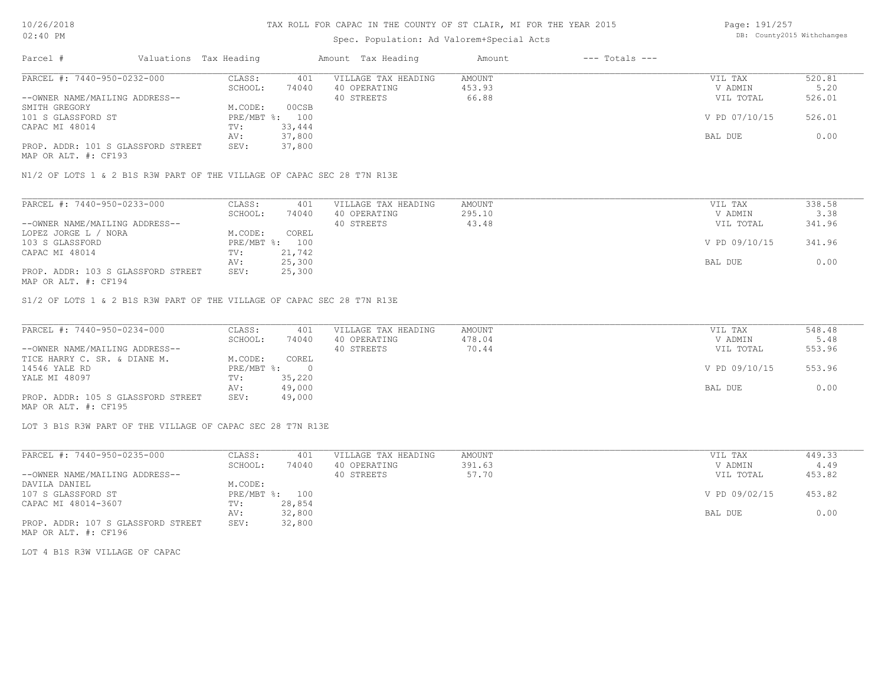# Spec. Population: Ad Valorem+Special Acts

Page: 191/257 DB: County2015 Withchanges

| Parcel #                           | Valuations Tax Heading |                | Amount Tax Heading  | Amount | $---$ Totals $---$ |               |        |
|------------------------------------|------------------------|----------------|---------------------|--------|--------------------|---------------|--------|
| PARCEL #: 7440-950-0232-000        | CLASS:                 | 401            | VILLAGE TAX HEADING | AMOUNT |                    | VIL TAX       | 520.81 |
|                                    | SCHOOL:                | 74040          | 40 OPERATING        | 453.93 |                    | V ADMIN       | 5.20   |
| --OWNER NAME/MAILING ADDRESS--     |                        |                | 40 STREETS          | 66.88  |                    | VIL TOTAL     | 526.01 |
| SMITH GREGORY                      | M.CODE:                | 00CSB          |                     |        |                    |               |        |
| 101 S GLASSFORD ST                 |                        | PRE/MBT %: 100 |                     |        |                    | V PD 07/10/15 | 526.01 |
| CAPAC MI 48014                     | TV:                    | 33,444         |                     |        |                    |               |        |
|                                    | AV:                    | 37,800         |                     |        |                    | BAL DUE       | 0.00   |
| PROP. ADDR: 101 S GLASSFORD STREET | SEV:                   | 37,800         |                     |        |                    |               |        |
|                                    |                        |                |                     |        |                    |               |        |

MAP OR ALT. #: CF193

N1/2 OF LOTS 1 & 2 B1S R3W PART OF THE VILLAGE OF CAPAC SEC 28 T7N R13E

| PARCEL #: 7440-950-0233-000        | CLASS:       | 401    | VILLAGE TAX HEADING | AMOUNT | VIL TAX       | 338.58 |
|------------------------------------|--------------|--------|---------------------|--------|---------------|--------|
|                                    | SCHOOL:      | 74040  | 40 OPERATING        | 295.10 | V ADMIN       | 3.38   |
| --OWNER NAME/MAILING ADDRESS--     |              |        | 40 STREETS          | 43.48  | VIL TOTAL     | 341.96 |
| LOPEZ JORGE L / NORA               | M.CODE:      | COREL  |                     |        |               |        |
| 103 S GLASSFORD                    | $PRE/MBT$ %: | 100    |                     |        | V PD 09/10/15 | 341.96 |
| CAPAC MI 48014                     | TV:          | 21,742 |                     |        |               |        |
|                                    | AV:          | 25,300 |                     |        | BAL DUE       | 0.00   |
| PROP. ADDR: 103 S GLASSFORD STREET | SEV:         | 25,300 |                     |        |               |        |
| MAP OR ALT. #: CF194               |              |        |                     |        |               |        |

S1/2 OF LOTS 1 & 2 B1S R3W PART OF THE VILLAGE OF CAPAC SEC 28 T7N R13E

| PARCEL #: 7440-950-0234-000        | CLASS:     | 401    | VILLAGE TAX HEADING | AMOUNT | VIL TAX       | 548.48 |
|------------------------------------|------------|--------|---------------------|--------|---------------|--------|
|                                    | SCHOOL:    | 74040  | 40 OPERATING        | 478.04 | V ADMIN       | 5.48   |
| --OWNER NAME/MAILING ADDRESS--     |            |        | 40 STREETS          | 70.44  | VIL TOTAL     | 553.96 |
| TICE HARRY C. SR. & DIANE M.       | M.CODE:    | COREL  |                     |        |               |        |
| 14546 YALE RD                      | PRE/MBT %: |        |                     |        | V PD 09/10/15 | 553.96 |
| YALE MI 48097                      | TV:        | 35,220 |                     |        |               |        |
|                                    | AV:        | 49,000 |                     |        | BAL DUE       | 0.00   |
| PROP. ADDR: 105 S GLASSFORD STREET | SEV:       | 49,000 |                     |        |               |        |
| MAP OR ALT. #: CF195               |            |        |                     |        |               |        |

LOT 3 B1S R3W PART OF THE VILLAGE OF CAPAC SEC 28 T7N R13E

| PARCEL #: 7440-950-0235-000        | CLASS:  | 401            | VILLAGE TAX HEADING | AMOUNT | VIL TAX       | 449.33 |
|------------------------------------|---------|----------------|---------------------|--------|---------------|--------|
|                                    | SCHOOL: | 74040          | 40 OPERATING        | 391.63 | V ADMIN       | 4.49   |
| --OWNER NAME/MAILING ADDRESS--     |         |                | 40 STREETS          | 57.70  | VIL TOTAL     | 453.82 |
| DAVILA DANIEL                      | M.CODE: |                |                     |        |               |        |
| 107 S GLASSFORD ST                 |         | PRE/MBT %: 100 |                     |        | V PD 09/02/15 | 453.82 |
| CAPAC MI 48014-3607                | TV:     | 28,854         |                     |        |               |        |
|                                    | AV:     | 32,800         |                     |        | BAL DUE       | 0.00   |
| PROP. ADDR: 107 S GLASSFORD STREET | SEV:    | 32,800         |                     |        |               |        |

MAP OR ALT. #: CF196

LOT 4 B1S R3W VILLAGE OF CAPAC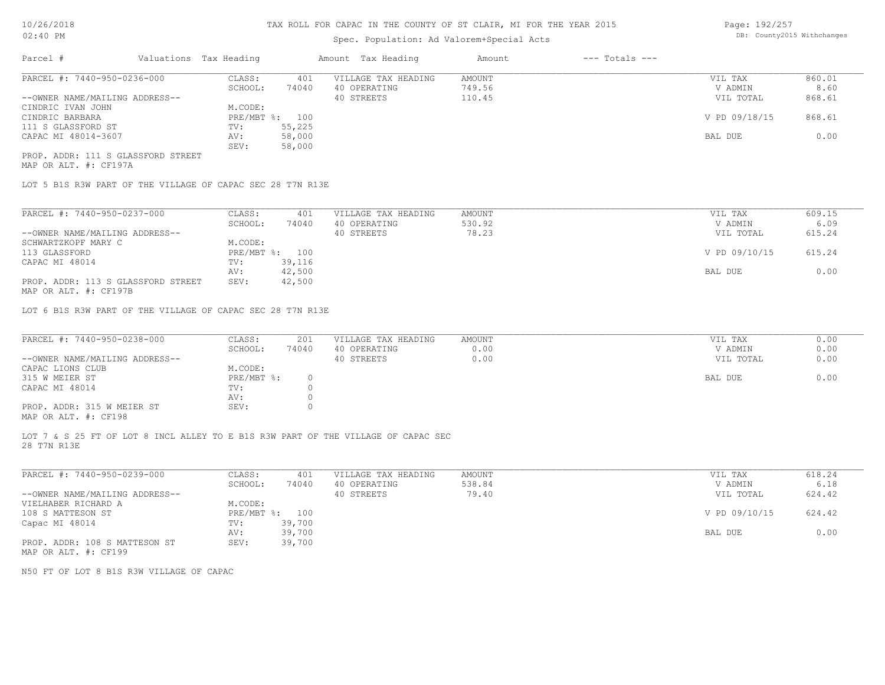#### Spec. Population: Ad Valorem+Special Acts

Page: 192/257 DB: County2015 Withchanges

| Parcel #                           | Valuations Tax Heading |        | Amount Tax Heading  | Amount | $---$ Totals $---$ |               |        |
|------------------------------------|------------------------|--------|---------------------|--------|--------------------|---------------|--------|
| PARCEL #: 7440-950-0236-000        | CLASS:                 | 401    | VILLAGE TAX HEADING | AMOUNT |                    | VIL TAX       | 860.01 |
|                                    | SCHOOL:                | 74040  | 40 OPERATING        | 749.56 |                    | V ADMIN       | 8.60   |
| --OWNER NAME/MAILING ADDRESS--     |                        |        | 40 STREETS          | 110.45 |                    | VIL TOTAL     | 868.61 |
| CINDRIC IVAN JOHN                  | M.CODE:                |        |                     |        |                    |               |        |
| CINDRIC BARBARA                    | PRE/MBT %: 100         |        |                     |        |                    | V PD 09/18/15 | 868.61 |
| 111 S GLASSFORD ST                 | TV:                    | 55,225 |                     |        |                    |               |        |
| CAPAC MI 48014-3607                | AV:                    | 58,000 |                     |        |                    | BAL DUE       | 0.00   |
|                                    | SEV:                   | 58,000 |                     |        |                    |               |        |
| PROP. ADDR: 111 S GLASSFORD STREET |                        |        |                     |        |                    |               |        |

MAP OR ALT. #: CF197A

LOT 5 B1S R3W PART OF THE VILLAGE OF CAPAC SEC 28 T7N R13E

| PARCEL #: 7440-950-0237-000                                    | CLASS:  | 401            | VILLAGE TAX HEADING | AMOUNT | VIL TAX       | 609.15 |
|----------------------------------------------------------------|---------|----------------|---------------------|--------|---------------|--------|
|                                                                | SCHOOL: | 74040          | 40 OPERATING        | 530.92 | V ADMIN       | 6.09   |
| --OWNER NAME/MAILING ADDRESS--                                 |         |                | 40 STREETS          | 78.23  | VIL TOTAL     | 615.24 |
| SCHWARTZKOPF MARY C                                            | M.CODE: |                |                     |        |               |        |
| 113 GLASSFORD                                                  |         | PRE/MBT %: 100 |                     |        | V PD 09/10/15 | 615.24 |
| CAPAC MI 48014                                                 | TV:     | 39,116         |                     |        |               |        |
|                                                                | AV:     | 42,500         |                     |        | BAL DUE       | 0.00   |
| PROP. ADDR: 113 S GLASSFORD STREET                             | SEV:    | 42,500         |                     |        |               |        |
| $\cdots$ $\cdots$ $\cdots$ $\cdots$ $\cdots$ $\cdots$ $\cdots$ |         |                |                     |        |               |        |

MAP OR ALT. #: CF197B

LOT 6 B1S R3W PART OF THE VILLAGE OF CAPAC SEC 28 T7N R13E

| PARCEL #: 7440-950-0238-000                           | CLASS:     | 201   | VILLAGE TAX HEADING | AMOUNT | VIL TAX   | 0.00 |
|-------------------------------------------------------|------------|-------|---------------------|--------|-----------|------|
|                                                       | SCHOOL:    | 74040 | 40 OPERATING        | 0.00   | V ADMIN   | 0.00 |
| --OWNER NAME/MAILING ADDRESS--                        |            |       | 40 STREETS          | 0.00   | VIL TOTAL | 0.00 |
| CAPAC LIONS CLUB                                      | M.CODE:    |       |                     |        |           |      |
| 315 W MEIER ST                                        | PRE/MBT %: |       |                     |        | BAL DUE   | 0.00 |
| CAPAC MI 48014                                        | TV:        |       |                     |        |           |      |
|                                                       | AV:        |       |                     |        |           |      |
| PROP. ADDR: 315 W MEIER ST                            | SEV:       |       |                     |        |           |      |
| $\cdots$ $\cdots$ $\cdots$ $\cdots$ $\cdots$ $\cdots$ |            |       |                     |        |           |      |

MAP OR ALT. #: CF198

28 T7N R13E LOT 7 & S 25 FT OF LOT 8 INCL ALLEY TO E B1S R3W PART OF THE VILLAGE OF CAPAC SEC

| PARCEL #: 7440-950-0239-000    | CLASS:       | 401    | VILLAGE TAX HEADING | AMOUNT | VIL TAX       | 618.24 |
|--------------------------------|--------------|--------|---------------------|--------|---------------|--------|
|                                | SCHOOL:      | 74040  | 40 OPERATING        | 538.84 | V ADMIN       | 6.18   |
| --OWNER NAME/MAILING ADDRESS-- |              |        | 40 STREETS          | 79.40  | VIL TOTAL     | 624.42 |
| VIELHABER RICHARD A            | M.CODE:      |        |                     |        |               |        |
| 108 S MATTESON ST              | $PRE/MBT$ %: | 100    |                     |        | V PD 09/10/15 | 624.42 |
| Capac MI 48014                 | TV:          | 39,700 |                     |        |               |        |
|                                | AV:          | 39,700 |                     |        | BAL DUE       | 0.00   |
| PROP. ADDR: 108 S MATTESON ST  | SEV:         | 39,700 |                     |        |               |        |
| MAP OR ALT. #: CF199           |              |        |                     |        |               |        |

N50 FT OF LOT 8 B1S R3W VILLAGE OF CAPAC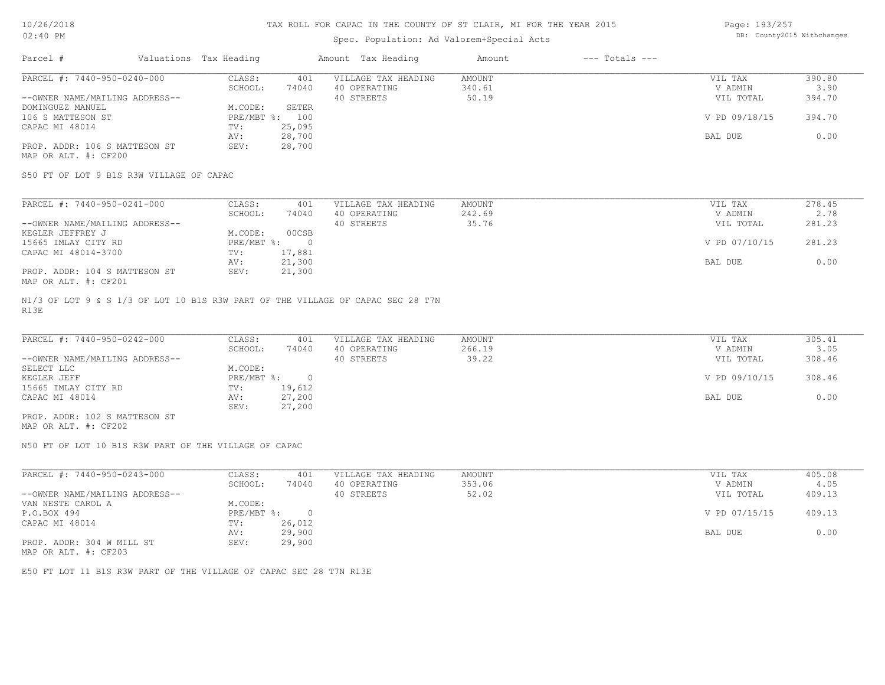### Spec. Population: Ad Valorem+Special Acts

Page: 193/257 DB: County2015 Withchanges

| Parcel #                       | Valuations Tax Heading |        | Amount Tax Heading  | Amount | $---$ Totals $---$ |               |        |
|--------------------------------|------------------------|--------|---------------------|--------|--------------------|---------------|--------|
| PARCEL #: 7440-950-0240-000    | CLASS:                 | 401    | VILLAGE TAX HEADING | AMOUNT |                    | VIL TAX       | 390.80 |
|                                | SCHOOL:                | 74040  | 40 OPERATING        | 340.61 |                    | V ADMIN       | 3.90   |
| --OWNER NAME/MAILING ADDRESS-- |                        |        | 40 STREETS          | 50.19  |                    | VIL TOTAL     | 394.70 |
| DOMINGUEZ MANUEL               | M.CODE:                | SETER  |                     |        |                    |               |        |
| 106 S MATTESON ST              | $PRE/MBT$ %:           | 100    |                     |        |                    | V PD 09/18/15 | 394.70 |
| CAPAC MI 48014                 | TV:                    | 25,095 |                     |        |                    |               |        |
|                                | AV:                    | 28,700 |                     |        |                    | BAL DUE       | 0.00   |
| PROP. ADDR: 106 S MATTESON ST  | SEV:                   | 28,700 |                     |        |                    |               |        |
| MAP OR ALT. #: CF200           |                        |        |                     |        |                    |               |        |

S50 FT OF LOT 9 B1S R3W VILLAGE OF CAPAC

| PARCEL #: 7440-950-0241-000    | CLASS:     | 401    | VILLAGE TAX HEADING | AMOUNT | VIL TAX       | 278.45 |
|--------------------------------|------------|--------|---------------------|--------|---------------|--------|
|                                | SCHOOL:    | 74040  | 40 OPERATING        | 242.69 | V ADMIN       | 2.78   |
| --OWNER NAME/MAILING ADDRESS-- |            |        | 40 STREETS          | 35.76  | VIL TOTAL     | 281.23 |
| KEGLER JEFFREY J               | M.CODE:    | 00CSB  |                     |        |               |        |
| 15665 IMLAY CITY RD            | PRE/MBT %: |        |                     |        | V PD 07/10/15 | 281.23 |
| CAPAC MI 48014-3700            | TV:        | 17,881 |                     |        |               |        |
|                                | AV:        | 21,300 |                     |        | BAL DUE       | 0.00   |
| PROP. ADDR: 104 S MATTESON ST  | SEV:       | 21,300 |                     |        |               |        |
| MAP OR ALT. #: CF201           |            |        |                     |        |               |        |

R13E N1/3 OF LOT 9 & S 1/3 OF LOT 10 B1S R3W PART OF THE VILLAGE OF CAPAC SEC 28 T7N

| PARCEL #: 7440-950-0242-000    | CLASS:       | 401    | VILLAGE TAX HEADING | AMOUNT | VIL TAX       | 305.41 |
|--------------------------------|--------------|--------|---------------------|--------|---------------|--------|
|                                | SCHOOL:      | 74040  | 40 OPERATING        | 266.19 | V ADMIN       | 3.05   |
| --OWNER NAME/MAILING ADDRESS-- |              |        | 40 STREETS          | 39.22  | VIL TOTAL     | 308.46 |
| SELECT LLC                     | M.CODE:      |        |                     |        |               |        |
| KEGLER JEFF                    | $PRE/MBT$ %: |        |                     |        | V PD 09/10/15 | 308.46 |
| 15665 IMLAY CITY RD            | TV:          | 19,612 |                     |        |               |        |
| CAPAC MI 48014                 | AV:          | 27,200 |                     |        | BAL DUE       | 0.00   |
|                                | SEV:         | 27,200 |                     |        |               |        |
| PROP. ADDR: 102 S MATTESON ST  |              |        |                     |        |               |        |

MAP OR ALT. #: CF202

N50 FT OF LOT 10 B1S R3W PART OF THE VILLAGE OF CAPAC

| PARCEL #: 7440-950-0243-000                           | CLASS:     | 401    | VILLAGE TAX HEADING | AMOUNT | VIL TAX       | 405.08 |  |
|-------------------------------------------------------|------------|--------|---------------------|--------|---------------|--------|--|
|                                                       | SCHOOL:    | 74040  | 40 OPERATING        | 353.06 | V ADMIN       | 4.05   |  |
| --OWNER NAME/MAILING ADDRESS--                        |            |        | 40 STREETS          | 52.02  | VIL TOTAL     | 409.13 |  |
| VAN NESTE CAROL A                                     | M.CODE:    |        |                     |        |               |        |  |
| P.O.BOX 494                                           | PRE/MBT %: |        |                     |        | V PD 07/15/15 | 409.13 |  |
| CAPAC MI 48014                                        | TV:        | 26,012 |                     |        |               |        |  |
|                                                       | AV:        | 29,900 |                     |        | BAL DUE       | 0.00   |  |
| PROP. ADDR: 304 W MILL ST                             | SEV:       | 29,900 |                     |        |               |        |  |
| $\cdots$ $\cdots$ $\cdots$ $\cdots$ $\cdots$ $\cdots$ |            |        |                     |        |               |        |  |

MAP OR ALT. #: CF203

E50 FT LOT 11 B1S R3W PART OF THE VILLAGE OF CAPAC SEC 28 T7N R13E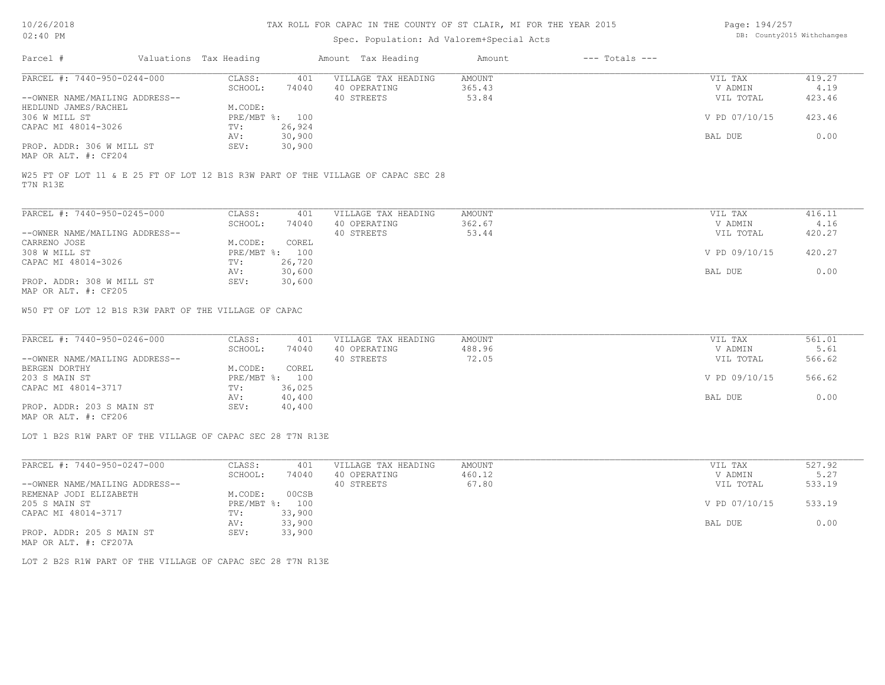# Spec. Population: Ad Valorem+Special Acts

Page: 194/257 DB: County2015 Withchanges

| Parcel #                       | Valuations Tax Heading |                | Amount Tax Heading                                                               | Amount | $---$ Totals $---$ |               |        |
|--------------------------------|------------------------|----------------|----------------------------------------------------------------------------------|--------|--------------------|---------------|--------|
| PARCEL #: 7440-950-0244-000    | CLASS:                 | 401            | VILLAGE TAX HEADING                                                              | AMOUNT |                    | VIL TAX       | 419.27 |
|                                | SCHOOL:                | 74040          | 40 OPERATING                                                                     | 365.43 |                    | V ADMIN       | 4.19   |
| --OWNER NAME/MAILING ADDRESS-- |                        |                | 40 STREETS                                                                       | 53.84  |                    | VIL TOTAL     | 423.46 |
| HEDLUND JAMES/RACHEL           | M.CODE:                |                |                                                                                  |        |                    |               |        |
| 306 W MILL ST                  |                        | PRE/MBT %: 100 |                                                                                  |        |                    | V PD 07/10/15 | 423.46 |
| CAPAC MI 48014-3026            | TV:                    | 26,924         |                                                                                  |        |                    |               |        |
|                                | AV:                    | 30,900         |                                                                                  |        |                    | BAL DUE       | 0.00   |
| PROP. ADDR: 306 W MILL ST      | SEV:                   | 30,900         |                                                                                  |        |                    |               |        |
| MAP OR ALT. #: CF204           |                        |                |                                                                                  |        |                    |               |        |
|                                |                        |                | W25 FT OF LOT 11 & E 25 FT OF LOT 12 B1S R3W PART OF THE VILLAGE OF CAPAC SEC 28 |        |                    |               |        |
| T7N R13E                       |                        |                |                                                                                  |        |                    |               |        |

| PARCEL #: 7440-950-0245-000    | CLASS:       | 401    | VILLAGE TAX HEADING | AMOUNT | VIL TAX | 416.11                  |      |
|--------------------------------|--------------|--------|---------------------|--------|---------|-------------------------|------|
|                                | SCHOOL:      | 74040  | 40 OPERATING        | 362.67 | V ADMIN |                         | 4.16 |
| --OWNER NAME/MAILING ADDRESS-- |              |        | 40 STREETS          | 53.44  |         | 420.27<br>VIL TOTAL     |      |
| CARRENO JOSE                   | M.CODE:      | COREL  |                     |        |         |                         |      |
| 308 W MILL ST                  | $PRE/MBT$ %: | 100    |                     |        |         | V PD 09/10/15<br>420.27 |      |
| CAPAC MI 48014-3026            | TV:          | 26,720 |                     |        |         |                         |      |
|                                | AV:          | 30,600 |                     |        | BAL DUE |                         | 0.00 |
| PROP. ADDR: 308 W MILL ST      | SEV:         | 30,600 |                     |        |         |                         |      |
| MAP OR ALT. #: CF205           |              |        |                     |        |         |                         |      |

W50 FT OF LOT 12 B1S R3W PART OF THE VILLAGE OF CAPAC

| PARCEL #: 7440-950-0246-000    | CLASS:  | 401            | VILLAGE TAX HEADING | AMOUNT | VIL TAX       | 561.01 |
|--------------------------------|---------|----------------|---------------------|--------|---------------|--------|
|                                | SCHOOL: | 74040          | 40 OPERATING        | 488.96 | V ADMIN       | 5.61   |
| --OWNER NAME/MAILING ADDRESS-- |         |                | 40 STREETS          | 72.05  | VIL TOTAL     | 566.62 |
| BERGEN DORTHY                  | M.CODE: | COREL          |                     |        |               |        |
| 203 S MAIN ST                  |         | PRE/MBT %: 100 |                     |        | V PD 09/10/15 | 566.62 |
| CAPAC MI 48014-3717            | TV:     | 36,025         |                     |        |               |        |
|                                | AV:     | 40,400         |                     |        | BAL DUE       | 0.00   |
| PROP. ADDR: 203 S MAIN ST      | SEV:    | 40,400         |                     |        |               |        |
|                                |         |                |                     |        |               |        |

MAP OR ALT. #: CF206

LOT 1 B2S R1W PART OF THE VILLAGE OF CAPAC SEC 28 T7N R13E

| PARCEL #: 7440-950-0247-000    | CLASS:       | 401    | VILLAGE TAX HEADING | AMOUNT | VIL TAX       | 527.92 |
|--------------------------------|--------------|--------|---------------------|--------|---------------|--------|
|                                | SCHOOL:      | 74040  | 40 OPERATING        | 460.12 | V ADMIN       | 5.27   |
| --OWNER NAME/MAILING ADDRESS-- |              |        | 40 STREETS          | 67.80  | VIL TOTAL     | 533.19 |
| REMENAP JODI ELIZABETH         | M.CODE:      | 00CSB  |                     |        |               |        |
| 205 S MAIN ST                  | $PRE/MBT$ %: | 100    |                     |        | V PD 07/10/15 | 533.19 |
| CAPAC MI 48014-3717            | TV:          | 33,900 |                     |        |               |        |
|                                | AV:          | 33,900 |                     |        | BAL DUE       | 0.00   |
| PROP. ADDR: 205 S MAIN ST      | SEV:         | 33,900 |                     |        |               |        |
| MAP OR ALT. #: CF207A          |              |        |                     |        |               |        |

LOT 2 B2S R1W PART OF THE VILLAGE OF CAPAC SEC 28 T7N R13E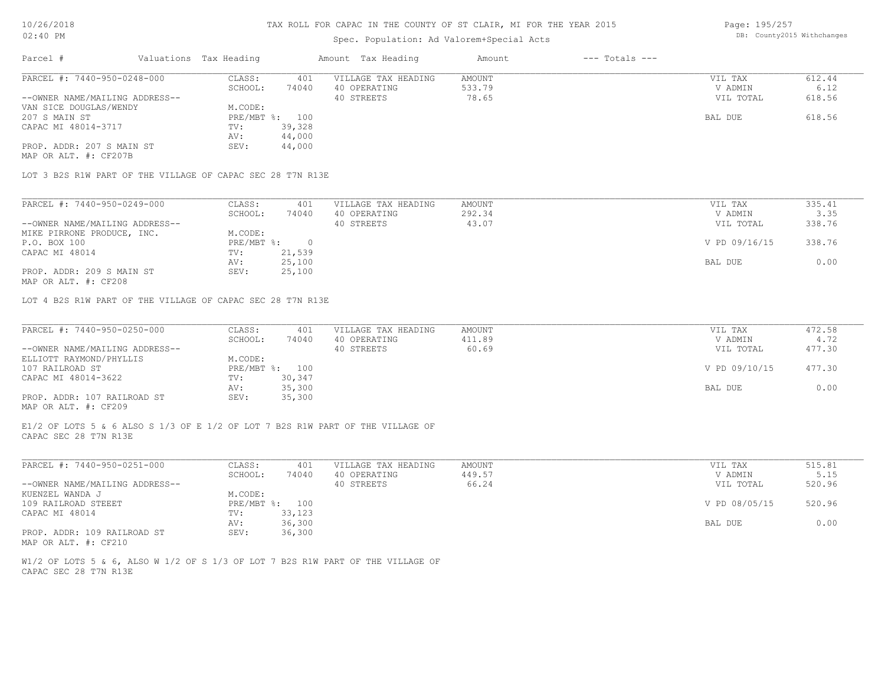# Spec. Population: Ad Valorem+Special Acts

Page: 195/257 DB: County2015 Withchanges

| Parcel #                       | Valuations Tax Heading |                | Amount Tax Heading  | Amount | $---$ Totals $---$ |           |        |
|--------------------------------|------------------------|----------------|---------------------|--------|--------------------|-----------|--------|
| PARCEL #: 7440-950-0248-000    | CLASS:                 | 401            | VILLAGE TAX HEADING | AMOUNT |                    | VIL TAX   | 612.44 |
|                                | SCHOOL:                | 74040          | 40 OPERATING        | 533.79 |                    | V ADMIN   | 6.12   |
| --OWNER NAME/MAILING ADDRESS-- |                        |                | 40 STREETS          | 78.65  |                    | VIL TOTAL | 618.56 |
| VAN SICE DOUGLAS/WENDY         | M.CODE:                |                |                     |        |                    |           |        |
| 207 S MAIN ST                  |                        | PRE/MBT %: 100 |                     |        |                    | BAL DUE   | 618.56 |
| CAPAC MI 48014-3717            | TV:                    | 39,328         |                     |        |                    |           |        |
|                                | AV:                    | 44,000         |                     |        |                    |           |        |
| PROP. ADDR: 207 S MAIN ST      | SEV:                   | 44,000         |                     |        |                    |           |        |
| MAP OR ALT. #: CF207B          |                        |                |                     |        |                    |           |        |
|                                |                        |                |                     |        |                    |           |        |

LOT 3 B2S R1W PART OF THE VILLAGE OF CAPAC SEC 28 T7N R13E

| PARCEL #: 7440-950-0249-000    | CLASS:     | 401    | VILLAGE TAX HEADING | AMOUNT | VIL TAX       | 335.41 |
|--------------------------------|------------|--------|---------------------|--------|---------------|--------|
|                                | SCHOOL:    | 74040  | 40 OPERATING        | 292.34 | V ADMIN       | 3.35   |
| --OWNER NAME/MAILING ADDRESS-- |            |        | 40 STREETS          | 43.07  | VIL TOTAL     | 338.76 |
| MIKE PIRRONE PRODUCE, INC.     | M.CODE:    |        |                     |        |               |        |
| P.O. BOX 100                   | PRE/MBT %: |        |                     |        | V PD 09/16/15 | 338.76 |
| CAPAC MI 48014                 | TV:        | 21,539 |                     |        |               |        |
|                                | AV:        | 25,100 |                     |        | BAL DUE       | 0.00   |
| PROP. ADDR: 209 S MAIN ST      | SEV:       | 25,100 |                     |        |               |        |
|                                |            |        |                     |        |               |        |

MAP OR ALT. #: CF208

LOT 4 B2S R1W PART OF THE VILLAGE OF CAPAC SEC 28 T7N R13E

| PARCEL #: 7440-950-0250-000    | CLASS:  | 401            | VILLAGE TAX HEADING | AMOUNT | VIL TAX       | 472.58 |
|--------------------------------|---------|----------------|---------------------|--------|---------------|--------|
|                                | SCHOOL: | 74040          | 40 OPERATING        | 411.89 | V ADMIN       | 4.72   |
| --OWNER NAME/MAILING ADDRESS-- |         |                | 40 STREETS          | 60.69  | VIL TOTAL     | 477.30 |
| ELLIOTT RAYMOND/PHYLLIS        | M.CODE: |                |                     |        |               |        |
| 107 RAILROAD ST                |         | PRE/MBT %: 100 |                     |        | V PD 09/10/15 | 477.30 |
| CAPAC MI 48014-3622            | TV:     | 30,347         |                     |        |               |        |
|                                | AV:     | 35,300         |                     |        | BAL DUE       | 0.00   |
| PROP. ADDR: 107 RAILROAD ST    | SEV:    | 35,300         |                     |        |               |        |
| MAP OR ALT. #: CF209           |         |                |                     |        |               |        |

CAPAC SEC 28 T7N R13E E1/2 OF LOTS 5 & 6 ALSO S 1/3 OF E 1/2 OF LOT 7 B2S R1W PART OF THE VILLAGE OF

| PARCEL #: 7440-950-0251-000    | CLASS:  | 401            | VILLAGE TAX HEADING | AMOUNT | VIL TAX       | 515.81 |
|--------------------------------|---------|----------------|---------------------|--------|---------------|--------|
|                                | SCHOOL: | 74040          | 40 OPERATING        | 449.57 | V ADMIN       | 5.15   |
| --OWNER NAME/MAILING ADDRESS-- |         |                | 40 STREETS          | 66.24  | VIL TOTAL     | 520.96 |
| KUENZEL WANDA J                | M.CODE: |                |                     |        |               |        |
| 109 RAILROAD STEEET            |         | PRE/MBT %: 100 |                     |        | V PD 08/05/15 | 520.96 |
| CAPAC MI 48014                 | TV:     | 33,123         |                     |        |               |        |
|                                | AV:     | 36,300         |                     |        | BAL DUE       | 0.00   |
| PROP. ADDR: 109 RAILROAD ST    | SEV:    | 36,300         |                     |        |               |        |
| MAP OR ALT. #: CF210           |         |                |                     |        |               |        |

CAPAC SEC 28 T7N R13E W1/2 OF LOTS 5 & 6, ALSO W 1/2 OF S 1/3 OF LOT 7 B2S R1W PART OF THE VILLAGE OF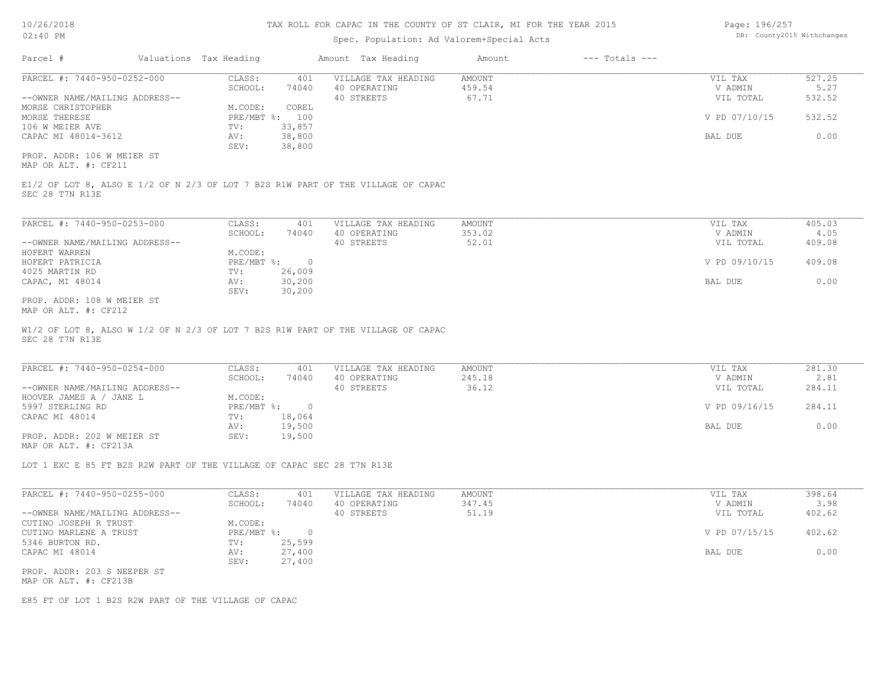### Spec. Population: Ad Valorem+Special Acts

| Page: 196/257 |                            |
|---------------|----------------------------|
|               | DB: County2015 Withchanges |

| Parcel #                       | Valuations Tax Heading |        | Amount Tax Heading  | Amount | $---$ Totals $---$ |               |        |
|--------------------------------|------------------------|--------|---------------------|--------|--------------------|---------------|--------|
| PARCEL #: 7440-950-0252-000    | CLASS:                 | 401    | VILLAGE TAX HEADING | AMOUNT |                    | VIL TAX       | 527.25 |
|                                | SCHOOL:                | 74040  | 40 OPERATING        | 459.54 |                    | V ADMIN       | 5.27   |
| --OWNER NAME/MAILING ADDRESS-- |                        |        | 40 STREETS          | 67.71  |                    | VIL TOTAL     | 532.52 |
| MORSE CHRISTOPHER              | M.CODE:                | COREL  |                     |        |                    |               |        |
| MORSE THERESE                  | $PRE/MBT$ %:           | 100    |                     |        |                    | V PD 07/10/15 | 532.52 |
| 106 W MEIER AVE                | TV:                    | 33,857 |                     |        |                    |               |        |
| CAPAC MI 48014-3612            | AV:                    | 38,800 |                     |        |                    | BAL DUE       | 0.00   |
|                                | SEV:                   | 38,800 |                     |        |                    |               |        |
| PROP. ADDR: 106 W MEIER ST     |                        |        |                     |        |                    |               |        |

MAP OR ALT. #: CF211

SEC 28 T7N R13E E1/2 OF LOT 8, ALSO E 1/2 OF N 2/3 OF LOT 7 B2S R1W PART OF THE VILLAGE OF CAPAC

| PARCEL #: 7440-950-0253-000    | CLASS:       | 401    | VILLAGE TAX HEADING | AMOUNT | VIL TAX       | 405.03 |
|--------------------------------|--------------|--------|---------------------|--------|---------------|--------|
|                                | SCHOOL:      | 74040  | 40 OPERATING        | 353.02 | V ADMIN       | 4.05   |
| --OWNER NAME/MAILING ADDRESS-- |              |        | 40 STREETS          | 52.01  | VIL TOTAL     | 409.08 |
| HOFERT WARREN                  | M.CODE:      |        |                     |        |               |        |
| HOFERT PATRICIA                | $PRE/MBT$ %: |        |                     |        | V PD 09/10/15 | 409.08 |
| 4025 MARTIN RD                 | TV:          | 26,009 |                     |        |               |        |
| CAPAC, MI 48014                | AV:          | 30,200 |                     |        | BAL DUE       | 0.00   |
|                                | SEV:         | 30,200 |                     |        |               |        |
| PROP. ADDR: 108 W MEIER ST     |              |        |                     |        |               |        |

MAP OR ALT. #: CF212

SEC 28 T7N R13E W1/2 OF LOT 8, ALSO W 1/2 OF N 2/3 OF LOT 7 B2S R1W PART OF THE VILLAGE OF CAPAC

| PARCEL #: 7440-950-0254-000    | CLASS:     | 401    | VILLAGE TAX HEADING | AMOUNT | VIL TAX       | 281.30 |
|--------------------------------|------------|--------|---------------------|--------|---------------|--------|
|                                | SCHOOL:    | 74040  | 40 OPERATING        | 245.18 | V ADMIN       | 2.81   |
| --OWNER NAME/MAILING ADDRESS-- |            |        | 40 STREETS          | 36.12  | VIL TOTAL     | 284.11 |
| HOOVER JAMES A / JANE L        | M.CODE:    |        |                     |        |               |        |
| 5997 STERLING RD               | PRE/MBT %: |        |                     |        | V PD 09/16/15 | 284.11 |
| CAPAC MI 48014                 | TV:        | 18,064 |                     |        |               |        |
|                                | AV:        | 19,500 |                     |        | BAL DUE       | 0.00   |
| PROP. ADDR: 202 W MEIER ST     | SEV:       | 19,500 |                     |        |               |        |
| MAP OR ALT. #: CF213A          |            |        |                     |        |               |        |

 $\_$  , and the state of the state of the state of the state of the state of the state of the state of the state of the state of the state of the state of the state of the state of the state of the state of the state of the

LOT 1 EXC E 85 FT B2S R2W PART OF THE VILLAGE OF CAPAC SEC 28 T7N R13E

| PARCEL #: 7440-950-0255-000    | CLASS:       | 401    | VILLAGE TAX HEADING | AMOUNT | VIL TAX       | 398.64 |
|--------------------------------|--------------|--------|---------------------|--------|---------------|--------|
|                                | SCHOOL:      | 74040  | 40 OPERATING        | 347.45 | V ADMIN       | 3.98   |
| --OWNER NAME/MAILING ADDRESS-- |              |        | 40 STREETS          | 51.19  | VIL TOTAL     | 402.62 |
| CUTINO JOSEPH R TRUST          | M.CODE:      |        |                     |        |               |        |
| CUTINO MARLENE A TRUST         | $PRE/MBT$ %: |        |                     |        | V PD 07/15/15 | 402.62 |
| 5346 BURTON RD.                | TV:          | 25,599 |                     |        |               |        |
| CAPAC MI 48014                 | AV:          | 27,400 |                     |        | BAL DUE       | 0.00   |
|                                | SEV:         | 27,400 |                     |        |               |        |
| PROP. ADDR: 203 S NEEPER ST    |              |        |                     |        |               |        |
|                                |              |        |                     |        |               |        |

MAP OR ALT. #: CF213B

E85 FT OF LOT 1 B2S R2W PART OF THE VILLAGE OF CAPAC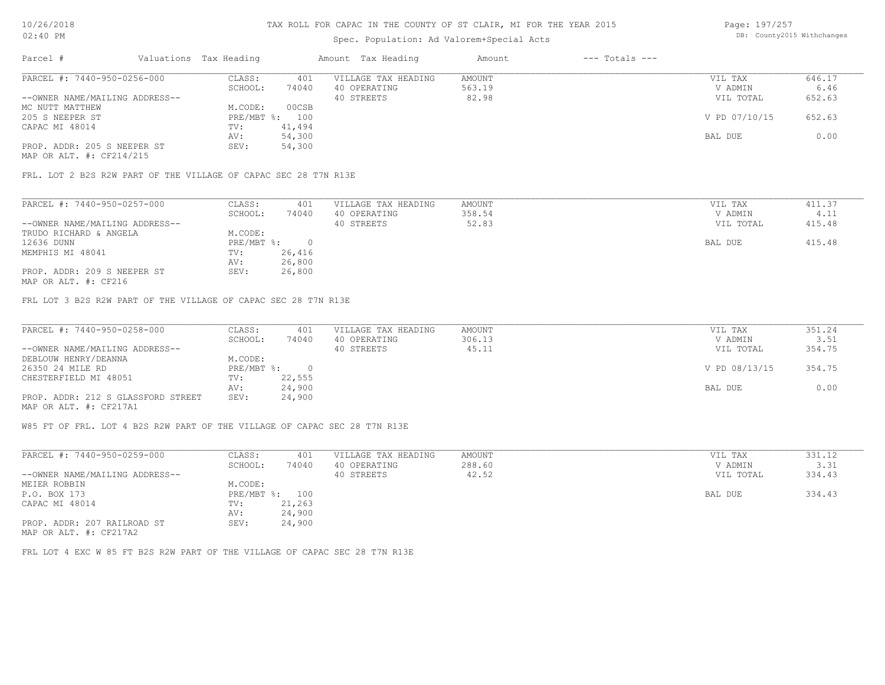# Spec. Population: Ad Valorem+Special Acts

Page: 197/257 DB: County2015 Withchanges

| Parcel #                       | Valuations Tax Heading |        | Amount Tax Heading  | Amount | $---$ Totals $---$ |               |        |
|--------------------------------|------------------------|--------|---------------------|--------|--------------------|---------------|--------|
| PARCEL #: 7440-950-0256-000    | CLASS:                 | 401    | VILLAGE TAX HEADING | AMOUNT |                    | VIL TAX       | 646.17 |
|                                | SCHOOL:                | 74040  | 40 OPERATING        | 563.19 |                    | V ADMIN       | 6.46   |
| --OWNER NAME/MAILING ADDRESS-- |                        |        | 40 STREETS          | 82.98  |                    | VIL TOTAL     | 652.63 |
| MC NUTT MATTHEW                | M.CODE:                | 00CSB  |                     |        |                    |               |        |
| 205 S NEEPER ST                | PRE/MBT %: 100         |        |                     |        |                    | V PD 07/10/15 | 652.63 |
| CAPAC MI 48014                 | TV:                    | 41,494 |                     |        |                    |               |        |
|                                | AV:                    | 54,300 |                     |        |                    | BAL DUE       | 0.00   |
| PROP. ADDR: 205 S NEEPER ST    | SEV:                   | 54,300 |                     |        |                    |               |        |
|                                |                        |        |                     |        |                    |               |        |

MAP OR ALT. #: CF214/215

FRL. LOT 2 B2S R2W PART OF THE VILLAGE OF CAPAC SEC 28 T7N R13E

| PARCEL #: 7440-950-0257-000    | CLASS:     | 401    | VILLAGE TAX HEADING | AMOUNT | VIL TAX   | 411.37 |
|--------------------------------|------------|--------|---------------------|--------|-----------|--------|
|                                | SCHOOL:    | 74040  | 40 OPERATING        | 358.54 | V ADMIN   | 4.11   |
| --OWNER NAME/MAILING ADDRESS-- |            |        | 40 STREETS          | 52.83  | VIL TOTAL | 415.48 |
| TRUDO RICHARD & ANGELA         | M.CODE:    |        |                     |        |           |        |
| 12636 DUNN                     | PRE/MBT %: |        |                     |        | BAL DUE   | 415.48 |
| MEMPHIS MI 48041               | TV:        | 26,416 |                     |        |           |        |
|                                | AV:        | 26,800 |                     |        |           |        |
| PROP. ADDR: 209 S NEEPER ST    | SEV:       | 26,800 |                     |        |           |        |
|                                |            |        |                     |        |           |        |

MAP OR ALT. #: CF216

FRL LOT 3 B2S R2W PART OF THE VILLAGE OF CAPAC SEC 28 T7N R13E

| PARCEL #: 7440-950-0258-000        | CLASS:     | 401    | VILLAGE TAX HEADING | AMOUNT | VIL TAX       | 351.24 |
|------------------------------------|------------|--------|---------------------|--------|---------------|--------|
|                                    | SCHOOL:    | 74040  | 40 OPERATING        | 306.13 | V ADMIN       | 3.51   |
| --OWNER NAME/MAILING ADDRESS--     |            |        | 40 STREETS          | 45.11  | VIL TOTAL     | 354.75 |
| DEBLOUW HENRY/DEANNA               | M.CODE:    |        |                     |        |               |        |
| 26350 24 MILE RD                   | PRE/MBT %: |        |                     |        | V PD 08/13/15 | 354.75 |
| CHESTERFIELD MI 48051              | TV:        | 22,555 |                     |        |               |        |
|                                    | AV:        | 24,900 |                     |        | BAL DUE       | 0.00   |
| PROP. ADDR: 212 S GLASSFORD STREET | SEV:       | 24,900 |                     |        |               |        |
| MAP OR ALT. #: CF217A1             |            |        |                     |        |               |        |

W85 FT OF FRL. LOT 4 B2S R2W PART OF THE VILLAGE OF CAPAC SEC 28 T7N R13E

| PARCEL #: 7440-950-0259-000    | CLASS:     | 401    | VILLAGE TAX HEADING | AMOUNT | VIL TAX   | 331.12 |
|--------------------------------|------------|--------|---------------------|--------|-----------|--------|
|                                | SCHOOL:    | 74040  | 40 OPERATING        | 288.60 | V ADMIN   | 3.31   |
| --OWNER NAME/MAILING ADDRESS-- |            |        | 40 STREETS          | 42.52  | VIL TOTAL | 334.43 |
| MEIER ROBBIN                   | M.CODE:    |        |                     |        |           |        |
| P.O. BOX 173                   | PRE/MBT %: | 100    |                     |        | BAL DUE   | 334.43 |
| CAPAC MI 48014                 | TV:        | 21,263 |                     |        |           |        |
|                                | AV:        | 24,900 |                     |        |           |        |
| PROP. ADDR: 207 RAILROAD ST    | SEV:       | 24,900 |                     |        |           |        |
| MAP OR ALT. #: CF217A2         |            |        |                     |        |           |        |

FRL LOT 4 EXC W 85 FT B2S R2W PART OF THE VILLAGE OF CAPAC SEC 28 T7N R13E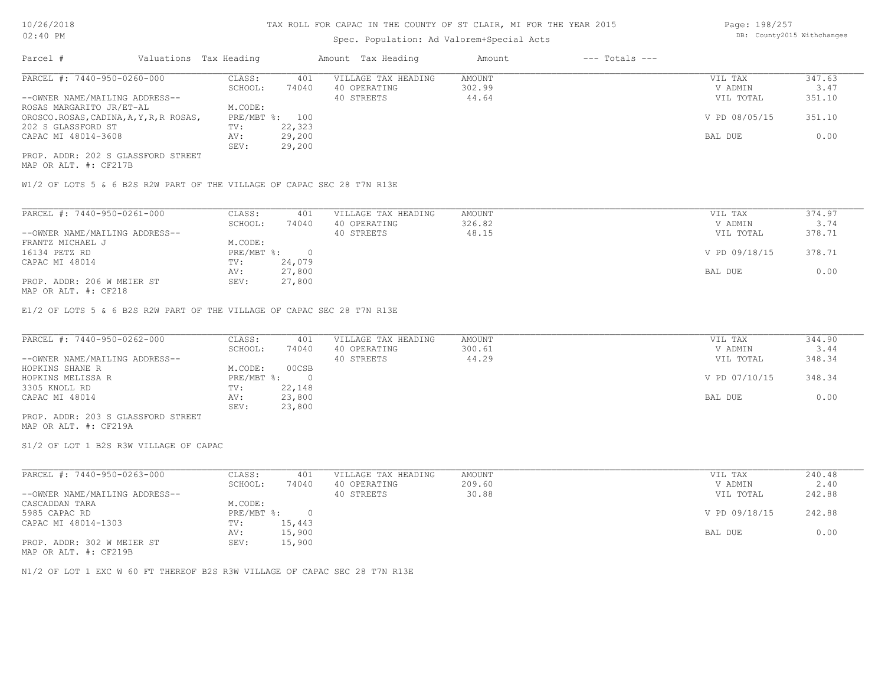# Spec. Population: Ad Valorem+Special Acts

Page: 198/257 DB: County2015 Withchanges

| Parcel #                                | Valuations Tax Heading |                | Amount Tax Heading  | Amount | $---$ Totals $---$ |               |        |
|-----------------------------------------|------------------------|----------------|---------------------|--------|--------------------|---------------|--------|
| PARCEL #: 7440-950-0260-000             | CLASS:                 | 401            | VILLAGE TAX HEADING | AMOUNT |                    | VIL TAX       | 347.63 |
|                                         | SCHOOL:                | 74040          | 40 OPERATING        | 302.99 |                    | V ADMIN       | 3.47   |
| --OWNER NAME/MAILING ADDRESS--          |                        |                | 40 STREETS          | 44.64  |                    | VIL TOTAL     | 351.10 |
| ROSAS MARGARITO JR/ET-AL                | M.CODE:                |                |                     |        |                    |               |        |
| OROSCO.ROSAS, CADINA, A, Y, R, R ROSAS, |                        | PRE/MBT %: 100 |                     |        |                    | V PD 08/05/15 | 351.10 |
| 202 S GLASSFORD ST                      | TV:                    | 22,323         |                     |        |                    |               |        |
| CAPAC MI 48014-3608                     | AV:                    | 29,200         |                     |        |                    | BAL DUE       | 0.00   |
|                                         | SEV:                   | 29,200         |                     |        |                    |               |        |
| PROP. ADDR: 202 S GLASSFORD STREET      |                        |                |                     |        |                    |               |        |

MAP OR ALT. #: CF217B

W1/2 OF LOTS 5 & 6 B2S R2W PART OF THE VILLAGE OF CAPAC SEC 28 T7N R13E

| PARCEL #: 7440-950-0261-000    | CLASS:     | 401    | VILLAGE TAX HEADING | AMOUNT | VIL TAX       | 374.97 |  |
|--------------------------------|------------|--------|---------------------|--------|---------------|--------|--|
|                                | SCHOOL:    | 74040  | 40 OPERATING        | 326.82 | V ADMIN       | 3.74   |  |
| --OWNER NAME/MAILING ADDRESS-- |            |        | 40 STREETS          | 48.15  | VIL TOTAL     | 378.71 |  |
| FRANTZ MICHAEL J               | M.CODE:    |        |                     |        |               |        |  |
| 16134 PETZ RD                  | PRE/MBT %: | $\cap$ |                     |        | V PD 09/18/15 | 378.71 |  |
| CAPAC MI 48014                 | TV:        | 24,079 |                     |        |               |        |  |
|                                | AV:        | 27,800 |                     |        | BAL DUE       | 0.00   |  |
| PROP. ADDR: 206 W MEIER ST     | SEV:       | 27,800 |                     |        |               |        |  |
| 1470 מהיה <del>4.000 מתו</del> |            |        |                     |        |               |        |  |

MAP OR ALT. #: CF218

E1/2 OF LOTS 5 & 6 B2S R2W PART OF THE VILLAGE OF CAPAC SEC 28 T7N R13E

| PARCEL #: 7440-950-0262-000        | CLASS:     | 401    | VILLAGE TAX HEADING | AMOUNT | VIL TAX       | 344.90 |
|------------------------------------|------------|--------|---------------------|--------|---------------|--------|
|                                    | SCHOOL:    | 74040  | 40 OPERATING        | 300.61 | V ADMIN       | 3.44   |
| --OWNER NAME/MAILING ADDRESS--     |            |        | 40 STREETS          | 44.29  | VIL TOTAL     | 348.34 |
| HOPKINS SHANE R                    | M.CODE:    | 00CSB  |                     |        |               |        |
| HOPKINS MELISSA R                  | PRE/MBT %: |        |                     |        | V PD 07/10/15 | 348.34 |
| 3305 KNOLL RD                      | TV:        | 22,148 |                     |        |               |        |
| CAPAC MI 48014                     | AV:        | 23,800 |                     |        | BAL DUE       | 0.00   |
|                                    | SEV:       | 23,800 |                     |        |               |        |
| PROP. ADDR: 203 S GLASSFORD STREET |            |        |                     |        |               |        |

MAP OR ALT. #: CF219A

S1/2 OF LOT 1 B2S R3W VILLAGE OF CAPAC

| PARCEL #: 7440-950-0263-000                                                                                                                   | CLASS:     | 401    | VILLAGE TAX HEADING | AMOUNT | VIL TAX       | 240.48 |
|-----------------------------------------------------------------------------------------------------------------------------------------------|------------|--------|---------------------|--------|---------------|--------|
|                                                                                                                                               | SCHOOL:    | 74040  | 40 OPERATING        | 209.60 | V ADMIN       | 2.40   |
| --OWNER NAME/MAILING ADDRESS--                                                                                                                |            |        | 40 STREETS          | 30.88  | VIL TOTAL     | 242.88 |
| CASCADDAN TARA                                                                                                                                | M.CODE:    |        |                     |        |               |        |
| 5985 CAPAC RD                                                                                                                                 | PRE/MBT %: |        |                     |        | V PD 09/18/15 | 242.88 |
| CAPAC MI 48014-1303                                                                                                                           | TV:        | 15,443 |                     |        |               |        |
|                                                                                                                                               | AV:        | 15,900 |                     |        | BAL DUE       | 0.00   |
| PROP. ADDR: 302 W MEIER ST<br>the contract of the contract of the contract of the contract of the contract of the contract of the contract of | SEV:       | 15,900 |                     |        |               |        |

MAP OR ALT. #: CF219B

N1/2 OF LOT 1 EXC W 60 FT THEREOF B2S R3W VILLAGE OF CAPAC SEC 28 T7N R13E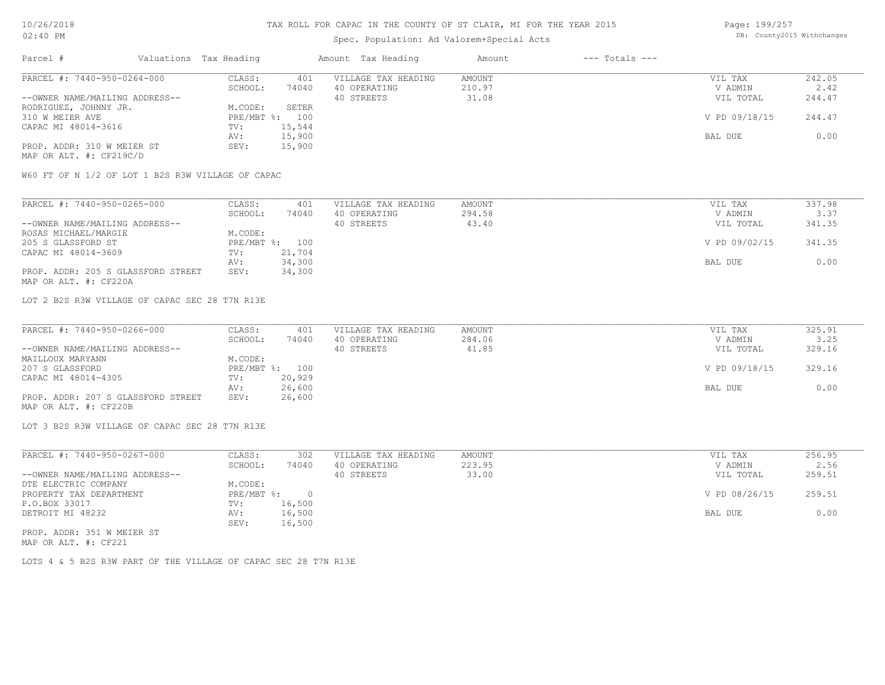# Spec. Population: Ad Valorem+Special Acts

| Page: 199/257 |                            |
|---------------|----------------------------|
|               | DB: County2015 Withchanges |

| Parcel #                       | Valuations Tax Heading |        | Amount Tax Heading  | Amount | $---$ Totals $---$ |               |        |
|--------------------------------|------------------------|--------|---------------------|--------|--------------------|---------------|--------|
| PARCEL #: 7440-950-0264-000    | CLASS:                 | 401    | VILLAGE TAX HEADING | AMOUNT |                    | VIL TAX       | 242.05 |
|                                | SCHOOL:                | 74040  | 40 OPERATING        | 210.97 |                    | V ADMIN       | 2.42   |
| --OWNER NAME/MAILING ADDRESS-- |                        |        | 40 STREETS          | 31.08  |                    | VIL TOTAL     | 244.47 |
| RODRIGUEZ, JOHNNY JR.          | M.CODE:                | SETER  |                     |        |                    |               |        |
| 310 W MEIER AVE                | PRE/MBT %: 100         |        |                     |        |                    | V PD 09/18/15 | 244.47 |
| CAPAC MI 48014-3616            | TV:                    | 15,544 |                     |        |                    |               |        |
|                                | AV:                    | 15,900 |                     |        |                    | BAL DUE       | 0.00   |
| PROP. ADDR: 310 W MEIER ST     | SEV:                   | 15,900 |                     |        |                    |               |        |
| MAP OR ALT. #: CF219C/D        |                        |        |                     |        |                    |               |        |

W60 FT OF N 1/2 OF LOT 1 B2S R3W VILLAGE OF CAPAC

| PARCEL #: 7440-950-0265-000        | CLASS:  | 401            | VILLAGE TAX HEADING | AMOUNT | VIL TAX       | 337.98 |
|------------------------------------|---------|----------------|---------------------|--------|---------------|--------|
|                                    | SCHOOL: | 74040          | 40 OPERATING        | 294.58 | V ADMIN       | 3.37   |
| --OWNER NAME/MAILING ADDRESS--     |         |                | 40 STREETS          | 43.40  | VIL TOTAL     | 341.35 |
| ROSAS MICHAEL/MARGIE               | M.CODE: |                |                     |        |               |        |
| 205 S GLASSFORD ST                 |         | PRE/MBT %: 100 |                     |        | V PD 09/02/15 | 341.35 |
| CAPAC MI 48014-3609                | TV:     | 21,704         |                     |        |               |        |
|                                    | AV:     | 34,300         |                     |        | BAL DUE       | 0.00   |
| PROP. ADDR: 205 S GLASSFORD STREET | SEV:    | 34,300         |                     |        |               |        |
| MAP OR ALT. #: CF220A              |         |                |                     |        |               |        |

LOT 2 B2S R3W VILLAGE OF CAPAC SEC 28 T7N R13E

| PARCEL #: 7440-950-0266-000        | CLASS:  | 401            | VILLAGE TAX HEADING | AMOUNT | VIL TAX       | 325.91 |
|------------------------------------|---------|----------------|---------------------|--------|---------------|--------|
|                                    | SCHOOL: | 74040          | 40 OPERATING        | 284.06 | V ADMIN       | 3.25   |
| --OWNER NAME/MAILING ADDRESS--     |         |                | 40 STREETS          | 41.85  | VIL TOTAL     | 329.16 |
| MAILLOUX MARYANN                   | M.CODE: |                |                     |        |               |        |
| 207 S GLASSFORD                    |         | PRE/MBT %: 100 |                     |        | V PD 09/18/15 | 329.16 |
| CAPAC MI 48014-4305                | TV:     | 20,929         |                     |        |               |        |
|                                    | AV:     | 26,600         |                     |        | BAL DUE       | 0.00   |
| PROP. ADDR: 207 S GLASSFORD STREET | SEV:    | 26,600         |                     |        |               |        |
| MAP OR ALT. #: CF220B              |         |                |                     |        |               |        |

LOT 3 B2S R3W VILLAGE OF CAPAC SEC 28 T7N R13E

| PARCEL #: 7440-950-0267-000    | CLASS:     | 302    | VILLAGE TAX HEADING | AMOUNT | VIL TAX       | 256.95 |
|--------------------------------|------------|--------|---------------------|--------|---------------|--------|
|                                | SCHOOL:    | 74040  | 40 OPERATING        | 223.95 | V ADMIN       | 2.56   |
| --OWNER NAME/MAILING ADDRESS-- |            |        | 40 STREETS          | 33.00  | VIL TOTAL     | 259.51 |
| DTE ELECTRIC COMPANY           | M.CODE:    |        |                     |        |               |        |
| PROPERTY TAX DEPARTMENT        | PRE/MBT %: |        |                     |        | V PD 08/26/15 | 259.51 |
| P.O.BOX 33017                  | TV:        | 16,500 |                     |        |               |        |
| DETROIT MI 48232               | AV:        | 16,500 |                     |        | BAL DUE       | 0.00   |
|                                | SEV:       | 16,500 |                     |        |               |        |
| PROP. ADDR: 351 W MEIER ST     |            |        |                     |        |               |        |

MAP OR ALT. #: CF221

LOTS 4 & 5 B2S R3W PART OF THE VILLAGE OF CAPAC SEC 28 T7N R13E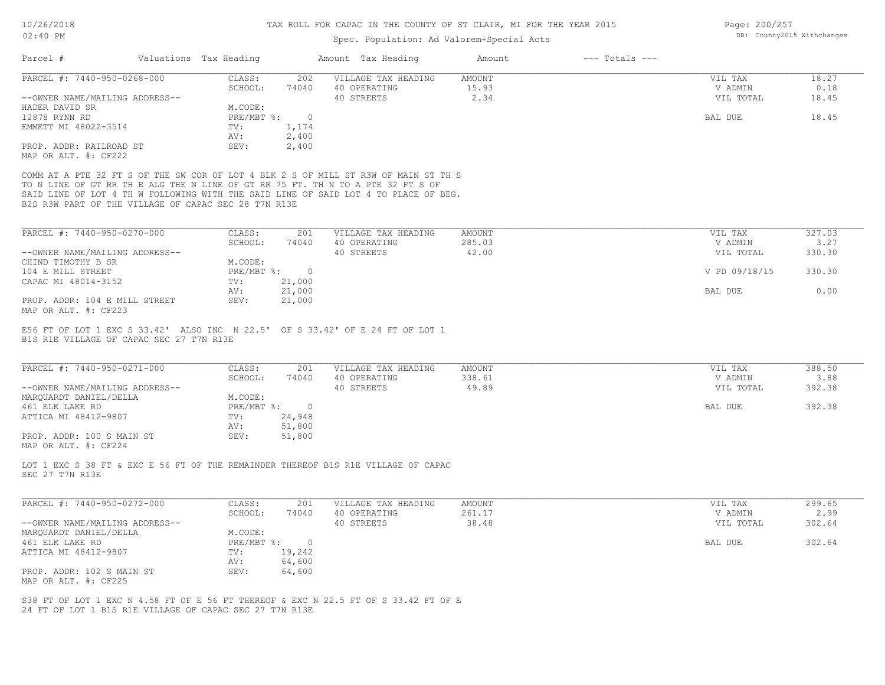# Spec. Population: Ad Valorem+Special Acts

| Page: 200/257 |                            |
|---------------|----------------------------|
|               | DB: County2015 Withchanges |

|                                                                                                                                                                                                                                                                                                                       |                   |                |                                     | Amount           |                    |                    |                |
|-----------------------------------------------------------------------------------------------------------------------------------------------------------------------------------------------------------------------------------------------------------------------------------------------------------------------|-------------------|----------------|-------------------------------------|------------------|--------------------|--------------------|----------------|
| Parcel #<br>Valuations Tax Heading                                                                                                                                                                                                                                                                                    |                   |                | Amount Tax Heading                  |                  | $---$ Totals $---$ |                    |                |
| PARCEL #: 7440-950-0268-000                                                                                                                                                                                                                                                                                           | CLASS:            | 202            | VILLAGE TAX HEADING                 | AMOUNT           |                    | VIL TAX            | 18.27          |
|                                                                                                                                                                                                                                                                                                                       | SCHOOL:           | 74040          | 40 OPERATING                        | 15.93            |                    | V ADMIN            | 0.18           |
| --OWNER NAME/MAILING ADDRESS--                                                                                                                                                                                                                                                                                        |                   |                | 40 STREETS                          | 2.34             |                    | VIL TOTAL          | 18.45          |
| HADER DAVID SR                                                                                                                                                                                                                                                                                                        | M.CODE:           |                |                                     |                  |                    |                    |                |
| 12878 RYNN RD                                                                                                                                                                                                                                                                                                         | PRE/MBT %: 0      |                |                                     |                  |                    | BAL DUE            | 18.45          |
| EMMETT MI 48022-3514                                                                                                                                                                                                                                                                                                  | TV:               | 1,174          |                                     |                  |                    |                    |                |
|                                                                                                                                                                                                                                                                                                                       | AV:               | 2,400          |                                     |                  |                    |                    |                |
| PROP. ADDR: RAILROAD ST<br>MAP OR ALT. #: CF222                                                                                                                                                                                                                                                                       | SEV:              | 2,400          |                                     |                  |                    |                    |                |
| COMM AT A PTE 32 FT S OF THE SW COR OF LOT 4 BLK 2 S OF MILL ST R3W OF MAIN ST TH S<br>TO N LINE OF GT RR TH E ALG THE N LINE OF GT RR 75 FT. TH N TO A PTE 32 FT S OF<br>SAID LINE OF LOT 4 TH W FOLLOWING WITH THE SAID LINE OF SAID LOT 4 TO PLACE OF BEG.<br>B2S R3W PART OF THE VILLAGE OF CAPAC SEC 28 T7N R13E |                   |                |                                     |                  |                    |                    |                |
| PARCEL #: 7440-950-0270-000                                                                                                                                                                                                                                                                                           | CLASS:            | 201            | VILLAGE TAX HEADING                 | AMOUNT           |                    | VIL TAX            | 327.03         |
|                                                                                                                                                                                                                                                                                                                       | SCHOOL:           | 74040          | 40 OPERATING                        | 285.03           |                    | V ADMIN            | 3.27           |
| --OWNER NAME/MAILING ADDRESS--                                                                                                                                                                                                                                                                                        |                   |                | 40 STREETS                          | 42.00            |                    | VIL TOTAL          | 330.30         |
| CHIND TIMOTHY B SR                                                                                                                                                                                                                                                                                                    | M.CODE:           |                |                                     |                  |                    |                    |                |
| 104 E MILL STREET                                                                                                                                                                                                                                                                                                     | PRE/MBT %: 0      |                |                                     |                  |                    | V PD 09/18/15      | 330.30         |
| CAPAC MI 48014-3152                                                                                                                                                                                                                                                                                                   | TV:               | 21,000         |                                     |                  |                    |                    |                |
|                                                                                                                                                                                                                                                                                                                       | AV:               | 21,000         |                                     |                  |                    | BAL DUE            | 0.00           |
|                                                                                                                                                                                                                                                                                                                       |                   |                |                                     |                  |                    |                    |                |
|                                                                                                                                                                                                                                                                                                                       | SEV:              | 21,000         |                                     |                  |                    |                    |                |
| PROP. ADDR: 104 E MILL STREET<br>MAP OR ALT. #: CF223<br>E56 FT OF LOT 1 EXC S 33.42' ALSO INC N 22.5' OF S 33.42' OF E 24 FT OF LOT 1<br>B1S R1E VILLAGE OF CAPAC SEC 27 T7N R13E<br>PARCEL #: 7440-950-0271-000                                                                                                     | CLASS:<br>SCHOOL: | 201<br>74040   | VILLAGE TAX HEADING<br>40 OPERATING | AMOUNT<br>338.61 |                    | VIL TAX<br>V ADMIN | 388.50<br>3.88 |
|                                                                                                                                                                                                                                                                                                                       |                   |                | 40 STREETS                          | 49.89            |                    | VIL TOTAL          | 392.38         |
|                                                                                                                                                                                                                                                                                                                       | M.CODE:           |                |                                     |                  |                    |                    |                |
|                                                                                                                                                                                                                                                                                                                       | $PRE/MBT$ %:      | $\overline{0}$ |                                     |                  |                    | BAL DUE            | 392.38         |
|                                                                                                                                                                                                                                                                                                                       | TV:               | 24,948         |                                     |                  |                    |                    |                |
|                                                                                                                                                                                                                                                                                                                       | AV:               | 51,800         |                                     |                  |                    |                    |                |
|                                                                                                                                                                                                                                                                                                                       | SEV:              | 51,800         |                                     |                  |                    |                    |                |
| --OWNER NAME/MAILING ADDRESS--<br>MARQUARDT DANIEL/DELLA<br>461 ELK LAKE RD<br>ATTICA MI 48412-9807<br>PROP. ADDR: 100 S MAIN ST<br>MAP OR ALT. #: CF224<br>LOT 1 EXC S 38 FT & EXC E 56 FT OF THE REMAINDER THEREOF B1S R1E VILLAGE OF CAPAC<br>SEC 27 T7N R13E                                                      |                   |                |                                     |                  |                    |                    |                |
| PARCEL #: 7440-950-0272-000                                                                                                                                                                                                                                                                                           | CLASS:            | 201            | VILLAGE TAX HEADING                 | AMOUNT           |                    | VIL TAX            | 299.65         |
|                                                                                                                                                                                                                                                                                                                       | SCHOOL:           | 74040          | 40 OPERATING                        | 261.17           |                    | V ADMIN            | 2.99           |
|                                                                                                                                                                                                                                                                                                                       |                   |                | 40 STREETS                          | 38.48            |                    | VIL TOTAL          | 302.64         |
|                                                                                                                                                                                                                                                                                                                       | M.CODE:           |                |                                     |                  |                    |                    |                |
|                                                                                                                                                                                                                                                                                                                       | PRE/MBT %: 0      |                |                                     |                  |                    | BAL DUE            | 302.64         |
|                                                                                                                                                                                                                                                                                                                       | TV:               | 19,242         |                                     |                  |                    |                    |                |
| --OWNER NAME/MAILING ADDRESS--<br>MARQUARDT DANIEL/DELLA<br>461 ELK LAKE RD<br>ATTICA MI 48412-9807                                                                                                                                                                                                                   | AV:               | 64,600         |                                     |                  |                    |                    |                |
| PROP. ADDR: 102 S MAIN ST<br>MAP OR ALT. #: CF225                                                                                                                                                                                                                                                                     | SEV:              | 64,600         |                                     |                  |                    |                    |                |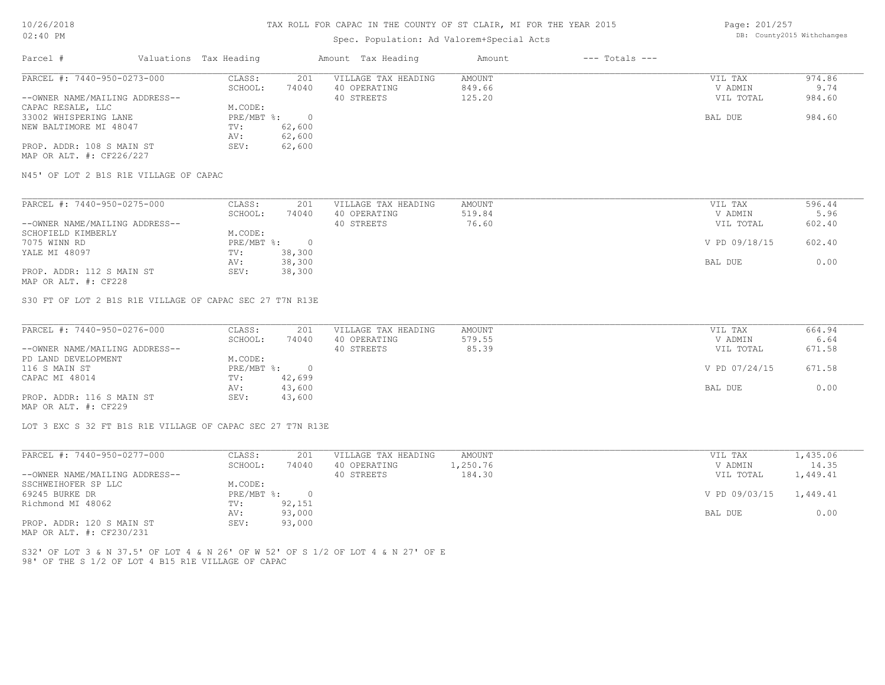# Spec. Population: Ad Valorem+Special Acts

Page: 201/257 DB: County2015 Withchanges

| Parcel #                       | Valuations Tax Heading |        | Amount Tax Heading  | Amount | $---$ Totals $---$ |           |        |
|--------------------------------|------------------------|--------|---------------------|--------|--------------------|-----------|--------|
| PARCEL #: 7440-950-0273-000    | CLASS:                 | 201    | VILLAGE TAX HEADING | AMOUNT |                    | VIL TAX   | 974.86 |
|                                | SCHOOL:                | 74040  | 40 OPERATING        | 849.66 |                    | V ADMIN   | 9.74   |
| --OWNER NAME/MAILING ADDRESS-- |                        |        | 40 STREETS          | 125.20 |                    | VIL TOTAL | 984.60 |
| CAPAC RESALE, LLC              | M.CODE:                |        |                     |        |                    |           |        |
| 33002 WHISPERING LANE          | PRE/MBT %:             |        |                     |        |                    | BAL DUE   | 984.60 |
| NEW BALTIMORE MI 48047         | TV:                    | 62,600 |                     |        |                    |           |        |
|                                | AV:                    | 62,600 |                     |        |                    |           |        |
| PROP. ADDR: 108 S MAIN ST      | SEV:                   | 62,600 |                     |        |                    |           |        |
| MAP OR ALT. #: CF226/227       |                        |        |                     |        |                    |           |        |

N45' OF LOT 2 B1S R1E VILLAGE OF CAPAC

| PARCEL #: 7440-950-0275-000    | CLASS:     | 201    | VILLAGE TAX HEADING | AMOUNT | VIL TAX       | 596.44 |
|--------------------------------|------------|--------|---------------------|--------|---------------|--------|
|                                | SCHOOL:    | 74040  | 40 OPERATING        | 519.84 | V ADMIN       | 5.96   |
| --OWNER NAME/MAILING ADDRESS-- |            |        | 40 STREETS          | 76.60  | VIL TOTAL     | 602.40 |
| SCHOFIELD KIMBERLY             | M.CODE:    |        |                     |        |               |        |
| 7075 WINN RD                   | PRE/MBT %: |        |                     |        | V PD 09/18/15 | 602.40 |
| YALE MI 48097                  | TV:        | 38,300 |                     |        |               |        |
|                                | AV:        | 38,300 |                     |        | BAL DUE       | 0.00   |
| PROP. ADDR: 112 S MAIN ST      | SEV:       | 38,300 |                     |        |               |        |
| MAP OR ALT. #: CF228           |            |        |                     |        |               |        |

S30 FT OF LOT 2 B1S R1E VILLAGE OF CAPAC SEC 27 T7N R13E

| PARCEL #: 7440-950-0276-000    | CLASS:     | 201    | VILLAGE TAX HEADING | AMOUNT | VIL TAX       | 664.94 |
|--------------------------------|------------|--------|---------------------|--------|---------------|--------|
|                                | SCHOOL:    | 74040  | 40 OPERATING        | 579.55 | V ADMIN       | 6.64   |
| --OWNER NAME/MAILING ADDRESS-- |            |        | 40 STREETS          | 85.39  | VIL TOTAL     | 671.58 |
| PD LAND DEVELOPMENT            | M.CODE:    |        |                     |        |               |        |
| 116 S MAIN ST                  | PRE/MBT %: |        |                     |        | V PD 07/24/15 | 671.58 |
| CAPAC MI 48014                 | TV:        | 42,699 |                     |        |               |        |
|                                | AV:        | 43,600 |                     |        | BAL DUE       | 0.00   |
| PROP. ADDR: 116 S MAIN ST      | SEV:       | 43,600 |                     |        |               |        |
| MAP OR ALT. #: CF229           |            |        |                     |        |               |        |

LOT 3 EXC S 32 FT B1S R1E VILLAGE OF CAPAC SEC 27 T7N R13E

| PARCEL #: 7440-950-0277-000    | CLASS:     | 201    | VILLAGE TAX HEADING | AMOUNT   | VIL TAX                | 1,435.06 |
|--------------------------------|------------|--------|---------------------|----------|------------------------|----------|
|                                | SCHOOL:    | 74040  | 40 OPERATING        | 1,250.76 | V ADMIN                | 14.35    |
| --OWNER NAME/MAILING ADDRESS-- |            |        | 40 STREETS          | 184.30   | VIL TOTAL              | 1,449.41 |
| SSCHWEIHOFER SP LLC            | M.CODE:    |        |                     |          |                        |          |
| 69245 BURKE DR                 | PRE/MBT %: |        |                     |          | V PD 09/03/15 1,449.41 |          |
| Richmond MI 48062              | TV:        | 92,151 |                     |          |                        |          |
|                                | AV:        | 93,000 |                     |          | BAL DUE                | 0.00     |
| PROP. ADDR: 120 S MAIN ST      | SEV:       | 93,000 |                     |          |                        |          |
|                                |            |        |                     |          |                        |          |

MAP OR ALT. #: CF230/231

98' OF THE S 1/2 OF LOT 4 B15 R1E VILLAGE OF CAPAC S32' OF LOT 3 & N 37.5' OF LOT 4 & N 26' OF W 52' OF S 1/2 OF LOT 4 & N 27' OF E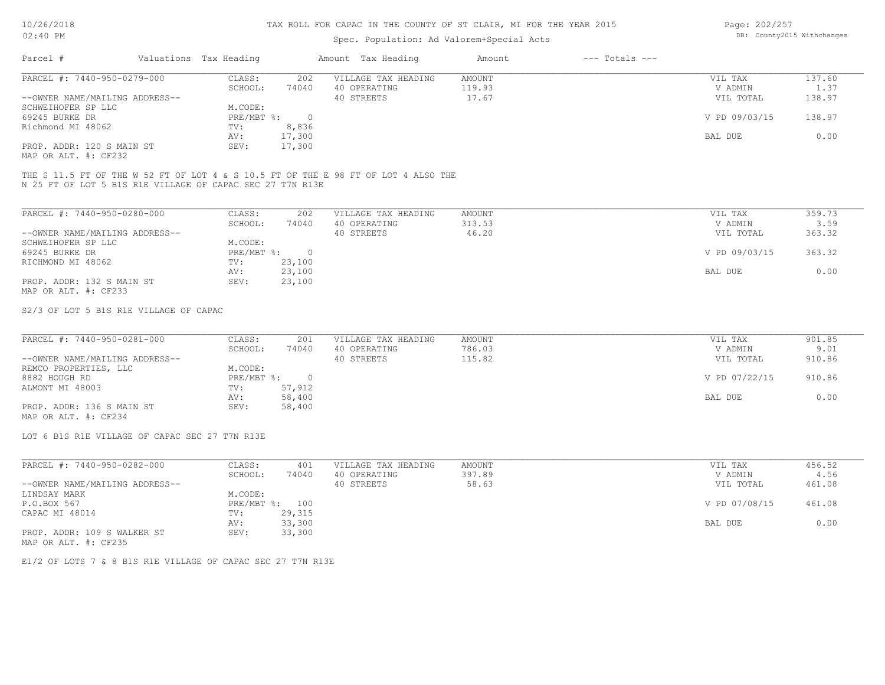# Spec. Population: Ad Valorem+Special Acts

Page: 202/257 DB: County2015 Withchanges

| Parcel #                       | Valuations Tax Heading |        | Amount Tax Heading  | Amount | $---$ Totals $---$ |               |        |
|--------------------------------|------------------------|--------|---------------------|--------|--------------------|---------------|--------|
| PARCEL #: 7440-950-0279-000    | CLASS:                 | 202    | VILLAGE TAX HEADING | AMOUNT |                    | VIL TAX       | 137.60 |
|                                | SCHOOL:                | 74040  | 40 OPERATING        | 119.93 |                    | V ADMIN       | 1.37   |
| --OWNER NAME/MAILING ADDRESS-- |                        |        | 40 STREETS          | 17.67  |                    | VIL TOTAL     | 138.97 |
| SCHWEIHOFER SP LLC             | M.CODE:                |        |                     |        |                    |               |        |
| 69245 BURKE DR                 | PRE/MBT %:             |        |                     |        |                    | V PD 09/03/15 | 138.97 |
| Richmond MI 48062              | TV:                    | 8,836  |                     |        |                    |               |        |
|                                | AV:                    | 17,300 |                     |        |                    | BAL DUE       | 0.00   |
| PROP. ADDR: 120 S MAIN ST      | SEV:                   | 17,300 |                     |        |                    |               |        |
|                                |                        |        |                     |        |                    |               |        |

MAP OR ALT. #: CF232

N 25 FT OF LOT 5 B1S R1E VILLAGE OF CAPAC SEC 27 T7N R13E THE S 11.5 FT OF THE W 52 FT OF LOT 4 & S 10.5 FT OF THE E 98 FT OF LOT 4 ALSO THE

| PARCEL #: 7440-950-0280-000    | CLASS:     | 202    | VILLAGE TAX HEADING | AMOUNT | VIL TAX       | 359.73 |
|--------------------------------|------------|--------|---------------------|--------|---------------|--------|
|                                | SCHOOL:    | 74040  | 40 OPERATING        | 313.53 | V ADMIN       | 3.59   |
| --OWNER NAME/MAILING ADDRESS-- |            |        | 40 STREETS          | 46.20  | VIL TOTAL     | 363.32 |
| SCHWEIHOFER SP LLC             | M.CODE:    |        |                     |        |               |        |
| 69245 BURKE DR                 | PRE/MBT %: | $\cap$ |                     |        | V PD 09/03/15 | 363.32 |
| RICHMOND MI 48062              | TV:        | 23,100 |                     |        |               |        |
|                                | AV:        | 23,100 |                     |        | BAL DUE       | 0.00   |
| PROP. ADDR: 132 S MAIN ST      | SEV:       | 23,100 |                     |        |               |        |
| MAP OR ALT. #: CF233           |            |        |                     |        |               |        |

#### S2/3 OF LOT 5 B1S R1E VILLAGE OF CAPAC

| PARCEL #: 7440-950-0281-000    | CLASS:     | 201    | VILLAGE TAX HEADING | AMOUNT | VIL TAX       | 901.85 |
|--------------------------------|------------|--------|---------------------|--------|---------------|--------|
|                                | SCHOOL:    | 74040  | 40 OPERATING        | 786.03 | V ADMIN       | 9.01   |
| --OWNER NAME/MAILING ADDRESS-- |            |        | 40 STREETS          | 115.82 | VIL TOTAL     | 910.86 |
| REMCO PROPERTIES, LLC          | M.CODE:    |        |                     |        |               |        |
| 8882 HOUGH RD                  | PRE/MBT %: |        |                     |        | V PD 07/22/15 | 910.86 |
| ALMONT MI 48003                | TV:        | 57,912 |                     |        |               |        |
|                                | AV:        | 58,400 |                     |        | BAL DUE       | 0.00   |
| PROP. ADDR: 136 S MAIN ST      | SEV:       | 58,400 |                     |        |               |        |
| MAP OR ALT. #: CF234           |            |        |                     |        |               |        |

LOT 6 B1S R1E VILLAGE OF CAPAC SEC 27 T7N R13E

| PARCEL #: 7440-950-0282-000    | CLASS:       | 401    | VILLAGE TAX HEADING | AMOUNT | VIL TAX       | 456.52 |
|--------------------------------|--------------|--------|---------------------|--------|---------------|--------|
|                                | SCHOOL:      | 74040  | 40 OPERATING        | 397.89 | V ADMIN       | 4.56   |
| --OWNER NAME/MAILING ADDRESS-- |              |        | 40 STREETS          | 58.63  | VIL TOTAL     | 461.08 |
| LINDSAY MARK                   | M.CODE:      |        |                     |        |               |        |
| P.O.BOX 567                    | $PRE/MBT$ %: | 100    |                     |        | V PD 07/08/15 | 461.08 |
| CAPAC MI 48014                 | TV:          | 29,315 |                     |        |               |        |
|                                | AV:          | 33,300 |                     |        | BAL DUE       | 0.00   |
| PROP. ADDR: 109 S WALKER ST    | SEV:         | 33,300 |                     |        |               |        |
| MAP OR ALT. #: CF235           |              |        |                     |        |               |        |

E1/2 OF LOTS 7 & 8 B1S R1E VILLAGE OF CAPAC SEC 27 T7N R13E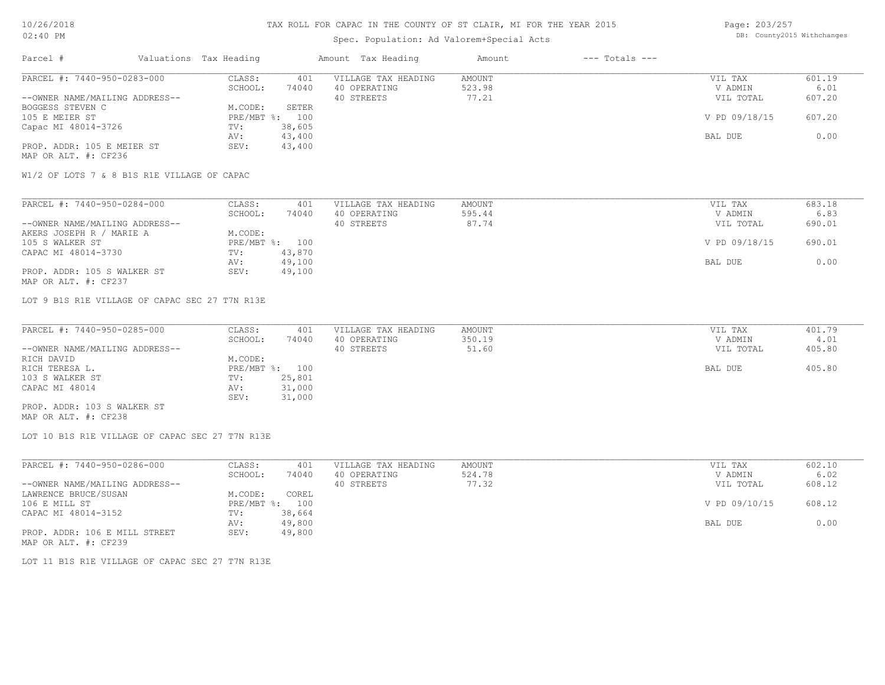# Spec. Population: Ad Valorem+Special Acts

| Page: 203/257 |                            |
|---------------|----------------------------|
|               | DB: County2015 Withchanges |

| Parcel #                       | Valuations Tax Heading |        | Amount Tax Heading  | Amount | $---$ Totals $---$ |               |        |
|--------------------------------|------------------------|--------|---------------------|--------|--------------------|---------------|--------|
| PARCEL #: 7440-950-0283-000    | CLASS:                 | 401    | VILLAGE TAX HEADING | AMOUNT |                    | VIL TAX       | 601.19 |
|                                | SCHOOL:                | 74040  | 40 OPERATING        | 523.98 |                    | V ADMIN       | 6.01   |
| --OWNER NAME/MAILING ADDRESS-- |                        |        | 40 STREETS          | 77.21  |                    | VIL TOTAL     | 607.20 |
| BOGGESS STEVEN C               | M.CODE:                | SETER  |                     |        |                    |               |        |
| 105 E MEIER ST                 | $PRE/MBT$ %:           | 100    |                     |        |                    | V PD 09/18/15 | 607.20 |
| Capac MI 48014-3726            | TV:                    | 38,605 |                     |        |                    |               |        |
|                                | AV:                    | 43,400 |                     |        |                    | BAL DUE       | 0.00   |
| PROP. ADDR: 105 E MEIER ST     | SEV:                   | 43,400 |                     |        |                    |               |        |
| MAP OR ALT. #: CF236           |                        |        |                     |        |                    |               |        |

W1/2 OF LOTS 7 & 8 B1S R1E VILLAGE OF CAPAC

| PARCEL #: 7440-950-0284-000    | CLASS:  | 401            | VILLAGE TAX HEADING | AMOUNT | VIL TAX       | 683.18 |
|--------------------------------|---------|----------------|---------------------|--------|---------------|--------|
|                                | SCHOOL: | 74040          | 40 OPERATING        | 595.44 | V ADMIN       | 6.83   |
| --OWNER NAME/MAILING ADDRESS-- |         |                | 40 STREETS          | 87.74  | VIL TOTAL     | 690.01 |
| AKERS JOSEPH R / MARIE A       | M.CODE: |                |                     |        |               |        |
| 105 S WALKER ST                |         | PRE/MBT %: 100 |                     |        | V PD 09/18/15 | 690.01 |
| CAPAC MI 48014-3730            | TV:     | 43,870         |                     |        |               |        |
|                                | AV:     | 49,100         |                     |        | BAL DUE       | 0.00   |
| PROP. ADDR: 105 S WALKER ST    | SEV:    | 49,100         |                     |        |               |        |
| MAP OR ALT. #: CF237           |         |                |                     |        |               |        |

LOT 9 B1S R1E VILLAGE OF CAPAC SEC 27 T7N R13E

| PARCEL #: 7440-950-0285-000    | CLASS:         | 401    | VILLAGE TAX HEADING | AMOUNT | VIL TAX   | 401.79 |
|--------------------------------|----------------|--------|---------------------|--------|-----------|--------|
|                                | SCHOOL:        | 74040  | 40 OPERATING        | 350.19 | V ADMIN   | 4.01   |
| --OWNER NAME/MAILING ADDRESS-- |                |        | 40 STREETS          | 51.60  | VIL TOTAL | 405.80 |
| RICH DAVID                     | M.CODE:        |        |                     |        |           |        |
| RICH TERESA L.                 | PRE/MBT %: 100 |        |                     |        | BAL DUE   | 405.80 |
| 103 S WALKER ST                | TV:            | 25,801 |                     |        |           |        |
| CAPAC MI 48014                 | AV:            | 31,000 |                     |        |           |        |
|                                | SEV:           | 31,000 |                     |        |           |        |
| PROP. ADDR: 103 S WALKER ST    |                |        |                     |        |           |        |

MAP OR ALT. #: CF238

LOT 10 B1S R1E VILLAGE OF CAPAC SEC 27 T7N R13E

| PARCEL #: 7440-950-0286-000    | CLASS:     | 401    | VILLAGE TAX HEADING | AMOUNT | VIL TAX       | 602.10 |
|--------------------------------|------------|--------|---------------------|--------|---------------|--------|
|                                | SCHOOL:    | 74040  | 40 OPERATING        | 524.78 | V ADMIN       | 6.02   |
| --OWNER NAME/MAILING ADDRESS-- |            |        | 40 STREETS          | 77.32  | VIL TOTAL     | 608.12 |
| LAWRENCE BRUCE/SUSAN           | M.CODE:    | COREL  |                     |        |               |        |
| 106 E MILL ST                  | PRE/MBT %: | 100    |                     |        | V PD 09/10/15 | 608.12 |
| CAPAC MI 48014-3152            | TV:        | 38,664 |                     |        |               |        |
|                                | AV:        | 49,800 |                     |        | BAL DUE       | 0.00   |
| PROP. ADDR: 106 E MILL STREET  | SEV:       | 49,800 |                     |        |               |        |
| MAP OR ALT. #: CF239           |            |        |                     |        |               |        |

LOT 11 B1S R1E VILLAGE OF CAPAC SEC 27 T7N R13E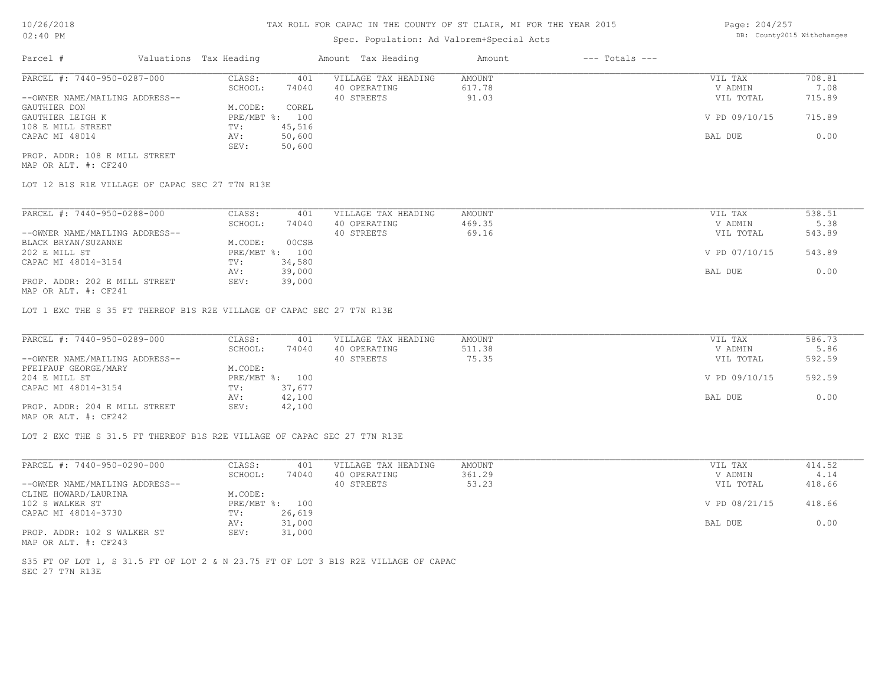# Spec. Population: Ad Valorem+Special Acts

| Page: 204/257 |                            |
|---------------|----------------------------|
|               | DB: County2015 Withchanges |

| Parcel #                       | Valuations Tax Heading |        | Amount Tax Heading  | Amount | $---$ Totals $---$ |               |        |
|--------------------------------|------------------------|--------|---------------------|--------|--------------------|---------------|--------|
| PARCEL #: 7440-950-0287-000    | CLASS:                 | 401    | VILLAGE TAX HEADING | AMOUNT |                    | VIL TAX       | 708.81 |
|                                | SCHOOL:                | 74040  | 40 OPERATING        | 617.78 |                    | V ADMIN       | 7.08   |
| --OWNER NAME/MAILING ADDRESS-- |                        |        | 40 STREETS          | 91.03  |                    | VIL TOTAL     | 715.89 |
| GAUTHIER DON                   | M.CODE:                | COREL  |                     |        |                    |               |        |
| GAUTHIER LEIGH K               | $PRE/MBT$ %:           | 100    |                     |        |                    | V PD 09/10/15 | 715.89 |
| 108 E MILL STREET              | TV:                    | 45,516 |                     |        |                    |               |        |
| CAPAC MI 48014                 | AV:                    | 50,600 |                     |        |                    | BAL DUE       | 0.00   |
|                                | SEV:                   | 50,600 |                     |        |                    |               |        |
| PROP. ADDR: 108 E MILL STREET  |                        |        |                     |        |                    |               |        |

MAP OR ALT. #: CF240

LOT 12 B1S R1E VILLAGE OF CAPAC SEC 27 T7N R13E

| PARCEL #: 7440-950-0288-000    | CLASS:       | 401    | VILLAGE TAX HEADING | AMOUNT | VIL TAX       | 538.51 |
|--------------------------------|--------------|--------|---------------------|--------|---------------|--------|
|                                | SCHOOL:      | 74040  | 40 OPERATING        | 469.35 | V ADMIN       | 5.38   |
| --OWNER NAME/MAILING ADDRESS-- |              |        | 40 STREETS          | 69.16  | VIL TOTAL     | 543.89 |
| BLACK BRYAN/SUZANNE            | M.CODE:      | 00CSB  |                     |        |               |        |
| 202 E MILL ST                  | $PRE/MBT$ %: | 100    |                     |        | V PD 07/10/15 | 543.89 |
| CAPAC MI 48014-3154            | TV:          | 34,580 |                     |        |               |        |
|                                | AV:          | 39,000 |                     |        | BAL DUE       | 0.00   |
| PROP. ADDR: 202 E MILL STREET  | SEV:         | 39,000 |                     |        |               |        |
| $\frac{1}{2}$                  |              |        |                     |        |               |        |

MAP OR ALT. #: CF241

LOT 1 EXC THE S 35 FT THEREOF B1S R2E VILLAGE OF CAPAC SEC 27 T7N R13E

| PARCEL #: 7440-950-0289-000                                                            | CLASS:  | 401            | VILLAGE TAX HEADING | AMOUNT | VIL TAX       | 586.73 |
|----------------------------------------------------------------------------------------|---------|----------------|---------------------|--------|---------------|--------|
|                                                                                        | SCHOOL: | 74040          | 40 OPERATING        | 511.38 | V ADMIN       | 5.86   |
| --OWNER NAME/MAILING ADDRESS--                                                         |         |                | 40 STREETS          | 75.35  | VIL TOTAL     | 592.59 |
| PFEIFAUF GEORGE/MARY                                                                   | M.CODE: |                |                     |        |               |        |
| 204 E MILL ST                                                                          |         | PRE/MBT %: 100 |                     |        | V PD 09/10/15 | 592.59 |
| CAPAC MI 48014-3154                                                                    | TV:     | 37,677         |                     |        |               |        |
|                                                                                        | AV:     | 42,100         |                     |        | BAL DUE       | 0.00   |
| PROP. ADDR: 204 E MILL STREET<br>$\cdots$ $\cdots$ $\cdots$ $\cdots$ $\cdots$ $\cdots$ | SEV:    | 42,100         |                     |        |               |        |

MAP OR ALT. #: CF242

LOT 2 EXC THE S 31.5 FT THEREOF B1S R2E VILLAGE OF CAPAC SEC 27 T7N R13E

| PARCEL #: 7440-950-0290-000    | CLASS:  | 401            | VILLAGE TAX HEADING | AMOUNT | VIL TAX       | 414.52 |
|--------------------------------|---------|----------------|---------------------|--------|---------------|--------|
|                                | SCHOOL: | 74040          | 40 OPERATING        | 361.29 | V ADMIN       | 4.14   |
| --OWNER NAME/MAILING ADDRESS-- |         |                | 40 STREETS          | 53.23  | VIL TOTAL     | 418.66 |
| CLINE HOWARD/LAURINA           | M.CODE: |                |                     |        |               |        |
| 102 S WALKER ST                |         | PRE/MBT %: 100 |                     |        | V PD 08/21/15 | 418.66 |
| CAPAC MI 48014-3730            | TV:     | 26,619         |                     |        |               |        |
|                                | AV:     | 31,000         |                     |        | BAL DUE       | 0.00   |
| PROP. ADDR: 102 S WALKER ST    | SEV:    | 31,000         |                     |        |               |        |
| MAP OR ALT. #: CF243           |         |                |                     |        |               |        |

SEC 27 T7N R13E S35 FT OF LOT 1, S 31.5 FT OF LOT 2 & N 23.75 FT OF LOT 3 B1S R2E VILLAGE OF CAPAC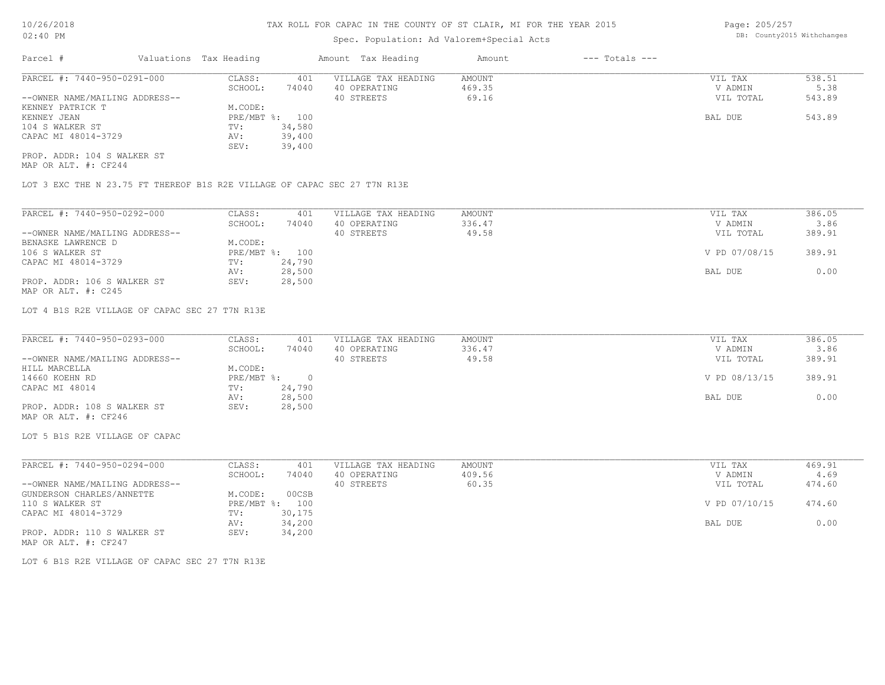# Spec. Population: Ad Valorem+Special Acts

Page: 205/257 DB: County2015 Withchanges

| Parcel #                       | Valuations Tax Heading |        | Amount Tax Heading  | Amount | $---$ Totals $---$ |           |        |
|--------------------------------|------------------------|--------|---------------------|--------|--------------------|-----------|--------|
| PARCEL #: 7440-950-0291-000    | CLASS:                 | 401    | VILLAGE TAX HEADING | AMOUNT |                    | VIL TAX   | 538.51 |
|                                | SCHOOL:                | 74040  | 40 OPERATING        | 469.35 |                    | V ADMIN   | 5.38   |
| --OWNER NAME/MAILING ADDRESS-- |                        |        | 40 STREETS          | 69.16  |                    | VIL TOTAL | 543.89 |
| KENNEY PATRICK T               | M.CODE:                |        |                     |        |                    |           |        |
| KENNEY JEAN                    | PRE/MBT %: 100         |        |                     |        |                    | BAL DUE   | 543.89 |
| 104 S WALKER ST                | TV:                    | 34,580 |                     |        |                    |           |        |
| CAPAC MI 48014-3729            | AV:                    | 39,400 |                     |        |                    |           |        |
|                                | SEV:                   | 39,400 |                     |        |                    |           |        |
| PROP. ADDR: 104 S WALKER ST    |                        |        |                     |        |                    |           |        |

MAP OR ALT. #: CF244

LOT 3 EXC THE N 23.75 FT THEREOF B1S R2E VILLAGE OF CAPAC SEC 27 T7N R13E

| PARCEL #: 7440-950-0292-000    | CLASS:  | 401            | VILLAGE TAX HEADING | AMOUNT | VIL TAX       | 386.05 |
|--------------------------------|---------|----------------|---------------------|--------|---------------|--------|
|                                | SCHOOL: | 74040          | 40 OPERATING        | 336.47 | V ADMIN       | 3.86   |
| --OWNER NAME/MAILING ADDRESS-- |         |                | 40 STREETS          | 49.58  | VIL TOTAL     | 389.91 |
| BENASKE LAWRENCE D             | M.CODE: |                |                     |        |               |        |
| 106 S WALKER ST                |         | PRE/MBT %: 100 |                     |        | V PD 07/08/15 | 389.91 |
| CAPAC MI 48014-3729            | TV:     | 24,790         |                     |        |               |        |
|                                | AV:     | 28,500         |                     |        | BAL DUE       | 0.00   |
| PROP. ADDR: 106 S WALKER ST    | SEV:    | 28,500         |                     |        |               |        |
| MAP OR ALT. #: C245            |         |                |                     |        |               |        |

LOT 4 B1S R2E VILLAGE OF CAPAC SEC 27 T7N R13E

| PARCEL #: 7440-950-0293-000    | CLASS:       | 401    | VILLAGE TAX HEADING | AMOUNT | VIL TAX       | 386.05 |
|--------------------------------|--------------|--------|---------------------|--------|---------------|--------|
|                                | SCHOOL:      | 74040  | 40 OPERATING        | 336.47 | V ADMIN       | 3.86   |
| --OWNER NAME/MAILING ADDRESS-- |              |        | 40 STREETS          | 49.58  | VIL TOTAL     | 389.91 |
| HILL MARCELLA                  | M.CODE:      |        |                     |        |               |        |
| 14660 KOEHN RD                 | $PRE/MBT$ %: |        |                     |        | V PD 08/13/15 | 389.91 |
| CAPAC MI 48014                 | TV:          | 24,790 |                     |        |               |        |
|                                | AV:          | 28,500 |                     |        | BAL DUE       | 0.00   |
| PROP. ADDR: 108 S WALKER ST    | SEV:         | 28,500 |                     |        |               |        |
| MAP OR ALT. #: CF246           |              |        |                     |        |               |        |

LOT 5 B1S R2E VILLAGE OF CAPAC

| PARCEL #: 7440-950-0294-000    | CLASS:  | 401            | VILLAGE TAX HEADING | AMOUNT | VIL TAX       | 469.91 |
|--------------------------------|---------|----------------|---------------------|--------|---------------|--------|
|                                | SCHOOL: | 74040          | 40 OPERATING        | 409.56 | V ADMIN       | 4.69   |
| --OWNER NAME/MAILING ADDRESS-- |         |                | 40 STREETS          | 60.35  | VIL TOTAL     | 474.60 |
| GUNDERSON CHARLES/ANNETTE      | M.CODE: | 00CSB          |                     |        |               |        |
| 110 S WALKER ST                |         | PRE/MBT %: 100 |                     |        | V PD 07/10/15 | 474.60 |
| CAPAC MI 48014-3729            | TV:     | 30,175         |                     |        |               |        |
|                                | AV:     | 34,200         |                     |        | BAL DUE       | 0.00   |
| PROP. ADDR: 110 S WALKER ST    | SEV:    | 34,200         |                     |        |               |        |
| MAP OR ALT. #: CF247           |         |                |                     |        |               |        |

LOT 6 B1S R2E VILLAGE OF CAPAC SEC 27 T7N R13E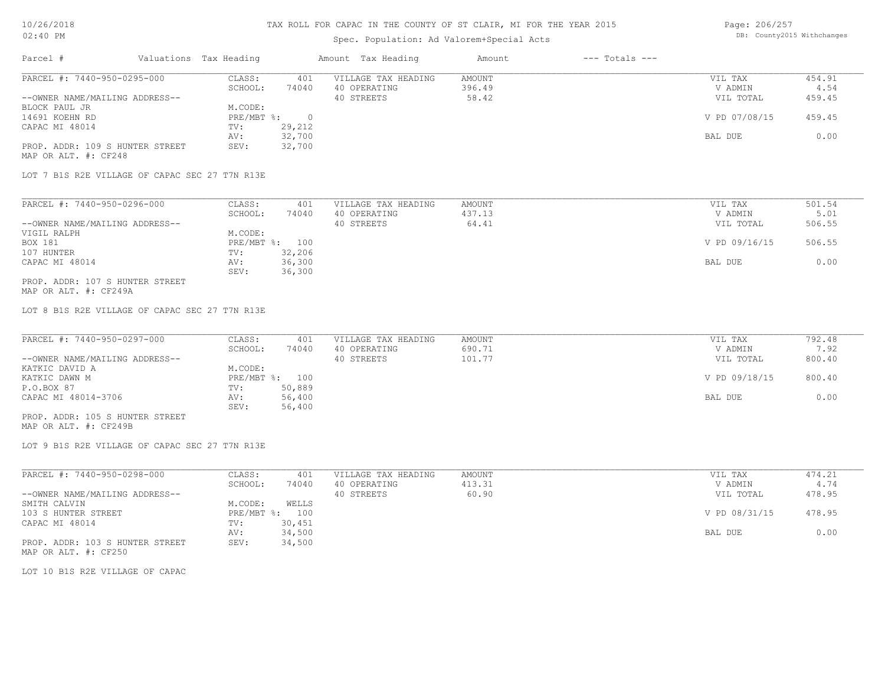## Spec. Population: Ad Valorem+Special Acts

| Page: 206/257 |                            |
|---------------|----------------------------|
|               | DB: County2015 Withchanges |

| Parcel #                        | Valuations Tax Heading |        | Amount Tax Heading  | Amount | $---$ Totals $---$ |               |        |
|---------------------------------|------------------------|--------|---------------------|--------|--------------------|---------------|--------|
| PARCEL #: 7440-950-0295-000     | CLASS:                 | 401    | VILLAGE TAX HEADING | AMOUNT |                    | VIL TAX       | 454.91 |
|                                 | SCHOOL:                | 74040  | 40 OPERATING        | 396.49 |                    | V ADMIN       | 4.54   |
| --OWNER NAME/MAILING ADDRESS--  |                        |        | 40 STREETS          | 58.42  |                    | VIL TOTAL     | 459.45 |
| BLOCK PAUL JR                   | M.CODE:                |        |                     |        |                    |               |        |
| 14691 KOEHN RD                  | PRE/MBT %:             |        |                     |        |                    | V PD 07/08/15 | 459.45 |
| CAPAC MI 48014                  | TV:                    | 29,212 |                     |        |                    |               |        |
|                                 | AV:                    | 32,700 |                     |        |                    | BAL DUE       | 0.00   |
| PROP. ADDR: 109 S HUNTER STREET | SEV:                   | 32,700 |                     |        |                    |               |        |
| MAP OR ALT. #: CF248            |                        |        |                     |        |                    |               |        |

LOT 7 B1S R2E VILLAGE OF CAPAC SEC 27 T7N R13E

| PARCEL #: 7440-950-0296-000     | CLASS:  | 401            | VILLAGE TAX HEADING | AMOUNT | VIL TAX       | 501.54 |
|---------------------------------|---------|----------------|---------------------|--------|---------------|--------|
|                                 | SCHOOL: | 74040          | 40 OPERATING        | 437.13 | V ADMIN       | 5.01   |
| --OWNER NAME/MAILING ADDRESS--  |         |                | 40 STREETS          | 64.41  | VIL TOTAL     | 506.55 |
| VIGIL RALPH                     | M.CODE: |                |                     |        |               |        |
| BOX 181                         |         | PRE/MBT %: 100 |                     |        | V PD 09/16/15 | 506.55 |
| 107 HUNTER                      | TV:     | 32,206         |                     |        |               |        |
| CAPAC MI 48014                  | AV:     | 36,300         |                     |        | BAL DUE       | 0.00   |
|                                 | SEV:    | 36,300         |                     |        |               |        |
| PROP. ADDR: 107 S HUNTER STREET |         |                |                     |        |               |        |

MAP OR ALT. #: CF249A

LOT 8 B1S R2E VILLAGE OF CAPAC SEC 27 T7N R13E

| PARCEL #: 7440-950-0297-000      | CLASS:         | 401    | VILLAGE TAX HEADING | AMOUNT | VIL TAX       | 792.48 |
|----------------------------------|----------------|--------|---------------------|--------|---------------|--------|
|                                  | SCHOOL:        | 74040  | 40 OPERATING        | 690.71 | V ADMIN       | 7.92   |
| --OWNER NAME/MAILING ADDRESS--   |                |        | 40 STREETS          | 101.77 | VIL TOTAL     | 800.40 |
| KATKIC DAVID A                   | M.CODE:        |        |                     |        |               |        |
| KATKIC DAWN M                    | PRE/MBT %: 100 |        |                     |        | V PD 09/18/15 | 800.40 |
| P.O.BOX 87                       | TV:            | 50,889 |                     |        |               |        |
| CAPAC MI 48014-3706              | AV:            | 56,400 |                     |        | BAL DUE       | 0.00   |
|                                  | SEV:           | 56,400 |                     |        |               |        |
| _____ ____ ___ ___ _____________ |                |        |                     |        |               |        |

MAP OR ALT. #: CF249B PROP. ADDR: 105 S HUNTER STREET

LOT 9 B1S R2E VILLAGE OF CAPAC SEC 27 T7N R13E

| PARCEL #: 7440-950-0298-000     | CLASS:       | 401    | VILLAGE TAX HEADING | AMOUNT | VIL TAX       | 474.21 |
|---------------------------------|--------------|--------|---------------------|--------|---------------|--------|
|                                 | SCHOOL:      | 74040  | 40 OPERATING        | 413.31 | V ADMIN       | 4.74   |
| --OWNER NAME/MAILING ADDRESS--  |              |        | 40 STREETS          | 60.90  | VIL TOTAL     | 478.95 |
| SMITH CALVIN                    | M.CODE:      | WELLS  |                     |        |               |        |
| 103 S HUNTER STREET             | $PRE/MBT$ %: | 100    |                     |        | V PD 08/31/15 | 478.95 |
| CAPAC MI 48014                  | TV:          | 30,451 |                     |        |               |        |
|                                 | AV:          | 34,500 |                     |        | BAL DUE       | 0.00   |
| PROP. ADDR: 103 S HUNTER STREET | SEV:         | 34,500 |                     |        |               |        |
| MAP OR ALT. #: CF250            |              |        |                     |        |               |        |

LOT 10 B1S R2E VILLAGE OF CAPAC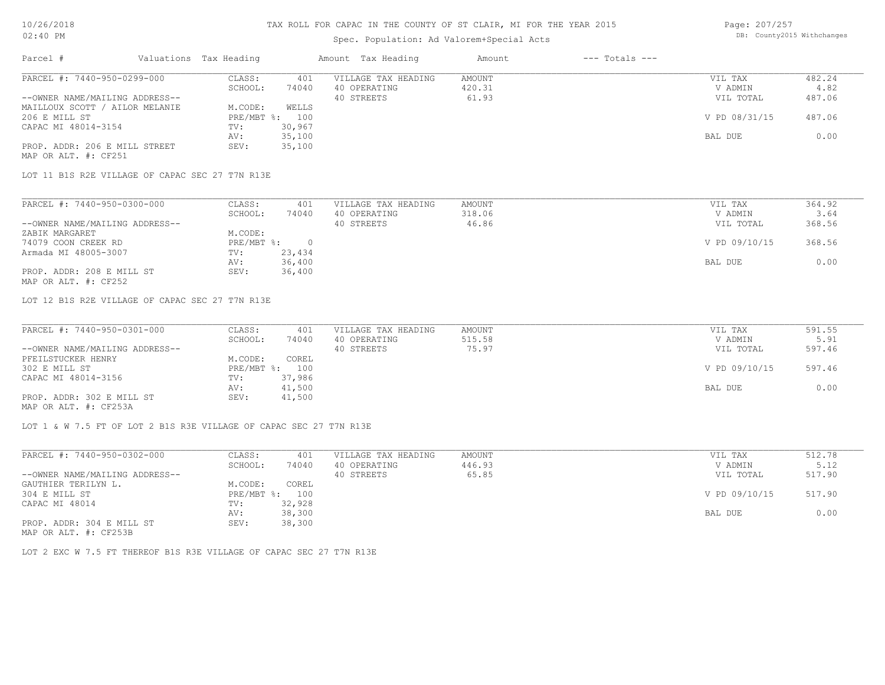# Spec. Population: Ad Valorem+Special Acts

Page: 207/257 DB: County2015 Withchanges

| Parcel #                       | Valuations Tax Heading |                | Amount Tax Heading  | Amount | $---$ Totals $---$ |               |        |
|--------------------------------|------------------------|----------------|---------------------|--------|--------------------|---------------|--------|
| PARCEL #: 7440-950-0299-000    | CLASS:                 | 401            | VILLAGE TAX HEADING | AMOUNT |                    | VIL TAX       | 482.24 |
|                                | SCHOOL:                | 74040          | 40 OPERATING        | 420.31 |                    | V ADMIN       | 4.82   |
| --OWNER NAME/MAILING ADDRESS-- |                        |                | 40 STREETS          | 61.93  |                    | VIL TOTAL     | 487.06 |
| MAILLOUX SCOTT / AILOR MELANIE | M.CODE:                | WELLS          |                     |        |                    |               |        |
| 206 E MILL ST                  |                        | PRE/MBT %: 100 |                     |        |                    | V PD 08/31/15 | 487.06 |
| CAPAC MI 48014-3154            | TV:                    | 30,967         |                     |        |                    |               |        |
|                                | AV:                    | 35,100         |                     |        |                    | BAL DUE       | 0.00   |
| PROP. ADDR: 206 E MILL STREET  | SEV:                   | 35,100         |                     |        |                    |               |        |
| MAP OR ALT. #: CF251           |                        |                |                     |        |                    |               |        |

LOT 11 B1S R2E VILLAGE OF CAPAC SEC 27 T7N R13E

| PARCEL #: 7440-950-0300-000    | CLASS:     | 401    | VILLAGE TAX HEADING | AMOUNT | VIL TAX       | 364.92 |
|--------------------------------|------------|--------|---------------------|--------|---------------|--------|
|                                | SCHOOL:    | 74040  | 40 OPERATING        | 318.06 | V ADMIN       | 3.64   |
| --OWNER NAME/MAILING ADDRESS-- |            |        | 40 STREETS          | 46.86  | VIL TOTAL     | 368.56 |
| ZABIK MARGARET                 | M.CODE:    |        |                     |        |               |        |
| 74079 COON CREEK RD            | PRE/MBT %: |        |                     |        | V PD 09/10/15 | 368.56 |
| Armada MI 48005-3007           | TV:        | 23,434 |                     |        |               |        |
|                                | AV:        | 36,400 |                     |        | BAL DUE       | 0.00   |
| PROP. ADDR: 208 E MILL ST      | SEV:       | 36,400 |                     |        |               |        |
| MAP OR ALT. #: CF252           |            |        |                     |        |               |        |

LOT 12 B1S R2E VILLAGE OF CAPAC SEC 27 T7N R13E

| PARCEL #: 7440-950-0301-000    | CLASS:  | 401            | VILLAGE TAX HEADING | AMOUNT | VIL TAX       | 591.55 |
|--------------------------------|---------|----------------|---------------------|--------|---------------|--------|
|                                | SCHOOL: | 74040          | 40 OPERATING        | 515.58 | V ADMIN       | 5.91   |
| --OWNER NAME/MAILING ADDRESS-- |         |                | 40 STREETS          | 75.97  | VIL TOTAL     | 597.46 |
| PFEILSTUCKER HENRY             | M.CODE: | COREL          |                     |        |               |        |
| 302 E MILL ST                  |         | PRE/MBT %: 100 |                     |        | V PD 09/10/15 | 597.46 |
| CAPAC MI 48014-3156            | TV:     | 37,986         |                     |        |               |        |
|                                | AV:     | 41,500         |                     |        | BAL DUE       | 0.00   |
| PROP. ADDR: 302 E MILL ST      | SEV:    | 41,500         |                     |        |               |        |
| MAP OR ALT. #: CF253A          |         |                |                     |        |               |        |

LOT 1 & W 7.5 FT OF LOT 2 B1S R3E VILLAGE OF CAPAC SEC 27 T7N R13E

| PARCEL #: 7440-950-0302-000                           | CLASS:     | 401    | VILLAGE TAX HEADING | AMOUNT | VIL TAX       | 512.78 |
|-------------------------------------------------------|------------|--------|---------------------|--------|---------------|--------|
|                                                       | SCHOOL:    | 74040  | 40 OPERATING        | 446.93 | V ADMIN       | 5.12   |
| --OWNER NAME/MAILING ADDRESS--                        |            |        | 40 STREETS          | 65.85  | VIL TOTAL     | 517.90 |
| GAUTHIER TERILYN L.                                   | M.CODE:    | COREL  |                     |        |               |        |
| 304 E MILL ST                                         | PRE/MBT %: | 100    |                     |        | V PD 09/10/15 | 517.90 |
| CAPAC MI 48014                                        | TV:        | 32,928 |                     |        |               |        |
|                                                       | AV:        | 38,300 |                     |        | BAL DUE       | 0.00   |
| PROP. ADDR: 304 E MILL ST                             | SEV:       | 38,300 |                     |        |               |        |
| $\cdots$ $\cdots$ $\cdots$ $\cdots$ $\cdots$ $\cdots$ |            |        |                     |        |               |        |

MAP OR ALT. #: CF253B

LOT 2 EXC W 7.5 FT THEREOF B1S R3E VILLAGE OF CAPAC SEC 27 T7N R13E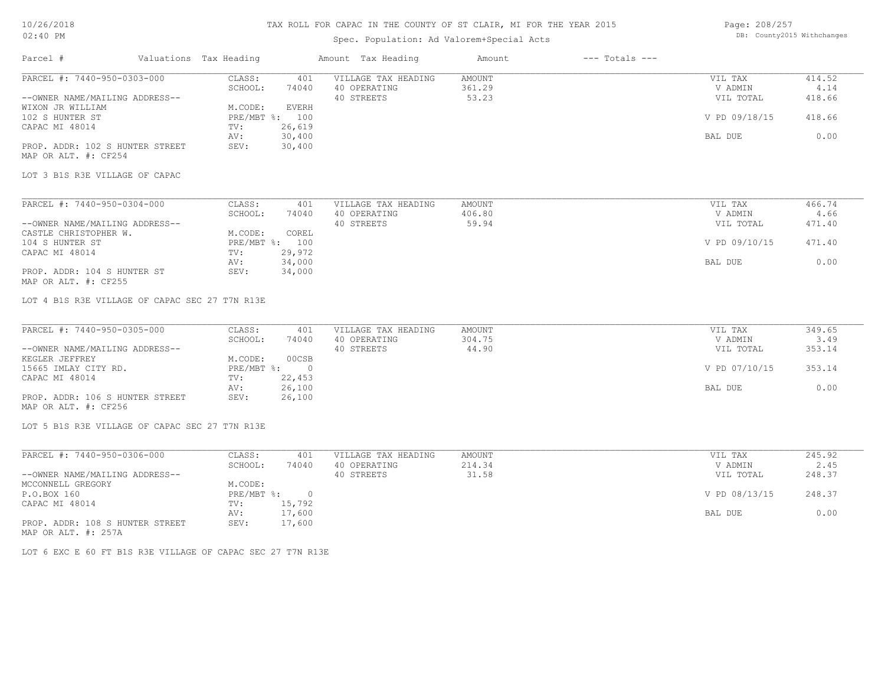# Spec. Population: Ad Valorem+Special Acts

Page: 208/257 DB: County2015 Withchanges

| Parcel #                                                | Valuations Tax Heading |                                | Amount Tax Heading         | Amount          | $---$ Totals $---$ |               |        |
|---------------------------------------------------------|------------------------|--------------------------------|----------------------------|-----------------|--------------------|---------------|--------|
| PARCEL #: 7440-950-0303-000                             | CLASS:                 | 401                            | VILLAGE TAX HEADING        | AMOUNT          |                    | VIL TAX       | 414.52 |
|                                                         | SCHOOL:                | 74040                          | 40 OPERATING<br>40 STREETS | 361.29<br>53.23 |                    | V ADMIN       | 4.14   |
| --OWNER NAME/MAILING ADDRESS--                          |                        |                                |                            |                 |                    | VIL TOTAL     | 418.66 |
| WIXON JR WILLIAM<br>102 S HUNTER ST                     | M.CODE:                | <b>EVERH</b><br>PRE/MBT %: 100 |                            |                 |                    | V PD 09/18/15 | 418.66 |
|                                                         | TV:                    | 26,619                         |                            |                 |                    |               |        |
| CAPAC MI 48014                                          |                        | 30,400                         |                            |                 |                    |               | 0.00   |
|                                                         | AV:<br>SEV:            |                                |                            |                 |                    | BAL DUE       |        |
| PROP. ADDR: 102 S HUNTER STREET<br>MAP OR ALT. #: CF254 |                        | 30,400                         |                            |                 |                    |               |        |
|                                                         |                        |                                |                            |                 |                    |               |        |
| LOT 3 B1S R3E VILLAGE OF CAPAC                          |                        |                                |                            |                 |                    |               |        |
| PARCEL #: 7440-950-0304-000                             | CLASS:                 | 401                            | VILLAGE TAX HEADING        | AMOUNT          |                    | VIL TAX       | 466.74 |
|                                                         | SCHOOL:                | 74040                          | 40 OPERATING               | 406.80          |                    | V ADMIN       | 4.66   |
| --OWNER NAME/MAILING ADDRESS--                          |                        |                                | 40 STREETS                 | 59.94           |                    | VIL TOTAL     | 471.40 |
| CASTLE CHRISTOPHER W.                                   | M.CODE:                | COREL                          |                            |                 |                    |               |        |
| 104 S HUNTER ST                                         |                        | PRE/MBT %: 100                 |                            |                 |                    | V PD 09/10/15 | 471.40 |
| CAPAC MI 48014                                          | TV:                    | 29,972                         |                            |                 |                    |               |        |
|                                                         | AV:                    | 34,000                         |                            |                 |                    | BAL DUE       | 0.00   |
| PROP. ADDR: 104 S HUNTER ST<br>MAP OR ALT. #: CF255     | SEV:                   | 34,000                         |                            |                 |                    |               |        |
| LOT 4 B1S R3E VILLAGE OF CAPAC SEC 27 T7N R13E          |                        |                                |                            |                 |                    |               |        |
| PARCEL #: 7440-950-0305-000                             | CLASS:                 | 401                            | VILLAGE TAX HEADING        | AMOUNT          |                    | VIL TAX       | 349.65 |
|                                                         | SCHOOL:                | 74040                          | 40 OPERATING               | 304.75          |                    | V ADMIN       | 3.49   |
| --OWNER NAME/MAILING ADDRESS--                          |                        |                                | 40 STREETS                 | 44.90           |                    | VIL TOTAL     | 353.14 |
| KEGLER JEFFREY                                          | M.CODE:                | 00CSB                          |                            |                 |                    |               |        |
| 15665 IMLAY CITY RD.                                    | PRE/MBT %:             | $\overline{0}$                 |                            |                 |                    | V PD 07/10/15 | 353.14 |
| CAPAC MI 48014                                          | TV:                    | 22,453                         |                            |                 |                    |               |        |
|                                                         | AV:                    | 26,100                         |                            |                 |                    | BAL DUE       | 0.00   |
| PROP. ADDR: 106 S HUNTER STREET<br>MAP OR ALT. #: CF256 | SEV:                   | 26,100                         |                            |                 |                    |               |        |
| LOT 5 B1S R3E VILLAGE OF CAPAC SEC 27 T7N R13E          |                        |                                |                            |                 |                    |               |        |
|                                                         |                        |                                |                            |                 |                    |               |        |
| PARCEL #: 7440-950-0306-000                             | CLASS:                 | 401                            | VILLAGE TAX HEADING        | AMOUNT          |                    | VIL TAX       | 245.92 |
|                                                         | SCHOOL:                | 74040                          | 40 OPERATING               | 214.34          |                    | V ADMIN       | 2.45   |
| --OWNER NAME/MAILING ADDRESS--                          |                        |                                | 40 STREETS                 | 31.58           |                    | VIL TOTAL     | 248.37 |
| MCCONNELL GREGORY                                       | M.CODE:                |                                |                            |                 |                    |               |        |
| P.O.BOX 160                                             | $PRE/MBT$ $\div$       | $\overline{0}$                 |                            |                 |                    | V PD 08/13/15 | 248.37 |
| CAPAC MI 48014                                          | TV:                    | 15,792                         |                            |                 |                    |               |        |
|                                                         | AV:                    | 17,600                         |                            |                 |                    | BAL DUE       | 0.00   |

MAP OR ALT. #: 257A PROP. ADDR: 108 S HUNTER STREET SEV: 17,600

LOT 6 EXC E 60 FT B1S R3E VILLAGE OF CAPAC SEC 27 T7N R13E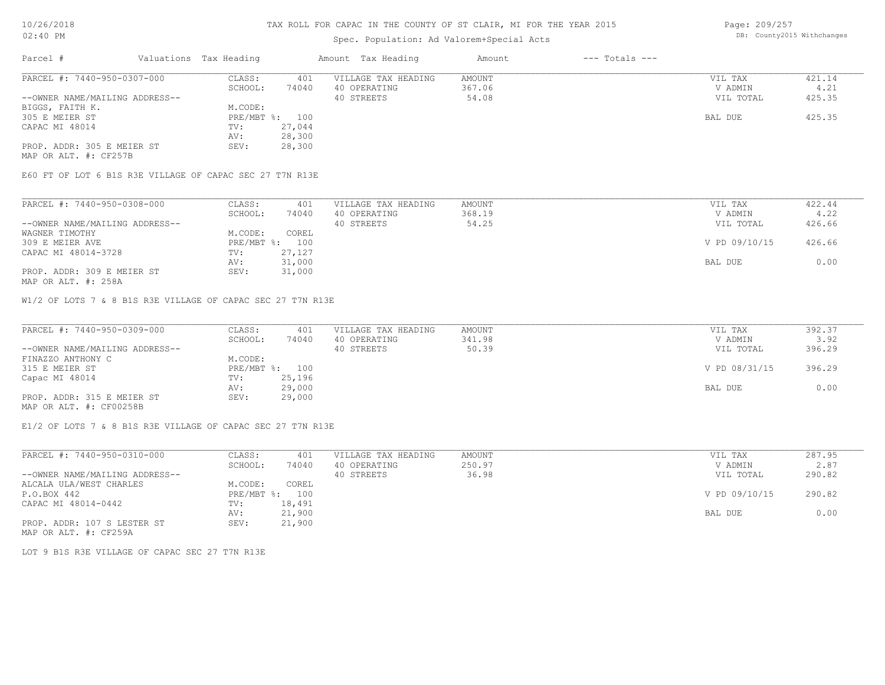# Spec. Population: Ad Valorem+Special Acts

Page: 209/257 DB: County2015 Withchanges

| 421.14 |
|--------|
| 4.21   |
| 425.35 |
|        |
| 425.35 |
|        |
|        |
|        |
|        |

MAP OR ALT. #: CF257B

E60 FT OF LOT 6 B1S R3E VILLAGE OF CAPAC SEC 27 T7N R13E

| PARCEL #: 7440-950-0308-000    | CLASS:  | 401            | VILLAGE TAX HEADING | AMOUNT | VIL TAX       | 422.44 |
|--------------------------------|---------|----------------|---------------------|--------|---------------|--------|
|                                | SCHOOL: | 74040          | 40 OPERATING        | 368.19 | V ADMIN       | 4.22   |
| --OWNER NAME/MAILING ADDRESS-- |         |                | 40 STREETS          | 54.25  | VIL TOTAL     | 426.66 |
| WAGNER TIMOTHY                 | M.CODE: | COREL          |                     |        |               |        |
| 309 E MEIER AVE                |         | PRE/MBT %: 100 |                     |        | V PD 09/10/15 | 426.66 |
| CAPAC MI 48014-3728            | TV:     | 27,127         |                     |        |               |        |
|                                | AV:     | 31,000         |                     |        | BAL DUE       | 0.00   |
| PROP. ADDR: 309 E MEIER ST     | SEV:    | 31,000         |                     |        |               |        |
|                                |         |                |                     |        |               |        |

MAP OR ALT. #: 258A

W1/2 OF LOTS 7 & 8 B1S R3E VILLAGE OF CAPAC SEC 27 T7N R13E

| PARCEL #: 7440-950-0309-000    | CLASS:  | 401            | VILLAGE TAX HEADING | AMOUNT | VIL TAX       | 392.37 |
|--------------------------------|---------|----------------|---------------------|--------|---------------|--------|
|                                | SCHOOL: | 74040          | 40 OPERATING        | 341.98 | V ADMIN       | 3.92   |
| --OWNER NAME/MAILING ADDRESS-- |         |                | 40 STREETS          | 50.39  | VIL TOTAL     | 396.29 |
| FINAZZO ANTHONY C              | M.CODE: |                |                     |        |               |        |
| 315 E MEIER ST                 |         | PRE/MBT %: 100 |                     |        | V PD 08/31/15 | 396.29 |
| Capac MI 48014                 | TV:     | 25,196         |                     |        |               |        |
|                                | AV:     | 29,000         |                     |        | BAL DUE       | 0.00   |
| PROP. ADDR: 315 E MEIER ST     | SEV:    | 29,000         |                     |        |               |        |
| MAP OR ALT. #: CF00258B        |         |                |                     |        |               |        |

E1/2 OF LOTS 7 & 8 B1S R3E VILLAGE OF CAPAC SEC 27 T7N R13E

| PARCEL #: 7440-950-0310-000    | CLASS:       | 401    | VILLAGE TAX HEADING | AMOUNT | VIL TAX       | 287.95 |
|--------------------------------|--------------|--------|---------------------|--------|---------------|--------|
|                                | SCHOOL:      | 74040  | 40 OPERATING        | 250.97 | V ADMIN       | 2.87   |
| --OWNER NAME/MAILING ADDRESS-- |              |        | 40 STREETS          | 36.98  | VIL TOTAL     | 290.82 |
| ALCALA ULA/WEST CHARLES        | M.CODE:      | COREL  |                     |        |               |        |
| P.O.BOX 442                    | $PRE/MBT$ %: | 100    |                     |        | V PD 09/10/15 | 290.82 |
| CAPAC MI 48014-0442            | TV:          | 18,491 |                     |        |               |        |
|                                | AV:          | 21,900 |                     |        | BAL DUE       | 0.00   |
| PROP. ADDR: 107 S LESTER ST    | SEV:         | 21,900 |                     |        |               |        |

MAP OR ALT. #: CF259A

LOT 9 B1S R3E VILLAGE OF CAPAC SEC 27 T7N R13E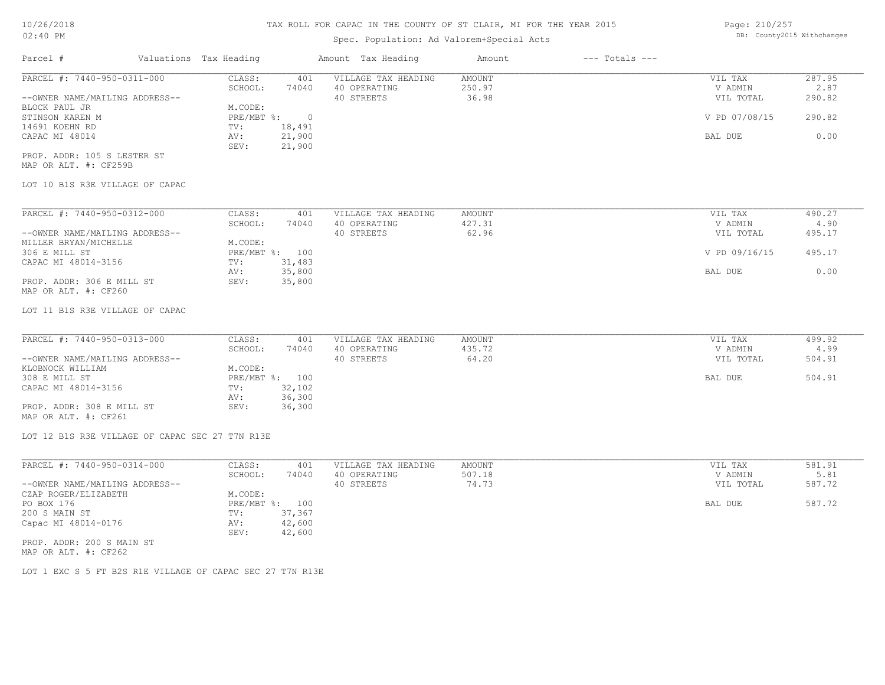# Spec. Population: Ad Valorem+Special Acts

Page: 210/257 DB: County2015 Withchanges

| Parcel #                        | Valuations Tax Heading |        | Amount Tax Heading  | Amount | $---$ Totals $---$ |               |        |
|---------------------------------|------------------------|--------|---------------------|--------|--------------------|---------------|--------|
| PARCEL #: 7440-950-0311-000     | CLASS:                 | 401    | VILLAGE TAX HEADING | AMOUNT |                    | VIL TAX       | 287.95 |
|                                 | SCHOOL:                | 74040  | 40 OPERATING        | 250.97 |                    | V ADMIN       | 2.87   |
| --OWNER NAME/MAILING ADDRESS--  |                        |        | 40 STREETS          | 36.98  |                    | VIL TOTAL     | 290.82 |
| BLOCK PAUL JR                   | M.CODE:                |        |                     |        |                    |               |        |
| STINSON KAREN M                 | PRE/MBT %:             | $\cap$ |                     |        |                    | V PD 07/08/15 | 290.82 |
| 14691 KOEHN RD                  | TV:                    | 18,491 |                     |        |                    |               |        |
| CAPAC MI 48014                  | AV:                    | 21,900 |                     |        |                    | BAL DUE       | 0.00   |
|                                 | SEV:                   | 21,900 |                     |        |                    |               |        |
| PROP. ADDR: 105 S LESTER ST     |                        |        |                     |        |                    |               |        |
| MAP OR ALT. #: CF259B           |                        |        |                     |        |                    |               |        |
| LOT 10 B1S R3E VILLAGE OF CAPAC |                        |        |                     |        |                    |               |        |
|                                 |                        |        |                     |        |                    |               |        |
| PARCEL #: 7440-950-0312-000     | CLASS:                 | 401    | VILLAGE TAX HEADING | AMOUNT |                    | VIL TAX       | 490.27 |

|                                | ------       | ---    |              | ------ | .             | -----  |
|--------------------------------|--------------|--------|--------------|--------|---------------|--------|
|                                | SCHOOL:      | 74040  | 40 OPERATING | 427.31 | V ADMIN       | 4.90   |
| --OWNER NAME/MAILING ADDRESS-- |              |        | 40 STREETS   | 62.96  | VIL TOTAL     | 495.17 |
| MILLER BRYAN/MICHELLE          | M.CODE:      |        |              |        |               |        |
| 306 E MILL ST                  | $PRE/MBT$ %: | 100    |              |        | V PD 09/16/15 | 495.17 |
| CAPAC MI 48014-3156            | TV:          | 31,483 |              |        |               |        |
|                                | AV:          | 35,800 |              |        | BAL DUE       | 0.00   |
| PROP. ADDR: 306 E MILL ST      | SEV:         | 35,800 |              |        |               |        |
| MAP OR ALT. #: CF260           |              |        |              |        |               |        |

#### LOT 11 B1S R3E VILLAGE OF CAPAC

| PARCEL #: 7440-950-0313-000    | CLASS:  | 401            | VILLAGE TAX HEADING | AMOUNT | VIL TAX   | 499.92 |
|--------------------------------|---------|----------------|---------------------|--------|-----------|--------|
|                                | SCHOOL: | 74040          | 40 OPERATING        | 435.72 | V ADMIN   | 4.99   |
| --OWNER NAME/MAILING ADDRESS-- |         |                | 40 STREETS          | 64.20  | VIL TOTAL | 504.91 |
| KLOBNOCK WILLIAM               | M.CODE: |                |                     |        |           |        |
| 308 E MILL ST                  |         | PRE/MBT %: 100 |                     |        | BAL DUE   | 504.91 |
| CAPAC MI 48014-3156            | TV:     | 32,102         |                     |        |           |        |
|                                | AV:     | 36,300         |                     |        |           |        |
| PROP. ADDR: 308 E MILL ST      | SEV:    | 36,300         |                     |        |           |        |
| MAP OR ALT. #: CF261           |         |                |                     |        |           |        |

LOT 12 B1S R3E VILLAGE OF CAPAC SEC 27 T7N R13E

| PARCEL #: 7440-950-0314-000    | CLASS:  | 401            | VILLAGE TAX HEADING | AMOUNT | VIL TAX   | 581.91 |
|--------------------------------|---------|----------------|---------------------|--------|-----------|--------|
|                                | SCHOOL: | 74040          | 40 OPERATING        | 507.18 | V ADMIN   | 5.81   |
| --OWNER NAME/MAILING ADDRESS-- |         |                | 40 STREETS          | 74.73  | VIL TOTAL | 587.72 |
| CZAP ROGER/ELIZABETH           | M.CODE: |                |                     |        |           |        |
| PO BOX 176                     |         | PRE/MBT %: 100 |                     |        | BAL DUE   | 587.72 |
| 200 S MAIN ST                  | TV:     | 37,367         |                     |        |           |        |
| Capac MI 48014-0176            | AV:     | 42,600         |                     |        |           |        |
|                                | SEV:    | 42,600         |                     |        |           |        |
| PROP. ADDR: 200 S MAIN ST      |         |                |                     |        |           |        |

MAP OR ALT. #: CF262

LOT 1 EXC S 5 FT B2S R1E VILLAGE OF CAPAC SEC 27 T7N R13E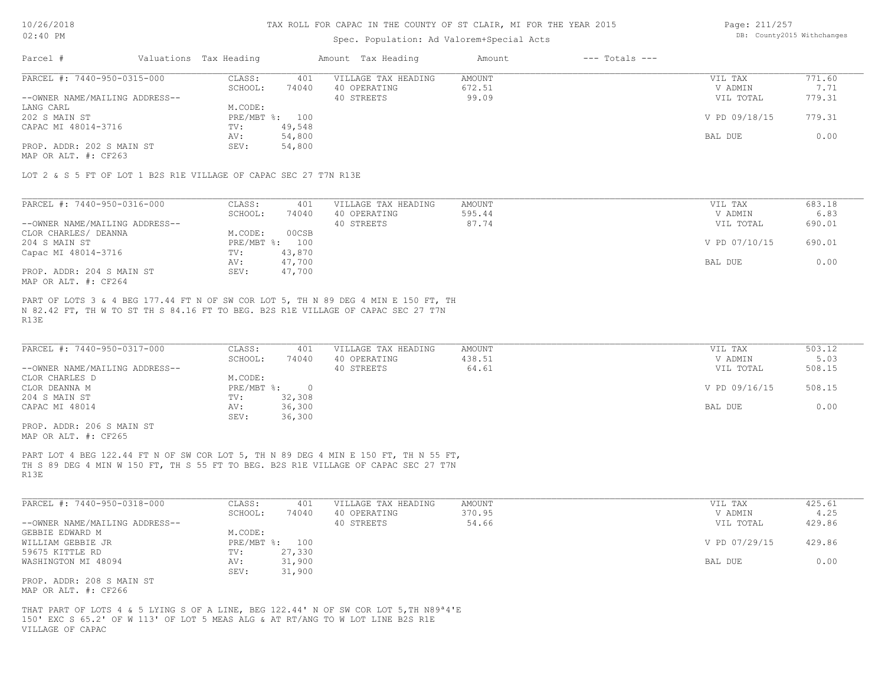#### Spec. Population: Ad Valorem+Special Acts

Page: 211/257 DB: County2015 Withchanges

| Parcel #                       | Valuations Tax Heading |        | Amount Tax Heading  | Amount | $---$ Totals $---$ |               |        |
|--------------------------------|------------------------|--------|---------------------|--------|--------------------|---------------|--------|
| PARCEL #: 7440-950-0315-000    | CLASS:                 | 401    | VILLAGE TAX HEADING | AMOUNT |                    | VIL TAX       | 771.60 |
|                                | SCHOOL:                | 74040  | 40 OPERATING        | 672.51 |                    | V ADMIN       | 7.71   |
| --OWNER NAME/MAILING ADDRESS-- |                        |        | 40 STREETS          | 99.09  |                    | VIL TOTAL     | 779.31 |
| LANG CARL                      | M.CODE:                |        |                     |        |                    |               |        |
| 202 S MAIN ST                  | PRE/MBT %: 100         |        |                     |        |                    | V PD 09/18/15 | 779.31 |
| CAPAC MI 48014-3716            | TV:                    | 49,548 |                     |        |                    |               |        |
|                                | AV:                    | 54,800 |                     |        |                    | BAL DUE       | 0.00   |
| PROP. ADDR: 202 S MAIN ST      | SEV:                   | 54,800 |                     |        |                    |               |        |
| MAP OR ALT. $\#$ : CF263       |                        |        |                     |        |                    |               |        |

LOT 2 & S 5 FT OF LOT 1 B2S R1E VILLAGE OF CAPAC SEC 27 T7N R13E

| PARCEL #: 7440-950-0316-000    | CLASS:     | 401    | VILLAGE TAX HEADING | AMOUNT | VIL TAX       | 683.18 |
|--------------------------------|------------|--------|---------------------|--------|---------------|--------|
|                                | SCHOOL:    | 74040  | 40 OPERATING        | 595.44 | V ADMIN       | 6.83   |
| --OWNER NAME/MAILING ADDRESS-- |            |        | 40 STREETS          | 87.74  | VIL TOTAL     | 690.01 |
| CLOR CHARLES/ DEANNA           | M.CODE:    | 00CSB  |                     |        |               |        |
| 204 S MAIN ST                  | PRE/MBT %: | 100    |                     |        | V PD 07/10/15 | 690.01 |
| Capac MI 48014-3716            | TV:        | 43,870 |                     |        |               |        |
|                                | AV:        | 47,700 |                     |        | BAL DUE       | 0.00   |
| PROP. ADDR: 204 S MAIN ST      | SEV:       | 47,700 |                     |        |               |        |
| MAP OR ALT. #: CF264           |            |        |                     |        |               |        |

R13E N 82.42 FT, TH W TO ST TH S 84.16 FT TO BEG. B2S R1E VILLAGE OF CAPAC SEC 27 T7N PART OF LOTS 3 & 4 BEG 177.44 FT N OF SW COR LOT 5, TH N 89 DEG 4 MIN E 150 FT, TH

| PARCEL #: 7440-950-0317-000    | CLASS:     | 401    | VILLAGE TAX HEADING | AMOUNT | VIL TAX       | 503.12 |
|--------------------------------|------------|--------|---------------------|--------|---------------|--------|
|                                | SCHOOL:    | 74040  | 40 OPERATING        | 438.51 | V ADMIN       | 5.03   |
| --OWNER NAME/MAILING ADDRESS-- |            |        | 40 STREETS          | 64.61  | VIL TOTAL     | 508.15 |
| CLOR CHARLES D                 | M.CODE:    |        |                     |        |               |        |
| CLOR DEANNA M                  | PRE/MBT %: |        |                     |        | V PD 09/16/15 | 508.15 |
| 204 S MAIN ST                  | TV:        | 32,308 |                     |        |               |        |
| CAPAC MI 48014                 | AV:        | 36,300 |                     |        | BAL DUE       | 0.00   |
|                                | SEV:       | 36,300 |                     |        |               |        |

MAP OR ALT. #: CF265 PROP. ADDR: 206 S MAIN ST

R13E TH S 89 DEG 4 MIN W 150 FT, TH S 55 FT TO BEG. B2S R1E VILLAGE OF CAPAC SEC 27 T7N PART LOT 4 BEG 122.44 FT N OF SW COR LOT 5, TH N 89 DEG 4 MIN E 150 FT, TH N 55 FT,

| PARCEL #: 7440-950-0318-000    | CLASS:         | 401    | VILLAGE TAX HEADING | AMOUNT | VIL TAX       | 425.61 |
|--------------------------------|----------------|--------|---------------------|--------|---------------|--------|
|                                | SCHOOL:        | 74040  | 40 OPERATING        | 370.95 | V ADMIN       | 4.25   |
| --OWNER NAME/MAILING ADDRESS-- |                |        | 40 STREETS          | 54.66  | VIL TOTAL     | 429.86 |
| GEBBIE EDWARD M                | M.CODE:        |        |                     |        |               |        |
| WILLIAM GEBBIE JR              | PRE/MBT %: 100 |        |                     |        | V PD 07/29/15 | 429.86 |
| 59675 KITTLE RD                | TV:            | 27,330 |                     |        |               |        |
| WASHINGTON MI 48094            | AV:            | 31,900 |                     |        | BAL DUE       | 0.00   |
|                                | SEV:           | 31,900 |                     |        |               |        |
| PROP. ADDR: 208 S MAIN ST      |                |        |                     |        |               |        |

MAP OR ALT. #: CF266

VILLAGE OF CAPAC 150' EXC S 65.2' OF W 113' OF LOT 5 MEAS ALG & AT RT/ANG TO W LOT LINE B2S R1E THAT PART OF LOTS 4 & 5 LYING S OF A LINE, BEG 122.44' N OF SW COR LOT 5,TH N89ª4'E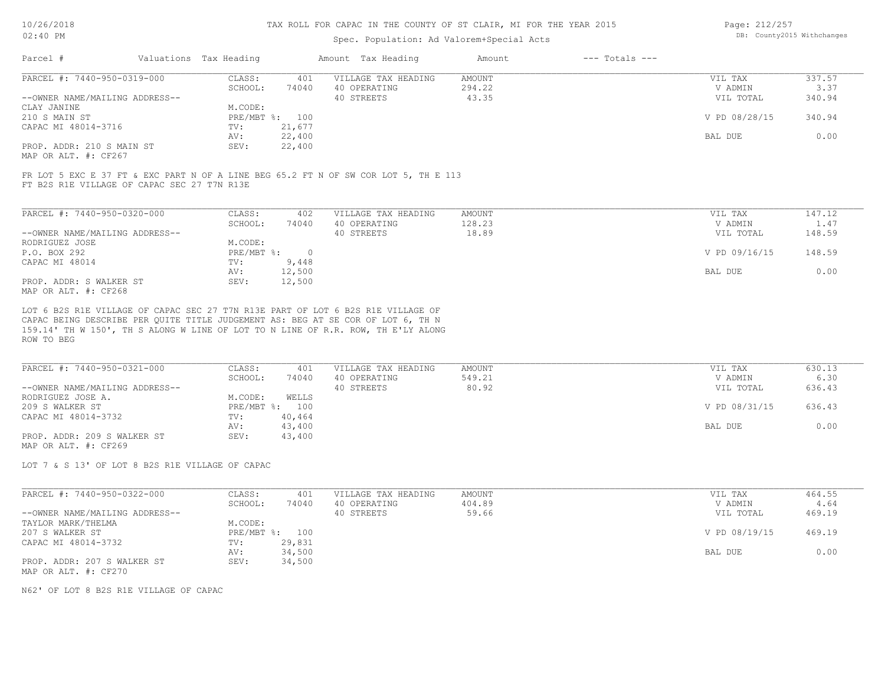#### Spec. Population: Ad Valorem+Special Acts

| Page: 212/257 |                            |
|---------------|----------------------------|
|               | DB: County2015 Withchanges |

| Parcel #                                              | Valuations Tax Heading |        | Amount Tax Heading  | Amount | $---$ Totals $---$ |               |        |
|-------------------------------------------------------|------------------------|--------|---------------------|--------|--------------------|---------------|--------|
| PARCEL #: 7440-950-0319-000                           | CLASS:                 | 401    | VILLAGE TAX HEADING | AMOUNT |                    | VIL TAX       | 337.57 |
|                                                       | SCHOOL:                | 74040  | 40 OPERATING        | 294.22 |                    | V ADMIN       | 3.37   |
| --OWNER NAME/MAILING ADDRESS--                        |                        |        | 40 STREETS          | 43.35  |                    | VIL TOTAL     | 340.94 |
| CLAY JANINE                                           | M.CODE:                |        |                     |        |                    |               |        |
| 210 S MAIN ST                                         | PRE/MBT %: 100         |        |                     |        |                    | V PD 08/28/15 | 340.94 |
| CAPAC MI 48014-3716                                   | TV:                    | 21,677 |                     |        |                    |               |        |
|                                                       | AV:                    | 22,400 |                     |        |                    | BAL DUE       | 0.00   |
| PROP. ADDR: 210 S MAIN ST                             | SEV:                   | 22,400 |                     |        |                    |               |        |
| $\cdots$ $\cdots$ $\cdots$ $\cdots$ $\cdots$ $\cdots$ |                        |        |                     |        |                    |               |        |

MAP OR ALT. #: CF267

FT B2S R1E VILLAGE OF CAPAC SEC 27 T7N R13E FR LOT 5 EXC E 37 FT & EXC PART N OF A LINE BEG 65.2 FT N OF SW COR LOT 5, TH E 113

| PARCEL #: 7440-950-0320-000    | CLASS:     | 402    | VILLAGE TAX HEADING | AMOUNT | VIL TAX       | 147.12 |
|--------------------------------|------------|--------|---------------------|--------|---------------|--------|
|                                | SCHOOL:    | 74040  | 40 OPERATING        | 128.23 | V ADMIN       | 1.47   |
| --OWNER NAME/MAILING ADDRESS-- |            |        | 40 STREETS          | 18.89  | VIL TOTAL     | 148.59 |
| RODRIGUEZ JOSE                 | M.CODE:    |        |                     |        |               |        |
| P.O. BOX 292                   | PRE/MBT %: |        |                     |        | V PD 09/16/15 | 148.59 |
| CAPAC MI 48014                 | TV:        | 9,448  |                     |        |               |        |
|                                | AV:        | 12,500 |                     |        | BAL DUE       | 0.00   |
| PROP. ADDR: S WALKER ST        | SEV:       | 12,500 |                     |        |               |        |
| MAP OR ALT. #: CF268           |            |        |                     |        |               |        |

ROW TO BEG 159.14' TH W 150', TH S ALONG W LINE OF LOT TO N LINE OF R.R. ROW, TH E'LY ALONG CAPAC BEING DESCRIBE PER QUITE TITLE JUDGEMENT AS: BEG AT SE COR OF LOT 6, TH N LOT 6 B2S R1E VILLAGE OF CAPAC SEC 27 T7N R13E PART OF LOT 6 B2S R1E VILLAGE OF

| PARCEL #: 7440-950-0321-000    | CLASS:     | 401    | VILLAGE TAX HEADING | AMOUNT | VIL TAX       | 630.13 |
|--------------------------------|------------|--------|---------------------|--------|---------------|--------|
|                                | SCHOOL:    | 74040  | 40 OPERATING        | 549.21 | V ADMIN       | 6.30   |
| --OWNER NAME/MAILING ADDRESS-- |            |        | 40 STREETS          | 80.92  | VIL TOTAL     | 636.43 |
| RODRIGUEZ JOSE A.              | M.CODE:    | WELLS  |                     |        |               |        |
| 209 S WALKER ST                | PRE/MBT %: | 100    |                     |        | V PD 08/31/15 | 636.43 |
| CAPAC MI 48014-3732            | TV:        | 40,464 |                     |        |               |        |
|                                | AV:        | 43,400 |                     |        | BAL DUE       | 0.00   |
| PROP. ADDR: 209 S WALKER ST    | SEV:       | 43,400 |                     |        |               |        |
| MAP OR ALT. #: CF269           |            |        |                     |        |               |        |

LOT 7 & S 13' OF LOT 8 B2S R1E VILLAGE OF CAPAC

| PARCEL #: 7440-950-0322-000    | CLASS:  | 401            | VILLAGE TAX HEADING | AMOUNT | VIL TAX       | 464.55 |
|--------------------------------|---------|----------------|---------------------|--------|---------------|--------|
|                                | SCHOOL: | 74040          | 40 OPERATING        | 404.89 | V ADMIN       | 4.64   |
| --OWNER NAME/MAILING ADDRESS-- |         |                | 40 STREETS          | 59.66  | VIL TOTAL     | 469.19 |
| TAYLOR MARK/THELMA             | M.CODE: |                |                     |        |               |        |
| 207 S WALKER ST                |         | PRE/MBT %: 100 |                     |        | V PD 08/19/15 | 469.19 |
| CAPAC MI 48014-3732            | TV:     | 29,831         |                     |        |               |        |
|                                | AV:     | 34,500         |                     |        | BAL DUE       | 0.00   |
| PROP. ADDR: 207 S WALKER ST    | SEV:    | 34,500         |                     |        |               |        |
| MAP OR ALT. #: CF270           |         |                |                     |        |               |        |

N62' OF LOT 8 B2S R1E VILLAGE OF CAPAC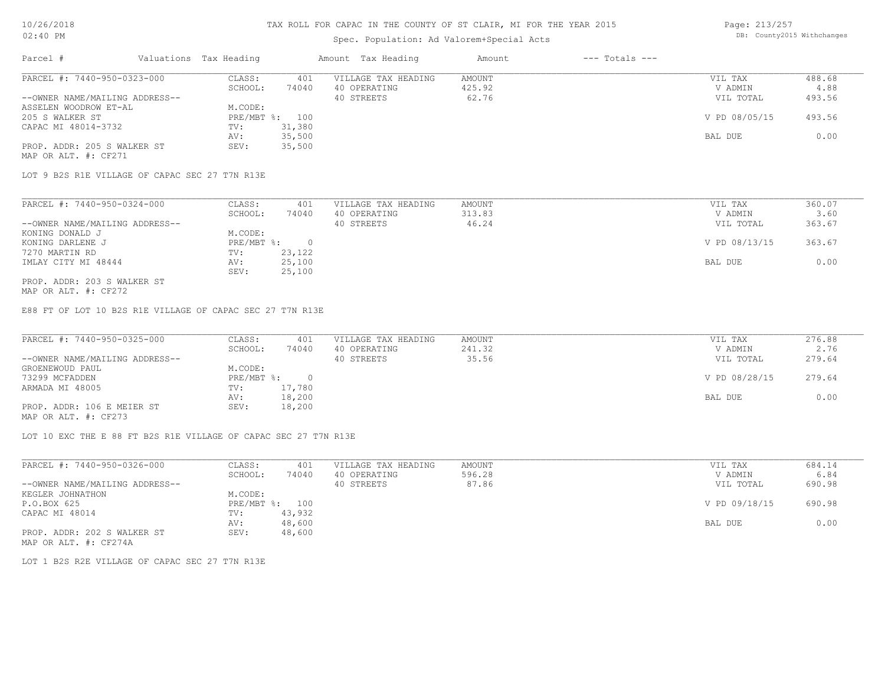# Spec. Population: Ad Valorem+Special Acts

| Page: 213/257 |                            |
|---------------|----------------------------|
|               | DB: County2015 Withchanges |

| Parcel #                       | Valuations Tax Heading |        | Amount Tax Heading  | Amount | $---$ Totals $---$ |               |        |
|--------------------------------|------------------------|--------|---------------------|--------|--------------------|---------------|--------|
| PARCEL #: 7440-950-0323-000    | CLASS:                 | 401    | VILLAGE TAX HEADING | AMOUNT |                    | VIL TAX       | 488.68 |
|                                | SCHOOL:                | 74040  | 40 OPERATING        | 425.92 |                    | V ADMIN       | 4.88   |
| --OWNER NAME/MAILING ADDRESS-- |                        |        | 40 STREETS          | 62.76  |                    | VIL TOTAL     | 493.56 |
| ASSELEN WOODROW ET-AL          | M.CODE:                |        |                     |        |                    |               |        |
| 205 S WALKER ST                | PRE/MBT %:             | 100    |                     |        |                    | V PD 08/05/15 | 493.56 |
| CAPAC MI 48014-3732            | TV:                    | 31,380 |                     |        |                    |               |        |
|                                | AV:                    | 35,500 |                     |        |                    | BAL DUE       | 0.00   |
| PROP. ADDR: 205 S WALKER ST    | SEV:                   | 35,500 |                     |        |                    |               |        |
| MAP OR ALT. #: CF271           |                        |        |                     |        |                    |               |        |

LOT 9 B2S R1E VILLAGE OF CAPAC SEC 27 T7N R13E

| PARCEL #: 7440-950-0324-000    | CLASS:     | 401    | VILLAGE TAX HEADING | AMOUNT | VIL TAX       | 360.07 |
|--------------------------------|------------|--------|---------------------|--------|---------------|--------|
|                                | SCHOOL:    | 74040  | 40 OPERATING        | 313.83 | V ADMIN       | 3.60   |
| --OWNER NAME/MAILING ADDRESS-- |            |        | 40 STREETS          | 46.24  | VIL TOTAL     | 363.67 |
| KONING DONALD J                | M.CODE:    |        |                     |        |               |        |
| KONING DARLENE J               | PRE/MBT %: |        |                     |        | V PD 08/13/15 | 363.67 |
| 7270 MARTIN RD                 | TV:        | 23,122 |                     |        |               |        |
| IMLAY CITY MI 48444            | AV:        | 25,100 |                     |        | BAL DUE       | 0.00   |
|                                | SEV:       | 25,100 |                     |        |               |        |
| PROP. ADDR: 203 S WALKER ST    |            |        |                     |        |               |        |

MAP OR ALT. #: CF272

E88 FT OF LOT 10 B2S R1E VILLAGE OF CAPAC SEC 27 T7N R13E

| PARCEL #: 7440-950-0325-000    | CLASS:     | 401    | VILLAGE TAX HEADING | AMOUNT | VIL TAX       | 276.88 |
|--------------------------------|------------|--------|---------------------|--------|---------------|--------|
|                                | SCHOOL:    | 74040  | 40 OPERATING        | 241.32 | V ADMIN       | 2.76   |
| --OWNER NAME/MAILING ADDRESS-- |            |        | 40 STREETS          | 35.56  | VIL TOTAL     | 279.64 |
| GROENEWOUD PAUL                | M.CODE:    |        |                     |        |               |        |
| 73299 MCFADDEN                 | PRE/MBT %: |        |                     |        | V PD 08/28/15 | 279.64 |
| ARMADA MI 48005                | TV:        | 17,780 |                     |        |               |        |
|                                | AV:        | 18,200 |                     |        | BAL DUE       | 0.00   |
| PROP. ADDR: 106 E MEIER ST     | SEV:       | 18,200 |                     |        |               |        |
| MAP OR ALT. #: CF273           |            |        |                     |        |               |        |

LOT 10 EXC THE E 88 FT B2S R1E VILLAGE OF CAPAC SEC 27 T7N R13E

| PARCEL #: 7440-950-0326-000    | CLASS:  | 401            | VILLAGE TAX HEADING | AMOUNT | VIL TAX       | 684.14 |
|--------------------------------|---------|----------------|---------------------|--------|---------------|--------|
|                                | SCHOOL: | 74040          | 40 OPERATING        | 596.28 | V ADMIN       | 6.84   |
| --OWNER NAME/MAILING ADDRESS-- |         |                | 40 STREETS          | 87.86  | VIL TOTAL     | 690.98 |
| KEGLER JOHNATHON               | M.CODE: |                |                     |        |               |        |
| P.O.BOX 625                    |         | PRE/MBT %: 100 |                     |        | V PD 09/18/15 | 690.98 |
| CAPAC MI 48014                 | TV:     | 43,932         |                     |        |               |        |
|                                | AV:     | 48,600         |                     |        | BAL DUE       | 0.00   |
| PROP. ADDR: 202 S WALKER ST    | SEV:    | 48,600         |                     |        |               |        |
| MAP OR ALT. #: CF274A          |         |                |                     |        |               |        |

LOT 1 B2S R2E VILLAGE OF CAPAC SEC 27 T7N R13E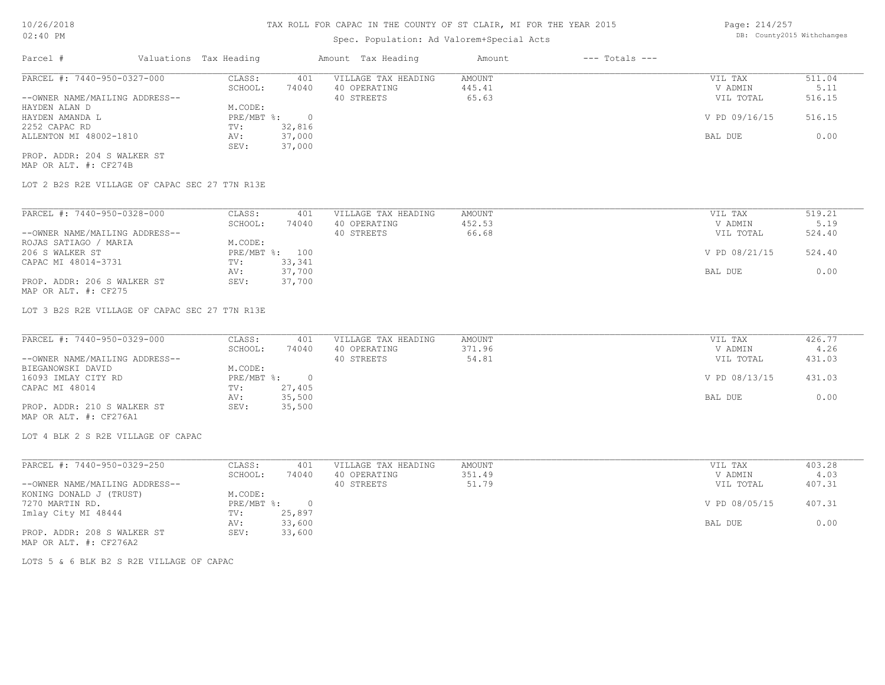## Spec. Population: Ad Valorem+Special Acts

| Page: 214/257 |                            |
|---------------|----------------------------|
|               | DB: County2015 Withchanges |

| Parcel #                       | Valuations Tax Heading |        | Amount Tax Heading  | Amount | $---$ Totals $---$ |               |        |
|--------------------------------|------------------------|--------|---------------------|--------|--------------------|---------------|--------|
| PARCEL #: 7440-950-0327-000    | CLASS:                 | 401    | VILLAGE TAX HEADING | AMOUNT |                    | VIL TAX       | 511.04 |
|                                | SCHOOL:                | 74040  | 40 OPERATING        | 445.41 |                    | V ADMIN       | 5.11   |
| --OWNER NAME/MAILING ADDRESS-- |                        |        | 40 STREETS          | 65.63  |                    | VIL TOTAL     | 516.15 |
| HAYDEN ALAN D                  | M.CODE:                |        |                     |        |                    |               |        |
| HAYDEN AMANDA L                | PRE/MBT %:             |        |                     |        |                    | V PD 09/16/15 | 516.15 |
| 2252 CAPAC RD                  | TV:                    | 32,816 |                     |        |                    |               |        |
| ALLENTON MI 48002-1810         | AV:                    | 37,000 |                     |        |                    | BAL DUE       | 0.00   |
|                                | SEV:                   | 37,000 |                     |        |                    |               |        |
| PROP. ADDR: 204 S WALKER ST    |                        |        |                     |        |                    |               |        |

MAP OR ALT. #: CF274B

LOT 2 B2S R2E VILLAGE OF CAPAC SEC 27 T7N R13E

| PARCEL #: 7440-950-0328-000    | CLASS:  | 401            | VILLAGE TAX HEADING | AMOUNT | VIL TAX       | 519.21 |
|--------------------------------|---------|----------------|---------------------|--------|---------------|--------|
|                                | SCHOOL: | 74040          | 40 OPERATING        | 452.53 | V ADMIN       | 5.19   |
| --OWNER NAME/MAILING ADDRESS-- |         |                | 40 STREETS          | 66.68  | VIL TOTAL     | 524.40 |
| ROJAS SATIAGO / MARIA          | M.CODE: |                |                     |        |               |        |
| 206 S WALKER ST                |         | PRE/MBT %: 100 |                     |        | V PD 08/21/15 | 524.40 |
| CAPAC MI 48014-3731            | TV:     | 33,341         |                     |        |               |        |
|                                | AV:     | 37,700         |                     |        | BAL DUE       | 0.00   |
| PROP. ADDR: 206 S WALKER ST    | SEV:    | 37,700         |                     |        |               |        |
| MAP OR ALT. #: CF275           |         |                |                     |        |               |        |

LOT 3 B2S R2E VILLAGE OF CAPAC SEC 27 T7N R13E

| PARCEL #: 7440-950-0329-000    | CLASS:     | 401    | VILLAGE TAX HEADING | AMOUNT | VIL TAX       | 426.77 |
|--------------------------------|------------|--------|---------------------|--------|---------------|--------|
|                                | SCHOOL:    | 74040  | 40 OPERATING        | 371.96 | V ADMIN       | 4.26   |
| --OWNER NAME/MAILING ADDRESS-- |            |        | 40 STREETS          | 54.81  | VIL TOTAL     | 431.03 |
| BIEGANOWSKI DAVID              | M.CODE:    |        |                     |        |               |        |
| 16093 IMLAY CITY RD            | PRE/MBT %: |        |                     |        | V PD 08/13/15 | 431.03 |
| CAPAC MI 48014                 | TV:        | 27,405 |                     |        |               |        |
|                                | AV:        | 35,500 |                     |        | BAL DUE       | 0.00   |
| PROP. ADDR: 210 S WALKER ST    | SEV:       | 35,500 |                     |        |               |        |
| MAP OR ALT. #: CF276A1         |            |        |                     |        |               |        |

LOT 4 BLK 2 S R2E VILLAGE OF CAPAC

| PARCEL #: 7440-950-0329-250    | CLASS:     | 401    | VILLAGE TAX HEADING | AMOUNT | VIL TAX       | 403.28 |
|--------------------------------|------------|--------|---------------------|--------|---------------|--------|
|                                | SCHOOL:    | 74040  | 40 OPERATING        | 351.49 | V ADMIN       | 4.03   |
| --OWNER NAME/MAILING ADDRESS-- |            |        | 40 STREETS          | 51.79  | VIL TOTAL     | 407.31 |
| KONING DONALD J (TRUST)        | M.CODE:    |        |                     |        |               |        |
| 7270 MARTIN RD.                | PRE/MBT %: |        |                     |        | V PD 08/05/15 | 407.31 |
| Imlay City MI 48444            | TV:        | 25,897 |                     |        |               |        |
|                                | AV:        | 33,600 |                     |        | BAL DUE       | 0.00   |
| PROP. ADDR: 208 S WALKER ST    | SEV:       | 33,600 |                     |        |               |        |
| MAP OR ALT. #: CF276A2         |            |        |                     |        |               |        |

LOTS 5 & 6 BLK B2 S R2E VILLAGE OF CAPAC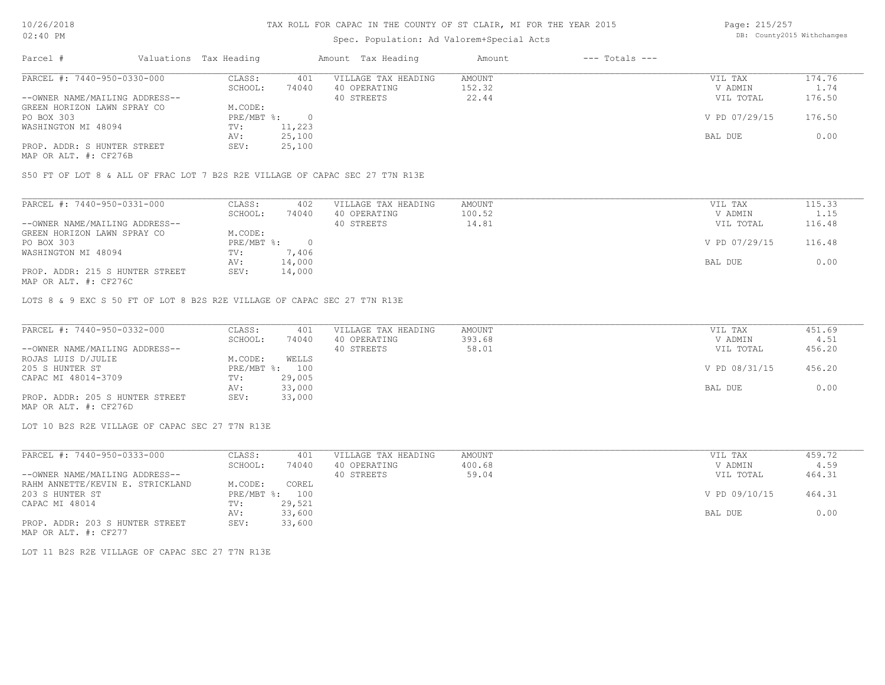# Spec. Population: Ad Valorem+Special Acts

Page: 215/257 DB: County2015 Withchanges

| Parcel #                       | Valuations Tax Heading |        | Amount Tax Heading  | Amount | $---$ Totals $---$ |               |        |
|--------------------------------|------------------------|--------|---------------------|--------|--------------------|---------------|--------|
| PARCEL #: 7440-950-0330-000    | CLASS:                 | 401    | VILLAGE TAX HEADING | AMOUNT |                    | VIL TAX       | 174.76 |
|                                | SCHOOL:                | 74040  | 40 OPERATING        | 152.32 |                    | V ADMIN       | 1.74   |
| --OWNER NAME/MAILING ADDRESS-- |                        |        | 40 STREETS          | 22.44  |                    | VIL TOTAL     | 176.50 |
| GREEN HORIZON LAWN SPRAY CO    | M.CODE:                |        |                     |        |                    |               |        |
| PO BOX 303                     | $PRE/MBT$ %:           |        |                     |        |                    | V PD 07/29/15 | 176.50 |
| WASHINGTON MI 48094            | TV:                    | 11,223 |                     |        |                    |               |        |
|                                | AV:                    | 25,100 |                     |        |                    | BAL DUE       | 0.00   |
| PROP. ADDR: S HUNTER STREET    | SEV:                   | 25,100 |                     |        |                    |               |        |
|                                |                        |        |                     |        |                    |               |        |

MAP OR ALT. #: CF276B

S50 FT OF LOT 8 & ALL OF FRAC LOT 7 B2S R2E VILLAGE OF CAPAC SEC 27 T7N R13E

| PARCEL #: 7440-950-0331-000     | CLASS:     | 402    | VILLAGE TAX HEADING | AMOUNT | VIL TAX       | 115.33 |
|---------------------------------|------------|--------|---------------------|--------|---------------|--------|
|                                 | SCHOOL:    | 74040  | 40 OPERATING        | 100.52 | V ADMIN       | 1.15   |
| --OWNER NAME/MAILING ADDRESS--  |            |        | 40 STREETS          | 14.81  | VIL TOTAL     | 116.48 |
| GREEN HORIZON LAWN SPRAY CO     | M.CODE:    |        |                     |        |               |        |
| PO BOX 303                      | PRE/MBT %: |        |                     |        | V PD 07/29/15 | 116.48 |
| WASHINGTON MI 48094             | TV:        | 7,406  |                     |        |               |        |
|                                 | AV:        | 14,000 |                     |        | BAL DUE       | 0.00   |
| PROP. ADDR: 215 S HUNTER STREET | SEV:       | 14,000 |                     |        |               |        |
| MAP OR ALT. #: CF276C           |            |        |                     |        |               |        |

LOTS 8 & 9 EXC S 50 FT OF LOT 8 B2S R2E VILLAGE OF CAPAC SEC 27 T7N R13E

| PARCEL #: 7440-950-0332-000     | CLASS:  | 401            | VILLAGE TAX HEADING | AMOUNT | VIL TAX       | 451.69 |
|---------------------------------|---------|----------------|---------------------|--------|---------------|--------|
|                                 | SCHOOL: | 74040          | 40 OPERATING        | 393.68 | V ADMIN       | 4.51   |
| --OWNER NAME/MAILING ADDRESS--  |         |                | 40 STREETS          | 58.01  | VIL TOTAL     | 456.20 |
| ROJAS LUIS D/JULIE              | M.CODE: | WELLS          |                     |        |               |        |
| 205 S HUNTER ST                 |         | PRE/MBT %: 100 |                     |        | V PD 08/31/15 | 456.20 |
| CAPAC MI 48014-3709             | TV:     | 29,005         |                     |        |               |        |
|                                 | AV:     | 33,000         |                     |        | BAL DUE       | 0.00   |
| PROP. ADDR: 205 S HUNTER STREET | SEV:    | 33,000         |                     |        |               |        |
| MAP OR ALT. #: CF276D           |         |                |                     |        |               |        |

LOT 10 B2S R2E VILLAGE OF CAPAC SEC 27 T7N R13E

| PARCEL #: 7440-950-0333-000      | CLASS:     | 401    | VILLAGE TAX HEADING | AMOUNT | VIL TAX       | 459.72 |  |
|----------------------------------|------------|--------|---------------------|--------|---------------|--------|--|
|                                  | SCHOOL:    | 74040  | 40 OPERATING        | 400.68 | V ADMIN       | 4.59   |  |
| --OWNER NAME/MAILING ADDRESS--   |            |        | 40 STREETS          | 59.04  | VIL TOTAL     | 464.31 |  |
| RAHM ANNETTE/KEVIN E. STRICKLAND | M.CODE:    | COREL  |                     |        |               |        |  |
| 203 S HUNTER ST                  | PRE/MBT %: | 100    |                     |        | V PD 09/10/15 | 464.31 |  |
| CAPAC MI 48014                   | TV:        | 29,521 |                     |        |               |        |  |
|                                  | AV:        | 33,600 |                     |        | BAL DUE       | 0.00   |  |
| PROP. ADDR: 203 S HUNTER STREET  | SEV:       | 33,600 |                     |        |               |        |  |

MAP OR ALT. #: CF277

LOT 11 B2S R2E VILLAGE OF CAPAC SEC 27 T7N R13E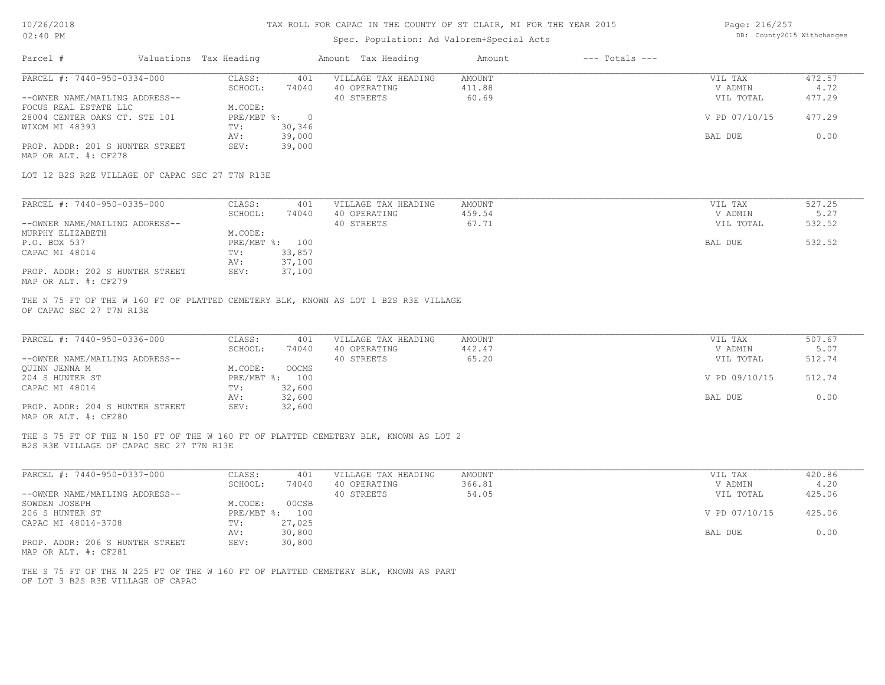# Spec. Population: Ad Valorem+Special Acts

Page: 216/257 DB: County2015 Withchanges

| Parcel #                                                      | Valuations Tax Heading |                       |                         | Amount Tax Heading                                                                  | Amount                           | $---$ Totals $---$ |                                 |                          |
|---------------------------------------------------------------|------------------------|-----------------------|-------------------------|-------------------------------------------------------------------------------------|----------------------------------|--------------------|---------------------------------|--------------------------|
| PARCEL #: 7440-950-0334-000<br>--OWNER NAME/MAILING ADDRESS-- |                        | CLASS:<br>SCHOOL:     | 401<br>74040            | VILLAGE TAX HEADING<br>40 OPERATING<br>40 STREETS                                   | <b>AMOUNT</b><br>411.88<br>60.69 |                    | VIL TAX<br>V ADMIN<br>VIL TOTAL | 472.57<br>4.72<br>477.29 |
| FOCUS REAL ESTATE LLC<br>28004 CENTER OAKS CT. STE 101        |                        | M.CODE:<br>PRE/MBT %: | $\overline{0}$          |                                                                                     |                                  |                    | V PD 07/10/15                   | 477.29                   |
| WIXOM MI 48393                                                |                        | TV:<br>AV:            | 30,346<br>39,000        |                                                                                     |                                  |                    | BAL DUE                         | 0.00                     |
| PROP. ADDR: 201 S HUNTER STREET<br>MAP OR ALT. #: CF278       |                        | SEV:                  | 39,000                  |                                                                                     |                                  |                    |                                 |                          |
| LOT 12 B2S R2E VILLAGE OF CAPAC SEC 27 T7N R13E               |                        |                       |                         |                                                                                     |                                  |                    |                                 |                          |
| PARCEL #: 7440-950-0335-000                                   |                        | CLASS:                | 401                     | VILLAGE TAX HEADING                                                                 | <b>AMOUNT</b>                    |                    | VIL TAX                         | 527.25                   |
|                                                               |                        | SCHOOL:               | 74040                   | 40 OPERATING                                                                        | 459.54<br>67.71                  |                    | V ADMIN                         | 5.27<br>532.52           |
| --OWNER NAME/MAILING ADDRESS--<br>MURPHY ELIZABETH            |                        | M.CODE:               |                         | 40 STREETS                                                                          |                                  |                    | VIL TOTAL                       |                          |
| P.O. BOX 537                                                  |                        |                       | PRE/MBT %: 100          |                                                                                     |                                  |                    | BAL DUE                         | 532.52                   |
| CAPAC MI 48014                                                |                        | TV:                   | 33,857                  |                                                                                     |                                  |                    |                                 |                          |
|                                                               |                        | AV:                   | 37,100                  |                                                                                     |                                  |                    |                                 |                          |
| PROP. ADDR: 202 S HUNTER STREET<br>MAP OR ALT. #: CF279       |                        | SEV:                  | 37,100                  |                                                                                     |                                  |                    |                                 |                          |
| OF CAPAC SEC 27 T7N R13E                                      |                        |                       |                         | THE N 75 FT OF THE W 160 FT OF PLATTED CEMETERY BLK, KNOWN AS LOT 1 B2S R3E VILLAGE |                                  |                    |                                 |                          |
|                                                               |                        |                       |                         |                                                                                     |                                  |                    |                                 |                          |
| PARCEL #: 7440-950-0336-000                                   |                        | CLASS:                | 401                     | VILLAGE TAX HEADING                                                                 | <b>AMOUNT</b>                    |                    | VIL TAX                         | 507.67                   |
|                                                               |                        | SCHOOL:               | 74040                   | 40 OPERATING                                                                        | 442.47                           |                    | V ADMIN                         | 5.07                     |
| --OWNER NAME/MAILING ADDRESS--<br>QUINN JENNA M               |                        | M.CODE:               | OOCMS                   | 40 STREETS                                                                          | 65.20                            |                    | VIL TOTAL                       | 512.74                   |
| 204 S HUNTER ST                                               |                        |                       | PRE/MBT %: 100          |                                                                                     |                                  |                    | V PD 09/10/15                   | 512.74                   |
| CAPAC MI 48014                                                |                        | TV:                   | 32,600                  |                                                                                     |                                  |                    |                                 |                          |
|                                                               |                        | AV:                   | 32,600                  |                                                                                     |                                  |                    | BAL DUE                         | 0.00                     |
| PROP. ADDR: 204 S HUNTER STREET<br>MAP OR ALT. #: CF280       |                        | SEV:                  | 32,600                  |                                                                                     |                                  |                    |                                 |                          |
| B2S R3E VILLAGE OF CAPAC SEC 27 T7N R13E                      |                        |                       |                         | THE S 75 FT OF THE N 150 FT OF THE W 160 FT OF PLATTED CEMETERY BLK, KNOWN AS LOT 2 |                                  |                    |                                 |                          |
|                                                               |                        |                       |                         |                                                                                     |                                  |                    |                                 |                          |
| PARCEL #: 7440-950-0337-000                                   |                        | CLASS:                | 401                     | VILLAGE TAX HEADING                                                                 | <b>AMOUNT</b>                    |                    | VIL TAX                         | 420.86                   |
|                                                               |                        | SCHOOL:               | 74040                   | 40 OPERATING                                                                        | 366.81                           |                    | V ADMIN                         | 4.20                     |
| --OWNER NAME/MAILING ADDRESS--                                |                        |                       |                         | 40 STREETS                                                                          | 54.05                            |                    | VIL TOTAL                       | 425.06                   |
| SOWDEN JOSEPH<br>206 S HUNTER ST                              |                        | M.CODE:               | 00CSB<br>PRE/MBT %: 100 |                                                                                     |                                  |                    | V PD 07/10/15                   | 425.06                   |
| CAPAC MI 48014-3708                                           |                        | TV:                   | 27,025                  |                                                                                     |                                  |                    |                                 |                          |
|                                                               |                        | AV:                   | 30,800                  |                                                                                     |                                  |                    | BAL DUE                         | 0.00                     |
| PROP. ADDR: 206 S HUNTER STREET<br>MAP OR ALT. #: CF281       |                        | SEV:                  | 30,800                  |                                                                                     |                                  |                    |                                 |                          |
| OF LOT 3 B2S R3E VILLAGE OF CAPAC                             |                        |                       |                         | THE S 75 FT OF THE N 225 FT OF THE W 160 FT OF PLATTED CEMETERY BLK, KNOWN AS PART  |                                  |                    |                                 |                          |
|                                                               |                        |                       |                         |                                                                                     |                                  |                    |                                 |                          |
|                                                               |                        |                       |                         |                                                                                     |                                  |                    |                                 |                          |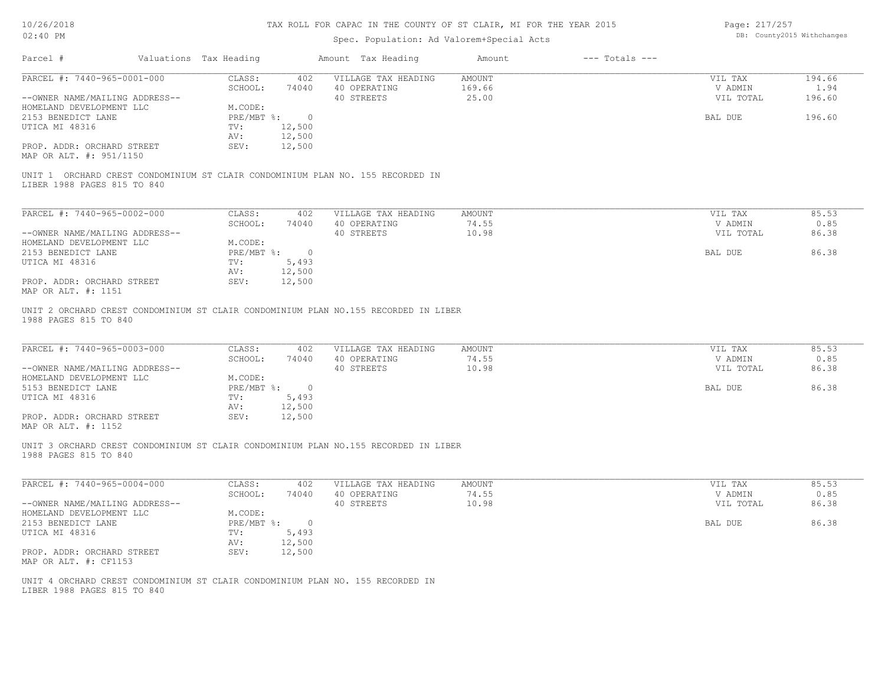# Spec. Population: Ad Valorem+Special Acts

Page: 217/257 DB: County2015 Withchanges

| Parcel #                                                                                                      | Valuations Tax Heading |                | Amount Tax Heading                                                                                         | Amount                    | $---$ Totals $---$ |                                 |                          |
|---------------------------------------------------------------------------------------------------------------|------------------------|----------------|------------------------------------------------------------------------------------------------------------|---------------------------|--------------------|---------------------------------|--------------------------|
| PARCEL #: 7440-965-0001-000<br>--OWNER NAME/MAILING ADDRESS--                                                 | CLASS:<br>SCHOOL:      | 402<br>74040   | VILLAGE TAX HEADING<br>40 OPERATING<br>40 STREETS                                                          | AMOUNT<br>169.66<br>25.00 |                    | VIL TAX<br>V ADMIN<br>VIL TOTAL | 194.66<br>1.94<br>196.60 |
| HOMELAND DEVELOPMENT LLC                                                                                      | M.CODE:                |                |                                                                                                            |                           |                    |                                 |                          |
| 2153 BENEDICT LANE                                                                                            | $PRE/MBT$ $\div$       | $\circ$        |                                                                                                            |                           |                    | BAL DUE                         | 196.60                   |
| UTICA MI 48316                                                                                                | TV:                    | 12,500         |                                                                                                            |                           |                    |                                 |                          |
|                                                                                                               | AV:                    | 12,500         |                                                                                                            |                           |                    |                                 |                          |
| PROP. ADDR: ORCHARD STREET<br>MAP OR ALT. #: 951/1150                                                         | SEV:                   | 12,500         |                                                                                                            |                           |                    |                                 |                          |
| LIBER 1988 PAGES 815 TO 840                                                                                   |                        |                | UNIT 1 ORCHARD CREST CONDOMINIUM ST CLAIR CONDOMINIUM PLAN NO. 155 RECORDED IN                             |                           |                    |                                 |                          |
|                                                                                                               |                        |                |                                                                                                            |                           |                    |                                 |                          |
| PARCEL #: 7440-965-0002-000                                                                                   | CLASS:<br>SCHOOL:      | 402<br>74040   | VILLAGE TAX HEADING<br>40 OPERATING                                                                        | AMOUNT<br>74.55           |                    | VIL TAX<br>V ADMIN              | 85.53<br>0.85            |
| --OWNER NAME/MAILING ADDRESS--                                                                                |                        |                | 40 STREETS                                                                                                 | 10.98                     |                    | VIL TOTAL                       | 86.38                    |
| HOMELAND DEVELOPMENT LLC                                                                                      | M.CODE:                |                |                                                                                                            |                           |                    |                                 |                          |
| 2153 BENEDICT LANE                                                                                            | PRE/MBT %:             | $\overline{0}$ |                                                                                                            |                           |                    | BAL DUE                         | 86.38                    |
| UTICA MI 48316                                                                                                | TV:                    | 5,493          |                                                                                                            |                           |                    |                                 |                          |
|                                                                                                               | AV:                    | 12,500         |                                                                                                            |                           |                    |                                 |                          |
| PROP. ADDR: ORCHARD STREET<br>MAP OR ALT. #: 1151                                                             | SEV:                   | 12,500         |                                                                                                            |                           |                    |                                 |                          |
| 1988 PAGES 815 TO 840<br>PARCEL #: 7440-965-0003-000                                                          | CLASS:                 | 402            | UNIT 2 ORCHARD CREST CONDOMINIUM ST CLAIR CONDOMINIUM PLAN NO.155 RECORDED IN LIBER<br>VILLAGE TAX HEADING | <b>AMOUNT</b>             |                    | VIL TAX                         | 85.53                    |
| --OWNER NAME/MAILING ADDRESS--                                                                                | SCHOOL:                | 74040          | 40 OPERATING<br>40 STREETS                                                                                 | 74.55<br>10.98            |                    | V ADMIN<br>VIL TOTAL            | 0.85<br>86.38            |
| HOMELAND DEVELOPMENT LLC                                                                                      | M.CODE:                |                |                                                                                                            |                           |                    |                                 |                          |
| 5153 BENEDICT LANE                                                                                            |                        | PRE/MBT %: 0   |                                                                                                            |                           |                    | BAL DUE                         | 86.38                    |
| UTICA MI 48316                                                                                                | TV:                    | 5,493          |                                                                                                            |                           |                    |                                 |                          |
|                                                                                                               | AV:                    | 12,500         |                                                                                                            |                           |                    |                                 |                          |
| PROP. ADDR: ORCHARD STREET<br>MAP OR ALT. #: 1152                                                             | SEV:                   | 12,500         |                                                                                                            |                           |                    |                                 |                          |
| 1988 PAGES 815 TO 840                                                                                         |                        |                | UNIT 3 ORCHARD CREST CONDOMINIUM ST CLAIR CONDOMINIUM PLAN NO.155 RECORDED IN LIBER                        |                           |                    |                                 |                          |
| PARCEL #: 7440-965-0004-000                                                                                   | CLASS:                 | 402            | VILLAGE TAX HEADING                                                                                        | AMOUNT                    |                    | VIL TAX                         | 85.53                    |
|                                                                                                               | SCHOOL:                | 74040          | 40 OPERATING                                                                                               | 74.55                     |                    | V ADMIN                         | 0.85                     |
| --OWNER NAME/MAILING ADDRESS--<br>HOMELAND DEVELOPMENT LLC                                                    | M.CODE:                |                | 40 STREETS                                                                                                 | 10.98                     |                    | VIL TOTAL                       | 86.38                    |
| 2153 BENEDICT LANE                                                                                            | PRE/MBT %:             | $\overline{0}$ |                                                                                                            |                           |                    | BAL DUE                         | 86.38                    |
| UTICA MI 48316                                                                                                | TV:                    | 5,493          |                                                                                                            |                           |                    |                                 |                          |
|                                                                                                               | AV:                    | 12,500         |                                                                                                            |                           |                    |                                 |                          |
| PROP. ADDR: ORCHARD STREET<br>MAP OR ALT. #: CF1153                                                           | SEV:                   | 12,500         |                                                                                                            |                           |                    |                                 |                          |
| UNIT 4 ORCHARD CREST CONDOMINIUM ST CLAIR CONDOMINIUM PLAN NO. 155 RECORDED IN<br>LIBER 1988 PAGES 815 TO 840 |                        |                |                                                                                                            |                           |                    |                                 |                          |
|                                                                                                               |                        |                |                                                                                                            |                           |                    |                                 |                          |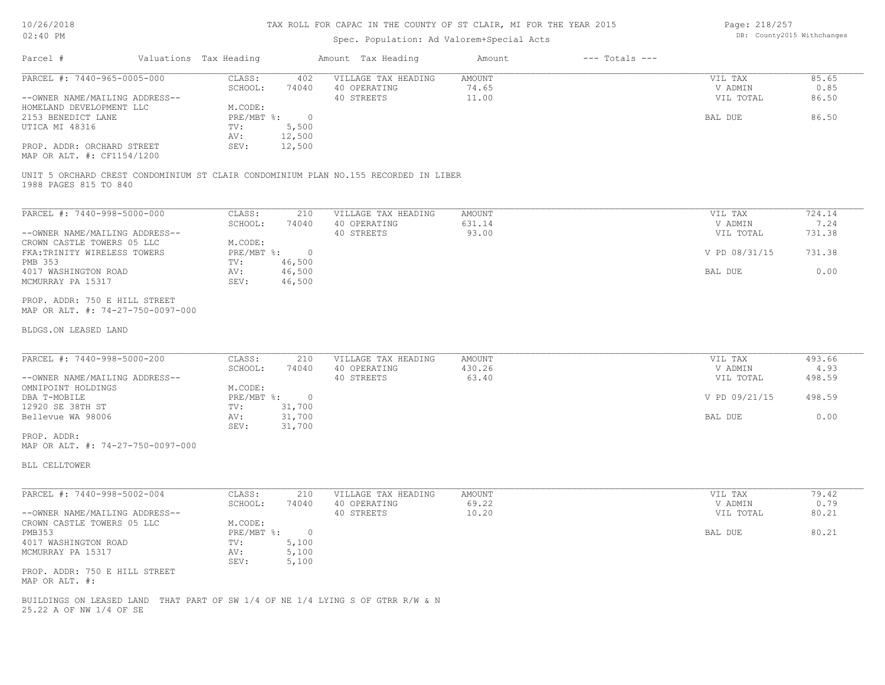#### Spec. Population: Ad Valorem+Special Acts

Page: 218/257 DB: County2015 Withchanges

| Parcel #                                    | Valuations Tax Heading |        | Amount Tax Heading  | Amount | $---$ Totals $---$ |           |       |
|---------------------------------------------|------------------------|--------|---------------------|--------|--------------------|-----------|-------|
| PARCEL #: 7440-965-0005-000                 | CLASS:                 | 402    | VILLAGE TAX HEADING | AMOUNT |                    | VIL TAX   | 85.65 |
|                                             | SCHOOL:                | 74040  | 40 OPERATING        | 74.65  |                    | V ADMIN   | 0.85  |
| --OWNER NAME/MAILING ADDRESS--              |                        |        | 40 STREETS          | 11.00  |                    | VIL TOTAL | 86.50 |
| HOMELAND DEVELOPMENT LLC                    | M.CODE:                |        |                     |        |                    |           |       |
| 2153 BENEDICT LANE                          | $PRE/MBT$ %:           |        |                     |        |                    | BAL DUE   | 86.50 |
| UTICA MI 48316                              | TV:                    | 5,500  |                     |        |                    |           |       |
|                                             | AV:                    | 12,500 |                     |        |                    |           |       |
| PROP. ADDR: ORCHARD STREET<br>$\frac{1}{2}$ | SEV:                   | 12,500 |                     |        |                    |           |       |

MAP OR ALT. #: CF1154/1200

1988 PAGES 815 TO 840 UNIT 5 ORCHARD CREST CONDOMINIUM ST CLAIR CONDOMINIUM PLAN NO.155 RECORDED IN LIBER

| PARCEL #: 7440-998-5000-000    | CLASS:     | 210    | VILLAGE TAX HEADING | AMOUNT |         | VIL TAX       | 724.14 |
|--------------------------------|------------|--------|---------------------|--------|---------|---------------|--------|
|                                | SCHOOL:    | 74040  | 40 OPERATING        | 631.14 |         | V ADMIN       | 7.24   |
| --OWNER NAME/MAILING ADDRESS-- |            |        | 40 STREETS          | 93.00  |         | VIL TOTAL     | 731.38 |
| CROWN CASTLE TOWERS 05 LLC     | M.CODE:    |        |                     |        |         |               |        |
| FKA: TRINITY WIRELESS TOWERS   | PRE/MBT %: |        |                     |        |         | V PD 08/31/15 | 731.38 |
| PMB 353                        | TV:        | 46,500 |                     |        |         |               |        |
| 4017 WASHINGTON ROAD           | AV:        | 46,500 |                     |        | BAL DUE |               | 0.00   |
| MCMURRAY PA 15317              | SEV:       | 46,500 |                     |        |         |               |        |
|                                |            |        |                     |        |         |               |        |

MAP OR ALT. #: 74-27-750-0097-000 PROP. ADDR: 750 E HILL STREET

#### BLDGS.ON LEASED LAND

| PARCEL #: 7440-998-5000-200    | CLASS:     | 210    | VILLAGE TAX HEADING | AMOUNT | VIL TAX       | 493.66 |
|--------------------------------|------------|--------|---------------------|--------|---------------|--------|
|                                | SCHOOL:    | 74040  | 40 OPERATING        | 430.26 | V ADMIN       | 4.93   |
| --OWNER NAME/MAILING ADDRESS-- |            |        | 40 STREETS          | 63.40  | VIL TOTAL     | 498.59 |
| OMNIPOINT HOLDINGS             | M.CODE:    |        |                     |        |               |        |
| DBA T-MOBILE                   | PRE/MBT %: | n.     |                     |        | V PD 09/21/15 | 498.59 |
| 12920 SE 38TH ST               | TV:        | 31,700 |                     |        |               |        |
| Bellevue WA 98006              | AV:        | 31,700 |                     |        | BAL DUE       | 0.00   |
|                                | SEV:       | 31,700 |                     |        |               |        |
| PROP. ADDR:                    |            |        |                     |        |               |        |

 $\mathcal{L}_\mathcal{L} = \mathcal{L}_\mathcal{L} = \mathcal{L}_\mathcal{L} = \mathcal{L}_\mathcal{L} = \mathcal{L}_\mathcal{L} = \mathcal{L}_\mathcal{L} = \mathcal{L}_\mathcal{L} = \mathcal{L}_\mathcal{L} = \mathcal{L}_\mathcal{L} = \mathcal{L}_\mathcal{L} = \mathcal{L}_\mathcal{L} = \mathcal{L}_\mathcal{L} = \mathcal{L}_\mathcal{L} = \mathcal{L}_\mathcal{L} = \mathcal{L}_\mathcal{L} = \mathcal{L}_\mathcal{L} = \mathcal{L}_\mathcal{L}$ 

MAP OR ALT. #: 74-27-750-0097-000

BLL CELLTOWER

| PARCEL #: 7440-998-5002-004    | CLASS:           | 210   | VILLAGE TAX HEADING | AMOUNT | VIL TAX   | 79.42 |
|--------------------------------|------------------|-------|---------------------|--------|-----------|-------|
|                                | SCHOOL:          | 74040 | 40 OPERATING        | 69.22  | V ADMIN   | 0.79  |
| --OWNER NAME/MAILING ADDRESS-- |                  |       | 40 STREETS          | 10.20  | VIL TOTAL | 80.21 |
| CROWN CASTLE TOWERS 05 LLC     | M.CODE:          |       |                     |        |           |       |
| PMB353                         | $PRE/MBT$ $\div$ |       |                     |        | BAL DUE   | 80.21 |
| 4017 WASHINGTON ROAD           | TV:              | 5,100 |                     |        |           |       |
| MCMURRAY PA 15317              | AV:              | 5,100 |                     |        |           |       |
|                                | SEV:             | 5,100 |                     |        |           |       |
| PROP. ADDR: 750 E HILL STREET  |                  |       |                     |        |           |       |
| MAP OR ALT. #:                 |                  |       |                     |        |           |       |

25.22 A OF NW 1/4 OF SE BUILDINGS ON LEASED LAND THAT PART OF SW 1/4 OF NE 1/4 LYING S OF GTRR R/W & N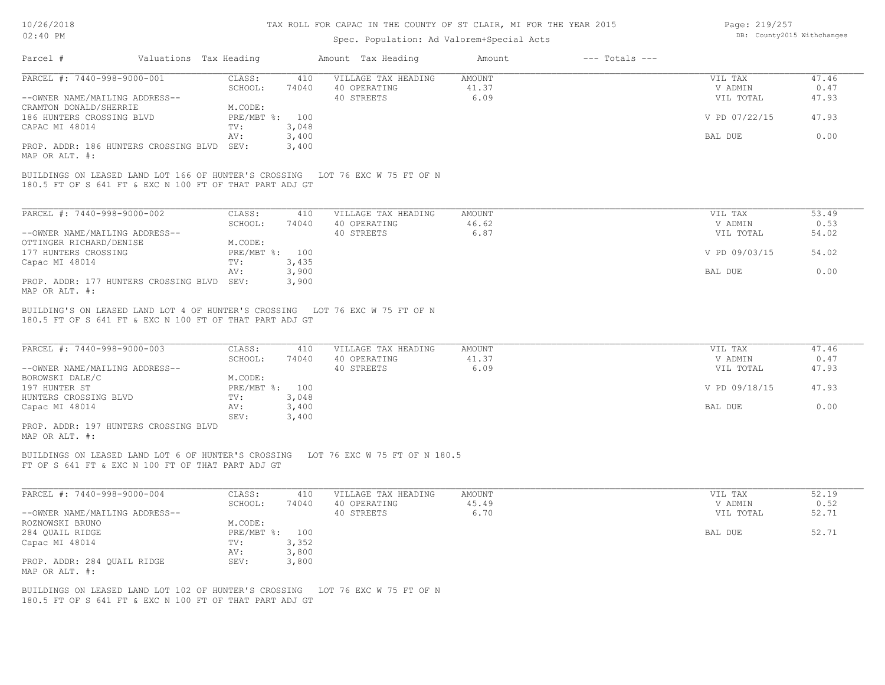#### Spec. Population: Ad Valorem+Special Acts

| Page: 219/257 |                            |
|---------------|----------------------------|
|               | DB: County2015 Withchanges |

| Parcel #                                                      | Valuations Tax Heading |                           |                | Amount Tax Heading                                                                | Amount                         | $---$ Totals $---$ |                                 |                        |
|---------------------------------------------------------------|------------------------|---------------------------|----------------|-----------------------------------------------------------------------------------|--------------------------------|--------------------|---------------------------------|------------------------|
| PARCEL #: 7440-998-9000-001                                   |                        | CLASS:                    | 410            | VILLAGE TAX HEADING                                                               | <b>AMOUNT</b>                  |                    | VIL TAX                         | 47.46                  |
| --OWNER NAME/MAILING ADDRESS--                                |                        | SCHOOL:                   | 74040          | 40 OPERATING<br>40 STREETS                                                        | 41.37<br>6.09                  |                    | V ADMIN<br>VIL TOTAL            | 0.47<br>47.93          |
| CRAMTON DONALD/SHERRIE                                        |                        | M.CODE:                   |                |                                                                                   |                                |                    |                                 |                        |
| 186 HUNTERS CROSSING BLVD                                     |                        | PRE/MBT %: 100            |                |                                                                                   |                                |                    | V PD 07/22/15                   | 47.93                  |
| CAPAC MI 48014                                                |                        | TV:                       | 3,048          |                                                                                   |                                |                    |                                 |                        |
|                                                               |                        | AV:                       | 3,400          |                                                                                   |                                |                    | BAL DUE                         | 0.00                   |
| PROP. ADDR: 186 HUNTERS CROSSING BLVD SEV:                    |                        |                           | 3,400          |                                                                                   |                                |                    |                                 |                        |
| MAP OR ALT. #:                                                |                        |                           |                |                                                                                   |                                |                    |                                 |                        |
| 180.5 FT OF S 641 FT & EXC N 100 FT OF THAT PART ADJ GT       |                        |                           |                | BUILDINGS ON LEASED LAND LOT 166 OF HUNTER'S CROSSING LOT 76 EXC W 75 FT OF N     |                                |                    |                                 |                        |
| PARCEL #: 7440-998-9000-002                                   |                        | CLASS:                    | 410            | VILLAGE TAX HEADING                                                               | AMOUNT                         |                    | VIL TAX                         | 53.49                  |
|                                                               |                        | SCHOOL:                   | 74040          | 40 OPERATING                                                                      | 46.62                          |                    | V ADMIN                         | 0.53                   |
| --OWNER NAME/MAILING ADDRESS--                                |                        |                           |                | 40 STREETS                                                                        | 6.87                           |                    | VIL TOTAL                       | 54.02                  |
| OTTINGER RICHARD/DENISE                                       |                        | M.CODE:                   |                |                                                                                   |                                |                    |                                 |                        |
| 177 HUNTERS CROSSING                                          |                        | PRE/MBT %: 100            |                |                                                                                   |                                |                    | V PD 09/03/15                   | 54.02                  |
| Capac MI 48014                                                |                        | TV:                       | 3,435          |                                                                                   |                                |                    |                                 |                        |
| PROP. ADDR: 177 HUNTERS CROSSING BLVD SEV:                    |                        | AV:                       | 3,900<br>3,900 |                                                                                   |                                |                    | BAL DUE                         | 0.00                   |
| MAP OR ALT. #:                                                |                        |                           |                |                                                                                   |                                |                    |                                 |                        |
| PARCEL #: 7440-998-9000-003<br>--OWNER NAME/MAILING ADDRESS-- |                        | CLASS:<br>SCHOOL:         | 410<br>74040   | VILLAGE TAX HEADING<br>40 OPERATING<br>40 STREETS                                 | <b>AMOUNT</b><br>41.37<br>6.09 |                    | VIL TAX<br>V ADMIN<br>VIL TOTAL | 47.46<br>0.47<br>47.93 |
| BOROWSKI DALE/C<br>197 HUNTER ST                              |                        | M.CODE:<br>PRE/MBT %: 100 |                |                                                                                   |                                |                    | V PD 09/18/15                   | 47.93                  |
| HUNTERS CROSSING BLVD                                         |                        | TV:                       | 3,048          |                                                                                   |                                |                    |                                 |                        |
| Capac MI 48014                                                |                        | AV:<br>SEV:               | 3,400          |                                                                                   |                                |                    | BAL DUE                         | 0.00                   |
| PROP. ADDR: 197 HUNTERS CROSSING BLVD                         |                        |                           | 3,400          |                                                                                   |                                |                    |                                 |                        |
| MAP OR ALT. #:                                                |                        |                           |                |                                                                                   |                                |                    |                                 |                        |
|                                                               |                        |                           |                |                                                                                   |                                |                    |                                 |                        |
| FT OF S 641 FT & EXC N 100 FT OF THAT PART ADJ GT             |                        |                           |                | BUILDINGS ON LEASED LAND LOT 6 OF HUNTER'S CROSSING LOT 76 EXC W 75 FT OF N 180.5 |                                |                    |                                 |                        |
|                                                               |                        |                           |                |                                                                                   |                                |                    |                                 |                        |
|                                                               |                        |                           |                |                                                                                   |                                |                    |                                 |                        |
| PARCEL #: 7440-998-9000-004                                   |                        | CLASS:                    | 410            | VILLAGE TAX HEADING                                                               | <b>AMOUNT</b>                  |                    | VIL TAX                         | 52.19                  |
|                                                               |                        | SCHOOL:                   | 74040          | 40 OPERATING                                                                      | 45.49                          |                    | V ADMIN                         | 0.52                   |
| --OWNER NAME/MAILING ADDRESS--                                |                        |                           |                | 40 STREETS                                                                        | 6.70                           |                    | VIL TOTAL                       | 52.71                  |
| ROZNOWSKI BRUNO<br>284 QUAIL RIDGE                            |                        | M.CODE:<br>PRE/MBT %: 100 |                |                                                                                   |                                |                    | BAL DUE                         | 52.71                  |
| Capac MI 48014                                                |                        |                           |                |                                                                                   |                                |                    |                                 |                        |
|                                                               |                        | AV:                       | 3,800          |                                                                                   |                                |                    |                                 |                        |
|                                                               |                        | SEV:                      | 3,800          |                                                                                   |                                |                    |                                 |                        |
| PROP. ADDR: 284 QUAIL RIDGE                                   |                        |                           |                |                                                                                   |                                |                    |                                 |                        |
| MAP OR ALT. #:                                                |                        |                           |                |                                                                                   |                                |                    |                                 |                        |
|                                                               |                        | TV:                       | 3,352          |                                                                                   |                                |                    |                                 |                        |

180.5 FT OF S 641 FT & EXC N 100 FT OF THAT PART ADJ GT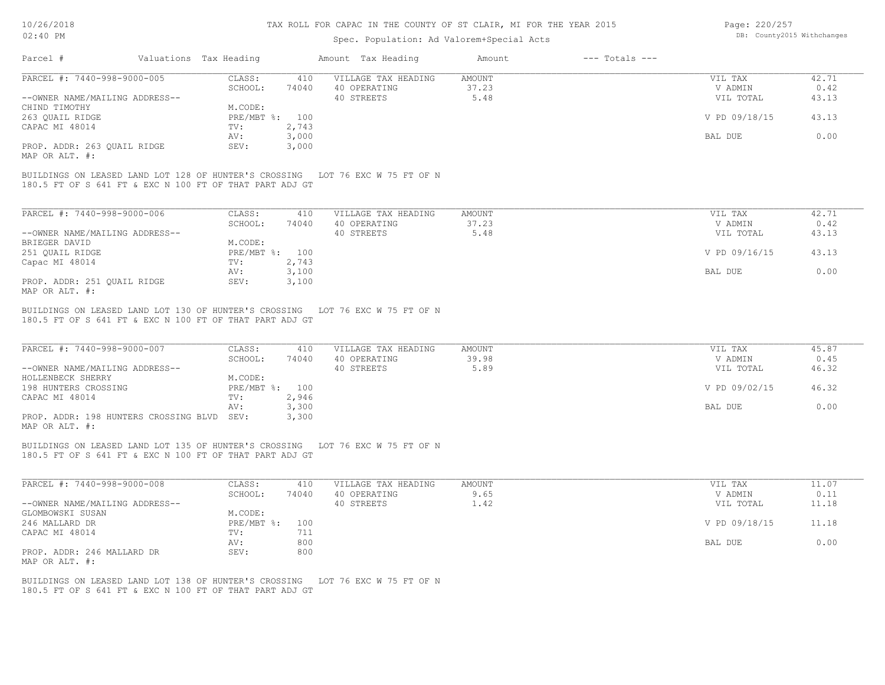# Spec. Population: Ad Valorem+Special Acts

| Page: 220/257 |                            |
|---------------|----------------------------|
|               | DB: County2015 Withchanges |

|                                                                                                                                          |                  | Spec. Population: Ad Valorem+Special Acts |               |                    |               |       |
|------------------------------------------------------------------------------------------------------------------------------------------|------------------|-------------------------------------------|---------------|--------------------|---------------|-------|
| Parcel #<br>Valuations Tax Heading                                                                                                       |                  | Amount Tax Heading                        | Amount        | $---$ Totals $---$ |               |       |
| PARCEL #: 7440-998-9000-005                                                                                                              | CLASS:<br>410    | VILLAGE TAX HEADING                       | <b>AMOUNT</b> |                    | VIL TAX       | 42.71 |
|                                                                                                                                          | SCHOOL:<br>74040 | 40 OPERATING                              | 37.23         |                    | V ADMIN       | 0.42  |
| --OWNER NAME/MAILING ADDRESS--                                                                                                           |                  | 40 STREETS                                | 5.48          |                    | VIL TOTAL     | 43.13 |
| CHIND TIMOTHY                                                                                                                            | M.CODE:          |                                           |               |                    |               |       |
| 263 QUAIL RIDGE                                                                                                                          | PRE/MBT %: 100   |                                           |               |                    | V PD 09/18/15 | 43.13 |
| CAPAC MI 48014                                                                                                                           | 2,743<br>TV:     |                                           |               |                    |               |       |
|                                                                                                                                          | 3,000<br>AV:     |                                           |               |                    | BAL DUE       | 0.00  |
| PROP. ADDR: 263 QUAIL RIDGE                                                                                                              | 3,000<br>SEV:    |                                           |               |                    |               |       |
| MAP OR ALT. #:                                                                                                                           |                  |                                           |               |                    |               |       |
| BUILDINGS ON LEASED LAND LOT 128 OF HUNTER'S CROSSING LOT 76 EXC W 75 FT OF N<br>180.5 FT OF S 641 FT & EXC N 100 FT OF THAT PART ADJ GT |                  |                                           |               |                    |               |       |
| PARCEL #: 7440-998-9000-006                                                                                                              | CLASS:<br>410    | VILLAGE TAX HEADING                       | AMOUNT        |                    | VIL TAX       | 42.71 |
|                                                                                                                                          | SCHOOL:<br>74040 | 40 OPERATING                              | 37.23         |                    | V ADMIN       | 0.42  |
| --OWNER NAME/MAILING ADDRESS--                                                                                                           |                  | 40 STREETS                                | 5.48          |                    | VIL TOTAL     | 43.13 |
| BRIEGER DAVID                                                                                                                            | M.CODE:          |                                           |               |                    |               |       |
| 251 QUAIL RIDGE                                                                                                                          | PRE/MBT %: 100   |                                           |               |                    | V PD 09/16/15 | 43.13 |
| Capac MI 48014                                                                                                                           | TV:<br>2,743     |                                           |               |                    |               |       |
|                                                                                                                                          | 3,100<br>AV:     |                                           |               |                    | BAL DUE       | 0.00  |
| PROP. ADDR: 251 QUAIL RIDGE                                                                                                              | SEV:<br>3,100    |                                           |               |                    |               |       |
| MAP OR ALT. #:                                                                                                                           |                  |                                           |               |                    |               |       |
| PARCEL #: 7440-998-9000-007                                                                                                              | CLASS:<br>410    | VILLAGE TAX HEADING                       | <b>AMOUNT</b> |                    | VIL TAX       | 45.87 |
|                                                                                                                                          | SCHOOL:<br>74040 | 40 OPERATING                              | 39.98         |                    | V ADMIN       | 0.45  |
| --OWNER NAME/MAILING ADDRESS--                                                                                                           |                  | 40 STREETS                                | 5.89          |                    | VIL TOTAL     | 46.32 |
| HOLLENBECK SHERRY                                                                                                                        | M.CODE:          |                                           |               |                    |               |       |
| 198 HUNTERS CROSSING                                                                                                                     | PRE/MBT %: 100   |                                           |               |                    | V PD 09/02/15 | 46.32 |
| CAPAC MI 48014                                                                                                                           | 2,946<br>TV:     |                                           |               |                    |               |       |
|                                                                                                                                          | 3,300<br>AV:     |                                           |               |                    | BAL DUE       | 0.00  |
| PROP. ADDR: 198 HUNTERS CROSSING BLVD SEV:<br>MAP OR ALT. #:                                                                             | 3,300            |                                           |               |                    |               |       |
| BUILDINGS ON LEASED LAND LOT 135 OF HUNTER'S CROSSING LOT 76 EXC W 75 FT OF N<br>180.5 FT OF S 641 FT & EXC N 100 FT OF THAT PART ADJ GT |                  |                                           |               |                    |               |       |
| PARCEL #: 7440-998-9000-008                                                                                                              | CLASS:<br>410    | VILLAGE TAX HEADING                       | AMOUNT        |                    | VIL TAX       | 11.07 |
|                                                                                                                                          | SCHOOL:<br>74040 | 40 OPERATING                              | 9.65          |                    | V ADMIN       | 0.11  |
| --OWNER NAME/MAILING ADDRESS--                                                                                                           |                  | 40 STREETS                                | 1.42          |                    | VIL TOTAL     | 11.18 |
| GLOMBOWSKI SUSAN                                                                                                                         | M.CODE:          |                                           |               |                    |               |       |
| 246 MALLARD DR                                                                                                                           | PRE/MBT %: 100   |                                           |               |                    | V PD 09/18/15 | 11.18 |
| CAPAC MI 48014                                                                                                                           | TV:<br>711       |                                           |               |                    |               |       |
|                                                                                                                                          | 800<br>AV:       |                                           |               |                    | BAL DUE       | 0.00  |
| PROP. ADDR: 246 MALLARD DR<br>MAP OR ALT. #:                                                                                             | SEV:<br>800      |                                           |               |                    |               |       |
| BUILDINGS ON LEASED LAND LOT 138 OF HUNTER'S CROSSING LOT 76 EXC W 75 FT OF N<br>180.5 FT OF S 641 FT & EXC N 100 FT OF THAT PART ADJ GT |                  |                                           |               |                    |               |       |
|                                                                                                                                          |                  |                                           |               |                    |               |       |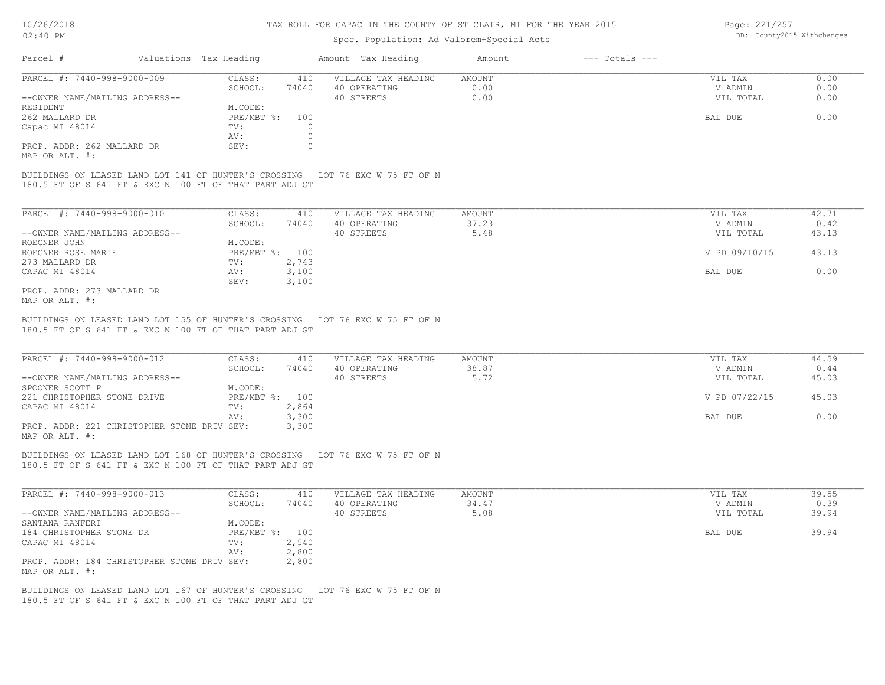#### Spec. Population: Ad Valorem+Special Acts

Page: 221/257 DB: County2015 Withchanges

| Parcel #                            | Valuations Tax Heading |       | Amount Tax Heading  | Amount | $---$ Totals $---$ |           |      |
|-------------------------------------|------------------------|-------|---------------------|--------|--------------------|-----------|------|
| PARCEL #: 7440-998-9000-009         | CLASS:                 | 410   | VILLAGE TAX HEADING | AMOUNT |                    | VIL TAX   | 0.00 |
|                                     | SCHOOL:                | 74040 | 40 OPERATING        | 0.00   |                    | V ADMIN   | 0.00 |
| --OWNER NAME/MAILING ADDRESS--      |                        |       | 40 STREETS          | 0.00   |                    | VIL TOTAL | 0.00 |
| RESIDENT                            | M.CODE:                |       |                     |        |                    |           |      |
| 262 MALLARD DR                      | PRE/MBT %:             | 100   |                     |        |                    | BAL DUE   | 0.00 |
| Capac MI 48014                      | TV:                    |       |                     |        |                    |           |      |
|                                     | AV:                    |       |                     |        |                    |           |      |
| PROP. ADDR: 262 MALLARD DR          | SEV:                   |       |                     |        |                    |           |      |
| $\cdots$ $\cdots$ $\cdots$ $\cdots$ |                        |       |                     |        |                    |           |      |

MAP OR ALT. #:

180.5 FT OF S 641 FT & EXC N 100 FT OF THAT PART ADJ GT BUILDINGS ON LEASED LAND LOT 141 OF HUNTER'S CROSSING LOT 76 EXC W 75 FT OF N

| PARCEL #: 7440-998-9000-010    | CLASS:     | 410   | VILLAGE TAX HEADING | AMOUNT | 42.71<br>VIL TAX       |  |
|--------------------------------|------------|-------|---------------------|--------|------------------------|--|
|                                | SCHOOL:    | 74040 | 40 OPERATING        | 37.23  | 0.42<br>V ADMIN        |  |
| --OWNER NAME/MAILING ADDRESS-- |            |       | 40 STREETS          | 5.48   | VIL TOTAL<br>43.13     |  |
| ROEGNER JOHN                   | M.CODE:    |       |                     |        |                        |  |
| ROEGNER ROSE MARIE             | PRE/MBT %: | 100   |                     |        | V PD 09/10/15<br>43.13 |  |
| 273 MALLARD DR                 | TV:        | 2,743 |                     |        |                        |  |
| CAPAC MI 48014                 | AV:        | 3,100 |                     |        | 0.00<br>BAL DUE        |  |
|                                | SEV:       | 3,100 |                     |        |                        |  |
| PROP. ADDR: 273 MALLARD DR     |            |       |                     |        |                        |  |

MAP OR ALT. #:

<sup>180.5</sup> FT OF S 641 FT & EXC N 100 FT OF THAT PART ADJ GT BUILDINGS ON LEASED LAND LOT 155 OF HUNTER'S CROSSING LOT 76 EXC W 75 FT OF N

| PARCEL #: 7440-998-9000-012                 | CLASS:       | 410   | VILLAGE TAX HEADING | AMOUNT | VIL TAX       | 44.59 |
|---------------------------------------------|--------------|-------|---------------------|--------|---------------|-------|
|                                             | SCHOOL:      | 74040 | 40 OPERATING        | 38.87  | V ADMIN       | 0.44  |
| --OWNER NAME/MAILING ADDRESS--              |              |       | 40 STREETS          | 5.72   | VIL TOTAL     | 45.03 |
| SPOONER SCOTT P                             | M.CODE:      |       |                     |        |               |       |
| 221 CHRISTOPHER STONE DRIVE                 | $PRE/MBT$ %: | 100   |                     |        | V PD 07/22/15 | 45.03 |
| CAPAC MI 48014                              | TV:          | 2,864 |                     |        |               |       |
|                                             | AV:          | 3,300 |                     |        | BAL DUE       | 0.00  |
| PROP. ADDR: 221 CHRISTOPHER STONE DRIV SEV: |              | 3,300 |                     |        |               |       |
| MAP OR ALT. #:                              |              |       |                     |        |               |       |

 $\mathcal{L}_\mathcal{L} = \mathcal{L}_\mathcal{L} = \mathcal{L}_\mathcal{L} = \mathcal{L}_\mathcal{L} = \mathcal{L}_\mathcal{L} = \mathcal{L}_\mathcal{L} = \mathcal{L}_\mathcal{L} = \mathcal{L}_\mathcal{L} = \mathcal{L}_\mathcal{L} = \mathcal{L}_\mathcal{L} = \mathcal{L}_\mathcal{L} = \mathcal{L}_\mathcal{L} = \mathcal{L}_\mathcal{L} = \mathcal{L}_\mathcal{L} = \mathcal{L}_\mathcal{L} = \mathcal{L}_\mathcal{L} = \mathcal{L}_\mathcal{L}$ 

BUILDINGS ON LEASED LAND LOT 168 OF HUNTER'S CROSSING LOT 76 EXC W 75 FT OF N

180.5 FT OF S 641 FT & EXC N 100 FT OF THAT PART ADJ GT

| PARCEL #: 7440-998-9000-013                 | CLASS:         | 410   | VILLAGE TAX HEADING | AMOUNT | VIL TAX   | 39.55 |
|---------------------------------------------|----------------|-------|---------------------|--------|-----------|-------|
|                                             | SCHOOL:        | 74040 | 40 OPERATING        | 34.47  | V ADMIN   | 0.39  |
| --OWNER NAME/MAILING ADDRESS--              |                |       | 40 STREETS          | 5.08   | VIL TOTAL | 39.94 |
| SANTANA RANFERI                             | M.CODE:        |       |                     |        |           |       |
| 184 CHRISTOPHER STONE DR                    | PRE/MBT %: 100 |       |                     |        | BAL DUE   | 39.94 |
| CAPAC MI 48014                              | TV:            | 2,540 |                     |        |           |       |
|                                             | AV:            | 2,800 |                     |        |           |       |
| PROP. ADDR: 184 CHRISTOPHER STONE DRIV SEV: |                | 2,800 |                     |        |           |       |
| MAP OR ALT. #:                              |                |       |                     |        |           |       |

180.5 FT OF S 641 FT & EXC N 100 FT OF THAT PART ADJ GT BUILDINGS ON LEASED LAND LOT 167 OF HUNTER'S CROSSING LOT 76 EXC W 75 FT OF N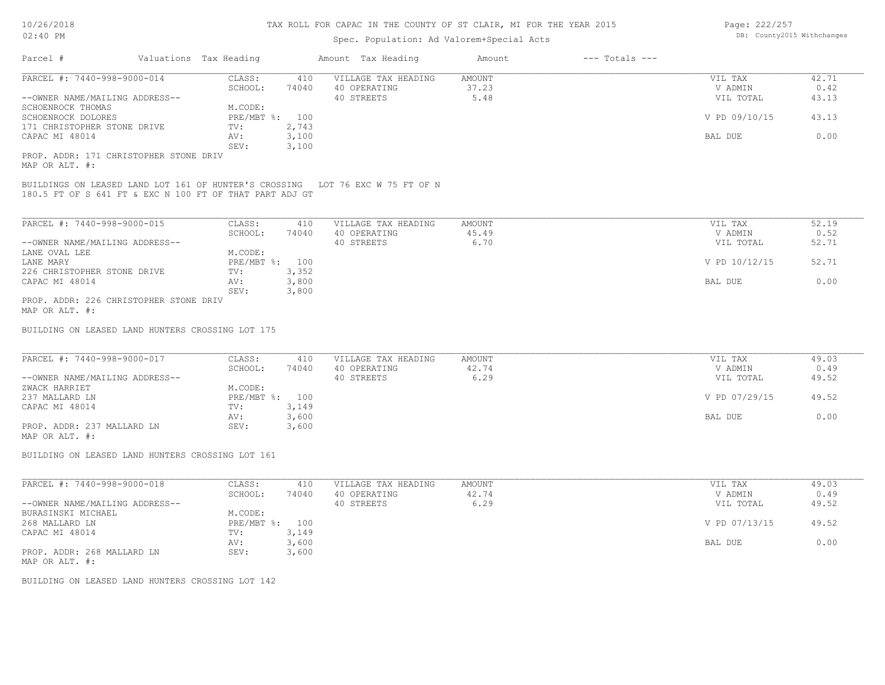# Spec. Population: Ad Valorem+Special Acts

| Parcel #                       | Valuations Tax Heading |       | Amount Tax Heading  | Amount | $---$ Totals $---$ |               |       |
|--------------------------------|------------------------|-------|---------------------|--------|--------------------|---------------|-------|
| PARCEL #: 7440-998-9000-014    | CLASS:                 | 410   | VILLAGE TAX HEADING | AMOUNT |                    | VIL TAX       | 42.71 |
|                                | SCHOOL:                | 74040 | 40 OPERATING        | 37.23  |                    | V ADMIN       | 0.42  |
| --OWNER NAME/MAILING ADDRESS-- |                        |       | 40 STREETS          | 5.48   |                    | VIL TOTAL     | 43.13 |
| SCHOENROCK THOMAS              | M.CODE:                |       |                     |        |                    |               |       |
| SCHOENROCK DOLORES             | $PRE/MBT$ %:           | 100   |                     |        |                    | V PD 09/10/15 | 43.13 |
| 171 CHRISTOPHER STONE DRIVE    | TV:                    | 2,743 |                     |        |                    |               |       |
| CAPAC MI 48014                 | AV:                    | 3,100 |                     |        |                    | BAL DUE       | 0.00  |
|                                | SEV:                   | 3.100 |                     |        |                    |               |       |
|                                |                        |       |                     |        |                    |               |       |

MAP OR ALT. #: PROP. ADDR: 171 CHRISTOPHER STONE DRIV

180.5 FT OF S 641 FT & EXC N 100 FT OF THAT PART ADJ GT BUILDINGS ON LEASED LAND LOT 161 OF HUNTER'S CROSSING LOT 76 EXC W 75 FT OF N

| PARCEL #: 7440-998-9000-015            | CLASS:         | 410   | VILLAGE TAX HEADING | AMOUNT | VIL TAX       | 52.19 |
|----------------------------------------|----------------|-------|---------------------|--------|---------------|-------|
|                                        | SCHOOL:        | 74040 | 40 OPERATING        | 45.49  | V ADMIN       | 0.52  |
| --OWNER NAME/MAILING ADDRESS--         |                |       | 40 STREETS          | 6.70   | VIL TOTAL     | 52.71 |
| LANE OVAL LEE                          | M.CODE:        |       |                     |        |               |       |
| LANE MARY                              | PRE/MBT %: 100 |       |                     |        | V PD 10/12/15 | 52.71 |
| 226 CHRISTOPHER STONE DRIVE            | TV:            | 3,352 |                     |        |               |       |
| CAPAC MI 48014                         | AV:            | 3,800 |                     |        | BAL DUE       | 0.00  |
|                                        | SEV:           | 3,800 |                     |        |               |       |
| PROP. ADDR: 226 CHRISTOPHER STONE DRIV |                |       |                     |        |               |       |

MAP OR ALT. #:

BUILDING ON LEASED LAND HUNTERS CROSSING LOT 175

|                                                      | 49.03<br>VIL TAX       |
|------------------------------------------------------|------------------------|
| 74040<br>42.74<br>40 OPERATING<br>SCHOOL:            | 0.49<br>V ADMIN        |
| --OWNER NAME/MAILING ADDRESS--<br>6.29<br>40 STREETS | 49.52<br>VIL TOTAL     |
| M.CODE:<br>ZWACK HARRIET                             |                        |
| PRE/MBT %:<br>237 MALLARD LN<br>100                  | V PD 07/29/15<br>49.52 |
| 3,149<br>CAPAC MI 48014<br>TV:                       |                        |
| 3,600<br>AV:                                         | 0.00<br>BAL DUE        |
| PROP. ADDR: 237 MALLARD LN<br>3,600<br>SEV:          |                        |

MAP OR ALT. #:

BUILDING ON LEASED LAND HUNTERS CROSSING LOT 161

| PARCEL #: 7440-998-9000-018    | CLASS:       | 410   | VILLAGE TAX HEADING | AMOUNT | VIL TAX       | 49.03 |
|--------------------------------|--------------|-------|---------------------|--------|---------------|-------|
|                                | SCHOOL:      | 74040 | 40 OPERATING        | 42.74  | V ADMIN       | 0.49  |
| --OWNER NAME/MAILING ADDRESS-- |              |       | 40 STREETS          | 6.29   | VIL TOTAL     | 49.52 |
| BURASINSKI MICHAEL             | M.CODE:      |       |                     |        |               |       |
| 268 MALLARD LN                 | $PRE/MBT$ %: | 100   |                     |        | V PD 07/13/15 | 49.52 |
| CAPAC MI 48014                 | TV:          | 3,149 |                     |        |               |       |
|                                | AV:          | 3,600 |                     |        | BAL DUE       | 0.00  |
| PROP. ADDR: 268 MALLARD LN     | SEV:         | 3,600 |                     |        |               |       |
| MAP OR ALT. #:                 |              |       |                     |        |               |       |

BUILDING ON LEASED LAND HUNTERS CROSSING LOT 142

Page: 222/257 DB: County2015 Withchanges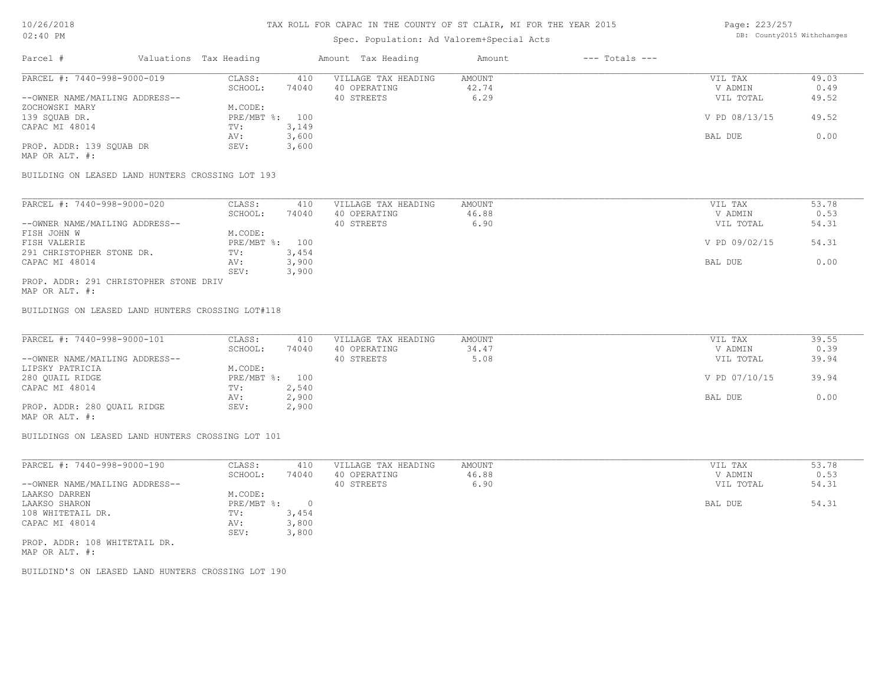# Spec. Population: Ad Valorem+Special Acts

Page: 223/257 DB: County2015 Withchanges

| Parcel #                       | Valuations Tax Heading |       | Amount Tax Heading  | Amount | $---$ Totals $---$ |               |       |
|--------------------------------|------------------------|-------|---------------------|--------|--------------------|---------------|-------|
| PARCEL #: 7440-998-9000-019    | CLASS:                 | 410   | VILLAGE TAX HEADING | AMOUNT |                    | VIL TAX       | 49.03 |
|                                | SCHOOL:                | 74040 | 40 OPERATING        | 42.74  |                    | V ADMIN       | 0.49  |
| --OWNER NAME/MAILING ADDRESS-- |                        |       | 40 STREETS          | 6.29   |                    | VIL TOTAL     | 49.52 |
| ZOCHOWSKI MARY                 | M.CODE:                |       |                     |        |                    |               |       |
| 139 SQUAB DR.                  | PRE/MBT %: 100         |       |                     |        |                    | V PD 08/13/15 | 49.52 |
| CAPAC MI 48014                 | TV:                    | 3,149 |                     |        |                    |               |       |
|                                | AV:                    | 3,600 |                     |        |                    | BAL DUE       | 0.00  |
| PROP. ADDR: 139 SQUAB DR       | SEV:                   | 3,600 |                     |        |                    |               |       |
| MAP OR ALT. #:                 |                        |       |                     |        |                    |               |       |

BUILDING ON LEASED LAND HUNTERS CROSSING LOT 193

| PARCEL #: 7440-998-9000-020    | CLASS:         | 410   | VILLAGE TAX HEADING | AMOUNT | VIL TAX       | 53.78 |
|--------------------------------|----------------|-------|---------------------|--------|---------------|-------|
|                                | SCHOOL:        | 74040 | 40 OPERATING        | 46.88  | V ADMIN       | 0.53  |
| --OWNER NAME/MAILING ADDRESS-- |                |       | 40 STREETS          | 6.90   | VIL TOTAL     | 54.31 |
| FISH JOHN W                    | M.CODE:        |       |                     |        |               |       |
| FISH VALERIE                   | PRE/MBT %: 100 |       |                     |        | V PD 09/02/15 | 54.31 |
| 291 CHRISTOPHER STONE DR.      | TV:            | 3,454 |                     |        |               |       |
| CAPAC MI 48014                 | AV:            | 3,900 |                     |        | BAL DUE       | 0.00  |
|                                | SEV:           | 3,900 |                     |        |               |       |

MAP OR ALT. #: PROP. ADDR: 291 CHRISTOPHER STONE DRIV

BUILDINGS ON LEASED LAND HUNTERS CROSSING LOT#118

| PARCEL #: 7440-998-9000-101                                                                                     | CLASS:         | 410   | VILLAGE TAX HEADING | AMOUNT | VIL TAX       | 39.55 |
|-----------------------------------------------------------------------------------------------------------------|----------------|-------|---------------------|--------|---------------|-------|
|                                                                                                                 | SCHOOL:        | 74040 | 40 OPERATING        | 34.47  | V ADMIN       | 0.39  |
| --OWNER NAME/MAILING ADDRESS--                                                                                  |                |       | 40 STREETS          | 5.08   | VIL TOTAL     | 39.94 |
| LIPSKY PATRICIA                                                                                                 | M.CODE:        |       |                     |        |               |       |
| 280 QUAIL RIDGE                                                                                                 | PRE/MBT %: 100 |       |                     |        | V PD 07/10/15 | 39.94 |
| CAPAC MI 48014                                                                                                  | TV:            | 2,540 |                     |        |               |       |
|                                                                                                                 | AV:            | 2,900 |                     |        | BAL DUE       | 0.00  |
| PROP. ADDR: 280 QUAIL RIDGE                                                                                     | SEV:           | 2,900 |                     |        |               |       |
| the contract of the contract of the contract of the contract of the contract of the contract of the contract of |                |       |                     |        |               |       |

MAP OR ALT. #:

BUILDINGS ON LEASED LAND HUNTERS CROSSING LOT 101

| PARCEL #: 7440-998-9000-190    | CLASS:     | 410   | VILLAGE TAX HEADING | AMOUNT | VIL TAX   | 53.78 |
|--------------------------------|------------|-------|---------------------|--------|-----------|-------|
|                                | SCHOOL:    | 74040 | 40 OPERATING        | 46.88  | V ADMIN   | 0.53  |
| --OWNER NAME/MAILING ADDRESS-- |            |       | 40 STREETS          | 6.90   | VIL TOTAL | 54.31 |
| LAAKSO DARREN                  | M.CODE:    |       |                     |        |           |       |
| LAAKSO SHARON                  | PRE/MBT %: |       |                     |        | BAL DUE   | 54.31 |
| 108 WHITETAIL DR.              | TV:        | 3,454 |                     |        |           |       |
| CAPAC MI 48014                 | AV:        | 3,800 |                     |        |           |       |
|                                | SEV:       | 3,800 |                     |        |           |       |
| PROP. ADDR: 108 WHITETAIL DR.  |            |       |                     |        |           |       |

MAP OR ALT. #:

BUILDIND'S ON LEASED LAND HUNTERS CROSSING LOT 190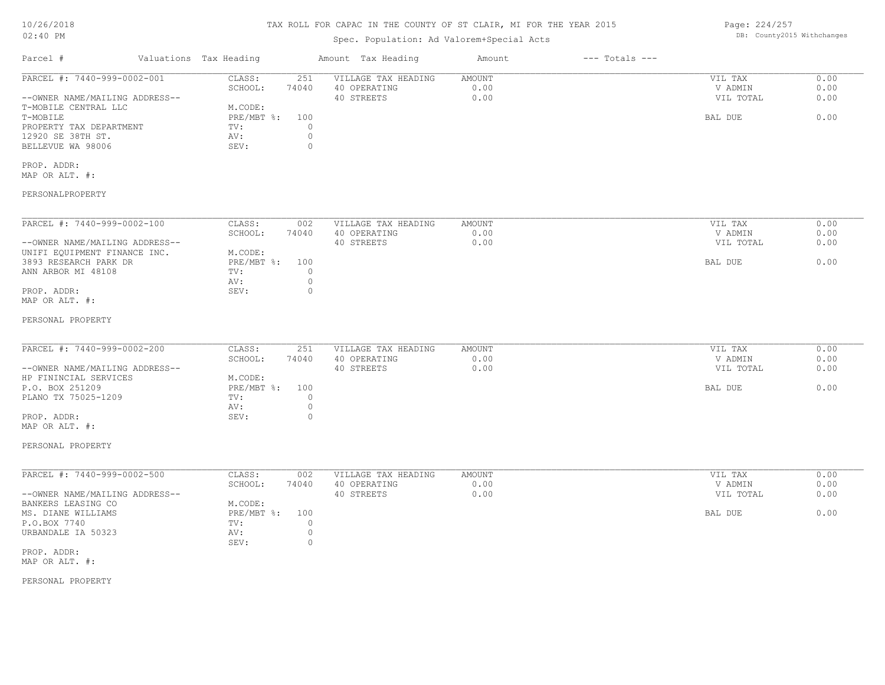| 10/26/2018<br>02:40 PM                                                                                        |                                                                                           | TAX ROLL FOR CAPAC IN THE COUNTY OF ST CLAIR, MI FOR THE YEAR 2015 |                        |                    | Page: 224/257                   | DB: County2015 Withchanges |
|---------------------------------------------------------------------------------------------------------------|-------------------------------------------------------------------------------------------|--------------------------------------------------------------------|------------------------|--------------------|---------------------------------|----------------------------|
|                                                                                                               |                                                                                           | Spec. Population: Ad Valorem+Special Acts                          |                        |                    |                                 |                            |
| Parcel #                                                                                                      | Valuations Tax Heading                                                                    | Amount Tax Heading                                                 | Amount                 | $---$ Totals $---$ |                                 |                            |
| PARCEL #: 7440-999-0002-001<br>--OWNER NAME/MAILING ADDRESS--                                                 | CLASS:<br>251<br>SCHOOL:<br>74040                                                         | VILLAGE TAX HEADING<br>40 OPERATING<br>40 STREETS                  | AMOUNT<br>0.00<br>0.00 |                    | VIL TAX<br>V ADMIN<br>VIL TOTAL | 0.00<br>0.00<br>0.00       |
| T-MOBILE CENTRAL LLC<br>T-MOBILE<br>PROPERTY TAX DEPARTMENT<br>12920 SE 38TH ST.<br>BELLEVUE WA 98006         | M.CODE:<br>$PRE/MBT$ $\div$<br>100<br>TV:<br>$\circ$<br>$\circ$<br>AV:<br>$\circ$<br>SEV: |                                                                    |                        |                    | BAL DUE                         | 0.00                       |
| PROP. ADDR:<br>MAP OR ALT. #:                                                                                 |                                                                                           |                                                                    |                        |                    |                                 |                            |
| PERSONALPROPERTY                                                                                              |                                                                                           |                                                                    |                        |                    |                                 |                            |
| PARCEL #: 7440-999-0002-100                                                                                   | CLASS:<br>002<br>SCHOOL:<br>74040                                                         | VILLAGE TAX HEADING<br>40 OPERATING                                | AMOUNT<br>0.00         |                    | VIL TAX<br>V ADMIN              | 0.00<br>0.00               |
| --OWNER NAME/MAILING ADDRESS--<br>UNIFI EQUIPMENT FINANCE INC.<br>3893 RESEARCH PARK DR<br>ANN ARBOR MI 48108 | M.CODE:<br>$PRE/MBT$ $\div$<br>100<br>TV:<br>$\circ$                                      | 40 STREETS                                                         | 0.00                   |                    | VIL TOTAL<br>BAL DUE            | 0.00<br>0.00               |
| PROP. ADDR:<br>MAP OR ALT. #:                                                                                 | $\circ$<br>AV:<br>SEV:<br>$\circ$                                                         |                                                                    |                        |                    |                                 |                            |
| PERSONAL PROPERTY                                                                                             |                                                                                           |                                                                    |                        |                    |                                 |                            |
| PARCEL #: 7440-999-0002-200<br>--OWNER NAME/MAILING ADDRESS--                                                 | CLASS:<br>251<br>SCHOOL:<br>74040                                                         | VILLAGE TAX HEADING<br>40 OPERATING<br>40 STREETS                  | AMOUNT<br>0.00<br>0.00 |                    | VIL TAX<br>V ADMIN<br>VIL TOTAL | 0.00<br>0.00<br>0.00       |
| HP FININCIAL SERVICES<br>P.O. BOX 251209<br>PLANO TX 75025-1209                                               | M.CODE:<br>PRE/MBT %:<br>100<br>TV:<br>$\circ$                                            |                                                                    |                        |                    | BAL DUE                         | 0.00                       |
| PROP. ADDR:<br>MAP OR ALT. #:                                                                                 | $\circ$<br>AV:<br>$\circ$<br>SEV:                                                         |                                                                    |                        |                    |                                 |                            |
| PERSONAL PROPERTY                                                                                             |                                                                                           |                                                                    |                        |                    |                                 |                            |
| PARCEL #: 7440-999-0002-500                                                                                   | CLASS:<br>002<br>SCHOOL:<br>74040                                                         | VILLAGE TAX HEADING<br>40 OPERATING                                | AMOUNT<br>0.00         |                    | VIL TAX<br>V ADMIN              | 0.00<br>0.00               |
| --OWNER NAME/MAILING ADDRESS--<br>BANKERS LEASING CO                                                          | M.CODE:                                                                                   | 40 STREETS                                                         | 0.00                   |                    | VIL TOTAL                       | 0.00                       |
| MS. DIANE WILLIAMS<br>P.O.BOX 7740<br>URBANDALE IA 50323                                                      | PRE/MBT %:<br>100<br>$\circ$<br>TV:<br>$\circ$<br>AV:<br>$\circ$<br>SEV:                  |                                                                    |                        |                    | BAL DUE                         | 0.00                       |
| PROP. ADDR:<br>MAP OR ALT. #:                                                                                 |                                                                                           |                                                                    |                        |                    |                                 |                            |
| PERSONAL PROPERTY                                                                                             |                                                                                           |                                                                    |                        |                    |                                 |                            |
|                                                                                                               |                                                                                           |                                                                    |                        |                    |                                 |                            |
|                                                                                                               |                                                                                           |                                                                    |                        |                    |                                 |                            |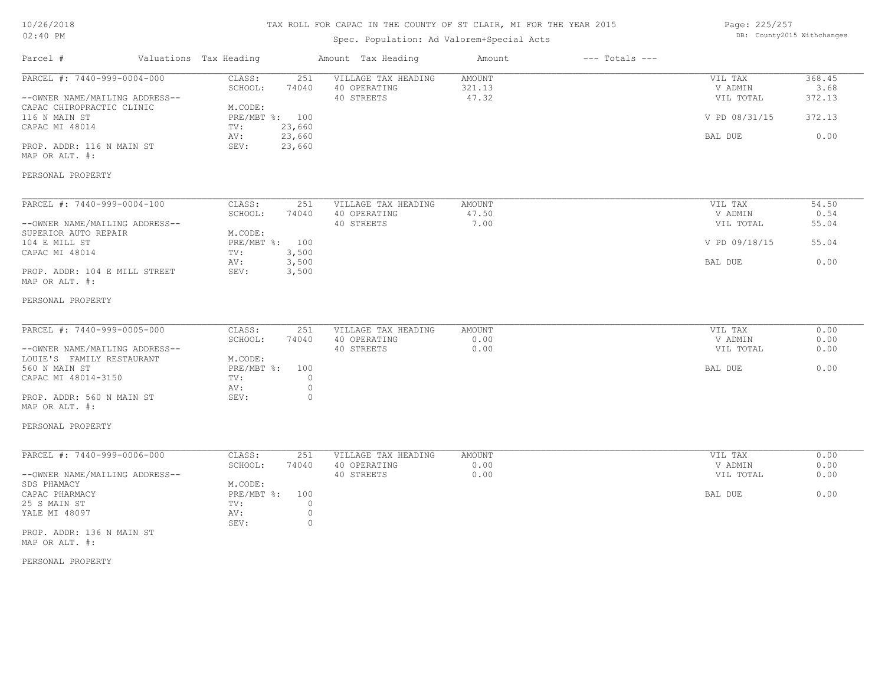# TAX ROLL FOR CAPAC IN THE COUNTY OF ST CLAIR, MI FOR THE YEAR 2015

# Spec. Population: Ad Valorem+Special Acts

Page: 225/257 DB: County2015 Withchanges

| Parcel #                                                                                                                                                                     | Valuations Tax Heading |                                                                                                                                | Amount Tax Heading                                | Amount                           | $---$ Totals $---$ |                                                             |                                            |
|------------------------------------------------------------------------------------------------------------------------------------------------------------------------------|------------------------|--------------------------------------------------------------------------------------------------------------------------------|---------------------------------------------------|----------------------------------|--------------------|-------------------------------------------------------------|--------------------------------------------|
| PARCEL #: 7440-999-0004-000<br>--OWNER NAME/MAILING ADDRESS--<br>CAPAC CHIROPRACTIC CLINIC<br>116 N MAIN ST<br>CAPAC MI 48014<br>PROP. ADDR: 116 N MAIN ST<br>MAP OR ALT. #: |                        | CLASS:<br>251<br>SCHOOL:<br>74040<br>M.CODE:<br>PRE/MBT %: 100<br>23,660<br>TV:<br>23,660<br>AV:<br>SEV:<br>23,660             | VILLAGE TAX HEADING<br>40 OPERATING<br>40 STREETS | <b>AMOUNT</b><br>321.13<br>47.32 |                    | VIL TAX<br>V ADMIN<br>VIL TOTAL<br>V PD 08/31/15<br>BAL DUE | 368.45<br>3.68<br>372.13<br>372.13<br>0.00 |
| PERSONAL PROPERTY                                                                                                                                                            |                        |                                                                                                                                |                                                   |                                  |                    |                                                             |                                            |
| PARCEL #: 7440-999-0004-100<br>--OWNER NAME/MAILING ADDRESS--<br>SUPERIOR AUTO REPAIR<br>104 E MILL ST<br>CAPAC MI 48014<br>PROP. ADDR: 104 E MILL STREET                    |                        | CLASS:<br>251<br>SCHOOL:<br>74040<br>M.CODE:<br>PRE/MBT %:<br>100<br>3,500<br>TV:<br>3,500<br>AV:<br>SEV:<br>3,500             | VILLAGE TAX HEADING<br>40 OPERATING<br>40 STREETS | AMOUNT<br>47.50<br>7.00          |                    | VIL TAX<br>V ADMIN<br>VIL TOTAL<br>V PD 09/18/15<br>BAL DUE | 54.50<br>0.54<br>55.04<br>55.04<br>0.00    |
| MAP OR ALT. #:<br>PERSONAL PROPERTY                                                                                                                                          |                        |                                                                                                                                |                                                   |                                  |                    |                                                             |                                            |
| PARCEL #: 7440-999-0005-000<br>--OWNER NAME/MAILING ADDRESS--<br>LOUIE'S FAMILY RESTAURANT<br>560 N MAIN ST<br>CAPAC MI 48014-3150                                           |                        | CLASS:<br>251<br>SCHOOL:<br>74040<br>M.CODE:<br>$PRE/MBT$ $\div$<br>100<br>$\circ$<br>TV:                                      | VILLAGE TAX HEADING<br>40 OPERATING<br>40 STREETS | AMOUNT<br>0.00<br>0.00           |                    | VIL TAX<br>V ADMIN<br>VIL TOTAL<br>BAL DUE                  | 0.00<br>0.00<br>0.00<br>0.00               |
| PROP. ADDR: 560 N MAIN ST<br>MAP OR ALT. #:                                                                                                                                  |                        | $\circ$<br>AV:<br>SEV:<br>$\circ$                                                                                              |                                                   |                                  |                    |                                                             |                                            |
| PERSONAL PROPERTY                                                                                                                                                            |                        |                                                                                                                                |                                                   |                                  |                    |                                                             |                                            |
| PARCEL #: 7440-999-0006-000<br>--OWNER NAME/MAILING ADDRESS--<br>SDS PHAMACY<br>CAPAC PHARMACY<br>25 S MAIN ST<br>YALE MI 48097<br>PROP. ADDR: 136 N MAIN ST                 |                        | CLASS:<br>251<br>SCHOOL:<br>74040<br>M.CODE:<br>$PRE/MBT$ $\div$<br>100<br>$\circ$<br>TV:<br>$\circ$<br>AV:<br>$\circ$<br>SEV: | VILLAGE TAX HEADING<br>40 OPERATING<br>40 STREETS | <b>AMOUNT</b><br>0.00<br>0.00    |                    | VIL TAX<br>V ADMIN<br>VIL TOTAL<br>BAL DUE                  | 0.00<br>0.00<br>0.00<br>0.00               |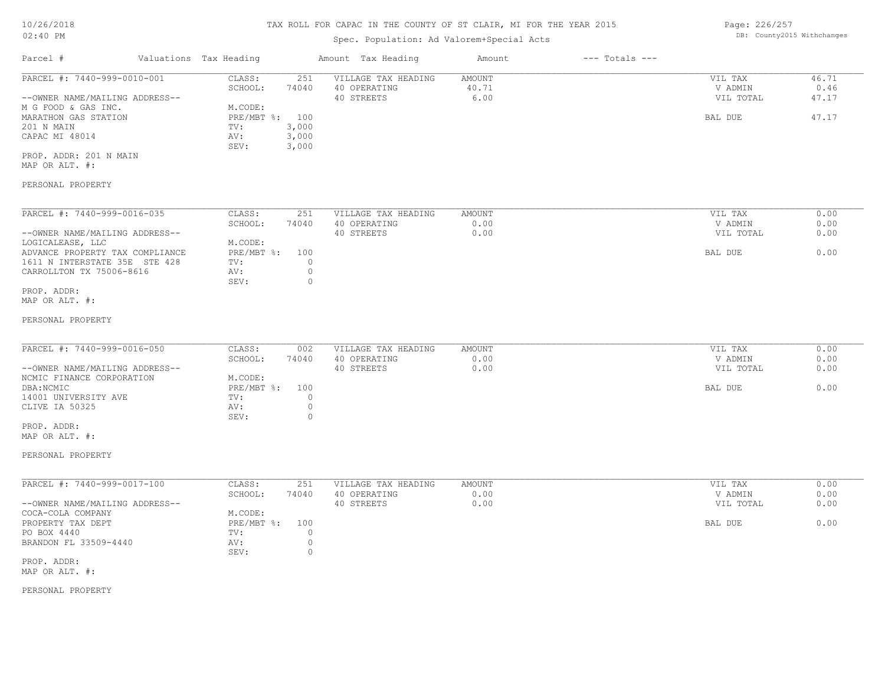# Spec. Population: Ad Valorem+Special Acts

Page: 226/257 DB: County2015 Withchanges

| Parcel #                       | Valuations Tax Heading |       | Amount Tax Heading  | Amount | $---$ Totals $---$ |           |       |
|--------------------------------|------------------------|-------|---------------------|--------|--------------------|-----------|-------|
| PARCEL #: 7440-999-0010-001    | CLASS:                 | 251   | VILLAGE TAX HEADING | AMOUNT |                    | VIL TAX   | 46.71 |
|                                | SCHOOL:                | 74040 | 40 OPERATING        | 40.71  |                    | V ADMIN   | 0.46  |
| --OWNER NAME/MAILING ADDRESS-- |                        |       | 40 STREETS          | 6.00   |                    | VIL TOTAL | 47.17 |
| M G FOOD & GAS INC.            | M.CODE:                |       |                     |        |                    |           |       |
| MARATHON GAS STATION           | PRE/MBT %: 100         |       |                     |        |                    | BAL DUE   | 47.17 |
| 201 N MAIN                     | TV:                    | 3,000 |                     |        |                    |           |       |
| CAPAC MI 48014                 | AV:                    | 3,000 |                     |        |                    |           |       |
|                                | SEV:                   | 3,000 |                     |        |                    |           |       |
| PROP. ADDR: 201 N MAIN         |                        |       |                     |        |                    |           |       |

MAP OR ALT. #:

#### PERSONAL PROPERTY

| PARCEL #: 7440-999-0016-035     | CLASS:     | 251   | VILLAGE TAX HEADING | AMOUNT | VIL TAX   | 0.00 |
|---------------------------------|------------|-------|---------------------|--------|-----------|------|
|                                 | SCHOOL:    | 74040 | 40 OPERATING        | 0.00   | V ADMIN   | 0.00 |
| --OWNER NAME/MAILING ADDRESS--  |            |       | 40 STREETS          | 0.00   | VIL TOTAL | 0.00 |
| LOGICALEASE, LLC                | M.CODE:    |       |                     |        |           |      |
| ADVANCE PROPERTY TAX COMPLIANCE | PRE/MBT %: | 100   |                     |        | BAL DUE   | 0.00 |
| 1611 N INTERSTATE 35E STE 428   | TV:        |       |                     |        |           |      |
| CARROLLTON TX 75006-8616        | AV:        |       |                     |        |           |      |
|                                 | SEV:       |       |                     |        |           |      |
| PROP. ADDR:                     |            |       |                     |        |           |      |

MAP OR ALT. #:

#### PERSONAL PROPERTY

| PARCEL #: 7440-999-0016-050    | CLASS:         | 002   | VILLAGE TAX HEADING | AMOUNT | VIL TAX   | 0.00 |
|--------------------------------|----------------|-------|---------------------|--------|-----------|------|
|                                | SCHOOL:        | 74040 | 40 OPERATING        | 0.00   | V ADMIN   | 0.00 |
| --OWNER NAME/MAILING ADDRESS-- |                |       | 40 STREETS          | 0.00   | VIL TOTAL | 0.00 |
| NCMIC FINANCE CORPORATION      | M.CODE:        |       |                     |        |           |      |
| DBA:NCMIC                      | PRE/MBT %: 100 |       |                     |        | BAL DUE   | 0.00 |
| 14001 UNIVERSITY AVE           | TV:            |       |                     |        |           |      |
| CLIVE IA 50325                 | AV:            |       |                     |        |           |      |
|                                | SEV:           |       |                     |        |           |      |
| PROP. ADDR:                    |                |       |                     |        |           |      |

MAP OR ALT. #:

PERSONAL PROPERTY

| PARCEL #: 7440-999-0017-100    | CLASS:       | 251   | VILLAGE TAX HEADING | AMOUNT | VIL TAX   | 0.00 |
|--------------------------------|--------------|-------|---------------------|--------|-----------|------|
|                                | SCHOOL:      | 74040 | 40 OPERATING        | 0.00   | V ADMIN   | 0.00 |
| --OWNER NAME/MAILING ADDRESS-- |              |       | 40 STREETS          | 0.00   | VIL TOTAL | 0.00 |
| COCA-COLA COMPANY              | M.CODE:      |       |                     |        |           |      |
| PROPERTY TAX DEPT              | $PRE/MBT$ %: | 100   |                     |        | BAL DUE   | 0.00 |
| PO BOX 4440                    | TV:          |       |                     |        |           |      |
| BRANDON FL 33509-4440          | AV:          |       |                     |        |           |      |
|                                | SEV:         |       |                     |        |           |      |
| $n n n n$ $n n n$              |              |       |                     |        |           |      |

MAP OR ALT. #: PROP. ADDR: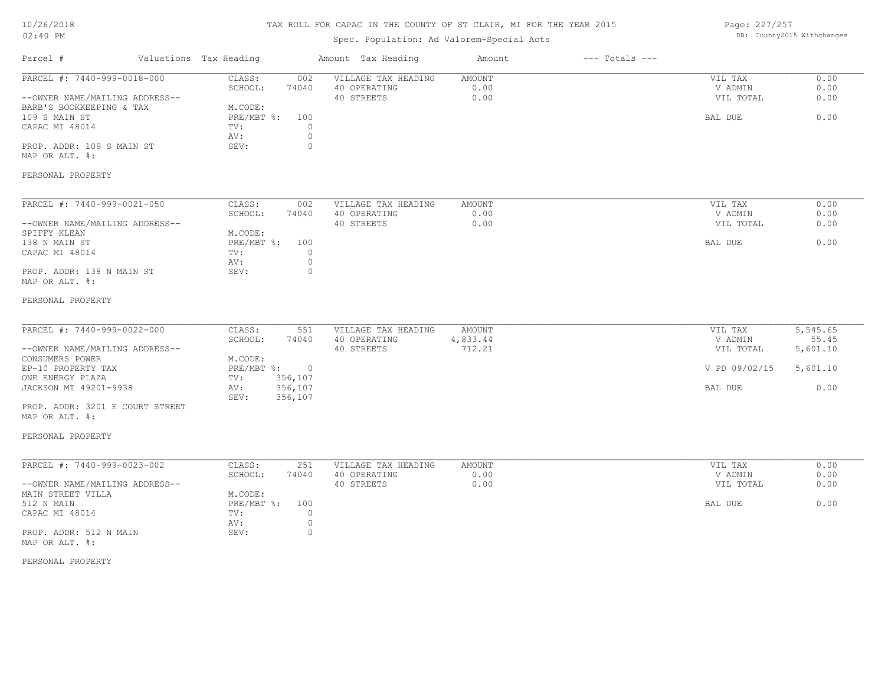# TAX ROLL FOR CAPAC IN THE COUNTY OF ST CLAIR, MI FOR THE YEAR 2015

# Spec. Population: Ad Valorem+Special Acts

Page: 227/257 DB: County2015 Withchanges

| Valuations Tax Heading<br>Parcel #                                                                                                                                                                                            |                                                                                                                        | Amount Tax Heading                                | Amount                              | $---$ Totals $---$ |                                                             |                                                                |
|-------------------------------------------------------------------------------------------------------------------------------------------------------------------------------------------------------------------------------|------------------------------------------------------------------------------------------------------------------------|---------------------------------------------------|-------------------------------------|--------------------|-------------------------------------------------------------|----------------------------------------------------------------|
| PARCEL #: 7440-999-0018-000<br>--OWNER NAME/MAILING ADDRESS--<br>BARB'S BOOKKEEPING & TAX<br>109 S MAIN ST<br>CAPAC MI 48014<br>PROP. ADDR: 109 S MAIN ST<br>MAP OR ALT. #:<br>PERSONAL PROPERTY                              | CLASS:<br>002<br>SCHOOL:<br>74040<br>M.CODE:<br>PRE/MBT %: 100<br>$\circ$<br>TV:<br>$\circ$<br>AV:<br>$\circ$<br>SEV:  | VILLAGE TAX HEADING<br>40 OPERATING<br>40 STREETS | AMOUNT<br>0.00<br>0.00              |                    | VIL TAX<br>V ADMIN<br>VIL TOTAL<br>BAL DUE                  | 0.00<br>0.00<br>0.00<br>0.00                                   |
| PARCEL #: 7440-999-0021-050<br>--OWNER NAME/MAILING ADDRESS--<br>SPIFFY KLEAN<br>138 N MAIN ST<br>CAPAC MI 48014<br>PROP. ADDR: 138 N MAIN ST<br>MAP OR ALT. #:<br>PERSONAL PROPERTY                                          | CLASS:<br>002<br>SCHOOL:<br>74040<br>M.CODE:<br>PRE/MBT %: 100<br>TV:<br>$\Omega$<br>$\circ$<br>AV:<br>$\circ$<br>SEV: | VILLAGE TAX HEADING<br>40 OPERATING<br>40 STREETS | <b>AMOUNT</b><br>0.00<br>0.00       |                    | VIL TAX<br>V ADMIN<br>VIL TOTAL<br>BAL DUE                  | 0.00<br>0.00<br>0.00<br>0.00                                   |
| PARCEL #: 7440-999-0022-000<br>--OWNER NAME/MAILING ADDRESS--<br>CONSUMERS POWER<br>EP-10 PROPERTY TAX<br>ONE ENERGY PLAZA<br>JACKSON MI 49201-9938<br>PROP. ADDR: 3201 E COURT STREET<br>MAP OR ALT. #:<br>PERSONAL PROPERTY | CLASS:<br>551<br>SCHOOL:<br>74040<br>M.CODE:<br>PRE/MBT %: 0<br>356,107<br>TV:<br>356,107<br>AV:<br>SEV:<br>356,107    | VILLAGE TAX HEADING<br>40 OPERATING<br>40 STREETS | <b>AMOUNT</b><br>4,833.44<br>712.21 |                    | VIL TAX<br>V ADMIN<br>VIL TOTAL<br>V PD 09/02/15<br>BAL DUE | $\overline{5,545.65}$<br>55.45<br>5,601.10<br>5,601.10<br>0.00 |
| PARCEL #: 7440-999-0023-002<br>--OWNER NAME/MAILING ADDRESS--<br>MAIN STREET VILLA<br>512 N MAIN<br>CAPAC MI 48014<br>PROP. ADDR: 512 N MAIN<br>MAP OR ALT. #:<br>PERSONAL PROPERTY                                           | CLASS:<br>251<br>SCHOOL:<br>74040<br>M.CODE:<br>PRE/MBT %: 100<br>TV:<br>$\circ$<br>$\circ$<br>AV:<br>SEV:<br>$\circ$  | VILLAGE TAX HEADING<br>40 OPERATING<br>40 STREETS | <b>AMOUNT</b><br>0.00<br>0.00       |                    | VIL TAX<br>V ADMIN<br>VIL TOTAL<br>BAL DUE                  | 0.00<br>0.00<br>0.00<br>0.00                                   |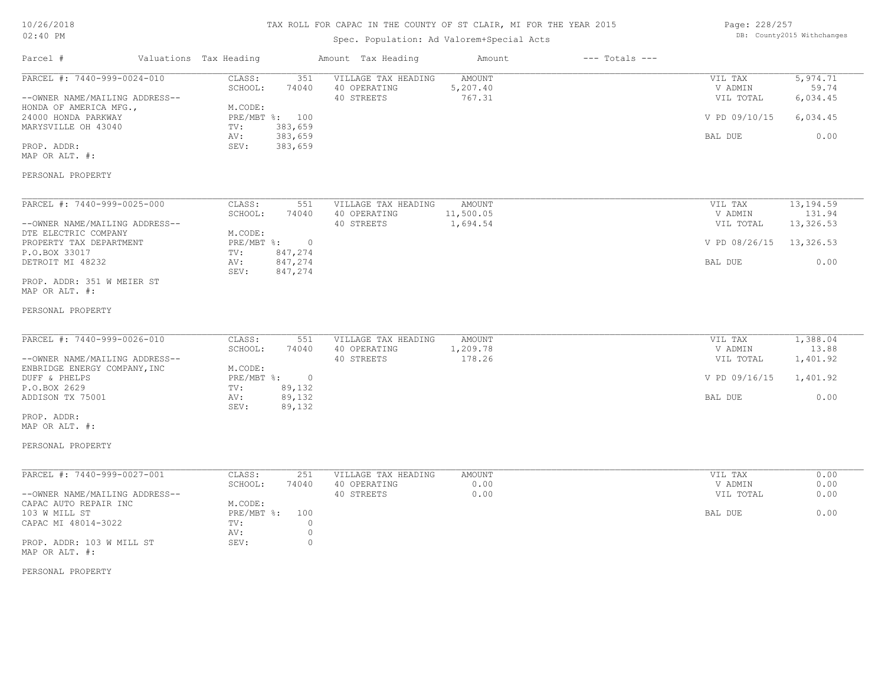| 10/26/2018 |  |
|------------|--|
| $02:40$ PM |  |

# Spec. Population: Ad Valorem+Special Acts

| Page: 228/257 |                            |
|---------------|----------------------------|
|               | DB: County2015 Withchanges |

| Parcel #                                                                                                                                                                                    | Valuations Tax Heading                             |                                                                 | Amount Tax Heading                                | Amount                                 | $---$ Totals $---$ |                                                             |                                                   |
|---------------------------------------------------------------------------------------------------------------------------------------------------------------------------------------------|----------------------------------------------------|-----------------------------------------------------------------|---------------------------------------------------|----------------------------------------|--------------------|-------------------------------------------------------------|---------------------------------------------------|
| PARCEL #: 7440-999-0024-010<br>--OWNER NAME/MAILING ADDRESS--<br>HONDA OF AMERICA MFG.,<br>24000 HONDA PARKWAY<br>MARYSVILLE OH 43040<br>PROP. ADDR:<br>MAP OR ALT. #:<br>PERSONAL PROPERTY | CLASS:<br>SCHOOL:<br>M.CODE:<br>TV:<br>AV:<br>SEV: | 351<br>74040<br>PRE/MBT %: 100<br>383,659<br>383,659<br>383,659 | VILLAGE TAX HEADING<br>40 OPERATING<br>40 STREETS | <b>AMOUNT</b><br>5,207.40<br>767.31    |                    | VIL TAX<br>V ADMIN<br>VIL TOTAL<br>V PD 09/10/15<br>BAL DUE | 5,974.71<br>59.74<br>6,034.45<br>6,034.45<br>0.00 |
|                                                                                                                                                                                             |                                                    |                                                                 |                                                   |                                        |                    |                                                             |                                                   |
| PARCEL #: 7440-999-0025-000<br>--OWNER NAME/MAILING ADDRESS--                                                                                                                               | CLASS:<br>SCHOOL:                                  | 551<br>74040                                                    | VILLAGE TAX HEADING<br>40 OPERATING<br>40 STREETS | <b>AMOUNT</b><br>11,500.05<br>1,694.54 |                    | VIL TAX<br>V ADMIN<br>VIL TOTAL                             | 13, 194.59<br>131.94<br>13,326.53                 |
| DTE ELECTRIC COMPANY<br>PROPERTY TAX DEPARTMENT<br>P.O.BOX 33017                                                                                                                            | M.CODE:<br>PRE/MBT %:<br>TV:                       | $\circ$<br>847,274                                              |                                                   |                                        |                    | V PD 08/26/15                                               | 13,326.53                                         |
| DETROIT MI 48232<br>PROP. ADDR: 351 W MEIER ST<br>MAP OR ALT. #:                                                                                                                            | AV:<br>SEV:                                        | 847,274<br>847,274                                              |                                                   |                                        |                    | BAL DUE                                                     | 0.00                                              |
| PERSONAL PROPERTY                                                                                                                                                                           |                                                    |                                                                 |                                                   |                                        |                    |                                                             |                                                   |
| PARCEL #: 7440-999-0026-010<br>--OWNER NAME/MAILING ADDRESS--<br>ENBRIDGE ENERGY COMPANY, INC                                                                                               | CLASS:<br>SCHOOL:<br>M.CODE:                       | 551<br>74040                                                    | VILLAGE TAX HEADING<br>40 OPERATING<br>40 STREETS | <b>AMOUNT</b><br>1,209.78<br>178.26    |                    | VIL TAX<br>V ADMIN<br>VIL TOTAL                             | 1,388.04<br>13.88<br>1,401.92                     |
| DUFF & PHELPS<br>P.O.BOX 2629<br>ADDISON TX 75001                                                                                                                                           | $PRE/MBT$ $\div$<br>TV:<br>AV:<br>SEV:             | $\overline{0}$<br>89,132<br>89,132<br>89,132                    |                                                   |                                        |                    | V PD 09/16/15<br>BAL DUE                                    | 1,401.92<br>0.00                                  |
| PROP. ADDR:<br>MAP OR ALT. #:                                                                                                                                                               |                                                    |                                                                 |                                                   |                                        |                    |                                                             |                                                   |
| PERSONAL PROPERTY                                                                                                                                                                           |                                                    |                                                                 |                                                   |                                        |                    |                                                             |                                                   |
| PARCEL #: 7440-999-0027-001                                                                                                                                                                 | CLASS:<br>SCHOOL:                                  | 251<br>74040                                                    | VILLAGE TAX HEADING<br>40 OPERATING               | AMOUNT<br>0.00                         |                    | VIL TAX<br>V ADMIN                                          | 0.00<br>0.00                                      |
| --OWNER NAME/MAILING ADDRESS--<br>CAPAC AUTO REPAIR INC<br>103 W MILL ST                                                                                                                    | M.CODE:<br>PRE/MBT %:                              | 100                                                             | 40 STREETS                                        | 0.00                                   |                    | VIL TOTAL<br>BAL DUE                                        | 0.00<br>0.00                                      |
| CAPAC MI 48014-3022<br>PROP. ADDR: 103 W MILL ST<br>MAP OR ALT. #:                                                                                                                          | TV:<br>AV:<br>SEV:                                 | $\circ$<br>$\circ$<br>$\circ$                                   |                                                   |                                        |                    |                                                             |                                                   |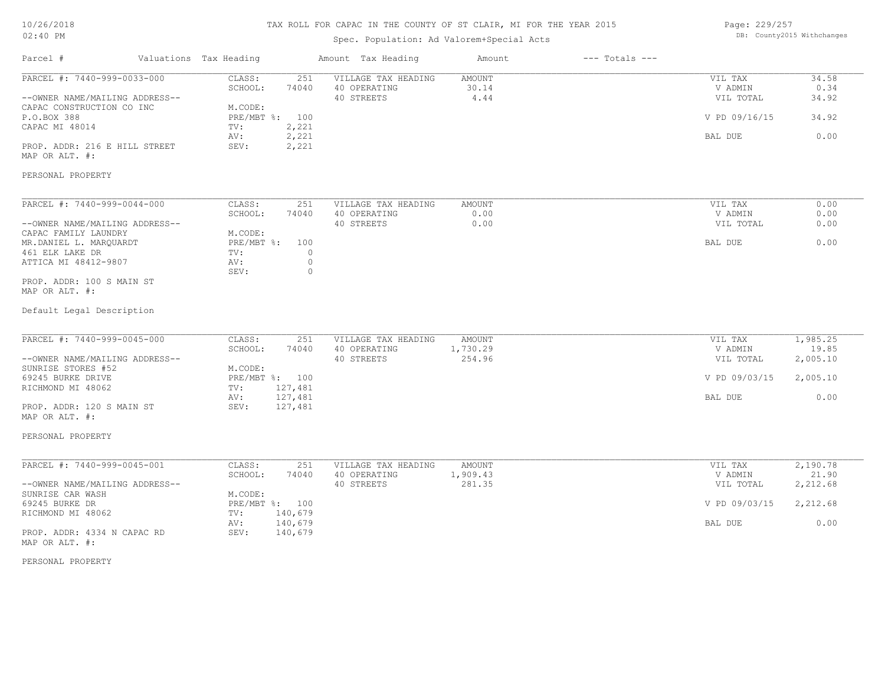# TAX ROLL FOR CAPAC IN THE COUNTY OF ST CLAIR, MI FOR THE YEAR 2015

# Spec. Population: Ad Valorem+Special Acts

Parcel # Valuations Tax Heading Amount Tax Heading Amount --- Totals ---

| Page: 229/257 |                            |
|---------------|----------------------------|
|               | DB: County2015 Withchanges |

| PARCEL #: 7440-999-0033-000                   | CLASS:<br>251<br>SCHOOL:<br>74040 | VILLAGE TAX HEADING<br>40 OPERATING | <b>AMOUNT</b><br>30.14 | VIL TAX<br>V ADMIN | 34.58<br>0.34 |
|-----------------------------------------------|-----------------------------------|-------------------------------------|------------------------|--------------------|---------------|
| --OWNER NAME/MAILING ADDRESS--                |                                   | 40 STREETS                          | 4.44                   | VIL TOTAL          | 34.92         |
| CAPAC CONSTRUCTION CO INC                     | M.CODE:                           |                                     |                        |                    |               |
| P.O.BOX 388<br>CAPAC MI 48014                 | PRE/MBT %:<br>100<br>2,221        |                                     |                        | V PD 09/16/15      | 34.92         |
|                                               | TV:<br>AV:                        |                                     |                        | BAL DUE            | 0.00          |
| PROP. ADDR: 216 E HILL STREET                 | 2,221<br>2,221<br>SEV:            |                                     |                        |                    |               |
| MAP OR ALT. #:                                |                                   |                                     |                        |                    |               |
|                                               |                                   |                                     |                        |                    |               |
| PERSONAL PROPERTY                             |                                   |                                     |                        |                    |               |
| PARCEL #: 7440-999-0044-000                   | CLASS:<br>251                     | VILLAGE TAX HEADING                 | AMOUNT                 | VIL TAX            | 0.00          |
|                                               | SCHOOL:<br>74040                  | 40 OPERATING                        | 0.00                   | V ADMIN            | 0.00          |
| --OWNER NAME/MAILING ADDRESS--                |                                   | 40 STREETS                          | 0.00                   | VIL TOTAL          | 0.00          |
| CAPAC FAMILY LAUNDRY                          | M.CODE:                           |                                     |                        |                    |               |
| MR.DANIEL L. MARQUARDT                        | PRE/MBT %:<br>100                 |                                     |                        | BAL DUE            | 0.00          |
| 461 ELK LAKE DR                               | $\circ$<br>TV:                    |                                     |                        |                    |               |
| ATTICA MI 48412-9807                          | $\circ$<br>AV:<br>$\circ$<br>SEV: |                                     |                        |                    |               |
| PROP. ADDR: 100 S MAIN ST                     |                                   |                                     |                        |                    |               |
| MAP OR ALT. #:                                |                                   |                                     |                        |                    |               |
| Default Legal Description                     |                                   |                                     |                        |                    |               |
| PARCEL #: 7440-999-0045-000                   | CLASS:<br>251                     | VILLAGE TAX HEADING                 | AMOUNT                 | VIL TAX            | 1,985.25      |
|                                               | SCHOOL:<br>74040                  | 40 OPERATING                        | 1,730.29               | V ADMIN            | 19.85         |
| --OWNER NAME/MAILING ADDRESS--                |                                   | 40 STREETS                          | 254.96                 | VIL TOTAL          | 2,005.10      |
| SUNRISE STORES #52                            | M.CODE:                           |                                     |                        |                    |               |
| 69245 BURKE DRIVE                             | PRE/MBT %: 100                    |                                     |                        | V PD 09/03/15      | 2,005.10      |
| RICHMOND MI 48062                             | 127,481<br>TV:                    |                                     |                        |                    |               |
|                                               | 127,481<br>AV:                    |                                     |                        | BAL DUE            | 0.00          |
| PROP. ADDR: 120 S MAIN ST                     | 127,481<br>SEV:                   |                                     |                        |                    |               |
| MAP OR ALT. #:                                |                                   |                                     |                        |                    |               |
| PERSONAL PROPERTY                             |                                   |                                     |                        |                    |               |
| PARCEL #: 7440-999-0045-001                   | CLASS:<br>251                     | VILLAGE TAX HEADING                 | AMOUNT                 | VIL TAX            | 2,190.78      |
|                                               | SCHOOL:<br>74040                  | 40 OPERATING                        | 1,909.43               | V ADMIN            | 21.90         |
| --OWNER NAME/MAILING ADDRESS--                |                                   | 40 STREETS                          | 281.35                 | VIL TOTAL          | 2,212.68      |
| SUNRISE CAR WASH                              | M.CODE:                           |                                     |                        |                    |               |
| 69245 BURKE DR                                | PRE/MBT %: 100                    |                                     |                        | V PD 09/03/15      | 2,212.68      |
| RICHMOND MI 48062                             | 140,679<br>TV:                    |                                     |                        |                    |               |
|                                               | 140,679<br>AV:                    |                                     |                        | BAL DUE            | 0.00          |
| PROP. ADDR: 4334 N CAPAC RD<br>MAP OR ALT. #: | 140,679<br>SEV:                   |                                     |                        |                    |               |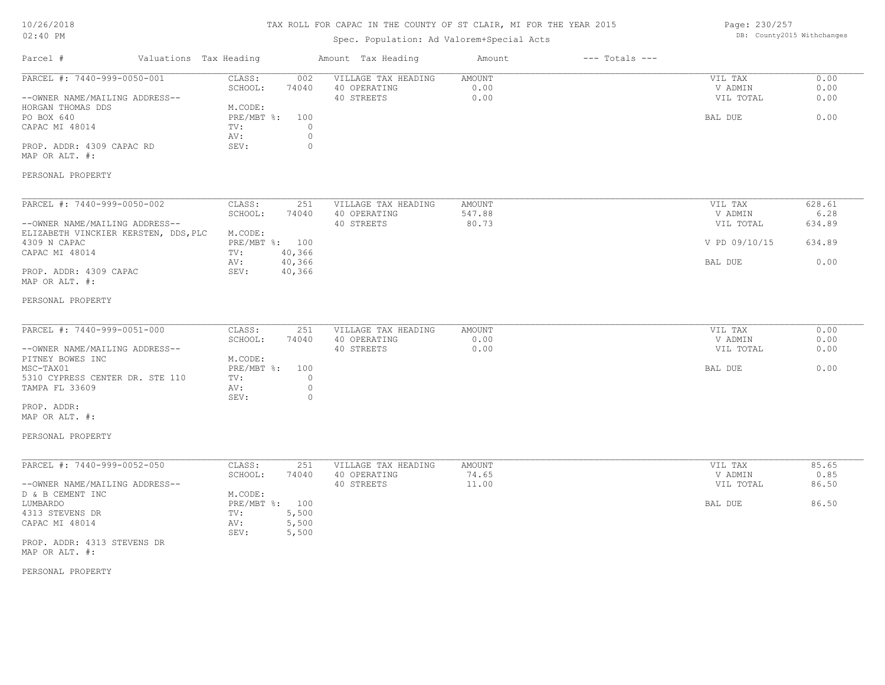# TAX ROLL FOR CAPAC IN THE COUNTY OF ST CLAIR, MI FOR THE YEAR 2015

# Spec. Population: Ad Valorem+Special Acts

Page: 230/257 DB: County2015 Withchanges

| Parcel #<br>Valuations Tax Heading                                                                                                                                |                                                                                                                           | Amount Tax Heading                                | Amount                        | $---$ Totals $---$ |                                                             |                                            |
|-------------------------------------------------------------------------------------------------------------------------------------------------------------------|---------------------------------------------------------------------------------------------------------------------------|---------------------------------------------------|-------------------------------|--------------------|-------------------------------------------------------------|--------------------------------------------|
| PARCEL #: 7440-999-0050-001<br>--OWNER NAME/MAILING ADDRESS--<br>HORGAN THOMAS DDS<br>PO BOX 640<br>CAPAC MI 48014<br>PROP. ADDR: 4309 CAPAC RD<br>MAP OR ALT. #: | CLASS:<br>002<br>SCHOOL:<br>74040<br>M.CODE:<br>PRE/MBT %:<br>100<br>TV:<br>$\Omega$<br>$\circ$<br>AV:<br>SEV:<br>$\circ$ | VILLAGE TAX HEADING<br>40 OPERATING<br>40 STREETS | <b>AMOUNT</b><br>0.00<br>0.00 |                    | VIL TAX<br>V ADMIN<br>VIL TOTAL<br>BAL DUE                  | 0.00<br>0.00<br>0.00<br>0.00               |
| PERSONAL PROPERTY                                                                                                                                                 |                                                                                                                           |                                                   |                               |                    |                                                             |                                            |
| PARCEL #: 7440-999-0050-002<br>--OWNER NAME/MAILING ADDRESS--<br>ELIZABETH VINCKIER KERSTEN, DDS, PLC<br>4309 N CAPAC<br>CAPAC MI 48014                           | CLASS:<br>251<br>SCHOOL:<br>74040<br>M.CODE:<br>PRE/MBT %: 100<br>40,366<br>TV:<br>40,366<br>AV:                          | VILLAGE TAX HEADING<br>40 OPERATING<br>40 STREETS | AMOUNT<br>547.88<br>80.73     |                    | VIL TAX<br>V ADMIN<br>VIL TOTAL<br>V PD 09/10/15<br>BAL DUE | 628.61<br>6.28<br>634.89<br>634.89<br>0.00 |
| PROP. ADDR: 4309 CAPAC<br>MAP OR ALT. #:                                                                                                                          | 40,366<br>SEV:                                                                                                            |                                                   |                               |                    |                                                             |                                            |
| PERSONAL PROPERTY                                                                                                                                                 |                                                                                                                           |                                                   |                               |                    |                                                             |                                            |
| PARCEL #: 7440-999-0051-000<br>--OWNER NAME/MAILING ADDRESS--<br>PITNEY BOWES INC<br>MSC-TAX01<br>5310 CYPRESS CENTER DR. STE 110                                 | CLASS:<br>251<br>SCHOOL:<br>74040<br>M.CODE:<br>PRE/MBT %:<br>100<br>$\circ$<br>TV:                                       | VILLAGE TAX HEADING<br>40 OPERATING<br>40 STREETS | AMOUNT<br>0.00<br>0.00        |                    | VIL TAX<br>V ADMIN<br>VIL TOTAL<br>BAL DUE                  | 0.00<br>0.00<br>0.00<br>0.00               |
| TAMPA FL 33609<br>PROP. ADDR:<br>MAP OR ALT. #:                                                                                                                   | $\circ$<br>AV:<br>$\circ$<br>SEV:                                                                                         |                                                   |                               |                    |                                                             |                                            |
| PERSONAL PROPERTY                                                                                                                                                 |                                                                                                                           |                                                   |                               |                    |                                                             |                                            |
| PARCEL #: 7440-999-0052-050<br>--OWNER NAME/MAILING ADDRESS--<br>D & B CEMENT INC                                                                                 | 251<br>CLASS:<br>SCHOOL:<br>74040<br>M.CODE:                                                                              | VILLAGE TAX HEADING<br>40 OPERATING<br>40 STREETS | AMOUNT<br>74.65<br>11.00      |                    | VIL TAX<br>V ADMIN<br>VIL TOTAL                             | 85.65<br>0.85<br>86.50                     |
| LUMBARDO<br>4313 STEVENS DR<br>CAPAC MI 48014                                                                                                                     | PRE/MBT %: 100<br>5,500<br>TV:<br>AV:<br>5,500<br>SEV:<br>5,500                                                           |                                                   |                               |                    | BAL DUE                                                     | 86.50                                      |
| PROP. ADDR: 4313 STEVENS DR<br>MAP OR ALT. #:                                                                                                                     |                                                                                                                           |                                                   |                               |                    |                                                             |                                            |
| PERSONAL PROPERTY                                                                                                                                                 |                                                                                                                           |                                                   |                               |                    |                                                             |                                            |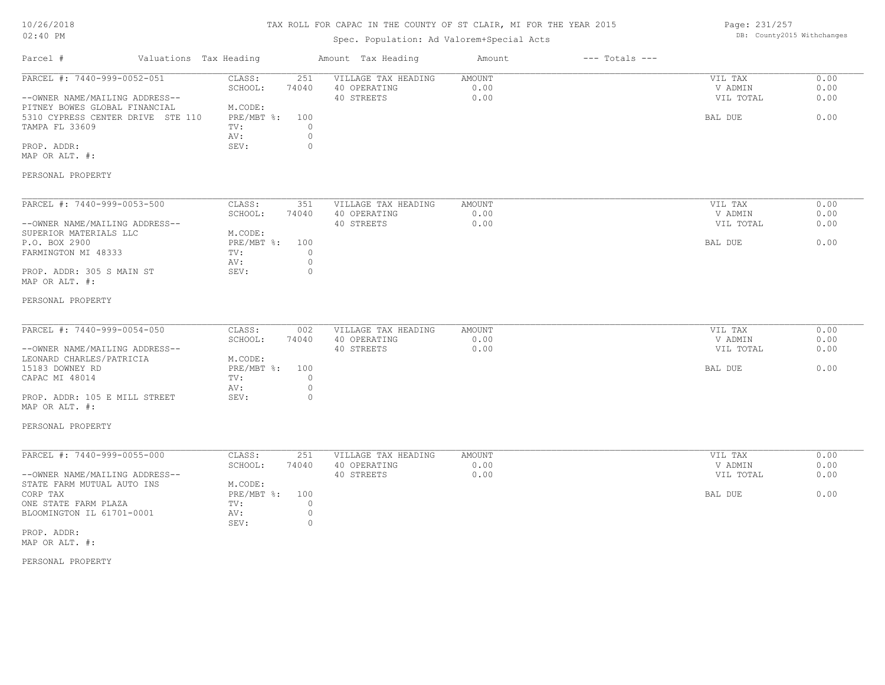# TAX ROLL FOR CAPAC IN THE COUNTY OF ST CLAIR, MI FOR THE YEAR 2015

# Spec. Population: Ad Valorem+Special Acts

Page: 231/257 DB: County2015 Withchanges

| Parcel #                                                                                                                                                                               | Valuations Tax Heading |                                                                  |                                                      | Amount Tax Heading                                | Amount                        | $---$ Totals $---$ |                                            |                              |
|----------------------------------------------------------------------------------------------------------------------------------------------------------------------------------------|------------------------|------------------------------------------------------------------|------------------------------------------------------|---------------------------------------------------|-------------------------------|--------------------|--------------------------------------------|------------------------------|
| PARCEL #: 7440-999-0052-051<br>--OWNER NAME/MAILING ADDRESS--<br>PITNEY BOWES GLOBAL FINANCIAL<br>5310 CYPRESS CENTER DRIVE STE 110<br>TAMPA FL 33609<br>PROP. ADDR:<br>MAP OR ALT. #: |                        | CLASS:<br>SCHOOL:<br>M.CODE:<br>PRE/MBT %:<br>TV:<br>AV:<br>SEV: | 251<br>74040<br>100<br>$\circ$<br>$\circ$<br>$\circ$ | VILLAGE TAX HEADING<br>40 OPERATING<br>40 STREETS | AMOUNT<br>0.00<br>0.00        |                    | VIL TAX<br>V ADMIN<br>VIL TOTAL<br>BAL DUE | 0.00<br>0.00<br>0.00<br>0.00 |
| PERSONAL PROPERTY                                                                                                                                                                      |                        |                                                                  |                                                      |                                                   |                               |                    |                                            |                              |
| PARCEL #: 7440-999-0053-500<br>--OWNER NAME/MAILING ADDRESS--<br>SUPERIOR MATERIALS LLC<br>P.O. BOX 2900<br>FARMINGTON MI 48333<br>PROP. ADDR: 305 S MAIN ST<br>MAP OR ALT. #:         |                        | CLASS:<br>SCHOOL:<br>M.CODE:<br>PRE/MBT %:<br>TV:<br>AV:<br>SEV: | 351<br>74040<br>100<br>$\circ$<br>$\circ$<br>$\circ$ | VILLAGE TAX HEADING<br>40 OPERATING<br>40 STREETS | <b>AMOUNT</b><br>0.00<br>0.00 |                    | VIL TAX<br>V ADMIN<br>VIL TOTAL<br>BAL DUE | 0.00<br>0.00<br>0.00<br>0.00 |
| PERSONAL PROPERTY<br>PARCEL #: 7440-999-0054-050                                                                                                                                       |                        | CLASS:                                                           |                                                      | VILLAGE TAX HEADING                               | <b>AMOUNT</b>                 |                    |                                            | 0.00                         |
| --OWNER NAME/MAILING ADDRESS--<br>LEONARD CHARLES/PATRICIA<br>15183 DOWNEY RD<br>CAPAC MI 48014                                                                                        |                        | SCHOOL:<br>M.CODE:<br>$PRE/MBT$ $\frac{1}{6}$ :<br>TV:           | 002<br>74040<br>100<br>$\circ$                       | 40 OPERATING<br>40 STREETS                        | 0.00<br>0.00                  |                    | VIL TAX<br>V ADMIN<br>VIL TOTAL<br>BAL DUE | 0.00<br>0.00<br>0.00         |
| PROP. ADDR: 105 E MILL STREET<br>MAP OR ALT. #:                                                                                                                                        |                        | AV:<br>SEV:                                                      | $\circ$<br>$\circ$                                   |                                                   |                               |                    |                                            |                              |
| PERSONAL PROPERTY                                                                                                                                                                      |                        |                                                                  |                                                      |                                                   |                               |                    |                                            |                              |
| PARCEL #: 7440-999-0055-000<br>--OWNER NAME/MAILING ADDRESS--                                                                                                                          |                        | CLASS:<br>SCHOOL:                                                | 251<br>74040                                         | VILLAGE TAX HEADING<br>40 OPERATING<br>40 STREETS | AMOUNT<br>0.00<br>0.00        |                    | VIL TAX<br>V ADMIN<br>VIL TOTAL            | 0.00<br>0.00<br>0.00         |
| STATE FARM MUTUAL AUTO INS<br>CORP TAX<br>ONE STATE FARM PLAZA<br>BLOOMINGTON IL 61701-0001                                                                                            |                        | M.CODE:<br>$PRE/MBT$ $\div$<br>TV:<br>AV:<br>SEV:                | 100<br>$\circ$<br>$\circ$<br>$\circ$                 |                                                   |                               |                    | BAL DUE                                    | 0.00                         |
| PROP. ADDR:<br>MAP OR ALT. #:                                                                                                                                                          |                        |                                                                  |                                                      |                                                   |                               |                    |                                            |                              |
| PERSONAL PROPERTY                                                                                                                                                                      |                        |                                                                  |                                                      |                                                   |                               |                    |                                            |                              |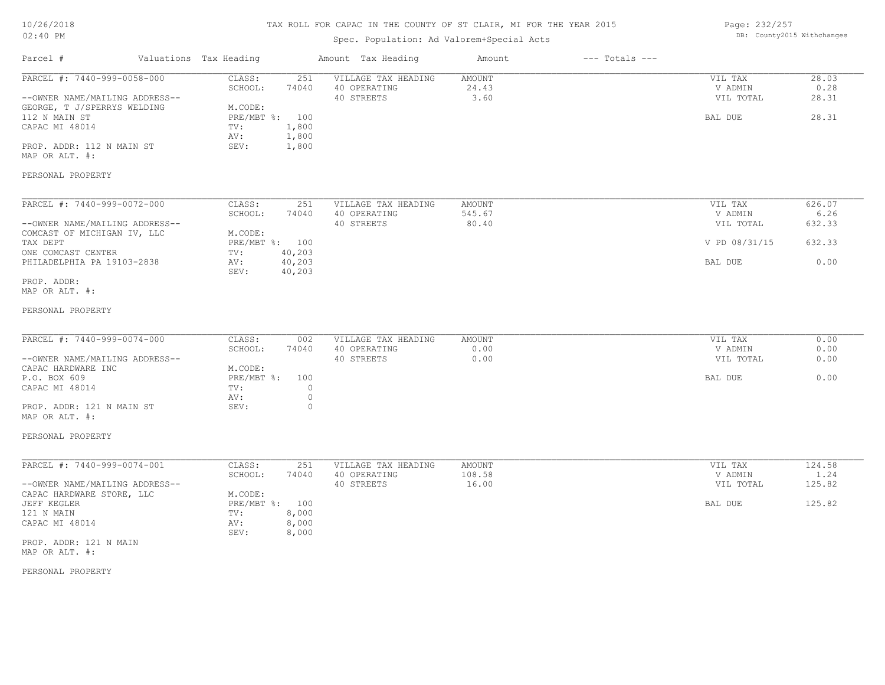| 10/26/2018 |  |
|------------|--|
| $02:40$ PM |  |

# Spec. Population: Ad Valorem+Special Acts

Page: 232/257 DB: County2015 Withchanges

| Parcel #                                                                                                                                                                       | Valuations Tax Heading |                                                                                                                 | Amount Tax Heading                                | Amount                           | $---$ Totals $---$ |                                            |                                 |
|--------------------------------------------------------------------------------------------------------------------------------------------------------------------------------|------------------------|-----------------------------------------------------------------------------------------------------------------|---------------------------------------------------|----------------------------------|--------------------|--------------------------------------------|---------------------------------|
| PARCEL #: 7440-999-0058-000<br>--OWNER NAME/MAILING ADDRESS--<br>GEORGE, T J/SPERRYS WELDING<br>112 N MAIN ST<br>CAPAC MI 48014<br>PROP. ADDR: 112 N MAIN ST<br>MAP OR ALT. #: |                        | CLASS:<br>251<br>SCHOOL:<br>74040<br>M.CODE:<br>PRE/MBT %: 100<br>TV:<br>1,800<br>1,800<br>AV:<br>1,800<br>SEV: | VILLAGE TAX HEADING<br>40 OPERATING<br>40 STREETS | AMOUNT<br>24.43<br>3.60          |                    | VIL TAX<br>V ADMIN<br>VIL TOTAL<br>BAL DUE | 28.03<br>0.28<br>28.31<br>28.31 |
| PERSONAL PROPERTY                                                                                                                                                              |                        |                                                                                                                 |                                                   |                                  |                    |                                            |                                 |
| PARCEL #: 7440-999-0072-000<br>--OWNER NAME/MAILING ADDRESS--<br>COMCAST OF MICHIGAN IV, LLC                                                                                   |                        | CLASS:<br>251<br>SCHOOL:<br>74040<br>M.CODE:                                                                    | VILLAGE TAX HEADING<br>40 OPERATING<br>40 STREETS | AMOUNT<br>545.67<br>80.40        |                    | VIL TAX<br>V ADMIN<br>VIL TOTAL            | 626.07<br>6.26<br>632.33        |
| TAX DEPT<br>ONE COMCAST CENTER<br>PHILADELPHIA PA 19103-2838                                                                                                                   |                        | PRE/MBT %: 100<br>40,203<br>TV:<br>40,203<br>AV:<br>SEV:<br>40,203                                              |                                                   |                                  |                    | V PD 08/31/15<br>BAL DUE                   | 632.33<br>0.00                  |
| PROP. ADDR:<br>MAP OR ALT. #:                                                                                                                                                  |                        |                                                                                                                 |                                                   |                                  |                    |                                            |                                 |
| PERSONAL PROPERTY                                                                                                                                                              |                        |                                                                                                                 |                                                   |                                  |                    |                                            |                                 |
| PARCEL #: 7440-999-0074-000<br>--OWNER NAME/MAILING ADDRESS--                                                                                                                  |                        | CLASS:<br>002<br>SCHOOL:<br>74040                                                                               | VILLAGE TAX HEADING<br>40 OPERATING<br>40 STREETS | AMOUNT<br>0.00<br>0.00           |                    | VIL TAX<br>V ADMIN<br>VIL TOTAL            | 0.00<br>0.00<br>0.00            |
| CAPAC HARDWARE INC<br>P.O. BOX 609<br>CAPAC MI 48014                                                                                                                           |                        | M.CODE:<br>$PRE/MBT$ $\div$<br>100<br>TV:<br>$\circ$<br>$\circ$<br>AV:                                          |                                                   |                                  |                    | BAL DUE                                    | 0.00                            |
| PROP. ADDR: 121 N MAIN ST<br>MAP OR ALT. #:                                                                                                                                    |                        | $\circ$<br>SEV:                                                                                                 |                                                   |                                  |                    |                                            |                                 |
| PERSONAL PROPERTY                                                                                                                                                              |                        |                                                                                                                 |                                                   |                                  |                    |                                            |                                 |
| PARCEL #: 7440-999-0074-001<br>--OWNER NAME/MAILING ADDRESS--                                                                                                                  |                        | CLASS:<br>251<br>SCHOOL:<br>74040<br>M.CODE:                                                                    | VILLAGE TAX HEADING<br>40 OPERATING<br>40 STREETS | <b>AMOUNT</b><br>108.58<br>16.00 |                    | VIL TAX<br>V ADMIN<br>VIL TOTAL            | 124.58<br>1.24<br>125.82        |
| CAPAC HARDWARE STORE, LLC<br>JEFF KEGLER<br>121 N MAIN<br>CAPAC MI 48014<br>PROP. ADDR: 121 N MAIN                                                                             |                        | PRE/MBT %: 100<br>8,000<br>TV:<br>8,000<br>AV:<br>SEV:<br>8,000                                                 |                                                   |                                  |                    | BAL DUE                                    | 125.82                          |
| MAP OR ALT. #:<br>PERSONAL PROPERTY                                                                                                                                            |                        |                                                                                                                 |                                                   |                                  |                    |                                            |                                 |
|                                                                                                                                                                                |                        |                                                                                                                 |                                                   |                                  |                    |                                            |                                 |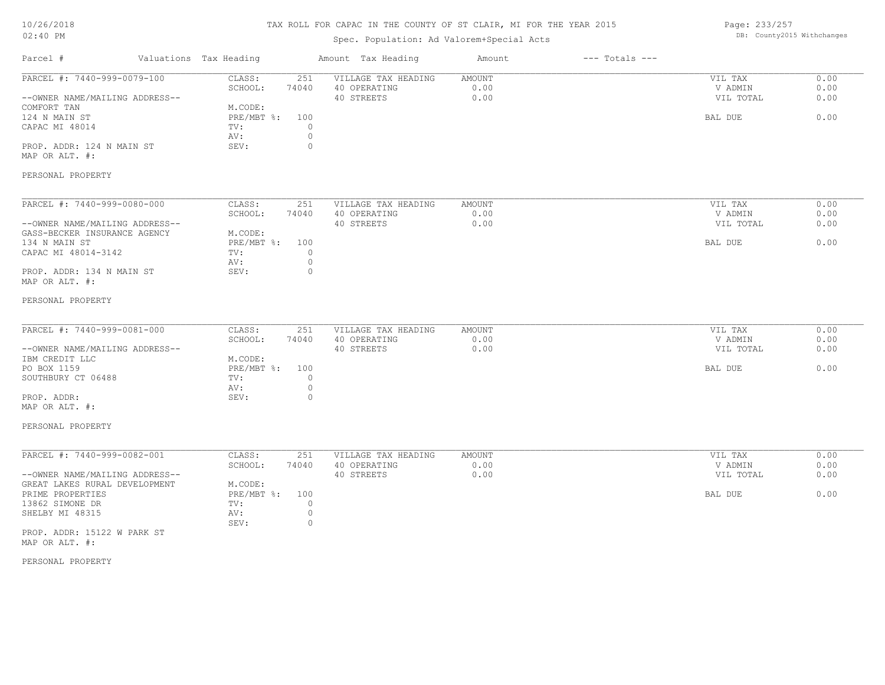# TAX ROLL FOR CAPAC IN THE COUNTY OF ST CLAIR, MI FOR THE YEAR 2015

# Spec. Population: Ad Valorem+Special Acts

Page: 233/257 DB: County2015 Withchanges

| Parcel #                                                                                                                                                           | Valuations Tax Heading |                                                                                 | Amount Tax Heading                                                                               | Amount                        | $---$ Totals $---$ |                                            |                              |
|--------------------------------------------------------------------------------------------------------------------------------------------------------------------|------------------------|---------------------------------------------------------------------------------|--------------------------------------------------------------------------------------------------|-------------------------------|--------------------|--------------------------------------------|------------------------------|
| PARCEL #: 7440-999-0079-100<br>--OWNER NAME/MAILING ADDRESS--<br>COMFORT TAN<br>124 N MAIN ST<br>CAPAC MI 48014<br>PROP. ADDR: 124 N MAIN ST<br>MAP OR ALT. #:     |                        | CLASS:<br>SCHOOL:<br>74040<br>M.CODE:<br>$PRE/MBT$ $\div$<br>TV:<br>AV:<br>SEV: | 251<br>VILLAGE TAX HEADING<br>40 OPERATING<br>40 STREETS<br>100<br>$\circ$<br>$\circ$<br>$\circ$ | <b>AMOUNT</b><br>0.00<br>0.00 |                    | VIL TAX<br>V ADMIN<br>VIL TOTAL<br>BAL DUE | 0.00<br>0.00<br>0.00<br>0.00 |
| PERSONAL PROPERTY                                                                                                                                                  |                        |                                                                                 |                                                                                                  |                               |                    |                                            |                              |
| PARCEL #: 7440-999-0080-000<br>--OWNER NAME/MAILING ADDRESS--<br>GASS-BECKER INSURANCE AGENCY<br>134 N MAIN ST<br>CAPAC MI 48014-3142<br>PROP. ADDR: 134 N MAIN ST |                        | CLASS:<br>SCHOOL:<br>74040<br>M.CODE:<br>$PRE/MBT$ $\div$<br>TV:<br>AV:<br>SEV: | 251<br>VILLAGE TAX HEADING<br>40 OPERATING<br>40 STREETS<br>100<br>$\circ$<br>$\circ$<br>$\circ$ | <b>AMOUNT</b><br>0.00<br>0.00 |                    | VIL TAX<br>V ADMIN<br>VIL TOTAL<br>BAL DUE | 0.00<br>0.00<br>0.00<br>0.00 |
| MAP OR ALT. #:                                                                                                                                                     |                        |                                                                                 |                                                                                                  |                               |                    |                                            |                              |
| PERSONAL PROPERTY                                                                                                                                                  |                        |                                                                                 |                                                                                                  |                               |                    |                                            |                              |
| PARCEL #: 7440-999-0081-000<br>--OWNER NAME/MAILING ADDRESS--<br>IBM CREDIT LLC<br>PO BOX 1159<br>SOUTHBURY CT 06488                                               |                        | CLASS:<br>SCHOOL:<br>74040<br>M.CODE:<br>$PRE/MBT$ $\div$<br>TV:                | 251<br>VILLAGE TAX HEADING<br>40 OPERATING<br>40 STREETS<br>100<br>$\circ$                       | <b>AMOUNT</b><br>0.00<br>0.00 |                    | VIL TAX<br>V ADMIN<br>VIL TOTAL<br>BAL DUE | 0.00<br>0.00<br>0.00<br>0.00 |
| PROP. ADDR:<br>MAP OR ALT. #:                                                                                                                                      |                        | AV:<br>SEV:                                                                     | $\circ$<br>$\circ$                                                                               |                               |                    |                                            |                              |
| PERSONAL PROPERTY                                                                                                                                                  |                        |                                                                                 |                                                                                                  |                               |                    |                                            |                              |
| PARCEL #: 7440-999-0082-001<br>--OWNER NAME/MAILING ADDRESS--                                                                                                      |                        | CLASS:<br>SCHOOL:<br>74040                                                      | 251<br>VILLAGE TAX HEADING<br>40 OPERATING<br>40 STREETS                                         | <b>AMOUNT</b><br>0.00<br>0.00 |                    | VIL TAX<br>V ADMIN<br>VIL TOTAL            | 0.00<br>0.00<br>0.00         |
| GREAT LAKES RURAL DEVELOPMENT<br>PRIME PROPERTIES<br>13862 SIMONE DR<br>SHELBY MI 48315                                                                            |                        | M.CODE:<br>$PRE/MBT$ $\div$<br>TV:<br>AV:<br>SEV:                               | 100<br>$\circ$<br>$\circ$<br>$\circ$                                                             |                               |                    | BAL DUE                                    | 0.00                         |
| PROP. ADDR: 15122 W PARK ST<br>MAP OR ALT. #:                                                                                                                      |                        |                                                                                 |                                                                                                  |                               |                    |                                            |                              |
| PERSONAL PROPERTY                                                                                                                                                  |                        |                                                                                 |                                                                                                  |                               |                    |                                            |                              |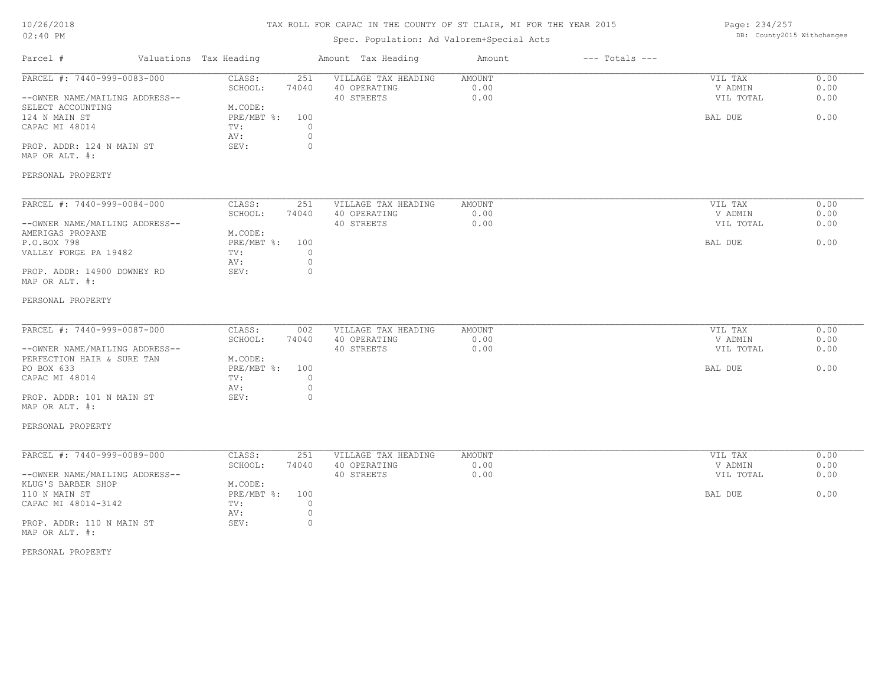# TAX ROLL FOR CAPAC IN THE COUNTY OF ST CLAIR, MI FOR THE YEAR 2015

# Spec. Population: Ad Valorem+Special Acts

Page: 234/257 DB: County2015 Withchanges

| Parcel #                                                                                                                                                                   | Valuations Tax Heading                                                                                                   | Amount Tax Heading                                | Amount                 | $---$ Totals $---$ |                                            |                              |
|----------------------------------------------------------------------------------------------------------------------------------------------------------------------------|--------------------------------------------------------------------------------------------------------------------------|---------------------------------------------------|------------------------|--------------------|--------------------------------------------|------------------------------|
| PARCEL #: 7440-999-0083-000<br>--OWNER NAME/MAILING ADDRESS--<br>SELECT ACCOUNTING<br>124 N MAIN ST<br>CAPAC MI 48014<br>PROP. ADDR: 124 N MAIN ST<br>MAP OR ALT. #:       | CLASS:<br>251<br>SCHOOL:<br>74040<br>M.CODE:<br>PRE/MBT %:<br>100<br>$\circ$<br>TV:<br>AV:<br>$\circ$<br>SEV:<br>$\circ$ | VILLAGE TAX HEADING<br>40 OPERATING<br>40 STREETS | AMOUNT<br>0.00<br>0.00 |                    | VIL TAX<br>V ADMIN<br>VIL TOTAL<br>BAL DUE | 0.00<br>0.00<br>0.00<br>0.00 |
| PERSONAL PROPERTY                                                                                                                                                          |                                                                                                                          |                                                   |                        |                    |                                            |                              |
| PARCEL #: 7440-999-0084-000<br>--OWNER NAME/MAILING ADDRESS--<br>AMERIGAS PROPANE<br>P.O.BOX 798<br>VALLEY FORGE PA 19482<br>PROP. ADDR: 14900 DOWNEY RD<br>MAP OR ALT. #: | CLASS:<br>251<br>SCHOOL:<br>74040<br>M.CODE:<br>PRE/MBT %:<br>100<br>$\circ$<br>TV:<br>AV:<br>$\circ$<br>$\circ$<br>SEV: | VILLAGE TAX HEADING<br>40 OPERATING<br>40 STREETS | AMOUNT<br>0.00<br>0.00 |                    | VIL TAX<br>V ADMIN<br>VIL TOTAL<br>BAL DUE | 0.00<br>0.00<br>0.00<br>0.00 |
| PERSONAL PROPERTY<br>PARCEL #: 7440-999-0087-000                                                                                                                           | CLASS:<br>002<br>SCHOOL:<br>74040                                                                                        | VILLAGE TAX HEADING<br>40 OPERATING               | <b>AMOUNT</b><br>0.00  |                    | VIL TAX<br>V ADMIN                         | 0.00<br>0.00                 |
| --OWNER NAME/MAILING ADDRESS--<br>PERFECTION HAIR & SURE TAN<br>PO BOX 633<br>CAPAC MI 48014<br>PROP. ADDR: 101 N MAIN ST                                                  | M.CODE:<br>$PRE/MBT$ $\div$<br>100<br>$\circ$<br>TV:<br>$\circ$<br>AV:<br>SEV:<br>$\mathbf{0}$                           | 40 STREETS                                        | 0.00                   |                    | VIL TOTAL<br>BAL DUE                       | 0.00<br>0.00                 |
| MAP OR ALT. #:<br>PERSONAL PROPERTY                                                                                                                                        |                                                                                                                          |                                                   |                        |                    |                                            |                              |
| PARCEL #: 7440-999-0089-000<br>--OWNER NAME/MAILING ADDRESS--                                                                                                              | CLASS:<br>251<br>SCHOOL:<br>74040                                                                                        | VILLAGE TAX HEADING<br>40 OPERATING<br>40 STREETS | AMOUNT<br>0.00<br>0.00 |                    | VIL TAX<br>V ADMIN<br>VIL TOTAL            | 0.00<br>0.00<br>0.00         |
| KLUG'S BARBER SHOP<br>110 N MAIN ST<br>CAPAC MI 48014-3142<br>PROP. ADDR: 110 N MAIN ST<br>MAP OR ALT. #:                                                                  | M.CODE:<br>PRE/MBT %:<br>100<br>TV:<br>$\circ$<br>$\circ$<br>AV:<br>SEV:<br>$\circ$                                      |                                                   |                        |                    | BAL DUE                                    | 0.00                         |
| PERSONAL PROPERTY                                                                                                                                                          |                                                                                                                          |                                                   |                        |                    |                                            |                              |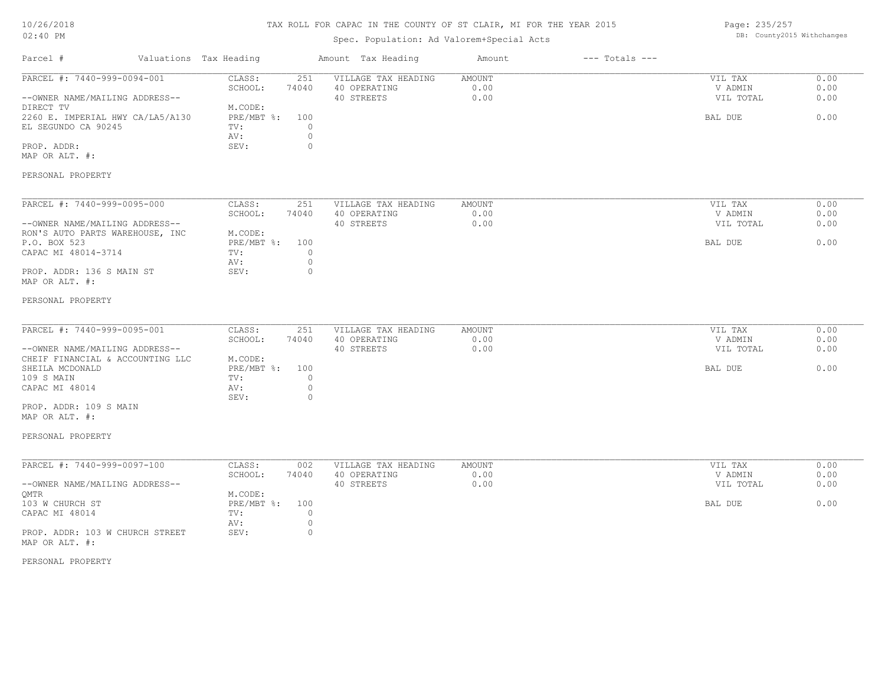# TAX ROLL FOR CAPAC IN THE COUNTY OF ST CLAIR, MI FOR THE YEAR 2015

# Spec. Population: Ad Valorem+Special Acts

Page: 235/257 DB: County2015 Withchanges

| Parcel #                                                                   | Valuations Tax Heading              |                                | Amount Tax Heading                                | Amount                        | $---$ Totals $---$ |                                 |                      |
|----------------------------------------------------------------------------|-------------------------------------|--------------------------------|---------------------------------------------------|-------------------------------|--------------------|---------------------------------|----------------------|
| PARCEL #: 7440-999-0094-001<br>--OWNER NAME/MAILING ADDRESS--<br>DIRECT TV | CLASS:<br>SCHOOL:<br>M.CODE:        | 251<br>74040                   | VILLAGE TAX HEADING<br>40 OPERATING<br>40 STREETS | <b>AMOUNT</b><br>0.00<br>0.00 |                    | VIL TAX<br>V ADMIN<br>VIL TOTAL | 0.00<br>0.00<br>0.00 |
| 2260 E. IMPERIAL HWY CA/LA5/A130<br>EL SEGUNDO CA 90245<br>PROP. ADDR:     | PRE/MBT %:<br>TV:<br>AV:<br>SEV:    | 100<br>$\circ$<br>$\circ$<br>0 |                                                   |                               |                    | BAL DUE                         | 0.00                 |
| MAP OR ALT. #:                                                             |                                     |                                |                                                   |                               |                    |                                 |                      |
| PERSONAL PROPERTY                                                          |                                     |                                |                                                   |                               |                    |                                 |                      |
| PARCEL #: 7440-999-0095-000                                                | CLASS:                              | 251                            | VILLAGE TAX HEADING                               | AMOUNT                        |                    | VIL TAX                         | 0.00                 |
| --OWNER NAME/MAILING ADDRESS--                                             | SCHOOL:                             | 74040                          | 40 OPERATING<br>40 STREETS                        | 0.00<br>0.00                  |                    | V ADMIN<br>VIL TOTAL            | 0.00<br>0.00         |
| RON'S AUTO PARTS WAREHOUSE, INC<br>P.O. BOX 523<br>CAPAC MI 48014-3714     | M.CODE:<br>PRE/MBT %:<br>TV:        | 100<br>$\circ$                 |                                                   |                               |                    | BAL DUE                         | 0.00                 |
| PROP. ADDR: 136 S MAIN ST<br>MAP OR ALT. #:                                | AV:<br>SEV:                         | $\circ$<br>$\circ$             |                                                   |                               |                    |                                 |                      |
| PERSONAL PROPERTY                                                          |                                     |                                |                                                   |                               |                    |                                 |                      |
| PARCEL #: 7440-999-0095-001                                                | CLASS:<br>SCHOOL:                   | 251<br>74040                   | VILLAGE TAX HEADING<br>40 OPERATING               | AMOUNT<br>0.00                |                    | VIL TAX<br>V ADMIN              | 0.00<br>0.00         |
| --OWNER NAME/MAILING ADDRESS--<br>CHEIF FINANCIAL & ACCOUNTING LLC         | M.CODE:                             |                                | 40 STREETS                                        | 0.00                          |                    | VIL TOTAL                       | 0.00                 |
| SHEILA MCDONALD<br>109 S MAIN                                              | PRE/MBT %:<br>TV:                   | 100<br>$\circ$                 |                                                   |                               |                    | BAL DUE                         | 0.00                 |
| CAPAC MI 48014                                                             | AV:<br>SEV:                         | $\circ$<br>$\circ$             |                                                   |                               |                    |                                 |                      |
| PROP. ADDR: 109 S MAIN<br>MAP OR ALT. #:                                   |                                     |                                |                                                   |                               |                    |                                 |                      |
| PERSONAL PROPERTY                                                          |                                     |                                |                                                   |                               |                    |                                 |                      |
| PARCEL #: 7440-999-0097-100                                                | CLASS:                              | 002                            | VILLAGE TAX HEADING                               | <b>AMOUNT</b>                 |                    | VIL TAX                         | 0.00                 |
| --OWNER NAME/MAILING ADDRESS--                                             | SCHOOL:                             | 74040                          | 40 OPERATING<br>40 STREETS                        | 0.00<br>0.00                  |                    | V ADMIN<br>VIL TOTAL            | 0.00<br>0.00         |
| QMTR<br>103 W CHURCH ST<br>CAPAC MI 48014                                  | M.CODE:<br>PRE/MBT %:<br>TV:<br>AV: | 100<br>$\circ$<br>$\circ$      |                                                   |                               |                    | BAL DUE                         | 0.00                 |
| PROP. ADDR: 103 W CHURCH STREET<br>MAP OR ALT. #:                          | SEV:                                | $\circ$                        |                                                   |                               |                    |                                 |                      |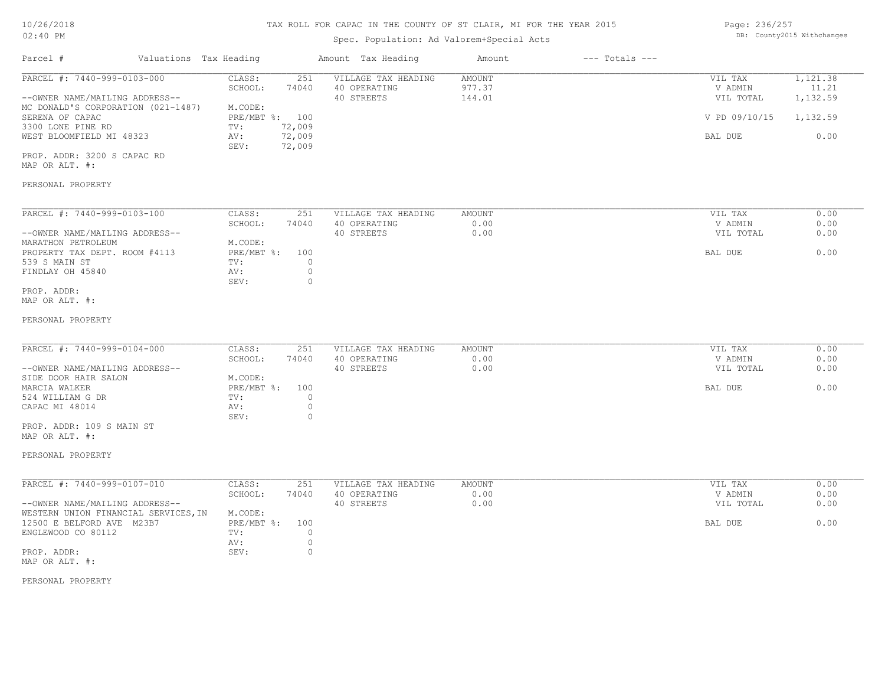#### TAX ROLL FOR CAPAC IN THE COUNTY OF ST CLAIR, MI FOR THE YEAR 2015

# Spec. Population: Ad Valorem+Special Acts

| Page: 236/257 |                            |
|---------------|----------------------------|
|               | DB: County2015 Withchanges |

| Parcel #                       |                                    | Valuations Tax Heading |        | Amount Tax Heading  | Amount | $---$ Totals $---$ |               |          |
|--------------------------------|------------------------------------|------------------------|--------|---------------------|--------|--------------------|---------------|----------|
| PARCEL #: 7440-999-0103-000    |                                    | CLASS:                 | 251    | VILLAGE TAX HEADING | AMOUNT |                    | VIL TAX       | 1,121.38 |
|                                |                                    | SCHOOL:                | 74040  | 40 OPERATING        | 977.37 |                    | V ADMIN       | 11.21    |
| --OWNER NAME/MAILING ADDRESS-- |                                    |                        |        | 40 STREETS          | 144.01 |                    | VIL TOTAL     | 1,132.59 |
|                                | MC DONALD'S CORPORATION (021-1487) | M.CODE:                |        |                     |        |                    |               |          |
| SERENA OF CAPAC                |                                    | PRE/MBT %: 100         |        |                     |        |                    | V PD 09/10/15 | 1,132.59 |
| 3300 LONE PINE RD              |                                    | TV:                    | 72,009 |                     |        |                    |               |          |
| WEST BLOOMFIELD MI 48323       |                                    | AV:                    | 72,009 |                     |        |                    | BAL DUE       | 0.00     |
|                                |                                    | SEV:                   | 72,009 |                     |        |                    |               |          |
|                                |                                    |                        |        |                     |        |                    |               |          |

MAP OR ALT. #: PROP. ADDR: 3200 S CAPAC RD

#### PERSONAL PROPERTY

| PARCEL #: 7440-999-0103-100    | CLASS:     | 251   | VILLAGE TAX HEADING | AMOUNT | 0.00<br>VIL TAX   |
|--------------------------------|------------|-------|---------------------|--------|-------------------|
|                                | SCHOOL:    | 74040 | 40 OPERATING        | 0.00   | 0.00<br>V ADMIN   |
| --OWNER NAME/MAILING ADDRESS-- |            |       | 40 STREETS          | 0.00   | 0.00<br>VIL TOTAL |
| MARATHON PETROLEUM             | M.CODE:    |       |                     |        |                   |
| PROPERTY TAX DEPT. ROOM #4113  | PRE/MBT %: | 100   |                     |        | 0.00<br>BAL DUE   |
| 539 S MAIN ST                  | TV:        |       |                     |        |                   |
| FINDLAY OH 45840               | AV:        |       |                     |        |                   |
|                                | SEV:       |       |                     |        |                   |
| PROP. ADDR:                    |            |       |                     |        |                   |

MAP OR ALT. #:

#### PERSONAL PROPERTY

| PARCEL #: 7440-999-0104-000    | CLASS:         | 251   | VILLAGE TAX HEADING | AMOUNT | VIL TAX   | 0.00 |
|--------------------------------|----------------|-------|---------------------|--------|-----------|------|
|                                | SCHOOL:        | 74040 | 40 OPERATING        | 0.00   | V ADMIN   | 0.00 |
| --OWNER NAME/MAILING ADDRESS-- |                |       | 40 STREETS          | 0.00   | VIL TOTAL | 0.00 |
| SIDE DOOR HAIR SALON           | M.CODE:        |       |                     |        |           |      |
| MARCIA WALKER                  | PRE/MBT %: 100 |       |                     |        | BAL DUE   | 0.00 |
| 524 WILLIAM G DR               | TV:            |       |                     |        |           |      |
| CAPAC MI 48014                 | AV:            |       |                     |        |           |      |
|                                | SEV:           |       |                     |        |           |      |

MAP OR ALT. #: PROP. ADDR: 109 S MAIN ST

#### PERSONAL PROPERTY

| PARCEL #: 7440-999-0107-010          | CLASS:       | 251   | VILLAGE TAX HEADING | AMOUNT | VIL TAX   | 0.00 |
|--------------------------------------|--------------|-------|---------------------|--------|-----------|------|
|                                      | SCHOOL:      | 74040 | 40 OPERATING        | 0.00   | V ADMIN   | 0.00 |
| --OWNER NAME/MAILING ADDRESS--       |              |       | 40 STREETS          | 0.00   | VIL TOTAL | 0.00 |
| WESTERN UNION FINANCIAL SERVICES, IN | M.CODE:      |       |                     |        |           |      |
| 12500 E BELFORD AVE M23B7            | $PRE/MBT$ %: | 100   |                     |        | BAL DUE   | 0.00 |
| ENGLEWOOD CO 80112                   | TV:          |       |                     |        |           |      |
|                                      | AV:          |       |                     |        |           |      |
| PROP. ADDR:                          | SEV:         |       |                     |        |           |      |
| MAP OR ALT. #:                       |              |       |                     |        |           |      |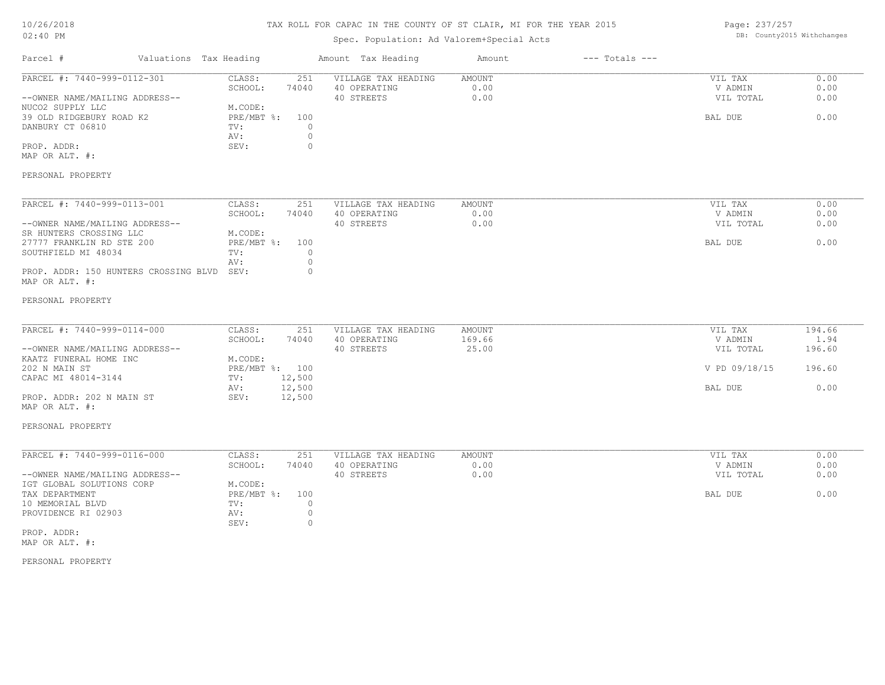# TAX ROLL FOR CAPAC IN THE COUNTY OF ST CLAIR, MI FOR THE YEAR 2015

# Spec. Population: Ad Valorem+Special Acts

Page: 237/257 DB: County2015 Withchanges

| Parcel #                                                                                                                                                                                                                          | Valuations Tax Heading |                                                                      |                                                       | Amount Tax Heading                                | Amount                    | $---$ Totals $---$ |                                                             |                                            |
|-----------------------------------------------------------------------------------------------------------------------------------------------------------------------------------------------------------------------------------|------------------------|----------------------------------------------------------------------|-------------------------------------------------------|---------------------------------------------------|---------------------------|--------------------|-------------------------------------------------------------|--------------------------------------------|
| PARCEL #: 7440-999-0112-301<br>--OWNER NAME/MAILING ADDRESS--<br>NUCO2 SUPPLY LLC<br>39 OLD RIDGEBURY ROAD K2<br>DANBURY CT 06810<br>PROP. ADDR:<br>MAP OR ALT. #:                                                                |                        | CLASS:<br>SCHOOL:<br>M.CODE:<br>PRE/MBT %:<br>TV:<br>AV:<br>SEV:     | 251<br>74040<br>100<br>$\Omega$<br>$\circ$<br>$\circ$ | VILLAGE TAX HEADING<br>40 OPERATING<br>40 STREETS | AMOUNT<br>0.00<br>0.00    |                    | VIL TAX<br>V ADMIN<br>VIL TOTAL<br>BAL DUE                  | 0.00<br>0.00<br>0.00<br>0.00               |
| PERSONAL PROPERTY<br>PARCEL #: 7440-999-0113-001<br>--OWNER NAME/MAILING ADDRESS--<br>SR HUNTERS CROSSING LLC<br>27777 FRANKLIN RD STE 200<br>SOUTHFIELD MI 48034<br>PROP. ADDR: 150 HUNTERS CROSSING BLVD SEV:<br>MAP OR ALT. #: |                        | CLASS:<br>SCHOOL:<br>M.CODE:<br>$PRE/MBT$ $\div$<br>TV:<br>AV:       | 251<br>74040<br>100<br>$\circ$<br>$\circ$<br>$\circ$  | VILLAGE TAX HEADING<br>40 OPERATING<br>40 STREETS | AMOUNT<br>0.00<br>0.00    |                    | VIL TAX<br>V ADMIN<br>VIL TOTAL<br>BAL DUE                  | 0.00<br>0.00<br>0.00<br>0.00               |
| PERSONAL PROPERTY<br>PARCEL #: 7440-999-0114-000<br>--OWNER NAME/MAILING ADDRESS--<br>KAATZ FUNERAL HOME INC<br>202 N MAIN ST<br>CAPAC MI 48014-3144<br>PROP. ADDR: 202 N MAIN ST<br>MAP OR ALT. #:<br>PERSONAL PROPERTY          |                        | CLASS:<br>SCHOOL:<br>M.CODE:<br>PRE/MBT %: 100<br>TV:<br>AV:<br>SEV: | 251<br>74040<br>12,500<br>12,500<br>12,500            | VILLAGE TAX HEADING<br>40 OPERATING<br>40 STREETS | AMOUNT<br>169.66<br>25.00 |                    | VIL TAX<br>V ADMIN<br>VIL TOTAL<br>V PD 09/18/15<br>BAL DUE | 194.66<br>1.94<br>196.60<br>196.60<br>0.00 |
| PARCEL #: 7440-999-0116-000<br>--OWNER NAME/MAILING ADDRESS--<br>IGT GLOBAL SOLUTIONS CORP<br>TAX DEPARTMENT<br>10 MEMORIAL BLVD<br>PROVIDENCE RI 02903<br>PROP. ADDR:<br>MAP OR ALT. #:<br>PERSONAL PROPERTY                     |                        | CLASS:<br>SCHOOL:<br>M.CODE:<br>PRE/MBT %:<br>TV:<br>AV:<br>SEV:     | 251<br>74040<br>100<br>$\circ$<br>$\circ$<br>$\circ$  | VILLAGE TAX HEADING<br>40 OPERATING<br>40 STREETS | AMOUNT<br>0.00<br>0.00    |                    | VIL TAX<br>V ADMIN<br>VIL TOTAL<br>BAL DUE                  | 0.00<br>0.00<br>0.00<br>0.00               |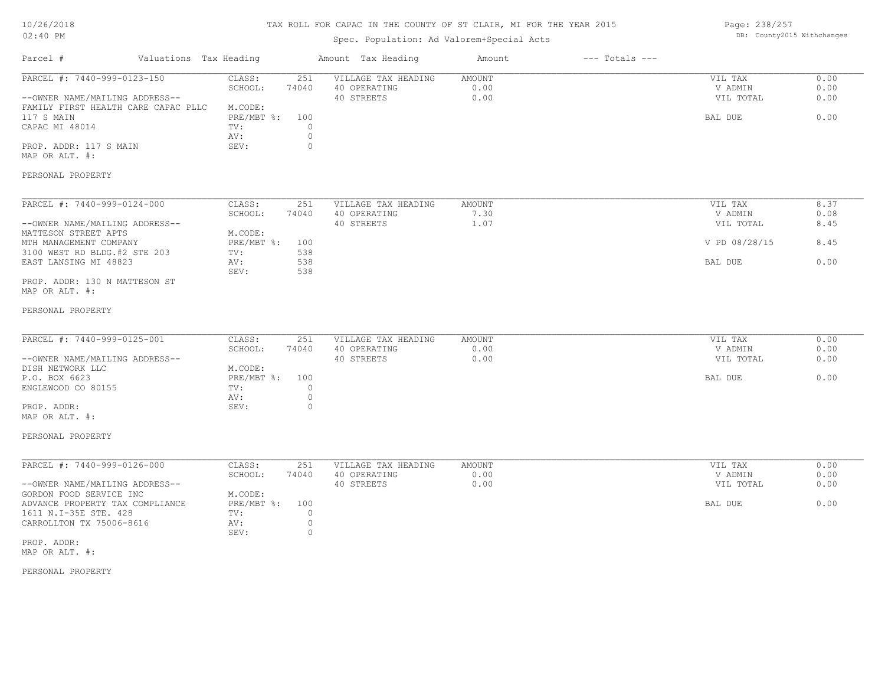# TAX ROLL FOR CAPAC IN THE COUNTY OF ST CLAIR, MI FOR THE YEAR 2015

# Spec. Population: Ad Valorem+Special Acts

Page: 238/257 DB: County2015 Withchanges

| Parcel #                                                                                                                                                                                                                               | Valuations Tax Heading |                                                                        | Amount Tax Heading                                                                                        | Amount                        | $---$ Totals $---$ |                                                  |                              |
|----------------------------------------------------------------------------------------------------------------------------------------------------------------------------------------------------------------------------------------|------------------------|------------------------------------------------------------------------|-----------------------------------------------------------------------------------------------------------|-------------------------------|--------------------|--------------------------------------------------|------------------------------|
| PARCEL #: 7440-999-0123-150<br>--OWNER NAME/MAILING ADDRESS--<br>FAMILY FIRST HEALTH CARE CAPAC PLLC<br>117 S MAIN<br>CAPAC MI 48014<br>PROP. ADDR: 117 S MAIN<br>MAP OR ALT. #:                                                       |                        | CLASS:<br>SCHOOL:<br>M.CODE:<br>PRE/MBT %:<br>TV:<br>AV:<br>SEV:       | 251<br>VILLAGE TAX HEADING<br>74040<br>40 OPERATING<br>40 STREETS<br>100<br>$\circ$<br>$\circ$<br>$\circ$ | AMOUNT<br>0.00<br>0.00        |                    | VIL TAX<br>V ADMIN<br>VIL TOTAL<br>BAL DUE       | 0.00<br>0.00<br>0.00<br>0.00 |
| PERSONAL PROPERTY                                                                                                                                                                                                                      |                        |                                                                        |                                                                                                           |                               |                    |                                                  |                              |
| PARCEL #: 7440-999-0124-000<br>--OWNER NAME/MAILING ADDRESS--<br>MATTESON STREET APTS<br>MTH MANAGEMENT COMPANY<br>3100 WEST RD BLDG.#2 STE 203                                                                                        |                        | CLASS:<br>SCHOOL:<br>M.CODE:<br>PRE/MBT %:<br>TV:                      | 251<br>VILLAGE TAX HEADING<br>40 OPERATING<br>74040<br>40 STREETS<br>100<br>538                           | AMOUNT<br>7.30<br>1.07        |                    | VIL TAX<br>V ADMIN<br>VIL TOTAL<br>V PD 08/28/15 | 8.37<br>0.08<br>8.45<br>8.45 |
| EAST LANSING MI 48823<br>PROP. ADDR: 130 N MATTESON ST<br>MAP OR ALT. #:                                                                                                                                                               |                        | AV:<br>SEV:                                                            | 538<br>538                                                                                                |                               |                    | BAL DUE                                          | 0.00                         |
| PERSONAL PROPERTY                                                                                                                                                                                                                      |                        |                                                                        |                                                                                                           |                               |                    |                                                  |                              |
| PARCEL #: 7440-999-0125-001<br>--OWNER NAME/MAILING ADDRESS--<br>DISH NETWORK LLC<br>P.O. BOX 6623<br>ENGLEWOOD CO 80155<br>PROP. ADDR:<br>MAP OR ALT. #:<br>PERSONAL PROPERTY                                                         |                        | CLASS:<br>SCHOOL:<br>M.CODE:<br>$PRE/MBT$ $\div$<br>TV:<br>AV:<br>SEV: | 251<br>VILLAGE TAX HEADING<br>74040<br>40 OPERATING<br>40 STREETS<br>100<br>$\circ$<br>$\circ$<br>$\circ$ | AMOUNT<br>0.00<br>0.00        |                    | VIL TAX<br>V ADMIN<br>VIL TOTAL<br>BAL DUE       | 0.00<br>0.00<br>0.00<br>0.00 |
| PARCEL #: 7440-999-0126-000<br>--OWNER NAME/MAILING ADDRESS--<br>GORDON FOOD SERVICE INC<br>ADVANCE PROPERTY TAX COMPLIANCE<br>1611 N.I-35E STE. 428<br>CARROLLTON TX 75006-8616<br>PROP. ADDR:<br>MAP OR ALT. #:<br>PERSONAL PROPERTY |                        | CLASS:<br>SCHOOL:<br>M.CODE:<br>$PRE/MBT$ $\div$<br>TV:<br>AV:<br>SEV: | 251<br>VILLAGE TAX HEADING<br>40 OPERATING<br>74040<br>40 STREETS<br>100<br>$\circ$<br>$\circ$<br>$\circ$ | <b>AMOUNT</b><br>0.00<br>0.00 |                    | VIL TAX<br>V ADMIN<br>VIL TOTAL<br>BAL DUE       | 0.00<br>0.00<br>0.00<br>0.00 |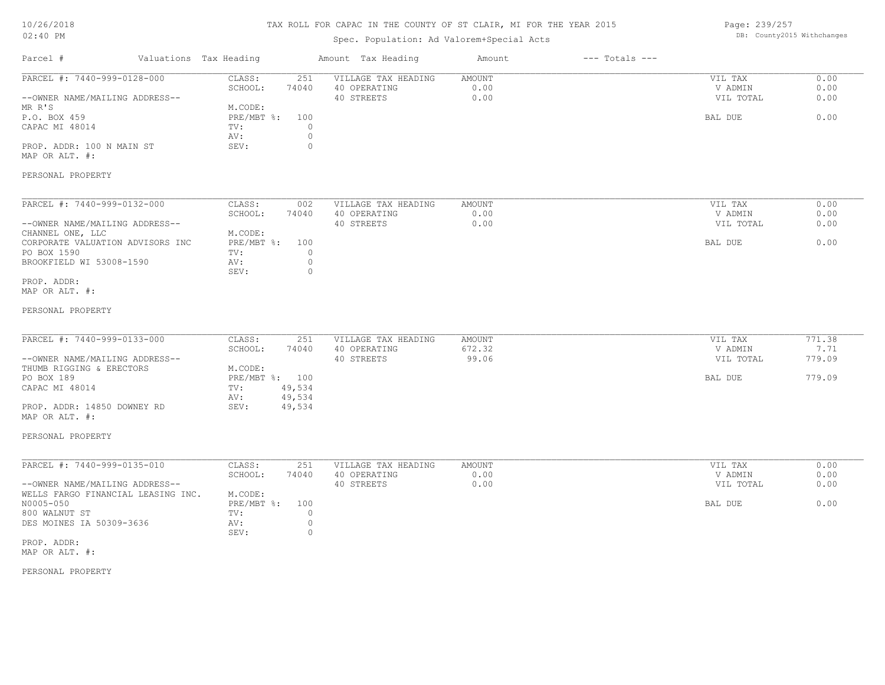# TAX ROLL FOR CAPAC IN THE COUNTY OF ST CLAIR, MI FOR THE YEAR 2015

# Spec. Population: Ad Valorem+Special Acts

Page: 239/257 DB: County2015 Withchanges

| Parcel #                                                                                                                                                                                                               | Valuations Tax Heading                                                                                                                  | Amount Tax Heading                                | Amount                    | $---$ Totals $---$ |                                            |                                    |
|------------------------------------------------------------------------------------------------------------------------------------------------------------------------------------------------------------------------|-----------------------------------------------------------------------------------------------------------------------------------------|---------------------------------------------------|---------------------------|--------------------|--------------------------------------------|------------------------------------|
| PARCEL #: 7440-999-0128-000<br>--OWNER NAME/MAILING ADDRESS--<br>MR R'S<br>P.O. BOX 459<br>CAPAC MI 48014<br>PROP. ADDR: 100 N MAIN ST<br>MAP OR ALT. #:<br>PERSONAL PROPERTY                                          | CLASS:<br>251<br>SCHOOL:<br>74040<br>M.CODE:<br>$PRE/MBT$ %:<br>100<br>TV:<br>$\circ$<br>$\mathbb O$<br>AV:<br>$\mathbb O$<br>SEV:      | VILLAGE TAX HEADING<br>40 OPERATING<br>40 STREETS | AMOUNT<br>0.00<br>0.00    |                    | VIL TAX<br>V ADMIN<br>VIL TOTAL<br>BAL DUE | 0.00<br>0.00<br>0.00<br>0.00       |
| PARCEL #: 7440-999-0132-000<br>--OWNER NAME/MAILING ADDRESS--<br>CHANNEL ONE, LLC<br>CORPORATE VALUATION ADVISORS INC<br>PO BOX 1590<br>BROOKFIELD WI 53008-1590<br>PROP. ADDR:<br>MAP OR ALT. #:<br>PERSONAL PROPERTY | CLASS:<br>002<br>SCHOOL:<br>74040<br>M.CODE:<br>$PRE/MBT$ $\frac{6}{3}$ :<br>100<br>TV:<br>$\circ$<br>$\circ$<br>AV:<br>$\circ$<br>SEV: | VILLAGE TAX HEADING<br>40 OPERATING<br>40 STREETS | AMOUNT<br>0.00<br>0.00    |                    | VIL TAX<br>V ADMIN<br>VIL TOTAL<br>BAL DUE | 0.00<br>0.00<br>0.00<br>0.00       |
| PARCEL #: 7440-999-0133-000<br>--OWNER NAME/MAILING ADDRESS--<br>THUMB RIGGING & ERECTORS<br>PO BOX 189<br>CAPAC MI 48014<br>PROP. ADDR: 14850 DOWNEY RD<br>MAP OR ALT. #:<br>PERSONAL PROPERTY                        | CLASS:<br>251<br>SCHOOL:<br>74040<br>M.CODE:<br>PRE/MBT %: 100<br>49,534<br>TV:<br>49,534<br>AV:<br>49,534<br>SEV:                      | VILLAGE TAX HEADING<br>40 OPERATING<br>40 STREETS | AMOUNT<br>672.32<br>99.06 |                    | VIL TAX<br>V ADMIN<br>VIL TOTAL<br>BAL DUE | 771.38<br>7.71<br>779.09<br>779.09 |
| PARCEL #: 7440-999-0135-010<br>--OWNER NAME/MAILING ADDRESS--<br>WELLS FARGO FINANCIAL LEASING INC.<br>N0005-050<br>800 WALNUT ST<br>DES MOINES IA 50309-3636<br>PROP. ADDR:<br>MAP OR ALT. #:<br>PERSONAL PROPERTY    | CLASS:<br>251<br>SCHOOL:<br>74040<br>M.CODE:<br>PRE/MBT %:<br>100<br>TV:<br>$\circ$<br>$\circ$<br>AV:<br>SEV:<br>$\circ$                | VILLAGE TAX HEADING<br>40 OPERATING<br>40 STREETS | AMOUNT<br>0.00<br>0.00    |                    | VIL TAX<br>V ADMIN<br>VIL TOTAL<br>BAL DUE | 0.00<br>0.00<br>0.00<br>0.00       |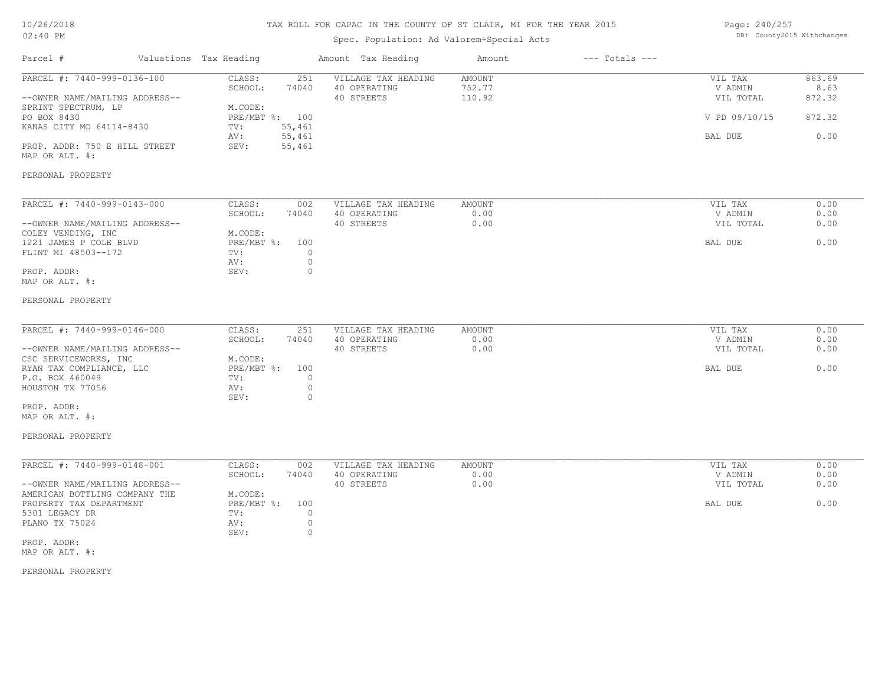# TAX ROLL FOR CAPAC IN THE COUNTY OF ST CLAIR, MI FOR THE YEAR 2015

# Spec. Population: Ad Valorem+Special Acts

Page: 240/257 DB: County2015 Withchanges

| Parcel #                                                        | Valuations Tax Heading            | Amount Tax Heading                  | Amount                  | $---$ Totals $---$ |                    |                |
|-----------------------------------------------------------------|-----------------------------------|-------------------------------------|-------------------------|--------------------|--------------------|----------------|
| PARCEL #: 7440-999-0136-100                                     | CLASS:<br>251<br>SCHOOL:<br>74040 | VILLAGE TAX HEADING<br>40 OPERATING | <b>AMOUNT</b><br>752.77 |                    | VIL TAX<br>V ADMIN | 863.69<br>8.63 |
| --OWNER NAME/MAILING ADDRESS--<br>SPRINT SPECTRUM, LP           | M.CODE:                           | 40 STREETS                          | 110.92                  |                    | VIL TOTAL          | 872.32         |
| PO BOX 8430<br>KANAS CITY MO 64114-8430                         | PRE/MBT %: 100<br>55,461<br>TV:   |                                     |                         |                    | V PD 09/10/15      | 872.32         |
|                                                                 | 55,461<br>AV:                     |                                     |                         |                    | BAL DUE            | 0.00           |
| PROP. ADDR: 750 E HILL STREET<br>MAP OR ALT. #:                 | SEV:<br>55,461                    |                                     |                         |                    |                    |                |
| PERSONAL PROPERTY                                               |                                   |                                     |                         |                    |                    |                |
| PARCEL #: 7440-999-0143-000                                     | CLASS:<br>002                     | VILLAGE TAX HEADING                 | <b>AMOUNT</b>           |                    | VIL TAX            | 0.00           |
|                                                                 | SCHOOL:<br>74040                  | 40 OPERATING                        | 0.00                    |                    | V ADMIN            | 0.00           |
| --OWNER NAME/MAILING ADDRESS--<br>COLEY VENDING, INC            | M.CODE:                           | 40 STREETS                          | 0.00                    |                    | VIL TOTAL          | 0.00           |
| 1221 JAMES P COLE BLVD                                          | $PRE/MBT$ $\div$<br>100           |                                     |                         |                    | BAL DUE            | 0.00           |
| FLINT MI 48503--172                                             | TV:                               | $\circ$                             |                         |                    |                    |                |
|                                                                 | AV:                               | $\circ$                             |                         |                    |                    |                |
| PROP. ADDR:<br>MAP OR ALT. #:                                   | SEV:                              | $\circ$                             |                         |                    |                    |                |
| PERSONAL PROPERTY                                               |                                   |                                     |                         |                    |                    |                |
| PARCEL #: 7440-999-0146-000                                     | CLASS:<br>251                     | VILLAGE TAX HEADING                 | AMOUNT                  |                    | VIL TAX            | 0.00           |
|                                                                 | SCHOOL:<br>74040                  | 40 OPERATING                        | 0.00                    |                    | V ADMIN            | 0.00           |
| --OWNER NAME/MAILING ADDRESS--                                  |                                   | 40 STREETS                          | 0.00                    |                    | VIL TOTAL          | 0.00           |
| CSC SERVICEWORKS, INC<br>RYAN TAX COMPLIANCE, LLC               | M.CODE:<br>PRE/MBT %:<br>100      |                                     |                         |                    | BAL DUE            | 0.00           |
| P.O. BOX 460049                                                 | TV:                               | $\circ$                             |                         |                    |                    |                |
| HOUSTON TX 77056                                                | AV:<br>SEV:                       | $\circ$<br>$\mathbf{0}$             |                         |                    |                    |                |
| PROP. ADDR:<br>MAP OR ALT. #:                                   |                                   |                                     |                         |                    |                    |                |
| PERSONAL PROPERTY                                               |                                   |                                     |                         |                    |                    |                |
| PARCEL #: 7440-999-0148-001                                     | CLASS:<br>002                     | VILLAGE TAX HEADING                 | AMOUNT                  |                    | VIL TAX            | 0.00           |
|                                                                 | SCHOOL:<br>74040                  | 40 OPERATING<br>40 STREETS          | 0.00<br>0.00            |                    | V ADMIN            | 0.00<br>0.00   |
| --OWNER NAME/MAILING ADDRESS--<br>AMERICAN BOTTLING COMPANY THE | M.CODE:                           |                                     |                         |                    | VIL TOTAL          |                |
| PROPERTY TAX DEPARTMENT                                         | PRE/MBT %:<br>100                 |                                     |                         |                    | BAL DUE            | 0.00           |
| 5301 LEGACY DR                                                  | TV:                               | $\circ$                             |                         |                    |                    |                |
| PLANO TX 75024                                                  | AV:<br>SEV:                       | $\circ$<br>$\circ$                  |                         |                    |                    |                |
| PROP. ADDR:<br>MAP OR ALT. #:                                   |                                   |                                     |                         |                    |                    |                |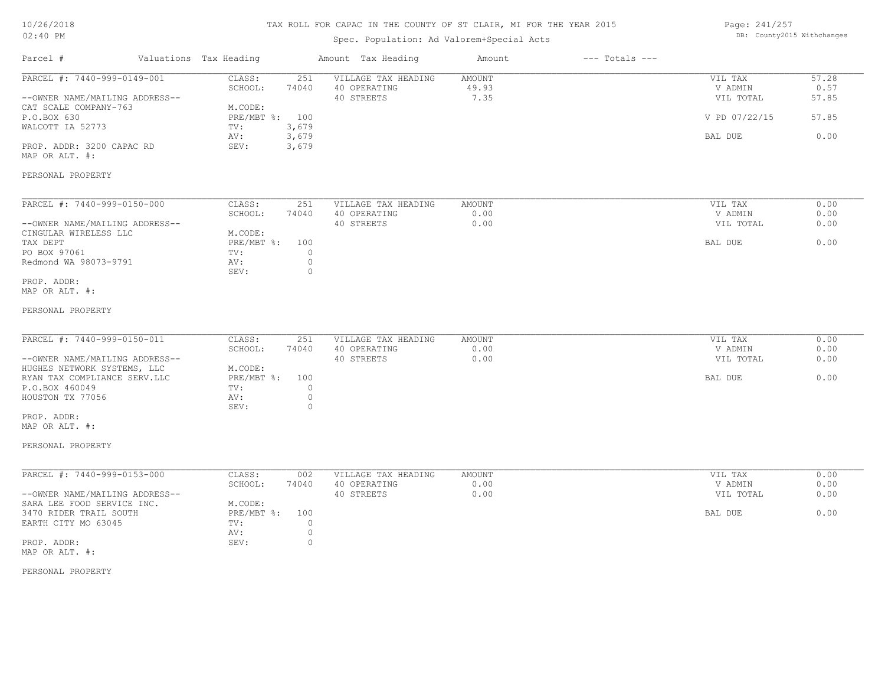| 10/26/2018 |  |
|------------|--|
| $02:40$ PM |  |

# Spec. Population: Ad Valorem+Special Acts

Page: 241/257 DB: County2015 Withchanges

| Parcel #                                                      | Valuations Tax Heading                      | Amount Tax Heading                                | Amount                         | $---$ Totals $---$ |                                 |                        |
|---------------------------------------------------------------|---------------------------------------------|---------------------------------------------------|--------------------------------|--------------------|---------------------------------|------------------------|
| PARCEL #: 7440-999-0149-001<br>--OWNER NAME/MAILING ADDRESS-- | CLASS:<br>251<br>SCHOOL:<br>74040           | VILLAGE TAX HEADING<br>40 OPERATING<br>40 STREETS | <b>AMOUNT</b><br>49.93<br>7.35 |                    | VIL TAX<br>V ADMIN<br>VIL TOTAL | 57.28<br>0.57<br>57.85 |
| CAT SCALE COMPANY-763<br>P.O.BOX 630                          | M.CODE:<br>PRE/MBT %: 100                   |                                                   |                                |                    | V PD 07/22/15                   | 57.85                  |
| WALCOTT IA 52773                                              | 3,679<br>TV:<br>3,679<br>AV:                |                                                   |                                |                    | BAL DUE                         | 0.00                   |
| PROP. ADDR: 3200 CAPAC RD<br>MAP OR ALT. #:                   | 3,679<br>SEV:                               |                                                   |                                |                    |                                 |                        |
| PERSONAL PROPERTY                                             |                                             |                                                   |                                |                    |                                 |                        |
| PARCEL #: 7440-999-0150-000                                   | CLASS:<br>251                               | VILLAGE TAX HEADING                               | AMOUNT                         |                    | VIL TAX                         | 0.00                   |
| --OWNER NAME/MAILING ADDRESS--                                | SCHOOL:<br>74040                            | 40 OPERATING<br>40 STREETS                        | 0.00<br>0.00                   |                    | V ADMIN<br>VIL TOTAL            | 0.00<br>0.00           |
| CINGULAR WIRELESS LLC<br>TAX DEPT                             | M.CODE:<br>PRE/MBT %:<br>100                |                                                   |                                |                    | BAL DUE                         | 0.00                   |
| PO BOX 97061                                                  | $\circ$<br>TV:                              |                                                   |                                |                    |                                 |                        |
| Redmond WA 98073-9791                                         | $\circ$<br>AV:<br>SEV:<br>$\circ$           |                                                   |                                |                    |                                 |                        |
| PROP. ADDR:<br>MAP OR ALT. #:                                 |                                             |                                                   |                                |                    |                                 |                        |
| PERSONAL PROPERTY                                             |                                             |                                                   |                                |                    |                                 |                        |
| PARCEL #: 7440-999-0150-011                                   | CLASS:<br>251                               | VILLAGE TAX HEADING                               | <b>AMOUNT</b>                  |                    | VIL TAX                         | 0.00                   |
|                                                               | SCHOOL:<br>74040                            | 40 OPERATING                                      | 0.00                           |                    | V ADMIN                         | 0.00                   |
| --OWNER NAME/MAILING ADDRESS--<br>HUGHES NETWORK SYSTEMS, LLC | M.CODE:                                     | 40 STREETS                                        | 0.00                           |                    | VIL TOTAL                       | 0.00                   |
| RYAN TAX COMPLIANCE SERV.LLC                                  | $PRE/MBT$ $\div$<br>100                     |                                                   |                                |                    | BAL DUE                         | 0.00                   |
| P.O.BOX 460049                                                | $\circ$<br>TV:                              |                                                   |                                |                    |                                 |                        |
| HOUSTON TX 77056                                              | AV:<br>$\circ$<br>SEV:<br>$\circ$           |                                                   |                                |                    |                                 |                        |
| PROP. ADDR:                                                   |                                             |                                                   |                                |                    |                                 |                        |
| MAP OR ALT. #:                                                |                                             |                                                   |                                |                    |                                 |                        |
| PERSONAL PROPERTY                                             |                                             |                                                   |                                |                    |                                 |                        |
| PARCEL #: 7440-999-0153-000                                   | CLASS:<br>002                               | VILLAGE TAX HEADING                               | AMOUNT                         |                    | VIL TAX                         | 0.00                   |
|                                                               | SCHOOL:<br>74040                            | 40 OPERATING                                      | 0.00                           |                    | V ADMIN                         | 0.00                   |
| --OWNER NAME/MAILING ADDRESS--                                |                                             | 40 STREETS                                        | 0.00                           |                    | VIL TOTAL                       | 0.00                   |
| SARA LEE FOOD SERVICE INC.<br>3470 RIDER TRAIL SOUTH          | M.CODE:<br>$PRE/MBT$ $\frac{1}{6}$ :<br>100 |                                                   |                                |                    | BAL DUE                         | 0.00                   |
| EARTH CITY MO 63045                                           | $\circ$<br>TV:                              |                                                   |                                |                    |                                 |                        |
|                                                               | $\circ$<br>AV:                              |                                                   |                                |                    |                                 |                        |
| PROP. ADDR:<br>MAP OR ALT. #:                                 | SEV:<br>$\circ$                             |                                                   |                                |                    |                                 |                        |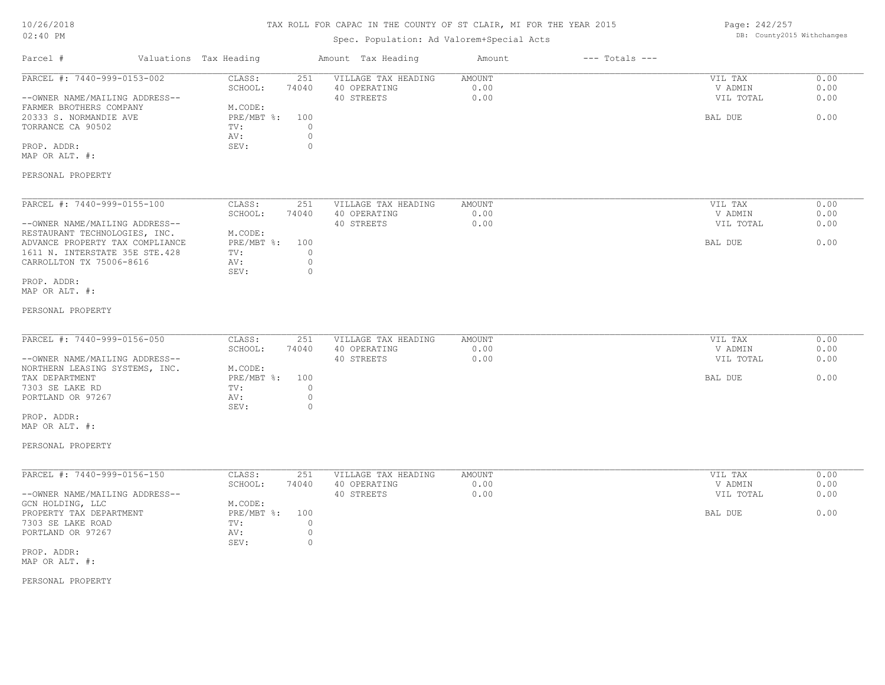| 10/26/2018 |  |
|------------|--|
| $02:40$ PM |  |

Spec. Population: Ad Valorem+Special Acts

Page: 242/257 DB: County2015 Withchanges

| Parcel #                                                                                                                                                                                      | Valuations Tax Heading                                                                  | Amount Tax Heading                                                                 | Amount                        | $---$ Totals $---$ |                                            |                              |
|-----------------------------------------------------------------------------------------------------------------------------------------------------------------------------------------------|-----------------------------------------------------------------------------------------|------------------------------------------------------------------------------------|-------------------------------|--------------------|--------------------------------------------|------------------------------|
| PARCEL #: 7440-999-0153-002<br>--OWNER NAME/MAILING ADDRESS--<br>FARMER BROTHERS COMPANY<br>20333 S. NORMANDIE AVE<br>TORRANCE CA 90502<br>PROP. ADDR:<br>MAP OR ALT. #:<br>PERSONAL PROPERTY | CLASS:<br>251<br>SCHOOL:<br>74040<br>M.CODE:<br>PRE/MBT %:<br>100<br>TV:<br>AV:<br>SEV: | VILLAGE TAX HEADING<br>40 OPERATING<br>40 STREETS<br>$\circ$<br>$\circ$<br>$\circ$ | <b>AMOUNT</b><br>0.00<br>0.00 |                    | VIL TAX<br>V ADMIN<br>VIL TOTAL<br>BAL DUE | 0.00<br>0.00<br>0.00<br>0.00 |
| PARCEL #: 7440-999-0155-100<br>--OWNER NAME/MAILING ADDRESS--                                                                                                                                 | CLASS:<br>251<br>SCHOOL:<br>74040                                                       | VILLAGE TAX HEADING<br>40 OPERATING<br>40 STREETS                                  | <b>AMOUNT</b><br>0.00<br>0.00 |                    | VIL TAX<br>V ADMIN<br>VIL TOTAL            | 0.00<br>0.00<br>0.00         |
| RESTAURANT TECHNOLOGIES, INC.<br>ADVANCE PROPERTY TAX COMPLIANCE<br>1611 N. INTERSTATE 35E STE.428<br>CARROLLTON TX 75006-8616                                                                | M.CODE:<br>PRE/MBT %:<br>100<br>TV:<br>AV:<br>SEV:                                      | $\circ$<br>$\circ$<br>$\circ$                                                      |                               |                    | BAL DUE                                    | 0.00                         |
| PROP. ADDR:<br>MAP OR ALT. #:                                                                                                                                                                 |                                                                                         |                                                                                    |                               |                    |                                            |                              |
| PERSONAL PROPERTY                                                                                                                                                                             |                                                                                         |                                                                                    |                               |                    |                                            |                              |
| PARCEL #: 7440-999-0156-050<br>--OWNER NAME/MAILING ADDRESS--                                                                                                                                 | CLASS:<br>251<br>SCHOOL:<br>74040                                                       | VILLAGE TAX HEADING<br>40 OPERATING<br>40 STREETS                                  | <b>AMOUNT</b><br>0.00<br>0.00 |                    | VIL TAX<br>V ADMIN<br>VIL TOTAL            | 0.00<br>0.00<br>0.00         |
| NORTHERN LEASING SYSTEMS, INC.<br>TAX DEPARTMENT<br>7303 SE LAKE RD<br>PORTLAND OR 97267<br>PROP. ADDR:                                                                                       | M.CODE:<br>$PRE/MBT$ $\div$<br>100<br>TV:<br>AV:<br>SEV:                                | $\circ$<br>$\circ$<br>$\circ$                                                      |                               |                    | BAL DUE                                    | 0.00                         |
| MAP OR ALT. #:<br>PERSONAL PROPERTY                                                                                                                                                           |                                                                                         |                                                                                    |                               |                    |                                            |                              |
| PARCEL #: 7440-999-0156-150                                                                                                                                                                   | CLASS:<br>251                                                                           | VILLAGE TAX HEADING                                                                | <b>AMOUNT</b>                 |                    | VIL TAX                                    | 0.00                         |
| --OWNER NAME/MAILING ADDRESS--                                                                                                                                                                | SCHOOL:<br>74040                                                                        | 40 OPERATING<br>40 STREETS                                                         | 0.00<br>0.00                  |                    | V ADMIN<br>VIL TOTAL                       | 0.00<br>0.00                 |
| GCN HOLDING, LLC<br>PROPERTY TAX DEPARTMENT<br>7303 SE LAKE ROAD<br>PORTLAND OR 97267                                                                                                         | M.CODE:<br>PRE/MBT %:<br>100<br>TV:<br>AV:<br>SEV:                                      | $\circ$<br>$\circ$<br>$\circ$                                                      |                               |                    | BAL DUE                                    | 0.00                         |
| PROP. ADDR:<br>MAP OR ALT. #:                                                                                                                                                                 |                                                                                         |                                                                                    |                               |                    |                                            |                              |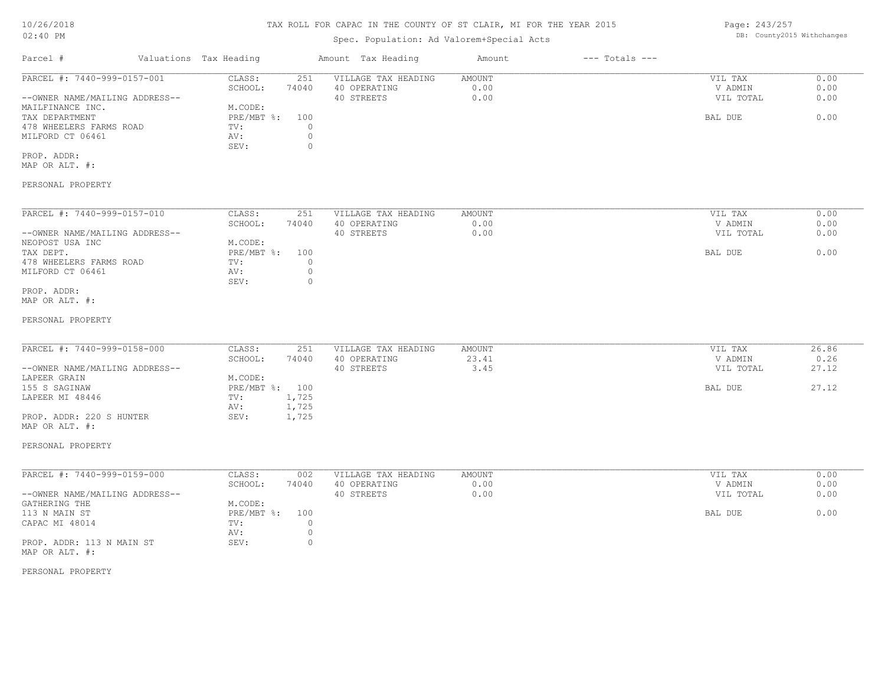# TAX ROLL FOR CAPAC IN THE COUNTY OF ST CLAIR, MI FOR THE YEAR 2015

# Spec. Population: Ad Valorem+Special Acts

| Parcel #                       |         | Valuations Tax Heading |              | Amount Tax Heading  | Amount | $---$ Totals $---$ |           |      |
|--------------------------------|---------|------------------------|--------------|---------------------|--------|--------------------|-----------|------|
| PARCEL #: 7440-999-0157-001    |         | CLASS:                 | 251          | VILLAGE TAX HEADING | AMOUNT |                    | VIL TAX   | 0.00 |
|                                | SCHOOL: | 74040                  | 40 OPERATING | 0.00                |        | V ADMIN            | 0.00      |      |
| --OWNER NAME/MAILING ADDRESS-- |         |                        |              | 40 STREETS          | 0.00   |                    | VIL TOTAL | 0.00 |
| MAILFINANCE INC.               |         | M.CODE:                |              |                     |        |                    |           |      |
| TAX DEPARTMENT                 |         | $PRE/MBT$ %:           | 100          |                     |        |                    | BAL DUE   | 0.00 |
| 478 WHEELERS FARMS ROAD        |         | TV:                    |              |                     |        |                    |           |      |
| MILFORD CT 06461               |         | AV:                    |              |                     |        |                    |           |      |
|                                |         | SEV:                   |              |                     |        |                    |           |      |
| PROP. ADDR:                    |         |                        |              |                     |        |                    |           |      |

MAP OR ALT. #:

#### PERSONAL PROPERTY

| PARCEL #: 7440-999-0157-010    | CLASS:     | 251   | VILLAGE TAX HEADING | AMOUNT | VIL TAX   | 0.00 |
|--------------------------------|------------|-------|---------------------|--------|-----------|------|
|                                | SCHOOL:    | 74040 | 40 OPERATING        | 0.00   | V ADMIN   | 0.00 |
| --OWNER NAME/MAILING ADDRESS-- |            |       | 40 STREETS          | 0.00   | VIL TOTAL | 0.00 |
| NEOPOST USA INC                | M.CODE:    |       |                     |        |           |      |
| TAX DEPT.                      | PRE/MBT %: | 100   |                     |        | BAL DUE   | 0.00 |
| 478 WHEELERS FARMS ROAD        | TV:        |       |                     |        |           |      |
| MILFORD CT 06461               | AV:        |       |                     |        |           |      |
|                                | SEV:       | (     |                     |        |           |      |
| PROP. ADDR:                    |            |       |                     |        |           |      |

MAP OR ALT. #:

#### PERSONAL PROPERTY

| PARCEL #: 7440-999-0158-000    | CLASS:         | 251   | VILLAGE TAX HEADING | AMOUNT | VIL TAX   | 26.86 |
|--------------------------------|----------------|-------|---------------------|--------|-----------|-------|
|                                | SCHOOL:        | 74040 | 40 OPERATING        | 23.41  | V ADMIN   | 0.26  |
| --OWNER NAME/MAILING ADDRESS-- |                |       | 40 STREETS          | 3.45   | VIL TOTAL | 27.12 |
| LAPEER GRAIN                   | M.CODE:        |       |                     |        |           |       |
| 155 S SAGINAW                  | PRE/MBT %: 100 |       |                     |        | BAL DUE   | 27.12 |
| LAPEER MI 48446                | TV:            | 1,725 |                     |        |           |       |
|                                | AV:            | 1,725 |                     |        |           |       |
| PROP. ADDR: 220 S HUNTER       | SEV:           | 1,725 |                     |        |           |       |

#### PERSONAL PROPERTY

MAP OR ALT. #:

| PARCEL #: 7440-999-0159-000    | CLASS:     | 002   | VILLAGE TAX HEADING | AMOUNT | VIL TAX   | 0.00 |
|--------------------------------|------------|-------|---------------------|--------|-----------|------|
|                                | SCHOOL:    | 74040 | 40 OPERATING        | 0.00   | V ADMIN   | 0.00 |
| --OWNER NAME/MAILING ADDRESS-- |            |       | 40 STREETS          | 0.00   | VIL TOTAL | 0.00 |
| GATHERING THE                  | M.CODE:    |       |                     |        |           |      |
| 113 N MAIN ST                  | PRE/MBT %: | 100   |                     |        | BAL DUE   | 0.00 |
| CAPAC MI 48014                 | TV:        |       |                     |        |           |      |
|                                | AV:        |       |                     |        |           |      |
| PROP. ADDR: 113 N MAIN ST      | SEV:       |       |                     |        |           |      |
| MAP OR ALT. #:                 |            |       |                     |        |           |      |

PERSONAL PROPERTY

Page: 243/257 DB: County2015 Withchanges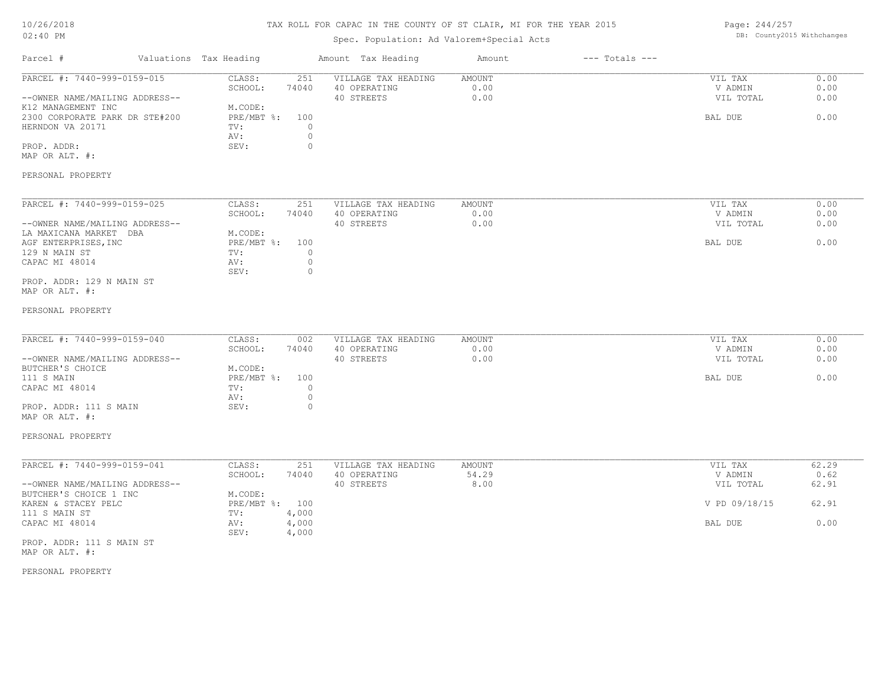# TAX ROLL FOR CAPAC IN THE COUNTY OF ST CLAIR, MI FOR THE YEAR 2015

# Spec. Population: Ad Valorem+Special Acts

Page: 244/257 DB: County2015 Withchanges

| Parcel #                                                                                                                                                                        | Valuations Tax Heading                                                   |                                                               | Amount Tax Heading                                | Amount                  | $---$ Totals $---$ |                                            |                              |
|---------------------------------------------------------------------------------------------------------------------------------------------------------------------------------|--------------------------------------------------------------------------|---------------------------------------------------------------|---------------------------------------------------|-------------------------|--------------------|--------------------------------------------|------------------------------|
| PARCEL #: 7440-999-0159-015<br>--OWNER NAME/MAILING ADDRESS--<br>K12 MANAGEMENT INC<br>2300 CORPORATE PARK DR STE#200<br>HERNDON VA 20171<br>PROP. ADDR:<br>MAP OR ALT. #:      | CLASS:<br>SCHOOL:<br>M.CODE:<br>PRE/MBT %:<br>TV:<br>AV:<br>SEV:         | 251<br>74040<br>100<br>$\mathbf{0}$<br>$\mathbb O$<br>$\circ$ | VILLAGE TAX HEADING<br>40 OPERATING<br>40 STREETS | AMOUNT<br>0.00<br>0.00  |                    | VIL TAX<br>V ADMIN<br>VIL TOTAL<br>BAL DUE | 0.00<br>0.00<br>0.00<br>0.00 |
| PERSONAL PROPERTY                                                                                                                                                               |                                                                          |                                                               |                                                   |                         |                    |                                            |                              |
| PARCEL #: 7440-999-0159-025<br>--OWNER NAME/MAILING ADDRESS--<br>LA MAXICANA MARKET DBA<br>AGF ENTERPRISES, INC<br>129 N MAIN ST<br>CAPAC MI 48014<br>PROP. ADDR: 129 N MAIN ST | CLASS:<br>SCHOOL:<br>M.CODE:<br>$PRE/MBT$ $\div$ :<br>TV:<br>AV:<br>SEV: | 251<br>74040<br>100<br>$\circ$<br>$\mathbb O$<br>$\mathbf{0}$ | VILLAGE TAX HEADING<br>40 OPERATING<br>40 STREETS | AMOUNT<br>0.00<br>0.00  |                    | VIL TAX<br>V ADMIN<br>VIL TOTAL<br>BAL DUE | 0.00<br>0.00<br>0.00<br>0.00 |
| MAP OR ALT. #:                                                                                                                                                                  |                                                                          |                                                               |                                                   |                         |                    |                                            |                              |
| PERSONAL PROPERTY                                                                                                                                                               |                                                                          |                                                               |                                                   |                         |                    |                                            |                              |
| PARCEL #: 7440-999-0159-040<br>--OWNER NAME/MAILING ADDRESS--<br>BUTCHER'S CHOICE<br>111 S MAIN<br>CAPAC MI 48014                                                               | CLASS:<br>SCHOOL:<br>M.CODE:<br>$PRE/MBT$ $\div$<br>TV:                  | 002<br>74040<br>100<br>$\circ$                                | VILLAGE TAX HEADING<br>40 OPERATING<br>40 STREETS | AMOUNT<br>0.00<br>0.00  |                    | VIL TAX<br>V ADMIN<br>VIL TOTAL<br>BAL DUE | 0.00<br>0.00<br>0.00<br>0.00 |
| PROP. ADDR: 111 S MAIN<br>MAP OR ALT. #:                                                                                                                                        | AV:<br>SEV:                                                              | $\circ$<br>$\circ$                                            |                                                   |                         |                    |                                            |                              |
| PERSONAL PROPERTY                                                                                                                                                               |                                                                          |                                                               |                                                   |                         |                    |                                            |                              |
| PARCEL #: 7440-999-0159-041<br>--OWNER NAME/MAILING ADDRESS--                                                                                                                   | CLASS:<br>SCHOOL:                                                        | 251<br>74040                                                  | VILLAGE TAX HEADING<br>40 OPERATING<br>40 STREETS | AMOUNT<br>54.29<br>8.00 |                    | VIL TAX<br>V ADMIN<br>VIL TOTAL            | 62.29<br>0.62<br>62.91       |
| BUTCHER'S CHOICE 1 INC<br>KAREN & STACEY PELC                                                                                                                                   | M.CODE:<br>PRE/MBT %: 100                                                |                                                               |                                                   |                         |                    | V PD 09/18/15                              | 62.91                        |
| 111 S MAIN ST<br>CAPAC MI 48014                                                                                                                                                 | TV:<br>AV:<br>SEV:                                                       | 4,000<br>4,000                                                |                                                   |                         |                    | BAL DUE                                    | 0.00                         |
| PROP. ADDR: 111 S MAIN ST<br>MAP OR ALT. #:                                                                                                                                     |                                                                          | 4,000                                                         |                                                   |                         |                    |                                            |                              |
| PERSONAL PROPERTY                                                                                                                                                               |                                                                          |                                                               |                                                   |                         |                    |                                            |                              |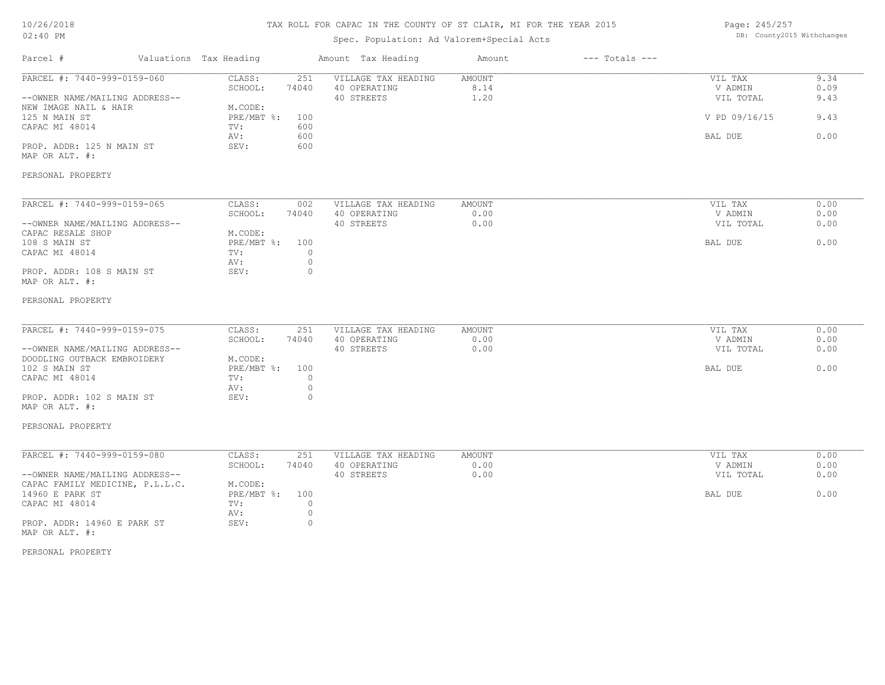# TAX ROLL FOR CAPAC IN THE COUNTY OF ST CLAIR, MI FOR THE YEAR 2015

# Spec. Population: Ad Valorem+Special Acts

Page: 245/257 DB: County2015 Withchanges

| Parcel #                                                                                                                                                                               | Valuations Tax Heading                                           | Amount Tax Heading                                                                                        | Amount                        | $---$ Totals $---$ |                                                             |                                      |
|----------------------------------------------------------------------------------------------------------------------------------------------------------------------------------------|------------------------------------------------------------------|-----------------------------------------------------------------------------------------------------------|-------------------------------|--------------------|-------------------------------------------------------------|--------------------------------------|
| PARCEL #: 7440-999-0159-060<br>--OWNER NAME/MAILING ADDRESS--<br>NEW IMAGE NAIL & HAIR<br>125 N MAIN ST<br>CAPAC MI 48014<br>PROP. ADDR: 125 N MAIN ST<br>MAP OR ALT. #:               | CLASS:<br>SCHOOL:<br>M.CODE:<br>PRE/MBT %:<br>TV:<br>AV:<br>SEV: | VILLAGE TAX HEADING<br>251<br>74040<br>40 OPERATING<br>40 STREETS<br>100<br>600<br>600<br>600             | AMOUNT<br>8.14<br>1.20        |                    | VIL TAX<br>V ADMIN<br>VIL TOTAL<br>V PD 09/16/15<br>BAL DUE | 9.34<br>0.09<br>9.43<br>9.43<br>0.00 |
| PERSONAL PROPERTY                                                                                                                                                                      |                                                                  |                                                                                                           |                               |                    |                                                             |                                      |
| PARCEL #: 7440-999-0159-065<br>--OWNER NAME/MAILING ADDRESS--<br>CAPAC RESALE SHOP<br>108 S MAIN ST<br>CAPAC MI 48014<br>PROP. ADDR: 108 S MAIN ST<br>MAP OR ALT. #:                   | CLASS:<br>SCHOOL:<br>M.CODE:<br>PRE/MBT %:<br>TV:<br>AV:<br>SEV: | 002<br>VILLAGE TAX HEADING<br>40 OPERATING<br>74040<br>40 STREETS<br>100<br>$\circ$<br>$\circ$<br>$\circ$ | AMOUNT<br>0.00<br>0.00        |                    | VIL TAX<br>V ADMIN<br>VIL TOTAL<br>BAL DUE                  | 0.00<br>0.00<br>0.00<br>0.00         |
| PERSONAL PROPERTY                                                                                                                                                                      |                                                                  |                                                                                                           |                               |                    |                                                             |                                      |
| PARCEL #: 7440-999-0159-075<br>--OWNER NAME/MAILING ADDRESS--<br>DOODLING OUTBACK EMBROIDERY<br>102 S MAIN ST<br>CAPAC MI 48014<br>PROP. ADDR: 102 S MAIN ST<br>MAP OR ALT. #:         | CLASS:<br>SCHOOL:<br>M.CODE:<br>PRE/MBT %:<br>TV:<br>AV:<br>SEV: | VILLAGE TAX HEADING<br>251<br>74040<br>40 OPERATING<br>40 STREETS<br>100<br>$\circ$<br>$\circ$<br>$\circ$ | <b>AMOUNT</b><br>0.00<br>0.00 |                    | VIL TAX<br>V ADMIN<br>VIL TOTAL<br>BAL DUE                  | 0.00<br>0.00<br>0.00<br>0.00         |
| PERSONAL PROPERTY                                                                                                                                                                      |                                                                  |                                                                                                           |                               |                    |                                                             |                                      |
| PARCEL #: 7440-999-0159-080<br>--OWNER NAME/MAILING ADDRESS--<br>CAPAC FAMILY MEDICINE, P.L.L.C.<br>14960 E PARK ST<br>CAPAC MI 48014<br>PROP. ADDR: 14960 E PARK ST<br>MAP OR ALT. #: | CLASS:<br>SCHOOL:<br>M.CODE:<br>PRE/MBT %:<br>TV:<br>AV:<br>SEV: | 251<br>VILLAGE TAX HEADING<br>40 OPERATING<br>74040<br>40 STREETS<br>100<br>$\circ$<br>0<br>$\circ$       | AMOUNT<br>0.00<br>0.00        |                    | VIL TAX<br>V ADMIN<br>VIL TOTAL<br>BAL DUE                  | 0.00<br>0.00<br>0.00<br>0.00         |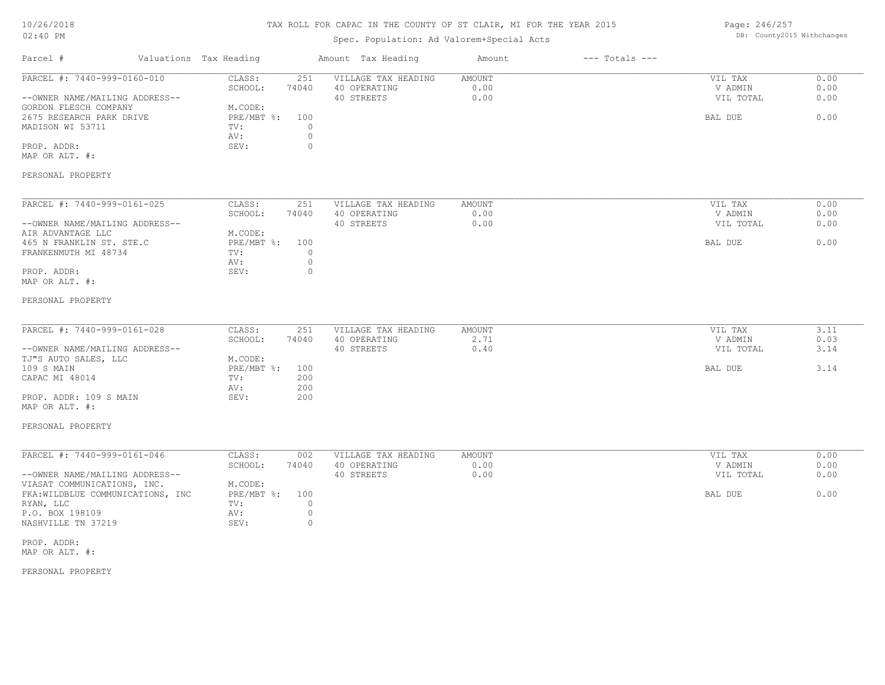# TAX ROLL FOR CAPAC IN THE COUNTY OF ST CLAIR, MI FOR THE YEAR 2015

# Spec. Population: Ad Valorem+Special Acts

Page: 246/257 DB: County2015 Withchanges

| Parcel #                                                                                                                                                                                                                 | Valuations Tax Heading                                                                                       | Amount Tax Heading                                                                  | Amount                 | $---$ Totals $---$ |                                            |                              |
|--------------------------------------------------------------------------------------------------------------------------------------------------------------------------------------------------------------------------|--------------------------------------------------------------------------------------------------------------|-------------------------------------------------------------------------------------|------------------------|--------------------|--------------------------------------------|------------------------------|
| PARCEL #: 7440-999-0160-010<br>--OWNER NAME/MAILING ADDRESS--<br>GORDON FLESCH COMPANY<br>2675 RESEARCH PARK DRIVE<br>MADISON WI 53711<br>PROP. ADDR:<br>MAP OR ALT. #:<br>PERSONAL PROPERTY                             | CLASS:<br>251<br>SCHOOL:<br>74040<br>M.CODE:<br>PRE/MBT %:<br>100<br>TV:<br>AV:<br>SEV:                      | VILLAGE TAX HEADING<br>40 OPERATING<br>40 STREETS<br>$\circ$<br>$\circ$<br>$\circ$  | AMOUNT<br>0.00<br>0.00 |                    | VIL TAX<br>V ADMIN<br>VIL TOTAL<br>BAL DUE | 0.00<br>0.00<br>0.00<br>0.00 |
| PARCEL #: 7440-999-0161-025<br>--OWNER NAME/MAILING ADDRESS--<br>AIR ADVANTAGE LLC<br>465 N FRANKLIN ST. STE.C<br>FRANKENMUTH MI 48734<br>PROP. ADDR:<br>MAP OR ALT. #:<br>PERSONAL PROPERTY                             | CLASS:<br>251<br>SCHOOL:<br>74040<br>M.CODE:<br>PRE/MBT %:<br>100<br>TV:<br>AV:<br>SEV:                      | VILLAGE TAX HEADING<br>40 OPERATING<br>40 STREETS<br>$\Omega$<br>$\circ$<br>$\circ$ | AMOUNT<br>0.00<br>0.00 |                    | VIL TAX<br>V ADMIN<br>VIL TOTAL<br>BAL DUE | 0.00<br>0.00<br>0.00<br>0.00 |
| PARCEL #: 7440-999-0161-028<br>--OWNER NAME/MAILING ADDRESS--<br>TJ"S AUTO SALES, LLC<br>109 S MAIN<br>CAPAC MI 48014<br>PROP. ADDR: 109 S MAIN<br>MAP OR ALT. #:<br>PERSONAL PROPERTY                                   | CLASS:<br>251<br>SCHOOL:<br>74040<br>M.CODE:<br>PRE/MBT %:<br>100<br>200<br>TV:<br>200<br>AV:<br>200<br>SEV: | VILLAGE TAX HEADING<br>40 OPERATING<br>40 STREETS                                   | AMOUNT<br>2.71<br>0.40 |                    | VIL TAX<br>V ADMIN<br>VIL TOTAL<br>BAL DUE | 3.11<br>0.03<br>3.14<br>3.14 |
| PARCEL #: 7440-999-0161-046<br>--OWNER NAME/MAILING ADDRESS--<br>VIASAT COMMUNICATIONS, INC.<br>FKA: WILDBLUE COMMUNICATIONS, INC<br>RYAN, LLC<br>P.O. BOX 198109<br>NASHVILLE TN 37219<br>PROP. ADDR:<br>MAP OR ALT. #: | CLASS:<br>002<br>SCHOOL:<br>74040<br>M.CODE:<br>PRE/MBT %:<br>100<br>TV:<br>AV:<br>SEV:                      | VILLAGE TAX HEADING<br>40 OPERATING<br>40 STREETS<br>$\circ$<br>$\circ$<br>$\circ$  | AMOUNT<br>0.00<br>0.00 |                    | VIL TAX<br>V ADMIN<br>VIL TOTAL<br>BAL DUE | 0.00<br>0.00<br>0.00<br>0.00 |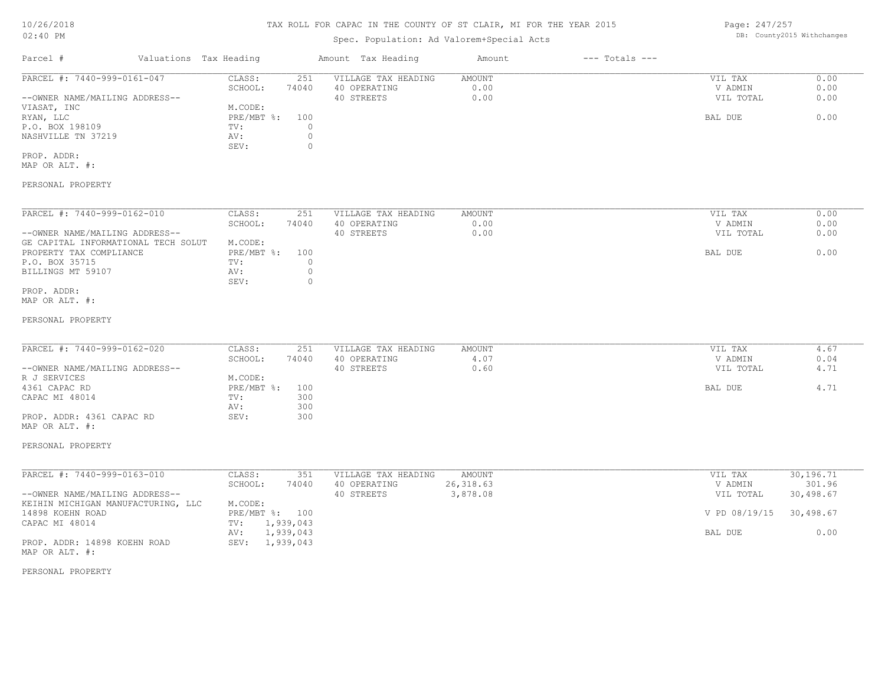# Spec. Population: Ad Valorem+Special Acts

Page: 247/257 DB: County2015 Withchanges

| Parcel #                       | Valuations Tax Heading |       | Amount Tax Heading  | Amount | $---$ Totals $---$ |           |      |
|--------------------------------|------------------------|-------|---------------------|--------|--------------------|-----------|------|
| PARCEL #: 7440-999-0161-047    | CLASS:                 | 251   | VILLAGE TAX HEADING | AMOUNT |                    | VIL TAX   | 0.00 |
|                                | SCHOOL:                | 74040 | 40 OPERATING        | 0.00   |                    | V ADMIN   | 0.00 |
| --OWNER NAME/MAILING ADDRESS-- |                        |       | 40 STREETS          | 0.00   |                    | VIL TOTAL | 0.00 |
| VIASAT, INC                    | M.CODE:                |       |                     |        |                    |           |      |
| RYAN, LLC                      | PRE/MBT %:             | 100   |                     |        |                    | BAL DUE   | 0.00 |
| P.O. BOX 198109                | TV:                    |       |                     |        |                    |           |      |
| NASHVILLE TN 37219             | AV:                    |       |                     |        |                    |           |      |
|                                | SEV:                   |       |                     |        |                    |           |      |
| PROP. ADDR:                    |                        |       |                     |        |                    |           |      |

MAP OR ALT. #:

#### PERSONAL PROPERTY

| PARCEL #: 7440-999-0162-010         | CLASS:     | 251   | VILLAGE TAX HEADING | AMOUNT | VIL TAX   | 0.00 |
|-------------------------------------|------------|-------|---------------------|--------|-----------|------|
|                                     | SCHOOL:    | 74040 | 40 OPERATING        | 0.00   | V ADMIN   | 0.00 |
| --OWNER NAME/MAILING ADDRESS--      |            |       | 40 STREETS          | 0.00   | VIL TOTAL | 0.00 |
| GE CAPITAL INFORMATIONAL TECH SOLUT | M.CODE:    |       |                     |        |           |      |
| PROPERTY TAX COMPLIANCE             | PRE/MBT %: | 100   |                     |        | BAL DUE   | 0.00 |
| P.O. BOX 35715                      | TV:        |       |                     |        |           |      |
| BILLINGS MT 59107                   | AV:        |       |                     |        |           |      |
|                                     | SEV:       |       |                     |        |           |      |
| PROP. ADDR:                         |            |       |                     |        |           |      |

MAP OR ALT. #:

#### PERSONAL PROPERTY

| PARCEL #: 7440-999-0162-020    | CLASS:       | 251   | VILLAGE TAX HEADING | AMOUNT     | VIL TAX   | 4.67 |
|--------------------------------|--------------|-------|---------------------|------------|-----------|------|
|                                | SCHOOL:      | 74040 | 40 OPERATING        | $\pm 0.07$ | V ADMIN   | 0.04 |
| --OWNER NAME/MAILING ADDRESS-- |              |       | 40 STREETS          | 0.60       | VIL TOTAL | 4.71 |
| R J SERVICES                   | M.CODE:      |       |                     |            |           |      |
| 4361 CAPAC RD                  | $PRE/MBT$ %: | 100   |                     |            | BAL DUE   | 4.71 |
| CAPAC MI 48014                 | TV:          | 300   |                     |            |           |      |
|                                | AV:          | 300   |                     |            |           |      |
| PROP. ADDR: 4361 CAPAC RD      | SEV:         | 300   |                     |            |           |      |

#### PERSONAL PROPERTY

MAP OR ALT. #:

| PARCEL #: 7440-999-0163-010        | CLASS:         | 351       | VILLAGE TAX HEADING | AMOUNT    | VIL TAX                 | 30,196.71 |
|------------------------------------|----------------|-----------|---------------------|-----------|-------------------------|-----------|
|                                    | SCHOOL:        | 74040     | 40 OPERATING        | 26,318.63 | V ADMIN                 | 301.96    |
| --OWNER NAME/MAILING ADDRESS--     |                |           | 40 STREETS          | 3,878.08  | VIL TOTAL               | 30,498.67 |
| KEIHIN MICHIGAN MANUFACTURING, LLC | M.CODE:        |           |                     |           |                         |           |
| 14898 KOEHN ROAD                   | PRE/MBT %: 100 |           |                     |           | V PD 08/19/15 30,498.67 |           |
| CAPAC MI 48014                     | TV:            | 1,939,043 |                     |           |                         |           |
|                                    | AV:            | 1,939,043 |                     |           | BAL DUE                 | 0.00      |
| PROP. ADDR: 14898 KOEHN ROAD       | SEV:           | 1,939,043 |                     |           |                         |           |
| MAP OR ALT. #:                     |                |           |                     |           |                         |           |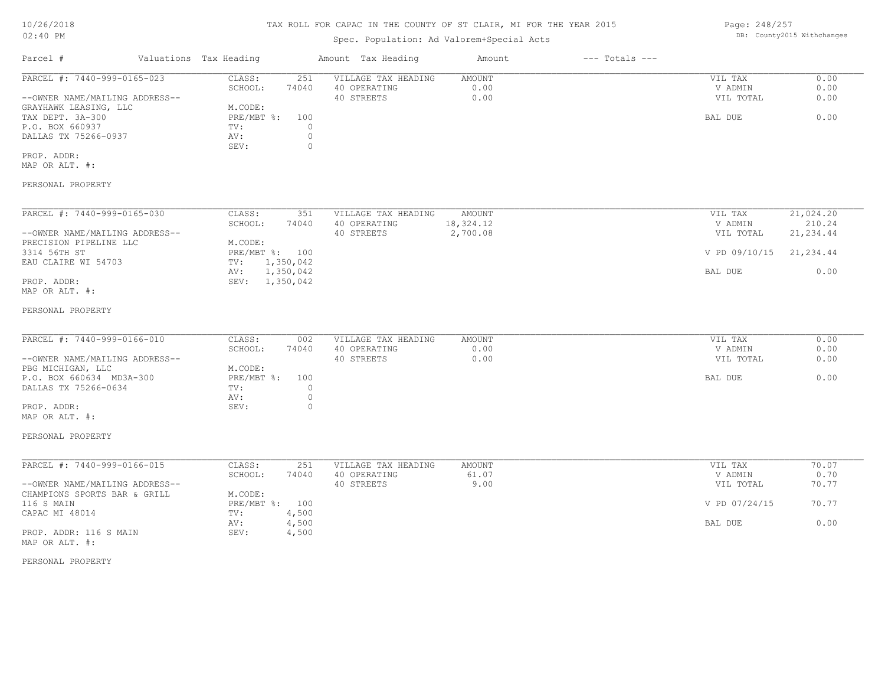Page: 248/257 DB: County2015 Withchanges

| Parcel #<br>Valuations Tax Heading<br>Amount Tax Heading<br>$---$ Totals $---$<br>Amount<br>PARCEL #: 7440-999-0165-023<br>CLASS:<br>251<br>VILLAGE TAX HEADING<br>AMOUNT<br>VIL TAX<br>SCHOOL:<br>74040<br>40 OPERATING<br>0.00<br>V ADMIN<br>0.00<br>--OWNER NAME/MAILING ADDRESS--<br>40 STREETS<br>VIL TOTAL<br>M.CODE:<br>GRAYHAWK LEASING, LLC<br>PRE/MBT %:<br>TAX DEPT. 3A-300<br>100<br>BAL DUE<br>P.O. BOX 660937<br>TV:<br>$\circ$<br>$\circ$<br>DALLAS TX 75266-0937<br>AV:<br>$\circ$<br>SEV:<br>PROP. ADDR:<br>MAP OR ALT. #:<br>PERSONAL PROPERTY<br>PARCEL #: 7440-999-0165-030<br>CLASS:<br>351<br>VILLAGE TAX HEADING<br>AMOUNT<br>VIL TAX<br>SCHOOL:<br>40 OPERATING<br>18,324.12<br>74040<br>V ADMIN<br>40 STREETS<br>--OWNER NAME/MAILING ADDRESS--<br>2,700.08<br>VIL TOTAL<br>PRECISION PIPELINE LLC<br>M.CODE:<br>3314 56TH ST<br>PRE/MBT %: 100<br>V PD 09/10/15<br>EAU CLAIRE WI 54703<br>1,350,042<br>TV:<br>1,350,042<br>BAL DUE<br>AV:<br>PROP. ADDR:<br>SEV: 1,350,042<br>MAP OR ALT. #:<br>PERSONAL PROPERTY<br>PARCEL #: 7440-999-0166-010<br>CLASS:<br>VILLAGE TAX HEADING<br>VIL TAX<br>002<br>AMOUNT<br>SCHOOL:<br>40 OPERATING<br>0.00<br>V ADMIN<br>74040<br>40 STREETS<br>0.00<br>--OWNER NAME/MAILING ADDRESS--<br>VIL TOTAL<br>PBG MICHIGAN, LLC<br>M.CODE:<br>P.O. BOX 660634 MD3A-300<br>$PRE/MBT$ $\div$<br>100<br>BAL DUE<br>DALLAS TX 75266-0634<br>$\circ$<br>TV:<br>$\circ$<br>AV:<br>PROP. ADDR:<br>SEV:<br>$\circ$<br>MAP OR ALT. #:<br>PERSONAL PROPERTY<br>PARCEL #: 7440-999-0166-015<br>CLASS:<br>251<br>VILLAGE TAX HEADING<br>AMOUNT<br>VIL TAX<br>SCHOOL:<br>40 OPERATING<br>V ADMIN<br>74040<br>61.07<br>9.00<br>--OWNER NAME/MAILING ADDRESS--<br>40 STREETS<br>VIL TOTAL<br>M.CODE:<br>CHAMPIONS SPORTS BAR & GRILL<br>116 S MAIN<br>$PRE/MBT$ $\frac{6}{3}$ :<br>100<br>V PD 07/24/15<br>CAPAC MI 48014<br>4,500<br>TV:<br>AV:<br>4,500<br>BAL DUE<br>PROP. ADDR: 116 S MAIN<br>SEV:<br>4,500<br>MAP OR ALT. #:<br>PERSONAL PROPERTY | 0.00<br>0.00<br>0.00<br>0.00<br>21,024.20<br>210.24<br>21, 234.44<br>21, 234.44<br>0.00<br>0.00<br>0.00<br>0.00<br>0.00<br>70.07<br>0.70<br>70.77<br>70.77<br>0.00 | 02:40 PM |  | Spec. Population: Ad Valorem+Special Acts |  | DB: County2015 Withchanges |
|--------------------------------------------------------------------------------------------------------------------------------------------------------------------------------------------------------------------------------------------------------------------------------------------------------------------------------------------------------------------------------------------------------------------------------------------------------------------------------------------------------------------------------------------------------------------------------------------------------------------------------------------------------------------------------------------------------------------------------------------------------------------------------------------------------------------------------------------------------------------------------------------------------------------------------------------------------------------------------------------------------------------------------------------------------------------------------------------------------------------------------------------------------------------------------------------------------------------------------------------------------------------------------------------------------------------------------------------------------------------------------------------------------------------------------------------------------------------------------------------------------------------------------------------------------------------------------------------------------------------------------------------------------------------------------------------------------------------------------------------------------------------------------------------------------------------------------------------------------------------------------------------------------------------------------------------------------------------------------------------------|--------------------------------------------------------------------------------------------------------------------------------------------------------------------|----------|--|-------------------------------------------|--|----------------------------|
|                                                                                                                                                                                                                                                                                                                                                                                                                                                                                                                                                                                                                                                                                                                                                                                                                                                                                                                                                                                                                                                                                                                                                                                                                                                                                                                                                                                                                                                                                                                                                                                                                                                                                                                                                                                                                                                                                                                                                                                                  |                                                                                                                                                                    |          |  |                                           |  |                            |
|                                                                                                                                                                                                                                                                                                                                                                                                                                                                                                                                                                                                                                                                                                                                                                                                                                                                                                                                                                                                                                                                                                                                                                                                                                                                                                                                                                                                                                                                                                                                                                                                                                                                                                                                                                                                                                                                                                                                                                                                  |                                                                                                                                                                    |          |  |                                           |  |                            |
|                                                                                                                                                                                                                                                                                                                                                                                                                                                                                                                                                                                                                                                                                                                                                                                                                                                                                                                                                                                                                                                                                                                                                                                                                                                                                                                                                                                                                                                                                                                                                                                                                                                                                                                                                                                                                                                                                                                                                                                                  |                                                                                                                                                                    |          |  |                                           |  |                            |
|                                                                                                                                                                                                                                                                                                                                                                                                                                                                                                                                                                                                                                                                                                                                                                                                                                                                                                                                                                                                                                                                                                                                                                                                                                                                                                                                                                                                                                                                                                                                                                                                                                                                                                                                                                                                                                                                                                                                                                                                  |                                                                                                                                                                    |          |  |                                           |  |                            |
|                                                                                                                                                                                                                                                                                                                                                                                                                                                                                                                                                                                                                                                                                                                                                                                                                                                                                                                                                                                                                                                                                                                                                                                                                                                                                                                                                                                                                                                                                                                                                                                                                                                                                                                                                                                                                                                                                                                                                                                                  |                                                                                                                                                                    |          |  |                                           |  |                            |
|                                                                                                                                                                                                                                                                                                                                                                                                                                                                                                                                                                                                                                                                                                                                                                                                                                                                                                                                                                                                                                                                                                                                                                                                                                                                                                                                                                                                                                                                                                                                                                                                                                                                                                                                                                                                                                                                                                                                                                                                  |                                                                                                                                                                    |          |  |                                           |  |                            |
|                                                                                                                                                                                                                                                                                                                                                                                                                                                                                                                                                                                                                                                                                                                                                                                                                                                                                                                                                                                                                                                                                                                                                                                                                                                                                                                                                                                                                                                                                                                                                                                                                                                                                                                                                                                                                                                                                                                                                                                                  |                                                                                                                                                                    |          |  |                                           |  |                            |
|                                                                                                                                                                                                                                                                                                                                                                                                                                                                                                                                                                                                                                                                                                                                                                                                                                                                                                                                                                                                                                                                                                                                                                                                                                                                                                                                                                                                                                                                                                                                                                                                                                                                                                                                                                                                                                                                                                                                                                                                  |                                                                                                                                                                    |          |  |                                           |  |                            |
|                                                                                                                                                                                                                                                                                                                                                                                                                                                                                                                                                                                                                                                                                                                                                                                                                                                                                                                                                                                                                                                                                                                                                                                                                                                                                                                                                                                                                                                                                                                                                                                                                                                                                                                                                                                                                                                                                                                                                                                                  |                                                                                                                                                                    |          |  |                                           |  |                            |
|                                                                                                                                                                                                                                                                                                                                                                                                                                                                                                                                                                                                                                                                                                                                                                                                                                                                                                                                                                                                                                                                                                                                                                                                                                                                                                                                                                                                                                                                                                                                                                                                                                                                                                                                                                                                                                                                                                                                                                                                  |                                                                                                                                                                    |          |  |                                           |  |                            |
|                                                                                                                                                                                                                                                                                                                                                                                                                                                                                                                                                                                                                                                                                                                                                                                                                                                                                                                                                                                                                                                                                                                                                                                                                                                                                                                                                                                                                                                                                                                                                                                                                                                                                                                                                                                                                                                                                                                                                                                                  |                                                                                                                                                                    |          |  |                                           |  |                            |
|                                                                                                                                                                                                                                                                                                                                                                                                                                                                                                                                                                                                                                                                                                                                                                                                                                                                                                                                                                                                                                                                                                                                                                                                                                                                                                                                                                                                                                                                                                                                                                                                                                                                                                                                                                                                                                                                                                                                                                                                  |                                                                                                                                                                    |          |  |                                           |  |                            |
|                                                                                                                                                                                                                                                                                                                                                                                                                                                                                                                                                                                                                                                                                                                                                                                                                                                                                                                                                                                                                                                                                                                                                                                                                                                                                                                                                                                                                                                                                                                                                                                                                                                                                                                                                                                                                                                                                                                                                                                                  |                                                                                                                                                                    |          |  |                                           |  |                            |
|                                                                                                                                                                                                                                                                                                                                                                                                                                                                                                                                                                                                                                                                                                                                                                                                                                                                                                                                                                                                                                                                                                                                                                                                                                                                                                                                                                                                                                                                                                                                                                                                                                                                                                                                                                                                                                                                                                                                                                                                  |                                                                                                                                                                    |          |  |                                           |  |                            |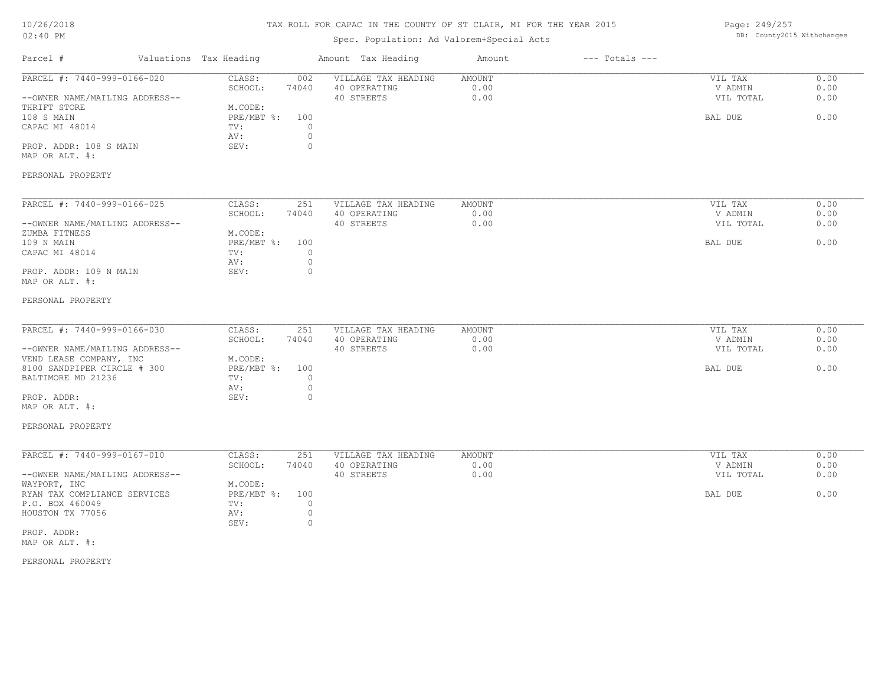# TAX ROLL FOR CAPAC IN THE COUNTY OF ST CLAIR, MI FOR THE YEAR 2015

# Spec. Population: Ad Valorem+Special Acts

Page: 249/257 DB: County2015 Withchanges

| Parcel #                                                                                                                                                                       | Valuations Tax Heading                                           |                                                          | Amount Tax Heading                                | Amount                 | $---$ Totals $---$ |                                            |                              |
|--------------------------------------------------------------------------------------------------------------------------------------------------------------------------------|------------------------------------------------------------------|----------------------------------------------------------|---------------------------------------------------|------------------------|--------------------|--------------------------------------------|------------------------------|
| PARCEL #: 7440-999-0166-020<br>--OWNER NAME/MAILING ADDRESS--<br>THRIFT STORE<br>108 S MAIN<br>CAPAC MI 48014<br>PROP. ADDR: 108 S MAIN<br>MAP OR ALT. #:<br>PERSONAL PROPERTY | CLASS:<br>SCHOOL:<br>M.CODE:<br>PRE/MBT %:<br>TV:<br>AV:<br>SEV: | 002<br>74040<br>100<br>$\circ$<br>$\mathbb O$<br>$\circ$ | VILLAGE TAX HEADING<br>40 OPERATING<br>40 STREETS | AMOUNT<br>0.00<br>0.00 |                    | VIL TAX<br>V ADMIN<br>VIL TOTAL<br>BAL DUE | 0.00<br>0.00<br>0.00<br>0.00 |
|                                                                                                                                                                                |                                                                  |                                                          |                                                   |                        |                    |                                            |                              |
| PARCEL #: 7440-999-0166-025<br>--OWNER NAME/MAILING ADDRESS--<br>ZUMBA FITNESS<br>109 N MAIN                                                                                   | CLASS:<br>SCHOOL:<br>M.CODE:<br>PRE/MBT %:                       | 251<br>74040<br>100                                      | VILLAGE TAX HEADING<br>40 OPERATING<br>40 STREETS | AMOUNT<br>0.00<br>0.00 |                    | VIL TAX<br>V ADMIN<br>VIL TOTAL<br>BAL DUE | 0.00<br>0.00<br>0.00<br>0.00 |
| CAPAC MI 48014<br>PROP. ADDR: 109 N MAIN<br>MAP OR ALT. #:                                                                                                                     | TV:<br>AV:<br>SEV:                                               | $\mathbf{0}$<br>$\mathbb O$<br>$\circ$                   |                                                   |                        |                    |                                            |                              |
| PERSONAL PROPERTY                                                                                                                                                              |                                                                  |                                                          |                                                   |                        |                    |                                            |                              |
| PARCEL #: 7440-999-0166-030<br>--OWNER NAME/MAILING ADDRESS--<br>VEND LEASE COMPANY, INC                                                                                       | CLASS:<br>SCHOOL:<br>M.CODE:                                     | 251<br>74040                                             | VILLAGE TAX HEADING<br>40 OPERATING<br>40 STREETS | AMOUNT<br>0.00<br>0.00 |                    | VIL TAX<br>V ADMIN<br>VIL TOTAL            | 0.00<br>0.00<br>0.00         |
| 8100 SANDPIPER CIRCLE # 300<br>BALTIMORE MD 21236<br>PROP. ADDR:                                                                                                               | PRE/MBT %:<br>TV:<br>AV:<br>SEV:                                 | 100<br>$\mathbf{0}$<br>$\mathbb O$<br>$\circ$            |                                                   |                        |                    | BAL DUE                                    | 0.00                         |
| MAP OR ALT. #:<br>PERSONAL PROPERTY                                                                                                                                            |                                                                  |                                                          |                                                   |                        |                    |                                            |                              |
| PARCEL #: 7440-999-0167-010<br>--OWNER NAME/MAILING ADDRESS--                                                                                                                  | CLASS:<br>SCHOOL:                                                | 251<br>74040                                             | VILLAGE TAX HEADING<br>40 OPERATING<br>40 STREETS | AMOUNT<br>0.00<br>0.00 |                    | VIL TAX<br>V ADMIN<br>VIL TOTAL            | 0.00<br>0.00<br>0.00         |
| WAYPORT, INC<br>RYAN TAX COMPLIANCE SERVICES<br>P.O. BOX 460049<br>HOUSTON TX 77056                                                                                            | M.CODE:<br>PRE/MBT %:<br>TV:<br>AV:<br>SEV:                      | 100<br>$\circ$<br>$\circ$<br>$\circ$                     |                                                   |                        |                    | BAL DUE                                    | 0.00                         |
| PROP. ADDR:<br>MAP OR ALT. #:                                                                                                                                                  |                                                                  |                                                          |                                                   |                        |                    |                                            |                              |
| PERSONAL PROPERTY                                                                                                                                                              |                                                                  |                                                          |                                                   |                        |                    |                                            |                              |
|                                                                                                                                                                                |                                                                  |                                                          |                                                   |                        |                    |                                            |                              |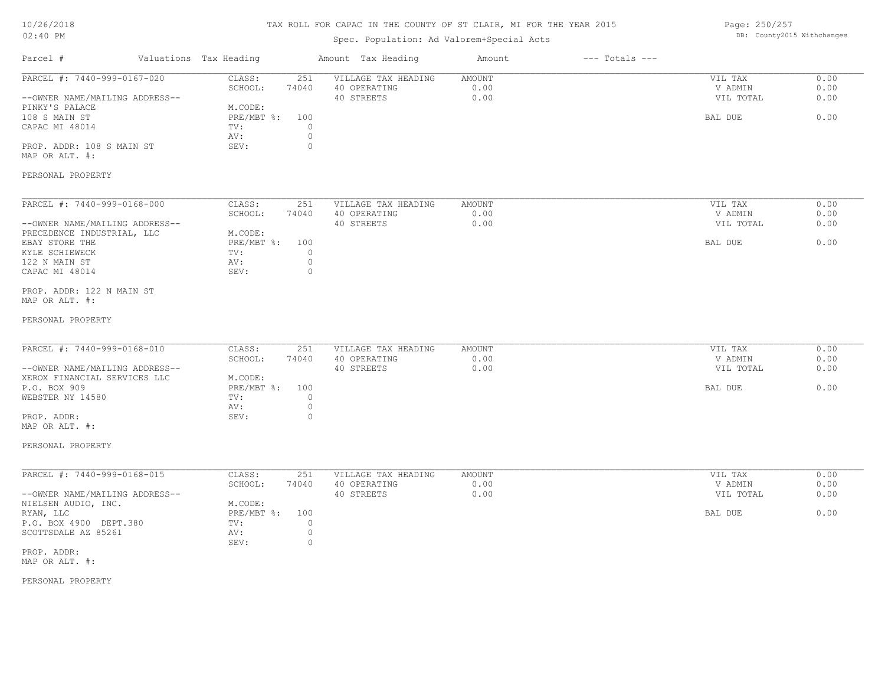# TAX ROLL FOR CAPAC IN THE COUNTY OF ST CLAIR, MI FOR THE YEAR 2015

# Spec. Population: Ad Valorem+Special Acts

Page: 250/257 DB: County2015 Withchanges

| Parcel #                                                                                                                                                                                | Valuations Tax Heading                                                                                                     | Amount Tax Heading                                | Amount                        | $---$ Totals $---$ |                                            |                              |
|-----------------------------------------------------------------------------------------------------------------------------------------------------------------------------------------|----------------------------------------------------------------------------------------------------------------------------|---------------------------------------------------|-------------------------------|--------------------|--------------------------------------------|------------------------------|
| PARCEL #: 7440-999-0167-020<br>--OWNER NAME/MAILING ADDRESS--<br>PINKY'S PALACE<br>108 S MAIN ST<br>CAPAC MI 48014<br>PROP. ADDR: 108 S MAIN ST<br>MAP OR ALT. #:                       | CLASS:<br>251<br>SCHOOL:<br>74040<br>M.CODE:<br>$PRE/MBT$ %:<br>100<br>$\circ$<br>TV:<br>$\circ$<br>AV:<br>$\circ$<br>SEV: | VILLAGE TAX HEADING<br>40 OPERATING<br>40 STREETS | AMOUNT<br>0.00<br>0.00        |                    | VIL TAX<br>V ADMIN<br>VIL TOTAL<br>BAL DUE | 0.00<br>0.00<br>0.00<br>0.00 |
| PERSONAL PROPERTY                                                                                                                                                                       |                                                                                                                            |                                                   |                               |                    |                                            |                              |
| PARCEL #: 7440-999-0168-000<br>--OWNER NAME/MAILING ADDRESS--<br>PRECEDENCE INDUSTRIAL, LLC<br>EBAY STORE THE<br>KYLE SCHIEWECK<br>122 N MAIN ST<br>CAPAC MI 48014                      | CLASS:<br>251<br>SCHOOL:<br>74040<br>M.CODE:<br>PRE/MBT %:<br>100<br>TV:<br>0<br>$\circ$<br>AV:<br>SEV:<br>0               | VILLAGE TAX HEADING<br>40 OPERATING<br>40 STREETS | <b>AMOUNT</b><br>0.00<br>0.00 |                    | VIL TAX<br>V ADMIN<br>VIL TOTAL<br>BAL DUE | 0.00<br>0.00<br>0.00<br>0.00 |
| PROP. ADDR: 122 N MAIN ST<br>MAP OR ALT. #:<br>PERSONAL PROPERTY                                                                                                                        |                                                                                                                            |                                                   |                               |                    |                                            |                              |
| PARCEL #: 7440-999-0168-010<br>--OWNER NAME/MAILING ADDRESS--<br>XEROX FINANCIAL SERVICES LLC<br>P.O. BOX 909<br>WEBSTER NY 14580<br>PROP. ADDR:<br>MAP OR ALT. #:<br>PERSONAL PROPERTY | CLASS:<br>251<br>SCHOOL:<br>74040<br>M.CODE:<br>$PRE/MBT$ %:<br>100<br>$\circ$<br>TV:<br>$\circ$<br>AV:<br>SEV:<br>$\circ$ | VILLAGE TAX HEADING<br>40 OPERATING<br>40 STREETS | <b>AMOUNT</b><br>0.00<br>0.00 |                    | VIL TAX<br>V ADMIN<br>VIL TOTAL<br>BAL DUE | 0.00<br>0.00<br>0.00<br>0.00 |
| PARCEL #: 7440-999-0168-015<br>--OWNER NAME/MAILING ADDRESS--<br>NIELSEN AUDIO, INC.<br>RYAN, LLC<br>P.O. BOX 4900 DEPT.380<br>SCOTTSDALE AZ 85261<br>PROP. ADDR:<br>MAP OR ALT. #:     | 251<br>CLASS:<br>74040<br>SCHOOL:<br>M.CODE:<br>PRE/MBT %:<br>100<br>$\circ$<br>TV:<br>$\circ$<br>AV:<br>$\circ$<br>SEV:   | VILLAGE TAX HEADING<br>40 OPERATING<br>40 STREETS | AMOUNT<br>0.00<br>0.00        |                    | VIL TAX<br>V ADMIN<br>VIL TOTAL<br>BAL DUE | 0.00<br>0.00<br>0.00<br>0.00 |
| PERSONAL PROPERTY                                                                                                                                                                       |                                                                                                                            |                                                   |                               |                    |                                            |                              |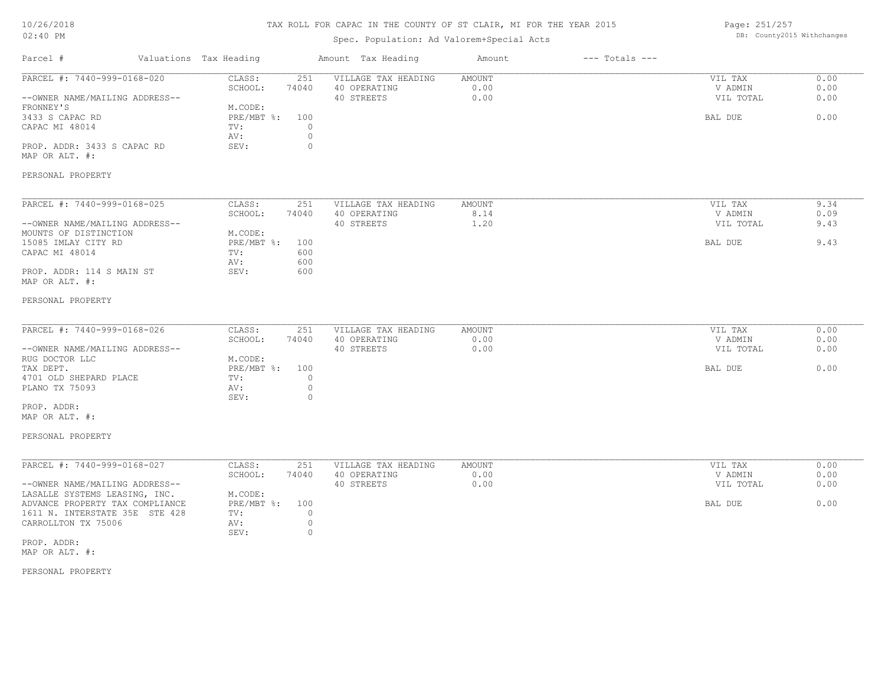# TAX ROLL FOR CAPAC IN THE COUNTY OF ST CLAIR, MI FOR THE YEAR 2015

# Spec. Population: Ad Valorem+Special Acts

Page: 251/257 DB: County2015 Withchanges

| Parcel #                                                                                                                                                                                                                    | Valuations Tax Heading |                                                                                                                                | Amount Tax Heading                                | Amount                        | $---$ Totals $---$ |                                            |                              |
|-----------------------------------------------------------------------------------------------------------------------------------------------------------------------------------------------------------------------------|------------------------|--------------------------------------------------------------------------------------------------------------------------------|---------------------------------------------------|-------------------------------|--------------------|--------------------------------------------|------------------------------|
| PARCEL #: 7440-999-0168-020<br>--OWNER NAME/MAILING ADDRESS--<br>FRONNEY'S<br>3433 S CAPAC RD<br>CAPAC MI 48014<br>PROP. ADDR: 3433 S CAPAC RD<br>MAP OR ALT. #:<br>PERSONAL PROPERTY                                       |                        | CLASS:<br>251<br>SCHOOL:<br>74040<br>M.CODE:<br>$PRE/MBT$ $\div$<br>100<br>$\circ$<br>TV:<br>$\circ$<br>AV:<br>SEV:<br>$\circ$ | VILLAGE TAX HEADING<br>40 OPERATING<br>40 STREETS | AMOUNT<br>0.00<br>0.00        |                    | VIL TAX<br>V ADMIN<br>VIL TOTAL<br>BAL DUE | 0.00<br>0.00<br>0.00<br>0.00 |
| PARCEL #: 7440-999-0168-025<br>--OWNER NAME/MAILING ADDRESS--<br>MOUNTS OF DISTINCTION<br>15085 IMLAY CITY RD<br>CAPAC MI 48014<br>PROP. ADDR: 114 S MAIN ST<br>MAP OR ALT. #:<br>PERSONAL PROPERTY                         |                        | CLASS:<br>251<br>SCHOOL:<br>74040<br>M.CODE:<br>PRE/MBT %:<br>100<br>TV:<br>600<br>AV:<br>600<br>SEV:<br>600                   | VILLAGE TAX HEADING<br>40 OPERATING<br>40 STREETS | <b>AMOUNT</b><br>8.14<br>1.20 |                    | VIL TAX<br>V ADMIN<br>VIL TOTAL<br>BAL DUE | 9.34<br>0.09<br>9.43<br>9.43 |
| PARCEL #: 7440-999-0168-026<br>--OWNER NAME/MAILING ADDRESS--<br>RUG DOCTOR LLC<br>TAX DEPT.<br>4701 OLD SHEPARD PLACE<br>PLANO TX 75093<br>PROP. ADDR:<br>MAP OR ALT. #:<br>PERSONAL PROPERTY                              |                        | CLASS:<br>251<br>SCHOOL:<br>74040<br>M.CODE:<br>100<br>$PRE/MBT$ $\div$<br>$\circ$<br>TV:<br>$\circ$<br>AV:<br>$\circ$<br>SEV: | VILLAGE TAX HEADING<br>40 OPERATING<br>40 STREETS | <b>AMOUNT</b><br>0.00<br>0.00 |                    | VIL TAX<br>V ADMIN<br>VIL TOTAL<br>BAL DUE | 0.00<br>0.00<br>0.00<br>0.00 |
| PARCEL #: 7440-999-0168-027<br>--OWNER NAME/MAILING ADDRESS--<br>LASALLE SYSTEMS LEASING, INC.<br>ADVANCE PROPERTY TAX COMPLIANCE<br>1611 N. INTERSTATE 35E STE 428<br>CARROLLTON TX 75006<br>PROP. ADDR:<br>MAP OR ALT. #: |                        | CLASS:<br>251<br>SCHOOL:<br>74040<br>M.CODE:<br>PRE/MBT %:<br>100<br>TV:<br>$\circ$<br>$\circ$<br>AV:<br>$\circ$<br>SEV:       | VILLAGE TAX HEADING<br>40 OPERATING<br>40 STREETS | <b>AMOUNT</b><br>0.00<br>0.00 |                    | VIL TAX<br>V ADMIN<br>VIL TOTAL<br>BAL DUE | 0.00<br>0.00<br>0.00<br>0.00 |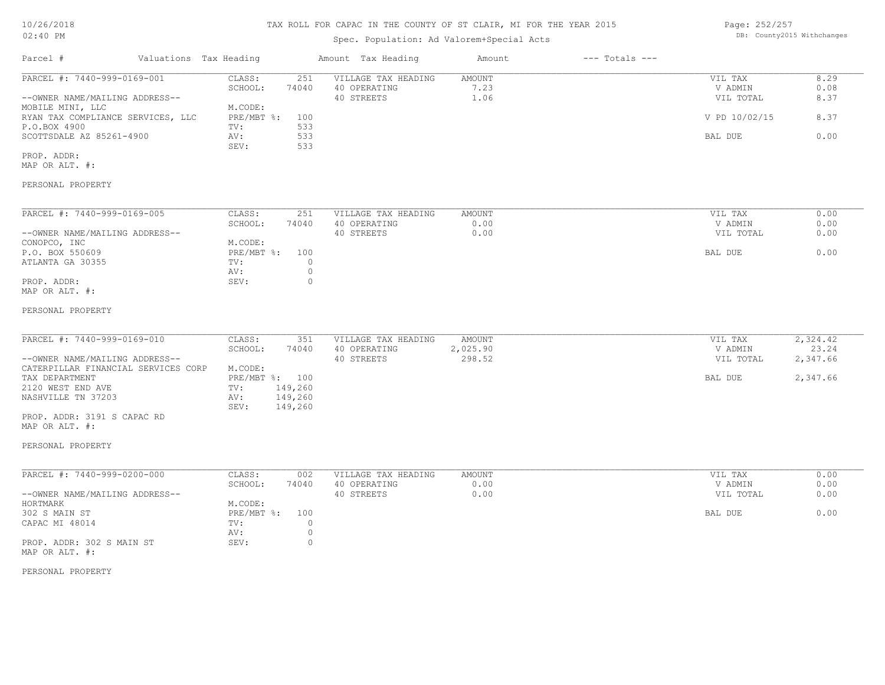# TAX ROLL FOR CAPAC IN THE COUNTY OF ST CLAIR, MI FOR THE YEAR 2015

# Spec. Population: Ad Valorem+Special Acts

Page: 252/257 DB: County2015 Withchanges

| Parcel #                                                                                                                                                                                                                                | Valuations Tax Heading                                                                                                | Amount Tax Heading                                | Amount                       | $---$ Totals $---$ |                                                             |                                           |
|-----------------------------------------------------------------------------------------------------------------------------------------------------------------------------------------------------------------------------------------|-----------------------------------------------------------------------------------------------------------------------|---------------------------------------------------|------------------------------|--------------------|-------------------------------------------------------------|-------------------------------------------|
| PARCEL #: 7440-999-0169-001<br>--OWNER NAME/MAILING ADDRESS--<br>MOBILE MINI, LLC<br>RYAN TAX COMPLIANCE SERVICES, LLC<br>P.O.BOX 4900<br>SCOTTSDALE AZ 85261-4900<br>PROP. ADDR:<br>MAP OR ALT. #:<br>PERSONAL PROPERTY                | CLASS:<br>251<br>SCHOOL:<br>74040<br>M.CODE:<br>$PRE/MBT$ %:<br>100<br>533<br>TV:<br>533<br>AV:<br>533<br>SEV:        | VILLAGE TAX HEADING<br>40 OPERATING<br>40 STREETS | AMOUNT<br>7.23<br>1.06       |                    | VIL TAX<br>V ADMIN<br>VIL TOTAL<br>V PD 10/02/15<br>BAL DUE | 8.29<br>0.08<br>8.37<br>8.37<br>0.00      |
| PARCEL #: 7440-999-0169-005<br>--OWNER NAME/MAILING ADDRESS--<br>CONOPCO, INC<br>P.O. BOX 550609<br>ATLANTA GA 30355<br>PROP. ADDR:<br>MAP OR ALT. #:<br>PERSONAL PROPERTY                                                              | CLASS:<br>251<br>SCHOOL:<br>74040<br>M.CODE:<br>$PRE/MBT$ %:<br>100<br>TV:<br>0<br>$\circ$<br>AV:<br>SEV:<br>0        | VILLAGE TAX HEADING<br>40 OPERATING<br>40 STREETS | AMOUNT<br>0.00<br>0.00       |                    | VIL TAX<br>V ADMIN<br>VIL TOTAL<br>BAL DUE                  | 0.00<br>0.00<br>0.00<br>0.00              |
| PARCEL #: 7440-999-0169-010<br>--OWNER NAME/MAILING ADDRESS--<br>CATERPILLAR FINANCIAL SERVICES CORP<br>TAX DEPARTMENT<br>2120 WEST END AVE<br>NASHVILLE TN 37203<br>PROP. ADDR: 3191 S CAPAC RD<br>MAP OR ALT. #:<br>PERSONAL PROPERTY | CLASS:<br>351<br>SCHOOL:<br>74040<br>M.CODE:<br>PRE/MBT %: 100<br>149,260<br>TV:<br>AV:<br>149,260<br>149,260<br>SEV: | VILLAGE TAX HEADING<br>40 OPERATING<br>40 STREETS | AMOUNT<br>2,025.90<br>298.52 |                    | VIL TAX<br>V ADMIN<br>VIL TOTAL<br>BAL DUE                  | 2,324.42<br>23.24<br>2,347.66<br>2,347.66 |
| PARCEL #: 7440-999-0200-000<br>--OWNER NAME/MAILING ADDRESS--<br>HORTMARK<br>302 S MAIN ST<br>CAPAC MI 48014<br>PROP. ADDR: 302 S MAIN ST<br>MAP OR ALT. #:<br>PERSONAL PROPERTY                                                        | CLASS:<br>002<br>SCHOOL:<br>74040<br>M.CODE:<br>PRE/MBT %:<br>100<br>TV:<br>0<br>$\circ$<br>AV:<br>$\circ$<br>SEV:    | VILLAGE TAX HEADING<br>40 OPERATING<br>40 STREETS | AMOUNT<br>0.00<br>0.00       |                    | VIL TAX<br>V ADMIN<br>VIL TOTAL<br>BAL DUE                  | 0.00<br>0.00<br>0.00<br>0.00              |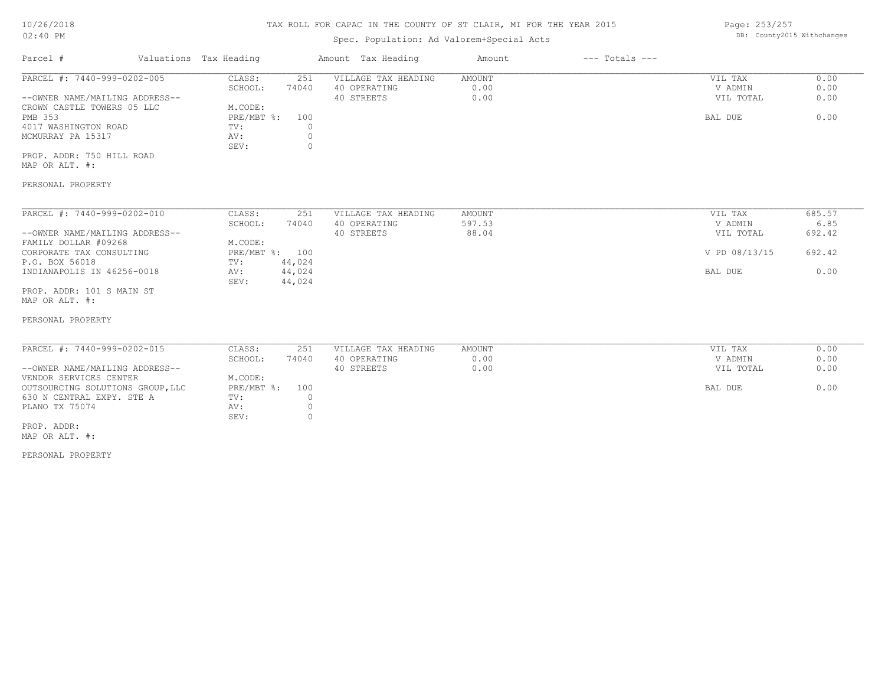## TAX ROLL FOR CAPAC IN THE COUNTY OF ST CLAIR, MI FOR THE YEAR 2015

# Spec. Population: Ad Valorem+Special Acts

Page: 253/257 DB: County2015 Withchanges

| Parcel #                       | Valuations Tax Heading |       | Amount Tax Heading  | Amount | $---$ Totals $---$ |           |      |
|--------------------------------|------------------------|-------|---------------------|--------|--------------------|-----------|------|
| PARCEL #: 7440-999-0202-005    | CLASS:                 | 251   | VILLAGE TAX HEADING | AMOUNT |                    | VIL TAX   | 0.00 |
|                                | SCHOOL:                | 74040 | 40 OPERATING        | 0.00   |                    | V ADMIN   | 0.00 |
| --OWNER NAME/MAILING ADDRESS-- |                        |       | 40 STREETS          | 0.00   |                    | VIL TOTAL | 0.00 |
| CROWN CASTLE TOWERS 05 LLC     | M.CODE:                |       |                     |        |                    |           |      |
| PMB 353                        | $PRE/MBT$ %:           | 100   |                     |        |                    | BAL DUE   | 0.00 |
| 4017 WASHINGTON ROAD           | TV:                    |       |                     |        |                    |           |      |
| MCMURRAY PA 15317              | AV:                    |       |                     |        |                    |           |      |
|                                | SEV:                   |       |                     |        |                    |           |      |
| PROP. ADDR: 750 HILL ROAD      |                        |       |                     |        |                    |           |      |

MAP OR ALT. #:

#### PERSONAL PROPERTY

| PARCEL #: 7440-999-0202-010    | CLASS:       | 251    | VILLAGE TAX HEADING | AMOUNT | VIL TAX       | 685.57 |
|--------------------------------|--------------|--------|---------------------|--------|---------------|--------|
|                                | SCHOOL:      | 74040  | 40 OPERATING        | 597.53 | V ADMIN       | 6.85   |
| --OWNER NAME/MAILING ADDRESS-- |              |        | 40 STREETS          | 88.04  | VIL TOTAL     | 692.42 |
| FAMILY DOLLAR #09268           | M.CODE:      |        |                     |        |               |        |
| CORPORATE TAX CONSULTING       | $PRE/MBT$ %: | 100    |                     |        | V PD 08/13/15 | 692.42 |
| P.O. BOX 56018                 | TV:          | 44,024 |                     |        |               |        |
| INDIANAPOLIS IN 46256-0018     | AV:          | 44,024 |                     |        | BAL DUE       | 0.00   |
|                                | SEV:         | 44,024 |                     |        |               |        |
| PROP. ADDR: 101 S MAIN ST      |              |        |                     |        |               |        |

MAP OR ALT. #:

#### PERSONAL PROPERTY

| PARCEL #: 7440-999-0202-015      | CLASS:         | 251   | VILLAGE TAX HEADING | AMOUNT | VIL TAX   | 0.00 |
|----------------------------------|----------------|-------|---------------------|--------|-----------|------|
|                                  | SCHOOL:        | 74040 | 40 OPERATING        | 0.00   | V ADMIN   | 0.00 |
| --OWNER NAME/MAILING ADDRESS--   |                |       | 40 STREETS          | 0.00   | VIL TOTAL | 0.00 |
| VENDOR SERVICES CENTER           | M.CODE:        |       |                     |        |           |      |
| OUTSOURCING SOLUTIONS GROUP, LLC | PRE/MBT %: 100 |       |                     |        | BAL DUE   | 0.00 |
| 630 N CENTRAL EXPY. STE A        | TV:            |       |                     |        |           |      |
| PLANO TX 75074                   | AV:            |       |                     |        |           |      |
|                                  | SEV:           |       |                     |        |           |      |
| PROP. ADDR:                      |                |       |                     |        |           |      |
|                                  |                |       |                     |        |           |      |

MAP OR ALT. #:

PERSONAL PROPERTY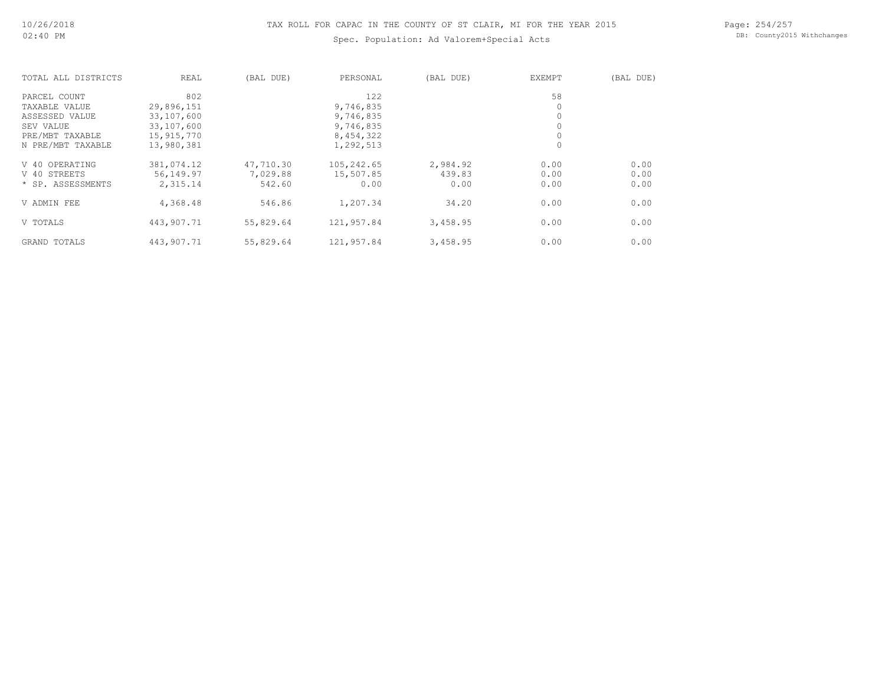## TAX ROLL FOR CAPAC IN THE COUNTY OF ST CLAIR, MI FOR THE YEAR 2015

## Spec. Population: Ad Valorem+Special Acts

Page: 254/257 DB: County2015 Withchanges

| TOTAL ALL DISTRICTS | REAL       | (BAL DUE) | PERSONAL   | (BAL DUE) | EXEMPT | (BAL DUE) |
|---------------------|------------|-----------|------------|-----------|--------|-----------|
| PARCEL COUNT        | 802        |           | 122        |           | 58     |           |
| TAXABLE VALUE       | 29,896,151 |           | 9,746,835  |           |        |           |
| ASSESSED VALUE      | 33,107,600 |           | 9,746,835  |           |        |           |
| SEV VALUE           | 33,107,600 |           | 9,746,835  |           |        |           |
| PRE/MBT TAXABLE     | 15,915,770 |           | 8,454,322  |           |        |           |
| N PRE/MBT TAXABLE   | 13,980,381 |           | 1,292,513  |           | 0      |           |
| V 40 OPERATING      | 381,074.12 | 47,710.30 | 105,242.65 | 2,984.92  | 0.00   | 0.00      |
| V 40 STREETS        | 56,149.97  | 7,029.88  | 15,507.85  | 439.83    | 0.00   | 0.00      |
| * SP. ASSESSMENTS   | 2,315.14   | 542.60    | 0.00       | 0.00      | 0.00   | 0.00      |
| V ADMIN FEE         | 4,368.48   | 546.86    | 1,207.34   | 34.20     | 0.00   | 0.00      |
| V TOTALS            | 443,907.71 | 55,829.64 | 121,957.84 | 3,458.95  | 0.00   | 0.00      |
| GRAND TOTALS        | 443,907.71 | 55,829.64 | 121,957.84 | 3,458.95  | 0.00   | 0.00      |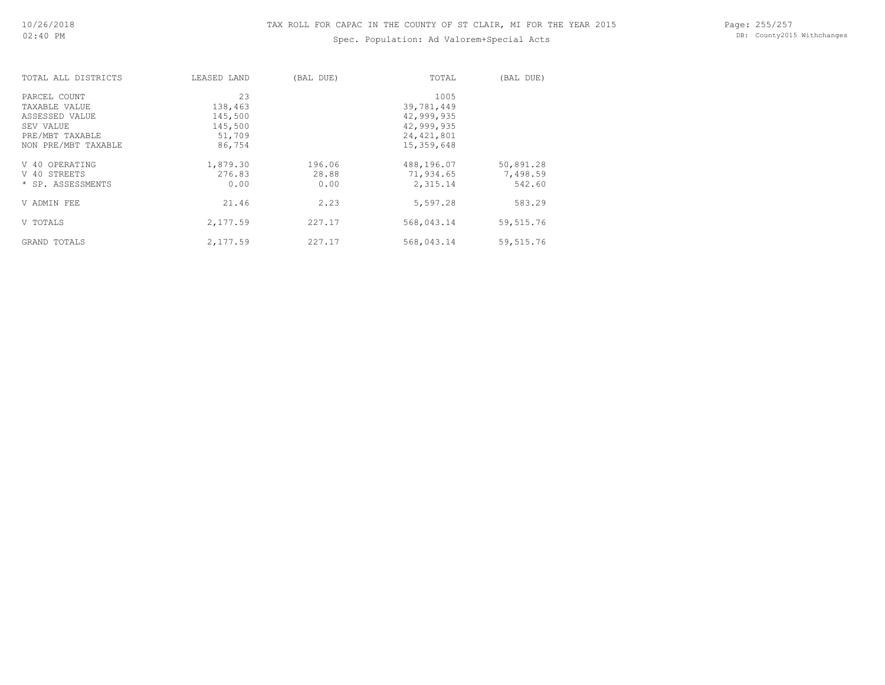# Spec. Population: Ad Valorem+Special Acts

Page: 255/257 DB: County2015 Withchanges

| TOTAL ALL DISTRICTS | LEASED LAND | (BAL DUE) | TOTAL        | (BAL DUE)  |
|---------------------|-------------|-----------|--------------|------------|
| PARCEL COUNT        | 23          |           | 1005         |            |
| TAXABLE VALUE       | 138,463     |           | 39,781,449   |            |
| ASSESSED VALUE      | 145,500     |           | 42,999,935   |            |
| SEV VALUE           | 145,500     |           | 42,999,935   |            |
| PRE/MBT TAXABLE     | 51,709      |           | 24, 421, 801 |            |
| NON PRE/MBT TAXABLE | 86,754      |           | 15,359,648   |            |
| V 40 OPERATING      | 1,879.30    | 196.06    | 488,196.07   | 50,891.28  |
| V 40 STREETS        | 276.83      | 28.88     | 71,934.65    | 7,498.59   |
| * SP. ASSESSMENTS   | 0.00        | 0.00      | 2,315.14     | 542.60     |
| V ADMIN FEE         | 21.46       | 2.23      | 5,597.28     | 583.29     |
| V TOTALS            | 2,177.59    | 227.17    | 568,043.14   | 59, 515.76 |
| GRAND TOTALS        | 2,177.59    | 227.17    | 568,043.14   | 59, 515.76 |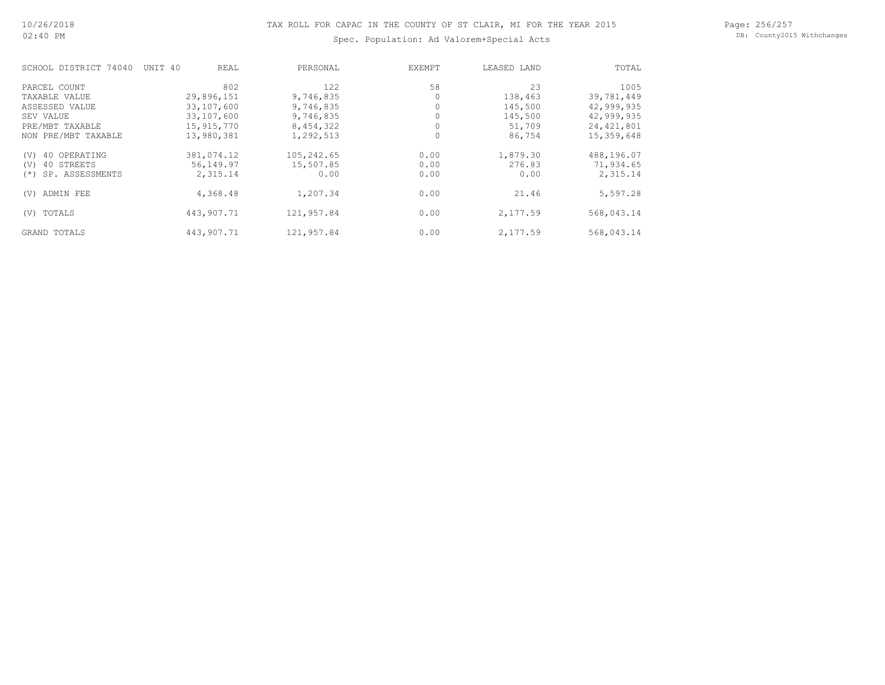#### Page: 256/257 DB: County2015 Withchanges

## Spec. Population: Ad Valorem+Special Acts

| SCHOOL DISTRICT 74040     | UNIT 40<br>REAL | PERSONAL   | EXEMPT | LEASED LAND | TOTAL        |
|---------------------------|-----------------|------------|--------|-------------|--------------|
| PARCEL COUNT              | 802             | 122        | 58     | 23          | 1005         |
| TAXABLE VALUE             | 29,896,151      | 9,746,835  |        | 138,463     | 39,781,449   |
| ASSESSED VALUE            | 33,107,600      | 9,746,835  |        | 145,500     | 42,999,935   |
| SEV VALUE                 | 33,107,600      | 9,746,835  |        | 145,500     | 42,999,935   |
| PRE/MBT TAXABLE           | 15, 915, 770    | 8,454,322  |        | 51,709      | 24, 421, 801 |
| NON PRE/MBT TAXABLE       | 13,980,381      | 1,292,513  |        | 86,754      | 15,359,648   |
| 40 OPERATING<br>(V)       | 381,074.12      | 105,242.65 | 0.00   | 1,879.30    | 488,196.07   |
| 40 STREETS<br>(V)         | 56,149.97       | 15,507.85  | 0.00   | 276.83      | 71,934.65    |
| SP. ASSESSMENTS<br>$(* )$ | 2,315.14        | 0.00       | 0.00   | 0.00        | 2,315.14     |
| ADMIN FEE<br>(V)          | 4,368.48        | 1,207.34   | 0.00   | 21.46       | 5,597.28     |
| TOTALS<br>(V)             | 443,907.71      | 121,957.84 | 0.00   | 2,177.59    | 568,043.14   |
| GRAND TOTALS              | 443,907.71      | 121,957.84 | 0.00   | 2,177.59    | 568,043.14   |